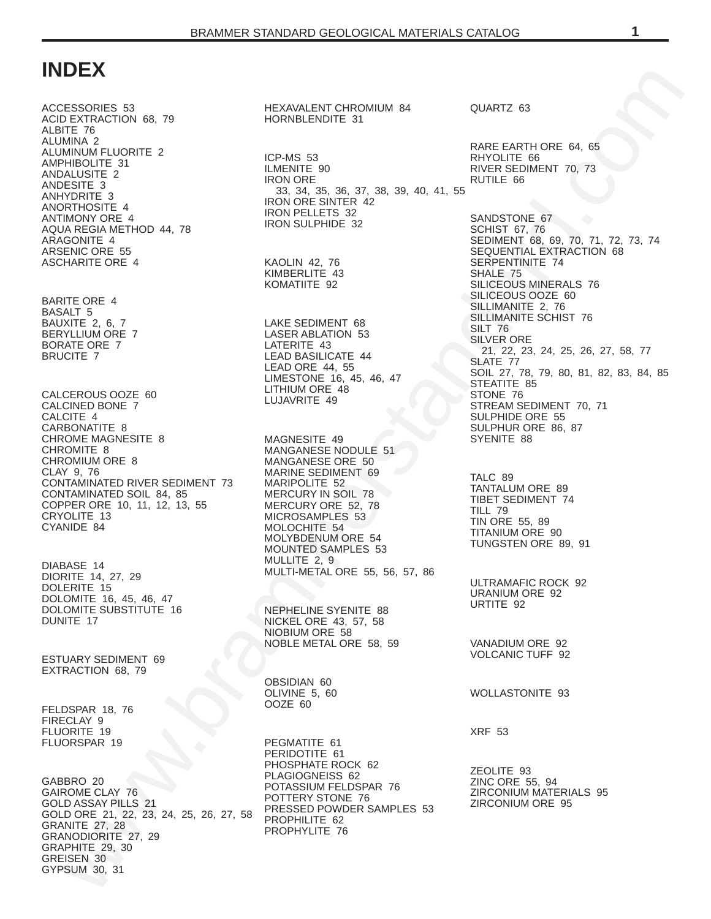# **INDEX**

[ACCESSORIES 53](#page-52-0) [ACID EXTRACTION 68,](#page-67-0) 79 [ALBITE 76](#page-75-0) [ALUMINA 2](#page-1-0) [ALUMINUM FLUORITE 2](#page-1-0) [AMPHIBOLITE 31](#page-30-0) [ANDALUSITE 2](#page-1-0) [ANDESITE 3](#page-2-0) [ANHYDRITE 3](#page-2-0) [ANORTHOSITE 4](#page-3-0) [ANTIMONY ORE 4](#page-3-0) AQUA REGIA METHOD 44, 78 [ARAGONITE 4](#page-3-0) [ARSENIC ORE 55](#page-54-0) [ASCHARITE ORE 4](#page-3-0)

[BARITE ORE 4](#page-3-0) [BASALT 5](#page-4-0) [BAUXITE 2,](#page-1-0) 6, 7 [BERYLLIUM ORE 7](#page-6-0) [BORATE ORE 7](#page-6-0) [BRUCITE 7](#page-6-0)

CALCEROUS OOZE 60 [CALCINED BONE 7](#page-6-0) [CALCITE 4](#page-3-0) [CARBONATITE 8](#page-7-0) CHROME MAGNESITE 8 [CHROMITE 8](#page-7-0) [CHROMIUM ORE 8](#page-7-0) [CLAY 9,](#page-8-0) 76 CONTAMINATED RIVER SEDIMENT 73 [CONTAMINATED SOIL 84,](#page-83-0) 85 [COPPER ORE 10,](#page-9-0) 11, 12, 13, 55 [CRYOLITE 13](#page-12-0) [CYANIDE 84](#page-83-0)

[DIABASE 14](#page-13-0) [DIORITE 14,](#page-13-0) 27, 29 [DOLERITE 15](#page-14-0) [DOLOMITE 16,](#page-15-0) 45, 46, 47 DOLOMITE SUBSTITUTE 16 [DUNITE 17](#page-16-0)

[ESTUARY SEDIMENT 69](#page-68-0) [EXTRACTION 68,](#page-67-0) 79

[FELDSPAR 18,](#page-17-0) 76 [FIRECLAY 9](#page-8-0) [FLUORITE 19](#page-18-0) [FLUORSPAR 19](#page-18-0)

[GABBRO 20](#page-19-0) [GAIROME CLAY 76](#page-75-0) [GOLD ASSAY PILLS 21](#page-20-0) [GOLD ORE 21,](#page-20-0) 22, 23, 24, 25, 26, 27, 58 [GRANITE 27,](#page-26-0) 28 [GRANODIORITE 27,](#page-26-0) 29 [GRAPHITE 29,](#page-28-0) 30 [GREISEN 30](#page-29-0) [GYPSUM 30,](#page-29-0) 31

HEXAVALENT CHROMIUM 84 HORNBLENDITE 31

ICP-MS 53 ILMENITE 90 IRON ORE 33, 34, 35, 36, 37, 38, 39, 40, 41, 55 IRON ORE SINTER 42 IRON PELLETS 32 IRON SULPHIDE 32

KAOLIN 42, 76 KIMBERLITE 43 KOMATIITE 92

LAKE SEDIMENT 68 LASER ABLATION 53 LATERITE 43 LEAD BASILICATE 44 LEAD ORE 44, 55 LIMESTONE 16, 45, 46, 47 LITHIUM ORE 48 LUJAVRITE 49

MAGNESITE 49 MANGANESE NODULE 51 MANGANESE ORE 50 MARINE SEDIMENT 69 MARIPOLITE 52 MERCURY IN SOIL 78 MERCURY ORE 52, 78 MICROSAMPLES 53 MOLOCHITE 54 MOLYBDENUM ORE 54 MOUNTED SAMPLES 53 MULLITE 2, 9 MULTI-METAL ORE 55, 56, 57, 86

NEPHELINE SYENITE 88 NICKEL ORE 43, 57, 58 NIOBIUM ORE 58 NOBLE METAL ORE 58, 59

OBSIDIAN 60 OLIVINE 5, 60 OOZE 60

PEGMATITE 61 PERIDOTITE 61 PHOSPHATE ROCK 62 PLAGIOGNEISS 62 POTASSIUM FELDSPAR 76 POTTERY STONE 76 PRESSED POWDER SAMPLES 53 PROPHILITE 62 PROPHYLITE 76

QUARTZ 63

RARE EARTH ORE 64, 65 RHYOLITE 66 RIVER SEDIMENT 70, 73 RUTILE 66

[w](#page-30-0)[w](#page-21-0)w.br[a](#page-57-0)[m](#page-42-0)[m](#page-52-0)[e](#page-77-0)[r](#page-68-0)[st](#page-50-0)a[n](#page-20-0)[d](#page-1-0)[a](#page-75-0)[r](#page-73-0)[d](#page-67-0).[c](#page-69-0)[o](#page-64-0)m SANDSTONE 67 SCHIST 67, 76 SEDIMENT 68, 69, 70, 71, 72, 73, 74 SEQUENTIAL EXTRACTION 68 SERPENTINITE 74 SHALE 75 SILICEOUS MINERALS 76 SILICEOUS OOZE 60 SILLIMANITE 2, 76 SILLIMANITE SCHIST 76 SILT 76 SILVER ORE 21, 22, 23, 24, 25, 26, 27, 58, 77 SLATE 77 SOIL 27, 78, 79, 80, 81, 82, 83, 84, 85 STEATITE 85 STONE 76 STREAM SEDIMENT 70, 71 SULPHIDE ORE 55 SULPHUR ORE 86, 87 SYENITE 88

TALC 89 TANTALUM ORE 89 TIBET SEDIMENT 74 TILL 79 TIN ORE 55, 89 TITANIUM ORE 90 TUNGSTEN ORE 89, 91

ULTRAMAFIC ROCK 92 URANIUM ORE 92 URTITE 92

VANADIUM ORE 92 VOLCANIC TUFF 92

WOLLASTONITE 93

XRF 53

ZEOLITE 93 ZINC ORE 55, 94 ZIRCONIUM MATERIALS 95 ZIRCONIUM ORE 95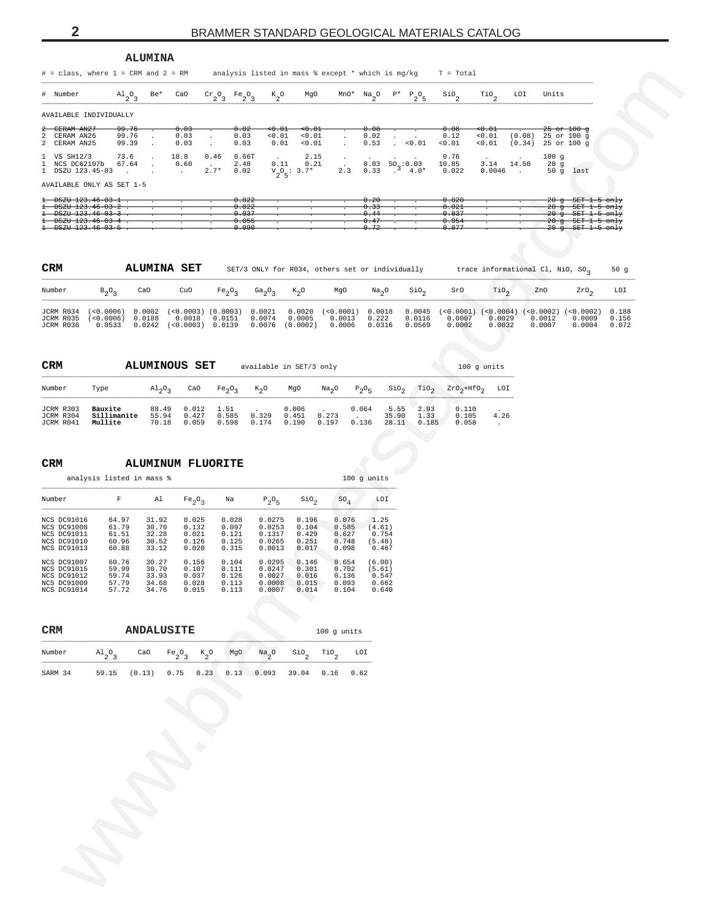<span id="page-1-0"></span>

|                                                                                |                                         | <b>ALUMINA</b>                               |                                     |                                                                                     |                                                                             |                                                       |                                        |                                               |                         |                                                                                                                                                              |                                                               |                                              |                  |                  |                                                                                       |                |
|--------------------------------------------------------------------------------|-----------------------------------------|----------------------------------------------|-------------------------------------|-------------------------------------------------------------------------------------|-----------------------------------------------------------------------------|-------------------------------------------------------|----------------------------------------|-----------------------------------------------|-------------------------|--------------------------------------------------------------------------------------------------------------------------------------------------------------|---------------------------------------------------------------|----------------------------------------------|------------------|------------------|---------------------------------------------------------------------------------------|----------------|
| $#$ = class, where $1$ = CRM and $2$ = RM                                      |                                         |                                              |                                     |                                                                                     |                                                                             |                                                       |                                        |                                               |                         |                                                                                                                                                              | analysis listed in mass % except * which is mg/kg = T = Total |                                              |                  |                  |                                                                                       |                |
| # Number                                                                       | $A1_{2}O_3$                             | Be*                                          | CaO                                 | $\operatorname{Cr}_2\!\operatorname{O}_3$ $\operatorname{Fe}_2\!\operatorname{O}_3$ | $\kappa_{2}$ o                                                              | MgO                                                   |                                        | $\texttt{Mn0*} \quad \texttt{Na}_2\texttt{0}$ |                         | $P^*$ $P_2O_5$                                                                                                                                               | $\sin \theta$                                                 | $\mathop{\text{rio}}\nolimits_2$             | LOI              | Units            |                                                                                       |                |
| AVAILABLE INDIVIDUALLY                                                         |                                         |                                              |                                     |                                                                                     |                                                                             |                                                       |                                        |                                               |                         |                                                                                                                                                              |                                                               |                                              |                  |                  |                                                                                       |                |
| CERAM AN27<br>ż<br>2<br>CERAM AN26<br>2<br>CERAM AN25                          | <del>99.76</del><br>99.76<br>99.39      | $\ddot{\phantom{a}}$<br>$\ddot{\phantom{a}}$ | 0.03<br>0.03<br>0.03                | $\blacksquare$<br>$\cdot$                                                           | 0.02<br>$\leftrightarrow$ $\leftrightarrow$<br>0.03<br>0.01<br>0.03<br>0.01 | $\leftrightarrow$ $\leftrightarrow$<br>< 0.01<br>0.01 | $\cdot$<br>$\cdot$                     | 0.08<br>0.02<br>0.53                          | $\blacksquare$          | . 0.01                                                                                                                                                       | 0.08<br>0.12<br>0.01                                          | $0.01$<br>0.01<br>0.01                       | (0.08)<br>(0.34) |                  | <del>25 or 100 g</del><br>25 or 100 g<br>25 or 100 g                                  |                |
| 1 VS SH12/3<br>1 NCS DC62107b<br>1 DSZU 123.45-03                              | 73.6<br>67.64<br>$\ddot{\phantom{a}}$   | $\cdot$<br>$\cdot$                           | 18.8<br>0.60<br>$\sim$              | 0.46<br>$\sim$<br>$2.7*$                                                            | 0.66T<br>2.48<br>0.11<br>0.02                                               | 2.15<br>0.21<br>$V_2O_5$ : 3.7*                       | $\cdot$<br>$\ddot{\phantom{a}}$<br>2.3 | 0.03<br>0.33                                  |                         | $\overset{\text{SO}}{0} \underset{4}{\overset{\text{SO}}{0}} \overset{10}{\underset{4}{\hspace{0.5mm}0}} \overset{3}{\underset{\text{4.0}}{\hspace{0.5mm}}}$ | 0.76<br>10.85<br>0.022                                        | 3.14 14.50<br>0.0046                         | $\sim 100$       | 100g<br>20g      | 50 g last                                                                             |                |
| AVAILABLE ONLY AS SET 1-5                                                      |                                         |                                              |                                     |                                                                                     |                                                                             |                                                       |                                        |                                               |                         |                                                                                                                                                              |                                                               |                                              |                  |                  |                                                                                       |                |
| $1 - DSZU$ 123.46-03-1.                                                        |                                         |                                              |                                     |                                                                                     | 0.022<br>0.022                                                              |                                                       |                                        | 0.20<br>0.33                                  |                         |                                                                                                                                                              | 0.020<br>0.021                                                |                                              |                  |                  | <del>20 g SET 1-5 only</del><br><del>20 g SET 1-5 only</del>                          |                |
| $+$ DSZU $123.46 - 03 - 3$<br>$\pm$ DSZU 123.46-03-4.<br>$1 - 123.46 - 03 - 5$ |                                         |                                              |                                     |                                                                                     | 0.037<br>0.055<br>0.090                                                     |                                                       |                                        | 0.44<br>0.47<br>0.72                          |                         |                                                                                                                                                              | 0.037<br>0.054<br>0.077                                       |                                              |                  |                  | <del>20 g SET 1-5 only</del><br>$20$ g $SET$ 1-5 only<br><del>20 g SET 1-5 only</del> |                |
|                                                                                |                                         |                                              |                                     |                                                                                     |                                                                             |                                                       |                                        |                                               |                         |                                                                                                                                                              |                                                               |                                              |                  |                  |                                                                                       |                |
| <b>CRM</b>                                                                     |                                         |                                              | <b>ALUMINA SET</b>                  |                                                                                     | SET/3 ONLY for R034, others set or individually                             |                                                       |                                        |                                               |                         |                                                                                                                                                              |                                                               | trace informational Cl, NiO, SO <sub>2</sub> |                  |                  |                                                                                       | 50g            |
| Number                                                                         | $B_2O_3$                                | CaO                                          | CuO                                 | Fe <sub>2</sub> O <sub>3</sub>                                                      | Ga <sub>2</sub> $0_3$                                                       | $K_{2}O$                                              | MgO                                    | Na <sub>2</sub> O                             |                         | $\sin \theta_2$                                                                                                                                              | SrO                                                           | $\text{rio}_2$                               |                  | ZnO              | 2r0 <sub>2</sub>                                                                      | LOI            |
| JCRM R034                                                                      | $(<0.0006)$ 0.0002 $(<0.0003)$ (0.0003) |                                              |                                     |                                                                                     | 0.0021                                                                      |                                                       | $0.0020$ $(<0.0001)$                   | 0.0018                                        |                         | 0.0045                                                                                                                                                       | $(<0.0001)$ $(<0.0004)$ $(<0.0002)$ $(<0.0002)$               |                                              |                  |                  |                                                                                       | 0.188          |
| JCRM R035<br>JCRM R036                                                         | $(<0.0006)$ 0.0188<br>0.0533            |                                              | 0.0018<br>$0.0242$ (<0.0003) 0.0139 | 0.0151                                                                              | 0.0074                                                                      | 0.0005                                                | 0.0013<br>$0.0076$ (0.0002) 0.0006     | 0.222<br>0.0316                               |                         | 0.0116<br>0.0569                                                                                                                                             | 0.0007<br>0.0002                                              | 0.0029<br>0.0032                             |                  | 0.0012<br>0.0007 | 0.0009<br>0.0004                                                                      | 0.156<br>0.072 |
|                                                                                |                                         |                                              |                                     |                                                                                     |                                                                             |                                                       |                                        |                                               |                         |                                                                                                                                                              |                                                               |                                              |                  |                  |                                                                                       |                |
| CRM                                                                            |                                         |                                              | <b>ALUMINOUS SET</b>                |                                                                                     | available in SET/3 only                                                     |                                                       |                                        |                                               |                         |                                                                                                                                                              |                                                               | $100$ g units                                |                  |                  |                                                                                       |                |
| Number                                                                         | Type                                    | $A1_2O_3$                                    | CaO                                 | Fe <sub>2</sub> O <sub>3</sub>                                                      | $K_2O$                                                                      | MgO                                                   | Na <sub>2</sub> O                      | $P_2O_5$                                      | $\rm SiO_{2}$           | TiO <sub>2</sub>                                                                                                                                             | $2r0_2+Hf0_2$                                                 | LOI                                          |                  |                  |                                                                                       |                |
| JCRM R303                                                                      | Bauxite                                 | 88.49                                        | 0.012                               | 1.51                                                                                |                                                                             | 0.006                                                 |                                        | 0.064<br><b>Service</b>                       | 5.55                    | 2.93                                                                                                                                                         | 0.110                                                         |                                              |                  |                  |                                                                                       |                |
| JCRM R304<br>JCRM R041                                                         | Sillimanite<br>Mullite                  | 55.94<br>70.18                               | 0.427<br>0.059                      | 0.585<br>0.598                                                                      | 0.329<br>0.174                                                              | 0.451<br>0.190                                        | 0.273<br>0.197                         | 0.136                                         | 35.90                   | 1.33<br>28.11 0.185                                                                                                                                          | 0.105<br>0.058                                                | 4.26<br>$\ddot{\phantom{a}}$                 |                  |                  |                                                                                       |                |
|                                                                                |                                         |                                              |                                     |                                                                                     |                                                                             |                                                       |                                        |                                               |                         |                                                                                                                                                              |                                                               |                                              |                  |                  |                                                                                       |                |
| CRM                                                                            |                                         |                                              |                                     | <b>ALUMINUM FLUORITE</b>                                                            |                                                                             |                                                       |                                        |                                               |                         |                                                                                                                                                              |                                                               |                                              |                  |                  |                                                                                       |                |
|                                                                                | analysis listed in mass %               |                                              |                                     |                                                                                     |                                                                             |                                                       |                                        | 100 g units                                   |                         |                                                                                                                                                              |                                                               |                                              |                  |                  |                                                                                       |                |
| Number                                                                         | F                                       | Al                                           | Fe <sub>2</sub> O <sub>3</sub>      | Na                                                                                  | $P_2O_5$                                                                    | SiO <sub>2</sub>                                      | ${so}_{4}$                             |                                               | LOI                     |                                                                                                                                                              |                                                               |                                              |                  |                  |                                                                                       |                |
| NCS DC91016<br>NCS DC91008                                                     | 64.97<br>61.79                          | 31.92<br>30.70                               | 0.025<br>0.132                      | 0.028<br>0.097                                                                      | 0.0275<br>0.0253                                                            | 0.196<br>0.104                                        | 0.076<br>0.585                         | 1.25<br>(4.61)                                |                         |                                                                                                                                                              |                                                               |                                              |                  |                  |                                                                                       |                |
| NCS DC91011<br>NCS DC91010<br>NCS DC91013                                      | 61.51<br>60.96<br>60.88                 | 32.28<br>30.52<br>33.12                      | 0.021<br>0.126<br>0.020             | 0.121<br>0.125<br>0.315                                                             | 0.1317<br>0.0265<br>0.0013                                                  | 0.429<br>0.251<br>0.017                               | 0.627<br>0.748<br>0.098                | (5.48)<br>0.467                               | 0.754                   |                                                                                                                                                              |                                                               |                                              |                  |                  |                                                                                       |                |
| NCS DC91007<br>NCS DC91015                                                     | 60.76<br>59.99                          | 30.27<br>30.70                               | 0.156<br>0.107                      | 0.104<br>0.111                                                                      | 0.0295<br>0.0247                                                            | 0.146<br>0.301                                        | 0.654<br>0.702                         | (6.00)<br>(5.61)                              |                         |                                                                                                                                                              |                                                               |                                              |                  |                  |                                                                                       |                |
| NCS DC91012<br>NCS DC91009<br>NCS DC91014                                      | 59.74<br>57.79<br>57.72                 | 33.93<br>34.68<br>34.76                      | 0.037<br>0.028<br>0.015             | 0.126<br>0.113<br>0.113                                                             | 0.0027<br>0.0008<br>0.0007                                                  | 0.016<br>0.015<br>0.014                               | 0.136<br>0.093<br>0.104                |                                               | 0.547<br>0.662<br>0.640 |                                                                                                                                                              |                                                               |                                              |                  |                  |                                                                                       |                |
|                                                                                |                                         |                                              |                                     |                                                                                     |                                                                             |                                                       |                                        |                                               |                         |                                                                                                                                                              |                                                               |                                              |                  |                  |                                                                                       |                |
| CRM                                                                            |                                         |                                              | <b>ANDALUSITE</b>                   |                                                                                     |                                                                             |                                                       | $100$ q units                          |                                               |                         |                                                                                                                                                              |                                                               |                                              |                  |                  |                                                                                       |                |
| Number                                                                         | $A1_{2}O_{3}$                           | CaO                                          | $Fe_2O_3$                           | $\kappa_{2}$ o<br>MgO                                                               | $\mathrm{Na}_2\mathrm{O}$                                                   | $\mathsf{SiO}_2$                                      | $\mathcal{T}io_{2}$                    | LOI                                           |                         |                                                                                                                                                              |                                                               |                                              |                  |                  |                                                                                       |                |
| SARM 34                                                                        | 59.15                                   | (0.13)                                       | 0.75                                | 0.23                                                                                | $0.13$ 0.093                                                                | 39.04                                                 | 0.16                                   | 0.62                                          |                         |                                                                                                                                                              |                                                               |                                              |                  |                  |                                                                                       |                |
|                                                                                |                                         |                                              |                                     |                                                                                     |                                                                             |                                                       |                                        |                                               |                         |                                                                                                                                                              |                                                               |                                              |                  |                  |                                                                                       |                |
|                                                                                |                                         |                                              |                                     |                                                                                     |                                                                             |                                                       |                                        |                                               |                         |                                                                                                                                                              |                                                               |                                              |                  |                  |                                                                                       |                |
|                                                                                |                                         |                                              |                                     |                                                                                     |                                                                             |                                                       |                                        |                                               |                         |                                                                                                                                                              |                                                               |                                              |                  |                  |                                                                                       |                |
|                                                                                |                                         |                                              |                                     |                                                                                     |                                                                             |                                                       |                                        |                                               |                         |                                                                                                                                                              |                                                               |                                              |                  |                  |                                                                                       |                |
|                                                                                |                                         |                                              |                                     |                                                                                     |                                                                             |                                                       |                                        |                                               |                         |                                                                                                                                                              |                                                               |                                              |                  |                  |                                                                                       |                |
|                                                                                |                                         |                                              |                                     |                                                                                     |                                                                             |                                                       |                                        |                                               |                         |                                                                                                                                                              |                                                               |                                              |                  |                  |                                                                                       |                |
|                                                                                |                                         |                                              |                                     |                                                                                     |                                                                             |                                                       |                                        |                                               |                         |                                                                                                                                                              |                                                               |                                              |                  |                  |                                                                                       |                |
|                                                                                |                                         |                                              |                                     |                                                                                     |                                                                             |                                                       |                                        |                                               |                         |                                                                                                                                                              |                                                               |                                              |                  |                  |                                                                                       |                |
|                                                                                |                                         |                                              |                                     |                                                                                     |                                                                             |                                                       |                                        |                                               |                         |                                                                                                                                                              |                                                               |                                              |                  |                  |                                                                                       |                |
|                                                                                |                                         |                                              |                                     |                                                                                     |                                                                             |                                                       |                                        |                                               |                         |                                                                                                                                                              |                                                               |                                              |                  |                  |                                                                                       |                |
|                                                                                |                                         |                                              |                                     |                                                                                     |                                                                             |                                                       |                                        |                                               |                         |                                                                                                                                                              |                                                               |                                              |                  |                  |                                                                                       |                |
|                                                                                |                                         |                                              |                                     |                                                                                     |                                                                             |                                                       |                                        |                                               |                         |                                                                                                                                                              |                                                               |                                              |                  |                  |                                                                                       |                |

| <b>CRM</b>                          |                                 |                            | <b>ALUMINA SET</b>                                         |                                |                                |                              | SET/3 ONLY for R034, others set or individually |                           |                            |                  |                  | trace informational Cl, NiO, SO <sub>2</sub> |                                                                 | 50q                     |
|-------------------------------------|---------------------------------|----------------------------|------------------------------------------------------------|--------------------------------|--------------------------------|------------------------------|-------------------------------------------------|---------------------------|----------------------------|------------------|------------------|----------------------------------------------|-----------------------------------------------------------------|-------------------------|
| Number                              | $B_{0}0.$                       | CaO                        | CuO                                                        | Fe <sub>2</sub> O <sub>2</sub> | Ga <sub>2</sub> O <sub>2</sub> | $K_2O$                       | MgO                                             | Na <sub>0</sub>           | SiO.                       | SrO              | TiO.             | ZnO                                          | ZrO,                                                            | LOI                     |
| JCRM R034<br>JCRM R035<br>JCRM R036 | (0.0006)<br>(<0.0006)<br>0.0533 | 0.0002<br>0.0188<br>0.0242 | $(0.0003)$ $(0.0003)$ 0.0021<br>0.0018<br>(<0.0003) 0.0139 | 0.0151                         | 0.0074<br>0.0076               | 0.0020<br>0.0005<br>(0.0002) | (<0.0001)<br>0.0013<br>0.0006                   | 0.0018<br>0.222<br>0.0316 | 0.0045<br>0.0116<br>0.0569 | 0.0007<br>0.0002 | 0.0029<br>0.0032 | 0.0012<br>0.0007                             | $(0.0001)$ $(0.0004)$ $(0.0002)$ $(0.0002)$<br>0.0009<br>0.0004 | 0.188<br>0.156<br>0.072 |

| <b>CRM</b>                          |                                   | <b>ALUMINOUS SET</b>    |                         |                                |                | available in SET/3 only |                   |                |                        |                       | $100$ q units           |                 |
|-------------------------------------|-----------------------------------|-------------------------|-------------------------|--------------------------------|----------------|-------------------------|-------------------|----------------|------------------------|-----------------------|-------------------------|-----------------|
| Number                              | Type                              | $Al_2O_2$               | CaO                     | Fe <sub>2</sub> O <sub>2</sub> | $K_{\alpha}O$  | MgO                     | Na <sub>2</sub> O | $P_2O_E$       | SiO <sub>2</sub>       | TiO <sub>2</sub>      | $Zr0_2+HF0_2$           | LOI             |
| JCRM R303<br>JCRM R304<br>JCRM R041 | Bauxite<br>Sillimanite<br>Mullite | 88.49<br>55.94<br>70.18 | 0.012<br>0.427<br>0.059 | 1.51<br>0.585<br>0.598         | 0.329<br>0.174 | 0.006<br>0.451<br>0.190 | 0.273<br>0.197    | 0.064<br>0.136 | 5.55<br>35.90<br>28.11 | 2.93<br>1.33<br>0.185 | 0.110<br>0.105<br>0.058 | 4.26<br>$\cdot$ |

### **CRM ALUMINUM FLUORITE**

|                    | analysis listed in mass % |       |                                |       |          |                  |        | $100$ q units |
|--------------------|---------------------------|-------|--------------------------------|-------|----------|------------------|--------|---------------|
| Number             | F                         | Al    | Fe <sub>2</sub> O <sub>3</sub> | Na    | $P_2O_5$ | SiO <sub>2</sub> | $SO_4$ | LOI           |
| NCS DC91016        | 64.97                     | 31.92 | 0.025                          | 0.028 | 0.0275   | 0.196            | 0.076  | 1.25          |
| NCS DC91008        | 61.79                     | 30.70 | 0.132                          | 0.097 | 0.0253   | 0.104            | 0.585  | 4.61)         |
| NCS DC91011        | 61.51                     | 32.28 | 0.021                          | 0.121 | 0.1317   | 0.429            | 0.627  | 0.754         |
| NCS DC91010        | 60.96                     | 30.52 | 0.126                          | 0.125 | 0.0265   | 0.251            | 0.748  | 5.48          |
| <b>NCS DC91013</b> | 60.88                     | 33.12 | 0.020                          | 0.315 | 0.0013   | 0.017            | 0.098  | 0.467         |
| NCS DC91007        | 60.76                     | 30.27 | 0.156                          | 0.104 | 0.0295   | 0.146            | 0.654  | (6.00)        |
| NCS DC91015        | 59.99                     | 30.70 | 0.107                          | 0.111 | 0.0247   | 0.301            | 0.702  | 5.61)         |
| NCS DC91012        | 59.74                     | 33.93 | 0.037                          | 0.126 | 0.0027   | 0.016            | 0.136  | 0.547         |
| NCS DC91009        | 57.79                     | 34.68 | 0.028                          | 0.113 | 0.0008   | 0.015            | 0.093  | 0.662         |
| NCS DC91014        | 57.72                     | 34.76 | 0.015                          | 0.113 | 0.0007   | 0.014            | 0.104  | 0.640         |

| <b>CRM</b> |                                            | <b>ANDALUSITE</b>                                       |                               |  |                         |                  | $100$ q units |  |
|------------|--------------------------------------------|---------------------------------------------------------|-------------------------------|--|-------------------------|------------------|---------------|--|
| Number     | $\mathrm{Al}_{\alpha} \mathrm{O}_{\alpha}$ | CaO Fe <sub>2</sub> O <sub>2</sub> K <sub>2</sub> O MgO |                               |  |                         | Na O SiO TiO LOI |               |  |
| SARM 34    | 59.15                                      |                                                         | $(0.13)$ $0.75$ $0.23$ $0.13$ |  | $0.093$ 39.04 0.16 0.62 |                  |               |  |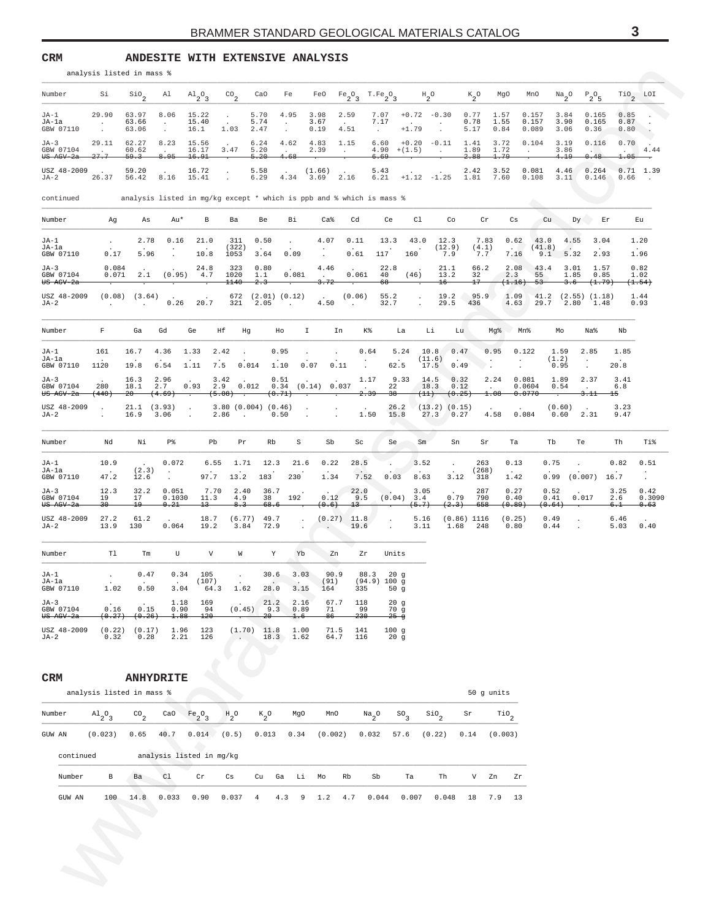<span id="page-2-0"></span>**CRM ANDESITE WITH EXTENSIVE ANALYSIS**

|                                           | analysis listed in mass % |                             |                          |                                  |                                        |                              |                                      |                                         |                                   |                                                                      |                               |                                   |                         |                                          |                                      |                        |                                                                            |                                   |                                   |
|-------------------------------------------|---------------------------|-----------------------------|--------------------------|----------------------------------|----------------------------------------|------------------------------|--------------------------------------|-----------------------------------------|-----------------------------------|----------------------------------------------------------------------|-------------------------------|-----------------------------------|-------------------------|------------------------------------------|--------------------------------------|------------------------|----------------------------------------------------------------------------|-----------------------------------|-----------------------------------|
| Number                                    | Si                        | $\mathsf{SiO}_2$            | Al                       | $A1_{2}O_{3}$                    | $^{CO}$ <sub>2</sub>                   | CaO                          | Fe                                   |                                         |                                   | FeO $Fe_2O_3$ T.Fe <sub>2</sub> O <sub>3</sub>                       |                               | $H_{2}O$                          | $K_{2}^{\circ}$         | MgO                                      | MnO                                  |                        | $N a$ <sub>2</sub> <sup>O</sup> $P$ <sub>2</sub> <sup>O</sup> <sub>5</sub> |                                   | $\text{rio}_2$ LOI                |
| JA-1<br>JA-la<br>GBW 07110                | 29.90<br>$\sim$<br>$\sim$ | 63.97<br>63.66<br>63.06     | 8.06<br>$\sim$<br>$\sim$ | 15.22<br>15.40<br>16.1           | $\ddot{\phantom{0}}$<br>1.03           | 5.70<br>5.74<br>2.47         | 4.95<br>$\sim$<br>$\cdot$            | 3.98<br>3.67<br>0.19                    | 2.59<br>4.51                      | 7.07<br>7.17<br>$\sim 10^{-1}$                                       | $+1.79$                       | $+0.72 -0.30$<br>$\sim$<br>$\sim$ | 0.77<br>0.78<br>5.17    | 1.57<br>1.55<br>0.84                     | 0.157<br>0.157<br>0.089              | 3.84<br>3.90<br>3.06   | 0.165<br>0.165<br>0.36                                                     | 0.85<br>0.87<br>$0.80$ .          | $\sim$                            |
| JA-3<br>GBW 07104<br><del>US AGV-2a</del> | 29.11<br><del>27.7</del>  | 62.27<br>60.62<br>59.3      | 8.23<br>8.95             | 15.56<br>16.17<br>16.91          | 3.47                                   | 6.24<br>5.20<br>$-5.20$      | 4.62<br>$\ddot{\phantom{a}}$<br>4.68 | 4.83<br>2.39                            | 1.15<br>$\sim$                    | 6.60<br>$4.90 + (1.5)$<br>6.69                                       | $+0.20 -0.11$                 | $\sim 100$                        | 1.41<br>1.89<br>$-2.88$ | 3.72<br>1.72<br>1.79                     | 0.104<br>$\sim$                      | 3.19<br>3.86<br>4.19   | 0.116<br>0.48                                                              | 0.70<br><b>CONTRACTOR</b><br>1.05 | 4.44<br>$\overline{\phantom{a}}$  |
| USZ 48-2009<br>JA-2                       | 26.37 56.42 8.16          | 59.20                       |                          | 16.72<br>15.41                   | $\cdot$<br>$\cdot$                     | 5.58<br>6.29                 |                                      | (1.66)<br>4.34 3.69                     | 2.16                              | 5.43                                                                 |                               | $6.21 +1.12 -1.25 1.81$           | 2.42                    | 3.52<br>7.60                             | 0.081<br>0.108                       | 4.46<br>3.11           | 0.264<br>0.146                                                             | 0.66                              | $0.71$ 1.39<br>$\sim$             |
| continued                                 |                           |                             |                          |                                  |                                        |                              |                                      |                                         |                                   | analysis listed in mg/kg except * which is ppb and % which is mass % |                               |                                   |                         |                                          | $\overline{\phantom{a}}$             |                        |                                                                            |                                   |                                   |
| Number                                    | Ag                        | As                          | Au*                      | В                                | Ba                                     | Be                           | Вi                                   | Ca%                                     | Cd                                | Сe                                                                   | Cl                            | Co                                |                         | Cr                                       | Cs                                   | Cu                     | Dy Er                                                                      |                                   | Eu                                |
| JA-1<br>JA-la<br>GBW 07110                | $\sim$<br>0.17            | 2.78<br>5.96                | 0.16                     | 21.0<br>10.8                     | 311<br>(322)<br>1053                   | 0.50<br>3.64                 | $\sim$<br>0.09                       | 4.07<br>$\cdot$<br>$\sim$               | 0.11<br>0.61                      | 13.3<br>117                                                          | 43.0<br>160                   | 12.3<br>(12.9)<br>7.9             | 7.83<br>(4.1)<br>7.7    |                                          | 0.62<br><b>San Francisco</b><br>7.16 | 43.0<br>(41.8)<br>9.1  | 4.55<br>3.04<br>2.93<br>5.32                                               |                                   | 1.20<br>1.96                      |
| JA-3<br>GBW 07104<br><del>US AGV-2a</del> | 0.084<br>0.071            | 2.1                         | (0.95)                   | 24.8<br>4.7                      | 323<br>1020<br>1140                    | 0.80<br>1.1<br>$-2-3$        | 0.081                                | 4.46<br>$\sim$<br>3.72                  | 0.061<br><u>.</u>                 | 22.8<br>40<br>-68                                                    | (46)                          | 21.1<br>13.2<br>$^{16-}$          | 66.2<br>32<br>$^{17}$   |                                          | 2.08<br>2.3<br>(1.16)<br>-53-        | 43.4<br>55             | 3.01<br>1.57<br>1.85<br>0.85<br>-3.6-<br><del>(1.79)</del>                 |                                   | 0.82<br>1.02<br>(1.54)            |
| USZ 48-2009<br>JA-2                       | $\cdot$                   | $(0.08)$ $(3.64)$<br>$\sim$ |                          | $0.26$ 20.7                      | 321                                    | 672 (2.01) (0.12)<br>2.05    | $\sim 100$ km s $^{-1}$              | <b>Contract Contract</b><br>4.50        | (0.06)<br>$\sim 100$ km s $^{-1}$ | 55.2<br>32.7                                                         |                               | 19.2<br>29.5                      | 95.9<br>436             |                                          | 1.09<br>4.63                         | 29.7                   | $41.2$ $(2.55)$ $(1.18)$<br>2.80<br>1.48                                   |                                   | 1.44<br>0.93                      |
| Number                                    | F                         | Ga                          | Gd                       | Ge                               | Нf<br>Hg                               |                              | Ho                                   | $\mathbf{I}$                            | In                                | K%                                                                   | La                            | Li                                | Lu                      | Mg%                                      | Mn%                                  | Mo                     | Na%                                                                        | Nb                                |                                   |
| JA-1<br>JA-la<br>GBW 07110                | 161<br>1120               | 16.7<br>19.8                | 4.36<br>6.54             | 1.33<br>1.11                     | 2.42<br>$\ddot{\phantom{a}}$<br>7.5    | 0.014                        | 0.95<br>1.10                         | $\ddot{\phantom{a}}$<br>0.07            | $\blacksquare$<br>0.11            | 0.64<br>62.5<br>$\sim$                                               | 5.24                          | 10.8<br>(11.6)<br>17.5            | 0.47<br>0.49            | 0.95<br>$\cdot$<br>$\cdot$               | 0.122<br>$\cdot$<br>$\cdot$          | 1.59<br>(1.2)<br>0.95  | 2.85<br>$\cdot$<br>$\sim$                                                  | 1.85<br>20.8                      |                                   |
| JA-3<br>GBW 07104<br><del>US AGV-2a</del> | 280<br>(440)              | 16.3<br>18.1<br>-20-        | 2.96<br>2.7<br>(4.69)    | 0.93<br>$\overline{\phantom{a}}$ | 3.42<br>2.9<br>(5.08)                  | 0.012                        | 0.51<br>$0.34$ $(0.14)$<br>(0.71)    |                                         | 0.037<br>$\overline{\cdot}$       | 1.17<br>22<br>$\sim$<br>$-38$<br>2.39                                | 9.33                          | 14.5<br>18.3<br>(11)              | 0.32<br>0.12<br>(0.25)  | 2.24<br>$\textcolor{red}{\textbf{1.08}}$ | 0.081<br>0.0604<br>0.0770            | 1.89<br>0.54           | 2.37<br>$\sim$<br>3.11                                                     | 3.41<br>6.8<br>$+5$               |                                   |
| USZ 48-2009<br>JA-2                       | $\cdot$                   | $21.1$ $(3.93)$<br>16.9     | 3.06                     | $\sim$                           | 3.80(0.004)(0.46)<br>2.86<br>$\sim 10$ |                              | 0.50                                 | $\sim 100$<br>$\sim$                    | $\cdot$<br>$\sim$                 | 26.2<br>1.50<br>15.8                                                 |                               | $(13.2)$ (0.15)<br>27.3           | 0.27                    | 4.58                                     | 0.084                                | (0.60)<br>0.60         | 2.31                                                                       | 3.23<br>9.47                      |                                   |
| Number                                    | Nd                        | Νi                          | P%                       | Pb                               | Pr                                     | Rb                           | S                                    | Sb                                      | Sc                                | Se,                                                                  | Sm                            | Sn                                |                         | Sr                                       | Ta                                   | Tb                     | Te                                                                         | Th                                | Ti%                               |
| JA-1<br>JA-la<br>GBW 07110                | 10.9<br>47.2              | (2.3)<br>12.6               | 0.072<br>$\sim$          | 6.55<br>97.7                     | 1.71<br>13.2                           | 12.3<br>183                  | 21.6<br>230                          | 0.22<br>1.34                            | 28.5<br>7.52                      | 0.03                                                                 | 3.52<br>8.63                  | $\sim$<br>3.12                    | 263<br>(268)<br>318     |                                          | 0.13<br>1.42                         | 0.75                   | $\blacksquare$<br>$0.99$ $(0.007)$ 16.7                                    | 0.82                              | 0.51<br>$\bullet$<br>$\sim$       |
| JA-3<br>GBW 07104<br><del>US AGV-2a</del> | 12.3<br>19<br>$30 -$      | 32.2<br>17<br>$^{19}$       | 0.051<br>0.1030<br>0.21  | 7.70<br>11.3<br>$^{13}$          | 2.40<br>4.9<br>8.3                     | 36.7<br>38<br>68.6           | 192                                  | 0.12<br>(0.6)                           | 22.0<br>9.5<br>$-13-$             |                                                                      | 3.05<br>$(0.04)$ 3.4<br>(5.7) | 0.79<br>(2.3)                     | 287<br>790<br>-658      |                                          | 0.27<br>0.40<br>(0.89)               | 0.52<br>0.41<br>(0.64) | 0.017                                                                      | 3.25<br>2.6<br>6.1                | 0.42<br>0.3090<br><del>0.63</del> |
| USZ 48-2009<br>JA-2                       | 27.2<br>13.9              | 61.2<br>130                 | 0.064                    | 18.7<br>19.2                     | (6.77)<br>3.84                         | 49.7<br>72.9                 | $\sim$<br>$\bullet$                  | $\sim$ $\sim$                           | $(0.27)$ 11.8<br>19.6             | $\cdot$                                                              | 5.16<br>3.11                  | 1.68                              | $(0.86)$ 1116<br>248    |                                          | (0.25)<br>0.80                       | 0.49<br>0.44           |                                                                            | 6.46<br>5.03                      | 0.40                              |
| Number                                    | Tl                        | Tm                          | U                        | V                                | W                                      | Y                            | Yb                                   | Zn                                      | Ζr                                | Units                                                                |                               |                                   |                         |                                          |                                      |                        |                                                                            |                                   |                                   |
| JA-1<br>JA-la<br>GBW 07110                | $\bullet$<br>1.02         | 0.47<br>0.50                | 0.34<br>3.04             | 105<br>(107)                     | $\sim$                                 | 30.6                         | 3.03                                 | 90.9<br>(91)<br>64.3 1.62 28.0 3.15 164 | 335                               | 88.3<br>20g<br>$(94.9)$ 100 g<br>50g                                 |                               |                                   |                         |                                          |                                      |                        |                                                                            |                                   |                                   |
| JA-3<br>GBW 07104<br><del>US AGV-2a</del> | 0.16<br>(0.27)            | 0.15<br>(0.26)              | 1.18<br>0.90<br>1.88     | 169<br>94<br>120                 |                                        | 21.2<br>$(0.45)$ 9.3<br>-20- | 2.16<br>0.89<br>1.6                  | 67.7<br>71<br>86                        | 118<br>99<br>230                  | 20g<br>70g<br>$25 - g$                                               |                               |                                   |                         |                                          |                                      |                        |                                                                            |                                   |                                   |
| USZ 48-2009<br>JA-2                       | 0.32                      | $(0.22)$ $(0.17)$<br>0.28   | 1.96<br>2.21             | 123<br>126                       |                                        | $(1.70)$ 11.8<br>18.3        | 1.00<br>1.62                         | 71.5<br>64.7                            | 141<br>116                        | 100g<br>20g                                                          |                               |                                   |                         |                                          |                                      |                        |                                                                            |                                   |                                   |
|                                           |                           |                             |                          |                                  |                                        |                              |                                      |                                         |                                   |                                                                      |                               |                                   |                         |                                          |                                      |                        |                                                                            |                                   |                                   |
| CRM                                       | analysis listed in mass % | <b>ANHYDRITE</b>            |                          |                                  |                                        |                              |                                      |                                         |                                   |                                                                      |                               |                                   |                         | 50 g units                               |                                      |                        |                                                                            |                                   |                                   |
| Number                                    | $A1_{2}O_{3}$             | $\mathrm{co}_{2}$           | CaO                      | $Fe_2O_3$                        | $H_{2}O$                               | $K_{2}O$                     | MgO                                  | MnO                                     |                                   | $Na_{2}O$                                                            | SO <sub>3</sub>               | $\mathsf{Sio}_2$                  | Sr                      | $\mathbb{T}^{10}$ <sub>2</sub>           |                                      |                        |                                                                            |                                   |                                   |
| GUW AN                                    | (0.023)                   | 0.65                        | 40.7                     | 0.014(0.5)                       |                                        | 0.013                        | 0.34                                 | (0.002)                                 |                                   | 0.032                                                                | 57.6                          | (0.22)                            | 0.14                    | (0.003)                                  |                                      |                        |                                                                            |                                   |                                   |
| continued                                 |                           |                             |                          | analysis listed in mg/kg         |                                        |                              |                                      |                                         |                                   |                                                                      |                               |                                   |                         |                                          |                                      |                        |                                                                            |                                   |                                   |
| Number                                    | В                         | Ba                          | C1                       | Cr                               | Cs                                     | Cu                           | Ga<br>Li                             | Mo                                      | Rb                                | Sb                                                                   | Ta                            | Th                                | V —                     | Zn                                       | Zr                                   |                        |                                                                            |                                   |                                   |
| GUW AN                                    | 100                       | 14.8                        | 0.033                    | 0.90                             | 0.037                                  | $\overline{4}$               | 4.3<br>9                             | 1.2                                     | 4.7                               | 0.044                                                                | 0.007                         | 0.048                             | 18                      | 7.9                                      | 13                                   |                        |                                                                            |                                   |                                   |
|                                           |                           |                             |                          |                                  |                                        |                              |                                      |                                         |                                   |                                                                      |                               |                                   |                         |                                          |                                      |                        |                                                                            |                                   |                                   |
|                                           |                           |                             |                          |                                  |                                        |                              |                                      |                                         |                                   |                                                                      |                               |                                   |                         |                                          |                                      |                        |                                                                            |                                   |                                   |
|                                           |                           |                             |                          |                                  |                                        |                              |                                      |                                         |                                   |                                                                      |                               |                                   |                         |                                          |                                      |                        |                                                                            |                                   |                                   |
|                                           |                           |                             |                          |                                  |                                        |                              |                                      |                                         |                                   |                                                                      |                               |                                   |                         |                                          |                                      |                        |                                                                            |                                   |                                   |

## **CRM ANHYDRITE**

|        |           | analysis listed in mass % |                      |       |                                |                        |         |     |      |         |     |            |                 |                  |          | 50 g units       |    |
|--------|-----------|---------------------------|----------------------|-------|--------------------------------|------------------------|---------|-----|------|---------|-----|------------|-----------------|------------------|----------|------------------|----|
| Number |           | $A1_{2}O_{3}$             | $^{CO}$ <sub>2</sub> | CaO   | Fe <sub>2</sub> O <sub>3</sub> | $H_2^O$                | $K_2^0$ |     | MgO  | MnO     |     | $Na_{2}O$  | SO <sub>3</sub> | $\mathsf{Sio}_2$ | $\rm Sr$ | TiO <sub>2</sub> |    |
| GUW AN |           | (0.023)                   | 0.65                 | 40.7  | 0.014                          | (0.5)                  | 0.013   |     | 0.34 | (0.002) |     | 0.032      | 57.6            | (0.22)           | 0.14     | (0.003)          |    |
|        | continued |                           |                      |       | analysis listed in mg/kg       |                        |         |     |      |         |     |            |                 |                  |          |                  |    |
|        | Number    | $_{\rm B}$                | Ba                   | C1    | $\operatorname{Cr}$            | $\mathbb{C}\mathbf{s}$ | Cu      | Ga  | Li   | Mo      | Rb  | ${\rm Sb}$ | Ta              | Th               | V        | Zn               | Zr |
|        | GUW AN    | 100                       | 14.8                 | 0.033 | 0.90                           | 0.037                  | 4       | 4.3 | 9    | 1.2     | 4.7 | 0.044      | 0.007           | 0.048            | 18       | 7.9              | 13 |
|        |           |                           |                      |       |                                |                        |         |     |      |         |     |            |                 |                  |          |                  |    |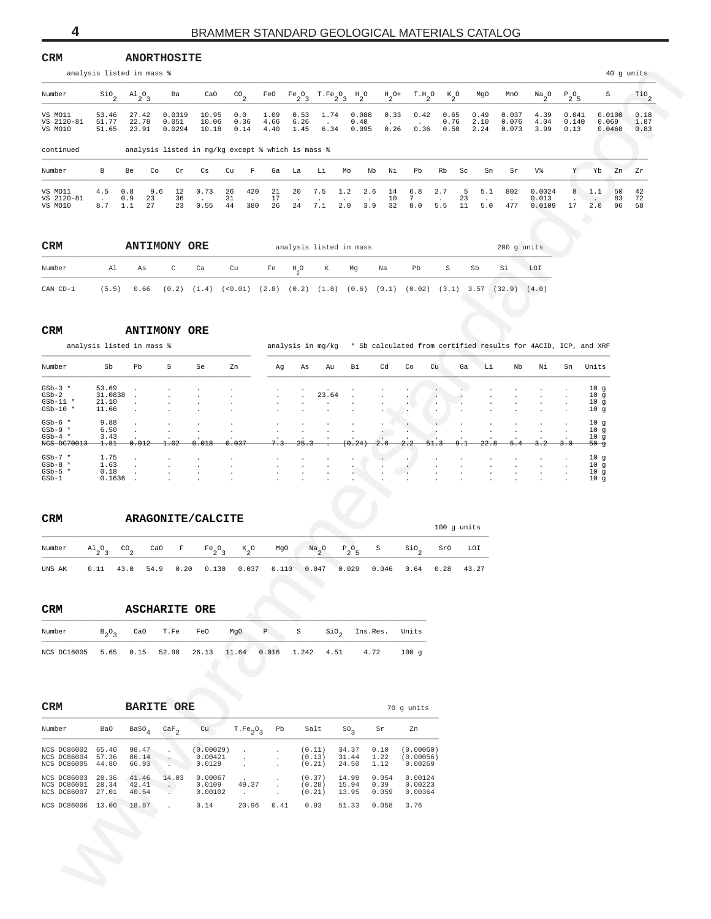### <span id="page-3-0"></span>**CRM ANORTHOSITE**

|                                                             |                                    | analysis listed in mass %            |                                                 |                                |                                                                                                           |                      |                      |                                                                                                                 |                          |                        |                                                                                        |                      |               |                      |                         |                             |                        |                                                                          | 40 g units           |
|-------------------------------------------------------------|------------------------------------|--------------------------------------|-------------------------------------------------|--------------------------------|-----------------------------------------------------------------------------------------------------------|----------------------|----------------------|-----------------------------------------------------------------------------------------------------------------|--------------------------|------------------------|----------------------------------------------------------------------------------------|----------------------|---------------|----------------------|-------------------------|-----------------------------|------------------------|--------------------------------------------------------------------------|----------------------|
| Number                                                      | $\frac{\text{SiO}}{2}$             | $A1_{2}O_{3}$                        | Ba                                              | CaO                            | $\mathrm{co}_{2}$                                                                                         | FeO                  |                      | $\begin{minipage}{.4\linewidth} \begin{tabular}{cc} Fe_2O_3 & T.Fe_2O_3 & H_2O \\ \end{tabular} \end{minipage}$ |                          |                        | $H_2$ <sup>0+</sup> T.H <sub>2</sub> <sup>0</sup> K <sub>2</sub> <sup>0</sup>          |                      |               | MgO                  | MnO                     | $\frac{Na}{2}$ <sup>O</sup> | $P_2O_5$               | S                                                                        | $\text{rio}_2$       |
| VS MO11<br>VS 2120-81<br>VS MO10                            | 53.46<br>51.77<br>51.65            | 27.42<br>22.78<br>23.91              | 0.0319<br>0.051<br>0.0294                       | 10.95<br>10.06<br>10.18        | 0.0<br>0.36<br>0.14                                                                                       | 1.09<br>4.66<br>4.40 | 0.53<br>6.26<br>1.45 | 1.74<br>$\sim$<br>6.34                                                                                          | 0.088<br>0.40<br>0.095   | 0.33<br>0.26           | 0.42<br>0.36                                                                           | 0.65<br>0.76<br>0.50 |               | 0.49<br>2.10<br>2.24 | 0.037<br>0.076<br>0.073 | 4.39<br>4.04<br>3.99        | 0.041<br>0.140<br>0.13 | 0.0100<br>0.069<br>0.0460                                                | 0.18<br>1.87<br>0.83 |
| continued                                                   |                                    |                                      |                                                 |                                | analysis listed in mg/kg except % which is mass %                                                         |                      |                      |                                                                                                                 |                          |                        |                                                                                        |                      |               |                      |                         |                             |                        |                                                                          |                      |
| Number                                                      | В                                  | Co<br>Be                             | Cr                                              | Cs                             | $\mathbb F$<br>Cu                                                                                         | Ga                   | La                   | Li                                                                                                              | Nb<br>Mo                 | Νi                     | Pb                                                                                     | Rb                   | Sc            | Sn                   | Sr                      | V%                          | Y                      | Yb<br>Zn                                                                 | Ζr                   |
| VS MO11<br>VS 2120-81<br>VS MO10                            | 4.5<br>$\sim$<br>8.7               | 9.6<br>0.8<br>0.9<br>23<br>27<br>1.1 | 12<br>36<br>23                                  | 0.73<br>0.55                   | 420<br>26<br>31<br>$\ddot{\phantom{a}}$<br>44<br>380                                                      | 21<br>17<br>26       | 20<br>24             | 7.5<br>7.1                                                                                                      | 1.2<br>2.6<br>2.0<br>3.9 | 14<br>10<br>32         | 6.8<br>7<br>8.0                                                                        | 2.7<br>5.5           | 5<br>23<br>11 | 5.1<br>5.0           | 802<br>477              | 0.0024<br>0.013<br>0.0109   | 8<br>17                | 50<br>1.1<br>83<br>2.0<br>96                                             | 42<br>72<br>58       |
| CRM                                                         |                                    | <b>ANTIMONY ORE</b>                  |                                                 |                                |                                                                                                           |                      |                      | analysis listed in mass                                                                                         |                          |                        |                                                                                        |                      |               |                      | 200 g units             |                             |                        |                                                                          |                      |
| Number                                                      | Al                                 | As                                   | $\mathtt{C}$                                    | Ca                             | Cu                                                                                                        | Fe                   | $H_{0}O$             | К                                                                                                               | Mg                       | Na                     | Pb                                                                                     | S                    | Sb            |                      | Si                      | LOI                         |                        |                                                                          |                      |
| CAN CD-1                                                    | (5.5)                              | 0.66                                 |                                                 |                                | $(0.2)$ $(1.4)$ $(0.01)$ $(2.8)$ $(0.2)$ $(1.8)$ $(0.6)$ $(0.1)$ $(0.02)$ $(3.1)$ $3.57$ $(32.9)$ $(4.0)$ |                      |                      |                                                                                                                 |                          |                        |                                                                                        |                      |               |                      |                         |                             |                        |                                                                          |                      |
| CRM                                                         |                                    | <b>ANTIMONY ORE</b>                  |                                                 |                                |                                                                                                           |                      |                      |                                                                                                                 |                          |                        |                                                                                        |                      |               |                      |                         |                             |                        |                                                                          |                      |
| Number                                                      | Sb                                 | analysis listed in mass %<br>Pb      | S                                               | Se                             | Zn                                                                                                        | Αg                   | As                   | Au                                                                                                              | Bi                       | Cd                     | analysis in mg/kg * Sb calculated from certified results for 4ACID, ICP, and XRF<br>Co | Cu                   | Ga            | Li                   | Nb                      | Νi                          | Sn                     | Units                                                                    |                      |
| $GSD-3$ *<br>$GSD-2$<br>$GSD-11$ *<br>$GSD-10$ *            | 53.69<br>31.0838<br>21.10<br>11.66 |                                      |                                                 |                                |                                                                                                           |                      |                      | 23.64                                                                                                           |                          |                        |                                                                                        |                      |               |                      |                         |                             |                        | 10g<br>10 <sub>g</sub><br>10 <sub>g</sub><br>10g                         |                      |
| $GSD-6$ *<br>$GSD-9$ *<br>$GSb-4$ *<br>NCS DC70013          | 9.88<br>6.50<br>3.43<br>1.81       | 0.012                                | 1.02                                            | 0.018                          | 0.037                                                                                                     |                      |                      |                                                                                                                 |                          |                        |                                                                                        |                      |               |                      |                         |                             |                        | 10 <sub>g</sub><br>10 <sub>g</sub><br>10g<br>-50 ფ                       |                      |
| $GSD-7$ *<br>$GSD-8$ *<br>$GSD-5$ *<br>$GSb-1$              | 1.75<br>1.63<br>0.18<br>0.1636     |                                      |                                                 |                                |                                                                                                           |                      |                      |                                                                                                                 |                          |                        |                                                                                        |                      |               |                      |                         |                             |                        | 10 <sub>g</sub><br>10 <sub>g</sub><br>10 <sub>g</sub><br>10 <sub>g</sub> |                      |
| CRM                                                         |                                    |                                      |                                                 | ARAGONITE/CALCITE              |                                                                                                           |                      |                      |                                                                                                                 |                          |                        |                                                                                        |                      |               |                      |                         |                             |                        |                                                                          |                      |
| Number                                                      |                                    | CaO                                  | F                                               |                                |                                                                                                           | MgO                  |                      |                                                                                                                 |                          | S                      |                                                                                        | 100 g units<br>SrO   | LOI           |                      |                         |                             |                        |                                                                          |                      |
| UNS AK                                                      | $\mathrm{^{Al}_{2}O_{3}}$<br>0.11  | $^{CO}$ <sub>2</sub><br>43.0<br>54.9 | 0.20                                            | $Fe_2O_3$<br>0.130             | $K_2^o$<br>0.037                                                                                          |                      | 0.110 0.047          | $Na_{2}$ <sup>O</sup>                                                                                           | $P_2O_5$<br>0.029        | 0.046                  | $\mathsf{Sio}_2$<br>0.64                                                               | 0.28                 | 43.27         |                      |                         |                             |                        |                                                                          |                      |
|                                                             |                                    |                                      |                                                 |                                |                                                                                                           |                      |                      |                                                                                                                 |                          |                        |                                                                                        |                      |               |                      |                         |                             |                        |                                                                          |                      |
| CRM                                                         |                                    | <b>ASCHARITE ORE</b>                 |                                                 |                                |                                                                                                           |                      |                      |                                                                                                                 |                          |                        |                                                                                        |                      |               |                      |                         |                             |                        |                                                                          |                      |
| Number                                                      | $B_2O_3$                           | CaO                                  | T.Fe                                            | FeO                            | MgO                                                                                                       | $\mathbb P$          | $\rm S$              | SiO <sub>2</sub>                                                                                                |                          | Ins.Res.               | Units                                                                                  |                      |               |                      |                         |                             |                        |                                                                          |                      |
| NCS DC16005                                                 | 5.65                               | 0.15                                 | 52.98                                           | 26.13                          | 11.64 0.016                                                                                               |                      |                      | 1.242 4.51                                                                                                      | 4.72                     |                        | 100g                                                                                   |                      |               |                      |                         |                             |                        |                                                                          |                      |
|                                                             |                                    |                                      |                                                 |                                |                                                                                                           |                      |                      |                                                                                                                 |                          |                        |                                                                                        |                      |               |                      |                         |                             |                        |                                                                          |                      |
| CRM                                                         |                                    | <b>BARITE ORE</b>                    |                                                 |                                |                                                                                                           |                      |                      |                                                                                                                 |                          |                        | 70 g units                                                                             |                      |               |                      |                         |                             |                        |                                                                          |                      |
| Number                                                      | Ba0                                | $_{\rm BaSO_4}$                      | $\rm {CaF}_2$                                   | Cu                             | $T.Fe2O3$ Pb                                                                                              |                      |                      | Salt                                                                                                            | $SO_{2}$                 | Sr                     | Zn                                                                                     |                      |               |                      |                         |                             |                        |                                                                          |                      |
| NCS DC86002 65.40<br>NCS DC86004 57.36<br>NCS DC86005 44.80 |                                    | 98.47<br>86.14<br>66.93              | <b>AND</b><br>$\sim$<br>$\sim$                  | (0.00029)<br>0.00421<br>0.0129 | $\cdot$<br>$\bullet$<br>$\cdot$                                                                           |                      |                      | (0.11)<br>(0.13)<br>(0.21)                                                                                      | 34.37<br>31.44<br>24.50  | 0.10<br>1.22<br>1.12   | (0.00060)<br>(0.00056)<br>0.00269                                                      |                      |               |                      |                         |                             |                        |                                                                          |                      |
| NCS DC86003 28.36<br>NCS DC86001 28.34<br>NCS DC86007 27.01 |                                    | 41.46<br>42.41<br>40.54              | 14.03<br>$\langle \cdot, \cdot \rangle$<br>- 11 | 0.00067<br>0.0109<br>0.00102   | 49.37<br>$\sim 10^{-11}$                                                                                  | $\cdot$<br>$\cdot$   |                      | (0.37)<br>(0.28)<br>(0.21)                                                                                      | 14.99<br>15.94<br>13.95  | 0.054<br>0.39<br>0.059 | 0.00124<br>0.00223<br>0.00364                                                          |                      |               |                      |                         |                             |                        |                                                                          |                      |
| NCS DC86006 13.00                                           |                                    | 18.87                                | $\sim 10^{-11}$                                 | 0.14                           |                                                                                                           | 20.96 0.41           |                      | 0.93                                                                                                            | 51.33                    | 0.058                  | 3.76                                                                                   |                      |               |                      |                         |                             |                        |                                                                          |                      |
|                                                             | <b>S</b>                           |                                      |                                                 |                                |                                                                                                           |                      |                      |                                                                                                                 |                          |                        |                                                                                        |                      |               |                      |                         |                             |                        |                                                                          |                      |

| <b>CRM</b> |       |      | <b>ANTIMONY ORE</b> |         |                          |    | analysis listed in mass |   |    |      |                                          |              |    | $200$ q units |       |
|------------|-------|------|---------------------|---------|--------------------------|----|-------------------------|---|----|------|------------------------------------------|--------------|----|---------------|-------|
| Number     | Al    | As   | C                   | Carrier | Cu                       | Fe | H <sub>a</sub> O        | K | Mg | . Na | Pb                                       | S.           | Sb | Si            | LOI   |
| CAN CD-1   | (5.5) | 0.66 | (0.2)               |         | $(1.4)$ $(0.01)$ $(2.8)$ |    |                         |   |    |      | $(0.2)$ $(1.8)$ $(0.6)$ $(0.1)$ $(0.02)$ | $(3.1)$ 3.57 |    | (32.9)        | (4.0) |

#### $\mathbf{CRM}$ **ANTIMONY ORE**

|             | analysis listed in mass % |                      |        |                      |                |                      |                      | analysis in mq/kq        |                      |                      |                               |                |                      |                |                      |         |    | * Sb calculated from certified results for 4ACID, ICP, and XRF |
|-------------|---------------------------|----------------------|--------|----------------------|----------------|----------------------|----------------------|--------------------------|----------------------|----------------------|-------------------------------|----------------|----------------------|----------------|----------------------|---------|----|----------------------------------------------------------------|
| Number      | Sb                        | Pb                   | S      | Se                   | Zn             | Ag                   | As                   | Au                       | Bi                   | Cd                   | Co                            | Cu             | Ga                   | Li             | Nb                   | Νi      | Sn | Units                                                          |
| $GSD-3$ *   | 53.69                     |                      |        | $\ddot{\phantom{a}}$ |                | $\ddot{\phantom{0}}$ | $\cdot$              | $\sim$                   |                      |                      |                               | $\sim$ $\sim$  |                      | $\cdot$        |                      |         |    | 10g                                                            |
| $GSb-2$     | 31.0838                   | $\ddot{\phantom{a}}$ | $\sim$ | $\cdot$              | $\overline{a}$ | $\sim$               | $\cdot$              | 23.64                    | $\sim$               | $\ddot{\phantom{0}}$ | $\sim$                        | $\cdot$        |                      | $\cdot$        | $\cdot$              |         |    | 10g                                                            |
| $GSD-11$ *  | 21.10                     |                      |        | $\cdot$              | $\mathbf{r}$   | $\cdot$              | $\cdot$              | $\ddot{\phantom{0}}$     | $\cdot$              |                      |                               | $\cdot$        | . .                  | $\cdot$        | $\cdot$              | $\cdot$ |    | 10g                                                            |
| $GSD-10$ *  | 11.66                     |                      |        | $\ddot{\phantom{a}}$ |                | $\sim$               | $\ddot{\phantom{a}}$ |                          |                      |                      | and the state of the state of | $\overline{a}$ |                      | $\mathbf{r}$   | $\ddot{\phantom{a}}$ |         |    | 10q                                                            |
| $GSD-6$ *   | 9.88                      |                      |        | $\cdot$              | $\cdot$        | $\cdot$              | $\cdot$              | $\cdot$                  |                      |                      | $\sim$ $\sim$                 | $\sim$         | $\sim$               |                |                      |         |    | 10g                                                            |
| $GSD-9$ *   | 6.50                      |                      |        | $\cdot$              |                | $\cdot$              | $\cdot$              | $\bullet$                |                      |                      | $\sim$                        |                | $\cdot$              | $\mathbf{r}$   | $\cdot$              |         |    | 10g                                                            |
| $GSD-4$ *   | 3.43                      |                      |        |                      |                | $\ddot{\phantom{0}}$ | $\sim$               | $\sim$                   | $\ddot{\phantom{0}}$ | .                    | $\sim$                        |                |                      |                |                      |         |    | 10q                                                            |
| NCS DC70013 | 1.81                      | 0.012                | 1.02   | 0.018                | 0.037          | 7.3                  | $-25.3$              | $\overline{\phantom{a}}$ | (0.24)               | $-2.6$               | $-2.2$                        | $-51.3$        | 9.1                  | $-22.8$        | 5.4                  | 3.2     |    | $-50 - q$                                                      |
| $GSD-7$ *   | 1.75                      |                      |        | $\sim$               |                | $\cdot$              | $\cdot$              |                          |                      | $\sim$               |                               |                |                      |                |                      |         |    | 10g                                                            |
| $GSD-8$ *   | 1.63                      |                      |        | $\cdot$              | $\overline{a}$ | $\cdot$              | $\cdot$              | $\ddot{\phantom{1}}$     | $\cdot$              |                      | $\sim$ $\sim$ $\sim$          | $\cdot$        | $\ddot{\phantom{1}}$ | $\overline{a}$ | $\cdot$              |         |    | 10g                                                            |
| $GSD-5$ *   | 0.18                      |                      |        | $\cdot$              | $\mathbf{r}$   | $\cdot$              | $\cdot$              | $\ddot{\phantom{0}}$     | $\sim$               | $\cdot$              | $\sim$ $\sim$                 | $\mathbf{r}$   | $\ddot{\phantom{0}}$ | $\cdot$        | $\cdot$              |         |    | 10g                                                            |
| $GSb-1$     | 0.1636                    |                      |        | $\cdot$              |                | $\cdot$              | $\cdot$              | $\ddot{\phantom{1}}$     | $\cdot$              | $\sim$               | $\cdot$                       | $\cdot$        | $\sim$               | $\cdot$        | $\cdot$              |         |    | 10q                                                            |

#### **CRM ARAGONITE/CALCITE**

| -----                                                                                                                                                                                      |  |  |                                                                           |  |  |  | $100$ q units |
|--------------------------------------------------------------------------------------------------------------------------------------------------------------------------------------------|--|--|---------------------------------------------------------------------------|--|--|--|---------------|
| Number Al <sub>2</sub> O <sub>3</sub> CO <sub>3</sub> CaO F Fe <sub>2</sub> O <sub>3</sub> K <sub>2</sub> O MgO Na <sub>2</sub> O P <sub>2</sub> O <sub>5</sub> S SiO <sub>2</sub> SrO LOI |  |  |                                                                           |  |  |  |               |
| UNS AK                                                                                                                                                                                     |  |  | $0.11$ 43.0 54.9 0.20 0.130 0.037 0.110 0.047 0.029 0.046 0.64 0.28 43.27 |  |  |  |               |

| <b>CRM</b> |   | <b>ASCHARITE ORE</b> |  |  |             |  |
|------------|---|----------------------|--|--|-------------|--|
| Mumbe      | . |                      |  |  | : Res<br>ns |  |

| Number                                                              |  |  |  |  | $B_2O_2$ CaO T.Fe FeO MgO P S SiO <sub>2</sub> Ins.Res. Units |  |
|---------------------------------------------------------------------|--|--|--|--|---------------------------------------------------------------|--|
| NCS DC16005 5.65 0.15 52.98 26.13 11.64 0.016 1.242 4.51 4.72 100 q |  |  |  |  |                                                               |  |

| <b>CRM</b>                                       |                         |                         | <b>BARITE ORE</b> |                                |                                  |      |                            |                         |                        | 70 q units                        |
|--------------------------------------------------|-------------------------|-------------------------|-------------------|--------------------------------|----------------------------------|------|----------------------------|-------------------------|------------------------|-----------------------------------|
| Number                                           | Ba0                     | $BASO_A$                | $CaF_{2}$         | Cu                             | T.Fe <sub>2</sub> O <sub>3</sub> | Pb   | Salt                       | SO <sub>2</sub>         | Sr                     | Zn                                |
| <b>NCS DC86002</b><br>NCS DC86004<br>NCS DC86005 | 65.40<br>57.36<br>44.80 | 98.47<br>86.14<br>66.93 |                   | (0.00029)<br>0.00421<br>0.0129 |                                  |      | (0.11)<br>(0.13)<br>(0.21) | 34.37<br>31.44<br>24.50 | 0.10<br>1.22<br>1.12   | (0.00060)<br>(0.00056)<br>0.00269 |
| <b>NCS DC86003</b><br>NCS DC86001<br>NCS DC86007 | 28.36<br>28.34<br>27.01 | 41.46<br>42.41<br>40.54 | 14.03<br>$\sim$   | 0.00067<br>0.0109<br>0.00102   | 49.37                            |      | (0.37)<br>(0.28)<br>(0.21) | 14.99<br>15.94<br>13.95 | 0.054<br>0.39<br>0.059 | 0.00124<br>0.00223<br>0.00364     |
| NCS DC86006                                      | 13.00                   | 18.87                   |                   | 0.14                           | 20.96                            | 0.41 | 0.93                       | 51.33                   | 0.058                  | 3.76                              |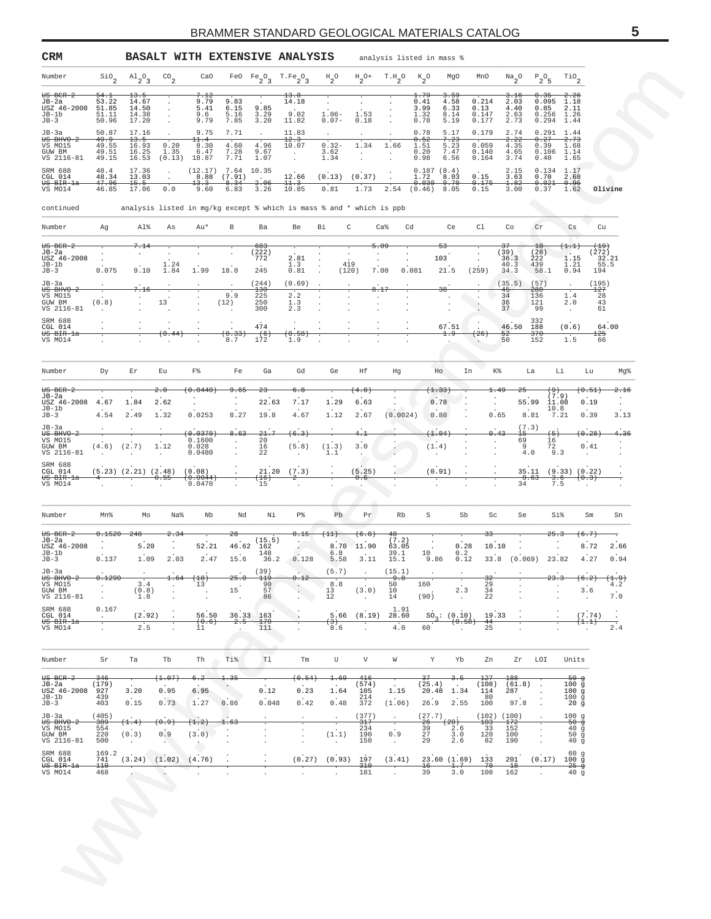<span id="page-4-0"></span>

|                                                                  |                                             |                                                  |                                                |                                                                          |                                 |                                                                      | <b>BASALT WITH EXTENSIVE ANALYSIS</b>                                |                                                       |                                                                | analysis listed in mass %                   |                                                  |                                       |                                     |                                                  |                                          |                                               |                                             |                                                |
|------------------------------------------------------------------|---------------------------------------------|--------------------------------------------------|------------------------------------------------|--------------------------------------------------------------------------|---------------------------------|----------------------------------------------------------------------|----------------------------------------------------------------------|-------------------------------------------------------|----------------------------------------------------------------|---------------------------------------------|--------------------------------------------------|---------------------------------------|-------------------------------------|--------------------------------------------------|------------------------------------------|-----------------------------------------------|---------------------------------------------|------------------------------------------------|
| Number                                                           | $\frac{\text{SiO}}{2}$                      | $A1_{2}O_{3}$                                    | $^{\rm CO}{}_{\rm 2}$                          | CaO                                                                      |                                 | FeO $Fe_2O_3$ T.Fe <sub>2</sub> O <sub>3</sub>                       |                                                                      | $\mathrm{^{H}2^{O}}$                                  | $H_2$ <sup>O+</sup>                                            | $T.H_2O$                                    | $k_{2}^{\circ}$                                  | MgO                                   | MnO                                 | $Na_{2}O$                                        | $P_2O_5$                                 |                                               | $\mathop{\rm TiO}\nolimits_2$               |                                                |
| $US$ BCR-2<br>JB-2a<br>USZ 46-2008<br>$JB-1b$<br>$JB-3$          | 54.<br>53.22<br>51.85<br>51.11<br>50.96     | 13.5<br>14.67<br>14.50<br>14.38<br>17.20         | $\cdot$                                        | 7.12<br>9.79<br>5.41<br>9.6<br>9.79                                      | 9.83<br>6.15<br>5.16<br>7.85    | 9.85<br>3.29<br>3.20                                                 | 13.8<br>14.18<br>9.02<br>11.82                                       | $1.06 -$<br>$0.07 -$                                  | 1.53<br>0.18                                                   | $\cdot$                                     | 1.79<br>0.41<br>3.99<br>1.32<br>0.78             | 4.58<br>6.33<br>8.14<br>5.19          | 0.214<br>0.13<br>0.147<br>0.177     | <del>3.1</del> 6<br>2.03<br>4.40<br>2.63<br>2.73 |                                          | 0.35<br>0.095<br>0.85<br>0.256<br>0.294       | $\frac{2.26}{1.18}$<br>2.11<br>1.26<br>1.44 |                                                |
| JB-3a<br>$0$ BHVO-2<br>VS MO15<br>GUW BM<br>VS 2116-81           | 50.87<br>49.9<br>49.55<br>49.51<br>49.15    | 17.16<br>13.5<br>16.93<br>16.25<br>16.53         | $\ddot{\phantom{1}}$<br>0.20<br>1.35<br>(0.13) | 9.75<br>11.4<br>8.30<br>6.47<br>18.87                                    | 7.71<br>4.60<br>7.28<br>7.71    | $\cdot$<br>4.96<br>9.67<br>1.07                                      | 11.83<br>12.3<br>10.07<br>$\sim$ $\sim$                              | $\cdot$<br>$0.32 -$<br>3.62<br>1.34                   | $\cdot$<br>1.34<br>$\cdot$                                     | $\cdot$<br>1.66<br>$\cdot$                  | 0.78<br>0.52<br>1.51<br>0.20<br>0.98             | 5.17<br>7.23<br>5.23<br>7.47<br>6.56  | 0.179<br>0.059<br>0.140<br>0.164    | 2.74<br>2.22<br>4.35<br>4.65<br>3.74             |                                          | 0.291<br>0.27<br>0.39<br>$0.106$ 1.14<br>0.40 | 1.44<br>2.73<br>1.68<br>1.65                |                                                |
| SRM 688<br>CGL 014<br><del>US BIR-la</del><br>VS MO14            | 48.4<br>48.34<br><del>47.96</del><br>46.85  | 17.36<br>13.03<br>15.5<br>17.06                  | $\cdot$<br>$\cdot$<br>0.0                      | (12.17)<br>8.88<br>13.3<br>9.60                                          | 7.64<br>(7.91)<br>8.34<br>6.83  | 10.35<br>$\overline{a}$<br>2.06<br>3.26                              | 12.66<br>11.3<br>10.85                                               | (0.13)<br>0.81                                        | (0.37)<br>1.73                                                 | $\ddot{\phantom{1}}$<br>2.54                | 0.187(8.4)<br>1.72<br>$0.030 -$<br>$(0.46)$ 8.05 | 8.03<br>9.70                          | 0.15<br>0.175<br>0.15               | 2.15<br>3.63<br>1.82<br>3.00                     |                                          | 0.134<br>0.70<br>$0.021 - 0.96$<br>0.37       | 1.17<br>2.68<br>1.62                        | Olivine                                        |
| continued                                                        |                                             |                                                  |                                                |                                                                          |                                 |                                                                      | analysis listed in mg/kg except % which is mass % and * which is ppb |                                                       |                                                                |                                             |                                                  |                                       |                                     |                                                  |                                          |                                               |                                             |                                                |
| Number                                                           | Ag                                          | Al%                                              | As                                             | Au*                                                                      | В                               | Ba                                                                   | Be                                                                   | Вi<br>C                                               |                                                                | Ca <sup>8</sup><br>Cd                       |                                                  | Ce                                    | Cl                                  | Co                                               | Cr                                       |                                               | Cs                                          | Cu                                             |
| $US$ BCR-2<br>JB-2a<br>USZ 46-2008<br>JB-1b<br>$JB-3$<br>$JB-3a$ | 0.075                                       | 7.14<br>9.10                                     | 1.24<br>1.84                                   | 1.99                                                                     | 18.0                            | 683<br>(222)<br>772<br>245<br>(244)                                  | 2.81<br>1.3<br>0.81<br>(0.69)                                        | $\cdot$<br>419<br>$\cdot$<br>$\cdot$                  | (120)                                                          | 5.09<br>$\cdot$<br>$\cdot$<br>7.00<br>0.081 |                                                  | 53<br>103<br>21.5                     | $\cdot$<br>(259)                    | 37<br>(39)<br>36.3<br>40.3<br>34.3<br>(35.5)     | 18<br>(28)<br>222<br>439<br>58.1<br>(57) |                                               | (1.1)<br>$1.15$<br>$1.21$<br>0.94           | (19)<br>(272)<br>32.21<br>55.5<br>194<br>(195) |
| US BHVO-<br>VS MO15<br>GUW BM<br>VS 2116-81                      | (0.8)                                       | 7.16<br>$\cdot$                                  | 13                                             | $\cdot$                                                                  | 9.9<br>(12)                     | <del>130</del><br>225<br>250<br>300                                  | 2.2<br>1.3<br>2.3                                                    | $\cdot$<br>$\cdot$<br>$\cdot$                         |                                                                | $\cdot$<br>$\cdot$<br>$\cdot$               |                                                  | 38<br>$\cdot$<br>$\cdot$<br>$\cdot$   | $\cdot$<br>$\cdot$                  | 45<br>34<br>36<br>37                             | <del>280</del><br>136<br>121<br>99       |                                               | 1.4<br>2.0<br>$\blacksquare$                | $^{127}$<br>28<br>43<br>61                     |
| SRM 688<br>CGL 014<br>US BIR-la<br>VS MO14                       | $\cdot$                                     |                                                  | $\cdot$<br>0.44<br>$\cdot$                     | $\cdot$<br>$\cdot$                                                       | $\cdot$<br>0.33<br>8.7          | 474<br>(6)<br>172                                                    | $\cdot$<br>0.58<br>1.9                                               |                                                       |                                                                | $\cdot$                                     |                                                  | 67.51<br>1.9<br>$\cdot$               | 26                                  | 46.50<br>52<br>50                                | 332<br>188<br>370<br>152                 |                                               | (0.6)<br>1.5                                | 64.00<br>125<br>66                             |
| Number                                                           | Dу                                          | Εr                                               | Εu                                             | F%                                                                       | Fe                              | Ga                                                                   | Gd                                                                   | Ge                                                    | Ηf                                                             | Ηg                                          | Ho                                               |                                       | In                                  | K%                                               | La                                       | Li                                            | Lu                                          | Mg%                                            |
| $US$ BCR-2                                                       |                                             |                                                  | 2.0                                            | 0.0440                                                                   | 9.65                            | $23 -$                                                               | 6.8                                                                  |                                                       | 4.8                                                            |                                             | (1.33                                            |                                       |                                     | 1.49                                             | -25                                      | $\leftrightarrow$                             | (0.51)                                      | 2.16                                           |
| JB-2a<br>USZ 46-2008<br>$JB-1b$<br>$JB-3$                        | 4.67<br>4.54                                | 1.84<br>2.49                                     | 2.62<br>1.32                                   | $\cdot$<br>0.0253                                                        | $\cdot$<br>8.27                 | 22.63<br>19.8                                                        | 7.17<br>4.67                                                         | 1.29<br>1.12                                          | 6.63<br>2.67                                                   | (0.0024)                                    | 0.78<br>0.80                                     |                                       |                                     | 0.65                                             | 55.99<br>8.81                            | (7.9)<br>11.08<br>10.8<br>7.21                | 0.19<br>0.39                                | $\cdot$<br>$\cdot$<br>3.13                     |
| $JB-3a$<br>$US$ BHVO-2<br>VS MO15<br>GUW BM<br>VS 2116-81        | $(4.6)$ $(2.7)$                             |                                                  | 1.12                                           | 0.0370<br>0.1600<br>0.028<br>0.0480                                      | 8.63<br>$\cdot$<br>$\cdot$      | 21.7<br>20<br>16<br>22                                               | (6.3)<br>(5.8)<br>$\cdot$                                            | (1.3)<br>1.1                                          | $^{4.1}$<br>3.0                                                |                                             | (1.04)<br>(1.4)<br>$\cdot$                       |                                       |                                     | 0.43<br>$\cdot$                                  | (7.3)<br>$^{15}$<br>69<br>9<br>4.0       | (5)<br>16<br>72<br>9.3                        | (0.28)<br>0.41<br>$\cdot$                   | 4.36                                           |
| SRM 688<br>CGL 014<br>US BIR-la<br>VS MO14                       | $^{4-}$                                     | $(5.23)$ $(2.21)$ $(2.48)$<br>$\overline{\cdot}$ | 0.55                                           | (0.08)<br>$(\hphantom{0}\hphantom{0}\hphantom{0}\hphantom{0})$<br>0.0470 |                                 | 21.20<br>(16)<br>15                                                  | (7.3)<br>$\hat{z}$                                                   |                                                       | (5.25)<br>0.6                                                  |                                             | (0.91)<br>$\overline{\cdot}$                     |                                       | 7                                   |                                                  | 0.63<br>34                               | 3.6<br>7.5                                    | 35.11 (9.33) (0.22)<br>(0.3)                |                                                |
| Number                                                           | Mn%                                         | Mo                                               | Na%                                            | Nb                                                                       | Nd                              | Νi                                                                   | ₽%                                                                   | Pb                                                    | Pr                                                             | Rb                                          | S                                                | Sb                                    | Sc                                  |                                                  | Se                                       | Si%                                           | $\mbox{Sm}$                                 | Sn                                             |
| $US$ BCR-2                                                       | 0.1520                                      | 2.48                                             | 2.34                                           |                                                                          | 28                              |                                                                      | 0.15                                                                 |                                                       | 6.8)                                                           | 48<br>(7.2)                                 |                                                  |                                       | <del>٦R</del>                       |                                                  |                                          | 25.3                                          | $6.7+$                                      |                                                |
| JB-2a<br>USZ 46-2008<br>$JB-1b$<br>JB-3                          | 0.137                                       | 5.20<br>1.09                                     | 2.03                                           | 52.21<br>2.47                                                            | 46.62<br>15.6                   | (15.5)<br>162<br>148<br>36.2                                         | $\ddot{\phantom{0}}$<br>0.128                                        | 8.70<br>6.8<br>5.58                                   | 11.90<br>3.11                                                  | 63.05<br>39.1<br>15.1                       | 10<br>9.86                                       | 0.28<br>0.2<br>0.12                   | 10.10<br>33.8                       |                                                  | (0.069)                                  | 23.82                                         | 8.72<br>4.27                                | 2.66<br>0.94                                   |
| JB-3a<br>US BHVO-2<br>VS MO15<br>GUW BM<br>VS 2116-81            | 0.1290<br>$\sim$<br>$\cdot$                 | 3.4<br>(0.8)<br>1.8                              | $\cdot$<br>$\cdot$                             | $(+18)$<br>13<br>$\blacksquare$                                          | $\ddot{\phantom{a}}$<br>15      | (39)<br>$^{119}$<br>90<br>57<br>86                                   | 0.12<br>$\sim$<br>$\sim$                                             | (5.7)<br>8.8<br>13<br>12                              | $\cdot$<br>$(\sqrt{3} \cdot 0 \,)$<br>$\overline{\phantom{a}}$ | (15.1)<br>ه.و<br>50<br>10<br>14             | 160<br>(90)                                      | $\cdot$<br>2.3<br>$\cdot$             | 32<br>29<br>34<br>22                |                                                  | $\cdot$                                  | $\cdot$                                       | 6.2<br>$\overline{a}$<br>3.6<br>$\sim$      | (1.9)<br>4.2<br>7.0                            |
| SRM 688<br>CGL 014<br><del>US BIR-la</del><br>VS MO14            | 0.167<br>$\sim$ $-$<br>$\ddot{\phantom{0}}$ | (2.92)<br>2.5                                    |                                                | 56.50<br>(0.6)<br>11                                                     | 36.33<br>$-2.5$                 | 163<br>170<br>111                                                    |                                                                      | 5.66<br>$\left( 3\right)$<br>8.6                      | (8.19)                                                         | 1.91<br>28.60<br>4.0                        | 60                                               | $SO_2$ : (0.10)<br>(0.58)             | 44<br>25                            | 19.33                                            |                                          |                                               | (7.74)<br>$(\pm . \pm)$                     | $\sim$<br>÷<br>2.4                             |
| Number                                                           | Sr                                          | Ta                                               | Tb                                             | Th                                                                       | Ti%                             | Tl                                                                   | Tm                                                                   | U                                                     | V                                                              | W                                           | Υ                                                | Yb                                    | Zn                                  | Zr                                               | LOI                                      |                                               | Units                                       |                                                |
| $US$ BCR-2<br>JB-2a<br>USZ 46-2008<br>JB-1b<br>$JB-3$            | 346<br>(179)<br>927<br>439<br>403           | 3.20<br>0.15                                     | (1.07)<br>0.95<br>0.73                         | 6.2<br>6.95<br>1.27                                                      | 1.35<br>0.86                    | 0.12<br>0.048                                                        | (0.54)<br>0.23<br>0.42                                               | 1.69<br>1.64<br>0.48                                  | 416<br>(574)<br>105<br>214<br>372                              | 1.15<br>(1.06)                              | 37<br>(25.4)<br>20.48<br>26.9                    | 3.5<br>$\overline{a}$<br>1.34<br>2.55 | $+2.7$<br>(108)<br>114<br>80<br>100 | 188<br>(61.8)<br>287<br>97.8                     |                                          |                                               | $50 - g$<br>100g<br>100g<br>100g<br>20 g    |                                                |
| JB-3a<br>$US$ BHVO-2<br>VS MO15<br>GUW BM<br>VS 2116-81          | (405)<br>389<br>554<br>220<br>500           | (1.4)<br>(0.3)<br>$\sim 10^{-1}$                 | 0.9)<br>0.9<br>$\sim$                          | (1.2)<br>(3.0)<br>×.                                                     | 1.63                            | $\ddot{\phantom{0}}$<br>$\ddot{\phantom{0}}$<br>$\ddot{\phantom{0}}$ | $\cdot$<br>7<br>$\cdot$<br>$\cdot$<br>$\cdot$                        | $\ddot{\phantom{a}}$<br>(1.1)<br>$\ddot{\phantom{0}}$ | (377)<br>$\frac{317}{234}$<br>190<br>150                       | $\cdot$<br>0.9<br>$\sim$                    | (27.7)<br>-26<br>39<br>27<br>29                  | (20)<br>2.6<br>$3.0$<br>2.6           | 103<br>33<br>120<br>82              | $(102)$ $(100)$<br>172<br>152<br>100<br>190      | $\cdot$<br>$\cdot$                       |                                               | 100g<br>$-50g$<br>40g<br>50g<br>40g         |                                                |
| SRM 688                                                          | 169.2<br>741<br>110                         | (3.24)                                           | (1.02)                                         | (4.76)<br>$\ddot{\phantom{0}}$                                           | $\cdot$<br>$\ddot{\phantom{a}}$ | $\ddot{\phantom{a}}$<br>$\ddot{\phantom{a}}$                         | (0.27)<br>$\cdot$                                                    | (0.93)<br>$\overline{\cdot}$<br>$\mathbf{r}$          | 197<br>$310 -$<br>181                                          | (3.41)                                      | $+6-$<br>39                                      | 23.60(1.69)<br>1.7<br>3.0             | 133<br>$-70$<br>108                 | 201<br>$-18$<br>162                              |                                          | (0.17)                                        | 60 g<br>100g<br>$-25 - 9$<br>40g            |                                                |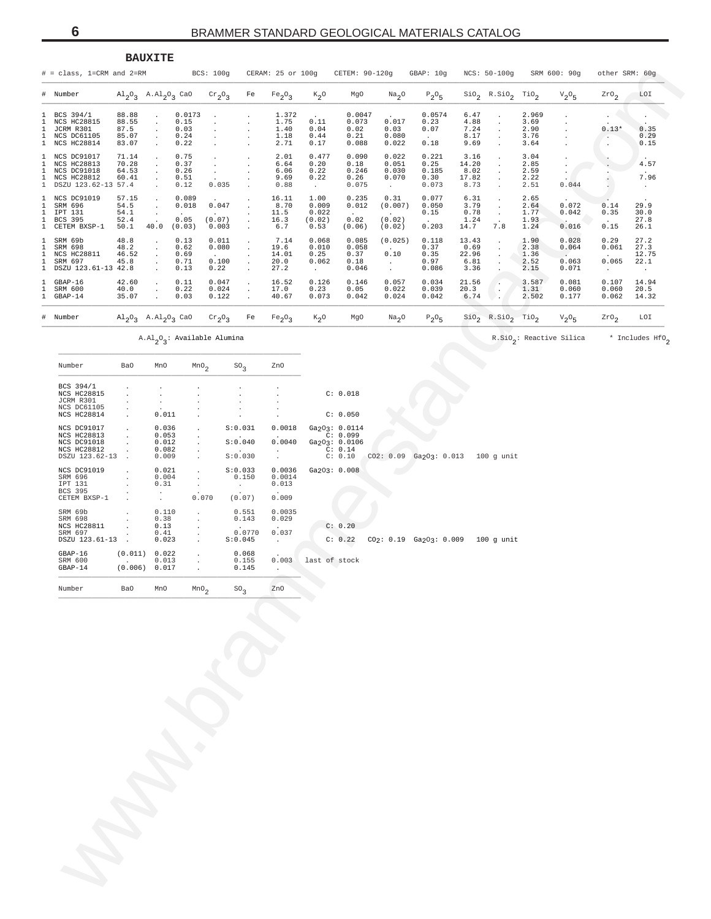<span id="page-5-0"></span>

|                                             |                                                                                                                                                                               |                                                                               | <b>BAUXITE</b>                                                           |                                        |                                           |                                                       |                                       |                                           |                                                                                                                    |                                                         |                                                    |                                        |                                                                         |                                       |                                            |                                     |                                          |
|---------------------------------------------|-------------------------------------------------------------------------------------------------------------------------------------------------------------------------------|-------------------------------------------------------------------------------|--------------------------------------------------------------------------|----------------------------------------|-------------------------------------------|-------------------------------------------------------|---------------------------------------|-------------------------------------------|--------------------------------------------------------------------------------------------------------------------|---------------------------------------------------------|----------------------------------------------------|----------------------------------------|-------------------------------------------------------------------------|---------------------------------------|--------------------------------------------|-------------------------------------|------------------------------------------|
|                                             | $# = class, 1=CRM and 2=RM$                                                                                                                                                   |                                                                               |                                                                          |                                        | BCS: 100g                                 |                                                       | CERAM: 25 or 100g                     |                                           | CETEM: 90-120g                                                                                                     |                                                         | GBAP: 10g                                          |                                        | NCS: 50-100g                                                            |                                       | SRM 600: 90g                               | other SRM: 60g                      |                                          |
| # Number                                    |                                                                                                                                                                               |                                                                               | $\text{Al}_2\text{O}_3$ A. $\text{Al}_2\text{O}_3$ CaO                   |                                        | $\mathrm{cr}_2\mathrm{O}_3$               | Fe                                                    | Fe <sub>2</sub> O <sub>3</sub>        | $K_2$ <sup>O</sup>                        | MgO                                                                                                                | Na <sub>2</sub> O                                       | $P_2O_5$                                           |                                        | $\overline{\text{Sio}}_2$ R.SiO <sub>2</sub> TiO <sub>2</sub>           |                                       | $V_2O_5$                                   | $2r0_2$                             | LOI                                      |
| 1<br>1<br>1<br>1<br>$\mathbf{1}$            | BCS 394/1<br><b>NCS HC28815</b><br>JCRM R301<br>NCS DC61105<br>NCS HC28814                                                                                                    | 88.88<br>88.55<br>87.5<br>85.07<br>83.07                                      | $\cdot$<br>$\cdot$<br>$\cdot$<br>$\cdot$<br>$\cdot$                      | 0.0173<br>0.15<br>0.03<br>0.24<br>0.22 |                                           | $\cdot$                                               | 1.372<br>1.75<br>1.40<br>1.18<br>2.71 | 0.11<br>0.04<br>0.44<br>0.17              | 0.0047<br>0.073<br>0.02<br>0.21<br>0.088                                                                           | $\ddot{\phantom{a}}$<br>0.017<br>0.03<br>0.080<br>0.022 | 0.0574<br>0.23<br>0.07<br>$\sim 10^{-11}$<br>0.18  | 6.47<br>4.88<br>7.24<br>8.17<br>9.69   | $\cdot$<br>$\cdot$<br>$\cdot$<br>$\cdot$<br>$\ddot{\phantom{a}}$        | 2.969<br>3.69<br>2.90<br>3.76<br>3.64 | $\cdot$<br>$\cdot$<br>$\cdot$              | $0.13*$<br>$\overline{\phantom{a}}$ | $\cdot$<br>0.35<br>0.29<br>0.15          |
| $\mathbf{1}$<br>1<br>1<br>1<br>$\mathbf{1}$ | NCS DC91017<br>NCS HC28813<br>NCS DC91018<br><b>NCS HC28812</b><br>DSZU 123.62-13 57.4                                                                                        | 71.14<br>70.28<br>64.53<br>60.41                                              | $\cdot$<br>$\cdot$<br>$\cdot$<br>$\bullet$<br>$\cdot$                    | 0.75<br>0.37<br>0.26<br>0.51<br>0.12   | $\cdot$<br>$\cdot$<br>$\bullet$<br>0.035  | $\cdot$                                               | 2.01<br>6.64<br>6.06<br>9.69<br>0.88  | 0.477<br>0.20<br>0.22<br>0.22<br>$\sim$   | 0.090<br>0.18<br>0.246<br>0.26<br>0.075                                                                            | 0.022<br>0.051<br>0.030<br>0.070<br>$\sim$              | 0.221<br>0.25<br>0.185<br>0.30<br>0.073            | 3.16<br>14.20<br>8.02<br>17.82<br>8.73 | $\cdot$<br>$\cdot$<br>$\cdot$<br>$\cdot$<br>$\cdot$                     | 3.04<br>2.85<br>2.59<br>2.22<br>2.51  | $\cdot$<br>$\cdot$<br>$\sim$<br>0.044      |                                     | 4.57<br>7.96<br>$\sim$                   |
| $\mathbf{1}$<br>1<br>1<br>1<br>$\mathbf{1}$ | NCS DC91019<br>SRM 696<br>IPT 131<br>BCS 395<br>CETEM BXSP-1                                                                                                                  | 57.15<br>54.5<br>54.1<br>52.4<br>50.1                                         | $\cdot$<br>$\cdot$<br>$\cdot$<br>$\overline{a}$<br>40.0                  | 0.089<br>0.018<br>0.05<br>(0.03)       | 0.047<br>$\sim$<br>(0.07)<br>0.003        | $\cdot$<br>$\cdot$<br>$\cdot$<br>$\ddot{\phantom{a}}$ | 16.11<br>8.70<br>11.5<br>16.3<br>6.7  | 1.00<br>0.009<br>0.022<br>(0.02)<br>0.53  | 0.235<br>0.012<br>$\ddot{\phantom{a}}$<br>0.02<br>(0.06)                                                           | 0.31<br>(0.007)<br>$\sim$ $-$<br>(0.02)<br>(0.02)       | 0.077<br>0.050<br>0.15<br>$\sim 10^{-11}$<br>0.203 | 6.31<br>3.79<br>0.78<br>1.24<br>14.7   | $\cdot$<br>$\cdot$<br>$\cdot$<br>$\ddot{\phantom{a}}$<br>7.8            | 2.65<br>2.64<br>1.77<br>1.93<br>1.24  | 0.072<br>0.042<br>0.016                    | 0.14<br>0.35<br>0.15                | 29.9<br>30.0<br>27.8<br>26.1             |
| 1<br>1<br>1<br>1<br>$\mathbf{1}$            | SRM 69b<br>SRM 698<br><b>NCS HC28811</b><br>SRM 697<br>DSZU 123.61-13 42.8                                                                                                    | 48.8<br>48.2<br>46.52<br>45.8                                                 | $\cdot$<br>$\cdot$<br>$\cdot$<br>$\cdot$                                 | 0.13<br>0.62<br>0.69<br>0.71<br>0.13   | 0.011<br>0.080<br>$\sim$<br>0.100<br>0.22 | $\cdot$<br>$\cdot$<br>$\cdot$<br>$\cdot$              | 7.14<br>19.6<br>14.01<br>20.0<br>27.2 | 0.068<br>0.010<br>0.25<br>0.062<br>$\sim$ | 0.085<br>0.058<br>0.37<br>0.18<br>0.046                                                                            | (0.025)<br>$\sim$<br>0.10<br>$\sim$ $-$<br>$\sim$       | 0.118<br>0.37<br>0.35<br>0.97<br>0.086             | 13.43<br>0.69<br>22.96<br>6.81<br>3.36 | $\cdot$<br>$\cdot$<br>$\cdot$<br>$\cdot$                                | 1.90<br>2.38<br>1.36<br>2.52<br>2.15  | 0.028<br>0.064<br>$\sim$<br>0.063<br>0.071 | 0.29<br>0.061<br>0.065<br>$\sim$    | 27.2<br>27.3<br>12.75<br>22.1<br>$\cdot$ |
| $\mathbf{1}$<br>1<br>$\mathbf{1}$           | $GBAP-16$<br>SRM 600<br>GBAP-14                                                                                                                                               | 42.60<br>40.0<br>35.07                                                        | $\cdot$<br>$\cdot$<br>$\ddot{\phantom{a}}$                               | 0.11<br>0.22<br>0.03                   | 0.047<br>0.024<br>0.122                   | $\cdot$<br>$\cdot$<br>$\blacksquare$                  | 16.52<br>17.0<br>40.67                | 0.126<br>0.23<br>0.073                    | 0.146<br>0.05<br>0.042                                                                                             | 0.057<br>0.022<br>0.024                                 | 0.034<br>0.039<br>0.042                            | 21.56<br>20.3<br>6.74                  | $\cdot$<br>$\cdot$<br>۰.                                                | 3.587<br>1.31<br>2.502                | 0.081<br>0.060<br>0.177                    | 0.107<br>0.060<br>0.062             | 14.94<br>20.5<br>14.32                   |
| # Number                                    |                                                                                                                                                                               |                                                                               | $\mathrm{Al}_2\mathrm{O}_3$ A. $\mathrm{Al}_2\mathrm{O}_3$ CaO           |                                        | $\mathrm{cr}_2\mathrm{O}_3$               | Fe                                                    | Fe <sub>2</sub> O <sub>3</sub>        | $K_2$ <sup>O</sup>                        | MgO                                                                                                                | Na <sub>2</sub> O                                       | $P_2O_5$                                           |                                        | $\overline{\text{SiO}_2}$ R. $\overline{\text{SiO}}_2$ Tio <sub>2</sub> |                                       | $V_2O_5$                                   | $2r0_2$                             | LOI                                      |
|                                             |                                                                                                                                                                               |                                                                               |                                                                          |                                        | $A.A1_2O_3$ : Available Alumina           |                                                       |                                       |                                           |                                                                                                                    |                                                         |                                                    |                                        |                                                                         |                                       | R.SiO <sub>2</sub> : Reactive Silica       |                                     | * Includes HfO <sub>2</sub>              |
|                                             | Number                                                                                                                                                                        | Ba0                                                                           | MnO                                                                      | MnO <sub>2</sub>                       |                                           | SO <sub>3</sub>                                       | ZnO                                   |                                           |                                                                                                                    |                                                         |                                                    |                                        |                                                                         |                                       |                                            |                                     |                                          |
|                                             | BCS 394/1<br><b>NCS HC28815</b><br>JCRM R301<br>NCS DC61105<br><b>NCS HC28814</b><br>NCS DC91017<br><b>NCS HC28813</b><br>NCS DC91018<br><b>NCS HC28812</b><br>DSZU 123.62-13 | $\cdot$<br>$\cdot$<br>$\cdot$<br>$\ddot{\phantom{a}}$<br>$\ddot{\phantom{1}}$ | $\cdot$<br>$\cdot$<br>0.011<br>0.036<br>0.053<br>0.012<br>0.082<br>0.009 | $\ddot{\phantom{a}}$                   |                                           | S:0.031<br>S:0.040<br>S:0.030                         | 0.0018<br>0.0040<br>$\sim$            |                                           | C: 0.018<br>C: 0.050<br>Ga <sub>2</sub> O <sub>3</sub> : 0.0114<br>C: 0.099<br>Ga203: 0.0106<br>C: 0.14<br>C: 0.10 | CO2: 0.09                                               | Ga2O3: 0.013                                       |                                        | 100 g unit                                                              |                                       |                                            |                                     |                                          |
|                                             | NCS DC91019<br>SRM 696<br>IPT 131<br>BCS 395<br>CETEM BXSP-1                                                                                                                  |                                                                               | 0.021<br>0.004<br>0.31<br>$\ddot{\phantom{0}}$                           | $\cdot$<br>$\cdot$<br>$\cdot$          | 0.070                                     | S:0.033<br>0.150<br>$\sim$<br>(0.07)                  | 0.0036<br>0.0014<br>0.013<br>0.009    |                                           | Ga203: 0.008                                                                                                       |                                                         |                                                    |                                        |                                                                         |                                       |                                            |                                     |                                          |
|                                             | SRM 69b<br>SRM 698<br><b>NCS HC28811</b><br>SRM 697<br>DSZU 123.61-13.                                                                                                        |                                                                               | 0.110<br>0.38<br>0.13<br>0.41<br>0.023                                   | $\cdot$<br>$\cdot$<br>$\cdot$          |                                           | 0.551<br>0.143<br>0.0770<br>S:0.045                   | 0.0035<br>0.029<br>0.037<br>$\sim$    |                                           | C: 0.20<br>C: 0.22                                                                                                 |                                                         | $CO2: 0.19$ $Ga2O3: 0.009$                         |                                        | 100 q unit                                                              |                                       |                                            |                                     |                                          |
|                                             | $GBAP-16$<br>SRM 600<br>$GBAP-14$                                                                                                                                             | $\sim$                                                                        | (0.011) 0.022<br>0.013<br>(0.006) 0.017                                  | $\cdot$                                |                                           | 0.068<br>0.155<br>0.145                               | 0.003                                 | last of stock                             |                                                                                                                    |                                                         |                                                    |                                        |                                                                         |                                       |                                            |                                     |                                          |
|                                             | Number                                                                                                                                                                        | Ba0                                                                           | MnO                                                                      | MnO <sub>2</sub>                       |                                           | $SO_3$                                                | ZnO                                   |                                           |                                                                                                                    |                                                         |                                                    |                                        |                                                                         |                                       |                                            |                                     |                                          |
|                                             |                                                                                                                                                                               |                                                                               |                                                                          |                                        |                                           |                                                       |                                       |                                           |                                                                                                                    |                                                         |                                                    |                                        |                                                                         |                                       |                                            |                                     |                                          |
|                                             |                                                                                                                                                                               |                                                                               |                                                                          |                                        |                                           |                                                       |                                       |                                           |                                                                                                                    |                                                         |                                                    |                                        |                                                                         |                                       |                                            |                                     |                                          |
|                                             |                                                                                                                                                                               |                                                                               |                                                                          |                                        |                                           |                                                       |                                       |                                           |                                                                                                                    |                                                         |                                                    |                                        |                                                                         |                                       |                                            |                                     |                                          |
|                                             |                                                                                                                                                                               |                                                                               |                                                                          |                                        |                                           |                                                       |                                       |                                           |                                                                                                                    |                                                         |                                                    |                                        |                                                                         |                                       |                                            |                                     |                                          |
|                                             |                                                                                                                                                                               |                                                                               |                                                                          |                                        |                                           |                                                       |                                       |                                           |                                                                                                                    |                                                         |                                                    |                                        |                                                                         |                                       |                                            |                                     |                                          |

| Number                          | Ba0                      | MnO                  | MnO <sub>2</sub>     | $SO_2$               | ZnO     |               |               |           |  |                            |              |
|---------------------------------|--------------------------|----------------------|----------------------|----------------------|---------|---------------|---------------|-----------|--|----------------------------|--------------|
| BCS 394/1<br><b>NCS HC28815</b> |                          |                      |                      |                      |         |               | C: 0.018      |           |  |                            |              |
| JCRM R301                       |                          |                      |                      |                      |         |               |               |           |  |                            |              |
| NCS DC61105                     |                          |                      |                      |                      |         |               |               |           |  |                            |              |
| <b>NCS HC28814</b>              |                          | 0.011                |                      |                      |         |               | C: 0.050      |           |  |                            |              |
| NCS DC91017                     |                          | 0.036                |                      | S:0.031              | 0.0018  |               | Ga203: 0.0114 |           |  |                            |              |
| <b>NCS HC28813</b>              |                          | 0.053                |                      |                      |         |               | C: 0.099      |           |  |                            |              |
| NCS DC91018                     |                          | 0.012                |                      | S:0.040              | 0.0040  |               | Ga2O3: 0.0106 |           |  |                            |              |
| <b>NCS HC28812</b>              |                          | 0.082                | $\ddot{\phantom{0}}$ | $\sim$               | $\cdot$ |               | C: 0.14       |           |  |                            |              |
| DSZU 123.62-13                  | $\mathbf{r}$             | 0.009                | $\mathbf{r}$         | S:0.030              |         |               | C: 0.10       | CO2: 0.09 |  | $Ga_2O_3: 0.013$           | $100$ g unit |
| NCS DC91019                     |                          | 0.021                |                      | S:0.033              | 0.0036  | Ga2O3: 0.008  |               |           |  |                            |              |
| SRM 696                         |                          | 0.004                | $\mathbf{r}$         | 0.150                | 0.0014  |               |               |           |  |                            |              |
| IPT 131                         |                          | 0.31                 |                      | $\ddot{\phantom{0}}$ | 0.013   |               |               |           |  |                            |              |
| <b>BCS 395</b>                  |                          | $\ddot{\phantom{0}}$ |                      |                      |         |               |               |           |  |                            |              |
| CETEM BXSP-1                    |                          | z.                   | 0.070                | (0.07)               | 0.009   |               |               |           |  |                            |              |
| SRM 69b                         |                          | 0.110                |                      | 0.551                | 0.0035  |               |               |           |  |                            |              |
| SRM 698                         |                          | 0.38                 |                      | 0.143                | 0.029   |               |               |           |  |                            |              |
| <b>NCS HC28811</b>              |                          | 0.13                 |                      | $\sim$               | $\sim$  |               | C: 0.20       |           |  |                            |              |
| SRM 697                         |                          | 0.41                 |                      | 0.0770               | 0.037   |               |               |           |  |                            |              |
| DSZU 123.61-13                  |                          | 0.023                | $\mathbf{r}$         | S:0.045              | $\sim$  |               | C: 0.22       |           |  | $CO2: 0.19$ $Ga2O3: 0.009$ | $100$ q unit |
| $GBAP-16$                       | (0.011)                  | 0.022                |                      | 0.068                |         |               |               |           |  |                            |              |
| SRM 600                         | <b>Contract Contract</b> | 0.013                |                      | 0.155                | 0.003   | last of stock |               |           |  |                            |              |
| $GBAP-14$                       | (0.006)                  | 0.017                |                      | 0.145                |         |               |               |           |  |                            |              |
| Number                          | Ba0                      | MnO                  | MnO <sub>2</sub>     | $SO_2$               | ZnO     |               |               |           |  |                            |              |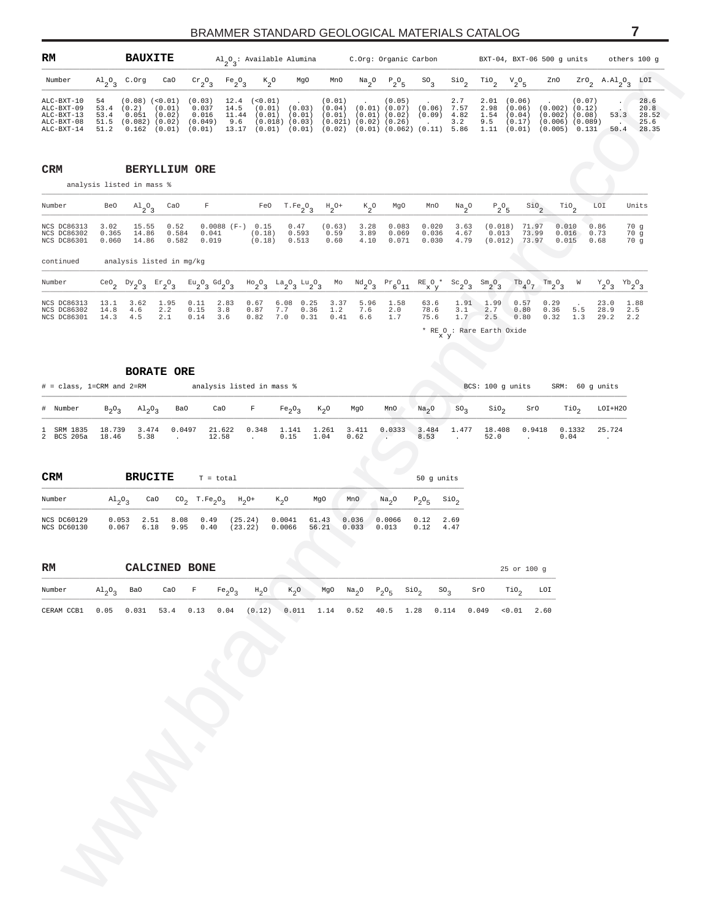<span id="page-6-0"></span>

| RM                                                                   |    | <b>BAUXITE</b>                                 |                             |                                                                                 |                                | $\mathrm{Al}_{\alpha} \mathrm{O}_{\alpha}$ : Available Alumina                                                                                                                                                                                           |     |     |      | C.Org: Organic Carbon |                                                                          |                            |                  |                                                     | BXT-04, BXT-06 500 q units                                                                   |        | others 100 q     |                                        |
|----------------------------------------------------------------------|----|------------------------------------------------|-----------------------------|---------------------------------------------------------------------------------|--------------------------------|----------------------------------------------------------------------------------------------------------------------------------------------------------------------------------------------------------------------------------------------------------|-----|-----|------|-----------------------|--------------------------------------------------------------------------|----------------------------|------------------|-----------------------------------------------------|----------------------------------------------------------------------------------------------|--------|------------------|----------------------------------------|
| Number                                                               |    | $\mathrm{Al}_{\scriptscriptstyle{Q_2}}$ C. Org | CaO                         | $\mathrm{Cr}_{\alpha} \circ \alpha$                                             | Fe <sub>2</sub> O <sub>2</sub> | $K_{0}$                                                                                                                                                                                                                                                  | MgO | MnO | Na O | $P_{0}O_{E}$          | $SO_{\alpha}$                                                            | SiO <sub>2</sub>           | TiO <sub>o</sub> | $V_{0}O_{E}$                                        | ZnO                                                                                          |        | ZrO, A.Al.O, LOI |                                        |
| ALC-BXT-10<br>ALC-BXT-09<br>$ALC-BXT-13$<br>ALC-BXT-08<br>ALC-BXT-14 | 54 | 53.4 (0.2)                                     | (0.01)<br>53.4 0.051 (0.02) | $(0.08)$ (<0.01) (0.03)<br>$0.037$ 14.5<br>0.016<br>51.5 (0.082) (0.02) (0.049) |                                | $12.4$ (<0.01) (0.01) (0.05)<br>$(0.01)$ $(0.03)$ $(0.04)$ $(0.01)$ $(0.07)$<br>11.44 (0.01) (0.01) (0.01) (0.01) (0.02)<br>$9.6$ (0.018) (0.03) (0.021) (0.02) (0.26)<br>51.2 0.162 (0.01) (0.01) 13.17 (0.01) (0.01) (0.02) (0.01) (0.062) (0.11) 5.86 |     |     |      |                       | <b>Contract Contract</b><br>(0.06)<br>(0.09)<br><b>Contract Contract</b> | 2.7<br>7.57<br>4.82<br>3.2 | 9.5              | 2.01 (0.06)<br>2.98 (0.06)<br>1.54 (0.04)<br>(0.17) | $(0.002)$ $(0.12)$<br>$(0.002)$ $(0.08)$<br>$(0.006)$ $(0.089)$<br>1.11 (0.01) (0.005) 0.131 | (0.07) | 53.3<br>50.4     | 28.6<br>20.8<br>28.52<br>25.6<br>28.35 |

www.brammerstandard.com \_\_\_\_\_\_\_\_\_\_\_\_\_\_\_\_\_\_\_\_\_\_\_\_\_\_\_\_\_\_\_\_\_\_\_\_\_\_\_\_\_\_\_\_\_\_\_\_\_\_\_\_\_\_\_\_\_\_\_\_\_\_\_\_\_\_\_\_\_\_\_\_\_\_\_\_\_\_\_\_\_\_\_\_\_\_\_\_\_\_\_\_\_\_\_\_\_\_\_\_\_\_\_\_\_\_\_\_\_\_\_\_\_\_\_\_\_\_\_\_\_\_\_\_\_\_\_\_\_\_\_\_\_\_\_\_\_\_\_\_\_\_\_\_\_ Number BeO  $\text{Al}_2\text{O}_3$ CaO F FeO T.Fe<sub>2</sub><sup>O</sup><sub>3</sub>  $H_{2}O+$  $K_{2}O$ Mg0 MnO Na<sub>2</sub>0  $\circ$   $P_2$ <sup>O</sup><sub>5</sub> SiO<sub>2</sub> TiO2 LOI Units \_\_\_\_\_\_\_\_\_\_\_\_\_\_\_\_\_\_\_\_\_\_\_\_\_\_\_\_\_\_\_\_\_\_\_\_\_\_\_\_\_\_\_\_\_\_\_\_\_\_\_\_\_\_\_\_\_\_\_\_\_\_\_\_\_\_\_\_\_\_\_\_\_\_\_\_\_\_\_\_\_\_\_\_\_\_\_\_\_\_\_\_\_\_\_\_\_\_\_\_\_\_\_\_\_\_\_\_\_\_\_\_\_\_\_\_\_\_\_\_\_\_\_\_\_\_\_\_\_\_\_\_\_\_\_\_\_\_\_\_\_\_\_\_\_ NCS DC86313 3.02 15.55 0.52 0.0088 (F-) 0.15 0.47 (0.63) 3.28 0.083 0.020 3.63 (0.018) 71.97 0.010 0.86 70 g<br>NCS DC86302 0.365 14.86 0.584 0.041 (0.18) 0.593 0.59 3.89 0.069 0.036 4.67 0.013 73.99 0.016 0.73 70 g<br>NCS DC863 continued analysis listed in mg/kg \_\_\_\_\_\_\_\_\_\_\_\_\_\_\_\_\_\_\_\_\_\_\_\_\_\_\_\_\_\_\_\_\_\_\_\_\_\_\_\_\_\_\_\_\_\_\_\_\_\_\_\_\_\_\_\_\_\_\_\_\_\_\_\_\_\_\_\_\_\_\_\_\_\_\_\_\_\_\_\_\_\_\_\_\_\_\_\_\_\_\_\_\_\_\_\_\_\_\_\_\_\_\_\_\_\_\_\_\_\_\_\_\_\_\_\_\_\_\_\_\_\_\_\_\_\_\_\_\_\_\_\_\_\_\_\_\_\_\_\_\_\_\_\_\_ Number  $CeO_2$   $Dy_2O_3$   $Er_2O_3$   $Eu_2O_3$   $Gd_2O_3$  $\mu_{0}^{3}$   $\mu_{1}^{3}$   $\mu_{2}^{3}$   $\mu_{3}^{3}$ Number CeO<sub>2</sub> Dy<sub>2</sub>O<sub>3</sub> Er<sub>2</sub>O<sub>3</sub> Gd<sub>2</sub>O<sub>3</sub> Ho<sub>2</sub>O<sub>3</sub> La<sub>2</sub>O<sub>3</sub> La<sub>2</sub>O<sub>3</sub> La<sub>2</sub>O<sub>3</sub> Mo Nd<sub>2</sub>O<sub>3</sub> Pr<sub>6</sub>O<sub>1</sub> RE O<sup>\*</sup> Sc<sub>2</sub>O<sub>3</sub> Sm<sub>2</sub>O<sub>3</sub> Th<sub>4</sub>O<sub>7</sub> Tm<sub>2</sub>O<sub>3</sub> W Y<sub>2</sub>O<sub>3</sub> Yb<sub>2</sub>O<sub>3</sub>  $^{Tb}4^0$  $Tm<sub>2</sub>$ <sup>O</sup><sub>3</sub>  $W$   $Y_2O_3$   $Yb_2O$ NCS DC86313 13.1 3.62 1.95 0.11 2.83 0.67 6.08 0.25 3.37 5.96 1.58 63.6 1.91 1.99 0.57 0.29 . 23.0 1.88<br>NCS DC86302 14.8 4.6 2.2 0.15 3.8 0.87 7.7 0.36 1.2 7.6 2.0 78.6 3.1 2.7 0.80 0.36 5.5 28.9 2.5<br>NCS DC86301 14.3 4.5 2

 $*$  RE<br> $\times$ O y : Rare Earth Oxide

|                          |                                                          | <b>BORATE ORE</b> |        |                 |       |                  |               |               |                  |                   |                 |                  |                  |                 |         |
|--------------------------|----------------------------------------------------------|-------------------|--------|-----------------|-------|------------------|---------------|---------------|------------------|-------------------|-----------------|------------------|------------------|-----------------|---------|
|                          | analysis listed in mass %<br>$# = class, 1=CRM and 2=RM$ |                   |        |                 |       |                  |               |               |                  |                   |                 |                  | BCS: 100 q units | SRM: 60 q units |         |
| # Number                 | $B_2O_2$                                                 | $Al_2O_2$         | Ba0    | CaO             | F     | $Fe_2O_3$ $K_2O$ |               | MgO           | MnO              | Na <sub>2</sub> O | SO <sub>2</sub> | SiO <sub>2</sub> | SrO              | TiO,            | LOI+H2C |
| 1 SRM 1835<br>2 BCS 205a | 18.739<br>18.46                                          | 3.474<br>5.38     | 0.0497 | 21.622<br>12.58 | 0.348 | 1.141<br>0.15    | 1.261<br>1.04 | 3.411<br>0.62 | 0.0333<br>$\sim$ | 3.484<br>8.53     | 1.477           | 18.408<br>52.0   | 0.9418           | 0.1332<br>0.04  | 25.724  |

| <b>CRM</b>                 |                                     | <b>BRUCITE</b> |              | $T = total$  |                                                                                     |                  |                |                |                   |                           | 50 q units   |
|----------------------------|-------------------------------------|----------------|--------------|--------------|-------------------------------------------------------------------------------------|------------------|----------------|----------------|-------------------|---------------------------|--------------|
| Number                     | $\mathrm{Al}_{2}\mathrm{O}_{2}$ CaO |                |              |              | CO <sub>2</sub> T.Fe <sub>2</sub> O <sub>2</sub> H <sub>2</sub> O+ K <sub>2</sub> O |                  | MgO            | MnO            | Na <sub>2</sub> O | $P_2O_E$ SiO <sub>2</sub> |              |
| NCS DC60129<br>NCS DC60130 | 0.053<br>0.067                      | 2.51<br>6.18   | 8.08<br>9.95 | 0.49<br>0.40 | (25.24)<br>(23.22)                                                                  | 0.0041<br>0.0066 | 61.43<br>56.21 | 0.036<br>0.033 | 0.0066<br>0.013   | 0.12<br>0.12              | 2.69<br>4.47 |

**CRM BERYLLIUM ORE** analysis listed in mass %

| $_{\rm RM}$ |                                     | CALCINED BONE |  |                                                                        |                                               |  |  |                                                                                      |     | $25$ or $100$ q |      |
|-------------|-------------------------------------|---------------|--|------------------------------------------------------------------------|-----------------------------------------------|--|--|--------------------------------------------------------------------------------------|-----|-----------------|------|
| Number      | $\mathrm{Al}_{2}\mathrm{O}_{2}$ BaO |               |  | CaO F Fe <sub>2</sub> O <sub>3</sub> H <sub>2</sub> O K <sub>2</sub> O |                                               |  |  | MgO Na <sub>2</sub> O P <sub>2</sub> O <sub>5</sub> SiO <sub>2</sub> SO <sub>3</sub> | SrO | TiO, LOI        |      |
| CERAM CCB1  | 0.05                                |               |  | $0.031$ 53.4 0.13 0.04 (0.12)                                          | $0.011$ 1.14 0.52 40.5 1.28 0.114 0.049 <0.01 |  |  |                                                                                      |     |                 | 2.60 |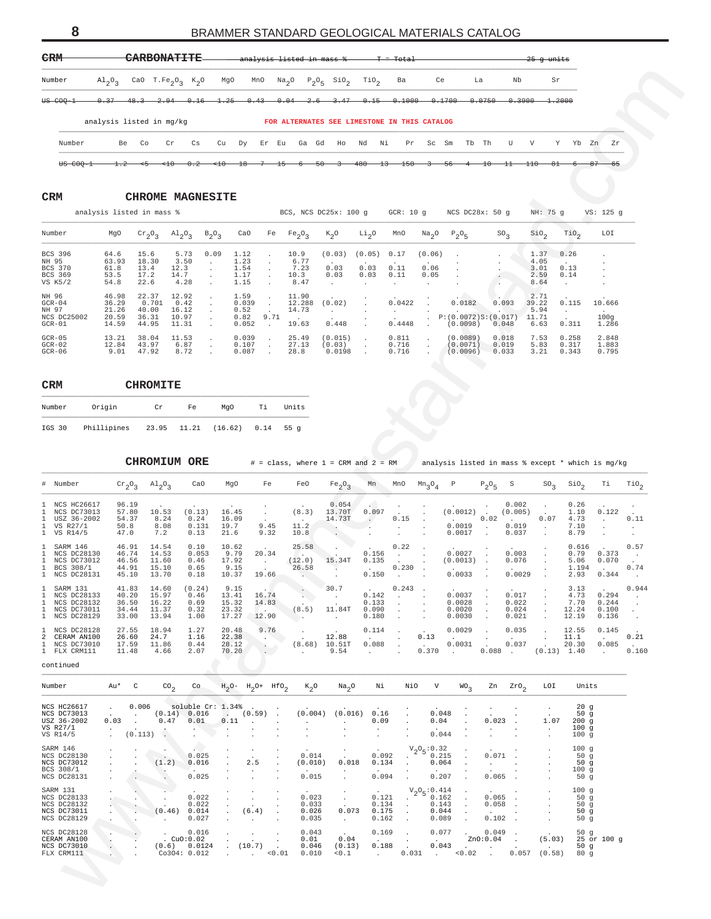<span id="page-7-0"></span>

| <b>CRM</b> | <b>CHROME MAGNESITE</b> |
|------------|-------------------------|
|            |                         |

|                | analysis listed in mass % |           |                                 |              |       |        |           | BCS, NCS DC25x: 100 q |                   | GCR: $10q$   |                              | NCS $DC28x: 50q$    |                 | NH: 75 q         |                  | VS: 125 q    |
|----------------|---------------------------|-----------|---------------------------------|--------------|-------|--------|-----------|-----------------------|-------------------|--------------|------------------------------|---------------------|-----------------|------------------|------------------|--------------|
| Number         | MgO                       | $Cr_2O_2$ | $\mathrm{Al}_{2}\mathrm{O}_{2}$ | $B_2O_2$     | CaO   | Fe     | $Fe_2O_2$ | $K_2O$                | Li <sub>2</sub> O | MnO          | $\mathrm{Na}_{\,\mathrm{O}}$ | $P_2O_5$            | SO <sub>2</sub> | SiO <sub>2</sub> | TiO <sub>2</sub> | LOI          |
| BCS 396        | 64.6                      | 15.6      | 5.73                            | 0.09         | 1.12  | $\sim$ | 10.9      | (0.03)                | (0.05)            | 0.17         | (0.06)                       |                     |                 | 1.37             | 0.26             |              |
| NH 95          | 63.93                     | 18.30     | 3.50                            | $\mathbf{r}$ | 1.23  |        | 6.77      |                       |                   |              |                              | $\mathbf{r}$        |                 | 4.05             |                  |              |
| <b>BCS 370</b> | 61.8                      | 13.4      | 12.3                            |              | 1.54  |        | 7.23      | 0.03                  | 0.03              | 0.11         | 0.06                         | $\mathbf{r}$        |                 | 3.01             | 0.13             |              |
| BCS 369        | 53.5                      | 17.2      | 14.7                            |              | 1.17  |        | 10.3      | 0.03                  | 0.03              | 0.11         | 0.05                         |                     |                 | 2.59             | 0.14             | $\mathbf{r}$ |
| VS K5/2        | 54.8                      | 22.6      | 4.28                            |              | 1.15  |        | 8.47      |                       |                   |              |                              |                     |                 | 8.64             |                  |              |
| NH 96          | 46.98                     | 22.37     | 12.92                           |              | 1.59  | $\sim$ | 11.90     |                       |                   |              |                              |                     |                 | 2.71             |                  |              |
| $GCR-04$       | 36.29                     | 0.701     | 0.42                            |              | 0.039 | $\sim$ | 12.288    | (0.02)                | $\sim$            | 0.0422       |                              | 0.0182              | 0.093           | 39.22            | 0.115            | 10.666       |
| NH 97          | 21.26                     | 40.00     | 16.12                           |              | 0.52  |        | 14.73     |                       |                   | $\mathbf{r}$ |                              | $\sim$              |                 | 5.94             |                  | $\sim$       |
| NCS DC25002    | 20.59                     | 36.31     | 10.97                           |              | 0.82  | 9.71   |           |                       | $\overline{a}$    |              |                              | P:(0.0072)S:(0.017) |                 | 11.71            |                  | 100q         |
| $GCR-01$       | 14.59                     | 44.95     | 11.31                           |              | 0.052 |        | 19.63     | 0.448                 | $\sim$            | 0.4448       | $\sim$                       | (0.0098)            | 0.048           | 6.63             | 0.311            | 1.286        |
| $GCR-05$       | 13.21                     | 38.04     | 11.53                           | ÷.           | 0.039 |        | 25.49     | (0.015)               | $\sim$            | 0.811        |                              | (0.0089)            | 0.018           | 7.53             | 0.258            | 2.848        |
| $GCR-02$       | 12.84                     | 43.97     | 6.87                            | ÷            | 0.107 |        | 27.13     | (0.03)                | $\overline{a}$    | 0.716        |                              | (0.0071)            | 0.019           | 5.83             | 0.317            | 1.883        |
| $GCR-06$       | 9.01                      | 47.92     | 8.72                            |              | 0.087 |        | 28.8      | 0.0198                |                   | 0.716        |                              | (0.0096)            | 0.033           | 3.21             | 0.343            | 0.795        |

| <b>CRM</b> |                         | <b>CHROMITE</b> |    |         |      |        |
|------------|-------------------------|-----------------|----|---------|------|--------|
| Number     | Origin                  | Cr              | Fe | MaO     | Тi   | Units  |
| IGS 30     | Phillipines 23.95 11.21 |                 |    | (16.62) | 0.14 | 55 $q$ |

| Number                                                                         | $A1_{2}0_{3}$                                          |                                                |                                                          |                                          | CaO T.Fe <sub>2</sub> O <sub>3</sub> K <sub>2</sub> O | MgO                                      |                                                                           | MnO                                                        |                                                                                               | $Na2O$ $P2O5$ SiO <sub>2</sub>                                                    | TiO <sub>2</sub>                                               | Ba                                                                             |                                                     | Ce                                   | La                                    |                                                      | Nb                                 | Sr                                     |                                           |                                                                                           |                                                     |
|--------------------------------------------------------------------------------|--------------------------------------------------------|------------------------------------------------|----------------------------------------------------------|------------------------------------------|-------------------------------------------------------|------------------------------------------|---------------------------------------------------------------------------|------------------------------------------------------------|-----------------------------------------------------------------------------------------------|-----------------------------------------------------------------------------------|----------------------------------------------------------------|--------------------------------------------------------------------------------|-----------------------------------------------------|--------------------------------------|---------------------------------------|------------------------------------------------------|------------------------------------|----------------------------------------|-------------------------------------------|-------------------------------------------------------------------------------------------|-----------------------------------------------------|
| <del>us coo-1</del>                                                            |                                                        |                                                |                                                          |                                          |                                                       |                                          |                                                                           |                                                            | $0.37$ $48.3$ $2.94$ $0.16$ $1.25$ $0.43$ $0.04$ $2.6$                                        | 3.47                                                                              |                                                                | $0.15$ $0.1000$ $0.1700$                                                       |                                                     |                                      |                                       |                                                      | $-0.0750$ $0.3900$                 | $-1.2000$                              |                                           |                                                                                           |                                                     |
|                                                                                | analysis listed in mg/kg                               |                                                |                                                          |                                          |                                                       |                                          |                                                                           |                                                            |                                                                                               | FOR ALTERNATES SEE LIMESTONE IN THIS CATALOG                                      |                                                                |                                                                                |                                                     |                                      |                                       |                                                      |                                    |                                        |                                           |                                                                                           |                                                     |
| Number                                                                         |                                                        | Be                                             | Co                                                       | Cr                                       | Сs                                                    | Cu                                       |                                                                           | Dy Er Eu                                                   | Ga Gd                                                                                         | Ho                                                                                | Nd<br>Νi                                                       | Pr                                                                             |                                                     | Sc Sm                                | Tb Th                                 |                                                      | U                                  | V                                      | Y Yb Zn                                   | Zr                                                                                        |                                                     |
| <del>US COQ-1</del>                                                            |                                                        | $1.2 -$                                        |                                                          |                                          |                                                       | $-0.2$ $\leftarrow 10$ $18$              |                                                                           | -7-                                                        | -15-<br>-6-                                                                                   | $-50-$<br>$\rightarrow$                                                           | -480-                                                          | -13-<br>-150-                                                                  | -3-                                                 | -56-                                 | -4-                                   | -10-                                                 | $-11 - 110$                        | -81-                                   |                                           | -65                                                                                       |                                                     |
| CRM                                                                            |                                                        |                                                | <b>CHROME MAGNESITE</b>                                  |                                          |                                                       |                                          |                                                                           |                                                            |                                                                                               |                                                                                   |                                                                |                                                                                |                                                     |                                      |                                       |                                                      |                                    |                                        |                                           |                                                                                           |                                                     |
|                                                                                | analysis listed in mass %                              |                                                |                                                          |                                          |                                                       |                                          |                                                                           |                                                            |                                                                                               | BCS, NCS DC25x: 100 g GCR: 10 g NCS DC28x: 50 g                                   |                                                                |                                                                                |                                                     |                                      |                                       |                                                      |                                    | NH: 75 g                               |                                           | VS: 125 g                                                                                 |                                                     |
| Number                                                                         | MgO                                                    |                                                | $\mathrm{cr}_{2}\mathrm{O}_{3}$                          | $\mathrm{^{Al}2^{O}3}$                   |                                                       | $B_2O_3$                                 | CaO                                                                       |                                                            | Fe $Fe_2O_3$                                                                                  | $K_2O$                                                                            | Li <sub>2</sub> 0                                              | MnO                                                                            |                                                     | $Na_2O$ $P_2O_5$                     |                                       | SO <sub>2</sub>                                      |                                    | SiO <sub>2</sub>                       | TiO <sub>2</sub>                          | LOI                                                                                       |                                                     |
| BCS 396<br>NH 95<br>BCS 370<br>BCS 369<br>VS K5/2                              | 64.6<br>63.93<br>61.8<br>53.5<br>54.8                  |                                                | 15.6<br>18.30<br>13.4<br>17.2<br>22.6                    | 5.73<br>3.50<br>12.3<br>14.7<br>4.28     |                                                       | 0.09<br>$\sim$                           | 1.12<br>1.23<br>1.54<br>1.17<br>1.15                                      |                                                            | 10.9<br>6.77<br>7.23<br>10.3<br>8.47                                                          | (0.03)<br>0.03<br>0.03                                                            | (0.05)<br>0.03<br>0.03                                         | 0.17<br>0.11<br>0.11<br>$\cdot$                                                | (0.06)<br>0.06<br>0.05<br>$\cdot$                   |                                      |                                       |                                                      |                                    | 1.37<br>4.05<br>3.01<br>2.59<br>8.64   | 0.26<br>0.13<br>0.14<br>$\sim$            |                                                                                           |                                                     |
| NH 96<br>$GCR-04$<br>NH 97<br>NCS DC25002<br>$GCR-01$                          | 46.98<br>36.29<br>21.26<br>20.59<br>14.59              |                                                | 22.37<br>0.701<br>40.00<br>36.31<br>44.95                | 12.92<br>0.42<br>16.12<br>10.97<br>11.31 |                                                       |                                          | 1.59<br>0.039<br>0.52<br>0.82<br>0.052                                    | 9.71<br>$\overline{\phantom{a}}$                           | 11.90<br>12.288<br>14.73<br>19.63                                                             | (0.02)<br>$\sim$ $-$<br>0.448                                                     |                                                                | 0.0422<br><b>Contractor</b><br>0.4448                                          | $\cdot$                                             | P: (0.0072)S: (0.017)<br>(0.0098)    | 0.0182                                | 0.093<br>0.048                                       |                                    | 2.71<br>39.22<br>5.94<br>11.71<br>6.63 | 0.115<br>0.311                            | 10.666<br>100g<br>1.286                                                                   |                                                     |
| $GCR-05$<br>$GCR-02$<br>$GCR-06$                                               | 13.21<br>12.84<br>9.01                                 |                                                | 38.04<br>43.97<br>47.92                                  | 11.53<br>6.87<br>8.72                    |                                                       | $\cdot$                                  | 0.039<br>0.107<br>0.087                                                   |                                                            | 25.49<br>27.13<br>28.8                                                                        | (0.015)<br>(0.03)<br>0.0198                                                       | $\cdot$<br>$\cdot$                                             | 0.811<br>0.716<br>0.716                                                        |                                                     | (0.0089)<br>(0.0071)<br>(0.0096)     |                                       | 0.018<br>0.019<br>0.033                              |                                    | 7.53<br>5.83<br>3.21                   | 0.258<br>0.317<br>0.343                   | 2.848<br>1.883<br>0.795                                                                   |                                                     |
| CRM                                                                            |                                                        |                                                | <b>CHROMITE</b>                                          |                                          |                                                       |                                          |                                                                           |                                                            |                                                                                               |                                                                                   |                                                                |                                                                                |                                                     |                                      |                                       |                                                      |                                    |                                        |                                           |                                                                                           |                                                     |
| Number                                                                         | Origin                                                 |                                                | Cr                                                       |                                          | Fe                                                    | MgO                                      |                                                                           | Тi                                                         | Units                                                                                         |                                                                                   |                                                                |                                                                                |                                                     |                                      |                                       |                                                      |                                    |                                        |                                           |                                                                                           |                                                     |
| IGS 30                                                                         | Phillipines 23.95 11.21                                |                                                |                                                          |                                          |                                                       | (16.62)                                  |                                                                           | 0.14                                                       | 55g                                                                                           |                                                                                   |                                                                |                                                                                |                                                     |                                      |                                       |                                                      |                                    |                                        |                                           |                                                                                           |                                                     |
|                                                                                |                                                        |                                                |                                                          |                                          |                                                       |                                          |                                                                           |                                                            |                                                                                               |                                                                                   |                                                                |                                                                                |                                                     |                                      |                                       |                                                      |                                    |                                        |                                           |                                                                                           |                                                     |
|                                                                                |                                                        |                                                |                                                          |                                          |                                                       |                                          |                                                                           |                                                            |                                                                                               |                                                                                   |                                                                |                                                                                |                                                     |                                      |                                       |                                                      |                                    |                                        |                                           |                                                                                           |                                                     |
|                                                                                |                                                        |                                                | <b>CHROMIUM ORE</b>                                      |                                          |                                                       |                                          |                                                                           |                                                            |                                                                                               | $# = class$ , where $1 = CRM$ and $2 = RM$                                        |                                                                |                                                                                |                                                     |                                      |                                       |                                                      |                                    |                                        |                                           | analysis listed in mass % except * which is mg/kg                                         |                                                     |
| # Number                                                                       |                                                        |                                                | ${\rm Cr}_2{\rm O}_3$ ${\rm Al}_2{\rm O}_3$              |                                          | CaO                                                   | MgO                                      |                                                                           | Fe                                                         | FeO                                                                                           | Fe <sub>2</sub> O <sub>3</sub>                                                    | Mn                                                             | MnO                                                                            | $Mn_3O_4$                                           | $P \t P_2O_5 S$                      |                                       |                                                      |                                    | $SO_3$                                 | Sio <sub>2</sub>                          | Тi                                                                                        |                                                     |
| 1 NCS HC26617<br>1 NCS DC73013<br>1 USZ 36-2002<br>1 VS R27/1<br>1 VS R14/5    |                                                        | 96.19<br>57.80<br>54.37<br>50.8<br>47.0        | 10.53<br>8.24<br>8.08<br>7.2                             |                                          | (0.13)<br>0.24<br>0.131<br>0.13                       | 16.45<br>16.09<br>19.7<br>21.6           |                                                                           | $\cdot$<br>9.45<br>9.32                                    | (8.3)<br>11.2<br>10.8                                                                         | 0.054<br>13.70T<br>14.73T                                                         | 0.097                                                          | 0.15                                                                           |                                                     | (0.0012)<br>0.0019<br>0.0017         |                                       | 0.02<br>$\cdot$                                      | 0.002<br>(0.005)<br>0.019<br>0.037 | 0.07<br>$\sim$                         | 0.26<br>1.10<br>4.73<br>7.10<br>8.79      | 0.122<br>$\sim$                                                                           | $\text{rio}_2$<br>0.11<br>$\cdot$<br>$\blacksquare$ |
| 1 SARM 146<br>1 NCS DC28130<br>1 NCS DC73012<br>1 BCS 308/1<br>1 NCS DC28131   |                                                        | 46.91<br>46.74<br>46.56<br>44.91<br>45.10      | 14.54<br>14.53<br>11.60<br>15.10<br>13.70                |                                          | 0.10<br>0.053<br>0.46<br>0.65<br>0.18                 | 10.62<br>9.79<br>17.92<br>9.15<br>10.37  |                                                                           | 20.34<br>$\sim 100$ km s $^{-1}$<br>19.66                  | 25.58<br>(12.0)<br>26.58                                                                      | 15.34T<br><b>CONTRACTOR</b>                                                       | 0.156<br>0.135<br>0.150                                        | 0.22<br>$\sim 10^{-11}$<br>0.230<br>$\sim$ $\sim$                              |                                                     | 0.0027<br>(0.0013)<br>0.0033         |                                       |                                                      | 0.003<br>0.076<br>0.0029           |                                        | 0.616<br>0.79<br>5.06<br>1.194<br>2.93    | 0.373<br>0.070<br><b>Contract</b><br>0.344                                                | 0.57<br>$\sim$<br>0.74<br>$\sim$                    |
| 1 SARM 131<br>1 NCS DC28133<br>1 NCS DC28132<br>1 NCS DC73011<br>1 NCS DC28129 |                                                        | 41.83<br>40.20<br>36.50<br>34.44<br>33.00      | 14.60<br>15.97<br>16.22<br>11.37<br>13.94                |                                          | (0.24)<br>0.46<br>0.69<br>0.32<br>1.00                | 9.15<br>13.41<br>15.32<br>23.32          |                                                                           | 16.74<br>14.83<br>$\sim$ $\sim$ $\sim$<br>17.27 12.90      | $\mathcal{O}(\mathcal{O}(\mathcal{O}^2))$                                                     | 30.7<br><b>Contract</b><br>$(8.5)$ 11.84T<br><b>Contractor</b>                    | 0.142<br>0.133<br>0.090<br>0.180                               | 0.243<br>$\sim 100$<br>$\sim$<br>$\cdot$<br>$\sim$                             | $\sim$<br>$\sim$<br>$\cdot$<br>$\ddot{\phantom{a}}$ | 0.0037<br>0.0028<br>0.0020<br>0.0030 |                                       | $\sim$<br>$\cdot$                                    | 0.017<br>0.022<br>0.024<br>0.021   | $\sim$<br>$\sim$<br>$\sim$             | 3.13<br>4.73<br>7.70<br>12.24<br>12.19    | 0.294<br>0.244<br>0.100<br>0.136                                                          | $\sim 100$<br>$\sim$                                |
|                                                                                |                                                        | 27.55<br>26.60<br>17.59<br>11.48               | 18.94<br>24.7<br>11.86<br>4.66                           |                                          | 1.27<br>1.16<br>0.44<br>2.07                          | 20.48<br>22.38                           | 28.12<br>70.20                                                            | 9.76<br>$\mathcal{N}(\mathcal{N})$<br>$\sim$<br>$\sim$ $-$ | $\sim$ $\sim$<br>$\sim 10^{-11}$                                                              | 12.88<br>$(8.68)$ 10.51T<br>9.54                                                  | 0.114<br><b>Carl Corporation</b><br>0.088<br><b>Contractor</b> | $\sim 10^{-1}$<br>$\sim$<br>$\sim$<br>$\sim$                                   | 0.13<br><b>Contractor</b>                           | <b>Contract Contract</b>             | $0.0029$ .                            |                                                      | 0.035<br>$0.0031$ $0.037$          | $\sim$ $-$<br>$\sim$                   | 12.55<br>11.1                             | 0.145<br><b>Contract Contract</b><br>20.30 0.085 .<br>$0.370$ . $0.088$ . $(0.13)$ 1.40 . | 0.21                                                |
| 1 NCS DC28128<br>2 CERAM AN100<br>1 NCS DC73010<br>1 FLX CRM111<br>continued   |                                                        |                                                |                                                          |                                          |                                                       |                                          |                                                                           |                                                            |                                                                                               |                                                                                   |                                                                |                                                                                |                                                     |                                      |                                       |                                                      |                                    |                                        |                                           |                                                                                           |                                                     |
| Number                                                                         |                                                        | Au* C                                          |                                                          | $\text{co}_2$                            | Co                                                    |                                          |                                                                           |                                                            | $H_2O - H_2O + HfO_2$ $K_2O$                                                                  | Na <sub>2</sub> O                                                                 | Ni                                                             | NiO                                                                            | V                                                   |                                      | WO <sub>3</sub>                       |                                                      | $2n \quad 2r0,$                    | LOI                                    | Units                                     |                                                                                           |                                                     |
| NCS HC26617<br>NCS DC73013<br>USZ 36-2002<br>VS R27/1<br>VS R14/5              | 0.03<br>$\sim 10^{-1}$                                 | 0.006                                          | $(0.14)$ $(0.016$ $(0.59)$ .<br>$0.47$ $0.01$<br>(0.113) |                                          | <b>Allen</b><br>$\sim$                                | soluble Cr: 1.34%.<br>$\sim$             | $\cdot$<br>$\cdot$                                                        | $0.11$                                                     | <b>Contractor</b><br>$\ddot{\phantom{a}}$<br>$\sim$<br>$\blacksquare$<br>$\ddot{\phantom{a}}$ | $(0.004)$ $(0.016)$ 0.16<br><b>Contractor</b><br>$\cdot$<br>$\cdot$               | 0.09<br>$\sim$<br>$\sim$                                       | $\cdot$<br>$\cdot$<br>$\bullet$<br>$\ddot{\phantom{0}}$                        |                                                     | 0.048<br>0.04<br>0.044               | $\cdot$<br>$\cdot$<br>$\cdot$         | $0.023$ .<br>$\sim 100$<br>$\ddot{\phantom{0}}$      | $\cdot$<br>$\cdot$                 | $\cdot$<br>1.07<br>$\sim$<br>$\cdot$   | 20g<br>50 $g$<br>200g<br>100g<br>100g     |                                                                                           |                                                     |
| SARM 146<br>NCS DC28130<br>NCS DC73012<br>BCS 308/1<br>NCS DC28131             | $\sim$<br>$\sim$<br>$\sim$ $\sim$<br>$\sim$<br>$\cdot$ | $\sim$<br>$\sim$<br>$\cdot$                    | $\sim$<br>VA.<br>$\mathcal{L}_{\mathcal{A}}$ .           |                                          | 0.025<br>(1.2) 0.016<br>0.025                         | $\cdot$<br>$\cdot$<br>$\cdot$<br>$\cdot$ | $\cdot$<br>2.5<br>$\sim$ $\sim$<br>$\ddot{\phantom{0}}$                   |                                                            | $\cdot$<br>$\cdot$<br>$\cdot$<br>$\cdot$<br>0.015<br>$\cdot$                                  | $\sim$<br>0.014<br>(0.010)<br>$\sim$ $-$<br>$\sim$                                | 0.092<br>$0.018$ $0.134$<br>0.094                              | $\epsilon_{\rm{max}}$<br>$\sim$                                                | $V_2O_5:0.32$                                       | 0.215<br>0.064<br>0.207              | $\cdot$<br>$\cdot$                    | $0.071$ .<br><b>Carl Corp.</b><br>$0.065$ .          | $\ddot{\phantom{0}}$               | $\cdot$<br>$\cdot$<br>$\cdot$          | 100g<br>50 $g$<br>50g<br>100g<br>50 g     |                                                                                           | 0.944<br>0.160                                      |
| SARM 131<br>NCS DC28133<br>NCS DC28132<br>NCS DC73011<br>NCS DC28129           | $\cdot$<br>in a c<br>$\sim$<br><b>Contract</b>         | <b>SANT</b><br>$\sim$ $\sim$<br>$\sim$<br>Sec. | $\sim$<br>$\sim$<br><b>Contract</b>                      |                                          | 0.022<br>0.022<br>$(0.46)$ 0.014<br>0.027             | $\cdot$<br>$\cdot$<br>$\cdot$<br>$\sim$  | $\sim$<br>$\sim$ 10 $\sim$<br>$\ddot{\phantom{a}}$<br>(6.4)<br>$\sim 100$ |                                                            | $\cdot$<br>$\cdot$<br>$\cdot$<br>$\cdot$<br>$\cdot$                                           | $\cdot$<br>0.023<br>$\sim$<br>0.033<br>0.026<br>0.073<br>0.035<br>$\sim 10^{-10}$ | 0.121<br>0.134<br>0.175<br>0.162                               | $\langle\cdot,\cdot\rangle$<br>$\sim 10^{-11}$<br>$\sim 10^{-1}$<br>$\sim 100$ | $V_2O_5:0.414$                                      | 0.162<br>0.143<br>0.044<br>0.089     | $\sim$<br>$\sim$<br>$\sim$<br>$\cdot$ | $0.065$ .<br>$0.058$ .<br>$\sim$ $\sim$<br>$0.102$ . |                                    | $\cdot$<br>$\cdot$<br>$\cdot$          | 100g<br>50 $g$<br>50g<br>50 $g$<br>50 $g$ |                                                                                           |                                                     |

| Number                                                                      | Au* C                          |                                                                   | CO <sub>2</sub>                                        | Co                                                | $H_2O$ - $H_2O$ + HfO <sub>2</sub> |                                                                                 |                                                                                  | $K_{2}O$                                                          | $Na_{2}O$                                                                                                   | Νi                                                                 | NiO                                                                                                                                                                         | V                                                                           | WO <sub>2</sub>                                                     | Zn                                                    | $ZrO_{\gamma}$                   | LOI                                                                      | Units                                   |
|-----------------------------------------------------------------------------|--------------------------------|-------------------------------------------------------------------|--------------------------------------------------------|---------------------------------------------------|------------------------------------|---------------------------------------------------------------------------------|----------------------------------------------------------------------------------|-------------------------------------------------------------------|-------------------------------------------------------------------------------------------------------------|--------------------------------------------------------------------|-----------------------------------------------------------------------------------------------------------------------------------------------------------------------------|-----------------------------------------------------------------------------|---------------------------------------------------------------------|-------------------------------------------------------|----------------------------------|--------------------------------------------------------------------------|-----------------------------------------|
| <b>NCS HC26617</b><br>NCS DC73013<br>USZ 36-2002<br>VS R27/1<br>VS R14/5    | $\mathbf{r}$<br>$\sim$<br>0.03 | 0.006<br><b>Contract Contract</b><br>$\sim$ $\sim$<br>$(0.113)$ . | (0.14)<br>0.47<br>$\cdot$                              | soluble Cr: 1.34%.<br>0.016<br>0.01<br>$\cdot$    | 0.11<br><b>All Contracts</b>       | $(0.59)$ .<br>$\sim$<br>$\cdot$                                                 | $\sim$<br>$\sim$                                                                 | $(0.004)$ $(0.016)$<br><b>Contract Contract Contract Contract</b> | the contract of the contract of the contract of the contract of<br>$\sim$ $\sim$<br>$\sim 100$ km s $^{-1}$ | 0.16<br>0.09<br>$\sim$ 100 $\mu$                                   | <b>Contract Contract</b><br>$\sim 10^{-10}$<br>$\sim 100$<br>$\cdot$<br>$\ddot{\phantom{0}}$                                                                                | the contract of the contract of<br>0.048<br>0.04<br><b>Service</b><br>0.044 | $\sim$ $\sim$<br>$\sim 100$ km s $^{-1}$<br>$\cdot$<br>$\sim$       | the contract of the contract of<br>0.023              | <b>Contract Advised</b>          | 1.07<br>$\cdot$                                                          | 20g<br>50g<br>200q<br>100g<br>100q      |
| SARM 146<br><b>NCS DC28130</b><br>NCS DC73012<br>BCS 308/1<br>NCS DC28131   |                                |                                                                   | (1.2)                                                  | 0.025<br>0.016<br>0.025                           | $\sim$                             | <b>Contract</b><br>2.5<br>$\cdot$                                               | <b>Contract Street</b><br>$\ddot{\phantom{0}}$<br><b>Contract</b><br>$\cdot$     | 0.014<br>(0.010)<br><b>Contract Contract Contract</b><br>0.015    | <b>Contract Contract</b><br>0.018<br>$\cdot$<br><b>Allen</b>                                                | 0.092<br>0.134<br><b>Service</b> State Street<br>0.094             | $\sim 1000$ km s $^{-1}$<br>$\sim 100$ km s $^{-1}$<br>$\sim$<br>$\sim 100$                                                                                                 | $0.215$ .<br>0.064<br><b>Contract Contract Contract</b><br>0.207            | $\sim$<br>$\sim 100$                                                | $0.071$ .<br>$\sim$<br>0.065                          | $\sim$ $\sim$                    | $\sim$                                                                   | 100g<br>50q<br>50 $g$<br>100q<br>50g    |
| SARM 131<br>NCS DC28133<br>NCS DC28132<br><b>NCS DC73011</b><br>NCS DC28129 |                                |                                                                   | $\cdot$<br>(0.46)                                      | $\sim$ $\sim$<br>0.022<br>0.022<br>0.014<br>0.027 |                                    | $\cdot$<br>and the state of the state<br>and the state of the state of<br>(6.4) | <b>Contract Contract</b><br>$\overline{a}$<br><b>Contract Contract</b><br>$\sim$ | <b>Contract Contract</b><br>0.023<br>0.033<br>0.026<br>0.035      | $\sim$<br>$\mathbf{r}$ . The $\mathbf{r}$<br>$\sim$<br>0.073<br>$\sim$                                      | <b>Contractor</b><br>0.121<br>0.134<br>0.175<br>0.162              | ${\rm V}_2{\rm O}_5: 0.414 \qquad . \qquad . \qquad . \qquad .$ $. \qquad 0.162 \qquad . \qquad 0.065 \qquad .$<br>$\sim$ 100 $\sim$<br>$\sim$ 100 $\sim$<br>$\sim 10^{-1}$ | 0.143<br>0.044<br>0.089                                                     | $\sim$<br>$\sim$<br>$\sim$                                          | 0.058<br>the contract of the contract of<br>$0.102$ . |                                  | $\ddot{\phantom{0}}$                                                     | 100q<br>50g<br>50q<br>50g<br>50q        |
| NCS DC28128<br>CERAM AN100<br>NCS DC73010<br>FLX CRM111                     |                                | $\sim$                                                            | $\sim$<br>. $CuO:0.02$<br>(0.6) 0.0124<br>Co3O4: 0.012 | 0.016                                             |                                    | and the state of the state of the<br>$(10.7)$ .<br>. 0.01                       | $\overline{a}$                                                                   | 0.043<br>0.01<br>0.046<br>0.010                                   | $\sim$ $-$<br>0.04<br>(0.13)<br>< 0.1                                                                       | 0.169<br>the committee of the<br>0.188<br><b>Contract Contract</b> | $\sim 100$<br>$\sim$<br>0.031                                                                                                                                               | 0.077<br><b>Contract Contract</b><br>0.043<br>$\sim 10^{-10}$               | $\sim 100$ km s $^{-1}$<br>and the contract of the con-<br>$0.02$ . | $0.049$ .<br>ZnO:0.04                                 | $\sim$ $\sim$<br>$\sim$<br>0.057 | <b>Contract Contract</b><br>(5.03)<br><b>Contract Contract</b><br>(0.58) | 50 $g$<br>$25$ or $100$ q<br>50q<br>80q |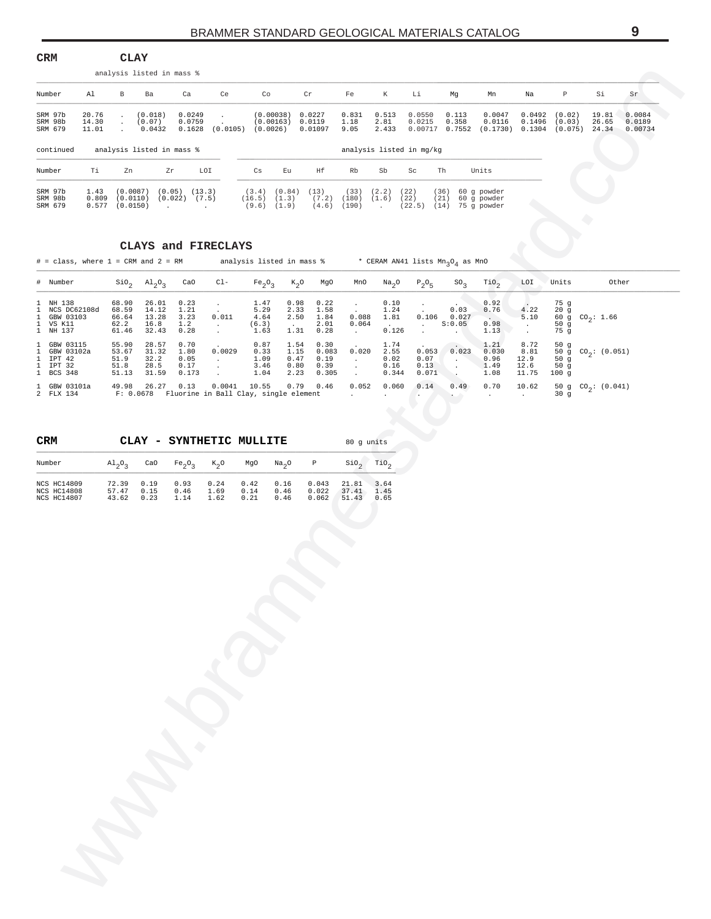<span id="page-8-0"></span>

| Number<br>Al<br>$\mathbf{B}$<br>Ba<br>Ca<br>Ce<br>Co<br>Cr<br>Fe<br>K<br>Li<br>Mg<br>Mn<br>Na<br>$\mathbb{P}$<br>Si<br>Sr<br>(0.018)<br>0.0249<br>(0.00038) 0.0227<br>0.831<br>0.513<br>0.0550<br>0.113<br>0.0047<br>$0.0492$ $(0.02)$<br>19.81<br>SRM 97b<br>20.76<br>$\cdot$<br>0.0759<br>(0.00163) 0.0119<br>1.18<br>2.81<br>SRM 98b<br>14.30<br>(0.07)<br>0.0215<br>0.358<br>0.0116<br>0.1496<br>(0.03)<br>26.65<br><b>Contractor</b><br>SRM 679<br>$0.0432$ $0.1628$ (0.0105) (0.0026) 0.01097 9.05<br>2.433  0.00717  0.7552  (0.1730)  0.1304  (0.075)  24.34  0.00734<br>11.01<br>continued<br>analysis listed in mass %<br>analysis listed in mg/kg<br>LOI<br>Number<br>Ti<br>Zn<br>Zr<br>Cs<br>Eu<br>Ηf<br>Rb<br>Sb<br>Sc<br>Th<br>Units<br>$1.43$ (0.0087) (0.05) (13.3)<br>$(33)$ $(2.2)$ $(22)$<br>SRM 97b<br>$(3.4)$ $(0.84)$ $(13)$<br>(36)<br>60 g powder<br>SRM 98b<br>$0.809$ $(0.0110)$ $(0.022)$ $(7.5)$<br>(16.5) (1.3)<br>$(7.2)$ $(180)$ $(1.6)$ $(22)$<br>(21)<br>60 g powder<br>SRM 679<br>$0.577$ (0.0150)<br>$(9.6)$ $(1.9)$<br>$(4.6)$ $(190)$<br>(22.5) (14) 75 g powder<br>and a straight and a straight<br><b>Contractor</b><br>CLAYS and FIRECLAYS<br># = class, where 1 = CRM and 2 = RM analysis listed in mass $*$ * CERAM AN41 lists $Mn_qO_4$ as MnO<br>$\sin_2$ $\text{Al}_2$ <sup>O</sup> <sub>3</sub> CaO<br># Number<br>$C1-$<br>Fe <sub>2</sub> O <sub>3</sub><br>$K_2O$<br>MgO<br>MnO<br>Na <sub>2</sub> O<br>$P_2O_5$<br>so <sub>3</sub><br>TiO <sub>2</sub><br>LOI<br>Units<br>Other<br>0.92<br>1 NH 138<br>68.90 26.01 0.23<br>1.47<br>0.98<br>0.22<br>0.10<br>75 g<br>$\sim$<br>$\sim$<br>$\mathcal{L}^{\mathcal{L}}$<br>14.12<br>5.29<br>2.33<br>1 NCS DC62108d<br>68.59<br>1.21<br>1.58<br>1.24<br>0.03<br>0.76<br>4.22<br>20g<br>$\sim 10^{-11}$<br>$\sim$ 100 $\pm$<br>$60 \frac{3}{9}$ CO <sub>2</sub> : 1.66<br>0.011<br>0.088<br>1.81<br>$0.106$ 0.027<br>1 GBW 03103<br>66.64<br>13.28<br>3.23<br>4.64<br>2.50<br>1.84<br>$\sim$ $\sim$<br>5.10<br>S:0.05<br>0.98<br>1 VS K11<br>62.2<br>16.8<br>1.2<br>(6.3)<br>2.01<br>0.064<br>0.126<br>50g<br>$\sim 10^{-10}$<br>$\frac{1}{2}$ , $\frac{1}{2}$<br>$\frac{1}{2}$ .<br>$\sim 10$<br>32.43<br>0.28<br>1.31<br>0.28<br>75 g<br>1 NH 137<br>61.46<br>1.63<br>1.13<br>$\sim 10^{-10}$ m $^{-1}$<br><b>Contractor</b><br>$\sim$<br>55.90 28.57<br>0.70<br>0.87<br>1.54<br>0.30<br>1.74<br>8.72<br>1 GBW 03115<br>$\Delta \sim 1$<br>1.21<br>50g<br>$\sim$<br>50 g $CO_2$ : (0.051)<br>53.67<br>31.32<br>0.0029<br>0.33<br>1.15<br>0.083<br>0.020<br>2.55<br>$0.053$ 0.023<br>1 GBW 03102a<br>1.80<br>0.030<br>8.81<br>32.2<br>1 IPT 42<br>51.9<br>0.05<br>1.09<br>0.47<br>0.19<br>0.02<br>0.07<br>- 40<br>0.96<br>12.9<br>50g<br>$\mathcal{A}(\mathcal{A})$ and<br>$\sim 10^{-11}$<br>1 IPT 32<br>51.8<br>28.5<br>0.17<br>3.46<br>0.80<br>0.39<br>0.16<br>0.13<br>1.49<br>12.6<br>50g<br>$\bullet$ . $\bullet$ .<br>$\sim$<br>$\sim$<br>1 BCS 348<br>51.13 31.59<br>0.173<br>0.305<br>1.04<br>2.23<br>0.344<br>0.071<br>1.08<br>11.75<br>100g<br>$\sim$ $\sim$<br><b>Contract</b><br>1 GBW 03101a 49.98 26.27 0.13<br>$0.0041$ 10.55<br>$0.79$ 0.46<br>0.052<br>0.060<br>0.14<br>0.49<br>0.70<br>10.62<br>50 g $CO_2$ : (0.041)<br>2 FLX 134 F: 0.0678 Fluorine in Ball Clay, single element<br>30g<br><b>Contractor</b><br>$\mathcal{A}^{\mathcal{A}}$ and $\mathcal{A}^{\mathcal{A}}$<br>A.<br>$\sim 100$<br>CRM<br>CLAY - SYNTHETIC MULLITE<br>80 g units<br>$\operatorname{SiO}_2$<br>TiO <sub>2</sub><br>Number<br>$\mathrm{Al}_{2}\mathrm{O}_{3}$<br>CaO<br>Fe <sub>2</sub> O <sub>3</sub><br>$K_2O$<br>MgO<br>Na <sub>2</sub> O<br>$\mathbb{P}$<br>0.16<br>0.043<br>NCS HC14809<br>72.39 0.19<br>0.93<br>0.24<br>0.42<br>21.81 3.64<br>NCS HC14808<br>57.47<br>0.15<br>0.46<br>1.69<br>0.14<br>0.46<br>0.022<br>37.41 1.45<br>NCS HC14807<br>43.62 0.23<br>1.14<br>1.62<br>0.21<br>0.46<br>0.062<br>51.43 0.65 | $_{\tt CRM}$ | <b>CLAY</b> | analysis listed in mass % |  |  |  |  |  |  |                  |
|---------------------------------------------------------------------------------------------------------------------------------------------------------------------------------------------------------------------------------------------------------------------------------------------------------------------------------------------------------------------------------------------------------------------------------------------------------------------------------------------------------------------------------------------------------------------------------------------------------------------------------------------------------------------------------------------------------------------------------------------------------------------------------------------------------------------------------------------------------------------------------------------------------------------------------------------------------------------------------------------------------------------------------------------------------------------------------------------------------------------------------------------------------------------------------------------------------------------------------------------------------------------------------------------------------------------------------------------------------------------------------------------------------------------------------------------------------------------------------------------------------------------------------------------------------------------------------------------------------------------------------------------------------------------------------------------------------------------------------------------------------------------------------------------------------------------------------------------------------------------------------------------------------------------------------------------------------------------------------------------------------------------------------------------------------------------------------------------------------------------------------------------------------------------------------------------------------------------------------------------------------------------------------------------------------------------------------------------------------------------------------------------------------------------------------------------------------------------------------------------------------------------------------------------------------------------------------------------------------------------------------------------------------------------------------------------------------------------------------------------------------------------------------------------------------------------------------------------------------------------------------------------------------------------------------------------------------------------------------------------------------------------------------------------------------------------------------------------------------------------------------------------------------------------------------------------------------------------------------------------------------------------------------------------------------------------------------------------------------------------------------------------------------------------------------------------------------------------------------------------------------------------------------------------------------------------------------------------------------------------------------------------------------------------------------------------------------------------------------------------------------------------------------------------------------------------------------------------------------------------------------------------------------------------------|--------------|-------------|---------------------------|--|--|--|--|--|--|------------------|
|                                                                                                                                                                                                                                                                                                                                                                                                                                                                                                                                                                                                                                                                                                                                                                                                                                                                                                                                                                                                                                                                                                                                                                                                                                                                                                                                                                                                                                                                                                                                                                                                                                                                                                                                                                                                                                                                                                                                                                                                                                                                                                                                                                                                                                                                                                                                                                                                                                                                                                                                                                                                                                                                                                                                                                                                                                                                                                                                                                                                                                                                                                                                                                                                                                                                                                                                                                                                                                                                                                                                                                                                                                                                                                                                                                                                                                                                                                                           |              |             |                           |  |  |  |  |  |  |                  |
|                                                                                                                                                                                                                                                                                                                                                                                                                                                                                                                                                                                                                                                                                                                                                                                                                                                                                                                                                                                                                                                                                                                                                                                                                                                                                                                                                                                                                                                                                                                                                                                                                                                                                                                                                                                                                                                                                                                                                                                                                                                                                                                                                                                                                                                                                                                                                                                                                                                                                                                                                                                                                                                                                                                                                                                                                                                                                                                                                                                                                                                                                                                                                                                                                                                                                                                                                                                                                                                                                                                                                                                                                                                                                                                                                                                                                                                                                                                           |              |             |                           |  |  |  |  |  |  | 0.0084<br>0.0189 |
|                                                                                                                                                                                                                                                                                                                                                                                                                                                                                                                                                                                                                                                                                                                                                                                                                                                                                                                                                                                                                                                                                                                                                                                                                                                                                                                                                                                                                                                                                                                                                                                                                                                                                                                                                                                                                                                                                                                                                                                                                                                                                                                                                                                                                                                                                                                                                                                                                                                                                                                                                                                                                                                                                                                                                                                                                                                                                                                                                                                                                                                                                                                                                                                                                                                                                                                                                                                                                                                                                                                                                                                                                                                                                                                                                                                                                                                                                                                           |              |             |                           |  |  |  |  |  |  |                  |
|                                                                                                                                                                                                                                                                                                                                                                                                                                                                                                                                                                                                                                                                                                                                                                                                                                                                                                                                                                                                                                                                                                                                                                                                                                                                                                                                                                                                                                                                                                                                                                                                                                                                                                                                                                                                                                                                                                                                                                                                                                                                                                                                                                                                                                                                                                                                                                                                                                                                                                                                                                                                                                                                                                                                                                                                                                                                                                                                                                                                                                                                                                                                                                                                                                                                                                                                                                                                                                                                                                                                                                                                                                                                                                                                                                                                                                                                                                                           |              |             |                           |  |  |  |  |  |  |                  |
|                                                                                                                                                                                                                                                                                                                                                                                                                                                                                                                                                                                                                                                                                                                                                                                                                                                                                                                                                                                                                                                                                                                                                                                                                                                                                                                                                                                                                                                                                                                                                                                                                                                                                                                                                                                                                                                                                                                                                                                                                                                                                                                                                                                                                                                                                                                                                                                                                                                                                                                                                                                                                                                                                                                                                                                                                                                                                                                                                                                                                                                                                                                                                                                                                                                                                                                                                                                                                                                                                                                                                                                                                                                                                                                                                                                                                                                                                                                           |              |             |                           |  |  |  |  |  |  |                  |
|                                                                                                                                                                                                                                                                                                                                                                                                                                                                                                                                                                                                                                                                                                                                                                                                                                                                                                                                                                                                                                                                                                                                                                                                                                                                                                                                                                                                                                                                                                                                                                                                                                                                                                                                                                                                                                                                                                                                                                                                                                                                                                                                                                                                                                                                                                                                                                                                                                                                                                                                                                                                                                                                                                                                                                                                                                                                                                                                                                                                                                                                                                                                                                                                                                                                                                                                                                                                                                                                                                                                                                                                                                                                                                                                                                                                                                                                                                                           |              |             |                           |  |  |  |  |  |  |                  |
|                                                                                                                                                                                                                                                                                                                                                                                                                                                                                                                                                                                                                                                                                                                                                                                                                                                                                                                                                                                                                                                                                                                                                                                                                                                                                                                                                                                                                                                                                                                                                                                                                                                                                                                                                                                                                                                                                                                                                                                                                                                                                                                                                                                                                                                                                                                                                                                                                                                                                                                                                                                                                                                                                                                                                                                                                                                                                                                                                                                                                                                                                                                                                                                                                                                                                                                                                                                                                                                                                                                                                                                                                                                                                                                                                                                                                                                                                                                           |              |             |                           |  |  |  |  |  |  |                  |
|                                                                                                                                                                                                                                                                                                                                                                                                                                                                                                                                                                                                                                                                                                                                                                                                                                                                                                                                                                                                                                                                                                                                                                                                                                                                                                                                                                                                                                                                                                                                                                                                                                                                                                                                                                                                                                                                                                                                                                                                                                                                                                                                                                                                                                                                                                                                                                                                                                                                                                                                                                                                                                                                                                                                                                                                                                                                                                                                                                                                                                                                                                                                                                                                                                                                                                                                                                                                                                                                                                                                                                                                                                                                                                                                                                                                                                                                                                                           |              |             |                           |  |  |  |  |  |  |                  |
|                                                                                                                                                                                                                                                                                                                                                                                                                                                                                                                                                                                                                                                                                                                                                                                                                                                                                                                                                                                                                                                                                                                                                                                                                                                                                                                                                                                                                                                                                                                                                                                                                                                                                                                                                                                                                                                                                                                                                                                                                                                                                                                                                                                                                                                                                                                                                                                                                                                                                                                                                                                                                                                                                                                                                                                                                                                                                                                                                                                                                                                                                                                                                                                                                                                                                                                                                                                                                                                                                                                                                                                                                                                                                                                                                                                                                                                                                                                           |              |             |                           |  |  |  |  |  |  |                  |
|                                                                                                                                                                                                                                                                                                                                                                                                                                                                                                                                                                                                                                                                                                                                                                                                                                                                                                                                                                                                                                                                                                                                                                                                                                                                                                                                                                                                                                                                                                                                                                                                                                                                                                                                                                                                                                                                                                                                                                                                                                                                                                                                                                                                                                                                                                                                                                                                                                                                                                                                                                                                                                                                                                                                                                                                                                                                                                                                                                                                                                                                                                                                                                                                                                                                                                                                                                                                                                                                                                                                                                                                                                                                                                                                                                                                                                                                                                                           |              |             |                           |  |  |  |  |  |  |                  |
|                                                                                                                                                                                                                                                                                                                                                                                                                                                                                                                                                                                                                                                                                                                                                                                                                                                                                                                                                                                                                                                                                                                                                                                                                                                                                                                                                                                                                                                                                                                                                                                                                                                                                                                                                                                                                                                                                                                                                                                                                                                                                                                                                                                                                                                                                                                                                                                                                                                                                                                                                                                                                                                                                                                                                                                                                                                                                                                                                                                                                                                                                                                                                                                                                                                                                                                                                                                                                                                                                                                                                                                                                                                                                                                                                                                                                                                                                                                           |              |             |                           |  |  |  |  |  |  |                  |
|                                                                                                                                                                                                                                                                                                                                                                                                                                                                                                                                                                                                                                                                                                                                                                                                                                                                                                                                                                                                                                                                                                                                                                                                                                                                                                                                                                                                                                                                                                                                                                                                                                                                                                                                                                                                                                                                                                                                                                                                                                                                                                                                                                                                                                                                                                                                                                                                                                                                                                                                                                                                                                                                                                                                                                                                                                                                                                                                                                                                                                                                                                                                                                                                                                                                                                                                                                                                                                                                                                                                                                                                                                                                                                                                                                                                                                                                                                                           |              |             |                           |  |  |  |  |  |  |                  |
|                                                                                                                                                                                                                                                                                                                                                                                                                                                                                                                                                                                                                                                                                                                                                                                                                                                                                                                                                                                                                                                                                                                                                                                                                                                                                                                                                                                                                                                                                                                                                                                                                                                                                                                                                                                                                                                                                                                                                                                                                                                                                                                                                                                                                                                                                                                                                                                                                                                                                                                                                                                                                                                                                                                                                                                                                                                                                                                                                                                                                                                                                                                                                                                                                                                                                                                                                                                                                                                                                                                                                                                                                                                                                                                                                                                                                                                                                                                           |              |             |                           |  |  |  |  |  |  |                  |
|                                                                                                                                                                                                                                                                                                                                                                                                                                                                                                                                                                                                                                                                                                                                                                                                                                                                                                                                                                                                                                                                                                                                                                                                                                                                                                                                                                                                                                                                                                                                                                                                                                                                                                                                                                                                                                                                                                                                                                                                                                                                                                                                                                                                                                                                                                                                                                                                                                                                                                                                                                                                                                                                                                                                                                                                                                                                                                                                                                                                                                                                                                                                                                                                                                                                                                                                                                                                                                                                                                                                                                                                                                                                                                                                                                                                                                                                                                                           |              |             |                           |  |  |  |  |  |  |                  |
|                                                                                                                                                                                                                                                                                                                                                                                                                                                                                                                                                                                                                                                                                                                                                                                                                                                                                                                                                                                                                                                                                                                                                                                                                                                                                                                                                                                                                                                                                                                                                                                                                                                                                                                                                                                                                                                                                                                                                                                                                                                                                                                                                                                                                                                                                                                                                                                                                                                                                                                                                                                                                                                                                                                                                                                                                                                                                                                                                                                                                                                                                                                                                                                                                                                                                                                                                                                                                                                                                                                                                                                                                                                                                                                                                                                                                                                                                                                           |              |             |                           |  |  |  |  |  |  |                  |
|                                                                                                                                                                                                                                                                                                                                                                                                                                                                                                                                                                                                                                                                                                                                                                                                                                                                                                                                                                                                                                                                                                                                                                                                                                                                                                                                                                                                                                                                                                                                                                                                                                                                                                                                                                                                                                                                                                                                                                                                                                                                                                                                                                                                                                                                                                                                                                                                                                                                                                                                                                                                                                                                                                                                                                                                                                                                                                                                                                                                                                                                                                                                                                                                                                                                                                                                                                                                                                                                                                                                                                                                                                                                                                                                                                                                                                                                                                                           |              |             |                           |  |  |  |  |  |  |                  |
|                                                                                                                                                                                                                                                                                                                                                                                                                                                                                                                                                                                                                                                                                                                                                                                                                                                                                                                                                                                                                                                                                                                                                                                                                                                                                                                                                                                                                                                                                                                                                                                                                                                                                                                                                                                                                                                                                                                                                                                                                                                                                                                                                                                                                                                                                                                                                                                                                                                                                                                                                                                                                                                                                                                                                                                                                                                                                                                                                                                                                                                                                                                                                                                                                                                                                                                                                                                                                                                                                                                                                                                                                                                                                                                                                                                                                                                                                                                           |              |             |                           |  |  |  |  |  |  |                  |
|                                                                                                                                                                                                                                                                                                                                                                                                                                                                                                                                                                                                                                                                                                                                                                                                                                                                                                                                                                                                                                                                                                                                                                                                                                                                                                                                                                                                                                                                                                                                                                                                                                                                                                                                                                                                                                                                                                                                                                                                                                                                                                                                                                                                                                                                                                                                                                                                                                                                                                                                                                                                                                                                                                                                                                                                                                                                                                                                                                                                                                                                                                                                                                                                                                                                                                                                                                                                                                                                                                                                                                                                                                                                                                                                                                                                                                                                                                                           |              |             |                           |  |  |  |  |  |  |                  |
|                                                                                                                                                                                                                                                                                                                                                                                                                                                                                                                                                                                                                                                                                                                                                                                                                                                                                                                                                                                                                                                                                                                                                                                                                                                                                                                                                                                                                                                                                                                                                                                                                                                                                                                                                                                                                                                                                                                                                                                                                                                                                                                                                                                                                                                                                                                                                                                                                                                                                                                                                                                                                                                                                                                                                                                                                                                                                                                                                                                                                                                                                                                                                                                                                                                                                                                                                                                                                                                                                                                                                                                                                                                                                                                                                                                                                                                                                                                           |              |             |                           |  |  |  |  |  |  |                  |
|                                                                                                                                                                                                                                                                                                                                                                                                                                                                                                                                                                                                                                                                                                                                                                                                                                                                                                                                                                                                                                                                                                                                                                                                                                                                                                                                                                                                                                                                                                                                                                                                                                                                                                                                                                                                                                                                                                                                                                                                                                                                                                                                                                                                                                                                                                                                                                                                                                                                                                                                                                                                                                                                                                                                                                                                                                                                                                                                                                                                                                                                                                                                                                                                                                                                                                                                                                                                                                                                                                                                                                                                                                                                                                                                                                                                                                                                                                                           |              |             |                           |  |  |  |  |  |  |                  |
|                                                                                                                                                                                                                                                                                                                                                                                                                                                                                                                                                                                                                                                                                                                                                                                                                                                                                                                                                                                                                                                                                                                                                                                                                                                                                                                                                                                                                                                                                                                                                                                                                                                                                                                                                                                                                                                                                                                                                                                                                                                                                                                                                                                                                                                                                                                                                                                                                                                                                                                                                                                                                                                                                                                                                                                                                                                                                                                                                                                                                                                                                                                                                                                                                                                                                                                                                                                                                                                                                                                                                                                                                                                                                                                                                                                                                                                                                                                           |              |             |                           |  |  |  |  |  |  |                  |

### **CLAYS and FIRECLAYS**

| # Number                                                          |                                          | $\text{SiO}_2$ $\text{Al}_2\text{O}_3$ CaO |                                       | $CL-$                                                                                       | $Fe_2O_3$ $K_2O$ MgO                  |                                                          |                                        | MnO                                        | $\mathrm{Na}_{2}\mathrm{O}$                        | $P_2O_E$                                            | SO <sub>2</sub>                               | TiO <sub>2</sub>                                  | LOI                                   | Units                                   | Other                            |
|-------------------------------------------------------------------|------------------------------------------|--------------------------------------------|---------------------------------------|---------------------------------------------------------------------------------------------|---------------------------------------|----------------------------------------------------------|----------------------------------------|--------------------------------------------|----------------------------------------------------|-----------------------------------------------------|-----------------------------------------------|---------------------------------------------------|---------------------------------------|-----------------------------------------|----------------------------------|
| 1 NH 138<br>1 NCS DC62108d<br>1 GBW 03103<br>1 VS K11<br>1 NH 137 | 68.90<br>68.59<br>66.64<br>62.2<br>61.46 | 26.01<br>14.12<br>13.28<br>16.8<br>32.43   | 0.23<br>1.21<br>3.23<br>1.2<br>0.28   | 0.011                                                                                       | 1.47<br>5.29<br>4.64<br>(6.3)<br>1.63 | 0.98<br>2.33<br>2.50<br><b>Contract Contract</b><br>1.31 | 0.22<br>1.58<br>1.84<br>2.01<br>0.28   | $\sim$<br>0.088<br>0.064<br><b>Service</b> | 0.10<br>1.24<br>1.81<br><b>Contractor</b><br>0.126 | <b>Contractor</b><br>0.106<br><b>Service</b>        | <b>Contractor</b><br>0.03<br>0.027<br>S:0.05  | 0.92<br>0.76<br><b>Contractor</b><br>0.98<br>1.13 | 4.22<br>5.10<br>$\sim$                | 75 g<br>20 g<br>50 $g$<br>75 a          | 60 g CO <sub>2</sub> : 1.66      |
| 1 GBW 03115<br>1 GBW 03102a<br>1 IPT 42<br>1 IPT 32<br>1 BCS 348  | 55.90<br>53.67<br>51.9<br>51.8<br>51.13  | 28.57<br>31.32<br>32.2<br>28.5<br>31.59    | 0.70<br>1.80<br>0.05<br>0.17<br>0.173 | <b>Contract Contract</b><br>0.0029                                                          | 0.87<br>0.33<br>1.09<br>3.46<br>1.04  | 1.54<br>1.15<br>0.47<br>0.80<br>2.23                     | 0.30<br>0.083<br>0.19<br>0.39<br>0.305 | $\sim$ $-$<br>0.020                        | 1.74<br>2.55<br>0.02<br>0.16<br>0.344              | <b>Contractor</b><br>0.053<br>0.07<br>0.13<br>0.071 | $\sim$ $\sim$<br>0.023<br><b>State Street</b> | 1.21<br>0.030<br>0.96<br>1.49<br>1.08             | 8.72<br>8.81<br>12.9<br>12.6<br>11.75 | 50 $g$<br>50 $g$<br>50q<br>$100 \sigma$ | 50 g CO <sub>2</sub> : (0.051)   |
| 1 GBW 03101a<br>2 FLX 134                                         | 49.98                                    | 26.27 0.13                                 |                                       | 0.0041 10.55  0.79  0.46  0.052  0.060<br>F: 0.0678 Fluorine in Ball Clay, single element . |                                       |                                                          |                                        |                                            | <b>Contractor</b>                                  | 0.14                                                | 0.49                                          | $0.70$ 10.62                                      |                                       | 30 q                                    | 50 g CO <sub>2</sub> : $(0.041)$ |

| <b>CRM</b>                                                     |                                 | CLAY                 | - SYNTHETIC MULLITE  |                      |                      |                      |                         | 80 q units              |                      |
|----------------------------------------------------------------|---------------------------------|----------------------|----------------------|----------------------|----------------------|----------------------|-------------------------|-------------------------|----------------------|
| Number                                                         | $\mathrm{Al}_{2}\mathrm{O}_{2}$ | CaO                  | $Fe_2O_2$ $K_2O$     |                      | MgO                  | Na <sub>0</sub>      | $\mathbb{P}$            | SiO <sub>2</sub>        | TiO <sub>2</sub>     |
| <b>NCS HC14809</b><br><b>NCS HC14808</b><br><b>NCS HC14807</b> | 72.39<br>57.47<br>43.62         | 0.19<br>0.15<br>0.23 | 0.93<br>0.46<br>1.14 | 0.24<br>1.69<br>1.62 | 0.42<br>0.14<br>0.21 | 0.16<br>0.46<br>0.46 | 0.043<br>0.022<br>0.062 | 21.81<br>37.41<br>51.43 | 3.64<br>1.45<br>0.65 |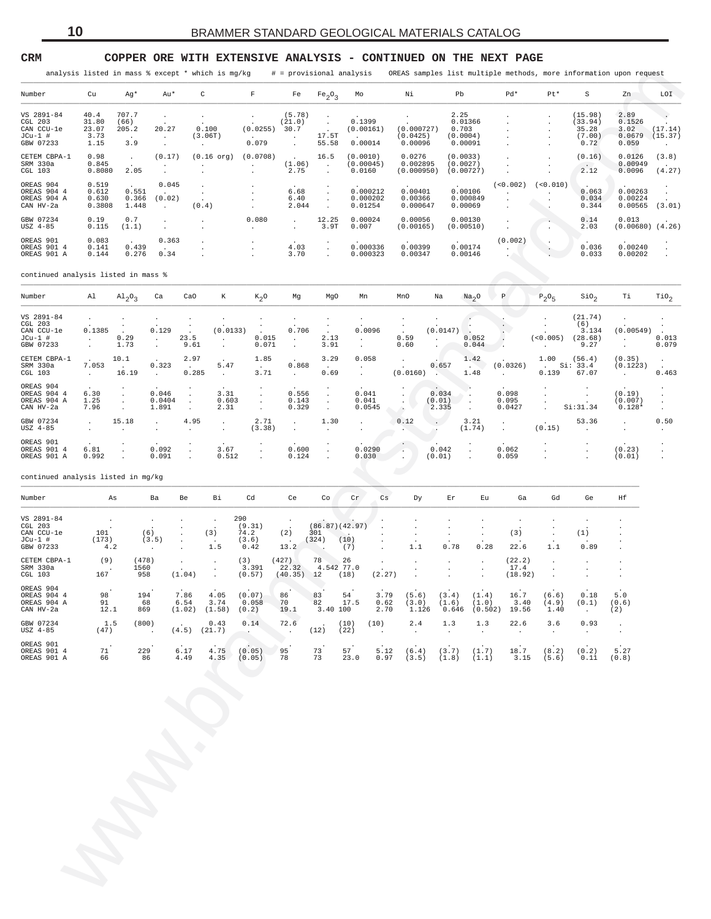#### <span id="page-9-0"></span>**CRM COPPER ORE WITH EXTENSIVE ANALYSIS - CONTINUED ON THE NEXT PAGE**

| Number       | Cu     | Aq*     | Au*     | C              | F              | Fe                   | $Fe_2O_3$            | Mo        | Νi         | Pb        | $Pd*$          | Pt*      | S             | Zn                   | LOI     |
|--------------|--------|---------|---------|----------------|----------------|----------------------|----------------------|-----------|------------|-----------|----------------|----------|---------------|----------------------|---------|
| VS 2891-84   | 40.4   | 707.7   |         |                |                | (5.78)               | $\cdot$              |           |            | 2.25      |                |          | (15.98)       | 2.89                 |         |
| CGL 203      | 31.80  | (66)    | $\cdot$ | $\sim$         | $\cdot$        | (21.0)               | $\ddot{\phantom{0}}$ | 0.1399    |            | 0.01366   |                | $\sim$   | (33.94)       | 0.1526               |         |
| CAN CCU-le   | 23.07  | 205.2   | 20.27   | 0.100          | (0.0255)       | 30.7                 | $\sim$               | (0.00161) | (0.000727) | 0.703     |                |          | 35.28         | 3.02                 | (17.14) |
| JCu-1 #      | 3.73   | $\cdot$ |         | (3.06T)        |                |                      | 17.5T                |           | (0.0425)   | (0.0004)  |                |          | (7.00)        | 0.0679               | (15.37) |
| GBW 07233    | 1.15   | 3.9     | $\cdot$ |                | 0.079          |                      | 55.58                | 0.00014   | 0.00096    | 0.00091   |                |          | 0.72          | 0.059                |         |
| CETEM CBPA-1 | 0.98   | $\sim$  | (0.17)  | $(0.16$ org)   | (0.0708)       | $\sim$               | 16.5                 | (0.0010)  | 0.0276     | (0.0033)  |                |          | (0.16)        | 0.0126               | (3.8)   |
| SRM 330a     | 0.845  |         |         |                |                | (1.06)               | $\ddot{\phantom{a}}$ | (0.00045) | 0.002895   | (0.0027)  |                |          | $\sim$ $\sim$ | 0.00949              |         |
| CGL 103      | 0.8080 | 2.05    |         |                |                | 2.75                 | $\sim$               | 0.0160    | (0.000950) | (0.00727) |                |          | 2.12          | 0.0096               | (4.27)  |
| OREAS 904    | 0.519  | $\sim$  | 0.045   | $\mathbf{r}$   |                | $\ddot{\phantom{0}}$ | $\cdot$              |           |            |           | (<0.002)       | (<0.010) |               |                      |         |
| OREAS 904 4  | 0.612  | 0.551   |         | $\overline{a}$ | $\overline{a}$ | 6.68                 | $\ddot{\phantom{0}}$ | 0.000212  | 0.00401    | 0.00106   | $\overline{a}$ |          | 0.063         | 0.00263              |         |
| OREAS 904 A  | 0.630  | 0.366   | (0.02)  |                |                | 6.40                 |                      | 0.000202  | 0.00366    | 0.000849  |                |          | 0.034         | 0.00224              |         |
| CAN HV-2a    | 0.3808 | 1.448   | $\sim$  | (0.4)          |                | 2.044                |                      | 0.01254   | 0.000647   | 0.00069   |                |          | 0.344         | 0.00565              | (3.01)  |
| GBW 07234    | 0.19   | 0.7     |         | $\mathbf{r}$   | 0.080          |                      | 12.25                | 0.00024   | 0.00056    | 0.00130   |                |          | 0.14          | 0.013                |         |
| USZ 4-85     | 0.115  | (1.1)   |         |                | $\sim$         | $\sim$               | 3.9T                 | 0.007     | (0.00165)  | (0.00510) |                |          | 2.03          | $(0.00680)$ $(4.26)$ |         |
| OREAS 901    | 0.083  | $\sim$  | 0.363   | $\mathbf{r}$   |                |                      | $\bullet$            |           |            |           | (0.002)        | $\cdot$  |               |                      |         |
| OREAS 901 4  | 0.141  | 0.439   |         | $\mathbf{r}$   | $\overline{a}$ | 4.03                 | $\sim$               | 0.000336  | 0.00399    | 0.00174   | $\cdot$        |          | 0.036         | 0.00240              |         |
| OREAS 901 A  | 0.144  | 0.276   | 0.34    |                |                | 3.70                 | $\ddot{\phantom{a}}$ | 0.000323  | 0.00347    | 0.00146   |                |          | 0.033         | 0.00202              |         |
|              |        |         |         |                |                |                      |                      |           |            |           |                |          |               |                      |         |

#### continued analysis listed in mass % \_\_\_\_\_\_\_\_\_\_\_\_\_\_\_\_\_\_\_\_\_\_\_\_\_\_\_\_\_\_\_\_\_\_\_\_\_\_\_\_\_\_\_\_\_\_\_\_\_\_\_\_\_\_\_\_\_\_\_\_\_\_\_\_\_\_\_\_\_\_\_\_\_\_\_\_\_\_\_\_\_\_\_\_\_\_\_\_\_\_\_\_\_\_\_\_\_\_\_\_\_\_\_\_\_\_\_\_\_\_\_\_\_\_\_\_\_\_\_\_\_\_\_\_\_\_\_\_\_\_\_\_\_\_\_\_\_\_\_\_\_\_\_\_\_\_\_\_\_\_\_\_\_\_\_\_\_\_

|                                                               |                                        |                               |                                        |                                 | analysis listed in mass % except * which is mg/kg |                                        | # = provisional analysis       |                                         |                     |                                 |                                   |                          |                                                 |                                 |                                  |                                               | OREAS samples list multiple methods, more information upon request |                               |
|---------------------------------------------------------------|----------------------------------------|-------------------------------|----------------------------------------|---------------------------------|---------------------------------------------------|----------------------------------------|--------------------------------|-----------------------------------------|---------------------|---------------------------------|-----------------------------------|--------------------------|-------------------------------------------------|---------------------------------|----------------------------------|-----------------------------------------------|--------------------------------------------------------------------|-------------------------------|
| Number                                                        | Cu                                     | Ag*                           | Au*                                    |                                 | $\mathtt{C}$                                      | $\mathbf F$                            | Fe                             | Fe <sub>2</sub> O <sub>3</sub>          | Mo                  |                                 | Νi                                |                          | Pb                                              | Pd*                             | Pt*                              | $\rm S$                                       | Zn                                                                 | LOI                           |
| VS 2891-84<br>CGL 203<br>CAN CCU-le<br>$JCu-1$ #<br>GBW 07233 | 40.4<br>31.80<br>23.07<br>3.73<br>1.15 | 707.7<br>(66)<br>205.2<br>3.9 | $\cdot$<br>20.27<br>$\cdot$<br>$\cdot$ |                                 | $\cdot$<br>0.100<br>(3.06T)<br>$\cdot$            | $\cdot$<br>(0.0255)<br>0.079           | (5.78)<br>(21.0)<br>30.7       | 17.5T<br>55.58                          |                     | 0.1399<br>(0.00161)<br>0.00014  | (0.000727)<br>(0.0425)<br>0.00096 |                          | 2.25<br>0.01366<br>0.703<br>(0.0004)<br>0.00091 |                                 |                                  | (15.98)<br>(33.94)<br>35.28<br>(7.00)<br>0.72 | 2.89<br>0.1526<br>3.02<br>0.0679<br>0.059                          | (17.14)<br>(15.37)<br>$\cdot$ |
| CETEM CBPA-1<br>SRM 330a<br>CGL 103                           | 0.98<br>0.845<br>0.8080                | $\cdot$<br>2.05               | (0.17)                                 |                                 | (0.16)<br>org)                                    | (0.0708)                               | (1.06)<br>2.75                 | 16.5<br>$\cdot$<br>$\ddot{\phantom{a}}$ |                     | (0.0010)<br>(0.00045)<br>0.0160 | 0.0276<br>0.002895<br>(0.000950)  |                          | (0.0033)<br>(0.0027)<br>(0.00727)               |                                 |                                  | (0.16)<br>2.12                                | 0.0126<br>0.00949<br>0.0096                                        | (3.8)<br>(4.27)               |
| OREAS 904<br>OREAS 904 4<br>OREAS 904 A<br>CAN HV-2a          | 0.519<br>0.612<br>0.630<br>0.3808      | 0.551<br>0.366<br>1.448       | 0.045<br>(0.02)<br>$\cdot$             |                                 | $\cdot$<br>$\cdot$<br>(0.4)                       |                                        | 6.68<br>6.40<br>2.044          |                                         |                     | 0.000212<br>0.000202<br>0.01254 | 0.00401<br>0.00366<br>0.000647    |                          | 0.00106<br>0.000849<br>0.00069                  | (<0.002)                        | (<0.010)                         | 0.063<br>0.034<br>0.344                       | 0.00263<br>0.00224<br>0.00565                                      | $\cdot$<br>(3.01)             |
| GBW 07234<br>USZ 4-85                                         | 0.19<br>0.115                          | $0.7$<br>(1.1)                | $\cdot$<br>$\blacksquare$              |                                 |                                                   | 0.080<br>$\cdot$                       | $\cdot$<br>$\cdot$             | 12.25<br>3.9T                           | 0.007               | 0.00024                         | 0.00056<br>(0.00165)              |                          | 0.00130<br>(0.00510)                            |                                 |                                  | 0.14<br>2.03                                  | 0.013<br>$(0.00680)$ $(4.26)$                                      |                               |
| OREAS 901<br>OREAS 901 4<br>OREAS 901 A                       | 0.083<br>0.141<br>0.144                | 0.439<br>0.276                | 0.363<br>0.34                          |                                 |                                                   |                                        | 4.03<br>3.70                   | $\cdot$                                 |                     | 0.000336<br>0.000323            | 0.00399<br>0.00347                |                          | 0.00174<br>0.00146                              | (0.002)                         |                                  | 0.036<br>0.033                                | 0.00240<br>0.00202                                                 |                               |
| continued analysis listed in mass %                           |                                        |                               |                                        |                                 |                                                   |                                        |                                |                                         |                     |                                 |                                   |                          |                                                 |                                 |                                  |                                               |                                                                    |                               |
| Number                                                        | Al                                     | $A1_{2}O_{3}$                 | Ca                                     | CaO                             | К                                                 | $K_2$ O                                | Mg                             | MgO                                     |                     | Mn                              | MnO                               | Na                       | Na <sub>2</sub> O                               | $\mathbb P$                     | $P_2O_5$                         | $SIO_{2}$                                     | Тi                                                                 | $\mathop{\rm TiO}\nolimits_2$ |
| VS 2891-84<br>CGL 203<br>CAN CCU-le<br>JCu-1 #<br>GBW 07233   | $\cdot$<br>0.1385<br>$\cdot$           | 0.29<br>1.73                  | 0.129<br>$\cdot$                       | 23.5<br>9.61                    | (0.0133)<br>$\cdot$                               | 0.015<br>0.071                         | 0.706<br>$\bullet$             | 2.13<br>3.91                            | $\cdot$             | 0.0096<br>$\cdot$               | 0.59<br>0.60                      | (0.0147)<br>$\cdot$      | 0.052<br>0.044                                  |                                 | (<0.005)                         | (21.74)<br>(6)<br>3.134<br>(28.68)<br>9.27    | $\cdot$<br>(0.00549)<br>$\cdot$                                    | 0.013<br>0.079                |
| CETEM CBPA-1<br>SRM 330a<br>CGL 103                           | 7.053<br>$\sim$                        | 10.1<br>16.19                 | 0.323<br>$\cdot$                       | 2.97<br>0.285                   | 5.47<br>$\cdot$                                   | 1.85<br>3.71                           | 0.868<br>$\cdot$               | 3.29<br>0.69                            |                     | 0.058<br>$\cdot$<br>$\epsilon$  | (0.0160)                          | 0.657                    | 1.42<br>1.48                                    | (0.0326)<br>$\cdot$             | 1.00<br>0.139                    | (56.4)<br>Si: 33.4<br>67.07                   | (0.35)<br>(0.1223)                                                 | $\bullet$<br>0.463            |
| OREAS 904<br>OREAS 904 4<br>OREAS 904 A<br>CAN HV-2a          | 6.30<br>1.25<br>7.96                   | $\cdot$<br>$\cdot$            | 0.046<br>0.0404<br>1.891               | $\ddot{\phantom{a}}$<br>$\cdot$ | 3.31<br>0.603<br>2.31                             | $\cdot$<br>$\cdot$                     | 0.556<br>0.143<br>0.329        | $\cdot$<br>$\cdot$<br>$\cdot$           |                     | 0.041<br>0.041<br>0.0545        | ۸                                 | 0.034<br>(0.01)<br>2.335 | $\ddot{\phantom{a}}$                            | 0.098<br>0.095<br>0.0427        |                                  | $\cdot$<br>Si:31.34                           | (0.19)<br>(0.007)<br>$0.128*$                                      | $\cdot$                       |
| GBW 07234<br>USZ 4-85                                         |                                        | 15.18                         |                                        | 4.95                            | $\cdot$                                           | 2.71<br>(3.38)                         |                                | 1.30                                    | $\cdot$             | $\cdot$                         | 0.12                              |                          | 3.21<br>(1.74)                                  | $\blacksquare$                  | (0.15)                           | 53.36                                         | $\cdot$                                                            | 0.50<br>$\cdot$               |
| OREAS 901<br>OREAS 901 4<br>OREAS 901 A                       | 6.81<br>0.992                          |                               | 0.092<br>0.091                         |                                 | 3.67<br>0.512                                     |                                        | 0.600<br>0.124                 |                                         |                     | 0.0290<br>0.030                 |                                   | 0.042<br>(0.01)          |                                                 | 0.062<br>0.059                  |                                  | $\cdot$<br>$\cdot$                            | (0.23)<br>(0.01)                                                   |                               |
| continued analysis listed in mg/kg                            |                                        |                               |                                        |                                 |                                                   |                                        |                                |                                         |                     |                                 |                                   |                          |                                                 |                                 |                                  |                                               |                                                                    |                               |
| Number                                                        |                                        | As                            | Ba                                     | Be                              | Вi                                                | Cd                                     | Ce                             | Co                                      | $\operatorname{Cr}$ | $\mathbb{C}\mathbf{s}$          | Dу                                | Εr                       | Eu                                              | Ga                              | Gd                               | Ge                                            | Ηf                                                                 |                               |
| VS 2891-84<br>CGL 203<br>CAN CCU-le<br>JCu-1 #<br>GBW 07233   | 101<br>(173)<br>4.2                    |                               | (6)<br>(3.5)<br>$\cdot$                | $\ddot{\phantom{a}}$<br>$\cdot$ | $\cdot$<br>(3)<br>1.5                             | 290<br>(9.31)<br>74.2<br>(3.6)<br>0.42 | (2)<br>13.2                    | (86.87)(42.97)<br>301<br>(324)          | (10)<br>(7)         |                                 | 1.1                               | 0.78                     | $\cdot$<br>$\blacksquare$<br>0.28               | $\cdot$<br>(3)<br>22.6          | $\cdot$<br>$\blacksquare$<br>1.1 | $\cdot$<br>(1)<br>0.89                        |                                                                    |                               |
| CETEM CBPA-1<br>SRM 330a<br>CGL 103                           | (9)<br>167                             | (478)<br>1560<br>958          |                                        | $\cdot$<br>(1.04)               |                                                   | (3)<br>3.391<br>(0.57)                 | (427)<br>22.32<br>$(40.35)$ 12 | 78<br>4.542 77.0                        | 26<br>(18)          | (2.27)                          |                                   |                          |                                                 | (22.2)<br>17.4<br>(18.92)       |                                  |                                               |                                                                    |                               |
| OREAS 904<br>OREAS 904 4<br>OREAS 904 A<br>CAN HV-2a          | 98<br>91<br>12.1                       | 194<br>68<br>869              |                                        | 7.86<br>6.54                    | 4.05<br>3.74<br>$(1.02)$ $(1.58)$ $(0.2)$         | (0.07)<br>0.058                        | 86<br>70<br>19.1               | 83<br>82 17.5<br>3.40 100               | 54                  | 3.79<br>0.62<br>2.70            | (5.6)<br>(3.0)<br>1.126           | (3.4)<br>(1.6)<br>0.646  | (1.4)<br>(1.0)                                  | 16.7<br>3.40<br>$(0.502)$ 19.56 | (6.6)<br>(4.9)<br>1.40           | 0.18<br>(0.1)<br>$\sim$ $-$                   | 5.0<br>(0.6)<br>(2)                                                |                               |
| GBW 07234<br>USZ 4-85                                         | 1.5<br>(47)                            | (800)<br><b>Contract</b>      |                                        | $(4.5)$ $(21.7)$                | 0.43                                              | 0.14                                   | 72.6<br>$\cdot$                | (12)                                    | (10)<br>(22)        | (10)<br>$\blacksquare$          | 2.4<br>$\sim$                     | 1.3<br>$\cdot$           | 1.3<br>$\cdot$                                  | 22.6<br>$\cdot$                 | 3.6<br>$\cdot$                   | 0.93<br>$\sim$                                | $\cdot$<br>$\cdot$                                                 |                               |
| OREAS 901<br>OREAS 901 4<br>OREAS 901 A                       | 71<br>66                               | 229<br>86                     |                                        | 6.17<br>4.49                    | 4.75<br>4.35                                      | (0.05)<br>(0.05)                       | 95<br>78                       | 73<br>73                                | 57<br>23.0          | 5.12<br>0.97                    | (6.4)<br>(3.5)                    | (3.7)<br>(1.8)           | (1.7)<br>(1.1)                                  | 18.7<br>3.15                    | (8.2)<br>(5.6)                   | (0.2)<br>0.11                                 | 5.27<br>(0.8)                                                      |                               |
|                                                               |                                        |                               |                                        |                                 |                                                   |                                        |                                |                                         |                     |                                 |                                   |                          |                                                 |                                 |                                  |                                               |                                                                    |                               |

| Number                                               | As               | Ba                            | Be                                | Bi                     | Cd                               | Ce                           | Co               | cr                | Cs                           | Dy                      | Εr                      | Εu                          | Ga                    | Gd                     | Ge                           | Ηf                              |
|------------------------------------------------------|------------------|-------------------------------|-----------------------------------|------------------------|----------------------------------|------------------------------|------------------|-------------------|------------------------------|-------------------------|-------------------------|-----------------------------|-----------------------|------------------------|------------------------------|---------------------------------|
| VS 2891-84                                           |                  |                               |                                   | $\cdot$                | 290                              |                              |                  |                   |                              |                         |                         |                             |                       |                        |                              |                                 |
| CGL 203                                              |                  |                               |                                   |                        | (9.31)                           | $\cdot$                      |                  | (86.87)(42.97)    |                              |                         |                         |                             |                       |                        |                              |                                 |
| CAN CCU-le                                           | 101              | (6)                           |                                   | (3)                    | 74.2                             | (2)                          | 301              |                   |                              |                         |                         | $\cdot$                     | (3)                   | $\cdot$                | (1)                          |                                 |
| $JCu-1$ #                                            | (173)            | (3.5)                         | $\cdot$                           | $\cdot$                | (3.6)                            | $\cdot$                      | (324)            | (10)              |                              |                         | $\cdot$                 | $\ddot{\phantom{0}}$        | $\cdot$               |                        | $\cdot$                      | $\cdot$                         |
| GBW 07233                                            | 4.2              | $\ddot{\phantom{a}}$          |                                   | 1.5                    | 0.42                             | 13.2                         |                  | (7)               |                              | 1.1                     | 0.78                    | 0.28                        | 22.6                  | 1.1                    | 0.89                         | $\ddot{\phantom{a}}$            |
| CETEM CBPA-1<br>SRM 330a                             | (9)              | (478)<br>1560                 | $\ddot{\phantom{a}}$              | $\cdot$                | (3)<br>3.391                     | (427)<br>22.32               | 78               | 26<br>4.542 77.0  |                              |                         | $\cdot$                 | $\sim$<br>$\sim$            | (22.2)<br>17.4        | $\cdot$                |                              | $\cdot$                         |
| CGL 103                                              | 167              | 958                           | (1.04)                            | $\mathbf{r}$           | (0.57)                           | (40.35)                      | 12               | (18)              | (2.27)                       |                         |                         | $\bullet$                   | (18.92)               | $\cdot$                |                              | $\cdot$                         |
| OREAS 904<br>OREAS 904 4<br>OREAS 904 A<br>CAN HV-2a | 98<br>91<br>12.1 | 194<br>68<br>869              | $\cdot$<br>7.86<br>6.54<br>(1.02) | 4.05<br>3.74<br>(1.58) | (0.07)<br>0.058<br>(0.2)         | 86<br>70<br>19.1             | 83<br>82<br>3.40 | 54<br>17.5<br>100 | 3.79<br>0.62<br>2.70         | (5.6)<br>(3.0)<br>1.126 | (3.4)<br>(1.6)<br>0.646 | (1.4)<br>(1.0)<br>(0.502)   | 16.7<br>3.40<br>19.56 | (6.6)<br>(4.9)<br>1.40 | 0.18<br>(0.1)<br>$\cdot$     | 5.0<br>(0.6)<br>(2)             |
| GBW 07234<br>USZ 4-85                                | 1.5<br>(47)      | (800)<br>$\ddot{\phantom{a}}$ | (4.5)                             | 0.43<br>(21.7)         | 0.14<br>$\overline{\phantom{a}}$ | 72.6<br>$\ddot{\phantom{a}}$ | (12)             | (10)<br>(22)      | (10)<br>$\ddot{\phantom{1}}$ | 2.4<br>$\cdot$          | 1.3<br>$\overline{a}$   | 1.3<br>$\ddot{\phantom{0}}$ | 22.6<br>$\cdot$       | 3.6<br>$\cdot$         | 0.93<br>$\ddot{\phantom{0}}$ | $\ddot{\phantom{a}}$<br>$\cdot$ |
| OREAS 901<br>OREAS 901 4<br>OREAS 901 A              | 71<br>66         | 229<br>86                     | 6.17<br>4.49                      | 4.75<br>4.35           | (0.05)<br>(0.05)                 | 95<br>78                     | 73<br>73         | 57<br>23.0        | 5.12<br>0.97                 | (6.4)<br>(3.5)          | (3.7)<br>(1.8)          | (1.7)<br>(1.1)              | 18.7<br>3.15          | (8.2)<br>(5.6)         | (0.2)<br>0.11                | 5.27<br>(0.8)                   |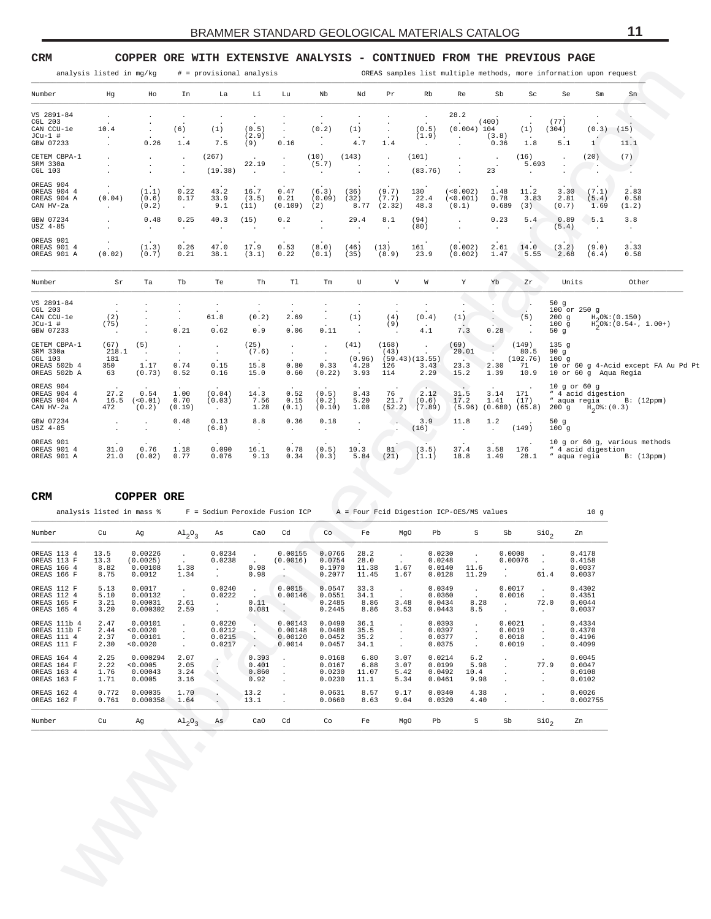<span id="page-10-0"></span>

| Number                                                                                                                                                                                                                                                          |                                     |                                            |                                              |                                                      |                                                                             |                                                     |                                        |                                |                                                |                                             |                                                |                                                |                                         |                                                     | OREAS samples list multiple methods, more information upon request |                                                               |
|-----------------------------------------------------------------------------------------------------------------------------------------------------------------------------------------------------------------------------------------------------------------|-------------------------------------|--------------------------------------------|----------------------------------------------|------------------------------------------------------|-----------------------------------------------------------------------------|-----------------------------------------------------|----------------------------------------|--------------------------------|------------------------------------------------|---------------------------------------------|------------------------------------------------|------------------------------------------------|-----------------------------------------|-----------------------------------------------------|--------------------------------------------------------------------|---------------------------------------------------------------|
|                                                                                                                                                                                                                                                                 | Hg                                  | Ho                                         | In                                           | La                                                   | Li                                                                          | Lu                                                  | Nb                                     | Nd                             | Pr                                             | Rb                                          | Re                                             | Sb                                             | Sc                                      | Se                                                  | Sm                                                                 | Sn                                                            |
| VS 2891-84<br>CGL 203<br>CAN CCU-le<br>JCu-1 #<br>GBW 07233                                                                                                                                                                                                     | $\cdot$<br>10.4                     | $\cdot$<br>0.26                            | $\cdot$<br>(6)<br>1.4                        | $\cdot$<br>(1)<br>7.5                                | $\cdot$<br>(0.5)<br>(2.9)<br>(9)                                            | $\cdot$<br>0.16                                     | $\cdot$<br>(0.2)<br>$\cdot$            | (1)<br>4.7                     | 1.4                                            | $\cdot$<br>(0.5)<br>(1.9)<br>$\blacksquare$ | 28.2<br>$(0.004)$ 104<br>$\cdot$               | (400)<br>(3.8)<br>0.36                         | (1)<br>1.8                              | (77)<br>(304)<br>5.1                                | (0.3)<br>$\mathbf{1}$                                              | (15)<br>11.1                                                  |
| CETEM CBPA-1<br>SRM 330a<br>CGL 103                                                                                                                                                                                                                             |                                     | $\cdot$<br>$\cdot$<br>$\cdot$              | $\cdot$<br>$\cdot$<br>$\cdot$                | (267)<br>(19.38)                                     | 22.19<br>$\ddot{\phantom{1}}$                                               | $\cdot$<br>$\cdot$                                  | (10)<br>(5.7)                          | (143)                          | $\cdot$                                        | (101)<br>(83.76)                            |                                                | 23                                             | (16)<br>5.693                           |                                                     | (20)                                                               | (7)                                                           |
| OREAS 904<br>OREAS 904 4<br>OREAS 904 A<br>CAN HV-2a                                                                                                                                                                                                            | (0.04)<br>$\ddot{\phantom{0}}$      | (1.1)<br>(0.6)<br>(0.2)                    | 0.22<br>0.17<br>$\sim$                       | 43.2<br>33.9<br>9.1                                  | 16.7<br>(3.5)<br>(11)                                                       | 0.47<br>0.21<br>(0.109)                             | (6.3)<br>(0.09)<br>(2)                 | (36)<br>(32)<br>8.77           | (9.7)<br>(7.7)<br>(2.32)                       | 130<br>22.4<br>48.3                         | (<0.002)<br>(<0.001)<br>(0.1)                  | 1.48<br>0.78<br>0.689                          | 11.2<br>3.83<br>(3)                     | 3.30<br>2.81<br>(0.7)                               | (7.1)<br>(5.4)<br>1.69                                             | 2.83<br>0.58<br>(1.2)                                         |
| GBW 07234<br>USZ 4-85                                                                                                                                                                                                                                           |                                     | 0.48<br>$\cdot$                            | 0.25<br>$\cdot$                              | 40.3<br>$\cdot$                                      | (15)                                                                        | 0.2<br>$\cdot$                                      | $\ddot{\phantom{a}}$                   | 29.4<br>$\cdot$                | 8.1<br>$\cdot$                                 | (94)<br>(80)                                |                                                | 0.23<br>$\cdot$                                | 5.4                                     | 0.89<br>(5.4)                                       | 5.1<br>$\cdot$                                                     | 3.8<br>$\bullet$                                              |
| OREAS 901<br>OREAS 901 4<br>OREAS 901 A                                                                                                                                                                                                                         | (0.02)                              | (1.3)<br>(0.7)                             | 0.26<br>0.21                                 | 47.0<br>38.1                                         | 17.9<br>(3.1)                                                               | 0.53<br>0.22                                        | (8.0)<br>(0.1)                         | (46)<br>(35)                   | (13)<br>(8.9)                                  | 161<br>23.9                                 | (0.002)<br>(0.002)                             | 2.61<br>1.47                                   | 14.0<br>5.55                            | (3.2)<br>2.68                                       | (9.0)<br>(6.4)                                                     | 3.33<br>0.58                                                  |
| Number                                                                                                                                                                                                                                                          | Sr                                  | Ta                                         | Tb                                           | Te                                                   | Th                                                                          | Tl                                                  | Tm                                     | U                              | $\boldsymbol{\mathrm{V}}$                      | W                                           | Y                                              | Yb                                             | Zr                                      | Units                                               |                                                                    | Other                                                         |
| VS 2891-84<br>CGL 203<br>CAN CCU-le<br>JCu-1 #<br>GBW 07233                                                                                                                                                                                                     | $\cdot$<br>(2)<br>(75)<br>$\cdot$   |                                            | $\cdot$<br>$\cdot$<br>0.21                   | $\cdot$<br>61.8<br>0.62                              | $\cdot$<br>(0.2)<br>0.9                                                     | $\cdot$<br>2.69<br>0.06                             | 0.11                                   | (1)<br>$\ddot{\phantom{1}}$    | (4)<br>(9)<br>$\cdot$                          | $\cdot$<br>(0.4)<br>4.1                     | (1)<br>7.3                                     | 0.28                                           | (5)                                     | 50 $g$<br>100 or 250 g<br>$200$ g<br>100g<br>50 $g$ |                                                                    | $H_0O$ <sup>2</sup> : (0.150)<br>$H_2^2O$ *: (0.54 -, 1.00 +) |
| CETEM CBPA-1<br>SRM 330a<br>CGL 103<br>OREAS 502b 4<br>OREAS 502b A                                                                                                                                                                                             | (67)<br>218.1<br>181<br>350<br>63   | (5)<br>$\cdot$<br>1.17<br>(0.73)           | $\cdot$<br>$\cdot$<br>0.74<br>0.52           | $\cdot$<br>$\bullet$<br>0.15<br>0.16                 | (25)<br>(7.6)<br>15.8<br>15.0                                               | $\cdot$<br>$\cdot$<br>0.80<br>0.60                  | $\cdot$<br>$\bullet$<br>0.33<br>(0.22) | (41)<br>(0.96)<br>4.28<br>3.93 | (168)<br>(43)<br>126<br>114                    | $\cdot$<br>(59.43)(13.55)<br>3.43<br>2.29   | (69)<br>20.01<br>23.3<br>15.2                  | $\ddot{\phantom{0}}$<br>2.30<br>1.39           | (149)<br>80.5<br>(102.76)<br>71<br>10.9 | 135 <sub>g</sub><br>90 $g$<br>100g                  | 10 or 60 g Aqua Regia                                              | 10 or 60 g 4-Acid except FA Au Pd Pt                          |
| OREAS 904<br>OREAS 904 4<br>OREAS 904 A                                                                                                                                                                                                                         | 27.2<br>16.5<br>472                 | 0.54<br>(0.01)<br>(0.2)                    | 1.00<br>0.70<br>(0.19)                       | (0.04)<br>(0.03)<br>$\sim$                           | 14.3<br>7.56<br>1.28                                                        | 0.52<br>0.15<br>(0.1)                               | (0.5)<br>(0.2)<br>(0.10)               | 8.43<br>5.20<br>1.08           | 76<br>21.7<br>(52.2)                           | 2.12<br>(0.6)<br>(7.89)                     | 31.5<br>17.2                                   | 3.14<br>1.41<br>$(5.96)$ $(0.680)$ $(65.8)$    | 171<br>(17)                             | $10$ g or $60$ g<br>" aqua regia                    | " 4 acid digestion<br>200 g $H_2O_8$ : (0.3)                       | B: (12ppm)                                                    |
|                                                                                                                                                                                                                                                                 |                                     |                                            |                                              |                                                      |                                                                             |                                                     |                                        |                                | 69                                             | 3.9                                         | 11.8                                           | 1.2                                            |                                         | 50 $g$                                              |                                                                    |                                                               |
|                                                                                                                                                                                                                                                                 |                                     | $\cdot$<br>$\cdot$                         | 0.48<br>$\cdot$                              | 0.13<br>(6.8)                                        | 8.8<br>$\cdot$                                                              | 0.36<br>$\cdot$                                     | 0.18<br>$\ddot{\phantom{a}}$           | $\cdot$<br>$\cdot$             |                                                | (16)                                        | $\ddot{\phantom{a}}$                           | $\ddot{\phantom{a}}$                           | (149)                                   | 100g                                                |                                                                    |                                                               |
| CAN HV-2a<br>GBW 07234<br>USZ 4-85<br>OREAS 901<br>OREAS 901 4<br>OREAS 901 A                                                                                                                                                                                   | 31.0<br>21.0                        | 0.76<br>(0.02)                             | 1.18<br>0.77                                 | 0.090<br>0.076                                       | 16.1<br>9.13                                                                | 0.78<br>0.34                                        | (0.5)<br>(0.3)                         | 10.3<br>5.84                   | 81<br>(21)                                     | (3.5)<br>(1.1)                              | 37.4<br>18.8                                   | 3.58<br>1.49                                   | 176<br>28.1                             | " aqua regia                                        | " 4 acid digestion                                                 | 10 g or 60 g, various methods<br>B: (13ppm)                   |
|                                                                                                                                                                                                                                                                 |                                     | <b>COPPER ORE</b>                          |                                              |                                                      |                                                                             |                                                     |                                        |                                |                                                |                                             |                                                |                                                |                                         |                                                     |                                                                    |                                                               |
| analysis listed in mass %                                                                                                                                                                                                                                       |                                     |                                            |                                              | F = Sodium Peroxide Fusion ICP                       |                                                                             |                                                     |                                        |                                |                                                |                                             | $A = Four$ Foid Digestion ICP-OES/MS values    |                                                |                                         |                                                     | 10g                                                                |                                                               |
|                                                                                                                                                                                                                                                                 | Cu                                  | Αg                                         | $A1_{2}0_{3}$                                | As                                                   | CaO                                                                         | Cd                                                  | Co.                                    | Fe                             | MgO                                            | Pb                                          | S                                              | Sb                                             |                                         | $\sin \theta$                                       | Zn                                                                 |                                                               |
|                                                                                                                                                                                                                                                                 | 13.5<br>13.3<br>8.82<br>8.75        | 0.00226<br>(0.0025)<br>0.00108<br>0.0012   | $\cdot$<br>1.38<br>1.34                      | 0.0234<br>0.0238                                     | 0.98<br>0.98                                                                | 0.00155<br>(0.0016)                                 | 0.0766<br>0.0754<br>0.1970<br>0.2077   | 28.2<br>28.0<br>11.38<br>11.45 | $\cdot$<br>1.67<br>1.67                        | 0.0230<br>0.0248<br>0.0140<br>0.0128        | 11.6<br>11.29                                  | 0.0008<br>0.00076                              | $\cdot$                                 | 61.4                                                | 0.4178<br>0.4158<br>0.0037<br>0.0037                               |                                                               |
|                                                                                                                                                                                                                                                                 | 5.13<br>5.10<br>3.21<br>3.20        | 0.0017<br>0.00132<br>0.00031<br>0.000302   | $\sim$<br>2.61<br>2.59                       | 0.0240<br>0.0222<br>$\sim$<br>$\sim$                 | $\sim$<br>0.11<br>0.081                                                     | 0.0015<br>0.00146<br>$\ddot{\phantom{0}}$<br>$\sim$ | 0.0547<br>0.0551<br>0.2485<br>0.2445   | 33.3<br>34.1<br>8.86<br>8.86   | $\sim$<br>$\ddot{\phantom{1}}$<br>3.48<br>3.53 | 0.0349<br>0.0360<br>0.0434<br>0.0443        | $\sim 10^{-11}$<br>8.28<br>8.5                 | 0.0017<br>0.0016<br>$\sim 10^{-10}$<br>$\cdot$ | $\sim$<br>72.0<br>$\sim$                |                                                     | 0.4302<br>0.4351<br>0.0044<br>0.0037                               |                                                               |
|                                                                                                                                                                                                                                                                 | 2.47<br>2.44<br>2.37<br>2.30        | 0.00101<br>< 0.0020<br>0.00101<br>< 0.0020 | $\blacksquare$<br>$\sim$<br>$\sim$<br>$\sim$ | 0.0220<br>0.0212<br>0.0215<br>0.0217                 | $\mathcal{L}_{\mathcal{A}}$<br>$\sim$<br>$\sim$<br><b>Contract Contract</b> | 0.00143<br>0.00148<br>0.00120<br>0.0014             | 0.0490<br>0.0488<br>0.0452<br>0.0457   | 36.1<br>35.5<br>35.2<br>34.1   | $\sim$<br>$\cdot$<br>$\cdot$<br>$\sim$         | 0.0393<br>0.0397<br>0.0377<br>0.0375        | $\cdot$<br>$\blacksquare$<br>$\sim$<br>$\cdot$ | 0.0021<br>0.0019<br>0.0018<br>0.0019           | $\cdot$<br>$\cdot$<br>$\cdot$           |                                                     | 0.4334<br>0.4370<br>0.4196<br>0.4099                               |                                                               |
| CRM<br>Number<br>OREAS 113 4<br>OREAS 113 F<br>OREAS 166 4<br>OREAS 166 F<br>OREAS 112 F<br>OREAS 112 4<br>OREAS 165 F<br>OREAS 165 4<br>OREAS 111b 4<br>OREAS 111b F<br>OREAS 111 4<br>OREAS 111 F<br>OREAS 164 4<br>OREAS 164 F<br>OREAS 163 4<br>OREAS 163 F | 2.25<br>2.22<br>$\frac{1.76}{1.71}$ | 0.000294<br>< 0.0005<br>0.00043<br>0.0005  | 2.07<br>2.05<br>3.24<br>3.16                 | $\overline{\phantom{a}}$<br>$\sim$<br>$\blacksquare$ | 0.393<br>0.401<br>0.860<br>0.92                                             | $\sim$<br>$\sim$<br>$\sim$<br>$\cdot$               | 0.0168<br>0.0167<br>0.0230<br>0.0230   | 6.80<br>6.88<br>11.07<br>11.1  | 3.07<br>3.07<br>5.42<br>5.34                   | 0.0214<br>0.0199<br>0.0492<br>0.0461        | 6.2<br>5.98<br>10.4<br>9.98                    | $\bullet$<br>$\sim$<br>$\cdot$<br>$\cdot$      | 77.9<br>$\sim$<br>$\cdot$               |                                                     | 0.0045<br>0.0047<br>0.0108<br>0.0102                               |                                                               |
| OREAS 162 4<br>OREAS 162 F                                                                                                                                                                                                                                      | 0.772<br>0.761                      | 0.00035<br>0.000358                        | 1.70<br>1.64                                 | $\cdot$<br>$\epsilon$                                | 13.2<br>13.1                                                                | $\cdot$<br>$\cdot$                                  | 0.0631<br>0.0660                       | 8.57<br>8.63                   | 9.17<br>9.04                                   | 0.0340<br>0.0320                            | 4.38<br>4.40                                   | $\cdot$<br>$\sim$                              | $\cdot$                                 |                                                     | 0.0026<br>0.002755                                                 |                                                               |

| CRM                                                        |                              | COPPER ORE                                 |                                 |                                                  |                                         |                                                                              |                                      |                                |                              |                                      |                             |                                      |                                                           |                                      |
|------------------------------------------------------------|------------------------------|--------------------------------------------|---------------------------------|--------------------------------------------------|-----------------------------------------|------------------------------------------------------------------------------|--------------------------------------|--------------------------------|------------------------------|--------------------------------------|-----------------------------|--------------------------------------|-----------------------------------------------------------|--------------------------------------|
|                                                            |                              | analysis listed in mass %                  |                                 |                                                  |                                         | $F =$ Sodium Peroxide Fusion ICP $A =$ Four Foid Digestion ICP-OES/MS values |                                      |                                |                              |                                      |                             |                                      |                                                           | 10q                                  |
| Number                                                     | Cu                           | Ag                                         | $\mathrm{Al}_{2}\mathrm{O}_{3}$ | As                                               | CaO                                     | Cd                                                                           | Co                                   | Fe                             | MqO                          | Pb                                   | S                           | Sb                                   | SiO <sub>2</sub>                                          | Zn                                   |
| OREAS 113 4<br>OREAS 113 F<br>OREAS 166 4<br>OREAS 166 F   | 13.5<br>13.3<br>8.82<br>8.75 | 0.00226<br>(0.0025)<br>0.00108<br>0.0012   | 1.38<br>1.34                    | 0.0234<br>0.0238<br>$\mathbf{r}$                 | $\mathbf{r}$<br>0.98<br>0.98            | 0.00155<br>(0.0016)                                                          | 0.0766<br>0.0754<br>0.1970<br>0.2077 | 28.2<br>28.0<br>11.38<br>11.45 | 1.67<br>1.67                 | 0.0230<br>0.0248<br>0.0140<br>0.0128 | 11.6<br>11.29               | 0.0008<br>0.00076                    | $\mathbf{r}$<br>61.4                                      | 0.4178<br>0.4158<br>0.0037<br>0.0037 |
| OREAS 112 F<br>OREAS 112 4<br>OREAS 165 F<br>OREAS 165 4   | 5.13<br>5.10<br>3.21<br>3.20 | 0.0017<br>0.00132<br>0.00031<br>0.000302   | 2.61<br>2.59                    | 0.0240<br>0.0222<br>$\mathbf{r}$<br>$\mathbf{r}$ | $\mathbf{r}$<br>$\sim$<br>0.11<br>0.081 | 0.0015<br>0.00146                                                            | 0.0547<br>0.0551<br>0.2485<br>0.2445 | 33.3<br>34.1<br>8.86<br>8.86   | 3.48<br>3.53                 | 0.0349<br>0.0360<br>0.0434<br>0.0443 | 8.28<br>8.5                 | 0.0017<br>0.0016                     | $\ddot{\phantom{a}}$<br>72.0<br>$\ddot{\phantom{0}}$      | 0.4302<br>0.4351<br>0.0044<br>0.0037 |
| OREAS 111b 4<br>OREAS 111b F<br>OREAS 111 4<br>OREAS 111 F | 2.47<br>2.44<br>2.37<br>2.30 | 0.00101<br>< 0.0020<br>0.00101<br>< 0.0020 |                                 | 0.0220<br>0.0212<br>0.0215<br>0.0217             |                                         | 0.00143<br>0.00148<br>0.00120<br>0.0014                                      | 0.0490<br>0.0488<br>0.0452<br>0.0457 | 36.1<br>35.5<br>35.2<br>34.1   |                              | 0.0393<br>0.0397<br>0.0377<br>0.0375 |                             | 0.0021<br>0.0019<br>0.0018<br>0.0019 | $\ddot{\phantom{a}}$                                      | 0.4334<br>0.4370<br>0.4196<br>0.4099 |
| OREAS 164 4<br>OREAS 164 F<br>OREAS 163 4<br>OREAS 163 F   | 2.25<br>2.22<br>1.76<br>1.71 | 0.000294<br>< 0.0005<br>0.00043<br>0.0005  | 2.07<br>2.05<br>3.24<br>3.16    |                                                  | 0.393<br>0.401<br>0.860<br>0.92         |                                                                              | 0.0168<br>0.0167<br>0.0230<br>0.0230 | 6.80<br>6.88<br>11.07<br>11.1  | 3.07<br>3.07<br>5.42<br>5.34 | 0.0214<br>0.0199<br>0.0492<br>0.0461 | 6.2<br>5.98<br>10.4<br>9.98 |                                      | $\cdot$<br>77.9<br>$\blacksquare$<br>$\ddot{\phantom{0}}$ | 0.0045<br>0.0047<br>0.0108<br>0.0102 |
| OREAS 162 4<br>OREAS 162 F                                 | 0.772<br>0.761               | 0.00035<br>0.000358                        | 1.70<br>1.64                    |                                                  | 13.2<br>13.1                            |                                                                              | 0.0631<br>0.0660                     | 8.57<br>8.63                   | 9.17<br>9.04                 | 0.0340<br>0.0320                     | 4.38<br>4.40                |                                      | $\ddot{\phantom{a}}$<br>$\ddot{\phantom{0}}$              | 0.0026<br>0.002755                   |
| Number                                                     | Cu                           | Aq                                         | $\mathrm{Al}_{2}\mathrm{O}_{3}$ | As                                               | CaO                                     | Cd                                                                           | Co                                   | Fe                             | MqO                          | Pb                                   | S                           | Sb                                   | SiO <sub>2</sub>                                          | Zn                                   |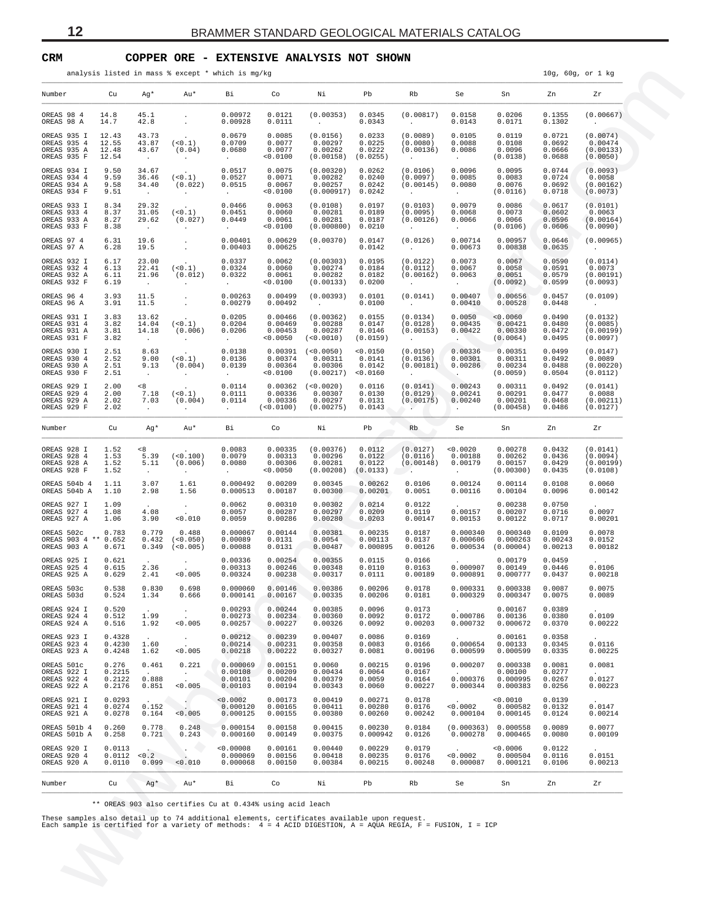## <span id="page-11-0"></span>**CRM COPPER ORE - EXTENSIVE ANALYSIS NOT SHOWN**

|                                                           |                                     |                                            |                                 | analysis listed in mass % except * which is mg/kg      |                                             |                                                                 |                                        |                                                              |                                                          |                                              |                                      | 10g, 60g, or 1 kg                             |
|-----------------------------------------------------------|-------------------------------------|--------------------------------------------|---------------------------------|--------------------------------------------------------|---------------------------------------------|-----------------------------------------------------------------|----------------------------------------|--------------------------------------------------------------|----------------------------------------------------------|----------------------------------------------|--------------------------------------|-----------------------------------------------|
| Number                                                    | Cu                                  | Ag*                                        | Au*                             | Bi                                                     | $\circ$ Co                                  |                                                                 | Pb                                     | Rb                                                           | Se                                                       | Sn Zn                                        |                                      | Zr                                            |
| OREAS 98 4<br>OREAS 98 A                                  | 14.8<br>14.7                        | 45.1<br>42.8                               | $\blacksquare$<br>$\cdot$       | 0.00972<br>0.00928                                     | 0.0121<br>0.0111                            | (0.00353)<br><b>Contractor</b>                                  | 0.0345<br>0.0343                       | (0.00817)<br>$\sim 10^{-10}$                                 | 0.0158<br>0.0143                                         | 0.0206<br>0.0171                             | 0.1355<br>0.1302                     | (0.00667)<br>$\sim 100$                       |
| OREAS 935 I<br>OREAS 935 4<br>OREAS 935 A<br>OREAS 935 F  | 12.43<br>12.55<br>12.48<br>12.54    | 43.73<br>43.87<br>43.67<br>$\sim$ $-$      | (< 0.1)<br>(0.04)<br>$\sim$     | 0.0679<br>0.0709<br>0.0680<br><b>Allen</b>             | 0.0085<br>0.0077<br>0.0077<br>0.0100        | (0.0156)<br>0.00297<br>0.00262<br>(0.00158)                     | 0.0233<br>0.0225<br>0.0222<br>(0.0255) | (0.0089)<br>(0.0080)<br>(0.00136)<br>$\sim 100$              | 0.0105<br>0.0088<br>0.0086<br>$\sim 100$                 | 0.0119<br>0.0108<br>0.0096<br>(0.0138)       | 0.0721<br>0.0692<br>0.0666<br>0.0688 | (0.0074)<br>0.00474<br>(0.00133)<br>(0.0050)  |
| OREAS 934 I<br>OREAS 934 4<br>OREAS 934 A<br>OREAS 934 F  | 9.50<br>9.59<br>9.58<br>9.51        | 34.67<br>36.46<br>34.40<br>$\sim 10^{-1}$  | (< 0.1)<br>(0.022)<br>$\sim$    | 0.0517<br>0.0527<br>0.0515<br><b>Contract Contract</b> | 0.0075<br>0.0071<br>0.0067<br>< 0.0100      | (0.00320)<br>0.00282<br>0.00257<br>$(0.000917)$ 0.0242          | 0.0262<br>0.0240<br>0.0242             | (0.0106)<br>(0.0097)<br>(0.00145)<br>$\sim 100$ km s $^{-1}$ | 0.0096<br>0.0085<br>0.0080<br><b>All Control</b>         | 0.0095<br>0.0083<br>0.0076<br>(0.0116)       | 0.0744<br>0.0724<br>0.0692<br>0.0718 | (0.0093)<br>0.0058<br>(0.00162)<br>(0.0073)   |
| OREAS 933 I<br>OREAS 933 4<br>OREAS 933 A<br>OREAS 933 F  | 8.34<br>8.37<br>8.27<br>8.38        | 29.32<br>31.05<br>29.62<br>$\sim 10^{-11}$ | (< 0.1)<br>(0.027)<br>$\sim$    | 0.0466<br>0.0451<br>0.0449<br><b>Carl Corporation</b>  | 0.0063<br>0.0060<br>0.0061<br>0.0100        | (0.0108)<br>0.00281<br>0.00281<br>$(0.000800)$ 0.0210           | 0.0197<br>0.0189<br>0.0187             | (0.0103)<br>(0.0095)<br>(0.00126)<br>$\sim 100$              | 0.0079<br>0.0068<br>0.0066<br><b>All Control</b>         | 0.0086<br>0.0073<br>0.0066<br>(0.0106)       | 0.0617<br>0.0602<br>0.0596<br>0.0606 | (0.0101)<br>0.0063<br>(0.00164)<br>(0.0090)   |
| OREAS 97 4<br>OREAS 97 A                                  | 6.31<br>6.28                        | 19.6<br>19.5                               | $\cdot$                         | 0.00401<br>0.00403                                     | 0.00629<br>0.00625                          | (0.00370)<br><b>Contract Contract</b>                           | 0.0147<br>0.0142                       | (0.0126)<br><b>Contractor</b>                                | 0.00714<br>0.00673                                       | 0.00957<br>0.00838                           | 0.0646<br>0.0635                     | (0.00965)<br>$\sim 100$                       |
| OREAS 932 I<br>OREAS 932 4<br>OREAS 932 A<br>OREAS 932 F  | 6.17<br>6.13<br>6.11<br>6.19        | 23.00<br>22.41<br>21.96<br>$\sim$ $-$      | (< 0.1)<br>(0.012)<br>$\sim$    | 0.0337<br>0.0324<br>0.0322<br>$\sim$                   | 0.0062<br>0.0060<br>0.0061<br>0.0100        | (0.00303)<br>0.00274<br>0.00282<br>(0.00133)                    | 0.0195<br>0.0184<br>0.0182<br>0.0200   | (0.0122)<br>(0.0112)<br>(0.00162)<br>$\sim$ 100 $\sim$       | 0.0073<br>0.0067<br>0.0063<br>$\sim 100$                 | 0.0067<br>0.0058<br>0.0051<br>(0.0092)       | 0.0590<br>0.0591<br>0.0579<br>0.0599 | (0.0114)<br>0.0073<br>(0.00191)<br>(0.0093)   |
| OREAS 96 4<br>OREAS 96 A                                  | 3.93<br>3.91                        | 11.5<br>11.5                               | $\cdot$                         | 0.00263<br>0.00279                                     | 0.00499<br>0.00492                          | (0.00393)<br><b>Contract Contract</b>                           | 0.0101<br>0.0100                       | (0.0141)<br><b>Contractor</b>                                | 0.00407<br>0.00410                                       | 0.00656<br>0.00528                           | 0.0457<br>0.0448                     | (0.0109)<br>$\sim 100$                        |
| OREAS 931 I<br>OREAS 931 4<br>OREAS 931 A<br>OREAS 931 F  | 3.83<br>3.82<br>3.81<br>3.82        | 13.62<br>14.04<br>14.18<br>$\sim$          | (< 0.1)<br>(0.006)<br>$\sim$    | 0.0205<br>0.0204<br>0.0206<br><b>Contract Contract</b> | 0.00466<br>0.00469<br>0.00453<br>< 0.0050   | (0.00362)<br>0.00288<br>0.00287<br>( < 0.0010 )                 | 0.0155<br>0.0147<br>0.0146<br>(0.0159) | (0.0134)<br>(0.0128)<br>(0.00153)<br>$\sim$ 100 $\mu$        | 0.0050<br>0.00435<br>0.00422<br><b>Contract Contract</b> | < 0.0060<br>0.00421<br>0.00330<br>(0.0064)   | 0.0490<br>0.0480<br>0.0472<br>0.0495 | (0.0132)<br>(0.0085)<br>(0.00199)<br>(0.0097) |
| OREAS 930 I<br>OREAS 930 4<br>OREAS 930 A<br>OREAS 930 F  | 2.51<br>2.52<br>2.51<br>2.51        | 8.63<br>9.00<br>9.13<br>$\sim$             | (< 0.1)<br>(0.004)<br>$\sim$    | 0.0138<br>0.0136<br>0.0139<br><b>Contractor</b>        | 0.00374<br>0.00364<br>< 0.0100              | $0.00391$ (<0.0050)<br>0.00311<br>0.00306<br>(0.00217) < 0.0160 | < 0.0150<br>0.0141<br>0.0142           | (0.0150)<br>(0.0136)<br>(0.00181)<br>$\sim 100$              | 0.00336<br>0.00301<br>0.00286<br>$\sim$ .                | 0.00351<br>0.00311<br>0.00234<br>(0.0059)    | 0.0499<br>0.0492<br>0.0488<br>0.0504 | (0.0147)<br>0.0089<br>(0.00220)<br>(0.0112)   |
| OREAS 929 I<br>OREAS 929 4<br>OREAS 929 A<br>OREAS 929 F  | 2.00<br>2.00<br>2.02<br>2.02        | < 8<br>7.18<br>7.03<br>$\sim$ $-$          | (< 0.1)<br>(0.004)<br>$\sim$    | 0.0114<br>0.0111<br>0.0114<br>$\sim 10^{-11}$          | 0.00362<br>0.00336<br>0.00336<br>(< 0.0100) | (<0.0020)<br>0.00307<br>0.00297<br>(0.00275)                    | 0.0116<br>0.0130<br>0.0131<br>0.0143   | (0.0141)<br>(0.0129)<br>(0.00175)<br>$\sim$ $\sim$           | 0.00243<br>0.00241<br>0.00240<br>$\sim$                  | 0.00311<br>0.00291<br>0.00201<br>(0.00458)   | 0.0492<br>0.0477<br>0.0468<br>0.0486 | (0.0141)<br>0.0088<br>(0.00211)<br>(0.0127)   |
| Number                                                    | Cu                                  | Ag*                                        | Au*                             | Bi l                                                   | Co                                          | Ni                                                              | Pb                                     | Rb                                                           |                                                          | Se Sn Zn                                     |                                      | Zr                                            |
| OREAS 928 I<br>OREAS 928 4<br>OREAS 928 A<br>OREAS 928 F  | 1.52<br>1.53<br>1.52<br>1.52        | < 8<br>5.39<br>5.11<br>$\sim$ $-$          | (<0.100)<br>(0.006)<br>$\sim$   | 0.0083<br>0.0079<br>0.0080<br>$\sim 100$               | 0.00335<br>0.00313<br>0.00306<br>0.0050     | (0.00376)<br>0.00296<br>0.00281<br>(0.00208)                    | 0.0112<br>0.0122<br>0.0122<br>(0.0133) | (0.0127)<br>(0.0116)<br>(0.00148)<br><b>Allen</b>            | < 0.0020<br>0.00188<br>0.00179<br><b>Contractor</b>      | 0.00278<br>0.00262<br>0.00157<br>(0.00300)   | 0.0432<br>0.0436<br>0.0429<br>0.0435 | (0.0141)<br>(0.0094)<br>(0.00199)<br>(0.0108) |
| OREAS 504b 4<br>OREAS 504b A                              | 1.11<br>1.10                        | 3.07<br>2.98                               | 1.61<br>1.56                    | 0.000492<br>0.000513                                   | 0.00209<br>0.00187                          | 0.00345<br>0.00300                                              | 0.00262<br>0.00201                     | 0.0106<br>0.0051                                             | 0.00124<br>0.00116                                       | 0.00114<br>0.00104                           | 0.0108<br>0.0096                     | 0.0060<br>0.00142                             |
| OREAS 927 I<br>OREAS 927 4<br>OREAS 927 A                 | 1.09<br>1.08<br>1.06                | 4.08<br>3.90                               | $\sim$<br>0.010                 | 0.0062<br>0.0057<br>0.0059                             | 0.00310<br>0.00287<br>0.00286               | 0.00302<br>0.00297<br>0.00280                                   | 0.0214<br>0.0209<br>0.0203             | 0.0122<br>0.0119<br>0.00147                                  | 0.00157<br>0.00153                                       | 0.00238<br>0.00207<br>0.00122                | 0.0750<br>0.0716<br>0.0717           | 0.0097<br>0.00201                             |
| OREAS 502c<br>OREAS 903 4 ** 0.652<br>OREAS 903 A         | 0.783<br>0.671                      | 0.779<br>0.432<br>0.349                    | 0.488<br>(< 0.050)<br>(< 0.005) | 0.000067<br>0.00089<br>0.00088                         | 0.00144<br>0.0131<br>0.0131                 | 0.00381<br>0.0054<br>0.00487                                    | 0.00235<br>0.00113<br>0.000895         | 0.0187<br>0.0137<br>0.00126                                  | 0.000340<br>0.000606                                     | 0.000340<br>0.000263<br>$0.000534$ (0.00004) | 0.0109<br>0.00243<br>0.00213         | 0.0078<br>0.0152<br>0.00182                   |
| OREAS 925 I<br>OREAS 925 4<br>OREAS 925 A                 | 0.621<br>0.615<br>0.629             | 2.36<br>2.41                               | < 0.005                         | 0.00336<br>0.00313<br>0.00324                          | 0.00254<br>0.00246<br>0.00238               | 0.00355<br>0.00348<br>0.00317                                   | 0.0115<br>0.0110<br>0.0111             | 0.0166<br>0.0163<br>0.00189                                  | 0.000907<br>0.000891                                     | 0.00179<br>0.00149<br>0.000777               | 0.0459<br>0.0446<br>0.0437           | 0.0106<br>0.00218                             |
| OREAS 503c<br>OREAS 503d                                  | 0.538<br>0.524                      | 0.830<br>1.34                              | 0.698<br>0.666                  | 0.000141                                               | 0.000060 0.00146<br>0.00167                 | 0.00386<br>0.00335                                              | 0.00206<br>0.00206                     | 0.0178<br>0.0181                                             | 0.000329                                                 | $0.000331$ $0.000338$ $0.0087$<br>0.000347   | 0.0075                               | 0.0075<br>0.0089                              |
| OREAS 924 I<br>OREAS 924 4<br>OREAS 924 A                 | 0.520<br>0.512<br>0.516             | 1.99<br>1.92                               | < 0.005                         | 0.00293<br>0.00273<br>0.00257                          | 0.00244<br>0.00234<br>0.00227               | 0.00385<br>0.00360<br>0.00326                                   | 0.0096<br>0.0092<br>0.0092             | 0.0173<br>0.0172<br>0.00203                                  | 0.000786<br>0.000732                                     | 0.00167<br>0.00136<br>0.000672               | 0.0389<br>0.0380<br>0.0370           | 0.0109<br>0.00222                             |
| OREAS 923 I<br>OREAS 923 4<br>OREAS 923 A                 | 0.4328<br>0.4230<br>0.4248          | 1.60<br>1.62                               | $\bullet$<br>0.005              | 0.00212<br>0.00214<br>0.00218                          | 0.00239<br>0.00231<br>0.00222               | 0.00407<br>0.00358<br>0.00327                                   | 0.0086<br>0.0083<br>0.0081             | 0.0169<br>0.0166<br>0.00196                                  | 0.000654<br>0.000599                                     | 0.00161<br>0.00133<br>0.000599               | 0.0358<br>0.0345<br>0.0335           | 0.0116<br>0.00225                             |
| OREAS 501c<br>OREAS 922 I<br>OREAS 922 4<br>OREAS 922 A   | 0.276<br>0.2215<br>0.2122<br>0.2176 | 0.461<br>0.888<br>0.851                    | 0.221<br>$\sim$<br>< 0.005      | 0.000069<br>0.00108<br>0.00101<br>0.00103              | 0.00151<br>0.00209<br>0.00204<br>0.00194    | 0.0060<br>0.00434<br>0.00379<br>0.00343                         | 0.00215<br>0.0064<br>0.0059<br>0.0060  | 0.0196<br>0.0167<br>0.0164<br>0.00227                        | 0.000207<br>0.000376<br>0.000344                         | 0.000338<br>0.00100<br>0.000995<br>0.000383  | 0.0081<br>0.0277<br>0.0267<br>0.0256 | 0.0081<br>0.0127<br>0.00223                   |
| OREAS 921 I<br>OREAS 921 4<br>OREAS 921 A                 | 0.0293<br>0.0274<br>0.0278          | 0.152<br>0.164                             | 0.005                           | < 0.0002<br>0.000120<br>0.000125                       | 0.00173<br>0.00165<br>0.00155               | 0.00419<br>0.00411<br>0.00380                                   | 0.00271<br>0.00280<br>0.00260          | 0.0178<br>0.0176<br>0.00242                                  | < 0.0002<br>0.000104                                     | <0.0010<br>0.000582<br>0.000145              | 0.0139<br>0.0132<br>0.0124           | 0.0147<br>0.00214                             |
| OREAS 501b 4                                              | 0.260<br>0.258                      | 0.778<br>0.721                             | 0.248<br>0.243                  | 0.000154<br>0.000160                                   | 0.00158<br>0.00149                          | 0.00415<br>0.00375                                              | 0.00230<br>0.000942                    | 0.0184<br>0.0126                                             | (0.000363)<br>0.000278                                   | 0.000558<br>0.000465                         | 0.0089<br>0.0080                     | 0.0077<br>0.00109                             |
|                                                           | 0.0113                              | 0.2<br>0.099                               | 0.010                           | 0.00008<br>0.000069<br>0.000068                        | 0.00161<br>0.00156<br>0.00150               | 0.00440<br>0.00418<br>0.00384                                   | 0.00229<br>0.00235<br>0.00215          | 0.0179<br>0.0176<br>0.00248                                  | < 0.0002<br>0.000087                                     | 0.0006<br>0.000504<br>0.000121               | 0.0122<br>0.0116<br>0.0106           | 0.0151<br>0.00213                             |
| OREAS 501b A<br>OREAS 920 I<br>OREAS 920 4<br>OREAS 920 A | 0.0112<br>0.0110                    |                                            |                                 |                                                        |                                             |                                                                 | Pb                                     | Rb                                                           |                                                          |                                              |                                      |                                               |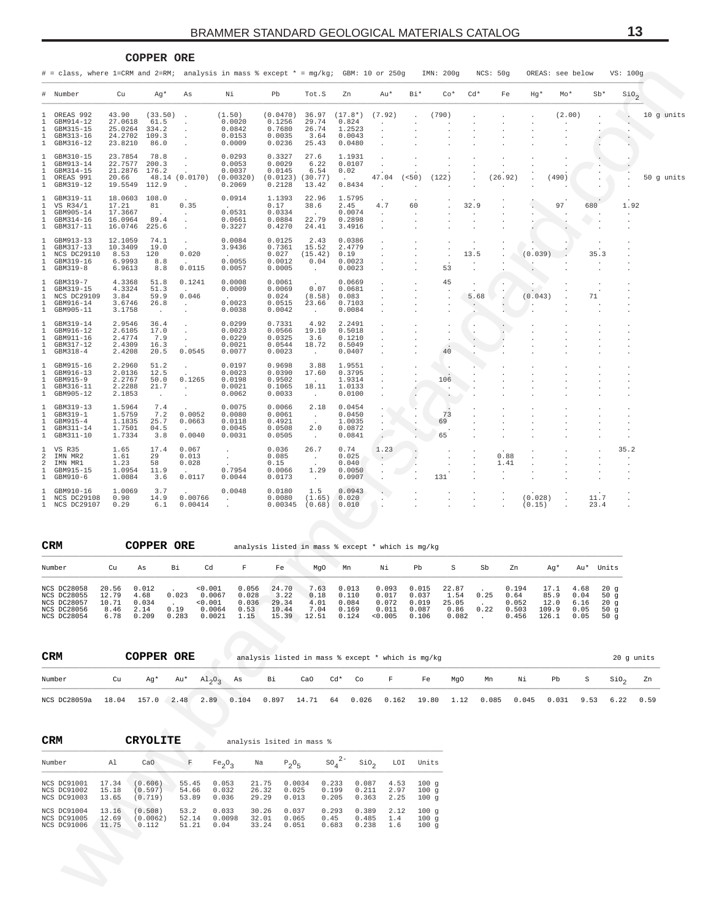<span id="page-12-0"></span>

|              |                                                                                       |                                                   |                                           |                 | BRAMMER STANDARD GEOLOGICAL MATERIALS CATALOG     |                                                  |                                            |                                                  |               |       |           |       |          |         |                  |                              | IJ               |            |
|--------------|---------------------------------------------------------------------------------------|---------------------------------------------------|-------------------------------------------|-----------------|---------------------------------------------------|--------------------------------------------------|--------------------------------------------|--------------------------------------------------|---------------|-------|-----------|-------|----------|---------|------------------|------------------------------|------------------|------------|
|              |                                                                                       |                                                   | COPPER ORE                                |                 |                                                   |                                                  |                                            |                                                  |               |       |           |       |          |         |                  |                              |                  |            |
|              | # = class, where 1=CRM and 2=RM; analysis in mass % except * = mg/kg; GBM: 10 or 250g |                                                   |                                           |                 |                                                   |                                                  |                                            |                                                  |               |       | IMN: 200q |       | NCS: 50q |         | OREAS: see below |                              | VS: 100g         |            |
|              | # Number                                                                              | Cu                                                | Aq*                                       | As              | Νi                                                | Pb                                               | Tot.S                                      | Zn                                               | Au*           | Bi*   | $Co*$     | $Cd*$ | Fe       | $Hq*$   | Mo*              | $Sb*$                        | SiO <sub>2</sub> |            |
|              | OREAS 992<br>GBM914-12<br>GBM315-15<br>GBM313-16<br>GBM316-12                         | 43.90<br>27.0618<br>25.0264<br>24.2702<br>23.8210 | (33.50)<br>61.5<br>334.2<br>109.3<br>86.0 |                 | (1.50)<br>0.0020<br>0.0842<br>0.0153<br>0.0009    | (0.0470)<br>0.1256<br>0.7680<br>0.0035<br>0.0236 | 36.97<br>29.74<br>26.74<br>3.64<br>25.43   | $(17.8*)$<br>0.824<br>1.2523<br>0.0043<br>0.0480 | (7.92)        |       | (790)     |       |          |         | (2.00)           |                              |                  | 10 g units |
|              | GBM310-15<br>GBM913-14<br>GBM314-15<br>OREAS 991<br>GBM319-12                         | 23.7854<br>22.7577<br>21.2876<br>20.66<br>19.5549 | 78.8<br>200.3<br>176.2<br>112.9           | 48.14 (0.0170)  | 0.0293<br>0.0053<br>0.0037<br>(0.00320)<br>0.2069 | 0.3327<br>0.0029<br>0.0145<br>(0.0123)<br>0.2128 | 27.6<br>6.22<br>6.54<br>(30.77)<br>13.42   | 1.1931<br>0.0107<br>0.02<br>0.8434               | 47.04         | (<50) | (122)     |       | (26.92)  |         | (490)            |                              |                  | 50 g units |
|              | GBM319-11<br>VS R34/1<br>GBM905-14<br>GBM314-16<br>GBM317-11                          | 18.0603<br>17.21<br>17.3667<br>16.0964<br>16.0746 | 108.0<br>81<br>89.4<br>225.6              | 0.35            | 0.0914<br>0.0531<br>0.0661<br>0.3227              | 1.1393<br>0.17<br>0.0334<br>0.0884<br>0.4270     | 22.96<br>38.6<br>22.79<br>24.41            | 1.5795<br>2.45<br>0.0074<br>0.2898<br>3.4916     | $\sim$<br>4.7 | 60    |           | 32.9  |          |         | 97               | 680<br>$\color{red} \bullet$ | 1.92             |            |
| $\mathbf{1}$ | GBM913-13<br>GBM317-13<br>NCS DC29110<br>GBM319-16<br>GBM319-8                        | 12.1059<br>10.3409<br>8.53<br>6.9993<br>6.9613    | 74.1<br>19.0<br>120<br>8.8<br>8.8         | 0.020<br>0.0115 | 0.0084<br>3.9436<br>0.0055<br>0.0057              | 0.0125<br>0.7361<br>0.027<br>0.0012<br>0.0005    | 2.43<br>15.52<br>(15.42)<br>0.04<br>$\sim$ | 0.0386<br>2.4779<br>0.19<br>0.0023<br>0.0023     |               |       | 53        | 13.5  |          | (0.039) |                  | 35.3                         |                  |            |

|        |                                                                                     |                                                   |                                                      |                                        | # = class, where 1=CRM and 2=RM; analysis in mass % except * = mg/kg; GBM: 10 or 250g |                                                     |                                            |                                                  |                                  |                                                           | IMN: 200g                      |                                  | NCS: 50g                        | OREAS: see below                |         |                                           | VS: 100g                                    |                                           |            |
|--------|-------------------------------------------------------------------------------------|---------------------------------------------------|------------------------------------------------------|----------------------------------------|---------------------------------------------------------------------------------------|-----------------------------------------------------|--------------------------------------------|--------------------------------------------------|----------------------------------|-----------------------------------------------------------|--------------------------------|----------------------------------|---------------------------------|---------------------------------|---------|-------------------------------------------|---------------------------------------------|-------------------------------------------|------------|
|        | # Number                                                                            | Cu                                                | Ag*                                                  | As                                     | Νi                                                                                    | Pb                                                  | Tot.S                                      | Zn                                               | Au*                              | Bi*                                                       | $Co*$                          | Cd*                              | Fe                              | Hg*                             | $Mo*$   | $Sb*$                                     |                                             | $\mathop{\rm \mathfrak {SiO}}\nolimits_2$ |            |
|        | OREAS 992<br>GBM914-12<br>GBM315-15<br>GBM313-16<br>GBM316-12                       | 43.90<br>27.0618<br>25.0264<br>24.2702<br>23.8210 | (33.50)<br>61.5<br>334.2<br>109.3<br>86.0            |                                        | (1.50)<br>0.0020<br>0.0842<br>0.0153<br>0.0009                                        | (0.0470)<br>0.1256<br>0.7680<br>0.0035<br>0.0236    | 36.97<br>29.74<br>26.74<br>3.64<br>25.43   | $(17.8*)$<br>0.824<br>1.2523<br>0.0043<br>0.0480 | (7.92)                           |                                                           | (790)                          |                                  |                                 |                                 | (2.00)  |                                           |                                             |                                           | 10 g units |
|        | GBM310-15<br>GBM913-14<br>GBM314-15<br>OREAS 991<br>GBM319-12                       | 23.7854<br>22.7577<br>21.2876<br>20.66<br>19.5549 | 78.8<br>200.3<br>176.2<br>48.14<br>112.9             | (0.0170)<br>$\cdot$                    | 0.0293<br>0.0053<br>0.0037<br>(0.00320)<br>0.2069                                     | 0.3327<br>0.0029<br>0.0145<br>(0.0123)<br>0.2128    | 27.6<br>6.22<br>6.54<br>(30.77)<br>13.42   | 1.1931<br>0.0107<br>0.02<br>0.8434               | 47.04<br>$\cdot$                 | (<50)                                                     | (122)                          |                                  | (26.92)                         |                                 | (490)   |                                           |                                             |                                           | 50 g units |
|        | GBM319-11<br>VS R34/1<br>GBM905-14<br>GBM314-16<br>GBM317-11                        | 18.0603<br>17.21<br>17.3667<br>16.0964<br>16.0746 | 108.0<br>81<br>89.4<br>225.6                         | 0.35<br>$\sim$<br>$\cdot$              | 0.0914<br>0.0531<br>0.0661<br>0.3227                                                  | 1.1393<br>0.17<br>0.0334<br>0.0884<br>0.4270        | 22.96<br>38.6<br>22.79<br>24.41            | 1.5795<br>2.45<br>0.0074<br>0.2898<br>3.4916     | 4.7<br>$\cdot$<br>$\cdot$        | 60                                                        |                                | 32.9                             |                                 |                                 | 97      | 680                                       |                                             | 1.92<br>$\cdot$                           |            |
|        | GBM913-13<br>GBM317-13<br>NCS DC29110<br>GBM319-16<br>GBM319-8                      | 12.1059<br>10.3409<br>8.53<br>6.9993<br>6.9613    | 74.1<br>19.0<br>120<br>8.8<br>8.8                    | $\cdot$<br>0.020<br>0.0115             | 0.0084<br>3.9436<br>0.0055<br>0.0057                                                  | 0.0125<br>0.7361<br>0.027<br>0.0012<br>0.0005       | 2.43<br>15.52<br>(15.42)<br>0.04<br>$\sim$ | 0.0386<br>2.4779<br>0.19<br>0.0023<br>0.0023     |                                  |                                                           | 53                             | 13.5                             |                                 | (0.039)                         |         | 35.3                                      |                                             |                                           |            |
| 1      | GBM319-7<br>GBM319-15<br>NCS DC29109<br>GBM916-14<br>GBM905-11                      | 4.3368<br>4.3324<br>3.84<br>3.6746<br>3.1758      | 51.8<br>51.3<br>59.9<br>26.8<br>$\sim$               | 0.1241<br>0.046<br>$\sim$              | 0.0008<br>0.0009<br>0.0023<br>0.0038                                                  | 0.0061<br>0.0069<br>0.024<br>0.0515<br>0.0042       | 0.07<br>(8.58)<br>23.66<br>$\sim$          | 0.0669<br>0.0681<br>0.083<br>0.7103<br>0.0084    |                                  |                                                           | 45                             | 5.68<br>$\cdot$                  |                                 | (0.043)                         |         | 71                                        |                                             |                                           |            |
|        | GBM319-14<br>GBM916-12<br>GBM911-16<br>GBM317-12<br>GBM318-4                        | 2.9546<br>2.6105<br>2.4774<br>2.4309<br>2.4208    | 36.4<br>17.0<br>7.9<br>16.3<br>20.5                  | $\cdot$<br>$\cdot$<br>0.0545           | 0.0299<br>0.0023<br>0.0229<br>0.0021<br>0.0077                                        | 0.7331<br>0.0566<br>0.0325<br>0.0544<br>0.0023      | 4.92<br>19.10<br>3.6<br>18.72<br>$\sim$    | 2.2491<br>0.5018<br>0.1210<br>0.5049<br>0.0407   |                                  |                                                           | 40                             | $\cdot$                          |                                 |                                 |         |                                           |                                             |                                           |            |
|        | GBM915-16<br>GBM916-13<br>GBM915-9<br>GBM316-11<br>GBM905-12                        | 2.2960<br>2.0136<br>2.2767<br>2.2288<br>2.1853    | 51.2<br>12.5<br>50.0<br>21.7<br>$\ddot{\phantom{0}}$ | $\cdot$<br>0.1265<br>$\sim$<br>$\cdot$ | 0.0197<br>0.0023<br>0.0198<br>0.0021<br>0.0062                                        | 0.9698<br>0.0390<br>0.9502<br>0.1065<br>0.0033      | 3.88<br>17.60<br>18.11<br>$\sim$           | 1.9551<br>0.3795<br>1.9314<br>1.0133<br>0.0100   |                                  |                                                           | 106                            |                                  |                                 |                                 |         |                                           |                                             |                                           |            |
|        | GBM319-13<br>GBM319-1<br>GBM915-4<br>GBM311-14<br>GBM311-10                         | 1.5964<br>1.5759<br>1.1835<br>1.7501<br>1.7334    | 7.4<br>7.2<br>25.7<br>04.5<br>3.8                    | 0.0052<br>0.0663<br>0.0040             | 0.0075<br>0.0080<br>0.0118<br>0.0045<br>0.0031                                        | 0.0066<br>0.0061<br>0.4921<br>0.0508<br>0.0505      | 2.18<br>$\sim$<br>2.0<br>$\sim$            | 0.0454<br>0.0450<br>1.0035<br>0.0872<br>0.0841   | $\cdot$<br>$\cdot$               |                                                           | 73<br>69<br>65                 |                                  |                                 |                                 |         |                                           |                                             |                                           |            |
| 2<br>2 | VS R35<br>IMN MR2<br>IMN MR1<br>GBM915-15<br>GBM910-6                               | 1.65<br>1.61<br>1.23<br>1.0954<br>1.0084          | 17.4<br>29<br>58<br>11.9<br>3.6                      | 0.067<br>0.013<br>0.028<br>0.0117      | $\cdot$<br>$\cdot$<br>0.7954<br>0.0044                                                | 0.036<br>0.085<br>0.15<br>0.0066<br>0.0173          | 26.7<br>$\sim$<br>1.29<br>$\sim$           | 0.74<br>0.025<br>0.040<br>0.0050<br>0.0907       | 1.23<br>$\sim$                   |                                                           | 131                            |                                  | 0.88<br>1.41<br>$\cdot$         |                                 |         |                                           | 35.2                                        |                                           |            |
|        | GBM910-16<br>NCS DC29108<br>NCS DC29107                                             | 1.0069<br>0.90<br>0.29                            | 3.7<br>14.9<br>6.1                                   | 0.00766<br>0.00414                     | 0.0048<br>$\cdot$                                                                     | 0.0180<br>0.0080<br>0.00345                         | 1.5<br>(1.65)<br>(0.68)                    | 0.0943<br>0.020<br>0.010                         |                                  |                                                           |                                |                                  |                                 | (0.028)<br>(0.15)               | $\cdot$ | 11.7<br>23.4                              |                                             |                                           |            |
|        | CRM                                                                                 |                                                   | <b>COPPER ORE</b>                                    |                                        |                                                                                       | analysis listed in mass % except * which is mg/kg   |                                            |                                                  |                                  |                                                           |                                |                                  |                                 |                                 |         |                                           |                                             |                                           |            |
|        | Number                                                                              | Cu                                                | As                                                   | Bi                                     | Cd<br>F                                                                               | Fe                                                  | MgO                                        | Mn                                               | Νi                               | Pb                                                        | S                              | Sb                               | Zn                              |                                 | Ag*     | Au* Units                                 |                                             |                                           |            |
|        | NCS DC28058 20.56 0.012<br>NCS DC28055<br>NCS DC28057<br>NCS DC28056<br>NCS DC28054 | 12.79<br>10.71<br>8.46<br>6.78                    | 4.68<br>0.034<br>2.14<br>0.209                       | 0.023<br>0.19<br>0.283                 | < 0.001<br>0.0067<br>0.028<br>0.001<br>0.036<br>0.0064<br>0.53<br>0.0021<br>1.15      | 0.056 24.70 7.63<br>3.22<br>29.34<br>10.44          | 0.18<br>4.01<br>7.04<br>$15.39$ 12.51      | 0.013<br>0.110<br>0.084<br>0.169<br>0.124        | 0.017<br>0.072<br>0.011<br>0.005 | $0.093$ $0.015$ 22.87<br>0.037<br>0.019<br>0.087<br>0.106 | 1.54<br>25.05<br>0.86<br>0.082 | 0.25<br>0.22<br>$\sim$ 100 $\mu$ | 0.64<br>0.052<br>0.503<br>0.456 | 0.194<br>12.0<br>109.9<br>126.1 | 85.9    | 17.1 4.68<br>0.04<br>6.16<br>0.05<br>0.05 | 20g<br>50g<br>20g<br>50 <sub>g</sub><br>50g |                                           |            |
|        | CRM                                                                                 |                                                   | COPPER ORE                                           |                                        |                                                                                       | analysis listed in mass % except * which is mg/kg   |                                            |                                                  |                                  |                                                           |                                |                                  |                                 |                                 |         |                                           |                                             | 20 g units                                |            |
|        | Number                                                                              | Cu                                                | Ag*                                                  | Au*                                    | $A1_{2}O_{3}$<br>As                                                                   | Вi                                                  | CaO                                        | $Cd*$<br>Co                                      | F                                | Fe                                                        | MgO                            |                                  | Mn                              | Νi                              | Pb      | S                                         | $\sin \theta_2$                             |                                           | Zn         |
|        | NCS DC28059a                                                                        | 18.04                                             | 157.0 2.48                                           |                                        | 2.89<br>0.104                                                                         | 0.897                                               | 14.71                                      | 64<br>0.026                                      | 0.162                            | 19.80                                                     | 1.12                           |                                  | 0.085                           | 0.045                           | 0.031   | 9.53                                      | 6.22                                        |                                           | 0.59       |
|        | CRM                                                                                 |                                                   | <b>CRYOLITE</b>                                      |                                        |                                                                                       | analysis lsited in mass %                           |                                            |                                                  |                                  |                                                           |                                |                                  |                                 |                                 |         |                                           |                                             |                                           |            |
|        | Number                                                                              | Al                                                | CaO                                                  | F                                      | Fe <sub>2</sub> O <sub>3</sub>                                                        | Na<br>$P_2O_5$                                      |                                            | $\text{SO}_4^2$ <sup>-</sup><br>SiO <sub>2</sub> | LOI                              | Units                                                     |                                |                                  |                                 |                                 |         |                                           |                                             |                                           |            |
|        | NCS DC91001<br>NCS DC91002<br>NCS DC91003                                           | 17.34<br>15.18<br>13.65                           | (0.606)<br>(0.597)<br>(0.719)                        | 55.45<br>54.66<br>53.89                | 0.053<br>0.032<br>0.036                                                               | 21.75<br>0.0034<br>26.32<br>0.025<br>29.29<br>0.013 | 0.233<br>0.199<br>0.205                    | 0.087<br>0.211<br>0.363                          | 4.53<br>2.97<br>2.25             | 100g<br>100g<br>100g                                      |                                |                                  |                                 |                                 |         |                                           |                                             |                                           |            |
|        | NCS DC91004<br>NCS DC91005<br>NCS DC91006<br><b>N</b>                               | 13.16<br>12.69<br>11.75                           | (0.508)<br>(0.0062)<br>0.112                         | 53.2<br>52.14<br>51.21                 | 0.033<br>0.0098<br>0.04                                                               | 30.26<br>0.037<br>32.01<br>0.065<br>33.24<br>0.051  | 0.293<br>0.45<br>0.683                     | 0.389<br>0.485<br>0.238                          | 2.12<br>1.4<br>1.6               | 100g<br>100g<br>100g                                      |                                |                                  |                                 |                                 |         |                                           |                                             |                                           |            |
|        |                                                                                     |                                                   |                                                      |                                        |                                                                                       |                                                     |                                            |                                                  |                                  |                                                           |                                |                                  |                                 |                                 |         |                                           |                                             |                                           |            |

| <b>CRM</b>                                                                            |                                         | COPPER ORE                              |                        |                                                  |                                         |                                          |                                       |                                           | analysis listed in mass % except * which is mq/kq |                                           |                                         |              |                                          |                                        |                                      |                                                 |
|---------------------------------------------------------------------------------------|-----------------------------------------|-----------------------------------------|------------------------|--------------------------------------------------|-----------------------------------------|------------------------------------------|---------------------------------------|-------------------------------------------|---------------------------------------------------|-------------------------------------------|-----------------------------------------|--------------|------------------------------------------|----------------------------------------|--------------------------------------|-------------------------------------------------|
| Number                                                                                | Cu                                      | As                                      | Вi                     | Cd                                               | F                                       | Fe                                       | MqO                                   | Mn                                        | Νi                                                | Pb                                        | s                                       | Sb           | Zn                                       | Aq*                                    | Au*                                  | Units                                           |
| NCS DC28058<br><b>NCS DC28055</b><br><b>NCS DC28057</b><br>NCS DC28056<br>NCS DC28054 | 20.56<br>12.79<br>10.71<br>8.46<br>6.78 | 0.012<br>4.68<br>0.034<br>2.14<br>0.209 | 0.023<br>0.19<br>0.283 | < 0.001<br>0.0067<br>< 0.001<br>0.0064<br>0.0021 | 0.056<br>0.028<br>0.036<br>0.53<br>1.15 | 24.70<br>3.22<br>29.34<br>10.44<br>15.39 | 7.63<br>0.18<br>4.01<br>7.04<br>12.51 | 0.013<br>0.110<br>0.084<br>0.169<br>0.124 | 0.093<br>0.017<br>0.072<br>0.011<br>< 0.005       | 0.015<br>0.037<br>0.019<br>0.087<br>0.106 | 22.87<br>1.54<br>25.05<br>0.86<br>0.082 | 0.25<br>0.22 | 0.194<br>0.64<br>0.052<br>0.503<br>0.456 | 17.1<br>85.9<br>12.0<br>109.9<br>126.1 | 4.68<br>0.04<br>6.16<br>0.05<br>0.05 | $20$ a<br>$50 \alpha$<br>$20$ a<br>50 a<br>50 a |

| <b>CRM</b>                                                                                                      |    | COPPER ORE |  |  |  | analysis listed in mass % except * which is mg/kg                                               |  |  |  | 20 q units |
|-----------------------------------------------------------------------------------------------------------------|----|------------|--|--|--|-------------------------------------------------------------------------------------------------|--|--|--|------------|
| Number                                                                                                          | Cu |            |  |  |  | Ag* Au* Al <sub>o</sub> o <sub>o</sub> As Bi CaO Cd* Co F Fe MgO Mn Ni Pb S SiO <sub>o</sub> Zn |  |  |  |            |
| NCS DC28059a 18.04 157.0 2.48 2.89 0.104 0.897 14.71 64 0.026 0.162 19.80 1.12 0.085 0.045 0.031 9.53 6.22 0.59 |    |            |  |  |  |                                                                                                 |  |  |  |            |

| <b>CRM</b>  |       | CRYOLITE |       |                                |       | analysis lsited in mass % |         |                  |      |       |
|-------------|-------|----------|-------|--------------------------------|-------|---------------------------|---------|------------------|------|-------|
| Number      | A1    | CaO      | F     | Fe <sub>2</sub> O <sub>2</sub> | Na    | $P_2O_E$                  | $SOA2-$ | SIO <sub>o</sub> | LOI  | Units |
| NCS DC91001 | 17.34 | (0.606)  | 55.45 | 0.053                          | 21.75 | 0.0034                    | 0.233   | 0.087            | 4.53 | 100q  |
| NCS DC91002 | 15.18 | (0.597)  | 54.66 | 0.032                          | 26.32 | 0.025                     | 0.199   | 0.211            | 2.97 | 100q  |
| NCS DC91003 | 13.65 | (0.719)  | 53.89 | 0.036                          | 29.29 | 0.013                     | 0.205   | 0.363            | 2.25 | 100q  |
| NCS DC91004 | 13.16 | (0.508)  | 53.2  | 0.033                          | 30.26 | 0.037                     | 0.293   | 0.389            | 2.12 | 100q  |
| NCS DC91005 | 12.69 | (0.0062) | 52.14 | 0.0098                         | 32.01 | 0.065                     | 0.45    | 0.485            | 1.4  | 100q  |
| NCS DC91006 | 11.75 | 0.112    | 51.21 | 0.04                           | 33.24 | 0.051                     | 0.683   | 0.238            | 1.6  | 100q  |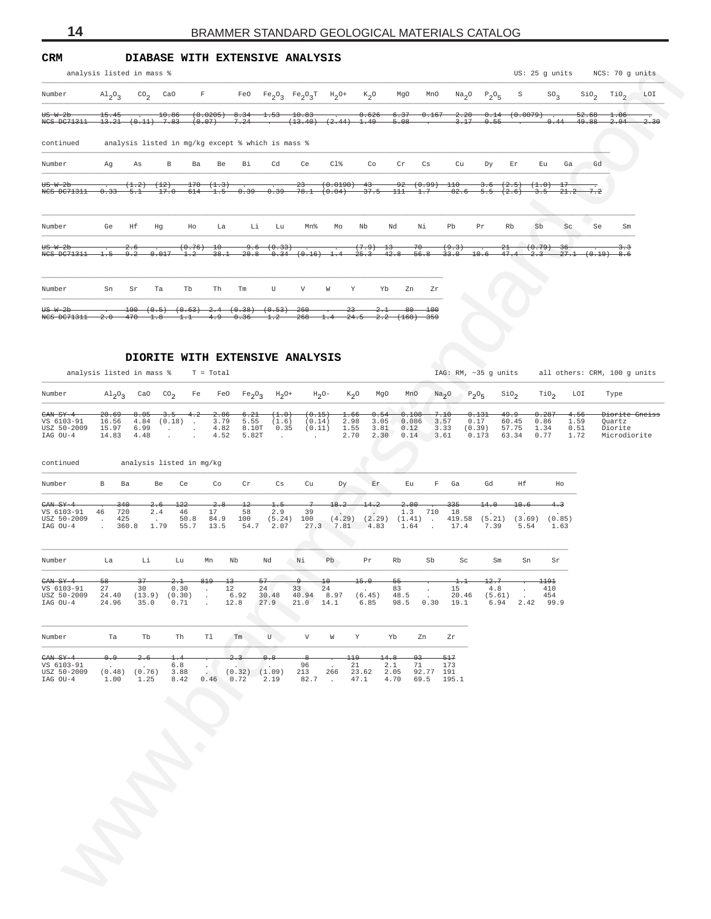<span id="page-13-0"></span>

|       |                 |              | F                                                                                     |                 | FeO                                          |                       |                |                                                                |                                                                 |                                                                                                            | MnO            |           |                                                          |                         |              |                                           |                                                               |                                | LOI                                                          |
|-------|-----------------|--------------|---------------------------------------------------------------------------------------|-----------------|----------------------------------------------|-----------------------|----------------|----------------------------------------------------------------|-----------------------------------------------------------------|------------------------------------------------------------------------------------------------------------|----------------|-----------|----------------------------------------------------------|-------------------------|--------------|-------------------------------------------|---------------------------------------------------------------|--------------------------------|--------------------------------------------------------------|
| 15.45 |                 |              |                                                                                       |                 | $-8.34$<br>7.24                              | 1.53<br>$\sim$ $\sim$ | 10.83          |                                                                |                                                                 | 6.37<br>$-5.08$                                                                                            |                |           |                                                          |                         |              |                                           | 52.68<br>49.88                                                | - 06<br>$-2.94$                | 2.30                                                         |
|       |                 |              |                                                                                       |                 |                                              |                       |                |                                                                |                                                                 |                                                                                                            |                |           |                                                          |                         |              |                                           |                                                               |                                |                                                              |
| Aq    | As              | B.           | Ba                                                                                    | Be              | Bi                                           | Cd                    | Ce             | $C1$ %                                                         | Co                                                              | Cr                                                                                                         | Cs             | Cu        | Dy                                                       | Er                      | Eu.          | Ga                                        | Gd                                                            |                                |                                                              |
| 0.33  | (1,2)<br>$-5.1$ | (12)<br>17.0 | 170<br>614                                                                            | $-1.5$          |                                              |                       | $-23-$         |                                                                | $-43-$                                                          |                                                                                                            |                | 82.6      | -3.6                                                     | (2.5)                   | 3.5          | -17                                       | 7.2                                                           |                                |                                                              |
| Ge    | Hf              | Hq           | Ho                                                                                    | La              |                                              | Lu                    | Mn%            | MΩ                                                             | Nb                                                              | Nd                                                                                                         | Νi             | Ph        | Pr                                                       | Rb                      | Sb           | Sc                                        | Se                                                            | Sm                             |                                                              |
| 1.5   | 9.2             |              | $-1.2$                                                                                | $\pm 0$         |                                              |                       |                |                                                                | (7.9)<br>$-25.3-$                                               | -13<br>$-42.8$                                                                                             | -70<br>$-56.8$ | (9.3)     |                                                          | -21-                    | $-2-3$       | -36                                       |                                                               | 3.3<br>-8.6                    |                                                              |
| Sn    | Sr              | Ta           | Tb                                                                                    | Th              | Tm                                           | U                     | V              | W                                                              |                                                                 |                                                                                                            | Zr             |           |                                                          |                         |              |                                           |                                                               |                                |                                                              |
|       |                 |              | analysis listed in mass %<br>$\mathrm{Al}_2\mathrm{O}_3$ CO <sub>2</sub> CaO<br>0.017 | 10.86<br>(0.76) | (0.0205)<br>$13.21$ $(0.11)$ $7.83$ $(0.07)$ | (1,3)<br>38.1         | $-0.39-$<br>Li | analysis listed in mg/kg except % which is mass %<br>9.6(0.33) | DIABASE WITH EXTENSIVE ANALYSIS<br>$20.8$ $0.34$ $(0.16)$ $1.4$ | $Fe_2O_3$ $Fe_2O_3T$ $H_2O^+$ $K_2O$<br>$(13.40)$ $(2.44)$ 1.49<br>(0.0190)<br>$0.39$ $78.1$ $(0.04)$<br>Y | 0.626<br>Yb    | MgO<br>Zn | 0.167<br>$92(0.99)$ 110<br>$37.5$ $111$ $1.7$<br>$-33.0$ | 2.20<br>3.17<br>$-10.6$ | 0.14<br>0.55 | $Na2O$ $P2O5$ S<br>$-5.5$ $(2.6)$<br>47.4 | SO <sub>2</sub><br>$(0.0079)$ .<br>0.44<br>$(+1.0)$<br>(0.79) | US: 25 q units<br>21.2<br>27.1 | NCS: 70 q units<br>$\sin \theta_2$ $\sin \theta_2$<br>(0.19) |

## **DIORITE WITH EXTENSIVE ANALYSIS**

| Number                                                                |                                                              |                                       | analysis listed in mass %                         |                                |                              |                                |                                                                        |                                          |         |                                                                              |                                   |                                                                       |                                                                |                                  |                                 | US: 25 g units                                                    |                       |                              | NCS: 70 g units                                                |            |
|-----------------------------------------------------------------------|--------------------------------------------------------------|---------------------------------------|---------------------------------------------------|--------------------------------|------------------------------|--------------------------------|------------------------------------------------------------------------|------------------------------------------|---------|------------------------------------------------------------------------------|-----------------------------------|-----------------------------------------------------------------------|----------------------------------------------------------------|----------------------------------|---------------------------------|-------------------------------------------------------------------|-----------------------|------------------------------|----------------------------------------------------------------|------------|
|                                                                       | $A1_2O_3$                                                    | $\text{CO}_2$                         | CaO                                               | $\mathbb F$                    |                              |                                |                                                                        | FeO $Fe_2O_3$ $Fe_2O_3T$ $H_2O^+$        |         | $K_2O$                                                                       | MgO                               | MnO                                                                   |                                                                | $Na_2O$ $P_2O_5$                 | S                               |                                                                   | SO <sub>2</sub>       | SiO <sub>2</sub>             | TiO <sub>2</sub>                                               | <b>LOI</b> |
| <del>US W-2b</del><br>NCS DC71311 13.21 (0.11) 7.83 (0.07)            | $15.45 -$                                                    |                                       |                                                   |                                |                              |                                |                                                                        | $10.86$ (0.0205) 8.34 1.53 10.83         |         | $7.24$ $(13.40)$ $(2.44)$ $1.49$                                             | $-5.08$                           |                                                                       | $-0.626$ $-6.37$ $-0.167$ $-2.20$ $-0.14$ $(0.0079)$ .<br>3.17 | $-0.55$                          |                                 |                                                                   | 0.44                  | 52.68<br><del>49.88</del>    | 1.06<br>2.94                                                   | 2.30       |
| continued                                                             |                                                              |                                       | analysis listed in mg/kg except % which is mass % |                                |                              |                                |                                                                        |                                          |         |                                                                              |                                   |                                                                       |                                                                |                                  |                                 |                                                                   |                       |                              |                                                                |            |
| Number                                                                | Ag                                                           | As                                    | $\, {\bf B}$                                      | Ba                             | Be                           | Bi                             | Cd                                                                     | Ce                                       | $C1\%$  | Co                                                                           | Cr                                | Cs                                                                    | Cu                                                             | Dу                               | Εr                              | Eu                                                                | Ga                    | Gd                           |                                                                |            |
| <del>US W-2b</del><br>NCS DC71311 0.33 5.1                            |                                                              | (1.2)                                 | $^{(12)}$<br>$17.0$ 614                           | $170-$                         | (1.3)<br>$-1.5-$             |                                |                                                                        | $^{23}$<br>$0.39$ $0.39$ $78.1$ $(0.04)$ |         | $(0.0190)$ 43                                                                | $37.5 - 111$                      | $\frac{92}{(0.99)}$ 110<br>1.7                                        |                                                                | 3.6<br>$82.6$ 5.5                | (2.5)<br>(2.6)                  | 3.5                                                               | 21.2                  | 7.2                          |                                                                |            |
| Number                                                                | Ge                                                           | Ηf                                    | Hg                                                | Ho                             | La                           | Li                             | Lu                                                                     | Mn%                                      | Mо      | Nb                                                                           | Nd                                | Νi                                                                    | Pb                                                             | Pr                               | Rb                              | Sb                                                                | $\rm Sc$              | Se                           | Sm                                                             |            |
| <del>US W-2b</del><br>NCS DC71311                                     |                                                              | $-2.6$<br>$1.5$ $9.2$ $0.017$         |                                                   | $(0.76)$ 10<br>$-1.2-$         |                              |                                | 9.6 (0.33)                                                             |                                          |         | $(7.9) - 13$<br>$38.1$ $20.8$ $0.34$ $(0.16)$ $1.4$ $25.3$ $42.8$ $56.8$     |                                   | -70                                                                   | (9.3)<br>$-33.0$                                               | 10.6                             | 21<br>47.4                      | (0.79)<br>$-2.3$                                                  | 36                    | $27.1$ $(0.19)$ 8.6          | 3.3                                                            |            |
| Number                                                                | Sn                                                           | Sr                                    | Ta                                                | Tb                             | Th                           | Tm                             | U                                                                      | V                                        | W       | Y                                                                            | Yb                                | Zn<br>Zr                                                              |                                                                |                                  |                                 |                                                                   |                       |                              |                                                                |            |
| Number                                                                | analysis listed in mass %<br>$\mathrm{Al}_{2}\mathrm{O}_{3}$ | CaO                                   | CO <sub>2</sub>                                   | Fe                             | $T = Total$<br>FeO           | $Fe_2O_3$                      | $H_2O+$                                                                | DIORITE WITH EXTENSIVE ANALYSIS          | $H_2O-$ | $K_2O$                                                                       | MgO                               | MnO                                                                   | IAG: RM, ~35 g units<br>Na <sub>2</sub> O                      | $P_2O_5$                         | $\sin \sigma$                   | TiO <sub>2</sub>                                                  |                       | LOI                          | all others: CRM, 100 g units<br>Type                           |            |
| $CMSY-4$<br>VS 6103-91<br>USZ 50-2009<br>IAG OU-4                     | 20.69<br>16.56<br>15.97<br>14.83                             | 8.05<br>4.84<br>6.99<br>4.48          | 3.5<br>$(0.18)$ .                                 | $-4.2$<br>$\cdot$              | 2.86<br>3.79<br>4.82<br>4.52 | 6.21<br>5.55<br>8.10T<br>5.82T | $(\textcolor{red}{1}.\textcolor{blue}{0})$<br>(1.6)<br>0.35<br>$\cdot$ | (0.15)<br>(0.14)<br>(0.11)<br>$\cdot$    |         | 1.66<br>2.98<br>1.55<br>2.70                                                 | 0.54<br>3.05<br>3.81<br>2.30 0.14 | 0.108<br>0.086<br>0.12                                                | 7.10<br>3.57<br>3.33<br>3.61                                   | 0.131<br>0.17<br>(0.39)<br>0.173 | 49.9<br>60.45<br>57.75<br>63.34 | 0.287<br>0.86<br>1.34<br>0.77                                     |                       | 4.56<br>1.59<br>0.51<br>1.72 | <del>Diorite Gneiss</del><br>Quartz<br>Diorite<br>Microdiorite |            |
| continued                                                             |                                                              |                                       | analysis listed in mg/kg                          |                                |                              |                                |                                                                        |                                          |         |                                                                              |                                   |                                                                       |                                                                |                                  |                                 |                                                                   |                       |                              |                                                                |            |
| Number                                                                | $\mathbf{B}$                                                 | Ba                                    | Be                                                | Ce                             | Co                           | Cr                             | Cs                                                                     | Cu                                       | Dy.     | $\mathop{\rm Er}\nolimits$                                                   |                                   | Eu                                                                    | F Ga                                                           | Gd                               | Ηf                              |                                                                   | Ho                    |                              |                                                                |            |
| $CMSY-4$<br>VS 6103-91<br>USZ 50-2009<br>IAG OU-4                     | 46<br>$\sim$<br>$\ddot{\phantom{a}}$                         | <del>340</del><br>720<br>425<br>360.8 | 2.6<br>2.4<br>1.79                                | $^{122}$<br>46<br>50.8<br>55.7 | 2.8<br>17<br>84.9<br>13.5    | $_{12}$<br>58<br>100<br>54.7   | 2.9<br>2.07                                                            | 39<br>(5.24) 100                         | 18.2    | 14.2<br>$(4.29)$ $(2.29)$<br>27.3 7.81 4.83                                  |                                   | 2.00<br>710<br>1.3<br>$(1.41)$ .<br>1.64<br>$\ddot{\phantom{a}}$      | 335<br>18<br>419.58<br>17.4                                    | 14.0<br>(5.21)<br>7.39           | 10.6                            | (3.69)<br>5.54                                                    | 4.3<br>(0.85)<br>1.63 |                              |                                                                |            |
| Number                                                                | La                                                           | Li                                    | Lu                                                |                                | Mn                           | Nb                             | Nd                                                                     | Νi                                       | Pb      | Pr                                                                           | Rb                                | Sb                                                                    | Sc                                                             | Sm                               |                                 | Sn                                                                | Sr                    |                              |                                                                |            |
| $CMSY-4$<br>VS 6103-91<br>USZ 50-2009 24.40 (13.9) (0.30)<br>IAG OU-4 | -58<br>27<br>24.96                                           | 37<br>30<br>35.0                      | 2.1<br>0.71                                       | -819<br>0.30<br>$\sim 10^7$    | 12<br>$\sim$                 | 12.8                           | 24<br>27.9                                                             | 33<br>21.0 14.1                          | 24      | 15.0<br>$6.92\quad 30.48\quad 40.94\quad 8.97\quad (6.45)\quad 48.5$<br>6.85 | 55<br>83<br>98.5                  | $\frac{1}{2}$ , $\frac{1}{2}$ , $\frac{1}{2}$ , $\frac{1}{2}$<br>0.30 | $^{1.1}$<br>15<br>20.46<br>19.1                                | 12.7<br>4.8                      |                                 | 1191<br>410<br>$(5.61)$ $4.5$<br>$(5.61)$ $454$<br>6.94 2.42 99.9 |                       |                              |                                                                |            |
| Number                                                                | Ta                                                           | Tb                                    | Th                                                |                                | Tl                           | Tm.                            | $\mathbf{U}$ and $\mathbf{V}$                                          |                                          | W       | $\mathbf{Y}$                                                                 | Yb                                | Zn                                                                    | Zr                                                             |                                  |                                 |                                                                   |                       |                              |                                                                |            |
| $CMN-SY-4$<br>VS 6103-91<br>USZ 50-2009                               | 0.9<br>(0.48)                                                | 2.6<br>(0.76)                         | 1.4<br>6.8<br>3.88                                |                                | $\sim$<br>$\sim$             | 2.3<br>$(0.32)$ $(1.09)$       | 0.8                                                                    | 96<br>213                                | 266     | 119<br>21<br>23.62 2.05                                                      | 14.8<br>2.1                       | <del>93</del><br>71<br>92.77 191                                      | 517<br>173                                                     |                                  |                                 |                                                                   |                       |                              |                                                                |            |
| IAG OU-4                                                              | 1.00                                                         | 1.25                                  | 8.42                                              |                                | $0.46$ 0.72                  |                                | 2.19                                                                   |                                          |         | 82.7 . 47.1                                                                  | 4.70                              | 69.5 195.1                                                            |                                                                |                                  |                                 |                                                                   |                       |                              |                                                                |            |
|                                                                       |                                                              |                                       |                                                   |                                |                              |                                |                                                                        |                                          |         |                                                                              |                                   |                                                                       |                                                                |                                  |                                 |                                                                   |                       |                              |                                                                |            |
|                                                                       |                                                              |                                       |                                                   |                                |                              |                                |                                                                        |                                          |         |                                                                              |                                   |                                                                       |                                                                |                                  |                                 |                                                                   |                       |                              |                                                                |            |
|                                                                       |                                                              |                                       |                                                   |                                |                              |                                |                                                                        |                                          |         |                                                                              |                                   |                                                                       |                                                                |                                  |                                 |                                                                   |                       |                              |                                                                |            |
|                                                                       |                                                              |                                       |                                                   |                                |                              |                                |                                                                        |                                          |         |                                                                              |                                   |                                                                       |                                                                |                                  |                                 |                                                                   |                       |                              |                                                                |            |
|                                                                       |                                                              |                                       |                                                   |                                |                              |                                |                                                                        |                                          |         |                                                                              |                                   |                                                                       |                                                                |                                  |                                 |                                                                   |                       |                              |                                                                |            |
|                                                                       |                                                              |                                       |                                                   |                                |                              |                                |                                                                        |                                          |         |                                                                              |                                   |                                                                       |                                                                |                                  |                                 |                                                                   |                       |                              |                                                                |            |
|                                                                       |                                                              |                                       |                                                   |                                |                              |                                |                                                                        |                                          |         |                                                                              |                                   |                                                                       |                                                                |                                  |                                 |                                                                   |                       |                              |                                                                |            |
|                                                                       |                                                              |                                       |                                                   |                                |                              |                                |                                                                        |                                          |         |                                                                              |                                   |                                                                       |                                                                |                                  |                                 |                                                                   |                       |                              |                                                                |            |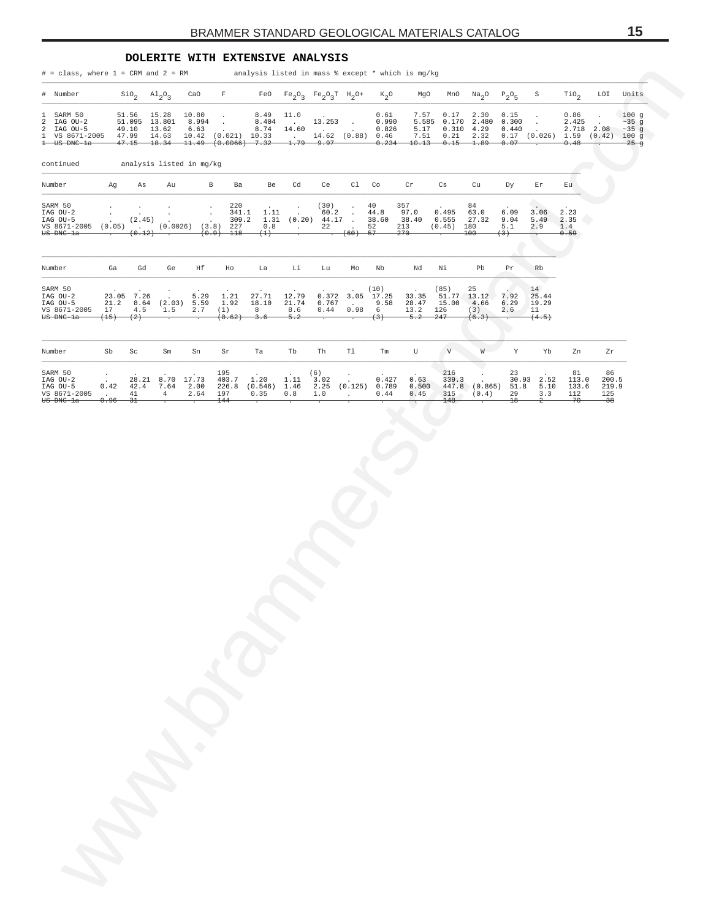#### **DOLERITE WITH EXTENSIVE ANALYSIS**

<span id="page-14-0"></span>

| # = class, where 1 = CRM and 2 = RM analysis listed in mass % except * which is mg/kg                    |                                   |                          |                                                      |               |                                                                                    |                            |                                    |                                                                                   |                                             |                                    |                                               |                                                          |                            |                            |                                                           |                                     |                                      |                                    |
|----------------------------------------------------------------------------------------------------------|-----------------------------------|--------------------------|------------------------------------------------------|---------------|------------------------------------------------------------------------------------|----------------------------|------------------------------------|-----------------------------------------------------------------------------------|---------------------------------------------|------------------------------------|-----------------------------------------------|----------------------------------------------------------|----------------------------|----------------------------|-----------------------------------------------------------|-------------------------------------|--------------------------------------|------------------------------------|
| # Number                                                                                                 |                                   |                          | $\sin_2$ $\text{Al}_2\text{O}_3$                     | CaO           | $\mathbf{F}$                                                                       |                            |                                    | FeO $Fe_2O_3$ $Fe_2O_3T$ $H_2O^+$                                                 |                                             | $K_2O$                             | MgO                                           |                                                          | MnO $Na_2O$ $P_2O_5$       |                            | S                                                         | TiO <sub>2</sub>                    | LOI                                  | Units                              |
| 1 SARM 50<br>2 IAG OU-2<br>2 IAG OU-5<br>1 VS 8671-2005 47.99 14.63 10.42 (0.021) 10.33<br>$t$ US DNC-1a |                                   |                          | 51.56 15.28<br>51.095 13.801 8.994<br>49.10 13.62    | 10.80<br>6.63 | $\sim$<br>$\sim$ $\sim$<br>$\sim 100$<br>$47.15$ $18.34$ $11.49$ $(0.0066)$ $7.32$ | 8.49<br>8.404<br>8.74      | 11.0<br><b>Contractor</b><br>14.60 | $13.253$ .<br>and a strategic state<br>$14.62$ $(0.88)$ $0.46$<br>$-1.79$ $-9.97$ |                                             | 0.61<br>0.990<br>0.826             | 7.57<br>5.17<br>$0.234$ $10.13$ $0.15$ $1.89$ | 0.17<br>5.585 0.170 2.480 0.300<br>$7.51$ $0.21$ $2.32$  | 2.30<br>$0.310$ 4.29       | 0.15<br>0.440<br>0.07      | $\cdot$<br>$\sim$<br>$0.17$ (0.026) 1.59 (0.42) 100 g     | 0.86<br>2.425<br>2.718 2.08<br>0.48 |                                      | 100g<br>$~25$ g<br>$~235$ g<br>25g |
| continued                                                                                                |                                   |                          | analysis listed in mg/kg                             |               |                                                                                    |                            |                                    |                                                                                   |                                             |                                    |                                               |                                                          |                            |                            |                                                           |                                     |                                      |                                    |
| Number                                                                                                   | Ag                                | As                       | Au                                                   |               | $\mathbf{B}$<br>Ba                                                                 | Be                         | Cd                                 | Ce                                                                                | $c1$ $c0$                                   |                                    | $\operatorname{\sf Cr}$                       | Cs                                                       | Cu                         | Dу                         | Εr                                                        | Eu                                  |                                      |                                    |
| SARM 50<br>IAG OU-2<br>IAG OU-5<br>VS 8671-2005<br>US DNC-la                                             |                                   |                          | $(2.45)$ .<br>$(0.12)$ .                             |               | 220<br>341.1<br>309.2<br>$(0.05)$ . $(0.0026)$ $(3.8)$ 227<br>$(0.9)$ 118          | (1)                        | $\sim$                             | (30)<br>1.11 (0.20) $44.17$ (0.20) $44.17$                                        | $\sim$<br>$60.2$ .<br>(60)                  | 40<br>44.8<br>38.60<br>52<br>-57   | 357<br>97.0<br>38.40<br>213<br>270            | 0.495<br>0.555<br>$(0.45)$ 180                           | 84<br>63.0<br>27.32<br>100 | 6.09<br>9.04<br>5.1<br>(3) | 3.06<br>5.49<br>2.9                                       | 2.23<br>2.35<br>1.4<br>0.59         |                                      |                                    |
| Number                                                                                                   | Ga                                | Gd                       | Ge                                                   | Ηf            | Ho                                                                                 | La                         | Li                                 | Lu                                                                                | Mo                                          | Nb                                 | Nd                                            | Νi                                                       | Pb                         | Pr                         | Rb                                                        |                                     |                                      |                                    |
| SARM 50<br>IAG $OU-2$<br>IAG OU-5<br>VS 8671-2005<br><del>US DNC-la</del>                                | 17<br>(15)                        | 23.05 7.26<br>4.5<br>(2) | 21.2 8.64 (2.03) 5.59<br>1.5                         | 5.29<br>2.7   | 1.21<br>1.92<br>(1)<br>(0.62)                                                      | 27.71<br>18.10<br>8<br>3.6 | 12.79<br>21.74<br>8.6<br>5.2       | 0.767<br>0.44                                                                     | 0.372 3.05 17.25<br><b>Contract</b><br>0.98 | . (10)<br>9.58<br>$6 \quad$<br>(3) | 28.47<br>13.2<br>$-5.2$                       | (85)<br>33.35 51.77 13.12<br>15.00 4.66<br>126<br>$-247$ | 25<br>(3)<br>(6.3)         | 7.92<br>6.29<br>2.6        | 14 <sub>1</sub><br>25.44<br>19.29<br>11<br>(4.5)          |                                     |                                      |                                    |
| Number                                                                                                   | Sb                                | Sc                       | $\mbox{Sm}$                                          | Sn            | Sr                                                                                 | Ta                         | Tb                                 | Th                                                                                | Tl                                          | Tm                                 | U                                             | V                                                        | W                          | Y                          | Yb                                                        | Zn                                  | Zr                                   |                                    |
| SARM 50<br>IAG OU-2<br>IAG OU-5<br>VS 8671-2005<br>US DNC-la                                             | $\sim$<br>$\sim 10^{-10}$<br>0.96 | 41<br>$\frac{31}{2}$     | 28.21 8.70 17.73<br>$0.42$ $42.4$ $7.64$ $2.00$<br>4 | 2.64          | 195<br>403.7 1.20<br>197<br>$^{144}$                                               | 226.8 (0.546) 1.46<br>0.35 | 1.11<br>0.8                        | (6)<br>3.02<br>2.25 (0.125) 0.789<br>1.0                                          | $\sim 10^{-11}$                             | 0.427<br>0.44                      | 0.63<br>0.500<br>0.45                         | 216<br>339.3<br>315<br>148                               | $\cdot$<br>(0.4)           | 23<br>29<br>$^{18}$        | 30.93 2.52<br>447.8 (0.865) 51.8 5.10<br>3.3<br>$\hat{z}$ | 81<br>113.0<br>133.6<br>112<br>-70  | 86<br>200.5<br>219.9<br>125<br>$-38$ |                                    |
|                                                                                                          |                                   |                          |                                                      |               |                                                                                    |                            |                                    |                                                                                   |                                             |                                    |                                               |                                                          |                            |                            |                                                           |                                     |                                      |                                    |
|                                                                                                          |                                   |                          |                                                      |               |                                                                                    |                            |                                    |                                                                                   |                                             |                                    |                                               |                                                          |                            |                            |                                                           |                                     |                                      |                                    |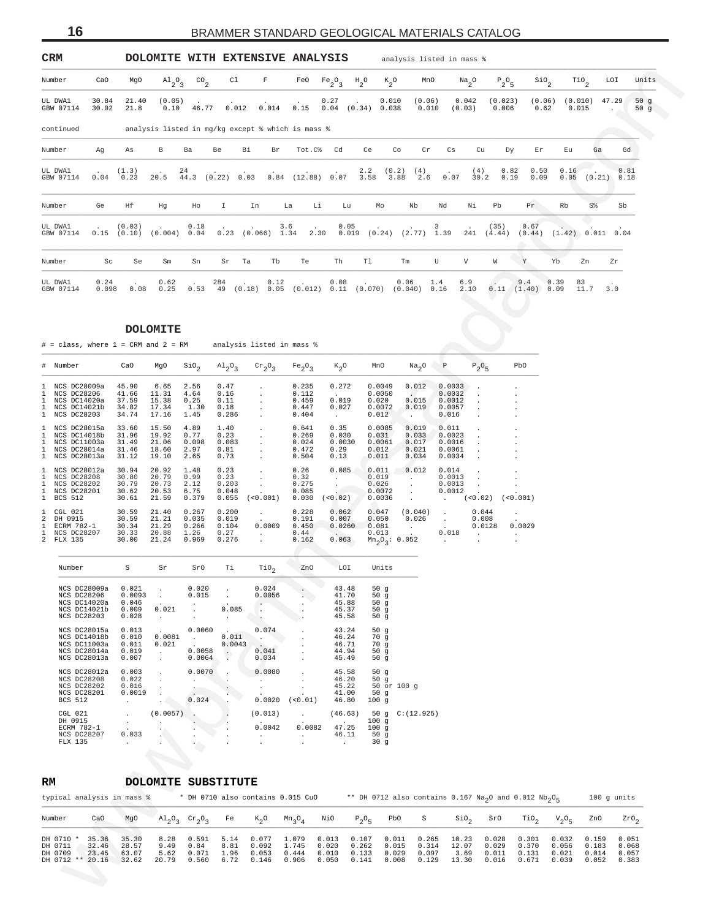<span id="page-15-0"></span>

| CRM                                                                                          |                         |                                             |                                                         |                                              |                                 |                                             | DOLOMITE WITH EXTENSIVE ANALYSIS                  |                                            |                                                                                       |                            |                                            | analysis listed in mass %                  |                          |                         |                                    |                         |                               |                               |            |
|----------------------------------------------------------------------------------------------|-------------------------|---------------------------------------------|---------------------------------------------------------|----------------------------------------------|---------------------------------|---------------------------------------------|---------------------------------------------------|--------------------------------------------|---------------------------------------------------------------------------------------|----------------------------|--------------------------------------------|--------------------------------------------|--------------------------|-------------------------|------------------------------------|-------------------------|-------------------------------|-------------------------------|------------|
| Number                                                                                       | CaO                     | MgO                                         | $A1_{2}O_{3}$                                           | $^{CO}$ <sub>2</sub>                         | C1                              | F                                           | FeO                                               | $Fe_2O_3$                                  | $\mathrm{^{H}2^{O}}$                                                                  | $k_{2}^{\circ}$            | MnO                                        |                                            | $Na_{2}O$                | $P_2O_5$                | $\mathop{\mathsf{Si0}}\nolimits_2$ |                         | $\mathbb{T}^{i}$ <sup>2</sup> | LOI                           | Units      |
| UL DWA1<br>GBW 07114                                                                         | 30.84<br>30.02          | 21.40<br>21.8                               | (0.05)<br>0.10                                          | 46.77                                        | 0.012                           | 0.014                                       | 0.15                                              | 0.27                                       | $0.04$ $(0.34)$                                                                       | 0.010<br>0.038             | (0.06)<br>0.010                            |                                            | 0.042<br>(0.03)          | (0.023)<br>0.006        | (0.06)<br>0.62                     |                         | (0.010)<br>0.015              | 47.29<br>$\ddot{\phantom{a}}$ | 50g<br>50g |
| continued                                                                                    |                         |                                             |                                                         |                                              |                                 |                                             | analysis listed in mg/kg except % which is mass % |                                            |                                                                                       |                            |                                            |                                            |                          |                         |                                    |                         |                               |                               |            |
| Number                                                                                       | Ag                      | As                                          | $_{\rm B}$                                              | Ba                                           | Be<br>Вi                        | Br                                          | Tot.C%                                            | Cd                                         | Ce                                                                                    | Co                         | Cr                                         | Cs                                         | Cu                       | Dy                      | Εr                                 | Εu                      | Ga                            | Gd                            |            |
| UL DWA1<br>GBW 07114                                                                         | 0.04                    | (1.3)<br>0.23                               | 20.5                                                    | 24<br>44.3                                   | (0.22) 0.03                     | 0.84                                        | (12.88) 0.07                                      |                                            | 2.2<br>3.58                                                                           | (0.2)<br>3.88              | (4)<br>2.6                                 | 0.07                                       | (4)<br>30.2              | 0.82<br>0.19            | 0.50<br>0.09                       | 0.16<br>0.05            |                               | 0.81<br>(0.21)<br>0.18        |            |
| Number                                                                                       | Ge                      | Hf                                          | Hg                                                      | Ho                                           | I                               | In                                          | La<br>Li                                          | Lu                                         | Mo                                                                                    |                            | Nb                                         | Nd                                         | Νi                       | Pb                      | Pr                                 | Rb                      | S <sup>8</sup>                | Sb                            |            |
| UL DWA1<br>GBW 07114                                                                         | 0.15                    | (0.03)<br>(0.10)                            | (0.004)                                                 | 0.18<br>0.04                                 | 0.23                            | $(0.066)$ 1.34                              | 3.6<br>2.30                                       | 0.05                                       | 0.019                                                                                 |                            | $(0.24)$ $(2.77)$ 1.39                     | 3                                          | 241                      | (35)<br>(4.44)          | 0.67<br>(0.44)                     |                         |                               | $(1.42)$ 0.011 0.04           |            |
| Number                                                                                       | Sc                      | Se                                          | Sm                                                      | Sn                                           | Sr<br>Ta                        | Tb                                          | Te                                                | Th                                         | Tl                                                                                    | Tm                         |                                            | U                                          | V                        | W                       | Y                                  | Yb                      | Zn                            | Zr                            |            |
| UL DWA1<br>GBW 07114                                                                         | 0.24<br>0.098           | 0.08                                        | 0.62<br>0.25                                            | 0.53                                         | 284<br>49                       | 0.12<br>(0.18) 0.05                         |                                                   | 0.08                                       | $(0.012)$ 0.11 $(0.070)$ $(0.040)$ 0.16                                               | 0.06                       |                                            | 1.4                                        | 6.9<br>2,10              |                         | 9.4<br>$0.11$ $(1.40)$ 0.09        | 0.39                    | 83<br>11.7                    | 3.0                           |            |
|                                                                                              |                         |                                             |                                                         |                                              |                                 |                                             |                                                   |                                            |                                                                                       |                            |                                            |                                            |                          |                         |                                    |                         |                               |                               |            |
| $#$ = class, where $1$ = CRM and $2$ = RM                                                    |                         |                                             | <b>DOLOMITE</b>                                         |                                              |                                 |                                             | analysis listed in mass %                         |                                            |                                                                                       |                            |                                            |                                            |                          |                         |                                    |                         |                               |                               |            |
| #<br>Number                                                                                  |                         | CaO                                         | MgO                                                     | $\sin \theta_2$                              | $A1_{2}0_{3}$                   | $\mathrm{cr}_2\mathrm{O}_3$                 | Fe <sub>2</sub> O <sub>3</sub>                    | $K_2$ O                                    | MnO                                                                                   |                            | Na <sub>2</sub> O                          | P                                          | $P_2O_5$                 |                         | PbO                                |                         |                               |                               |            |
| NCS DC28009a<br>1<br>NCS DC28206<br>1                                                        |                         | 45.90<br>41.66                              | 6.65<br>11.31                                           | 2.56<br>4.64                                 | 0.47<br>0.16                    |                                             | 0.235<br>0.112                                    | 0.272<br>$\sim$                            | 0.0049<br>0.0050                                                                      |                            | 0.012<br><b>A</b>                          | 0.0033<br>0.0032                           |                          |                         |                                    |                         |                               |                               |            |
| NCS DC14020a<br>1<br>NCS DC14021b<br>1<br>NCS DC28203<br>$\mathbf{1}$                        |                         | 37.59<br>34.82<br>34.74                     | 15.38<br>17.34<br>17.16                                 | 0.25<br>1.30<br>1.45                         | 0.11<br>0.18<br>0.286           |                                             | 0.459<br>0.447<br>0.404                           | 0.019<br>0.027<br>$\sim$                   | 0.020<br>0.0072<br>0.012                                                              |                            | 0.015<br>0.019<br>$\cdot$                  | 0.0012<br>0.0057<br>0.016                  |                          |                         |                                    |                         |                               |                               |            |
| NCS DC28015a<br>1<br>NCS DC14018b<br>1<br>NCS DC11003a<br>1<br>NCS DC28014a<br>1             |                         | 33.60<br>31.96<br>31.49<br>31.46            | 15.50<br>19.92<br>21.06                                 | 4.89<br>0.77<br>0.098                        | $1\,.40$<br>0.23<br>0.083       | $\cdot$                                     | 0.641<br>0.269<br>0.024                           | 0.35<br>0.030<br>0.0030                    | 0.0085<br>0.031<br>0.0061                                                             |                            | 0.019<br>0.033<br>0.017                    | 0.011<br>0.0023<br>0.0016                  |                          |                         |                                    |                         |                               |                               |            |
| NCS DC28013a<br>$\mathbf{1}$<br>$\mathbf{1}$<br>NCS DC28012a                                 |                         | 31.12<br>30.94                              | 18.60<br>19.10<br>20.92                                 | 2.97<br>2.65<br>1.48                         | 0.81<br>0.73<br>0.23            | $\cdot$                                     | 0.472<br>0.504<br>0.26                            | 0.29<br>0.13<br>0.085                      | 0.012<br>0.011<br>0.011                                                               |                            | 0.021<br>0.034<br>0.012                    | 0.0061<br>0.0034<br>0.014                  |                          |                         |                                    |                         |                               |                               |            |
| NCS DC28208<br>-1.<br>1<br>NCS DC28202<br>NCS DC28201<br>1<br><b>BCS 512</b><br>$\mathbf{1}$ |                         | 30.80<br>30.79<br>30.62<br>30.61            | 20.79<br>20.73<br>20.53<br>21.59                        | 0.99<br>2.12<br>6.75<br>0.379                | 0.23<br>0.203<br>0.048<br>0.055 | $\cdot$<br>$\cdot$<br>(<0.001)              | 0.32<br>0.275<br>0.085<br>0.030                   | $\cdot$<br>$\cdot$<br>(<0.02)              | 0.019<br>0.026<br>0.0036                                                              | 0.0072                     | $\cdot$<br>$\cdot$<br>$\bullet$<br>$\cdot$ | 0.0013<br>0.0013<br>0.0012<br>$\cdot$      | (< 0.02)                 |                         | (<0.001)                           |                         |                               |                               |            |
| 1<br>CGL 021<br>2<br>DH 0915<br>ECRM 782-1<br>1                                              |                         | 30.59<br>30.59<br>30.34                     | 21.40<br>21.21<br>21.29                                 | 0.267<br>0.035<br>0.266                      | 0.200<br>0.019<br>0.104         | $\cdot$<br>0.0009                           | 0.228<br>0.191<br>0.450                           | 0.062<br>0.007<br>0.0260                   | 0.047<br>0.050<br>0.081                                                               |                            | (0.040)<br>0.026                           | $\cdot$<br>$\cdot$<br>$\ddot{\phantom{a}}$ | 0.044<br>0.008<br>0.0128 |                         | 0.0029                             |                         |                               |                               |            |
| 1<br>NCS DC28207<br>2 FLX 135                                                                |                         | 30.33<br>30.00                              | 20.88<br>21.24                                          | 1.26<br>0.969                                | 0.27<br>0.276                   | $\cdot$                                     | 0.44<br>0.162                                     | $\sim$<br>0.063                            | 0.013                                                                                 | $Mn_2O_3$ : 0.052          | $\cdot$                                    | 0.018<br>$\ddot{\phantom{1}}$              | $\cdot$                  |                         | $\cdot$<br>$\cdot$                 |                         |                               |                               |            |
| Number                                                                                       |                         | S                                           | Sr                                                      | SrO                                          | Тi                              | $\mathop{\rm TiO}\nolimits_2$               | ZnO                                               |                                            | MOT Units                                                                             |                            |                                            |                                            |                          |                         |                                    |                         |                               |                               |            |
| NCS DC28009a<br>NCS DC28206<br>NCS DC14020a<br>NCS DC14021b<br>NCS DC28203                   |                         | 0.021<br>0.0093<br>0.046<br>0.009<br>0.028  | 0.021<br>$\cdot$                                        | 0.020<br>0.015<br>$\cdot$                    | 0.085<br>$\cdot$                | 0.024<br>0.0056<br>$\cdot$<br>$\cdot$       |                                                   | 43.48<br>41.70<br>45.88<br>45.37<br>45.58  | 50 g<br>50g<br>50 g                                                                   | 50g<br>50g                 |                                            |                                            |                          |                         |                                    |                         |                               |                               |            |
| NCS DC28015a<br>NCS DC14018b<br>NCS DC11003a<br>NCS DC28014a<br>NCS DC28013a                 |                         | 0.013<br>0.010<br>0.011<br>0.019<br>0.007   | 0.0081<br>0.021<br>$\cdot$<br>$\cdot$                   | 0.0060<br>$\blacksquare$<br>0.0058<br>0.0064 | 0.011<br>0.0043<br>$\sim$       | 0.074<br>$\sim$<br>$\sim$<br>0.041<br>0.034 | $\cdot$<br>$\cdot$                                | 43.24<br>46.24<br>46.71<br>44.94<br>45.49  | 50g<br>70g<br>70 g<br>50 g<br>50g                                                     |                            |                                            |                                            |                          |                         |                                    |                         |                               |                               |            |
| NCS DC28012a<br>NCS DC28208<br>NCS DC28202<br>NCS DC28201<br>BCS 512                         |                         | 0.003<br>0.022<br>0.016<br>0.0019<br>$\sim$ | $\cdot$<br>$\ddot{\phantom{a}}$<br>$\ddot{\phantom{a}}$ | 0.0070<br>$\cdot$<br>$\cdot$<br>0.024        |                                 | 0.0080<br>$\cdot$<br>$\cdot$<br>0.0020      | $\cdot$<br>$\cdot$<br>$\cdot$<br>(< 0.01)         | 45.58<br>46.20<br>45.22<br>41.00<br>46.80  | 50g<br>100 <sub>g</sub>                                                               | 50 g<br>50 or 100 g<br>50g |                                            |                                            |                          |                         |                                    |                         |                               |                               |            |
| CGL 021<br>DH 0915<br>ECRM 782-1<br>NCS DC28207<br>FLX 135                                   |                         | $\sim$<br>$\sim$<br>0.033<br>$\sim$         | (0.0057)<br>$\cdot$                                     | $\cdot$<br>- 10                              |                                 | (0.013)<br>0.0042<br>$\cdot$                | $\cdot$<br>0.0082<br>$\cdot$<br>$\cdot$           | (46.63)<br>47.25<br>46.11<br>$\sim$ $\sim$ | 100 <sub>g</sub><br>100 <sub>g</sub><br>50g<br>30 <sub>g</sub>                        |                            | 50 g C: (12.925)                           |                                            |                          |                         |                                    |                         |                               |                               |            |
|                                                                                              |                         |                                             |                                                         |                                              |                                 |                                             |                                                   |                                            |                                                                                       |                            |                                            |                                            |                          |                         |                                    |                         |                               |                               |            |
| RM<br>typical analysis in mass %                                                             |                         |                                             | DOLOMITE SUBSTITUTE                                     |                                              |                                 |                                             | * DH 0710 also contains 0.015 CuO                 |                                            | ** DH 0712 also contains 0.167 $\text{Na}_2$ O and 0.012 $\text{Nb}_2$ O <sub>5</sub> |                            |                                            |                                            |                          |                         |                                    |                         |                               | 100 g units                   |            |
| Number                                                                                       | CaO                     | MgO                                         | $A1_{2}O_{3}$                                           | $\mathrm{cr}_2\mathrm{O}_3$                  | Fe                              | $K_2$ O                                     | $Mn_3O_4$                                         | NiO                                        | $P_2O_5$                                                                              | PbO                        | S                                          |                                            | $\sin \theta_2$          | SrO                     | TiO <sub>2</sub>                   | $V_2O_5$                | ZnO                           |                               | $2r0_2$    |
| DH 0710 *<br>DH 0711<br>DH 0709                                                              | 35.36<br>32.46<br>23.45 | 35.30<br>28.57<br>63.07                     | 8.28<br>9.49<br>5.62                                    | 0.591<br>0.84<br>0.071                       | 5.14<br>8.81<br>1.96            | 0.077<br>0.092<br>0.053                     | 1.079<br>1.745<br>0.444                           | 0.013<br>0.020<br>0.010                    | 0.107<br>0.262<br>0.133                                                               | 0.011<br>0.015<br>0.029    | 0.265<br>0.314<br>0.097                    | 10.23<br>12.07                             | 3.69                     | 0.028<br>0.029<br>0.011 | 0.301<br>0.370<br>0.131            | 0.032<br>0.056<br>0.021 | 0.159<br>0.183<br>0.014       | 0.051<br>0.068<br>0.057       |            |
| DH 0712 ** 20.16                                                                             |                         | 32.62                                       | 20.79                                                   | 0.560                                        | 6.72                            | 0.146                                       | 0.906                                             | 0.050                                      | 0.141                                                                                 | 0.008                      | 0.129                                      | 13.30                                      |                          | 0.016                   | 0.671                              | 0.039                   | 0.052                         | 0.383                         |            |

| # Number                                                                               | CaO                                       | MgO                                       | $\sin_2$                                 |                                          | $\mathrm{Al}_2\mathrm{O}_3$ $\mathrm{Cr}_2\mathrm{O}_3$ $\mathrm{Fe}_2\mathrm{O}_3$            |                                           | $K_2O$                                                        | MnO                                                   | $Na2O$ P                                                                 |                                                             | $P_2O_5$                                      | PbO                                                                                          |
|----------------------------------------------------------------------------------------|-------------------------------------------|-------------------------------------------|------------------------------------------|------------------------------------------|------------------------------------------------------------------------------------------------|-------------------------------------------|---------------------------------------------------------------|-------------------------------------------------------|--------------------------------------------------------------------------|-------------------------------------------------------------|-----------------------------------------------|----------------------------------------------------------------------------------------------|
| 1 NCS DC28009a<br>1 NCS DC28206<br>1 NCS DC14020a<br>1 NCS DC14021b<br>1 NCS DC28203   | 45.90<br>41.66<br>37.59<br>34.82<br>34.74 | 6.65<br>11.31<br>15.38<br>17.34<br>17.16  | 2.56<br>4.64<br>0.25<br>1.30<br>1.45     | 0.47<br>0.16<br>0.11<br>0.18<br>0.286    | $\mathbf{r}$<br>$\mathbf{r}$<br>$\mathbf{r}$                                                   | 0.235<br>0.112<br>0.459<br>0.447<br>0.404 | 0.272<br>$\sim$ 100 $\sim$<br>0.019<br>0.027<br>$\sim$        | 0.0049<br>0.0050<br>0.020<br>0.0072<br>0.012          | 0.012<br>0.015<br>0.019<br>$\sim$                                        | 0.0033<br>0.0032<br>0.0012<br>0.0057<br>0.016               |                                               | $\ddot{\phantom{0}}$<br>$\ddot{\phantom{0}}$<br>$\mathbf{r}$<br>$\mathbf{r}$<br>$\mathbf{r}$ |
| 1 NCS DC28015a<br>1 NCS DC14018b<br>1 NCS DC11003a<br>1 NCS DC28014a<br>1 NCS DC28013a | 33.60<br>31.96<br>31.49<br>31.46<br>31.12 | 15.50<br>19.92<br>21.06<br>18.60<br>19.10 | 4.89<br>0.77<br>0.098<br>2.97<br>2.65    | 1.40<br>0.23<br>0.083<br>0.81<br>0.73    | $\mathbf{r}$<br>$\mathbf{r}$<br>s.                                                             | 0.641<br>0.269<br>0.024<br>0.472<br>0.504 | 0.35<br>0.030<br>0.0030<br>0.29<br>0.13                       | 0.0085<br>0.031<br>0.0061<br>0.012<br>0.011           | 0.019<br>0.033<br>0.017<br>0.021<br>0.034                                | 0.011<br>0.0023<br>0.0016<br>0.0061<br>0.0034               |                                               | $\mathbf{r}$<br>$\mathbf{r}$<br>$\mathbf{r}$<br>$\mathbf{r}$                                 |
| 1 NCS DC28012a<br>1 NCS DC28208<br>1 NCS DC28202<br>1 NCS DC28201<br>1 BCS 512         | 30.94<br>30.80<br>30.79<br>30.62<br>30.61 | 20.92<br>20.79<br>20.73<br>20.53<br>21.59 | 1.48<br>0.99<br>2.12<br>6.75<br>0.379    | 0.23<br>0.23<br>0.203<br>0.048<br>0.055  | $\sim$<br>(<0.001)                                                                             | 0.26<br>0.32<br>0.275<br>0.085<br>0.030   | 0.085<br>$\sim$<br>(< 0.02)                                   | 0.011<br>0.019<br>0.026<br>0.0072<br>0.0036           | 0.012<br>$\mathcal{L}^{\text{max}}$                                      | 0.014<br>0.0013<br>0.0013<br>0.0012<br>$\sim$ $\sim$        | (< 0.02)                                      | $\ddot{\phantom{0}}$<br>$\mathbf{r}$<br>$\ddot{\phantom{0}}$<br>(<0.001)                     |
| 1 CGL 021<br>2 DH 0915<br>1 ECRM 782-1<br>1 NCS DC28207<br>2 FLX 135                   | 30.59<br>30.59<br>30.34<br>30.33<br>30.00 | 21.40<br>21.21<br>21.29<br>20.88<br>21.24 | 0.267<br>0.035<br>0.266<br>1.26<br>0.969 | 0.200<br>0.019<br>0.104<br>0.27<br>0.276 | $\mathcal{L}^{\mathcal{L}}$<br>$\sim$<br>0.0009<br>$\mathcal{L}^{\mathcal{L}}$<br>$\mathbf{r}$ | 0.228<br>0.191<br>0.450<br>0.44<br>0.162  | 0.062<br>0.007<br>0.0260<br><b>Contract Contract</b><br>0.063 | 0.047<br>0.050<br>0.081<br>0.013<br>$Mn_2O_3$ : 0.052 | (0.040)<br>0.026<br><b>Contract Contract</b><br><b>Contract Contract</b> | $\mathbf{r}$<br>$\sim$<br>0.018<br><b>Contract Contract</b> | 0.044<br>0.008<br>0.0128<br>$\sim$<br>$\cdot$ | $\mathbf{r}$<br>0.0029<br>$\sim$<br>$\cdot$                                                  |

| Number S                                                                          |                                           | Sr and the state of the state of the state of the state of the state of the state of the state of the state of the state of the state of the state of the state of the state of the state of the state of the state of the sta | SrO                                                             | Ti t            | TiO <sub>2</sub>                                                                               |                                                                                                                                                   | ZnO LOI                                   | Units                                                          |
|-----------------------------------------------------------------------------------|-------------------------------------------|--------------------------------------------------------------------------------------------------------------------------------------------------------------------------------------------------------------------------------|-----------------------------------------------------------------|-----------------|------------------------------------------------------------------------------------------------|---------------------------------------------------------------------------------------------------------------------------------------------------|-------------------------------------------|----------------------------------------------------------------|
| NCS DC28009a<br>NCS DC28206<br>NCS DC14020a<br>NCS DC14021b<br>NCS DC28203        | 0.0093<br>0.046<br>0.009<br>0.028         | $0.021$ , $0.020$ ,<br>$0.015$ .<br>the contract of the contract of the contract of the con-<br>0.021<br><b>Contract Contract Contract</b>                                                                                     | and the state of the state<br>the company's company's company's | 0.085           | 0.024<br>0.0056                                                                                |                                                                                                                                                   | 43.48<br>41.70<br>45.88<br>45.37<br>45.58 | 50 $q$<br>50 $q$<br>50q<br>50q<br>50q                          |
| NCS DC28015a<br>NCS DC14018b<br>NCS DC11003a<br>NCS DC28014a<br>NCS DC28013a      | 0.013<br>0.010<br>0.011<br>0.019<br>0.007 | <b>Contract Contract Contract</b><br>$0.0081$ . $0.011$ .<br>$0.021$ . $0.0043$ .<br>0.0064                                                                                                                                    |                                                                 |                 | $0.0060$ . $0.074$                                                                             | 46.71<br>$0.0058$ , $0.041$ , $44.94$<br>$0.034$ .                                                                                                | 43.24<br>46.24<br>45.49                   | 50 $q$<br>70q<br>70q<br>50q<br>50q                             |
| NCS DC28012a<br>NCS DC28208<br>NCS DC28202 0.016<br>NCS DC28201 0.0019<br>BCS 512 | 0.003<br>0.022<br>and the company of the  | $\mathbf{r}$ and $\mathbf{r}$<br>$\sim 10^{-10}$ km s $^{-1}$                                                                                                                                                                  | <b>Contract Contract</b><br>0.024                               | <b>Contract</b> | $0.0070$ $0.0080$<br>and the state of the state<br>the company's company's company's<br>0.0020 | $(50.01)$ 46.80                                                                                                                                   | 45.58<br>46.20<br>$41.00$ 50 q            | 50q<br>50g<br>. 45.22 50 or 100 g<br>100q                      |
| $CGL$ 021<br>DH 0915<br>ECRM 782-1<br><b>NCS DC28207</b><br>FLX 135               | <b>Carl Committee</b><br>0.033<br>$\sim$  | $(0.0057)$ .<br>and the company of the company<br>$\mathbb{Z}^n$<br>$\sim$                                                                                                                                                     | $\sim$                                                          | $\sim$          | 0.0042                                                                                         | the contract of the contract of the contract of<br>the contract of the contract of the<br>and the state of the state of the state of the state of | $0.0082$ 47.25<br>46.11 50 q              | $(0.013)$ $(46.63)$ 50 g C: $(12.925)$<br>100g<br>100 q<br>30g |

## **RM DOLOMITE SUBSTITUTE**

|                                 |                                             | typical analysis in mass %       |                               |                                                                   |                      | * DH 0710 also contains 0.015 CuO     |                                  |                         |                                                          |       | ** DH 0712 also contains 0.167 Na <sub>2</sub> O and 0.012 Nb <sub>2</sub> O <sub>c</sub> |               |                                  |                                  |                                                |                | $100$ q units                    |
|---------------------------------|---------------------------------------------|----------------------------------|-------------------------------|-------------------------------------------------------------------|----------------------|---------------------------------------|----------------------------------|-------------------------|----------------------------------------------------------|-------|-------------------------------------------------------------------------------------------|---------------|----------------------------------|----------------------------------|------------------------------------------------|----------------|----------------------------------|
| Number                          | CaO                                         | MqO                              |                               | $\mathrm{Al}_{2}\mathrm{O}_{2}$ Cr <sub>2</sub> O <sub>2</sub> Fe |                      | $K_{\alpha}O$                         | $Mn_2O_A$                        | NiO                     | $P_2O_E$ PbO S                                           |       |                                                                                           |               | $\sin \theta_2$ SrO              | TiO <sub>2</sub>                 | $V_2O_E$ ZnO                                   |                | ZrO <sub>2</sub>                 |
| DH 0710 *<br>DH 0711<br>DH 0709 | 35.36<br>32.46<br>23.45<br>DH 0712 ** 20.16 | 35.30<br>28.57<br>63.07<br>32.62 | 8.28<br>9.49<br>5.62<br>20.79 | 0.591<br>0.84<br>0.071<br>0.560                                   | 5.14<br>8.81<br>1.96 | 0.077<br>0.092<br>0.053<br>6.72 0.146 | 1.079<br>1.745<br>0.444<br>0.906 | 0.013<br>0.020<br>0.010 | 0.107<br>$0.262$ $0.015$<br>0.133<br>0.050  0.141  0.008 | 0.029 | $0.011$ $0.265$ $10.23$<br>0.314<br>0.097<br>0.129 13.30                                  | 12.07<br>3.69 | 0.028<br>0.029<br>0.011<br>0.016 | 0.301<br>0.370<br>0.131<br>0.671 | $0.032$ 0.159<br>0.056 0.183<br>0.021<br>0.039 | 0.014<br>0.052 | 0.051<br>0.068<br>0.057<br>0.383 |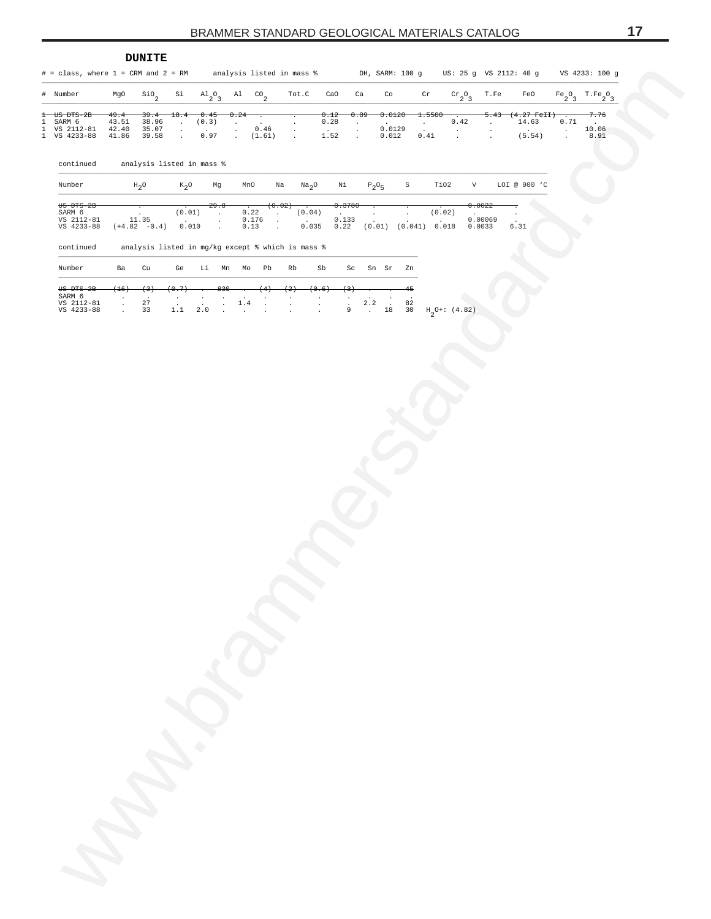<span id="page-16-0"></span>

|             |                                                                                  |                                 | <b>DUNITE</b>                                     |                                                   |                                       |                                       |                                            |                                            |                     |                                        |                                |                                       |                            |                                     |                                               |                                      |                                             |                                     |                                                                    |                             |                                      |
|-------------|----------------------------------------------------------------------------------|---------------------------------|---------------------------------------------------|---------------------------------------------------|---------------------------------------|---------------------------------------|--------------------------------------------|--------------------------------------------|---------------------|----------------------------------------|--------------------------------|---------------------------------------|----------------------------|-------------------------------------|-----------------------------------------------|--------------------------------------|---------------------------------------------|-------------------------------------|--------------------------------------------------------------------|-----------------------------|--------------------------------------|
|             | $\#$ = class, where $1$ = CRM and $2$ = RM analysis listed in mass $\frac{1}{6}$ |                                 |                                                   |                                                   |                                       |                                       |                                            |                                            |                     |                                        |                                |                                       |                            | DH, SARM: 100 g                     |                                               |                                      |                                             |                                     | US: 25 g VS 2112: 40 g                                             |                             | VS 4233: 100 g                       |
|             | # Number                                                                         | MgO                             | $^{\rm{SiO}}$ $^{\rm{}}$                          | Si                                                | $\mathrm{^{Al}_{2}O_{3}}$             |                                       | $\mathbb{A}^1$ $\mathbb{C}^0$ <sub>2</sub> |                                            | Tot.C               |                                        | CaO                            | Ca                                    |                            | Co                                  |                                               | $\operatorname{\sf cr}$              | $\mathrm{cr}_{2}$ <sup>O</sup> <sub>3</sub> | T.Fe                                | FeO                                                                |                             | $\mathrm{Fe_{2}O_{3}-T.Fe_{2}O_{3}}$ |
| Ŧ<br>1<br>1 | $US$ $DFS-2B$<br>SARM 6<br>VS 2112-81<br>1 VS 4233-88                            | 49.4<br>43.51<br>42.40<br>41.86 | 39.4<br>38.96<br>35.07<br>39.58                   | 18.4<br>$\mathcal{L}$<br>$\cdot$<br>$\mathcal{L}$ | 0.45<br>(0.3)<br>$\mathbf{r}$<br>0.97 |                                       | 0.24<br>$\cdot$<br>$\cdot$<br>$\sim$       | 0.46<br>(1.61)                             | $\cdot$<br>$\cdot$  |                                        | 0.12<br>0.28<br>$\sim$<br>1.52 | 0.09<br>$\cdot$<br>$\cdot$<br>$\cdot$ |                            | 0.0120<br>$\sim$<br>0.0129<br>0.012 | $\sim$                                        | 1.5500<br>$\bullet$<br>0.41          | 0.42<br>$\cdot$<br>$\cdot$                  | 5.43<br>$\sim$<br>$\cdot$<br>$\sim$ | <del>(4.27 FeII</del> )<br>14.63<br>$\ddot{\phantom{a}}$<br>(5.54) | 0.71<br>$\bullet$<br>$\Box$ | 7.76<br>$\sim$<br>10.06<br>8.91      |
|             | continued                                                                        |                                 | analysis listed in mass %                         |                                                   |                                       |                                       |                                            |                                            |                     |                                        |                                |                                       |                            |                                     |                                               |                                      |                                             |                                     |                                                                    |                             |                                      |
|             | Number                                                                           |                                 | $H_2O$                                            | $K_{2}O$                                          |                                       | Mg                                    | MnO                                        |                                            | Na                  | Na <sub>2</sub> O                      | Νi                             |                                       | $\mathbb{P}_2\mathbb{O}_5$ |                                     | $\rm S$                                       | TiO2                                 | V                                           |                                     | LOI @ 900 'C                                                       |                             |                                      |
|             | US DTS-2B<br>SARM 6<br>VS 2112-81<br>VS 4233-88                                  |                                 | 11.35<br>$(+4.82 -0.4)$                           | (0.01)<br>$\sim$                                  | 0.010                                 | 29.8<br>$\cdot$<br>$\cdot$<br>$\cdot$ | 0.22<br>0.176<br>0.13                      | $\ddot{\phantom{a}}$<br>$\cdot$<br>$\cdot$ | (0.02)              | (0.04)<br>$\sim 10^{-1}$<br>0.035      | 0.3780<br>0.133<br>0.22        |                                       | $\sim$                     |                                     |                                               | (0.02)<br>$(0.01)$ $(0.041)$ $0.018$ |                                             | 0.0022<br>0.00069<br>0.0033         | $\ddot{\phantom{a}}$<br>6.31                                       |                             |                                      |
|             | continued                                                                        |                                 | analysis listed in mg/kg except % which is mass % |                                                   |                                       |                                       |                                            |                                            |                     |                                        |                                |                                       |                            |                                     |                                               |                                      |                                             |                                     |                                                                    |                             |                                      |
|             | Number                                                                           | Ba                              | Cu                                                | Ge                                                |                                       |                                       | Li Mn Mo                                   | Pb                                         | Rb                  | Sb                                     |                                | Sc                                    | Sn Sr                      |                                     | Zn                                            |                                      |                                             |                                     |                                                                    |                             |                                      |
|             | US DTS-2B<br>SARM 6<br>VS 2112-81<br>VS 4233-88                                  | $(+16)$<br>$\cdot$<br>$\cdot$   | $^{(3)}$<br>$\ddot{\phantom{1}}$<br>27<br>33      | 0.7<br>$\cdot$                                    | $\ddot{\phantom{a}}$<br>1.1 2.0       | 830<br>$\vdots$                       | $1\,.4$<br>$\ddot{\phantom{a}}$            | $\cdot$                                    | $^{(2)}$<br>$\cdot$ | 0.6<br>$\cdot$<br>$\ddot{\phantom{a}}$ | $\frac{1}{9}$                  |                                       | $2\,.\,2$<br>$\sim$        | $_{1\stackrel{.}{8}}$               | 45<br>$\begin{array}{c} 82 \\ 30 \end{array}$ | $H_2O+$ : (4.82)                     |                                             |                                     |                                                                    |                             |                                      |
|             |                                                                                  |                                 |                                                   |                                                   |                                       |                                       |                                            |                                            |                     |                                        |                                |                                       |                            |                                     |                                               |                                      |                                             |                                     |                                                                    |                             |                                      |
|             |                                                                                  |                                 |                                                   |                                                   |                                       |                                       |                                            |                                            |                     |                                        |                                |                                       |                            |                                     |                                               |                                      |                                             |                                     |                                                                    |                             |                                      |
|             |                                                                                  |                                 |                                                   |                                                   |                                       |                                       |                                            |                                            |                     |                                        |                                |                                       |                            |                                     |                                               |                                      |                                             |                                     |                                                                    |                             |                                      |
|             |                                                                                  |                                 |                                                   |                                                   |                                       |                                       |                                            |                                            |                     |                                        |                                |                                       |                            |                                     |                                               |                                      |                                             |                                     |                                                                    |                             |                                      |
|             |                                                                                  |                                 |                                                   |                                                   |                                       |                                       |                                            |                                            |                     |                                        |                                |                                       |                            |                                     |                                               |                                      |                                             |                                     |                                                                    |                             |                                      |
|             |                                                                                  |                                 |                                                   |                                                   |                                       |                                       |                                            |                                            |                     |                                        |                                |                                       |                            |                                     |                                               |                                      |                                             |                                     |                                                                    |                             |                                      |
|             |                                                                                  |                                 |                                                   |                                                   |                                       |                                       |                                            |                                            |                     |                                        |                                |                                       |                            |                                     |                                               |                                      |                                             |                                     |                                                                    |                             |                                      |
|             |                                                                                  |                                 |                                                   |                                                   |                                       |                                       |                                            |                                            |                     |                                        |                                |                                       |                            |                                     |                                               |                                      |                                             |                                     |                                                                    |                             |                                      |
|             |                                                                                  |                                 |                                                   |                                                   |                                       |                                       |                                            |                                            |                     |                                        |                                |                                       |                            |                                     |                                               |                                      |                                             |                                     |                                                                    |                             |                                      |
|             |                                                                                  |                                 |                                                   |                                                   |                                       |                                       |                                            |                                            |                     |                                        |                                |                                       |                            |                                     |                                               |                                      |                                             |                                     |                                                                    |                             |                                      |
|             |                                                                                  |                                 |                                                   |                                                   |                                       |                                       |                                            |                                            |                     |                                        |                                |                                       |                            |                                     |                                               |                                      |                                             |                                     |                                                                    |                             |                                      |
|             |                                                                                  |                                 |                                                   |                                                   |                                       |                                       |                                            |                                            |                     |                                        |                                |                                       |                            |                                     |                                               |                                      |                                             |                                     |                                                                    |                             |                                      |
|             |                                                                                  |                                 |                                                   |                                                   |                                       |                                       |                                            |                                            |                     |                                        |                                |                                       |                            |                                     |                                               |                                      |                                             |                                     |                                                                    |                             |                                      |
|             |                                                                                  |                                 |                                                   |                                                   |                                       |                                       |                                            |                                            |                     |                                        |                                |                                       |                            |                                     |                                               |                                      |                                             |                                     |                                                                    |                             |                                      |
|             |                                                                                  |                                 |                                                   |                                                   |                                       |                                       |                                            |                                            |                     |                                        |                                |                                       |                            |                                     |                                               |                                      |                                             |                                     |                                                                    |                             |                                      |
|             |                                                                                  |                                 |                                                   |                                                   |                                       |                                       |                                            |                                            |                     |                                        |                                |                                       |                            |                                     |                                               |                                      |                                             |                                     |                                                                    |                             |                                      |
|             |                                                                                  |                                 |                                                   |                                                   |                                       |                                       |                                            |                                            |                     |                                        |                                |                                       |                            |                                     |                                               |                                      |                                             |                                     |                                                                    |                             |                                      |
|             |                                                                                  |                                 |                                                   |                                                   |                                       |                                       |                                            |                                            |                     |                                        |                                |                                       |                            |                                     |                                               |                                      |                                             |                                     |                                                                    |                             |                                      |
|             |                                                                                  |                                 |                                                   |                                                   |                                       |                                       |                                            |                                            |                     |                                        |                                |                                       |                            |                                     |                                               |                                      |                                             |                                     |                                                                    |                             |                                      |
|             |                                                                                  |                                 |                                                   |                                                   |                                       |                                       |                                            |                                            |                     |                                        |                                |                                       |                            |                                     |                                               |                                      |                                             |                                     |                                                                    |                             |                                      |
|             |                                                                                  |                                 |                                                   |                                                   |                                       |                                       |                                            |                                            |                     |                                        |                                |                                       |                            |                                     |                                               |                                      |                                             |                                     |                                                                    |                             |                                      |
|             |                                                                                  |                                 |                                                   |                                                   |                                       |                                       |                                            |                                            |                     |                                        |                                |                                       |                            |                                     |                                               |                                      |                                             |                                     |                                                                    |                             |                                      |
|             |                                                                                  |                                 |                                                   |                                                   |                                       |                                       |                                            |                                            |                     |                                        |                                |                                       |                            |                                     |                                               |                                      |                                             |                                     |                                                                    |                             |                                      |
|             |                                                                                  |                                 |                                                   |                                                   |                                       |                                       |                                            |                                            |                     |                                        |                                |                                       |                            |                                     |                                               |                                      |                                             |                                     |                                                                    |                             |                                      |
|             |                                                                                  |                                 |                                                   |                                                   |                                       |                                       |                                            |                                            |                     |                                        |                                |                                       |                            |                                     |                                               |                                      |                                             |                                     |                                                                    |                             |                                      |
|             | in 1978.                                                                         |                                 |                                                   |                                                   |                                       |                                       |                                            |                                            |                     |                                        |                                |                                       |                            |                                     |                                               |                                      |                                             |                                     |                                                                    |                             |                                      |
|             |                                                                                  |                                 |                                                   |                                                   |                                       |                                       |                                            |                                            |                     |                                        |                                |                                       |                            |                                     |                                               |                                      |                                             |                                     |                                                                    |                             |                                      |
|             |                                                                                  |                                 |                                                   |                                                   |                                       |                                       |                                            |                                            |                     |                                        |                                |                                       |                            |                                     |                                               |                                      |                                             |                                     |                                                                    |                             |                                      |
|             |                                                                                  |                                 |                                                   |                                                   |                                       |                                       |                                            |                                            |                     |                                        |                                |                                       |                            |                                     |                                               |                                      |                                             |                                     |                                                                    |                             |                                      |
|             |                                                                                  |                                 |                                                   |                                                   |                                       |                                       |                                            |                                            |                     |                                        |                                |                                       |                            |                                     |                                               |                                      |                                             |                                     |                                                                    |                             |                                      |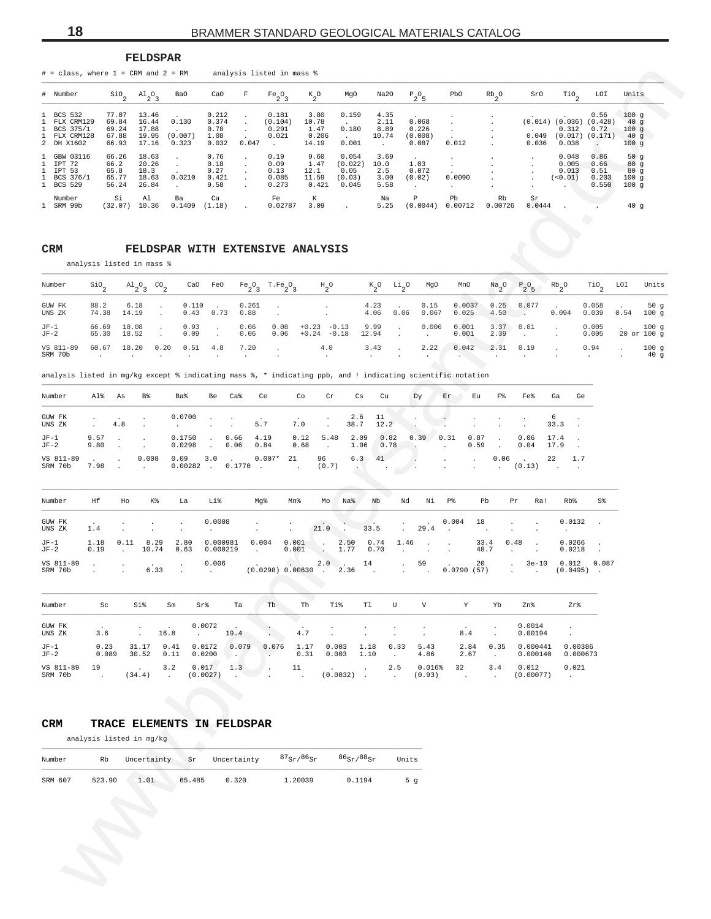**FELDSPAR**

<span id="page-17-0"></span>

| Number<br><b>BCS 532</b><br>FLX CRM129<br>1<br>BCS 375/1<br>1<br>FLX CRM128<br>2<br>DH X1602<br>1<br>GBW 03116<br>1<br>IPT 72<br>1<br>IPT 53 |                               | $\sin \frac{\pi}{2}$<br>77.07<br>69.84  | $A1_{2}O_3$<br>13.46                     | Ba0                                     | CaO                                     | F                           | $Fe_2O_3$                                             | $\kappa_{2}^{\phantom{2}}$ o |                                           | MgO                                         | Na20                                    | $\mathbb{P}_2\mathbb{O}_5$             |                                    | PbO                                     | $Rb_2^0$                     | SrO                  | $\mathcal{I}^{10}$ <sub>2</sub>              | LOI                                                                 | Units                                          |                         |
|----------------------------------------------------------------------------------------------------------------------------------------------|-------------------------------|-----------------------------------------|------------------------------------------|-----------------------------------------|-----------------------------------------|-----------------------------|-------------------------------------------------------|------------------------------|-------------------------------------------|---------------------------------------------|-----------------------------------------|----------------------------------------|------------------------------------|-----------------------------------------|------------------------------|----------------------|----------------------------------------------|---------------------------------------------------------------------|------------------------------------------------|-------------------------|
|                                                                                                                                              |                               |                                         |                                          |                                         |                                         |                             |                                                       |                              |                                           |                                             |                                         |                                        |                                    |                                         |                              |                      |                                              |                                                                     |                                                |                         |
|                                                                                                                                              |                               | 69.24<br>67.88<br>66.93                 | 16.44<br>17.88<br>19.95<br>17.16         | 0.130<br>(0.007)<br>0.323               | 0.212<br>0.374<br>0.78<br>1.08<br>0.032 | $\cdot$<br>$\cdot$          | 0.181<br>(0.104)<br>0.291<br>0.021<br>0.047<br>$\sim$ | 10.78                        | 3.80<br>1.47<br>0.206<br>14.19            | 0.159<br>0.180<br>0.001                     | 4.35<br>2.11<br>8.89<br>10.74<br>$\sim$ |                                        | 0.068<br>0.226<br>(0.008)<br>0.087 | $\cdot$<br>$\cdot$<br>0.012             |                              | 0.049<br>0.036       | 0.312<br>(0.017)<br>0.038                    | 0.56<br>$(0.014)$ $(0.036)$ $(0.428)$<br>0.72<br>(0.171)<br>$\cdot$ | 100g<br>40 <sub>g</sub><br>100g<br>40g<br>100g |                         |
| 1<br>BCS 376/1<br><b>BCS 529</b><br>$\mathbf{1}$                                                                                             |                               | 66.26<br>66.2<br>65.8<br>65.77<br>56.24 | 18.63<br>20.26<br>18.3<br>18.63<br>26.84 | $\cdot$<br>$\cdot$<br>0.0210<br>$\cdot$ | 0.76<br>0.18<br>0.27<br>0.421<br>9.58   | $\cdot$                     | 0.19<br>0.09<br>0.13<br>0.085<br>0.273                | 12.1                         | 9.60<br>1.47<br>11.59<br>0.421            | 0.054<br>(0.022)<br>0.05<br>(0.03)<br>0.045 | 3.69<br>10.0<br>2.5<br>3.00<br>5.58     | 1.03<br>(0.02)<br>$\ddot{\phantom{a}}$ | 0.072                              | $\cdot$<br>$\cdot$<br>0.0090<br>$\cdot$ |                              |                      | 0.048<br>0.005<br>0.013<br>(0.01)<br>$\cdot$ | 0.86<br>0.66<br>0.51<br>0.203<br>0.550                              | 50 $g$<br>80g<br>80g<br>100g<br>100g           |                         |
| Number<br>1 SRM 99b                                                                                                                          |                               | Si<br>(32.07)                           | Al<br>10.36                              | Ba<br>0.1409                            | Ca<br>(1.18)                            |                             | Fe                                                    | 0.02787                      | К<br>3.09                                 |                                             | Na<br>5.25                              | $\, {\mathbb P}$                       | (0.0044)                           | Pb<br>0.00712                           | Rb<br>0.00726                | Sr<br>0.0444         |                                              |                                                                     | 40g                                            |                         |
| CRM                                                                                                                                          | analysis listed in mass %     |                                         |                                          |                                         |                                         |                             | FELDSPAR WITH EXTENSIVE ANALYSIS                      |                              |                                           |                                             |                                         |                                        |                                    |                                         |                              |                      |                                              |                                                                     |                                                |                         |
| Number                                                                                                                                       | $\mathbf{S}$ io <sub>2</sub>  |                                         | $A1_{2}O_{3}$                            | $^{CO}$ <sub>2</sub>                    | CaO<br>FeO                              |                             | $Fe_2O_3$<br>$T.Fe_2O_3$                              |                              | $\mathrm{^{H}$ $\mathrm{^{O}}}$           |                                             | $\kappa_{2}^{\phantom{2}O}$             | $\frac{Li}{2}$ <sup>0</sup>            | MgO                                | MnO                                     | $\frac{Na}{2}$ <sup>O</sup>  | $P_2O_5$             | $\mathrm{Rb}_2^{\phantom{\dag}}$ 0           | $\overline{110}$ <sub>2</sub>                                       | LOI                                            | Units                   |
| GUW FK<br>UNS ZK                                                                                                                             | 88.2<br>74.38                 | 6.18<br>14.19                           |                                          | $\cdot$<br>$\cdot$                      | 0.110<br>0.43<br>0.73                   | 0.88                        | 0.261<br>$\cdot$                                      |                              | $\cdot$<br>$\ddot{\phantom{a}}$           |                                             | 4.23<br>4.06                            | 0.06                                   | 0.15<br>0.067                      | 0.0037<br>0.025                         | 0.25<br>4.50                 | 0.077<br>$\sim$      | 0.094                                        | 0.058<br>0.039                                                      | 0.54                                           | 50g<br>100 <sub>g</sub> |
| $JF-1$<br>$JF-2$                                                                                                                             | 66.69<br>65.30                | 18.08<br>18.52                          |                                          | $\cdot$                                 | 0.93<br>$\cdot$<br>0.09<br>$\cdot$      | 0.06<br>0.06                | 0.08<br>0.06                                          | $+0.23$                      | $-0.13$<br>$+0.24 -0.18$                  | 12.94                                       | 9.99                                    | $\cdot$                                | 0.006<br>$\cdot$                   | 0.001<br>0.001                          | 3.37<br>2.39                 | 0.01<br>$\sim$       |                                              | 0.005<br>0.005                                                      | 20 or 100 g                                    | 100g                    |
| VS 811-89<br>SRM 70b                                                                                                                         | 60.67<br>$\ddot{\phantom{1}}$ | 18.20<br>$\cdot$                        |                                          | 0.20<br>$\cdot$<br>$\cdot$              | 0.51<br>4.8<br>$\cdot$                  | 7.20<br>$\cdot$             | $\cdot$<br>$\cdot$                                    |                              | 4.0<br>$\cdot$                            | $\cdot$                                     | 3.43                                    |                                        | 2.22                               | 0.042                                   | 2.31                         | 0.19<br>$\cdot$      |                                              | 0.94                                                                |                                                | 100g<br>40 <sub>g</sub> |
| analysis listed in mg/kg except % indicating mass %, * indicating ppb, and ! indicating scientific notation                                  |                               |                                         |                                          |                                         |                                         |                             |                                                       |                              |                                           |                                             |                                         |                                        |                                    |                                         |                              |                      |                                              |                                                                     |                                                |                         |
| Number                                                                                                                                       | Al%                           | As                                      | B%                                       | <b>Ba%</b>                              | Be                                      | Ca <sup>8</sup>             | Ce                                                    | Co                           | Cr                                        | Сs                                          | Cu                                      | Dy                                     |                                    | Εr<br>Εu                                | F%                           | Fe <sub>8</sub>      | Ga                                           | Ge                                                                  |                                                |                         |
| GUW FK<br>UNS ZK                                                                                                                             | $\cdot$<br>$\cdot$            | 4.8                                     | $\cdot$                                  | 0.0700                                  |                                         | $\cdot$<br>$\cdot$          | 5.7                                                   | 7.0                          |                                           | 2.6<br>38.7                                 | 11<br>12.2                              | $\cdot$                                |                                    |                                         |                              | $\cdot$<br>$\cdot$   | 6<br>33.3                                    |                                                                     |                                                |                         |
| $JF-1$<br>$JF-2$                                                                                                                             | 9.57<br>9.80                  |                                         |                                          | 0.1750<br>0.0298                        | $\cdot$                                 | 0.66<br>0.06                | 4.19<br>0.84                                          | 0.12<br>0.68                 | 5.48<br>$\blacksquare$                    | 2.09<br>1.06                                | 0.82<br>0.78                            | 0.39                                   |                                    | 0.31<br>0.87<br>0.59                    | $\ddot{\phantom{a}}$         | 0.06<br>0.04         | 17.4<br>17.9                                 |                                                                     |                                                |                         |
| VS 811-89<br>SRM 70b                                                                                                                         | 7.98                          |                                         | 0.008                                    | 0.09<br>0.00282                         | 3.0<br>$\sim 100$                       | 0.1770                      | $0.007*$<br>$\overline{\phantom{a}}$                  | 21                           | 96<br>(0.7)                               | 6.3<br>×                                    | 41                                      |                                        |                                    |                                         | 0.06<br>$\ddot{\phantom{a}}$ | (0.13)               | 22<br>1.7                                    |                                                                     |                                                |                         |
| Number                                                                                                                                       | Ηf                            | Ho                                      | Κ%                                       | La                                      | Li%                                     |                             | Mg%                                                   | Mn%                          | Мo                                        | Na%                                         | Nb                                      | Nd                                     | Νi                                 | P%                                      | Pb                           | Pr<br>Ra!            | Rb%                                          | S%                                                                  |                                                |                         |
| GUW FK<br>UNS ZK                                                                                                                             | 1.4                           |                                         | $\cdot$                                  | $\cdot$<br>$\cdot$                      | 0.0008                                  |                             | $\cdot$<br>$\cdot$                                    | $\blacksquare$               | 21.0<br>$\sim$ .                          |                                             | 33.5                                    |                                        | 29.4                               | 0.004<br>18                             |                              |                      | 0.0132<br>$\cdot$                            | $\overline{\phantom{a}}$                                            |                                                |                         |
| $JF-1$<br>$JF-2$                                                                                                                             | 1.18<br>0.19                  | 0.11                                    | 8.29<br>10.74                            | 2.80<br>0.63                            |                                         | 0.000981<br>0.000219        | 0.004<br>$\cdot$                                      | 0.001<br>0.001               | $\cdot$<br>$\sim$                         | 2.50<br>1.77                                | 0.74<br>0.70                            | 1.46                                   |                                    |                                         | 33.4<br>48.7                 | 0.48                 | 0.0266<br>0.0218                             |                                                                     |                                                |                         |
| VS 811-89<br>SRM 70b                                                                                                                         | $\cdot$                       |                                         | 6.33                                     |                                         | 0.006<br>$\sim$                         |                             | (0.0298) 0.00630                                      |                              | 2.0<br>$\sim$<br>$\overline{\phantom{a}}$ | 14<br>2.36                                  |                                         |                                        | 59                                 | 20<br>0.0790(57)                        |                              | $3e-10$              | 0.012<br>$(0.0495)$ .                        | 0.087                                                               |                                                |                         |
| Number                                                                                                                                       | Sc                            |                                         | Si%                                      | Sm                                      | Sr%                                     | Ta                          | Tb                                                    | Th                           | Ti%                                       | T1                                          | U                                       |                                        | $\boldsymbol{\mathrm{V}}$          | Υ                                       | Yb                           | Zn%                  | Zr%                                          |                                                                     |                                                |                         |
| GUW FK<br>UNS ZK                                                                                                                             | 3.6                           |                                         | ÷                                        | 16.8                                    | 0.0072<br>$\sim 10^{-11}$               | 19.4                        |                                                       | $4\,.7$                      |                                           |                                             | $\cdot$                                 |                                        |                                    | 8.4                                     | $\sim$                       | 0.0014<br>0.00194    |                                              |                                                                     |                                                |                         |
| $JF-1$<br>$JF-2$                                                                                                                             | 0.23<br>0.089                 |                                         | 31.17<br>30.52                           | 0.41<br>0.11                            | 0.0172<br>0.0200                        | 0.079                       | 0.076                                                 | 1.17<br>0.31                 | 0.003<br>0.003                            | 1.18<br>1.10                                | $\cdot$                                 | 0.33                                   | 5.43<br>4.86                       | 2.84<br>2.67                            | 0.35<br>$\sim$               | 0.000441<br>0.000140 | 0.00386                                      | 0.000673                                                            |                                                |                         |
| VS 811-89<br>SRM 70b                                                                                                                         | 19<br>$\sim 100$              |                                         | (34.4)                                   | 3.2<br>$\sim$                           | 0.017<br>(0.0027)                       | 1.3<br>$\ddot{\phantom{a}}$ |                                                       | 11<br>$\sim$                 |                                           | $(0.0032)$ .                                | 2.5<br>$\sim 10^{-1}$                   |                                        | 0.016%<br>(0.93)                   | 32<br>$\sim 100$                        | 3.4<br>$\sim$                | 0.012<br>(0.00077)   | 0.021<br>$\sim 100$ km s $^{-1}$             |                                                                     |                                                |                         |
|                                                                                                                                              |                               |                                         |                                          |                                         |                                         |                             |                                                       |                              |                                           |                                             |                                         |                                        |                                    |                                         |                              |                      |                                              |                                                                     |                                                |                         |
| CRM                                                                                                                                          |                               |                                         |                                          | TRACE ELEMENTS IN FELDSPAR              |                                         |                             |                                                       |                              |                                           |                                             |                                         |                                        |                                    |                                         |                              |                      |                                              |                                                                     |                                                |                         |
|                                                                                                                                              | analysis listed in mg/kg      |                                         |                                          |                                         |                                         |                             |                                                       |                              |                                           |                                             |                                         |                                        |                                    |                                         |                              |                      |                                              |                                                                     |                                                |                         |
| Number                                                                                                                                       | Rb                            |                                         | Uncertainty                              |                                         | Sr                                      | Uncertainty                 |                                                       | $87_{ST}/86_{ST}$            |                                           | $86_{\text{Sr}}$ / $88_{\text{Sr}}$         |                                         | Units                                  |                                    |                                         |                              |                      |                                              |                                                                     |                                                |                         |
| SRM 607                                                                                                                                      | 523.90                        |                                         | 1.01                                     |                                         | 65.485                                  | 0.320                       |                                                       | 1.20039                      |                                           | 0.1194                                      |                                         | 5 <sub>g</sub>                         |                                    |                                         |                              |                      |                                              |                                                                     |                                                |                         |

#### **CRM FELDSPAR WITH EXTENSIVE ANALYSIS**

| Number           | SiO <sub>s</sub> |               |          |  | $\mathrm{Al}_2\mathrm{O}_3$ $\mathrm{CO}_2$ cao FeO Fe $\mathrm{O}_3$ T.Fe $\mathrm{O}_3$ $\mathrm{H}_2\mathrm{O}$ ( $\mathrm{O}_2$ $\mathrm{Li}_2\mathrm{O}$ MgO MnO $\mathrm{Na}_2\mathrm{O}$ $\mathrm{P}_2\mathrm{O}_5$ Rb $\mathrm{O}_2$ Tio <sub>2</sub> LOI                                                                      |  |  |  |  | Units       |
|------------------|------------------|---------------|----------|--|----------------------------------------------------------------------------------------------------------------------------------------------------------------------------------------------------------------------------------------------------------------------------------------------------------------------------------------|--|--|--|--|-------------|
| GUW FK<br>UNS ZK |                  | 74.38 14.19 . |          |  | 88.2 6.18 . 0.110 . 0.261 4.23 . 0.15 0.0037 0.25 0.077 . 0.058 . 50 q<br>$0.43$ $0.73$ $0.88$ $0.8$ $0.99$ $0.99$ $0.06$ $0.06$ $0.067$ $0.025$ $0.50$ $0.50$ $0.094$ $0.039$ $0.54$ $100$ g                                                                                                                                          |  |  |  |  |             |
| $JF-1$<br>$JF-2$ |                  | 65.30 18.52 . | $0.09$ . |  | $66.69$ 18.08 $\cdot$ 0.93 $\cdot$ 0.06 0.08 +0.23 -0.13 9.99 $\cdot$ 0.006 0.001 3.37 0.01 $\cdot$ 0.005 $\cdot$ 100 q<br>$0.06$ $0.06$ $+0.24$ $-0.18$ $12.94$ $\ldots$ $0.001$ $2.39$ $\ldots$ $0.005$ $20 \text{ or } 100 \text{ q}$                                                                                               |  |  |  |  |             |
| VS 811-89        |                  |               |          |  | $60.67$ $18.20$ $0.20$ $0.51$ $4.8$ $7.20$ $.4.0$ $3.43$ $.2.22$ $0.042$ $2.31$ $0.19$ $.694$ $.694$<br>SRM 70b and the contract of the contract of the contract of the contract of the contract of the contract of the contract of the contract of the contract of the contract of the contract of the contract of the contract of th |  |  |  |  | 100q<br>40q |

|  |  |  | analysis listed in mg/kg except % indicating mass %, * indicating ppb, and ! indicating scientific notation |  |  |  |
|--|--|--|-------------------------------------------------------------------------------------------------------------|--|--|--|
|  |  |  |                                                                                                             |  |  |  |

| Number               | Al% As       |                                                               | B%                                                  | Ba%                              | Be                             | Ca%                      | Ce                                                                                     | Co   | Cr               | Cs                            | Cu             | Dy             | Er                          | Eu                   | $_{\rm F}$ $\,$ | Fe%                                  | Ga          | Ge  |
|----------------------|--------------|---------------------------------------------------------------|-----------------------------------------------------|----------------------------------|--------------------------------|--------------------------|----------------------------------------------------------------------------------------|------|------------------|-------------------------------|----------------|----------------|-----------------------------|----------------------|-----------------|--------------------------------------|-------------|-----|
| GUW FK<br>UNS ZK     |              | 4.8                                                           | the contract of the contract of the                 | $0.0700$                         |                                |                          | the contract of the contract of the contract of the contract of the contract of<br>5.7 | 7.0  | $\sim$           | 38.7 12.2                     | 2.6 11         |                |                             |                      |                 |                                      | - 6<br>33.3 |     |
| $JF-1$<br>$JF-2$     | 9.57<br>9.80 | and the state of the state of the<br><b>Contract Contract</b> |                                                     | 0.1750<br>0.0298                 | $\sim$ $\sim$<br>$\sim$ $\sim$ | 0.66 4.19<br>$0.06$ 0.84 |                                                                                        | 0.12 | 5.48<br>$0.68$ . | 2.09<br>1.06                  | 0.82<br>$0.78$ | $0.39 \t 0.31$ |                             | $0.87$ .<br>$0.59$ . |                 | 0.06<br>$0.04$ 17.9                  | 17.4        |     |
| VS 811-89<br>SRM 70b | 7.98         | $\sim$ 100 $\mu$                                              | 0.008<br><b>Contract Contract Contract Contract</b> | 0.09<br>$0.00282$ , $0.1770$ , , | 3.0                            |                          | $0.007*$ 21                                                                            |      | 96<br>(0.7)      | $6.3$ $41$<br><b>ALCOHOL:</b> |                |                | and the company of the com- | $\sim$               | 0.06<br>$\sim$  | <b>Contract Contract</b><br>$(0.13)$ | 22          | 1.7 |

| Number                | Ηf           | Ho              | K%                                          | La                                          | Li%                                                                                                                | Mq%                               | Mn%                                                                             | Mo   | Na%           | Nb                  | Nd                                                      | Ni                                  | P <sup>8</sup>           | Pb                 | Pr                          | Ra!                             | Rb                    | S%    |
|-----------------------|--------------|-----------------|---------------------------------------------|---------------------------------------------|--------------------------------------------------------------------------------------------------------------------|-----------------------------------|---------------------------------------------------------------------------------|------|---------------|---------------------|---------------------------------------------------------|-------------------------------------|--------------------------|--------------------|-----------------------------|---------------------------------|-----------------------|-------|
| GUW FK<br>UNS ZK      | 1.4          |                 |                                             |                                             | $\sim$ . $\sim$ . $\sim$ 0.0008<br>the contract of the contract of the contract of the contract of the contract of |                                   | $\sim$                                                                          | 21.0 | - 17          | 33.5                | <b>Contract Contract Contract</b>                       |                                     | $29.4$ .                 |                    |                             | the contract of the contract of | 0.0132                |       |
| $JF-1$<br>$JF-2$      | 1.18<br>0.19 | <b>Contract</b> | $0.11$ 8.29                                 | 2.80                                        | 0.000981<br>$10.74$ 0.63 0.000219 . 0.001 . 1.77                                                                   | 0.004                             | 0.001                                                                           |      | $\ddots$ 2.50 | $0.74$ 1.46<br>0.70 |                                                         | the contract of the contract of the |                          | 33.4 0.48<br>48.7. |                             |                                 | 0.0266<br>0.0218      |       |
| VS 811-89<br>SRM 70b. |              |                 | the contract of the contract of the<br>6.33 | <b>Contract Contract</b><br><b>Contract</b> | 0.006<br>$(0.0298) 0.00630$ , $2.36$ ,                                                                             | the company's company's company's | the contract of the contract of the contract of the contract of the contract of |      | 2.0 14        |                     | <b>Contract Contract</b><br>and the company of the com- | 59                                  | $\sim$ 20<br>0.0790 (57) |                    | and the company of the com- | 3e-10                           | 0.012<br>$(0.0495)$ . | 0.087 |

| Number               | Sc            | Si%            | Sm            | Sr%               | Ta            | Tb    | Th           | Ti%                      | Tl                   | U    | V                | Y            | Yb   | Zn%                  | Zr%                 |
|----------------------|---------------|----------------|---------------|-------------------|---------------|-------|--------------|--------------------------|----------------------|------|------------------|--------------|------|----------------------|---------------------|
| GUW FK<br>UNS ZK     | 3.6           | $\sim$         | 16.8          | 0.0072            | 19.4          |       | 4.7          | $\overline{\phantom{a}}$ | $\sim$<br>$\sim$     |      |                  | 8.4          |      | 0.0014<br>0.00194    |                     |
| $JF-1$<br>$JF-2$     | 0.23<br>0.089 | 31.17<br>30.52 | 0.41<br>0.11  | 0.0172<br>0.0200  | 0.079         | 0.076 | 1.17<br>0.31 | 0.003<br>0.003           | 1.18<br>1.10         | 0.33 | 5.43<br>4.86     | 2.84<br>2.67 | 0.35 | 0.000441<br>0.000140 | 0.00386<br>0.000673 |
| VS 811-89<br>SRM 70b | 19            | (34.4)         | 3.2<br>$\sim$ | 0.017<br>(0.0027) | 1.3<br>$\sim$ |       | 11           | (0.0032)                 | $\ddot{\phantom{a}}$ | 2.5  | 0.016%<br>(0.93) | 32           | 3.4  | 0.012<br>(0.00077)   | 0.021               |

### **CRM TRACE ELEMENTS IN FELDSPAR**

|         |        | analysis listed in mg/kg |             |                   |                   |       |
|---------|--------|--------------------------|-------------|-------------------|-------------------|-------|
| Number  | Rb     | Uncertainty<br>Sr        | Uncertainty | $87_{Sr}/86_{Sr}$ | $86_{Sr}/88_{Sr}$ | Units |
| SRM 607 | 523.90 | 1.01<br>65.485           | 0.320       | 1,20039           | 0.1194            | 5 a   |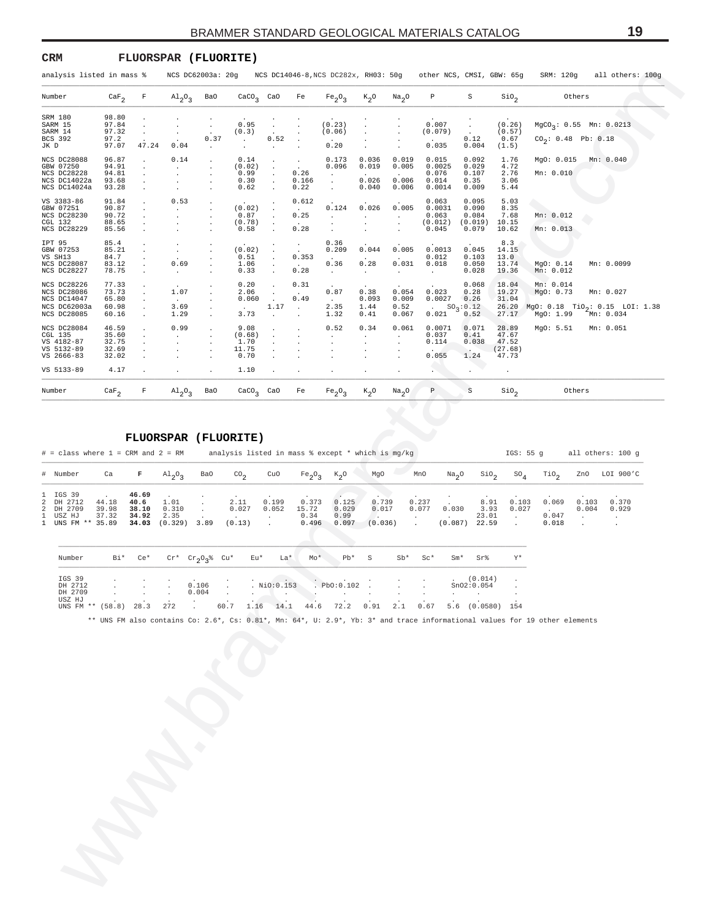#### <span id="page-18-0"></span>**CRM FLUORSPAR (FLUORITE)**

|                                                                          |                                           | analysis listed in mass %            |                                                     | NCS DC62003a: 20g                        |                                         |                                                                                              |                                                          | NCS DC14046-8, NCS DC282x, RH03: 50g   |                                                  |                                          | other NCS, CMSI, GBW: 65g                           |                                                              |                                                        | SRM: 120g<br>all others: 100g                                                                                              |                                        |
|--------------------------------------------------------------------------|-------------------------------------------|--------------------------------------|-----------------------------------------------------|------------------------------------------|-----------------------------------------|----------------------------------------------------------------------------------------------|----------------------------------------------------------|----------------------------------------|--------------------------------------------------|------------------------------------------|-----------------------------------------------------|--------------------------------------------------------------|--------------------------------------------------------|----------------------------------------------------------------------------------------------------------------------------|----------------------------------------|
| Number                                                                   | $\texttt{CaF}_2$                          | F                                    | A1203                                               | Ba0                                      | $\text{caco}_3$                         | CaO                                                                                          | Fe                                                       | Fe <sub>2</sub> O <sub>3</sub>         | $K_{2}$ <sup>O</sup>                             | Na <sub>2</sub> O                        | Ρ                                                   | S                                                            | $\sin_2$                                               | Others                                                                                                                     |                                        |
| SRM 180<br>SARM 15<br>SARM 14<br>BCS 392<br>JK D                         | 98.80<br>97.84<br>97.32<br>97.2<br>97.07  | $\cdot$<br>$\cdot$<br>47.24          | 0.04                                                | $\cdot$<br>0.37<br>$\cdot$               | 0.95<br>(0.3)<br>$\cdot$<br>$\cdot$     | $\cdot$<br>$\sim$<br>0.52<br>$\cdot$                                                         | $\blacksquare$<br>$\cdot$                                | (0.23)<br>(0.06)<br>0.20               | $\cdot$<br>$\cdot$<br>$\cdot$                    |                                          | 0.007<br>(0.079)<br>$\sim$<br>0.035                 | $\cdot$<br>$\ddot{\phantom{a}}$<br>0.12<br>0.004             | (0.26)<br>(0.57)<br>0.67<br>(1.5)                      | $MgCO_3$ : 0.55 Mn: 0.0213<br>$CO_2$ : 0.48 Pb: 0.18                                                                       |                                        |
| NCS DC28088<br>GBW 07250<br>NCS DC28228<br>NCS DC14022a<br>NCS DC14024a  | 96.87<br>94.91<br>94.81<br>93.68<br>93.28 | $\cdot$<br>$\cdot$<br>$\cdot$        | 0.14<br>$\cdot$<br>$\cdot$                          | $\cdot$<br>$\cdot$<br>$\cdot$<br>$\cdot$ | 0.14<br>(0.02)<br>0.99<br>0.30<br>0.62  | $\ddot{\phantom{a}}$<br>$\ddot{\phantom{a}}$<br>$\ddot{\phantom{a}}$<br>$\bullet$<br>$\cdot$ | $\sim$<br>$\cdot$<br>0.26<br>0.166<br>0.22               | 0.173<br>0.096<br>$\cdot$<br>$\cdot$   | 0.036<br>0.019<br>0.026<br>0.040                 | 0.019<br>0.005<br>0.006<br>0.006         | 0.015<br>0.0025<br>0.076<br>0.014<br>0.0014         | 0.092<br>0.029<br>0.107<br>0.35<br>0.009                     | 1.76<br>4.72<br>2.76<br>3.06<br>5.44                   | MgO: 0.015<br>Mn: 0.010                                                                                                    | Mn: 0.040                              |
| VS 3383-86<br>GBW 07251<br>NCS DC28230<br>CGL 132<br>NCS DC28229         | 91.84<br>90.87<br>90.72<br>88.65<br>85.56 | $\cdot$<br>$\cdot$<br>$\cdot$        | 0.53<br>$\cdot$<br>$\cdot$                          | $\cdot$<br>$\cdot$<br>$\cdot$            | (0.02)<br>0.87<br>(0.78)<br>0.58        | $\cdot$<br>$\bullet$<br>$\cdot$<br>$\cdot$                                                   | 0.612<br>$\ddot{\phantom{a}}$<br>0.25<br>0.28            | 0.124<br>$\cdot$<br>$\cdot$<br>$\cdot$ | 0.026<br>$\sim$<br>$\cdot$<br>$\cdot$            | 0.005<br>$\bullet$<br>$\cdot$<br>$\cdot$ | 0.063<br>0.0031<br>0.063<br>(0.012)<br>0.045        | 0.095<br>0.090<br>0.084<br>(0.019)<br>0.079                  | 5.03<br>8.35<br>7.68<br>10.15<br>10.62                 | Mn: 0.012<br>Mn: 0.013                                                                                                     |                                        |
| IPT 95<br>GBW 07253<br>VS SH13<br>NCS DC28087<br>NCS DC28227             | 85.4<br>85.21<br>84.7<br>83.12<br>78.75   | $\cdot$<br>$\cdot$<br>$\cdot$        | $\cdot$<br>0.69<br>$\sim$                           | $\cdot$<br>$\cdot$<br>$\cdot$            | (0.02)<br>0.51<br>1.06<br>0.33          | $\cdot$<br>$\ddot{\phantom{a}}$<br>$\ddot{\phantom{a}}$<br>$\cdot$                           | $\cdot$<br>0.353<br>$\sim$<br>0.28                       | 0.36<br>0.209<br>0.36<br>$\sim$        | 0.044<br>0.28<br>$\sim$                          | 0.005<br>0.031<br>$\cdot$                | 0.0013<br>0.012<br>0.018<br>$\sim$                  | 0.045<br>0.103<br>0.050<br>0.028                             | 8.3<br>14.15<br>13.0<br>13.74<br>19.36                 | MgO: 0.14<br>Mn: 0.012                                                                                                     | Mn: 0.0099                             |
| NCS DC28226<br>NCS DC28086<br>NCS DC14047<br>NCS DC62003a<br>NCS DC28085 | 77.33<br>73.73<br>65.80<br>60.98<br>60.16 | $\cdot$<br>$\cdot$                   | 1.07<br>$\sim$<br>3.69<br>1.29                      | $\cdot$<br>$\cdot$<br>$\cdot$            | 0.20<br>2.06<br>0.060<br>$\sim$<br>3.73 | $\bullet$<br>$\bullet$<br>$\sim$<br>1.17                                                     | 0.31<br>$\sim$<br>0.49<br>$\ddot{\phantom{0}}$           | 0.87<br>$\sim$<br>2.35<br>1.32         | 0.38<br>0.093<br>1.44<br>0.41                    | 0.054<br>0.009<br>0.52<br>0.067          | 0.023<br>0.0027<br>$\sim$<br>0.021                  | 0.068<br>0.28<br>0.26<br>$SO_3:0.12$<br>0.52                 | 18.04<br>19.27<br>31.04<br>26.20<br>27.17              | Mn: 0.014<br>MgO: 0.73<br>MgO: $0.18$ TiO <sub>2</sub> : $0.15$ LOI: 1.38<br>MgO: 1.99                                     | Mn: 0.027<br>Mn: 0.034                 |
| NCS DC28084<br>CGL 135<br>VS 4182-87<br>VS 5132-89<br>VS 2666-83         | 46.59<br>35.60<br>32.75<br>32.69<br>32.02 |                                      | 0.99                                                |                                          | 9.08<br>(0.68)<br>1.70<br>11.75<br>0.70 |                                                                                              |                                                          | 0.52<br>$\cdot$<br>$\cdot$<br>$\cdot$  | 0.34<br>$\cdot$<br>$\cdot$<br>$\cdot$<br>$\cdot$ | 0.061<br>$\cdot$<br>$\cdot$              | 0.0071<br>0.037<br>0.114<br>0.055                   | 0.071<br>0.41<br>0.038<br>$\mathcal{L}_{\mathbf{z}}$<br>1.24 | 28.89<br>47.67<br>47.52<br>(27.68)<br>47.73            | MgO: 5.51                                                                                                                  | Mn: 0.051                              |
| VS 5133-89                                                               | 4.17                                      |                                      |                                                     | $\cdot$                                  | 1.10                                    |                                                                                              |                                                          |                                        | $\cdot$                                          | $\bullet$                                |                                                     |                                                              | $\cdot$                                                |                                                                                                                            |                                        |
| Number                                                                   | $\texttt{CaF}_{2}$                        | F                                    | $A1_{2}O_{3}$                                       | Ba0                                      | $CaCO3$ CaO                             |                                                                                              | Fe                                                       | Fe <sub>2</sub> O <sub>3</sub>         | $K_2$ O                                          | Na <sub>2</sub> O                        | P                                                   | S                                                            | Sio <sub>2</sub>                                       | Others                                                                                                                     |                                        |
| # Number<br>IGS 39<br>DH 2712<br>2<br>DH 2709<br>USZ HJ                  | Ca<br>44.18<br>39.98<br>37.32             | F<br>46.69<br>40.6<br>38.10<br>34.92 | A1203<br>1.01<br>0.310<br>2.35                      | Ba0<br>$\cdot$<br>$\cdot$                | CO <sub>2</sub><br>2.11<br>0.027        | CuO<br>0.199<br>0.052<br>$\cdot$                                                             | Fe <sub>2</sub> O <sub>3</sub><br>0.373<br>15.72<br>0.34 | $K_2O$<br>0.125<br>0.029<br>0.99       | MgO<br>0.739<br>0.017<br>$\mathcal{L}$           |                                          | MnO<br>Na <sub>2</sub> O<br>0.237<br>0.077<br>0.030 | $\sin \theta_2$<br>8.91<br>3.93<br>23.01                     | ${\tt SO_4}$<br>0.103<br>0.027<br>$\ddot{\phantom{a}}$ | $\text{rio}_2$<br>ZnO<br>0.069<br>0.103<br>0.004<br>$\sim$<br>0.047                                                        | LOI 900'C<br>0.370<br>0.929<br>$\cdot$ |
| $\mathbf{1}$<br>UNS FM ** 35.89                                          | Bi*                                       | 34.03                                | $(0.329)$ 3.89                                      |                                          | (0.13)<br>Eu*                           | $\ddot{\phantom{a}}$<br>La*                                                                  | 0.496<br>Mo*                                             | 0.097<br>Pb*                           | (0.036)<br>S                                     | $\ddot{\phantom{a}}$<br>Sb*              | (0.087)<br>$Sc*$                                    | 22.59<br>$Sm*$<br>Sr%                                        | $\cdot$<br>Y*                                          | 0.018                                                                                                                      |                                        |
| Number                                                                   |                                           | $Ce*$                                |                                                     |                                          |                                         |                                                                                              |                                                          |                                        |                                                  |                                          |                                                     |                                                              |                                                        |                                                                                                                            |                                        |
| IGS 39<br>DH 2712<br>DH 2709<br>USZ HJ<br>UNS FM ** (58.8) 28.3          |                                           |                                      | $Cr^*$ $Cr_{2}O_{3}$ <sup>&amp;</sup> $Cu^*$<br>272 | 0.106<br>0.004                           | $60.7$ 1.16 14.1 44.6 72.2 0.91         | . NiO:0.153                                                                                  |                                                          | Pb0:0.102                              |                                                  | 2.1                                      | $0.67$ 5.6 (0.0580) 154                             | (0.014)<br>SnO2:0.054                                        |                                                        | ** UNS FM also contains Co: 2.6*, Cs: 0.81*, Mn: 64*, U: 2.9*, Yb: 3* and trace informational values for 19 other elements |                                        |

#### **FLUORSPAR (FLUORITE)**

| $#$ = class where 1 = CRM and 2 = RM                                |                         |                                          |                                  |      |                         |                |                                 |                                 | analysis listed in mass $%$ except $*$ which is mq/kq |                          |                   |                                | IGS: 55 a      |                         |                | all others: 100 q |
|---------------------------------------------------------------------|-------------------------|------------------------------------------|----------------------------------|------|-------------------------|----------------|---------------------------------|---------------------------------|-------------------------------------------------------|--------------------------|-------------------|--------------------------------|----------------|-------------------------|----------------|-------------------|
| # Number                                                            | Ca                      | F                                        | $Al_2O_2$                        | Ba0  | CO <sub>n</sub>         | CuO            | Fe <sub>2</sub> O <sub>2</sub>  | $K_{\alpha}O$                   | MgO                                                   | MnO                      | Na <sub>2</sub> O | SiO <sub>2</sub>               | $SO_{A}$       | TiO,                    | ZnO            | LOI 900'C         |
| 1 IGS 39<br>2 DH 2712<br>2 DH 2709<br>1 USZ HJ<br>1 UNS FM ** 35.89 | 44.18<br>39.98<br>37.32 | 46.69<br>40.6<br>38.10<br>34.92<br>34.03 | 1.01<br>0.310<br>2.35<br>(0.329) | 3.89 | 2.11<br>0.027<br>(0.13) | 0.199<br>0.052 | 0.373<br>15.72<br>0.34<br>0.496 | 0.125<br>0.029<br>0.99<br>0.097 | 0.739<br>0.017<br>(0.036)                             | 0.237<br>0.077<br>$\sim$ | 0.030<br>(0.087)  | 8.91<br>3.93<br>23.01<br>22.59 | 0.103<br>0.027 | 0.069<br>0.047<br>0.018 | 0.103<br>0.004 | 0.370<br>0.929    |

| Number                                                                                        | Bi* Ce* |        | $Cr^*$ $Cr_2O_2$ % $Cu^*$ $Eu^*$ $La^*$ |                                            |                            | $Mo*$ | $Pb*$ S | $Sb*$ | $S\mathcal{C}^*$ | $Sm*$ | Sr%        | – Y* |
|-----------------------------------------------------------------------------------------------|---------|--------|-----------------------------------------|--------------------------------------------|----------------------------|-------|---------|-------|------------------|-------|------------|------|
| IGS 39                                                                                        |         |        |                                         |                                            |                            |       |         |       |                  |       | (0.014)    |      |
| DH 2712                                                                                       |         |        |                                         |                                            | $\sim$ . 0.106 . NiO:0.153 |       |         |       |                  |       | SnO2:0.054 |      |
| DH 2709                                                                                       |         |        | 0.004                                   |                                            | $\mathbf{r}$               |       |         |       | $\sim$           |       |            |      |
| USZ HJ<br>UNS FM ** (58.8) 28.3 272 . 60.7 1.16 14.1 44.6 72.2 0.91 2.1 0.67 5.6 (0.0580) 154 |         | $\sim$ |                                         | <b>Contract Contract Contract Contract</b> |                            |       |         |       | $\sim$ $\sim$    |       |            |      |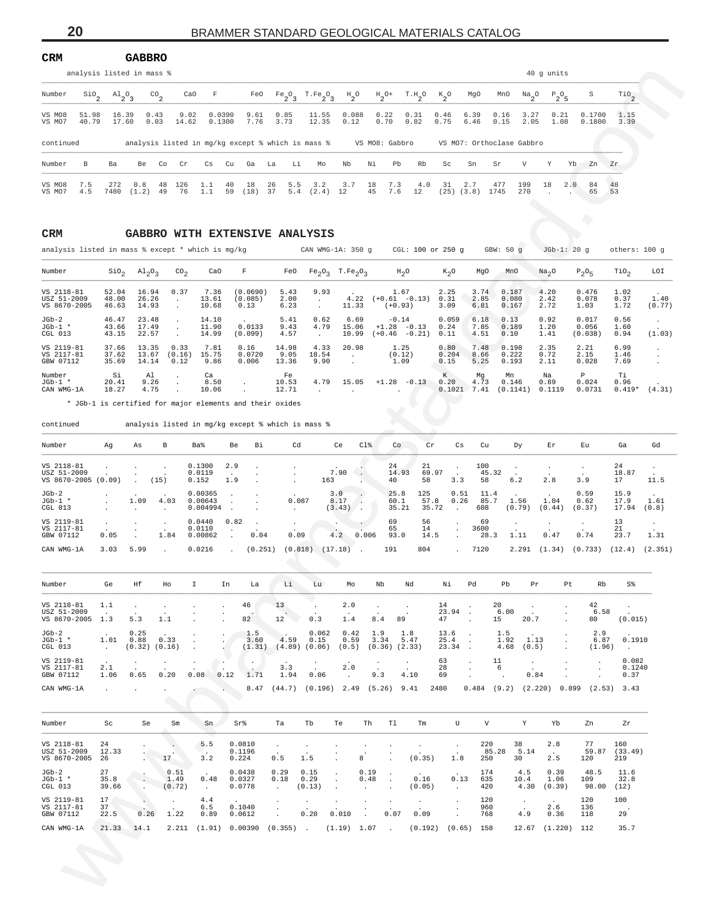<span id="page-19-0"></span>

| <b>CRM</b>       |                           |                |              | <b>GABBRO</b>     |               |              |                  |              |              |            |                                                   |                 |          |                     |              |                 |                       |                           |              |            |              |                  |                               |
|------------------|---------------------------|----------------|--------------|-------------------|---------------|--------------|------------------|--------------|--------------|------------|---------------------------------------------------|-----------------|----------|---------------------|--------------|-----------------|-----------------------|---------------------------|--------------|------------|--------------|------------------|-------------------------------|
|                  | analysis listed in mass % |                |              |                   |               |              |                  |              |              |            |                                                   |                 |          |                     |              |                 |                       |                           |              | 40 q units |              |                  |                               |
| Number           | $\sin \theta$             | $A1_{2}O_{3}$  |              | $\mathrm{co}_{2}$ | CaO           | $\mathbb{F}$ |                  | FeO          |              |            | $Fe_2O_3$ T.Fe <sub>2</sub> <sup>2</sup> 3        | $H_{2}^{\circ}$ |          | $H_2$ <sup>O+</sup> | $T.H_2O$     | $K_{2}^{\circ}$ | MgO                   | MnO                       | $Na_{2}O$    |            | $P_2O_5$     | S                | $\mathcal{T}^{\text{10}}_{2}$ |
| VS MO8<br>VS MO7 | 51.98<br>40.79            | 16.39<br>17.60 |              | 0.43<br>0.03      | 9.02<br>14.62 |              | 0.0390<br>0.1300 | 9.61<br>7.76 | 0.85<br>3.73 |            | 11.55<br>12.35                                    | 0.088<br>0.12   |          | 0.22<br>0.70        | 0.31<br>0.82 | 0.46<br>0.75    | 6.39<br>6.46          | 0.16<br>0.15              | 3.27<br>2.05 |            | 0.21<br>1.08 | 0.1700<br>0.1800 | 1.15<br>3.39                  |
| continued        |                           |                |              |                   |               |              |                  |              |              |            | analysis listed in mg/kg except % which is mass % |                 |          | VS MO8: Gabbro      |              |                 |                       | VS MO7: Orthoclase Gabbro |              |            |              |                  |                               |
| Number           | B.                        | Ba             | Be           | Co                | Cr            | Cs.          | $C_{11}$         | Ga           | La           | Li         | Mo                                                | Nb              | Νi       | Pb                  | Rb           | Sc              | Sn                    | Sr                        | V            | Y          | Yb.          | Zn               | Zr                            |
| VS MO8<br>VS MO7 | 7.5<br>4.5                | 272<br>7480    | 0.8<br>(1.2) | -48<br>49         | 126<br>76     | 1.1<br>1.1   | 40<br>59         | 18<br>(18)   | 26<br>37     | 5.5<br>5.4 | 3.2<br>(2.4)                                      | 3.7<br>12       | 18<br>45 | 7.3<br>7.6          | 4.0<br>12    | -31             | 2.7<br>$(25)$ $(3.8)$ | 477<br>1745               | 199<br>270   | 18         | 2.0          | 84<br>65         | $\frac{48}{53}$               |

#### **CRM GABBRO WITH EXTENSIVE ANALYSIS**

| $\mathop{\mathsf{Si0}}\nolimits_2$<br>Number<br>VS MO8<br>51.98<br>40.79<br>VS MO7<br>continued<br>Number<br>B<br>VS MO8<br>7.5<br>VS MO7<br>4.5<br>CRM<br>analysis listed in mass % except * which is mg/kg<br>Number<br>VS 2118-81<br>USZ 51-2009<br>VS 8670-2005<br>$JGb-2$<br>$JGb-1$ *<br>CGL 013<br>VS 2119-81<br>VS 2117-81<br>GBW 07112 | $A1_{2}O_3$<br>16.39<br>17.60<br>Ba<br>272<br>7480<br>Sio <sub>2</sub><br>52.04<br>48.00<br>46.63<br>46.47<br>43.66<br>43.15<br>37.66<br>37.62<br>35.69<br>Si<br>20.41<br>18.27 | 0.43<br>0.03<br>Be<br>0.8<br>(1.2)<br>$Al_2O_3$<br>16.94<br>26.26<br>14.93<br>23.48<br>17.49<br>22.57<br>13.35<br>13.67<br>14.14 | $^{CO}$ <sub>2</sub><br>9.02<br>14.62<br>Co<br>Cr<br>48<br>126<br>76<br>49<br>$\text{CO}_2$<br>0.37<br>$\cdot$<br>$\cdot$<br>$\cdot$<br>$\cdot$<br>$\cdot$ | CaO<br>F<br>Сs<br>1.1<br>1.1<br>CaO<br>7.36<br>13.61<br>10.68<br>14.10 | FeO<br>0.0390<br>9.61<br>7.76<br>0.1300<br>analysis listed in mg/kg except % which is mass %<br>Cu<br>Ga<br>40<br>18<br>59<br>(18)<br>GABBRO WITH EXTENSIVE ANALYSIS<br>F<br>(0.0690)<br>(0.085)<br>0.13 | Fe <sub>2</sub> O <sub>3</sub><br>0.85<br>3.73<br>La<br>Li<br>26<br>5.5<br>37<br>5.4<br>FeO<br>5.43 | $T.Fe_2O_3$<br>11.55<br>12.35<br>Mo<br>3.2<br>(2.4)<br>CAN WMG-1A: 350 g<br>$Fe_2O_3$ T.Fe <sub>2</sub> O <sub>3</sub> | $H_{2}^{\circ}$<br>0.088<br>0.12<br>Nb<br>3.7<br>12 | $H_2$ <sup>O+</sup><br>0.22<br>0.70<br>VS MO8: Gabbro<br>Νi<br>Pb<br>7.3<br>18<br>45<br>7.6 | T.H.0<br>0.31<br>0.82<br>Rb<br>4.0<br>12<br>CGL: 100 or 250 g | $K_2^o$<br>0.46<br>0.75<br>Sc<br>31<br>$(25)$ $(3.8)$ | MgO<br>6.39<br>6.46<br>Sn<br>2.7 | MnO<br>$\frac{Na}{2}$ <sup>O</sup><br>0.16<br>3.27<br>0.15<br>2.05<br>VS MO7: Orthoclase Gabbro<br>V<br>Sr<br>477<br>199<br>1745<br>270 | $P_2O_5$<br>0.21<br>1.08<br>Υ<br>18 | S<br>0.1700<br>0.1800<br>Yb<br>Zn<br>2.0<br>84<br>65             | $\overline{110}$ <sub>2</sub><br>1.15<br>3.39<br>Ζr<br>48<br>53 |                    |
|-------------------------------------------------------------------------------------------------------------------------------------------------------------------------------------------------------------------------------------------------------------------------------------------------------------------------------------------------|---------------------------------------------------------------------------------------------------------------------------------------------------------------------------------|----------------------------------------------------------------------------------------------------------------------------------|------------------------------------------------------------------------------------------------------------------------------------------------------------|------------------------------------------------------------------------|----------------------------------------------------------------------------------------------------------------------------------------------------------------------------------------------------------|-----------------------------------------------------------------------------------------------------|------------------------------------------------------------------------------------------------------------------------|-----------------------------------------------------|---------------------------------------------------------------------------------------------|---------------------------------------------------------------|-------------------------------------------------------|----------------------------------|-----------------------------------------------------------------------------------------------------------------------------------------|-------------------------------------|------------------------------------------------------------------|-----------------------------------------------------------------|--------------------|
|                                                                                                                                                                                                                                                                                                                                                 |                                                                                                                                                                                 |                                                                                                                                  |                                                                                                                                                            |                                                                        |                                                                                                                                                                                                          |                                                                                                     |                                                                                                                        |                                                     |                                                                                             |                                                               |                                                       |                                  |                                                                                                                                         |                                     |                                                                  |                                                                 |                    |
|                                                                                                                                                                                                                                                                                                                                                 |                                                                                                                                                                                 |                                                                                                                                  |                                                                                                                                                            |                                                                        |                                                                                                                                                                                                          |                                                                                                     |                                                                                                                        |                                                     |                                                                                             |                                                               |                                                       |                                  |                                                                                                                                         |                                     |                                                                  |                                                                 |                    |
|                                                                                                                                                                                                                                                                                                                                                 |                                                                                                                                                                                 |                                                                                                                                  |                                                                                                                                                            |                                                                        |                                                                                                                                                                                                          |                                                                                                     |                                                                                                                        |                                                     |                                                                                             |                                                               |                                                       |                                  |                                                                                                                                         |                                     |                                                                  |                                                                 |                    |
|                                                                                                                                                                                                                                                                                                                                                 |                                                                                                                                                                                 |                                                                                                                                  |                                                                                                                                                            |                                                                        |                                                                                                                                                                                                          |                                                                                                     |                                                                                                                        |                                                     |                                                                                             |                                                               |                                                       |                                  |                                                                                                                                         |                                     |                                                                  |                                                                 |                    |
|                                                                                                                                                                                                                                                                                                                                                 |                                                                                                                                                                                 |                                                                                                                                  |                                                                                                                                                            |                                                                        |                                                                                                                                                                                                          |                                                                                                     |                                                                                                                        |                                                     |                                                                                             |                                                               |                                                       |                                  |                                                                                                                                         |                                     |                                                                  |                                                                 |                    |
|                                                                                                                                                                                                                                                                                                                                                 |                                                                                                                                                                                 |                                                                                                                                  |                                                                                                                                                            |                                                                        |                                                                                                                                                                                                          |                                                                                                     |                                                                                                                        |                                                     |                                                                                             |                                                               |                                                       |                                  |                                                                                                                                         |                                     |                                                                  |                                                                 |                    |
|                                                                                                                                                                                                                                                                                                                                                 |                                                                                                                                                                                 |                                                                                                                                  |                                                                                                                                                            |                                                                        |                                                                                                                                                                                                          |                                                                                                     |                                                                                                                        |                                                     |                                                                                             |                                                               |                                                       |                                  | GBW: 50 g                                                                                                                               |                                     | $JGD-1: 20 g$                                                    | others: 100 g                                                   |                    |
|                                                                                                                                                                                                                                                                                                                                                 |                                                                                                                                                                                 |                                                                                                                                  |                                                                                                                                                            |                                                                        |                                                                                                                                                                                                          |                                                                                                     |                                                                                                                        |                                                     |                                                                                             | $H_2O$                                                        | $K_2O$                                                | MgO                              | MnO                                                                                                                                     | Na <sub>2</sub> O                   | $P_2O_5$                                                         | TiO <sub>2</sub>                                                | LOI                |
|                                                                                                                                                                                                                                                                                                                                                 |                                                                                                                                                                                 |                                                                                                                                  |                                                                                                                                                            |                                                                        |                                                                                                                                                                                                          | 2.00<br>6.23                                                                                        | 9.93<br>$\sim$<br>$\cdot$                                                                                              | 4.22<br>11.33                                       | $(+0.93)$                                                                                   | 1.67<br>$(+0.61 -0.13)$                                       | 2.25<br>0.31<br>3.09                                  | 3.74<br>2.85<br>6.81             | 0.187<br>0.080<br>0.167                                                                                                                 | 4.20<br>2.42<br>2.72                | 0.476<br>0.078<br>1.03                                           | 1.02<br>0.37<br>1.72                                            | 1.40<br>(0.77)     |
|                                                                                                                                                                                                                                                                                                                                                 |                                                                                                                                                                                 |                                                                                                                                  |                                                                                                                                                            | 11.90<br>14.99                                                         | 0.0133<br>(0.099)                                                                                                                                                                                        | 5.41<br>9.43<br>4.57                                                                                | 0.62<br>4.79<br>$\sim$                                                                                                 | 6.69<br>15.06<br>10.99                              | $-0.14$                                                                                     | $+1.28 - 0.13$<br>$(+0.46 -0.21)$                             | 0.059<br>0.24<br>0.11                                 | 6.18<br>7.85<br>4.51             | 0.13<br>0.189<br>0.10                                                                                                                   | 0.92<br>1.20<br>1.41                | 0.017<br>0.056<br>(0.038)                                        | 0.56<br>1.60<br>0.94                                            | $\cdot$<br>(1.03)  |
|                                                                                                                                                                                                                                                                                                                                                 |                                                                                                                                                                                 |                                                                                                                                  | 0.33<br>(0.16)<br>0.12                                                                                                                                     | 7.81<br>15.75<br>9.86                                                  | 0.16<br>0.0720<br>0.006                                                                                                                                                                                  | 14.98<br>9.05<br>13.36                                                                              | 4.33<br>18.54<br>9.90                                                                                                  | 20.98<br>$\cdot$<br>$\cdot$                         |                                                                                             | 1.25<br>(0.12)<br>1.09                                        | 0.80<br>0.204<br>0.15                                 | 7.48<br>8.66<br>5.25             | 0.198<br>0.222<br>0.193                                                                                                                 | 2.35<br>0.72<br>2.11                | 2.21<br>2.15<br>0.028                                            | 6.99<br>1.46<br>7.69                                            | $\cdot$<br>$\cdot$ |
| Number<br>$JGD-1$ *<br>CAN WMG-1A                                                                                                                                                                                                                                                                                                               |                                                                                                                                                                                 | Al<br>9.26<br>4.75                                                                                                               | $\cdot$<br>$\cdot$<br>$\cdot$                                                                                                                              | Ca<br>8.50<br>10.06                                                    | $\bullet$<br>* JGb-1 is certified for major elements and their oxides                                                                                                                                    | Fe<br>10.53<br>12.71                                                                                | 4.79<br>$\cdot$                                                                                                        | 15.05<br>$\cdot$                                    | $\ddot{\phantom{a}}$                                                                        | $+1.28 - 0.13$                                                | К<br>0.20                                             | Mq<br>4.73<br>$0.1021$ 7.41      | Mn<br>0.146<br>$(0.1141)$ 0.1119                                                                                                        | Na<br>0.89                          | P<br>0.024<br>0.0731                                             | Тi<br>0.96<br>$0.419*$                                          | (4.31)             |
| continued                                                                                                                                                                                                                                                                                                                                       |                                                                                                                                                                                 |                                                                                                                                  |                                                                                                                                                            |                                                                        | analysis listed in mg/kg except % which is mass %                                                                                                                                                        |                                                                                                     |                                                                                                                        |                                                     |                                                                                             |                                                               |                                                       |                                  |                                                                                                                                         |                                     |                                                                  |                                                                 |                    |
| Number                                                                                                                                                                                                                                                                                                                                          | Αg                                                                                                                                                                              | As                                                                                                                               | В                                                                                                                                                          | Ba%                                                                    | Be<br>Вi                                                                                                                                                                                                 | Cd                                                                                                  |                                                                                                                        | Ce<br>$C1$ %                                        | Co                                                                                          | Cr                                                            | Cs                                                    | Cu                               | Dу                                                                                                                                      | Er                                  | Eu                                                               | Ga                                                              | Gd                 |
| VS 2118-81<br>USZ 51-2009<br>VS 8670-2005 (0.09)                                                                                                                                                                                                                                                                                                |                                                                                                                                                                                 | $\cdot$                                                                                                                          | $\cdot$<br>(15)                                                                                                                                            | 0.1300<br>0.0119<br>0.152                                              | 2.9<br>$\ddot{\phantom{a}}$<br>1.9                                                                                                                                                                       |                                                                                                     | 163                                                                                                                    | 7.90                                                | 24<br>14.93<br>40                                                                           | 21<br>58                                                      | $\cdot$<br>69.97<br>$\overline{\phantom{a}}$<br>3.3   | 100<br>45.32<br>58               | $\sim$<br>6.2                                                                                                                           | 2.8                                 | $\cdot$<br>3.9                                                   | 24<br>18.87<br>17                                               | $\cdot$<br>11.5    |
| $JGb-2$<br>$JGb-1$ *<br>CGL 013                                                                                                                                                                                                                                                                                                                 |                                                                                                                                                                                 | 1.09                                                                                                                             | 4.03                                                                                                                                                       | 0.00365<br>0.00643<br>0.004994                                         | $\cdot$<br>$\cdot$<br>$\blacksquare$                                                                                                                                                                     | 0.087                                                                                               |                                                                                                                        | 3.0<br>8.17<br>$\sim$<br>(3.43)<br>-74              | 25.8<br>60.1<br>35.21                                                                       | 125<br>57.8                                                   | 0.51<br>0.26<br>35.72<br>$\blacksquare$               | 11.4<br>85.7<br>608              | 1.56<br>(0.79)                                                                                                                          | 1.04<br>(0.44)                      | 0.59<br>0.62<br>(0.37)                                           | 15.9<br>17.9<br>17.94                                           | 1.61<br>(0.8)      |
| VS 2119-81<br>VS 2117-81<br>GBW 07112<br>CAN WMG-1A                                                                                                                                                                                                                                                                                             | 0.05<br>3.03                                                                                                                                                                    | $\cdot$<br>5.99                                                                                                                  | $\cdot$<br>1.84                                                                                                                                            | 0.0440<br>0.0110<br>0.00862<br>0.0216                                  | 0.82<br>$\ddot{\phantom{a}}$<br>0.04<br>$\ddot{\phantom{a}}$<br>(0.251)                                                                                                                                  | 0.09                                                                                                | $(0.818)$ $(17.18)$                                                                                                    | 4.2<br>0.006<br>$\ddot{\phantom{0}}$                | 69<br>65<br>93.0<br>191                                                                     | 56<br>14<br>14.5<br>804                                       | $\cdot$<br>$\cdot$<br>$\blacksquare$                  | 69<br>3600<br>28.3<br>7120       | 1.11                                                                                                                                    | 0.47                                | $\cdot$<br>0.74<br>$2.291$ $(1.34)$ $(0.733)$ $(12.4)$ $(2.351)$ | 13<br>21<br>23.7                                                | $\cdot$<br>1.31    |
| Number                                                                                                                                                                                                                                                                                                                                          | Ge                                                                                                                                                                              | Ηf                                                                                                                               | Ho                                                                                                                                                         | Ι.                                                                     | In<br>La                                                                                                                                                                                                 | Li                                                                                                  | Lu                                                                                                                     | Mo                                                  | Nb                                                                                          | Nd                                                            | Νi                                                    | Pd                               | Pb<br>Pr                                                                                                                                |                                     | Pt<br>Rb                                                         | S <sup>8</sup>                                                  |                    |
| VS 2118-81<br>USZ 51-2009<br>VS 8670-2005 1.3                                                                                                                                                                                                                                                                                                   | 1.1<br>$\sim$                                                                                                                                                                   | $\sim$<br>5.3                                                                                                                    | $\cdot$<br>1.1                                                                                                                                             | $\ddot{\phantom{0}}$                                                   | 46<br>82                                                                                                                                                                                                 | 13<br>12                                                                                            | $\cdot$<br>0.3                                                                                                         | 2.0<br>$\ddot{\phantom{a}}$<br>1.4                  | $\cdot$<br>$\mathbf{r}$<br>8.4                                                              | $\,$ .<br>89                                                  | 14<br>23.94.<br>47                                    | $\cdot$<br>$\ddot{\phantom{a}}$  | 20<br>$\cdot$<br>6.00<br>$\sim$<br>20.7<br>15                                                                                           | $\cdot$                             | 42<br>6.58<br>80                                                 | $\sim$<br>$\sim$<br>(0.015)                                     |                    |
| JGb-2<br>$JGb-1$ *<br>CGL 013                                                                                                                                                                                                                                                                                                                   | 1.01<br>$\sim 10^{-11}$                                                                                                                                                         | 0.25<br>0.88<br>$(0.32)$ $(0.16)$                                                                                                | 0.33                                                                                                                                                       | $\blacksquare$<br>$\cdot$                                              | 1.5<br>3.60<br>(1.31)                                                                                                                                                                                    | 4.59                                                                                                | 0.062<br>0.15<br>$(4.89)$ $(0.06)$                                                                                     | 0.42<br>0.59                                        | 1.9<br>3.34 5.47<br>$(0.5)$ $(0.36)$ $(2.33)$                                               | 1.8                                                           | 13.6<br>25.4<br>$23.34$ .                             | $\sim$<br>$\sim$                 | 1.5<br>1.92<br>1.13<br>4.68<br>(0.5)                                                                                                    | $\cdot$<br>$\cdot$                  | 2.9<br>6.87<br>(1.96)                                            | 0.1910<br><b>Contract</b>                                       |                    |
| VS 2119-81<br>VS 2117-81<br>GBW 07112<br>CAN WMG-1A                                                                                                                                                                                                                                                                                             | 2.1<br>1.06<br>$\cdot$                                                                                                                                                          | $\cdot$<br>0.65                                                                                                                  | $\cdot$<br>0.20                                                                                                                                            | 0.08                                                                   | $\sim$<br>1.71<br>0.12<br>$\Delta$                                                                                                                                                                       | 3.3<br>1.94<br>8.47 (44.7) (0.196) 2.49 (5.26) 9.41                                                 | $\sim$<br>0.06                                                                                                         | 2.0<br>$\Delta$                                     | $\ddot{\phantom{a}}$<br>9.3                                                                 | $\cdot$<br>4.10                                               | 63<br>28<br>69<br>2480                                | $\sim$<br>$\cdot$<br>$\cdot$     | 11<br>$\sim$<br>6<br>0.84<br>$\ddot{\phantom{a}}$<br>$0.484$ (9.2) (2.220) 0.899 (2.53) 3.43                                            |                                     | $\blacksquare$                                                   | 0.082<br>0.1240<br>0.37                                         |                    |
| Number                                                                                                                                                                                                                                                                                                                                          | Sc                                                                                                                                                                              | Se                                                                                                                               | Sm                                                                                                                                                         | Sn                                                                     | Sr%                                                                                                                                                                                                      | Ta                                                                                                  | Tb                                                                                                                     | Te                                                  | Th<br>Tl                                                                                    | Tm                                                            | U                                                     | V                                | Υ                                                                                                                                       | Yb                                  | Zn                                                               | Zr                                                              |                    |
| VS 2118-81<br>USZ 51-2009                                                                                                                                                                                                                                                                                                                       | 24<br>12.33                                                                                                                                                                     | $\cdot$<br>$\sim$                                                                                                                | $\cdot$<br>$\sim$                                                                                                                                          | 5.5<br>ν.                                                              | 0.0810<br>0.1196                                                                                                                                                                                         | $\cdot$                                                                                             | $\cdot$                                                                                                                | $\cdot$<br>$\cdot$                                  | $\cdot$                                                                                     | $\cdot$                                                       | $\cdot$<br>$\sim$                                     | 220<br>85.28                     | 38<br>5.14                                                                                                                              | 2.8<br>$\sim$                       | 77                                                               | 160<br>59.87 (33.49)                                            |                    |
| VS 8670-2005 26<br>JGb-2<br>$JGb-1$ *<br>CGL 013                                                                                                                                                                                                                                                                                                | 27<br>35.8<br>39.66                                                                                                                                                             | $\cdot$<br>$\cdot$<br>$\sim$                                                                                                     | 17<br>0.51<br>1.49<br>(0.72)                                                                                                                               | 3.2<br>0.48                                                            | 0.224<br>0.0438<br>0.0327<br>0.0778                                                                                                                                                                      | 0.5<br>0.29<br>0.18                                                                                 | 1.5<br>0.15<br>0.29                                                                                                    | 8<br>$\cdot$<br>$\bullet$                           | 0.19<br>$\cdot$<br>0.48<br>$\cdot$                                                          | (0.35)<br>0.16                                                | 1.8<br>0.13                                           | 250<br>174<br>635                | 30<br>4.5<br>10.4                                                                                                                       | 2.5<br>0.39<br>1.06                 | 120<br>48.5<br>109                                               | 219<br>11.6<br>32.8                                             |                    |
| VS 2119-81<br>VS 2117-81<br>GBW 07112                                                                                                                                                                                                                                                                                                           | 17<br>37<br>22.5                                                                                                                                                                | $\sim$<br>$\cdot$<br>0.26                                                                                                        | $\cdot$<br>1.22                                                                                                                                            | $\sim$<br>4.4<br>6.5<br>0.89                                           | 0.1040<br>0.0612                                                                                                                                                                                         | $\cdot$<br>$\cdot$                                                                                  | (0.13)<br>0.20                                                                                                         | $\cdot$<br>$\cdot$<br>$\cdot$<br>$\cdot$<br>0.010   | $\blacksquare$<br>$\,$ .<br>0.07                                                            | (0.05)<br>$\cdot$<br>0.09                                     | $\sim$<br>$\cdot$<br>$\cdot$<br>$\cdot$               | 420<br>120<br>960<br>768         | 4.30<br>$\sim$<br>$\sim$<br>4.9                                                                                                         | (0.39)<br>2.6<br>0.36               | 98.00<br>120<br>136<br>118                                       | (12)<br>100<br>29                                               |                    |
| CAN WMG-1A                                                                                                                                                                                                                                                                                                                                      | 21.33                                                                                                                                                                           | 14.1                                                                                                                             |                                                                                                                                                            |                                                                        | $2.211$ (1.91) 0.00390 (0.355) . (1.19) 1.07 .                                                                                                                                                           |                                                                                                     |                                                                                                                        |                                                     |                                                                                             |                                                               | $(0.192)$ $(0.65)$ 158                                |                                  |                                                                                                                                         | 12.67 (1.220) 112                   |                                                                  | 35.7                                                            |                    |
|                                                                                                                                                                                                                                                                                                                                                 |                                                                                                                                                                                 |                                                                                                                                  |                                                                                                                                                            |                                                                        |                                                                                                                                                                                                          |                                                                                                     |                                                                                                                        |                                                     |                                                                                             |                                                               |                                                       |                                  |                                                                                                                                         |                                     |                                                                  |                                                                 |                    |

#### continued analysis listed in mg/kg except % which is mass % \_\_\_\_\_\_\_\_\_\_\_\_\_\_\_\_\_\_\_\_\_\_\_\_\_\_\_\_\_\_\_\_\_\_\_\_\_\_\_\_\_\_\_\_\_\_\_\_\_\_\_\_\_\_\_\_\_\_\_\_\_\_\_\_\_\_\_\_\_\_\_\_\_\_\_\_\_\_\_\_\_\_\_\_\_\_\_\_\_\_\_\_\_\_\_\_\_\_\_\_\_\_\_\_\_\_\_\_\_\_\_\_\_\_\_\_\_\_\_\_\_\_\_\_\_\_\_\_\_\_\_\_\_\_\_\_\_\_\_\_\_\_\_\_\_\_\_\_\_\_\_\_

| Number                                    | Aq     | As   | B    | Ba%                            | Be                                 | Bi      | Cd      | Ce                        | Cl%   | Co                    | Cr.                  | Cs                     | Cu                  | Dy             | Er             | Eu                     | Ga                    | Gd            |
|-------------------------------------------|--------|------|------|--------------------------------|------------------------------------|---------|---------|---------------------------|-------|-----------------------|----------------------|------------------------|---------------------|----------------|----------------|------------------------|-----------------------|---------------|
| VS 2118-81<br>USZ 51-2009<br>VS 8670-2005 | (0.09) |      | (15) | 0.1300<br>0.0119<br>0.152      | 2.9<br>$\ddot{\phantom{1}}$<br>1.9 |         |         | 7.90<br>163               |       | 24<br>14.93<br>40     | 21<br>69.97<br>58    | 3.3                    | 100<br>45.32<br>58  | 6.2            | 2.8            | 3.9                    | 24<br>18.87<br>17     | 11.5          |
| $JGb-2$<br>$JGb-1$ *<br>CGL 013           |        | 1.09 | 4.03 | 0.00365<br>0.00643<br>0.004994 |                                    |         | 0.087   | 3.0<br>8.17<br>$(3.43)$ . |       | 25.8<br>60.1<br>35.21 | 125<br>57.8<br>35.72 | 0.51<br>0.26<br>$\sim$ | 11.4<br>85.7<br>608 | 1.56<br>(0.79) | 1.04<br>(0.44) | 0.59<br>0.62<br>(0.37) | 15.9<br>17.9<br>17.94 | 1.61<br>(0.8) |
| VS 2119-81<br>VS 2117-81<br>GBW 07112     | 0.05   |      | 1.84 | 0.0440<br>0.0110<br>0.00862    | 0.82                               | 0.04    | 0.09    | 4.2                       | 0.006 | 69<br>65<br>93.0      | 56<br>14<br>14.5     |                        | 69<br>3600<br>28.3  | 1.11           | 0.47           | 0.74                   | 13<br>21<br>23.7      | 1.31          |
| CAN WMG-1A                                | 3.03   | 5.99 |      | 0.0216                         | $\ddot{\phantom{a}}$               | (0.251) | (0.818) | (17.18)                   |       | 191                   | 804                  |                        | 7120                | 2.291          | (1.34)         | (0.733)                | (12.4)                | (2.351)       |

| Number                                    | Ge          | Hf           | Ho                        | $\mathbf{I}$         | In                             | La                        | Li                             | Lu                      | Mo                              | Nb                                                  | Nd                               | Νi                    | Pd                      | Pb                  | Pr            | Pt     | Rb                                   | S <sup>8</sup>          |
|-------------------------------------------|-------------|--------------|---------------------------|----------------------|--------------------------------|---------------------------|--------------------------------|-------------------------|---------------------------------|-----------------------------------------------------|----------------------------------|-----------------------|-------------------------|---------------------|---------------|--------|--------------------------------------|-------------------------|
| VS 2118-81<br>USZ 51-2009<br>VS 8670-2005 | 1.1<br>1.3  | 5.3          | $\cdot$<br>1.1            | $\ddot{\phantom{0}}$ | $\sim$<br>$\cdot$              | 46<br>$\sim$<br>82        | 13<br>12                       | 0.3                     | 2.0<br>1.4                      | $\ddot{\phantom{a}}$<br>$\ddot{\phantom{1}}$<br>8.4 | 89                               | 14<br>23.94.<br>47    | $\cdot$                 | 20<br>6.00<br>15    | 20.7          |        | 42<br>6.58<br>80                     | (0.015)                 |
| JGb-2<br>$JGb-1$ *<br>CGL 013             | 1.01        | 0.25<br>0.88 | 0.33<br>$(0.32)$ $(0.16)$ |                      | $\mathbf{r}$<br>$\overline{a}$ | 1.5<br>3.60<br>(1.31)     | $\mathbf{r}$<br>4.59<br>(4.89) | 0.062<br>0.15<br>(0.06) | 0.42<br>0.59<br>(0.5)           | 1.9<br>3.34                                         | 1.8<br>5.47<br>$(0.36)$ $(2.33)$ | 13.6<br>25.4<br>23.34 |                         | 1.5<br>1.92<br>4.68 | 1.13<br>(0.5) | $\sim$ | 2.9<br>6.87<br>(1.96)                | 0.1910                  |
| VS 2119-81<br>VS 2117-81<br>GBW 07112     | 2.1<br>1.06 | 0.65         | $\cdot$<br>0.20           | 0.08                 | ۰.<br>0.12                     | $\cdot$<br>$\sim$<br>1.71 | $\bullet$<br>3.3<br>1.94       | $\cdot$<br>0.06         | $\overline{\phantom{a}}$<br>2.0 | $\sim$<br>$\sim$<br>9.3                             | 4.10                             | 63<br>28<br>69        | $\cdot$<br>$\mathbf{r}$ | 11<br>6             | 0.84          |        | $\ddot{\phantom{a}}$<br>$\mathbf{r}$ | 0.082<br>0.1240<br>0.37 |
| CAN WMG-1A                                |             |              |                           |                      |                                | 8.47                      | (44.7)                         | $(0.196)$ 2.49          |                                 | (5.26)                                              | 9.41                             | 2480                  | 0.484                   | (9.2)               | (2.220)       | 0.899  | $(2.53)$ 3.43                        |                         |

| Number                                    | Sc                  | Se   | Sm                     | Sn                 | Sr%                        | Ta                       | Tb                     | Te                             | Th                      | T1                                           | Tm             | U       | V                   | Y                   | Yb                     | Zn                   | Zr                    |
|-------------------------------------------|---------------------|------|------------------------|--------------------|----------------------------|--------------------------|------------------------|--------------------------------|-------------------------|----------------------------------------------|----------------|---------|---------------------|---------------------|------------------------|----------------------|-----------------------|
| VS 2118-81<br>USZ 51-2009<br>VS 8670-2005 | 24<br>12.33<br>26   |      | 17                     | 5.5<br>3.2         | 0.0810<br>0.1196<br>0.224  | 0.5                      | 1.5                    |                                | 8                       | $\cdot$                                      | (0.35)         | 1.8     | 220<br>85.28<br>250 | 38<br>5.14<br>30    | 2.8<br>2.5             | 77<br>59.87<br>120   | 160<br>(33.49)<br>219 |
| $JGb-2$<br>$JGb-1$ *<br>CGL 013           | 27<br>35.8<br>39.66 |      | 0.51<br>1.49<br>(0.72) | 0.48<br>$\sim$     | 0.0438<br>0.0327<br>0.0778 | 0.29<br>0.18<br>$\sim$   | 0.15<br>0.29<br>(0.13) | $\ddot{\phantom{a}}$<br>$\sim$ | 0.19<br>0.48            | $\ddot{\phantom{a}}$<br>$\ddot{\phantom{a}}$ | 0.16<br>(0.05) | 0.13    | 174<br>635<br>420   | 4.5<br>10.4<br>4.30 | 0.39<br>1.06<br>(0.39) | 48.5<br>109<br>98.00 | 11.6<br>32.8<br>(12)  |
| VS 2119-81<br>VS 2117-81<br>GBW 07112     | 17<br>37<br>22.5    | 0.26 | 1.22                   | 4.4<br>6.5<br>0.89 | 0.1040<br>0.0612           | $\sim$<br>$\overline{a}$ | 0.20                   | 0.010                          | $\cdot$<br>$\mathbf{r}$ | 0.07                                         | 0.09           | $\cdot$ | 120<br>960<br>768   | 4.9                 | 2.6<br>0.36            | 120<br>136<br>118    | 100<br>29             |
| CAN WMG-1A                                | 21.33               | 14.1 | 2.211                  | (1.91)             | 0.00390                    | $(0.355)$ .              |                        | $(1.19)$ 1.07                  |                         | $\ddot{\phantom{0}}$                         | (0.192)        | (0.65)  | 158                 | 12.67               | (1.220)                | 112                  | 35.7                  |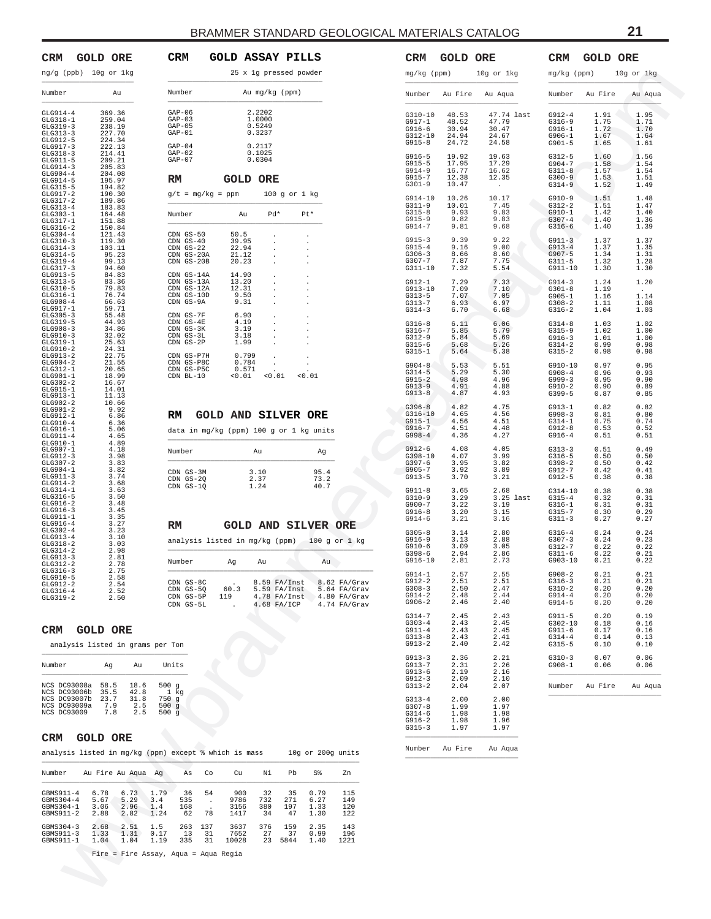<span id="page-20-0"></span>

| CRM                                                                                                                                                                                                                                                                                                                                                                                                                                                                                                                                                                                                                                                                                                                                                                                                                                                                                                                                                                                                                      |                     | <b>GOLD ORE</b> |                                                                                                                                                                                                                                                                                                                                                                                                                                                                                                                                                                                                                                                                                                                                                                               |         |
|--------------------------------------------------------------------------------------------------------------------------------------------------------------------------------------------------------------------------------------------------------------------------------------------------------------------------------------------------------------------------------------------------------------------------------------------------------------------------------------------------------------------------------------------------------------------------------------------------------------------------------------------------------------------------------------------------------------------------------------------------------------------------------------------------------------------------------------------------------------------------------------------------------------------------------------------------------------------------------------------------------------------------|---------------------|-----------------|-------------------------------------------------------------------------------------------------------------------------------------------------------------------------------------------------------------------------------------------------------------------------------------------------------------------------------------------------------------------------------------------------------------------------------------------------------------------------------------------------------------------------------------------------------------------------------------------------------------------------------------------------------------------------------------------------------------------------------------------------------------------------------|---------|
| ng/g (ppb)                                                                                                                                                                                                                                                                                                                                                                                                                                                                                                                                                                                                                                                                                                                                                                                                                                                                                                                                                                                                               |                     | 10g or 1kg      |                                                                                                                                                                                                                                                                                                                                                                                                                                                                                                                                                                                                                                                                                                                                                                               |         |
| Number                                                                                                                                                                                                                                                                                                                                                                                                                                                                                                                                                                                                                                                                                                                                                                                                                                                                                                                                                                                                                   |                     |                 | Au                                                                                                                                                                                                                                                                                                                                                                                                                                                                                                                                                                                                                                                                                                                                                                            |         |
| $\begin{array}{c} \texttt{GLG914-4}\\ \texttt{GLG318-1} \end{array}$<br>GLG319-<br>$GLG313-3$<br>GLG912-5<br>GLG917-3<br>GLG318-3<br>$GLG911-5$<br>$GLG914-3$<br>$GLG904-4$<br>$GLG914-5$<br>GLG315-5<br>GLG917-2<br>GLG317-2<br>GLG313-4<br>GLG303-1<br>GLG317-1<br>$GLG316-2$<br>$GLG304-4$<br>GLG310-3<br>GLG314-3<br>GLG314-5<br>GLG319-4<br>GLG319-4<br>GLG913-5<br>GLG313-5<br>GLG310-5<br>GLG316-1<br>GLG908-4<br>GLG917-1<br>GLG305-3<br>GLG319-5<br>GLG908-3<br>GLG910-3<br>$GLG319-1$<br>GLG910-2<br>GLG913-2<br>GLG904-<br>$GLG312-1$<br>$GLG901-1$<br>$GLG302-2$<br>GLG915-1<br>GLG913-1<br>GLG902-2<br>GLG901-2<br>$GLG912-1$<br>GLG910-4<br>GLG916-1<br>GLG911-4<br>GLG911-4<br>GLG907-1<br>GLG907-1<br>GLG912-3<br>GLG307-2<br>GLG904-1<br>GLG911-3<br>$GLG914-2$<br>$GLG314-1$<br>$GLG316-5$<br>$GLG916-2$<br>$GLG916-3$<br>GLG911-1<br>GLG916-4<br>GLG302-4<br>GLG913-4<br>$GLG318-2$<br>$GLG314-2$<br>GLG913-3<br>GLG913-3<br>GLG312-2<br>GLG316-3<br>$GLG910-5$<br>$GLG912-2$<br>GLG316-4<br>GLG319-2 | 3<br>$\overline{c}$ |                 | 369.36<br>259.04<br>238.19<br>227.70<br>$\frac{227}{227}$<br>$224.34$<br>$222.13$<br>$214.41$<br>209.<br>205.83<br>204.08<br>195.97<br>194.82<br>190.30<br>189.86<br>183.83<br>164.48<br>151.88<br>150.84<br>121.43<br>$119.30$<br>$103.11$<br>$95.23$<br>$99.13$<br>94.60<br>84.83<br>83.36<br>79.83<br>76.74<br>76.63<br>59.71<br>55.48<br>44.93<br>34.86<br>32.02<br>25.63<br>$\frac{24.31}{22.75}$<br>$\frac{21.55}{20.65}$<br>18.99<br>16.67<br>$\begin{bmatrix} 14.01 \\ 11.13 \\ 10.66 \end{bmatrix}$<br>9.92<br>6.86<br>6.36<br>5.06<br>4.65<br>4.89<br>$4.18$<br>$3.98$<br>$3.83$<br>$3.82$<br>$3.74$<br>3.68<br>$3.63$<br>$3.50$<br>$3.48$<br>$3.45$<br>3.35<br>3.35<br>3.27<br>3.23<br>3.10<br>3.03<br>2.98<br>2.75<br>2.75<br>2.54<br>2.54<br>$\frac{2.52}{2.50}$ | $^{21}$ |

|                                                                                    | 25 x 1g pressed powder                         |                                                                         |                          |                                                                      |
|------------------------------------------------------------------------------------|------------------------------------------------|-------------------------------------------------------------------------|--------------------------|----------------------------------------------------------------------|
| Number                                                                             |                                                | Au mg/kg (ppm)                                                          |                          |                                                                      |
| $GAP-06$<br>$GAP-03$<br>$GAP-05$<br>$GAP-01$                                       | 2.2202<br>1.0000<br>$0.5249$<br>$0.3237$       |                                                                         |                          |                                                                      |
| $GAP-04$<br>$GAP-02$<br>$GAP-07$                                                   | 0.2117<br>0.1025<br>0.0304                     |                                                                         |                          |                                                                      |
| RM                                                                                 | <b>GOLD ORE</b>                                |                                                                         |                          |                                                                      |
| $g/t = mg/kg = ppm$                                                                |                                                | 100 g or 1 kg                                                           |                          |                                                                      |
| Number                                                                             | Au                                             | Pd*                                                                     | Pt*                      |                                                                      |
| CDN GS-50<br>$CDN$ $GS-40$<br>$CDN$ $GS-22$<br>CDN GS-20A<br>CDN GS-20B            | 50.5<br>39.95<br>22.94<br>21.12<br>20.23       |                                                                         |                          |                                                                      |
| CDN GS-14A<br>$CDN$ $GS-13A$<br>CDN GS-12A<br>CDN GS-10D<br>CDN GS-9A              | 14.90<br>13.20<br>$\frac{12.31}{9.50}$<br>9.31 |                                                                         |                          |                                                                      |
| CDN GS-7F<br>$CDN$ $GS-4E$<br>CDN GS-3K<br>$CDN$ $GS-3L$<br>CDN GS-2P              | 6.90<br>4.19<br>3.19<br>$3.18$<br>$1.99$       |                                                                         |                          |                                                                      |
| CDN GS-P7H<br>CDN GS-P8C<br>CDN GS-P5C<br>$CDN$ BL-10                              | 0.799<br>0.784<br>0.571<br>< 0.01              | < 0.01                                                                  | < 0.01                   |                                                                      |
| <b>RM GOLD AND SILVER ORE</b><br>data in mg/kg (ppm) 100 g or 1 kg units<br>Number | Au                                             |                                                                         | Ag                       |                                                                      |
|                                                                                    |                                                |                                                                         |                          |                                                                      |
| CDN GS-3M<br>CDN GS-2Q<br>CDN GS-1Q                                                | 3.10<br>2.37<br>1.24                           |                                                                         | 95.4<br>$73.2$<br>$40.7$ |                                                                      |
| RM                                                                                 | <b>GOLD AND SILVER ORE</b>                     |                                                                         |                          |                                                                      |
| analysis listed in mg/kg (ppm)                                                     |                                                |                                                                         |                          | 100 g or 1 kg                                                        |
| Number                                                                             | Ag                                             | A11                                                                     | A11                      |                                                                      |
| CDN GS-8C<br>CDN GS-5Q<br>CDN GS-5P<br>CDN GS-5L                                   | 60.3<br>119                                    | 8.59 FA/Inst<br>$5.59$ $FA/Inst$<br>$4.78$ $FA/Inst$<br>$4.68$ $FA/ICP$ |                          | 8.62 FA/Grav<br>$5.64$ $FA/Grav$<br>4.80 FA/Grav<br>$4.74$ $FA/Graw$ |

analysis listed in grams per Ton

| Number                                                                             | Aα                                 | Au                                 | Units                                                        |
|------------------------------------------------------------------------------------|------------------------------------|------------------------------------|--------------------------------------------------------------|
| NCS DC93008a<br>NCS DC93006b<br>NCS DC93007b<br>NCS DC93009a<br><b>NCS DC93009</b> | 58.5<br>35.5<br>23.7<br>7.9<br>7.8 | 18.6<br>42.8<br>31.8<br>2.5<br>2.5 | 500 <sub>q</sub><br>$1$ $kq$<br>750q<br>500<br>a<br>500<br>a |

#### **CRM GOLD ORE**

| analysis listed in mg/kg (ppm)                                   |                              |                              |                            |                        |                 | except % which is mass      |                        |                        |                              | 10q or 200q units        |
|------------------------------------------------------------------|------------------------------|------------------------------|----------------------------|------------------------|-----------------|-----------------------------|------------------------|------------------------|------------------------------|--------------------------|
| Number                                                           | Au Fire Au Aqua              |                              | Αq                         | As                     | Co              | Cu                          | Νi                     | Рb                     | S%                           | Zn                       |
| $GRMS911 - 4$<br>$GRMS304 - 4$<br>$GRMS304 - 1$<br>$GRMS911 - 2$ | 6.78<br>5.67<br>3.06<br>2.88 | 6.73<br>5.29<br>2.96<br>2.82 | 1.79<br>3.4<br>1.4<br>1.24 | 36<br>535<br>168<br>62 | 54<br>78        | 900<br>9786<br>3156<br>1417 | 32<br>732<br>380<br>34 | 35<br>271<br>197<br>47 | 0.79<br>6.27<br>1.33<br>1.30 | 115<br>149<br>120<br>122 |
| $GRMS304 - 3$<br>$GRMS911 - 3$<br>GBMS911-1                      | 2.68<br>1.33<br>1.04         | 2.51<br>1.31<br>1.04         | 1.5<br>0.17<br>1.19        | 263<br>13<br>335       | 137<br>31<br>31 | 3637<br>7652<br>10028       | 376<br>27<br>23        | 159<br>37<br>5844      | 2.35<br>0.99<br>1.40         | 143<br>196<br>1221       |

| <b>GOLD ORE</b><br>(ppb) 10g or 1kg                                                                                                           | CRM<br>GOLD ASSAY PILLS<br>25 x 1g pressed powder                                                                                                                                                                                      | CRM<br><b>GOLD ORE</b><br>mg/kg (ppm)                                                                 | 10g or 1kg                                          | CRM                                                           | <b>GOLD ORE</b>                      | 10g or 1kg                             |
|-----------------------------------------------------------------------------------------------------------------------------------------------|----------------------------------------------------------------------------------------------------------------------------------------------------------------------------------------------------------------------------------------|-------------------------------------------------------------------------------------------------------|-----------------------------------------------------|---------------------------------------------------------------|--------------------------------------|----------------------------------------|
| Au<br>r                                                                                                                                       | Number<br>Au mg/kg (ppm)                                                                                                                                                                                                               | Number<br>Au Fire                                                                                     | Au Aqua                                             | mg/kg (ppm)                                                   | Number Au Fire                       | Au Aqua                                |
| 369.36<br>$-4-4$<br>.8-1<br>259.04<br>$-9 - 3$<br>238.19<br>227.70<br>$-3 - 3$<br>$2 - 5$<br>224.34                                           | $GAP-06$<br>2.2202<br>$GAP-03$<br>1.0000<br>$GAP-05$<br>0.5249<br>$GAP-01$<br>0.3237                                                                                                                                                   | G310-10<br>48.53<br>G917-1<br>48.52<br>$G916-6$<br>30.94<br>G312-10<br>24.94<br>$G915-8$<br>24.72     | 47.74 last<br>47.79<br>30.47<br>24.67<br>24.58      | $G912-4$<br>$G316-9$<br>$G916-1$<br>$G906 - 1$<br>$G901-5$    | 1.91<br>1.75<br>1.72<br>1.67<br>1.65 | 1.95<br>1.71<br>1.70<br>1.64<br>1.61   |
| $7 - 3$<br>222.13<br>$8 - 3$<br>214.41<br>$1 - 5$<br>209.21<br>$-4-3$<br>205.83<br>14-4<br>204.08<br>$-4 - 5$<br>195.97<br>$-5 - 5$<br>194.82 | $GAP-04$<br>0.2117<br>$GAP-02$<br>0.1025<br>$GAP-07$<br>0.0304<br>RM<br><b>GOLD ORE</b>                                                                                                                                                | G916-5<br>19.92<br>$G915-5$<br>17.95<br>$G914-9$<br>16.77<br>G915-7<br>12.38<br>$G301-9$<br>10.47     | 19.63<br>17.29<br>16.62<br>12.35<br><b>Contract</b> | $G312-5$<br>G904-7<br>$G311-8$<br>$G300-9$<br>$G314-9$        | 1.60<br>1.58<br>1.57<br>1.53<br>1.52 | 1.56<br>1.54<br>1.54<br>1.51<br>1.49   |
| $7 - 2$<br>190.30<br>$7 - 2$<br>189.86<br>$-3 - 4$<br>183.83<br>13-1<br>164.48<br>$7 - 1$<br>151.88<br>$-6 - 2$<br>150.84                     | $g/t = mg/kg = ppm$<br>100 g or 1 kg<br>$Pd*$<br>Pt*<br>Number<br>Au                                                                                                                                                                   | G914-10<br>10.26<br>$G311-9$<br>10.01<br>$G315-8$<br>9.93<br>$G915-9$<br>9.82<br>G914-7<br>9.81       | 10.17<br>7.45<br>9.83<br>9.83<br>9.68               | $G910-9$<br>$G312-2$<br>$G910-1$<br>$G307 - 4$<br>$G316-6$    | 1.51<br>1.51<br>1.42<br>1.40<br>1.40 | 1.48<br>1.47<br>1.40<br>1.36<br>1.39   |
| 14-4<br>121.43<br>119.30<br>$0 - 3$<br>$4 - 3$<br>103.11<br>$-4-5$<br>95.23<br>99.13<br>$-9 - 4$<br>$7 - 3$<br>94.60<br>$-3 - 5$<br>84.83     | CDN GS-50<br>50.5<br>$\sim$<br>$\cdot$<br>$CDN$ GS-40<br>39.95<br>$\cdot$<br>$CDN$ GS-22<br>22.94<br>$\cdot$<br>CDN GS-20A<br>21.12<br>$\cdot$<br>CDN GS-20B<br>20.23<br>$\sim$<br>$\cdot$<br>CDN GS-14A<br>14.90<br>$\sim$<br>$\cdot$ | $G915-3$<br>9.39<br>$G915-4$<br>9.16<br>$G306-3$<br>8.66<br>G307-7<br>7.87<br>G311-10<br>7.32         | 9.22<br>9.00<br>8.60<br>7.75<br>5.54                | $G911-3$<br>$G913-4$<br>$G907 - 5$<br>$G311-5$<br>$G911 - 10$ | 1.37<br>1.37<br>1.34<br>1.32<br>1.30 | 1.37<br>1.35<br>1.31<br>1.28<br>1.30   |
| $-3 - 5$<br>83.36<br>$.0 - 5$<br>79.83<br>$6 - 1$<br>76.74<br>$8 - 4$<br>66.63<br>.7-1<br>59.71<br>$15 - 3$<br>55.48                          | CDN GS-13A<br>13.20<br>$\sim$<br>CDN GS-12A<br>12.31<br>$\sim$<br>CDN GS-10D<br>9.50<br>CDN GS-9A<br>9.31<br>$\sim$<br>CDN GS-7F<br>6.90<br>$\sim$ $\sim$<br>$\cdot$                                                                   | $G912-1$<br>7.29<br>G913-10<br>7.09<br>$G313-5$<br>7.07<br>G313-7<br>6.93<br>$G314-3$<br>6.70         | 7.33<br>7.10<br>7.05<br>6.97<br>6.68                | $G914-3$<br>$G301-8$<br>$G905 - 1$<br>$G308-2$<br>$G316-2$    | 1.24<br>1.19<br>1.16<br>1.11<br>1.04 | 1.20<br>$\sim$<br>1.14<br>1.08<br>1.03 |
| $-9 - 5$<br>44.93<br>$18 - 3$<br>34.86<br>$0 - 3$<br>32.02<br>$-9 - 1$<br>25.63<br>$0 - 2$<br>24.31<br>$-3-2$<br>22.75                        | $CDN$ $GS-4E$<br>4.19<br>$\sim$ 100 $\mu$<br>$\sim$<br>CDN GS-3K<br>3.19<br>$\sim$<br>$\blacksquare$<br>$CDN$ $GS-3L$<br>3.18<br>$\sim$<br>$\blacksquare$<br>CDN GS-2P<br>1.99<br>$\sim$<br>CDN GS-P7H<br>0.799<br>$\sim$<br>$\cdot$   | $G316-8$<br>6.11<br>G316-7<br>5.85<br>$G312-9$<br>5.84<br>$G315-6$<br>5.68<br>$G315-1$<br>5.64        | 6.06<br>5.79<br>5.69<br>5.26<br>5.38                | $G314-8$<br>$G315-9$<br>$G916-3$<br>$G314-2$<br>$G315-2$      | 1.03<br>1.02<br>1.01<br>0.99<br>0.98 | 1.02<br>1.00<br>1.00<br>0.98<br>0.98   |
| 21.55<br>14-2<br>.2-1<br>20.65<br>1-1<br>18.99<br>$2 - 2$<br>16.67<br>$-5 - 1$<br>14.01<br>$-3 - 1$<br>11.13                                  | CDN GS-P8C<br>0.784<br>$\cdot$<br>$\sim$<br>CDN GS-P5C<br>0.571<br>< 0.01<br>< 0.01<br>CDN BL-10<br>< 0.01                                                                                                                             | $G904 - 8$<br>5.53<br>$G314-5$<br>5.29<br>$G915-2$<br>4.98<br>$G913-9$<br>4.91<br>$G913-8$<br>4.87    | - 2<br>5.51<br>5.30<br>4.96<br>4.88<br>4.93         | $G910-10$<br>$G908 - 4$<br>$G999-3$<br>$G910-2$<br>$G399-5$   | 0.97<br>0.96<br>0.95<br>0.90<br>0.87 | 0.95<br>0.93<br>0.90<br>0.89<br>0.85   |
| $2 - 2$<br>10.66<br>1-2<br>9.92<br>$2 - 1$<br>6.86<br>$0 - 4$<br>6.36<br>.6-1<br>5.06<br>$1 - 4$<br>4.65                                      | <b>GOLD AND SILVER ORE</b><br>RM<br>data in mg/kg (ppm) 100 g or 1 kg units                                                                                                                                                            | $G396 - 8$<br>4.82<br>$G316 - 10$<br>4.65<br>G915-1<br>4.56<br>$G916 - 7$<br>4.51<br>$G998-4$<br>4.36 | 4.75<br>4.56<br>4.51<br>4.48<br>4.27                | $G913-1$<br>$G998-3$<br>$G314-1$<br>$G912-8$<br>$G916-4$      | 0.82<br>0.81<br>0.75<br>0.53<br>0.51 | 0.82<br>0.80<br>0.74<br>0.52<br>0.51   |
| .0-1<br>4.89<br>17-1<br>4.18<br>$2 - 3$<br>3.98<br>$17 - 2$<br>3.83<br>14-1<br>3.82<br>$-1-3$<br>3.74                                         | Number<br>Au<br>Ag<br>3.10<br>95.4<br>CDN GS-3M<br>CDN GS-2Q<br>2.37<br>73.2                                                                                                                                                           | G912-6<br>4.08<br>G398-10<br>4.07<br>$G397-6$<br>3.95<br>$G905 - 7$<br>3.92<br>$G913-5$<br>3.70       | 4.05<br>3.99<br>3.82<br>3.89<br>3.21                | $G313-3$<br>$G316-5$<br>$G398-2$<br>$G912-7$<br>G912-5        | 0.51<br>0.50<br>0.50<br>0.42<br>0.38 | 0.49<br>0.50<br>0.42<br>0.41<br>0.38   |
| 3.68<br>.4-2<br>$-4 - 1$<br>3.63<br>$6 - 5$<br>3.50<br>.6-2<br>3.48<br>$6 - 3$<br>3.45<br>.1-1<br>3.35                                        | CDN GS-1Q<br>40.7<br>1.24                                                                                                                                                                                                              | $G911-8$<br>3.65<br>$G310-9$<br>3.29<br>G900-7<br>3.22<br>$G916-8$<br>3.20<br>$G914-6$<br>3.21        | 2.68<br>3.25 last<br>3.19<br>3.15<br>3.16           | $G314-10$<br>$G315 - 4$<br>$G316-1$<br>$G315 - 7$<br>$G311-3$ | 0.38<br>0.32<br>0.31<br>0.30<br>0.27 | 0.38<br>0.31<br>0.31<br>0.29<br>0.27   |
| $6 - 4$<br>3.27<br>$12 - 4$<br>3.23<br>$-3 - 4$<br>3.10<br>$8 - 2$<br>3.03<br>$-4-2$<br>2.98<br>$-3 - 3$<br>2.81<br>$2 - 2$<br>2.78           | RM<br><b>GOLD AND SILVER ORE</b><br>analysis listed in mg/kg (ppm) 100 g or 1 kg<br>Number<br>Αg<br>Au<br>Au                                                                                                                           | $G305-8$<br>3.14<br>G916-9<br>3.13<br>3.09<br>$G910-6$<br>G398-6<br>2.94<br>$G916 - 10$<br>2.81       | 2.80<br>2.88<br>3.05<br>2.86<br>2.73                | $G316 - 4$<br>$G307-3$<br>G312-7<br>$G311-6$<br>$G903 - 10$   | 0.24<br>0.24<br>0.22<br>0.22<br>0.21 | 0.24<br>0.23<br>0.22<br>0.21<br>0.22   |
| $6 - 3$<br>2.75<br>$0 - 5$<br>2.58<br>$2 - 2$<br>2.54<br>2.52<br>$6 - 4$<br>$-9 - 2$<br>2.50                                                  | CDN GS-8C<br>8.59 FA/Inst<br>8.62 FA/Grav<br>$CDN$ $GS-5Q$<br>60.3<br>$5.59$ $FA/Inst$<br>$5.64$ $FA/Grav$<br>CDN GS-5P<br>119<br>$4.80$ FA/Grav<br>$4.78$ $FA/Inst$<br>CDN GS-5L<br>4.68 FA/ICP<br>$4.74$ $FA/Grav$                   | $G914-1$<br>2.57<br>$G912-2$<br>2.51<br>$G308-3$<br>2.50<br>$G914-2$<br>2.48<br>$G906-2$<br>2.46      | 2.55<br>2.51<br>2.47<br>2.44<br>2.40                | $G908 - 2$<br>$G316-3$<br>$G310-2$<br>$G914-4$<br>$G914-5$    | 0.21<br>0.21<br>0.20<br>0.20<br>0.20 | 0.21<br>0.21<br>0.20<br>0.20<br>0.20   |
| <b>GOLD ORE</b><br>lysis listed in grams per Ton                                                                                              |                                                                                                                                                                                                                                        | $G314-7$<br>2.45<br>$G303-4$<br>2.43<br>$G911 - 4$<br>2.43<br>$G313-8$<br>2.43<br>$G913-2$<br>2.40    | 2.43<br>2.45<br>2.45<br>2.41<br>2.42                | $G911-5$<br>$G302 - 10$<br>$G911-6$<br>$G314-4$<br>$G315-5$   | 0.20<br>0.18<br>0.17<br>0.14<br>0.10 | 0.19<br>0.16<br>0.16<br>0.13<br>0.10   |
| Au<br>r<br>Ag<br>C93008a<br>58.5<br>18.6                                                                                                      | Units<br>500 $g$                                                                                                                                                                                                                       | $G913-3$<br>2.36<br>G913-7<br>2.31<br>$G913-6$<br>2.19<br>$G912-3$<br>2.09<br>$G313-2$<br>2.04        | 2.21<br>2.26<br>2.16<br>2.10<br>2.07                | $G310-3$<br>$G908 - 1$<br>Number                              | 0.07<br>0.06<br>Au Fire              | 0.06<br>0.06<br>Au Aqua                |
| C93006b<br>35.5<br>42.8<br>C93007b<br>23.7<br>31.8<br>C93009a<br>7.9<br>2.5<br>7.8<br>C93009<br>2.5                                           | 1 kg<br>750 g<br>500g<br>500g                                                                                                                                                                                                          | $G313-4$<br>2.00<br>$G307-8$<br>1.99<br>$G314-6$<br>1.98<br>$G916-2$<br>1.98<br>$G315-3$<br>1.97      | 2.00<br>1.97<br>1.98<br>1.96<br>1.97                |                                                               |                                      |                                        |
| <b>GOLD ORE</b>                                                                                                                               | 10g or 200g units<br>rsis listed in mg/kg (ppm) except % which is mass                                                                                                                                                                 | Number Au Fire                                                                                        | Au Aqua                                             |                                                               |                                      |                                        |
| Au Fire Au Aqua Ag<br>r.                                                                                                                      | Co<br>Νi<br>Pb<br>S%<br>Zn<br>As<br>Cu                                                                                                                                                                                                 |                                                                                                       |                                                     |                                                               |                                      |                                        |
| 11-4<br>6.78<br>6.73<br>1.79<br>$04 - 4$<br>5.29<br>3.4<br>5.67<br>$04 - 1$<br>3.06<br>2.96<br>1.4<br>$11 - 2$<br>1.24<br>2.88<br>2.82        | 900<br>115<br>54<br>32<br>35<br>0.79<br>36<br>535<br>9786<br>271<br>149<br>732<br>6.27<br>$\blacksquare$<br>3156<br>380<br>197<br>120<br>168<br>1.33<br>78<br>1.30<br>122<br>62<br>1417<br>34<br>47                                    |                                                                                                       |                                                     |                                                               |                                      |                                        |
| $04 - 3$<br>2.68<br>2.51<br>1.5<br>$11 - 3$<br>1.33<br>1.31<br>0.17<br>11-1<br>1.04<br>1.04<br>1.19                                           | 3637<br>376<br>159<br>2.35<br>263<br>137<br>143<br>13<br>31<br>7652<br>27<br>37<br>0.99<br>196<br>23 5844<br>335<br>31<br>10028<br>1.40<br>1221                                                                                        |                                                                                                       |                                                     |                                                               |                                      |                                        |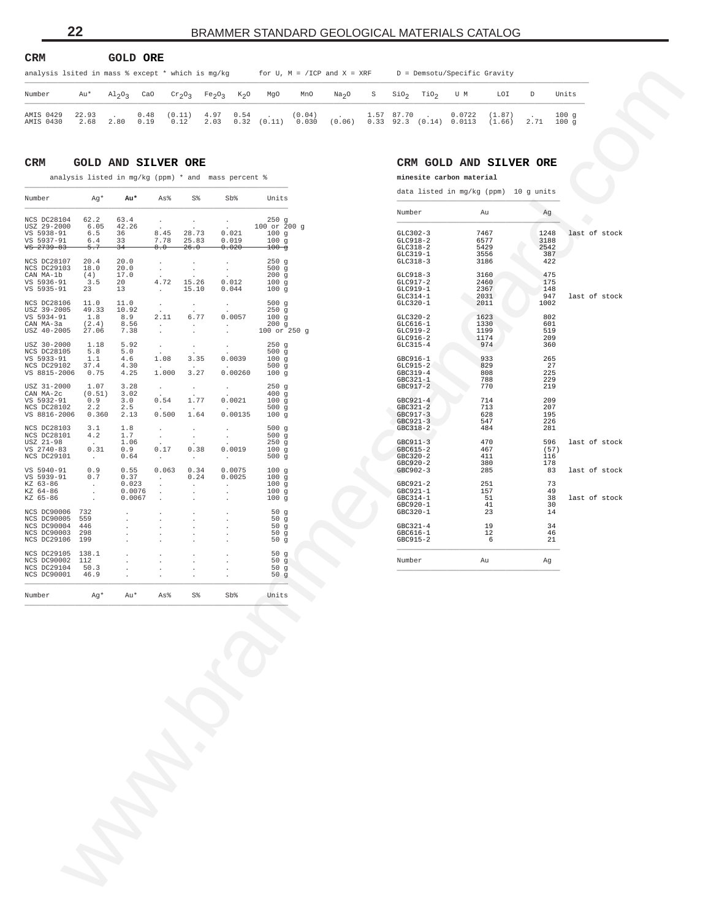<span id="page-21-0"></span>

| <b>CRM</b>                                                                                                              |               |                                | GOLD ORE     |                |                   |        |                 |                 |                   |   |            |                         |                                     |                  |      |                      |
|-------------------------------------------------------------------------------------------------------------------------|---------------|--------------------------------|--------------|----------------|-------------------|--------|-----------------|-----------------|-------------------|---|------------|-------------------------|-------------------------------------|------------------|------|----------------------|
| analysis lsited in mass % except * which is mg/kg<br>D = Demsotu/Specific Gravity<br>for $U$ , $M = /ICP$ and $X = XRF$ |               |                                |              |                |                   |        |                 |                 |                   |   |            |                         |                                     |                  |      |                      |
| Number                                                                                                                  | Au*           | Al <sub>2</sub> O <sub>2</sub> | CaO          | $Cr_2O_3$      | $Fe_2O_3$         | $K_2O$ | MgO             | MnO             | Na <sub>2</sub> O | S |            | $SiO2$ TiO <sub>2</sub> | U M                                 | LOI              |      | Units                |
| AMIS 0429<br>AMIS 0430                                                                                                  | 22.93<br>2.68 | 2.80                           | 0.48<br>0.19 | (0.11)<br>0.12 | 4.97 0.54<br>2.03 |        | $0.32$ $(0.11)$ | (0.04)<br>0.030 | (0.06)            |   | 1.57 87.70 | $\sim$                  | 0.0722<br>$0.33$ 92.3 (0.14) 0.0113 | (1.87)<br>(1.66) | 2.71 | 100q<br>$100 \sigma$ |

#### **CRM GOLD AND SILVER ORE**

analysis listed in mg/kg (ppm) \* and mass percent  $\frac{1}{2}$ 

| CaO<br>S<br>$\rm SiO_2$<br>TiO <sub>2</sub><br>U M<br>LOI<br>D<br>Units<br>Number<br>Au*<br>$Al_2O_3$<br>$\mathrm{cr}_2\mathrm{O}_3$<br>Fe <sub>2</sub> O <sub>3</sub><br>$K_2O$<br>MgO<br>MnO<br>Na <sub>2</sub> O<br>0.0722<br>100g<br>AMIS 0429<br>22.93<br>0.48<br>(0.11)<br>4.97<br>0.54<br>(0.04)<br>1.57<br>87.70<br>(1.87)<br>0.12<br>0.32<br>(0.11)<br>0.030<br>(0.06)<br>$0.33$ $92.3$ $(0.14)$ $0.0113$<br>100g<br>AMIS 0430<br>2.68<br>2.80<br>0.19<br>2.03<br>(1.66)<br>2.71<br>CRM<br><b>GOLD AND SILVER ORE</b><br>CRM GOLD AND SILVER ORE<br>analysis listed in mg/kg (ppm) * and mass percent %<br>minesite carbon material<br>data listed in mg/kg (ppm) 10 g units<br>Number<br>Ag*<br>Au*<br>As%<br>S%<br>Sb%<br>Units<br>Number<br>Au<br>Ag<br>250g<br>NCS DC28104<br>62.2<br>63.4<br>$\cdot$<br>$\cdot$<br>$\cdot$<br>USZ 29-2000<br>6.05<br>42.26<br>100 or 200 g<br>28.73<br>0.021<br>VS 5938-91<br>6.5<br>8.45<br>7467<br>1248<br>36<br>100g<br>$GLC302-3$<br>last of stock<br>VS 5937-91<br>7.78<br>25.83<br>0.019<br>$GLC918-2$<br>6577<br>6.4<br>33<br>100g<br>3188<br>$GLC318-2$<br>5429<br>2542<br>$78$ $2739 - 83$<br>5.7<br>8.0<br>26.0<br>0.020<br>$100 - g$<br>-34<br>387<br>$GLC319-1$<br>3556<br>NCS DC28107<br>20.4<br>20.0<br>250g<br>$GLC318-3$<br>3186<br>422<br>$\cdot$<br>$\cdot$<br>500g<br>NCS DC29103<br>18.0<br>20.0<br>$\cdot$<br>$\cdot$<br>475<br>17.0<br>CAN MA-1b<br>(4)<br>200g<br>$GLC918-3$<br>3160<br>175<br>4.72<br>15.26<br>0.012<br>GLC917-2<br>2460<br>VS 5936-91<br>3.5<br>20<br>100g<br>VS 5935-91<br>15.10<br>GLC919-1<br>2367<br>23<br>13<br>0.044<br>100 <sub>g</sub><br>148<br>$\cdot$<br>$GLC314-1$<br>2031<br>947<br>last of stock<br>500g<br>1002<br>NCS DC28106<br>11.0<br>11.0<br>$GLC320-1$<br>2011<br>$\cdot$<br>$\cdot$<br>$\cdot$<br>49.33<br>250g<br>USZ 39-2005<br>10.92<br>6.77<br>0.0057<br>802<br>VS 5934-91<br>1.8<br>8.9<br>1623<br>2.11<br>100g<br>$GLC320-2$<br>1330<br>601<br>CAN MA-3a<br>(2.4)<br>200g<br>$GLC616-1$<br>8.56<br>$\cdot$<br>$\cdot$<br>$\cdot$<br>GLC919-2<br>1199<br>519<br>USZ 40-2005<br>27.06<br>7.38<br>100 or 250 g<br>$\cdot$<br>$\ddot{\phantom{a}}$<br>1174<br>209<br>$GLC916-2$<br>USZ 30-2000<br>1.18<br>5.92<br>250g<br>$GLC315-4$<br>974<br>360<br>$\cdot$<br>$\cdot$<br>NCS DC28105<br>5.8<br>500g<br>5.0<br>0.0039<br>933<br>1.08<br>3.35<br>100g<br>265<br>VS 5933-91<br>1.1<br>4.6<br>GBC916-1<br>829<br>27<br>NCS DC29102<br>37.4<br>4.30<br>500g<br>$GLC915-2$<br>1.000<br>3.27<br>0.00260<br>225<br>808<br>VS 8815-2006<br>0.75<br>4.25<br>100 <sub>g</sub><br>GBC319-4<br>788<br>229<br>$GBC321-1$<br>1.07<br>3.28<br>250g<br>770<br>219<br>USZ 31-2000<br>GBC917-2<br>$\cdot$<br>$\bullet$<br>$\cdot$<br>400g<br>CAN MA-2c<br>(0.51)<br>3.02<br>1.77<br>0.0021<br>714<br>209<br>0.9<br>0.54<br>100g<br>VS 5932-91<br>3.0<br>GBC921-4<br>2.2<br>$GBC321-2$<br>713<br>207<br>NCS DC28102<br>2.5<br>500g<br>0.500<br>0.00135<br>GBC917-3<br>628<br>195<br>VS 8816-2006<br>0.360<br>2.13<br>1.64<br>100 <sub>g</sub><br>547<br>226<br>$GBC921-3$<br>3.1<br>500g<br>484<br>NCS DC28103<br>1.8<br>$GBC318-2$<br>281<br>$\cdot$<br>$\cdot$<br>1.7<br>NCS DC28101<br>4.2<br>500g<br>$\cdot$<br>$\cdot$<br>$\cdot$<br>470<br>596<br>USZ 21-98<br>1.06<br>250g<br>GBC911-3<br>last of stock<br>0.17<br>VS 2740-83<br>0.31<br>0.0019<br>467<br>(57)<br>0.9<br>0.38<br>100g<br>GBC615-2<br>411<br>116<br>NCS DC29101<br>0.64<br>500g<br>GBC320-2<br>$\sim$<br>$\cdot$<br>$\cdot$<br>$\cdot$<br>178<br>GBC920-2<br>380<br>0.9<br>0.55<br>0.063<br>0.34<br>0.0075<br>GBC902-3<br>285<br>VS 5940-91<br>100g<br>83<br>last of stock<br>0.7<br>0.37<br>0.0025<br>VS 5939-91<br>0.24<br>100g<br>$\cdot$<br>73<br>251<br>KZ 63-86<br>0.023<br>100 <sub>g</sub><br>GBC921-2<br>$\cdot$<br>$\cdot$<br>$\cdot$<br>157<br>49<br>KZ 64-86<br>0.0076<br>100g<br>GBC921-1 |
|----------------------------------------------------------------------------------------------------------------------------------------------------------------------------------------------------------------------------------------------------------------------------------------------------------------------------------------------------------------------------------------------------------------------------------------------------------------------------------------------------------------------------------------------------------------------------------------------------------------------------------------------------------------------------------------------------------------------------------------------------------------------------------------------------------------------------------------------------------------------------------------------------------------------------------------------------------------------------------------------------------------------------------------------------------------------------------------------------------------------------------------------------------------------------------------------------------------------------------------------------------------------------------------------------------------------------------------------------------------------------------------------------------------------------------------------------------------------------------------------------------------------------------------------------------------------------------------------------------------------------------------------------------------------------------------------------------------------------------------------------------------------------------------------------------------------------------------------------------------------------------------------------------------------------------------------------------------------------------------------------------------------------------------------------------------------------------------------------------------------------------------------------------------------------------------------------------------------------------------------------------------------------------------------------------------------------------------------------------------------------------------------------------------------------------------------------------------------------------------------------------------------------------------------------------------------------------------------------------------------------------------------------------------------------------------------------------------------------------------------------------------------------------------------------------------------------------------------------------------------------------------------------------------------------------------------------------------------------------------------------------------------------------------------------------------------------------------------------------------------------------------------------------------------------------------------------------------------------------------------------------------------------------------------------------------------------------------------------------------------------------------------------------------------------------------------------------------------------------------------------------------------------------------------------------------------------------------------------------------------------------------------------------------------------------------------------------------------------------------------------------------------------------------------------------------------------------------------------------------------------|
|                                                                                                                                                                                                                                                                                                                                                                                                                                                                                                                                                                                                                                                                                                                                                                                                                                                                                                                                                                                                                                                                                                                                                                                                                                                                                                                                                                                                                                                                                                                                                                                                                                                                                                                                                                                                                                                                                                                                                                                                                                                                                                                                                                                                                                                                                                                                                                                                                                                                                                                                                                                                                                                                                                                                                                                                                                                                                                                                                                                                                                                                                                                                                                                                                                                                                                                                                                                                                                                                                                                                                                                                                                                                                                                                                                                                                                                                            |
|                                                                                                                                                                                                                                                                                                                                                                                                                                                                                                                                                                                                                                                                                                                                                                                                                                                                                                                                                                                                                                                                                                                                                                                                                                                                                                                                                                                                                                                                                                                                                                                                                                                                                                                                                                                                                                                                                                                                                                                                                                                                                                                                                                                                                                                                                                                                                                                                                                                                                                                                                                                                                                                                                                                                                                                                                                                                                                                                                                                                                                                                                                                                                                                                                                                                                                                                                                                                                                                                                                                                                                                                                                                                                                                                                                                                                                                                            |
|                                                                                                                                                                                                                                                                                                                                                                                                                                                                                                                                                                                                                                                                                                                                                                                                                                                                                                                                                                                                                                                                                                                                                                                                                                                                                                                                                                                                                                                                                                                                                                                                                                                                                                                                                                                                                                                                                                                                                                                                                                                                                                                                                                                                                                                                                                                                                                                                                                                                                                                                                                                                                                                                                                                                                                                                                                                                                                                                                                                                                                                                                                                                                                                                                                                                                                                                                                                                                                                                                                                                                                                                                                                                                                                                                                                                                                                                            |
|                                                                                                                                                                                                                                                                                                                                                                                                                                                                                                                                                                                                                                                                                                                                                                                                                                                                                                                                                                                                                                                                                                                                                                                                                                                                                                                                                                                                                                                                                                                                                                                                                                                                                                                                                                                                                                                                                                                                                                                                                                                                                                                                                                                                                                                                                                                                                                                                                                                                                                                                                                                                                                                                                                                                                                                                                                                                                                                                                                                                                                                                                                                                                                                                                                                                                                                                                                                                                                                                                                                                                                                                                                                                                                                                                                                                                                                                            |
|                                                                                                                                                                                                                                                                                                                                                                                                                                                                                                                                                                                                                                                                                                                                                                                                                                                                                                                                                                                                                                                                                                                                                                                                                                                                                                                                                                                                                                                                                                                                                                                                                                                                                                                                                                                                                                                                                                                                                                                                                                                                                                                                                                                                                                                                                                                                                                                                                                                                                                                                                                                                                                                                                                                                                                                                                                                                                                                                                                                                                                                                                                                                                                                                                                                                                                                                                                                                                                                                                                                                                                                                                                                                                                                                                                                                                                                                            |
|                                                                                                                                                                                                                                                                                                                                                                                                                                                                                                                                                                                                                                                                                                                                                                                                                                                                                                                                                                                                                                                                                                                                                                                                                                                                                                                                                                                                                                                                                                                                                                                                                                                                                                                                                                                                                                                                                                                                                                                                                                                                                                                                                                                                                                                                                                                                                                                                                                                                                                                                                                                                                                                                                                                                                                                                                                                                                                                                                                                                                                                                                                                                                                                                                                                                                                                                                                                                                                                                                                                                                                                                                                                                                                                                                                                                                                                                            |
|                                                                                                                                                                                                                                                                                                                                                                                                                                                                                                                                                                                                                                                                                                                                                                                                                                                                                                                                                                                                                                                                                                                                                                                                                                                                                                                                                                                                                                                                                                                                                                                                                                                                                                                                                                                                                                                                                                                                                                                                                                                                                                                                                                                                                                                                                                                                                                                                                                                                                                                                                                                                                                                                                                                                                                                                                                                                                                                                                                                                                                                                                                                                                                                                                                                                                                                                                                                                                                                                                                                                                                                                                                                                                                                                                                                                                                                                            |
|                                                                                                                                                                                                                                                                                                                                                                                                                                                                                                                                                                                                                                                                                                                                                                                                                                                                                                                                                                                                                                                                                                                                                                                                                                                                                                                                                                                                                                                                                                                                                                                                                                                                                                                                                                                                                                                                                                                                                                                                                                                                                                                                                                                                                                                                                                                                                                                                                                                                                                                                                                                                                                                                                                                                                                                                                                                                                                                                                                                                                                                                                                                                                                                                                                                                                                                                                                                                                                                                                                                                                                                                                                                                                                                                                                                                                                                                            |
|                                                                                                                                                                                                                                                                                                                                                                                                                                                                                                                                                                                                                                                                                                                                                                                                                                                                                                                                                                                                                                                                                                                                                                                                                                                                                                                                                                                                                                                                                                                                                                                                                                                                                                                                                                                                                                                                                                                                                                                                                                                                                                                                                                                                                                                                                                                                                                                                                                                                                                                                                                                                                                                                                                                                                                                                                                                                                                                                                                                                                                                                                                                                                                                                                                                                                                                                                                                                                                                                                                                                                                                                                                                                                                                                                                                                                                                                            |
|                                                                                                                                                                                                                                                                                                                                                                                                                                                                                                                                                                                                                                                                                                                                                                                                                                                                                                                                                                                                                                                                                                                                                                                                                                                                                                                                                                                                                                                                                                                                                                                                                                                                                                                                                                                                                                                                                                                                                                                                                                                                                                                                                                                                                                                                                                                                                                                                                                                                                                                                                                                                                                                                                                                                                                                                                                                                                                                                                                                                                                                                                                                                                                                                                                                                                                                                                                                                                                                                                                                                                                                                                                                                                                                                                                                                                                                                            |
|                                                                                                                                                                                                                                                                                                                                                                                                                                                                                                                                                                                                                                                                                                                                                                                                                                                                                                                                                                                                                                                                                                                                                                                                                                                                                                                                                                                                                                                                                                                                                                                                                                                                                                                                                                                                                                                                                                                                                                                                                                                                                                                                                                                                                                                                                                                                                                                                                                                                                                                                                                                                                                                                                                                                                                                                                                                                                                                                                                                                                                                                                                                                                                                                                                                                                                                                                                                                                                                                                                                                                                                                                                                                                                                                                                                                                                                                            |
|                                                                                                                                                                                                                                                                                                                                                                                                                                                                                                                                                                                                                                                                                                                                                                                                                                                                                                                                                                                                                                                                                                                                                                                                                                                                                                                                                                                                                                                                                                                                                                                                                                                                                                                                                                                                                                                                                                                                                                                                                                                                                                                                                                                                                                                                                                                                                                                                                                                                                                                                                                                                                                                                                                                                                                                                                                                                                                                                                                                                                                                                                                                                                                                                                                                                                                                                                                                                                                                                                                                                                                                                                                                                                                                                                                                                                                                                            |
|                                                                                                                                                                                                                                                                                                                                                                                                                                                                                                                                                                                                                                                                                                                                                                                                                                                                                                                                                                                                                                                                                                                                                                                                                                                                                                                                                                                                                                                                                                                                                                                                                                                                                                                                                                                                                                                                                                                                                                                                                                                                                                                                                                                                                                                                                                                                                                                                                                                                                                                                                                                                                                                                                                                                                                                                                                                                                                                                                                                                                                                                                                                                                                                                                                                                                                                                                                                                                                                                                                                                                                                                                                                                                                                                                                                                                                                                            |
| $\cdot$<br>$\cdot$<br>38<br>KZ 65-86<br>0.0067<br>100g<br>GBC314-1<br>51<br>last of stock<br>$\cdot$<br>$\cdot$<br>41<br>30<br>GBC920-1<br>23<br>NCS DC90006<br>732<br>50g<br>GBC320-1<br>14                                                                                                                                                                                                                                                                                                                                                                                                                                                                                                                                                                                                                                                                                                                                                                                                                                                                                                                                                                                                                                                                                                                                                                                                                                                                                                                                                                                                                                                                                                                                                                                                                                                                                                                                                                                                                                                                                                                                                                                                                                                                                                                                                                                                                                                                                                                                                                                                                                                                                                                                                                                                                                                                                                                                                                                                                                                                                                                                                                                                                                                                                                                                                                                                                                                                                                                                                                                                                                                                                                                                                                                                                                                                               |
| NCS DC90005<br>559<br>50 g<br>34<br>50<br>19<br>NCS DC90004<br>446<br>$GBC321-4$<br>g<br>NCS DC90003<br>298<br>50 g<br>GBC616-1<br>12<br>46<br>21<br>NCS DC29106<br>199<br>50g<br>GBC915-2<br>6                                                                                                                                                                                                                                                                                                                                                                                                                                                                                                                                                                                                                                                                                                                                                                                                                                                                                                                                                                                                                                                                                                                                                                                                                                                                                                                                                                                                                                                                                                                                                                                                                                                                                                                                                                                                                                                                                                                                                                                                                                                                                                                                                                                                                                                                                                                                                                                                                                                                                                                                                                                                                                                                                                                                                                                                                                                                                                                                                                                                                                                                                                                                                                                                                                                                                                                                                                                                                                                                                                                                                                                                                                                                            |
| 50g<br>NCS DC29105<br>138.1<br>NCS DC90002<br>112<br>50g<br>Number<br>Au<br>Ag<br>NCS DC29104<br>50.3<br>50g<br>NCS DC90001<br>46.9<br>50g                                                                                                                                                                                                                                                                                                                                                                                                                                                                                                                                                                                                                                                                                                                                                                                                                                                                                                                                                                                                                                                                                                                                                                                                                                                                                                                                                                                                                                                                                                                                                                                                                                                                                                                                                                                                                                                                                                                                                                                                                                                                                                                                                                                                                                                                                                                                                                                                                                                                                                                                                                                                                                                                                                                                                                                                                                                                                                                                                                                                                                                                                                                                                                                                                                                                                                                                                                                                                                                                                                                                                                                                                                                                                                                                 |
| S <sup>8</sup><br>$Sb$ %<br>Units<br>Number<br>Ag*<br>Au*<br>As%                                                                                                                                                                                                                                                                                                                                                                                                                                                                                                                                                                                                                                                                                                                                                                                                                                                                                                                                                                                                                                                                                                                                                                                                                                                                                                                                                                                                                                                                                                                                                                                                                                                                                                                                                                                                                                                                                                                                                                                                                                                                                                                                                                                                                                                                                                                                                                                                                                                                                                                                                                                                                                                                                                                                                                                                                                                                                                                                                                                                                                                                                                                                                                                                                                                                                                                                                                                                                                                                                                                                                                                                                                                                                                                                                                                                           |

#### **CRM GOLD AND SILVER ORE**

#### **minesite carbon material**

| Number                                                             | Au                                   | Ag                                 |                                |  |
|--------------------------------------------------------------------|--------------------------------------|------------------------------------|--------------------------------|--|
| $GLC302-3$<br>$GLC918-2$<br>$GLC318-2$<br>$GLC319-1$<br>$GLC318-3$ | 7467<br>6577<br>5429<br>3556<br>3186 | 1248<br>3188<br>2542<br>387<br>422 | last of stock                  |  |
| $GLC918-3$<br>$GLC917-2$<br>$GLC919-1$<br>$GLC314-1$<br>GLC320-1   | 3160<br>2460<br>2367<br>2031<br>2011 | 475<br>175<br>148<br>947<br>1002   | last of stock                  |  |
| $GLC320-2$<br>$GLC616-1$<br>GLC919-2<br>$GLC916-2$<br>$GLC315-4$   | 1623<br>1330<br>1199<br>1174<br>974  | 802<br>601<br>519<br>209<br>360    |                                |  |
| GBC916-1<br>$GLC915-2$<br>GBC319-4<br>$GBC321-1$<br>GBC917-2       | 933<br>829<br>808<br>788<br>770      | 265<br>27<br>225<br>229<br>219     |                                |  |
| GBC921-4<br>GBC321-2<br>GBC917-3<br>$GBC921-3$<br>$GBC318-2$       | 714<br>713<br>628<br>547<br>484      | 209<br>207<br>195<br>226<br>281    |                                |  |
| GBC911-3<br>$GBC615-2$<br>$GBC320-2$<br>GBC920-2<br>GBC902-3       | 470<br>467<br>411<br>380<br>285      | 596<br>(57)<br>116<br>178<br>83    | last of stock<br>last of stock |  |
| GBC921-2<br>GBC921-1<br>GBC314-1<br>GBC920-1<br>GBC320-1           | 251<br>157<br>51<br>41<br>23         | 73<br>49<br>38<br>30<br>14         | last of stock                  |  |
| $GBC321-4$<br>GBC616-1<br>GBC915-2                                 | 19<br>12<br>6                        | 34<br>46<br>21                     |                                |  |
| Number                                                             | Au                                   | Άq                                 |                                |  |
|                                                                    |                                      |                                    |                                |  |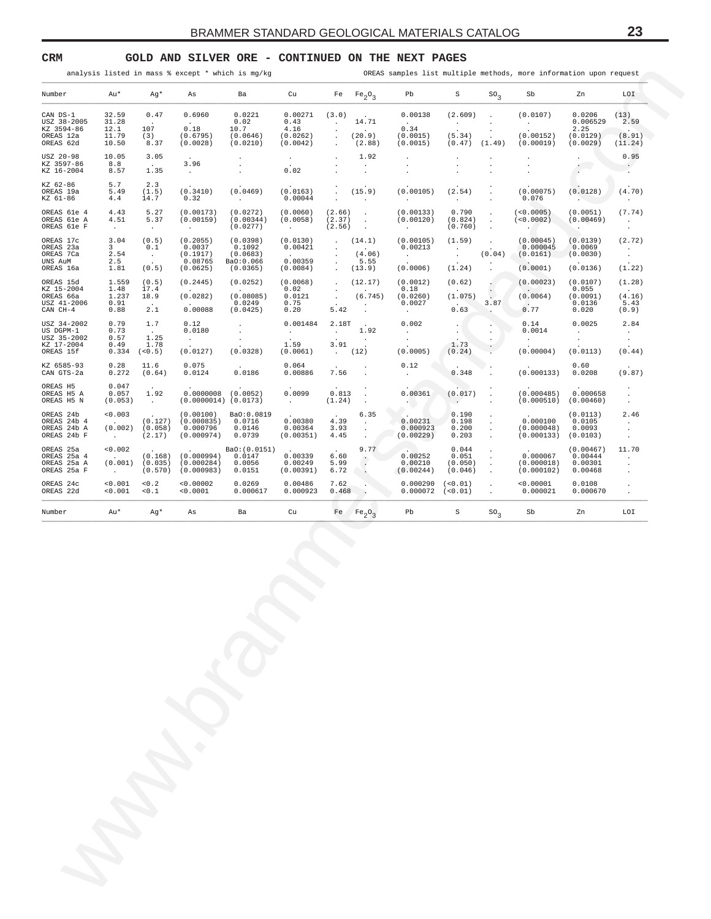<span id="page-22-0"></span>**CRM GOLD AND SILVER ORE - CONTINUED ON THE NEXT PAGES**

| Au*<br>Number<br>32.59<br>CAN DS-1<br>31.28<br>USZ 38-2005<br>KZ 3594-86<br>12.1<br>11.79<br>OREAS 12a<br>OREAS 62d<br>10.50<br>10.05<br>8.8<br>0.49             | 107<br>8.57<br>5.7<br>5.49<br>4.4<br>4.43<br>4.51<br><b>Contract</b><br>3.04<br>$3^{\circ}$<br>2.54<br>2.5<br>1.81<br>1.559<br>1.48<br>1.237<br>0.91<br>0.88<br>0.79<br>0.73<br>0.57 | Ag*<br>0.47<br>$\sim$<br>(3)<br>8.37<br>3.05<br><b>Contract</b><br>1.35<br>2.3<br>(1.5)<br>14.7<br>5.27<br>5.37<br>$\sim 100$<br>(0.5)<br>0.1<br>$\sim 100$<br>(0.5)<br>(0.5)<br>17.4<br>18.9<br>$\sim$<br>2.1 | As<br>0.6960<br>0.18<br>(0.6795)<br>(0.0028)<br>3.96<br><b>Contract</b><br>(0.3410)<br>0.32<br>(0.00173)<br>(0.00159)<br>$\sim$ $\sim$<br>(0.2055)<br>0.0037<br>(0.1917)<br>0.08765<br>(0.0625) | Ba<br>0.0221<br>0.02<br>10.7<br>(0.0646)<br>(0.0210)<br>$\sim$<br>$\sim$<br>(0.0469)<br><b>Contract Contract</b><br>(0.0272)<br>(0.00344)<br>(0.0277)<br>(0.0398)<br>0.1092<br>(0.0683) | Cu<br>0.00271<br>0.43<br>4.16<br>(0.0262)<br>(0.0042)<br>$\sim$<br>0.02<br>(0.0163)<br>0.00044<br>(0.0060)<br>(0.0058)<br><b>Contract Contract</b><br>(0.0130) | (3.0)<br>$\sim$<br>$\cdot$<br>$\cdot$<br>$\sim$<br>$\cdot$<br>$\mathcal{L}_{\mathcal{A}}$<br>(2.66)<br>(2.37)<br>(2.56) | Fe $Fe_2O_3$<br>14.71<br>$\sim 100$ km s $^{-1}$<br>(20.9)<br>(2.88)<br>1.92<br>$\sim$<br>$\sim$<br>(15.9)<br>$\sim 10^{-1}$<br>$\sim 10$<br>$\sim$ | Pb<br>0.00138<br><b>Contract Contract Contract</b><br>0.34<br>(0.0015)<br>(0.0015)<br>$\cdot$<br>$\cdot$<br>(0.00105)<br><b>Contract Contract</b><br>(0.00133) | S<br>(2.609)<br>$\sim$ $-$<br>(5.34)<br>$(0.47)$ $(1.49)$<br>$\cdot$<br>$\cdot$<br>(2.54)<br><b>Contractor</b><br>0.790 | SO <sub>3</sub><br>$\sim 10$<br>$\cdot$<br>$\cdot$<br>$\cdot$<br>$\cdot$<br>$\cdot$<br>$\sim$<br>$\sim$ | Sb<br>(0.0107)<br>$\sim 10^{-11}$<br>(0.00152)<br>(0.00019)<br>$\cdot$<br>(0.00075)<br>0.076 | Zn<br>0.0206<br>0.006529<br>2.25<br>(0.0129)<br>(0.0029)<br>$\cdot$<br>$\sim$<br>(0.0128)<br><b>Contract Contract</b> | LOI<br>(13)<br>2.59<br>(8.91)<br>(11.24)<br>0.95<br>$\sim$ $\sim$<br>(4.70)<br>$\sim$ $\sim$ |
|------------------------------------------------------------------------------------------------------------------------------------------------------------------|--------------------------------------------------------------------------------------------------------------------------------------------------------------------------------------|----------------------------------------------------------------------------------------------------------------------------------------------------------------------------------------------------------------|-------------------------------------------------------------------------------------------------------------------------------------------------------------------------------------------------|-----------------------------------------------------------------------------------------------------------------------------------------------------------------------------------------|----------------------------------------------------------------------------------------------------------------------------------------------------------------|-------------------------------------------------------------------------------------------------------------------------|-----------------------------------------------------------------------------------------------------------------------------------------------------|----------------------------------------------------------------------------------------------------------------------------------------------------------------|-------------------------------------------------------------------------------------------------------------------------|---------------------------------------------------------------------------------------------------------|----------------------------------------------------------------------------------------------|-----------------------------------------------------------------------------------------------------------------------|----------------------------------------------------------------------------------------------|
|                                                                                                                                                                  |                                                                                                                                                                                      |                                                                                                                                                                                                                |                                                                                                                                                                                                 |                                                                                                                                                                                         |                                                                                                                                                                |                                                                                                                         |                                                                                                                                                     |                                                                                                                                                                |                                                                                                                         |                                                                                                         |                                                                                              |                                                                                                                       |                                                                                              |
|                                                                                                                                                                  |                                                                                                                                                                                      |                                                                                                                                                                                                                |                                                                                                                                                                                                 |                                                                                                                                                                                         |                                                                                                                                                                |                                                                                                                         |                                                                                                                                                     |                                                                                                                                                                |                                                                                                                         |                                                                                                         |                                                                                              |                                                                                                                       |                                                                                              |
| USZ 20-98<br>KZ 3597-86<br>KZ 16-2004<br>KZ 62-86<br>OREAS 19a<br>KZ 61-86                                                                                       |                                                                                                                                                                                      |                                                                                                                                                                                                                |                                                                                                                                                                                                 |                                                                                                                                                                                         |                                                                                                                                                                |                                                                                                                         |                                                                                                                                                     |                                                                                                                                                                |                                                                                                                         |                                                                                                         |                                                                                              |                                                                                                                       |                                                                                              |
|                                                                                                                                                                  |                                                                                                                                                                                      |                                                                                                                                                                                                                |                                                                                                                                                                                                 |                                                                                                                                                                                         |                                                                                                                                                                |                                                                                                                         |                                                                                                                                                     |                                                                                                                                                                |                                                                                                                         |                                                                                                         |                                                                                              |                                                                                                                       |                                                                                              |
| OREAS 61e 4<br>OREAS 61e A<br>OREAS 61e F                                                                                                                        |                                                                                                                                                                                      |                                                                                                                                                                                                                |                                                                                                                                                                                                 |                                                                                                                                                                                         |                                                                                                                                                                |                                                                                                                         |                                                                                                                                                     |                                                                                                                                                                |                                                                                                                         |                                                                                                         |                                                                                              |                                                                                                                       |                                                                                              |
| OREAS 17c<br>OREAS 23a<br>OREAS 7Ca<br>UNS AuM                                                                                                                   |                                                                                                                                                                                      |                                                                                                                                                                                                                |                                                                                                                                                                                                 |                                                                                                                                                                                         |                                                                                                                                                                |                                                                                                                         | $\sim 10$                                                                                                                                           | (0.00120)<br><b>Contract Contract</b>                                                                                                                          | (0.824)<br>(0.760)                                                                                                      | $\sim$<br>$\sim$<br>$\ddot{\phantom{0}}$                                                                | (<0.0005)<br>(<0.0002)<br>$\sim$                                                             | (0.0051)<br>(0.00469)<br><b>Contract</b>                                                                              | (7.74)<br>$\sim 100$<br>$\sim$ $-$                                                           |
| OREAS 16a<br>OREAS 15d                                                                                                                                           |                                                                                                                                                                                      |                                                                                                                                                                                                                |                                                                                                                                                                                                 | Ba0:0.066                                                                                                                                                                               | 0.00421<br><b>Carl Corporation</b><br>0.00359                                                                                                                  | $\sim$<br>$\cdot$<br>$\sim$                                                                                             | (14.1)<br>$\sim$<br>(4.06)<br>5.55                                                                                                                  | (0.00105)<br>0.00213<br><b>Contractor</b>                                                                                                                      | (1.59)<br>$\sim$ 100 $\pm$<br>$\sim$                                                                                    | $\sim$<br>(0.04)<br>$\sim$                                                                              | (0.00045)<br>0.000045<br>(0.0161)                                                            | (0.0139)<br>0.0069<br>(0.0030)                                                                                        | (2.72)<br>$\sim 100$ km s $^{-1}$<br>$\sim 10^{-11}$                                         |
| KZ 15-2004<br>OREAS 66a<br>USZ 41-2006<br>CAN CH-4<br>USZ 34-2002<br>US DGPM-1<br>USZ 35-2002<br>KZ 17-2004<br>OREAS 15f<br>KZ 6585-93<br>CAN GTS-2a<br>OREAS H5 |                                                                                                                                                                                      |                                                                                                                                                                                                                |                                                                                                                                                                                                 | (0.0365)<br>(0.0252)                                                                                                                                                                    | (0.0084)<br>(0.0068)                                                                                                                                           | $\sim$                                                                                                                  | (13.9)<br>(12.17)                                                                                                                                   | (0.0006)<br>(0.0012)                                                                                                                                           | (1.24)<br>(0.62)                                                                                                        | $\sim$                                                                                                  | (0.0001)<br>(0.00023)                                                                        | (0.0136)<br>(0.0107)                                                                                                  | (1.22)<br>(1.28)                                                                             |
|                                                                                                                                                                  |                                                                                                                                                                                      |                                                                                                                                                                                                                | (0.2445)<br>(0.0282)<br>0.00088                                                                                                                                                                 | (0.08085)<br>0.0249<br>(0.0425)                                                                                                                                                         | 0.02<br>0.0121<br>0.75<br>0.20                                                                                                                                 | $\sim$ $-$<br>$\sim$<br>$\sim$<br>5.42                                                                                  | (6.745)<br>$\sim$ $-$<br>$\sim$ $\sim$                                                                                                              | 0.18<br>(0.0260)<br>0.0027<br><b>Contract Contract</b>                                                                                                         | (1.075)<br><b>Contract</b><br>0.63                                                                                      | $\left\langle \cdot \right\rangle$<br>3.87<br>$\mathcal{L}_{\mathcal{D}}$                               | (0.0064)<br>$\sim$<br>0.77                                                                   | 0.055<br>(0.0091)<br>0.0136<br>0.020                                                                                  | (4.16)<br>5.43<br>(0.9)                                                                      |
|                                                                                                                                                                  |                                                                                                                                                                                      | 1.7<br><b>Contract</b><br>1.25                                                                                                                                                                                 | 0.12<br>0.0180<br>$\sim 10^{-10}$ km s $^{-1}$                                                                                                                                                  | $\sim$<br>$\sim$<br>$\sim$                                                                                                                                                              | 0.001484<br>$\sim 10^{-10}$ m $^{-1}$                                                                                                                          | 2.18T<br>$\sim 100$ km s $^{-1}$                                                                                        | $\sim 10^{-11}$<br>1.92<br>$\sim$ $-$                                                                                                               | 0.002<br>$\sim 10^{-10}$<br>$\sim$                                                                                                                             | $\sim$ $-$<br>$\cdot$ $\backslash$                                                                                      | $\cdot$<br>$\bullet$<br>$\cdot$                                                                         | 0.14<br>0.0014<br><b>Contract</b>                                                            | 0.0025<br><b>Service</b><br>$\sim$                                                                                    | 2.84<br>$\sim 10^{-1}$<br>$\sim$                                                             |
|                                                                                                                                                                  | 0.334                                                                                                                                                                                | 1.78<br>(< 0.5)                                                                                                                                                                                                | (0.0127)                                                                                                                                                                                        | (0.0328)                                                                                                                                                                                | 1.59<br>(0.0061)                                                                                                                                               | 3.91                                                                                                                    | (12)                                                                                                                                                | (0.0005)                                                                                                                                                       | 1.73<br>(0.24)                                                                                                          |                                                                                                         | (0.00004)                                                                                    | (0.0113)                                                                                                              | (0.44)                                                                                       |
|                                                                                                                                                                  | 0.28<br>0.272                                                                                                                                                                        | 11.6<br>(0.64)                                                                                                                                                                                                 | 0.075<br>0.0124                                                                                                                                                                                 | 0.0186                                                                                                                                                                                  | 0.064<br>0.00886                                                                                                                                               | 7.56                                                                                                                    | $\blacksquare$<br>$\ddot{\phantom{a}}$                                                                                                              | 0.12<br>$\sim$ $-$                                                                                                                                             | 0.348                                                                                                                   |                                                                                                         | (0.000133)                                                                                   | 0.60<br>0.0208                                                                                                        | (9.87)                                                                                       |
| OREAS H5 A<br>OREAS H5 N                                                                                                                                         | 0.047<br>0.057<br>(0.053)                                                                                                                                                            | 1.92<br>$\sim 100$ km s $^{-1}$                                                                                                                                                                                | $0.0000008$ (0.0052)<br>$(0.0000014)$ $(0.0173)$                                                                                                                                                |                                                                                                                                                                                         | 0.0099<br><b>Carl Corporation</b>                                                                                                                              | 0.813<br>(1.24)                                                                                                         | $\sim$<br>$\sim$                                                                                                                                    | 0.00361<br><b>Service</b>                                                                                                                                      | (0.017)<br><b>Contract</b>                                                                                              | $\cdot$<br>$\Box$<br>$\cdot$                                                                            | (0.000485)<br>(0.000510)                                                                     | 0.000658<br>(0.00460)                                                                                                 | $\sim$<br>$\sim$<br>$\sim$                                                                   |
| OREAS 24b<br>OREAS 24b 4<br>OREAS 24b A<br>OREAS 24b F                                                                                                           | < 0.003<br><b>Contractor</b><br>(0.002)<br><b>Contractor</b>                                                                                                                         | (0.127)<br>(0.058)<br>(2.17)                                                                                                                                                                                   | (0.00100)<br>(0.000835)<br>0.000796<br>(0.000974)                                                                                                                                               | BaO:0.0819<br>0.0716<br>0.0146<br>0.0739                                                                                                                                                | 0.00380<br>0.00364<br>(0.00351)                                                                                                                                | 4.39<br>3.93<br>4.45                                                                                                    | 6.35<br>$\sim 100$ km s $^{-1}$<br>$\sim$<br>$\sim$ $-$                                                                                             | 0.00231<br>0.000923<br>(0.00229)                                                                                                                               | 0.190<br>0.198<br>0.200<br>0.203                                                                                        | $\cdot$<br>$\sim$<br>$\sim$<br>$\sim$                                                                   | 0.000100<br>(0.000048)<br>(0.000133)                                                         | (0.0113)<br>0.0105<br>0.0093<br>(0.0103)                                                                              | 2.46<br>$\sim$ $-$<br>$\sim$<br>$\sim$                                                       |
| OREAS 25a<br>OREAS 25a 4<br>OREAS 25a A<br>OREAS 25a F                                                                                                           | < 0.002<br><b>Contractor</b><br>(0.001)<br><b>Contractor</b>                                                                                                                         | (0.168)<br>(0.035)<br>(0.570)                                                                                                                                                                                  | (0.000994)<br>(0.000284)<br>(0.000983)                                                                                                                                                          | BaO: (0.0151)<br>0.0147<br>0.0056<br>0.0151                                                                                                                                             | 0.00339<br>0.00249<br>(0.00391)                                                                                                                                | 6.60<br>5.99<br>6.72                                                                                                    | 9.77<br>$\cdot$ .<br>$\sim$<br>$\sim$                                                                                                               | 0.00252<br>0.00210<br>(0.00244)                                                                                                                                | 0.044<br>0.051<br>(0.050)<br>(0.046)                                                                                    | $\sim$<br>$\sim$<br>$\sim$<br>$\sim$                                                                    | 0.000067<br>(0.000018)<br>(0.000102)                                                         | (0.00467)<br>0.00444<br>0.00301<br>0.00468                                                                            | 11.70<br>$\sim$<br>$\cdot$<br>$\cdot$                                                        |
| OREAS 24c<br>OREAS 22d                                                                                                                                           | < 0.001<br>< 0.001                                                                                                                                                                   | $<0.2$<br>0.1                                                                                                                                                                                                  | < 0.00002<br>< 0.0001                                                                                                                                                                           | 0.0269<br>0.000617                                                                                                                                                                      | 0.00486<br>0.000923                                                                                                                                            | 7.62<br>0.468                                                                                                           | $\sim$ $\sim$                                                                                                                                       | 0.000290<br>0.000072                                                                                                                                           | (< 0.01)<br>(< 0.01)                                                                                                    | $\sim$<br>$\sim$                                                                                        | < 0.00001<br>0.000021                                                                        | 0.0108<br>0.000670                                                                                                    | $\sim$<br>$\cdot$                                                                            |
| Au*<br>Number                                                                                                                                                    |                                                                                                                                                                                      | Ag*                                                                                                                                                                                                            | As                                                                                                                                                                                              | Ba                                                                                                                                                                                      | Cu                                                                                                                                                             |                                                                                                                         | Fe $Fe_2O_3$                                                                                                                                        | Pb                                                                                                                                                             | S                                                                                                                       | $SO_{2}$                                                                                                | Sb                                                                                           | Zn                                                                                                                    | LOI                                                                                          |
|                                                                                                                                                                  |                                                                                                                                                                                      |                                                                                                                                                                                                                |                                                                                                                                                                                                 |                                                                                                                                                                                         |                                                                                                                                                                |                                                                                                                         |                                                                                                                                                     |                                                                                                                                                                |                                                                                                                         |                                                                                                         |                                                                                              |                                                                                                                       |                                                                                              |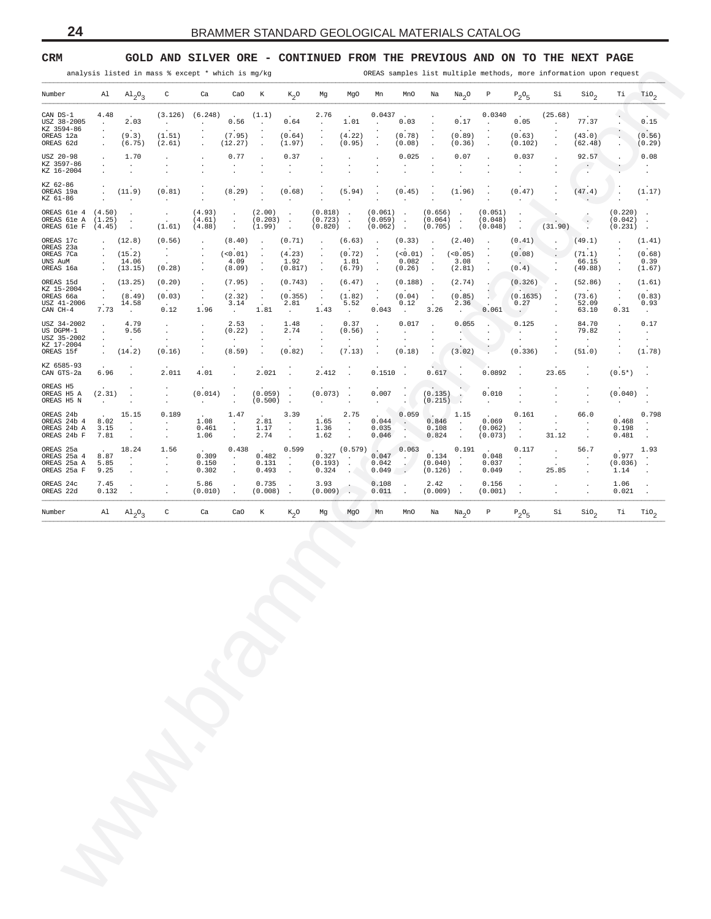## <span id="page-23-0"></span>**CRM GOLD AND SILVER ORE - CONTINUED FROM THE PREVIOUS AND ON TO THE NEXT PAGE**

| Number<br>CAN DS-1<br>USZ 38-2005<br>KZ 3594-86                |                                      | $\mathop{\rm Al}$ $\mathop{\rm Al}$ <sub>2</sub> $\mathop{\rm Q}$ <sub>3</sub> |                                                                |                               |                                              |                                                        |                                                  |                                           |                                                            |                                           |                                 |                                                 |                                   |                                       |                                              |                         |                                     |                                           |                            |
|----------------------------------------------------------------|--------------------------------------|--------------------------------------------------------------------------------|----------------------------------------------------------------|-------------------------------|----------------------------------------------|--------------------------------------------------------|--------------------------------------------------|-------------------------------------------|------------------------------------------------------------|-------------------------------------------|---------------------------------|-------------------------------------------------|-----------------------------------|---------------------------------------|----------------------------------------------|-------------------------|-------------------------------------|-------------------------------------------|----------------------------|
|                                                                |                                      |                                                                                | $\mathsf{C}$                                                   | Ca                            | CaO                                          | K                                                      | $K_2O$                                           | Mg                                        | MgO                                                        | Mn                                        | MnO                             | Na                                              | Na <sub>2</sub> O                 | $\mathbb{P}$                          | $P_2O_5$                                     | Si                      | SiO <sub>2</sub>                    | Ti                                        | $\text{rio}_2$             |
|                                                                | 4.48<br>$\sim$                       | 2.03                                                                           | <b>Contract</b>                                                | $(3.126)$ $(6.248)$<br>$\sim$ | $\sim 10^{-10}$<br>0.56                      | (1.1)<br>$\sim$ 100 $\pm$                              | 0.64                                             | 2.76<br>$\sim$                            | <b>Contract</b><br>1.01                                    | $0.0437$ .<br>$\sim 10^{-1}$              | 0.03                            |                                                 | $\sim$<br>0.17                    | 0.0340<br>$\sim 10^{-1}$              | <b>Contractor</b><br>0.05                    | (25.68)<br>$\sim$       | 77.37                               |                                           | 0.15                       |
| OREAS 12a<br>OREAS 62d                                         | $\cdot$<br>$\blacksquare$<br>$\cdot$ | $\sim 10^{-11}$<br>(9.3)<br>(6.75)                                             | $\ddot{\phantom{a}}$<br>(1.51)<br>(2.61)                       | $\cdot$                       | (7.95)<br>(12.27)                            | $\cdot$<br>$\cdot$<br>$\blacksquare$ .                 | $\sim$ $-$<br>(0.64)<br>(1.97)                   | $\ddot{\phantom{a}}$<br>$\cdot$           | $\sim$<br>(4.22)<br>(0.95)                                 | $\cdot$<br>$\cdot$<br>$\cdot$             | $\sim$<br>(0.78)<br>(0.08)      |                                                 | $\sim$<br>(0.89)<br>(0.36)        | $\blacksquare$<br>$\blacksquare$      | (0.63)<br>(0.102)                            |                         | (43.0)<br>(62.48)                   | $\blacksquare$                            | (0.56)<br>(0.29)           |
| USZ 20-98<br>KZ 3597-86                                        | $\cdot$<br>$\cdot$                   | 1.70<br>$\sim$                                                                 |                                                                |                               | 0.77                                         |                                                        | 0.37<br>$\cdot$                                  |                                           | $\cdot$<br>$\blacksquare$                                  | $\cdot$                                   | 0.025                           |                                                 | 0.07<br>$\cdot$                   |                                       | 0.037                                        |                         | 92.57<br>$\sim$ $\sim$ $\sim$       |                                           | 0.08<br>$\sim$             |
| KZ 16-2004<br>KZ 62-86                                         |                                      | $\ddot{\phantom{a}}$                                                           |                                                                |                               |                                              |                                                        |                                                  |                                           |                                                            |                                           |                                 |                                                 |                                   |                                       |                                              |                         | $\sim$                              |                                           | $\blacksquare$             |
| OREAS 19a<br>KZ 61-86                                          | $\cdot$                              | (11.9)<br>$\sim 100$                                                           | (0.81)<br><b>College</b>                                       |                               | (8.29)<br>$\sim 100$                         | $\cdot$<br>$\cdot$                                     | (0.68)<br>$\sim$                                 | $\cdot$                                   | (5.94)<br>$\sim 100$ km s $^{-1}$                          | $\cdot$<br>$\cdot$                        | (0.45)<br>$\sim$ $-$            |                                                 | (1.96)<br>$\sim$ $\sim$           | $\cdot$                               | (0.47)                                       |                         | (47.4)<br>$\sim$                    |                                           | (1.17)<br>$\sim$ 10 $\pm$  |
| OREAS 61e 4 (4.50)<br>OREAS 61e A (1.25)<br>OREAS 61e F (4.45) |                                      | $\sim$<br>$\sim$ $\sim$<br>$\sim$                                              | $\sim$<br>$\sim$<br>(1.61)                                     | (4.93)<br>(4.61)<br>(4.88)    | $\sim 10^{-1}$<br>$\frac{1}{2}$              | (2.00)<br>$(0.203)$ .<br>(1.99)                        | $\sim 10^{-11}$<br>$\sim$                        | $(0.818)$ .<br>$(0.723)$ .<br>$(0.820)$ . |                                                            | $(0.061)$ .<br>$(0.059)$ .<br>$(0.062)$ . |                                 | $(0.656)$ .<br>$(0.064)$ .<br>$(0.705)$ .       |                                   | (0.051)<br>(0.048)<br>(0.048)         | $\sim$<br>$\sim$<br>$\sim$                   | (31.90)                 | $\left( \cdot \right)$<br>$\cdot$ . | $(0.220)$ .<br>$(0.042)$ .<br>$(0.231)$ . |                            |
| OREAS 17c<br>OREAS 23a                                         | $\star$                              | (12.8)                                                                         | (0.56)<br>$\sim$                                               | $\ddot{\phantom{a}}$          | (8.40)                                       | $\sim$                                                 | (0.71)                                           | $\blacksquare$<br>$\cdot$                 | $(6.63)$ .                                                 | $\cdot$                                   | (0.33)                          | $\sim$                                          | (2.40)                            | $\sim$                                | (0.41)                                       |                         | (49.1)                              | $\cdot$                                   | (1.41)                     |
| OREAS 7Ca<br>UNS AuM<br>OREAS 16a                              | $\sim$<br>$\sim$<br>$\sim$           | (15.2)<br>14.06<br>(13.15)                                                     | $\sim$<br>(0.28)                                               |                               | (<0.01)<br>4.09<br>(8.09)                    | $\ddot{\phantom{a}}$<br>$\ddot{\phantom{a}}$<br>$\sim$ | (4.23)<br>1.92<br>(0.817)                        | $\cdot$<br>$\cdot$<br>$\sim$              | (0.72)<br>1.81<br>(6.79)                                   | $\cdot$<br>$\bullet$<br>$\sim$            | (<0.01)<br>0.082<br>(0.26)      | $\overline{\phantom{a}}$<br>$\sim$ 4.<br>$\sim$ | (<0.05)<br>3.08<br>(2.81)         | $\cdot$<br>$\cdot$<br>$\cdot$         | (0.08)<br>$\sim$ $\sim$<br>(0.4)             |                         | (71.1)<br>66.15<br>(49.88)          | $\cdot$<br>$\cdot$<br>$\cdot$             | (0.68)<br>0.39<br>(1.67)   |
| OREAS 15d<br>KZ 15-2004                                        | $\sim$                               | (13.25)                                                                        | (0.20)                                                         |                               | (7.95)                                       | $\blacksquare$ .                                       | (0.743)                                          |                                           | (6.47)                                                     | $\cdot$                                   | $(0.188)$ .                     |                                                 | (2.74)                            |                                       | (0.326)                                      |                         | (52.86)                             |                                           | (1.61)                     |
| OREAS 66a<br>USZ 41-2006                                       | $\star$<br>$\Box$                    | (8.49)<br>14.58                                                                | (0.03)<br>$\sim$ $\sim$                                        | $\sim$                        | (2.32)<br>3.14                               | $\sim$<br>$\sim$                                       | (0.355)<br>2.81                                  | $\cdot$<br>$\blacksquare$ .<br>$\sim$     | (1.82)<br>5.52                                             | $\cdot$<br>$\cdot$<br>$\sim$              | (0.04)<br>0.12                  | $\cdot$                                         | (0.85)<br>2.36                    | $\sim$<br>$\mathcal{L}^{\mathcal{A}}$ | (0.1635)<br>0.27                             |                         | (73.6)<br>52.09                     | $\cdot$                                   | (0.83)<br>0.93             |
| CAN CH-4<br>USZ 34-2002                                        | 7.73<br>$\cdot$                      | $\sim 100$ km s $^{-1}$<br>4.79                                                | 0.12                                                           | 1.96                          | $\sim 10^{-10}$<br>2.53                      | 1.81<br>$\cdot$                                        | $\sim 100$ km s $^{-1}$<br>1.48                  | 1.43<br>$\ddot{\phantom{a}}$              | <b>Contract</b><br>0.37                                    | 0.043<br>$\cdot$                          | <b>College</b><br>0.017         | 3.26                                            | $\sim 10^{-11}$<br>0.055          | 0.061                                 | $\sim$ $\sim$<br>0.125                       |                         | 63.10<br>84.70                      | 0.31<br>$\ddot{\phantom{a}}$              | $\sim 100$<br>0.17         |
| US DGPM-1<br>USZ 35-2002<br>KZ 17-2004                         | $\cdot$<br>$\cdot$                   | 9.56<br>$\sim$ $\sim$                                                          | $\blacksquare$<br>$\sim$                                       |                               | (0.22)<br>$\sim$                             | $\cdot$                                                | 2.74<br>$\cdot$                                  | $\blacksquare$                            | (0.56)<br>$\sim$                                           | $\cdot$                                   | $\cdot$                         |                                                 | <b>ALC</b><br>$\cdot$             | $\blacksquare$<br>$\blacksquare$      | $\sim$                                       |                         | 79.82<br>$\sim$                     |                                           | $\sim$<br>$\sim$           |
| OREAS 15f                                                      | $\sim$                               | (14.2)                                                                         | (0.16)                                                         | $\cdot$                       | (8.59)                                       | $\ddot{\phantom{a}}$                                   | (0.82)                                           | $\cdot$                                   | (7.13)                                                     | $\ddot{\phantom{a}}$                      | (0.18)                          |                                                 | (3.02)                            | $\blacksquare$                        | (0.336)                                      |                         | (51.0)                              | $\ddot{\phantom{a}}$                      | (1.78)                     |
| KZ 6585-93<br>CAN GTS-2a<br>OREAS H5                           | 6.96                                 |                                                                                | 2.011                                                          | 4.01                          | $\ddot{\phantom{a}}$                         | 2.021                                                  | $\sim$                                           | 2.412                                     | $\sim$                                                     | $0.1510$ .                                |                                 | $0.617$ .                                       |                                   | 0.0892                                | $\sim$                                       | 23.65                   | $\ddot{\phantom{a}}$                | $(0.5*)$                                  | $\ddot{\phantom{a}}$       |
| OREAS H5 A<br>OREAS H5 N                                       | (2.31)<br>$\sim$ 100 $\pm$           | $\sim$<br>$\ddot{\phantom{a}}$                                                 | $\cdot$                                                        | (0.014)<br>$\sim$             | $\cdot$<br>$\cdot$                           | $(0.059)$ .<br>$(0.500)$ .                             |                                                  | $(0.073)$ .<br><b>Contract Contract</b>   | $\sim$                                                     | 0.007<br>$\sim 10^{-10}$                  | $\ddot{\phantom{a}}$<br>$\cdot$ | $(0.135)$ .<br>$(0.215)$ .                      |                                   | 0.010<br>$\sim$                       | $\ddot{\phantom{a}}$<br>$\ddot{\phantom{a}}$ |                         | $\cdot$<br>$\cdot$                  | $(0.040)$ .                               | $\cdot$                    |
| OREAS 24b<br>OREAS 24b 4<br>OREAS 24b A<br>OREAS 24b F         | 8.02<br>3.15<br>7.81                 | 15.15<br>$\sim 100$<br>$\sim$                                                  | 0.189<br>$\mathcal{A}^{\mathcal{A}}$ .<br>$\ddot{\phantom{a}}$ | 1.08<br>0.461<br>1.06         | 1.47<br>$\sim 10^{-11}$<br>$\cdot$<br>$\sim$ | $\sim$<br>2.81<br>1.17<br>2.74                         | 3.39<br>$\sim 100$<br>$\sim$<br>$\sim$ 100 $\mu$ | 1.65<br>1.36<br>1.62                      | 2.75<br><b>Contract</b><br>$\sim$ 4 $^\circ$<br>$\sim 100$ | <b>START</b><br>0.044<br>0.035<br>0.046   | 0.059<br>$\sim$<br>$\sim$       | 1.15<br>$0.846$ .<br>0.108<br>$0.824$ .         | $\sim$                            | 0.069<br>(0.062)<br>(0.073)           | 0.161<br>$\sim$<br>$\ddot{\phantom{a}}$      | $\sim 10^{-1}$<br>31.12 | 66.0<br>$\blacksquare$<br>$\cdot$   | $0.468$ .<br>0.198<br>0.481               | 0.798<br>$\cdot$<br>$\sim$ |
| OREAS 25a<br>OREAS 25a 4                                       | 8.87                                 | 18.24<br>$\sim$                                                                | 1.56<br>$\mathcal{L}^{\text{max}}$                             | 0.309                         | 0.438<br>$\sim$                              | $\Delta\sim 10^4$<br>0.482                             | 0.599<br>$\sim$                                  | 0.327                                     | $\sim 100$ km s $^{-1}$                                    | (0.579)<br>0.047                          | 0.063<br>$\sim$ 100             | $0.134$ .                                       | 0.191                             | 0.048                                 | 0.117<br>$\sim$                              | $\sim$ $\sim$           | 56.7<br>$\ddot{\phantom{a}}$        | 0.977                                     | 1.93<br>$\sim$             |
| OREAS 25a A<br>OREAS 25a F                                     | 5.85<br>9.25                         | $\ddot{\phantom{a}}$                                                           | $\blacksquare$                                                 | 0.150<br>0.302                | $\cdot$<br>$\ddot{\phantom{a}}$              | 0.131<br>0.493                                         | $\ddot{\phantom{a}}$<br>$\sim$                   | $(0.193)$ .<br>0.324                      | $\cdots$                                                   | 0.042<br>0.049                            | $\overline{1}$                  | $(0.040)$ .<br>$(0.126)$ .                      |                                   | 0.037<br>0.049                        | $\cdot$                                      | 25.85                   | $\cdot$<br>$\cdot$                  | $(0.036)$ .<br>1.14                       | $\cdot$                    |
| OREAS 24c<br>OREAS 22d                                         | 7.45<br>0.132                        | $\sim$                                                                         | $\blacksquare$                                                 | 5.86<br>(0.010)               | $\Box$<br>$\sim$                             | 0.735<br>$(0.008)$ .                                   | $\sim$                                           | 3.93<br>$(0.009)$ .                       |                                                            | 0.108<br>0.011                            | $\cdot$<br>$\sim$ 10 $\pm$      | 2.42<br>$(0.009)$ .                             | $\sim$                            | 0.156<br>(0.001)                      | $\cdot$<br>$\sim$                            | $\cdot$                 | $\cdot$<br>$\cdot$                  | 1.06<br>0.021                             | $\cdot$<br>$\sim$          |
|                                                                |                                      | Al $Al_{2}O_{3}$                                                               | $\mathbb{C}$                                                   | Ca                            | CaO                                          | $\,$ K                                                 | $K_2O$                                           | Mg                                        | MgO                                                        | Mn                                        | MnO                             |                                                 | $\text{Na}$ $\text{Na}_2\text{O}$ | $\mathbb{P}$                          | $P_2O_5$                                     | Si                      | $\operatorname{SiO}_2$              | Ti                                        | $\mathrm{rio}_2$           |
| Number                                                         |                                      |                                                                                |                                                                |                               |                                              |                                                        |                                                  |                                           |                                                            |                                           |                                 |                                                 |                                   |                                       |                                              |                         |                                     |                                           |                            |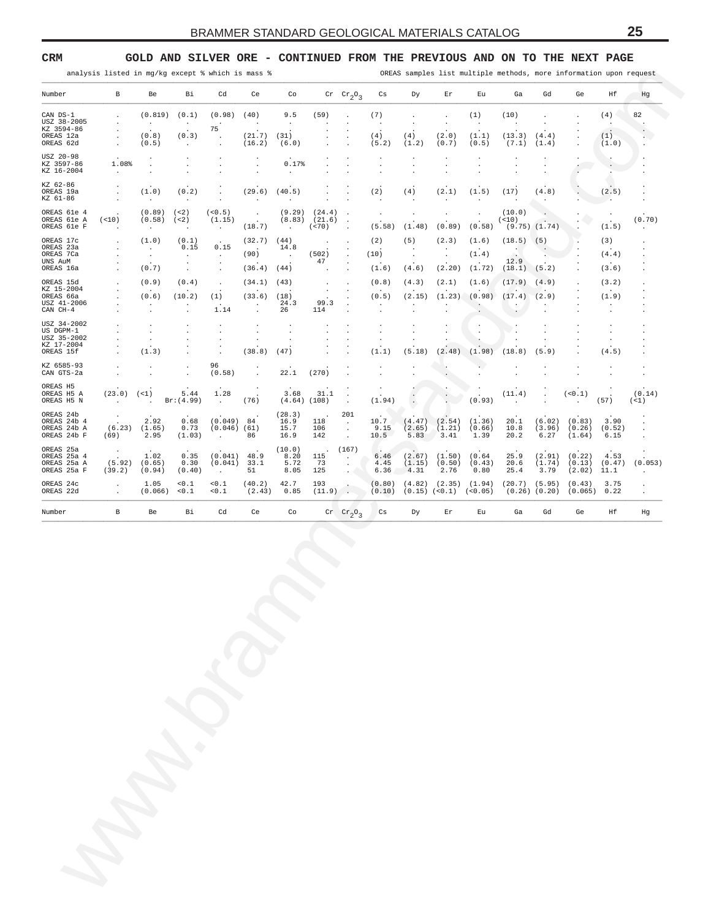## <span id="page-24-0"></span>**CRM GOLD AND SILVER ORE - CONTINUED FROM THE PREVIOUS AND ON TO THE NEXT PAGE**

| analysis listed in mg/kg except % which is mass % |  |  |  |  |  |  |  |  |  |
|---------------------------------------------------|--|--|--|--|--|--|--|--|--|
|---------------------------------------------------|--|--|--|--|--|--|--|--|--|

OREAS samples list multiple methods, more information upon request

| ${\mathbb G} {\mathbb d}$<br>$Cr$ $Cr_2O_3$<br>Cs<br>Ga<br>Ηf<br>Dу<br>Εr<br>Εu<br>Ge<br>CAN DS-1<br>(0.819)<br>(0.1)<br>(0.98)<br>(40)<br>9.5<br>(59)<br>(7)<br>(10)<br>(4)<br>(1)<br>$\ddot{\phantom{a}}$<br>$\cdot$<br>$\cdot$<br>USZ 38-2005<br>$\cdot$<br>$\cdot$<br>$\cdot$<br>$\cdot$<br>$\cdot$<br>$\cdot$<br>$\cdot$<br>$\ddot{\phantom{a}}$<br>$\cdot$<br>$\cdot$<br>$\cdot$<br>$\cdot$<br>75<br>KZ 3594-86<br>$\ddot{\phantom{a}}$<br>$\cdot$<br>$\cdot$<br>$\ddot{\phantom{1}}$<br>(0.3)<br>(21.7)<br>(4)<br>(13.3)<br>(0.8)<br>(31)<br>(4)<br>(2.0)<br>(1.1)<br>(4.4)<br>(1)<br>OREAS 12a<br>$\cdot$<br>$\cdot$<br>$\cdot$<br>$\blacksquare$<br>(5.2)<br>(1.2)<br>OREAS 62d<br>(0.5)<br>(16.2)<br>(6.0)<br>(0.7)<br>(7.1)<br>(1.0)<br>(0.5)<br>(1.4)<br>$\cdot$<br>$\cdot$<br>$\cdot$<br>USZ 20-98<br>$\cdot$<br>$\cdot$<br>KZ 3597-86<br>1.08%<br>0.17%<br>$\cdot$<br>$\bullet$<br>$\cdot$<br>$\cdot$<br>$\cdot$<br>$\blacksquare$<br>KZ 16-2004<br>$\sim$<br>$\cdot$<br>$\cdot$<br>$\cdot$<br>.,<br>KZ 62-86<br>(1.0)<br>(0.2)<br>(29.6)<br>(40.5)<br>(2)<br>(4)<br>(2.1)<br>(17)<br>(2.5)<br>OREAS 19a<br>(1.5)<br>(4.8)<br>$\cdot$<br>$\ddot{\phantom{a}}$<br>$\cdot$<br>KZ 61-86<br>$\sim$<br>$\cdot$<br>$\cdot$<br>$\cdot$<br>$\cdot$<br>$\sim$<br>$\cdot$<br>$\cdot$<br>$\cdot$<br>(<2)<br>(<0.5)<br>(9.29)<br>(10.0)<br>OREAS 61e 4<br>(0.89)<br>(24.4)<br>$\cdot$<br>$\ddot{\phantom{0}}$<br>$\ddot{\phantom{0}}$<br>$\cdot$<br>$\blacksquare$<br>$\cdot$<br>$\cdot$<br>(21.6)<br>OREAS 61e A<br>(< 10)<br>(0.58)<br>(<2)<br>(8.83)<br>(< 10)<br>(1.15)<br>$\cdot$<br>$\ddot{\phantom{a}}$<br>$\ddot{\phantom{a}}$<br>(18.7)<br>(< 70)<br>(0.58)<br>$(9.75)$ $(1.74)$<br>OREAS 61e F<br>(5.58)<br>(1.48)<br>(0.89)<br>(1.5)<br>$\sim$<br>$\sim$<br>$\ddot{\phantom{a}}$<br>$\sim$<br>$\cdot$<br>$\ddot{\phantom{a}}$<br>(1.0)<br>(0.1)<br>(44)<br>(3)<br>OREAS 17c<br>(32.7)<br>(2)<br>(5)<br>(2.3)<br>(1.6)<br>(18.5)<br>(5)<br>$\cdot$<br>OREAS 23a<br>0.15<br>0.15<br>14.8<br>$\sim$<br>$\cdot$<br>$\cdot$<br>$\cdot$<br>$\cdot$<br>OREAS 7Ca<br>(90)<br>(502)<br>(10)<br>(1.4)<br>(4.4)<br>$\sim$<br>$\ddot{\phantom{a}}$<br>$\ddot{\phantom{a}}$<br>$\bullet$<br>$\sim$<br>$\ddot{\phantom{0}}$<br>$\cdot$<br>$\cdot$<br>$\sim$<br>12.9<br>47<br>UNS AuM<br>$\cdot$<br>$\cdot$<br>$\cdot$<br>$\cdot$<br>(0.7)<br>(36.4)<br>(44)<br>(4.6)<br>(2.20)<br>(1.72)<br>(18.1) (5.2)<br>(3.6)<br>OREAS 16a<br>(1.6)<br>$\cdot$<br>$\cdot$<br>$\ddot{\phantom{0}}$<br>$\cdot$<br>$\cdot$<br>(0.9)<br>(0.4)<br>(34.1)<br>(2.1)<br>(1.6)<br>(17.9)<br>OREAS 15d<br>(43)<br>(0.8)<br>(4.3)<br>(4.9)<br>(3.2)<br>$\cdot$<br>$\cdot$<br>$\cdot$<br>KZ 15-2004<br>$\cdot$<br>(33.6)<br>(0.6)<br>(10.2)<br>(18)<br>(0.5)<br>(2.15)<br>(1.23)<br>(0.98)<br>(17.4)<br>(2.9)<br>(1.9)<br>OREAS 66a<br>(1)<br>$\cdot$<br>USZ 41-2006<br>24.3<br>99.3<br>$\ddot{\phantom{0}}$<br>$\ddot{\phantom{a}}$<br>$\cdot$<br>$\cdot$<br>$\cdot$<br>$\cdot$<br>$\cdot$<br>$\cdot$<br>$\cdot$<br>$CAN$ $CH-4$<br>1.14<br>26<br>114<br>$\ddot{\phantom{a}}$<br>$\cdot$<br>$\ddot{\phantom{a}}$<br>$\cdot$<br>$\blacksquare$<br>$\ddot{\phantom{a}}$<br>$\ddot{\phantom{0}}$<br>$\cdot$<br>USZ 34-2002<br>$\cdot$<br>$\cdot$<br>$\cdot$<br>$\cdot$<br>$\cdot$<br>$\cdot$<br>$\cdot$<br>US DGPM-1<br>$\ddot{\phantom{0}}$<br>$\ddot{\phantom{0}}$<br>$\ddot{\phantom{0}}$<br>$\ddot{\phantom{0}}$<br>$\cdot$<br>$\cdot$<br>$\cdot$<br>$\cdot$<br>$\cdot$<br>USZ 35-2002<br>$\cdot$<br>$\cdot$<br>$\ddot{\phantom{0}}$<br>$\ddot{\phantom{0}}$<br>$\ddot{\phantom{0}}$<br>$\cdot$<br>$\ddot{\phantom{a}}$<br>$\cdot$<br>KZ 17-2004<br>$\cdot$<br>(1.3)<br>(38.8)<br>(47)<br>(2.48)<br>(5.9)<br>OREAS 15f<br>(5.18)<br>(1.98)<br>(18.8)<br>(4.5)<br>(1.1)<br>$\ddot{\phantom{a}}$<br>96<br>KZ 6585-93<br>$\mathbf{L}$<br>$\cdot$<br>$\cdot$<br>(270)<br>(0.58)<br>22.1<br>CAN GTS-2a<br>$\ddot{\phantom{a}}$<br>$\ddot{\phantom{0}}$<br>$\cdot$<br>$\cdot$<br>$\cdot$<br>$\blacksquare$<br>OREAS H5<br>$\cdot$<br>$\cdot$<br>$\bullet$<br>1.28<br>3.68<br>(<1)<br>5.44<br>31.1<br>(<0.1)<br>OREAS H5 A<br>(23.0)<br>(11.4)<br>$\cdot$<br>$\cdot$<br>Br: (4.99)<br>(76)<br>(1.94)<br>(0.93)<br>(57)<br>OREAS H5 N<br>(4.64)<br>(108)<br>$\sim$<br>$\ddot{\phantom{a}}$<br>$\cdot$<br>$\cdot$<br>$\cdot$<br>$\cdot$<br>201<br>(28.3)<br>OREAS 24b<br>0.68<br>(0.049) 84<br>10.7<br>(1.36)<br>(6.02)<br>3.90<br>OREAS 24b 4<br>2.92<br>16.9<br>(4.47)<br>(2.54)<br>20.1<br>(0.83)<br>118<br>$\sim$<br>(6.23)<br>0.73<br>9.15<br>(1.21)<br>OREAS 24b A<br>(1.65)<br>$(0.046)$ (61)<br>15.7<br>106<br>(2.65)<br>(0.66)<br>10.8<br>(3.96)<br>(0.26)<br>(0.52)<br>$\cdot$<br>3.41<br>10.5<br>5.83<br>OREAS 24b F<br>2.95<br>(1.03)<br>86<br>142<br>1.39<br>20.2<br>6.27<br>(1.64)<br>6.15<br>(69)<br>16.9<br>$\ddot{\phantom{a}}$<br>$\Box$<br>OREAS 25a<br>(10.0)<br>(167)<br>. .<br>$\bullet$<br>1.02<br>0.35<br>(0.041)<br>48.9<br>8.20<br>(2.67)<br>(1.50)<br>(0.64)<br>25.9<br>(2.91)<br>(0.22)<br>4.53<br>OREAS 25a 4<br>115<br>6.46<br>$\sim$<br>5.72<br>(5.92)<br>0.30<br>(0.041)<br>33.1<br>73<br>(1.74)<br>OREAS 25a A<br>(0.65)<br>4.45<br>(0.50)<br>(0.43)<br>20.6<br>(0.13)<br>(0.47)<br>(1.15)<br>$\bullet$<br>OREAS 25a F<br>51<br>4.31<br>2.76<br>0.80<br>3.79<br>(39.2)<br>(0.94)<br>(0.40)<br>8.05<br>125<br>6.36<br>25.4<br>(2.02)<br>11.1<br>$\sim$<br>$\sim$<br>$<\mathrel{0}$ .<br>1<br>$< 0$ . $\mathbbm{1}$<br>(40.2)<br>42.7<br>(0.80)<br>3.75<br>1.05<br>193<br>(4.82)<br>$(2.35)$ $(1.94)$<br>$(20.7)$ $(5.95)$<br>(0.43)<br>OREAS 24c<br>$\cdot$<br>(11.9)<br>$(0.15)$ $(<0.1)$ $(<0.05)$<br>OREAS 22d<br>(2.43)<br>0.85<br>(0.10)<br>$(0.26)$ $(0.20)$<br>(0.066)<br>0.1<br>< 0.1<br>(0.065)<br>0.22<br>$\cdot$<br>${\mathbb G} {\mathbb d}$<br>В<br>Вi<br>Cd<br>Ce<br>Co<br>$\mathrm{Cr}$ $\mathrm{Cr}_2\mathrm{O}_3$<br>Cs<br>Ga<br>Ge<br>Hf<br>Number<br>Be<br>Dу<br>Er<br>Εu | Hg<br>82<br>$\cdot$<br>$\cdot$<br>V.<br>$\cdot$<br>$\cdot$<br>$\cdot$<br>$\cdot$<br>$\cdot$<br>(0.70)<br>$\cdot$ |  |  |  |  |  |    |    |    |    |    |   |        |
|----------------------------------------------------------------------------------------------------------------------------------------------------------------------------------------------------------------------------------------------------------------------------------------------------------------------------------------------------------------------------------------------------------------------------------------------------------------------------------------------------------------------------------------------------------------------------------------------------------------------------------------------------------------------------------------------------------------------------------------------------------------------------------------------------------------------------------------------------------------------------------------------------------------------------------------------------------------------------------------------------------------------------------------------------------------------------------------------------------------------------------------------------------------------------------------------------------------------------------------------------------------------------------------------------------------------------------------------------------------------------------------------------------------------------------------------------------------------------------------------------------------------------------------------------------------------------------------------------------------------------------------------------------------------------------------------------------------------------------------------------------------------------------------------------------------------------------------------------------------------------------------------------------------------------------------------------------------------------------------------------------------------------------------------------------------------------------------------------------------------------------------------------------------------------------------------------------------------------------------------------------------------------------------------------------------------------------------------------------------------------------------------------------------------------------------------------------------------------------------------------------------------------------------------------------------------------------------------------------------------------------------------------------------------------------------------------------------------------------------------------------------------------------------------------------------------------------------------------------------------------------------------------------------------------------------------------------------------------------------------------------------------------------------------------------------------------------------------------------------------------------------------------------------------------------------------------------------------------------------------------------------------------------------------------------------------------------------------------------------------------------------------------------------------------------------------------------------------------------------------------------------------------------------------------------------------------------------------------------------------------------------------------------------------------------------------------------------------------------------------------------------------------------------------------------------------------------------------------------------------------------------------------------------------------------------------------------------------------------------------------------------------------------------------------------------------------------------------------------------------------------------------------------------------------------------------------------------------------------------------------------------------------------------------------------------------------------------------------------------------------------------------------------------------------------------------------------------------------------------------------------------------------------------------------------------------------------------------------------------------------------------------------------------------------------------------------------------------------------------------------------------------------------------------------------------------------------------------------------------------------------------------------------------------------------------------------------------------------------------------------------------------------------------------------------------------------------------------------------------------------------------------------------------------------------------------------------------------------------------------------------------------------------------------------------------------------------------------------------------------------------------------------------------------------------------------------------------------------------------------------------------------------------------------------------------------------------------------------------------------------------------------------------------------------------------------------------------------------------------------------------------------------------------------------------------------------------------------------------------------------------------------|------------------------------------------------------------------------------------------------------------------|--|--|--|--|--|----|----|----|----|----|---|--------|
|                                                                                                                                                                                                                                                                                                                                                                                                                                                                                                                                                                                                                                                                                                                                                                                                                                                                                                                                                                                                                                                                                                                                                                                                                                                                                                                                                                                                                                                                                                                                                                                                                                                                                                                                                                                                                                                                                                                                                                                                                                                                                                                                                                                                                                                                                                                                                                                                                                                                                                                                                                                                                                                                                                                                                                                                                                                                                                                                                                                                                                                                                                                                                                                                                                                                                                                                                                                                                                                                                                                                                                                                                                                                                                                                                                                                                                                                                                                                                                                                                                                                                                                                                                                                                                                                                                                                                                                                                                                                                                                                                                                                                                                                                                                                                                                                                                                                                                                                                                                                                                                                                                                                                                                                                                                                                                                                                                                                                                                                                                                                                                                                                                                                                                                                                                                                                                                                                              |                                                                                                                  |  |  |  |  |  | Co | Ce | Cd | Вi | Be | В | Number |
|                                                                                                                                                                                                                                                                                                                                                                                                                                                                                                                                                                                                                                                                                                                                                                                                                                                                                                                                                                                                                                                                                                                                                                                                                                                                                                                                                                                                                                                                                                                                                                                                                                                                                                                                                                                                                                                                                                                                                                                                                                                                                                                                                                                                                                                                                                                                                                                                                                                                                                                                                                                                                                                                                                                                                                                                                                                                                                                                                                                                                                                                                                                                                                                                                                                                                                                                                                                                                                                                                                                                                                                                                                                                                                                                                                                                                                                                                                                                                                                                                                                                                                                                                                                                                                                                                                                                                                                                                                                                                                                                                                                                                                                                                                                                                                                                                                                                                                                                                                                                                                                                                                                                                                                                                                                                                                                                                                                                                                                                                                                                                                                                                                                                                                                                                                                                                                                                                              |                                                                                                                  |  |  |  |  |  |    |    |    |    |    |   |        |
|                                                                                                                                                                                                                                                                                                                                                                                                                                                                                                                                                                                                                                                                                                                                                                                                                                                                                                                                                                                                                                                                                                                                                                                                                                                                                                                                                                                                                                                                                                                                                                                                                                                                                                                                                                                                                                                                                                                                                                                                                                                                                                                                                                                                                                                                                                                                                                                                                                                                                                                                                                                                                                                                                                                                                                                                                                                                                                                                                                                                                                                                                                                                                                                                                                                                                                                                                                                                                                                                                                                                                                                                                                                                                                                                                                                                                                                                                                                                                                                                                                                                                                                                                                                                                                                                                                                                                                                                                                                                                                                                                                                                                                                                                                                                                                                                                                                                                                                                                                                                                                                                                                                                                                                                                                                                                                                                                                                                                                                                                                                                                                                                                                                                                                                                                                                                                                                                                              |                                                                                                                  |  |  |  |  |  |    |    |    |    |    |   |        |
|                                                                                                                                                                                                                                                                                                                                                                                                                                                                                                                                                                                                                                                                                                                                                                                                                                                                                                                                                                                                                                                                                                                                                                                                                                                                                                                                                                                                                                                                                                                                                                                                                                                                                                                                                                                                                                                                                                                                                                                                                                                                                                                                                                                                                                                                                                                                                                                                                                                                                                                                                                                                                                                                                                                                                                                                                                                                                                                                                                                                                                                                                                                                                                                                                                                                                                                                                                                                                                                                                                                                                                                                                                                                                                                                                                                                                                                                                                                                                                                                                                                                                                                                                                                                                                                                                                                                                                                                                                                                                                                                                                                                                                                                                                                                                                                                                                                                                                                                                                                                                                                                                                                                                                                                                                                                                                                                                                                                                                                                                                                                                                                                                                                                                                                                                                                                                                                                                              |                                                                                                                  |  |  |  |  |  |    |    |    |    |    |   |        |
|                                                                                                                                                                                                                                                                                                                                                                                                                                                                                                                                                                                                                                                                                                                                                                                                                                                                                                                                                                                                                                                                                                                                                                                                                                                                                                                                                                                                                                                                                                                                                                                                                                                                                                                                                                                                                                                                                                                                                                                                                                                                                                                                                                                                                                                                                                                                                                                                                                                                                                                                                                                                                                                                                                                                                                                                                                                                                                                                                                                                                                                                                                                                                                                                                                                                                                                                                                                                                                                                                                                                                                                                                                                                                                                                                                                                                                                                                                                                                                                                                                                                                                                                                                                                                                                                                                                                                                                                                                                                                                                                                                                                                                                                                                                                                                                                                                                                                                                                                                                                                                                                                                                                                                                                                                                                                                                                                                                                                                                                                                                                                                                                                                                                                                                                                                                                                                                                                              |                                                                                                                  |  |  |  |  |  |    |    |    |    |    |   |        |
|                                                                                                                                                                                                                                                                                                                                                                                                                                                                                                                                                                                                                                                                                                                                                                                                                                                                                                                                                                                                                                                                                                                                                                                                                                                                                                                                                                                                                                                                                                                                                                                                                                                                                                                                                                                                                                                                                                                                                                                                                                                                                                                                                                                                                                                                                                                                                                                                                                                                                                                                                                                                                                                                                                                                                                                                                                                                                                                                                                                                                                                                                                                                                                                                                                                                                                                                                                                                                                                                                                                                                                                                                                                                                                                                                                                                                                                                                                                                                                                                                                                                                                                                                                                                                                                                                                                                                                                                                                                                                                                                                                                                                                                                                                                                                                                                                                                                                                                                                                                                                                                                                                                                                                                                                                                                                                                                                                                                                                                                                                                                                                                                                                                                                                                                                                                                                                                                                              |                                                                                                                  |  |  |  |  |  |    |    |    |    |    |   |        |
|                                                                                                                                                                                                                                                                                                                                                                                                                                                                                                                                                                                                                                                                                                                                                                                                                                                                                                                                                                                                                                                                                                                                                                                                                                                                                                                                                                                                                                                                                                                                                                                                                                                                                                                                                                                                                                                                                                                                                                                                                                                                                                                                                                                                                                                                                                                                                                                                                                                                                                                                                                                                                                                                                                                                                                                                                                                                                                                                                                                                                                                                                                                                                                                                                                                                                                                                                                                                                                                                                                                                                                                                                                                                                                                                                                                                                                                                                                                                                                                                                                                                                                                                                                                                                                                                                                                                                                                                                                                                                                                                                                                                                                                                                                                                                                                                                                                                                                                                                                                                                                                                                                                                                                                                                                                                                                                                                                                                                                                                                                                                                                                                                                                                                                                                                                                                                                                                                              |                                                                                                                  |  |  |  |  |  |    |    |    |    |    |   |        |
|                                                                                                                                                                                                                                                                                                                                                                                                                                                                                                                                                                                                                                                                                                                                                                                                                                                                                                                                                                                                                                                                                                                                                                                                                                                                                                                                                                                                                                                                                                                                                                                                                                                                                                                                                                                                                                                                                                                                                                                                                                                                                                                                                                                                                                                                                                                                                                                                                                                                                                                                                                                                                                                                                                                                                                                                                                                                                                                                                                                                                                                                                                                                                                                                                                                                                                                                                                                                                                                                                                                                                                                                                                                                                                                                                                                                                                                                                                                                                                                                                                                                                                                                                                                                                                                                                                                                                                                                                                                                                                                                                                                                                                                                                                                                                                                                                                                                                                                                                                                                                                                                                                                                                                                                                                                                                                                                                                                                                                                                                                                                                                                                                                                                                                                                                                                                                                                                                              |                                                                                                                  |  |  |  |  |  |    |    |    |    |    |   |        |
|                                                                                                                                                                                                                                                                                                                                                                                                                                                                                                                                                                                                                                                                                                                                                                                                                                                                                                                                                                                                                                                                                                                                                                                                                                                                                                                                                                                                                                                                                                                                                                                                                                                                                                                                                                                                                                                                                                                                                                                                                                                                                                                                                                                                                                                                                                                                                                                                                                                                                                                                                                                                                                                                                                                                                                                                                                                                                                                                                                                                                                                                                                                                                                                                                                                                                                                                                                                                                                                                                                                                                                                                                                                                                                                                                                                                                                                                                                                                                                                                                                                                                                                                                                                                                                                                                                                                                                                                                                                                                                                                                                                                                                                                                                                                                                                                                                                                                                                                                                                                                                                                                                                                                                                                                                                                                                                                                                                                                                                                                                                                                                                                                                                                                                                                                                                                                                                                                              | $\cdot$                                                                                                          |  |  |  |  |  |    |    |    |    |    |   |        |
|                                                                                                                                                                                                                                                                                                                                                                                                                                                                                                                                                                                                                                                                                                                                                                                                                                                                                                                                                                                                                                                                                                                                                                                                                                                                                                                                                                                                                                                                                                                                                                                                                                                                                                                                                                                                                                                                                                                                                                                                                                                                                                                                                                                                                                                                                                                                                                                                                                                                                                                                                                                                                                                                                                                                                                                                                                                                                                                                                                                                                                                                                                                                                                                                                                                                                                                                                                                                                                                                                                                                                                                                                                                                                                                                                                                                                                                                                                                                                                                                                                                                                                                                                                                                                                                                                                                                                                                                                                                                                                                                                                                                                                                                                                                                                                                                                                                                                                                                                                                                                                                                                                                                                                                                                                                                                                                                                                                                                                                                                                                                                                                                                                                                                                                                                                                                                                                                                              |                                                                                                                  |  |  |  |  |  |    |    |    |    |    |   |        |
|                                                                                                                                                                                                                                                                                                                                                                                                                                                                                                                                                                                                                                                                                                                                                                                                                                                                                                                                                                                                                                                                                                                                                                                                                                                                                                                                                                                                                                                                                                                                                                                                                                                                                                                                                                                                                                                                                                                                                                                                                                                                                                                                                                                                                                                                                                                                                                                                                                                                                                                                                                                                                                                                                                                                                                                                                                                                                                                                                                                                                                                                                                                                                                                                                                                                                                                                                                                                                                                                                                                                                                                                                                                                                                                                                                                                                                                                                                                                                                                                                                                                                                                                                                                                                                                                                                                                                                                                                                                                                                                                                                                                                                                                                                                                                                                                                                                                                                                                                                                                                                                                                                                                                                                                                                                                                                                                                                                                                                                                                                                                                                                                                                                                                                                                                                                                                                                                                              | $\cdot$                                                                                                          |  |  |  |  |  |    |    |    |    |    |   |        |
|                                                                                                                                                                                                                                                                                                                                                                                                                                                                                                                                                                                                                                                                                                                                                                                                                                                                                                                                                                                                                                                                                                                                                                                                                                                                                                                                                                                                                                                                                                                                                                                                                                                                                                                                                                                                                                                                                                                                                                                                                                                                                                                                                                                                                                                                                                                                                                                                                                                                                                                                                                                                                                                                                                                                                                                                                                                                                                                                                                                                                                                                                                                                                                                                                                                                                                                                                                                                                                                                                                                                                                                                                                                                                                                                                                                                                                                                                                                                                                                                                                                                                                                                                                                                                                                                                                                                                                                                                                                                                                                                                                                                                                                                                                                                                                                                                                                                                                                                                                                                                                                                                                                                                                                                                                                                                                                                                                                                                                                                                                                                                                                                                                                                                                                                                                                                                                                                                              | $\cdot$                                                                                                          |  |  |  |  |  |    |    |    |    |    |   |        |
|                                                                                                                                                                                                                                                                                                                                                                                                                                                                                                                                                                                                                                                                                                                                                                                                                                                                                                                                                                                                                                                                                                                                                                                                                                                                                                                                                                                                                                                                                                                                                                                                                                                                                                                                                                                                                                                                                                                                                                                                                                                                                                                                                                                                                                                                                                                                                                                                                                                                                                                                                                                                                                                                                                                                                                                                                                                                                                                                                                                                                                                                                                                                                                                                                                                                                                                                                                                                                                                                                                                                                                                                                                                                                                                                                                                                                                                                                                                                                                                                                                                                                                                                                                                                                                                                                                                                                                                                                                                                                                                                                                                                                                                                                                                                                                                                                                                                                                                                                                                                                                                                                                                                                                                                                                                                                                                                                                                                                                                                                                                                                                                                                                                                                                                                                                                                                                                                                              |                                                                                                                  |  |  |  |  |  |    |    |    |    |    |   |        |
|                                                                                                                                                                                                                                                                                                                                                                                                                                                                                                                                                                                                                                                                                                                                                                                                                                                                                                                                                                                                                                                                                                                                                                                                                                                                                                                                                                                                                                                                                                                                                                                                                                                                                                                                                                                                                                                                                                                                                                                                                                                                                                                                                                                                                                                                                                                                                                                                                                                                                                                                                                                                                                                                                                                                                                                                                                                                                                                                                                                                                                                                                                                                                                                                                                                                                                                                                                                                                                                                                                                                                                                                                                                                                                                                                                                                                                                                                                                                                                                                                                                                                                                                                                                                                                                                                                                                                                                                                                                                                                                                                                                                                                                                                                                                                                                                                                                                                                                                                                                                                                                                                                                                                                                                                                                                                                                                                                                                                                                                                                                                                                                                                                                                                                                                                                                                                                                                                              | $\cdot$<br>$\cdot$                                                                                               |  |  |  |  |  |    |    |    |    |    |   |        |
|                                                                                                                                                                                                                                                                                                                                                                                                                                                                                                                                                                                                                                                                                                                                                                                                                                                                                                                                                                                                                                                                                                                                                                                                                                                                                                                                                                                                                                                                                                                                                                                                                                                                                                                                                                                                                                                                                                                                                                                                                                                                                                                                                                                                                                                                                                                                                                                                                                                                                                                                                                                                                                                                                                                                                                                                                                                                                                                                                                                                                                                                                                                                                                                                                                                                                                                                                                                                                                                                                                                                                                                                                                                                                                                                                                                                                                                                                                                                                                                                                                                                                                                                                                                                                                                                                                                                                                                                                                                                                                                                                                                                                                                                                                                                                                                                                                                                                                                                                                                                                                                                                                                                                                                                                                                                                                                                                                                                                                                                                                                                                                                                                                                                                                                                                                                                                                                                                              | $\cdot$<br>$\cdot$                                                                                               |  |  |  |  |  |    |    |    |    |    |   |        |
|                                                                                                                                                                                                                                                                                                                                                                                                                                                                                                                                                                                                                                                                                                                                                                                                                                                                                                                                                                                                                                                                                                                                                                                                                                                                                                                                                                                                                                                                                                                                                                                                                                                                                                                                                                                                                                                                                                                                                                                                                                                                                                                                                                                                                                                                                                                                                                                                                                                                                                                                                                                                                                                                                                                                                                                                                                                                                                                                                                                                                                                                                                                                                                                                                                                                                                                                                                                                                                                                                                                                                                                                                                                                                                                                                                                                                                                                                                                                                                                                                                                                                                                                                                                                                                                                                                                                                                                                                                                                                                                                                                                                                                                                                                                                                                                                                                                                                                                                                                                                                                                                                                                                                                                                                                                                                                                                                                                                                                                                                                                                                                                                                                                                                                                                                                                                                                                                                              | (0.14)<br>$($ <1)                                                                                                |  |  |  |  |  |    |    |    |    |    |   |        |
|                                                                                                                                                                                                                                                                                                                                                                                                                                                                                                                                                                                                                                                                                                                                                                                                                                                                                                                                                                                                                                                                                                                                                                                                                                                                                                                                                                                                                                                                                                                                                                                                                                                                                                                                                                                                                                                                                                                                                                                                                                                                                                                                                                                                                                                                                                                                                                                                                                                                                                                                                                                                                                                                                                                                                                                                                                                                                                                                                                                                                                                                                                                                                                                                                                                                                                                                                                                                                                                                                                                                                                                                                                                                                                                                                                                                                                                                                                                                                                                                                                                                                                                                                                                                                                                                                                                                                                                                                                                                                                                                                                                                                                                                                                                                                                                                                                                                                                                                                                                                                                                                                                                                                                                                                                                                                                                                                                                                                                                                                                                                                                                                                                                                                                                                                                                                                                                                                              | $\cdot$<br>$\cdot$<br>$\ddot{\phantom{a}}$                                                                       |  |  |  |  |  |    |    |    |    |    |   |        |
|                                                                                                                                                                                                                                                                                                                                                                                                                                                                                                                                                                                                                                                                                                                                                                                                                                                                                                                                                                                                                                                                                                                                                                                                                                                                                                                                                                                                                                                                                                                                                                                                                                                                                                                                                                                                                                                                                                                                                                                                                                                                                                                                                                                                                                                                                                                                                                                                                                                                                                                                                                                                                                                                                                                                                                                                                                                                                                                                                                                                                                                                                                                                                                                                                                                                                                                                                                                                                                                                                                                                                                                                                                                                                                                                                                                                                                                                                                                                                                                                                                                                                                                                                                                                                                                                                                                                                                                                                                                                                                                                                                                                                                                                                                                                                                                                                                                                                                                                                                                                                                                                                                                                                                                                                                                                                                                                                                                                                                                                                                                                                                                                                                                                                                                                                                                                                                                                                              |                                                                                                                  |  |  |  |  |  |    |    |    |    |    |   |        |
|                                                                                                                                                                                                                                                                                                                                                                                                                                                                                                                                                                                                                                                                                                                                                                                                                                                                                                                                                                                                                                                                                                                                                                                                                                                                                                                                                                                                                                                                                                                                                                                                                                                                                                                                                                                                                                                                                                                                                                                                                                                                                                                                                                                                                                                                                                                                                                                                                                                                                                                                                                                                                                                                                                                                                                                                                                                                                                                                                                                                                                                                                                                                                                                                                                                                                                                                                                                                                                                                                                                                                                                                                                                                                                                                                                                                                                                                                                                                                                                                                                                                                                                                                                                                                                                                                                                                                                                                                                                                                                                                                                                                                                                                                                                                                                                                                                                                                                                                                                                                                                                                                                                                                                                                                                                                                                                                                                                                                                                                                                                                                                                                                                                                                                                                                                                                                                                                                              | (0.053)<br>$\cdot$                                                                                               |  |  |  |  |  |    |    |    |    |    |   |        |
|                                                                                                                                                                                                                                                                                                                                                                                                                                                                                                                                                                                                                                                                                                                                                                                                                                                                                                                                                                                                                                                                                                                                                                                                                                                                                                                                                                                                                                                                                                                                                                                                                                                                                                                                                                                                                                                                                                                                                                                                                                                                                                                                                                                                                                                                                                                                                                                                                                                                                                                                                                                                                                                                                                                                                                                                                                                                                                                                                                                                                                                                                                                                                                                                                                                                                                                                                                                                                                                                                                                                                                                                                                                                                                                                                                                                                                                                                                                                                                                                                                                                                                                                                                                                                                                                                                                                                                                                                                                                                                                                                                                                                                                                                                                                                                                                                                                                                                                                                                                                                                                                                                                                                                                                                                                                                                                                                                                                                                                                                                                                                                                                                                                                                                                                                                                                                                                                                              | $\cdot$<br>$\cdot$                                                                                               |  |  |  |  |  |    |    |    |    |    |   |        |
|                                                                                                                                                                                                                                                                                                                                                                                                                                                                                                                                                                                                                                                                                                                                                                                                                                                                                                                                                                                                                                                                                                                                                                                                                                                                                                                                                                                                                                                                                                                                                                                                                                                                                                                                                                                                                                                                                                                                                                                                                                                                                                                                                                                                                                                                                                                                                                                                                                                                                                                                                                                                                                                                                                                                                                                                                                                                                                                                                                                                                                                                                                                                                                                                                                                                                                                                                                                                                                                                                                                                                                                                                                                                                                                                                                                                                                                                                                                                                                                                                                                                                                                                                                                                                                                                                                                                                                                                                                                                                                                                                                                                                                                                                                                                                                                                                                                                                                                                                                                                                                                                                                                                                                                                                                                                                                                                                                                                                                                                                                                                                                                                                                                                                                                                                                                                                                                                                              | Hg                                                                                                               |  |  |  |  |  |    |    |    |    |    |   |        |
|                                                                                                                                                                                                                                                                                                                                                                                                                                                                                                                                                                                                                                                                                                                                                                                                                                                                                                                                                                                                                                                                                                                                                                                                                                                                                                                                                                                                                                                                                                                                                                                                                                                                                                                                                                                                                                                                                                                                                                                                                                                                                                                                                                                                                                                                                                                                                                                                                                                                                                                                                                                                                                                                                                                                                                                                                                                                                                                                                                                                                                                                                                                                                                                                                                                                                                                                                                                                                                                                                                                                                                                                                                                                                                                                                                                                                                                                                                                                                                                                                                                                                                                                                                                                                                                                                                                                                                                                                                                                                                                                                                                                                                                                                                                                                                                                                                                                                                                                                                                                                                                                                                                                                                                                                                                                                                                                                                                                                                                                                                                                                                                                                                                                                                                                                                                                                                                                                              |                                                                                                                  |  |  |  |  |  |    |    |    |    |    |   |        |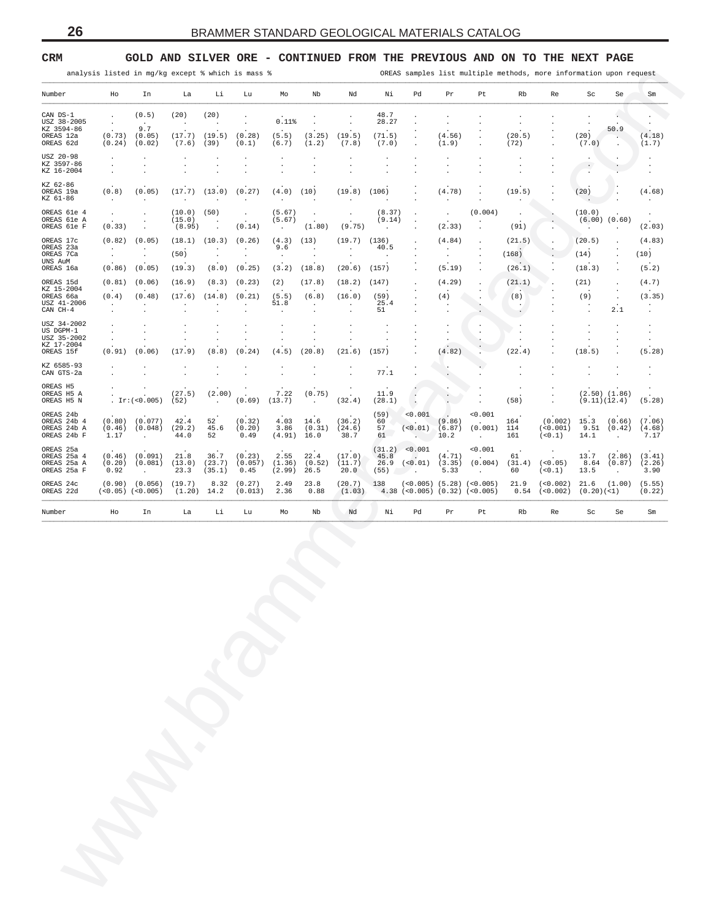### <span id="page-25-0"></span>**CRM GOLD AND SILVER ORE - CONTINUED FROM THE PREVIOUS AND ON TO THE NEXT PAGE**

| Number<br>Ho<br>CAN DS-1<br>$\cdot$<br>USZ 38-2005<br>$\bullet$<br>KZ 3594-86<br>(0.73)<br>OREAS 12a<br>OREAS 62d<br>(0.24)<br>USZ 20-98<br>$\cdot$<br>KZ 3597-86<br>$\cdot$<br>KZ 16-2004<br>$\ddot{\phantom{a}}$<br>KZ 62-86<br>(0.8)<br>OREAS 19a<br>KZ 61-86<br>$\sim$<br>OREAS 61e 4<br>$\ddot{\phantom{a}}$<br>OREAS 61e A<br>OREAS 61e F<br>(0.33)<br>OREAS 17c<br>(0.82)<br>OREAS 23a<br>$\cdot$<br>OREAS 7Ca<br>$\cdot$ |                      | In<br>(0.5)<br>$\sim$<br>9.7<br>(0.05)<br>(0.02)<br>$\cdot$<br>$\cdot$<br>(0.05)<br>$\cdot$<br>$\cdot$<br>$\cdot$ | La<br>(20)<br>$\cdot$<br>(17.7)<br>(7.6)<br>$\cdot$<br>$\cdot$<br>(17.7)<br>$\cdot$ | Li<br>(20)<br>$\cdot$<br>(19.5)<br>(39)<br>$\cdot$<br>$\ddot{\phantom{0}}$<br>$\ddot{\phantom{a}}$<br>(13.0) | Lu<br>$\cdot$<br>$\blacksquare$<br>(0.28)<br>(0.1)<br>$\cdot$<br>$\cdot$<br>$\cdot$ | Mo<br>0.11%<br>(5.5)<br>(6.7)<br>$\cdot$<br>$\cdot$ | Nb<br>$\blacksquare$<br>(3.25)<br>(1.2) | Nd<br>$\cdot$<br>$\ddot{\phantom{a}}$<br>(19.5)<br>(7.8) | Νi<br>48.7<br>28.27<br>$\cdot$<br>(71.5) | Pd<br>$\ddot{\phantom{a}}$<br>$\cdot$                   | Pr<br>$\ddot{\phantom{0}}$<br>$\blacksquare$            | Pt<br>$\cdot$                                                   | Rb                                           | Re                                                      | Sc<br>$\cdot$                   | Se                                           | Sm                              |
|----------------------------------------------------------------------------------------------------------------------------------------------------------------------------------------------------------------------------------------------------------------------------------------------------------------------------------------------------------------------------------------------------------------------------------|----------------------|-------------------------------------------------------------------------------------------------------------------|-------------------------------------------------------------------------------------|--------------------------------------------------------------------------------------------------------------|-------------------------------------------------------------------------------------|-----------------------------------------------------|-----------------------------------------|----------------------------------------------------------|------------------------------------------|---------------------------------------------------------|---------------------------------------------------------|-----------------------------------------------------------------|----------------------------------------------|---------------------------------------------------------|---------------------------------|----------------------------------------------|---------------------------------|
|                                                                                                                                                                                                                                                                                                                                                                                                                                  |                      |                                                                                                                   |                                                                                     |                                                                                                              |                                                                                     |                                                     |                                         |                                                          |                                          |                                                         |                                                         |                                                                 |                                              |                                                         |                                 |                                              |                                 |
|                                                                                                                                                                                                                                                                                                                                                                                                                                  |                      |                                                                                                                   |                                                                                     |                                                                                                              |                                                                                     |                                                     |                                         |                                                          |                                          |                                                         |                                                         |                                                                 | $\ddot{\phantom{a}}$                         | $\ddot{\phantom{0}}$                                    | $\cdot$                         | c.                                           | $\blacksquare$<br>$\sim$        |
|                                                                                                                                                                                                                                                                                                                                                                                                                                  |                      |                                                                                                                   |                                                                                     |                                                                                                              |                                                                                     |                                                     |                                         |                                                          | (7.0)                                    | $\cdot$<br>$\ddot{\phantom{0}}$<br>$\ddot{\phantom{a}}$ | (4.56)<br>(1.9)                                         | $\ddot{\phantom{0}}$                                            | (20.5)<br>(72)                               | $\cdot$<br>$\ddot{\phantom{0}}$<br>$\ddot{\phantom{0}}$ | (20)<br>(7.0)                   | 50.9<br>$\blacksquare$<br>$\cdot$            | (4.18)<br>(1.7)                 |
|                                                                                                                                                                                                                                                                                                                                                                                                                                  |                      |                                                                                                                   |                                                                                     |                                                                                                              |                                                                                     | $\ddot{\phantom{a}}$                                | $\cdot$<br>$\cdot$                      | $\cdot$<br>$\cdot$                                       | $\cdot$<br>$\cdot$                       | $\cdot$<br>$\cdot$                                      | $\cdot$<br>$\ddot{\phantom{0}}$<br>$\ddot{\phantom{0}}$ | $\cdot$<br>$\cdot$                                              | $\cdot$<br>$\cdot$<br>$\cdot$                |                                                         | $\cdot$<br>$\sim$<br>$\sim$     |                                              | $\cdot$<br>$\cdot$              |
|                                                                                                                                                                                                                                                                                                                                                                                                                                  |                      |                                                                                                                   |                                                                                     | $\cdot$                                                                                                      | (0.27)<br>$\cdot$                                                                   | (4.0)<br>$\cdot$                                    | (10)<br>$\ddot{\phantom{a}}$            | (19.8)<br>$\cdot$                                        | (106)<br>$\ddot{\phantom{a}}$            |                                                         | (4.78)<br>$\cdot$                                       | $\ddot{\phantom{a}}$<br>$\cdot$                                 | (19.5)<br>$\cdot$                            | $\ddot{\phantom{0}}$                                    | (20)<br>$\ddot{\phantom{a}}$    |                                              | (4.68)<br>$\cdot$               |
|                                                                                                                                                                                                                                                                                                                                                                                                                                  |                      | $\cdot$                                                                                                           | (10.0)<br>(15.0)<br>(8.95)                                                          | (50)<br>$\cdot$<br>$\cdot$                                                                                   | $\sim$<br>(0.14)                                                                    | (5.67)<br>(5.67)<br>$\sim$                          | $\sim$<br>(1.80)                        | $\cdot$<br>(9.75)                                        | (8.37)<br>(9.14)<br>$\ddot{\phantom{a}}$ | $\cdot$<br>$\cdot$<br>$\ddot{\phantom{a}}$              | $\cdot$<br>(2.33)                                       | (0.004)                                                         | $\cdot$<br>(91)                              |                                                         | (10.0)<br>$\sim$                | $(6.00)$ $(0.60)$<br>$\blacksquare$          | $\cdot$<br>(2.03)               |
|                                                                                                                                                                                                                                                                                                                                                                                                                                  |                      | (0.05)<br>$\cdot$                                                                                                 | (18.1)                                                                              | (10.3)<br>$\cdot$                                                                                            | (0.26)<br>$\sim$                                                                    | (4.3)<br>9.6                                        | (13)<br>$\cdot$                         | (19.7)<br>$\cdot$                                        | (136)<br>40.5                            | $\cdot$<br>$\cdot$                                      | (4.84)<br>$\cdot$                                       | $\ddot{\phantom{a}}$<br>$\blacksquare$                          | (21.5)                                       |                                                         | (20.5)                          | $\ddot{\phantom{0}}$<br>$\ddot{\phantom{0}}$ | (4.83)                          |
| UNS AuM                                                                                                                                                                                                                                                                                                                                                                                                                          |                      | $\ddot{\phantom{a}}$                                                                                              | (50)                                                                                | $\blacksquare$                                                                                               | $\sim$                                                                              | $\sim$                                              | $\cdot$                                 | $\blacksquare$                                           | $\cdot$                                  | $\ddot{\phantom{a}}$                                    | $\blacksquare$                                          | $\ddot{\phantom{a}}$<br>$\cdot$                                 | (168)                                        | $\bullet$                                               | (14)                            | $\ddot{\phantom{0}}$<br>$\ddot{\phantom{a}}$ | (10)                            |
| OREAS 16a<br>(0.86)<br>(0.81)<br>OREAS 15d                                                                                                                                                                                                                                                                                                                                                                                       |                      | (0.05)<br>(0.06)                                                                                                  | (19.3)<br>(16.9)                                                                    | (8.0)<br>(8.3)                                                                                               | (0.25)<br>(0.23)                                                                    | (3.2)<br>(2)                                        | (18.8)<br>(17.8)                        | (20.6)<br>(18.2)                                         | (157)<br>(147)                           | $\ddot{\phantom{a}}$<br>$\ddot{\phantom{a}}$            | (5.19)<br>(4.29)                                        |                                                                 | (26.1)<br>(21.1)                             | $\ddot{\phantom{a}}$                                    | (18.3)<br>(21)                  | $\cdot$<br>$\ddot{\phantom{a}}$              | (5.2)<br>(4.7)                  |
| KZ 15-2004<br>OREAS 66a<br>(0.4)                                                                                                                                                                                                                                                                                                                                                                                                 |                      | (0.48)                                                                                                            | (17.6)                                                                              | (14.8)                                                                                                       | (0.21)                                                                              | (5.5)                                               | (6.8)                                   | (16.0)                                                   | (59)                                     |                                                         | (4)                                                     | $\cdot$<br>$\ddot{\phantom{a}}$                                 | (8)                                          |                                                         | (9)                             | $\blacksquare$<br>$\cdot$                    | (3.35)                          |
| USZ 41-2006<br>$\sim$<br>CAN CH-4<br>$\cdot$                                                                                                                                                                                                                                                                                                                                                                                     |                      | $\cdot$<br>$\cdot$                                                                                                | $\cdot$<br>$\cdot$                                                                  | $\cdot$<br>$\cdot$                                                                                           | $\cdot$<br>$\cdot$                                                                  | 51.8<br>$\cdot$                                     | $\cdot$<br>$\cdot$                      | $\cdot$<br>$\cdot$                                       | 25.4<br>51                               | $\cdot$<br>$\cdot$                                      | $\cdot$<br>$\cdot$                                      | $\cdot$                                                         | $\ddot{\phantom{0}}$<br>$\ddot{\phantom{a}}$ |                                                         | $\cdot$<br>$\cdot$              | 2.1                                          | $\cdot$<br>$\cdot$              |
| USZ 34-2002<br>$\cdot$<br>US DGPM-1                                                                                                                                                                                                                                                                                                                                                                                              |                      | $\bullet$                                                                                                         | $\cdot$                                                                             | $\cdot$                                                                                                      | $\bullet$                                                                           | $\cdot$                                             | $\cdot$                                 | $\cdot$                                                  | $\cdot$                                  | $\cdot$                                                 | $\bullet$                                               | $\cdot$                                                         | $\cdot$<br>$\cdot$                           |                                                         | $\cdot$                         | $\cdot$                                      | $\cdot$                         |
| $\cdot$<br>USZ 35-2002<br>$\cdot$<br>KZ 17-2004                                                                                                                                                                                                                                                                                                                                                                                  |                      | $\ddot{\phantom{a}}$<br>$\cdot$                                                                                   | $\cdot$<br>$\cdot$                                                                  | $\cdot$<br>$\cdot$                                                                                           | $\cdot$<br>$\cdot$                                                                  | $\cdot$<br>$\blacksquare$                           | $\cdot$<br>$\cdot$                      | $\blacksquare$<br>$\ddot{\phantom{a}}$                   | $\cdot$                                  | $\cdot$                                                 | $\cdot$<br>$\cdot$                                      | $\cdot$                                                         | $\cdot$                                      |                                                         | $\cdot$<br>$\cdot$              | $\ddot{\phantom{0}}$<br>$\ddot{\phantom{a}}$ | $\cdot$<br>$\cdot$              |
| OREAS 15f<br>(0.91)                                                                                                                                                                                                                                                                                                                                                                                                              |                      | (0.06)                                                                                                            | (17.9)                                                                              | (8.8)                                                                                                        | (0.24)                                                                              | (4.5)                                               | (20.8)                                  | (21.6)                                                   | (157)                                    |                                                         | (4.82)                                                  | $\cdot$                                                         | (22.4)                                       | $\ddot{\phantom{0}}$                                    | (18.5)                          | $\ddot{\phantom{a}}$                         | (5.28)                          |
| KZ 6585-93<br>$\cdot$<br>CAN GTS-2a<br>$\ddot{\phantom{a}}$                                                                                                                                                                                                                                                                                                                                                                      |                      | $\bullet$<br>$\blacksquare$                                                                                       | $\cdot$<br>$\cdot$                                                                  | $\cdot$<br>$\blacksquare$                                                                                    | $\ddot{\phantom{0}}$                                                                | $\ddot{\phantom{0}}$                                | $\cdot$                                 | $\ddot{\phantom{a}}$                                     | 77.1                                     | $\cdot$<br>$\ddot{\phantom{0}}$                         | ٠.<br>$\cdot$                                           | $\cdot$                                                         | $\cdot$<br>$\ddot{\phantom{a}}$              | $\cdot$<br>$\ddot{\phantom{0}}$                         | $\cdot$<br>$\ddot{\phantom{0}}$ | $\cdot$<br>$\ddot{\phantom{a}}$              | $\cdot$<br>$\ddot{\phantom{0}}$ |
| OREAS H5<br>$\cdot$<br>OREAS H5 A<br>OREAS H5 N                                                                                                                                                                                                                                                                                                                                                                                  | . $Ir:(<0.005)$      |                                                                                                                   | (27.5)<br>(52)                                                                      | (2.00)<br>$\sim$                                                                                             | $\cdot$<br>(0.69)                                                                   | 7.22<br>(13.7)                                      | (0.75)<br>$\ddot{\phantom{0}}$          | $\bullet$<br>$\sim$<br>(32.4)                            | 11.9<br>(28.1)                           | $\cdot$<br>$\sim$                                       | $\cdot$<br>$\cdot$                                      |                                                                 | $\cdot$<br>(58)                              | $\cdot$<br>$\cdot$<br>$\ddot{\phantom{0}}$              | (9.11)(12.4)                    | $(2.50)$ $(1.86)$                            | (5.28)                          |
| OREAS 24b<br>OREAS 24b 4<br>(0.80)<br>OREAS 24b A<br>(0.46)<br>OREAS 24b F<br>1.17                                                                                                                                                                                                                                                                                                                                               |                      | (0.077)<br>(0.048)<br>$\cdot$                                                                                     | 42.4<br>(29.2)<br>44.0                                                              | 52<br>45.6<br>52                                                                                             | (0.32)<br>(0.20)<br>0.49                                                            | 4.03<br>3.86<br>(4.91)                              | 14.6<br>(0.31)<br>16.0                  | (36.2)<br>(24.6)<br>38.7                                 | (59)<br>60<br>57<br>61                   | < 0.001<br>( < 0.01)<br>Service.                        | (9.86)<br>(6.87)<br>10.2                                | < 0.001<br>(0.001)<br>$\sim$                                    | 164<br>114<br>161                            | (0.002)<br>( < 0.001)<br>(< 0.1)                        | 15.3<br>9.51<br>14.1            | (0.66)<br>(0.42)<br>$\cdot$                  | (7.06)<br>(4.68)<br>7.17        |
| OREAS 25a<br>OREAS 25a 4<br>(0.46)<br>(0.20)<br>OREAS 25a A<br>OREAS 25a F<br>0.92                                                                                                                                                                                                                                                                                                                                               |                      | (0.091)<br>(0.081)<br>$\sim$                                                                                      | 21.8<br>(13.0)<br>23.3                                                              | 36.7<br>(23.7)<br>(35.1)                                                                                     | (0.23)<br>(0.057)<br>0.45                                                           | 2.55<br>(1.36)<br>(2.99)                            | 22.4<br>(0.52)<br>26.5                  | (17.0)<br>(11.7)<br>20.0                                 | (31.2)<br>45.8<br>26.9<br>(55)           | < 0.001<br>$\sim$<br>(<0.01)<br>$\sim$ $\sim$ $\sim$    | (4.71)<br>(3.35)<br>5.33                                | < 0.001<br>(0.004)<br>$\sim$                                    | $\,$ .<br>61<br>(31.4)<br>60                 | $\bullet$<br>(<0.05)<br>(<0.1)                          | 13.7<br>8.64<br>13.5            | (2.86)<br>(0.87)<br>$\cdot$                  | (3.41)<br>(2.26)<br>3.90        |
| OREAS 24c<br>(0.90)<br>OREAS 22d                                                                                                                                                                                                                                                                                                                                                                                                 | $(<0.05)$ $(<0.005)$ | (0.056)                                                                                                           | (19.7)<br>(1.20)                                                                    | 8.32<br>14.2                                                                                                 | (0.27)<br>(0.013)                                                                   | 2.49<br>2.36                                        | 23.8<br>0.88                            | (20.7)<br>(1.03)                                         | 138                                      |                                                         |                                                         | $(<0.005)$ (5.28) $(<0.005)$<br>$4.38$ (<0.005) (0.32) (<0.005) | 21.9<br>0.54                                 | (<0.002)<br>(<0.002)                                    | 21.6<br>(0.20)( <sub>1</sub> )  | (1.00)                                       | (5.55)<br>(0.22)                |
| Number<br>Ho                                                                                                                                                                                                                                                                                                                                                                                                                     |                      | In                                                                                                                | La                                                                                  | Li                                                                                                           | Lu                                                                                  | Mo                                                  | Nb                                      | Nd                                                       | Νi                                       | Pd                                                      | Pr                                                      | Pt                                                              | Rb                                           | Re                                                      | Sc                              | Se                                           | Sm                              |
|                                                                                                                                                                                                                                                                                                                                                                                                                                  |                      |                                                                                                                   |                                                                                     |                                                                                                              |                                                                                     |                                                     |                                         |                                                          |                                          |                                                         |                                                         |                                                                 |                                              |                                                         |                                 |                                              |                                 |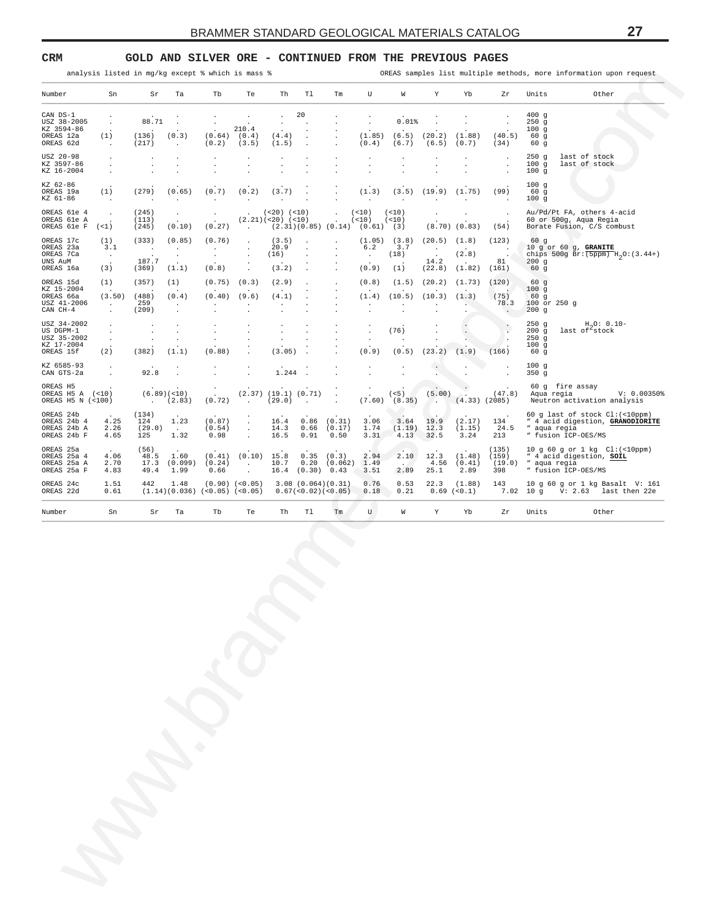#### <span id="page-26-0"></span>**CRM GOLD AND SILVER ORE - CONTINUED FROM THE PREVIOUS PAGES**

| Number                                                 |                                            |                                    |                                    |                                                         |                                              |                                      |                                 |                                             |                                            |                               |                                                   |                                                   |                                                                 |                                                 |                                                                                                            |
|--------------------------------------------------------|--------------------------------------------|------------------------------------|------------------------------------|---------------------------------------------------------|----------------------------------------------|--------------------------------------|---------------------------------|---------------------------------------------|--------------------------------------------|-------------------------------|---------------------------------------------------|---------------------------------------------------|-----------------------------------------------------------------|-------------------------------------------------|------------------------------------------------------------------------------------------------------------|
|                                                        | Sn                                         | Sr                                 | Ta                                 | Tb                                                      | Te                                           | Th                                   | T1                              | $\rm{Tm}$                                   | U                                          | W                             | Υ                                                 | Yb                                                | Zr                                                              | Units                                           | Other                                                                                                      |
| CAN DS-1<br>USZ 38-2005                                | $\cdot$                                    | 88.71                              | $\cdot$                            | $\ddot{\phantom{a}}$                                    |                                              | $\cdot$<br>$\ddot{\phantom{a}}$      | 20                              |                                             | $\cdot$                                    | 0.01%                         |                                                   |                                                   | $\cdot$                                                         | 400g<br>250g                                    |                                                                                                            |
| KZ 3594-86<br>OREAS 12a<br>OREAS 62d                   | (1)<br>$\cdot$                             | (136)<br>(217)                     | (0.3)<br>$\cdot$                   | (0.64)<br>(0.2)                                         | 210.4<br>(0.4)<br>(3.5)                      | (4.4)<br>(1.5)                       |                                 |                                             | (1.85)<br>(0.4)                            | (6.5)<br>(6.7)                | (20.2)<br>(6.5)                                   | (1.88)<br>(0.7)                                   | (40.5)<br>(34)                                                  | 100g<br>60 <sub>g</sub><br>60 g                 |                                                                                                            |
| USZ 20-98<br>KZ 3597-86<br>KZ 16-2004                  | $\cdot$<br>$\cdot$<br>$\ddot{\phantom{a}}$ | $\cdot$                            |                                    | $\cdot$<br>$\cdot$                                      | $\cdot$<br>$\cdot$                           | $\cdot$<br>$\blacksquare$            |                                 | $\cdot$<br>$\cdot$                          | $\cdot$<br>$\cdot$<br>$\ddot{\phantom{a}}$ |                               | $\blacksquare$                                    |                                                   | $\cdot$<br>$\ddot{\phantom{0}}$<br>$\cdot$                      | 250g<br>100g<br>100g                            | last of stock<br>last of stock                                                                             |
| KZ 62-86<br>OREAS 19a<br>KZ 61-86                      | (1)<br>$\blacksquare$                      | (279)                              | (0.65)<br>$\cdot$                  | (0.7)<br>$\cdot$                                        | (0.2)<br>$\sim$                              | (3.7)<br>$\cdot$                     | $\ddot{\phantom{a}}$            |                                             | (1.3)<br>$\sim$                            | (3.5)<br>$\ddot{\phantom{a}}$ | (19.9)<br>$\cdot$                                 | (1.75)<br>$\ddot{\phantom{a}}$                    | (99)<br>$\ddot{\phantom{a}}$                                    | 100g<br>60 g<br>100g                            |                                                                                                            |
| OREAS 61e 4<br>OREAS 61e A<br>OREAS 61e F              | $\cdot$<br>$($ < 1 $)$                     | (245)<br>(113)<br>(245)            | $\cdot$<br>(0.10)                  | $\cdot$<br>(0.27)                                       | $\sim$                                       | $(<20)$ $(<10)$<br>(2.21)(<20)(<10)  |                                 | $\cdot$<br>$(2.31)(0.85)(0.14)(0.61)$ (3)   | (< 10)<br>(<10)                            | (< 10)<br>(< 10)              | $\cdot$                                           | $\cdot$<br>$(8.70)$ $(0.83)$                      | $\cdot$<br>(54)                                                 |                                                 | Au/Pd/Pt FA, others 4-acid<br>60 or 500g, Aqua Regia<br>Borate Fusion, C/S combust                         |
| OREAS 17c<br>OREAS 23a<br>OREAS 7Ca<br>UNS AuM         | (1)<br>3.1<br>$\sim$                       | (333)<br>$\blacksquare$ .<br>187.7 | (0.85)<br>$\sim$<br>$\cdot$        | (0.76)<br>$\cdot$<br>$\cdot$                            | $\cdot$<br>$\cdot$<br>$\cdot$<br>$\cdot$     | (3.5)<br>20.9<br>(16)                | $\cdot$                         |                                             | (1.05)<br>6.2<br>$\sim$                    | (3.8)<br>3.7<br>(18)          | (20.5)<br>$\cdot$<br>$\ddot{\phantom{a}}$<br>14.2 | (1.8)<br>$\cdot$<br>(2.8)<br>$\ddot{\phantom{a}}$ | (123)<br>$\overline{\phantom{a}}$<br>$\ddot{\phantom{a}}$<br>81 | 60 g<br>200g                                    | 10 g or 60 g, GRANITE<br>chips 500g $Br: (5ppm) H_2O: (3.44+)$                                             |
| OREAS 16a<br>OREAS 15d                                 | (3)<br>(1)                                 | (369)<br>(357)                     | (1.1)<br>(1)                       | (0.8)<br>(0.75)                                         | $\cdot$<br>(0.3)                             | (3.2)<br>(2.9)                       |                                 | $\blacksquare$                              | (0.9)<br>(0.8)                             | (1)<br>(1.5)                  | (22.8)<br>(20.2)                                  | (1.82)<br>(1.73)                                  | (161)<br>(120)                                                  | 60g<br>60 <sub>g</sub>                          |                                                                                                            |
| KZ 15-2004<br>OREAS 66a<br>USZ 41-2006<br>CAN CH-4     | (3.50)<br>$\blacksquare$ .<br>$\cdot$      | (488)<br>259<br>(209)              | (0.4)<br>$\blacksquare$<br>$\cdot$ | (0.40)<br>$\cdot$<br>$\ddot{\phantom{a}}$               | (9.6)<br>$\cdot$<br>$\cdot$                  | (4.1)<br>$\cdot$<br>$\cdot$          |                                 |                                             | (1.4)<br>$\cdot$<br>$\cdot$                | (10.5)<br>$\cdot$             | (10.3)<br>$\blacksquare$<br>$\ddot{\phantom{0}}$  | (1.3)<br>$\cdot$                                  | (75)<br>78.3<br>$\sim$                                          | 100g<br>60 <sub>g</sub><br>100 or 250 g<br>200g |                                                                                                            |
| USZ 34-2002<br>US DGPM-1<br>USZ 35-2002<br>KZ 17-2004  | $\cdot$<br>$\cdot$<br>$\cdot$              | $\cdot$<br>$\cdot$                 | $\cdot$<br>$\cdot$<br>$\cdot$      | $\cdot$<br>$\ddot{\phantom{a}}$<br>$\ddot{\phantom{a}}$ | $\cdot$<br>$\ddot{\phantom{a}}$              | $\cdot$<br>$\cdot$<br>$\cdot$        | $\cdot$<br>$\ddot{\phantom{1}}$ |                                             | $\cdot$<br>$\cdot$<br>$\cdot$              | (76)                          |                                                   | $\ddot{\phantom{0}}$                              | $\cdot$<br>$\mathbf{h}$<br>$\cdot$                              | 250g<br>200g<br>250g<br>100g                    | $H_0O: 0.10-$<br>last of stock                                                                             |
| OREAS 15f<br>KZ 6585-93<br>CAN GTS-2a                  | (2)                                        | (382)<br>92.8                      | (1.1)                              | (0.88)                                                  | $\ddot{\phantom{a}}$<br>$\ddot{\phantom{a}}$ | (3.05)<br>1.244                      | $\ddot{\phantom{a}}$            |                                             | (0.9)<br>$\cdot$<br>$\ddot{\phantom{0}}$   | (0.5)<br>$\ddot{\phantom{a}}$ | (23.2)<br>$\cdot$                                 | (1.9)<br>$\cdot$                                  | (166)<br>$\blacksquare$                                         | 60g<br>100g<br>350 g                            |                                                                                                            |
| OREAS H5<br>OREAS H5 A (<10)<br>OREAS H5 N (<100)      |                                            | <b>Contract</b>                    | (6.89)( <sub>10</sub> )<br>(2.83)  | $\cdot$<br>(0.72)                                       | $\sim$                                       | $(2.37)$ $(19.1)$ $(0.71)$<br>(29.0) | $\sim$                          | $\cdot$<br>$\cdot$                          | $\cdot$<br>$\cdot$<br>(7.60)               | (< 5)<br>(8.35)               | (5.00)<br>$\sim$                                  | $(4.33)$ $(2085)$                                 | (47.8)                                                          |                                                 | 60 g fire assay<br>Aqua regia<br>V: 0.00350<br>Neutron activation analysis                                 |
| OREAS 24b<br>OREAS 24b 4<br>OREAS 24b A<br>OREAS 24b F | 4.25<br>2.26<br>4.65                       | (134)<br>124<br>(29.0)<br>125      | 1.23<br>$\sim 100$<br>1.32         | (0.87)<br>(0.54)<br>0.98                                | $\cdot$<br>$\cdot$<br>$\ddot{\phantom{a}}$   | 16.4<br>14.3<br>16.5                 | 0.86<br>0.66<br>0.91            | (0.31)<br>(0.17)<br>0.50                    | 3.06<br>1.74<br>3.31                       | 3.64<br>(1.19)<br>4.13        | 19.9<br>12.3<br>32.5                              | (2.17)<br>(1.15)<br>3.24                          | $\ddot{\phantom{1}}$<br>134<br>24.5<br>213                      |                                                 | 60 g last of stock Cl: (<10ppm)<br>" 4 acid digestion, GRANODIORITE<br>" aqua regia<br>" fusion ICP-OES/MS |
| OREAS 25a<br>OREAS 25a 4<br>OREAS 25a A<br>OREAS 25a F | 4.06<br>2.70<br>4.83                       | (56)<br>48.5<br>17.3<br>49.4       | 1.60<br>(0.099)<br>1.99            | (0.41)<br>(0.24)<br>0.66                                | (0.10)<br>$\cdot$<br>$\ddot{\phantom{a}}$    | 15.8<br>10.7                         | 0.35<br>0.20                    | (0.3)<br>(0.062)<br>$16.4$ $(0.30)$ $0.43$  | 2.94<br>1.49<br>3.51                       | 2.10<br>$\sim$<br>2.89        | 12.3<br>4.56<br>25.1                              | (1.48)<br>(0.41)<br>2.89                          | (135)<br>(159)<br>(19.0)<br>398                                 |                                                 | 10 g 60 g or 1 kg Cl: (<10ppm)<br>" 4 acid digestion, SOIL<br>" aqua regia<br>" fusion ICP-OES/MS          |
| OREAS 24c<br>OREAS 22d                                 | 1.51<br>0.61                               | 442                                | 1.48                               | (1.14)(0.036)(<0.05)(<0.05)                             | $(0.90)$ $(<0.05)$                           |                                      |                                 | 3.08(0.064)(0.31)<br>0.67 (< 0.02) (< 0.05) | 0.76<br>0.18                               | 0.53<br>0.21                  | 22.3                                              | (1.88)<br>$0.69$ (< $0.1$ )                       | 143                                                             |                                                 | 10 g 60 g or 1 kg Basalt V: 161<br>7.02 10 g V: 2.63 last then 22e                                         |
| Number                                                 | Sn                                         | Sr                                 | Ta                                 | Tb                                                      | Te                                           | Th                                   | T1                              | $\rm{Tm}$                                   | U                                          | W                             | Y                                                 | Yb                                                | Zr                                                              | Units                                           | Other                                                                                                      |
|                                                        |                                            |                                    |                                    |                                                         |                                              |                                      |                                 |                                             |                                            |                               |                                                   |                                                   |                                                                 |                                                 |                                                                                                            |
|                                                        |                                            |                                    |                                    |                                                         |                                              |                                      |                                 |                                             |                                            |                               |                                                   |                                                   |                                                                 |                                                 |                                                                                                            |
|                                                        |                                            |                                    |                                    |                                                         |                                              |                                      |                                 |                                             |                                            |                               |                                                   |                                                   |                                                                 |                                                 |                                                                                                            |
|                                                        |                                            |                                    |                                    |                                                         |                                              |                                      |                                 |                                             |                                            |                               |                                                   |                                                   |                                                                 |                                                 |                                                                                                            |
|                                                        |                                            |                                    |                                    |                                                         |                                              |                                      |                                 |                                             |                                            |                               |                                                   |                                                   |                                                                 |                                                 |                                                                                                            |
|                                                        |                                            |                                    |                                    |                                                         |                                              |                                      |                                 |                                             |                                            |                               |                                                   |                                                   |                                                                 |                                                 |                                                                                                            |
|                                                        |                                            |                                    |                                    |                                                         |                                              |                                      |                                 |                                             |                                            |                               |                                                   |                                                   |                                                                 |                                                 |                                                                                                            |
|                                                        |                                            |                                    |                                    |                                                         |                                              |                                      |                                 |                                             |                                            |                               |                                                   |                                                   |                                                                 |                                                 |                                                                                                            |
|                                                        |                                            |                                    |                                    |                                                         |                                              |                                      |                                 |                                             |                                            |                               |                                                   |                                                   |                                                                 |                                                 |                                                                                                            |
|                                                        |                                            |                                    |                                    |                                                         |                                              |                                      |                                 |                                             |                                            |                               |                                                   |                                                   |                                                                 |                                                 |                                                                                                            |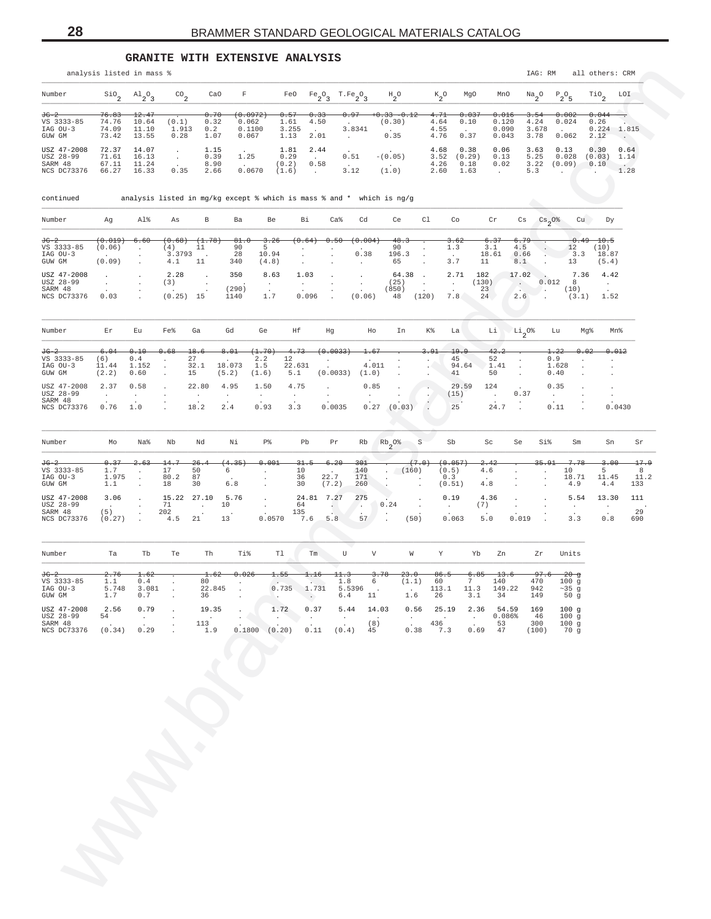**GRANITE WITH EXTENSIVE ANALYSIS**

<span id="page-27-0"></span>

|                                                     | analysis listed in mass %                   |                                         |                                       |                              |                                                                         |                                                            |                                      |                                       |                                 |                                           |                                                         |                                  |                                             |                                             |                                       | IAG: RM                                           |                                                        | all others: CRM                            |                                                     |                   |
|-----------------------------------------------------|---------------------------------------------|-----------------------------------------|---------------------------------------|------------------------------|-------------------------------------------------------------------------|------------------------------------------------------------|--------------------------------------|---------------------------------------|---------------------------------|-------------------------------------------|---------------------------------------------------------|----------------------------------|---------------------------------------------|---------------------------------------------|---------------------------------------|---------------------------------------------------|--------------------------------------------------------|--------------------------------------------|-----------------------------------------------------|-------------------|
| Number                                              | $\mathsf{Sio}_2$                            | $A1_{2}O_{3}$                           | $^{CO}$ <sub>2</sub>                  | CaO                          | F                                                                       |                                                            | FeO<br>$Fe_2O_3$                     |                                       | $T.Fe_2O_3$                     | $H_2^O$                                   |                                                         | $k_{2}^{\circ}$                  | MgO                                         | MnO                                         |                                       | $\frac{Na}{2}$ <sup>O</sup>                       | $P_2O_5$                                               | $\overline{110}$ <sub>2</sub>              | LOI                                                 |                   |
| JG-2<br>VS 3333-85<br>IAG OU-3<br>GUW GM            | <del>76.83</del><br>74.76<br>74.09<br>73.42 | 12.47<br>10.64<br>11.10<br>13.55        | (0.1)<br>1.913<br>0.28                | 0.70<br>0.32<br>0.2<br>1.07  | <del>(0.0972)</del><br>0.062<br>0.1100<br>0.067                         | 0.57<br>1.61<br>3.255<br>1.13                              | 0.33<br>4.50<br>$\sim$ $-$<br>2.01   |                                       | 3.8341<br>$\sim$                | $0.33 - 0.12$<br>(0.30)<br>$\sim$<br>0.35 |                                                         | 4.71<br>4.64<br>4.55<br>4.76     | 0.037<br>0.10<br>$\sim$<br>0.37             | 0.016<br>0.120<br>0.090<br>0.043            |                                       | 3.54<br>4.24<br>3.678<br>3.78                     | 0.002<br>0.024<br><b>Contract Contract</b><br>0.062    | 0.044<br>0.26<br>0.224<br>2.12             | $\overline{\phantom{a}}$<br>1.815<br>$\sim$ $^{-1}$ |                   |
| USZ 47-2008<br>USZ 28-99<br>SARM 48<br>NCS DC73376  | 72.37<br>71.61<br>67.11<br>66.27            | 14.07<br>16.13<br>11.24<br>16.33        | $\sim$<br>$\sim$<br>0.35              | 1.15<br>0.39<br>8.90<br>2.66 | 1.25<br>0.0670                                                          | 1.81<br>0.29<br>(0.2)<br>(1.6)                             | 2.44<br>$\sim$ $-$<br>0.58<br>$\sim$ |                                       | 0.51<br>$\sim 10^{-11}$<br>3.12 | $-(0.05)$<br>$\sim$<br>(1.0)              |                                                         | 4.68<br>3.52<br>4.26<br>2.60     | 0.38<br>(0.29)<br>0.18<br>1.63              | 0.06<br>0.13<br>0.02<br>$\sim$              |                                       | 3.63<br>5.25<br>3.22<br>5.3                       | 0.13<br>0.028<br>(0.09)<br>$\mathcal{L}_{\mathcal{A}}$ | 0.30<br>(0.03)<br>0.10<br>W.               | 0.64<br>1.14<br>1.28                                |                   |
| continued                                           |                                             |                                         |                                       |                              | analysis listed in mg/kg except % which is mass % and * which is $ng/g$ |                                                            |                                      |                                       |                                 |                                           |                                                         |                                  |                                             |                                             |                                       | A                                                 |                                                        |                                            |                                                     |                   |
| Number                                              | Ag                                          | Al%                                     | As                                    | В                            | Ba                                                                      | Be                                                         | Вi                                   | $Ca\,$                                | Cd                              | Ce                                        | Cl                                                      |                                  | Co                                          | Cr                                          | Cs                                    | $\frac{\text{Cs}}{2}$ <sup>0%</sup>               |                                                        | cu<br>Dy                                   |                                                     |                   |
| <del>JG-2</del><br>VS 3333-85<br>IAG OU-3<br>GUW GM | (0.019)<br>(0.06)<br>(0.09)                 | 6.60<br>$\cdot$<br>$\cdot$<br>$\cdot$   | (0.68)<br>(4)<br>3.3793<br>4.1        | (1.78)<br>11<br>11           | -81.O<br>90<br>28<br>340                                                | 3.26<br>$5 -$<br>10.94<br>(4.8)                            | (0.64)<br>$\cdot$                    | 0.50                                  | (0.004<br>0.38<br>$\sim$        | 48.3<br>90<br>196.3<br>65                 | $\ddot{\phantom{a}}$<br>$\cdot$<br>$\ddot{\phantom{a}}$ |                                  | <del>3.62</del><br>$1.3\,$<br>$\sim$<br>3.7 | 6.37<br>3.1<br>18.61<br>11                  | <del>6.79</del><br>4.5<br>0.66<br>8.1 |                                                   | 12<br>$-3.3$<br>13                                     | $0.49 - 10.5$<br>(10)<br>18.87<br>(5.4)    |                                                     |                   |
| USZ 47-2008<br>USZ 28-99<br>SARM 48<br>NCS DC73376  | $\cdot$<br>$\cdot$<br>0.03                  | $\cdot$                                 | 2.28<br>(3)<br>$(0.25)$ 15            | $\cdot$<br>$\cdot$           | 350<br>(290)<br>1140                                                    | 8.63<br>$\sim$<br>1.7                                      | 1.03<br>$\sim$<br>0.096              |                                       | $\cdot$<br>$\cdot$<br>(0.06)    | 64.38<br>(25)<br>(850)<br>48              | $\sim$<br>$\sim$<br>(120)                               |                                  | 2.71<br>$\sim$<br>7.8                       | 182<br>(130)<br>23<br>24                    | 17.02<br>$\sim$<br>2.6                | 0.012                                             | 8<br>(10)                                              | 7.36<br>4.42<br>$\sim 100$<br>$(3.1)$ 1.52 |                                                     |                   |
| Number                                              | Er                                          | Eu                                      | Fe%                                   | Ga                           | Gd                                                                      | Ge                                                         | Ηf                                   | Hg                                    | Ho                              | In                                        |                                                         | K%                               | La                                          | Li                                          | $\frac{Li}{2}$ <sup>0%</sup>          |                                                   | Lu                                                     | Mg%                                        | Mn%                                                 |                   |
| <del>JG-2</del><br>VS 3333-85<br>IAG OU-3<br>GUW GM | 6.04<br>(6)<br>11.44<br>(2.2)               | 0.10<br>0.4<br>1.152<br>0.60            | 0.68<br>$\cdot$<br>$\cdot$<br>$\cdot$ | 18.6<br>27<br>32.1<br>15     | 8.01<br>$\blacksquare$<br>18.073<br>(5.2)                               | (1.70)<br>2.2<br>12<br>1.5<br>(1.6)                        | 4.73<br>22.631<br>5.1                | (0.0033)<br>$\cdot$<br>(0.0033)       | 1.67<br>4.011<br>(1.0)          |                                           | $\cdot$                                                 | 3.91<br>$\overline{\phantom{a}}$ | 19.9<br>45<br>94.64<br>41                   | 42.2<br>52<br>1.41<br>50                    | $\cdot$<br>$\cdot$                    | 0.9                                               | 1.22<br>1.628<br>0.40                                  | 0.02<br>$\cdot$                            | 0.012<br>$\cdot$<br>$\cdot$<br>$\cdot$              |                   |
| USZ 47-2008<br>USZ 28-99<br>SARM 48<br>NCS DC73376  | 2.37<br>$\sim$<br>0.76                      | 0.58<br>$\sim$<br>1.0                   |                                       | 22.80<br>$\sim$<br>18.2      | 4.95<br>$\cdot$<br>2.4                                                  | 1.50<br>$\sim$<br>0.93                                     | 4.75<br>$\cdot$<br>3.3               | $\cdot$<br>0.0035                     | 0.85<br>$\sim$                  | $0.27$ $(0.03)$                           |                                                         | Ċ,                               | 29.59<br>(15)<br>25                         | 124<br>$\sim$<br>24.7                       | 0.37                                  | $\sim$                                            | 0.35<br>0.11                                           |                                            | $\cdot$<br>$\cdot$<br>0.0430                        |                   |
| Number                                              | Mo                                          | Na%                                     | Nb                                    | Nd                           | Νi                                                                      | P%                                                         | Pb                                   | Pr                                    | Rb                              | $Rb_2$ 0% S                               |                                                         |                                  | Sb                                          | Sc                                          | Se                                    | Si%                                               | Sm                                                     | Sn                                         | Sr                                                  |                   |
| JG-2<br>VS 3333-85<br>IAG OU-3<br>GUW GM            | 0.37<br>1.7<br>1.975<br>1.1                 | 2.63<br>$\sim$<br>$\cdot$<br>$\epsilon$ | 14.7<br>17<br>80.2<br>18              | 26.4<br>50<br>87<br>30       | (4.35)<br>6<br>6.8                                                      | 0.001<br>$\cdot$<br>$\blacksquare$<br>$\ddot{\phantom{a}}$ | 31.5<br>10<br>36<br>30               | 6.20<br>$\sim$<br>22.7<br>(7.2)       | 301<br>140<br>171<br>260        | $\sim$ 4.<br>$\cdot$<br>$\cdot$           | (7.0)<br>(160)                                          | (0.5)<br>0.3<br>(0.51)           | (0.057)                                     | <del>2.42</del><br>4.6<br>4.8               | $\ddot{\phantom{0}}$<br>$\epsilon$    | <del>35.91</del><br>$\cdot$<br>$\cdot$<br>$\cdot$ | 7.78<br>10<br>18.71<br>4.9                             | 3.OO<br>5<br>11.45<br>4.4                  | 133                                                 | 17.9<br>8<br>11.2 |
| USZ 47-2008<br>USZ 28-99<br>SARM 48<br>NCS DC73376  | 3.06<br>$\sim$<br>(5)<br>(0.27)             | $\cdot$<br>$\cdot$                      | 15.22<br>71<br>202<br>4.5             | 27.10<br>$\sim$<br>21        | 5.76<br>10<br>13                                                        | $\cdot$<br>$\cdot$<br>0.0570                               | 24.81 7.27<br>64<br>135<br>7.6       | A.<br>5.8                             | 275<br>A.<br>57                 | 0.24                                      | $\cdot$<br>$\overline{\phantom{a}}$<br>(50)             | 0.19<br>$\sim$                   | 0.063                                       | 4.36<br>(7)<br>5.0                          | $\cdot$<br>$\cdot$<br>0.019           |                                                   | 5.54<br>$\sim$<br>3.3                                  | 13.30<br>$\sim$<br>$0.8$                   | 111<br>29<br>690                                    |                   |
| Number                                              | Ta                                          | Tb                                      | Te                                    | Th                           | Ti%                                                                     | Tl                                                         | Tm                                   | U                                     | V                               |                                           | W                                                       | Y                                | Yb                                          | Zn                                          |                                       | Zr                                                | Units                                                  |                                            |                                                     |                   |
| JG-2<br>VS 3333-85<br>IAG OU-3<br>GUW GM            | <del>2.76</del><br>1.1<br>5.748<br>1.7      | 1.62<br>0.4<br>3.081<br>0.7             | $\cdot$<br>$\cdot$                    | 1.62<br>80<br>22.845<br>36   | $-0.026$<br>$\sim$ $\sim$                                               | 1.55<br>$\sim$<br>n and                                    | 1.16<br>No. 1<br>$0.735$ 1.731       | 11.3<br>$1.8\,$<br>5.5396             | 6.4 11                          | 3.78<br>$6\overline{}$                    | 23.0<br>(1.1)<br>1.6 26                                 | 86.5<br>60<br>113.1              | 6.85<br>7<br>11.3<br>3.1                    | $-13.6$<br>140<br>149.22<br>34              |                                       | 97.6<br>470<br>942<br>149                         | $-20$ g<br>100 <sub>g</sub><br>$~125$ g<br>50g         |                                            |                                                     |                   |
| USZ 47-2008<br>USZ 28-99<br>SARM 48<br>NCS DC73376  | 2.56<br>54<br>$\sim$ $\sim$<br>(0.34)       | 0.79<br>$\sim$<br>0.29                  |                                       | 19.35<br>113<br>1.9          |                                                                         | 1.72<br>0.1800 (0.20)                                      | 0.37<br>0.11                         | 5.44<br>$\ddot{\phantom{0}}$<br>(0.4) | 14.03<br>(8)<br>45              |                                           | $0.56$ 25.19<br>$\sim 10^{-11}$<br>$\sim$<br>0.38       | $\sim 100$<br>436<br>7.3         | $\sim 10^{-10}$<br>$\sim$                   | 2.36 54.59 169<br>0.086%<br>53<br>$0.69$ 47 |                                       | 46<br>300<br>(100)                                | 100g<br>100g<br>100g<br>70 g                           |                                            |                                                     |                   |
|                                                     |                                             |                                         |                                       |                              |                                                                         |                                                            |                                      |                                       |                                 |                                           |                                                         |                                  |                                             |                                             |                                       |                                                   |                                                        |                                            |                                                     |                   |
|                                                     |                                             |                                         |                                       |                              |                                                                         |                                                            |                                      |                                       |                                 |                                           |                                                         |                                  |                                             |                                             |                                       |                                                   |                                                        |                                            |                                                     |                   |
|                                                     |                                             |                                         |                                       |                              |                                                                         |                                                            |                                      |                                       |                                 |                                           |                                                         |                                  |                                             |                                             |                                       |                                                   |                                                        |                                            |                                                     |                   |
|                                                     |                                             |                                         |                                       |                              |                                                                         |                                                            |                                      |                                       |                                 |                                           |                                                         |                                  |                                             |                                             |                                       |                                                   |                                                        |                                            |                                                     |                   |
|                                                     |                                             |                                         |                                       |                              |                                                                         |                                                            |                                      |                                       |                                 |                                           |                                                         |                                  |                                             |                                             |                                       |                                                   |                                                        |                                            |                                                     |                   |
|                                                     |                                             |                                         |                                       |                              |                                                                         |                                                            |                                      |                                       |                                 |                                           |                                                         |                                  |                                             |                                             |                                       |                                                   |                                                        |                                            |                                                     |                   |
|                                                     |                                             |                                         |                                       |                              |                                                                         |                                                            |                                      |                                       |                                 |                                           |                                                         |                                  |                                             |                                             |                                       |                                                   |                                                        |                                            |                                                     |                   |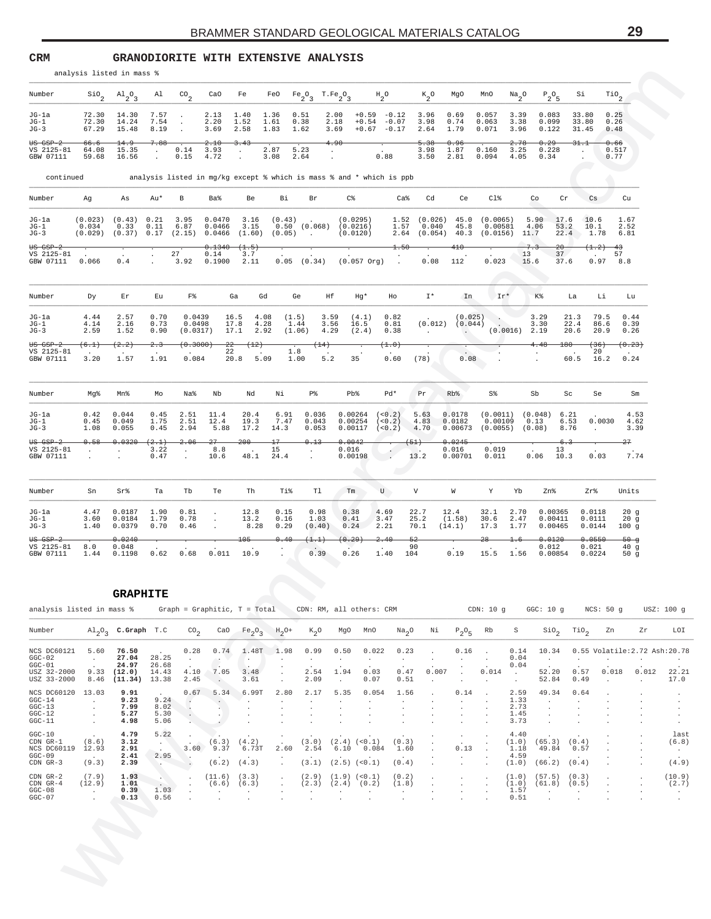<span id="page-28-0"></span>**CRM GRANODIORITE WITH EXTENSIVE ANALYSIS**

|                                                                                                 |                                                                                                                                                                                                                           | analysis listed in mass %                                                   |                                           |                                                                                        |                          |                                                        |                                                                    |                                                                                                                                                       |                                                                      |                                                                                                                                                                                                                                |                         |                                                |                                                                                                                              |                                                                     |                              |                                                                                                     |                                             |                                             |                                                                             |                                      |
|-------------------------------------------------------------------------------------------------|---------------------------------------------------------------------------------------------------------------------------------------------------------------------------------------------------------------------------|-----------------------------------------------------------------------------|-------------------------------------------|----------------------------------------------------------------------------------------|--------------------------|--------------------------------------------------------|--------------------------------------------------------------------|-------------------------------------------------------------------------------------------------------------------------------------------------------|----------------------------------------------------------------------|--------------------------------------------------------------------------------------------------------------------------------------------------------------------------------------------------------------------------------|-------------------------|------------------------------------------------|------------------------------------------------------------------------------------------------------------------------------|---------------------------------------------------------------------|------------------------------|-----------------------------------------------------------------------------------------------------|---------------------------------------------|---------------------------------------------|-----------------------------------------------------------------------------|--------------------------------------|
| Number                                                                                          |                                                                                                                                                                                                                           | $\sin^2 2$ $\sin^2 3$ al $\cos^2 2$ $\cos^2 2$ Fe                           |                                           |                                                                                        |                          |                                                        |                                                                    | FeO Fe <sub>2</sub> <sup>O</sup> <sub>3</sub> T.Fe <sub>2</sub> <sup>O</sup> <sub>3</sub> H <sub>2</sub> <sup>O</sup> K <sub>2</sub> <sup>O</sup> MgO |                                                                      |                                                                                                                                                                                                                                |                         |                                                |                                                                                                                              | MnO                                                                 |                              | $N a$ <sub>2</sub> <sup>O</sup> $P$ <sub>2</sub> <sup>O</sup> <sub>5</sub>                          | Si                                          | $\text{rio}_2$                              |                                                                             |                                      |
| JG-la<br>$JG-1$<br>$JG-3$                                                                       |                                                                                                                                                                                                                           | 72.30 14.30<br>72.30 14.24<br>67.29 15.48                                   | 7.57<br>7.54<br>8.19                      | <b>Contract Contract</b><br><b>Contractor</b>                                          | 2.13<br>2.20<br>3.69     | 1.40<br>1.52<br>2.58                                   | $1.36$ 0.51<br>1.61<br>1.83 1.62                                   | 0.38                                                                                                                                                  | 3.69                                                                 | $2.00 + 0.59 - 0.12$ 3.96 0.69<br>$2.18 + 0.54 - 0.07$<br>$+0.67 -0.17$                                                                                                                                                        |                         | 3.98<br>2.64                                   | 0.74<br>1.79                                                                                                                 | 0.057<br>0.063<br>0.071                                             | 3.39<br>3.38<br>3.96         | 0.083<br>0.099<br>0.122                                                                             | 33.80<br>33.80<br>31.45                     | 0.25<br>0.26<br>0.48                        |                                                                             |                                      |
| $US$ $GSP-2$<br>VS 2125-81<br>GBW 07111                                                         | $66.6 -$                                                                                                                                                                                                                  | 14.9<br>64.08 15.35<br>59.68 16.56                                          | 7.88<br>$\sim 10^{-10}$<br>$\sim$         | $0.14$ 3.93<br>$0.15$ 4.72                                                             | 2.10                     | $-3.43$<br><b>Contract</b><br>$\cdot$                  | $2.87$ 5.23<br>$3.08$ 2.64                                         |                                                                                                                                                       | 4.90<br>$\sim 100$ km s $^{-1}$                                      | 0.88                                                                                                                                                                                                                           |                         | $-5.38$<br>3.98<br>3.50                        | 0.96<br>1.87<br>2.81                                                                                                         | 0.160<br>$0.094$ 4.05 0.34                                          | 2.78<br>3.25                 | 0.29<br>0.228                                                                                       | 31.1<br><b>Contract</b>                     | 0.66<br>0.517<br>0.77                       |                                                                             |                                      |
| continued                                                                                       |                                                                                                                                                                                                                           |                                                                             |                                           |                                                                                        |                          |                                                        |                                                                    | analysis listed in mg/kg except % which is mass % and * which is ppb                                                                                  |                                                                      |                                                                                                                                                                                                                                |                         |                                                |                                                                                                                              |                                                                     |                              |                                                                                                     |                                             |                                             |                                                                             |                                      |
| Number                                                                                          | Ag                                                                                                                                                                                                                        | As                                                                          | Au*                                       | B.                                                                                     | Ba%                      | Be                                                     | Bi                                                                 | Br                                                                                                                                                    | $C\$                                                                 |                                                                                                                                                                                                                                | Ca%                     | Cd                                             | Ce                                                                                                                           | $C1\%$                                                              |                              | Co                                                                                                  | Cr                                          | $\mathbb{C}$ s                              | Cu                                                                          |                                      |
| $JG-1a$<br>$JG-1$<br>$JG-3$                                                                     | $(0.023)$ $(0.43)$ 0.21<br>0.034<br>$(0.029)$ $(0.37)$ $0.17$ $(2.15)$ $0.0466$ $(1.60)$ $(0.05)$ .                                                                                                                       | 0.33                                                                        |                                           | 3.95<br>$0.11$ $6.87$                                                                  | 0.0470<br>0.0466         | 3.15                                                   |                                                                    | $3.16$ $(0.43)$ .<br>$0.50$ $(0.068)$ $(0.0216)$                                                                                                      | (0.0120)                                                             | (0.0295)                                                                                                                                                                                                                       |                         |                                                |                                                                                                                              | 1.57  0.040  45.8  0.00581  4.06<br>2.64 (0.054) 40.3 (0.0156) 11.7 |                              | 1.52 (0.026) 45.0 (0.0065) 5.90 17.6                                                                | 53.2                                        | 10.6<br>10.1<br>22.4 1.78 6.81              | 1.67<br>2.52                                                                |                                      |
| $US$ $GSP-2$<br>VS 2125-81<br>GBW 07111                                                         | 0.066                                                                                                                                                                                                                     | $0.4$ $27$ $0.14$ $3.7$ $0.5$ $(0.34)$ $(0.057 \text{ or } 9)$ $0.08$ $112$ |                                           | 27                                                                                     | 0.1340(1.5)              |                                                        |                                                                    |                                                                                                                                                       |                                                                      |                                                                                                                                                                                                                                | $-1.50$                 |                                                | $410 -$                                                                                                                      | 0.023                                                               | 13<br>15.6                   | 7.3<br>$-20-$                                                                                       | 37 <sup>7</sup><br>37.6                     | $(1.2)$ 43<br><b>Contractor</b><br>0.97 8.8 | 57                                                                          |                                      |
| Number                                                                                          | Dy                                                                                                                                                                                                                        | Er                                                                          | Eu                                        | F <sup>o</sup>                                                                         |                          | Ga                                                     | Gd                                                                 | Ge                                                                                                                                                    | Ηf                                                                   | Hg*                                                                                                                                                                                                                            | Ho                      | $I^*$                                          | In                                                                                                                           | $Ir^*$                                                              |                              | K%                                                                                                  | La                                          | Li                                          | Lu                                                                          |                                      |
| $JG-1a$<br>$JG-1$<br>$JG-3$                                                                     | 4.44<br>4.14<br>2.59                                                                                                                                                                                                      | 2.57<br>2.16<br>1.52                                                        | 0.70<br>0.73<br>0.90                      | 0.0439<br>0.0498<br>(0.0317)                                                           |                          | 16.5 4.08<br>17.8 4.28<br>$17.1$ 2.92                  |                                                                    | (1.5)<br>1.44<br>$(1.06)$ 4.29                                                                                                                        | 3.59<br>3.56                                                         | (4.1)<br>16.5<br>(2.4)                                                                                                                                                                                                         | 0.82<br>0.81<br>0.38    | <b>Contractor</b>                              | <b>Contract Contract Contract Contract</b>                                                                                   | $(0.025)$<br>$(0.012)$ $(0.044)$                                    | $(0.0016)$ 2.19              | 3.29<br>3.30                                                                                        | 21.3<br>22.4<br>20.6                        | 79.5<br>86.6<br>20.9                        | 0.44<br>0.39<br>0.26                                                        |                                      |
| $US$ $GSP-2$<br>VS 2125-81<br>GBW 07111                                                         | (6.1)<br>3.20                                                                                                                                                                                                             | (2.2)<br>1.57                                                               | 2.3<br>1.91                               | <del>(0.3000)</del><br>0.084                                                           |                          | $22 - (12)$<br>22 .<br>$20.8$ 5.09                     |                                                                    | (14)<br>1.8<br>1.00<br>5.2                                                                                                                            |                                                                      | 35                                                                                                                                                                                                                             | (1.0)<br>$0.60$ (78)    |                                                | 0.08                                                                                                                         |                                                                     |                              | 4.48                                                                                                | $180 -$<br>$\sim 100$ km s $^{-1}$          | (36)<br>20<br>60.5 16.2 0.24                | (0.23)                                                                      |                                      |
| Number                                                                                          | Mg%                                                                                                                                                                                                                       | Mn%                                                                         | Mo                                        | Na%                                                                                    | Nb                       | Nd                                                     | Νi                                                                 | P <sup>8</sup>                                                                                                                                        | Pb%                                                                  |                                                                                                                                                                                                                                | $Pd*$                   | Pr                                             | $Rb$ %                                                                                                                       | S%                                                                  |                              | Sb                                                                                                  | Sc                                          | Se                                          | Sm                                                                          |                                      |
| JG-la<br>$JG-1$<br>$JG-3$                                                                       | 0.42<br>0.45<br>1.08                                                                                                                                                                                                      | 0.044<br>0.049<br>0.055                                                     | 0.45<br>1.75<br>0.45                      | 2.51<br>2.51<br>2.94                                                                   | 11.4<br>12.4<br>5.88     | 20.4<br>19.3<br>17.2                                   | 6.91<br>7.47<br>14.3                                               | 0.036<br>0.043<br>0.053                                                                                                                               |                                                                      | $0.00264$ $(0.2)$<br>$0.00254$ $(<0.2)$ 4.83<br>$0.00117$ (<0.2) 4.70                                                                                                                                                          |                         | 5.63                                           | 0.0178<br>0.0182                                                                                                             |                                                                     |                              | $(0.0011)$ $(0.048)$ 6.21<br>$0.00109$ $0.13$ 6.53<br>$0.00673$ (0.0055) (0.08) 8.76                |                                             | 0.0030<br>$\sim$ $\sim$                     | 4.53<br>4.62<br>3.39                                                        |                                      |
| $00$ $00$ $00$ $00$ $00$ $00$ $00$ $00$ $00$ $00$ $00$ $00$ $00$ $00VS 2125-81GBW 07111$        | 0.58<br>and a straight and a straight                                                                                                                                                                                     | 0.0320                                                                      | (2.1)<br>3.22<br>0.47                     | 2.06<br><b>Contract</b>                                                                | $27-$<br>8.8<br>10.6     | $200 -$<br>$\sim$ 15                                   | $17-$<br>48.1 24.4                                                 | 0.13<br><b>Contractor</b>                                                                                                                             | 0.0042                                                               | $0.016$<br>0.00198 $13.2$                                                                                                                                                                                                      |                         | (51)                                           | 0.0245<br>0.016<br>0.00701                                                                                                   | 0.019<br>0.011                                                      |                              | 13<br>$0.06$ 10.3                                                                                   | $-6.3$                                      | 0.03                                        | 27<br>7.74                                                                  |                                      |
| Number                                                                                          | Sn                                                                                                                                                                                                                        | Sr%                                                                         | Ta                                        | Tb                                                                                     | Te                       | Th                                                     | Ti%                                                                | Tl                                                                                                                                                    |                                                                      | Tm and the set of the set of the set of the set of the set of the set of the set of the set of the set of the set of the set of the set of the set of the set of the set of the set of the set of the set of the set of the se | U                       | V                                              | W                                                                                                                            | Y                                                                   | Yb                           | Zn%                                                                                                 |                                             | Zr%                                         | Units                                                                       |                                      |
| JG-la<br>$JG-1$<br>$JG-3$                                                                       | 4.47<br>3.60<br>1.40                                                                                                                                                                                                      | 0.0187<br>0.0184<br>0.0379                                                  | 1.90<br>1.79<br>0.70                      | 0.81<br>0.78<br>0.46                                                                   | $\sim$<br>$\sim 100$     | 12.8<br>13.2<br>8.28                                   | 0.15<br>0.16<br>0.29                                               | 0.98<br>1.03<br>(0.40)                                                                                                                                | 0.38<br>0.41<br>0.24                                                 | 4.69<br>3.47<br>2.21                                                                                                                                                                                                           |                         | 22.7<br>25.2<br>70.1                           | 12.4<br>(1.58)<br>(14.1)                                                                                                     | 32.1<br>30.6 2.47<br>17.3                                           | 2.70<br>1.77                 | 0.00365<br>0.00411<br>0.00465                                                                       |                                             | 0.0118<br>0.0111<br>0.0144                  | 20q<br>20g<br>100g                                                          |                                      |
| $US$ $GSP-2$<br>VS 2125-81<br>GBW 07111                                                         | 8.0                                                                                                                                                                                                                       | 0.0240<br>0.048<br>1.44  0.1198  0.62  0.68  0.011  10.9                    |                                           |                                                                                        |                          | $105 -$                                                | 0.40                                                               | (1.1)<br>0.39                                                                                                                                         | (0.29)<br>0.26                                                       | 2.40<br>1.40                                                                                                                                                                                                                   | $-52$<br>104            | 90                                             | 0.19                                                                                                                         | $28 -$                                                              | 1.6                          | 0.0120<br>0.012<br>15.5 1.56 0.00854 0.0224                                                         |                                             | 0.0550<br>0.021                             | $50 - g$<br>40g<br>50 $g$                                                   |                                      |
|                                                                                                 |                                                                                                                                                                                                                           | <b>GRAPHITE</b>                                                             |                                           |                                                                                        |                          |                                                        |                                                                    |                                                                                                                                                       |                                                                      |                                                                                                                                                                                                                                |                         |                                                |                                                                                                                              |                                                                     |                              |                                                                                                     |                                             |                                             |                                                                             |                                      |
| analysis listed in mass % Graph = Graphitic, T = Total CDN: RM, all others: CRM<br>Number       | $\text{Al}_2\text{O}_3$ c.Graph T.C $\text{CO}_2$ CaO Fe <sub>2</sub> O <sub>3</sub> H <sub>2</sub> O+ K <sub>2</sub> O MgO MnO Na <sub>2</sub> O Ni P <sub>2</sub> O <sub>5</sub> Rb S SiO <sub>2</sub> TiO <sub>2</sub> |                                                                             |                                           |                                                                                        |                          |                                                        |                                                                    |                                                                                                                                                       |                                                                      |                                                                                                                                                                                                                                |                         |                                                |                                                                                                                              |                                                                     |                              |                                                                                                     |                                             |                                             | CDN: 10 g GGC: 10 g NCS: 50 g USZ: 100 g<br>Zn Zr                           | LOI                                  |
| NCS DC60121 5.60 76.50<br>$GGC-02$ .                                                            |                                                                                                                                                                                                                           | 27.04 28.25                                                                 |                                           | <b>Contract</b>                                                                        | $\overline{\mathcal{A}}$ | $\sim$ $\sim$                                          | <b>Contract</b>                                                    | $0.28$ $0.74$ $1.48$ T $1.98$ $0.99$ $0.50$ $0.022$<br><b>Contract</b>                                                                                | <b>Contract</b>                                                      | <b>Contract</b>                                                                                                                                                                                                                | 0.23<br><b>Contract</b> | <b>Contractor</b><br>$\sim 10^{-10}$ m $^{-1}$ |                                                                                                                              | and the contract of                                                 | 0.04                         | <b>Contractor</b>                                                                                   | $\sim 100$                                  | <b>Contractor</b>                           | 0.16 . 0.14 10.34 0.55 Volatile: 2.72 Ash: 20.7<br><b>Contract Contract</b> |                                      |
| $GGC-01$<br>USZ 32-2000 9.33 (12.0) 14.43 4.10 7.05 3.48<br>USZ 33-2000 8.46 (11.34) 13.38 2.45 |                                                                                                                                                                                                                           | 24.97 26.68                                                                 |                                           |                                                                                        | <b>Contract</b>          |                                                        | $3.61$ .                                                           |                                                                                                                                                       | $2.09$ .                                                             | $2.54$ 1.94 0.03<br>0.07                                                                                                                                                                                                       | 0.47<br>0.51            | 0.007<br><b>Contractor</b>                     |                                                                                                                              | $0.014$ .<br>and the company of                                     | 0.04<br><b>Contract</b>      |                                                                                                     | 52.84 0.49                                  |                                             | 52.20  0.57  0.018  0.012  22.2<br>the company's company's com-             | 17.0                                 |
| NCS DC60120 13.03<br>$GGC-14$<br>$GGC-13$<br>$GGC-12$<br>$GGC-11$                               | <b>Contract</b><br>$\sim$<br>$\sim$<br><b>Contract</b>                                                                                                                                                                    | 9.91<br>9.23<br>7.99<br>5.27<br>4.98                                        | 9.24<br>8.02<br>5.30<br>5.06              | $\sim$<br><b>Contract of the Contract</b><br>$\sim$ $\sim$ $\times$<br><b>Contract</b> | $\sim$ $\sim$<br>- 800   | $\sim$ $-$<br>$\cdot$<br>$\cdot$<br>$\cdot$            | $0.67$ 5.34 6.99T 2.80<br>$\sim$<br>$\cdot$                        | $\sim$                                                                                                                                                | $\sim$<br>$\cdot$<br>$\cdot$                                         | 2.17 5.35 0.054<br><b>Contract</b><br>$\sim$<br>$\sim$                                                                                                                                                                         | 1.56<br><b>Contract</b> | <b>Carl Corporation</b>                        | $\sim$<br>$\sim$<br>$\sim$                                                                                                   | $0.14$ .                                                            | 1.33<br>2.73<br>1.45<br>3.73 | 2.59 49.34<br>$\sim 100$ $\mu$<br><b>Contract Contract</b><br>$\sim$ 100 $\pm$<br><b>Contractor</b> | 0.64<br>$\sim$<br>$\sim$<br>$\sim$ 4 $\sim$ |                                             |                                                                             | $\sim$<br>$\sim$<br>$\sim$<br>$\sim$ |
| $GGC-10$<br>$CDN$ $GR-1$ $(8.6)$<br>NCS DC60119 12.93                                           | <b>Contractor</b>                                                                                                                                                                                                         | 4.79<br>3.12<br>2.91                                                        | 5.22<br>$2.41$ 2.95                       | $\sim 100$<br><b>Contract Contract</b>                                                 |                          | $(6.3)$ $(4.2)$<br>3.60 9.37 6.73T                     |                                                                    | (3.0) $(2.4)$ $(0.1)$ $(0.3)$ .<br>2.60 2.54 6.10 0.084 1.60                                                                                          |                                                                      |                                                                                                                                                                                                                                |                         |                                                | $\mathcal{A}$ and $\mathcal{A}$ are $\mathcal{A}$ and $\mathcal{A}$ and $\mathcal{A}$<br>$0.13$ .<br>and a strategic control |                                                                     | 4.40<br>4.59                 | $(1.0)$ $(65.3)$ $(0.4)$ .<br>1.18  49.84  0.57                                                     |                                             |                                             |                                                                             | las<br>(6.8<br>$\sim 100$            |
| $GGC-09$<br>$CDN$ $GR-3$                                                                        | (9.3)                                                                                                                                                                                                                     | 2.39                                                                        | <b>Contract Contract Contract</b><br>1.93 | $\rightarrow$                                                                          |                          | $(6.2)$ $(4.3)$<br>$(11.6)$ $(3.3)$<br>$(6.6)$ $(6.3)$ | <b>Contract Contract</b><br><b>Contractor</b><br><b>Contractor</b> |                                                                                                                                                       | $(3.1)$ $(2.5)$ $(<0.1)$<br>$(2.9)$ $(1.9)$ $(0.1)(2.3) (2.4) (0.2)$ |                                                                                                                                                                                                                                | (0.2)<br>(1.8)          | $(0.4)$ .                                      |                                                                                                                              | $\sim 10^{-11}$<br>$(1.0)$ $(61.8)$ $(0.5)$                         |                              | $(1.0)$ $(66.2)$ $(0.4)$<br>$(1.0)$ (57.5) (0.3)                                                    |                                             | <b>Contractor</b>                           | <b>Contractor</b>                                                           | (4.9<br>(10.9<br>(2.7                |

| analysis listed in mass %                                           |                                                    |                                              |                                                              |                                   |                                | Graph = Graphitic, $T = Total$ |                                         |                      |                                                     | CDN: RM, all others: CRM |                                                        |       |                   | CDN: 10 q |                                            | GGC: 10 q                          |                  | NCS: 50 q |                                         | USZ: 100 q                                   |
|---------------------------------------------------------------------|----------------------------------------------------|----------------------------------------------|--------------------------------------------------------------|-----------------------------------|--------------------------------|--------------------------------|-----------------------------------------|----------------------|-----------------------------------------------------|--------------------------|--------------------------------------------------------|-------|-------------------|-----------|--------------------------------------------|------------------------------------|------------------|-----------|-----------------------------------------|----------------------------------------------|
| Number                                                              |                                                    | $\mathrm{Al}_{2}\mathrm{O}_{3}$ C.Graph T.C  |                                                              | CO <sub>2</sub>                   | CaO                            | Fe <sub>2</sub> O <sub>3</sub> | $H_2O+$                                 | $K_2O$               | MgO                                                 | MnO                      | Na <sub>2</sub> O                                      | Νi    | $P_2O_5$          | Rb        | S                                          | SiO <sub>2</sub>                   | TiO <sub>2</sub> | Zn        | Zr                                      | LOI                                          |
| NCS DC60121<br>$GGC-02$<br>$GGC-01$<br>USZ 32-2000<br>USZ 33-2000   | 5.60<br>9.33<br>8.46                               | 76.50<br>27.04<br>24.97<br>(12.0)<br>(11.34) | $\sim$<br>28.25<br>26.68<br>14.43<br>13.38                   | 0.28<br>$\bullet$<br>4.10<br>2.45 | 0.74<br>$\blacksquare$<br>7.05 | 1.48T<br>. .<br>3.48<br>3.61   | 1.98<br>$\ddot{\phantom{a}}$<br>$\cdot$ | 0.99<br>2.54<br>2.09 | 0.50<br>1.94<br>$\ddot{\phantom{a}}$                | 0.022<br>0.03<br>0.07    | 0.23<br>$\ddot{\phantom{0}}$<br>$\sim$<br>0.47<br>0.51 | 0.007 | 0.16              | 0.014     | 0.14<br>0.04<br>0.04<br>$\cdot$<br>$\cdot$ | 10.34<br>$\cdot$<br>52.20<br>52.84 | 0.57<br>0.49     | 0.018     | 0.55 Volatile: 2.72 Ash: 20.78<br>0.012 | 22.21<br>17.0                                |
| NCS DC60120<br>$GGC-14$<br>$GGC-13$<br>$GGC-12$<br>$GGC-11$         | 13.03<br>$\ddot{\phantom{a}}$<br>$\cdot$           | 9.91<br>9.23<br>7.99<br>5.27<br>4.98         | $\sim$<br>9.24<br>8.02<br>5.30<br>5.06                       | 0.67                              | 5.34                           | 6.99T                          | 2.80                                    | 2.17                 | 5.35                                                | 0.054                    | 1.56                                                   |       | 0.14              |           | 2.59<br>1.33<br>2.73<br>1.45<br>3.73       | 49.34                              | 0.64             |           |                                         |                                              |
| $GGC-10$<br>$CDN$ $GR-1$<br>NCS DC60119<br>$GGC-09$<br>$CDN$ $GR-3$ | $\cdot$<br>(8.6)<br>12.93<br>$\sim$<br>(9.3)       | 4.79<br>3.12<br>2.91<br>2.41<br>2.39         | 5.22<br>$\ddot{\phantom{a}}$<br>$\ddot{\phantom{a}}$<br>2.95 | 3.60                              | (6.3)<br>9.37<br>(6.2) (4.3)   | (4.2)<br>6.73T                 | 2.60                                    | (3.0)<br>2.54        | $(2.4)$ $(0.1)$<br>6.10<br>$(3.1)$ $(2.5)$ $(<0.1)$ | 0.084                    | $\cdot$<br>(0.3)<br>1.60<br>$\cdot$<br>(0.4)           |       | $\bullet$<br>0.13 |           | 4.40<br>(1.0)<br>1.18<br>4.59<br>(1.0)     | (65.3)<br>49.84<br>(66.2) (0.4)    | (0.4)<br>0.57    |           |                                         | last<br>(6.8)<br>$\cdot$<br>$\cdot$<br>(4.9) |
| $CDN$ $GR-2$<br>$CDN$ $GR-4$<br>$GGC-08$<br>$GGC-07$                | (7.9)<br>(12.9)<br>$\ddot{\phantom{a}}$<br>$\cdot$ | 1.93<br>1.01<br>0.39<br>0.13                 | 1.03<br>0.56                                                 |                                   | (11.6)<br>(6.6)                | (3.3)<br>(6.3)                 | $\cdot$                                 | (2.3)                | $(2.9)$ $(1.9)$ $(0.1)$<br>(2.4)                    | (0.2)                    | (0.2)<br>(1.8)                                         |       |                   |           | (1.0)<br>(1.0)<br>1.57<br>0.51             | $(57.5)$ $(0.3)$<br>(61.8)<br>n.   | (0.5)            |           |                                         | (10.9)<br>(2.7)<br>$\cdot$<br>$\cdot$        |
|                                                                     |                                                    |                                              |                                                              |                                   |                                |                                |                                         |                      |                                                     |                          |                                                        |       |                   |           |                                            |                                    |                  |           |                                         |                                              |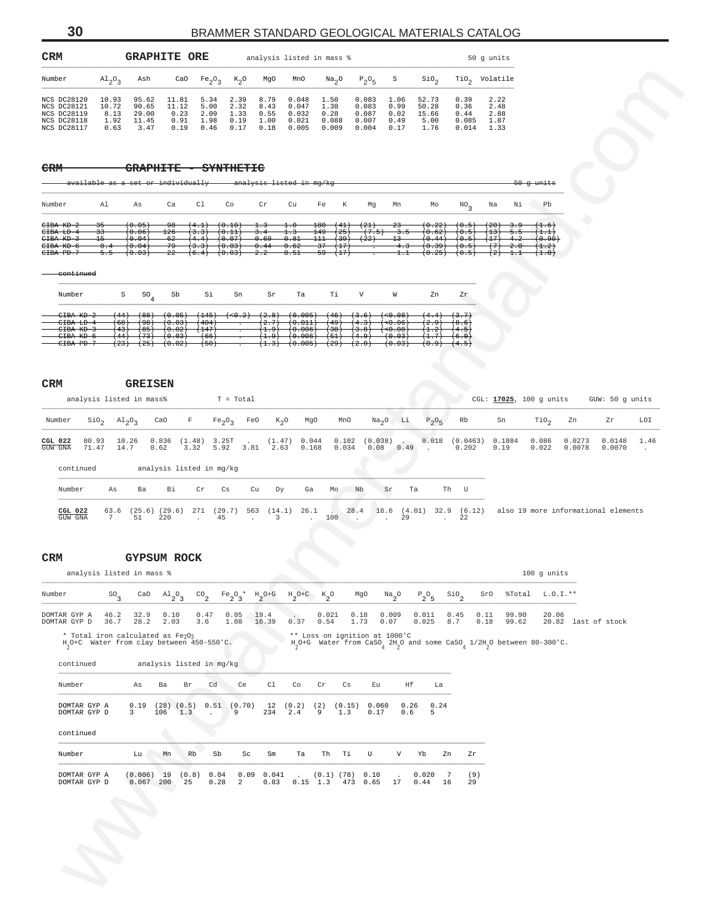| Number                                                   |                                  |                                                                                           |                              |                                |                      |                                 |                                                         |                               |                                           |                                |                                                                                                            |                        |                           |          |                  |        |                                     |               |
|----------------------------------------------------------|----------------------------------|-------------------------------------------------------------------------------------------|------------------------------|--------------------------------|----------------------|---------------------------------|---------------------------------------------------------|-------------------------------|-------------------------------------------|--------------------------------|------------------------------------------------------------------------------------------------------------|------------------------|---------------------------|----------|------------------|--------|-------------------------------------|---------------|
|                                                          | $A1_{2}O_{3}$                    | Ash                                                                                       |                              | CaO $Fe_2O_3$                  | $K_2O$               | MgO                             | MnO                                                     | Na <sub>2</sub> O             | $P_2O_5$                                  | S                              | SiO <sub>2</sub>                                                                                           |                        | TiO <sub>2</sub> Volatile |          |                  |        |                                     |               |
| NCS DC28120<br>NCS DC28121                               | 10.93<br>10.72                   | 95.62<br>90.65                                                                            | 11.81<br>11.12               | 5.34<br>5.00                   | 2.39<br>2.32         | 8.79<br>8.43                    | 0.048<br>0.047                                          | 1.50<br>1.38                  | 0.083<br>0.083                            | 1.06<br>0.99                   | 52.73<br>50.28                                                                                             | 0.39<br>0.36           | 2.22<br>2.48              |          |                  |        |                                     |               |
| NCS DC28119<br>NCS DC28118<br>NCS DC28117                | 8.13<br>1.92<br>0.63             | 29.00<br>11.45<br>3.47                                                                    | 0.23<br>0.91<br>0.19         | 2.09<br>1.98<br>0.46           | 1.33<br>0.19<br>0.17 | 0.55<br>1.00<br>0.18            | 0.032<br>0.021<br>0.005                                 | 0.28<br>0.088<br>0.009        | 0.087<br>0.007<br>0.004                   | 0.02<br>0.49<br>0.17           | 15.66<br>5.00<br>1.76                                                                                      | 0.44<br>0.085<br>0.014 | 2.88<br>1.87<br>1.33      |          |                  |        |                                     |               |
|                                                          |                                  |                                                                                           |                              |                                |                      |                                 |                                                         |                               |                                           |                                |                                                                                                            |                        |                           |          |                  |        |                                     |               |
| <del>CRM</del>                                           |                                  | <b>GRAPHITE</b>                                                                           |                              |                                | SYNTHETIC            |                                 |                                                         |                               |                                           |                                |                                                                                                            |                        |                           |          |                  |        |                                     |               |
|                                                          |                                  | available as a set or individually                                                        |                              |                                |                      |                                 | analysis listed in mg/kg                                |                               |                                           |                                |                                                                                                            |                        |                           |          | $50 - g$ units   |        |                                     |               |
| Number                                                   | Al                               | As                                                                                        | Ca                           | Cl                             | Co                   | $\operatorname{Cr}$             | Cu                                                      | Fe<br>К                       | Mg                                        | Mn                             | Mo                                                                                                         | NO <sub>3</sub>        | Na                        | Νi       | Pb               |        |                                     |               |
| CIBA KD-2<br>CIBA LD-4                                   | 35<br>33                         | (0.05)<br>(0.06)                                                                          | <del>98</del><br>126         | $(4.1)$ $(0.10)$<br>(3.3)      | (0.11)               | 1.3<br>3.4                      | $\pm .0$<br>1.3                                         | 180(41)<br>$149 -$<br>(25)    | (21)<br>(7.5)                             | $23 -$<br>$-3.5$               | (0.22)<br>(0.62)                                                                                           | (0.5)<br>(0.5)         | $(20)$ 3.9<br>(13)        | $-5.5$   | (1.6)<br>(1.1)   |        |                                     |               |
| CIBA KD-3<br>CIBA KD-6                                   | $+5-$<br>8.4                     | (0.04)<br>(0.04)                                                                          | $-62$<br>-79                 | (4.4)<br>$(3.3)$ $(0.03)$      | (0.07)               | 0.69<br>0.44                    | 0.81<br>0.62                                            | (39)<br>111<br>(17)<br>-37    | $^{(22)}$                                 | $+3-$<br>4.3                   | (0.44)<br>(0.39)                                                                                           | (0.5)<br>(0.5)         | (17)<br>$(7)$ 2.0         | $-4.2$   | $0.90+$<br>(1.2) |        |                                     |               |
| CIBA PD-7                                                | $-5.5$                           | (0.03)                                                                                    | $^{22}$                      | $(6.4)$ $(0.03)$               |                      | 2.2                             | 0.51                                                    | -59<br>(17)                   |                                           | $^{1.1}$                       | (0.25)                                                                                                     | (0.5)                  | $^{(2)}$                  | $^{+,+}$ | (1.0)            |        |                                     |               |
| continued                                                |                                  |                                                                                           |                              |                                |                      |                                 |                                                         |                               |                                           |                                |                                                                                                            |                        |                           |          |                  |        |                                     |               |
| Number                                                   | $\rm S$                          | ${\tt so_4}$                                                                              | Sb                           | Si                             | Sn                   | Sr                              | Ta                                                      | Тi                            | V                                         | W                              | Zn                                                                                                         | Zr                     |                           |          |                  |        |                                     |               |
| CIBA KD-2<br>CIBA LD-4<br>CIBA KD-3                      | (44)<br><del>(68)</del><br>(43)  | <del>(88)</del><br><del>(98)</del><br>$(+85)$                                             | (0.05)<br>(0.03)<br>(0.02)   | (404)<br>(147)                 |                      | (2.7)<br>(1.9)                  | $(145)$ $(0.2)$ $(2.8)$ $(0.005)$<br>(0.011)<br>(0.006) | (49)<br>(38)                  | $(46)$ $(3.6)$ $(6.08)$<br>(4.3)<br>(3.8) | $(+0.06)$<br>$(+0.08)$         | $(4.4)$ $(3.7)$<br>(2.9)<br>(1,2)                                                                          | (8.6)<br>(4.5)         |                           |          |                  |        |                                     |               |
| CIBA KD-6<br>CIBA PD-7                                   | (44)<br>(23)                     | $(+73)$                                                                                   | (0.03)<br>$(25)$ $(0.02)$    | (66)<br>(50)                   | 7                    | (1.9)                           | (0.006)<br>$(1.3)$ $(0.005)$                            | (51)<br>(29)                  | (4.9)<br>$^{(2.0)}$                       | (0.03)<br>$^{(0.03)}$          | (1.7)<br>(0.9)                                                                                             | (6.0)<br>(4.5)         |                           |          |                  |        |                                     |               |
|                                                          |                                  |                                                                                           |                              |                                |                      |                                 |                                                         |                               |                                           |                                |                                                                                                            |                        |                           |          |                  |        |                                     |               |
| CRM                                                      |                                  | <b>GREISEN</b>                                                                            |                              |                                |                      |                                 |                                                         |                               |                                           |                                |                                                                                                            |                        |                           |          |                  |        |                                     |               |
|                                                          |                                  | analysis listed in mass%                                                                  |                              |                                | T = Total            |                                 |                                                         |                               |                                           |                                |                                                                                                            |                        | CGL: 17025, 100 g units   |          |                  |        | GUW: 50 g units                     |               |
| Number                                                   | $\sin_2$ $\text{Al}_2\text{O}_3$ |                                                                                           | CaO<br>F                     | Fe <sub>2</sub> O <sub>3</sub> | FeO                  |                                 | $K_2O$<br>MgO                                           | MnO                           |                                           | $Na2O$ Li                      | $P_2O_5$                                                                                                   | Rb                     | Sn                        |          | $\text{rio}_2$   | Zn     | Zr                                  | LOI           |
| continued<br>Number                                      | 71.47<br>14.7<br>As              | Ba                                                                                        | 0.62<br>3.32<br>Вi           | analysis listed in mg/kg<br>Cr | 5.92 3.81<br>Cs      | 2.63<br>Cu<br>Dу                | 0.168<br>Ga                                             | 0.034<br>Mo Nb                |                                           | 0.08 0.49<br>Sr                | $\sim$<br>Ta                                                                                               | 0.202<br>Th U          | 0.19                      |          | 0.022            | 0.0078 | 0.0070                              | $\sim$ $\sim$ |
| <b>CGL 022</b><br>GUW GNA                                | 63.6<br>7                        | $(25.6)$ $(29.6)$<br>51                                                                   | 220                          | 45<br>$\sim$                   |                      | $\overline{3}$<br>$\sim$ $\sim$ | 271 (29.7) 563 (14.1) 26.1<br>$\cdot$                   | 100                           | $\sim$ $\sim$ $\sim$                      | 29                             | $28.4$ 16.6 (4.01) 32.9 (6.12)<br>$\sim 100$ km                                                            | 22                     |                           |          |                  |        | also 19 more informational elements |               |
|                                                          |                                  | <b>GYPSUM ROCK</b><br>analysis listed in mass %                                           |                              |                                |                      |                                 |                                                         |                               |                                           |                                |                                                                                                            |                        |                           |          | 100 g units      |        |                                     |               |
|                                                          |                                  | CaO                                                                                       |                              |                                |                      |                                 |                                                         |                               | MgO                                       |                                |                                                                                                            |                        | SrO                       | %Total   | $L.0.1.**$       |        |                                     |               |
|                                                          | $^{SO_3}$<br>46.2                | 32.9                                                                                      | $A1_{2}O_3$<br>0.10          | $^{CO}$ <sub>2</sub><br>0.47   | $Fe_2O_3$ *<br>0.05  | $H_2O+G$<br>19.4                | $\mathrm{^{H}2^{O+C}}$                                  | $K_{2}$ <sup>O</sup><br>0.021 | 0.18                                      | $Na_{2}$ <sup>O</sup><br>0.009 | $P_2O_5$<br>0.011                                                                                          | $\sin$<br>0.45         | 0.11                      | 99.90    | 20.06            |        |                                     |               |
|                                                          | 36.7                             | 28.2                                                                                      | 2.03                         | 3.6                            | 1.08                 | 16.39                           | $0.37$ 0.54                                             |                               | 1.73                                      | 0.07                           | 0.025                                                                                                      | 8.7                    | 0.18                      | 99.62    |                  |        | 20.82 last of stock                 |               |
|                                                          |                                  | * Total iron calculated as Fe2O3<br>H <sub>2</sub> O+C Water from clay between 450-550'C. |                              |                                |                      |                                 |                                                         | ** Loss on ignition at 1000'C |                                           |                                | H <sub>2</sub> O+G Water from CaSO, 2H <sub>2</sub> O and some CaSO, 1/2H <sub>2</sub> O between 80-300'C. |                        |                           |          |                  |        |                                     |               |
| continued                                                |                                  |                                                                                           |                              | analysis listed in mg/kg       |                      |                                 |                                                         |                               |                                           |                                |                                                                                                            |                        |                           |          |                  |        |                                     |               |
| Number                                                   |                                  | As                                                                                        | Ba<br>Br                     | Cd                             | Ce                   | C1                              | Co                                                      | Cr<br>Cs                      | Eu                                        | Ηf                             | La                                                                                                         |                        |                           |          |                  |        |                                     |               |
| DOMTAR GYP A<br>DOMTAR GYP D                             |                                  | 0.19<br>$\overline{3}$                                                                    | $(28)$ $(0.5)$<br>106<br>1.3 | $\overline{a}$                 | $0.51$ (0.70)<br>9   | 234                             | 12(0.2)<br>2.4                                          | (2)<br>(0.15)<br>9<br>1.3     | 0.060<br>0.17                             | 0.26<br>0.6                    | 0.24<br>5                                                                                                  |                        |                           |          |                  |        |                                     |               |
| continued                                                |                                  |                                                                                           |                              |                                |                      |                                 |                                                         |                               |                                           |                                |                                                                                                            |                        |                           |          |                  |        |                                     |               |
|                                                          |                                  |                                                                                           |                              |                                |                      |                                 |                                                         |                               |                                           |                                |                                                                                                            |                        |                           |          |                  |        |                                     |               |
| Number                                                   |                                  | Lu                                                                                        | Mn                           | Rb<br>Sb                       | Sc                   | Sm                              | Тa                                                      | Th<br>Тi                      | U                                         | V                              | Yb<br>Zn                                                                                                   | Zr                     |                           |          |                  |        |                                     |               |
| DOMTAR GYP A<br>DOMTAR GYP D                             |                                  | $(0.006)$ 19 $(0.8)$<br>$0.067$ 200                                                       | 25                           | 0.04<br>0.28                   | 2                    | 0.09 0.041<br>0.83              | $0.15$ 1.3                                              | $(0.1)$ (78) $0.10$           | 473 0.65                                  | 17                             | 0.020<br>-7<br>0.44<br>16                                                                                  | (9)<br>29              |                           |          |                  |        |                                     |               |
|                                                          |                                  |                                                                                           |                              |                                |                      |                                 |                                                         |                               |                                           |                                |                                                                                                            |                        |                           |          |                  |        |                                     |               |
| GUW GNA<br>CRM<br>Number<br>DOMTAR GYP A<br>DOMTAR GYP D |                                  |                                                                                           |                              |                                |                      |                                 |                                                         |                               |                                           |                                |                                                                                                            |                        |                           |          |                  |        |                                     |               |
|                                                          |                                  |                                                                                           |                              |                                |                      |                                 |                                                         |                               |                                           |                                |                                                                                                            |                        |                           |          |                  |        |                                     |               |
|                                                          | $\mathcal{L}$                    |                                                                                           |                              |                                |                      |                                 |                                                         |                               |                                           |                                |                                                                                                            |                        |                           |          |                  |        |                                     |               |

#### **CRM GYPSUM ROCK**

| analysis listed in mass %                                                                 |              |              |                                 |                          |               |                      |               |                 |               |                               |               |               |                  |             |              |                                                                                                                                    | $100$ q units  |               |
|-------------------------------------------------------------------------------------------|--------------|--------------|---------------------------------|--------------------------|---------------|----------------------|---------------|-----------------|---------------|-------------------------------|---------------|---------------|------------------|-------------|--------------|------------------------------------------------------------------------------------------------------------------------------------|----------------|---------------|
| Number                                                                                    | $SO_{2}$     | CaO          | $\mathrm{Al}_{2}\mathrm{O}_{3}$ |                          | $\rm{CO}_{2}$ | $Fe_2O_3$ * $H_2O+G$ |               | $H_2O+C$ $K_2O$ |               |                               | MgO           | $Na_{2}O$     | $P_2O_5$         | $\sin$      | SrO          | %Total                                                                                                                             | L.O.I.**       |               |
| DOMTAR GYP A<br>DOMTAR GYP D                                                              | 46.2<br>36.7 | 32.9<br>28.2 | 0.10<br>2.03                    |                          | 0.47<br>3.6   | 0.05<br>1.08         | 19.4<br>16.39 | $\sim$<br>0.37  | 0.021<br>0.54 | 0.18<br>1.73                  |               | 0.009<br>0.07 | 0.011<br>0.025   | 0.45<br>8.7 | 0.11<br>0.18 | 99.90<br>99.62                                                                                                                     | 20.06<br>20.82 | last of stock |
| * Total iron calculated as Fe203<br>H <sub>2</sub> O+C Water from clay between 450-550'C. |              |              |                                 |                          |               |                      |               |                 |               | ** Loss on ignition at 1000'C |               |               |                  |             |              | H <sub>2</sub> O+G Water from CaSO <sub>4</sub> 2H <sub>2</sub> O and some CaSO <sub>4</sub> 1/2H <sub>2</sub> O between 80-300'C. |                |               |
| continued                                                                                 |              |              |                                 | analysis listed in mg/kg |               |                      |               |                 |               |                               |               |               |                  |             |              |                                                                                                                                    |                |               |
| Number                                                                                    |              | As           | Ba                              | Br                       | Cd            | Ce                   | C1            | Co              | Cr            | Cs                            | Eu            |               | Нf               | La          |              |                                                                                                                                    |                |               |
| DOMTAR GYP A<br>DOMTAR GYP D                                                              |              | 0.19<br>3    | 106                             | $(28)$ $(0.5)$<br>1.3    | 0.51          | (0.70)<br>9          | 12<br>234     | (0.2)<br>2.4    | (2)<br>9      | (0.15)<br>1.3                 | 0.060<br>0.17 |               | 0.26<br>5<br>0.6 | 0.24        |              |                                                                                                                                    |                |               |
| continued                                                                                 |              |              |                                 |                          |               |                      |               |                 |               |                               |               |               |                  |             |              |                                                                                                                                    |                |               |

| Number                       | Lu                    | Mn      | Rb | Sb   | Sc             | Sm                                                  | Ta         | - Th | Ti | U        | V  | Yh                | 7.n | 7r        |
|------------------------------|-----------------------|---------|----|------|----------------|-----------------------------------------------------|------------|------|----|----------|----|-------------------|-----|-----------|
| DOMTAR GYP A<br>DOMTAR GYP D | $(0.006)$ 19<br>0.067 | $200 -$ | 25 | 0.28 | $\overline{2}$ | $(0.8)$ 0.04 0.09 0.041 . $(0.1)$ (78) 0.10<br>0.83 | $0.15$ 1.3 |      |    | 473 0.65 | 17 | $0.020$ 7<br>0.44 | 16  | (9)<br>29 |

## **30** BRAMMER STANDARD GEOLOGICAL MATERIALS CATALOG

<span id="page-29-0"></span>CRM **GRAPHITE ORE** analysis listed in mass  $\frac{1}{3}$  50 g units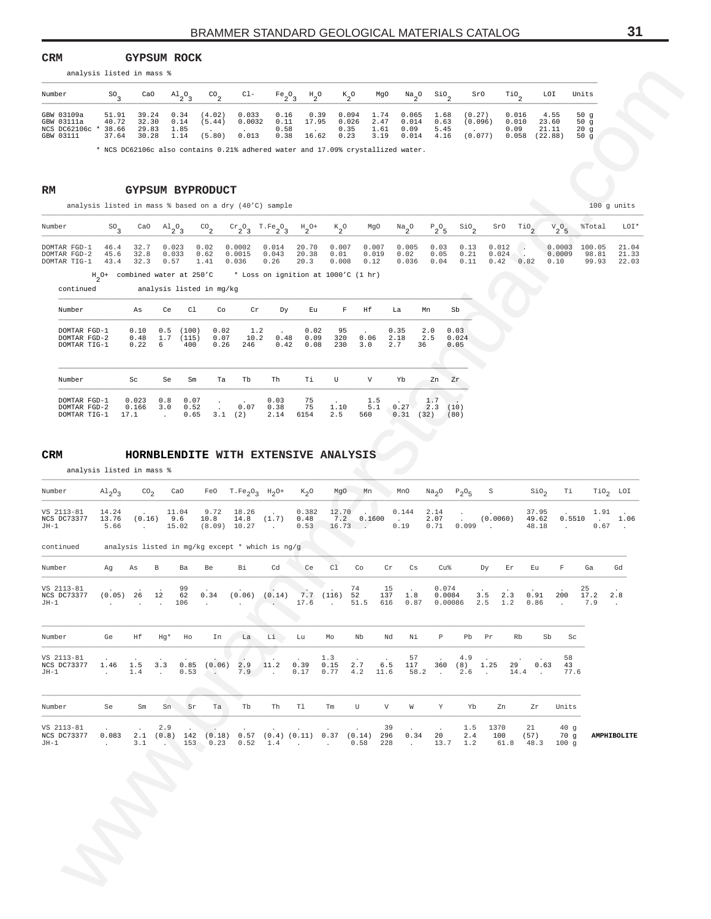#### <span id="page-30-0"></span> $\mathop{\mathsf{CRM}}$ **CRM GYPSUM ROCK** analysis listed in mass %

| Number       | S0    | CaO   | $A1_{2}O_{2}$ | CO <sub>n</sub> | $C1-$  | $Fe_2O_2$ | $H_{\gamma}O$ | $K_{0}$ | MgO  | $Na_{0}$ <sup>O</sup> | SiO <sub>o</sub> | SrO     | TiO,  | LOI     | Units  |
|--------------|-------|-------|---------------|-----------------|--------|-----------|---------------|---------|------|-----------------------|------------------|---------|-------|---------|--------|
| GBW 03109a   | 51.91 | 39.24 | 0.34          | (4.02)          | 0.033  | 0.16      | 0.39          | 0.094   | 1.74 | 0.065                 | 1.68             | (0.27)  | 0.016 | 4.55    | 50 $q$ |
| GBW 03111a   | 40.72 | 32.30 | 0.14          | (5.44)          | 0.0032 | 0.11      | 17.95         | 0.026   | 2.47 | 0.014                 | 0.63             | (0.096) | 0.010 | 23.60   | 50q    |
| NCS DC62106c | 38.66 | 29.83 | 1.85          |                 |        | 0.58      |               | 0.35    | 1.61 | 0.09                  | 5.45             |         | 0.09  | 21.11   | 20q    |
| GBW 03111    | 37.64 | 30.28 | 1.14          | (5.80)          | 0.013  | 0.38      | 16.62         | 0.23    | 3.19 | 0.014                 | 4.16             | (0.077) | 0.058 | (22.88) | 50q    |

| Number                                                                                                           |  |                              |      |                                                                      |  |                        |                        |                       |                                                        | $SO_3$ CaO $\text{Al}_2\text{O}_3$ CO <sub>2</sub> Cr <sub>2</sub> O <sub>3</sub> T.Fe <sub>2</sub> O <sub>3</sub> H <sub>2</sub> O+ K <sub>2</sub> O MgO Na <sub>2</sub> O P <sub>2</sub> O <sub>5</sub> S1O <sub>2</sub> SrO T1O <sub>3</sub> V <sub>2</sub> O <sub>5</sub> WTotal LOI* |                                  |                |
|------------------------------------------------------------------------------------------------------------------|--|------------------------------|------|----------------------------------------------------------------------|--|------------------------|------------------------|-----------------------|--------------------------------------------------------|-------------------------------------------------------------------------------------------------------------------------------------------------------------------------------------------------------------------------------------------------------------------------------------------|----------------------------------|----------------|
| DOMTAR FGD-1 46.4 32.7 0.023<br>DOMTAR FGD-2 45.6 32.8<br>DOMTAR TIG-1 43.4 32.3 0.57 1.41 0.036 0.26 20.3 0.008 |  | 0.033                        | 0.02 | $0.0002$ $0.014$ $20.70$ $0.007$<br>0.62  0.0015  0.043  20.38  0.01 |  | 0.007<br>0.019<br>0.12 | 0.005<br>0.02<br>0.036 | $0.05$ $0.21$ $0.024$ | $0.03$ $0.13$ $0.012$ .<br>$0.04$ $0.11$ $0.42$ $0.82$ | 0.0003<br>0.0009<br>0.10                                                                                                                                                                                                                                                                  | $100.05$ 21.04<br>98.81<br>99.93 | 21.33<br>22.03 |
|                                                                                                                  |  | H_O+ combined water at 250'C |      | * Loss on ignition at 1000'C (1 hr)                                  |  |                        |                        |                       |                                                        |                                                                                                                                                                                                                                                                                           |                                  |                |

| Number                                       | As                     | Ce               | C1                    | Co                   | Cr                 | Dy                   | Eu                   | F                      | Нf                | La                      | Mn                | Sb                    |
|----------------------------------------------|------------------------|------------------|-----------------------|----------------------|--------------------|----------------------|----------------------|------------------------|-------------------|-------------------------|-------------------|-----------------------|
| DOMTAR FGD-1<br>DOMTAR FGD-2<br>DOMTAR TIG-1 | 0.10<br>0.48<br>0.22   | 0.5<br>1.7<br>6  | (100)<br>(115)<br>400 | 0.02<br>0.07<br>0.26 | 1.2<br>10.2<br>246 | 0.48<br>0.42         | 0.02<br>0.09<br>0.08 | 95<br>320<br>230       | 0.06<br>3.0       | 0.35<br>2.18<br>2.7     | 2.0<br>2.5<br>36  | 0.03<br>0.024<br>0.05 |
| Number                                       | Sc                     | Se               | Sm                    | Ta                   | Tb                 | Th                   | Τi                   | U                      | V                 | Yb                      | Zn                | Zr                    |
| DOMTAR FGD-1<br>DOMTAR FGD-2<br>DOMTAR TIG-1 | 0.023<br>0.166<br>17.1 | 0.8<br>3.0<br>a. | 0.07<br>0.52<br>0.65  | $\cdot$<br>3.1       | 0.07<br>2)         | 0.03<br>0.38<br>2.14 | 75<br>75<br>6154     | $\cdot$<br>1.10<br>2.5 | 1.5<br>5.1<br>560 | $\cdot$<br>0.27<br>0.31 | 1.7<br>2.3<br>32) | (10)<br>(80)          |

#### $CRM$ **CRM HORNBLENDITE WITH EXTENSIVE ANALYSIS**

|                                                                                   | analysis listed in mass %                               |                                  |                        |                              |                                                  |                                          |                                                                                                                  |                        |                           |                                                |                                 |                               |                       |                                     |                                 |                                        |                  |                                   |                         |
|-----------------------------------------------------------------------------------|---------------------------------------------------------|----------------------------------|------------------------|------------------------------|--------------------------------------------------|------------------------------------------|------------------------------------------------------------------------------------------------------------------|------------------------|---------------------------|------------------------------------------------|---------------------------------|-------------------------------|-----------------------|-------------------------------------|---------------------------------|----------------------------------------|------------------|-----------------------------------|-------------------------|
| Number                                                                            | $^{SO_3}$                                               | CaO                              |                        | $A1_{2}O_{3}$                | $\mathrm{co}_2$                                  | $C1-$                                    | Fe <sub>2</sub> O <sub>3</sub>                                                                                   | $H_{2}^{\circ}$        |                           | $k_{2}^{\circ}$                                | MgO                             | $Na_{2}O$<br>$\mathsf{SiO}_2$ |                       | SrO                                 | $\mathcal{I}^{10}$              | LOI                                    | Units            |                                   |                         |
| GBW 03109a<br>GBW 03111a<br>NCS DC62106c * 38.66<br>GBW 03111                     | 51.91<br>40.72<br>37.64                                 | 39.24<br>32.30<br>29.83<br>30.28 |                        | 0.34<br>0.14<br>1.85<br>1.14 | (4.02)<br>(5.44)<br>(5.80)                       | 0.033<br>0.0032<br>0.013                 | 0.16<br>0.11<br>0.58<br>0.38                                                                                     | 0.39<br>17.95<br>16.62 | 0.35<br>0.23              | 0.094<br>1.74<br>0.026<br>2.47<br>1.61<br>3.19 | 0.065<br>0.014<br>0.09<br>0.014 | 1.68<br>0.63<br>5.45<br>4.16  |                       | (0.27)<br>(0.096)<br>(0.077)        | 0.016<br>0.010<br>0.09<br>0.058 | 4.55<br>23.60<br>21.11<br>(22.88)      |                  | 50g<br>50g<br>20g<br>50 $g$       |                         |
| RM                                                                                |                                                         | GYPSUM BYPRODUCT                 |                        |                              |                                                  |                                          | * NCS DC62106c also contains 0.21% adhered water and 17.09% crystallized water.                                  |                        |                           |                                                |                                 |                               |                       |                                     |                                 |                                        |                  |                                   |                         |
|                                                                                   |                                                         |                                  |                        |                              |                                                  |                                          | analysis listed in mass % based on a dry (40'C) sample                                                           |                        |                           |                                                |                                 |                               |                       |                                     |                                 |                                        |                  |                                   | 100 g units             |
| Number                                                                            | $^{SO_3}$                                               | CaO                              | $A1_{2}O_{3}$          |                              | $^{CO}$ <sub>2</sub>                             | $\frac{cr}{2}$ <sup>O</sup> <sub>3</sub> | $T.Fe_2O_3$                                                                                                      | $H_2$ <sup>O+</sup>    | $k_{2}^{\circ}$           | MgO                                            | $\frac{Na}{2}$ <sup>O</sup>     | $P_2O_5$                      | $\frac{$10}{}^{2}$    | SrO                                 | $\mathbb{T}^{10}$ <sub>2</sub>  | ${\rm v}_{2}^{\rm ~o}$ 5               |                  | %Total                            | LOI*                    |
| DOMTAR FGD-1<br>DOMTAR FGD-2<br>DOMTAR TIG-1<br>continued                         | 46.4<br>45.6<br>43.4<br>$Hn$ O+ combined water at 250'C | 32.7<br>32.8<br>32.3             | 0.023<br>0.033<br>0.57 |                              | 0.02<br>0.62<br>1.41<br>analysis listed in mg/kg | 0.0002<br>0.0015<br>0.036                | 0.014<br>0.043<br>0.26<br>* Loss on ignition at 1000'C (1 hr)                                                    | 20.70<br>20.38<br>20.3 | 0.007<br>0.01<br>0.008    | 0.007<br>0.019<br>0.12                         | 0.005<br>0.02<br>0.036          | 0.03<br>0.05<br>0.04          | 0.13<br>0.21<br>0.11  | 0.012<br>0.024<br>0.42              | - 4<br>0.82                     | 0.10                                   | 0.0003<br>0.0009 | 100.05<br>98.81<br>99.93          | 21.04<br>21.33<br>22.03 |
| Number                                                                            |                                                         | As                               | Ce                     | C1                           | Co                                               | Cr                                       | Dу                                                                                                               | Εu                     | F                         | Нf                                             | La                              | Mn                            | Sb                    |                                     |                                 |                                        |                  |                                   |                         |
| DOMTAR FGD-1<br>DOMTAR FGD-2<br>DOMTAR TIG-1                                      |                                                         | 0.10<br>0.48<br>0.22             | 0.5<br>1.7<br>6        | (100)<br>(115)<br>400        | 0.02<br>0.07<br>0.26                             | 1.2<br>10.2<br>246                       | 0.48<br>0.42                                                                                                     | 0.02<br>0.09<br>0.08   | 95<br>320<br>230          | 0.06<br>3.0                                    | 0.35<br>2.18<br>2.7             | 2.0<br>2.5<br>36              | 0.03<br>0.024<br>0.05 |                                     |                                 |                                        |                  |                                   |                         |
| Number                                                                            |                                                         | Sc                               | Se                     | Sm                           | Ta                                               | Tb                                       | Th                                                                                                               | Тi                     | U                         | V                                              | Yb                              | Zn                            | Zr                    |                                     |                                 |                                        |                  |                                   |                         |
| DOMTAR FGD-1<br>DOMTAR FGD-2                                                      |                                                         | 0.023<br>0.166                   | 0.8<br>3.0             | 0.07<br>0.52                 |                                                  | 0.07                                     | 0.03<br>0.38                                                                                                     | 75<br>75               | 1.10                      | 1.5<br>5.1                                     | 0.27                            | 1.7<br>2.3                    | (10)                  |                                     |                                 |                                        |                  |                                   |                         |
| DOMTAR TIG-1                                                                      |                                                         | 17.1                             | $\cdot$                | 0.65                         |                                                  | 3.1(2)                                   | 2.14                                                                                                             | 6154                   | 2.5                       | 560                                            | 0.31                            | (32)                          | (80)                  |                                     |                                 |                                        |                  |                                   |                         |
| <b>CRM</b>                                                                        |                                                         |                                  |                        |                              |                                                  |                                          | HORNBLENDITE WITH EXTENSIVE ANALYSIS                                                                             |                        |                           |                                                |                                 |                               |                       |                                     |                                 |                                        |                  |                                   |                         |
|                                                                                   | analysis listed in mass %                               |                                  |                        |                              |                                                  |                                          |                                                                                                                  |                        |                           |                                                |                                 |                               |                       |                                     |                                 |                                        |                  |                                   |                         |
| Number                                                                            | $\mathrm{Al}_{2}\mathrm{O}_{3}$                         | CO <sub>2</sub>                  |                        | CaO                          | FeO                                              | $T.Fe_2O_3$ $H_2O^+$                     |                                                                                                                  | $K_2O$                 | MgO                       | Mn                                             | MnO                             | Na <sub>2</sub> O             | $P_2O_5$              | S                                   |                                 | $\sin \theta_2$                        | Тi               |                                   | $Tio2$ LOI              |
| VS 2113-81<br>NCS DC73377<br>JH-1                                                 | 14.24<br>13.76<br>5.66                                  | $\sim$                           | $(0.16)$ 9.6           | 11.04<br>15.02               | 9.72<br>10.8                                     | 18.26<br>14.8<br>$(8.09)$ 10.27          | (1.7)<br>$\sim 100$                                                                                              | 0.382<br>0.48<br>0.53  | 12.70<br>7.2              | 0.1600<br>$16.73$ .                            | 0.144<br>0.19                   | 2.14<br>2.07<br>0.71          | 0.099                 | (0.0060)                            |                                 | 37.95<br>49.62<br>48.18                | 0.5510<br>$\sim$ | 1.91<br><b>Contractor</b><br>0.67 | 1.06<br>$\sim$          |
| continued                                                                         |                                                         |                                  |                        |                              |                                                  |                                          | analysis listed in mg/kg except * which is ng/g                                                                  |                        |                           |                                                |                                 |                               |                       |                                     |                                 |                                        |                  |                                   |                         |
| Number                                                                            | Ag                                                      | As                               | В                      | Ba                           | Be                                               | Вi                                       | Cd                                                                                                               | Ce                     | C1                        | Co                                             | Cr                              | Сs                            | Cu%                   | Dy                                  | Εr                              | Εu                                     | F                | Ga                                | Gd                      |
| VS 2113-81<br>NCS DC73377 (0.05) 26 12 62 0.34 (0.06) (0.14) 7.7 (116) 52<br>JH-1 | and the company of the                                  |                                  | . 106                  | 99                           | <b>Contractor</b>                                | <b>Contract Contract</b>                 |                                                                                                                  |                        |                           | 74<br>$17.6$ $51.5$ $616$ $0.87$               | 15<br>137 1.8                   |                               | 0.074<br>0.0084       | 3.5<br>$0.00086$ $2.5$ $1.2$ $0.86$ | 2.3                             | 0.91                                   | 200 17.2<br>.7.9 | 25                                | 2.8<br>$\sim$           |
| Number Ge                                                                         |                                                         | Нf                               |                        | Hg* Ho                       | In                                               |                                          | La Li Lu                                                                                                         |                        | MO                        | Nb                                             | Nd                              | Νi<br>$\mathbb{P}$            |                       | Pb Pr                               | Rb                              | Sb                                     | Sc               |                                   |                         |
| VS 2113-81<br>NCS DC73377 1.46 1.5<br>$JH-1$                                      | <b>Contract</b>                                         | 1.4                              | 3.3<br><b>Contract</b> |                              | 0.53                                             | $0.85$ $(0.06)$ 2.9 11.2                 | $7.9$ .                                                                                                          | 0.39<br>0.17           | 1.3<br>0.15<br>$0.77$ 4.2 | 2.7                                            | 6.5<br>11.6                     | 57<br>117<br>58.2.            | 4.9                   | 360 (8) 1.25<br>$2.6$ .             | 29<br>14.4                      | 0.63<br><b>Contractor</b>              | 58<br>43<br>77.6 |                                   |                         |
| Number                                                                            | Se s                                                    | Sm                               |                        |                              | Sn Sr Ta                                         | Tb                                       | Th                                                                                                               | Tl                     | $\rm Tm$                  | $U$ $V$                                        |                                 | W                             | Y Yb                  | Zn                                  |                                 | Zr                                     | Units            |                                   |                         |
| VS 2113-81<br>NCS DC73377<br>$JH-1$                                               | <b>Carl Corporation</b>                                 | $\sim$ $-$                       | 2.9                    |                              |                                                  |                                          | 0.083 2.1 (0.8) 142 (0.18) 0.57 (0.4) (0.11) 0.37 (0.14) 296 0.34 20<br>$3.1$ , $153$ 0.23 0.52 1.4 . 0.58 228 . |                        |                           |                                                | 39                              | $\sim$<br>$\sim$              | 2.4<br>13.7 1.2       | 1.5<br>1370                         | 21                              | 100 (57) 70 g<br>$61.8$ $48.3$ $100$ g | 40g              |                                   | AMPHIBOLITE             |
|                                                                                   |                                                         |                                  |                        |                              |                                                  |                                          |                                                                                                                  |                        |                           |                                                |                                 |                               |                       |                                     |                                 |                                        |                  |                                   |                         |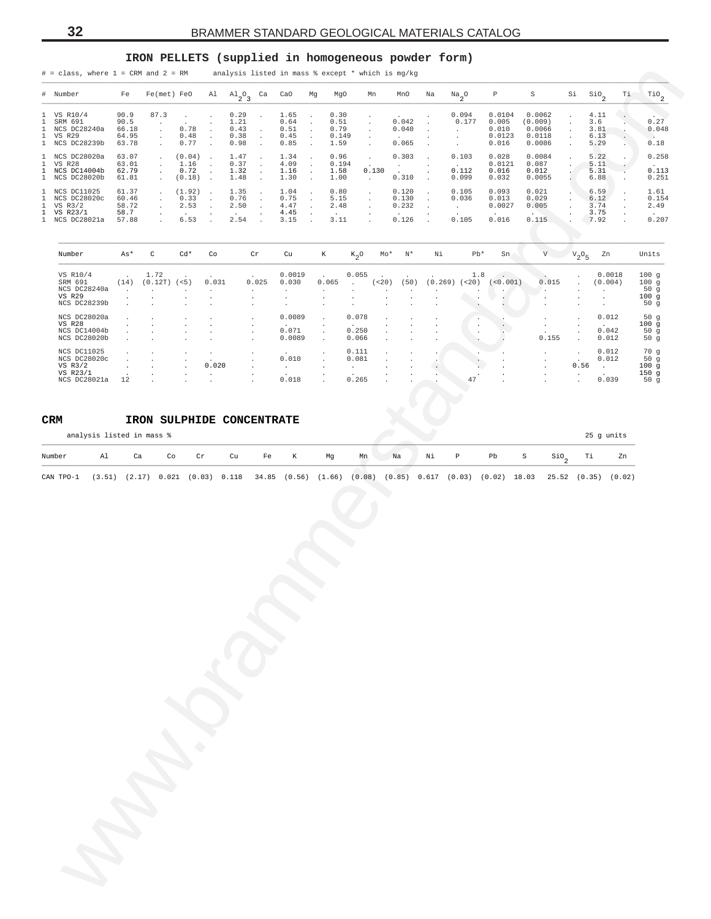### **IRON PELLETS (supplied in homogeneous powder form)**

<span id="page-31-0"></span>

|                                              |                                                                        |                                          | $#$ = class, where $1$ = CRM and $2$ = RM                                  |                                        |                                                         |                                        |                                                       |                                                                      |                                                                  |                                       | analysis listed in mass % except * which is mg/kg       |                                        |                               |                                                |                                             |                                                 |                                                       |                                                    |    |                                                |
|----------------------------------------------|------------------------------------------------------------------------|------------------------------------------|----------------------------------------------------------------------------|----------------------------------------|---------------------------------------------------------|----------------------------------------|-------------------------------------------------------|----------------------------------------------------------------------|------------------------------------------------------------------|---------------------------------------|---------------------------------------------------------|----------------------------------------|-------------------------------|------------------------------------------------|---------------------------------------------|-------------------------------------------------|-------------------------------------------------------|----------------------------------------------------|----|------------------------------------------------|
|                                              | # Number                                                               | Fe                                       | $Fe(met)$ $FeO$                                                            |                                        |                                                         | Al $\mathrm{Al}_{2} \mathrm{O}_{3}$ Ca |                                                       | CaO                                                                  | Mg                                                               | MgO                                   | Mn                                                      | MnO                                    | Na                            | $\frac{Na}{2}$ <sup>O</sup>                    | $\, {\mathbb P}$                            | S                                               | Si                                                    | $\mathsf{Sio}_2$                                   | Τi | $^{\rm TiO} _{\rm 2}$                          |
| 1<br>1<br>1<br>$\mathbf{1}$<br>$\mathbf{1}$  | VS R10/4<br>SRM 691<br>NCS DC28240a<br>VS R29<br>NCS DC28239b          | 90.9<br>90.5<br>66.18<br>64.95<br>63.78  | 87.3<br>$\cdot$<br>$\cdot$<br>$\ddot{\phantom{a}}$<br>$\ddot{\phantom{a}}$ | $\sim$<br>0.78<br>0.48<br>0.77         | $\cdot$                                                 | 0.29<br>1.21<br>0.43<br>0.38<br>0.98   |                                                       | 1.65<br>$\ensuremath{0}$ . $\ensuremath{64}$<br>0.51<br>0.45<br>0.85 | $\cdot$<br>$\cdot$<br>$\cdot$<br>$\cdot$<br>$\ddot{\phantom{a}}$ | 0.30<br>0.51<br>0.79<br>0.149<br>1.59 | $\cdot$<br>$\cdot$<br>$\cdot$<br>$\cdot$<br>$\cdot$     | 0.042<br>0.040<br>0.065                |                               | 0.094<br>0.177<br>$\cdot$<br>$\cdot$<br>$\sim$ | 0.0104<br>0.005<br>0.010<br>0.0123<br>0.016 | 0.0062<br>(0.009)<br>0.0066<br>0.0118<br>0.0086 | $\ddot{\phantom{a}}$<br>$\cdot$<br>$\cdot$<br>$\cdot$ | 4.11<br>3.6<br>3.81<br>6.13<br>5.29                |    | 0.27<br>0.048<br>$\sim$<br>0.18                |
| $\mathbf{1}$<br>$\mathbf{1}$<br>$\mathbf{1}$ | 1 NCS DC28020a<br>VS R28<br>NCS DC14004b<br>NCS DC28020b               | 63.07<br>63.01<br>62.79<br>61.81         | $\cdot$<br>$\cdot$<br>$\ddot{\phantom{a}}$                                 | (0.04)<br>1.16<br>0.72<br>(0.18)       | $\ddot{\phantom{1}}$<br>$\cdot$                         | 1.47<br>0.37<br>1.32<br>1.48           | $\cdot$<br>$\cdot$                                    | 1.34<br>4.09<br>1.16<br>1.30                                         | $\cdot$<br>$\cdot$<br>$\cdot$<br>$\ddot{\phantom{a}}$            | 0.96<br>0.194<br>1.58<br>1.00         | $\bullet$<br>0.130<br>$\sim$                            | 0.303<br>$\sim$<br>0.310               | $\cdot$<br>$\cdot$<br>$\cdot$ | 0.103<br>0.112<br>0.099                        | 0.028<br>0.0121<br>0.016<br>0.032           | 0.0084<br>0.087<br>0.012<br>0.0055              | $\cdot$                                               | 5.22<br>5.11<br>5.31<br>6.88                       |    | 0.258<br>$\sim$<br>0.113<br>0.251              |
| $\mathbf{1}$<br>1<br>1<br>1<br>$\mathbf{1}$  | NCS DC11025<br>NCS DC28020c<br>VS R3/2<br>VS R23/1<br>NCS DC28021a     | 61.37<br>60.46<br>58.72<br>58.7<br>57.88 | $\cdot$<br>$\cdot$                                                         | (1.92)<br>0.33<br>2.53<br>6.53         | $\ddot{\phantom{0}}$<br>$\ddot{\phantom{a}}$<br>$\cdot$ | 1.35<br>0.76<br>2.50<br>2.54           | $\cdot$<br>$\cdot$                                    | 1.04<br>0.75<br>4.47<br>4.45<br>3.15                                 | $\cdot$<br>$\cdot$<br>$\cdot$                                    | 0.80<br>5.15<br>2.48<br>3.11          | $\cdot$<br>$\cdot$<br>$\cdot$                           | 0.120<br>0.130<br>0.232<br>0.126       | $\cdot$<br>$\cdot$<br>$\cdot$ | 0.105<br>0.036<br>$\sim$<br>0.105              | 0.093<br>0.013<br>0.0027<br>0.016           | 0.021<br>0.029<br>0.005<br>0.115                |                                                       | 6.59<br>6.12<br>3.74<br>3.75<br>7.92               |    | 1.61<br>0.154<br>2.49<br>0.207                 |
|                                              | Number                                                                 | As*                                      | $\mathtt{C}$                                                               | $Cd*$                                  | Co                                                      |                                        | Cr                                                    | Cu                                                                   |                                                                  | К                                     | $K_2$ <sup>O</sup>                                      | $Mo*$<br>$\mathbb{N}^{\star}$          | Νi                            | $Pb*$                                          | Sn                                          | V                                               | $V_2O_5$                                              | Zn                                                 |    | Units                                          |
|                                              | VS R10/4<br>SRM 691<br>NCS DC28240a<br>VS R29<br>NCS DC28239b          | (14)<br>$\sim$                           | 1.72<br>$(0.12T)$ $(<5)$                                                   | $\ddot{\phantom{a}}$                   | 0.031<br>$\cdot$                                        |                                        | 0.025<br>$\cdot$<br>$\cdot$<br>$\cdot$                | 0.0019<br>0.030<br>$\cdot$                                           |                                                                  | 0.065<br>$\cdot$<br>$\blacksquare$    | 0.055<br>$\sim$                                         | (< 20)<br>(50)<br>$\ddot{\phantom{0}}$ | $\ddot{\phantom{a}}$          | 1.8<br>$(0.269)$ (<20)                         | (<0.001)<br>$\cdot$                         | 0.015<br>٠.<br>$\cdot$<br>$\cdot$               |                                                       | 0.0018<br>(0.004)<br>$\cdot$<br>$\cdot$<br>$\cdot$ |    | 100g<br>100g<br>50g<br>100g<br>50g             |
|                                              | NCS DC28020a<br>VS R28<br>NCS DC14004b<br>NCS DC28020b                 |                                          |                                                                            |                                        |                                                         |                                        | $\cdot$<br>$\cdot$<br>$\cdot$<br>$\ddot{\phantom{a}}$ | 0.0089<br>0.071<br>0.0089                                            |                                                                  | $\cdot$<br>$\cdot$<br>$\cdot$         | 0.078<br>0.250<br>0.066                                 |                                        |                               |                                                |                                             | $\cdot$<br>$\cdot$<br>0.155                     | $\cdot$<br>$\cdot$<br>$\ddot{\phantom{a}}$            | 0.012<br>$\sim$ $-$<br>0.042<br>0.012              |    | 50g<br>100g<br>50g<br>50g                      |
|                                              | NCS DC11025<br>NCS DC28020c<br>$VS$ $R3/2$<br>VS R23/1<br>NCS DC28021a | 12                                       |                                                                            | $\ddot{\phantom{a}}$<br>$\blacksquare$ | $\cdot$<br>0.020<br>$\blacksquare$                      |                                        |                                                       | 0.010<br>$\sim 10^{-10}$<br>0.018                                    |                                                                  |                                       | 0.111<br>0.081<br>$\mathcal{L}_{\mathrm{max}}$<br>0.265 |                                        |                               | 47                                             |                                             | $\cdot$<br>$\cdot$<br>$\cdot$<br>$\cdot$        | $\cdot$<br>0.56<br>$\cdot$<br>$\Box$                  | 0.012<br>0.012<br><b>Contract</b><br>0.039         |    | 70 g<br>50g<br>100g<br>150 <sub>g</sub><br>50g |
|                                              | CRM<br>analysis listed in mass %                                       |                                          | IRON SULPHIDE CONCENTRATE                                                  |                                        |                                                         |                                        |                                                       |                                                                      |                                                                  |                                       |                                                         |                                        |                               |                                                |                                             |                                                 |                                                       | 25 g units                                         |    |                                                |
|                                              | Al<br>Number                                                           | Ca                                       | Co                                                                         |                                        | $\operatorname{\sf Cr}$                                 | Cu                                     | Fe                                                    | К                                                                    |                                                                  | Mg                                    | Mn                                                      | Na                                     | Νi                            | $\, {\bf p}$                                   | Pb                                          | S<br>$\mathsf{Sio}_2$                           |                                                       | Тi                                                 | Zn |                                                |
|                                              |                                                                        |                                          |                                                                            |                                        |                                                         |                                        |                                                       |                                                                      |                                                                  |                                       |                                                         |                                        |                               |                                                |                                             |                                                 |                                                       |                                                    |    |                                                |
|                                              |                                                                        |                                          |                                                                            |                                        |                                                         |                                        |                                                       |                                                                      |                                                                  |                                       |                                                         |                                        |                               |                                                |                                             |                                                 |                                                       |                                                    |    |                                                |

| Number        | As*          |         | $Cd*$  | Co             | Cr                       | Cu             | К              | $K_0$ O              | $Mo*$                    | $N^{\star}$ | Νi                                | $Pb*$   | Sn       | V.                       | $V_2O_E$       | Zn             | Units |
|---------------|--------------|---------|--------|----------------|--------------------------|----------------|----------------|----------------------|--------------------------|-------------|-----------------------------------|---------|----------|--------------------------|----------------|----------------|-------|
| VS R10/4      |              | 1.72    |        |                |                          | 0.0019         |                | 0.055                |                          |             |                                   | 1.8     |          | $\sim$                   | - 1            | 0.0018         | 100q  |
| SRM 691       | (14)         | (0.12T) | (< 5)  | 0.031          | 0.025                    | 0.030          | 0.065          | $\mathbf{r}$         | (< 20)                   | (50)        | (0.269)                           | $<20$ ) | (<0.001) | 0.015                    |                | (0.004)        | 100q  |
| NCS DC28240a  |              |         |        |                | $\ddot{\phantom{0}}$     | $\sim$         |                | $\overline{a}$       | $\overline{\phantom{a}}$ |             | . .                               | $\cdot$ |          | $\cdot$                  | $\cdot$        |                | 50g   |
| <b>VS R29</b> |              |         |        |                | $\overline{a}$           |                |                |                      |                          |             |                                   |         |          | $\cdot$                  |                |                | 100g  |
| NCS DC28239b  |              |         |        |                |                          |                |                |                      |                          |             | . .                               |         |          | $\cdot$                  |                |                | 50q   |
| NCS DC28020a  | $\mathbf{r}$ |         |        |                |                          | 0.0089         | $\sim$         | 0.078                | $\overline{\phantom{a}}$ |             |                                   | $\cdot$ |          |                          | $\mathbf{r}$   | 0.012          | 50g   |
| <b>VS R28</b> |              |         |        | $\cdot$        | $\overline{\phantom{a}}$ | $\sim$         |                | $\sim$               | $\cdot$                  | $\cdot$     | $\overline{\phantom{a}}$          | $\cdot$ |          | $\ddot{\phantom{0}}$     | $\cdot$        | $\sim$         | 100g  |
| NCS DC14004b  |              |         |        |                | $\sim$                   | 0.071          |                | 0.250                | $\mathbf{r}$             | $\cdot$     | $\sim$                            | $\sim$  |          |                          | $\cdot$        | 0.042          | 50g   |
| NCS DC28020b  |              |         |        |                | $\mathbf{r}$             | 0.0089         | $\sim$         | 0.066                |                          |             |                                   |         |          | 0.155                    | $\mathbf{r}$   | 0.012          | 50g   |
| NCS DC11025   |              |         |        |                | $\cdot$                  | $\sim$         |                | 0.111                |                          |             |                                   |         |          | $\sim$                   | $\mathbf{r}$   | 0.012          | 70q   |
| NCS DC28020c  |              |         |        |                | $\sim$                   | 0.010          |                | 0.081                |                          |             |                                   |         |          | $\overline{\phantom{a}}$ |                | 0.012          | 50g   |
| VS $R3/2$     |              |         | $\sim$ | 0.020          | $\sim$                   | $\overline{a}$ |                | $\ddot{\phantom{0}}$ | $\cdot$                  | $\sim$      |                                   |         |          | $\ddot{\phantom{0}}$     | 0.56           | $\overline{a}$ | 100g  |
| VS R23/1      |              | $\cdot$ | $\sim$ | $\overline{a}$ | $\overline{\phantom{a}}$ | $\sim$         | $\overline{a}$ |                      | $\sim$                   | $\cdot$     | $\sim$                            |         | $\cdot$  | $\ddot{\phantom{1}}$     | $\overline{a}$ |                | 150g  |
| NCS DC28021a  | 12           |         |        |                | $\overline{a}$           | 0.018          |                | 0.265                | $\mathbf{r}$             |             | <b>Contract Contract Contract</b> | 47      |          |                          |                | 0.039          | 50q   |

#### **CRM IRON SULPHIDE CONCENTRATE**

| Number |  |  |  |  |  |  |  | Al Ca Co Cr Cu Fe K Mg Mn Na Ni P Pb S SiO Ti Zn |  |
|--------|--|--|--|--|--|--|--|--------------------------------------------------|--|
|        |  |  |  |  |  |  |  |                                                  |  |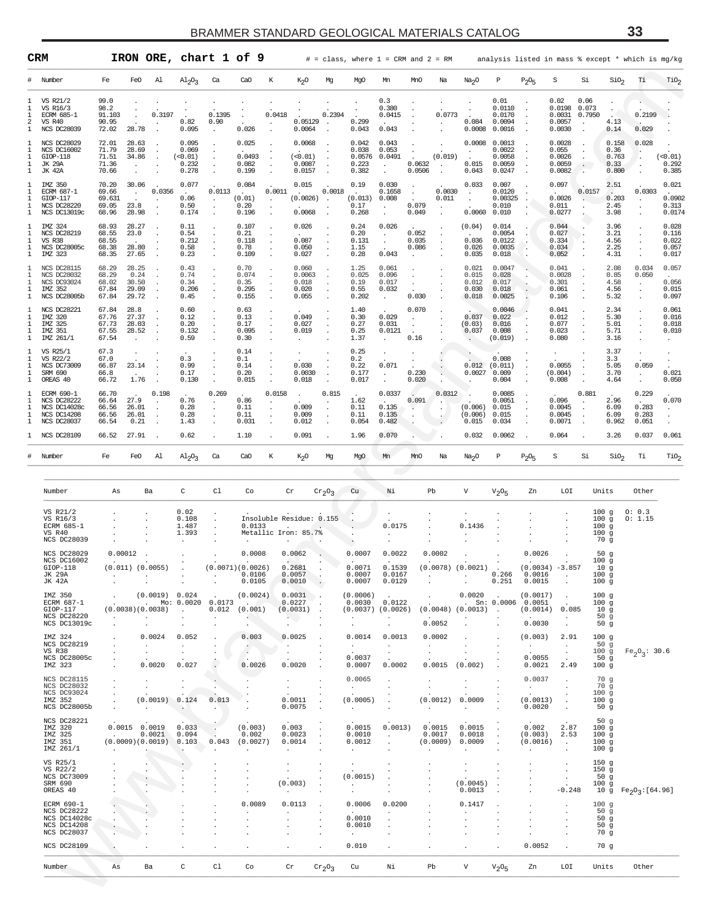<span id="page-32-0"></span>

| #<br>1<br>1<br>1<br>2<br>1<br>1<br>1<br>1<br>1<br>1<br>1<br>1<br>1<br>1<br>1<br>1<br>1<br>1<br>1<br>1<br>1 | Number<br>VS R21/2<br>VS R16/3<br><b>ECRM 685-1</b><br>VS R40<br><b>NCS DC28039</b><br><b>NCS DC28029</b><br><b>NCS DC16002</b><br>$GIOP-118$<br>JK 29A<br><b>JK 42A</b><br>IMZ 350<br><b>ECRM 687-1</b> | Fe<br>99.0<br>98.2<br>91.103<br>90.95<br>72.02<br>72.01<br>71.79<br>71.51<br>71.36 | FeO<br>28.78                             | Al<br>0.3197                       | $A1_{2}O_3$                                            | Ca                                     | CaO                                                                          | К                                 | K <sub>2</sub> O                                 | Mg                                                       | MgO                                         | Mn                                          |                                 |                   |                                                |                                                |                                                         |                                               |                                    |                                                       |                                  |                                           |
|------------------------------------------------------------------------------------------------------------|----------------------------------------------------------------------------------------------------------------------------------------------------------------------------------------------------------|------------------------------------------------------------------------------------|------------------------------------------|------------------------------------|--------------------------------------------------------|----------------------------------------|------------------------------------------------------------------------------|-----------------------------------|--------------------------------------------------|----------------------------------------------------------|---------------------------------------------|---------------------------------------------|---------------------------------|-------------------|------------------------------------------------|------------------------------------------------|---------------------------------------------------------|-----------------------------------------------|------------------------------------|-------------------------------------------------------|----------------------------------|-------------------------------------------|
|                                                                                                            |                                                                                                                                                                                                          |                                                                                    |                                          |                                    |                                                        |                                        |                                                                              |                                   |                                                  |                                                          |                                             |                                             | MnO                             | Na                | Na <sub>2</sub> O                              | P                                              | $P_2O_5$                                                | S                                             | Si                                 | SiO <sub>2</sub>                                      | Тi                               | $\mathrm{rio}_2$                          |
|                                                                                                            |                                                                                                                                                                                                          |                                                                                    |                                          |                                    | 0.82<br>0.095                                          | 0.1395<br>0.90<br>$\blacksquare$       | 0.026                                                                        | 0.0418                            | 0.05129<br>0.0064                                | 0.2394                                                   | 0.299<br>0.043                              | 0.3<br>0.380<br>0.0415<br>0.043             |                                 | 0.0773            | 0.084<br>0.0008                                | 0.01<br>0.0110<br>0.0170<br>0.0094<br>0.0016   |                                                         | 0.02<br>0.0198<br>0.0031<br>0.0057<br>0.0030  | 0.06<br>0.073<br>0.7950<br>$\cdot$ | $\overline{\phantom{a}}$<br>4.13<br>0.14              | 0.2199<br>0.029                  |                                           |
|                                                                                                            |                                                                                                                                                                                                          | 70.66                                                                              | 28.63<br>28.69<br>34.86                  |                                    | 0.095<br>0.069<br>(<0.01)<br>0.232<br>0.278            | $\cdot$<br>$\cdot$<br>$\cdot$          | 0.025<br>0.0493<br>0.082<br>0.199                                            |                                   | 0.0068<br>(0.01)<br>0.0087<br>0.0157             |                                                          | 0.042<br>0.038<br>0.0576<br>0.223<br>0.382  | 0.043<br>0.053<br>0.0491<br>$\cdot$         | 0.0632<br>0.0506                | (0.019)           | 0.0008<br>0.015<br>0.043                       | 0.0013<br>0.0022<br>0.0058<br>0.0059<br>0.0247 |                                                         | 0.0028<br>0.055<br>0.0026<br>0.0059<br>0.0082 | $\ddot{\phantom{1}}$ .             | 0.158<br>0.36<br>0.763<br>0.33<br>0.800               | 0.028<br>$\cdot$                 | (0.01)<br>0.292<br>0.385                  |
|                                                                                                            | GIOP-117<br><b>NCS DC28220</b><br>NCS DC13019c                                                                                                                                                           | 70.20<br>69.66<br>69.631<br>69.05<br>68.96                                         | 30.06<br>$\cdot$<br>23.8<br>28.98        | 0.0356                             | 0.077<br>$\ddot{\phantom{a}}$<br>0.06<br>0.50<br>0.174 | 0.0113                                 | 0.084<br>(0.01)<br>0.20<br>0.196                                             | 0.0011                            | 0.015<br>(0.0026)<br>0.0068                      | 0.0018<br>$\cdot$                                        | 0.19<br>(0.013)<br>0.17<br>0.268            | 0.030<br>0.1658<br>0.008<br>$\bullet$       | $\cdot$<br>0.079<br>0.049       | 0.0030<br>0.011   | 0.033<br>$\cdot$<br>0.0060                     | 0.007<br>0.0120<br>0.00325<br>0.010<br>0.010   |                                                         | 0.097<br>0.0026<br>0.011<br>0.0277            | 0.0157                             | 2.51<br>$\ddot{\phantom{a}}$<br>0.203<br>2.45<br>3.98 | 0.0303                           | 0.021<br>0.0902<br>0.313<br>0.0174        |
|                                                                                                            | IMZ 324<br>NCS DC28219<br><b>VS R38</b><br>NCS DC28005c<br>IMZ 323                                                                                                                                       | 68.93<br>68.55<br>68.55<br>68.38<br>68.35                                          | 28.27<br>23.0<br>28.80<br>27.65          |                                    | 0.11<br>0.54<br>0.212<br>0.58<br>0.23                  |                                        | 0.107<br>0.21<br>0.118<br>0.78<br>0.109                                      |                                   | 0.026<br>0.087<br>0.050<br>0.027                 |                                                          | 0.24<br>0.20<br>0.131<br>1.15<br>0.28       | 0.026<br>$\bullet$<br>$\cdot$<br>0.043      | 0.052<br>0.035<br>0.086         |                   | (0.04)<br>0.036<br>0.026<br>0.035              | 0.014<br>0.0054<br>0.0122<br>0.0035<br>0.018   |                                                         | 0.044<br>0.027<br>0.334<br>0.034<br>0.052     |                                    | 3.96<br>3.21<br>4.56<br>2.25<br>4.31                  |                                  | 0.028<br>0.116<br>0.022<br>0.057<br>0.017 |
| 1<br>1<br>1                                                                                                | NCS DC28115<br><b>NCS DC28032</b><br><b>NCS DC93024</b><br>IMZ 352<br>NCS DC28005b                                                                                                                       | 68.29<br>68.29<br>68.02<br>67.84<br>67.84                                          | 28.25<br>0.24<br>30.50<br>29.09<br>29.72 | $\ddot{\phantom{a}}$               | 0.43<br>0.74<br>0.34<br>0.206<br>0.45                  |                                        | 0.70<br>0.074<br>0.35<br>0.295<br>0.155                                      |                                   | 0.060<br>0.0063<br>0.018<br>0.020<br>0.055       |                                                          | 1.25<br>0.025<br>0.19<br>0.55<br>0.202      | 0.061<br>0.096<br>0.017<br>0.032<br>$\cdot$ | $\cdot$<br>$\cdot$<br>0.030     |                   | 0.021<br>0.015<br>0.012<br>0.030<br>0.018      | 0.0047<br>0.028<br>0.017<br>0.018<br>0.0025    |                                                         | 0.041<br>0.0028<br>0.301<br>0.061<br>0.106    |                                    | 2.08<br>0.85<br>4.58<br>4.56<br>5.32                  | 0.034<br>0.050                   | 0.057<br>0.056<br>0.015<br>0.097          |
| 1<br>1<br>1<br>1                                                                                           | NCS DC28221<br>IMZ 320<br>IMZ 325<br>IMZ 351<br>IMZ 261/1                                                                                                                                                | 67.84<br>67.76<br>67.73<br>67.55<br>67.54                                          | 28.8<br>27.37<br>28.03<br>28.52          |                                    | 0.60<br>0.12<br>0.20<br>0.132<br>0.59                  |                                        | 0.63<br>0.13<br>0.17<br>0.095<br>0.30                                        |                                   | 0.049<br>0.027<br>0.019                          |                                                          | 1.40<br>0.30<br>0.27<br>0.25<br>1.37        | 0.029<br>0.031<br>0.0121                    | 0.070<br>$\cdot$<br>0.16        |                   | 0.037<br>(0.03)<br>0.037                       | 0.0046<br>0.022<br>0.016<br>0.008<br>(0.019)   |                                                         | 0.041<br>0.012<br>0.077<br>0.023<br>0.080     |                                    | 2.34<br>5.30<br>5.01<br>5.71<br>3.16                  |                                  | 0.061<br>0.016<br>0.018<br>0.010          |
| 1<br>1<br>1<br>1<br>1                                                                                      | VS R25/1<br>VS R22/2<br>NCS DC73009<br>SRM 690<br>OREAS 40                                                                                                                                               | 67.3<br>67.0<br>66.87<br>66.8<br>66.72                                             | 23.14<br>1.76                            |                                    | 0.3<br>0.99<br>0.17<br>0.130                           |                                        | 0.14<br>0.1<br>0.14<br>0.20<br>0.015                                         |                                   | 0.030<br>0.0030<br>0.018                         |                                                          | 0.25<br>0.2<br>0.22<br>0.177<br>0.017       | $\cdot$<br>0.071<br>$\cdot$                 | 0.230<br>0.020                  |                   | 0.012<br>0.0027                                | 0.008<br>(0.011)<br>0.009<br>0.004             |                                                         | 0.0055<br>(0.004)<br>0.008                    |                                    | 3.37<br>3.3<br>5.05<br>3.70<br>4.64                   | 0.059<br>$\bullet$               | ٠<br>0.021<br>0.050                       |
| 1<br>1<br>1<br>1                                                                                           | <b>ECRM 690-1</b><br>NCS DC28222<br>NCS DC14028c<br>NCS DC14208<br>NCS DC28037                                                                                                                           | 66.70<br>66.64<br>66.56<br>66.56<br>66.54                                          | 27.9<br>26.01<br>26.01<br>0.21           | 0.198<br>$\cdot$<br>$\cdot$        | 0.76<br>0.28<br>0.28<br>1.43                           | 0.269<br>$\cdot$                       | 0.86<br>0.11<br>0.11<br>0.031                                                | 0.0158                            | $\cdot$<br>0.009<br>0.009<br>0.012               | 0.815                                                    | 1.62<br>0.11<br>0.11<br>0.054               | 0.0337<br>0.135<br>0.135<br>0.482           | 0.091<br>$\bullet$              | 0.0312<br>$\cdot$ | (0.006)<br>(0.006)<br>0.015                    | 0.0085<br>0.0051<br>0.015<br>0.015<br>0.034    |                                                         | 0.096<br>0.0045<br>0.0045<br>0.0071           | 0.881<br>$\cdot$                   | 2.96<br>6.09<br>6.09<br>0.962                         | 0.229<br>0.283<br>0.283<br>0.051 | 0.070<br>$\cdot$                          |
|                                                                                                            | NCS DC28109                                                                                                                                                                                              | 66.52                                                                              | 27.91                                    |                                    | 0.62                                                   |                                        | 1.10                                                                         |                                   | 0.091                                            |                                                          | 1.96                                        | 0.070                                       |                                 |                   | 0.032                                          | 0.0062                                         |                                                         | 0.064                                         |                                    | 3.26                                                  | 0.037                            | 0.061                                     |
| #                                                                                                          | Number                                                                                                                                                                                                   | Fe                                                                                 | FeO                                      | Al                                 | $A1_{2}O_3$                                            | Ca                                     | CaO                                                                          | К                                 | K <sub>2</sub> O                                 | Mg                                                       | MgO                                         | Mn                                          | MnO                             | Na                | Na <sub>2</sub> O                              | P                                              | $P_2O_5$                                                | $\rm S$                                       | Si                                 | SiO <sub>2</sub>                                      | Тi                               | TiO <sub>2</sub>                          |
|                                                                                                            | Number                                                                                                                                                                                                   | As                                                                                 |                                          | Ba                                 | C                                                      | C1                                     | Co                                                                           |                                   | Cr                                               | $\mathrm{cr}_2\mathrm{O}_3$                              | Cu                                          | Νi                                          |                                 | Pb                | V                                              | $V2$ <sup>O</sup> <sub>5</sub>                 | Zn                                                      | LOI                                           |                                    | Units                                                 | Other                            |                                           |
|                                                                                                            | VS R21/2<br>VS R16/3<br>ECRM 685-1<br>VS R40<br>NCS DC28039                                                                                                                                              |                                                                                    |                                          |                                    | 0.02<br>0.108<br>1.487<br>1.393                        |                                        | 0.0133                                                                       |                                   | Insoluble Residue: 0.155<br>Metallic Iron: 85.7% |                                                          |                                             | 0.0175                                      |                                 |                   | 0.1436                                         |                                                |                                                         |                                               |                                    | 100g<br>100g<br>100g<br>100g<br>70 g                  | 0: 0.3<br>0: 1.15                |                                           |
|                                                                                                            | <b>NCS DC28029</b><br>NCS DC16002<br>$GIOP-118$<br>JK 29A<br>JK 42A                                                                                                                                      |                                                                                    | 0.00012<br>(0.011) (0.0055)              |                                    |                                                        | $\cdot$                                | 0.0008<br>(0.0071)(0.0026)<br>0.0106<br>0.0105                               |                                   | 0.0062<br>0.2681<br>0.0057<br>0.0010             | $\sim$<br>$\sim$                                         | 0.0007<br>0.0071<br>0.0007<br>0.0007        | 0.0022<br>0.1539<br>0.0167<br>0.0129        |                                 | 0.0002            | $(0.0078)$ $(0.0021)$                          | 0.266<br>0.251                                 | 0.0026<br>0.0016<br>0.0015                              | $(0.0034) -3.857$<br>$\cdot$                  |                                    | 50g<br>100g<br>10q<br>100g<br>100g                    |                                  |                                           |
|                                                                                                            | IMZ 350<br>ECRM 687-1<br>$GIOP-117$<br>NCS DC28220<br>NCS DC13019c                                                                                                                                       | $\ddot{\phantom{1}}$                                                               | (0.0038)(0.0038)<br>$\cdot$<br>$\cdot$   | (0.0019) 0.024                     | $\sim$<br>$\ddot{\phantom{0}}$                         | . Mo: 0.0020 0.0173<br>$\cdot$         | (0.0024)<br><b>Contract Contract Contract</b><br>$0.012$ $(0.001)$<br>$\sim$ | $\cdot$                           | 0.0031<br>0.0227<br>(0.0031)<br>$\sim$ $\sim$    | $\overline{\phantom{a}}$<br>$\cdot$<br>$\sim$<br>$\cdot$ | (0.0006)<br>0.0030<br>$(0.0037)$ $(0.0026)$ | 0.0122                                      |                                 | 0.0052            | 0.0020<br>$(0.0048)$ $(0.0013)$                | $\sim$ $\sim$                                  | (0.0017)<br>$\sin: 0.0006$ 0.0051<br>(0.0014)<br>0.0030 | $\cdot$<br>0.085<br>$\cdot$<br>$\cdot$        |                                    | 100g<br>100g<br>10g<br>50g<br>50g                     |                                  |                                           |
|                                                                                                            | IMZ 324<br>NCS DC28219<br>VS R38<br>NCS DC28005c<br>IMZ 323                                                                                                                                              |                                                                                    | $\ddot{\phantom{a}}$<br>$\cdot$          | 0.0024<br>0.0020                   | 0.052<br>$\cdot$<br>$\ddot{\phantom{a}}$<br>0.027      |                                        | 0.003<br>$\cdot$<br>0.0026                                                   |                                   | 0.0025<br>0.0020                                 |                                                          | 0.0014<br>$\cdot$<br>0.0037<br>0.0007       | 0.0013<br>$\cdot$<br>$\bullet$<br>0.0002    | $\cdot$<br>$\bullet$            | 0.0002<br>0.0015  | $\cdot$<br>(0.002)                             |                                                | (0.003)<br><b>Contract</b><br>0.0055<br>0.0021          | 2.91<br>$\cdot$<br>$\cdot$<br>2.49            |                                    | 100g<br>50g<br>100g<br>50g<br>100g                    | $Fe_2O_3$ : 30.6                 |                                           |
|                                                                                                            | <b>NCS DC28115</b><br>NCS DC28032<br>NCS DC93024<br>IMZ 352<br>NCS DC28005b                                                                                                                              | $\cdot$<br>$\cdot$<br>$\cdot$<br>$\sim$                                            | $\cdot$<br>$\cdot$<br>$\sim$             | (0.0019)                           | $\ddot{\phantom{a}}$<br>0.124<br><b>COLLEGE</b>        | $\cdot$<br>$\cdot$<br>0.013<br>$\cdot$ |                                                                              |                                   | $\sim$<br>0.0011<br>0.0075                       | $\cdot$<br>$\cdot$                                       | 0.0065<br>$\sim$<br>(0.0005)<br>$\sim$      | $\ddot{\phantom{0}}$<br>$\cdot$<br>$\cdot$  | $\cdot$<br>$\ddot{\phantom{a}}$ | (0.0012)          | $\cdot$<br>$\cdot$<br>0.0009<br>$\cdot$        |                                                | 0.0037<br><b>Contract</b><br>(0.0013)<br>0.0020         | $\cdot$<br>$\cdot$                            |                                    | 70g<br>70 g<br>100g<br>100g<br>50 <sub>g</sub>        |                                  |                                           |
|                                                                                                            | NCS DC28221<br>IMZ 320<br>IMZ 325<br>IMZ 351<br>IMZ 261/1                                                                                                                                                | $\sim 100$                                                                         | $0.0015$ 0.0019                          | 0.0021<br>$(0.0009)(0.0019)$ 0.103 | 0.033<br>0.094<br>$\ddot{\phantom{1}}$                 | $\sim$                                 | (0.003)<br>0.002<br>$0.043$ $(0.0027)$<br>$\cdot$                            | $\cdot$                           | 0.003<br>0.0023<br>0.0014                        | $\cdot$                                                  | 0.0015<br>0.0010<br>0.0012                  | 0.0013)<br>$\cdot$                          |                                 | 0.0015<br>0.0017  | 0.0015<br>0.0018<br>(0.0009) 0.0009<br>$\cdot$ |                                                | 0.002<br>(0.003)<br>(0.0016)<br>$\cdot$                 | 2.87<br>2.53<br>$\sim$                        |                                    | 50g<br>100g<br>100g<br>100g<br>100 <sub>g</sub>       |                                  |                                           |
|                                                                                                            | VS R25/1<br>VS R22/2<br>NCS DC73009<br>SRM 690<br>OREAS 40                                                                                                                                               |                                                                                    | $\cdot$                                  | $\sim$<br>$\sim$                   | $\sim$<br>$\sim$<br>$\cdot$<br>$\cdot$<br>$\cdot$      |                                        |                                                                              | $\bullet$<br>$\ddot{\phantom{0}}$ | (0.003)                                          | $\cdot$<br>$\cdot$<br>$\cdot$                            | $\cdot$<br>(0.0015)<br>$\sim$               |                                             |                                 |                   | $\cdot$<br>$\cdot$<br>(0.0045)<br>0.0013       |                                                |                                                         | $\cdot$<br>$-0.248$                           |                                    | 150g<br>150g<br>50g<br>100g                           | 10 g $Fe_2O_3$ :[64.96]          |                                           |
|                                                                                                            | ECRM 690-1<br>NCS DC28222<br>NCS DC14028c<br>NCS DC14208<br>NCS DC28037                                                                                                                                  | $\cdot$                                                                            |                                          |                                    |                                                        | $\cdot$                                | 0.0089<br>$\cdot$<br>$\cdot$                                                 |                                   | 0.0113                                           | $\cdot$<br>$\cdot$<br>$\cdot$                            | 0.0006<br>0.0010<br>0.0010<br>$\sim$        | 0.0200<br>$\cdot$                           |                                 |                   | 0.1417<br>$\cdot$<br>$\cdot$                   |                                                | $\cdot$<br>$\cdot$                                      |                                               |                                    | 100g<br>50g<br>50g<br>50g<br>70 g                     |                                  |                                           |
|                                                                                                            | NCS DC28109                                                                                                                                                                                              |                                                                                    |                                          |                                    | $\ddot{\phantom{0}}$                                   |                                        |                                                                              |                                   |                                                  | $\cdot$                                                  | 0.010                                       |                                             |                                 |                   | $\cdot$                                        |                                                | 0.0052                                                  |                                               |                                    | 70 g                                                  |                                  |                                           |
|                                                                                                            | Number                                                                                                                                                                                                   | As                                                                                 |                                          | Ba                                 | C                                                      | C1                                     | Co                                                                           |                                   | Cr                                               | $\mathrm{cr}_2\mathrm{O}_3$                              | Cu                                          | Νi                                          |                                 | Pb                | V                                              | $V2$ <sup>O</sup> <sub>5</sub>                 | Zn                                                      | LOI                                           |                                    | Units                                                 | Other                            |                                           |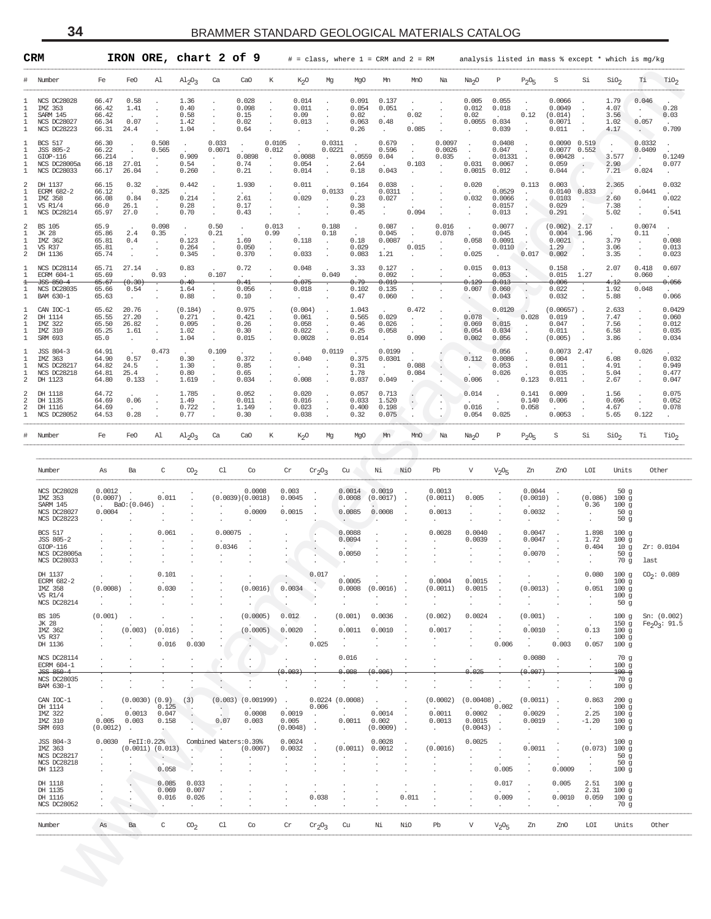<span id="page-33-0"></span>

|                                  | IRON ORE, chart 2 of 9<br>$_{\tt CRM}$<br>$#$ = class, where $1$ = CRM and $2$ = RM |                                            |                                                 |                                                           |                                                 |                                                |                                         |                                       |                                              |                                                              |                                                  |                                                     |                                          |                                                                     | analysis listed in mass % except * which is mg/kg   |                                                                 |                                          |                                                           |                                                 |                                                            |                                                              |                                                   |
|----------------------------------|-------------------------------------------------------------------------------------|--------------------------------------------|-------------------------------------------------|-----------------------------------------------------------|-------------------------------------------------|------------------------------------------------|-----------------------------------------|---------------------------------------|----------------------------------------------|--------------------------------------------------------------|--------------------------------------------------|-----------------------------------------------------|------------------------------------------|---------------------------------------------------------------------|-----------------------------------------------------|-----------------------------------------------------------------|------------------------------------------|-----------------------------------------------------------|-------------------------------------------------|------------------------------------------------------------|--------------------------------------------------------------|---------------------------------------------------|
| #                                | Number                                                                              | Fe                                         | FeO                                             | Al                                                        | $\mathrm{Al}_2\mathrm{O}_3$                     | Ca                                             | CaO                                     | К                                     | K <sub>2</sub> O                             | Mg                                                           | MgO                                              | Mn                                                  | MnO                                      | Na                                                                  | Na <sub>2</sub> O                                   | $\mathbb P$                                                     | $P_2O_5$                                 | S                                                         | Si                                              | SiO <sub>2</sub>                                           | Τi                                                           | TiO <sub>2</sub>                                  |
| 1<br>1<br>1<br>1<br>1            | NCS DC28028<br>IMZ 353<br>SARM 145<br><b>NCS DC28027</b><br><b>NCS DC28223</b>      | 66.47<br>66.42<br>66.42<br>66.34<br>66.31  | 0.58<br>1.41<br>0.07<br>24.4                    | $\ddot{\phantom{a}}$                                      | 1.36<br>0.40<br>0.58<br>1.42<br>1.04            | $\cdot$<br>$\cdot$<br>$\cdot$                  | 0.028<br>0.098<br>0.15<br>0.02<br>0.64  |                                       | 0.014<br>0.011<br>0.09<br>0.013              | $\cdot$<br>$\Box$<br>$\Box$<br>$\cdot$                       | 0.091<br>0.054<br>0.02<br>0.063<br>0.26          | 0.137<br>0.051<br>$\sim$<br>0.48<br>$\sim 10^{-11}$ | 0.02<br>0.085                            |                                                                     | 0.005<br>0.012<br>0.02<br>0.0055 0.034<br>$\sim$    | 0.055<br>0.018<br><b>Contract</b><br>0.039                      | $\cdot$<br>0.12<br>$\Box$                | 0.0066<br>0.0049<br>(0.014)<br>0.0071<br>0.011            | $\sim$<br>$\sim$<br>$\sim$<br>$\cdot$           | 1.79<br>4.07<br>3.56<br>1.02<br>4.17                       | 0.046<br><b>All Store</b><br>0.057<br>$\sim$ $\sim$          | 0.28<br>0.03<br>$\sim$<br>0.709                   |
| 1<br>1<br>1<br>1                 | <b>BCS 517</b><br>JSS 805-2<br>$GIOP-116$<br>NCS DC28005a<br>NCS DC28033            | 66.30<br>66.22<br>66.214<br>66.18<br>66.17 | $\sim$<br>$\Box$<br>27.01<br>26.04              | 0.508<br>0.565<br>$\sim 10^{-1}$<br>$\sim$<br>$\sim$      | $\sim$<br>0.909<br>0.54<br>0.260                | 0.033<br>0.0071<br>$\mathcal{L}_{\mathcal{A}}$ | $\sim$<br>0.0898<br>0.74<br>0.21        | 0.0105<br>0.012<br>$\cdot$<br>$\cdot$ | $\sim 100$<br>0.0088<br>0.054<br>0.014       | 0.0311<br>0.0221<br>$\sim$<br>$\cdot$<br>$\mathcal{L}^{\pm}$ | $\sim$<br>$\sim$<br>0.0559<br>2.64<br>0.18       | 0.679<br>0.596<br>0.04<br>0.043                     | $\cdot$<br>$\sim$<br>0.103<br>$\sim$     | 0.0097<br>0.0026<br>0.035<br>$\sim$                                 | $\sim$<br>0.031<br>$0.0015$ $0.012$                 | 0.0408<br>0.047<br>0.01331<br>0.0067                            | $\cdot$                                  | 0.0090 0.519<br>0.0077 0.552<br>0.00428<br>0.059<br>0.044 | $\sim$ $-$<br>$\sim$ $\sim$<br>$\sim$           | $\sim 10^{-11}$<br>3.577<br>2.90<br>7.21                   | 0.0332<br>0.0409<br>0.024                                    | $\sim$ $\sim$<br>0.1249<br>0.077<br>$\sim$ $\sim$ |
| 2<br>1<br>1<br>1                 | DH 1137<br>ECRM 682-2<br>IMZ 358<br><b>VS R1/4</b><br>NCS DC28214                   | 66.15<br>66.12<br>66.08<br>66.0<br>65.97   | 0.32<br><b>Contract</b><br>0.84<br>26.1<br>27.0 | 0.325<br>$\Delta \sim 10^4$<br>$\sim$<br>$\sim$           | 0.442<br>$\sim$ $\sim$<br>0.214<br>0.28<br>0.70 | $\cdot$<br>$\cdot$<br>$\cdot$                  | 1.930<br>$\sim$<br>2.61<br>0.17<br>0.43 |                                       | 0.011<br>0.029<br>$\sim$                     | 0.0133<br>$\sim$<br>$\cdot$<br>$\Box$                        | 0.164<br>$\sim 10^{-11}$<br>0.23<br>0.38<br>0.45 | 0.038<br>0.0311<br>0.027<br>$\sim$                  | $\cdot$<br>0.094                         |                                                                     | 0.020<br>0.032<br>$\sim$                            | 0.0529<br>0.0066<br>0.0157<br>0.013                             | 0.113                                    | 0.003<br>0.0140 0.833<br>0.0103<br>0.029<br>0.291         | V.<br>$\sim$                                    | 2.365<br>$\sim$<br>2.60<br>7.38<br>5.02                    | 0.0441<br>$\sim$<br>$\mathcal{L}^{\pm}$                      | 0.032<br>$\sim$<br>0.022<br>0.541                 |
| 2<br>1<br>1<br>2                 | <b>BS 105</b><br>JK 28<br>IMZ 362<br>VS R37<br>DH 1136                              | 65.9<br>65.86<br>65.81<br>65.81<br>65.74   | 2.4<br>0.4<br>$\sim$<br>$\sim$                  | 0.098<br>0.35<br>$\sim$<br>$\sim$<br>$\blacksquare$       | $\sim$<br>0.123<br>0.264<br>0.345               | 0.50<br>0.21<br>$\sim$<br>$\sim$               | $\sim$<br>1.69<br>0.050<br>0.370        | 0.013<br>0.99<br>$\cdot$              | 0.118<br>0.033                               | 0.188<br>0.18<br>$\sim$<br>$\epsilon$<br>$\sim$              | $\sim$<br>0.18<br>0.029<br>0.083                 | 0.087<br>0.045<br>0.0087<br>$\sim 10^{-11}$<br>1.21 | $\cdot$<br>$\epsilon$<br>0.015<br>$\sim$ | 0.016<br>0.078<br>$\sim 10^{-1}$<br>$\cdot$<br>$\ddot{\phantom{a}}$ | $\sim 10^{-1}$<br>0.058<br>$\sim 10^{-11}$<br>0.025 | 0.0077<br>0.045<br>0.0091<br>0.0110<br><b>Contract Contract</b> | $\cdot$<br>$\overrightarrow{a}$<br>0.017 | $(0.002)$ 2.17<br>$0.004$ 1.96<br>0.0021<br>1.29<br>0.002 | У.,<br>$\cdot$<br>$\cdot$                       | $\sim$<br>3.79<br>3.06<br>3.35                             | 0.0074<br>0.11<br>$\sim$<br>$\Box$<br>$\mathcal{L}$          | $\sim$ $\sim$<br>0.008<br>0.013<br>0.023          |
| 1                                | NCS DC28114<br>ECRM 604-1<br>JSS 850-4<br>NCS DC28035                               | 65.71<br>65.69<br>65.67<br>65.66           | 27.14<br>$\sim 10^{-11}$<br>(0.30)<br>0.54      | 0.93<br>$\sim$                                            | 0.83<br>$\sim$<br>0.40<br>1.64                  | 0.107<br>$\cdot$                               | 0.72<br>$\sim$<br>0.41<br>0.056         |                                       | 0.048<br>$\mathbf{r}$<br>0.075<br>0.018      | 0.049<br>$\mathcal{L}$                                       | 3.33<br>$\sim$<br>0.79<br>0.102                  | 0.127<br>0.092<br>0.019<br>0.135                    |                                          |                                                                     | 0.015<br>$\sim$<br>0.129<br>0.007                   | 0.013<br>0.053<br>0.013<br>0.060                                |                                          | 0.158<br>0.015<br>0.006<br>0.022                          | 1.27<br>$\sim$                                  | 2.07<br>$\sim 10^{-11}$<br>4.12<br>1.92                    | 0.418<br>0.060<br>0.048                                      | 0.697<br>$\sim$<br>0.056<br>$\sim$ 100 $\sim$     |
| 1                                | BAM 630-1                                                                           | 65.63                                      | $\sim$                                          |                                                           | 0.88                                            |                                                | 0.10                                    |                                       | $\sim 10^{-11}$                              |                                                              | 0.47                                             | 0.060                                               |                                          |                                                                     |                                                     | 0.043                                                           |                                          | 0.032                                                     | $\cdot$                                         | 5.88                                                       | $\sim 10^{-1}$                                               | 0.066                                             |
| 1<br>2<br>$\mathbf{1}$<br>1<br>1 | CAN IOC-1<br>DH 1114<br>IMZ 322<br>IMZ 310<br>SRM 693                               | 65.62<br>65.55<br>65.50<br>65.25<br>65.0   | 20.76<br>27.20<br>26.82<br>1.61<br>$\sim$       | $\cdot$<br>$\cdot$                                        | (0.184)<br>0.271<br>0.095<br>1.02<br>1.04       | $\cdot$<br>$\cdot$<br>$\cdot$                  | 0.975<br>0.421<br>0.26<br>0.30<br>0.015 |                                       | (0.004)<br>0.061<br>0.058<br>0.022<br>0.0028 | $\mathcal{L}$<br>$\epsilon$<br>$\sim$                        | 1.043<br>0.565<br>0.46<br>0.25<br>0.014          | 0.029<br>0.026<br>0.058<br>$\sim 10^{-10}$          | 0.472<br>$\sim$<br>$\sim$<br>0.090       |                                                                     | 0.078<br>0.069<br>0.054<br>0.002                    | 0.0120<br><b>Allen</b><br>0.015<br>0.034<br>0.056               | 0.028<br>$\sim$<br>$\cdot$               | $(0.00657)$ .<br>0.019<br>0.047<br>0.011<br>(0.005)       | $\cdot$<br>$\cdot$<br>$\ddot{\phantom{a}}$      | 2.633<br>7.47<br>7.56<br>6.58<br>3.86                      | $\ddot{\phantom{a}}$<br>$\Box$<br>$\Box$<br>$\sim$ 100 $\mu$ | 0.0429<br>0.060<br>0.012<br>0.035<br>0.034        |
| 1<br>1<br>1<br>1<br>2            | JSS 804-3<br>IMZ 363<br><b>NCS DC28217</b><br>NCS DC28218<br>DH 1123                | 64.91<br>64.90<br>64.82<br>64.81<br>64.80  | 0.57<br>24.5<br>25.4<br>0.133                   | 0.473<br>$\sim$<br>$\blacksquare$<br>$\ddot{\phantom{a}}$ | 0.30<br>1.30<br>0.80<br>1.619                   | 0.109<br>$\sim$<br>$\sim$<br>$\sim$            | 0.372<br>0.85<br>0.65<br>0.034          |                                       | 0.040<br>$\sim 10^{-11}$<br>0.008            | 0.0119                                                       | $\sim$ $\sim$<br>0.375<br>0.31<br>1.78<br>0.037  | 0.0199<br>0.0301<br>$\sim 100$<br>0.049             | 0.088<br>0.084                           |                                                                     | 0.112<br><b>All Street</b><br>0.006                 | 0.056<br>0.0086<br>0.053<br>0.026<br>$\sim$                     | $\cdot$<br>$\Box$<br>$\cdot$<br>0.123    | $0.0073$ 2.47<br>0.004<br>0.011<br>0.035<br>0.011         | $\sim$                                          | 6.08<br>4.91<br>5.04<br>2.67                               | 0.026<br>$\sim$<br>$\star$<br>$\Box$                         | 0.032<br>0.949<br>0.477<br>0.047                  |
| 2<br>2<br>$\overline{a}$<br>1    | DH 1118<br>DH 1135<br>DH 1116<br><b>NCS DC28052</b>                                 | 64.72<br>64.69<br>64.69<br>64.53           | 0.06<br>0.28                                    |                                                           | 1.785<br>1.49<br>0.722<br>0.77                  | $\cdot$                                        | 0.052<br>0.011<br>1.149<br>0.30         |                                       | 0.020<br>0.016<br>0.023<br>0.038             | $\mathcal{L}$                                                | 0.057<br>0.033<br>0.400<br>0.32                  | 0.713<br>1.520<br>0.198<br>0.075                    | $\ddot{\cdot}$                           | $\cdot$                                                             | 0.014<br>0.016<br>0.054                             | $\cdot$<br>0.025                                                | 0.141<br>0.140<br>0.058<br>$\sim$        | 0.009<br>0.006<br>0.0053                                  |                                                 | 1.56<br>0.696<br>4.67<br>5.65                              | $\ddot{\phantom{a}}$<br>$\cdot$<br>0.122                     | 0.075<br>0.052<br>0.078<br>$\sim$                 |
| #                                | Number                                                                              | Fe                                         | FeO                                             | Al                                                        | $\mathrm{Al}_2\mathrm{O}_3$                     | Ca                                             | CaO                                     | К                                     | K <sub>2</sub> O                             | Mg                                                           | MgO                                              | Mn                                                  | MnO                                      | Na                                                                  | Na <sub>2</sub> O                                   | P                                                               | $P_2O_5$                                 | S                                                         | Si                                              | SiO <sub>2</sub>                                           | Тi                                                           | TiO <sub>2</sub>                                  |
|                                  |                                                                                     |                                            |                                                 |                                                           |                                                 |                                                |                                         |                                       |                                              |                                                              |                                                  |                                                     |                                          |                                                                     |                                                     |                                                                 |                                          |                                                           |                                                 |                                                            |                                                              |                                                   |
|                                  | Number                                                                              | As                                         | Ba                                              | C                                                         | $\mathrm{CO}_2$                                 | Cl                                             | Co                                      | $\operatorname{Cr}$                   |                                              | $Cr_2O_3$                                                    | Cu                                               | Νi                                                  | NiO                                      | Pb                                                                  | $\mathbf V$                                         | $V_2O_5$                                                        | Zn                                       | ZnO                                                       | LOI                                             | Units                                                      | Other                                                        |                                                   |
|                                  | NCS DC28028<br>IMZ 353<br>SARM 145<br>NCS DC28027<br>NCS DC28223                    | 0.0012<br>$(0.0007)$ .<br>$0.0004$ .       | Bao:(0.046)                                     | 0.011                                                     |                                                 |                                                | 0.0008<br>(0.0039)(0.0018)<br>0.0009    |                                       | 0.003<br>0.0045<br>0.0015                    |                                                              | 0.0014<br>0.0008<br>0.0085                       | 0.0019<br>(0.0017)<br>0.0008                        |                                          | 0.0013<br>(0.0011)<br>0.0013                                        | 0.005                                               |                                                                 | 0.0044<br>(0.0010)<br>0.0032             |                                                           | $(0.086)$ 100 g<br>0.36<br>$\sim$ $-$<br>$\sim$ | 50g<br>100g<br>50 <sub>g</sub><br>50 <sub>g</sub>          |                                                              |                                                   |
|                                  | <b>BCS 517</b><br>JSS 805-2<br>$GIOP-116$<br>NCS DC28005a<br><b>NCS DC28033</b>     |                                            |                                                 | 0.061                                                     |                                                 | 0.00075<br>0.0346                              |                                         |                                       |                                              |                                                              | 0.0088<br>0.0094<br>0.0050                       |                                                     |                                          | 0.0028                                                              | 0.0040<br>0.0039                                    |                                                                 | 0.0047<br>0.0047<br>0.0070               |                                                           | 1.898<br>1.72<br>0.404<br>$\sim$                | 100g<br>100g<br>10g<br>50 <sub>g</sub><br>70 g             | last                                                         | Zr: 0.0104                                        |
|                                  | DH 1137<br>ECRM 682-2<br>IMZ 358<br>VS R1/4<br>NCS DC28214                          | (0.0008)                                   |                                                 | 0.101<br>0.030                                            |                                                 |                                                | (0.0016)                                |                                       | 0.0034                                       | 0.01                                                         | 0.0005<br>0.0008<br>$\cdot$                      | (0.0016)                                            |                                          | 0.0004<br>(0.0011)<br>$\cdot$                                       | 0.0015<br>0.0015                                    |                                                                 | (0.0013)                                 |                                                           | 0.080<br>0.051<br>$\ddot{\phantom{a}}$          | 100g<br>100g<br>100g<br>100g<br>50 <sub>g</sub>            |                                                              | $CO_2: 0.089$                                     |
|                                  | <b>BS 105</b><br>JK 28<br>IMZ 362<br>VS R37<br>DH 1136                              | (0.001)                                    | (0.003)                                         | (0.016)<br>0.016                                          | 0.030                                           |                                                | (0.0005)<br>(0.0005)                    | 0.012                                 | 0.0020                                       | 0.025                                                        | (0.001)<br>0.0011<br>$\cdot$                     | 0.0036<br>0.0010                                    |                                          | (0.002)<br>0.0017                                                   | 0.0024                                              | 0.006                                                           | (0.001)<br>0.0010                        | 0.003                                                     | 0.13<br>0.057                                   | 100g<br>100g<br>100g<br>100 <sub>g</sub>                   | 150 g Fe <sub>2</sub> O <sub>3</sub> : 91.5                  | Sn: (0.002)                                       |
|                                  | NCS DC28114<br>ECRM 604-1<br>JSS 850-4<br>NCS DC28035                               |                                            |                                                 |                                                           |                                                 |                                                |                                         |                                       | 0.003                                        |                                                              | 0.016<br>0.008<br>$\cdot$                        | 0.006                                               |                                          | $\cdot$                                                             | 0.025                                               |                                                                 | 0.0080<br>0.007<br>$\cdot$               |                                                           |                                                 | 70g<br>100g<br>$100 - g$<br>70 g                           |                                                              |                                                   |
|                                  | BAM 630-1<br>CAN IOC-1                                                              |                                            | $(0.0030)$ $(0.9)$                              |                                                           | (3)                                             |                                                | $(0.003)$ $(0.001999)$                  | $\overline{a}$                        |                                              |                                                              | $0.0224$ $(0.0008)$                              |                                                     |                                          | (0.0002)                                                            | $(0.00408)$ .                                       |                                                                 | (0.0011)                                 |                                                           | 0.863                                           | 100 <sub>g</sub><br>200g                                   |                                                              |                                                   |
|                                  | DH 1114<br>IMZ 322<br>IMZ 310<br>SRM 693                                            | 0.005<br>$(0.0012)$ .                      | 0.0013<br>0.003                                 | 0.125<br>0.047<br>0.158                                   | o k                                             | 0.07                                           | 0.0008<br>0.003<br>$\ddot{\phantom{a}}$ | 0.005                                 | 0.0019<br>(0.0048)<br>$\sim$                 | 0.006                                                        | 0.0011<br>$\ddot{\phantom{a}}$                   | 0.0014<br>0.002<br>$(0.0009)$ .                     |                                          | 0.0011<br>0.0013                                                    | 0.0002<br>0.0015<br>(0.0043)                        | 0.002<br>$\ddot{\phantom{a}}$<br>$\ddot{\phantom{a}}$           | 0.0029<br>0.0019                         |                                                           | 2.25<br>$-1.20$<br>$\cdot$                      | 100g<br>100g<br>100g<br>100 <sub>g</sub>                   |                                                              |                                                   |
|                                  | JSS 804-3<br>IMZ 363<br>NCS DC28217<br>NCS DC28218<br>DH 1123                       | 0.0030                                     | FeII:0.22%<br>$(0.0011)$ $(0.013)$              | $\sim$<br>0.058                                           |                                                 |                                                | Combined Waters: 0.39%<br>(0.0007)      |                                       | 0.0024<br>0.0032                             |                                                              | (0.0011)                                         | 0.0028<br>0.0012                                    |                                          | (0.0016)                                                            | 0.0025                                              | 0.005                                                           | 0.0011                                   | 0.0009                                                    | (0.073)<br>$\cdot$<br>$\cdot$                   | 100g<br>100g<br>50g<br>50 <sub>g</sub><br>100 <sub>g</sub> |                                                              |                                                   |
|                                  | DH 1118<br>DH 1135<br>DH 1116<br>NCS DC28052                                        |                                            |                                                 | 0.085<br>0.069<br>0.016                                   | 0.033<br>0.007<br>0.026<br>$\cdot$              |                                                |                                         |                                       |                                              | 0.038                                                        |                                                  |                                                     | 0.011                                    |                                                                     |                                                     | 0.017<br>0.009<br>$\cdot$                                       |                                          | 0.005<br>0.0010<br>$\cdot$                                | 2.51<br>2.31<br>0.059<br>$\cdot$                | 100g<br>100g<br>100g<br>70 g                               |                                                              |                                                   |
|                                  | Number                                                                              | As                                         | Ba                                              | C                                                         | CO <sub>2</sub>                                 | C1                                             | Co                                      | Cr                                    |                                              | $cr_2O_3$                                                    | Cu                                               | Νi                                                  | NiO                                      | Pb                                                                  | V                                                   | $V_2O_5$                                                        | Zn                                       | ZnO                                                       | LOI                                             | Units                                                      | Other                                                        |                                                   |
|                                  |                                                                                     |                                            |                                                 |                                                           |                                                 |                                                |                                         |                                       |                                              |                                                              |                                                  |                                                     |                                          |                                                                     |                                                     |                                                                 |                                          |                                                           |                                                 |                                                            |                                                              |                                                   |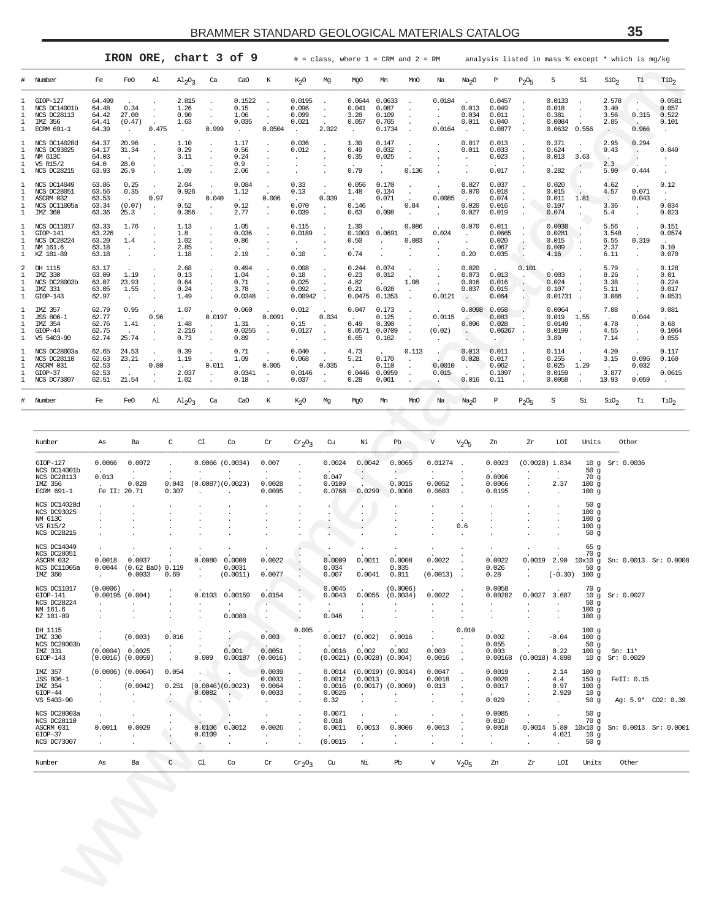<span id="page-34-0"></span>

|                             |                                                                                        |                                            |                                      |       | IRON ORE, chart 3 of 9                        |        |                                               |        |                                                     |                               | $#$ = class, where $1$ = CRM and $2$ = RM |                                                           |                |                                          |                                  |                                             |          | analysis listed in mass % except * which is mq/kq |       |                                                       |                                                                |                                           |
|-----------------------------|----------------------------------------------------------------------------------------|--------------------------------------------|--------------------------------------|-------|-----------------------------------------------|--------|-----------------------------------------------|--------|-----------------------------------------------------|-------------------------------|-------------------------------------------|-----------------------------------------------------------|----------------|------------------------------------------|----------------------------------|---------------------------------------------|----------|---------------------------------------------------|-------|-------------------------------------------------------|----------------------------------------------------------------|-------------------------------------------|
| #                           | Number                                                                                 | Fe                                         | FeO                                  | Al    | $\mathrm{Al}_2\mathrm{O}_3$                   | Ca     | CaO                                           | K      | K <sub>2</sub> O                                    | Mq                            | MqO                                       | Mn                                                        | MnO            | Na                                       | Na <sub>2</sub> O                | P                                           | $P_2O_5$ | S                                                 | Si    | SiO <sub>2</sub>                                      | Τi                                                             | TiO <sub>2</sub>                          |
| 1                           | $GIOP-127$<br>NCS DC14001b<br><b>NCS DC28113</b><br>IMZ 356<br><b>ECRM 691-1</b>       | 64.499<br>64.48<br>64.42<br>64.41<br>64.39 | 0.34<br>27.00<br>(0.47)              | 0.475 | 2.815<br>1.26<br>0.90<br>1.63<br>$\mathbf{r}$ | 0.999  | 0.1522<br>0.15<br>1.06<br>0.035<br>÷          | 0.0504 | 0.0195<br>0.096<br>0.099<br>0.021<br>$\mathbf{r}$   | 2.022                         | 0.0644<br>0.041<br>3.28<br>0.057<br>u.    | 0.0633<br>0.087<br>0.109<br>0.765<br>0.1734               |                | 0.0184<br>$\ddot{\phantom{a}}$<br>0.0164 | 0.013<br>0.034<br>0.011          | 0.0457<br>0.049<br>0.011<br>0.040<br>0.0877 |          | 0.0133<br>0.018<br>0.381<br>0.0084<br>0.0632      | 0.556 | 2.578<br>3.40<br>3.56<br>2.85<br>$\ddot{\phantom{0}}$ | 0.315<br>0.966                                                 | 0.0581<br>0.057<br>0.522<br>0.101         |
| $\mathbf{1}$<br>1<br>1      | NCS DC14028d<br><b>NCS DC93025</b><br>NM 613C<br><b>VS R15/2</b><br><b>NCS DC28215</b> | 64.37<br>64.17<br>64.03<br>64.0<br>63.93   | 20.96<br>31.34<br>u.<br>28.0<br>26.9 |       | 1.10<br>0.29<br>3.11<br>$\cdot$<br>1.09       |        | 1.17<br>0.56<br>0.24<br>0.9<br>2.06           |        | 0.036<br>0.012                                      |                               | 1.30<br>0.49<br>0.35<br>$\sim$<br>0.79    | 0.147<br>0.032<br>0.025                                   | 0.136          |                                          | 0.017<br>0.011                   | 0.013<br>0.033<br>0.023<br>$\cdot$<br>0.017 |          | 0.371<br>0.624<br>0.013<br>0.282                  | 3.63  | 2.95<br>9.43<br>$\sim$<br>2.3<br>5.90                 | 0.294<br>0.444                                                 | 0.049                                     |
| 1<br>-1.<br>1               | <b>NCS DC14049</b><br>NCS DC28051<br>ASCRM 032<br>NCS DC11005a<br>IMZ 360              | 63.86<br>63.56<br>63.53<br>63.34<br>63.36  | 0.25<br>0.35<br>(0.07)<br>25.3       | 0.97  | 2.04<br>0.926<br>0.52<br>0.356                | 0.040  | 0.084<br>1.12<br>$\mathbf{r}$<br>0.12<br>2.77 | 0.006  | 0.33<br>0.13<br>$\cdot$<br>0.070<br>0.039           | 0.039<br>$\ddot{\phantom{a}}$ | 0.056<br>1.48<br>- 1<br>0.146<br>0.63     | 0.170<br>0.134<br>0.071<br>0.098                          | i.<br>0.84     | 0.0085<br>$\cdot$                        | 0.027<br>0.070<br>0.020<br>0.027 | 0.037<br>0.018<br>0.074<br>0.016<br>0.019   |          | 0.020<br>0.015<br>0.011<br>0.107<br>0.074         | 1.81  | 4.62<br>4.57<br>$\mathcal{L}$<br>3.36<br>5.4          | 0.071<br>0.043<br>$\ddot{\phantom{0}}$<br>$\ddot{\phantom{a}}$ | 0.12<br>$\sim$<br>0.034<br>0.023          |
| 1<br>1                      | <b>NCS DC11017</b><br>GIOP-141<br><b>NCS DC28224</b><br>NM 161.6<br>KZ 181-89          | 63.33<br>63.226<br>63.20<br>63.18<br>63.18 | 1.76<br>1.4                          |       | 1.13<br>1.8<br>1.02<br>2.85<br>1.18           |        | 1.05<br>0.036<br>0.86<br>2.19                 |        | 0.115<br>0.0189<br>$\overline{\phantom{a}}$<br>0.10 |                               | 1.30<br>0.1003<br>0.50<br>$\cdot$<br>0.74 | 0.0691                                                    | 0.086<br>0.083 | 0.024<br>$\ddot{\phantom{a}}$            | 0.070<br>$\cdot$<br>0.20         | 0.011<br>0.0665<br>0.020<br>0.067<br>0.035  |          | 0.0030<br>0.0281<br>0.015<br>0.009<br>4.16        |       | 5.56<br>3.548<br>6.55<br>2.37<br>6.11                 | 0.319                                                          | 0.151<br>0.0574<br>0.10<br>0.070          |
| 2<br>$\mathbf{1}$<br>1<br>1 | DH 1115<br>IMZ 330<br>NCS DC28003b<br>IMZ 331<br>$GIOP-143$                            | 63.17<br>63.09<br>63.07<br>63.05<br>62.97  | 1.19<br>23.93<br>1.55                |       | 2.68<br>0.13<br>0.64<br>0.24<br>1.49          |        | 0.494<br>1.04<br>0.71<br>3.78<br>0.0348       |        | 0.008<br>0.18<br>0.025<br>0.092<br>0.00942          |                               | 0.244<br>0.23<br>4.82<br>0.21<br>0.0475   | 0.074<br>0.012<br>0.028<br>0.1353                         | 1.08           | 0.0121                                   | 0.020<br>0.073<br>0.016<br>0.037 | 0.013<br>0.016<br>0.015<br>0.064            | 0.101    | 0.003<br>0.024<br>0.107<br>0.01731                |       | 5.79<br>8.26<br>3.38<br>5.11<br>3.086                 |                                                                | 0.128<br>0.01<br>0.224<br>0.017<br>0.0531 |
| 1                           | IMZ 357<br>JSS 806-1<br>IMZ 354<br>$GIOP-44$<br>5403-90<br>VS                          | 62.79<br>62.77<br>62.76<br>62.75<br>62.74  | 0.95<br>1.41<br>25.74                | 0.96  | 1.07<br>1.48<br>2.216<br>0.73                 | 0.0197 | 0.060<br>1.31<br>0.0255<br>0.89               | 0.0091 | 0.012<br>0.15<br>0.0127                             | 0.034                         | 0.047<br>0.49<br>0.0571<br>0.65           | 0.173<br>0.125<br>0.390<br>0.0709<br>0.162                |                | 0.0115<br>(0.02)                         | 0.0098<br>0.096                  | 0.058<br>0.083<br>0.028<br>0.06267          |          | 0.0064<br>0.019<br>0.0149<br>0.0199<br>3.89       | 1.55  | 7.08<br>4.78<br>4.55<br>7.14                          | 0.044                                                          | 0.081<br>0.68<br>0.1064<br>0.055          |
| -1.                         | NCS DC28003a<br><b>NCS DC28110</b><br>ASCRM 031<br>$GLOP-37$<br>NCS DC73007            | 62.65<br>62.63<br>62.53<br>62.53<br>62.51  | 24.53<br>23.21<br>21.54              | 0.80  | 0.39<br>1.19<br>$\cdot$<br>2.037<br>1.02      | 0.011  | 0.71<br>1.09<br>0.0341<br>0.18                | 0.005  | 0.040<br>0.068<br>0.0146<br>0.037                   | 0.035                         | 4.73<br>5.21<br>0.0446<br>0.28            | $\ddot{\phantom{a}}$<br>0.170<br>0.110<br>0.0959<br>0.061 | 0.113          | 0.0010<br>0.015                          | 0.013<br>0.028<br>0.016          | 0.011<br>0.017<br>0.062<br>0.1097<br>0.11   |          | 0.114<br>0.255<br>0.025<br>0.0159<br>0.0058       | 1.29  | 4.20<br>3.15<br>3.877<br>10.93                        | 0.096<br>0.032<br>0.059                                        | 0.117<br>0.160<br>0.0615                  |
| #                           | Number                                                                                 | Fe                                         | FeO                                  | Al    | $\mathrm{Al}_2\mathrm{O}_3$                   | Ca     | CaO                                           | К      | K <sub>2</sub> O                                    | Mq                            | MqO                                       | Mn                                                        | MnO            | Na                                       | Na <sub>2</sub> O                | Р                                           | $P_2O_F$ | S                                                 | Si    | SiO <sub>2</sub>                                      | Тi                                                             | TiO <sub>2</sub>                          |

| Number                                                                           | Fe                                         | FeO                                                 | Al                         | $A1_{2}O_3$                              | Ca                                                      | CaO                                                    | К                                                     | $K_{2}O$                                        | Mg                                    | MgO                                                                | Mn                                                           | MnO                                        | Na                                                     | Na <sub>2</sub> O                           | Р                                           | $P_2O_5$                                                                      | S                                            | Si                                                                         | SiO <sub>2</sub>                           | Тi                          | TiO <sub>2</sub>                          |
|----------------------------------------------------------------------------------|--------------------------------------------|-----------------------------------------------------|----------------------------|------------------------------------------|---------------------------------------------------------|--------------------------------------------------------|-------------------------------------------------------|-------------------------------------------------|---------------------------------------|--------------------------------------------------------------------|--------------------------------------------------------------|--------------------------------------------|--------------------------------------------------------|---------------------------------------------|---------------------------------------------|-------------------------------------------------------------------------------|----------------------------------------------|----------------------------------------------------------------------------|--------------------------------------------|-----------------------------|-------------------------------------------|
| $GIOP-127$<br>NCS DC14001b<br>NCS DC28113<br>IMZ 356<br>ECRM 691-1               | 64.499<br>64.48<br>64.42<br>64.41<br>64.39 | 0.34<br>27.00<br>(0.47)<br>$\cdot$                  | 0.475                      | 2.815<br>1.26<br>0.90<br>1.63<br>$\cdot$ | $\ddot{\phantom{a}}$<br>$\cdot$<br>$\cdot$<br>0.999     | 0.1522<br>0.15<br>1.06<br>0.035<br>$\cdot$             | $\cdot$<br>0.0504                                     | 0.0195<br>0.096<br>0.099<br>0.021<br>$\cdot$    | $\ddot{\phantom{a}}$<br>2.022         | 0.0644<br>0.041<br>3.28<br>0.057<br>$\cdot$                        | 0.0633<br>0.087<br>0.109<br>0.765<br>0.1734                  |                                            | 0.0184<br>0.0164                                       | 0.013<br>0.034<br>0.011                     | 0.0457<br>0.049<br>0.011<br>0.040<br>0.0877 | $\ddot{\phantom{a}}$<br>$\cdot$<br>$\cdot$<br>$\cdot$<br>$\ddot{\phantom{a}}$ | 0.0133<br>0.018<br>0.381<br>0.0084<br>0.0632 | $\cdot$<br>0.556                                                           | 2.578<br>3.40<br>3.56<br>2.85<br>$\bullet$ | 0.315<br>0.966              | 0.0581<br>0.057<br>0.522<br>0.101         |
| NCS DC14028d<br><b>NCS DC93025</b><br>NM 613C<br>VS R15/2<br><b>NCS DC28215</b>  | 64.37<br>64.17<br>64.03<br>64.0<br>63.93   | 20.96<br>31.34<br>28.0<br>26.9                      |                            | 1.10<br>0.29<br>3.11<br>1.09             | $\ddot{\phantom{0}}$                                    | 1.17<br>0.56<br>0.24<br>0.9<br>2.06                    |                                                       | 0.036<br>0.012                                  |                                       | 1.30<br>0.49<br>0.35<br>0.79                                       | 0.147<br>0.032<br>0.025<br>$\bullet$<br>$\ddot{\phantom{0}}$ | $\ddot{\phantom{a}}$<br>0.136              |                                                        | 0.017<br>0.011                              | 0.013<br>0.033<br>0.023<br>0.017            | $\cdot$                                                                       | 0.371<br>0.624<br>0.013<br>0.282             | 3.63<br>$\bullet$<br>$\ddot{\phantom{a}}$                                  | 2.95<br>9.43<br>2.3<br>5.90                | 0.294<br>$\cdot$<br>0.444   | 0.049                                     |
| <b>NCS DC14049</b><br><b>NCS DC28051</b><br>ASCRM 032<br>NCS DC11005a<br>IMZ 360 | 63.86<br>63.56<br>63.53<br>63.34<br>63.36  | 0.25<br>0.35<br>(0.07)<br>25.3                      | 0.97<br>$\bullet$          | 2.04<br>0.926<br>0.52<br>0.356           | $\cdot$<br>0.040<br>$\cdot$                             | 0.084<br>1.12<br>$\ddot{\phantom{a}}$<br>0.12<br>2.77  | $\cdot$<br>0.006<br>$\ddot{\phantom{a}}$              | 0.33<br>0.13<br>0.070<br>0.039                  | $\cdot$<br>0.039<br>$\cdot$           | 0.056<br>1.48<br>0.146<br>0.63                                     | 0.170<br>0.134<br>0.071<br>0.098                             | $\cdot$<br>$\cdot$<br>0.84<br>$\cdot$      | 0.0085<br>$\cdot$                                      | 0.027<br>0.070<br>0.020<br>0.027            | 0.037<br>0.018<br>0.074<br>0.016<br>0.019   | $\cdot$                                                                       | 0.020<br>0.015<br>0.011<br>0.107<br>0.074    | $\cdot$<br>1.81<br>$\cdot$<br>$\cdot$                                      | 4.62<br>4.57<br>3.36<br>5.4                | 0.071<br>0.043<br>$\cdot$   | 0.12<br>0.034<br>0.023                    |
| <b>NCS DC11017</b><br>GIOP-141<br><b>NCS DC28224</b><br>NM 161.6<br>KZ 181-89    | 63.33<br>63.226<br>63.20<br>63.18<br>63.18 | 1.76<br>1.4<br>$\cdot$                              |                            | 1.13<br>1.8<br>1.02<br>2.85<br>1.18      | $\ddot{\phantom{a}}$<br>$\ddot{\phantom{a}}$<br>$\cdot$ | 1.05<br>0.036<br>0.86<br>2.19                          |                                                       | 0.115<br>0.0189<br>$\cdot$<br>0.10              |                                       | 1.30<br>0.1003<br>0.50<br>0.74                                     | 0.0691<br>$\ddot{\phantom{a}}$                               | 0.086<br>0.083                             | 0.024                                                  | 0.070<br>0.20                               | 0.011<br>0.0665<br>0.020<br>0.067<br>0.035  | $\ddot{\cdot}$<br>$\blacksquare$                                              | 0.0030<br>0.0281<br>0.015<br>0.009<br>4.16   | $\blacksquare$                                                             | 5.56<br>3.548<br>6.55<br>2.37<br>6.11      | 0.319<br>$\cdot$            | 0.151<br>0.0574<br>0.10<br>0.070          |
| DH 1115<br>IMZ 330<br>NCS DC28003b<br>IMZ 331<br>$GIOP-143$                      | 63.17<br>63.09<br>63.07<br>63.05<br>62.97  | 1.19<br>23.93<br>1.55<br>$\ddot{\phantom{a}}$       |                            | 2.68<br>0.13<br>0.64<br>0.24<br>1.49     | $\ddot{\phantom{a}}$<br>$\ddot{\phantom{a}}$<br>$\cdot$ | 0.494<br>1.04<br>0.71<br>3.78<br>0.0348                | $\cdot$                                               | 0.008<br>0.18<br>0.025<br>0.092<br>0.00942      |                                       | 0.244<br>0.23<br>4.82<br>0.21<br>0.0475                            | 0.074<br>0.012<br>0.028<br>0.1353                            | 1.08<br>$\cdot$                            | $\cdot$<br>$\cdot$<br>0.0121                           | 0.020<br>0.073<br>0.016<br>0.037<br>$\cdot$ | 0.013<br>0.016<br>0.015<br>0.064            | 0.101<br>$\cdot$<br>$\cdot$<br>v.                                             | 0.003<br>0.024<br>0.107<br>0.01731           |                                                                            | 5.79<br>8.26<br>3.38<br>5.11<br>3.086      |                             | 0.128<br>0.01<br>0.224<br>0.017<br>0.0531 |
| IMZ 357<br>JSS 806-1<br>IMZ 354<br>$GIOP-44$<br>VS 5403-90                       | 62.79<br>62.77<br>62.76<br>62.75<br>62.74  | 0.95<br>1.41<br>25.74                               | 0.96<br>$\cdot$            | 1.07<br>1.48<br>2.216<br>0.73            | 0.0197<br>$\cdot$<br>$\cdot$                            | 0.060<br>1.31<br>0.0255<br>0.89                        | 0.0091<br>$\ddot{\phantom{a}}$                        | 0.012<br>0.15<br>0.0127<br>$\ddot{\phantom{a}}$ | 0.034<br>$\cdot$                      | 0.047<br>0.49<br>0.0571<br>0.65                                    | 0.173<br>0.125<br>0.390<br>0.0709<br>0.162                   | $\cdot$<br>$\ddot{\phantom{0}}$<br>$\cdot$ | 0.0115<br>(0.02)                                       | 0.0098<br>0.096<br>$\cdot$                  | 0.058<br>0.083<br>0.028<br>0.06267          |                                                                               | 0.0064<br>0.019<br>0.0149<br>0.0199<br>3.89  | 1.55<br>$\cdot$<br>$\ddot{\phantom{0}}$                                    | 7.08<br>4.78<br>4.55<br>7.14               | 0.044<br>$\cdot$<br>$\cdot$ | 0.081<br>0.68<br>0.1064<br>0.055          |
| NCS DC28003a<br><b>NCS DC28110</b><br>ASCRM 031<br>$GIOP-37$<br>NCS DC73007      | 62.65<br>62.63<br>62.53<br>62.53<br>62.51  | 24.53<br>23.21<br>$\blacksquare$<br>21.54           | 0.80<br>$\cdot$            | 0.39<br>1.19<br>2.037<br>1.02            | $\blacksquare$<br>0.011<br>$\cdot$                      | 0.71<br>1.09<br>$\ddot{\phantom{a}}$<br>0.0341<br>0.18 | $\ddot{\phantom{0}}$<br>0.005<br>$\ddot{\phantom{a}}$ | 0.040<br>0.068<br>0.0146<br>0.037               | 0.035<br>$\cdot$                      | 4.73<br>5.21<br>0.0446<br>0.28                                     | 0.170<br>0.110<br>0.0959<br>0.061                            | 0.113                                      | 0.0010<br>0.015                                        | 0.013<br>0.028<br>0.016                     | 0.011<br>0.017<br>0.062<br>0.1097<br>0.11   | $\ddot{\phantom{a}}$                                                          | 0.114<br>0.255<br>0.025<br>0.0159<br>0.0058  | 1.29<br>$\cdot$                                                            | 4.20<br>3.15<br>3.877<br>10.93             | 0.096<br>0.032<br>0.059     | 0.117<br>0.160<br>0.0615                  |
| Number                                                                           | Fe                                         | FeO                                                 | Al                         | $A1_{2}O_3$                              | Ca                                                      | Ca <sub>O</sub>                                        | К                                                     | $K_2O$                                          | Mg                                    | MgO                                                                | Mn                                                           | MnO                                        | Na                                                     | Na <sub>2</sub> O                           | P                                           | $P_2O_5$                                                                      | $\mbox{\bf S}$                               | Si                                                                         | SiO <sub>2</sub>                           | Τi                          | TiO <sub>2</sub>                          |
|                                                                                  |                                            |                                                     |                            |                                          |                                                         |                                                        |                                                       |                                                 |                                       |                                                                    |                                                              |                                            |                                                        |                                             |                                             |                                                                               |                                              |                                                                            |                                            |                             |                                           |
| Number                                                                           | As                                         | Ba                                                  |                            | C                                        | C1                                                      | Co                                                     | Cr                                                    | $cr_2o_3$                                       | Cu                                    | Νi                                                                 | Pb                                                           |                                            | V                                                      | $V_{2}O_{5}$                                | Zn                                          | Zr                                                                            | LOI                                          | Units                                                                      |                                            | Other                       |                                           |
| GIOP-127<br>NCS DC14001b<br>NCS DC28113<br>IMZ 356<br>ECRM 691-1                 | 0.0066<br>0.013                            | 0.0072<br>0.028<br>Fe II: 20.71                     |                            | 0.043<br>0.307                           | $0.0066$ (0.0034)<br>(0.0087)(0.0023)                   |                                                        | 0.007<br>$\cdot$<br>0.0028<br>0.0095                  |                                                 | 0.0024<br>0.047<br>0.0109<br>0.0768   | 0.0042<br>$\cdot$<br>÷.<br>0.0299                                  | $\sim$                                                       | 0.0065<br>0.0015<br>0.0008                 | 0.01274<br>0.0052<br>0.0603                            |                                             | 0.0023<br>0.0096<br>0.0066<br>0.0195        | $\cdot$<br>$\cdot$                                                            | (0.0028) 1.834<br>$\cdot$<br>2.37            | 10 <sub>g</sub><br>50 <sub>g</sub><br>70 g<br>100g<br>100g                 |                                            | Sr: 0.0036                  |                                           |
| NCS DC14028d<br>NCS DC93025<br>NM 613C<br>VS R15/2<br>NCS DC28215                |                                            |                                                     |                            |                                          |                                                         |                                                        |                                                       |                                                 |                                       | $\cdot$                                                            |                                                              |                                            |                                                        | 0.6                                         |                                             |                                                                               |                                              | 50 <sub>g</sub><br>100g<br>100g<br>100g<br>50 <sub>g</sub>                 |                                            |                             |                                           |
| NCS DC14049<br><b>NCS DC28051</b><br>ASCRM 032<br>NCS DC11005a<br>IMZ 360        | 0.0018<br>0.0044<br>$\cdot$                | 0.0037<br>0.0033                                    | $(0.62 \text{ BaO}) 0.119$ | 0.69                                     | 0.0080                                                  | 0.0008<br>0.0031<br>(0.0011)                           | 0.0022<br>0.0077                                      |                                                 | 0.0009<br>0.034<br>0.007              | 0.0011<br>0.0041                                                   | 0.035<br>0.011                                               | 0.0008                                     | 0.0022<br>(0.0013)                                     |                                             | 0.0022<br>0.026<br>0.28                     | 0.0019                                                                        | 2.90<br>$(-0.30)$                            | 65 g<br>70 g<br>$10x10$ g<br>50g<br>100g                                   |                                            |                             | Sn: 0.0013 Sr: 0.0008                     |
| NCS DC11017<br>GIOP-141<br>NCS DC28224<br>NM 161.6<br>KZ 181-89                  | (0.0006)<br>$\cdot$                        | 0.00195(0.004)                                      |                            |                                          | 0.0103 0.00159                                          | 0.0080                                                 | 0.0154<br>$\cdot$<br>$\ddot{\phantom{a}}$             |                                                 | 0.0045<br>0.0043<br>$\cdot$<br>0.046  | 0.0055                                                             |                                                              | (0.0006)<br>(0.0034)                       | 0.0022                                                 |                                             | 0.0058<br>0.00282                           | 0.0027                                                                        | 3.687<br>$\cdot$                             | 70 g<br>50 <sub>g</sub><br>100g<br>100g                                    | 10 g Sr: 0.0027                            |                             |                                           |
| DH 1115<br>IMZ 330<br>NCS DC28003b<br>IMZ 331<br>GIOP-143                        |                                            | (0.003)<br>(0.0004) 0.0025<br>$(0.0016)$ $(0.0059)$ |                            | 0.016<br>$\cdot$<br>$\cdot$<br>$\cdot$   | 0.009                                                   | $\sim$<br>0.001<br>0.00187                             | 0.003<br>0.0051<br>(0.0016)                           | 0.005<br>$\cdot$                                |                                       | $0.0017$ $(0.002)$<br>$0.0016$ 0.002<br>$(0.0021)$ $(0.0028)$      | 0.002<br>(0.004)                                             | 0.0016                                     | $\cdot$<br>$\overline{\phantom{a}}$<br>0.003<br>0.0016 | 0.010<br>$\cdot$                            | 0.002<br>0.055<br>0.003<br>0.00168          | $\cdot$                                                                       | $-0.04$<br>0.22<br>$(0.0018)$ 4.898          | 100g<br>100g<br>50 <sub>g</sub><br>100g<br>10 <sub>g</sub>                 |                                            | $Sn: 11*$<br>Sr: 0.0029     |                                           |
| IMZ 357<br>JSS 806-1<br>IMZ 354<br>$GIOP-44$<br>VS 5403-90                       |                                            | $(0.0006)$ $(0.0064)$<br>(0.0042)                   |                            | 0.054<br>0.251<br>$\cdot$                | (0.0046)(0.0023)<br>0.0082                              |                                                        | 0.0039<br>0.0033<br>0.0064<br>0.0033<br>$\cdot$       | $\cdot$<br>$\cdot$<br>$\cdot$                   | 0.0012<br>0.0026<br>0.32              | $0.0014$ (0.0019) (0.0014)<br>0.0013<br>$0.0016$ (0.0017) (0.0009) |                                                              |                                            | 0.0047<br>0.0018<br>0.013<br>$\ddot{\phantom{a}}$      |                                             | 0.0019<br>0.0020<br>0.0017<br>0.029         | $\cdot$<br>$\cdot$<br>$\ddot{\phantom{0}}$<br>$\cdot$                         | 2.14<br>4.4<br>0.97<br>2.929                 | 100g<br>150g<br>100g<br>10 <sub>g</sub><br>50g                             |                                            | $F$ eII: $0.15$             | Ag: 5.9* CO2: 0.39                        |
| NCS DC28003a<br>NCS DC28110<br>ASCRM 031<br>$GIOP-37$<br>NCS DC73007             | 0.0011<br>$\cdot$                          | 0.0029                                              |                            | $\blacksquare$                           | $0.0106$ $0.0012$<br>0.0109                             |                                                        | 0.0026                                                |                                                 | 0.0071<br>0.018<br>0.0011<br>(0.0015) | 0.0013                                                             |                                                              | 0.0006                                     | $\ddot{\phantom{0}}$<br>0.0013<br>$\ddot{\phantom{0}}$ |                                             | 0.0085<br>0.010<br>0.0018<br>$\cdot$        | $\cdot$<br>0.0014<br>$\cdot$                                                  | 5.80<br>4.021<br>$\ddot{\phantom{a}}$        | 50 <sub>g</sub><br>70 g<br>$10x10$ g<br>10 <sub>g</sub><br>50 <sub>g</sub> |                                            |                             | $Sn: 0.0013 \text{ Sr}: 0.0001$           |
| Number                                                                           | As                                         | Ba                                                  |                            | $\rm{C}$                                 | $\cdot$<br>C1                                           | Co                                                     | Cr                                                    | $cr_2O_3$                                       | Cu                                    | Νi                                                                 | Pb                                                           |                                            | $\boldsymbol{\mathrm{V}}$                              | $V_2O_5$                                    | Zn                                          | Zr                                                                            | LOI                                          | Units                                                                      |                                            | Other                       |                                           |
|                                                                                  |                                            |                                                     |                            |                                          |                                                         |                                                        |                                                       |                                                 |                                       |                                                                    |                                                              |                                            |                                                        |                                             |                                             |                                                                               |                                              |                                                                            |                                            |                             |                                           |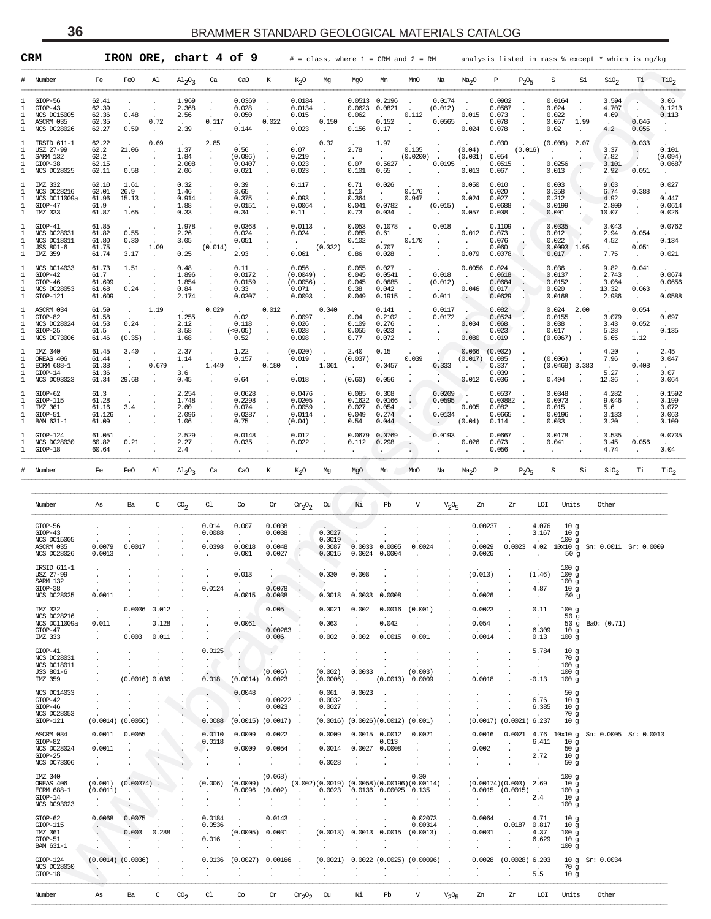<span id="page-35-0"></span>

| CRM                          |                                                                                  |                                            |                                                   |                                                    |                                                     | IRON ORE, chart 4 of 9                           |                                                   |                                         | $#$ = class, where $1$ = CRM and $2$ = RM        |                                                       |                                                             |                                              |                                    |                                                | analysis listed in mass % except * which is mg/kg |                                                |                                           |                                                          |                                                                                 |                                                       |                                                                  |                                            |
|------------------------------|----------------------------------------------------------------------------------|--------------------------------------------|---------------------------------------------------|----------------------------------------------------|-----------------------------------------------------|--------------------------------------------------|---------------------------------------------------|-----------------------------------------|--------------------------------------------------|-------------------------------------------------------|-------------------------------------------------------------|----------------------------------------------|------------------------------------|------------------------------------------------|---------------------------------------------------|------------------------------------------------|-------------------------------------------|----------------------------------------------------------|---------------------------------------------------------------------------------|-------------------------------------------------------|------------------------------------------------------------------|--------------------------------------------|
| #                            | Number                                                                           | Fe                                         | FeO                                               | Al                                                 | $\mathrm{Al}_2\mathrm{O}_3$                         | Ca                                               | Ca <sub>O</sub>                                   | K                                       | K <sub>2</sub> O                                 | Mg                                                    | MgO                                                         | Mn                                           | MnO                                | Na                                             | Na <sub>2</sub> O                                 | Ρ                                              | $P_2O_5$                                  | S                                                        | Si                                                                              | SiO <sub>2</sub>                                      | Тi                                                               | TiO <sub>2</sub>                           |
| л.<br>л.<br>-1<br>л.<br>1    | GIOP-56<br>$GLOP-43$<br><b>NCS DC15005</b><br>ASCRM 035<br>NCS DC28026           | 62.41<br>62.39<br>62.36<br>62.35<br>62.27  | $\bullet$<br>0.48<br>$\ddot{\phantom{a}}$<br>0.59 | $\cdot$<br>0.72<br>$\cdot$                         | 1.969<br>2.368<br>2.56<br>$\sim$<br>2.39            | 0.117                                            | 0.0369<br>0.028<br>0.050<br>$\sim$<br>0.144       | 0.022                                   | 0.0184<br>0.0134<br>0.015<br>0.023               | $\cdot$<br>0.150<br>$\cdot$                           | 0.0513 0.2196<br>0.0623<br>0.062<br>0.156                   | 0.0821<br>$\sim$<br>0.152<br>0.17            | 0.112<br>$\cdot$                   | 0.0174<br>(0.012)<br>0.0565                    | $\cdot$<br>0.015<br>$\sim$<br>0.024               | 0.0902<br>0.0587<br>0.073<br>0.078<br>0.078    | $\cdot$                                   | 0.0164<br>0.024<br>0.022<br>0.057<br>0.02                | $\cdot$<br>1.99                                                                 | 3.594<br>4.707<br>4.69<br>$\overline{a}$<br>4.2       | 0.046<br>0.055                                                   | 0.06<br>0.1213<br>0.113                    |
| л.<br>-1.<br>л.<br>-1.<br>1  | IRSID 611-1<br>USZ 27-99<br>SARM 132<br>$GIOP-38$<br>NCS DC28025                 | 62.22<br>62.2<br>62.2<br>62.15<br>62.11    | 21.06<br>$\sim$<br>0.58                           | 0.69<br>$\cdot$                                    | 1.37<br>1.84<br>2.008<br>2.06                       | 2.85<br>$\cdot$<br>$\cdot$                       | 0.56<br>(0.086)<br>0.0407<br>0.021                |                                         | 0.07<br>0.219<br>0.023<br>0.023                  | 0.32<br>$\cdot$                                       | 2.78<br>0.07<br>0.101                                       | 1.97<br>0.5627<br>0.65                       | 0.105<br>(0.0200)<br>$\cdot$       | $\overline{\phantom{a}}$<br>0.0195             | (0.04)<br>(0.031)<br>0.013                        | 0.030<br>0.054<br>0.0515<br>0.067              | (0.016)<br>$\cdot$                        | (0.008)<br>0.0256<br>0.013                               | 2.07                                                                            | 3.37<br>7.82<br>3.101<br>2.92                         | 0.033<br>$\cdot$<br>$\cdot$<br>$\overline{\phantom{a}}$<br>0.051 | 0.101<br>(0.094)<br>0.0687                 |
| л.<br>-1.<br>-1.<br>-1.<br>1 | IMZ 332<br>NCS DC28216<br>NCS DC11009a<br>$GIOP-47$<br>IMZ 333                   | 62.10<br>62.01<br>61.96<br>61.9<br>61.87   | 1.61<br>26.9<br>15.13<br>$\sim$<br>1.65           |                                                    | 0.32<br>1.46<br>0.914<br>1.88<br>0.33               |                                                  | 0.39<br>3.65<br>0.375<br>0.0151<br>0.34           |                                         | 0.117<br>0.093<br>0.0064<br>0.11                 | $\cdot$                                               | 0.71<br>1.10<br>0.364<br>0.041<br>0.73                      | 0.026<br>$\bullet$<br>0.0782<br>0.034        | 0.176<br>0.947<br>$\blacksquare$ . | (0.015)                                        | 0.050<br>0.024<br>0.057                           | 0.010<br>0.020<br>0.027<br>0.0688<br>0.008     |                                           | 0.003<br>0.258<br>0.212<br>0.0199<br>0.001               |                                                                                 | 9.63<br>6.74<br>4.92<br>2.809<br>10.07                | 0.388<br>$\cdot$<br>$\cdot$<br>$\cdot$                           | 0.027<br>0.447<br>0.0614<br>0.026          |
| л.<br>-1.<br>-1.<br>-1.<br>1 | GIOP-41<br>NCS DC28031<br><b>NCS DC18011</b><br>JSS 801-6<br>IMZ 359             | 61.85<br>61.82<br>61.80<br>61.75<br>61.74  | 0.55<br>0.30<br>$\sim$<br>3.17                    | $\cdot$<br>$\cdot$<br>1.09                         | 1.978<br>2.26<br>3.05<br>$\sim$<br>0.25             | (0.014)                                          | 0.0368<br>0.024<br>0.051<br>2.93                  |                                         | 0.0113<br>0.024<br>0.061                         | (0.032)                                               | 0.053<br>0.085<br>0.102<br>0.86                             | 0.1078<br>0.61<br>$\sim$<br>0.707<br>0.028   | 0.170                              | 0.018                                          | 0.012<br>$\cdot$<br>0.079                         | 0.1109<br>0.073<br>0.076<br>0.060<br>0.0078    |                                           | 0.0335<br>0.012<br>0.022<br>$0.0093$ 1.95<br>0.017       |                                                                                 | 3.043<br>2.94<br>4.52<br>$\sim$<br>7.75               | 0.054<br>$\sim$<br>0.051<br>$\cdot$                              | 0.0762<br>0.134<br>0.021                   |
| л.<br>-1.<br>-1.<br>-1.<br>1 | NCS DC14033<br>$GIOP-42$<br>$GIOP-46$<br>NCS DC28053<br>GIOP-121                 | 61.73<br>61.7<br>61.699<br>61.68<br>61.609 | 1.51<br>$\cdot$<br>0.24<br>$\cdot$                | $\cdot$                                            | 0.48<br>1.896<br>1.854<br>0.84<br>2.174             |                                                  | 0.11<br>0.0172<br>0.0159<br>0.33<br>0.0207        |                                         | 0.056<br>(0.0049)<br>(0.0056)<br>0.071<br>0.0093 |                                                       | 0.055<br>0.045<br>0.045<br>0.38<br>0.049                    | 0.027<br>0.0541<br>0.0685<br>0.042<br>0.1915 |                                    | 0.018<br>(0.012)<br>0.011                      | 0.0056<br>0.046                                   | 0.024<br>0.0618<br>0.0684<br>0.017<br>0.0629   |                                           | 0.036<br>0.0137<br>0.0152<br>0.020<br>0.0168             |                                                                                 | 9.82<br>2.743<br>3.064<br>10.32<br>2.986              | 0.041<br>$\cdot$<br>0.063<br>$\cdot$                             | 0.0674<br>0.0656<br>0.0588                 |
| л.<br>-1.<br>-1.<br>-1.<br>1 | ASCRM 034<br>$GIOP-82$<br>NCS DC28024<br>$GLOP-25$<br>NCS DC73006                | 61.59<br>61.58<br>61.53<br>61.5<br>61.46   | $\cdot$<br>0.24<br>(0.35)                         | 1.19<br>$\cdot$<br>$\cdot$<br>$\ddot{\phantom{a}}$ | 1.255<br>2.12<br>3.58<br>1.68                       | 0.029<br>$\cdot$                                 | 0.02<br>0.118<br>(< 0.05)<br>0.52                 | 0.012<br>$\cdot$                        | 0.0097<br>0.026<br>0.028<br>0.098                | 0.040<br>$\cdot$<br>$\cdot$                           | 0.04<br>0.109<br>0.055<br>0.77                              | 0.141<br>0.2102<br>0.276<br>0.023<br>0.072   |                                    | 0.0117<br>0.0172                               | 0.034<br>0.080                                    | 0.082<br>0.0524<br>0.068<br>0.023<br>0.019     |                                           | 0.024<br>0.0155<br>0.038<br>0.017<br>(0.0067)            | 2.00<br>$\ddot{\phantom{a}}$<br>$\overline{\phantom{a}}$                        | 3.079<br>3.43<br>5.28<br>6.65                         | 0.054<br>0.052<br>$\sim$<br>1.12                                 | 0.697<br>0.135                             |
| -1.<br>-1.<br>л.<br>-1.<br>1 | IMZ 340<br>OREAS 406<br><b>ECRM 688-1</b><br>$GIOP-14$<br>NCS DC93023            | 61.45<br>61.44<br>61.38<br>61.36<br>61.34  | 3.40<br>$\cdot$<br>29.68                          | 0.679                                              | 2.37<br>1.14<br>$\ddot{\phantom{a}}$<br>3.6<br>0.45 | 1.449                                            | 1.22<br>0.157<br>$\cdot$<br>0.64                  | $\cdot$<br>0.180                        | (0.020)<br>0.019<br>$\cdot$<br>0.018             | 1.061                                                 | 2.40<br>(0.037)<br>(0.60)                                   | 0.15<br>$\sim$<br>0.0457<br>0.056            | 0.039                              | 0.333                                          | 0.066<br>(0.017)<br>$\cdot$<br>0.012              | (0.002)<br>0.085<br>0.337<br>0.039<br>0.036    | $\cdot$                                   | (0.006)<br>$(0.0468)$ 3.383<br>0.494                     |                                                                                 | 4.20<br>7.96<br>$\ddot{\phantom{a}}$<br>5.27<br>12.36 | $\cdot$<br>0.408<br>$\cdot$<br>$\cdot$                           | 2.45<br>0.047<br>0.07<br>0.064             |
| ı<br>-1.<br>л.<br>-1.<br>1   | GIOP-62<br>GIOP-115<br>IMZ 361<br>GIOP-51<br>BAM 631-1                           | 61.3<br>61.28<br>61.16<br>61.126<br>61.09  | $\cdot$<br>3.4<br>$\cdot$                         |                                                    | 2.254<br>1.748<br>2.60<br>2.096<br>1.06             |                                                  | 0.0628<br>0.2298<br>0.074<br>0.0287<br>0.75       |                                         | 0.0476<br>0.0205<br>0.0059<br>0.0114<br>(0.04)   | $\cdot$<br>$\cdot$                                    | 0.085<br>0.1622<br>0.027<br>0.049<br>0.54                   | 0.308<br>0.0166<br>0.054<br>0.274<br>0.044   |                                    | 0.0209<br>0.0595<br>$\sim$<br>0.0134<br>$\sim$ | $\blacksquare$<br>0.005<br>(0.04)                 | 0.0537<br>0.00882<br>0.082<br>0.0665<br>0.114  | $\blacksquare$                            | 0.0348<br>0.0073<br>0.015<br>0.0196<br>0.033             |                                                                                 | 4.282<br>9.046<br>5.6<br>3.133<br>3.20                |                                                                  | 0.1592<br>0.199<br>0.072<br>0.063<br>0.109 |
| -1<br>Т.<br>1                | GIOP-124<br>NCS DC28030<br>GIOP-18                                               | 61.051<br>60.82<br>60.64                   | 0.21<br>$\cdot$                                   |                                                    | 2.529<br>2.27<br>2.4                                |                                                  | 0.0148<br>0.035                                   |                                         | 0.012<br>0.022<br>$\cdot$                        |                                                       | 0.0679<br>0.112                                             | 0.0769<br>0.298                              |                                    | 0.0193                                         | 0.026                                             | 0.0667<br>0.073<br>0.056                       | $\cdot$                                   | 0.0178<br>0.041                                          |                                                                                 | 3.535<br>3.45<br>4.74                                 | 0.056                                                            | 0.0735<br>0.04                             |
|                              | Number                                                                           | Fe                                         | FeO                                               | Al                                                 | $\mathrm{Al}_2\mathrm{O}_3$                         | Ca                                               | Ca <sub>O</sub>                                   | К                                       | K <sub>2</sub> O                                 | Mg                                                    | MgO                                                         | Mn                                           | MnO                                | Na                                             | Na <sub>2</sub> O                                 | Р                                              | $P_2O_5$                                  | S                                                        | Si                                                                              | SiO <sub>2</sub>                                      | Тi                                                               | TiO <sub>2</sub>                           |
|                              | Number                                                                           | As                                         | Ba                                                | C                                                  | $^{CO_2}$                                           | C1                                               | Co                                                | Cr                                      | $cr_2O_2$                                        | Cu                                                    | Νi                                                          | Pb                                           | V                                  | $V_2O_5$                                       | Zn                                                | Zr                                             |                                           | LOI                                                      | Units                                                                           | Other                                                 |                                                                  |                                            |
|                              | $GIOP-56$<br>$GIOP-43$<br><b>NCS DC15005</b><br>ASCRM 035<br><b>NCS DC28026</b>  | 0.0079<br>0.0013                           | 0.0017                                            |                                                    |                                                     | 0.014<br>0.0088<br>0.0398                        | 0.007<br>$\cdot$<br>0.0018<br>0.001               | 0.0038<br>0.0038<br>0.0048<br>0.0027    |                                                  | 0.0027<br>0.0019<br>0.0087<br>0.0015                  | 0.0033<br>0.0024                                            | 0.0005<br>0.0004                             | 0.0024                             |                                                | 0.00237<br>0.0029<br>0.0026                       |                                                | 4.076<br>3.167                            | 100 <sub>g</sub><br>$0.0023$ 4.02 10x10 g                | 10 <sub>g</sub><br>10 <sub>g</sub><br>50 <sub>g</sub>                           | Sn: 0.0011 Sr: 0.0009                                 |                                                                  |                                            |
|                              | IRSID 611-1<br>USZ 27-99<br>SARM 132<br>$GIOP-38$<br><b>NCS DC28025</b>          | $\cdot$<br>0.0011                          |                                                   |                                                    |                                                     | $\cdot$<br>0.0124                                | 0.013<br>$\cdot$<br>0.0015                        | 0.0078<br>0.0038                        |                                                  | 0.030<br>0.0018                                       | 0.008<br>0.0033                                             | 0.0008                                       |                                    |                                                | (0.013)<br>$\blacksquare$<br>0.0026               |                                                | (1.46)<br>4.87<br>$\cdot$                 | 100 <sub>g</sub><br>100 <sub>g</sub><br>100 <sub>g</sub> | 10 <sub>g</sub><br>50g                                                          |                                                       |                                                                  |                                            |
|                              | IMZ 332<br>NCS DC28216<br>NCS DC11009a<br>$GIOP-47$<br>IMZ 333                   | $\cdot$<br>0.011                           | $0.0036$ $0.012$<br>$\cdot$<br>0.003              | 0.128<br>0.011                                     |                                                     |                                                  | $\cdot$<br>0.0061<br>$\bullet$                    | 0.005<br>0.00263<br>0.006               | $\blacksquare$                                   | 0.0021<br>0.063<br>0.002                              | 0.002<br>0.002                                              | 0.0016<br>0.042<br>0.0015                    | (0.001)<br>0.001                   |                                                | 0.0023<br>0.054<br>0.0014                         |                                                | 0.11<br>$\cdot$<br>6.309<br>0.13          | 100 <sub>g</sub><br>100 <sub>g</sub>                     | 50g<br>10 <sub>g</sub>                                                          | 50 g BaO: (0.71)                                      |                                                                  |                                            |
|                              | GIOP-41<br><b>NCS DC28031</b><br>NCS DC18011<br>JSS 801-6<br>IMZ 359             |                                            | (0.0016) 0.036                                    |                                                    |                                                     | 0.0125<br>$\blacksquare$<br>$\cdot$<br>0.018     | (0.0014)                                          | $\cdot$<br>(0.005)<br>0.0023            | $\ddot{\phantom{a}}$                             | (0.002)<br>(0.0006)                                   | $\cdot$<br>$\blacksquare$<br>0.0033<br>$\ddot{\phantom{a}}$ | (0.0010)                                     | (0.003)<br>0.0009                  |                                                | $\cdot$<br>$\cdot$<br>0.0018                      |                                                | 5.784<br>$\cdot$<br>$\cdot$<br>$-0.13$    | 100 <sub>g</sub><br>100 <sub>g</sub><br>100 <sub>g</sub> | 10 <sub>g</sub><br>70 g                                                         |                                                       |                                                                  |                                            |
|                              | <b>NCS DC14033</b><br>$GIOP-42$<br>$GIOP-46$<br><b>NCS DC28053</b><br>$GIOP-121$ |                                            | $(0.0014)$ $(0.0056)$                             |                                                    |                                                     | $\bullet$<br>$\cdot$<br>$\blacksquare$<br>0.0088 | 0.0048<br>$\blacksquare$<br>$(0.0015)$ $(0.0017)$ | 0.00222<br>0.0023                       | $\blacksquare$<br>$\blacksquare$<br>$\sim$       | 0.061<br>0.0032<br>0.0027                             | 0.0023                                                      | $(0.0016)$ $(0.0026)(0.0012)$                | (0.001)                            |                                                |                                                   | $(0.0017)$ $(0.0021)$ 6.237                    | 6.76<br>6.385                             |                                                          | 50 <sub>g</sub><br>10 <sub>g</sub><br>10 <sub>g</sub><br>70g<br>10 <sub>g</sub> |                                                       |                                                                  |                                            |
|                              | ASCRM 034<br>$GIOP-82$<br><b>NCS DC28024</b><br>$GIOP-25$<br>NCS DC73006         | 0.0011<br>0.0011                           | 0.0055                                            |                                                    | $\cdot$                                             | 0.0110<br>0.0118<br>$\cdot$                      | 0.0009<br>0.0009                                  | 0.0022<br>0.0054                        |                                                  | 0.0009<br>0.0014<br>0.0028                            |                                                             | $0.0015$ 0.0012<br>0.013<br>0.0027 0.0008    | 0.0021                             |                                                | 0.0016<br>0.002                                   | 0.0021                                         | 6.411<br>2.72<br>$\cdot$                  |                                                          | 10 <sub>g</sub><br>50 <sub>g</sub><br>10 <sub>g</sub><br>50 <sub>g</sub>        | 4.76 10x10 g Sn: 0.0005 Sr: 0.0013                    |                                                                  |                                            |
|                              | IMZ 340<br>OREAS 406<br><b>ECRM 688-1</b><br>$GIOP-14$<br><b>NCS DC93023</b>     | (0.0011)                                   | $(0.001)$ $(0.00374)$<br>$\cdot$                  |                                                    |                                                     | (0.006)                                          | (0.0009)<br>0.0096                                | (0.068)<br><b>Contractor</b><br>(0.002) | $\ddot{\phantom{a}}$                             | $(0.002)(0.0019)(0.0058)(0.00196)(0.00114)$<br>0.0023 |                                                             | 0.0136 0.00025 0.135                         | 0.30                               | $\mathcal{L}_{\mathcal{A}}$                    | $\cdot$                                           | $(0.00174)(0.003)$ 2.69<br>$0.0015$ $(0.0015)$ | $\sim$<br>2.4<br>$\cdot$                  | 100 <sub>g</sub><br>100 <sub>g</sub><br>100 <sub>g</sub> | 10 <sub>g</sub><br>10 <sub>g</sub>                                              |                                                       |                                                                  |                                            |
|                              | $GIOP-62$<br>GIOP-115<br>IMZ 361<br>GIOP-51<br>BAM 631-1                         | 0.0068                                     | 0.0075<br>0.003                                   | 0.288                                              |                                                     | 0.0184<br>0.0536<br>$\sim$<br>0.016<br>$\cdot$   | (0.0005)                                          | 0.0143<br>0.0031                        |                                                  | (0.0013)                                              | 0.0013                                                      | 0.0015                                       | 0.02073<br>0.00314<br>(0.0013)     | $\cdot$                                        | 0.0064<br>0.0031<br>$\cdot$                       | 0.0187                                         | 4.71<br>0.817<br>4.37<br>6.629<br>$\cdot$ | 100 <sub>g</sub><br>100 <sub>g</sub>                     | 10 <sub>g</sub><br>10 <sub>g</sub><br>10 <sub>g</sub>                           |                                                       |                                                                  |                                            |
|                              | GIOP-124<br><b>NCS DC28030</b><br>$GIOP-18$                                      |                                            | $(0.0014)$ $(0.0036)$                             |                                                    |                                                     | 0.0136                                           | (0.0027)                                          | 0.00166                                 |                                                  | (0.0021)                                              |                                                             | $0.0022$ (0.0025) (0.00096)                  |                                    |                                                | 0.0028                                            |                                                | $(0.0028)$ 6.203<br>5.5                   |                                                          | 70 g<br>10 <sub>g</sub>                                                         | 10 g Sr: 0.0034                                       |                                                                  |                                            |
|                              |                                                                                  |                                            |                                                   |                                                    |                                                     |                                                  |                                                   |                                         |                                                  |                                                       |                                                             |                                              |                                    |                                                |                                                   |                                                |                                           |                                                          |                                                                                 |                                                       |                                                                  |                                            |

| Number                                                                          | As                                        | Ba                              | $\mathcal{C}$            | $\mathrm{CO}_2$ | C1                                     | Co                                 | Cr                                   | $cr_2o_2$                      | Cu                                                           | Νi                                     | Pb                                   | $\overline{V}$                              | $V_2O_5$ | Zn                                            | Zr                  | LOI                                               | Units                                                                  | Other                           |  |
|---------------------------------------------------------------------------------|-------------------------------------------|---------------------------------|--------------------------|-----------------|----------------------------------------|------------------------------------|--------------------------------------|--------------------------------|--------------------------------------------------------------|----------------------------------------|--------------------------------------|---------------------------------------------|----------|-----------------------------------------------|---------------------|---------------------------------------------------|------------------------------------------------------------------------|---------------------------------|--|
| $GIOP-56$<br>$GIOP-43$<br><b>NCS DC15005</b><br>ASCRM 035<br><b>NCS DC28026</b> | 0.0079<br>0.0013                          | 0.0017                          |                          |                 | 0.014<br>0.0088<br>0.0398              | 0.007<br>$\sim$<br>0.0018<br>0.001 | 0.0038<br>0.0038<br>0.0048<br>0.0027 | ÷<br>$\blacksquare$            | $\ddot{\phantom{0}}$<br>0.0027<br>0.0019<br>0.0087<br>0.0015 | 0.0033<br>0.0024                       | 0.0005<br>0.0004                     | 0.0024                                      |          | 0.00237<br>0.0029<br>0.0026                   | 0.0023              | 4.076<br>3.167<br>4.02                            | 10q<br>10 <sub>g</sub><br>100 <sub>g</sub><br>50q                      | 10x10 g Sn: 0.0011 Sr: 0.0009   |  |
| IRSID 611-1<br>USZ 27-99<br>SARM 132<br>$GIOP-38$<br><b>NCS DC28025</b>         | 0.0011                                    |                                 |                          |                 | 0.0124                                 | 0.013<br>0.0015                    | 0.0078<br>0.0038                     |                                | 0.030<br>0.0018                                              | 0.008<br>0.0033                        | 0.0008                               |                                             |          | (0.013)<br>$\overline{\phantom{a}}$<br>0.0026 |                     | (1.46)<br>$\ddot{\phantom{a}}$<br>4.87<br>$\cdot$ | 100q<br>100q<br>100 <sub>g</sub><br>10q<br>50g                         |                                 |  |
| IMZ 332<br><b>NCS DC28216</b><br>NCS DC11009a<br>GIOP-47<br>IMZ 333             | 0.011                                     | 0.0036<br>$\mathbf{r}$<br>0.003 | 0.012<br>0.128<br>0.011  |                 |                                        | 0.0061                             | 0.005<br>0.00263<br>0.006            | - 1                            | 0.0021<br>0.063<br>0.002                                     | 0.002<br>$\ddot{\phantom{a}}$<br>0.002 | 0.0016<br>0.042<br>0.0015            | (0.001)<br>$\ddot{\phantom{a}}$<br>0.001    |          | 0.0023<br>0.054<br>0.0014                     |                     | 0.11<br>- 11<br>6.309<br>0.13                     | 100 <sub>g</sub><br>50q<br>10 <sub>g</sub><br>100q                     | 50 q BaO: (0.71)                |  |
| GIOP-41<br><b>NCS DC28031</b><br><b>NCS DC18011</b><br>JSS 801-6<br>IMZ 359     |                                           | $(0.0016)$ 0.036                |                          |                 | 0.0125<br>$\blacksquare$<br>0.018      | (0.0014)                           | (0.005)<br>0.0023                    | $\ddot{\phantom{a}}$<br>÷      | (0.002)<br>(0.0006)                                          | 0.0033<br>$\overline{a}$               | (0.0010)                             | (0.003)<br>0.0009                           |          | $\sim$<br>0.0018                              |                     | 5.784<br>$\cdot$<br>$-0.13$                       | 10 <sub>g</sub><br>70g<br>100 <sub>g</sub><br>100g<br>100q             |                                 |  |
| <b>NCS DC14033</b><br>GIOP-42<br>$GIOP-46$<br><b>NCS DC28053</b><br>GIOP-121    |                                           | $(0.0014)$ $(0.0056)$           |                          |                 | 0.0088                                 | 0.0048<br>(0.0015)                 | 0.00222<br>0.0023<br>(0.0017)        |                                | 0.061<br>0.0032<br>0.0027<br>(0.0016)                        | 0.0023<br>(0.0026)(0.0012)             |                                      | (0.001)                                     |          | (0.0017)                                      | $(0.0021)$ 6.237    | 6.76<br>6.385                                     | 50 <sub>g</sub><br>10 <sub>g</sub><br>10 <sub>g</sub><br>70g<br>10q    |                                 |  |
| ASCRM 034<br>$GTOP-82$<br><b>NCS DC28024</b><br>GIOP-25<br><b>NCS DC73006</b>   | 0.0011<br>0.0011                          | 0.0055                          | $\overline{\phantom{a}}$ | $\cdot$         | 0.0110<br>0.0118<br>$\cdot$<br>$\cdot$ | 0.0009<br>0.0009                   | 0.0022<br>0.0054                     |                                | 0.0009<br>0.0014<br>0.0028                                   | 0.0027                                 | $0.0015$ $0.0012$<br>0.013<br>0.0008 | 0.0021                                      |          | 0.0016<br>$\ddot{\phantom{a}}$<br>0.002       | 0.0021              | 4.76<br>6.411<br>2.72<br>$\ddot{\phantom{a}}$     | $10x10$ q<br>10 <sub>g</sub><br>50g<br>10 <sub>g</sub><br>50q          | $Sn: 0.0005 \text{ Sr}: 0.0013$ |  |
| IMZ 340<br>OREAS 406<br><b>ECRM 688-1</b><br>GIOP-14<br><b>NCS DC93023</b>      | (0.001)<br>(0.0011)                       | (0.00374)                       |                          |                 | (0.006)                                | (0.0009)<br>0.0096                 | (0.068)<br>(0.002)                   |                                | (0.002)(0.0019)<br>0.0023                                    | 0.0136                                 | 0.00025                              | 0.30<br>(0.0058)(0.00196)(0.00114)<br>0.135 |          | (0.00174)(0.003)<br>0.0015                    | (0.0015)<br>$\cdot$ | 2.69<br>$\ddot{\phantom{a}}$<br>2.4               | 100q<br>10q<br>100 <sub>g</sub><br>10 <sub>g</sub><br>100 <sub>g</sub> |                                 |  |
| $GLOP-62$<br>$GIOP-115$<br>IMZ 361<br>GIOP-51<br>BAM 631-1                      | 0.0068<br>$\ddot{\phantom{a}}$<br>$\cdot$ | 0.0075<br>0.003                 | 0.288                    |                 | 0.0184<br>0.0536<br>n.<br>0.016        | (0.0005)                           | 0.0143<br>0.0031                     |                                | (0.0013)                                                     | 0.0013                                 | 0.0015                               | 0.02073<br>0.00314<br>(0.0013)              |          | 0.0064<br>0.0031                              | - 2<br>0.0187       | 4.71<br>0.817<br>4.37<br>6.629                    | 10q<br>10 <sub>g</sub><br>100q<br>10 <sub>g</sub><br>100 <sub>g</sub>  |                                 |  |
| GIOP-124<br><b>NCS DC28030</b><br>GIOP-18                                       | $\cdot$                                   | $(0.0014)$ $(0.0036)$           |                          |                 | 0.0136<br>$\mathbf{r}$                 | (0.0027)                           | 0.00166                              |                                | (0.0021)<br>$\cdot$                                          |                                        | $0.0022$ $(0.0025)$                  | (0.00096)                                   |          | 0.0028                                        | (0.0028)            | 6.203<br>5.5                                      | 10 <sub>g</sub><br>70g<br>10 <sub>g</sub>                              | Sr: 0.0034                      |  |
| Number                                                                          | As                                        | Ba                              | C                        | CO <sub>2</sub> | C1                                     | Co                                 | Cr                                   | Cr <sub>2</sub> O <sub>2</sub> | Cu                                                           | Νi                                     | Pb                                   | $\mathbf v$                                 | $V_2O5$  | Zn                                            | Zr                  | LOI                                               | Units                                                                  | Other                           |  |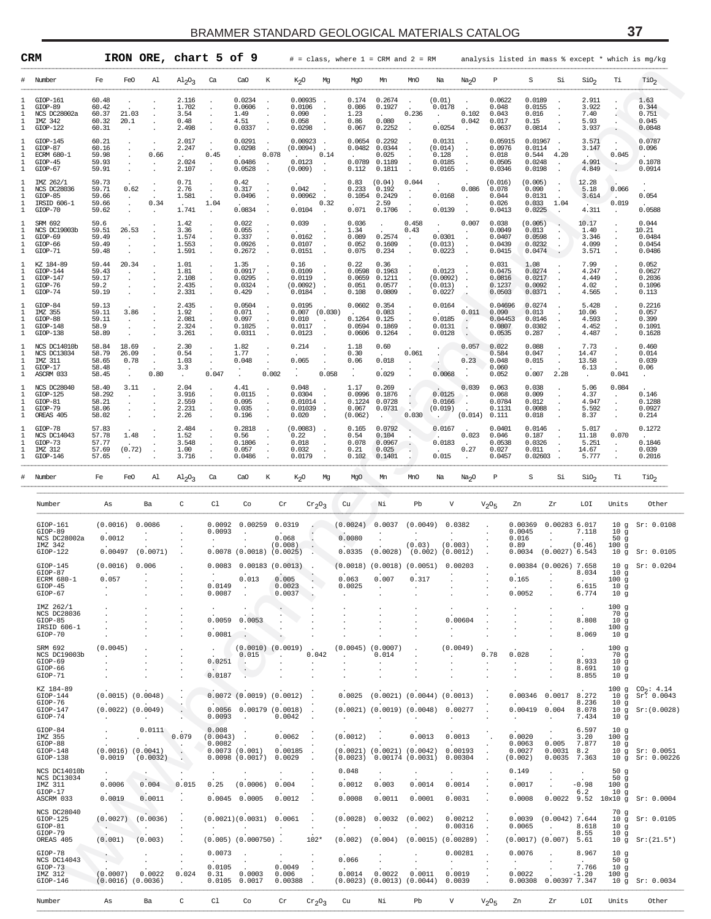|                                  | CRM                                                                  |                                                    | IRON ORE, chart 5 of 9                                             |                                            |                                         |                                                                  |                                                   |                                             | $#$ = class, where $1$ = CRM and $2$ = RM    |                                                                   |                                                  |                                                                                              |                                                 |                                                | analysis listed in mass % except * which is mg/kg |                                                   |                                                                                  |                                                                           |
|----------------------------------|----------------------------------------------------------------------|----------------------------------------------------|--------------------------------------------------------------------|--------------------------------------------|-----------------------------------------|------------------------------------------------------------------|---------------------------------------------------|---------------------------------------------|----------------------------------------------|-------------------------------------------------------------------|--------------------------------------------------|----------------------------------------------------------------------------------------------|-------------------------------------------------|------------------------------------------------|---------------------------------------------------|---------------------------------------------------|----------------------------------------------------------------------------------|---------------------------------------------------------------------------|
| #                                | Number                                                               | Fe                                                 | FeO<br>Al                                                          | $\mathrm{Al}_2\mathrm{O}_3$                | Ca                                      | CaO<br>К                                                         | K <sub>2</sub> O                                  | Mg                                          | MgO                                          | Mn                                                                | MnO                                              | Na<br>Na <sub>2</sub> O                                                                      | Ρ                                               | S                                              | Si                                                | SiO <sub>2</sub>                                  | Тi                                                                               | $\mathrm{rio}_2$                                                          |
| 1<br>1<br>1<br>1<br>1            | GIOP-161<br>GIOP-89<br>NCS DC28002a<br>IMZ 342<br>$GIOP-122$         | 60.48<br>60.42<br>60.37<br>60.32<br>20.1<br>60.31  | 21.03<br>$\cdot$                                                   | 2.116<br>1.702<br>3.54<br>0.48<br>2.498    | $\ddot{\phantom{a}}$<br>$\cdot$         | 0.0234<br>0.0606<br>1.49<br>4.51<br>0.0337                       | 0.00935<br>0.0106<br>0.090<br>0.058<br>0.0298     |                                             | 0.174<br>0.086<br>1.23<br>0.86<br>0.067      | 0.2674<br>0.1927<br>$\sim$ 100 $\pm$<br>0.080<br>0.2252           | 0.236                                            | (0.01)<br>0.0178<br>0.102<br>0.042<br>0.0254<br>$\overline{\phantom{a}}$                     | 0.0622<br>0.048<br>0.043<br>0.017<br>0.0637     | 0.0189<br>0.0155<br>0.016<br>0.15<br>0.0814    |                                                   | 2.911<br>3.922<br>7.40<br>5.93<br>3.937           |                                                                                  | 1.63<br>0.344<br>0.751<br>0.045<br>0.0848                                 |
| 1<br>1<br>1<br>1<br>1            | GIOP-145<br>GIOP-87<br>ECRM 680-1<br>$GIOP-45$<br>GIOP-67            | 60.21<br>60.16<br>59.98<br>59.93<br>59.91          | $\bullet$<br>$\bullet$<br>$\cdot$<br>0.66<br>$\bullet$<br>$\cdot$  | 2.017<br>2.247<br>$\sim$<br>2.024<br>2.107 | $\cdot$<br>0.45<br>$\cdot$<br>$\cdot$   | 0.0291<br>0.0298<br>0.0486<br>0.0528                             | 0.00923<br>(0.0094)<br>0.078<br>0.0123<br>(0.009) | $\sim$<br>0.14<br>$\blacksquare$<br>$\cdot$ | 0.0482<br>0.112                              | 0.0654 0.2292<br>0.0344<br>0.025<br>0.0789 0.1189<br>0.1811       |                                                  | 0.0131<br>$\ddot{\phantom{a}}$<br>(0.014)<br>$\cdot$<br>0.128<br>0.0185<br>$\cdot$<br>0.0165 | 0.05915<br>0.0976<br>0.018<br>0.0505<br>0.0346  | 0.01967<br>0.0114<br>0.544<br>0.0248<br>0.0198 | $\overline{\phantom{a}}$<br>4.20<br>$\cdot$       | 3.571<br>3.147<br>$\sim$ $\sim$<br>4.991<br>4.849 | 0.045                                                                            | 0.0787<br>0.096<br>0.1078<br>0.0914                                       |
| 1<br>1<br>1<br>1<br>$\mathbf{1}$ | IMZ 262/1<br><b>NCS DC28036</b><br>GIOP-85<br>IRSID 606-1<br>GIOP-70 | 59.73<br>59.71<br>59.66<br>59.66<br>59.62          | $\bullet$<br>0.62<br>0.34                                          | 0.71<br>2.76<br>1.581<br>$\sim$<br>1.741   | $\cdot$<br>1.04<br>$\ddot{\phantom{a}}$ | 0.42<br>0.317<br>0.0496<br>0.0834                                | 0.042<br>0.00962<br>0.0104                        | 0.32                                        | 0.83<br>0.233<br>0.071                       | (0.04)<br>0.192<br>0.1054 0.2429<br>2.59<br>0.1706                | 0.044                                            | 0.086<br>0.0168<br>0.0139                                                                    | (0.016)<br>0.078<br>0.044<br>0.026<br>0.0413    | (0.005)<br>0.090<br>0.0131<br>0.033<br>0.0225  | $\ddot{\phantom{a}}$<br>1.04                      | 12.28<br>5.18<br>3.614<br>4.311                   | 0.066<br>0.019                                                                   | 0.054<br>0.0588                                                           |
| 1<br>1<br>1<br>1<br>1            | SRM 692<br>NCS DC19003b<br>GIOP-69<br>GIOP-66<br>GIOP-71             | 59.6<br>59.51<br>59.49<br>59.49<br>59.48           | 26.53<br>$\ddot{\phantom{a}}$                                      | 1.42<br>3.36<br>1.574<br>1.553<br>1.591    | $\cdot$<br>$\cdot$<br>$\blacksquare$    | 0.022<br>0.055<br>0.337<br>0.0926<br>0.2672                      | 0.039<br>0.0162<br>0.0107<br>0.0151               | $\ddot{\phantom{a}}$                        | 0.036<br>1.34<br>0.089<br>0.052<br>0.075     | 0.2574<br>0.1609<br>0.234                                         | 0.458<br>0.43<br>$\ddot{\phantom{a}}$<br>$\cdot$ | 0.007<br>$\cdot$<br>0.0301<br>$\cdot$<br>(0.013)<br>$\cdot$<br>0.0223                        | 0.038<br>0.0049<br>0.0407<br>0.0439<br>0.0415   | (0.005)<br>0.013<br>0.0598<br>0.0232<br>0.0474 |                                                   | 10.17<br>1.40<br>3.346<br>4.099<br>3.571          |                                                                                  | 0.044<br>10.21<br>0.0484<br>0.0454<br>0.0486                              |
| 1<br>1                           | KZ 184-89<br>$GIOP-144$<br>$GIOP-147$<br>GIOP-76<br>GIOP-74          | 59.44<br>59.43<br>59.17<br>59.2<br>59.19           | 20.34                                                              | 1.01<br>1.81<br>2.108<br>2.435<br>2.331    | $\cdot$<br>$\cdot$                      | 1.35<br>0.0917<br>0.0295<br>0.0324<br>0.429                      | 0.16<br>0.0109<br>0.0119<br>(0.0092)<br>0.0184    | $\cdot$                                     | 0.22<br>0.0598<br>0.0659<br>0.051<br>0.108   | 0.36<br>0.1963<br>0.1211<br>0.0577<br>0.0809                      |                                                  | 0.0123<br>(0.0092)<br>(0.013)<br>$\cdot$<br>0.0227                                           | 0.031<br>0.0475<br>0.0816<br>0.1237<br>0.0503   | 1.08<br>0.0274<br>0.0217<br>0.0092<br>0.0371   |                                                   | 7.99<br>4.247<br>4.449<br>4.02<br>4.565           | $\cdot$                                                                          | 0.052<br>0.0627<br>0.2036<br>0.1096<br>0.113                              |
| 1<br>1<br>ı<br>ı<br>1.           | GIOP-84<br>IMZ 355<br>GIOP-88<br>$GIOP-148$<br>$GIOP-138$            | 59.13<br>59.11<br>59.11<br>58.9<br>58.89           | 3.86<br>$\cdot$                                                    | 2.435<br>1.92<br>2.081<br>2.324<br>3.261   | $\cdot$                                 | 0.0504<br>0.071<br>0.097<br>0.1025<br>0.0311                     | 0.0195<br>0.010<br>0.0117<br>0.0123               | $0.007$ $(0.030)$                           | 0.0602<br>0.1264<br>0.0594<br>0.0606         | 0.354<br>0.083<br>0.125<br>0.1869<br>0.1264                       |                                                  | 0.0164<br>0.011<br>0.0185<br>0.0131<br>0.0128                                                | 0.04696<br>0.090<br>0.04453<br>0.0807<br>0.0535 | 0.0274<br>0.013<br>0.0146<br>0.0302<br>0.287   |                                                   | 5.428<br>10.06<br>4.593<br>4.452<br>4.487         |                                                                                  | 0.2216<br>0.057<br>0.399<br>0.1091<br>0.1628                              |
| -1<br>1<br>1<br>1<br>1           | NCS DC14010b<br>NCS DC13034<br>IMZ 311<br>GIOP-17<br>ASCRM 033       | 58.84<br>18.69<br>58.79<br>58.65<br>58.48<br>58.45 | 26.09<br>$\cdot$<br>0.78<br>$\cdot$<br>$\sim$<br>0.80              | 2.30<br>0.54<br>1.03<br>3.3<br>$\cdot$     | $\cdot$<br>$\cdot$<br>0.047             | 1.82<br>1.77<br>0.048                                            | 0.214<br>0.065<br>0.002                           | 0.058                                       | 1.18<br>0.30<br>0.06<br>$\ddot{\phantom{a}}$ | 0.60<br>0.018<br>0.029                                            | 0.061                                            | 0.057<br>$\ddot{\phantom{a}}$<br>0.23<br>0.0068                                              | 0.022<br>0.584<br>0.048<br>0.060<br>0.052       | 0.088<br>0.047<br>0.015<br>0.007               | $\cdot$<br>2.28                                   | 7.73<br>14.47<br>13.58<br>6.13<br>$\sim$          | 0.041                                                                            | 0.460<br>0.014<br>0.039<br>0.06<br>$\sim$                                 |
| 1<br>1<br>1<br>1                 | NCS DC28040<br>GIOP-125<br>GIOP-81<br>GIOP-79<br>OREAS 405           | 58.40<br>58.292<br>58.21<br>58.06<br>58.02         | 3.11<br>$\cdot$                                                    | 2.04<br>3.916<br>2.559<br>2.231<br>2.26    | $\cdot$                                 | 4.41<br>0.0115<br>0.095<br>0.035<br>0.196                        | 0.048<br>0.0304<br>0.01014<br>0.01039<br>0.020    |                                             | 1.17<br>0.0996<br>0.1224<br>0.067<br>(0.062) | 0.269<br>0.1876<br>0.0728<br>0.0731                               | 0.030                                            | 0.039<br>0.0125<br>0.0166<br>(0.019)<br>(0.014)                                              | 0.063<br>0.068<br>0.0784<br>0.1131<br>0.111     | 0.038<br>0.009<br>0.012<br>0.0088<br>0.018     |                                                   | 5.06<br>4.37<br>4.947<br>5.592<br>8.37            | 0.084                                                                            | 0.146<br>0.1288<br>0.0927<br>0.214                                        |
| 1<br>1<br>1<br>1<br>1.           | GIOP-78<br><b>NCS DC14043</b><br>GIOP-73<br>IMZ 312<br>$GIOP-146$    | 57.83<br>57.78<br>57.77<br>57.69<br>57.65          | 1.48<br>$\ddot{\phantom{a}}$<br>(0.72)<br>$\ddot{\phantom{a}}$     | 2.484<br>1.52<br>3.548<br>1.00<br>3.716    | $\cdot$                                 | 0.2818<br>0.56<br>0.1806<br>0.057<br>0.0486                      | (0.0083)<br>0.22<br>0.018<br>0.032<br>0.0179      | $\ddot{\phantom{a}}$                        | 0.165<br>0.54<br>0.078<br>0.21<br>0.102      | 0.0792<br>0.104<br>0.0967<br>0.025<br>0.1401                      | ¥.                                               | 0.0167<br>0.023<br>0.0183<br>$\sim$<br>0.27<br>0.015<br>$\mathbf{r}$                         | 0.0401<br>0.046<br>0.0538<br>0.027<br>0.0457    | 0.0146<br>0.187<br>0.0326<br>0.011<br>0.02603  |                                                   | 5.017<br>11.18<br>5.251<br>14.67<br>5.777         | 0.070<br>$\cdot$                                                                 | 0.1272<br>0.1846<br>0.039<br>0.2016                                       |
|                                  | Number                                                               | Fe<br>Fe0                                          | Al                                                                 | $A1_{2}O_3$                                | Ca                                      | CaO<br>Κ                                                         | K <sub>2</sub> O                                  | Mg                                          | MgO                                          | Mn                                                                | MnO                                              | Na<br>Na <sub>2</sub> O                                                                      | Р                                               | S                                              | Si                                                | SiO <sub>2</sub>                                  | Тi                                                                               | $\scriptstyle{\rm TiO_2}$                                                 |
|                                  | Number                                                               | As                                                 | Ba                                                                 | C                                          | C1                                      | Co                                                               | Cr                                                | $\mathrm{cr}_2\mathrm{O}_3$                 | Cu                                           | Νi                                                                | Pb                                               | V                                                                                            | $V_{2}O_{5}$                                    | Zn                                             | Ζr                                                | LOI                                               | Units                                                                            | Other                                                                     |
|                                  | GIOP-161<br>GIOP-89<br>NCS DC28002a<br>IMZ 342<br>$GIOP-122$         | (0.0016)<br>0.0012<br>0.00497                      | 0.0086<br>(0.0071)                                                 |                                            | 0.0092<br>0.0093                        | 0.00259<br>$0.0078$ (0.0018) (0.0025)                            | 0.0319<br>0.068<br>(0.008)                        |                                             | (0.0024)<br>0.0080<br>0.0335                 | 0.0037                                                            | (0.0049)<br>(0.03)                               | 0.0382<br>(0.003)<br>$(0.0028)$ $(0.002)$ $(0.0012)$                                         |                                                 | 0.00369<br>0.0045<br>0.016<br>0.89<br>0.0034   | 0.00283 6.017<br>$(0.0027)$ 6.543                 | 7.118<br>$\sim$ $-$<br>(0.46)                     | 10 <sub>g</sub><br>10 <sub>g</sub><br>50g<br>100g<br>10 <sub>g</sub>             | Sr: 0.0108<br>Sr: 0.0105                                                  |
|                                  | $GIOP-145$<br>$GIOP-87$<br>ECRM 680-1<br>$GIOP-45$<br>$GIOP-67$      | (0.0016)<br>0.057                                  | 0.006                                                              |                                            |                                         | $0.0083$ $0.00183$ $(0.0013)$<br>0.013                           | 0.005                                             | $\ddot{\phantom{a}}$                        |                                              |                                                                   |                                                  | $(0.0018)$ $(0.0018)$ $(0.0051)$ 0.00203                                                     |                                                 | 0.165                                          | $0.00384$ (0.0026) 7.658                          |                                                   |                                                                                  | 10 g Sr: 0.0204                                                           |
|                                  | IMZ 262/1                                                            |                                                    |                                                                    |                                            | 0.0149<br>0.0087                        | $\ddot{\phantom{a}}$                                             | 0.0023<br>0.0037                                  | $\cdot$                                     | 0.063<br>0.0025<br>$\cdot$                   | 0.007                                                             | 0.317                                            |                                                                                              |                                                 | 0.0052                                         |                                                   | 8.034<br>$\cdot$<br>6.615<br>6.774                | 10 <sub>g</sub><br>100g<br>10 <sub>g</sub><br>10 <sub>g</sub>                    |                                                                           |
|                                  | NCS DC28036<br>$GIOP-85$<br>IRSID 606-1<br>$GIOP-70$                 |                                                    |                                                                    |                                            | 0.0059<br>0.0081                        | 0.0053                                                           |                                                   |                                             |                                              |                                                                   |                                                  | 0.00604                                                                                      |                                                 |                                                |                                                   | $\cdot$<br>8.808<br>8.069                         | 100g<br>70 g<br>10 <sub>g</sub><br>100g<br>10 <sub>g</sub>                       |                                                                           |
|                                  | SRM 692<br>NCS DC19003b<br>$GIOP-69$<br>$GLOP-66$<br>GIOP-71         | (0.0045)<br>$\cdot$                                |                                                                    |                                            | 0.0251<br>0.0187                        | $(0.0010)$ $(0.0019)$<br>0.015<br>$\sim$                         |                                                   | 0.042<br>$\overline{\phantom{a}}$           | (0.0045)                                     | (0.0007)<br>0.014<br>$\ddot{\phantom{a}}$                         |                                                  | (0.0049)                                                                                     | 0.78                                            | 0.028<br>$\lambda$                             |                                                   | $\cdot$<br>8.933<br>8.691<br>8.855                | 100g<br>70g<br>10 <sub>g</sub><br>10 <sub>g</sub><br>10 <sub>g</sub>             |                                                                           |
|                                  | KZ 184-89<br>$GIOP-144$<br>GIOP-76<br>$GIOP-147$<br>GIOP-74          | (0.0022)<br>$\cdot$                                | $(0.0015)$ $(0.0048)$<br>(0.0049)<br>$\cdot$                       | $\cdot$                                    | 0.0093                                  | 0.0072(0.0019)(0.0012)<br>0.0056 0.00179<br>$\ddot{\phantom{a}}$ | (0.0018)<br>0.0042                                |                                             | 0.0025                                       | $(0.0021)$ $(0.0019)$ $(0.0048)$                                  | $(0.0021)$ $(0.0044)$                            | (0.0013)<br>0.00277                                                                          |                                                 | 0.00346<br>0.00419<br>$\ddot{\phantom{a}}$     | 0.0017<br>0.004<br>$\ddot{\phantom{a}}$           | 8.272<br>8.236<br>8.078<br>7.434                  | 10 <sub>g</sub><br>10g                                                           | 100 g $CO_2$ : 4.14<br>$10 q$ Sr <sup>7</sup> 0.0043<br>10 g Sr: (0.0028) |
|                                  | $GIOP-84$<br>IMZ 355<br>$GIOP-88$<br>$GIOP-148$<br>$GIOP-138$        | 0.0019                                             | 0.0111<br>$(0.0016)$ $(0.0041)$<br>(0.0032)                        | 0.079<br>$\cdot$<br>$\cdot$<br>$\cdot$     | 0.008<br>(0.0043)<br>0.0082             | $\ddot{\phantom{a}}$<br>0.0073(0.001)<br>0.0098(0.0017)          | 0.0062<br>0.00185<br>0.0029                       | $\,$ .                                      | (0.0012)                                     | $(0.0021)$ $(0.0021)$ $(0.0042)$<br>$(0.0023)$ 0.00174 $(0.0031)$ | 0.0013                                           | 0.0013<br>0.00193<br>0.00304                                                                 |                                                 | 0.0020<br>0.0063<br>0.0027<br>(0.002)          | 0.005<br>0.0031<br>0.0035                         | 6.597<br>3.20<br>7.877<br>8.2<br>7.363            | 10 <sub>g</sub><br>100g<br>10 <sub>g</sub><br>10 <sub>g</sub><br>10 <sub>g</sub> | Sr: 0.0051<br>Sr: 0.00226                                                 |
|                                  | NCS DC14010b<br>NCS DC13034<br>IMZ 311<br>GIOP-17<br>ASCRM 033       | $\cdot$<br>0.0006<br>0.0019                        | 0.004<br>0.0011                                                    | 0.015                                      | 0.25                                    | (0.0006)<br>$0.0045$ 0.0005                                      | 0.004<br>0.0012                                   |                                             | 0.048<br>0.0012<br>0.0008                    | $\cdot$<br>0.003<br>0.0011                                        | $\cdot$<br>0.0014<br>0.0001                      | 0.0014<br>0.0031                                                                             |                                                 | 0.149<br>0.0017<br>0.0008                      | $0.0022$ 9.52                                     | $-0.98$<br>6.2                                    | 50g<br>50g<br>100g<br>10 <sub>g</sub>                                            | 10x10 g Sr: 0.0004                                                        |
|                                  | NCS DC28040<br>$GIOP-125$<br>$GIOP-81$<br>GIOP-79<br>OREAS 405       | (0.0027)<br>$\sim$<br>(0.001)                      | (0.0036)<br>(0.003)                                                | $\ddot{\phantom{0}}$                       |                                         | (0.0021)(0.0031)<br>$(0.005)$ $(0.000750)$                       | 0.0061                                            | $102*$                                      | (0.0028)<br>(0.002)                          | 0.0032<br>(0.004)                                                 | (0.002)<br>(0.0015)                              | 0.00212<br>0.00316<br>(0.00289)                                                              |                                                 | 0.0039<br>0.0065                               | $(0.0042)$ 7.644<br>$(0.0017)$ $(0.007)$          | 8.618<br>8.55<br>5.61                             | 70 g<br>10 <sub>g</sub><br>10 g                                                  | 10 g Sr: 0.0105<br>$10 g$ Sr: $(21.5*)$                                   |
|                                  | $GIOP-78$<br>NCS DC14043<br>$GIOP-73$<br>IMZ 312<br>$GIOP-146$       | (0.0007)<br>(0.0016)                               | $\ddot{\phantom{a}}$<br>$\ddot{\phantom{a}}$<br>0.0022<br>(0.0036) | $\cdot$<br>$\cdot$<br>0.024<br>$\cdot$     | 0.0073<br>0.0105<br>0.31<br>0.0105      | 0.0003<br>0.0017                                                 | 0.0049<br>0.006<br>0.00388                        |                                             | 0.066<br>0.0014                              | 0.0022<br>$(0.0023)$ $(0.0013)$ $(0.0044)$                        | 0.0011                                           | 0.00281<br>0.0019<br>0.0039                                                                  |                                                 | 0.0076<br>$\cdot$<br>0.0022<br>0.00308         | 0.00397 7.347                                     | 8.967<br>7.766<br>$-1.20$                         | 10 <sub>g</sub><br>50g<br>10 <sub>g</sub><br>100g<br>10g                         | Sr: 0.0034                                                                |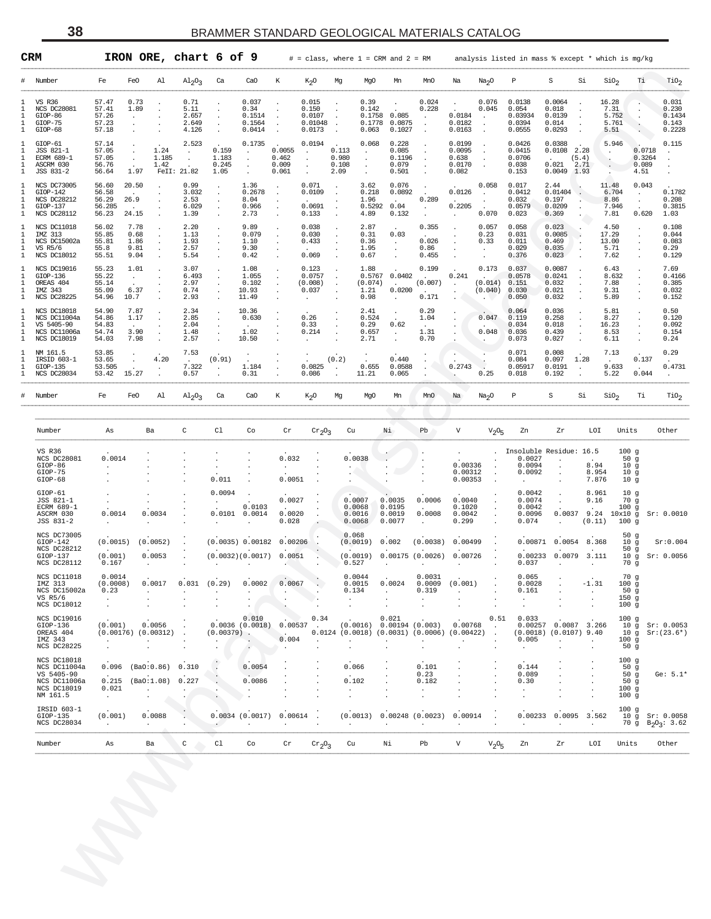|                         | CRM                                                                                  |                                                                 | IRON ORE, chart 6 of 9               |                                         |                                     |                                             |                                   | $\#$ = class, where 1 = CRM and 2 = RM        |                                      |                                            |                                               |                                                                 |                                              |                                       | analysis listed in mass % except * which is mg/kg           |                                                                           |                                            |                                                                      |                                                          |
|-------------------------|--------------------------------------------------------------------------------------|-----------------------------------------------------------------|--------------------------------------|-----------------------------------------|-------------------------------------|---------------------------------------------|-----------------------------------|-----------------------------------------------|--------------------------------------|--------------------------------------------|-----------------------------------------------|-----------------------------------------------------------------|----------------------------------------------|---------------------------------------|-------------------------------------------------------------|---------------------------------------------------------------------------|--------------------------------------------|----------------------------------------------------------------------|----------------------------------------------------------|
|                         | Number                                                                               | Fe                                                              | FeO<br>Al                            | $A1_{2}O_3$                             | Ca                                  | CaO                                         | К                                 | $K_2O$                                        | Mg                                   | MgO                                        | Mn                                            | MnO                                                             | Na                                           | Na <sub>2</sub> O                     | P                                                           | S                                                                         | Si                                         | SiO <sub>2</sub><br>Тi                                               | TiO <sub>2</sub>                                         |
| 1<br>1<br>1<br>1<br>1   | <b>VS R36</b><br>NCS DC28081<br>GIOP-86<br>GIOP-75<br>GIOP-68                        | 57.47<br>57.41<br>57.26<br>57.23<br>57.18                       | 0.73<br>1.89                         | 0.71<br>5.11<br>2.657<br>2.649<br>4.126 |                                     | 0.037<br>0.34<br>0.1514<br>0.1564<br>0.0414 |                                   | 0.015<br>0.150<br>0.0107<br>0.01048<br>0.0173 |                                      | 0.39<br>0.142<br>0.1758<br>0.1778<br>0.063 | 0.085<br>0.0875<br>0.1027                     | 0.024<br>0.228<br>$\cdot$<br>$\ddot{\phantom{0}}$               | 0.0184<br>0.0182<br>0.0163                   | 0.076<br>0.045<br>$\cdot$             | 0.0138<br>0.054<br>0.03934<br>0.0394<br>0.0555              | 0.0064<br>0.018<br>0.0139<br>0.014<br>0.0293                              |                                            | 16.28<br>7.31<br>5.752<br>5.761<br>5.51                              | 0.031<br>0.230<br>0.1434<br>0.143<br>0.2228              |
| 1<br>1<br>1<br>1<br>1   | GIOP-61<br>JSS 821-1<br>ECRM 689-1<br>ASCRM 030<br>JSS 831-2                         | 57.14<br>57.05<br>57.05<br>56.76<br>56.64                       | 1.24<br>1.185<br>1.42<br>1.97        | 2.523<br>FeII: 21.82                    | 0.159<br>1.183<br>0.245<br>1.05     | 0.1735<br>$\cdot$<br>$\cdot$                | 0.0055<br>0.462<br>0.009<br>0.061 | 0.0194                                        | 0.113<br>0.980<br>0.108<br>2.09      | 0.068<br>$\cdot$<br>$\cdot$                | 0.228<br>0.085<br>0.1196<br>0.079<br>0.501    |                                                                 | 0.0199<br>0.0095<br>0.638<br>0.0170<br>0.082 |                                       | 0.0426<br>0.0415<br>0.0706<br>0.038<br>0.153                | 0.0388<br>$0.0108$ 2.28<br>$\ddot{\phantom{a}}$<br>0.021<br>$0.0049$ 1.93 | (5.4)<br>2.71                              | 5.946<br>4.51                                                        | 0.115<br>0.0718<br>0.3264<br>$\cdot$<br>0.089<br>$\cdot$ |
| 1<br>-1.<br>1<br>1<br>1 | NCS DC73005<br>$GIOP-142$<br>NCS DC28212<br>GIOP-137<br>NCS DC28112                  | 56.60<br>56.58<br>56.29<br>56.285<br>56.23                      | 20.50<br>26.9<br>24.15               | 0.99<br>3.032<br>2.53<br>6.029<br>1.39  |                                     | 1.36<br>0.2678<br>8.04<br>0.966<br>2.73     |                                   | 0.071<br>0.0109<br>0.0691<br>0.133            |                                      | 3.62<br>0.218<br>1.96<br>0.5292<br>4.89    | 0.076<br>0.0892<br>0.04<br>0.132              | 0.289<br>$\cdot$                                                | 0.0126<br>0.2205                             | 0.058<br>0.070                        | 0.017<br>0.0412<br>0.032<br>0.0579<br>0.023                 | 2.44<br>0.01404<br>0.197<br>0.0209<br>0.369                               |                                            | 11.48<br>6.704<br>$\cdot$<br>8.86<br>7.946<br>7.81                   | 0.043<br>0.1782<br>0.208<br>0.3815<br>0.620<br>1.03      |
| 1<br>1<br>1<br>1<br>1   | NCS DC11018<br>IMZ 313<br>NCS DC15002a<br>VS R5/6<br>NCS DC18012                     | 56.02<br>55.85<br>55.81<br>55.8<br>55.51                        | 7.78<br>0.68<br>1.86<br>9.81<br>9.04 | 2.20<br>1.13<br>1.93<br>2.57<br>5.54    |                                     | 9.89<br>0.079<br>1.10<br>9.30<br>0.42       |                                   | 0.038<br>0.030<br>0.433<br>0.069              |                                      | 2.87<br>0.31<br>0.36<br>1.95<br>0.67       | 0.03<br>$\cdot$<br>$\cdot$                    | 0.355<br>0.026<br>0.86<br>0.455                                 |                                              | 0.057<br>0.23<br>0.33                 | 0.058<br>0.031<br>0.011<br>0.029<br>0.376                   | 0.023<br>0.0085<br>0.469<br>0.035<br>0.023                                |                                            | 4.50<br>17.29<br>13.00<br>5.71<br>7.62                               | 0.108<br>0.044<br>0.083<br>0.29<br>0.129                 |
| 1<br>1<br>1<br>1<br>1   | NCS DC19016<br>$GIOP-136$<br>OREAS 404<br>IMZ 343<br>NCS DC28225                     | 55.23<br>55.22<br>55.14<br>55.09<br>54.96                       | 1.01<br>$\cdot$<br>6.37<br>10.7      | 3.07<br>6.493<br>2.97<br>0.74<br>2.93   |                                     | 1.08<br>1.055<br>0.102<br>10.93<br>11.49    |                                   | 0.123<br>0.0757<br>(0.008)<br>0.037           |                                      | 1.88<br>0.5767<br>(0.074)<br>1.21<br>0.98  | 0.0402<br>0.0200                              | 0.199<br>(0.007)<br>0.171                                       | 0.241                                        | 0.173<br>(0.014)<br>(0.040)           | 0.037<br>0.0578<br>0.151<br>0.030<br>0.050                  | 0.0087<br>0.0241<br>0.032<br>0.021<br>0.032                               |                                            | 6.43<br>8.632<br>7.88<br>9.31<br>5.89                                | 7.69<br>0.4166<br>0.385<br>0.032<br>0.152                |
| 1<br>1<br>1<br>1<br>1   | NCS DC18018<br>NCS DC11004a<br>VS 5405-90<br>NCS DC11006a<br>NCS DC18019             | 54.90<br>54.86<br>54.83<br>54.74<br>54.03                       | 7.87<br>1.17<br>3.90<br>7.98         | 2.34<br>2.85<br>2.04<br>1.48<br>2.57    |                                     | 10.36<br>0.630<br>1.02<br>10.50             |                                   | 0.26<br>0.33<br>0.214                         |                                      | 2.41<br>0.524<br>0.29<br>0.657<br>2.71     | 0.62                                          | 0.29<br>1.04<br>1.31<br>0.70                                    |                                              | 0.047<br>0.048                        | 0.064<br>0.119<br>0.034<br>0.036<br>0.073                   | 0.036<br>0.258<br>0.018<br>0.439<br>0.027                                 |                                            | 5.81<br>8.27<br>16.23<br>8.53<br>6.11                                | 0.50<br>0.120<br>0.092<br>0.154<br>0.24                  |
| 1<br>1<br>1<br>1        | NM 161.5<br>IRSID 603-1<br>$GIOP-135$<br>NCS DC28034                                 | 53.85<br>53.65<br>53.505<br>53.42                               | 4.20<br>15.27                        | 7.53<br>7.322<br>0.57                   | (0.91)                              | 1.184<br>0.31                               |                                   | 0.0825<br>0.086                               | (0.2)                                | 0.655<br>11.21                             | 0.440<br>0.0588<br>0.065                      |                                                                 | 0.2743                                       | 0.25                                  | 0.071<br>0.084<br>0.05917<br>0.018                          | 0.008<br>0.097<br>0.0191<br>0.192                                         | 1.28                                       | 7.13<br>9.633<br>5.22                                                | 0.29<br>0.137<br>0.4731<br>0.044                         |
| #                       | Number                                                                               | Fe                                                              | Fe0<br>Al                            | $A1_{2}O_{3}$                           | Ca                                  | Ca <sub>O</sub>                             | К                                 | $k_2$ O                                       | Mg                                   | MgO                                        | Mn                                            | MnO                                                             | Na                                           | Na <sub>2</sub> O                     | $\, {\mathbb P}$                                            | $\rm S$                                                                   | Si                                         | SiO <sub>2</sub><br>Тi                                               | $\mathrm{rio}_2$                                         |
|                         | Number                                                                               | As                                                              | Ba                                   | C                                       | Cl                                  | Co                                          | Cr                                | $\mathrm{Cr}_2\mathrm{O}_3$                   | Cu                                   |                                            | Νi                                            | Pb                                                              | $\mathtt{V}$                                 | V <sub>2</sub> O <sub>5</sub>         | Zn                                                          | Zr                                                                        | LOI                                        | Units                                                                | Other                                                    |
|                         | VS R36<br>NCS DC28081<br>$GIOP-86$<br>GIOP-75<br>$GIOP-68$                           | 0.0014                                                          |                                      |                                         | 0.011                               |                                             | 0.032<br>0.0051                   |                                               |                                      | 0.0038                                     |                                               |                                                                 | 0.00336<br>0.00312<br>0.00353                | $\cdot$<br>$\cdot$<br>$\cdot$         | Insoluble Residue: 16.5<br>0.0027<br>0.0094<br>0.0092       | $\cdot$<br>$\cdot$                                                        | 8.94<br>8.954<br>7.876                     | 100g<br>50g<br>10 <sub>g</sub><br>10 <sub>g</sub><br>10 <sub>g</sub> |                                                          |
|                         | $GIOP-61$<br>JSS 821-1<br>ECRM 689-1<br>ASCRM 030<br>JSS 831-2                       | 0.0014                                                          | 0.0034                               |                                         | 0.0094<br>0.0101                    | 0.0103<br>0.0014                            | 0.0027<br>0.0020<br>0.028         |                                               | 0.0007<br>0.0068<br>0.0016<br>0.0068 |                                            | 0.0035<br>0.0195<br>0.0019<br>0.0077          | 0.0006<br>0.0008                                                | 0.0040<br>0.1020<br>0.0042<br>0.299          |                                       | 0.0042<br>0.0074<br>0.0042<br>0.0096<br>0.074               | $\cdot$<br>$\cdot$<br>0.0037                                              | 8.961<br>9.16<br>(0.11)                    | 10 <sub>g</sub><br>70g<br>100g<br>9.24 10x10 g<br>100g               | Sr: 0.0010                                               |
|                         | NCS DC73005<br>$GIOP-142$<br>NCS DC28212<br>$GIOP-137$<br>NCS DC28112                | (0.0015)<br>(0.001)<br>0.167                                    | (0.0052)<br>0.0053                   |                                         |                                     | (0.0035) 0.00182<br>(0.0032)(0.0017)        | 0.00206<br>0.0051                 |                                               | 0.068<br>(0.0019)<br>0.527           | (0.0019)                                   | 0.002                                         | (0.0038)<br>0.00175(0.0026)                                     | 0.00499<br>0.00726                           |                                       | 0.00871<br>0.037                                            | 0.0054<br>0.00233 0.0079                                                  | 8.368<br>3.111                             | 50g<br>10 g<br>50g<br>10 <sub>g</sub><br>70 g                        | Sr:0.004<br>Sr: 0.0056                                   |
|                         | NCS DC11018<br>IMZ 313<br>NCS DC15002a<br>VS R5/6<br>NCS DC18012                     | 0.0014<br>(0.0008)<br>0.23<br>$\bullet$<br>$\ddot{\phantom{a}}$ | 0.0017<br>$\ddot{\phantom{a}}$       | 0.031                                   | (0.29)<br>$\ddot{\phantom{a}}$      | 0.0002                                      | 0.0067                            |                                               | 0.0044<br>0.0015<br>0.134<br>$\cdot$ |                                            | 0.0024<br>$\cdot$<br>$\overline{\phantom{a}}$ | 0.0031<br>0.0009<br>0.319                                       | (0.001)<br>$\cdot$                           |                                       | 0.065<br>0.0028<br>0.161<br>$\cdot$<br>$\ddot{\phantom{a}}$ |                                                                           | $-1.31$<br>$\ddot{\phantom{a}}$<br>$\cdot$ | 70g<br>100g<br>50g<br>150g<br>100g                                   |                                                          |
|                         | NCS DC19016<br>$GIOP-136$<br>OREAS 404<br>IMZ 343<br>NCS DC28225                     | (0.001)<br>$\cdot$                                              | 0.0056<br>$(0.00176)$ $(0.00312)$    | $\cdot$                                 | $(0.00379)$ .<br>$\cdot$<br>$\cdot$ | 0.010<br>0.0036(0.0018)                     | 0.00537<br>$\cdot$<br>0.004       | 0.34<br>$\cdot$                               | $\cdot$<br>$\ddot{\phantom{0}}$      | (0.0016)                                   | 0.021<br>0.00194(0.003)                       | $0.0124$ (0.0018) (0.0031) (0.0006) (0.00422)<br>$\blacksquare$ | 0.00768                                      | 0.51<br>$\cdot$<br>$\cdot$<br>$\cdot$ | 0.033<br>0.005<br>$\ddot{\phantom{a}}$                      | 0.00257 0.0087 3.266<br>$(0.0018)$ $(0.0107)$ 9.40<br>$\cdot$<br>$\cdot$  | $\blacksquare$                             | 100g<br>100g<br>50 <sub>g</sub>                                      | 10 g Sr: 0.0053<br>$10 g$ Sr: $(23.6*)$                  |
|                         | NCS DC18018<br>NCS DC11004a<br>VS 5405-90<br>NCS DC11006a<br>NCS DC18019<br>NM 161.5 | 0.096<br>0.215<br>0.021<br>$\cdot$                              | (Ba0:0.86)<br>(Ba0:1.08)             | 0.310<br>0.227                          | $\cdot$                             | 0.0054<br>0.0086                            |                                   |                                               | 0.066<br>0.102<br>$\cdot$            |                                            |                                               | 0.101<br>0.23<br>0.182                                          |                                              |                                       | 0.144<br>0.089<br>0.30<br>$\cdot$                           |                                                                           |                                            | 100g<br>50g<br>50g<br>50g<br>100g<br>100g                            | Ge: $5.1*$                                               |
|                         | IRSID 603-1<br>$GIOP-135$<br>NCS DC28034                                             | (0.001)<br>$\cdot$                                              | 0.0088<br>$\cdot$                    | ÷                                       |                                     | 0.0034(0.0017)                              | 0.00614                           |                                               |                                      | (0.0013)                                   |                                               | $0.00248$ (0.0023)                                              | 0.00914                                      |                                       | 0.00233                                                     | 0.0095<br>$\cdot$                                                         | 3.562<br>$\cdot$                           | 100g                                                                 | 10 g Sr: 0.0058<br>70 g $B_2O_3$ : 3.62                  |
|                         | Number                                                                               | As                                                              | Ba                                   | $\mathsf C$                             | Cl                                  | Co                                          | $\operatorname{Cr}$               | $\mathrm{Cr}_2\mathrm{O}_3$                   | Cu                                   |                                            | Νi                                            | Pb                                                              | V                                            | V <sub>2</sub> O <sub>5</sub>         | Zn                                                          | Zr                                                                        | LOI                                        | Units                                                                | Other                                                    |
|                         |                                                                                      |                                                                 |                                      |                                         |                                     |                                             |                                   |                                               |                                      |                                            |                                               |                                                                 |                                              |                                       |                                                             |                                                                           |                                            |                                                                      |                                                          |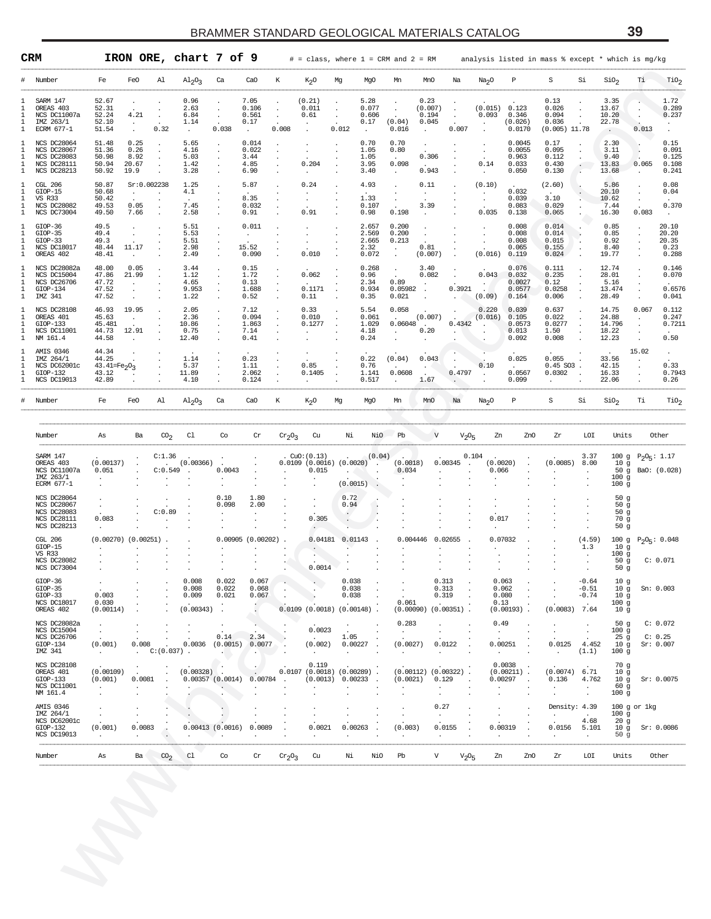|                                             | CRM                                                                                          |                                                                          |                                                |                           | IRON ORE, chart 7 of 9                  |                                                     |                                          |                                        | $#$ = class, where $1$ = CRM and $2$ = RM                                 |                                               |                                                      |                                               |                                              |                                            |                                                                  |                                                            | analysis listed in mass % except * which is mg/kg  |                                                              |                                                                                   |                             |                                               |
|---------------------------------------------|----------------------------------------------------------------------------------------------|--------------------------------------------------------------------------|------------------------------------------------|---------------------------|-----------------------------------------|-----------------------------------------------------|------------------------------------------|----------------------------------------|---------------------------------------------------------------------------|-----------------------------------------------|------------------------------------------------------|-----------------------------------------------|----------------------------------------------|--------------------------------------------|------------------------------------------------------------------|------------------------------------------------------------|----------------------------------------------------|--------------------------------------------------------------|-----------------------------------------------------------------------------------|-----------------------------|-----------------------------------------------|
| #                                           | Number                                                                                       | Fe                                                                       | FeO                                            | Al                        | $Al_2O_3$                               | Ca                                                  | CaO                                      | К                                      | K <sub>2</sub> O                                                          | Mg                                            | MgO                                                  | Mn                                            | MnO                                          | Na                                         | Na <sub>2</sub> O                                                | Р                                                          | S                                                  | Si                                                           | SiO <sub>2</sub>                                                                  | Ti.                         | $\text{rio}_2$                                |
| 1.<br>1<br>1<br>1<br>1                      | SARM 147<br>OREAS 403<br>NCS DC11007a<br>IMZ 263/1<br>ECRM 677-1                             | 52.67<br>52.31<br>52.24<br>52.10<br>51.54                                | $\cdot$<br>4.21<br>$\sim$<br>$\sim$            | $\cdot$<br>0.32           | 0.96<br>2.63<br>6.84<br>1.14<br>$\cdot$ | $\cdot$<br>$\cdot$<br>$\sim$<br>0.038               | 7.05<br>0.106<br>0.561<br>0.17<br>$\sim$ | $\cdot$<br>$\cdot$<br>$\cdot$<br>0.008 | (0.21)<br>0.011<br>0.61<br>$\ddot{\phantom{a}}$                           | $\cdot$<br>$\cdot$<br>$\blacksquare$<br>0.012 | 5.28<br>0.077<br>0.606<br>0.17<br>$\cdot$            | $\cdot$<br>(0.04)<br>0.016                    | 0.23<br>(0.007)<br>0.194<br>0.045<br>$\cdot$ | $\cdot$<br>$\cdot$<br>0.007                | (0.015)<br>0.093<br>$\bullet$<br>$\cdot$                         | 0.123<br>0.346<br>(0.026)<br>0.0170                        | 0.13<br>0.026<br>0.094<br>0.036<br>$(0.005)$ 11.78 | $\cdot$<br>$\cdot$<br>$\cdot$                                | 3.35<br>13.67<br>10.20<br>22.78<br>$\sim$                                         | $\mathbf{r}$ .<br>0.013     | 1.72<br>0.289<br>0.237                        |
| 1<br>1<br>1<br>1<br>$\mathbf{1}$            | <b>NCS DC28064</b><br><b>NCS DC28067</b><br><b>NCS DC28083</b><br>NCS DC28111<br>NCS DC28213 | 51.48<br>51.36<br>50.98<br>50.94<br>50.92                                | 0.25<br>0.26<br>8.92<br>20.67<br>19.9          | $\cdot$                   | 5.65<br>4.16<br>5.03<br>1.42<br>3.28    | $\cdot$<br>$\cdot$<br>$\cdot$<br>$\cdot$<br>$\cdot$ | 0.014<br>0.022<br>3.44<br>4.85<br>6.90   | $\cdot$<br>$\cdot$                     | $\cdot$<br>0.204<br>$\cdot$                                               | $\cdot$<br>$\cdot$                            | 0.70<br>1.05<br>1.05<br>3.95<br>3.40                 | 0.70<br>0.80<br>$\sim$<br>0.098<br>$\cdot$    | $\cdot$<br>0.306<br>$\sim$<br>0.943          | $\cdot$                                    | $\bullet$<br>$\bullet$<br>0.14<br>$\cdot$                        | 0.0045<br>0.0055<br>0.963<br>0.033<br>0.050                | 0.17<br>0.095<br>0.112<br>0.430<br>0.130           | $\cdot$<br>$\cdot$<br>$\cdot$<br>$\bullet$<br>$\blacksquare$ | 2.30<br>3.11<br>9.40<br>13.83<br>13.68                                            | $\cdot$<br>0.065<br>$\cdot$ | 0.15<br>0.091<br>0.125<br>0.108<br>0.241      |
| 1<br>1<br>1<br>1<br>$\mathbf{1}$            | CGL 206<br>$GLOP-15$<br><b>VS R33</b><br>NCS DC28082<br>NCS DC73004                          | 50.87<br>50.68<br>50.42<br>49.53<br>49.50                                | Sr:0.002238<br>$\sim$<br>0.05<br>7.66          |                           | 1.25<br>4.1<br>7.45<br>2.58             | $\cdot$<br>$\cdot$<br>$\cdot$<br>$\cdot$            | 5.87<br>$\sim$<br>8.35<br>0.032<br>0.91  |                                        | 0.24<br>$\cdot$<br>$\bullet$<br>0.91                                      | $\ddot{\phantom{a}}$                          | 4.93<br>1.33<br>0.107<br>0.98                        | $\cdot$<br>$\cdot$<br>0.198                   | 0.11<br>$\cdot$<br>3.39<br>$\cdot$           | $\blacksquare$<br>$\overline{\phantom{a}}$ | (0.10)<br>$\bullet$<br>$\cdot$<br>0.035                          | 0.032<br>0.039<br>0.083<br>0.138                           | (2.60)<br>3.10<br>0.029<br>0.065                   | $\cdot$<br>$\cdot$                                           | 5.86<br>20.10<br>10.62<br>7.44<br>16.30                                           | $\cdot$<br>0.083            | 0.08<br>0.04<br>0.370<br>$\ddot{\phantom{1}}$ |
| 1<br>1<br>1<br>1<br>1                       | GIOP-36<br>$GIOP-35$<br>GIOP-33<br>NCS DC18017<br>OREAS 402                                  | 49.5<br>49.4<br>49.3<br>48.44<br>48.41                                   | $\cdot$<br>$\cdot$<br>11.17<br>$\cdot$         |                           | 5.51<br>5.53<br>5.51<br>2.98<br>2.49    | $\cdot$<br>$\cdot$<br>$\cdot$<br>$\cdot$<br>$\cdot$ | 0.011<br>$\cdot$<br>15.52<br>0.090       |                                        | $\cdot$<br>$\cdot$<br>0.010                                               | $\cdot$                                       | 2.657<br>2.569<br>2.665<br>2.32<br>0.072             | 0.200<br>0.200<br>0.213<br>$\cdot$<br>$\cdot$ | $\cdot$<br>0.81<br>(0.007)                   | $\cdot$                                    | $\cdot$<br>$\cdot$<br>(0.016)                                    | 0.008<br>0.008<br>0.008<br>0.065<br>0.119                  | 0.014<br>0.014<br>0.015<br>0.155<br>0.024          | $\cdot$<br>$\cdot$<br>$\cdot$<br>$\cdot$                     | 0.85<br>0.85<br>0.92<br>8.40<br>19.77                                             | $\cdot$<br>$\cdot$          | 20.10<br>20.20<br>20.35<br>0.23<br>0.288      |
| 1<br>1<br>1<br>$\mathbf{1}$<br>$\mathbf{1}$ | NCS DC28082a<br>NCS DC15004<br><b>NCS DC26706</b><br>GIOP-134<br>IMZ 341                     | 48.00<br>47.86<br>47.72<br>47.52<br>47.52                                | 0.05<br>21.99<br>$\cdot$<br>$\cdot$<br>$\cdot$ |                           | 3.44<br>1.12<br>4.65<br>9.953<br>1.22   | $\cdot$<br>$\cdot$<br>$\cdot$<br>$\cdot$<br>$\cdot$ | 0.15<br>1.72<br>0.13<br>1.688<br>0.52    | $\cdot$<br>$\cdot$                     | 0.062<br>0.1171<br>0.11                                                   | $\cdot$                                       | 0.268<br>0.96<br>2.34<br>0.934<br>0.35               | $\cdot$<br>0.89<br>0.05982<br>0.021           | 3.40<br>0.082<br>$\blacksquare$ .<br>$\cdot$ | $\cdot$<br>0.3921                          | 0.043<br>(0.09)                                                  | 0.076<br>0.032<br>0.0027<br>0.0577<br>0.164                | 0.111<br>0.235<br>0.12<br>0.0258<br>0.006          | $\cdot$<br>$\cdot$<br>$\cdot$<br>$\cdot$<br>$\cdot$          | 12.74<br>28.01<br>5.16<br>13.474<br>28.49                                         | $\cdot$                     | 0.146<br>0.070<br>0.6576<br>0.041             |
| 1<br>1<br>1<br>$\mathbf{1}$<br>$\mathbf{1}$ | NCS DC28108<br>OREAS 401<br>$GIOP-133$<br>NCS DC11001<br>NM 161.4                            | 46.93<br>45.63<br>45.481<br>44.73<br>44.58                               | 19.95<br>$\cdot$<br>12.91<br>$\cdot$           |                           | 2.05<br>2.36<br>10.86<br>0.75<br>12.40  | $\cdot$<br>$\cdot$<br>$\cdot$<br>$\cdot$            | 7.12<br>0.094<br>1.863<br>7.14<br>0.41   | $\cdot$<br>$\cdot$                     | 0.33<br>0.010<br>0.1277<br>$\cdot$                                        |                                               | 5.54<br>0.061<br>1.029<br>4.18<br>0.24               | 0.058<br>n.<br>0.06048<br>$\cdot$             | (0.007)<br><b>College</b><br>0.20            | 0.4342                                     | 0.220<br>(0.016)<br>$\ddot{\phantom{a}}$<br>$\bullet$<br>$\cdot$ | 0.039<br>0.105<br>0.0573<br>0.013<br>0.092                 | 0.637<br>0.022<br>0.0277<br>1.50<br>0.008          | $\cdot$<br>$\cdot$<br>$\cdot$<br>$\cdot$                     | 14.75<br>24.88<br>14.796<br>18.22<br>12.23                                        | 0.067<br>$\cdot$            | 0.112<br>0.247<br>0.7211<br>0.50              |
| 1<br>1<br>1<br>1<br>1                       | AMIS 0346<br>IMZ 264/1<br>NCS DC62001c<br>$GIOP-132$<br>NCS DC19013                          | 44.34<br>44.25<br>43.41=Fe <sub>2</sub> O <sub>3</sub><br>43.12<br>42.89 |                                                |                           | 1.14<br>5.37<br>11.89<br>4.10           | $\cdot$<br>$\cdot$<br>$\cdot$                       | 0.23<br>1.11<br>2.062<br>0.124           | $\cdot$                                | 0.85<br>0.1405<br>$\sim$                                                  | $\ddot{\phantom{1}}$                          | 0.22<br>0.76<br>1.141<br>0.517                       | (0.04)<br>0.0608<br>$\cdot$                   | 0.043<br>$\sim$<br>1.67                      | 0.4797<br>$\cdot$                          | 0.10<br>$\cdot$<br>$\cdot$                                       | 0.025<br>0.0567<br>0.099                                   | 0.055<br>$0.45$ SO3.<br>0.0302<br>$\cdot$          | $\cdot$<br>$\ddot{\phantom{a}}$                              | 33.56<br>42.15<br>16.33<br>22.06                                                  | 15.02                       | $\sim$<br>0.33<br>0.7943<br>0.26              |
| #                                           | Number                                                                                       | Fe                                                                       | FeO                                            | Al                        | $Al_2O_3$                               | Ca                                                  | CaO                                      | К                                      | K <sub>2</sub> O                                                          | Mg                                            | MgO                                                  | Mn                                            | MnO                                          | Na                                         | Na <sub>2</sub> O                                                | Р                                                          | S                                                  | Si                                                           | SiO <sub>2</sub>                                                                  | Тi                          | $\mathrm{rio}_2$                              |
|                                             | Number                                                                                       | As                                                                       | Ba                                             | $\infty_2$                | C1                                      | Co                                                  | Cr                                       | $cr_2O_3$                              | Cu                                                                        | Νi                                            | NiO                                                  | Pb                                            | V                                            | $V_{2}O_{5}$                               | Zn                                                               | ZnO                                                        | Zr                                                 | LOI                                                          | Units                                                                             |                             | Other                                         |
|                                             | SARM 147<br>OREAS 403<br>NCS DC11007a<br>IMZ 263/1<br>ECRM 677-1                             | (0.00137)<br>0.051<br>$\cdot$                                            |                                                | C:1.36<br>C:0.549         | (0.00366)<br>$\ddot{\phantom{a}}$       | 0.0043                                              |                                          |                                        | CuO:(0.13)<br>$0.0109$ (0.0016) (0.0020)<br>0.015<br>$\ddot{\phantom{a}}$ | (0.0015)                                      | (0.04)<br>$\cdot$<br>$\cdot$<br>$\ddot{\phantom{1}}$ | (0.0018)<br>0.034                             | $\cdot$                                      | 0.00345                                    | 0.104<br>(0.0020)<br>0.066                                       |                                                            | (0.0085)                                           | 3.37<br>8.00<br>$\cdot$                                      | 10 <sub>g</sub><br>50 $g$<br>100 <sub>g</sub><br>100 <sub>g</sub>                 | 100 g $P_2O_5: 1.17$        | BaO: (0.028)                                  |
|                                             | <b>NCS DC28064</b><br><b>NCS DC28067</b><br>NCS DC28083<br>NCS DC28111<br>NCS DC28213        | $\cdot$<br>0.083<br>$\cdot$                                              |                                                | C:0.89                    | $\overline{\phantom{a}}$                | 0.10<br>0.098                                       | 1.80<br>2.00                             |                                        | $\cdot$<br>0.305                                                          | 0.72<br>0.94<br>$\bullet$<br>$\cdot$          | ٠.                                                   |                                               |                                              |                                            | $\cdot$<br>0.017                                                 |                                                            |                                                    |                                                              | 50 <sub>g</sub><br>50 <sub>g</sub><br>50 <sub>g</sub><br>70 g<br>50 <sub>g</sub>  |                             |                                               |
|                                             | CGL 206<br>$GIOP-15$<br><b>VS R33</b><br><b>NCS DC28082</b><br>NCS DC73004                   | $(0.00270)$ $(0.00251)$ .<br>$\cdot$                                     |                                                |                           |                                         | $\cdot$                                             | $0.00905$ $(0.00202)$ .                  |                                        | 0.04181<br>0.0014                                                         | 0.01143                                       | $\ddot{\phantom{1}}$                                 |                                               | 0.004446 0.02655<br>$\cdot$                  |                                            |                                                                  | 0.07032                                                    |                                                    | (4.59)<br>1.3                                                | 10 <sub>g</sub><br>100 <sub>g</sub><br>50 <sub>g</sub><br>50 <sub>g</sub>         | 100 g $P_2O_5$ : 0.048      | C: 0.071                                      |
|                                             | $GIOP-36$<br>$GLOP-35$<br>$GIOP-33$<br>NCS DC18017<br>OREAS 402                              | 0.003<br>0.030<br>(0.00114)                                              |                                                |                           | 0.008<br>0.008<br>0.009<br>(0.00343)    | 0.022<br>0.022<br>0.021<br>$\sim$                   | 0.067<br>0.068<br>0.067<br>к.            | $\cdot$                                | $0.0109$ $(0.0018)$ $(0.00148)$ .                                         | 0.038<br>0.038<br>0.038                       | $\cdot$                                              | 0.061                                         | $(0.00090)$ $(0.00351)$ .                    | 0.313<br>0.313<br>0.319<br>$\cdot$         | 0.13                                                             | 0.063<br>0.062<br>0.080<br>$(0.00193)$ .                   | $(0.0083)$ 7.64                                    | $-0.64$<br>$-0.51$<br>$-0.74$<br>$\sim$                      | 10 <sub>g</sub><br>10 <sub>g</sub><br>10 <sub>g</sub><br>100g<br>10 <sub>g</sub>  | Sn: 0.003                   |                                               |
|                                             | NCS DC28082a<br>NCS DC15004<br><b>NCS DC26706</b><br>$GIOP-134$<br>IMZ 341                   | $\cdot$<br>$\cdot$<br>(0.001)<br>$\sim$                                  | 0.008<br>$\sim$                                | $\cdot$<br>$C: (0.037)$ . | $\cdot$<br>$0.0036$ $(0.0015)$          | 0.14<br>$\mathbf{r}$                                | 2.34<br>0.0077<br>$\ddot{\phantom{a}}$   |                                        | 0.0023<br>$\sim$<br>(0.002)<br>$\ddot{\phantom{a}}$                       | 1.05<br>0.00227<br>$\cdot$                    | $\cdot$<br>$\overline{\phantom{a}}$                  | 0.283<br>$\cdot$<br>(0.0027)                  | $\ddot{\phantom{a}}$                         | 0.0122                                     | 0.49<br>$\sim$<br>$\cdot$                                        | $\ddot{\phantom{a}}$<br>0.00251                            | $\cdot$<br>0.0125<br>$\cdot$                       | 4.452<br>(1.1)                                               | 50 <sub>g</sub><br>100g<br>25 <sub>g</sub><br>10 <sub>g</sub><br>100 <sub>g</sub> | Sr: 0.007                   | C: 0.072<br>C: 0.25                           |
|                                             | NCS DC28108<br>OREAS 401<br>$GIOP-133$<br>NCS DC11001<br>NM 161.4                            | (0.00109)<br>(0.001)<br>$\cdot$<br>$\cdot$                               | 0.0081                                         | $\cdot$                   | (0.00328)<br>0.00357(0.0014)            | $\sim$                                              | 0.00784                                  |                                        | 0.119<br>$0.0107$ (0.0018) (0.00289)<br>(0.0013)                          | 0.00233                                       | $\sim$<br>$\overline{\phantom{a}}$                   | (0.00112)<br>(0.0021)                         | $\cdot$                                      | (0.00322)<br>0.129                         | $\cdot$                                                          | 0.0038<br>$\ddot{\phantom{a}}$<br>$(0.00211)$ .<br>0.00297 | (0.0074) 6.71<br>0.136<br>$\cdot$<br>$\cdot$       | 4.762<br>$\cdot$<br>$\cdot$                                  | 70g<br>10 <sub>g</sub><br>10 <sub>g</sub><br>60 <sub>g</sub><br>100g              |                             | Sr: 0.0075                                    |
|                                             | AMIS 0346<br>IMZ 264/1<br>NCS DC62001c<br>$GIOP-132$<br>NCS DC19013                          | $\cdot$<br>(0.001)<br>$\sim$                                             | 0.0083<br>$\cdot$                              |                           | $0.00413$ $(0.0016)$                    | $\ddot{\phantom{1}}$                                | 0.0089                                   |                                        | $\cdot$<br>0.0021<br>$\cdot$                                              | 0.00263<br>$\cdot$                            | $\ddot{\phantom{a}}$                                 | (0.003)<br>$\cdot$                            | 0.27<br>$\cdot$<br>$\cdot$                   | 0.0155                                     | $\cdot$<br>$\cdot$                                               | 0.00319                                                    | Density: 4.39<br>$\cdot$<br>0.0156<br>$\cdot$      | $\overline{a}$<br>4.68<br>5.101<br>$\cdot$                   | 100g<br>20g<br>10 <sub>g</sub><br>50g                                             | $100$ g or $1kg$            | Sr: 0.0086                                    |
|                                             | Number                                                                                       | As                                                                       | Ba                                             | $\infty_2$                | C1                                      | Co                                                  | Cr                                       | $cr_2O_3$                              | Cu                                                                        | Νi                                            | NiO                                                  | Pb                                            | V                                            | $V_{2}O_{5}$                               | Zn                                                               | ZnO                                                        | Zr                                                 | LOI                                                          | Units                                                                             |                             | Other                                         |
|                                             |                                                                                              |                                                                          |                                                |                           |                                         |                                                     |                                          |                                        |                                                                           |                                               |                                                      |                                               |                                              |                                            |                                                                  |                                                            |                                                    |                                                              |                                                                                   |                             |                                               |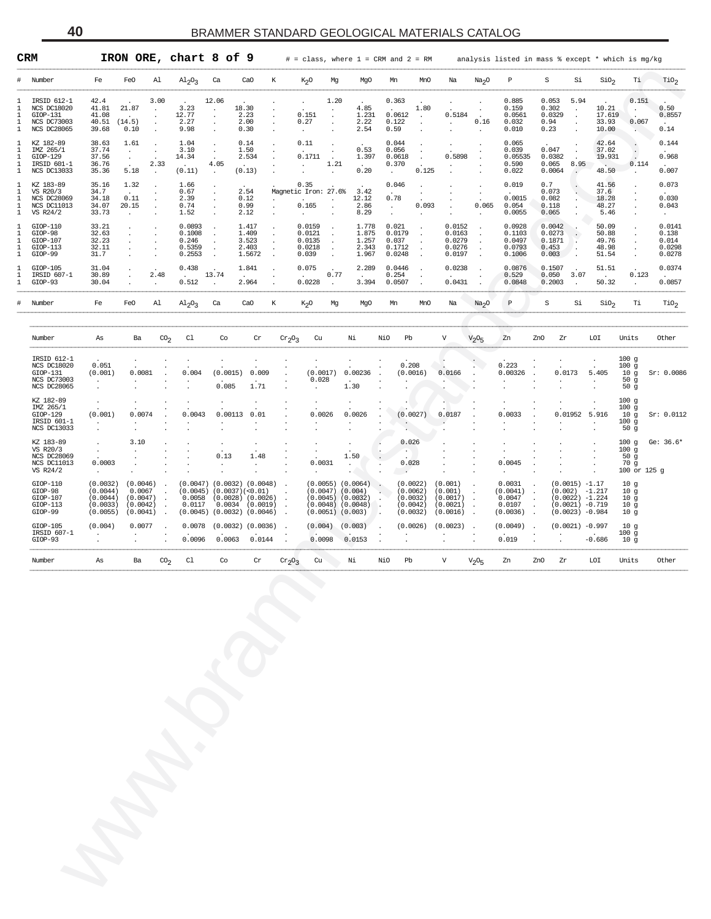| Fe<br>CaO<br>К<br>P<br>Тi<br>$\rm TiO_2$<br>Number<br>FeO<br>Al<br>$\mathrm{Al}_2\mathrm{O}_3$<br>Ca<br>$K_2O$<br>MgO<br>MnO<br>Na<br>Na <sub>2</sub> O<br>S<br>Si<br>$\rm{SiO}_2$<br>#<br>Mg<br>Mn<br>3.00<br>12.06<br>1.20<br>0.363<br>0.885<br>0.053<br>5.94<br>0.151<br>IRSID 612-1<br>42.4<br>л.<br>$\bullet$<br>21.87<br>3.23<br>10.21<br>0.50<br><b>NCS DC18020</b><br>41.81<br>18.30<br>4.85<br>1.80<br>0.159<br>0.302<br>$\cdot$<br>$\cdot$<br>$\ddot{\phantom{1}}$<br>$\cdot$<br>$\cdot$<br>$\bullet$<br>12.77<br>2.23<br>0.0561<br>17.619<br>$GIOP-131$<br>41.08<br>0.151<br>1.231<br>0.0612<br>0.5184<br>0.0329<br>0.8557<br>л.<br>$\cdot$<br>$\cdot$<br>$\cdot$<br>$\cdot$<br>$\cdot$<br>$\cdot$<br>33.93<br>NCS DC73003<br>40.51<br>(14.5)<br>2.27<br>2.00<br>0.27<br>2.22<br>0.122<br>0.16<br>0.032<br>0.94<br>0.067<br>-1.<br>$\cdot$<br>$\cdot$<br>$\cdot$<br>$\cdot$<br>$\cdot$<br>$\cdot$<br>$\cdot$<br><b>NCS DC28065</b><br>39.68<br>0.10<br>9.98<br>0.30<br>2.54<br>0.59<br>0.010<br>0.23<br>10.00<br>0.14<br>1<br>$\cdot$<br>$\cdot$<br>$\cdot$<br>$\cdot$<br>38.63<br>1.04<br>0.14<br>0.11<br>0.044<br>0.065<br>42.64<br>0.144<br>KZ 182-89<br>1.61<br>-1<br>$\cdot$<br>$\cdot$<br>$\cdot$<br>IMZ 265/1<br>37.74<br>3.10<br>1.50<br>0.53<br>0.056<br>0.039<br>0.047<br>37.02<br>л.<br>$\cdot$<br>$\cdot$<br>$\cdot$<br>$\cdot$<br>$\bullet$<br>$\cdot$<br>0.1711<br>0.968<br>GIOP-129<br>37.56<br>14.34<br>2.534<br>1.397<br>0.0618<br>0.5898<br>0.05535<br>0.0382<br>19.931<br>-1.<br>$\ddot{\phantom{a}}$<br>$\cdot$<br>$\ddot{\phantom{a}}$<br>$\sim$<br>$\cdot$<br>36.76<br>2.33<br>4.05<br>1.21<br>0.370<br>0.590<br>0.065<br>8.95<br>0.114<br>IRSID 601-1<br>л.<br>$\ddot{\phantom{a}}$<br>$\sim$<br>$\sim$<br>$\cdot$<br>$\ddot{\phantom{1}}$<br>0.007<br>NCS DC13033<br>35.36<br>5.18<br>(0.11)<br>(0.13)<br>0.20<br>0.125<br>0.022<br>0.0064<br>48.50<br>1<br>$\ddot{\phantom{a}}$<br>$\cdot$<br>$\blacksquare$<br>$\cdot$<br>$\cdot$<br>1.66<br>0.35<br>0.046<br>0.019<br>0.7<br>41.56<br>0.073<br>KZ 183-89<br>35.16<br>1.32<br>л.<br>$\cdot$<br>$\cdot$<br>$\cdot$<br>VS R20/3<br>34.7<br>0.67<br>2.54<br>Magnetic Iron: 27.6%<br>3.42<br>0.073<br>37.6<br>-1<br>$\ddot{\phantom{a}}$<br>$\cdot$<br>$\cdot$<br>$\ddot{\phantom{0}}$<br>0.78<br>0.0015<br>0.030<br>NCS DC28069<br>34.18<br>0.11<br>2.39<br>0.12<br>12.12<br>0.082<br>18.28<br>-1.<br>$\cdot$<br>$\cdot$<br>$\cdot$<br>$\cdot$<br>$\cdot$<br>NCS DC11013<br>34.07<br>20.15<br>0.74<br>0.99<br>0.165<br>2.86<br>0.093<br>0.065<br>0.054<br>0.118<br>48.27<br>0.043<br>-1.<br>$\sim$<br>$\cdot$<br>$\cdot$<br>$\cdot$<br>$\cdot$<br>33.73<br>1.52<br>2.12<br>8.29<br>0.0055<br>0.065<br>5.46<br>VS R24/2<br>1<br>$\cdot$<br>$\sim$<br>33.21<br>0.0893<br>1.417<br>0.0159<br>1.778<br>0.021<br>0.0152<br>0.0928<br>0.0042<br>50.09<br>0.0141<br>GIOP-110<br>-1<br>$\cdot$<br>GIOP-98<br>32.63<br>0.1008<br>1.409<br>0.0121<br>1.875<br>0.0179<br>0.0163<br>0.1103<br>0.0273<br>50.88<br>0.138<br>-1.<br>$\cdot$<br>$\cdot$<br>$\cdot$<br>$\cdot$<br>$\cdot$<br>$\cdot$<br>32.23<br>0.246<br>3.523<br>0.0135<br>1.257<br>0.037<br>0.0279<br>0.0497<br>0.1871<br>49.76<br>0.014<br>$GIOP-107$<br>-1.<br>$\cdot$<br>$\cdot$<br>$\cdot$<br>$\cdot$<br>$\cdot$<br>$\cdot$<br>32.11<br>0.5359<br>2.403<br>0.0218<br>2.343<br>0.1712<br>0.0276<br>0.0793<br>0.453<br>48.98<br>0.0298<br>$GIOP-113$<br>-1.<br>$\cdot$<br>$\cdot$<br>$\cdot$<br>$\cdot$<br>$\cdot$<br>31.7<br>0.2553<br>0.039<br>0.0248<br>0.0197<br>0.1006<br>0.003<br>51.54<br>0.0278<br>GIOP-99<br>1.5672<br>1.967<br>1<br>$\cdot$<br>$\cdot$<br>2.289<br>31.04<br>0.438<br>1.841<br>0.075<br>0.0446<br>0.0238<br>0.0876<br>0.1507<br>51.51<br>0.0374<br>$GIOP-105$<br>-1<br>$\cdot$<br>IRSID 607-1<br>30.89<br>2.48<br>13.74<br>0.77<br>0.254<br>0.529<br>0.050<br>3.07<br>0.123<br>-1.<br>$\sim$<br>$\cdot$<br>$\cdot$<br>$\cdot$<br>$\cdot$<br>0.512<br>0.0228<br>3.394<br>0.0857<br>GIOP-93<br>30.04<br>2.964<br>0.0507<br>0.0431<br>0.0848<br>0.2003<br>50.32<br>$\mathbf{1}$<br>$\cdot$<br>$\ddot{\phantom{a}}$<br>$\cdot$<br>$\cdot$<br>$\cdot$<br>$\, {\bf p}$<br>Fe<br>Al<br>К<br>Na<br>$\rm S$<br>Si<br>SiO <sub>2</sub><br>Тi<br>TiO <sub>2</sub><br>#<br>Number<br>FeO<br>$Al_2O_3$<br>Ca<br>CaO<br>$K_{2}O$<br>Mg<br>MgO<br>Mn<br>MnO<br>Na <sub>2</sub> O<br>CO <sub>2</sub><br>C1<br>Co<br>$\operatorname{Cr}$<br>Cu<br>Νi<br>NiO<br>Pb<br>V<br>$V_2O_5$<br>Zn<br>LOI<br>Units<br>Other<br>Number<br>Ba<br>$cr_2O_3$<br>ZnO<br>Zr<br>As<br>IRSID 612-1<br>100g<br>0.208<br>0.223<br>NCS DC18020<br>0.051<br>100g<br>0.00236<br>(0.001)<br>0.0081<br>0.004<br>(0.0015)<br>0.009<br>(0.0017)<br>(0.0016)<br>0.00326<br>0.0173<br>5.405<br>10 <sub>g</sub><br>$GIOP-131$<br>0.0166<br>NCS DC73003<br>0.028<br>50g<br>$\cdot$<br>$\cdot$<br>0.085<br>1.71<br>NCS DC28065<br>1.30<br>50 <sub>g</sub><br>KZ 182-89<br>100 <sub>g</sub><br>IMZ 265/1<br>100g<br>$GIOP-129$<br>(0.001)<br>0.0074<br>0.0043<br>0.00113<br>0.01<br>0.0026<br>0.0026<br>(0.0027)<br>0.0187<br>0.0033<br>0.01952<br>5.916<br>10 <sub>g</sub><br>100g<br>IRSID 601-1<br>$\cdot$<br>$\bullet$<br>NCS DC13033<br>50 <sub>g</sub><br>KZ 183-89<br>3.10<br>0.026<br>Ge: $36.6*$<br>100g<br>VS R20/3<br>100g<br>$\cdot$<br>$\cdot$<br>$\cdot$<br>1.50<br><b>NCS DC28069</b><br>0.13<br>1.48<br>50g<br>NCS DC11013<br>0.0003<br>0.0031<br>0.028<br>0.0045<br>70 g<br>$\cdot$<br>$\cdot$<br>VS R24/2<br>100 or 125 g<br>$\cdot$<br>$\cdot$<br>$GIOP-110$<br>0.0031<br>$(0.0015) -1.17$<br>(0.0032)<br>(0.0046)<br>$(0.0047)$ $(0.0032)$ $(0.0048)$<br>$(0.0055)$ $(0.0064)$<br>(0.0022)<br>(0.001)<br>10 <sub>g</sub><br>$\blacksquare$<br>$\sim$<br>$\blacksquare$<br>$\cdot$<br>$\cdot$<br>GIOP-98<br>(0.0044)<br>0.0067<br>$(0.0045)$ $(0.0037)(<0.01)$<br>$(0.0047)$ $(0.004)$<br>(0.0062)<br>(0.001)<br>(0.0041)<br>$(0.002) -1.217$<br>10 <sub>g</sub><br>$\,$ .<br>$\blacksquare$<br>$\cdot$<br>(0.0044)<br>0.0058<br>$(0.0028)$ $(0.0026)$<br>$(0.0045)$ $(0.0032)$<br>(0.0032)<br>(0.0017)<br>0.0047<br>$(0.0022) -1.224$<br>$GIOP-107$<br>(0.0047)<br>10 <sub>g</sub><br>$\cdot$<br>$\cdot$<br>$\cdot$<br>$\cdot$<br>$\cdot$<br>(0.0042)<br>0.0117<br>0.0034<br>(0.0019)<br>$(0.0048)$ $(0.0048)$<br>(0.0042)<br>(0.0021)<br>0.0107<br>$(0.0021) -0.719$<br>$GIOP-113$<br>(0.0033)<br>10 <sub>g</sub><br>$\cdot$<br>$\ddot{\phantom{a}}$<br>$\blacksquare$ .<br>$\cdot$<br>$\cdot$<br>GIOP-99<br>(0.0041)<br>$(0.0045)$ $(0.0032)$<br>(0.0046)<br>$(0.0051)$ $(0.003)$<br>(0.0032)<br>(0.0016)<br>(0.0036)<br>$(0.0023) -0.984$<br>(0.0055)<br>10 <sub>g</sub><br>$\blacksquare$<br>$\ddot{\phantom{a}}$<br>$\,$ .<br>. .<br>$\ddot{\phantom{a}}$<br>$GIOP-105$<br>(0.004)<br>0.0077<br>0.0078<br>$(0.0032)$ $(0.0036)$<br>(0.004)<br>(0.003)<br>(0.0026)<br>(0.0023)<br>(0.0049)<br>$(0.0021) -0.997$<br>10 <sub>g</sub><br>$\overline{\phantom{a}}$<br>$\cdot$<br>IRSID 607-1<br>100g<br>$\cdot$<br>$\cdot$<br>$\cdot$<br>$\cdot$<br>0.0144<br>0.0098<br>0.019<br>GIOP-93<br>0.0096<br>0.0063<br>0.0153<br>$-0.686$<br>10 <sub>g</sub><br>$\cdot$<br>$\cdot$<br>$\cdot$<br>CO <sub>2</sub><br>C1<br>Co<br>$\rm Cr$<br>Cu<br>Νi<br>NiO<br>Pb<br>V<br>LOI<br>Units<br>Other<br>Number<br>Ba<br>$cr_2O_3$<br>$V_{2}O_{5}$<br>Zn<br>ZnO<br>Zr<br>As |            |
|-------------------------------------------------------------------------------------------------------------------------------------------------------------------------------------------------------------------------------------------------------------------------------------------------------------------------------------------------------------------------------------------------------------------------------------------------------------------------------------------------------------------------------------------------------------------------------------------------------------------------------------------------------------------------------------------------------------------------------------------------------------------------------------------------------------------------------------------------------------------------------------------------------------------------------------------------------------------------------------------------------------------------------------------------------------------------------------------------------------------------------------------------------------------------------------------------------------------------------------------------------------------------------------------------------------------------------------------------------------------------------------------------------------------------------------------------------------------------------------------------------------------------------------------------------------------------------------------------------------------------------------------------------------------------------------------------------------------------------------------------------------------------------------------------------------------------------------------------------------------------------------------------------------------------------------------------------------------------------------------------------------------------------------------------------------------------------------------------------------------------------------------------------------------------------------------------------------------------------------------------------------------------------------------------------------------------------------------------------------------------------------------------------------------------------------------------------------------------------------------------------------------------------------------------------------------------------------------------------------------------------------------------------------------------------------------------------------------------------------------------------------------------------------------------------------------------------------------------------------------------------------------------------------------------------------------------------------------------------------------------------------------------------------------------------------------------------------------------------------------------------------------------------------------------------------------------------------------------------------------------------------------------------------------------------------------------------------------------------------------------------------------------------------------------------------------------------------------------------------------------------------------------------------------------------------------------------------------------------------------------------------------------------------------------------------------------------------------------------------------------------------------------------------------------------------------------------------------------------------------------------------------------------------------------------------------------------------------------------------------------------------------------------------------------------------------------------------------------------------------------------------------------------------------------------------------------------------------------------------------------------------------------------------------------------------------------------------------------------------------------------------------------------------------------------------------------------------------------------------------------------------------------------------------------------------------------------------------------------------------------------------------------------------------------------------------------------------------------------------------------------------------------------------------------------------------------------------------------------------------------------------------------------------------------------------------------------------------------------------------------------------------------------------------------------------------------------------------------------------------------------------------------------------------------------------------------------------------------------------------------------------------------------------------------------------------------------------------------------------------------------------------------------------------------------------------------------------------------------------------------------------------------------------------------------------------------------------------------------------------------------------------------------------------------------------------------------------------------------------------------------------------------------------------------------------------------------------------------------------------------------------------------------------------------------------------------------------------------------------------------------------------------------------------------------------------------------------------------------------------------------------------------------------------------------------------------------------------------------------------------------------------------------------------------------------------------------------------------------------------------------------------------------------------------------------------------------------------------------------------------------------------------------------------------------------------------------------------------------------------------------------------------------------------------------------------------------------------------------------------------------------------------------------------------------------------------------------------------------------------------------------------------------------------------------------------------------------------------------------------------------------------------------------------------------------------------------------------------------------------------------------------------------------------------------------------------------------------------------------------------------------------------------------------------|------------|
|                                                                                                                                                                                                                                                                                                                                                                                                                                                                                                                                                                                                                                                                                                                                                                                                                                                                                                                                                                                                                                                                                                                                                                                                                                                                                                                                                                                                                                                                                                                                                                                                                                                                                                                                                                                                                                                                                                                                                                                                                                                                                                                                                                                                                                                                                                                                                                                                                                                                                                                                                                                                                                                                                                                                                                                                                                                                                                                                                                                                                                                                                                                                                                                                                                                                                                                                                                                                                                                                                                                                                                                                                                                                                                                                                                                                                                                                                                                                                                                                                                                                                                                                                                                                                                                                                                                                                                                                                                                                                                                                                                                                                                                                                                                                                                                                                                                                                                                                                                                                                                                                                                                                                                                                                                                                                                                                                                                                                                                                                                                                                                                                                                                                                                                                                                                                                                                                                                                                                                                                                                                                                                                                                                                                                                                                                                                                                                                                                                                                                                                                                                                                                                                                                                                                                                                                                                                                                                                                                                                                                                                                                                                                                                                                                                                                                                 |            |
|                                                                                                                                                                                                                                                                                                                                                                                                                                                                                                                                                                                                                                                                                                                                                                                                                                                                                                                                                                                                                                                                                                                                                                                                                                                                                                                                                                                                                                                                                                                                                                                                                                                                                                                                                                                                                                                                                                                                                                                                                                                                                                                                                                                                                                                                                                                                                                                                                                                                                                                                                                                                                                                                                                                                                                                                                                                                                                                                                                                                                                                                                                                                                                                                                                                                                                                                                                                                                                                                                                                                                                                                                                                                                                                                                                                                                                                                                                                                                                                                                                                                                                                                                                                                                                                                                                                                                                                                                                                                                                                                                                                                                                                                                                                                                                                                                                                                                                                                                                                                                                                                                                                                                                                                                                                                                                                                                                                                                                                                                                                                                                                                                                                                                                                                                                                                                                                                                                                                                                                                                                                                                                                                                                                                                                                                                                                                                                                                                                                                                                                                                                                                                                                                                                                                                                                                                                                                                                                                                                                                                                                                                                                                                                                                                                                                                                 |            |
|                                                                                                                                                                                                                                                                                                                                                                                                                                                                                                                                                                                                                                                                                                                                                                                                                                                                                                                                                                                                                                                                                                                                                                                                                                                                                                                                                                                                                                                                                                                                                                                                                                                                                                                                                                                                                                                                                                                                                                                                                                                                                                                                                                                                                                                                                                                                                                                                                                                                                                                                                                                                                                                                                                                                                                                                                                                                                                                                                                                                                                                                                                                                                                                                                                                                                                                                                                                                                                                                                                                                                                                                                                                                                                                                                                                                                                                                                                                                                                                                                                                                                                                                                                                                                                                                                                                                                                                                                                                                                                                                                                                                                                                                                                                                                                                                                                                                                                                                                                                                                                                                                                                                                                                                                                                                                                                                                                                                                                                                                                                                                                                                                                                                                                                                                                                                                                                                                                                                                                                                                                                                                                                                                                                                                                                                                                                                                                                                                                                                                                                                                                                                                                                                                                                                                                                                                                                                                                                                                                                                                                                                                                                                                                                                                                                                                                 |            |
|                                                                                                                                                                                                                                                                                                                                                                                                                                                                                                                                                                                                                                                                                                                                                                                                                                                                                                                                                                                                                                                                                                                                                                                                                                                                                                                                                                                                                                                                                                                                                                                                                                                                                                                                                                                                                                                                                                                                                                                                                                                                                                                                                                                                                                                                                                                                                                                                                                                                                                                                                                                                                                                                                                                                                                                                                                                                                                                                                                                                                                                                                                                                                                                                                                                                                                                                                                                                                                                                                                                                                                                                                                                                                                                                                                                                                                                                                                                                                                                                                                                                                                                                                                                                                                                                                                                                                                                                                                                                                                                                                                                                                                                                                                                                                                                                                                                                                                                                                                                                                                                                                                                                                                                                                                                                                                                                                                                                                                                                                                                                                                                                                                                                                                                                                                                                                                                                                                                                                                                                                                                                                                                                                                                                                                                                                                                                                                                                                                                                                                                                                                                                                                                                                                                                                                                                                                                                                                                                                                                                                                                                                                                                                                                                                                                                                                 |            |
|                                                                                                                                                                                                                                                                                                                                                                                                                                                                                                                                                                                                                                                                                                                                                                                                                                                                                                                                                                                                                                                                                                                                                                                                                                                                                                                                                                                                                                                                                                                                                                                                                                                                                                                                                                                                                                                                                                                                                                                                                                                                                                                                                                                                                                                                                                                                                                                                                                                                                                                                                                                                                                                                                                                                                                                                                                                                                                                                                                                                                                                                                                                                                                                                                                                                                                                                                                                                                                                                                                                                                                                                                                                                                                                                                                                                                                                                                                                                                                                                                                                                                                                                                                                                                                                                                                                                                                                                                                                                                                                                                                                                                                                                                                                                                                                                                                                                                                                                                                                                                                                                                                                                                                                                                                                                                                                                                                                                                                                                                                                                                                                                                                                                                                                                                                                                                                                                                                                                                                                                                                                                                                                                                                                                                                                                                                                                                                                                                                                                                                                                                                                                                                                                                                                                                                                                                                                                                                                                                                                                                                                                                                                                                                                                                                                                                                 |            |
|                                                                                                                                                                                                                                                                                                                                                                                                                                                                                                                                                                                                                                                                                                                                                                                                                                                                                                                                                                                                                                                                                                                                                                                                                                                                                                                                                                                                                                                                                                                                                                                                                                                                                                                                                                                                                                                                                                                                                                                                                                                                                                                                                                                                                                                                                                                                                                                                                                                                                                                                                                                                                                                                                                                                                                                                                                                                                                                                                                                                                                                                                                                                                                                                                                                                                                                                                                                                                                                                                                                                                                                                                                                                                                                                                                                                                                                                                                                                                                                                                                                                                                                                                                                                                                                                                                                                                                                                                                                                                                                                                                                                                                                                                                                                                                                                                                                                                                                                                                                                                                                                                                                                                                                                                                                                                                                                                                                                                                                                                                                                                                                                                                                                                                                                                                                                                                                                                                                                                                                                                                                                                                                                                                                                                                                                                                                                                                                                                                                                                                                                                                                                                                                                                                                                                                                                                                                                                                                                                                                                                                                                                                                                                                                                                                                                                                 |            |
|                                                                                                                                                                                                                                                                                                                                                                                                                                                                                                                                                                                                                                                                                                                                                                                                                                                                                                                                                                                                                                                                                                                                                                                                                                                                                                                                                                                                                                                                                                                                                                                                                                                                                                                                                                                                                                                                                                                                                                                                                                                                                                                                                                                                                                                                                                                                                                                                                                                                                                                                                                                                                                                                                                                                                                                                                                                                                                                                                                                                                                                                                                                                                                                                                                                                                                                                                                                                                                                                                                                                                                                                                                                                                                                                                                                                                                                                                                                                                                                                                                                                                                                                                                                                                                                                                                                                                                                                                                                                                                                                                                                                                                                                                                                                                                                                                                                                                                                                                                                                                                                                                                                                                                                                                                                                                                                                                                                                                                                                                                                                                                                                                                                                                                                                                                                                                                                                                                                                                                                                                                                                                                                                                                                                                                                                                                                                                                                                                                                                                                                                                                                                                                                                                                                                                                                                                                                                                                                                                                                                                                                                                                                                                                                                                                                                                                 |            |
|                                                                                                                                                                                                                                                                                                                                                                                                                                                                                                                                                                                                                                                                                                                                                                                                                                                                                                                                                                                                                                                                                                                                                                                                                                                                                                                                                                                                                                                                                                                                                                                                                                                                                                                                                                                                                                                                                                                                                                                                                                                                                                                                                                                                                                                                                                                                                                                                                                                                                                                                                                                                                                                                                                                                                                                                                                                                                                                                                                                                                                                                                                                                                                                                                                                                                                                                                                                                                                                                                                                                                                                                                                                                                                                                                                                                                                                                                                                                                                                                                                                                                                                                                                                                                                                                                                                                                                                                                                                                                                                                                                                                                                                                                                                                                                                                                                                                                                                                                                                                                                                                                                                                                                                                                                                                                                                                                                                                                                                                                                                                                                                                                                                                                                                                                                                                                                                                                                                                                                                                                                                                                                                                                                                                                                                                                                                                                                                                                                                                                                                                                                                                                                                                                                                                                                                                                                                                                                                                                                                                                                                                                                                                                                                                                                                                                                 |            |
|                                                                                                                                                                                                                                                                                                                                                                                                                                                                                                                                                                                                                                                                                                                                                                                                                                                                                                                                                                                                                                                                                                                                                                                                                                                                                                                                                                                                                                                                                                                                                                                                                                                                                                                                                                                                                                                                                                                                                                                                                                                                                                                                                                                                                                                                                                                                                                                                                                                                                                                                                                                                                                                                                                                                                                                                                                                                                                                                                                                                                                                                                                                                                                                                                                                                                                                                                                                                                                                                                                                                                                                                                                                                                                                                                                                                                                                                                                                                                                                                                                                                                                                                                                                                                                                                                                                                                                                                                                                                                                                                                                                                                                                                                                                                                                                                                                                                                                                                                                                                                                                                                                                                                                                                                                                                                                                                                                                                                                                                                                                                                                                                                                                                                                                                                                                                                                                                                                                                                                                                                                                                                                                                                                                                                                                                                                                                                                                                                                                                                                                                                                                                                                                                                                                                                                                                                                                                                                                                                                                                                                                                                                                                                                                                                                                                                                 | Sr: 0.0086 |
|                                                                                                                                                                                                                                                                                                                                                                                                                                                                                                                                                                                                                                                                                                                                                                                                                                                                                                                                                                                                                                                                                                                                                                                                                                                                                                                                                                                                                                                                                                                                                                                                                                                                                                                                                                                                                                                                                                                                                                                                                                                                                                                                                                                                                                                                                                                                                                                                                                                                                                                                                                                                                                                                                                                                                                                                                                                                                                                                                                                                                                                                                                                                                                                                                                                                                                                                                                                                                                                                                                                                                                                                                                                                                                                                                                                                                                                                                                                                                                                                                                                                                                                                                                                                                                                                                                                                                                                                                                                                                                                                                                                                                                                                                                                                                                                                                                                                                                                                                                                                                                                                                                                                                                                                                                                                                                                                                                                                                                                                                                                                                                                                                                                                                                                                                                                                                                                                                                                                                                                                                                                                                                                                                                                                                                                                                                                                                                                                                                                                                                                                                                                                                                                                                                                                                                                                                                                                                                                                                                                                                                                                                                                                                                                                                                                                                                 | Sr: 0.0112 |
|                                                                                                                                                                                                                                                                                                                                                                                                                                                                                                                                                                                                                                                                                                                                                                                                                                                                                                                                                                                                                                                                                                                                                                                                                                                                                                                                                                                                                                                                                                                                                                                                                                                                                                                                                                                                                                                                                                                                                                                                                                                                                                                                                                                                                                                                                                                                                                                                                                                                                                                                                                                                                                                                                                                                                                                                                                                                                                                                                                                                                                                                                                                                                                                                                                                                                                                                                                                                                                                                                                                                                                                                                                                                                                                                                                                                                                                                                                                                                                                                                                                                                                                                                                                                                                                                                                                                                                                                                                                                                                                                                                                                                                                                                                                                                                                                                                                                                                                                                                                                                                                                                                                                                                                                                                                                                                                                                                                                                                                                                                                                                                                                                                                                                                                                                                                                                                                                                                                                                                                                                                                                                                                                                                                                                                                                                                                                                                                                                                                                                                                                                                                                                                                                                                                                                                                                                                                                                                                                                                                                                                                                                                                                                                                                                                                                                                 |            |
|                                                                                                                                                                                                                                                                                                                                                                                                                                                                                                                                                                                                                                                                                                                                                                                                                                                                                                                                                                                                                                                                                                                                                                                                                                                                                                                                                                                                                                                                                                                                                                                                                                                                                                                                                                                                                                                                                                                                                                                                                                                                                                                                                                                                                                                                                                                                                                                                                                                                                                                                                                                                                                                                                                                                                                                                                                                                                                                                                                                                                                                                                                                                                                                                                                                                                                                                                                                                                                                                                                                                                                                                                                                                                                                                                                                                                                                                                                                                                                                                                                                                                                                                                                                                                                                                                                                                                                                                                                                                                                                                                                                                                                                                                                                                                                                                                                                                                                                                                                                                                                                                                                                                                                                                                                                                                                                                                                                                                                                                                                                                                                                                                                                                                                                                                                                                                                                                                                                                                                                                                                                                                                                                                                                                                                                                                                                                                                                                                                                                                                                                                                                                                                                                                                                                                                                                                                                                                                                                                                                                                                                                                                                                                                                                                                                                                                 |            |
|                                                                                                                                                                                                                                                                                                                                                                                                                                                                                                                                                                                                                                                                                                                                                                                                                                                                                                                                                                                                                                                                                                                                                                                                                                                                                                                                                                                                                                                                                                                                                                                                                                                                                                                                                                                                                                                                                                                                                                                                                                                                                                                                                                                                                                                                                                                                                                                                                                                                                                                                                                                                                                                                                                                                                                                                                                                                                                                                                                                                                                                                                                                                                                                                                                                                                                                                                                                                                                                                                                                                                                                                                                                                                                                                                                                                                                                                                                                                                                                                                                                                                                                                                                                                                                                                                                                                                                                                                                                                                                                                                                                                                                                                                                                                                                                                                                                                                                                                                                                                                                                                                                                                                                                                                                                                                                                                                                                                                                                                                                                                                                                                                                                                                                                                                                                                                                                                                                                                                                                                                                                                                                                                                                                                                                                                                                                                                                                                                                                                                                                                                                                                                                                                                                                                                                                                                                                                                                                                                                                                                                                                                                                                                                                                                                                                                                 |            |
|                                                                                                                                                                                                                                                                                                                                                                                                                                                                                                                                                                                                                                                                                                                                                                                                                                                                                                                                                                                                                                                                                                                                                                                                                                                                                                                                                                                                                                                                                                                                                                                                                                                                                                                                                                                                                                                                                                                                                                                                                                                                                                                                                                                                                                                                                                                                                                                                                                                                                                                                                                                                                                                                                                                                                                                                                                                                                                                                                                                                                                                                                                                                                                                                                                                                                                                                                                                                                                                                                                                                                                                                                                                                                                                                                                                                                                                                                                                                                                                                                                                                                                                                                                                                                                                                                                                                                                                                                                                                                                                                                                                                                                                                                                                                                                                                                                                                                                                                                                                                                                                                                                                                                                                                                                                                                                                                                                                                                                                                                                                                                                                                                                                                                                                                                                                                                                                                                                                                                                                                                                                                                                                                                                                                                                                                                                                                                                                                                                                                                                                                                                                                                                                                                                                                                                                                                                                                                                                                                                                                                                                                                                                                                                                                                                                                                                 |            |
|                                                                                                                                                                                                                                                                                                                                                                                                                                                                                                                                                                                                                                                                                                                                                                                                                                                                                                                                                                                                                                                                                                                                                                                                                                                                                                                                                                                                                                                                                                                                                                                                                                                                                                                                                                                                                                                                                                                                                                                                                                                                                                                                                                                                                                                                                                                                                                                                                                                                                                                                                                                                                                                                                                                                                                                                                                                                                                                                                                                                                                                                                                                                                                                                                                                                                                                                                                                                                                                                                                                                                                                                                                                                                                                                                                                                                                                                                                                                                                                                                                                                                                                                                                                                                                                                                                                                                                                                                                                                                                                                                                                                                                                                                                                                                                                                                                                                                                                                                                                                                                                                                                                                                                                                                                                                                                                                                                                                                                                                                                                                                                                                                                                                                                                                                                                                                                                                                                                                                                                                                                                                                                                                                                                                                                                                                                                                                                                                                                                                                                                                                                                                                                                                                                                                                                                                                                                                                                                                                                                                                                                                                                                                                                                                                                                                                                 |            |
|                                                                                                                                                                                                                                                                                                                                                                                                                                                                                                                                                                                                                                                                                                                                                                                                                                                                                                                                                                                                                                                                                                                                                                                                                                                                                                                                                                                                                                                                                                                                                                                                                                                                                                                                                                                                                                                                                                                                                                                                                                                                                                                                                                                                                                                                                                                                                                                                                                                                                                                                                                                                                                                                                                                                                                                                                                                                                                                                                                                                                                                                                                                                                                                                                                                                                                                                                                                                                                                                                                                                                                                                                                                                                                                                                                                                                                                                                                                                                                                                                                                                                                                                                                                                                                                                                                                                                                                                                                                                                                                                                                                                                                                                                                                                                                                                                                                                                                                                                                                                                                                                                                                                                                                                                                                                                                                                                                                                                                                                                                                                                                                                                                                                                                                                                                                                                                                                                                                                                                                                                                                                                                                                                                                                                                                                                                                                                                                                                                                                                                                                                                                                                                                                                                                                                                                                                                                                                                                                                                                                                                                                                                                                                                                                                                                                                                 |            |
|                                                                                                                                                                                                                                                                                                                                                                                                                                                                                                                                                                                                                                                                                                                                                                                                                                                                                                                                                                                                                                                                                                                                                                                                                                                                                                                                                                                                                                                                                                                                                                                                                                                                                                                                                                                                                                                                                                                                                                                                                                                                                                                                                                                                                                                                                                                                                                                                                                                                                                                                                                                                                                                                                                                                                                                                                                                                                                                                                                                                                                                                                                                                                                                                                                                                                                                                                                                                                                                                                                                                                                                                                                                                                                                                                                                                                                                                                                                                                                                                                                                                                                                                                                                                                                                                                                                                                                                                                                                                                                                                                                                                                                                                                                                                                                                                                                                                                                                                                                                                                                                                                                                                                                                                                                                                                                                                                                                                                                                                                                                                                                                                                                                                                                                                                                                                                                                                                                                                                                                                                                                                                                                                                                                                                                                                                                                                                                                                                                                                                                                                                                                                                                                                                                                                                                                                                                                                                                                                                                                                                                                                                                                                                                                                                                                                                                 |            |
|                                                                                                                                                                                                                                                                                                                                                                                                                                                                                                                                                                                                                                                                                                                                                                                                                                                                                                                                                                                                                                                                                                                                                                                                                                                                                                                                                                                                                                                                                                                                                                                                                                                                                                                                                                                                                                                                                                                                                                                                                                                                                                                                                                                                                                                                                                                                                                                                                                                                                                                                                                                                                                                                                                                                                                                                                                                                                                                                                                                                                                                                                                                                                                                                                                                                                                                                                                                                                                                                                                                                                                                                                                                                                                                                                                                                                                                                                                                                                                                                                                                                                                                                                                                                                                                                                                                                                                                                                                                                                                                                                                                                                                                                                                                                                                                                                                                                                                                                                                                                                                                                                                                                                                                                                                                                                                                                                                                                                                                                                                                                                                                                                                                                                                                                                                                                                                                                                                                                                                                                                                                                                                                                                                                                                                                                                                                                                                                                                                                                                                                                                                                                                                                                                                                                                                                                                                                                                                                                                                                                                                                                                                                                                                                                                                                                                                 |            |
|                                                                                                                                                                                                                                                                                                                                                                                                                                                                                                                                                                                                                                                                                                                                                                                                                                                                                                                                                                                                                                                                                                                                                                                                                                                                                                                                                                                                                                                                                                                                                                                                                                                                                                                                                                                                                                                                                                                                                                                                                                                                                                                                                                                                                                                                                                                                                                                                                                                                                                                                                                                                                                                                                                                                                                                                                                                                                                                                                                                                                                                                                                                                                                                                                                                                                                                                                                                                                                                                                                                                                                                                                                                                                                                                                                                                                                                                                                                                                                                                                                                                                                                                                                                                                                                                                                                                                                                                                                                                                                                                                                                                                                                                                                                                                                                                                                                                                                                                                                                                                                                                                                                                                                                                                                                                                                                                                                                                                                                                                                                                                                                                                                                                                                                                                                                                                                                                                                                                                                                                                                                                                                                                                                                                                                                                                                                                                                                                                                                                                                                                                                                                                                                                                                                                                                                                                                                                                                                                                                                                                                                                                                                                                                                                                                                                                                 |            |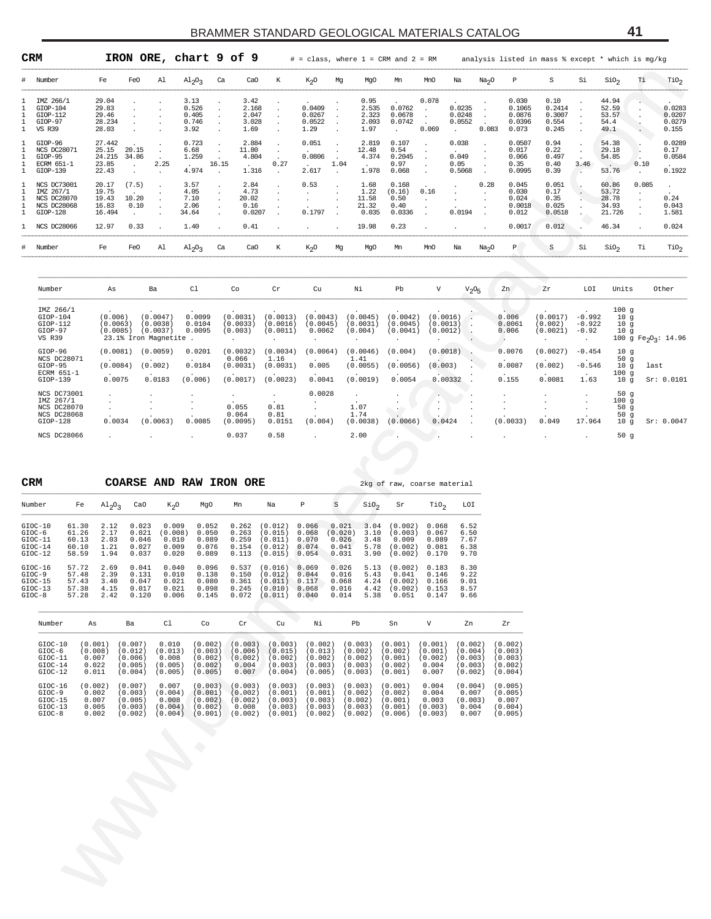| CRM              |                                                                                                         |                                               |                                                     | IRON ORE, chart 9 of 9                                     |                                                                                                  |                                                      |                                                                      |                                                     |                                             |                                                     | $#$ = class, where $1$ = CRM and $2$ = RM           |                                                          |                                                     |                                          |                                                     | analysis listed in mass % except * which is mg/kg  |                                 |                                                             |                                                                |                                              |
|------------------|---------------------------------------------------------------------------------------------------------|-----------------------------------------------|-----------------------------------------------------|------------------------------------------------------------|--------------------------------------------------------------------------------------------------|------------------------------------------------------|----------------------------------------------------------------------|-----------------------------------------------------|---------------------------------------------|-----------------------------------------------------|-----------------------------------------------------|----------------------------------------------------------|-----------------------------------------------------|------------------------------------------|-----------------------------------------------------|----------------------------------------------------|---------------------------------|-------------------------------------------------------------|----------------------------------------------------------------|----------------------------------------------|
| #                | Number                                                                                                  | Fe                                            | FeO                                                 | Al                                                         | $Al_2O_3$                                                                                        | Ca<br>CaO                                            | К                                                                    | K <sub>2</sub> O                                    | Mg                                          | MgO                                                 | Mn                                                  | MnO                                                      | Na                                                  | Na <sub>2</sub> O                        | Р                                                   | S                                                  | Si                              | SiO <sub>2</sub>                                            | Тi                                                             | $\rm TiO_2$                                  |
| 1<br>1<br>1      | IMZ 266/1<br>$GIOP-104$<br>$GIOP-112$<br>GIOP-97<br><b>VS R39</b>                                       | 29.04<br>29.83<br>29.46<br>28.234<br>28.03    |                                                     |                                                            | 3.13<br>0.526<br>0.405<br>$\cdot$<br>0.746<br>$\cdot$<br>3.92                                    | 3.42<br>2.168<br>2.047<br>3.028<br>1.69              | $\ddot{\phantom{a}}$<br>$\cdot$<br>$\cdot$<br>$\ddot{\phantom{0}}$   | 0.0409<br>0.0267<br>0.0522<br>1.29                  |                                             | 0.95<br>2.535<br>2.323<br>2.093<br>1.97             | 0.0762<br>0.0678<br>0.0742<br>$\cdot$               | 0.078<br>$\ddot{\phantom{a}}$<br>$\blacksquare$<br>0.069 | 0.0235<br>0.0248<br>0.0552<br>$\ddot{\phantom{a}}$  | $\cdot$<br>$\ddot{\phantom{a}}$<br>0.083 | 0.030<br>0.1065<br>0.0876<br>0.0396<br>0.073        | 0.10<br>0.2414<br>0.3007<br>0.554<br>0.245         |                                 | 44.94<br>52.59<br>53.57<br>54.4<br>49.1                     |                                                                | 0.0283<br>0.0207<br>0.0279<br>0.155          |
| 1<br>1<br>1<br>1 | GIOP-96<br>NCS DC28071<br>GIOP-95<br>ECRM 651-1<br>$GIOP-139$                                           | 27.442<br>25.15<br>24.215<br>23.85<br>22.43   | 20.15<br>34.86<br>$\ddot{\phantom{a}}$              | $\cdot$<br>2.25<br>$\cdot$                                 | 0.723<br>$\cdot$<br>6.68<br>$\ddot{\phantom{a}}$<br>1.259<br>16.15<br>$\sim$<br>4.974<br>$\cdot$ | 2.884<br>11.80<br>4.804<br>$\Delta \sim 10$<br>1.316 | $\cdot$<br>$\bullet$<br>0.27<br>$\cdot$                              | 0.051<br>0.0806<br>$\sim$<br>2.617                  | 1.04<br>$\cdot$                             | 2.819<br>12.48<br>4.374<br>1.978                    | 0.107<br>0.54<br>0.2045<br>0.97<br>0.068            | $\cdot$<br>$\cdot$<br>$\cdot$<br>$\cdot$                 | 0.038<br>0.049<br>0.05<br>0.5068                    | $\cdot$<br>$\cdot$<br>$\cdot$            | 0.0507<br>0.017<br>0.066<br>0.35<br>0.0995          | 0.94<br>0.22<br>0.497<br>0.40<br>0.39              | 3.46<br>$\sim$                  | 54.38<br>29.18<br>54.85<br>$\sim$<br>53.76                  | 0.10<br>$\cdot$                                                | 0.0289<br>0.17<br>0.0584<br>0.1922           |
| 1<br>1<br>1<br>1 | NCS DC73001<br>IMZ 267/1<br>NCS DC28070<br><b>NCS DC28068</b><br>$GIOP-128$                             | 20.17<br>19.75<br>19.43<br>16.83<br>16.494    | (7.5)<br>10.20<br>0.10<br>$\cdot$                   |                                                            | 3.57<br>4.05<br>$\cdot$<br>7.10<br>$\cdot$<br>2.06<br>$\cdot$<br>34.64                           | 2.84<br>4.73<br>20.02<br>0.16<br>0.0207              | $\ddot{\phantom{0}}$<br>$\ddot{\phantom{0}}$<br>$\ddot{\phantom{1}}$ | 0.53<br>$\cdot$<br>0.1797                           |                                             | 1.68<br>1.22<br>11.58<br>21.32<br>0.035             | 0.168<br>(0.16)<br>0.50<br>0.40<br>0.0336           | 0.16<br>$\cdot$<br>$\cdot$<br>$\cdot$                    | 0.0194                                              | 0.28<br>$\cdot$                          | 0.045<br>0.030<br>0.024<br>0.0018<br>0.012          | 0.051<br>0.17<br>0.35<br>0.025<br>0.0518           |                                 | 60.86<br>53.72<br>28.78<br>34.93<br>21.726                  | 0.085<br>$\ddot{\phantom{a}}$<br>$\cdot$<br>$\cdot$<br>$\cdot$ | $\cdot$<br>0.24<br>0.043<br>1.581            |
|                  | NCS DC28066                                                                                             | 12.97                                         | 0.33                                                |                                                            | 1.40                                                                                             | 0.41                                                 |                                                                      | $\cdot$                                             |                                             | 19.98                                               | 0.23                                                |                                                          |                                                     |                                          | 0.0017                                              | 0.012                                              |                                 | 46.34                                                       |                                                                | 0.024                                        |
|                  | Number                                                                                                  | Fe                                            | FeO                                                 | Al                                                         | $Al_2O_3$                                                                                        | Ca<br>CaO                                            | Κ                                                                    | K <sub>2</sub> O                                    | Mg                                          | MgO                                                 | Mn                                                  | MnO                                                      | Na                                                  | Na <sub>2</sub> O                        | $\, {\mathbb P}$                                    | S                                                  | Si                              | SiO <sub>2</sub>                                            | Тi                                                             | TiO <sub>2</sub>                             |
|                  | Number                                                                                                  | As                                            |                                                     | Ba                                                         | C1                                                                                               | Co                                                   | $\operatorname{\sf Cr}$                                              | Cu                                                  |                                             | Νi                                                  | Pb                                                  | $\boldsymbol{\mathrm{V}}$                                | V <sub>2</sub> O <sub>5</sub>                       |                                          | Zn                                                  | Ζr                                                 | LOI                             | Units                                                       |                                                                | Other                                        |
|                  | IMZ 266/1<br>$GIOP-104$<br>$GIOP-112$<br>GIOP-97<br>VS R39                                              | (0.006)<br>(0.0063)<br>(0.0085)               |                                                     | (0.0047)<br>(0.0038)<br>(0.0037)<br>23.1% Iron Magnetite . | 0.0099<br>0.0104<br>0.0095                                                                       | (0.0031)<br>(0.0033)<br>(0.003)<br>$\cdot$           | (0.0013)<br>(0.0016)<br>(0.0011)                                     | (0.0043)<br>(0.0045)<br>0.0062                      | $\cdot$                                     | (0.0045)<br>(0.0031)<br>(0.004)                     | (0.0042)<br>(0.0045)<br>(0.0041)<br>$\cdot$         | (0.0016)<br>(0.0013)<br>(0.0012)                         |                                                     |                                          | 0.006<br>0.0061<br>0.006<br>$\blacksquare$ .        | (0.0017)<br>(0.002)<br>$(0.0021) -0.92$<br>$\cdot$ | $-0.992$<br>$-0.922$<br>$\cdot$ | 100g<br>10 <sub>g</sub><br>10g<br>10 <sub>g</sub>           |                                                                | 100 g Fe <sub>2</sub> O <sub>3</sub> : 14.96 |
|                  | GIOP-96<br>NCS DC28071<br>GIOP-95<br>ECRM 651-1<br>GIOP-139                                             | (0.0081)<br>(0.0084)<br>0.0075                |                                                     | (0.0059)<br>(0.002)<br>0.0183                              | 0.0201<br>0.0184<br>(0.006)                                                                      | (0.0032)<br>0.066<br>(0.0031)<br>(0.0017)            | (0.0034)<br>1.16<br>(0.0031)<br>(0.0023)                             | (0.0064)<br>0.005<br>0.0041                         |                                             | (0.0046)<br>1.41<br>(0.0055)<br>(0.0019)            | (0.004)<br>(0.0056)<br>0.0054                       | (0.0018)<br>(0.003)<br>0.00332                           |                                                     |                                          | 0.0076<br>0.0087<br>0.155                           | (0.0027)<br>(0.002)<br>0.0081                      | $-0.454$<br>$-0.546$<br>1.63    | 10 <sub>g</sub><br>50 $g$<br>10 <sub>g</sub><br>100g<br>10g | last                                                           | Sr: 0.0101                                   |
|                  | NCS DC73001<br>IMZ 267/1<br>NCS DC28070<br>NCS DC28068<br>$GIOP-128$                                    | 0.0034                                        |                                                     | (0.0063)                                                   | 0.0085                                                                                           | $\cdot$<br>0.055<br>0.064<br>(0.0095)                | $\cdot$<br>0.81<br>0.81<br>0.0151                                    | 0.0028<br>$\cdot$<br>(0.004)                        | $\cdot$                                     | 1.07<br>1.74<br>(0.0038)                            | $\cdot$<br>$\sim$ $\sim$<br>(0.0066)                | 0.0424                                                   |                                                     |                                          | (0.0033)                                            | 0.049                                              | 17.964                          | 50 <sub>g</sub><br>100g<br>50g<br>50 $g$<br>10g             |                                                                | Sr: 0.0047                                   |
|                  | NCS DC28066                                                                                             |                                               |                                                     |                                                            |                                                                                                  | 0.037                                                | 0.58                                                                 | $\overline{a}$                                      |                                             | 2.00                                                |                                                     |                                                          |                                                     |                                          |                                                     |                                                    |                                 | 50 <sub>g</sub>                                             |                                                                |                                              |
| <b>CRM</b>       |                                                                                                         |                                               |                                                     | COARSE AND RAW IRON ORE                                    |                                                                                                  |                                                      |                                                                      |                                                     |                                             |                                                     | 2kg of raw, coarse material                         |                                                          |                                                     |                                          |                                                     |                                                    |                                 |                                                             |                                                                |                                              |
|                  | Number<br>Fe                                                                                            | $A1_{2}O_3$                                   | CaO                                                 | $K_{2}O$                                                   | MgO                                                                                              | Mn                                                   | Na                                                                   | P                                                   | $\rm S$                                     | SiO <sub>2</sub>                                    | Sr                                                  | $\text{rio}_2$                                           | LOI                                                 |                                          |                                                     |                                                    |                                 |                                                             |                                                                |                                              |
|                  | GIOC-10<br>61.30<br>$GIOC-6$<br>61.26<br>$GIOC-11$<br>60.13<br>$GIOC-14$<br>60.10<br>$GIOC-12$<br>58.59 | 2.12<br>2.17<br>2.03<br>1.21<br>1.94          | 0.023<br>0.021<br>0.046<br>0.027<br>0.037           | 0.009<br>(0.008)<br>0.010<br>0.009<br>0.020                | 0.052<br>0.050<br>0.089<br>0.076<br>0.089                                                        | 0.262<br>0.263<br>0.259<br>0.154<br>0.113            | (0.012)<br>(0.015)<br>(0.011)<br>(0.012)<br>(0.015)                  | 0.066<br>0.068<br>0.070<br>0.074<br>0.054           | 0.021<br>(0.020)<br>0.026<br>0.041<br>0.031 | 3.04<br>3.10<br>3.48<br>5.78<br>3.90                | (0.002)<br>(0.003)<br>0.009<br>(0.002)<br>(0.002)   | 0.068<br>0.067<br>0.089<br>0.081<br>0.170                | 6.52<br>6.50<br>7.67<br>6.38<br>9.70                |                                          |                                                     |                                                    |                                 |                                                             |                                                                |                                              |
| $GIOC-8$         | $GIOC-16$<br>57.72<br>$GIOC-9$<br>57.48<br>$GIOC-15$<br>57.43<br>$GIOC-13$<br>57.38<br>57.28            | 2.69<br>2.39<br>3.40<br>4.15<br>2.42          | 0.041<br>0.131<br>0.047<br>0.017<br>0.120           | 0.040<br>0.010<br>0.021<br>0.021<br>0.006                  | 0.096<br>0.138<br>0.080<br>0.098<br>0.145                                                        | 0.537<br>0.150<br>0.361<br>0.245<br>0.072            | (0.016) 0.069<br>(0.012)<br>(0.011)<br>(0.010)<br>(0.011)            | 0.044<br>0.117<br>0.068<br>0.040                    | 0.026<br>0.016<br>0.068<br>0.016<br>0.014   | 5.13<br>5.43<br>4.24<br>4.42<br>5.38                | (0.002)<br>0.041<br>(0.002)<br>(0.002)<br>0.051     | 0.183<br>0.146<br>0.166<br>0.153<br>0.147                | 8.30<br>9.22<br>9.01<br>8.57<br>9.66                |                                          |                                                     |                                                    |                                 |                                                             |                                                                |                                              |
|                  | Number                                                                                                  | As                                            | Ba                                                  | Cl                                                         | Co                                                                                               | Cr                                                   | Cu                                                                   | Νi                                                  | Pb                                          |                                                     | Sn                                                  | V                                                        | Zn                                                  |                                          | Ζr                                                  |                                                    |                                 |                                                             |                                                                |                                              |
|                  | $GIOC-10$<br>$GIOC-6$<br>$GIOC-11$<br>$GIOC-14$<br>$GIOC-12$                                            | (0.001)<br>(0.008)<br>0.007<br>0.022<br>0.011 | (0.007)<br>(0.012)<br>(0.006)<br>(0.005)<br>(0.004) | 0.010<br>(0.013)<br>0.008<br>(0.005)<br>(0.005)            | (0.002)<br>(0.003)<br>(0.002)<br>(0.002)<br>(0.005)                                              | (0.003)<br>(0.006)<br>(0.002)<br>0.004<br>0.007      | (0.003)<br>(0.015)<br>(0.002)<br>(0.003)<br>(0.004)                  | (0.002)<br>(0.013)<br>(0.002)<br>(0.003)<br>(0.005) |                                             | (0.003)<br>(0.002)<br>(0.002)<br>(0.003)<br>(0.003) | (0.001)<br>(0.002)<br>(0.001)<br>(0.002)<br>(0.001) | (0.001)<br>(0.001)<br>(0.002)<br>0.004<br>0.007          | (0.002)<br>(0.004)<br>(0.003)<br>(0.003)<br>(0.002) |                                          | (0.002)<br>(0.003)<br>(0.003)<br>(0.002)<br>(0.004) |                                                    |                                 |                                                             |                                                                |                                              |
|                  | $GIOC-16$<br>$GIOC-9$<br>$GIOC-15$<br>$GIOC-13$<br>$GIOC-8$                                             | (0.002)<br>0.002<br>0.007<br>0.005<br>0.002   | (0.007)<br>(0.003)<br>(0.005)<br>(0.003)<br>(0.002) | 0.007<br>(0.004)<br>0.008<br>(0.004)                       | (0.003)<br>(0.001)<br>(0.002)<br>(0.002)<br>$(0.004)$ $(0.001)$                                  | (0.003)<br>(0.002)<br>(0.002)<br>0.008<br>(0.002)    | (0.003)<br>(0.001)<br>(0.003)<br>(0.003)<br>(0.001)                  | (0.003)<br>(0.001)<br>(0.003)<br>(0.003)<br>(0.002) |                                             | (0.003)<br>(0.002)<br>(0.002)<br>(0.003)<br>(0.002) | (0.001)<br>(0.002)<br>(0.001)<br>(0.001)<br>(0.006) | 0.004<br>0.004<br>0.003<br>(0.003)<br>(0.003)            | (0.004)<br>0.007<br>(0.003)<br>0.004<br>0.007       |                                          | (0.005)<br>(0.005)<br>0.007<br>(0.004)<br>(0.005)   |                                                    |                                 |                                                             |                                                                |                                              |
|                  |                                                                                                         |                                               |                                                     |                                                            |                                                                                                  |                                                      |                                                                      |                                                     |                                             |                                                     |                                                     |                                                          |                                                     |                                          |                                                     |                                                    |                                 |                                                             |                                                                |                                              |
|                  |                                                                                                         |                                               |                                                     |                                                            |                                                                                                  |                                                      |                                                                      |                                                     |                                             |                                                     |                                                     |                                                          |                                                     |                                          |                                                     |                                                    |                                 |                                                             |                                                                |                                              |
|                  |                                                                                                         |                                               |                                                     |                                                            |                                                                                                  |                                                      |                                                                      |                                                     |                                             |                                                     |                                                     |                                                          |                                                     |                                          |                                                     |                                                    |                                 |                                                             |                                                                |                                              |
|                  |                                                                                                         |                                               |                                                     |                                                            |                                                                                                  |                                                      |                                                                      |                                                     |                                             |                                                     |                                                     |                                                          |                                                     |                                          |                                                     |                                                    |                                 |                                                             |                                                                |                                              |
|                  |                                                                                                         |                                               |                                                     |                                                            |                                                                                                  |                                                      |                                                                      |                                                     |                                             |                                                     |                                                     |                                                          |                                                     |                                          |                                                     |                                                    |                                 |                                                             |                                                                |                                              |

| Number                                                                      | As                              | Ba                                                        | C1                          | Co                                        | $\operatorname{Cr}$                      | Cu                             | Νi                                       | Pb                               | V                                | $V_2O_5$             | Zn                                          | Zr                              | LOI                                                     | Units                            | Other                                        |
|-----------------------------------------------------------------------------|---------------------------------|-----------------------------------------------------------|-----------------------------|-------------------------------------------|------------------------------------------|--------------------------------|------------------------------------------|----------------------------------|----------------------------------|----------------------|---------------------------------------------|---------------------------------|---------------------------------------------------------|----------------------------------|----------------------------------------------|
| IMZ 266/1<br>$GIOP-104$<br>$GIOP-112$<br>GIOP-97<br><b>VS R39</b>           | (0.006)<br>(0.0063)<br>(0.0085) | (0.0047)<br>(0.0038)<br>(0.0037)<br>23.1% Iron Magnetite. | 0.0099<br>0.0104<br>0.0095  | (0.0031)<br>(0.0033)<br>(0.003)           | (0.0013)<br>(0.0016)<br>(0.0011)         | (0.0043)<br>(0.0045)<br>0.0062 | (0.0045)<br>(0.0031)<br>(0.004)          | (0.0042)<br>(0.0045)<br>(0.0041) | (0.0016)<br>(0.0013)<br>(0.0012) |                      | $\sim$<br>0.006<br>0.0061<br>0.006          | (0.0017)<br>(0.002)<br>(0.0021) | $-0.992$<br>$-0.922$<br>$-0.92$<br>$\ddot{\phantom{0}}$ | 100q<br>10q<br>10q<br>10g        | 100 g Fe <sub>2</sub> O <sub>3</sub> : 14.96 |
| GIOP-96<br>NCS DC28071<br>GIOP-95<br>ECRM 651-1<br>$GIOP-139$               | (0.0081)<br>(0.0084)<br>0.0075  | (0.0059)<br>(0.002)<br>0.0183                             | 0.0201<br>0.0184<br>(0.006) | (0.0032)<br>0.066<br>(0.0031)<br>(0.0017) | (0.0034)<br>1.16<br>(0.0031)<br>(0.0023) | (0.0064)<br>0.005<br>0.0041    | (0.0046)<br>1.41<br>(0.0055)<br>(0.0019) | (0.004)<br>(0.0056)<br>0.0054    | (0.0018)<br>(0.003)<br>0.00332   |                      | 0.0076<br>0.0087<br>$\overline{a}$<br>0.155 | (0.0027)<br>(0.002)<br>0.0081   | $-0.454$<br>$-0.546$<br>$\cdot$<br>1.63                 | 10q<br>50g<br>10q<br>100q<br>10q | last<br>Sr: 0.0101                           |
| NCS DC73001<br>IMZ 267/1<br>NCS DC28070<br><b>NCS DC28068</b><br>$GIOP-128$ | 0.0034                          | (0.0063)                                                  | 0.0085                      | 0.055<br>0.064<br>(0.0095)                | $\cdot$<br>0.81<br>0.81<br>0.0151        | 0.0028<br>$\sim$<br>(0.004)    | $\sim$<br>1.07<br>1.74<br>(0.0038)       | $\cdot$<br>$\cdot$<br>(0.0066)   | 0.0424                           | $\ddot{\phantom{a}}$ | (0.0033)                                    | 0.049                           | $\cdot$<br>17.964                                       | 50q<br>100q<br>50g<br>50g<br>10q | Sr: 0.0047                                   |
| NCS DC28066                                                                 |                                 |                                                           |                             | 0.037                                     | 0.58                                     |                                | 2.00                                     |                                  |                                  |                      |                                             |                                 | $\cdot$                                                 | 50q                              |                                              |

| <b>CRM</b>                                                                                                    |                                                                               |                                                                      |                                                                               | COARSE AND RAW IRON ORE                                                         |                                                                               |                                                                               |                                                                                                 |                                                                               |                                                                                 |                                                                      |                                                                                             | 2kg of raw, coarse material                                                   |                                                                      |                               |
|---------------------------------------------------------------------------------------------------------------|-------------------------------------------------------------------------------|----------------------------------------------------------------------|-------------------------------------------------------------------------------|---------------------------------------------------------------------------------|-------------------------------------------------------------------------------|-------------------------------------------------------------------------------|-------------------------------------------------------------------------------------------------|-------------------------------------------------------------------------------|---------------------------------------------------------------------------------|----------------------------------------------------------------------|---------------------------------------------------------------------------------------------|-------------------------------------------------------------------------------|----------------------------------------------------------------------|-------------------------------|
| Number                                                                                                        | Fe                                                                            | $Al_2O_2$                                                            | CaO                                                                           | $K_2O$                                                                          | MgO                                                                           | Mn                                                                            | Na                                                                                              | Р                                                                             | $\rm S$                                                                         | SiO <sub>2</sub>                                                     | Sr                                                                                          | TiO <sub>2</sub>                                                              | LOI                                                                  |                               |
| GIOC-10<br>$GIOC-6$<br>$GIOC-11$<br>$GIOC-14$<br>$GIOC-12$<br>$GIOC-16$<br>$GIOC-9$<br>$GIOC-15$<br>$GIOC-13$ | 61.30<br>61.26<br>60.13<br>60.10<br>58.59<br>57.72<br>57.48<br>57.43<br>57.38 | 2.12<br>2.17<br>2.03<br>1.21<br>1.94<br>2.69<br>2.39<br>3.40<br>4.15 | 0.023<br>0.021<br>0.046<br>0.027<br>0.037<br>0.041<br>0.131<br>0.047<br>0.017 | 0.009<br>(0.008)<br>0.010<br>0.009<br>0.020<br>0.040<br>0.010<br>0.021<br>0.021 | 0.052<br>0.050<br>0.089<br>0.076<br>0.089<br>0.096<br>0.138<br>0.080<br>0.098 | 0.262<br>0.263<br>0.259<br>0.154<br>0.113<br>0.537<br>0.150<br>0.361<br>0.245 | (0.012)<br>(0.015)<br>(0.011)<br>(0.012)<br>(0.015)<br>(0.016)<br>(0.012)<br>(0.011)<br>(0.010) | 0.066<br>0.068<br>0.070<br>0.074<br>0.054<br>0.069<br>0.044<br>0.117<br>0.068 | 0.021<br>(0.020)<br>0.026<br>0.041<br>0.031<br>0.026<br>0.016<br>0.068<br>0.016 | 3.04<br>3.10<br>3.48<br>5.78<br>3.90<br>5.13<br>5.43<br>4.24<br>4.42 | (0.002)<br>(0.003)<br>0.009<br>(0.002)<br>(0.002)<br>(0.002)<br>0.041<br>(0.002)<br>(0.002) | 0.068<br>0.067<br>0.089<br>0.081<br>0.170<br>0.183<br>0.146<br>0.166<br>0.153 | 6.52<br>6.50<br>7.67<br>6.38<br>9.70<br>8.30<br>9.22<br>9.01<br>8.57 |                               |
| $GIOC-8$                                                                                                      | 57.28                                                                         | 2.42                                                                 | 0.120                                                                         | 0.006                                                                           | 0.145                                                                         | 0.072                                                                         | (0.011)                                                                                         | 0.040                                                                         | 0.014                                                                           | 5.38                                                                 | 0.051                                                                                       | 0.147                                                                         | 9.66                                                                 |                               |
| Number                                                                                                        | As                                                                            |                                                                      | Ba                                                                            | C1                                                                              | Co                                                                            | Cr                                                                            | Cu                                                                                              | Νi                                                                            | Pb                                                                              |                                                                      | Sn                                                                                          | V                                                                             | Zn                                                                   | Zr                            |
| $GIOC-10$<br>$GIOC-6$<br>$GIOC-11$                                                                            | (0.001)<br>(0.008)                                                            | 0.007                                                                | (0.007)<br>(0.012)<br>(0.006)                                                 | 0.010<br>(0.013)<br>0.008                                                       | (0.002)<br>(0.003)<br>(0.002)                                                 | (0.003)<br>(0.006)<br>(0.002)                                                 | (0.003)<br>(0.015)<br>(0.002)                                                                   | (0.002)<br>(0.013)<br>(0.002)                                                 |                                                                                 | (0.003)<br>(0.002)<br>(0.002)                                        | (0.001)<br>(0.002)<br>(0.001)                                                               | (0.001)<br>(0.001)<br>(0.002)                                                 | (0.002)<br>(0.004)<br>(0.003)                                        | (0.002)<br>(0.003)<br>(0.003) |

| $GIOC-11$ | 0.007   | (0.006) | 0.008   | (0.002) | (0.002) | (0.002) | (0.002) | (0.002) | (0.001) | (0.002) | (0.003) | (0.003) |
|-----------|---------|---------|---------|---------|---------|---------|---------|---------|---------|---------|---------|---------|
| $GIOC-14$ | 0.022   | '0.005  | (0.005) | (0.002) | 0.004   | (0.003) | (0.003) | (0.003) | (0.002) | 0.004   | (0.003) | (0.002) |
| $GIOC-12$ | 0.011   | (0.004) | (0.005) | (0.005) | 0.007   | (0.004) | (0.005) | (0.003) | (0.001) | 0.007   | (0.002) | (0.004) |
| $GIOC-16$ | (0.002) | (0.007) | 0.007   | (0.003) | (0.003) | (0.003) | (0.003) | (0.003) | (0.001) | 0.004   | (0.004) | (0.005) |
| $GIOC-9$  | 0.002   | (0.003) | (0.004) | (0.001) | (0.002) | (0.001) | (0.001) | (0.002) | (0.002) | 0.004   | 0.007   | (0.005) |
|           |         |         |         |         |         |         |         |         |         |         |         |         |
| $GIOC-15$ | 0.007   | (0.005) | 0.008   | (0.002) | (0.002) | (0.003) | (0.003) | (0.002) | (0.001) | 0.003   | (0.003) | 0.007   |
| $GIOC-13$ | 0.005   | (0.003) | (0.004) | (0.002) | 0.008   | (0.003) | (0.003) | (0.003) | (0.001) | (0.003) | 0.004   | (0.004) |
| $GIOC-8$  | 0.002   | (0.002) | (0.004) | (0.001) | (0.002) | (0.001) | (0.002) | (0.002) | (0.006) | (0.003) | 0.007   | (0.005) |

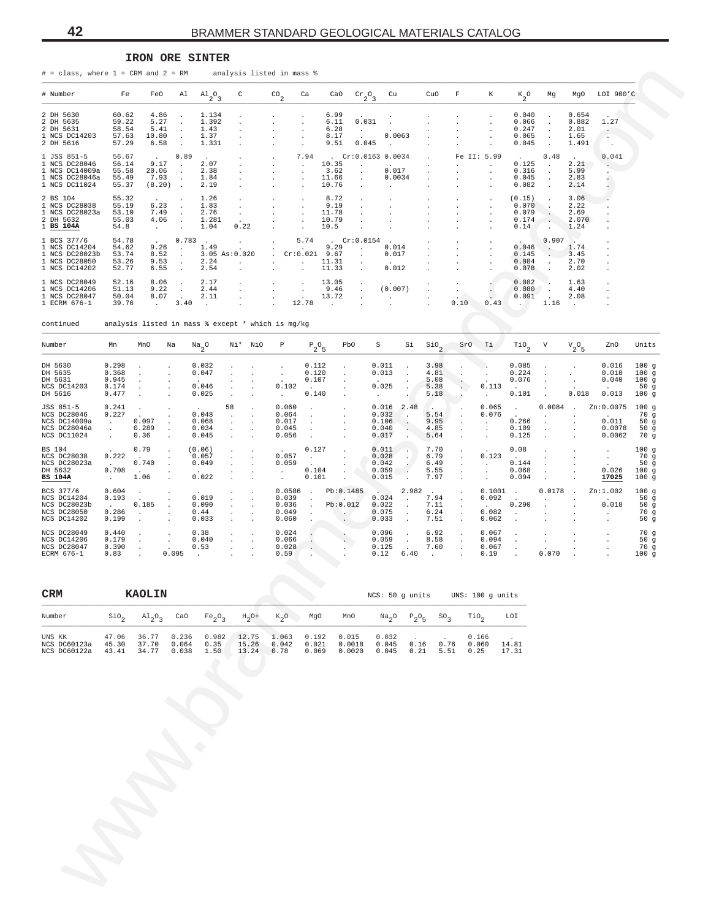#### **IRON ORE SINTER**

| # Number       | Fe    | FeO             |                      | $\mathrm{Al}$ $\mathrm{Al}$ <sub>2</sub> <sup>o</sup> <sub>3</sub> | $\mathbb{C}$         | $^{CO}$ <sub>2</sub>       | Ca                   |                 | CaO $Cr_2O_3$               | Cu                                | CuO     | $\mathbf{F}$ | К                    | $K_2^0$ | Mq                   | MaO               | LOI 900'C |
|----------------|-------|-----------------|----------------------|--------------------------------------------------------------------|----------------------|----------------------------|----------------------|-----------------|-----------------------------|-----------------------------------|---------|--------------|----------------------|---------|----------------------|-------------------|-----------|
|                |       |                 |                      |                                                                    |                      |                            |                      |                 |                             |                                   |         |              |                      |         |                      |                   |           |
| 2 DH 5630      | 60.62 | 4.86            |                      | 1.134                                                              |                      |                            |                      | 6.99            | $\ddot{\phantom{0}}$        |                                   |         |              |                      | 0.040   | $\ddot{\phantom{0}}$ | 0.654             |           |
| 2 DH 5635      | 59.22 | 5.27            | $\ddot{\phantom{a}}$ | 1.392                                                              |                      | $\mathbf{r}$               | $\mathbf{r}$         | 6.11            | 0.031                       |                                   |         |              |                      | 0.066   |                      | 0.882             | 1.27      |
| 2 DH 5631      | 58.54 | 5.41            |                      | 1.43                                                               |                      |                            |                      | 6.28            | $\blacksquare$              | $\cdot$                           |         |              |                      | 0.247   | $\ddot{\phantom{a}}$ | 2.01              |           |
| 1 NCS DC14203  | 57.63 | 10.80           |                      | 1.37                                                               |                      |                            |                      | 8.17            |                             | 0.0063                            |         |              |                      | 0.065   |                      | 1.65              |           |
| 2 DH 5616      | 57.29 | 6.58            |                      | 1.331                                                              |                      |                            |                      | 9.51            | 0.045                       | $\sim$                            |         |              |                      | 0.045   |                      | 1.491             | $\sim$    |
| 1 JSS 851-5    | 56.67 | $\sim$          | 0.89                 | $\sim$                                                             |                      | $\cdot$                    | 7.94                 |                 | $Cr:0.0163$ 0.0034          |                                   | $\sim$  |              | Fe II: 5.99          | $\sim$  | 0.48                 | <b>Contractor</b> | 0.041     |
| 1 NCS DC28046  | 56.14 | 9.17            | $\sim$               | 2.07                                                               |                      | $\blacksquare$             |                      | 10.35           | $\cdot$                     | <b>Service Contracts</b>          | $\cdot$ |              | $\cdot$              | 0.125   |                      | 2.21              |           |
| 1 NCS DC14009a | 55.58 | 20.06           | $\sim$               | 2.38                                                               |                      | $\mathbf{r}$               | $\sim$               | 3.62            | $\mathcal{L}^{\mathcal{L}}$ | 0.017                             |         |              | $\mathbf{r}$         | 0.316   |                      | 5.99              |           |
| 1 NCS DC28046a | 55.49 | 7.93            | $\sim$               | 1.84                                                               |                      |                            |                      | 11.66           | $\sim$                      | 0.0034                            |         |              |                      | 0.045   |                      | 2.83              |           |
| 1 NCS DC11024  | 55.37 | (8.20)          | $\sim$               | 2.19                                                               |                      |                            |                      | 10.76           | $\ddot{\phantom{0}}$        |                                   |         |              | $\ddot{\phantom{0}}$ | 0.082   | $\mathbf{r}$         | 2.14              |           |
| 2 BS 104       | 55.32 |                 | $\cdot$              | 1.26                                                               |                      |                            | $\cdot$              | 8.72            |                             |                                   |         |              | $\blacksquare$       | (0.15)  |                      | 3.06              |           |
| 1 NCS DC28038  | 55.19 | 6.23            |                      | 1.83                                                               |                      |                            |                      | 9.19            |                             |                                   |         |              | $\cdot$              | 0.070   |                      | 2.22              |           |
| 1 NCS DC28023a | 53.10 | 7.49            |                      | 2.76                                                               | $\ddot{\phantom{0}}$ | $\ddot{\phantom{0}}$       | $\cdot$              | 11.78           |                             |                                   |         |              | $\ddot{\phantom{0}}$ | 0.079   |                      | 2.69              |           |
| 2 DH 5632      | 55.03 | 4.06            |                      | 1.281                                                              | $\cdot$              |                            | $\ddot{\phantom{0}}$ | 10.79           |                             |                                   |         |              |                      | 0.174   | $\ddot{\phantom{a}}$ | 2.070             |           |
| $1$ BS $104A$  | 54.8  |                 | $\sim$               | 1.04                                                               | 0.22                 |                            |                      | 10.5            |                             |                                   |         |              |                      | 0.14    |                      | 1.24              |           |
| 1 BCS 377/6    | 54.78 | $\sim$          | 0.783                | $\sim$                                                             |                      | $\sim$                     | 5.74                 |                 | Cr:0.0154                   | $\sim$                            |         |              | $\cdot$              | $\sim$  | $0.907$ .            |                   |           |
| 1 NCS DC14204  | 54.62 | 9.26            | $\sim$               | 1.49                                                               |                      |                            | $\sim$               | 9.29            | $\mathbf{r}$                | 0.014                             |         |              |                      | 0.046   |                      | 1.74              |           |
| 1 NCS DC28023b | 53.74 | 8.52            | $\sim$               |                                                                    | 3.05 As:0.020        | $\mathcal{L}^{\text{max}}$ | Cr:0.021             | 9.67            | $\mathbf{r}$                | 0.017                             |         |              |                      | 0.145   |                      | 3.45              |           |
| 1 NCS DC28050  | 53.26 | 9.53            | $\sim$               | 2.24                                                               |                      |                            |                      | 11.31           |                             | <b>Contract Contract Contract</b> |         |              |                      | 0.084   |                      | 2.70              |           |
| 1 NCS DC14202  | 52.77 | 6.55            |                      | 2.54                                                               |                      |                            |                      | 11.33           |                             | 0.012                             |         |              |                      | 0.078   |                      | 2.02              |           |
| 1 NCS DC28049  | 52.16 | 8.06            |                      | 2.17                                                               |                      |                            | $\sim$               | 13.05           |                             |                                   |         |              |                      | 0.082   |                      | 1.63              |           |
| 1 NCS DC14206  | 51.13 | 9.22            | $\ddot{\phantom{a}}$ | 2.44                                                               |                      | $\ddot{\phantom{0}}$       |                      | 9.46            | $\ddot{\phantom{0}}$        | (0.007)                           |         |              |                      | 0.080   |                      | 4.40              |           |
| 1 NCS DC28047  | 50.04 | 8.07            |                      | 2.11                                                               |                      | $\mathbf{r}$               |                      | 13.72           |                             |                                   |         |              |                      | 0.091   |                      | 2.08              |           |
| 1 ECRM 676-1   | 39.76 | <b>Contract</b> | 3.40                 | <b>Contractor</b>                                                  |                      | $\sim$                     | 12.78                | <b>Contract</b> | $\cdot$                     | $\sim$                            |         | 0.10         | 0.43                 |         | 1.16                 | $\sim$ $\sim$     |           |

| $\#$ = class, where $1$ = CRM and $2$ = RM                                        |                                                    |                                                     |                                                              |                                              | analysis listed in mass %                                                                                          |                                             |                                                                   |                                                |                                                        |                                           |                                                   |                                      |                              |                                                           |                                                                   |                                          |                                              |                                             |                                     |
|-----------------------------------------------------------------------------------|----------------------------------------------------|-----------------------------------------------------|--------------------------------------------------------------|----------------------------------------------|--------------------------------------------------------------------------------------------------------------------|---------------------------------------------|-------------------------------------------------------------------|------------------------------------------------|--------------------------------------------------------|-------------------------------------------|---------------------------------------------------|--------------------------------------|------------------------------|-----------------------------------------------------------|-------------------------------------------------------------------|------------------------------------------|----------------------------------------------|---------------------------------------------|-------------------------------------|
| # Number                                                                          | Fe                                                 | FeO                                                 | Al                                                           | $A1_{2}O_3$                                  | C                                                                                                                  | $^{CO}$ <sub>2</sub>                        | Ca                                                                | CaO                                            | $\mathrm{cr}_{2}$ <sup>o</sup> <sub>3</sub>            | Cu                                        |                                                   | CuO                                  | F                            | К                                                         | $\kappa_{2}^{\phantom{2}}$ o                                      | Mg                                       | MgO                                          | LOI 900'C                                   |                                     |
| 2 DH 5630<br>2 DH 5635<br>2 DH 5631<br>1 NCS DC14203<br>2 DH 5616                 | 60.62<br>59.22<br>58.54<br>57.63<br>57.29          | 4.86<br>5.27<br>5.41<br>10.80<br>6.58               | $\cdot$<br>$\cdot$<br>$\cdot$<br>$\cdot$                     | 1.134<br>1.392<br>1.43<br>1.37<br>1.331      | $\cdot$<br>$\cdot$<br>$\cdot$                                                                                      |                                             | $\cdot$                                                           | 6.99<br>6.11<br>6.28<br>8.17<br>9.51           | 0.031<br>0.045                                         | 0.0063<br>$\ddot{\phantom{a}}$            |                                                   |                                      |                              |                                                           | 0.040<br>0.066<br>0.247<br>0.065<br>0.045                         | $\cdot$<br>$\cdot$<br>$\cdot$<br>$\cdot$ | 0.654<br>0.882<br>2.01<br>1.65<br>1.491      | 1.27<br>$\bullet$ .<br>$\bullet$<br>$\cdot$ |                                     |
| 1 JSS 851-5<br>1 NCS DC28046<br>1 NCS DC14009a<br>1 NCS DC28046a<br>1 NCS DC11024 | 56.67<br>56.14<br>55.58<br>55.49<br>55.37          | 9.17<br>20.06<br>7.93<br>(8.20)                     | 0.89<br>$\cdot$<br>$\sim$                                    | 2.07<br>2.38<br>1.84<br>2.19                 | $\cdot$                                                                                                            | $\cdot$<br>$\cdot$<br>$\cdot$               | 7.94<br>$\cdot$<br>$\cdot$<br>$\cdot$                             | 10.35<br>3.62<br>11.66<br>10.76                | . $Cr: 0.0163 0.0034$<br>$\cdot$<br>$\cdot$<br>$\cdot$ | 0.017<br>0.0034<br>$\cdot$                |                                                   |                                      |                              | Fe II: 5.99<br>$\cdot$                                    | 0.125<br>0.316<br>0.045<br>0.082                                  | 0.48<br>$\cdot$<br>$\cdot$<br>$\cdot$    | 2.21<br>5.99<br>2.83<br>2.14                 | 0.041<br>$\sim$<br>$\blacksquare$           |                                     |
| 2 BS 104<br>1 NCS DC28038<br>1 NCS DC28023a<br>2 DH 5632<br>1 BS 104A             | 55.32<br>55.19<br>53.10<br>55.03<br>54.8           | 6.23<br>7.49<br>4.06<br>$\sim$                      | $\cdot$<br>$\cdot$<br>$\cdot$<br>$\cdot$<br>$\cdot$          | 1.26<br>1.83<br>2.76<br>1.281<br>1.04        | $\cdot$<br>$\cdot$<br>$\cdot$<br>0.22                                                                              |                                             | $\cdot$<br>$\cdot$<br>$\cdot$<br>$\cdot$                          | 8.72<br>9.19<br>11.78<br>10.79<br>10.5         | $\cdot$                                                |                                           |                                                   |                                      |                              | $\cdot$                                                   | (0.15)<br>0.070<br>0.079<br>0.174<br>0.14                         | $\cdot$<br>$\cdot$<br>$\cdot$            | 3.06<br>2.22<br>2.69<br>2.070<br>1.24        |                                             |                                     |
| 1 BCS 377/6<br>1 NCS DC14204<br>1 NCS DC28023b<br>1 NCS DC28050<br>1 NCS DC14202  | 54.78<br>54.62<br>53.74<br>53.26<br>52.77          | 9.26<br>8.52<br>9.53<br>6.55                        | 0.783<br>$\cdot$<br>$\cdot$<br>$\sim$<br>$\cdot$             | $\ddot{\phantom{a}}$<br>1.49<br>2.24<br>2.54 | $\bullet$<br>3.05 As:0.020<br>$\sim$                                                                               | $\sim$                                      | 5.74<br>$Cr: 0.021$ 9.67<br>$\blacksquare$<br>$\blacksquare$      | 9.29<br>11.31<br>11.33                         | Cr:0.0154<br>$\cdot$                                   | 0.014<br>0.017<br>0.012                   |                                                   |                                      |                              | $\cdot$                                                   | 0.046<br>0.145<br>0.084<br>0.078                                  | 0.907<br>$\cdot$<br>$\cdot$<br>$\cdot$   | 1.74<br>3.45<br>2.70<br>2.02                 |                                             |                                     |
| 1 NCS DC28049<br>1 NCS DC14206<br>1 NCS DC28047<br>1 ECRM 676-1                   | 52.16<br>51.13<br>50.04<br>39.76                   | 8.06<br>9.22<br>8.07<br>$\sim$                      | $\sim$<br>$\cdot$<br>3.40                                    | 2.17<br>2.44<br>2.11<br>$\cdot$              | $\cdot$<br>$\cdot$                                                                                                 |                                             | $\cdot$<br>$\cdot$<br>12.78                                       | 13.05<br>9.46<br>13.72<br>$\ddot{\phantom{a}}$ | $\cdot$<br>$\cdot$<br>$\cdot$                          | (0.007)<br>$\sim$                         |                                                   | $\cdot$                              | $\bullet$<br>$\cdot$<br>0.10 | 0.43                                                      | 0.082<br>0.080<br>0.091<br>$\sim$ $\sim$                          | $\cdot$<br>1.16                          | 1.63<br>4.40<br>2.08<br>$\ddot{\phantom{0}}$ |                                             |                                     |
| continued                                                                         |                                                    |                                                     |                                                              |                                              | analysis listed in mass % except * which is mg/kg                                                                  |                                             |                                                                   |                                                |                                                        |                                           |                                                   |                                      |                              |                                                           |                                                                   |                                          |                                              |                                             |                                     |
| Number                                                                            | Mn                                                 | MnO                                                 | Na                                                           | $\mathrm{Na}_2\mathrm{O}$                    | Ni* NiO                                                                                                            | $\, {\mathbb P}$                            | $P_2O_5$                                                          |                                                | PbO                                                    | S                                         | Si                                                | $\frac{\text{SiO}}{2}$               | SrO                          | Ti                                                        | $\mathbb{T}^{10}$ <sub>2</sub>                                    | V                                        | $v_{20}$                                     | ZnO                                         | Units                               |
| DH 5630<br>DH 5635<br>DH 5631<br>NCS DC14203<br>DH 5616                           | 0.298<br>0.368<br>0.945<br>0.174<br>0.477          |                                                     | $\cdot$<br>$\blacksquare$<br>$\cdot$                         | 0.032<br>0.047<br>0.046<br>0.025             | $\cdot$                                                                                                            | $\bullet$<br>$\cdot$<br>0.102<br>$\sim$ $-$ | 0.112<br>0.120<br>0.107<br>0.140                                  |                                                | $\cdot$<br>$\cdot$<br>$\cdot$                          | 0.011<br>0.013<br>0.025<br>$\sim 100$     |                                                   | 3.98<br>4.81<br>5.08<br>5.38<br>5.18 | $\ddot{\phantom{0}}$         | 0.113<br>$\sim$                                           | 0.085<br>0.224<br>0.076<br>0.101                                  |                                          | 0.018                                        | 0.016<br>0.010<br>0.040<br>0.013            | 100g<br>100g<br>100g<br>50g<br>100g |
| JSS 851-5<br>NCS DC28046<br>NCS DC14009a<br>NCS DC28046a<br>NCS DC11024           | 0.241<br>0.227<br>$\sim$<br>$\sim$<br>$\sim$       | 0.097<br>0.289<br>0.36                              | $\cdot$<br>$\cdot$<br>$\blacksquare$<br>$\cdot$<br>$\cdot$   | 0.048<br>0.068<br>0.034<br>0.045             | 58<br>$\cdot$<br>$\cdot$<br>$\cdot$<br>$\cdot$<br>$\cdot$<br>$\cdot$<br>$\cdot$<br>$\cdot$<br>$\ddot{\phantom{a}}$ | 0.060<br>0.064<br>0.017<br>0.045<br>0.056   | $\cdot$<br>$\blacksquare$<br>$\cdot$<br>$\blacksquare$<br>$\cdot$ |                                                |                                                        | 0.016<br>0.032<br>0.106<br>0.040<br>0.017 | 2.48<br>$\cdot$<br>$\cdot$<br>$\cdot$             | 5.54<br>9.95<br>4.85<br>5.64         | $\cdot$<br>$\cdot$           | 0.065<br>0.076<br>$\sim$<br>$\cdot$                       | $\cdot$<br>0.266<br>0.109<br>0.125                                | 0.0084<br>$\ddot{\phantom{a}}$           | $\ddot{\phantom{1}}$                         | Zn:0.0075<br>0.011<br>0.0078<br>0.0062      | 100g<br>70 g<br>50g<br>50g<br>70 g  |
| BS 104<br>NCS DC28038<br>NCS DC28023a<br>DH 5632<br><b>BS 104A</b>                | 0.222<br>$\sim 100$<br>0.708<br>$\sim 100$         | 0.79<br>0.740<br>1.06                               | $\cdot$<br>$\ddot{\phantom{a}}$<br>$\cdot$<br>$\cdot$        | (0.06)<br>0.057<br>0.049<br>0.022            | $\,$ .<br>$\cdot$                                                                                                  | 0.057<br>0.059<br>$\cdot$<br>$\sim$         | 0.127<br>$\sim$<br>0.104<br>0.101                                 |                                                | $\cdot$                                                | 0.011<br>0.028<br>0.042<br>0.059<br>0.015 | $\ddot{\phantom{a}}$                              | 7.70<br>6.79<br>6.49<br>5.55<br>7.97 |                              | 0.123<br>$\sim$<br>$\cdot$                                | 0.08<br>$\sim$ $-$<br>0.144<br>0.068<br>0.094                     | $\cdot$<br>$\cdot$<br>$\cdot$            |                                              | $\bullet$<br>$\cdot$<br>0.026<br>17025      | 100g<br>70 g<br>50g<br>100g<br>100g |
| BCS 377/6<br>NCS DC14204<br>NCS DC28023b<br>NCS DC28050<br>NCS DC14202            | 0.604<br>0.193<br><b>Service</b><br>0.286<br>0.199 | $\cdot$<br>0.185<br>$\cdot$<br>$\ddot{\phantom{a}}$ | $\bullet$<br>$\cdot$<br>$\cdot$<br>$\blacksquare$<br>$\cdot$ | 0.019<br>0.090<br>0.44<br>0.033              | $\cdot$<br>$\cdot$<br>$\cdot$<br>$\cdot$<br>$\sim$                                                                 | 0.0586<br>0.039<br>0.036<br>0.049<br>0.060  | $\blacksquare$<br>$\ddot{\phantom{0}}$<br>$\blacksquare$          | Pb:0.012<br>$\mathcal{L}(\mathbf{X})$          | Pb: 0.1485                                             | 0.024<br>0.022<br>0.075<br>0.033          | 2.982<br>$\cdot$<br>$\cdot$<br>$\cdot$<br>$\cdot$ | 7.94<br>7.11<br>6.24<br>7.51         | $\cdot$<br>$\blacksquare$    | 0.1001<br>0.092<br>$\ddot{\phantom{a}}$<br>0.082<br>0.062 | $\ddot{\phantom{a}}$<br>0.290<br>$\blacksquare$<br>$\blacksquare$ | 0.0178                                   |                                              | Zn:1.002<br>0.018<br>$\cdot$                | 100g<br>50g<br>50g<br>70 g<br>50g   |
| NCS DC28049<br>NCS DC14206<br>NCS DC28047<br>ECRM 676-1                           | 0.440<br>0.179<br>0.390<br>0.83                    | $\cdot$<br>$\bullet$<br>$\cdot$                     | $\cdot$<br>$\Box$<br>0.095                                   | 0.38<br>0.040<br>0.53<br>$\cdot$             | $\cdot$<br>$\bullet$                                                                                               | 0.024<br>0.066<br>0.028<br>0.59             |                                                                   |                                                |                                                        | 0.096<br>0.059<br>0.125<br>0.12           | $\cdot$<br>6.40                                   | 6.92<br>8.58<br>7.60<br>$\sim$ $-$   | $\cdot$<br>$\cdot$           | 0.067<br>0.094<br>0.067<br>0.19                           | $\Box$<br>$\cdot$<br>$\cdot$                                      | $\cdot$<br>$\cdot$<br>0.070              |                                              |                                             | 70 g<br>50g<br>70 g<br>100g         |
| CRM                                                                               |                                                    | <b>KAOLIN</b>                                       |                                                              |                                              |                                                                                                                    |                                             |                                                                   |                                                |                                                        | NCS: 50 g units                           |                                                   |                                      |                              | UNS: 100 g units                                          |                                                                   |                                          |                                              |                                             |                                     |
| Number                                                                            | $\sin \theta_2$                                    | $A1_{2}O_{3}$                                       | $_{\rm CaO}$                                                 | Fe <sub>2</sub> O <sub>3</sub>               | $H_2O+$                                                                                                            | $K_2O$                                      | MgO                                                               |                                                | MnO                                                    | Na <sub>2</sub> O                         | $P_2O_5$                                          | $SO_{2}$                             |                              | $\text{rio}_2$                                            | LOI                                                               |                                          |                                              |                                             |                                     |
| UNS KK<br>NCS DC60123a<br>NCS DC60122a                                            | 47.06<br>45.30<br>43.41                            | 36.77<br>37.70<br>34.77                             | 0.236<br>0.064<br>0.038                                      | 0.982<br>0.35<br>1.50                        | 12.75<br>15.26<br>13.24                                                                                            | 1.063<br>0.042<br>0.78                      | 0.192<br>0.021<br>0.069                                           |                                                | 0.015<br>0.0018<br>0.0020                              | 0.032<br>0.045<br>0.045                   | 0.16<br>0.21                                      |                                      | 0.76<br>5.51                 | 0.166<br>0.060<br>0.25                                    | 14.81<br>17.31                                                    |                                          |                                              |                                             |                                     |
|                                                                                   |                                                    |                                                     |                                                              |                                              |                                                                                                                    |                                             |                                                                   |                                                |                                                        |                                           |                                                   |                                      |                              |                                                           |                                                                   |                                          |                                              |                                             |                                     |
|                                                                                   |                                                    |                                                     |                                                              |                                              |                                                                                                                    |                                             |                                                                   |                                                |                                                        |                                           |                                                   |                                      |                              |                                                           |                                                                   |                                          |                                              |                                             |                                     |
|                                                                                   |                                                    |                                                     |                                                              |                                              |                                                                                                                    |                                             |                                                                   |                                                |                                                        |                                           |                                                   |                                      |                              |                                                           |                                                                   |                                          |                                              |                                             |                                     |
|                                                                                   |                                                    |                                                     |                                                              |                                              |                                                                                                                    |                                             |                                                                   |                                                |                                                        |                                           |                                                   |                                      |                              |                                                           |                                                                   |                                          |                                              |                                             |                                     |
|                                                                                   |                                                    |                                                     |                                                              |                                              |                                                                                                                    |                                             |                                                                   |                                                |                                                        |                                           |                                                   |                                      |                              |                                                           |                                                                   |                                          |                                              |                                             |                                     |
|                                                                                   |                                                    |                                                     |                                                              |                                              |                                                                                                                    |                                             |                                                                   |                                                |                                                        |                                           |                                                   |                                      |                              |                                                           |                                                                   |                                          |                                              |                                             |                                     |
|                                                                                   |                                                    |                                                     |                                                              |                                              |                                                                                                                    |                                             |                                                                   |                                                |                                                        |                                           |                                                   |                                      |                              |                                                           |                                                                   |                                          |                                              |                                             |                                     |

| <b>CRM</b>                             |                         | KAOLIN                              |                         |                       |                         |                        |                         |                           | NCS: 50 q units         |                                                              |              | UNS: 100 q units       |                |
|----------------------------------------|-------------------------|-------------------------------------|-------------------------|-----------------------|-------------------------|------------------------|-------------------------|---------------------------|-------------------------|--------------------------------------------------------------|--------------|------------------------|----------------|
| Number                                 | SiO,                    | $\mathrm{Al}_{2}\mathrm{O}_{2}$ CaO |                         |                       | $Fe_2O_2$ $H_2O^+$      | $K_2O$ MgO             |                         | MnO                       |                         | $\text{Na}_2\text{O}$ $\text{P}_2\text{O}_5$ SO <sub>2</sub> |              | TiO,                   | LOI            |
| UNS KK<br>NCS DC60123a<br>NCS DC60122a | 47.06<br>45.30<br>43.41 | 36.77<br>37.70<br>34.77             | 0.236<br>0.064<br>0.038 | 0.982<br>0.35<br>1.50 | 12.75<br>15.26<br>13.24 | 1.063<br>0.042<br>0.78 | 0.192<br>0.021<br>0.069 | 0.015<br>0.0018<br>0.0020 | 0.032<br>0.045<br>0.045 | 0.16<br>0.21                                                 | 0.76<br>5.51 | 0.166<br>0.060<br>0.25 | 14.81<br>17.31 |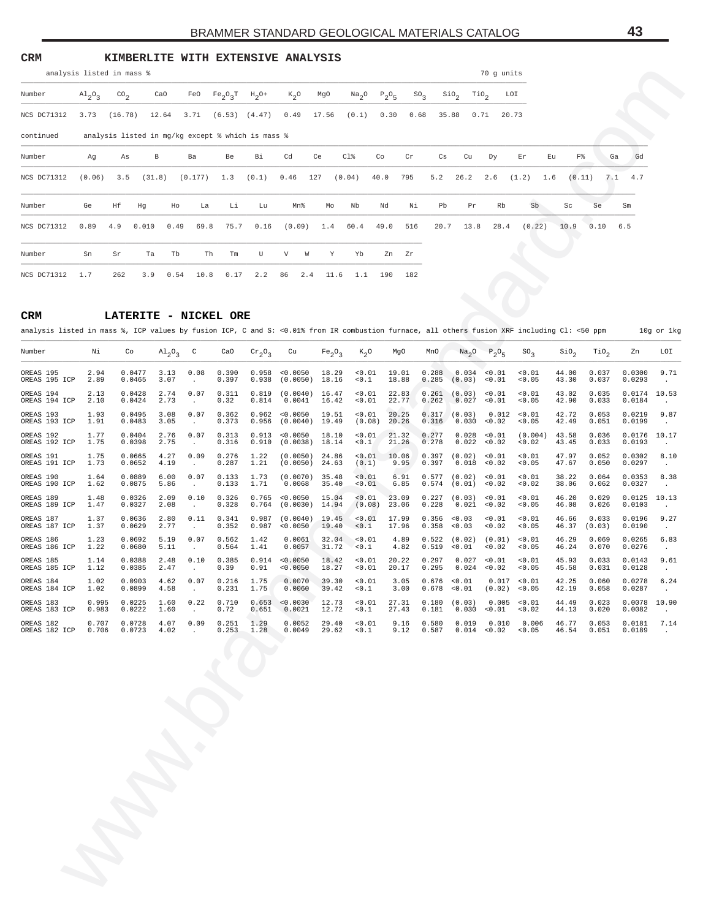### **CRM KIMBERLITE WITH EXTENSIVE ANALYSIS**

|             | analysis listed in mass %       |               |                                                   |      |               |      |                               |                    |             |                        |                  |        |               |                  |      | 70 g units |        |        |      |             |    |
|-------------|---------------------------------|---------------|---------------------------------------------------|------|---------------|------|-------------------------------|--------------------|-------------|------------------------|------------------|--------|---------------|------------------|------|------------|--------|--------|------|-------------|----|
| Number      | $\mathrm{Al}_{2}\mathrm{O}_{3}$ | $\rm{CO}_{2}$ | CaO                                               |      |               |      | FeO $Fe_2O_3T$ $H_2O^+$       | $K_2$ <sup>O</sup> | MgO         |                        | $Na_2O$ $P_2O_5$ | $SO_3$ | $\sin \sigma$ | TiO <sub>2</sub> |      | LOI        |        |        |      |             |    |
| NCS DC71312 | 3.73                            | (16.78)       | 12.64                                             |      |               |      | $3.71$ $(6.53)$ $(4.47)$ 0.49 |                    | 17.56       | (0.1)                  | 0.30             | 0.68   | 35.88         | 0.71             |      | 20.73      |        |        |      |             |    |
| continued   |                                 |               | analysis listed in mg/kg except % which is mass % |      |               |      |                               |                    |             |                        |                  |        |               |                  |      |            |        |        |      |             |    |
| Number      | Ag                              | As            | В                                                 |      | Ba            | Be   | Вi                            | Cd                 | Ce          | $C1\$                  | Co               | Cr     | Cs            | Cu               | Dy   | Er         | Eu     | F%     |      | Ga          | Gd |
| NCS DC71312 | (0.06)                          | 3.5           | (31.8)                                            |      | $(0.177)$ 1.3 |      | $(0.1)$ 0.46                  |                    | 127         | (0.04)                 | 40.0             | 795    | 5.2           | 26.2             | 2.6  | (1.2)      | 1.6    | (0.11) |      | $7.1 \t4.7$ |    |
| Number      | Ge                              | Ηf            | Hg                                                | Ho   | La            | Li   | Lu                            | Mn%                | Mo          | Nb                     | Nd               | Νi     | Pb            | Pr               | Rb   |            | Sb     | Sc     | Se   | Sm          |    |
| NCS DC71312 | 0.89                            | 4.9           | 0.010                                             | 0.49 | 69.8          | 75.7 | 0.16                          |                    |             | $(0.09)$ 1.4 60.4 49.0 |                  | 516    | 20.7          | 13.8             | 28.4 |            | (0.22) | 10.9   | 0.10 | 6.5         |    |
| Number      | Sn                              | Sr            | Ta                                                | Tb   | Th            | Tm   | U                             | V                  | W<br>Y      | Yb                     |                  | Zn Zr  |               |                  |      |            |        |        |      |             |    |
| NCS DC71312 | 1.7                             | 262           | 3.9                                               | 0.54 | 10.8          | 0.17 | 2.2                           | 86                 | 2.4<br>11.6 | 1.1                    | 190              | 182    |               |                  |      |            |        |        |      |             |    |

#### **CRM LATERITE - NICKEL ORE**

| analysis listed in mass %                                                                                                                           |                      |                            |               |                      |                            |                         |                                                   |                                |                                   |                       |                      |                         |                  |                           | 70 g units           |                                                                     |                         |        |                         |                            |                            |
|-----------------------------------------------------------------------------------------------------------------------------------------------------|----------------------|----------------------------|---------------|----------------------|----------------------------|-------------------------|---------------------------------------------------|--------------------------------|-----------------------------------|-----------------------|----------------------|-------------------------|------------------|---------------------------|----------------------|---------------------------------------------------------------------|-------------------------|--------|-------------------------|----------------------------|----------------------------|
| Number                                                                                                                                              | $A1_{2}0_{3}$        | $\text{CO}_2$              | CaO           |                      | FeO                        | $Fe_2O_3T$              | $H_2$ O+                                          | $K_2O$                         | MgO                               | Na <sub>2</sub> O     | $P_2O_5$             | $\text{SO}_3$           | SiO <sub>2</sub> | TiO <sub>2</sub>          |                      | LOI                                                                 |                         |        |                         |                            |                            |
| NCS DC71312                                                                                                                                         | 3.73                 | (16.78)                    | 12.64         |                      | 3.71                       | (6.53)                  | (4.47)                                            | 0.49                           | 17.56                             | (0.1)                 | 0.30                 | 0.68                    | 35.88            | 0.71                      |                      | 20.73                                                               |                         |        |                         |                            |                            |
| continued                                                                                                                                           |                      |                            |               |                      |                            |                         | analysis listed in mg/kg except % which is mass % |                                |                                   |                       |                      |                         |                  |                           |                      |                                                                     |                         |        |                         |                            |                            |
| Number                                                                                                                                              | Αg                   | As                         | В             |                      | Ba                         | Be                      | Вi                                                | Cd                             | Ce                                | Cl%                   | Co<br>Cr             |                         | Сs               | Cu                        | Dу                   | Εr                                                                  | Εu                      | F%     | Ga                      | Gd                         |                            |
| NCS DC71312                                                                                                                                         | (0.06)               | 3.5                        | (31.8)        |                      | (0.177)                    | 1.3                     | (0.1)                                             | 0.46                           | 127                               | (0.04)                | 40.0<br>795          |                         | 5.2              | 26.2                      | 2.6                  | (1.2)                                                               | 1.6                     | (0.11) | 7.1                     | 4.7                        |                            |
| Number                                                                                                                                              | Ge                   | Нf                         | Ηg            | Ho                   | La                         | Li                      | Lu                                                | Mn%                            | Mo                                | Nb                    | Nd                   | Νi                      | Pb               | Pr                        | Rb                   | Sb                                                                  | Sc                      | Se     |                         | Sm                         |                            |
| NCS DC71312                                                                                                                                         | 0.89                 | 4.9                        | 0.010         | 0.49                 | 69.8                       | 75.7                    | 0.16                                              | (0.09)                         | 1.4                               | 60.4                  | 49.0                 | 516                     | 20.7             | 13.8                      | 28.4                 | (0.22)                                                              | 10.9                    | 0.10   |                         | 6.5                        |                            |
| Number                                                                                                                                              | Sn                   | Sr                         | Ta            | Tb                   | Th                         | Tm                      | U                                                 | V<br>W                         | Υ                                 | Yb                    | Ζn<br>Ζr             |                         |                  |                           |                      |                                                                     |                         |        |                         |                            |                            |
| NCS DC71312                                                                                                                                         | 1.7                  | 262                        | 3.9           | 0.54                 | 10.8                       | 0.17                    | 2.2                                               | 86<br>2.4                      | 11.6                              | 1.1                   | 190                  | 182                     |                  |                           |                      |                                                                     |                         |        |                         |                            |                            |
|                                                                                                                                                     |                      |                            |               |                      |                            |                         |                                                   |                                |                                   |                       |                      |                         |                  |                           |                      |                                                                     |                         |        |                         |                            |                            |
| CRM<br>analysis listed in mass %, ICP values by fusion ICP, C and S: <0.01% from IR combustion furnace, all others fusion XRF including Cl: <50 ppm |                      | LATERITE - NICKEL ORE      |               |                      |                            |                         |                                                   |                                |                                   |                       |                      |                         |                  |                           |                      |                                                                     |                         |        |                         |                            | 10g or 1kg                 |
| Number                                                                                                                                              | Νi                   | Co                         |               | $A1_{2}O_{3}$        | C                          | CaO                     | $\rm cr_{2}o_{3}$                                 | Cu                             | Fe <sub>2</sub> O <sub>3</sub>    | $K_{2}O$              | MgO                  | MnO                     |                  | Na <sub>2</sub> O         | $P_2O_5$             | $\text{SO}_3$                                                       | $\sin \theta_2$         |        | TiO <sub>2</sub>        | Zn                         | LOI                        |
| OREAS 195                                                                                                                                           | 2.94                 | 0.0477                     |               | 3.13                 | 0.08                       | 0.390                   | 0.958                                             | 0.0050                         | 18.29                             | 0.01                  | 19.01                | 0.288                   |                  | 0.034                     | 0.01                 | 0.01                                                                | 44.00                   |        | 0.037                   | 0.0300                     | 9.71                       |
| OREAS 195 ICP<br>OREAS 194                                                                                                                          | 2.89<br>2.13         | 0.0465<br>0.0428           |               | 3.07<br>2.74         | $\cdot$<br>0.07            | 0.397<br>0.311          | 0.938<br>0.819                                    | (0.0050)<br>(0.0040)           | 18.16<br>16.47                    | 0.1<br>0.01           | 18.88<br>22.83       | 0.285<br>0.261          |                  | (0.03)<br>(0.03)          | < 0.01<br>< 0.01     | 0.05<br>0.01                                                        | 43.30<br>43.02          |        | 0.037<br>0.035          | 0.0293<br>0.0174           | $\cdot$<br>10.53           |
| OREAS 194 ICP<br>OREAS 193                                                                                                                          | 2.10<br>1.93         | 0.0424<br>0.0495           |               | 2.73<br>3.08         | $\cdot$<br>0.07            | 0.32<br>0.362           | 0.814<br>0.962                                    | 0.0041<br>0.0050               | 16.42<br>19.51                    | 0.01<br>0.01          | 22.77<br>20.25       | 0.262<br>0.317          |                  | 0.027<br>(0.03)           | < 0.01<br>0.012      | 0.05<br>0.01                                                        | 42.90<br>42.72          |        | 0.033<br>0.053          | 0.0184<br>0.0219           | $\cdot$<br>9.87            |
| OREAS 193 ICP<br>OREAS 192                                                                                                                          | 1.91<br>1.77         | 0.0483<br>0.0404           |               | 3.05<br>2.76         | $\cdot$<br>0.07            | 0.373<br>0.313          | 0.956<br>0.913                                    | (0.0040)<br>0.0050             | 19.49<br>18.10                    | (0.08)<br>0.01        | 20.26<br>21.32       | 0.316<br>0.277          |                  | 0.030<br>0.028            | < 0.02<br>< 0.01     | 0.05<br>(0.004)                                                     | 42.49<br>43.58          |        | 0.051<br>0.036          | 0.0199<br>0.0176           | $\cdot$<br>10.17           |
| OREAS 192 ICP<br>OREAS 191                                                                                                                          | 1.75<br>1.75<br>1.73 | 0.0398<br>0.0665<br>0.0652 |               | 2.75<br>4.27<br>4.19 | $\cdot$<br>0.09            | 0.316<br>0.276          | 0.910<br>1.22<br>1.21                             | (0.0038)<br>(0.0050)           | 18.14<br>24.86                    | 30.1<br>0.01          | 21.26<br>10.06       | 0.278<br>0.397          |                  | 0.022<br>(0.02)           | 0.02<br>0.01<br>0.02 | 0.02<br>0.01<br>0.05                                                | 43.45<br>47.97<br>47.67 |        | 0.033<br>0.052<br>0.050 | 0.0193<br>0.0302<br>0.0297 | $\cdot$<br>8.10            |
| OREAS 191 ICP<br>OREAS 190<br>OREAS 190 ICP                                                                                                         | 1.64<br>1.62         | 0.0889<br>0.0875           |               | 6.00<br>5.86         | $\cdot$<br>0.07<br>$\cdot$ | 0.287<br>0.133<br>0.133 | 1.73<br>1.71                                      | (0.0050)<br>(0.0070)<br>0.0068 | 24.63<br>35.48<br>35.40           | (0.1)<br>0.01<br>0.01 | 9.95<br>6.91<br>6.85 | 0.397<br>0.577<br>0.574 |                  | 0.018<br>(0.02)<br>(0.01) | 0.01<br>0.02         | 0.01<br>0.02                                                        | 38.22<br>38.06          |        | 0.064<br>0.062          | 0.0353<br>0.0327           | $\cdot$<br>8.38<br>$\cdot$ |
| OREAS 189<br>OREAS 189 ICP                                                                                                                          | 1.48<br>1.47         | 0.0326<br>0.0327           |               | 2.09<br>2.08         | 0.10<br>$\cdot$            | 0.326<br>0.328          | 0.765<br>0.764                                    | 0.0050<br>(0.0030)             | 15.04<br>14.94                    | 0.01<br>(0.08)        | 23.09<br>23.06       | 0.227<br>0.228          |                  | (0.03)<br>0.021           | 0.01<br>0.02         | 0.01<br>0.05                                                        | 46.20<br>46.08          |        | 0.029<br>0.026          | 0.0125<br>0.0103           | 10.13<br>$\cdot$           |
| OREAS 187<br>OREAS 187 ICP                                                                                                                          | 1.37<br>1.37         | 0.0636<br>0.0629           |               | 2.80<br>2.77         | 0.11<br>$\cdot$            | 0.341<br>0.352          | 0.987<br>0.987                                    | (0.0040)<br>0.0050             | 19.45<br>19.40                    | 0.01<br>0.1           | 17.99<br>17.96       | 0.356<br>0.358          |                  | 0.03<br>0.03              | 0.01<br>0.02         | 0.01<br>0.05                                                        | 46.66<br>46.37          | (0.03) | 0.033                   | 0.0196<br>0.0190           | 9.27<br>$\cdot$            |
| OREAS 186<br>OREAS 186 ICP                                                                                                                          | 1.23<br>1.22         | 0.0692<br>0.0680           |               | 5.19<br>5.11         | 0.07<br>$\cdot$            | 0.562<br>0.564          | 1.42<br>1.41                                      | 0.0061<br>0.0057               | 32.04<br>31.72                    | 0.01<br>50.1          | 4.89<br>4.82         | 0.522<br>0.519          |                  | (0.02)<br>0.01            | (0.01)<br>0.02       | 0.01<br>0.05                                                        | 46.29<br>46.24          |        | 0.069<br>0.070          | 0.0265<br>0.0276           | 6.83<br>$\cdot$            |
| OREAS 185<br>OREAS 185 ICP                                                                                                                          | 1.14<br>1.12         | 0.0388<br>0.0385           |               | 2.48<br>2.47         | 0.10                       | 0.385<br>0.39           | 0.914<br>0.91                                     | 0.0050<br>0.0050               | 18.42<br>18.27                    | 0.01<br>0.01          | 20.22<br>20.17       | 0.297<br>0.295          |                  | 0.027<br>0.024            | < 0.01<br>0.02       | 0.01<br>0.05                                                        | 45.93<br>45.58          |        | 0.033<br>0.031          | 0.0143<br>0.0128           | 9.61<br>$\cdot$            |
| OREAS 184<br>OREAS 184 ICP                                                                                                                          | 1.02<br>1.02         | 0.0903<br>0.0899           |               | 4.62<br>4.58         | 0.07                       | 0.216<br>0.231          | 1.75<br>1.75                                      | 0.0070<br>0.0060               | 39.30<br>39.42                    | < 0.01<br>0.1         | 3.05<br>3.00         | 0.678                   |                  | 0.676 < 0.01<br>0.01      | (0.02)               | 0.017 < 0.01<br>0.05                                                | 42.25<br>42.19          |        | 0.060<br>0.058          | 0.0278<br>0.0287           | 6.24                       |
| OREAS 183<br>OREAS 183 ICP 0.983                                                                                                                    | 0.995                | 0.0222                     | $0.0225$ 1.60 | 1.60                 | 0.22<br>$\sim$             | 0.710<br>0.72           |                                                   | 0.651 0.0021                   | $0.653$ < $0.0030$ 12.73<br>12.72 | < 0.01<br>< 0.1       | 27.31<br>27.43       |                         |                  |                           |                      | $0.180$ $(0.03)$ $0.005$ <0.01<br>$0.181$ $0.030$ < $0.01$ < $0.02$ | 44.49<br>44.13          |        | 0.023<br>0.020          | 0.0078 10.90<br>0.0082     |                            |
| OREAS 182<br>OREAS 182 ICP 0.706                                                                                                                    | 0.707                | 0.0728<br>0.0723           |               | 4.07<br>4.02         | 0.09<br>$\sim$             | 0.251<br>0.253          | 1.29<br>1.28                                      | 0.0052<br>0.0049               | 29.40<br>29.62                    | < 0.01<br>< 0.1       | 9.16<br>9.12         | 0.580                   |                  | 0.019                     | 0.010                | 0.006<br>$0.587$ $0.014$ < $0.02$ < $0.05$                          | 46.77<br>46.54          |        | 0.053<br>0.051          | 0.0181<br>0.0189           | 7.14<br>$\sim$             |
|                                                                                                                                                     |                      |                            |               |                      |                            |                         |                                                   |                                |                                   |                       |                      |                         |                  |                           |                      |                                                                     |                         |        |                         |                            |                            |
|                                                                                                                                                     |                      |                            |               |                      |                            |                         |                                                   |                                |                                   |                       |                      |                         |                  |                           |                      |                                                                     |                         |        |                         |                            |                            |
|                                                                                                                                                     |                      |                            |               |                      |                            |                         |                                                   |                                |                                   |                       |                      |                         |                  |                           |                      |                                                                     |                         |        |                         |                            |                            |
|                                                                                                                                                     |                      |                            |               |                      |                            |                         |                                                   |                                |                                   |                       |                      |                         |                  |                           |                      |                                                                     |                         |        |                         |                            |                            |
|                                                                                                                                                     |                      |                            |               |                      |                            |                         |                                                   |                                |                                   |                       |                      |                         |                  |                           |                      |                                                                     |                         |        |                         |                            |                            |
|                                                                                                                                                     |                      |                            |               |                      |                            |                         |                                                   |                                |                                   |                       |                      |                         |                  |                           |                      |                                                                     |                         |        |                         |                            |                            |
|                                                                                                                                                     |                      |                            |               |                      |                            |                         |                                                   |                                |                                   |                       |                      |                         |                  |                           |                      |                                                                     |                         |        |                         |                            |                            |
|                                                                                                                                                     |                      |                            |               |                      |                            |                         |                                                   |                                |                                   |                       |                      |                         |                  |                           |                      |                                                                     |                         |        |                         |                            |                            |
|                                                                                                                                                     |                      |                            |               |                      |                            |                         |                                                   |                                |                                   |                       |                      |                         |                  |                           |                      |                                                                     |                         |        |                         |                            |                            |
|                                                                                                                                                     |                      |                            |               |                      |                            |                         |                                                   |                                |                                   |                       |                      |                         |                  |                           |                      |                                                                     |                         |        |                         |                            |                            |
|                                                                                                                                                     |                      |                            |               |                      |                            |                         |                                                   |                                |                                   |                       |                      |                         |                  |                           |                      |                                                                     |                         |        |                         |                            |                            |
|                                                                                                                                                     |                      |                            |               |                      |                            |                         |                                                   |                                |                                   |                       |                      |                         |                  |                           |                      |                                                                     |                         |        |                         |                            |                            |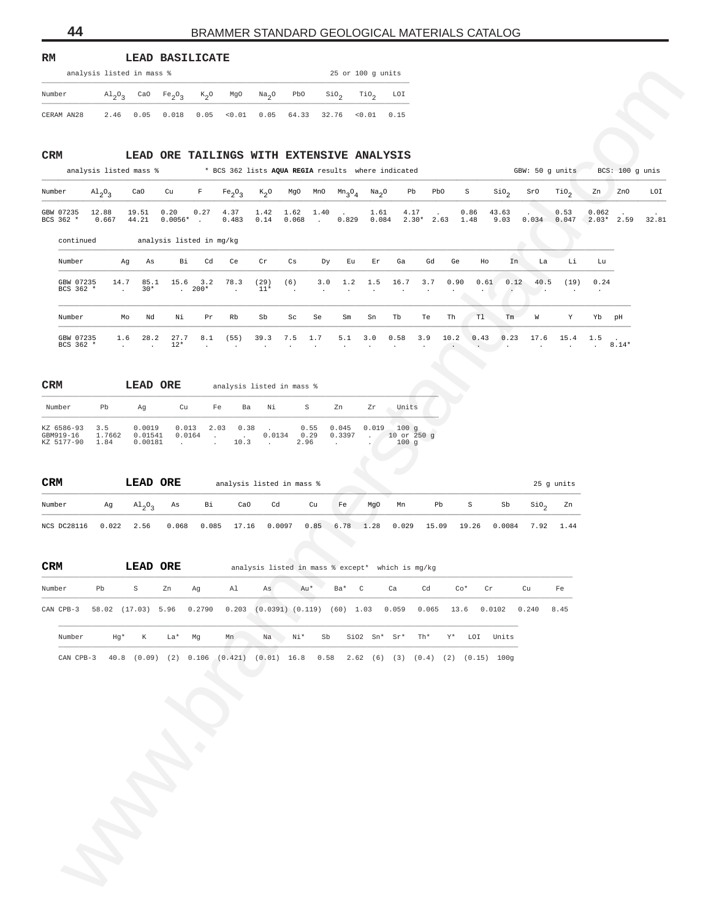| RM | LEAD BASILICATE |
|----|-----------------|
|    |                 |

| analysis listed in mass % |  |  |  |                                                                                                                                                 | $25$ or $100$ q units |  |
|---------------------------|--|--|--|-------------------------------------------------------------------------------------------------------------------------------------------------|-----------------------|--|
| Number                    |  |  |  | $\mathrm{Al}_3\mathrm{O}_3$ CaO Fe <sub>2</sub> O <sub>3</sub> K <sub>2</sub> O MgO Na <sub>2</sub> O PbO SiO <sub>2</sub> TiO <sub>2</sub> LOI |                       |  |
| CERAM AN28                |  |  |  | $2.46$ 0.05 0.018 0.05 < 0.01 0.05 64.33 32.76 < 0.01 0.15                                                                                      |                       |  |

## **CRM LEAD ORE TAILINGS WITH EXTENSIVE ANALYSIS**

|                                                                                                         | analysis listed in mass % |                              |                                           |                                       |                                         |                     |               |                         |                 | 25 or 100 g units |                                                    |         |        |                |                 |                                    |                              |                  |                  |       |
|---------------------------------------------------------------------------------------------------------|---------------------------|------------------------------|-------------------------------------------|---------------------------------------|-----------------------------------------|---------------------|---------------|-------------------------|-----------------|-------------------|----------------------------------------------------|---------|--------|----------------|-----------------|------------------------------------|------------------------------|------------------|------------------|-------|
| Number                                                                                                  | $A1_{2}O_{3}$             | CaO                          | Fe <sub>2</sub> O <sub>3</sub>            | $K_2$ <sup>O</sup>                    | MgO                                     | Na <sub>2</sub> O   | PbO           |                         | $\sin \theta_2$ | TiO <sub>2</sub>  | LOI                                                |         |        |                |                 |                                    |                              |                  |                  |       |
| CERAM AN28                                                                                              | 2.46                      | 0.05                         | 0.018                                     | 0.05                                  | < 0.01                                  | 0.05                | 64.33         |                         | 32.76           | < 0.01            | 0.15                                               |         |        |                |                 |                                    |                              |                  |                  |       |
|                                                                                                         |                           |                              |                                           |                                       |                                         |                     |               |                         |                 |                   |                                                    |         |        |                |                 |                                    |                              |                  |                  |       |
| CRM                                                                                                     |                           |                              | LEAD ORE TAILINGS WITH EXTENSIVE ANALYSIS |                                       |                                         |                     |               |                         |                 |                   |                                                    |         |        |                |                 |                                    |                              |                  |                  |       |
|                                                                                                         | analysis listed mass %    |                              |                                           |                                       |                                         |                     |               |                         |                 |                   | * BCS 362 lists AQUA REGIA results where indicated |         |        |                |                 | GBW: 50 g units                    |                              |                  | BCS: 100 g units |       |
| Number                                                                                                  | $A1_{2}O_{3}$             | CaO                          | Cu                                        | F                                     | Fe <sub>2</sub> O <sub>3</sub>          | $K_{2}O$            | MgO           | MnO                     | $Mn_3O_4$       | Na <sub>2</sub> O | Pb                                                 | PbO     |        | $\rm S$        | $\sin_2$        | SrO                                | $\text{rio}_2$               | Zn               | ZnO              | LOI   |
| GBW 07235<br>BCS 362 *                                                                                  | 12.88<br>0.667            | 19.51<br>44.21               | 0.20<br>$0.0056*$ .                       | 0.27                                  | 4.37<br>0.483                           | 1.42<br>0.14        | 1.62<br>0.068 | 1.40<br>$\sim 10^{-11}$ | 0.829           | 1.61<br>0.084     | 4.17                                               | $2.30*$ | 2.63   | 0.86<br>1.48   | 43.63<br>9.03   | 0.034                              | 0.53<br>0.047                | 0.062<br>$2.03*$ | 2.59             | 32.81 |
| continued                                                                                               |                           |                              | analysis listed in mg/kg                  |                                       |                                         |                     |               |                         |                 |                   |                                                    |         |        |                |                 |                                    |                              |                  |                  |       |
| Number                                                                                                  | Ag                        | As                           | Вi                                        | Cd                                    | Ce                                      | Cr                  | Cs            | Dу                      | Εu              | Εr                | Ga                                                 | Gd      | Ge     | Ho             | In              | La                                 | Li                           | Lu               |                  |       |
| GBW 07235                                                                                               | 14.7                      | 85.1                         | 15.6                                      | 3.2                                   | 78.3                                    | (29)                | (6)           | 3.0                     | 1.2             | 1.5               | 16.7                                               | 3.7     | 0.90   | 0.61           | 0.12            | 40.5                               | (19)                         | 0.24             |                  |       |
| BCS 362 *                                                                                               | $\ddot{\phantom{a}}$      | $30*$                        |                                           | $. 200*$                              | $\ddot{\phantom{a}}$                    | $11*$               |               |                         |                 |                   |                                                    |         |        |                | $\cdot$         |                                    |                              | $\cdot$          |                  |       |
| Number                                                                                                  | Mo                        | Nd                           | Νi                                        | Pr                                    | Rb                                      | Sb                  | Sc            | Se                      | Sm              | Sn                | Tb                                                 | Te      | Th     | T1             | Tm              | W                                  | Υ                            | Yb               | pH               |       |
| GBW 07235<br>BCS 362 *                                                                                  | 1.6<br>$\cdot$            | 28.2<br>$\ddot{\phantom{1}}$ | 27.7<br>$12*$                             | 8.1                                   | (55)                                    | 39.3                | 7.5           | 1.7                     | 5.1             | 3.0               | 0.58                                               | 3.9     | 10.2   | 0.43           | 0.23<br>$\cdot$ | 17.6                               | 15.4<br>$\ddot{\phantom{a}}$ | 1.5<br>$\sim$    | $8.14*$          |       |
|                                                                                                         |                           |                              |                                           |                                       |                                         |                     |               |                         |                 |                   |                                                    |         |        |                |                 |                                    |                              |                  |                  |       |
| $_{\tt CRM}$                                                                                            |                           | LEAD ORE                     |                                           |                                       | analysis listed in mass %               |                     |               |                         |                 |                   |                                                    |         |        |                |                 |                                    |                              |                  |                  |       |
|                                                                                                         |                           |                              |                                           |                                       |                                         |                     |               |                         |                 |                   |                                                    |         |        |                |                 |                                    |                              |                  |                  |       |
| Number                                                                                                  | Pb                        | Ag                           | Cu                                        |                                       | Fe<br>Ba                                | Νi                  |               | S                       | Zn              | Zr                | Units                                              |         |        |                |                 |                                    |                              |                  |                  |       |
| KZ 6586-93<br>GBM919-16<br>KZ 5177-90                                                                   | 3.5<br>1.7662<br>1.84     | 0.0019<br>0.01541<br>0.00181 | 0.013<br>0.0164<br>$\sim$                 | $\sim 10^{-1}$<br>$\mathcal{L}^{\pm}$ | 2.03<br>0.38<br><b>Contract</b><br>10.3 | 0.0134<br>$\sim 10$ | 0.29<br>2.96  | 0.55                    | 0.045<br>0.3397 | 0.019<br>$\sim$   | 100g<br>10 or 250 g<br>100g                        |         |        |                |                 |                                    |                              |                  |                  |       |
|                                                                                                         |                           |                              |                                           |                                       |                                         |                     |               |                         |                 |                   |                                                    |         |        |                |                 |                                    |                              |                  |                  |       |
|                                                                                                         |                           |                              |                                           |                                       |                                         |                     |               |                         |                 |                   |                                                    |         |        |                |                 |                                    |                              |                  |                  |       |
| CRM                                                                                                     |                           | LEAD ORE                     |                                           |                                       | analysis listed in mass %               |                     |               |                         |                 |                   |                                                    |         |        |                |                 |                                    | 25 g units                   |                  |                  |       |
| Number                                                                                                  | Ag                        | $A1_{2}O_{3}$                | As                                        | Вi                                    | CaO                                     | Cd                  |               | Cu                      | Fe              | MgO               | Mn                                                 | Pb      |        | $\mbox{\bf S}$ | Sb              | $\mathop{\mathsf{Si0}}\nolimits_2$ | Zn                           |                  |                  |       |
| NCS DC28116                                                                                             | 0.022                     | 2.56                         | 0.068                                     | 0.085                                 | 17.16                                   |                     | 0.0097        | 0.85                    |                 | 6.78 1.28         | 0.029                                              | 15.09   |        | 19.26          | 0.0084          | 7.92                               | 1.44                         |                  |                  |       |
|                                                                                                         |                           |                              |                                           |                                       |                                         |                     |               |                         |                 |                   |                                                    |         |        |                |                 |                                    |                              |                  |                  |       |
| <b>CRM</b>                                                                                              |                           | LEAD ORE                     |                                           |                                       |                                         |                     |               |                         |                 |                   | analysis listed in mass % except* which is mg/kg   |         |        |                |                 |                                    |                              |                  |                  |       |
| Number                                                                                                  | Pb                        | S                            | Zn                                        | Ag                                    |                                         | Al As               | Au*           |                         | Ba* C           |                   | Ca                                                 |         | Cd Co* | Cr             |                 | Cu                                 | Fe                           |                  |                  |       |
| CAN CPB-3 58.02 (17.03) 5.96 0.2790 0.203 (0.0391) (0.119) (60) 1.03 0.059 0.065 13.6 0.0102 0.240 8.45 |                           |                              |                                           |                                       |                                         |                     |               |                         |                 |                   |                                                    |         |        |                |                 |                                    |                              |                  |                  |       |
|                                                                                                         |                           |                              |                                           |                                       |                                         |                     |               |                         |                 |                   |                                                    |         |        |                |                 |                                    |                              |                  |                  |       |
| Number                                                                                                  | Hg*                       | K                            | La* Mg                                    |                                       |                                         | Mn Na $Ni*$         |               | Sb                      |                 | Si02 $Sn*$ $Sr*$  |                                                    | Th*     |        | Y* LOI Units   |                 |                                    |                              |                  |                  |       |
| CAN CPB-3 40.8 (0.09) (2) 0.106 (0.421) (0.01) 16.8 0.58 2.62 (6) (3) (0.4) (2) (0.15) 100g             |                           |                              |                                           |                                       |                                         |                     |               |                         |                 |                   |                                                    |         |        |                |                 |                                    |                              |                  |                  |       |
|                                                                                                         |                           |                              |                                           |                                       |                                         |                     |               |                         |                 |                   |                                                    |         |        |                |                 |                                    |                              |                  |                  |       |
|                                                                                                         |                           |                              |                                           |                                       |                                         |                     |               |                         |                 |                   |                                                    |         |        |                |                 |                                    |                              |                  |                  |       |
|                                                                                                         |                           |                              |                                           |                                       |                                         |                     |               |                         |                 |                   |                                                    |         |        |                |                 |                                    |                              |                  |                  |       |
|                                                                                                         |                           |                              |                                           |                                       |                                         |                     |               |                         |                 |                   |                                                    |         |        |                |                 |                                    |                              |                  |                  |       |
|                                                                                                         |                           |                              |                                           |                                       |                                         |                     |               |                         |                 |                   |                                                    |         |        |                |                 |                                    |                              |                  |                  |       |
|                                                                                                         |                           |                              |                                           |                                       |                                         |                     |               |                         |                 |                   |                                                    |         |        |                |                 |                                    |                              |                  |                  |       |
|                                                                                                         |                           |                              |                                           |                                       |                                         |                     |               |                         |                 |                   |                                                    |         |        |                |                 |                                    |                              |                  |                  |       |
|                                                                                                         |                           |                              |                                           |                                       |                                         |                     |               |                         |                 |                   |                                                    |         |        |                |                 |                                    |                              |                  |                  |       |
|                                                                                                         |                           |                              |                                           |                                       |                                         |                     |               |                         |                 |                   |                                                    |         |        |                |                 |                                    |                              |                  |                  |       |
|                                                                                                         |                           |                              |                                           |                                       |                                         |                     |               |                         |                 |                   |                                                    |         |        |                |                 |                                    |                              |                  |                  |       |
|                                                                                                         |                           |                              |                                           |                                       |                                         |                     |               |                         |                 |                   |                                                    |         |        |                |                 |                                    |                              |                  |                  |       |
|                                                                                                         |                           |                              |                                           |                                       |                                         |                     |               |                         |                 |                   |                                                    |         |        |                |                 |                                    |                              |                  |                  |       |
|                                                                                                         |                           |                              |                                           |                                       |                                         |                     |               |                         |                 |                   |                                                    |         |        |                |                 |                                    |                              |                  |                  |       |

| <b>CRM</b>                            |                       | LEAD ORE                     |                 |      |              | analysis listed in mass % |                      |                 |                  |                                         |
|---------------------------------------|-----------------------|------------------------------|-----------------|------|--------------|---------------------------|----------------------|-----------------|------------------|-----------------------------------------|
| Number                                | Pb                    | Αq                           | Cu              | Fe   | Ba           | Νi                        | S.                   | Zn              | Zr               | Units                                   |
| KZ 6586-93<br>GBM919-16<br>KZ 5177-90 | 3.5<br>1.7662<br>1.84 | 0.0019<br>0.01541<br>0.00181 | 0.013<br>0.0164 | 2.03 | 0.38<br>10.3 | 0.0134                    | 0.55<br>0.29<br>2.96 | 0.045<br>0.3397 | 0.019<br>$\cdot$ | $100 \sigma$<br>$10$ or $250$ q<br>100q |

| <b>CRM</b>  |              | LEAD ORE                           |       |    |     | analysis listed in mass % |    |    |     |                            |    |          |                    |                  | 25 q units |
|-------------|--------------|------------------------------------|-------|----|-----|---------------------------|----|----|-----|----------------------------|----|----------|--------------------|------------------|------------|
| Number      | Ag           | $\mathrm{Al}_{2}\mathrm{O}_{2}$ As |       | Bi | CaO | <b>Cd</b>                 | Cu | Fe | MgO | Mn                         | Pb | <b>S</b> | Sb                 | SiO <sub>2</sub> | Zn         |
| NCS DC28116 | $0.022$ 2.56 |                                    | 0.068 |    |     | $0.085$ 17.16 0.0097      |    |    |     | 0.85 6.78 1.28 0.029 15.09 |    | 19.26    | $0.0084$ 7.92 1.44 |                  |            |

| <b>CRM</b> |    |            | LEAD ORE |    |    | analysis listed in mass % except* which is mq/kq           |     |     |              |              |     |       |                             |       |      |
|------------|----|------------|----------|----|----|------------------------------------------------------------|-----|-----|--------------|--------------|-----|-------|-----------------------------|-------|------|
| Number     | Pb | S          | Zn       | Aq | Al | As                                                         | Au* | Ba* | $\mathbb{C}$ | Ca           | Cd  | $Co*$ | Cr                          | Cu    | Fe   |
| CAN CPB-3  |    |            |          |    |    | 58.02 (17.03) 5.96 0.2790 0.203 (0.0391) (0.119) (60) 1.03 |     |     |              |              |     |       | $0.059$ $0.065$ 13.6 0.0102 | 0.240 | 8.45 |
| Number     |    | K<br>$Hq*$ | La*      | Mq | Mn | Na                                                         | Ni* | Sb  |              | SiO2 Sn* Sr* | Th* | y*    | Units<br>T.OT               |       |      |
|            |    |            |          |    |    |                                                            |     |     |              |              |     |       |                             |       |      |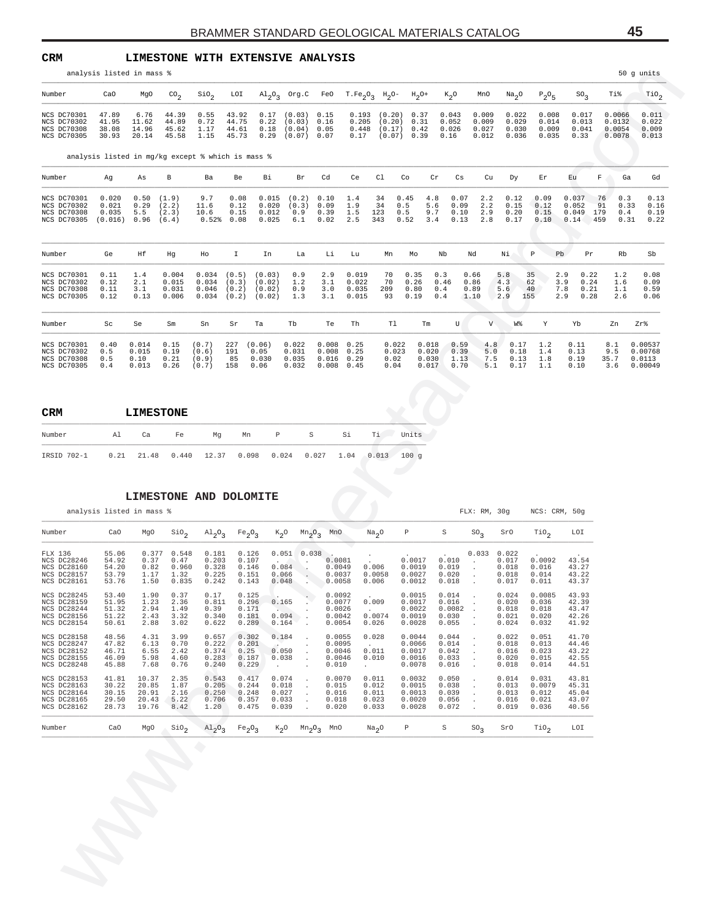**CRM LIMESTONE WITH EXTENSIVE ANALYSIS**

| Number                                                                                                                                                                                                                        | CaO                                       | MgO                                       | $\text{CO}_2$                                                                    | $\sin \frac{\pi}{2}$                                       | LOI                              |                                                                             |                                                                                                |                                          |                                                                  | $\mathrm{Al}_{2}\mathrm{O}_{3}$ Org.C FeO T.Fe <sub>2</sub> O <sub>3</sub> H <sub>2</sub> O- H <sub>2</sub> O+ |                                                | $K_{2}O$                                                 | MnO                              | Na <sub>2</sub> O                         | $P_2O_5$                                                         | $SO_{2}$                                                 | Ti%                                                  | $\text{rio}_2$                          |
|-------------------------------------------------------------------------------------------------------------------------------------------------------------------------------------------------------------------------------|-------------------------------------------|-------------------------------------------|----------------------------------------------------------------------------------|------------------------------------------------------------|----------------------------------|-----------------------------------------------------------------------------|------------------------------------------------------------------------------------------------|------------------------------------------|------------------------------------------------------------------|----------------------------------------------------------------------------------------------------------------|------------------------------------------------|----------------------------------------------------------|----------------------------------|-------------------------------------------|------------------------------------------------------------------|----------------------------------------------------------|------------------------------------------------------|-----------------------------------------|
| NCS DC70301<br>NCS DC70302<br>NCS DC70308<br>NCS DC70305                                                                                                                                                                      | 47.89<br>41.95<br>38.08<br>30.93          | 6.76<br>11.62<br>14.96<br>20.14           | 44.39<br>44.89<br>45.62<br>45.58                                                 | 0.55<br>0.72<br>1.17<br>1.15                               | 43.92<br>44.75<br>44.61<br>45.73 | 0.17<br>0.22<br>0.18<br>0.29                                                | (0.03)<br>(0.03)<br>(0.04)<br>$(0.07)$ 0.07                                                    | 0.15<br>0.16<br>0.05                     | 0.193<br>0.205<br>0.448<br>0.17                                  | (0.20)<br>(0.20)<br>(0.17)<br>(0.07)                                                                           | 0.37<br>0.31<br>0.42<br>0.39                   | 0.043<br>0.052<br>0.026<br>0.16                          | 0.009<br>0.009<br>0.027<br>0.012 | 0.022<br>0.029<br>0.030<br>0.036          | 0.008<br>0.014<br>0.009<br>0.035                                 | 0.017<br>0.013<br>0.041<br>0.33                          | 0.0066<br>0.0132<br>0.0054<br>0.0078                 | 0.011<br>0.022<br>0.009<br>0.013        |
| analysis listed in mg/kg except % which is mass %                                                                                                                                                                             |                                           |                                           |                                                                                  |                                                            |                                  |                                                                             |                                                                                                |                                          |                                                                  |                                                                                                                |                                                |                                                          |                                  |                                           |                                                                  |                                                          |                                                      |                                         |
| Number                                                                                                                                                                                                                        | Αg                                        | As                                        | В                                                                                | Ba                                                         | Be                               | Вi                                                                          | Br                                                                                             | Cd                                       | Ce                                                               | C1                                                                                                             | Co                                             | Cr<br>Cs                                                 | Cu                               | Dy                                        | Εr                                                               | Εu                                                       | F<br>Ga                                              | Gd                                      |
| NCS DC70301<br>NCS DC70302<br>NCS DC70308<br>NCS DC70305                                                                                                                                                                      | 0.020<br>0.021<br>0.035<br>(0.016)        | 0.50<br>0.29<br>5.5<br>0.96               | (1.9)<br>(2.2)<br>(2.3)<br>(6.4)                                                 | 9.7<br>11.6<br>10.6<br>0.52%                               | 0.08<br>0.12<br>0.15<br>0.08     | 0.015<br>0.020<br>0.012<br>0.025                                            | (0.2)<br>(0.3)<br>0.9<br>6.1                                                                   | 0.10<br>0.09<br>0.39<br>0.02             | 1.4<br>1.9<br>1.5<br>2.5                                         | 34<br>34<br>123<br>343                                                                                         | 0.45<br>0.5<br>0.5<br>0.52                     | 4.8<br>0.07<br>5.6<br>0.09<br>9.7<br>0.10<br>3.4<br>0.13 | 2.2<br>2.2<br>2.9<br>2.8         | 0.12<br>0.15<br>0.20<br>0.17              | 0.09<br>0.12<br>0.15<br>0.10                                     | 0.037<br>0.052<br>0.049<br>0.14                          | 76<br>0.3<br>91<br>0.33<br>179<br>0.4<br>459<br>0.31 | 0.13<br>0.16<br>0.19<br>0.22            |
| Number                                                                                                                                                                                                                        | Ge                                        | Ηf                                        | Ηg                                                                               | Ho                                                         | Ι.                               | In                                                                          | La                                                                                             | Li                                       | Lu                                                               | Mn                                                                                                             | Mo                                             | Nb                                                       | Nd                               | Νi                                        | $\, {\mathbb P}$                                                 | Pb<br>Pr                                                 | Rb                                                   | Sb                                      |
| NCS DC70301<br>NCS DC70302<br>NCS DC70308<br>NCS DC70305                                                                                                                                                                      | 0.11<br>0.12<br>0.11<br>0.12              | 1.4<br>2.1<br>3.1<br>0.13                 | 0.004<br>0.015<br>0.031<br>0.006                                                 | 0.034<br>0.034<br>0.046<br>0.034                           | (0.5)<br>(0.3)<br>(0.2)<br>(0.2) | (0.03)<br>(0.02)<br>(0.02)<br>(0.02)                                        | 0.9<br>1.2<br>0.9<br>1.3                                                                       | 2.9<br>3.1<br>3.0<br>3.1                 | 0.019<br>0.022<br>0.035<br>0.015                                 | 70<br>70<br>209<br>93                                                                                          | 0.35<br>0.26<br>0.80<br>0.19                   | 0.3<br>0.46<br>0.4<br>0.4                                | 0.66<br>0.86<br>0.89<br>1.10     | 5.8<br>4.3<br>5.6<br>2.9                  | 35<br>62<br>40<br>155                                            | 2.9<br>0.22<br>3.9<br>0.24<br>7.8<br>0.21<br>2.9<br>0.28 | 1.2<br>1.6<br>1.1<br>2.6                             | 0.08<br>0.09<br>0.59<br>0.06            |
| Number                                                                                                                                                                                                                        | Sc                                        | Se                                        | Sm                                                                               | Sn                                                         | Sr                               | Ta                                                                          | Тb                                                                                             | Te                                       | Th                                                               | T1                                                                                                             | $\rm{Tm}$                                      | U                                                        | V                                | W%                                        | Y                                                                | Yb                                                       | Zn                                                   | Zr%                                     |
| NCS DC70301<br>NCS DC70302<br>NCS DC70308                                                                                                                                                                                     | 0.40<br>0.5<br>0.5<br>0.4                 | 0.014<br>0.015<br>0.10<br>0.013           | 0.15<br>0.19<br>0.21<br>0.26                                                     | (0.7)<br>(0.6)<br>(0.9)<br>(0.7)                           | 227<br>191<br>85<br>158          | (0.06)<br>0.05<br>0.030<br>0.06                                             | 0.022<br>0.031<br>0.035<br>0.032                                                               | 0.008<br>0.008<br>0.016<br>0.008         | 0.25<br>0.25<br>0.29<br>0.45                                     | 0.022<br>0.023<br>0.02<br>0.04                                                                                 | 0.018<br>0.020<br>0.030<br>0.017               | 0.59<br>0.39<br>1.13<br>0.70                             | 4.8<br>5.0<br>7.5<br>5.1         | 0.17<br>0.18<br>0.13<br>0.17              | 1.2<br>1.4<br>1.8<br>1.1                                         | 0.11<br>0.13<br>0.19<br>0.10                             | 8.1<br>9.5<br>35.7<br>3.6                            | 0.00537<br>0.00768<br>0.0113<br>0.00049 |
| NCS DC70305                                                                                                                                                                                                                   |                                           |                                           |                                                                                  |                                                            |                                  |                                                                             |                                                                                                |                                          |                                                                  |                                                                                                                |                                                |                                                          |                                  |                                           |                                                                  |                                                          |                                                      |                                         |
| CRM                                                                                                                                                                                                                           |                                           | <b>LIMESTONE</b>                          |                                                                                  |                                                            |                                  |                                                                             |                                                                                                |                                          |                                                                  |                                                                                                                |                                                |                                                          |                                  |                                           |                                                                  |                                                          |                                                      |                                         |
|                                                                                                                                                                                                                               | Al<br>0.21                                | Ca<br>21.48                               | Fe<br>0.440                                                                      | Mg<br>12.37                                                |                                  | P<br>Mn<br>0.098                                                            | 0.024                                                                                          | S<br>0.027                               | Si<br>1.04                                                       | Ti l<br>$0.013 - 100$ g                                                                                        | Units                                          |                                                          |                                  |                                           |                                                                  |                                                          |                                                      |                                         |
|                                                                                                                                                                                                                               |                                           |                                           |                                                                                  |                                                            |                                  | LIMESTONE AND DOLOMITE                                                      |                                                                                                |                                          |                                                                  |                                                                                                                |                                                |                                                          |                                  |                                           |                                                                  |                                                          |                                                      |                                         |
| analysis listed in mass %                                                                                                                                                                                                     | CaO                                       | MgO                                       |                                                                                  |                                                            |                                  |                                                                             | $K_2O$                                                                                         | MnO                                      |                                                                  | Na <sub>2</sub> O                                                                                              | $\mathbb P$                                    | $\rm S$                                                  | FLX: RM, 30g                     | SrO                                       | NCS: CRM, 50g                                                    | LOI                                                      |                                                      |                                         |
| Number<br>IRSID 702-1<br>Number<br>FLX 136<br>NCS DC28246<br>NCS DC28160<br>NCS DC28157<br>NCS DC28161                                                                                                                        | 55.06<br>54.92<br>54.20<br>53.79<br>53.76 | 0.377<br>0.37<br>0.82<br>1.17<br>1.50     | $\overline{\text{S}}$ 10 <sub>2</sub><br>0.548<br>0.47<br>0.960<br>1.32<br>0.835 | $A1_{2}0_{3}$<br>0.181<br>0.203<br>0.328<br>0.225<br>0.242 |                                  | Fe <sub>2</sub> O <sub>3</sub><br>0.126<br>0.107<br>0.146<br>0.151<br>0.143 | 0.051<br><b>Contract Contract</b><br>$\sim$<br>0.084<br>0.066<br>$\ddot{\phantom{0}}$<br>0.048 | $Mn2$ <sup>O</sup> <sub>3</sub><br>0.038 | 0.0081<br>0.0049<br>0.0037<br>0.0058                             | 0.006<br>0.0058<br>0.006                                                                                       | 0.0017<br>0.0019<br>0.0027<br>0.0012           | 0.010<br>0.019<br>0.020<br>0.018                         | $SO_3$<br>0.033<br>$\cdot$       | 0.022<br>0.017<br>0.018<br>0.018<br>0.017 | $\overline{\mathsf{rio}}_2$<br>0.0092<br>0.016<br>0.014<br>0.011 | 43.54<br>43.27<br>43.22<br>43.37                         |                                                      |                                         |
|                                                                                                                                                                                                                               | 53.40<br>51.95<br>51.32<br>51.22<br>50.61 | 1.90<br>1.23<br>2.94<br>2.43<br>2.88      | 0.37<br>2.36<br>1.49<br>3.32<br>3.02                                             | 0.17<br>0.811<br>0.39<br>0.340<br>0.622                    |                                  | 0.125<br>0.296<br>0.171<br>0.181<br>0.289                                   | 0.165<br>0.094<br>0.164                                                                        |                                          | 0.0092<br>0.0077<br>0.0026<br>0.0042<br>0.0054                   | 0.009<br>0.0074<br>0.026                                                                                       | 0.0015<br>0.0017<br>0.0022<br>0.0019<br>0.0028 | 0.014<br>0.016<br>0.0082<br>0.030<br>0.055               |                                  | 0.024<br>0.020<br>0.018<br>0.021<br>0.024 | 0.0085<br>0.036<br>0.018<br>0.020<br>0.032                       | 43.93<br>42.39<br>43.47<br>42.26<br>41.92                |                                                      |                                         |
|                                                                                                                                                                                                                               | 48.56<br>47.82<br>46.71<br>46.09<br>45.88 | 4.31<br>6.13<br>6.55<br>5.98<br>7.68      | 3.99<br>0.70<br>2.42<br>4.60<br>0.76                                             | 0.657<br>0.222<br>0.374<br>0.283<br>0.240                  |                                  | 0.302<br>0.201<br>0.25<br>0.187<br>0.229<br>$\cdot$                         | 0.184<br>0.050<br>$\cdot$<br>0.038<br>$\cdot$                                                  | 0.010                                    | 0.0055<br>0.0095<br>0.0046<br>0.0046<br>$\overline{\phantom{a}}$ | 0.028<br>0.011<br>0.010                                                                                        | 0.0044<br>0.0066<br>0.0017<br>0.0016<br>0.0078 | 0.044<br>0.014<br>0.042<br>0.033<br>0.016                |                                  | 0.022<br>0.018<br>0.016<br>0.020<br>0.018 | 0.051<br>0.013<br>0.023<br>0.015<br>0.014                        | 41.70<br>44.46<br>43.22<br>42.55<br>44.51                |                                                      |                                         |
| NCS DC28245<br>NCS DC28159<br>NCS DC28244<br>NCS DC28156<br>NCS DC28154<br>NCS DC28158<br>NCS DC28247<br>NCS DC28152<br>NCS DC28155<br>NCS DC28248<br>NCS DC28153<br>NCS DC28163<br>NCS DC28164<br>NCS DC28165<br>NCS DC28162 | 41.81<br>30.22<br>30.15<br>29.50<br>28.73 | 10.37<br>20.85<br>20.91<br>20.43<br>19.76 | 2.35<br>1.87<br>2.16<br>5.22<br>8.42                                             | 0.543<br>0.205<br>0.250<br>0.706<br>1.20                   |                                  | 0.417<br>0.244<br>0.248<br>0.357<br>0.475                                   | 0.074<br>0.018<br>0.027<br>0.033<br>$\cdot$<br>0.039                                           | 0.015<br>0.016<br>0.018<br>0.020         | 0.0070                                                           | 0.011<br>0.012<br>0.011<br>0.023<br>0.033                                                                      | 0.0032<br>0.0015<br>0.0013<br>0.0020<br>0.0028 | 0.050<br>0.038<br>0.039<br>0.056<br>0.072                | $\cdot$<br>$\cdot$               | 0.014<br>0.013<br>0.013<br>0.016<br>0.019 | 0.031<br>0.0079<br>0.012<br>0.021<br>0.036                       | 43.81<br>45.31<br>45.04<br>43.07<br>40.56                |                                                      |                                         |

| <b>CRM</b>  |    | <b>LIMESTONE</b> |    |    |    |   |     |    |                                                               |       |
|-------------|----|------------------|----|----|----|---|-----|----|---------------------------------------------------------------|-------|
| Number      | Al | Ca               | Fe | Ma | Mn | Ρ | S S | Si | Τi                                                            | Units |
| IRSID 702-1 |    |                  |    |    |    |   |     |    | $0.21$ 21.48 $0.440$ 12.37 0.098 0.024 0.027 1.04 0.013 100 q |       |

#### **LIMESTONE AND DOLOMITE**

|                                                                                              |                                           | analysis listed in mass %                 |                                         |                                           |                                                            |                                           |                                      |                                                |                                                           |                                                |                                            | FLX: RM, 30q    |                                           | NCS: CRM, 50q                              |                                           |
|----------------------------------------------------------------------------------------------|-------------------------------------------|-------------------------------------------|-----------------------------------------|-------------------------------------------|------------------------------------------------------------|-------------------------------------------|--------------------------------------|------------------------------------------------|-----------------------------------------------------------|------------------------------------------------|--------------------------------------------|-----------------|-------------------------------------------|--------------------------------------------|-------------------------------------------|
| Number                                                                                       | CaO                                       | MgO                                       | SiO <sub>2</sub>                        |                                           | $\mathrm{Al}_2\mathrm{O}_3$ Fe <sub>2</sub> O <sub>2</sub> |                                           | $K_2O$ $Mn_2O_3$                     | MnO                                            | Na <sub>2</sub> O                                         | Ρ                                              | S                                          | SO <sub>2</sub> | SrO                                       | TiO <sub>2</sub>                           | LOI                                       |
| FLX 136<br>NCS DC28246<br><b>NCS DC28160</b><br>NCS DC28157<br><b>NCS DC28161</b>            | 55.06<br>54.92<br>54.20<br>53.79<br>53.76 | 0.377<br>0.37<br>0.82<br>1.17<br>1.50     | 0.548<br>0.47<br>0.960<br>1.32<br>0.835 | 0.181<br>0.203<br>0.328<br>0.225<br>0.242 | 0.126<br>0.107<br>0.146<br>0.151<br>0.143                  | 0.084<br>0.066<br>0.048                   | $0.051$ $0.038$                      | $\sim$<br>0.0081<br>0.0049<br>0.0037<br>0.0058 | $\cdot$<br>0.006<br>0.0058<br>0.006                       | 0.0017<br>0.0019<br>0.0027<br>0.0012           | 0.010<br>0.019<br>0.020<br>0.018           | 0.033           | 0.022<br>0.017<br>0.018<br>0.018<br>0.017 | 0.0092<br>0.016<br>0.014<br>0.011          | 43.54<br>43.27<br>43.22<br>43.37          |
| NCS DC28245<br>NCS DC28159<br>NCS DC28244<br><b>NCS DC28156</b><br><b>NCS DC28154</b>        | 53.40<br>51.95<br>51.32<br>51.22<br>50.61 | 1.90<br>1.23<br>2.94<br>2.43<br>2.88      | 0.37<br>2.36<br>1.49<br>3.32<br>3.02    | 0.17<br>0.811<br>0.39<br>0.340<br>0.622   | 0.125<br>0.296<br>0.171<br>0.181<br>0.289                  | 0.165<br>0.094<br>0.164                   |                                      | 0.0092<br>0.0077<br>0.0026<br>0.0042<br>0.0054 | $\sim$ $-$<br>0.009<br>$\sim$<br>0.0074<br>0.026          | 0.0015<br>0.0017<br>0.0022<br>0.0019<br>0.0028 | 0.014<br>0.016<br>0.0082<br>0.030<br>0.055 |                 | 0.024<br>0.020<br>0.018<br>0.021<br>0.024 | 0.0085<br>0.036<br>0.018<br>0.020<br>0.032 | 43.93<br>42.39<br>43.47<br>42.26<br>41.92 |
| <b>NCS DC28158</b><br>NCS DC28247<br><b>NCS DC28152</b><br><b>NCS DC28155</b><br>NCS DC28248 | 48.56<br>47.82<br>46.71<br>46.09<br>45.88 | 4.31<br>6.13<br>6.55<br>5.98<br>7.68      | 3.99<br>0.70<br>2.42<br>4.60<br>0.76    | 0.657<br>0.222<br>0.374<br>0.283<br>0.240 | 0.302<br>0.201<br>0.25<br>0.187<br>0.229                   | 0.184<br>0.050<br>0.038                   | $\mathbf{r}$<br>$\ddot{\phantom{a}}$ | 0.0055<br>0.0095<br>0.0046<br>0.0046<br>0.010  | 0.028<br>$\ddot{\phantom{a}}$<br>0.011<br>0.010<br>$\sim$ | 0.0044<br>0.0066<br>0.0017<br>0.0016<br>0.0078 | 0.044<br>0.014<br>0.042<br>0.033<br>0.016  |                 | 0.022<br>0.018<br>0.016<br>0.020<br>0.018 | 0.051<br>0.013<br>0.023<br>0.015<br>0.014  | 41.70<br>44.46<br>43.22<br>42.55<br>44.51 |
| NCS DC28153<br><b>NCS DC28163</b><br>NCS DC28164<br><b>NCS DC28165</b><br><b>NCS DC28162</b> | 41.81<br>30.22<br>30.15<br>29.50<br>28.73 | 10.37<br>20.85<br>20.91<br>20.43<br>19.76 | 2.35<br>1.87<br>2.16<br>5.22<br>8.42    | 0.543<br>0.205<br>0.250<br>0.706<br>1.20  | 0.417<br>0.244<br>0.248<br>0.357<br>0.475                  | 0.074<br>0.018<br>0.027<br>0.033<br>0.039 | $\mathbf{r}$<br>$\mathbf{r}$         | 0.0070<br>0.015<br>0.016<br>0.018<br>0.020     | 0.011<br>0.012<br>0.011<br>0.023<br>0.033                 | 0.0032<br>0.0015<br>0.0013<br>0.0020<br>0.0028 | 0.050<br>0.038<br>0.039<br>0.056<br>0.072  |                 | 0.014<br>0.013<br>0.013<br>0.016<br>0.019 | 0.031<br>0.0079<br>0.012<br>0.021<br>0.036 | 43.81<br>45.31<br>45.04<br>43.07<br>40.56 |
| Number                                                                                       | CaO                                       | MqO                                       | $\rm SiO_{2}$                           | $A1_2O_3$                                 | $Fe_2O_3$                                                  |                                           | $K_2O$ $Mn_2O_3$ $MnO$               |                                                | Na <sub>2</sub> O                                         | Ρ                                              | S                                          | SO <sub>2</sub> | SrO                                       | TiO <sub>2</sub>                           | LOI                                       |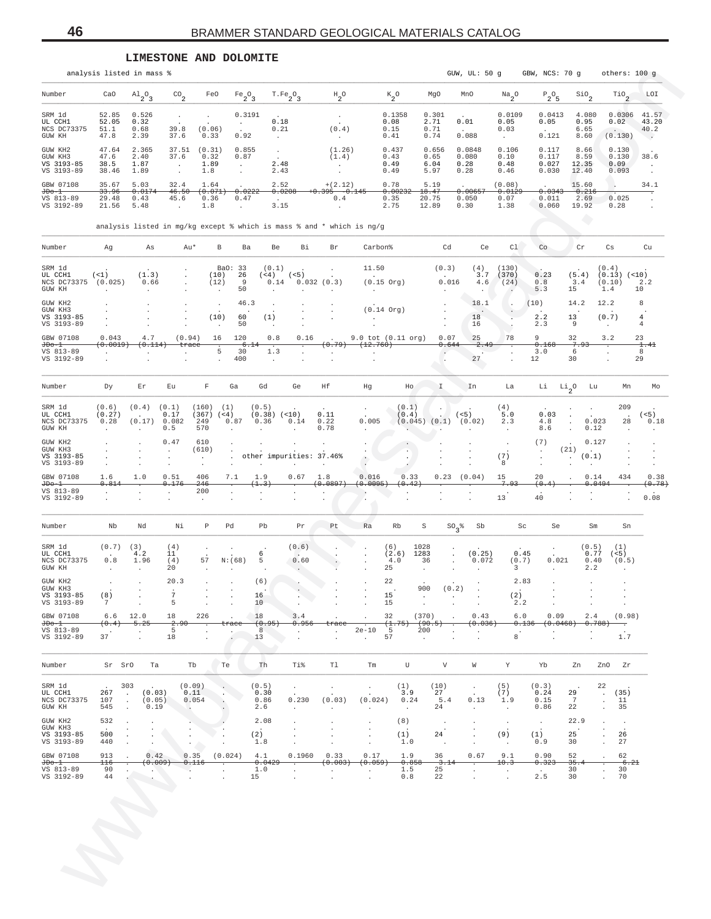#### **LIMESTONE AND DOLOMITE**

|                                                 |                                | analysis listed in mass %                                                          |                                                  |                                                        |                                                   |                                                |                                                  |                                               |                                          |                                               |                                                            | GUW, UL: 50 g                        |                                                                 | GBW, NCS: 70 g                                |                                              |                                                                                 | others: 100 g                                      |
|-------------------------------------------------|--------------------------------|------------------------------------------------------------------------------------|--------------------------------------------------|--------------------------------------------------------|---------------------------------------------------|------------------------------------------------|--------------------------------------------------|-----------------------------------------------|------------------------------------------|-----------------------------------------------|------------------------------------------------------------|--------------------------------------|-----------------------------------------------------------------|-----------------------------------------------|----------------------------------------------|---------------------------------------------------------------------------------|----------------------------------------------------|
| Number                                          | CaO                            | $A1_{2}O_{3}$                                                                      | $\mathsf{co}_2$                                  | FeO                                                    | $Fe_2O_3$                                         |                                                | $T.Fe_2O_3$                                      | $\mathrm{^{H}2^{O}}$                          |                                          | $K_{2}O$                                      | MgO                                                        | MnO                                  | $\frac{Na}{2}$ <sup>O</sup>                                     | $\mathbb{P}_2\mathbb{O}_5$                    | $\mathsf{SiO}_2$                             | $\mathop{\rm TiO}\nolimits_2$                                                   | LOI                                                |
| SRM 1d<br>UL CCH1<br>NCS DC73375<br>GUW KH      | 52.85<br>52.05<br>51.1<br>47.8 | 0.526<br>0.32<br>0.68<br>2.39                                                      | $\cdot$<br>39.8<br>37.6                          | (0.06)<br>0.33                                         | 0.3191<br>$\cdot$<br>$\ddot{\phantom{a}}$<br>0.92 | 0.18<br>0.21<br>$\cdot$                        |                                                  | $\cdot$<br>(0.4)<br>$\Delta$                  |                                          | 0.1358<br>0.08<br>0.15<br>0.41                | 0.301<br>2.71<br>0.71<br>0.74                              | $\sim$<br>0.01<br>$\sim$<br>0.088    | 0.0109<br>0.05<br>0.03<br>$\ddot{\phantom{a}}$                  | 0.0413<br>0.05<br>$\overline{a}$<br>0.121     | 4.080<br>0.95<br>6.65<br>8.60                | 0.0306<br>0.02<br>$\sim$<br>(0.130)                                             | 41.57<br>43.20<br>40.2<br>$\overline{\phantom{a}}$ |
| GUW KH2<br>GUW KH3<br>VS 3193-85<br>VS 3193-89  | 47.64<br>47.6<br>38.5<br>38.46 | 2.365<br>2.40<br>1.87<br>1.89                                                      | 37.51<br>37.6<br>$\ddot{\phantom{a}}$<br>$\cdot$ | (0.31)<br>0.32<br>1.89<br>1.8                          | 0.855<br>0.87<br>$\cdot$<br>$\cdot$               | $\ddot{\phantom{a}}$<br>$\sim$<br>2.48<br>2.43 |                                                  | (1.26)<br>(1.4)                               |                                          | 0.437<br>0.43<br>0.49<br>0.49                 | 0.656<br>0.65<br>6.04<br>5.97                              | 0.0848<br>0.080<br>0.28<br>0.28      | 0.106<br>0.10<br>0.48<br>0.46                                   | 0.117<br>0.117<br>0.027<br>0.030              | 8.66<br>8.59<br>12.35<br>12.40               | 0.130<br>0.130<br>0.09<br>0.093                                                 | 38.6<br>$\cdot$<br>$\cdot$                         |
| GBW 07108                                       | 35.67                          | 5.03                                                                               | 32.4                                             | 1.64                                                   |                                                   | 2.52                                           |                                                  | $+(2.12)$                                     |                                          | 0.78                                          | 5.19                                                       | $\sim$                               | (0.08)                                                          | $\sim$                                        | 15.60                                        | $\cdot$                                                                         | 34.1                                               |
| $JDo-1$<br>VS 813-89<br>VS 3192-89              | 33.96<br>29.48<br>21.56        | 0.0174<br>0.43<br>5.48                                                             | 46.50<br>45.6<br>$\ddot{\phantom{a}}$            | (0.071<br>0.36<br>1.8                                  | 0.0222<br>0.47<br>$\cdot$                         | $\sim$<br>3.15                                 | 0.0206                                           | 0.395<br>$-0.145$<br>0.4                      |                                          | 0.002<br>0.35<br>2.75                         | 18.47<br>20.75<br>12.89                                    | 0.0065<br>0.050<br>0.30              | 0.012<br>0.07<br>1.38                                           | 0.0343<br>0.011<br>0.060                      | 0.216<br>2.69<br>19.92<br>G                  | 0.025<br>0.28                                                                   | $\ddot{\phantom{a}}$                               |
|                                                 |                                | analysis listed in mg/kg except % which is mass % and * which is $ng/g$            |                                                  |                                                        |                                                   |                                                |                                                  |                                               |                                          |                                               |                                                            |                                      |                                                                 |                                               |                                              |                                                                                 |                                                    |
| Number                                          | Ag                             | As                                                                                 | Au*                                              |                                                        | $_{\rm B}$<br>Ba                                  | Be                                             | Bi                                               | Br                                            | Carbon <sup>§</sup>                      |                                               | Cd                                                         | Ce                                   | C1                                                              | Co                                            | Cr                                           | Cs                                                                              | Cu                                                 |
| SRM 1d<br>UL CCH1<br>NCS DC73375<br>GUW KH      | $($ < 1)<br>(0.025)            | (1.3)<br>0.66<br>$\ddot{\phantom{a}}$                                              |                                                  | (10)<br>(12)                                           | 33<br>BaO:<br>26<br>9<br>50                       | (0.1)<br>(< 4)<br>0.14                         | (< 5)                                            | 0.032(0.3)                                    | 11.50<br>$(0.15$ Org)<br>$\cdot$         |                                               | (0.3)<br>0.016                                             | (4)<br>3.7<br>4.6                    | (130)<br>(370)<br>(24)                                          | 0.23<br>0.8<br>5.3                            | (5.4)<br>3.4<br>15                           | (0.4)<br>(0.13)<br>(0.10)<br>1.4                                                | (< 10)<br>2.2<br>10                                |
| GUW KH2<br>GUW KH3<br>VS 3193-85<br>VS 3193-89  |                                |                                                                                    |                                                  | (10)                                                   | 46.3<br>$\cdot$<br>60<br>50<br>$\cdot$            | (1)                                            |                                                  |                                               | $(0.14$ Org)                             |                                               |                                                            | 18.1<br>18<br>16                     | $\overline{\phantom{a}}$                                        | (10)<br>2.2<br>2.3                            | 14.2<br>13<br>9                              | 12.2<br>(0.7)<br>$\cdot$                                                        | 8<br>$\overline{4}$<br>4                           |
| GBW 07108<br>$JDo-1$                            | 0.043<br>(0.0019)              | 4.7<br>(0.114)                                                                     | (0.94)<br>trace                                  | 16                                                     | 120                                               | 0.8<br>6.14                                    | 0.16                                             | (0.79)                                        | 9.0 tot (0.11 org)<br>(12.760)           |                                               | 0.07<br>0.644                                              | 25<br>2.49                           | 78                                                              | 9<br>0.168                                    | 32<br>7.93                                   | 3.2                                                                             | 23<br>1.41                                         |
| VS 813-89<br>VS 3192-89                         |                                |                                                                                    |                                                  |                                                        | 5<br>30<br>400<br>$\cdot$                         | $1.3$<br>$\cdot$                               | $\ddot{\phantom{a}}$<br>$\overline{\phantom{a}}$ |                                               |                                          |                                               |                                                            | 27                                   | $\overline{\phantom{a}}$                                        | 3.0<br>12                                     | 6<br>30                                      | $\cdot$<br>$\overline{a}$                                                       | 8<br>29                                            |
| Number                                          | Dy                             | Er                                                                                 | Eu                                               | $\mathbb F$                                            | Ga                                                | Gd                                             | Ge                                               | Ηf                                            | Hg                                       | Ho                                            | I                                                          | In                                   | La                                                              | Li                                            | $^{\rm Li}{}_{2}{}^{\rm O}$                  | Lu                                                                              | Mn<br>Mo                                           |
| SRM 1d<br>UL CCH1<br>NCS DC73375<br>GUW KH      | (0.6)<br>(0.27)<br>0.28        | (0.4)<br>(0.17)                                                                    | (0.1)<br>0.17<br>0.082<br>0.5                    | (160)<br>(367)<br>249<br>570                           | (1)<br>(< 4)<br>0.87                              | (0.5)<br>(0.38)<br>0.36                        | (< 10)<br>0.14<br>$\ddot{\phantom{a}}$           | 0.11<br>0.22<br>0.78                          | $\cdot$<br>0.005                         | (0.1)<br>(0.4)                                | $(0.045)$ $(0.1)$                                          | (< 5)<br>(0.02)                      | (4)<br>5.0<br>2.3<br>$\ddot{\phantom{a}}$                       | 0.03<br>4.8<br>8.6                            | $\ddot{\phantom{0}}$<br>$\ddot{\phantom{0}}$ | 209<br>0.023<br>0.12                                                            | (< 5)<br>28<br>0.18                                |
| GUW KH2<br>GUW KH3<br>VS 3193-85<br>VS 3193-89  |                                |                                                                                    | 0.47                                             | 610<br>(610)<br>$\blacksquare$<br>$\ddot{\phantom{a}}$ |                                                   | other impurities: 37.46%                       |                                                  |                                               | $\ddot{\phantom{a}}$                     |                                               |                                                            |                                      | $\cdot$<br>(7)<br>8                                             | (7)<br>$\ddot{\phantom{a}}$                   | (21)<br>(0.1)<br>$\ddot{\phantom{0}}$<br>÷.  | 0.127                                                                           |                                                    |
| GBW 07108<br>$JDo-1$                            | 1.6<br>0.814                   | 1.0                                                                                | 0.51<br>0.176                                    | 406<br>246                                             | 7.1                                               | 1.9<br>(1.3)                                   | 0.67                                             | 1.8<br>(0.0897)                               | 0.016<br>(0.0095)                        | 0.33<br>(0.42)                                | 0.23                                                       | (0.04)                               | 15<br>7.93                                                      | 20<br>(0.4)                                   | i.                                           | 0.14<br>434<br>0.0494                                                           | 0.38<br>(0.78)                                     |
| VS 813-89<br>VS 3192-89                         |                                | $\ddot{\phantom{a}}$                                                               |                                                  | 200<br>$\ddot{\phantom{a}}$                            | $\ddot{\phantom{a}}$<br>$\overline{\phantom{a}}$  |                                                | $\ddot{\phantom{a}}$                             |                                               |                                          |                                               |                                                            |                                      | 13                                                              | 40                                            |                                              |                                                                                 | 0.08<br>$\ddot{\phantom{a}}$                       |
| Number                                          | Nb                             | Nd                                                                                 | Νi                                               | P                                                      | Pd                                                | Pb                                             | Pr                                               | Pt                                            | Ra                                       | Rb                                            | S<br>$SO_3^8$                                              | Sb                                   | Sc                                                              | Se                                            |                                              | Sm                                                                              | Sn                                                 |
| SRM 1d<br>UL CCH1<br>NCS DC73375<br>GUW KH      | (0.7)<br>0.8<br>$\cdot$        | (3)<br>4.2<br>1.96<br>$\overline{\phantom{a}}$                                     | (4)<br>11<br>(4)<br>20                           | $\cdot$<br>57                                          | $\cdot$<br>N: (68)                                | $\ddot{\phantom{a}}$<br>6<br>5                 | (0.6)<br>0.60                                    |                                               | 25                                       | (6)<br>(2.6)<br>4.0                           | 1028<br>1283<br>36<br>$\ddot{\phantom{a}}$                 | (0.25)<br>0.072                      | 0.45<br>(0.7)<br>3                                              | $\cdot$<br>0.021                              |                                              | (0.5)<br>(1)<br>0.77<br>(< 5)<br>0.40<br>(0.5)<br>2.2                           |                                                    |
| GUW KH2<br>GUW KH3<br>VS 3193-85<br>VS 3193-89  | (8)<br>7                       | $\cdot$                                                                            | 20.3<br>$\overline{7}$<br>5                      | $\overline{\phantom{a}}$                               |                                                   | (6)<br>16<br>10                                |                                                  |                                               | 22<br>15<br>15                           |                                               | 900<br>(0.2)<br>$\cdot$<br>$\cdot$<br>$\ddot{\phantom{a}}$ |                                      | 2.83<br>(2)<br>2.2                                              |                                               |                                              | $\cdot$<br>$\cdot$<br>$\cdot$                                                   |                                                    |
| GBW 07108<br>$JDo-1$<br>VS 813-89<br>VS 3192-89 | 6.6<br>(0.4)<br>37             | 12.0<br>$-5.25$                                                                    | 18<br>2.90<br>5<br>18                            | 226<br>$\overline{\phantom{a}}$                        | $\lambda$<br>race                                 | 18<br>(0.95)<br>8<br>13                        | 3.4<br><del>0.956</del><br>$\ddot{\phantom{a}}$  | $\overline{a}$<br>trace<br>$\cdot$<br>$\cdot$ | $2e-10$<br>57<br>$\sim$                  | 32<br>$^{(1)}$<br>- 5                         | (370)<br>$\overline{a}$<br>(90.5)<br>200<br>$\sim$         | 0.43<br><del>(0.036)</del>           | 6.0<br>0.136<br>8                                               | 0.09<br>(0.0468)                              |                                              | 2.4<br>(0.98)<br>0.788)<br>$\overline{\phantom{a}}$<br>1.7                      |                                                    |
| Number                                          | Sr SrO                         | Ta                                                                                 |                                                  | Tb                                                     | Te                                                | Th                                             | Ti%                                              | Tl                                            | Tm                                       | U                                             | V                                                          | W                                    | Υ                                                               | Yb                                            | Zn                                           | ZnO                                                                             | Zr                                                 |
| SRM 1d<br>UL CCH1<br>NCS DC73375<br>GUW KH      | 267<br>107<br>545              | 303<br>(0.03)<br>$\cdot$<br>(0.05)<br>$\ddot{\phantom{a}}$<br>0.19<br>$\mathbf{r}$ | $\overline{\phantom{a}}$                         | (0.09)<br>0.11<br>0.054                                | $\epsilon$<br>$\cdot$                             | (0.5)<br>0.30<br>0.86<br>2.6                   | $\cdot$<br>0.230<br>$\sim$                       | (0.03)<br>$\cdot$                             | $\cdot$<br>(0.024)<br>$\Delta$           | (1)<br>3.9<br>0.24<br>$\sim$                  | (10)<br>27<br>5.4<br>24                                    | $\cdot$<br>$\sim$<br>0.13<br>$\cdot$ | (5)<br>(7)<br>1.9<br>$\ddot{\phantom{1}}$                       | (0.3)<br>0.24<br>0.15<br>0.86                 | $\overline{\phantom{a}}$<br>29<br>7<br>22    | 22<br>(35)<br>$\overline{\phantom{a}}$<br>11<br>$\cdot$<br>35<br>$\mathbf{r}$   |                                                    |
| GUW KH2<br>GUW KH3<br>VS 3193-85<br>VS 3193-89  | 532<br>$\sim$<br>500<br>440    | $\ddot{\phantom{a}}$                                                               |                                                  |                                                        |                                                   | 2.08<br>$\overline{a}$<br>(2)<br>1.8           | $\cdot$<br>$\cdot$<br>$\cdot$<br>$\cdot$         |                                               | $\cdot$<br>$\cdot$<br>$\cdot$<br>$\cdot$ | (8)<br>$\overline{\phantom{a}}$<br>(1)<br>1.0 | $\overline{\phantom{a}}$<br>24                             | $\cdot$<br>$\cdot$<br>$\cdot$        | $\blacksquare$<br>$\ddot{\phantom{a}}$<br>(9)<br>$\blacksquare$ | $\cdot$<br>$\ddot{\phantom{a}}$<br>(1)<br>0.9 | 22.9<br>25<br>30                             | $\blacksquare$<br>$\cdot$<br>26<br>$\blacksquare$<br>27<br>$\ddot{\phantom{a}}$ |                                                    |
| GBW 07108                                       | 913<br>116                     | 0.42<br>$\mathbf{r}$<br>(0.009                                                     |                                                  | 0.35<br>0.116                                          | (0.024)                                           | 4.1<br>0.0429                                  | 0.1960                                           | 0.33<br>(0.003)                               | 0.17<br>(0.059)                          | 1.9<br>0.856                                  | 36<br>$-3.1$                                               | 0.67                                 | 9.1<br>10.3                                                     | 0.90<br>0.323                                 | 52<br>35.4                                   | 62<br>$\ddot{\phantom{a}}$                                                      | $-6.21$                                            |
| $0$                                             | 90                             |                                                                                    | . .                                              |                                                        | $\ddot{\phantom{1}}$                              | 1.0<br>15                                      | $\cdot$<br>$\cdot$                               | $\ddot{\phantom{a}}$                          | $\sim$<br>$\cdot$                        | 1.5<br>0.8                                    | 25<br>22                                                   | $\cdot$<br>$\cdot$                   | $\cdot$<br>$\cdot$                                              | $\mathbf{r}$<br>2.5                           | 30<br>30                                     | 30<br>$\blacksquare$<br>70<br>$\mathbf{r}$                                      |                                                    |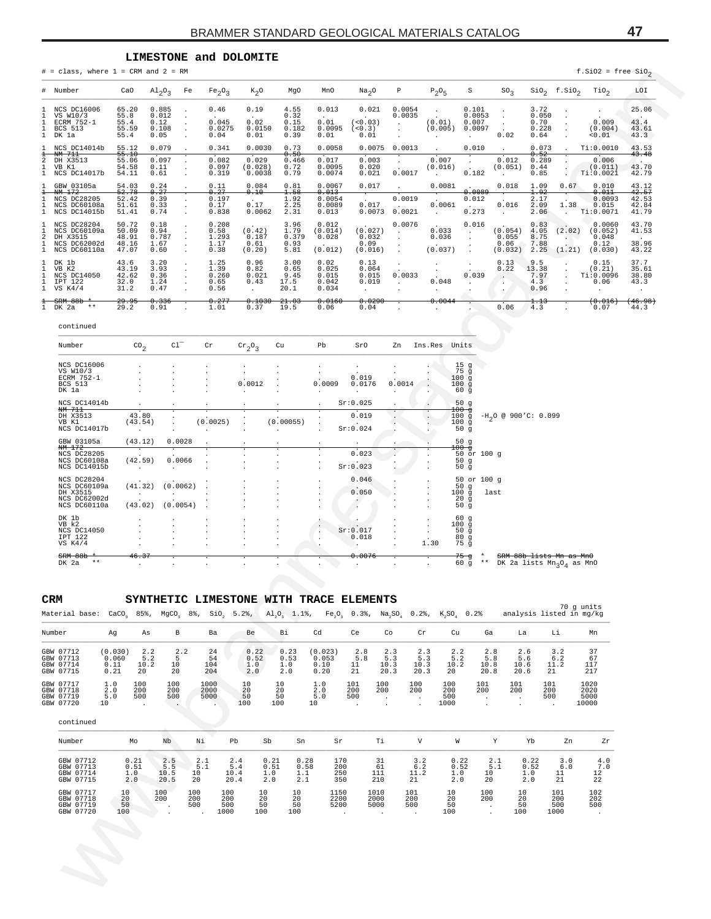## **LIMESTONE and DOLOMITE**

| $=$ class, where $1 = CRM$ and $2 = RM$                                                        |                                            |                                                                          |                                         |                                                       |                                       |                                                |                                                      |                                                                |                                          |                                                                 |                                                               |                                        |                             | $f.Si02 = free SiO2$                |                                           |
|------------------------------------------------------------------------------------------------|--------------------------------------------|--------------------------------------------------------------------------|-----------------------------------------|-------------------------------------------------------|---------------------------------------|------------------------------------------------|------------------------------------------------------|----------------------------------------------------------------|------------------------------------------|-----------------------------------------------------------------|---------------------------------------------------------------|----------------------------------------|-----------------------------|-------------------------------------|-------------------------------------------|
| Number                                                                                         | CaO                                        | $A1_{2}O_{3}$<br>Fe                                                      | Fe <sub>2</sub> O <sub>3</sub>          | $K_2$ O                                               | MgO                                   | MnO                                            | Na <sub>2</sub> O                                    | $\, {\mathbb P}$                                               | $P_2O_5$                                 | $\rm S$                                                         | SO <sub>3</sub>                                               |                                        | $\sin_2$ f.SiO <sub>2</sub> | TiO <sub>2</sub>                    | LOI                                       |
| NCS DC16006<br>VS W10/3<br>ECRM 752-1<br>BCS 513<br>DK 1a                                      | 65.20<br>55.8<br>55.4<br>55.59<br>55.4     | 0.885<br>0.012<br>$\cdot$<br>0.12<br>$\cdot$<br>0.108<br>$\cdot$<br>0.05 | 0.46<br>0.045<br>0.0275<br>0.04         | 0.19<br>0.02<br>0.0150<br>0.01                        | 4.55<br>0.32<br>0.15<br>0.182<br>0.39 | 0.013<br>0.01<br>0.0095<br>0.01                | 0.021<br>(<0.03)<br>(< 0.3)<br>0.01                  | 0.0054<br>0.0035<br>$\cdot$<br>$\ddot{\phantom{a}}$<br>$\cdot$ | (0.01)<br>(0.005)<br>$\cdot$             | 0.101<br>0.0053<br>0.007<br>0.0097<br>$\cdot$                   | $\cdot$<br>$\cdot$<br>0.02                                    | 3.72<br>0.050<br>0.70<br>0.228<br>0.64 | $\cdot$                     | 0.009<br>(0.004)<br>0.01            | 25.06<br>43.4<br>43.61<br>43.3            |
| NCS DC14014b<br><del>NM 711</del>                                                              | 55.12<br>55.10                             | 0.079                                                                    | 0.341                                   | 0.0030                                                | 0.73<br>0.50                          | 0.0058                                         | 0.0075                                               | 0.0013                                                         |                                          | 0.010                                                           |                                                               | 0.073<br>0.52                          |                             | Ti: 0.0010                          | 43.53<br>43.48                            |
| DH X3513<br>VB K1<br>NCS DC14017b                                                              | 55.06<br>54.58<br>54.11                    | 0.097<br>0.11<br>$\cdot$<br>0.61<br>$\cdot$                              | 0.082<br>0.097<br>0.319                 | 0.029<br>(0.028)<br>0.0038                            | 0.466<br>0.72<br>0.79                 | 0.017<br>0.0095<br>0.0074                      | 0.003<br>0.020<br>0.021                              | $\cdot$<br>0.0017                                              | 0.007<br>(0.016)<br>$\ddot{\phantom{a}}$ | 0.182                                                           | 0.012<br>(0.051)                                              | 0.289<br>0.44<br>0.85                  |                             | 0.006<br>(0.011)<br>Ti: 0.0021      | 43.70<br>42.79                            |
| GBW 03105a<br><del>NM 172</del>                                                                | 54.03<br>52.78                             | 0.24<br>0.27                                                             | 0.11<br>0.27<br>0.197                   | 0.084<br>0.10                                         | 0.81<br>1.58                          | 0.0067<br>0.013                                | 0.017                                                | $\ddot{\phantom{a}}$<br>0.0019                                 | 0.0081                                   | 0.0089                                                          | 0.018                                                         | 1.09<br>1.92                           | 0.67                        | 0.010<br>0.011                      | 43.12<br>42.57                            |
| NCS DC28205<br>NCS DC60108a<br>NCS DC14015b                                                    | 52.42<br>51.61<br>51.41                    | 0.39<br>$\cdot$<br>0.33<br>$\cdot$<br>0.74                               | 0.17<br>0.838                           | 0.17<br>0.0062                                        | 1.92<br>2.25<br>2.31                  | 0.0054<br>0.0089<br>0.013                      | 0.017<br>0.0073                                      | 0.0021                                                         | 0.0061<br>$\cdot$                        | 0.012<br>0.273                                                  | 0.016<br>$\cdot$                                              | 2.17<br>2.09<br>2.06                   | 1.38<br>$\cdot$             | 0.0093<br>0.015<br>Ti: 0.0071       | 42.53<br>42.84<br>41.79                   |
| NCS DC28204<br>NCS DC60109a<br>DH X3515                                                        | 50.72<br>50.09<br>48.91                    | 0.18<br>0.94<br>$\overline{\phantom{a}}$<br>0.787                        | 0.208<br>0.58<br>1.293                  | (0.42)<br>0.187                                       | 3.96<br>1.79<br>0.379                 | 0.012<br>(0.014)<br>0.028                      | (0.027)<br>0.032                                     | 0.0076<br>$\cdot$                                              | 0.033<br>0.036                           | 0.016<br>$\cdot$<br>$\cdot$                                     | (0.054)<br>0.055                                              | 0.83<br>4.05<br>8.75                   | (2.02)<br>$\sim$            | 0.0060<br>(0.052)<br>0.048          | 43.70<br>41.53                            |
| NCS DC62002d<br>NCS DC60110a                                                                   | 48.16<br>47.07                             | 1.67<br>$\cdot$<br>0.60<br>$\ddot{\phantom{a}}$                          | 1.17<br>0.38                            | 0.61<br>(0.20)                                        | 0.93<br>5.81                          | (0.012)                                        | 0.09<br>(0.016)                                      | $\ddot{\phantom{a}}$<br>$\cdot$                                | (0.037)                                  | $\cdot$<br>$\cdot$                                              | 0.06<br>(0.032)                                               | 7.88<br>2.25                           | (1.21)                      | 0.12<br>(0.030)                     | 38.96<br>43.22                            |
| DK 1b<br>VB K2<br>NCS DC14050<br>IPT 122<br>VS K4/4                                            | 43.6<br>43.19<br>42.62<br>32.0<br>31.2     | 3.20<br>3.93<br>$\cdot$<br>0.36<br>$\cdot$<br>1.24<br>$\cdot$<br>0.47    | 1.25<br>1.39<br>0.260<br>0.65<br>0.56   | 0.96<br>0.82<br>0.021<br>0.43<br>$\ddot{\phantom{1}}$ | 3.00<br>0.65<br>9.45<br>17.5<br>20.1  | 0.02<br>0.025<br>0.015<br>0.042<br>0.034       | 0.13<br>0.064<br>0.015<br>0.019                      | $\cdot$<br>0.0033<br>$\cdot$<br>$\ddot{\phantom{a}}$           | $\cdot$<br>0.048<br>$\cdot$              | 0.039<br>$\cdot$                                                | 0.13<br>0.22<br>$\cdot$<br>$\cdot$<br>$\ddot{\phantom{a}}$    | 9.5<br>13.38<br>7.97<br>4.3<br>0.96    |                             | 0.15<br>(0.21)<br>Ti:0.0096<br>0.06 | 37.7<br>35.61<br>38.80<br>43.3<br>$\cdot$ |
| <del>SRM 88b</del><br>DK 2a<br>$* *$                                                           | 29.95<br>29.2                              | 0.336<br>0.91                                                            | 0.277<br>1.01                           | 0.1030<br>0.37                                        | 21.03<br>19.5                         | 0.0160<br>0.06                                 | 0.0290<br>0.04                                       | $\lambda$                                                      | 0.0044                                   | $\mathbf{r}$                                                    | 0.06                                                          | 1.13<br>4.3                            |                             | (0.016)<br>0.07                     | (46.98)<br>44.3                           |
| continued                                                                                      |                                            |                                                                          |                                         |                                                       |                                       |                                                |                                                      |                                                                |                                          |                                                                 |                                                               |                                        |                             |                                     |                                           |
| Number                                                                                         | $\text{co}_2$                              | $C1$ <sup>-</sup>                                                        | Cr                                      | $\mathrm{cr}_2\mathrm{O}_3$                           | Cu                                    | Pb                                             | SrO                                                  | Zn                                                             | Ins.Res Units                            |                                                                 |                                                               |                                        |                             |                                     |                                           |
| NCS DC16006<br>VS W10/3<br>ECRM 752-1<br>BCS 513<br>DK 1a                                      |                                            |                                                                          |                                         | 0.0012                                                |                                       | $\blacksquare$<br>$\cdot$<br>0.0009<br>$\cdot$ | 0.019<br>0.0176<br>$\cdot$                           | 0.0014                                                         |                                          | 15 <sub>g</sub><br>$75$ g<br>100g<br>100g<br>60<br>$\mathbf{g}$ |                                                               |                                        |                             |                                     |                                           |
| NCS DC14014b<br>NM 711<br>DH X3513                                                             | 43.80                                      |                                                                          |                                         |                                                       |                                       | $\ddot{\phantom{a}}$<br>$\cdot$                | Sr:0.025<br>0.019                                    |                                                                | Ţ                                        | 50g<br>100 g<br>100g                                            | $-H_2O \ @ \ 900'C: \ 0.099$                                  |                                        |                             |                                     |                                           |
| VB K1<br>NCS DC14017b                                                                          | (43.54)<br>$\cdot$                         | $\ddot{\phantom{a}}$                                                     | (0.0025)                                |                                                       | (0.00055)                             | $\cdot$<br>$\cdot$                             | Sr:0.024                                             | $\ddot{\phantom{a}}$                                           | v.<br>$\sim$                             | 100g<br>50 g                                                    |                                                               |                                        |                             |                                     |                                           |
| GBW 03105a<br>NM 172<br>NCS DC28205                                                            | (43.12)                                    | 0.0028                                                                   |                                         |                                                       |                                       | $\ddot{\phantom{a}}$                           | 0.023                                                |                                                                |                                          | 50g<br>$100 - g$<br>50 or 100 g                                 |                                                               |                                        |                             |                                     |                                           |
| NCS DC60108a<br>NCS DC14015b                                                                   | (42.59)                                    | 0.0066                                                                   |                                         |                                                       |                                       |                                                | Sr:0.023                                             |                                                                |                                          | 50g<br>50 <sub>g</sub>                                          |                                                               |                                        |                             |                                     |                                           |
| NCS DC28204<br>NCS DC60109a<br>DH X3515<br>NCS DC62002d                                        | (41.32)                                    | (0.0062)                                                                 |                                         |                                                       |                                       |                                                | 0.046<br>0.050<br>$\ddot{\phantom{0}}$               |                                                                |                                          | 50 or 100 g<br>50g<br>100g<br>last<br>20<br>$\mathsf g$         |                                                               |                                        |                             |                                     |                                           |
| NCS DC60110a<br>DK 1b                                                                          | (43.02)                                    | (0.0054)                                                                 |                                         |                                                       |                                       |                                                |                                                      |                                                                | $\ddot{\phantom{0}}$                     | 50<br>g<br>60g                                                  |                                                               |                                        |                             |                                     |                                           |
| VB k2<br>NCS DC14050<br>IPT 122                                                                |                                            |                                                                          |                                         |                                                       |                                       | $\cdot$<br>$\cdot$<br>$\cdot$                  | Sr:0.017<br>0.018                                    |                                                                |                                          | 100g<br>50g<br>80g                                              |                                                               |                                        |                             |                                     |                                           |
| VS K4/4<br>SRM 88b<br>$* *$<br>DK 2a                                                           | 46.37                                      |                                                                          |                                         |                                                       |                                       |                                                | $\sim$<br>0.0076                                     |                                                                | 1.30                                     | $75\overline{g}$<br>ਤ<br>$\star\star$<br>$60\overline{g}$       | SRM 88b lists Mn as MnO<br>DK 2a lists $Mn_{3}O_{4}$ as $MnO$ |                                        |                             |                                     |                                           |
| CRM                                                                                            |                                            |                                                                          | SYNTHETIC LIMESTONE WITH TRACE ELEMENTS |                                                       |                                       |                                                |                                                      |                                                                |                                          |                                                                 |                                                               |                                        | 70 g units                  |                                     |                                           |
| Material base: CaCO, 85%, MgCO, 8%, SiO, 5.2%, Al,O, 1.1%, Fe,O, 0.3%, Na,SO, 0.2%, K,SO, 0.2% |                                            |                                                                          |                                         |                                                       |                                       |                                                |                                                      |                                                                |                                          |                                                                 |                                                               |                                        | analysis listed in mg/kg    |                                     |                                           |
| Number<br>GBW 07712                                                                            | As<br>Ag<br>(0.030)<br>2.2                 | B<br>2.2                                                                 | Ba<br>24                                | Be<br>0.22                                            | Вi<br>0.23                            | Cd<br>(0.023)                                  | Ce<br>2.8                                            | Co<br>2.3                                                      | Cr<br>Cu<br>2.3                          | Ga<br>2.2<br>2.8                                                | La<br>2.6                                                     |                                        | Li<br>3.2                   | Mn<br>37                            |                                           |
| GBW 07713<br>GBW 07714<br>GBW 07715                                                            | 5.2<br>0.060<br>0.11<br>10.2<br>0.21<br>20 | 5<br>10<br>20                                                            | 54<br>104<br>204                        | 0.52<br>1.0<br>2.0                                    | 0.53<br>1.0<br>2.0                    | 0.053<br>0.10<br>0.20                          | $5.8$<br>11<br>21                                    | 5.3<br>10.3<br>20.3                                            | 5.3<br>10.3<br>10.2<br>20.3<br>20        | 5.2<br>5.8<br>10.8<br>20.8                                      | 5.6<br>10.6<br>20.6                                           | 21                                     | 6.2<br>11.2                 | 67<br>117<br>217                    |                                           |
| GBW 07717<br>1.0<br>2.0<br>GBW 07718                                                           | 100<br>200                                 | 100<br>200                                                               | 1000<br>2000                            | 10<br>20                                              | 10<br>20                              | 1.0<br>2.0                                     | 101<br>100<br>200<br>200                             | 100<br>200                                                     | 100<br>200                               | 101<br>200                                                      | 101<br>200                                                    | 101<br>200                             |                             | 1020<br>2020                        |                                           |
| GBW 07719<br>5.0<br>GBW 07720<br>10                                                            | 500<br>$\ddot{\phantom{1}}$                | 500<br>$\sim$ $\sim$                                                     | 5000                                    | 50<br>100                                             | 50<br>100                             | 5.0<br>10                                      | 500<br>$\blacksquare$ .<br>$\blacksquare$<br>$\cdot$ | $\cdot$                                                        | 500<br>1000                              | $\blacksquare$<br>$\blacksquare$                                | $\cdot$<br>$\cdot$                                            | 500<br>$\sim$                          |                             | 5000<br>10000                       |                                           |
| continued                                                                                      |                                            |                                                                          |                                         |                                                       |                                       |                                                |                                                      |                                                                |                                          |                                                                 |                                                               |                                        |                             |                                     |                                           |
| Number                                                                                         | Мo                                         | Nb                                                                       | Νi                                      | Pb<br>Sb                                              | Sn                                    | Sr                                             | Тi                                                   | V                                                              |                                          | W                                                               | Y                                                             | Yb                                     | Zn                          | Zr                                  |                                           |
| GBW 07712<br>GBW 07713<br>GBW 07714                                                            | 0.21<br>0.51<br>1.0                        | 2.5<br>5.5<br>10.5                                                       | 2.1<br>5.1<br>10                        | 2.4<br>0.21<br>5.4<br>0.51<br>10.4<br>1.0             | 0.28<br>0.58<br>1.1                   | 170<br>200<br>250                              | 31<br>61<br>111                                      | 3.2<br>6.2<br>11.2                                             |                                          | 0.22<br>0.52<br>10<br>1.0                                       | 2.1<br>5.1                                                    | 0.22<br>0.52<br>1.0                    | 3.0<br>6.0<br>11            | 4.0<br>7.0<br>12                    |                                           |
| GBW 07715<br>GBW 07717                                                                         | 2.0<br>10                                  | 20.5<br>100                                                              | 20<br>100<br>100                        | 20.4<br>2.0<br>10                                     | 2.1<br>10                             | 350<br>1150                                    | 210<br>1010                                          | 21<br>101                                                      | 10                                       | 2.0<br>20<br>100                                                | 10                                                            | 2.0                                    | 21<br>101                   | 22<br>102                           |                                           |
| GBW 07718<br>GBW 07719<br>GBW 07720                                                            | 20<br>50<br>100                            | 200<br>$\cdot$                                                           | 200<br>200<br>500<br>500<br>1000        | 20<br>50<br>100                                       | 20<br>50<br>100                       | 2200<br>5200<br>$\sim$                         | 2000<br>5000<br>$\cdot$                              | 200<br>500<br>$\cdot$                                          | 20<br>50<br>100                          | 200<br>$\cdot$<br>$\ddot{\phantom{1}}$                          | 20<br>50<br>100                                               |                                        | 200<br>500<br>1000          | 202<br>500<br>$\ddot{\phantom{0}}$  |                                           |
|                                                                                                |                                            |                                                                          |                                         |                                                       |                                       |                                                |                                                      |                                                                |                                          |                                                                 |                                                               |                                        |                             |                                     |                                           |
|                                                                                                |                                            |                                                                          |                                         |                                                       |                                       |                                                |                                                      |                                                                |                                          |                                                                 |                                                               |                                        |                             |                                     |                                           |
|                                                                                                |                                            |                                                                          |                                         |                                                       |                                       |                                                |                                                      |                                                                |                                          |                                                                 |                                                               |                                        |                             |                                     |                                           |
|                                                                                                |                                            |                                                                          |                                         |                                                       |                                       |                                                |                                                      |                                                                |                                          |                                                                 |                                                               |                                        |                             |                                     |                                           |

| ECRM 752-1<br><b>BCS 513</b><br>DK 1a                                   |                                                 |                      |          | 0.0012 |           | 0.0009<br>$\cdot$                          | 0.019<br>0.0176<br>٠         | 0.0014    |      | 100g<br>100g<br>60g                          |                              |                                                                                      |
|-------------------------------------------------------------------------|-------------------------------------------------|----------------------|----------|--------|-----------|--------------------------------------------|------------------------------|-----------|------|----------------------------------------------|------------------------------|--------------------------------------------------------------------------------------|
| NCS DC14014b<br>NM 711                                                  |                                                 |                      |          |        |           | $\ddot{\phantom{0}}$                       | Sr:0.025                     |           |      | 50g<br>$100 - q$                             |                              |                                                                                      |
| DH X3513<br>VB K1                                                       | $\cdot$ $\cdot$<br>43.80<br>(43.54)             |                      | (0.0025) |        | (0.00055) | $\ddot{\phantom{1}}$<br>$\cdot$<br>$\cdot$ | $\cdot$ .<br>0.019<br>$\sim$ | $\bullet$ |      | 100g<br>100g                                 | $-H_0O \ @ \ 900'C: \ 0.099$ |                                                                                      |
| NCS DC14017b                                                            |                                                 |                      |          |        |           | $\cdot$                                    | Sr:0.024                     |           |      | 50 $\bar{q}$                                 |                              |                                                                                      |
| GBW 03105a<br>NM 172                                                    | (43.12)<br>╤                                    | 0.0028               |          |        |           | $\cdot$<br>$\overline{\cdot}$              | $\cdot$ .                    |           |      | 50g<br>$100 - q$                             |                              |                                                                                      |
| NCS DC28205<br>NCS DC60108a<br>NCS DC14015b                             | $\ddot{\phantom{0}}$<br>(42.59)<br>$\mathbf{r}$ | 0.0066               |          |        |           | $\cdot$<br>$\ddot{\phantom{a}}$<br>$\cdot$ | 0.023<br>$\sim$<br>Sr:0.023  |           |      | 50g<br>50 <sub>g</sub>                       | 50 or 100 g                  |                                                                                      |
| NCS DC28204<br>NCS DC60109a<br>DH X3515<br>NCS DC62002d<br>NCS DC60110a | (41.32)<br>(43.02)                              | (0.0062)<br>(0.0054) |          |        |           | $\cdot$<br>$\cdot$                         | 0.046<br>$\cdot$<br>0.050    |           |      | 50 $g$<br>20 <sub>g</sub><br>50g             | 50 or 100 g<br>$100 g$ last  |                                                                                      |
| DK 1b<br>VB k2<br>NCS DC14050<br>IPT 122<br>VS $K4/4$                   |                                                 |                      |          |        |           | $\cdot$<br>$\cdot$                         | Sr:0.017<br>0.018<br>$\cdot$ |           | 1.30 | 60g<br>100g<br>50g<br>80 <sub>g</sub><br>75q |                              |                                                                                      |
| SRM 88b<br>DK 2a<br>$* *$                                               | 46.37                                           |                      |          |        |           | $\bullet$                                  | 0.0076                       |           |      | 75 ਰੁ<br>60g                                 | $\star$<br>$***$             | SRM 88b lists Mn as MnO<br>DK 2a lists $\mathrm{Mn}_3\mathrm{O}_4$ as $\mathrm{MnO}$ |

#### **CRM SYNTHETIC LIMESTONE WITH TRACE ELEMENTS**

|                                                  |                                  |                          |                                                      |                        |                            |                                                                       |                                       |                                         |                                                                   |                                                            |                                   |                            |                                                   |                                                       |                           | 70 q units                    |
|--------------------------------------------------|----------------------------------|--------------------------|------------------------------------------------------|------------------------|----------------------------|-----------------------------------------------------------------------|---------------------------------------|-----------------------------------------|-------------------------------------------------------------------|------------------------------------------------------------|-----------------------------------|----------------------------|---------------------------------------------------|-------------------------------------------------------|---------------------------|-------------------------------|
| Number                                           | Αq                               | As                       | В                                                    | Ba                     | Be                         |                                                                       |                                       |                                         | Ce                                                                | Co                                                         | $\operatorname{Cr}$               | Cu                         | Ga                                                | La                                                    | Li                        | Mn                            |
| GBW 07712<br>GBW 07713<br>GBW 07714<br>GBW 07715 | (0.030)<br>0.060<br>0.11<br>0.21 | 2.2<br>5.2<br>10.2<br>20 | 10<br>20                                             | 24<br>54<br>104<br>204 | 1.0<br>2.0                 |                                                                       |                                       |                                         | $\frac{2.8}{5.8}$<br>11<br>21                                     | $2 \cdot 3$<br>5.3<br>10.3<br>20.3                         | $\frac{2}{5}$ . 3<br>10.3<br>20.3 | 2.2<br>5.2<br>10.2<br>20   | $\frac{2}{5}$ .8<br>10.8<br>20.8                  | $\frac{2.6}{5.6}$<br>10.6<br>20.6                     | 3.2<br>6.2<br>11.2<br>21  | 37<br>67<br>117<br>217        |
| GBW 07717<br>GBW 07718<br>GBW 07719<br>GBW 07720 | 1.0<br>2.0<br>5.0                | 100<br>200<br>500        | 100<br>200<br>500<br><b>Contract Contract Street</b> | 1000<br>2000<br>5000   | 10<br>20<br>50<br>100      | 10<br>20<br>50<br>100                                                 |                                       |                                         | 101<br>200<br>500                                                 | 100<br>200<br>$\overline{\phantom{a}}$                     | 100<br>200<br>$\cdot$             | 100<br>200<br>500<br>1000  | 101<br>200<br>$\cdot$<br>$\overline{\phantom{a}}$ | 101<br>200<br>$\cdot$<br>$\overline{\phantom{a}}$     | 101<br>200<br>500         | 1020<br>2020<br>5000<br>10000 |
| continued                                        |                                  |                          |                                                      |                        |                            |                                                                       |                                       |                                         |                                                                   |                                                            |                                   |                            |                                                   |                                                       |                           |                               |
| Number                                           |                                  |                          | Nb                                                   | Νi                     | Pb                         | Sb                                                                    | Sn                                    | Sr                                      |                                                                   | Тi                                                         | V                                 | W                          | Υ                                                 | Yb                                                    | Zn                        | Zr                            |
| GBW 07712<br>GBW 07713<br>GBW 07714<br>GBW 07715 |                                  |                          | 2.5<br>5.5<br>10.5<br>20.5                           | 2.1<br>5.1<br>10<br>20 | 2.4<br>5.4<br>10.4<br>20.4 | 0.21<br>0.51<br>1.0<br>2.0                                            | 0.28<br>0.58<br>1.1<br>2.1            |                                         |                                                                   | 31<br>61<br>210                                            | 3.2<br>6.2<br>11.2<br>21          | 0.22<br>0.52<br>1.0<br>2.0 | 2.1<br>5.1<br>10<br>20                            | 0.22<br>0.52<br>1.0<br>2.0                            | 3.0<br>6.0<br>11<br>21    | 4.0<br>7.0<br>12<br>22        |
| GBW 07717<br>GBW 07718<br>GBW 07719<br>GBW 07720 | 10<br>20<br>50<br>100            |                          |                                                      | 100<br>200<br>500      |                            |                                                                       | 10<br>20<br>50                        |                                         |                                                                   | $\sim$                                                     | 500                               | 10<br>20<br>50<br>100      | 100<br>200                                        | 10<br>20<br>50<br>100                                 | 101<br>200<br>500<br>1000 | 102<br>202<br>500<br>$\sim$   |
|                                                  |                                  | 10                       | Mo<br>0.21<br>0.51<br>1.0<br>2.0                     | 100<br>200             | $\frac{2}{5}$ . 2          | Material base: CaCO, 85%, MgCO, 8%, SiO,<br>100<br>200<br>500<br>1000 | 0.22<br>0.52<br>10<br>20<br>50<br>100 | Вi<br>0.23<br>0.53<br>1.0<br>2.0<br>100 | Cd<br>(0.023)<br>0.053<br>0.10<br>0.20<br>1.0<br>2.0<br>5.0<br>10 | 170<br>200<br>250<br>350<br>1150<br>2200<br>5200<br>$\sim$ | 111<br>1010<br>2000<br>5000       | 101<br>200                 |                                                   | 5.2%, Al,O, 1.1%, Fe,O, 0.3%, Na,SO, 0.2%, K,SO, 0.2% |                           | analysis listed in mg/kg      |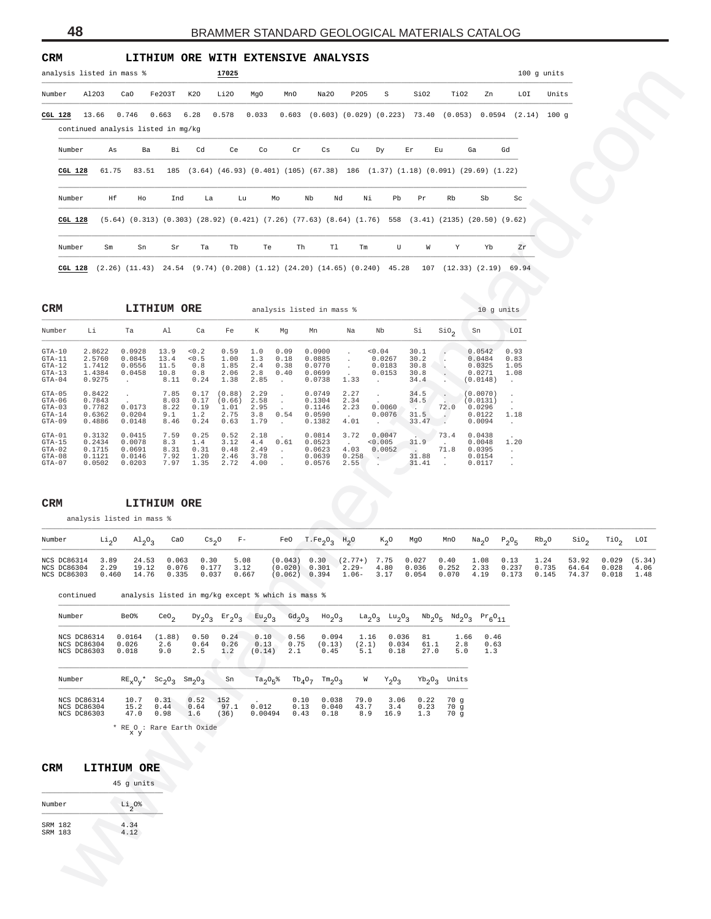| analysis listed in mass %<br>$100$ g units<br>$\rm S$<br>SiO2<br>TiO2<br>Number<br>A1203<br>CaO<br>Fe2O3T<br>K2O<br>Li 20<br>MgO<br>Na20<br>P205<br>Zn<br>LOI<br>Units<br>MnO<br>13.66<br>0.746<br>0.663<br>6.28<br>0.578<br>0.033<br>0.603 (0.603) (0.029) (0.223) 73.40 (0.053) 0.0594 (2.14) 100 g<br>CGL 128<br>continued analysis listed in mg/kg<br>Number<br>Cd<br>Ce<br>Cs<br>Ga<br>Gd<br>As<br>Ba<br>Вi<br>Co<br>Cr<br>Cu<br>Dy<br>Εr<br>Εu<br>61.75<br>83.51<br>185 (3.64) (46.93) (0.401) (105) (67.38) 186 (1.37) (1.18) (0.091) (29.69) (1.22)<br><b>CGL 128</b><br>Number<br>Ηf<br>Nb<br>Ho<br>Ind<br>La<br>Lu<br>Mo<br>Nd<br>Νi<br>Pb<br>Pr<br>Rb<br>Sb<br>Sc<br><b>CGL 128</b><br>$(5.64)$ $(0.313)$ $(0.303)$ $(28.92)$ $(0.421)$ $(7.26)$ $(77.63)$ $(8.64)$ $(1.76)$ 558 $(3.41)$ $(2135)$ $(20.50)$ $(9.62)$<br>Number<br>Tb<br>Th<br>Tl<br>U<br>W<br>Yb<br>Sm<br>Sn<br>Sr<br>Ta<br>Te<br>Tm<br>Υ<br>Zr<br>CGL 128 (2.26) (11.43) 24.54 (9.74) (0.208) (1.12) (24.20) (14.65) (0.240) 45.28 107 (12.33) (2.19) 69.94<br>CRM<br>LITHIUM ORE<br>analysis listed in mass %<br>10 g units<br>Number<br>Li<br>Ta<br>Al<br>Ca<br>К<br>Nb<br>Si<br>$SIO_{2}$<br>Sn<br>LOI<br>Fe<br>Mg<br>Mn<br>Na<br>2.8622<br>$GTA-10$<br>0.0928<br>13.9<br>0.2<br>0.59<br>1.0<br>0.09<br>0.0900<br>0.04<br>30.1<br>0.0542<br>0.93<br>$\cdot$<br>1.3<br>2.5760<br>0.0845<br>13.4<br>< 0.5<br>1.00<br>0.18<br>0.0885<br>0.0267<br>30.2<br>0.0484<br>0.83<br>$GTA-11$<br>$\sim$<br>$\cdot$<br>1.7412<br>2.4<br>0.0770<br>0.0556<br>11.5<br>0.8<br>1.85<br>0.38<br>0.0183<br>30.8<br>0.0325<br>GTA-12<br>1.05<br>$\sim$<br>$GTA-13$<br>1.4384<br>0.0458<br>10.8<br>2.06<br>2.8<br>0.40<br>0.0699<br>0.0153<br>30.8<br>0.0271<br>0.8<br>1.08<br>$\cdot$<br>0.9275<br>1.38<br>2.85<br>$GTA-04$<br>0.24<br>0.0738<br>1.33<br>34.4<br>(0.0148)<br>8.11<br>$\sim$<br>$\sim$<br>$\sim$<br>$\sim$<br>$\cdot$<br>0.8422<br>7.85<br>0.17<br>2.27<br>$GTA-05$<br>(0.88)<br>2.29<br>0.0749<br>34.5<br>(0.0070)<br>$\sim$<br>$\sim$<br>$\sim$<br>$\sim$<br>$\cdot$<br>0.7843<br>0.17<br>2.58<br>0.1304<br>8.03<br>(0.66)<br>2.34<br>34.5<br>(0.0131)<br>GTA-06<br>$\sim$<br>$\sim$<br>0.7782<br>0.0060<br>72.0<br>0.0173<br>0.19<br>2.95<br>8.22<br>1.01<br>0.1146<br>2.23<br>0.0296<br>GTA-03<br>$\sim$ $\sim$ $\sim$<br>3.8<br>0.54<br>0.0076<br>31.5<br>0.6362<br>0.0204<br>9.1<br>1.2<br>2.75<br>0.0590<br>1.18<br>$GTA-14$<br><b>Contract</b><br>0.0122<br>$\ddot{\phantom{0}}$<br>0.4886<br>4.01<br>33.47<br>GTA-09<br>0.0148<br>8.46<br>0.24<br>0.63<br>1.79<br>0.1382<br>0.0094<br>$\sim$ $\sim$<br>$\sim$<br><b>Allen Co</b><br>$\sim$<br>7.59<br>0.3132<br>0.25<br>0.52<br>2.18<br>0.0047<br>73.4<br>$GTA-01$<br>0.0415<br>0.0814<br>3.72<br>0.0438<br>0.2434<br>31.9<br>0.0078<br>8.3<br>3.12<br>1.4<br>4.4<br>0.61<br>0.0523<br>0.005<br>0.0048<br>1.20<br>GTA-15<br><b>Carlos</b><br>4.03<br>71.8<br>0.1715<br>2.49<br>0.0052<br>0.0691<br>8.31<br>0.31<br>0.48<br>0.0623<br>0.0395<br>GTA-02<br>$\sim$ 100 $\mu$<br>$\sim 10^{-11}$<br>$\sim$<br>3.78<br>$0.258$ .<br>31.88<br>0.1121<br>7.92<br>1.20<br>2.46<br>0.0639<br>0.0154<br>GTA-08<br>0.0146<br>$\sim$<br>$\sim 10^{-11}$<br>$\sim$<br>0.0502<br>7.97<br>2.72<br>4.00<br>31.41<br>$GTA-07$<br>0.0203<br>1.35<br>0.0576<br>2.55<br>$\sim$<br>0.0117<br>$\sim$<br>$\sim$<br>CRM<br>LITHIUM ORE<br>analysis listed in mass %<br>Li <sub>2</sub> O<br>$\mathrm{Al}_2\mathrm{O}_3$<br>CaO<br>Cs <sub>2</sub> O<br>$F -$<br>T.Fe <sub>2</sub> O <sub>3</sub><br>Rb <sub>2</sub> 0<br>$\verb"rio"_{2}$<br>Number<br>FeO<br>$H_2O$<br>$K_2O$<br>MgO<br>MnO<br>Na <sub>2</sub> O<br>$P_2O_5$<br>$\sin \theta_2$<br>0.30<br>$(0.043)$ $0.30$ $(2.77+)$ 7.75<br>0.027<br>NCS DC86314<br>3.89<br>24.53<br>0.063<br>5.08<br>0.40<br>1.08<br>0.13<br>1.24<br>53.92<br>$0.029$ $(5.34)$<br>NCS DC86304<br>2.29<br>19.12<br>0.076<br>0.177<br>3.12<br>$(0.020)$ 0.301<br>$2.29 -$<br>4.80<br>0.036<br>0.252<br>2.33<br>0.237<br>0.735<br>64.64<br>0.028<br>NCS DC86303<br>0.460<br>14.76<br>0.335<br>0.037<br>0.667<br>$(0.062)$ $0.394$ 1.06- 3.17 0.054 0.070 4.19 0.173 0.145 74.37 0.018<br>1.48<br>continued<br>analysis listed in mg/kg except % which is mass %<br>Number<br>Be0%<br>CeO <sub>2</sub><br>$DY_2O_3$ $Er_2O_3$<br>$Eu_{2}O_{3}$<br>$Gd_2O_3$<br>$Ho_2O_3$<br>$\text{La}_2\text{O}_3$ $\text{Lu}_2\text{O}_3$<br>$Nb_2O_5$ $Nd_2O_3$<br>$\rm Pr_6O_{11}$<br>0.50<br>0.10<br>0.56<br>0.0164<br>(1.88)<br>0.24<br>0.094<br>0.036<br>0.46<br>NCS DC86314<br>1.16<br>81<br>1.66<br>NCS DC86304<br>0.026<br>0.64<br>0.26<br>0.75<br>(2.1)<br>0.034<br>2.8<br>0.63<br>2.6<br>0.13<br>(0.13)<br>61.1<br>0.018<br>9.0<br>2.5<br>1.2<br>27.0<br>NCS DC86303<br>(0.14)<br>2.1<br>0.45<br>5.1<br>0.18<br>5.0<br>1.3<br>Number<br>$RE_{X}O_{Y}^*$<br>$sc_2O_3$<br>$Sm_2O_3$<br>$Ta_{2}O_{5}$ $%$<br>$Tb_40_7$<br>Tm <sub>2</sub> O <sub>3</sub><br>$Yb_2O_3$<br>Units<br>Sn<br>W<br>$Y_2O_3$<br>10.7<br>0.31<br>0.52<br>152<br>79.0<br>3.06<br>0.22<br>NCS DC86314<br>0.10<br>0.038<br>70 g<br>70 g<br>NCS DC86304<br>15.2<br>0.44<br>97.1<br>0.012<br>43.7<br>3.4<br>0.64<br>0.13<br>0.040<br>0.23<br>47.0<br>NCS DC86303<br>0.98<br>(36)<br>8.9<br>70 g<br>1.6<br>0.00494<br>0.43<br>0.18<br>16.9<br>1.3<br>* RE O : Rare Earth Oxide<br>ху<br>CRM<br>LITHIUM ORE<br>45 g units | CRM |  |  |       | LITHIUM ORE WITH EXTENSIVE ANALYSIS |  |  |  |  |  |      |
|---------------------------------------------------------------------------------------------------------------------------------------------------------------------------------------------------------------------------------------------------------------------------------------------------------------------------------------------------------------------------------------------------------------------------------------------------------------------------------------------------------------------------------------------------------------------------------------------------------------------------------------------------------------------------------------------------------------------------------------------------------------------------------------------------------------------------------------------------------------------------------------------------------------------------------------------------------------------------------------------------------------------------------------------------------------------------------------------------------------------------------------------------------------------------------------------------------------------------------------------------------------------------------------------------------------------------------------------------------------------------------------------------------------------------------------------------------------------------------------------------------------------------------------------------------------------------------------------------------------------------------------------------------------------------------------------------------------------------------------------------------------------------------------------------------------------------------------------------------------------------------------------------------------------------------------------------------------------------------------------------------------------------------------------------------------------------------------------------------------------------------------------------------------------------------------------------------------------------------------------------------------------------------------------------------------------------------------------------------------------------------------------------------------------------------------------------------------------------------------------------------------------------------------------------------------------------------------------------------------------------------------------------------------------------------------------------------------------------------------------------------------------------------------------------------------------------------------------------------------------------------------------------------------------------------------------------------------------------------------------------------------------------------------------------------------------------------------------------------------------------------------------------------------------------------------------------------------------------------------------------------------------------------------------------------------------------------------------------------------------------------------------------------------------------------------------------------------------------------------------------------------------------------------------------------------------------------------------------------------------------------------------------------------------------------------------------------------------------------------------------------------------------------------------------------------------------------------------------------------------------------------------------------------------------------------------------------------------------------------------------------------------------------------------------------------------------------------------------------------------------------------------------------------------------------------------------------------------------------------------------------------------------------------------------------------------------------------------------------------------------------------------------------------------------------------------------------------------------------------------------------------------------------------------------------------------------------------------------------------------------------------------------------------------------------------------------------------------------------------------------------------------------------------------------------------------------------------------------------------------------------------------------------------------------------------------------------------------------------------------------------------------------------------------------------------------------------------------------------------------------------------------------------------------------------------------------------------------------------------------------------------------------------------------------------------------------------|-----|--|--|-------|-------------------------------------|--|--|--|--|--|------|
|                                                                                                                                                                                                                                                                                                                                                                                                                                                                                                                                                                                                                                                                                                                                                                                                                                                                                                                                                                                                                                                                                                                                                                                                                                                                                                                                                                                                                                                                                                                                                                                                                                                                                                                                                                                                                                                                                                                                                                                                                                                                                                                                                                                                                                                                                                                                                                                                                                                                                                                                                                                                                                                                                                                                                                                                                                                                                                                                                                                                                                                                                                                                                                                                                                                                                                                                                                                                                                                                                                                                                                                                                                                                                                                                                                                                                                                                                                                                                                                                                                                                                                                                                                                                                                                                                                                                                                                                                                                                                                                                                                                                                                                                                                                                                                                                                                                                                                                                                                                                                                                                                                                                                                                                                                                                                                                                 |     |  |  | 17025 |                                     |  |  |  |  |  |      |
|                                                                                                                                                                                                                                                                                                                                                                                                                                                                                                                                                                                                                                                                                                                                                                                                                                                                                                                                                                                                                                                                                                                                                                                                                                                                                                                                                                                                                                                                                                                                                                                                                                                                                                                                                                                                                                                                                                                                                                                                                                                                                                                                                                                                                                                                                                                                                                                                                                                                                                                                                                                                                                                                                                                                                                                                                                                                                                                                                                                                                                                                                                                                                                                                                                                                                                                                                                                                                                                                                                                                                                                                                                                                                                                                                                                                                                                                                                                                                                                                                                                                                                                                                                                                                                                                                                                                                                                                                                                                                                                                                                                                                                                                                                                                                                                                                                                                                                                                                                                                                                                                                                                                                                                                                                                                                                                                 |     |  |  |       |                                     |  |  |  |  |  |      |
|                                                                                                                                                                                                                                                                                                                                                                                                                                                                                                                                                                                                                                                                                                                                                                                                                                                                                                                                                                                                                                                                                                                                                                                                                                                                                                                                                                                                                                                                                                                                                                                                                                                                                                                                                                                                                                                                                                                                                                                                                                                                                                                                                                                                                                                                                                                                                                                                                                                                                                                                                                                                                                                                                                                                                                                                                                                                                                                                                                                                                                                                                                                                                                                                                                                                                                                                                                                                                                                                                                                                                                                                                                                                                                                                                                                                                                                                                                                                                                                                                                                                                                                                                                                                                                                                                                                                                                                                                                                                                                                                                                                                                                                                                                                                                                                                                                                                                                                                                                                                                                                                                                                                                                                                                                                                                                                                 |     |  |  |       |                                     |  |  |  |  |  |      |
|                                                                                                                                                                                                                                                                                                                                                                                                                                                                                                                                                                                                                                                                                                                                                                                                                                                                                                                                                                                                                                                                                                                                                                                                                                                                                                                                                                                                                                                                                                                                                                                                                                                                                                                                                                                                                                                                                                                                                                                                                                                                                                                                                                                                                                                                                                                                                                                                                                                                                                                                                                                                                                                                                                                                                                                                                                                                                                                                                                                                                                                                                                                                                                                                                                                                                                                                                                                                                                                                                                                                                                                                                                                                                                                                                                                                                                                                                                                                                                                                                                                                                                                                                                                                                                                                                                                                                                                                                                                                                                                                                                                                                                                                                                                                                                                                                                                                                                                                                                                                                                                                                                                                                                                                                                                                                                                                 |     |  |  |       |                                     |  |  |  |  |  |      |
|                                                                                                                                                                                                                                                                                                                                                                                                                                                                                                                                                                                                                                                                                                                                                                                                                                                                                                                                                                                                                                                                                                                                                                                                                                                                                                                                                                                                                                                                                                                                                                                                                                                                                                                                                                                                                                                                                                                                                                                                                                                                                                                                                                                                                                                                                                                                                                                                                                                                                                                                                                                                                                                                                                                                                                                                                                                                                                                                                                                                                                                                                                                                                                                                                                                                                                                                                                                                                                                                                                                                                                                                                                                                                                                                                                                                                                                                                                                                                                                                                                                                                                                                                                                                                                                                                                                                                                                                                                                                                                                                                                                                                                                                                                                                                                                                                                                                                                                                                                                                                                                                                                                                                                                                                                                                                                                                 |     |  |  |       |                                     |  |  |  |  |  |      |
|                                                                                                                                                                                                                                                                                                                                                                                                                                                                                                                                                                                                                                                                                                                                                                                                                                                                                                                                                                                                                                                                                                                                                                                                                                                                                                                                                                                                                                                                                                                                                                                                                                                                                                                                                                                                                                                                                                                                                                                                                                                                                                                                                                                                                                                                                                                                                                                                                                                                                                                                                                                                                                                                                                                                                                                                                                                                                                                                                                                                                                                                                                                                                                                                                                                                                                                                                                                                                                                                                                                                                                                                                                                                                                                                                                                                                                                                                                                                                                                                                                                                                                                                                                                                                                                                                                                                                                                                                                                                                                                                                                                                                                                                                                                                                                                                                                                                                                                                                                                                                                                                                                                                                                                                                                                                                                                                 |     |  |  |       |                                     |  |  |  |  |  |      |
|                                                                                                                                                                                                                                                                                                                                                                                                                                                                                                                                                                                                                                                                                                                                                                                                                                                                                                                                                                                                                                                                                                                                                                                                                                                                                                                                                                                                                                                                                                                                                                                                                                                                                                                                                                                                                                                                                                                                                                                                                                                                                                                                                                                                                                                                                                                                                                                                                                                                                                                                                                                                                                                                                                                                                                                                                                                                                                                                                                                                                                                                                                                                                                                                                                                                                                                                                                                                                                                                                                                                                                                                                                                                                                                                                                                                                                                                                                                                                                                                                                                                                                                                                                                                                                                                                                                                                                                                                                                                                                                                                                                                                                                                                                                                                                                                                                                                                                                                                                                                                                                                                                                                                                                                                                                                                                                                 |     |  |  |       |                                     |  |  |  |  |  |      |
|                                                                                                                                                                                                                                                                                                                                                                                                                                                                                                                                                                                                                                                                                                                                                                                                                                                                                                                                                                                                                                                                                                                                                                                                                                                                                                                                                                                                                                                                                                                                                                                                                                                                                                                                                                                                                                                                                                                                                                                                                                                                                                                                                                                                                                                                                                                                                                                                                                                                                                                                                                                                                                                                                                                                                                                                                                                                                                                                                                                                                                                                                                                                                                                                                                                                                                                                                                                                                                                                                                                                                                                                                                                                                                                                                                                                                                                                                                                                                                                                                                                                                                                                                                                                                                                                                                                                                                                                                                                                                                                                                                                                                                                                                                                                                                                                                                                                                                                                                                                                                                                                                                                                                                                                                                                                                                                                 |     |  |  |       |                                     |  |  |  |  |  |      |
|                                                                                                                                                                                                                                                                                                                                                                                                                                                                                                                                                                                                                                                                                                                                                                                                                                                                                                                                                                                                                                                                                                                                                                                                                                                                                                                                                                                                                                                                                                                                                                                                                                                                                                                                                                                                                                                                                                                                                                                                                                                                                                                                                                                                                                                                                                                                                                                                                                                                                                                                                                                                                                                                                                                                                                                                                                                                                                                                                                                                                                                                                                                                                                                                                                                                                                                                                                                                                                                                                                                                                                                                                                                                                                                                                                                                                                                                                                                                                                                                                                                                                                                                                                                                                                                                                                                                                                                                                                                                                                                                                                                                                                                                                                                                                                                                                                                                                                                                                                                                                                                                                                                                                                                                                                                                                                                                 |     |  |  |       |                                     |  |  |  |  |  |      |
|                                                                                                                                                                                                                                                                                                                                                                                                                                                                                                                                                                                                                                                                                                                                                                                                                                                                                                                                                                                                                                                                                                                                                                                                                                                                                                                                                                                                                                                                                                                                                                                                                                                                                                                                                                                                                                                                                                                                                                                                                                                                                                                                                                                                                                                                                                                                                                                                                                                                                                                                                                                                                                                                                                                                                                                                                                                                                                                                                                                                                                                                                                                                                                                                                                                                                                                                                                                                                                                                                                                                                                                                                                                                                                                                                                                                                                                                                                                                                                                                                                                                                                                                                                                                                                                                                                                                                                                                                                                                                                                                                                                                                                                                                                                                                                                                                                                                                                                                                                                                                                                                                                                                                                                                                                                                                                                                 |     |  |  |       |                                     |  |  |  |  |  |      |
|                                                                                                                                                                                                                                                                                                                                                                                                                                                                                                                                                                                                                                                                                                                                                                                                                                                                                                                                                                                                                                                                                                                                                                                                                                                                                                                                                                                                                                                                                                                                                                                                                                                                                                                                                                                                                                                                                                                                                                                                                                                                                                                                                                                                                                                                                                                                                                                                                                                                                                                                                                                                                                                                                                                                                                                                                                                                                                                                                                                                                                                                                                                                                                                                                                                                                                                                                                                                                                                                                                                                                                                                                                                                                                                                                                                                                                                                                                                                                                                                                                                                                                                                                                                                                                                                                                                                                                                                                                                                                                                                                                                                                                                                                                                                                                                                                                                                                                                                                                                                                                                                                                                                                                                                                                                                                                                                 |     |  |  |       |                                     |  |  |  |  |  |      |
|                                                                                                                                                                                                                                                                                                                                                                                                                                                                                                                                                                                                                                                                                                                                                                                                                                                                                                                                                                                                                                                                                                                                                                                                                                                                                                                                                                                                                                                                                                                                                                                                                                                                                                                                                                                                                                                                                                                                                                                                                                                                                                                                                                                                                                                                                                                                                                                                                                                                                                                                                                                                                                                                                                                                                                                                                                                                                                                                                                                                                                                                                                                                                                                                                                                                                                                                                                                                                                                                                                                                                                                                                                                                                                                                                                                                                                                                                                                                                                                                                                                                                                                                                                                                                                                                                                                                                                                                                                                                                                                                                                                                                                                                                                                                                                                                                                                                                                                                                                                                                                                                                                                                                                                                                                                                                                                                 |     |  |  |       |                                     |  |  |  |  |  |      |
|                                                                                                                                                                                                                                                                                                                                                                                                                                                                                                                                                                                                                                                                                                                                                                                                                                                                                                                                                                                                                                                                                                                                                                                                                                                                                                                                                                                                                                                                                                                                                                                                                                                                                                                                                                                                                                                                                                                                                                                                                                                                                                                                                                                                                                                                                                                                                                                                                                                                                                                                                                                                                                                                                                                                                                                                                                                                                                                                                                                                                                                                                                                                                                                                                                                                                                                                                                                                                                                                                                                                                                                                                                                                                                                                                                                                                                                                                                                                                                                                                                                                                                                                                                                                                                                                                                                                                                                                                                                                                                                                                                                                                                                                                                                                                                                                                                                                                                                                                                                                                                                                                                                                                                                                                                                                                                                                 |     |  |  |       |                                     |  |  |  |  |  |      |
|                                                                                                                                                                                                                                                                                                                                                                                                                                                                                                                                                                                                                                                                                                                                                                                                                                                                                                                                                                                                                                                                                                                                                                                                                                                                                                                                                                                                                                                                                                                                                                                                                                                                                                                                                                                                                                                                                                                                                                                                                                                                                                                                                                                                                                                                                                                                                                                                                                                                                                                                                                                                                                                                                                                                                                                                                                                                                                                                                                                                                                                                                                                                                                                                                                                                                                                                                                                                                                                                                                                                                                                                                                                                                                                                                                                                                                                                                                                                                                                                                                                                                                                                                                                                                                                                                                                                                                                                                                                                                                                                                                                                                                                                                                                                                                                                                                                                                                                                                                                                                                                                                                                                                                                                                                                                                                                                 |     |  |  |       |                                     |  |  |  |  |  |      |
|                                                                                                                                                                                                                                                                                                                                                                                                                                                                                                                                                                                                                                                                                                                                                                                                                                                                                                                                                                                                                                                                                                                                                                                                                                                                                                                                                                                                                                                                                                                                                                                                                                                                                                                                                                                                                                                                                                                                                                                                                                                                                                                                                                                                                                                                                                                                                                                                                                                                                                                                                                                                                                                                                                                                                                                                                                                                                                                                                                                                                                                                                                                                                                                                                                                                                                                                                                                                                                                                                                                                                                                                                                                                                                                                                                                                                                                                                                                                                                                                                                                                                                                                                                                                                                                                                                                                                                                                                                                                                                                                                                                                                                                                                                                                                                                                                                                                                                                                                                                                                                                                                                                                                                                                                                                                                                                                 |     |  |  |       |                                     |  |  |  |  |  |      |
|                                                                                                                                                                                                                                                                                                                                                                                                                                                                                                                                                                                                                                                                                                                                                                                                                                                                                                                                                                                                                                                                                                                                                                                                                                                                                                                                                                                                                                                                                                                                                                                                                                                                                                                                                                                                                                                                                                                                                                                                                                                                                                                                                                                                                                                                                                                                                                                                                                                                                                                                                                                                                                                                                                                                                                                                                                                                                                                                                                                                                                                                                                                                                                                                                                                                                                                                                                                                                                                                                                                                                                                                                                                                                                                                                                                                                                                                                                                                                                                                                                                                                                                                                                                                                                                                                                                                                                                                                                                                                                                                                                                                                                                                                                                                                                                                                                                                                                                                                                                                                                                                                                                                                                                                                                                                                                                                 |     |  |  |       |                                     |  |  |  |  |  |      |
|                                                                                                                                                                                                                                                                                                                                                                                                                                                                                                                                                                                                                                                                                                                                                                                                                                                                                                                                                                                                                                                                                                                                                                                                                                                                                                                                                                                                                                                                                                                                                                                                                                                                                                                                                                                                                                                                                                                                                                                                                                                                                                                                                                                                                                                                                                                                                                                                                                                                                                                                                                                                                                                                                                                                                                                                                                                                                                                                                                                                                                                                                                                                                                                                                                                                                                                                                                                                                                                                                                                                                                                                                                                                                                                                                                                                                                                                                                                                                                                                                                                                                                                                                                                                                                                                                                                                                                                                                                                                                                                                                                                                                                                                                                                                                                                                                                                                                                                                                                                                                                                                                                                                                                                                                                                                                                                                 |     |  |  |       |                                     |  |  |  |  |  |      |
|                                                                                                                                                                                                                                                                                                                                                                                                                                                                                                                                                                                                                                                                                                                                                                                                                                                                                                                                                                                                                                                                                                                                                                                                                                                                                                                                                                                                                                                                                                                                                                                                                                                                                                                                                                                                                                                                                                                                                                                                                                                                                                                                                                                                                                                                                                                                                                                                                                                                                                                                                                                                                                                                                                                                                                                                                                                                                                                                                                                                                                                                                                                                                                                                                                                                                                                                                                                                                                                                                                                                                                                                                                                                                                                                                                                                                                                                                                                                                                                                                                                                                                                                                                                                                                                                                                                                                                                                                                                                                                                                                                                                                                                                                                                                                                                                                                                                                                                                                                                                                                                                                                                                                                                                                                                                                                                                 |     |  |  |       |                                     |  |  |  |  |  |      |
|                                                                                                                                                                                                                                                                                                                                                                                                                                                                                                                                                                                                                                                                                                                                                                                                                                                                                                                                                                                                                                                                                                                                                                                                                                                                                                                                                                                                                                                                                                                                                                                                                                                                                                                                                                                                                                                                                                                                                                                                                                                                                                                                                                                                                                                                                                                                                                                                                                                                                                                                                                                                                                                                                                                                                                                                                                                                                                                                                                                                                                                                                                                                                                                                                                                                                                                                                                                                                                                                                                                                                                                                                                                                                                                                                                                                                                                                                                                                                                                                                                                                                                                                                                                                                                                                                                                                                                                                                                                                                                                                                                                                                                                                                                                                                                                                                                                                                                                                                                                                                                                                                                                                                                                                                                                                                                                                 |     |  |  |       |                                     |  |  |  |  |  |      |
|                                                                                                                                                                                                                                                                                                                                                                                                                                                                                                                                                                                                                                                                                                                                                                                                                                                                                                                                                                                                                                                                                                                                                                                                                                                                                                                                                                                                                                                                                                                                                                                                                                                                                                                                                                                                                                                                                                                                                                                                                                                                                                                                                                                                                                                                                                                                                                                                                                                                                                                                                                                                                                                                                                                                                                                                                                                                                                                                                                                                                                                                                                                                                                                                                                                                                                                                                                                                                                                                                                                                                                                                                                                                                                                                                                                                                                                                                                                                                                                                                                                                                                                                                                                                                                                                                                                                                                                                                                                                                                                                                                                                                                                                                                                                                                                                                                                                                                                                                                                                                                                                                                                                                                                                                                                                                                                                 |     |  |  |       |                                     |  |  |  |  |  | LOI  |
|                                                                                                                                                                                                                                                                                                                                                                                                                                                                                                                                                                                                                                                                                                                                                                                                                                                                                                                                                                                                                                                                                                                                                                                                                                                                                                                                                                                                                                                                                                                                                                                                                                                                                                                                                                                                                                                                                                                                                                                                                                                                                                                                                                                                                                                                                                                                                                                                                                                                                                                                                                                                                                                                                                                                                                                                                                                                                                                                                                                                                                                                                                                                                                                                                                                                                                                                                                                                                                                                                                                                                                                                                                                                                                                                                                                                                                                                                                                                                                                                                                                                                                                                                                                                                                                                                                                                                                                                                                                                                                                                                                                                                                                                                                                                                                                                                                                                                                                                                                                                                                                                                                                                                                                                                                                                                                                                 |     |  |  |       |                                     |  |  |  |  |  | 4.06 |
|                                                                                                                                                                                                                                                                                                                                                                                                                                                                                                                                                                                                                                                                                                                                                                                                                                                                                                                                                                                                                                                                                                                                                                                                                                                                                                                                                                                                                                                                                                                                                                                                                                                                                                                                                                                                                                                                                                                                                                                                                                                                                                                                                                                                                                                                                                                                                                                                                                                                                                                                                                                                                                                                                                                                                                                                                                                                                                                                                                                                                                                                                                                                                                                                                                                                                                                                                                                                                                                                                                                                                                                                                                                                                                                                                                                                                                                                                                                                                                                                                                                                                                                                                                                                                                                                                                                                                                                                                                                                                                                                                                                                                                                                                                                                                                                                                                                                                                                                                                                                                                                                                                                                                                                                                                                                                                                                 |     |  |  |       |                                     |  |  |  |  |  |      |
|                                                                                                                                                                                                                                                                                                                                                                                                                                                                                                                                                                                                                                                                                                                                                                                                                                                                                                                                                                                                                                                                                                                                                                                                                                                                                                                                                                                                                                                                                                                                                                                                                                                                                                                                                                                                                                                                                                                                                                                                                                                                                                                                                                                                                                                                                                                                                                                                                                                                                                                                                                                                                                                                                                                                                                                                                                                                                                                                                                                                                                                                                                                                                                                                                                                                                                                                                                                                                                                                                                                                                                                                                                                                                                                                                                                                                                                                                                                                                                                                                                                                                                                                                                                                                                                                                                                                                                                                                                                                                                                                                                                                                                                                                                                                                                                                                                                                                                                                                                                                                                                                                                                                                                                                                                                                                                                                 |     |  |  |       |                                     |  |  |  |  |  |      |
|                                                                                                                                                                                                                                                                                                                                                                                                                                                                                                                                                                                                                                                                                                                                                                                                                                                                                                                                                                                                                                                                                                                                                                                                                                                                                                                                                                                                                                                                                                                                                                                                                                                                                                                                                                                                                                                                                                                                                                                                                                                                                                                                                                                                                                                                                                                                                                                                                                                                                                                                                                                                                                                                                                                                                                                                                                                                                                                                                                                                                                                                                                                                                                                                                                                                                                                                                                                                                                                                                                                                                                                                                                                                                                                                                                                                                                                                                                                                                                                                                                                                                                                                                                                                                                                                                                                                                                                                                                                                                                                                                                                                                                                                                                                                                                                                                                                                                                                                                                                                                                                                                                                                                                                                                                                                                                                                 |     |  |  |       |                                     |  |  |  |  |  |      |
|                                                                                                                                                                                                                                                                                                                                                                                                                                                                                                                                                                                                                                                                                                                                                                                                                                                                                                                                                                                                                                                                                                                                                                                                                                                                                                                                                                                                                                                                                                                                                                                                                                                                                                                                                                                                                                                                                                                                                                                                                                                                                                                                                                                                                                                                                                                                                                                                                                                                                                                                                                                                                                                                                                                                                                                                                                                                                                                                                                                                                                                                                                                                                                                                                                                                                                                                                                                                                                                                                                                                                                                                                                                                                                                                                                                                                                                                                                                                                                                                                                                                                                                                                                                                                                                                                                                                                                                                                                                                                                                                                                                                                                                                                                                                                                                                                                                                                                                                                                                                                                                                                                                                                                                                                                                                                                                                 |     |  |  |       |                                     |  |  |  |  |  |      |
|                                                                                                                                                                                                                                                                                                                                                                                                                                                                                                                                                                                                                                                                                                                                                                                                                                                                                                                                                                                                                                                                                                                                                                                                                                                                                                                                                                                                                                                                                                                                                                                                                                                                                                                                                                                                                                                                                                                                                                                                                                                                                                                                                                                                                                                                                                                                                                                                                                                                                                                                                                                                                                                                                                                                                                                                                                                                                                                                                                                                                                                                                                                                                                                                                                                                                                                                                                                                                                                                                                                                                                                                                                                                                                                                                                                                                                                                                                                                                                                                                                                                                                                                                                                                                                                                                                                                                                                                                                                                                                                                                                                                                                                                                                                                                                                                                                                                                                                                                                                                                                                                                                                                                                                                                                                                                                                                 |     |  |  |       |                                     |  |  |  |  |  |      |
|                                                                                                                                                                                                                                                                                                                                                                                                                                                                                                                                                                                                                                                                                                                                                                                                                                                                                                                                                                                                                                                                                                                                                                                                                                                                                                                                                                                                                                                                                                                                                                                                                                                                                                                                                                                                                                                                                                                                                                                                                                                                                                                                                                                                                                                                                                                                                                                                                                                                                                                                                                                                                                                                                                                                                                                                                                                                                                                                                                                                                                                                                                                                                                                                                                                                                                                                                                                                                                                                                                                                                                                                                                                                                                                                                                                                                                                                                                                                                                                                                                                                                                                                                                                                                                                                                                                                                                                                                                                                                                                                                                                                                                                                                                                                                                                                                                                                                                                                                                                                                                                                                                                                                                                                                                                                                                                                 |     |  |  |       |                                     |  |  |  |  |  |      |
|                                                                                                                                                                                                                                                                                                                                                                                                                                                                                                                                                                                                                                                                                                                                                                                                                                                                                                                                                                                                                                                                                                                                                                                                                                                                                                                                                                                                                                                                                                                                                                                                                                                                                                                                                                                                                                                                                                                                                                                                                                                                                                                                                                                                                                                                                                                                                                                                                                                                                                                                                                                                                                                                                                                                                                                                                                                                                                                                                                                                                                                                                                                                                                                                                                                                                                                                                                                                                                                                                                                                                                                                                                                                                                                                                                                                                                                                                                                                                                                                                                                                                                                                                                                                                                                                                                                                                                                                                                                                                                                                                                                                                                                                                                                                                                                                                                                                                                                                                                                                                                                                                                                                                                                                                                                                                                                                 |     |  |  |       |                                     |  |  |  |  |  |      |
|                                                                                                                                                                                                                                                                                                                                                                                                                                                                                                                                                                                                                                                                                                                                                                                                                                                                                                                                                                                                                                                                                                                                                                                                                                                                                                                                                                                                                                                                                                                                                                                                                                                                                                                                                                                                                                                                                                                                                                                                                                                                                                                                                                                                                                                                                                                                                                                                                                                                                                                                                                                                                                                                                                                                                                                                                                                                                                                                                                                                                                                                                                                                                                                                                                                                                                                                                                                                                                                                                                                                                                                                                                                                                                                                                                                                                                                                                                                                                                                                                                                                                                                                                                                                                                                                                                                                                                                                                                                                                                                                                                                                                                                                                                                                                                                                                                                                                                                                                                                                                                                                                                                                                                                                                                                                                                                                 |     |  |  |       |                                     |  |  |  |  |  |      |
|                                                                                                                                                                                                                                                                                                                                                                                                                                                                                                                                                                                                                                                                                                                                                                                                                                                                                                                                                                                                                                                                                                                                                                                                                                                                                                                                                                                                                                                                                                                                                                                                                                                                                                                                                                                                                                                                                                                                                                                                                                                                                                                                                                                                                                                                                                                                                                                                                                                                                                                                                                                                                                                                                                                                                                                                                                                                                                                                                                                                                                                                                                                                                                                                                                                                                                                                                                                                                                                                                                                                                                                                                                                                                                                                                                                                                                                                                                                                                                                                                                                                                                                                                                                                                                                                                                                                                                                                                                                                                                                                                                                                                                                                                                                                                                                                                                                                                                                                                                                                                                                                                                                                                                                                                                                                                                                                 |     |  |  |       |                                     |  |  |  |  |  |      |
|                                                                                                                                                                                                                                                                                                                                                                                                                                                                                                                                                                                                                                                                                                                                                                                                                                                                                                                                                                                                                                                                                                                                                                                                                                                                                                                                                                                                                                                                                                                                                                                                                                                                                                                                                                                                                                                                                                                                                                                                                                                                                                                                                                                                                                                                                                                                                                                                                                                                                                                                                                                                                                                                                                                                                                                                                                                                                                                                                                                                                                                                                                                                                                                                                                                                                                                                                                                                                                                                                                                                                                                                                                                                                                                                                                                                                                                                                                                                                                                                                                                                                                                                                                                                                                                                                                                                                                                                                                                                                                                                                                                                                                                                                                                                                                                                                                                                                                                                                                                                                                                                                                                                                                                                                                                                                                                                 |     |  |  |       |                                     |  |  |  |  |  |      |
| Number                                                                                                                                                                                                                                                                                                                                                                                                                                                                                                                                                                                                                                                                                                                                                                                                                                                                                                                                                                                                                                                                                                                                                                                                                                                                                                                                                                                                                                                                                                                                                                                                                                                                                                                                                                                                                                                                                                                                                                                                                                                                                                                                                                                                                                                                                                                                                                                                                                                                                                                                                                                                                                                                                                                                                                                                                                                                                                                                                                                                                                                                                                                                                                                                                                                                                                                                                                                                                                                                                                                                                                                                                                                                                                                                                                                                                                                                                                                                                                                                                                                                                                                                                                                                                                                                                                                                                                                                                                                                                                                                                                                                                                                                                                                                                                                                                                                                                                                                                                                                                                                                                                                                                                                                                                                                                                                          |     |  |  |       |                                     |  |  |  |  |  |      |
| $\frac{Li}{2}$ 0%                                                                                                                                                                                                                                                                                                                                                                                                                                                                                                                                                                                                                                                                                                                                                                                                                                                                                                                                                                                                                                                                                                                                                                                                                                                                                                                                                                                                                                                                                                                                                                                                                                                                                                                                                                                                                                                                                                                                                                                                                                                                                                                                                                                                                                                                                                                                                                                                                                                                                                                                                                                                                                                                                                                                                                                                                                                                                                                                                                                                                                                                                                                                                                                                                                                                                                                                                                                                                                                                                                                                                                                                                                                                                                                                                                                                                                                                                                                                                                                                                                                                                                                                                                                                                                                                                                                                                                                                                                                                                                                                                                                                                                                                                                                                                                                                                                                                                                                                                                                                                                                                                                                                                                                                                                                                                                               |     |  |  |       |                                     |  |  |  |  |  |      |
| SRM 182<br>4.34<br>SRM 183<br>4.12                                                                                                                                                                                                                                                                                                                                                                                                                                                                                                                                                                                                                                                                                                                                                                                                                                                                                                                                                                                                                                                                                                                                                                                                                                                                                                                                                                                                                                                                                                                                                                                                                                                                                                                                                                                                                                                                                                                                                                                                                                                                                                                                                                                                                                                                                                                                                                                                                                                                                                                                                                                                                                                                                                                                                                                                                                                                                                                                                                                                                                                                                                                                                                                                                                                                                                                                                                                                                                                                                                                                                                                                                                                                                                                                                                                                                                                                                                                                                                                                                                                                                                                                                                                                                                                                                                                                                                                                                                                                                                                                                                                                                                                                                                                                                                                                                                                                                                                                                                                                                                                                                                                                                                                                                                                                                              |     |  |  |       |                                     |  |  |  |  |  |      |
|                                                                                                                                                                                                                                                                                                                                                                                                                                                                                                                                                                                                                                                                                                                                                                                                                                                                                                                                                                                                                                                                                                                                                                                                                                                                                                                                                                                                                                                                                                                                                                                                                                                                                                                                                                                                                                                                                                                                                                                                                                                                                                                                                                                                                                                                                                                                                                                                                                                                                                                                                                                                                                                                                                                                                                                                                                                                                                                                                                                                                                                                                                                                                                                                                                                                                                                                                                                                                                                                                                                                                                                                                                                                                                                                                                                                                                                                                                                                                                                                                                                                                                                                                                                                                                                                                                                                                                                                                                                                                                                                                                                                                                                                                                                                                                                                                                                                                                                                                                                                                                                                                                                                                                                                                                                                                                                                 |     |  |  |       |                                     |  |  |  |  |  |      |
|                                                                                                                                                                                                                                                                                                                                                                                                                                                                                                                                                                                                                                                                                                                                                                                                                                                                                                                                                                                                                                                                                                                                                                                                                                                                                                                                                                                                                                                                                                                                                                                                                                                                                                                                                                                                                                                                                                                                                                                                                                                                                                                                                                                                                                                                                                                                                                                                                                                                                                                                                                                                                                                                                                                                                                                                                                                                                                                                                                                                                                                                                                                                                                                                                                                                                                                                                                                                                                                                                                                                                                                                                                                                                                                                                                                                                                                                                                                                                                                                                                                                                                                                                                                                                                                                                                                                                                                                                                                                                                                                                                                                                                                                                                                                                                                                                                                                                                                                                                                                                                                                                                                                                                                                                                                                                                                                 |     |  |  |       |                                     |  |  |  |  |  |      |

| <b>CRM</b>                                               |                                                |                                                | LITHIUM ORE                          |                                      |                                          |                                     |                              | analysis listed in mass %                      |                                               |                                      |                                      |                              | 10 q units                                         |                                                           |
|----------------------------------------------------------|------------------------------------------------|------------------------------------------------|--------------------------------------|--------------------------------------|------------------------------------------|-------------------------------------|------------------------------|------------------------------------------------|-----------------------------------------------|--------------------------------------|--------------------------------------|------------------------------|----------------------------------------------------|-----------------------------------------------------------|
| Number                                                   | Li                                             | Ta                                             | Al                                   | Ca                                   | Fe                                       | K                                   | Mq                           | Mn                                             | Na                                            | Nb                                   | Si                                   | SiO <sub>2</sub>             | Sn                                                 | LOI                                                       |
| $GTA-10$<br>$GTA-11$<br>$GTA-12$<br>$GTA-13$<br>$GTA-04$ | 2.8622<br>2.5760<br>1.7412<br>1.4384<br>0.9275 | 0.0928<br>0.0845<br>0.0556<br>0.0458           | 13.9<br>13.4<br>11.5<br>10.8<br>8.11 | < 0.2<br>< 0.5<br>0.8<br>0.8<br>0.24 | 0.59<br>1.00<br>1.85<br>2.06<br>1.38     | 1.0<br>1.3<br>2.4<br>2.8<br>2.85    | 0.09<br>0.18<br>0.38<br>0.40 | 0.0900<br>0.0885<br>0.0770<br>0.0699<br>0.0738 | ä.<br>1.33                                    | < 0.04<br>0.0267<br>0.0183<br>0.0153 | 30.1<br>30.2<br>30.8<br>30.8<br>34.4 |                              | 0.0542<br>0.0484<br>0.0325<br>0.0271<br>(0.0148)   | 0.93<br>0.83<br>1.05<br>1.08<br>$\ddot{\phantom{a}}$      |
| $GTA-05$<br>$GTA-06$<br>$GTA-03$<br>$GTA-14$<br>$GTA-09$ | 0.8422<br>0.7843<br>0.7782<br>0.6362<br>0.4886 | 0.0173<br>0.0204<br>0.0148                     | 7.85<br>8.03<br>8.22<br>9.1<br>8.46  | 0.17<br>0.17<br>0.19<br>1.2<br>0.24  | (0.88)<br>(0.66)<br>1.01<br>2.75<br>0.63 | 2.29<br>2.58<br>2.95<br>3.8<br>1.79 | $\mathbf{r}$<br>0.54         | 0.0749<br>0.1304<br>0.1146<br>0.0590<br>0.1382 | 2.27<br>2.34<br>2.23<br>4.01                  | 0.0060<br>0.0076                     | 34.5<br>34.5<br>31.5<br>33.47        | 72.0                         | (0.0070)<br>(0.0131)<br>0.0296<br>0.0122<br>0.0094 | $\lambda$<br>$\ddot{\phantom{a}}$<br>1.18<br>$\mathbf{r}$ |
| $GTA-01$<br>$GTA-15$<br>$GTA-02$<br>$GTA-08$<br>$GTA-07$ | 0.3132<br>0.2434<br>0.1715<br>0.1121<br>0.0502 | 0.0415<br>0.0078<br>0.0691<br>0.0146<br>0.0203 | 7.59<br>8.3<br>8.31<br>7.92<br>7.97  | 0.25<br>1.4<br>0.31<br>1.20<br>1.35  | 0.52<br>3.12<br>0.48<br>2.46<br>2.72     | 2.18<br>4.4<br>2.49<br>3.78<br>4.00 | 0.61<br>$\mathbf{r}$         | 0.0814<br>0.0523<br>0.0623<br>0.0639<br>0.0576 | 3.72<br>$\mathbf{r}$<br>4.03<br>0.258<br>2.55 | 0.0047<br>< 0.005<br>0.0052          | 31.9<br>31.88<br>31.41               | 73.4<br>71.8<br>$\mathbf{r}$ | 0.0438<br>0.0048<br>0.0395<br>0.0154<br>0.0117     | 1.20<br>$\mathbf{r}$<br>$\cdot$<br>$\lambda$              |

#### **CRM LITHIUM ORE**

| Number                                                               |      | $Li_2O$ $Al_2O_2$ CaO Cs <sub>2</sub> O F-                 |  |  | FeO T.Fe <sub>2</sub> O <sub>3</sub> H <sub>2</sub> O K <sub>2</sub> O MgO MnO Na <sub>2</sub> O P <sub>2</sub> O <sub>5</sub> Rb <sub>2</sub> O SiO <sub>2</sub> TiO <sub>2</sub> LOI                                                                                       |  |  |  |  |  |
|----------------------------------------------------------------------|------|------------------------------------------------------------|--|--|------------------------------------------------------------------------------------------------------------------------------------------------------------------------------------------------------------------------------------------------------------------------------|--|--|--|--|--|
| NCS DC86314 3.89 24.53 0.063 0.30 5.08<br>NCS DC86304<br>NCS DC86303 | 2.29 | 19.12  0.076  0.177  3.12<br>0.460 14.76 0.335 0.037 0.667 |  |  | $(0.043)$ $(0.30$ $(2.77+)$ $7.75$ $0.027$ $0.40$ $1.08$ $0.13$ $1.24$ $53.92$ $0.029$ $(5.34)$<br>$(0.020)$ $0.301$ $2.29 - 4.80$ $0.036$ $0.252$ $2.33$ $0.237$ $0.735$ $64.64$ $0.028$ $4.06$<br>$(0.062)$ 0.394 1.06- 3.17 0.054 0.070 4.19 0.173 0.145 74.37 0.018 1.48 |  |  |  |  |  |

| Number                                           | Be0%                     | CeO <sub>2</sub>     | $Dy_2O_3$           | $Er_2O_2$           | $Eu_{2}O_{2}$          | $Gd_2O_3$            | $Ho_2O_3$               | $La_2O_2$            | $\text{Lu}_2\text{O}_2$ | $Nb_2O_E$           | Nd <sub>2</sub> O <sub>2</sub> | $\Pr_6O_{11}$       |
|--------------------------------------------------|--------------------------|----------------------|---------------------|---------------------|------------------------|----------------------|-------------------------|----------------------|-------------------------|---------------------|--------------------------------|---------------------|
| NCS DC86314<br>NCS DC86304<br><b>NCS DC86303</b> | 0.0164<br>0.026<br>0.018 | (1.88)<br>2.6<br>9.0 | 0.50<br>0.64<br>2.5 | 0.24<br>0.26<br>1.2 | 0.10<br>0.13<br>(0.14) | 0.56<br>0.75<br>2.1  | 0.094<br>(0.13)<br>0.45 | 1.16<br>(2.1)<br>5.1 | 0.036<br>0.034<br>0.18  | 81<br>61.1<br>27.0  | 1.66<br>2.8<br>5.0             | 0.46<br>0.63<br>1.3 |
| Number                                           | $RE_{X}O_{V}^*$          | $Sc_2O_3$            | $Sm_2O_3$           | Sn                  | $Ta_2O_5$ %            | $Tb_40_7$            | $Tm_2O_2$               | W                    | $Y_2O_3$                | $Yb_2O_2$           | Units                          |                     |
| NCS DC86314<br>NCS DC86304<br><b>NCS DC86303</b> | 10.7<br>15.2<br>47.0     | 0.31<br>0.44<br>0.98 | 0.52<br>0.64<br>1.6 | 152<br>97.1<br>36)  | 0.012<br>0.00494       | 0.10<br>0.13<br>0.43 | 0.038<br>0.040<br>0.18  | 79.0<br>43.7<br>8.9  | 3.06<br>3.4<br>16.9     | 0.22<br>0.23<br>1.3 | 70q<br>70q<br>70q              |                     |

#### **CRM LITHIUM ORE**

### 45 g units  $\overline{\phantom{a}}$  , where  $\overline{\phantom{a}}$  , where  $\overline{\phantom{a}}$  , where  $\overline{\phantom{a}}$

| Number  | $Lia$ 0% |
|---------|----------|
| SRM 182 | 4.34     |
| SRM 183 | 4.12     |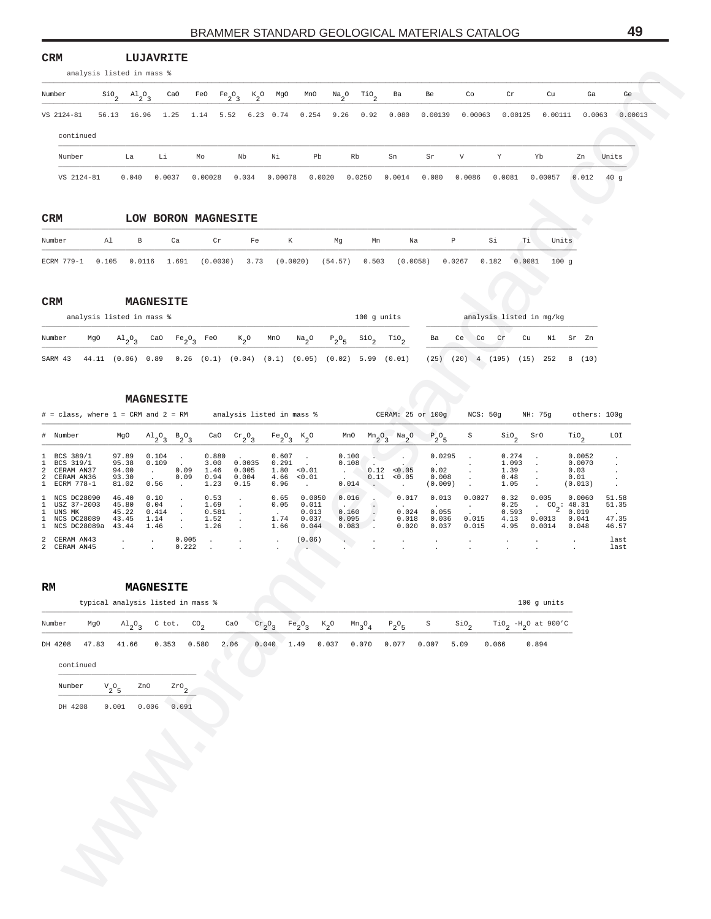#### **CRM LUJAVRITE**

| Number     |       | $\sin^3$ $\sin^3$ | CaO    | FeO Fe <sub>2</sub> <sup>o</sup> <sub>3</sub> |       | $K_2$ O MgO | MnO    | $\text{Na}_2\text{O}$ . |        | TiO <sub>2</sub> Ba | Be      | Co           | Cr      | Cu      | Ga     | Ge      |
|------------|-------|-------------------|--------|-----------------------------------------------|-------|-------------|--------|-------------------------|--------|---------------------|---------|--------------|---------|---------|--------|---------|
| VS 2124-81 | 56.13 | 16.96             |        | 1.25 1.14 5.52 6.23 0.74 0.254 9.26 0.92      |       |             |        |                         |        | 0.080               | 0.00139 | 0.00063      | 0.00125 | 0.00111 | 0.0063 | 0.00013 |
| continued  |       |                   |        |                                               |       |             |        |                         |        |                     |         |              |         |         |        |         |
| Number     |       | La                | Li     | Mo                                            | Nb    | Νi          | Pb     | Rb                      |        | Sn                  | Sr      | $\mathbf{V}$ | Y       | Yb      | Zn     | Units   |
| VS 2124-81 |       | 0.040             | 0.0037 | 0.00028                                       | 0.034 | 0.00078     | 0.0020 |                         | 0.0250 | 0.0014              | 0.080   | 0.0086       | 0.0081  | 0.00057 | 0.012  | 40q     |

| <b>CRM</b>                    |    |   |    | LOW BORON MAGNESITE                                                       |    |   |    |    |    |   |    |    |       |
|-------------------------------|----|---|----|---------------------------------------------------------------------------|----|---|----|----|----|---|----|----|-------|
| Number                        | Al | B | Ca | Cr                                                                        | Fe | К | Ma | Mn | Na | P | Si | Тi | Units |
| ECRM 779-1 0.105 0.0116 1.691 |    |   |    | $(0.0030)$ 3.73 $(0.0020)$ $(54.57)$ 0.503 $(0.0058)$ 0.0267 0.182 0.0081 |    |   |    |    |    |   |    |    | 100q  |

| <b>CRM</b> |     |                           | <b>MAGNESITE</b> |           |     |                                                                     |     |          |          |               |                  |      |      |            |                          |      |          |   |      |
|------------|-----|---------------------------|------------------|-----------|-----|---------------------------------------------------------------------|-----|----------|----------|---------------|------------------|------|------|------------|--------------------------|------|----------|---|------|
|            |     | analysis listed in mass % |                  |           |     |                                                                     |     |          |          | $100$ q units |                  |      |      |            | analysis listed in mg/kg |      |          |   |      |
| Number     | MgO | $\lambda$ <sup>0</sup>    | CaO              | $Fe_2O_2$ | FeO | $K_{0}$                                                             | MnO | $Na_{0}$ | $P_2O_E$ | $\sin$        | TiO <sub>2</sub> | Ba   | Ce   | $\circ$ Co | Cr                       | Cu   | Ni Sr Zn |   |      |
| SARM 43    |     |                           |                  |           |     | 44.11 (0.06) 0.89 0.26 (0.1) (0.04) (0.1) (0.05) (0.02) 5.99 (0.01) |     |          |          |               |                  | (25) | (20) | 4          | (195)                    | (15) | 252      | 8 | (10) |

|                                                               | analysis listed in mass %    |                                   |                                 |                                             |                                                     |                                               |                              |                         |                                                    |                          |                                             |                        |                                                     |                         |                               |
|---------------------------------------------------------------|------------------------------|-----------------------------------|---------------------------------|---------------------------------------------|-----------------------------------------------------|-----------------------------------------------|------------------------------|-------------------------|----------------------------------------------------|--------------------------|---------------------------------------------|------------------------|-----------------------------------------------------|-------------------------|-------------------------------|
| Number                                                        | $\mathsf{Sio}_2$             | $A1_{2}O_{3}$<br>CaO              | FeO                             | $Fe_2O_3$                                   | $K_2^o$<br>MgO                                      | MnO                                           | $\frac{Na}{2}$ <sup>O</sup>  | $\text{rio}_2$          | Ba                                                 | Be                       | Co                                          | Cr                     | Cu                                                  | Ga                      | Ge                            |
| VS 2124-81                                                    | 56.13                        | 16.96<br>1.25                     | 1.14                            | 5.52                                        | 6.23 0.74                                           | 0.254                                         | 9.26                         | 0.92                    | 0.080                                              | 0.00139                  | 0.00063                                     | 0.00125                | 0.00111                                             | 0.0063                  | 0.00013                       |
| continued                                                     |                              |                                   |                                 |                                             |                                                     |                                               |                              |                         |                                                    |                          |                                             |                        |                                                     |                         |                               |
| Number                                                        | La                           | Li                                | Mo                              |                                             | Nb<br>Νi                                            | Pb                                            | Rb                           |                         | Sn                                                 | Sr                       | V                                           | Y                      | Yb                                                  | Zn                      | Units                         |
| VS 2124-81                                                    | 0.040                        | 0.0037                            | 0.00028                         |                                             | 0.034<br>0.00078                                    |                                               | 0.0020<br>0.0250             |                         | 0.0014                                             | 0.080                    | 0.0086                                      | 0.0081                 | 0.00057                                             | 0.012                   | 40g                           |
|                                                               |                              |                                   |                                 |                                             |                                                     |                                               |                              |                         |                                                    |                          |                                             |                        |                                                     |                         |                               |
| CRM                                                           |                              | LOW BORON MAGNESITE               |                                 |                                             |                                                     |                                               |                              |                         |                                                    |                          |                                             |                        |                                                     |                         |                               |
| Number                                                        | Al                           | В                                 | Ca                              | Cr                                          | Fe                                                  | К                                             | Mg                           | Mn                      | Na                                                 | $\, {\mathbb P}$         | Si                                          | Тi                     | Units                                               |                         |                               |
| ECRM 779-1                                                    | 0.105                        | 0.0116<br>1.691                   |                                 |                                             | $(0.0030)$ 3.73 $(0.0020)$ $(54.57)$ 0.503          |                                               |                              |                         | (0.0058)                                           |                          | 0.0267<br>0.182                             | 0.0081                 | 100g                                                |                         |                               |
|                                                               |                              |                                   |                                 |                                             |                                                     |                                               |                              |                         |                                                    |                          |                                             |                        |                                                     |                         |                               |
| <b>CRM</b>                                                    |                              | <b>MAGNESITE</b>                  |                                 |                                             |                                                     |                                               |                              |                         |                                                    |                          |                                             |                        |                                                     |                         |                               |
|                                                               | analysis listed in mass %    |                                   |                                 |                                             |                                                     |                                               |                              | 100 g units             |                                                    |                          |                                             |                        | analysis listed in mg/kg                            |                         |                               |
| Number<br>MgO                                                 | $A1_{2}O_3$                  | CaO                               | $Fe_2O_3$                       | FeO                                         | $K_2^o$<br>MnO                                      | $\frac{Na}{2}$ <sup>O</sup>                   | $P_2O_5$                     | $\frac{\text{SiO}}{2}$  | $\mathbb{T}^{10}$ <sub>2</sub>                     | Ba                       | Ce<br>Co                                    | Cr<br>Cu               | Νi                                                  | Sr Zn                   |                               |
| SARM 43                                                       | 44.11 (0.06) 0.89            |                                   |                                 |                                             | $0.26$ (0.1) (0.04) (0.1) (0.05) (0.02) 5.99 (0.01) |                                               |                              |                         |                                                    |                          | $(25)$ $(20)$ 4 $(195)$ $(15)$ 252          |                        |                                                     | 8(10)                   |                               |
|                                                               |                              | <b>MAGNESITE</b>                  |                                 |                                             |                                                     |                                               |                              |                         |                                                    |                          |                                             |                        |                                                     |                         |                               |
| $\#$ = class, where $1$ = CRM and $2$ = RM                    |                              |                                   |                                 |                                             | analysis listed in mass %                           |                                               |                              |                         | CERAM: 25 or 100g                                  |                          | NCS: 50g                                    |                        | NH: 75g                                             | others: 100g            |                               |
| Number<br>#                                                   | MgO                          | $A1_2O_3$ $B_2O_3$                |                                 | CaO                                         | $\mathrm{cr}_2\mathrm{O}_3$                         | $Fe_2O_3$<br>$K_2^o$                          | MnO                          |                         | $Mn2$ <sup>O</sup> <sub>3</sub> $Na2$ <sup>O</sup> | $P_2O_5$                 | S                                           | $\frac{\text{SiO}}{2}$ | SrO                                                 | $\mathcal{I}^{10}$      | LOI                           |
| BCS 389/1<br>1<br>BCS 319/1<br>-1.                            | 97.89<br>95.38               | 0.104<br>0.109                    | $\cdot$                         | 0.880<br>3.00                               | 0.607<br>0.0035<br>0.291                            | $\cdot$                                       | 0.100<br>0.108               |                         |                                                    | 0.0295                   | $\cdot$<br>$\cdot$                          | 0.274<br>1.093         | $\cdot$<br>$\cdot$                                  | 0.0052<br>0.0070        | $\cdot$<br>$\cdot$            |
| 2<br>CERAM AN37<br>2<br>CERAM AN36<br>ECRM 778-1<br>1         | 94.00<br>93.30<br>81.02      | $\sim$<br>0.56                    | 0.09<br>0.09<br>$\cdot$         | 1.46<br>0.94<br>1.23                        | 0.005<br>0.004<br>4.66<br>0.15<br>0.96              | 1.80 < 0.01<br>< 0.01<br>$\ddot{\phantom{0}}$ | $\sim$ 100 $\sim$<br>0.014   | 0.12                    | < 0.05<br>$0.11$ < $0.05$<br>$\sim$                | 0.02<br>0.008<br>(0.009) | $\blacksquare$<br>$\blacksquare$<br>$\cdot$ | 1.39<br>0.48<br>1.05   | $\cdot$<br>$\cdot$<br>$\sim$                        | 0.03<br>0.01<br>(0.013) | $\cdot$<br>$\cdot$<br>$\cdot$ |
| NCS DC28090<br>1<br>USZ 37-2003<br>1.                         | 46.40<br>45.80               | 0.10<br>0.04                      | $\cdot$<br>$\bullet$            | 0.53<br>$\cdot$<br>1.69<br>$\cdot$          | 0.65<br>0.05                                        | 0.0050<br>0.011                               | 0.016                        |                         | 0.017                                              | 0.013                    | 0.0027<br>$\cdot$                           | 0.32<br>0.25           | 0.005                                               | 0.0060                  | 51.58<br>51.35                |
| UNS MK<br>-1.<br>1<br><b>NCS DC28089</b><br>1<br>NCS DC28089a | 45.22<br>43.45<br>43.44      | 0.414<br>1.14<br>1.46             | $\bullet$<br>$\cdot$<br>$\cdot$ | 0.581<br>$\cdot$<br>1.52<br>$\cdot$<br>1.26 | 1.74<br>1.66                                        | 0.013<br>0.037<br>0.044                       | 0.160<br>0.095<br>0.083      | $\cdot$<br>$\sim$<br>☞. | 0.024<br>0.018<br>0.020                            | 0.055<br>0.036<br>0.037  | 0.015<br>0.015                              | 0.593<br>4.13<br>4.95  | $\cdot$ CO <sub>2</sub> : 48.31<br>0.0013<br>0.0014 | 0.019<br>0.041<br>0.048 | 47.35<br>46.57                |
| CERAM AN43<br>2<br>2 CERAM AN45                               | $\cdot$                      | $\cdot$                           | 0.005<br>0.222                  | $\cdot$<br>$\cdot$<br>$\ddot{\phantom{a}}$  | $\ddot{\phantom{a}}$                                | (0.06)                                        | $\langle \cdot \rangle$      |                         |                                                    |                          |                                             | $\cdot$                |                                                     |                         | last<br>last                  |
|                                                               |                              |                                   |                                 |                                             |                                                     |                                               |                              |                         |                                                    |                          |                                             |                        |                                                     |                         |                               |
| RM                                                            |                              | <b>MAGNESTTE</b>                  |                                 |                                             |                                                     |                                               |                              |                         |                                                    |                          |                                             |                        |                                                     |                         |                               |
|                                                               |                              | typical analysis listed in mass % |                                 |                                             |                                                     |                                               |                              |                         |                                                    |                          |                                             |                        | 100 g units                                         |                         |                               |
| Number<br>MgO                                                 | $\mathrm{^{Al}_{2}O}_{3}$    | C tot.                            | $^{CO}$ <sub>2</sub>            | CaO                                         | $\frac{\text{cr}}{2}$ <sup>O</sup> <sub>3</sub>     | $Fe_2O_3$                                     | $\kappa_{2}^{\phantom{2}}$ o | $\mathrm{Mn_{3}O}_{4}$  | $\mathbb{P}_2\mathbb{O}_5$                         | S                        | $\mathsf{Sio}_2$                            |                        | $TiO_2$ -H <sub>2</sub> O at 900'C                  |                         |                               |
| 47.83<br>DH 4208                                              | 41.66                        | 0.353                             | 0.580                           | 2.06                                        | 0.040                                               | 1.49                                          | 0.037                        | 0.070                   | 0.077                                              | 0.007                    | 5.09                                        | 0.066                  | 0.894                                               |                         |                               |
| continued                                                     |                              |                                   |                                 |                                             |                                                     |                                               |                              |                         |                                                    |                          |                                             |                        |                                                     |                         |                               |
| Number                                                        | ${\rm v}_{2}^{\rm ~o}{}_{5}$ | ZnO                               | $z_{\texttt{r0}}_{2}$           |                                             |                                                     |                                               |                              |                         |                                                    |                          |                                             |                        |                                                     |                         |                               |
| DH 4208                                                       | 0.001                        | 0.006                             | 0.091                           |                                             |                                                     |                                               |                              |                         |                                                    |                          |                                             |                        |                                                     |                         |                               |
|                                                               |                              |                                   |                                 |                                             |                                                     |                                               |                              |                         |                                                    |                          |                                             |                        |                                                     |                         |                               |
|                                                               |                              |                                   |                                 |                                             |                                                     |                                               |                              |                         |                                                    |                          |                                             |                        |                                                     |                         |                               |
|                                                               |                              |                                   |                                 |                                             |                                                     |                                               |                              |                         |                                                    |                          |                                             |                        |                                                     |                         |                               |
|                                                               |                              |                                   |                                 |                                             |                                                     |                                               |                              |                         |                                                    |                          |                                             |                        |                                                     |                         |                               |
|                                                               |                              |                                   |                                 |                                             |                                                     |                                               |                              |                         |                                                    |                          |                                             |                        |                                                     |                         |                               |
|                                                               |                              |                                   |                                 |                                             |                                                     |                                               |                              |                         |                                                    |                          |                                             |                        |                                                     |                         |                               |
|                                                               |                              |                                   |                                 |                                             |                                                     |                                               |                              |                         |                                                    |                          |                                             |                        |                                                     |                         |                               |
|                                                               |                              |                                   |                                 |                                             |                                                     |                                               |                              |                         |                                                    |                          |                                             |                        |                                                     |                         |                               |
|                                                               |                              |                                   |                                 |                                             |                                                     |                                               |                              |                         |                                                    |                          |                                             |                        |                                                     |                         |                               |

| RM      |           |                                   | <b>MAGNESITE</b>                                       |       |      |                            |      |       |       |                                                                                         |       |                  |       |                                             |
|---------|-----------|-----------------------------------|--------------------------------------------------------|-------|------|----------------------------|------|-------|-------|-----------------------------------------------------------------------------------------|-------|------------------|-------|---------------------------------------------|
|         |           | typical analysis listed in mass % |                                                        |       |      |                            |      |       |       |                                                                                         |       |                  |       | $100$ q units                               |
| Number  | MgO       |                                   | $\mathrm{Al}_{2}\mathrm{O}_{3}$ C tot. CO <sub>2</sub> |       | CaO  | $\operatorname{Cr}_{2}O_3$ |      |       |       | $Fe_2O_3$ K <sub>2</sub> O Mn <sub>3</sub> O <sub>4</sub> P <sub>2</sub> O <sub>5</sub> | S     | SiO <sub>2</sub> |       | TiO <sub>2</sub> -H <sub>2</sub> O at 900'C |
| DH 4208 | 47.83     | 41.66                             | 0.353                                                  | 0.580 | 2.06 | 0.040                      | 1.49 | 0.037 | 0.070 | 0.077                                                                                   | 0.007 | 5.09             | 0.066 | 0.894                                       |
|         | continued |                                   |                                                        |       |      |                            |      |       |       |                                                                                         |       |                  |       |                                             |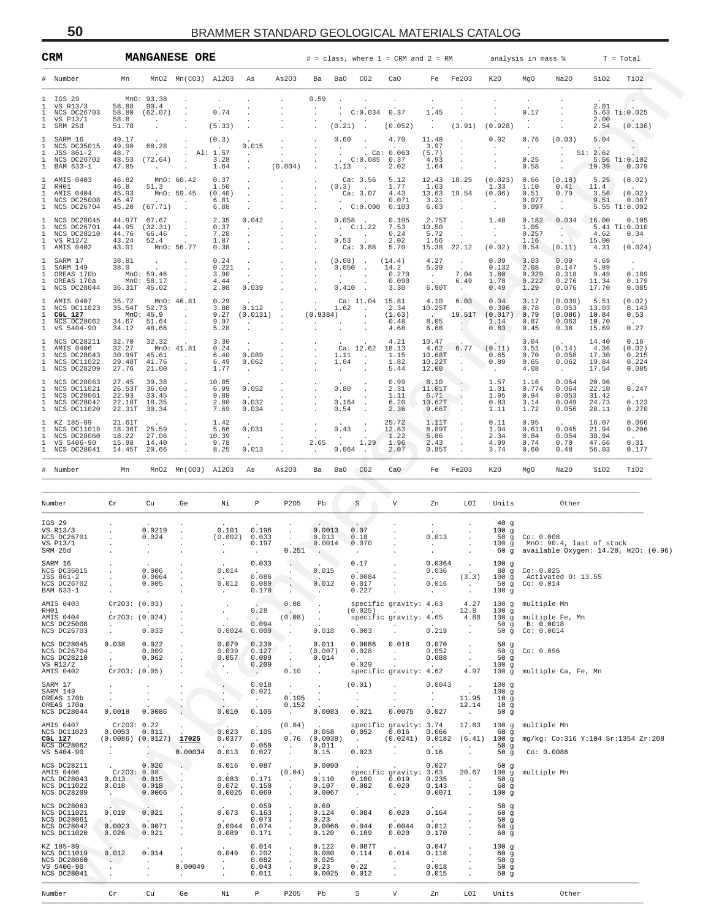| CRM                                                                                                                              |                                                                               |                                                                 | <b>MANGANESE ORE</b>                                    |                                                  |                                                            |                                                            |                                                       |                                  |                                                                            | $#$ = class, where 1 = CRM and 2 = RM                                 |                                                            |                                                                  |                                                              | analysis in mass %                                     |                                                         |                                           | $T = Total$                                         |
|----------------------------------------------------------------------------------------------------------------------------------|-------------------------------------------------------------------------------|-----------------------------------------------------------------|---------------------------------------------------------|--------------------------------------------------|------------------------------------------------------------|------------------------------------------------------------|-------------------------------------------------------|----------------------------------|----------------------------------------------------------------------------|-----------------------------------------------------------------------|------------------------------------------------------------|------------------------------------------------------------------|--------------------------------------------------------------|--------------------------------------------------------|---------------------------------------------------------|-------------------------------------------|-----------------------------------------------------|
| Number                                                                                                                           | Mn                                                                            |                                                                 | $MnO2$ $Mn(CO3)$ $Al2O3$ As                             |                                                  |                                                            | As203                                                      | Ba                                                    | Ba0                              | CO <sub>2</sub>                                                            | CaO                                                                   |                                                            | Fe Fe203                                                         | K20                                                          | MgO                                                    | Na20                                                    | SiO2                                      | TiO2                                                |
| IGS 29<br>л.<br>$\mathbf{1}$<br>VS R13/3<br>NCS DC26703<br>1<br>1<br>VS P13/1<br>$\mathbf{1}$<br>SRM 25d                         | 58.88<br>58.80<br>58.8<br>51.78                                               | MnO: 93.38<br>90.4<br>(62.07)<br>$\sim$<br>$\cdot$              | $\sim$<br>$\ddot{\phantom{a}}$                          | 0.74<br>(5.33)                                   |                                                            |                                                            | 0.59                                                  | (0.21)                           | C:0.034<br>$\overline{\phantom{a}}$                                        | 0.37<br>(0.052)                                                       | 1.45<br>$\ddot{\phantom{0}}$                               | (3.91)                                                           | (0.928)                                                      | 0.17<br>$\cdot$<br>$\ddot{\phantom{a}}$                |                                                         | 2.01<br>2.00<br>2.54                      | 5.63 Ti:0.025<br>$\sim$<br>(0.136)                  |
| -1<br>SARM 16<br>NCS DC35015<br>-1<br>JSS 861-2<br>-1<br>NCS DC26702<br>$\mathbf{1}$<br>$\mathbf{1}$<br>BAM 633-1                | 49.17<br>49.00<br>48.7<br>48.53<br>47.85                                      | 68.28<br><b>Contact Contact</b><br>(72.64)<br><b>Contractor</b> | $\sim$<br>$\sim$<br>$\cdot$<br><b>Contract Contract</b> | (0.3)<br>Al: 1.57<br>3.28<br>1.64                | 0.015<br><b>Contract</b><br>$\cdot$                        | $\sim$<br>(0.004)                                          | $\cdot$                                               | 0.60<br>$\sim$<br>$\sim$<br>1.13 | C:0.085 0.37<br>$\sim$                                                     | 4.70<br>. Ca: $0.063$<br>2.02                                         | 11.48<br>3.97<br>(5.7)<br>4.93<br>1.64                     | $\sim$<br>$\sim$                                                 | 0.02<br>$\sim$<br>$\sim$<br>$\sim$                           | 0.76<br>$\sim 10^{-11}$<br>$\sim$<br>0.25<br>0.58      | (0.03)<br>$\sim$<br>$\cdot$<br>$\cdot$                  | 5.04<br>Si: 2.62<br>10.39                 | $\sim$<br>5.56 Ti:0.102<br>0.079                    |
| AMIS 0403<br>$\mathbf{1}$<br>RH01<br>2<br>AMIS 0404<br>$\mathbf{1}$<br>$\mathbf{1}$<br><b>NCS DC25008</b><br>1 NCS DC26704       | 46.82<br>46.8<br>45.93<br>45.47<br>45.20                                      | 51.3<br>(67.71)                                                 | MnO: 60.42<br>$\sim 100$<br>MnO: 59.45<br>$\sim$        | 0.37<br>1.50<br>(0.40)<br>6.81<br>6.88           |                                                            |                                                            |                                                       | (0.3)                            | Ca: 3.56<br>Ca: 3.07<br>C:0.090 0.103                                      | 5.12<br>1.77<br>4.43<br>0.071                                         | 12.43 18.25<br>1.63<br>13.63 19.54<br>3.21<br>6.03         | <b>Contract</b><br>$\sim 100$<br>$\sim$                          | (0.023)<br>1.33<br>(0.06)<br>$\sim 10^{-11}$<br>$\sim$       | 0.66<br>1.10<br>0.51<br>0.077<br>0.097                 | (0.18)<br>0.41<br>0.79<br>$\sim$ $\sim$<br>$\sim$       | 5.25<br>11.4<br>3.56<br>9.51              | (0.02)<br>(0.02)<br>0.087<br>5.55 Ti:0.092          |
| $\mathbf{1}$<br>NCS DC28045<br>1<br>NCS DC26701<br>NCS DC28210<br>1<br>$\mathbf{1}$<br>VS R12/2<br>AMIS 0402<br>$\mathbf{1}$     | 44.76<br>43.24<br>43.01                                                       | 44.97T 67.67<br>44.95 (32.31)<br>66.46<br>52.4<br>MnO: 56.77    | $\cdot$<br>$\sim$<br>$\sim$                             | 2.35<br>0.37<br>7.28<br>1.87<br>0.38             | 0.042<br>$\sim$<br>$\cdot$<br>$\sim$                       |                                                            | $\ddot{\phantom{a}}$<br>$\cdot$                       | 0.53                             | $0.058$ .<br>C:1.22<br>$0.53$ :<br>Ca: 3.88                                | 0.195<br>7.53<br>0.24<br>2.02<br>5.70                                 | 2.75T<br>10.50<br>5.72<br>1.56<br>15.38 22.12              | $\sim 10^{-11}$<br>$\sim$ $\sim$                                 | 1.48<br>$\sim$<br>$\sim$<br>(0.02)                           | 0.182<br>1.05<br>0.257<br>1.16<br>0.54                 | $0.034$ 16.00<br><b>SALES</b><br>$\mathbb{C}$<br>(0.11) | 4.62<br>15.00<br>4.31                     | 0.105<br>5.41 Ti:0.010<br>0.34<br>$\sim$<br>(0.024) |
| 1<br>SARM 17<br>1<br>SARM 149<br>1<br>OREAS 170b<br>OREAS 170a<br>1<br>NCS DC28044<br>$\mathbf{1}$                               | 38.81<br>38.0                                                                 | $\sim$<br>MnO: 59.46<br>MnO: 58.17<br>36.31T 45.02              |                                                         | 0.24<br>0.221<br>3.90<br>4.44<br>2.08            | <b>Contract</b><br>$\sim 10^{-11}$<br>0.039                |                                                            | $\sim$<br>$\sim$                                      | 0.050<br><b>Service</b>          | $(0.08)$ .<br>$\overline{\phantom{a}}$<br>$\sim$<br>$0.410$ .              | (14.4)<br>14.2<br>0.270<br>0.090<br>3.30                              | 4.27<br>5.39<br>$\sim 10^{-11}$<br>6.90T                   | $\sim$ $\sim$<br>7.04<br>6.49<br>$\sim 100$                      | 0.09<br>0.132<br>1.80<br>1.70<br>0.49                        | 3.03<br>2.08<br>0.329<br>0.222<br>1.29                 | 0.09<br>0.147<br>0.318<br>0.276<br>0.076                | 4.69<br>5.89<br>9.49<br>11.34<br>17.70    | $\blacksquare$ .<br>0.189<br>0.179<br>0.085         |
| AMIS 0407<br>1<br>$\mathbf{1}$<br>NCS DC11023<br>1<br>CGL 127<br>1<br>NCS DC28062<br>1<br>VS 5404-90                             | 35.72<br>34.12                                                                | 35.54T 52.73<br>MnO: 45.9<br>34.67 51.64<br>48.66               | MnO: 46.81<br><b>Contract</b><br>$\sim$<br>$\cdot$      | 0.29<br>3.80<br>9.27<br>9.97<br>5.28             | 0.112<br>(0.0131)<br>$\sim$<br>$\cdot$                     |                                                            | (0.9384)<br>$\sim$                                    |                                  | Ca: 11.04 15.81<br>$1.62$ .<br>$\sim$<br>$\sim$                            | 2.34<br>(1.63)<br>0.48<br>4.68                                        | 4.10<br>10.25T<br><b>Contract Contract</b><br>8.05<br>6.68 | 6.03<br>$\sim$<br>19.51T<br>-40                                  | 0.04<br>0.396<br>(0.017)<br>1.14<br>0.83                     | 3.17<br>0.78<br>0.79<br>0.87<br>0.45                   | (0.039)<br>0.053<br>(0.086)<br>0.063<br>0.38            | 5.51<br>13.03<br>10.84<br>10.70<br>15.69  | (0.02)<br>0.143<br>0.53<br>0.27                     |
| NCS DC28211<br>ı<br>AMIS 0406<br>1<br>NCS DC28043<br>1<br>NCS DC11022<br>1<br>1<br>NCS DC28209                                   | 32.70<br>32.27<br>29.48T<br>27.76                                             | 32.32<br>30.99T 45.61<br>41.76<br>21.00                         | MnO: 41.81<br>$\sim 100$ km s $^{-1}$<br>$\sim$         | 3.30<br>0.24<br>6.40<br>6.49<br>1.77             | 0.089<br>0.062<br>$\sim$                                   |                                                            |                                                       | 1.04<br>$\sim$                   | Ca: 12.62<br>$1.11$ .<br>$\sim$                                            | 4.21<br>18.13<br>1.15<br>1.82<br>5.44                                 | 10.47<br>4.62<br>10.68T<br>10.22T<br>12.00                 | 6.77<br><b>CONTRACTOR</b><br>$\sim$                              | (0.11)<br>0.65<br>0.89<br>$\sim$                             | 3.04<br>3.51<br>0.70<br>0.65<br>4.08                   | (0.14)<br>0.058<br>0.062<br>$\sim$                      | 14.40<br>4.36<br>17.30<br>19.84<br>17.54  | 0.16<br>(0.02)<br>0.215<br>0.224<br>0.085           |
| NCS DC28063<br>-1.<br>NCS DC11021<br>$\mathbf{1}$<br>NCS DC28061<br>$\mathbf{1}$<br>$\mathbf{1}$<br>NCS DC28042<br>1 NCS DC11020 | 27.45<br>26.53T<br>22.93                                                      | 39.38<br>36.60<br>33.45<br>22.18T 18.35<br>22.31T 30.34         | $\sim$                                                  | 10.05<br>6.99<br>9.88<br>2.80<br>7.69            | 0.052<br><b>Contract Contract</b><br>0.032<br>0.034        |                                                            |                                                       | 0.80<br>$\sim$<br>0.54           | $0.164$ .<br>$\sim$                                                        | 0.99<br>2.31<br>1.11<br>6.20<br>2.36                                  | 8.10<br>11.01T<br>6.71<br>10.62T<br>9.66T                  | $\sim$ $\sim$<br>$\mathcal{L}_{\bullet}$<br>$\ddot{\phantom{a}}$ | 1.57<br>1.01<br>1.95<br>0.83<br>1.11                         | 1.16<br>0.774<br>0.94<br>3.14<br>1.72                  | 0.064<br>0.064<br>0.053<br>0.049<br>0.056               | 20.96<br>22.10<br>31.42<br>24.73<br>28.11 | 0.247<br>$\sim$<br>0.123<br>0.270                   |
| 1<br>KZ 185-89<br>1<br>NCS DC11019<br>NCS DC28060<br>1<br>VS 5406-90<br>-1.<br>NCS DC28041<br>1                                  | 21.61T<br>18.36T<br>18.22<br>15.98                                            | 25.59<br>27.06<br>14.40<br>14.45T 20.66                         | $\sim$<br>$\sim$                                        | 1.42<br>5.66<br>10.39<br>9.78<br>8.25            | 0.031<br>$\sim 10^{-11}$<br>0.013                          |                                                            | 2.65<br>$\cdot$                                       | $\sim$<br>0.43<br>0.064          | $\cdot$<br>$\begin{array}{c} 1.29 \end{array}$<br>$\overline{\phantom{a}}$ | 25.72<br>12.83<br>1.22<br>1.96<br>2.07                                | 1.11T<br>8.89T<br>5.86<br>2.43<br>0.85T                    | $\ddot{\phantom{a}}$<br>$\sim$<br>$\cdot$                        | 0.11<br>1.04<br>2.34<br>4.99<br>3.74                         | 0.95<br>0.611<br>0.84<br>0.74<br>0.60                  | 0.045<br>0.054<br>0.70<br>0.48                          | 16.07<br>21.94<br>38.94<br>47.66<br>56.03 | 0.066<br>0.206<br>0.31<br>0.177                     |
| Number                                                                                                                           | Mn                                                                            |                                                                 | MnO2 Mn(CO3) Al2O3                                      |                                                  | As                                                         | As203                                                      | Ba                                                    | Ba0                              | CO <sub>2</sub>                                                            | CaO                                                                   |                                                            | Fe Fe203                                                         | K <sub>20</sub>                                              | MgO                                                    | Na20                                                    | SiO2                                      | TiO2                                                |
| Number                                                                                                                           | ${\rm Cr}$                                                                    | Cu                                                              | Ge                                                      | Νi                                               | $\, {\bf P}$                                               | P205                                                       | Pb                                                    |                                  | $\, \mathbb{S} \,$                                                         | V                                                                     | Zn                                                         | LOI                                                              | Units                                                        |                                                        | Other                                                   |                                           |                                                     |
| IGS 29<br>VS R13/3<br>NCS DC26701<br>VS P13/1<br>SRM 25d                                                                         |                                                                               | 0.0219<br>0.024                                                 |                                                         | 0.101<br>$\sim$                                  | 0.196<br>(0.002) 0.033<br>0.197<br>$\sim$                  | $\sim$<br>$\sim$<br>0.251                                  | 0.0013<br>0.013<br>0.0014<br>$\sim$                   |                                  | 0.07<br>0.18<br>0.070<br>$\sim$                                            |                                                                       | $\ddot{\phantom{0}}$<br>0.013<br>$\sim 10^{-11}$           |                                                                  | 40g<br>100g                                                  | 50 g Co: 0.008                                         | 100 g MnO: 90.4, last of stock                          |                                           | 60 g available Oxygen: 14.28, H2O: (0.96)           |
| SARM 16<br>NCS DC35015<br>JSS 861-2<br>NCS DC26702<br>BAM 633-1                                                                  |                                                                               | 0.006<br>0.0064<br>0.005<br>$\cdot$                             |                                                         | 0.014<br>0.012<br>$\ddot{\phantom{0}}$           | 0.033<br>0.086<br>0.080<br>0.170                           | $\cdot$<br>$\cdot$<br>$\cdot$                              | 0.015<br>0.012<br>$\sim$                              |                                  | 0.17<br>0.0084<br>0.017<br>0.227                                           | $\cdot$<br>$\cdot$                                                    | 0.0364<br>0.036<br>0.016<br>$\sim 10^{-1}$                 | (3.3)<br>$\sim$ $\sim$                                           | 100g<br>50g<br>100g                                          | 80 q Co: 0.025<br>Co: 0.014                            | 100 g Activated 0: 13.55                                |                                           |                                                     |
| AMIS 0403<br>RH01<br>AMIS 0404<br>NCS DC25008<br>NCS DC26703                                                                     | Cr2O3: (0.03)<br>$\sim$<br>$\ddot{\phantom{a}}$                               | Cr2O3: (0.024)<br>$\sim$<br>0.033                               | $\ddot{\phantom{a}}$                                    | $\ddot{\phantom{a}}$<br>$\blacksquare$<br>0.0024 | 0.28<br><b>Carlo</b><br>0.094<br>0.009                     | 0.08<br>$\sim$<br>(0.08)<br>$\sim$<br>$\ddot{\phantom{a}}$ | $\cdot$<br>$\cdot$<br>0.018                           |                                  | (0.025)<br>0.003                                                           | specific gravity: 4.63<br>$\sim$<br>specific gravity: 4.65<br>$\cdot$ | $\sim$<br>0.219                                            | 4.27<br>12.8<br>4.88<br>$\ddot{\phantom{a}}$<br>$\cdot$          | 100g                                                         | 100 g multiple Mn<br>50 q B: 0.0018<br>50 g Co: 0.0014 | 100 g multiple Fe, Mn                                   |                                           |                                                     |
| NCS DC28045<br>NCS DC26704<br>NCS DC28210<br>VS R12/2<br>AMIS 0402                                                               | 0.038<br>$\sim$<br>$\cdot$<br>Cr2O3: (0.05)                                   | 0.022<br>0.009<br>0.062                                         | $\cdot$<br>$\cdot$<br>$\cdot$<br>$\cdot$                | 0.079<br>0.039<br>0.057<br><br>$\sim$            | 0.230<br>0.127<br>0.099<br>0.209<br>$\sim$                 | $\cdot$<br>$\cdot$<br>$\cdot$<br>0.10                      | 0.011<br>(0.007)<br>0.014<br>$\cdot$                  |                                  | 0.0086<br>0.028<br>$\sim$<br>0.029                                         | 0.018<br>$\sim$<br>$\cdot$<br>specific gravity: 4.62                  | 0.070<br>0.052<br>0.088                                    | $\cdot$<br>$\sim$<br>$\sim$<br>4.97                              | 50g<br>50g<br>100g                                           | 50 g Co: 0.096                                         | 100 g multiple Ca, Fe, Mn                               |                                           |                                                     |
| SARM 17<br>SARM 149<br>OREAS 170b<br>OREAS 170a<br>NCS DC28044                                                                   | $\cdot$<br>$\cdot$<br>$\sim$<br>0.0018                                        | $\bullet$<br>$\cdot$<br>$\cdot$<br>0.0086                       | $\cdot$<br>$\bullet$<br>$\ddot{\phantom{1}}$            | $\cdot$<br>0.010                                 | 0.018<br>0.021<br>$\sim$<br>0.105                          | $\cdot$<br>0.195<br>0.152<br>$\sim$ $\sim$                 | $\cdot$<br>$\cdot$<br>$\cdot$<br>0.0083               |                                  | (0.01)<br>$\cdot$<br>0.021                                                 | 0.0075                                                                | 0.0043<br>$\cdot$<br>0.027                                 | $\sim$<br>11.95<br>12.14<br>$\sim$                               | 100g<br>100g<br>10 <sub>g</sub><br>10 <sub>g</sub><br>50g    |                                                        |                                                         |                                           |                                                     |
| AMIS 0407<br>NCS DC11023<br>CGL 127<br><b>NCS DC28062</b><br>VS 5404-90                                                          | Cr2O3: 0.22<br>$0.0053$ $0.011$<br>$(0.0086)$ $(0.0127)$<br>$\sim$<br>$\cdot$ | $\cdot$<br>$\ddot{\phantom{0}}$                                 | $\ddot{\phantom{0}}$<br>17025<br>0.00034                | 0.023<br>0.0377<br>0.013                         | 0.105<br>$\sim$<br>0.050<br>0.027                          | (0.04)<br>0.76<br>$\sim$<br>$\cdot$                        | 0.058<br>(0.0038)<br>0.011<br>0.15                    |                                  | 0.052<br>$\sim 10^{-11}$<br>0.023                                          | specific gravity: 3.74<br>0.016<br>(0.0241)<br>$\cdot$<br>$\cdot$     | 0.066<br>0.0182<br>0.16                                    | 17.83<br>(6.41)<br>$\sim$<br>$\cdot$                             | 60g<br>50g<br>50g                                            | 100 g multiple Mn<br>Co: 0.0086                        |                                                         |                                           | 100 g mg/kg: Co:316 Y:104 Sr:1354 Zr:208            |
| NCS DC28211<br>AMIS 0406<br>NCS DC28043<br>NCS DC11022<br>NCS DC28209                                                            | 0.013<br>0.018<br>$\sim$                                                      | 0.020<br>Cr2O3: 0.08<br>0.015<br>0.018<br>0.0066                | $\sim$ $-$<br>$\sim$<br>$\sim$<br>$\cdot$<br>$\Delta$   | 0.016<br>$\sim$<br>0.083<br>0.072                | 0.087<br>$\sim 10^{-10}$<br>0.171<br>0.150<br>0.0025 0.069 | (0.04)<br>$\sim$<br>$\cdot$<br>$\Box$                      | 0.0090<br>$\sim 10^{-11}$<br>0.110<br>0.107<br>0.0067 |                                  | 0.100<br>0.082<br>$\sim$                                                   | specific gravity: 3.63<br>0.019<br>0.020<br>$\sim$                    | 0.027<br>0.235<br>0.143<br>0.0071                          | 20.67<br>$\sim$<br>$\cdot$                                       | 50g<br>50 $g$<br>60g<br>100g                                 | 100 g multiple Mn                                      |                                                         |                                           |                                                     |
| NCS DC28063<br>NCS DC11021<br>NCS DC28061<br>NCS DC28042<br>NCS DC11020                                                          | <b>CO</b><br>0.019<br>0.0023<br>0.026                                         | 0.021<br>0.0071<br>0.021                                        | $\ddot{\phantom{0}}$<br>$\ddot{\phantom{a}}$            | 0.073<br>0.0044<br>0.089                         | 0.059<br>0.163<br>0.073<br>0.074<br>0.171                  | $\cdot$<br>$\cdot$<br>$\cdot$<br>$\cdot$<br>$\cdot$        | 0.60<br>0.124<br>0.23<br>0.0066<br>0.120              |                                  | 0.084<br>0.044<br>0.109                                                    | 0.020<br>0.0044<br>0.020                                              | 0.164<br>0.012<br>0.170                                    |                                                                  | 50 <sub>g</sub><br>60g<br>50g<br>50g<br>60g                  |                                                        |                                                         |                                           |                                                     |
| KZ 185-89<br>NCS DC11019<br>NCS DC28060<br>VS 5406-90<br>NCS DC28041                                                             | 0.012<br>$\sim$ $\sim$<br>$\cdot$<br>$\cdot$                                  | 0.014<br>$\cdot$<br>$\cdot$<br>$\cdot$                          | 0.00049<br>$\sim$                                       | 0.049<br>$\bullet$<br>$\cdot$<br>$\cdot$         | 0.014<br>0.202<br>0.082<br>0.043<br>0.011                  | $\cdot$<br>$\cdot$<br>$\cdot$<br>$\cdot$<br>$\cdot$        | 0.122<br>0.080<br>0.025<br>0.23<br>0.0025             |                                  | 0.087T<br>0.114<br>0.22<br>0.012                                           | 0.014<br>$\cdot$<br>$\cdot$<br>$\blacksquare$                         | 0.047<br>0.118<br>0.018<br>0.015                           |                                                                  | 100g<br>60 g<br>50 <sub>g</sub><br>50 <sub>g</sub><br>50 $g$ |                                                        |                                                         |                                           |                                                     |
| Number                                                                                                                           | Cr                                                                            | Cu                                                              | Ge                                                      | Νi                                               | P                                                          | P205                                                       | Pb                                                    |                                  | S                                                                          | V                                                                     | Zn                                                         | LOI                                                              | Units                                                        |                                                        | Other                                                   |                                           |                                                     |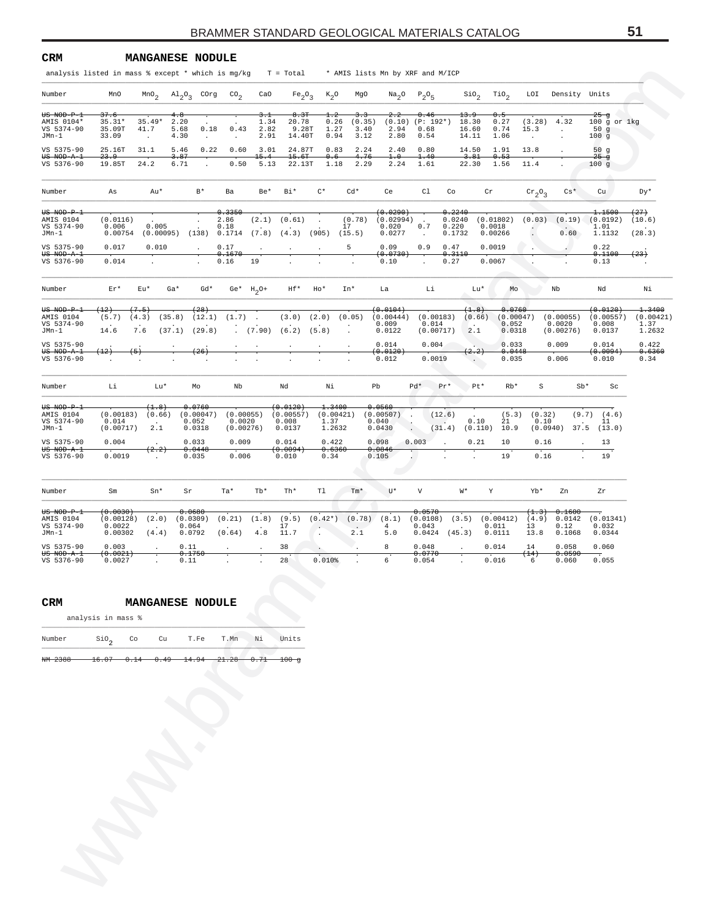| analysis listed in mass % except * which is mg/kg<br>MnO |                                                      |                                                                                                                    |                                                                     |                                                                  | $T = Total$                                                                                 |                                                                                                                                                 |                                                                                                             |                                                                                                                     |                                                                                                                          |                                                                                    |                                                                                                        |                                                                                                                                                              |                                                                                                                                                               |                                                                                                     |                                                                                                                                                                                  |                                                                                              |
|----------------------------------------------------------|------------------------------------------------------|--------------------------------------------------------------------------------------------------------------------|---------------------------------------------------------------------|------------------------------------------------------------------|---------------------------------------------------------------------------------------------|-------------------------------------------------------------------------------------------------------------------------------------------------|-------------------------------------------------------------------------------------------------------------|---------------------------------------------------------------------------------------------------------------------|--------------------------------------------------------------------------------------------------------------------------|------------------------------------------------------------------------------------|--------------------------------------------------------------------------------------------------------|--------------------------------------------------------------------------------------------------------------------------------------------------------------|---------------------------------------------------------------------------------------------------------------------------------------------------------------|-----------------------------------------------------------------------------------------------------|----------------------------------------------------------------------------------------------------------------------------------------------------------------------------------|----------------------------------------------------------------------------------------------|
|                                                          |                                                      |                                                                                                                    |                                                                     |                                                                  |                                                                                             |                                                                                                                                                 |                                                                                                             | * AMIS lists Mn by XRF and M/ICP                                                                                    |                                                                                                                          |                                                                                    |                                                                                                        |                                                                                                                                                              |                                                                                                                                                               |                                                                                                     |                                                                                                                                                                                  |                                                                                              |
|                                                          | MnO <sub>2</sub>                                     | $\mathrm{Al}_{2}\mathrm{O}_{3}$ COrg                                                                               | $\text{CO}_2$                                                       | CaO                                                              | Fe <sub>2</sub> O <sub>3</sub>                                                              | $K_2$ O                                                                                                                                         | MgO                                                                                                         | Na <sub>2</sub> O                                                                                                   | $P_2O_5$                                                                                                                 |                                                                                    | Sio <sub>2</sub>                                                                                       | TiO <sub>2</sub>                                                                                                                                             | LOI                                                                                                                                                           | Density Units                                                                                       |                                                                                                                                                                                  |                                                                                              |
| <del>37.6</del><br>$35.31*$<br>35.09T                    | $35.49*$<br>41.7                                     | 4.8<br>2.20<br>0.18<br>5.68                                                                                        | 0.43                                                                | 3. T<br>1.34<br>2.82                                             | 8.3T<br>20.78<br>9.28T                                                                      | $^{1.2}$<br>0.26<br>1.27                                                                                                                        | 3. 3<br>(0.35)<br>3.40                                                                                      | 2.2<br>(0.10)<br>2.94                                                                                               | 0.46<br>(P: 192*)<br>0.68                                                                                                |                                                                                    | <del>13.9</del><br>18.30<br>16.60                                                                      | 0.5<br>0.27<br>0.74                                                                                                                                          | (3.28)<br>15.3                                                                                                                                                | 4.32                                                                                                | $25 - g$<br>$100$ g or $1kg$<br>50 <sub>g</sub>                                                                                                                                  |                                                                                              |
| 33.09                                                    | $\cdot$                                              | 4.30<br>$\cdot$                                                                                                    | $\cdot$                                                             |                                                                  |                                                                                             |                                                                                                                                                 |                                                                                                             | 2.80                                                                                                                | 0.54                                                                                                                     |                                                                                    |                                                                                                        | 1.06                                                                                                                                                         |                                                                                                                                                               | $\blacksquare$                                                                                      |                                                                                                                                                                                  |                                                                                              |
| 23.9                                                     |                                                      | 3.87                                                                                                               |                                                                     |                                                                  |                                                                                             | 0.6                                                                                                                                             |                                                                                                             | 1.0                                                                                                                 | 1.40                                                                                                                     |                                                                                    | 3.81                                                                                                   | 0.53                                                                                                                                                         |                                                                                                                                                               | $\cdot$                                                                                             | $25 - g$                                                                                                                                                                         |                                                                                              |
|                                                          |                                                      |                                                                                                                    |                                                                     |                                                                  |                                                                                             |                                                                                                                                                 |                                                                                                             |                                                                                                                     |                                                                                                                          |                                                                                    |                                                                                                        |                                                                                                                                                              |                                                                                                                                                               |                                                                                                     |                                                                                                                                                                                  |                                                                                              |
| As                                                       | Au*                                                  | $B*$                                                                                                               | Ba                                                                  | Be*                                                              | Bi*                                                                                         | $C^*$                                                                                                                                           | $Cd*$                                                                                                       | Ce                                                                                                                  | C1                                                                                                                       | Co                                                                                 |                                                                                                        |                                                                                                                                                              |                                                                                                                                                               | $Cs*$                                                                                               | Cu                                                                                                                                                                               | Dy*                                                                                          |
| (0.0116)<br>0.006<br>0.00754                             | 0.005                                                | $\cdot$                                                                                                            | 0.3350<br>2.86<br>0.18                                              | (2.1)                                                            | (0.61)                                                                                      |                                                                                                                                                 |                                                                                                             | 0.020<br>0.0277                                                                                                     | $\ddot{\phantom{a}}$<br>0.7<br>$\cdot$                                                                                   |                                                                                    |                                                                                                        |                                                                                                                                                              |                                                                                                                                                               | (0.19)<br>0.60                                                                                      | 1.1500<br>1.01<br>1.1132                                                                                                                                                         | (27)<br>(10.6)<br>(28.3)                                                                     |
| 0.017<br>0.014                                           | 0.010                                                | $\blacksquare$                                                                                                     | 0.17<br>0.1670<br>0.16                                              | $\cdot$<br>19                                                    | $\cdot$                                                                                     | $\cdot$                                                                                                                                         | 5                                                                                                           | 0.09<br>0.10                                                                                                        | 0.9                                                                                                                      |                                                                                    |                                                                                                        |                                                                                                                                                              |                                                                                                                                                               | $\epsilon$                                                                                          | 0.22<br>0.1100<br>0.13                                                                                                                                                           | (23)                                                                                         |
| Er*                                                      |                                                      | $Gd*$                                                                                                              |                                                                     |                                                                  | Hf*                                                                                         | Ho*                                                                                                                                             |                                                                                                             | La                                                                                                                  | Li                                                                                                                       |                                                                                    |                                                                                                        | Mo                                                                                                                                                           |                                                                                                                                                               | Nb                                                                                                  | Nd                                                                                                                                                                               | Νi                                                                                           |
| $^{(12)}$<br>(5.7)<br>14.6                               |                                                      | <del>(28)</del>                                                                                                    |                                                                     | $\mathcal{A}$                                                    | (3.0)                                                                                       |                                                                                                                                                 |                                                                                                             | (0.0104)<br>0.009<br>0.0122                                                                                         |                                                                                                                          |                                                                                    | <b>Card</b><br>2.1                                                                                     |                                                                                                                                                              |                                                                                                                                                               |                                                                                                     | <del>(0.0120)</del><br>0.008<br>0.0137                                                                                                                                           | 1.3400<br>(0.00421)<br>1.37<br>1.2632                                                        |
| (12)                                                     |                                                      | (26)                                                                                                               |                                                                     |                                                                  | $\cdot$                                                                                     | $\cdot$                                                                                                                                         | $\bullet$                                                                                                   | 0.014<br><del>(0.0120)</del><br>0.012                                                                               |                                                                                                                          |                                                                                    | (2.2)<br>$\sim$                                                                                        |                                                                                                                                                              |                                                                                                                                                               |                                                                                                     | 0.014<br>(0.0094)<br>0.010                                                                                                                                                       | 0.422<br><del>0.6360</del><br>0.34                                                           |
| Li                                                       | Lu*                                                  | Mo                                                                                                                 | Nb                                                                  |                                                                  | Nd                                                                                          | Νi                                                                                                                                              |                                                                                                             |                                                                                                                     | Pd*                                                                                                                      | $Pr*$                                                                              |                                                                                                        | $Rb*$                                                                                                                                                        | $\rm S$                                                                                                                                                       |                                                                                                     | Sc                                                                                                                                                                               |                                                                                              |
| 0.014<br>(0.00717)                                       | (1.8)<br>$\cdot$<br>2.1                              | 0.0760<br>0.052<br>0.0318                                                                                          |                                                                     |                                                                  | 0.008<br>0.0137                                                                             | 1.37                                                                                                                                            |                                                                                                             |                                                                                                                     | $\cdot$                                                                                                                  |                                                                                    |                                                                                                        | 21<br>10.9                                                                                                                                                   |                                                                                                                                                               |                                                                                                     | (4.6)<br>11<br>(13.0)                                                                                                                                                            |                                                                                              |
| 0.004                                                    | (2.2)                                                | 0.033<br>0.0448                                                                                                    |                                                                     |                                                                  | 0.014                                                                                       |                                                                                                                                                 |                                                                                                             |                                                                                                                     |                                                                                                                          | $\cdot$                                                                            | 0.21                                                                                                   | 10                                                                                                                                                           |                                                                                                                                                               | $\cdot$                                                                                             | 13                                                                                                                                                                               |                                                                                              |
|                                                          |                                                      | 0.035                                                                                                              |                                                                     |                                                                  |                                                                                             | 0.34                                                                                                                                            |                                                                                                             |                                                                                                                     |                                                                                                                          |                                                                                    |                                                                                                        |                                                                                                                                                              |                                                                                                                                                               |                                                                                                     |                                                                                                                                                                                  |                                                                                              |
| Sm                                                       | Sn*                                                  | Sr                                                                                                                 | Ta*                                                                 | $Tb*$                                                            | Th*                                                                                         | Tl                                                                                                                                              | Tm*                                                                                                         | U*                                                                                                                  | V                                                                                                                        |                                                                                    |                                                                                                        | Y                                                                                                                                                            | Yb*                                                                                                                                                           | Zn                                                                                                  | Ζr                                                                                                                                                                               |                                                                                              |
| <del>(0.0030)</del><br>(0.00128)<br>0.0022<br>0.00302    | (2.0)<br>$\cdot$<br>(4.4)                            | 0.0680<br>(0.0309)<br>0.064<br>0.0792                                                                              | (0.21)<br>(0.64)                                                    | (1.8)<br>4.8                                                     | (9.5)<br>17<br>11.7                                                                         | $\cdot$                                                                                                                                         | (0.78)<br>2.1                                                                                               | (8.1)<br>$\overline{4}$<br>5.0                                                                                      | 0.043                                                                                                                    |                                                                                    |                                                                                                        |                                                                                                                                                              | 13<br>13.8                                                                                                                                                    | 0.1600<br>0.0142<br>0.12<br>0.1068                                                                  | 0.032<br>0.0344                                                                                                                                                                  |                                                                                              |
| 0.003<br>(0.0021)                                        | $\cdot$                                              | 0.11                                                                                                               | $\cdot$                                                             | $\cdot$                                                          | 38                                                                                          | $\cdot$                                                                                                                                         | $\cdot$                                                                                                     | 8                                                                                                                   | 0.048                                                                                                                    |                                                                                    |                                                                                                        |                                                                                                                                                              | 14                                                                                                                                                            | 0.058                                                                                               | 0.060<br>$\overline{\cdot}$                                                                                                                                                      |                                                                                              |
| 0.0027                                                   |                                                      | 0.11                                                                                                               |                                                                     |                                                                  | 28                                                                                          | 0.010%                                                                                                                                          |                                                                                                             | 6                                                                                                                   | 0.054                                                                                                                    |                                                                                    |                                                                                                        |                                                                                                                                                              | 6                                                                                                                                                             | 0.060                                                                                               | 0.055                                                                                                                                                                            |                                                                                              |
|                                                          |                                                      |                                                                                                                    |                                                                     |                                                                  |                                                                                             |                                                                                                                                                 |                                                                                                             |                                                                                                                     |                                                                                                                          |                                                                                    |                                                                                                        |                                                                                                                                                              |                                                                                                                                                               |                                                                                                     |                                                                                                                                                                                  |                                                                                              |
|                                                          |                                                      | T.Fe                                                                                                               | T.Mn                                                                | Νi                                                               | Units                                                                                       |                                                                                                                                                 |                                                                                                             |                                                                                                                     |                                                                                                                          |                                                                                    |                                                                                                        |                                                                                                                                                              |                                                                                                                                                               |                                                                                                     |                                                                                                                                                                                  |                                                                                              |
|                                                          |                                                      |                                                                                                                    |                                                                     |                                                                  |                                                                                             |                                                                                                                                                 |                                                                                                             |                                                                                                                     |                                                                                                                          |                                                                                    |                                                                                                        |                                                                                                                                                              |                                                                                                                                                               |                                                                                                     |                                                                                                                                                                                  |                                                                                              |
|                                                          |                                                      |                                                                                                                    |                                                                     |                                                                  |                                                                                             |                                                                                                                                                 |                                                                                                             |                                                                                                                     |                                                                                                                          |                                                                                    |                                                                                                        |                                                                                                                                                              |                                                                                                                                                               |                                                                                                     |                                                                                                                                                                                  |                                                                                              |
|                                                          | 25.16T<br>19.85T<br>0.0019<br>$\sin \theta$<br>16.07 | 31.1<br>24.2<br>Eu*<br>(7.5)<br>(4.3)<br>7.6<br>$\left( 5\right)$<br>(0.00183)<br>analysis in mass %<br>Co<br>0.14 | 5.46<br>6.71<br>$Ga*$<br>(35.8)<br>(37.1)<br>(0.66)<br>0.1750<br>Cu | 0.22<br>(12.1)<br>(29.8)<br>(0.00047)<br><b>MANGANESE NODULE</b> | 0.60<br>0.50<br>Ge* $H_2O^+$<br>(1.7)<br>(0.00055)<br>0.0020<br>(0.00276)<br>0.009<br>0.006 | 2.91<br>3.01<br>15.4<br>5.13<br>$(0.00095)$ $(138)$ $0.1714$ $(7.8)$ $(4.3)$<br><del>(0.0120)</del><br><del>(0.0094</del><br>0.010<br>$100 - g$ | 14.40T<br>24.87T<br>15.6T<br>22.13T<br>(905)<br>(2.0)<br>$(7.90)$ $(6.2)$ $(5.8)$<br>(0.00557)<br>$(0.42*)$ | 0.94<br>0.83<br>1.18<br>(0.78)<br>17<br>(15.5)<br>In*<br>(0.05)<br>1.3400<br>(0.00421)<br>1.2632<br>0.422<br>0.6360 | 3.12<br>2.24<br>2.40<br>4.76<br>2.29<br>2.24<br>Pb<br>0.0560<br>(0.00507)<br>0.040<br>0.0430<br>0.098<br>0.0846<br>0.105 | 0.80<br>1.61<br>(0.0290)<br>(0.02994)<br><del>(0.0730)</del><br>(0.00444)<br>0.003 | (0.00183)<br>0.014<br>(0.00717)<br>0.004<br>0.0019<br>(12.6)<br>(31.4)<br>0.0570<br>(0.0108)<br>0.0770 | 14.11<br>14.50<br>22.30<br>0.2240<br>0.0240<br>0.220<br>0.1732<br>0.47<br>0.3110<br>0.27<br>Lu*<br>(1.8)<br>Pt*<br>M*<br>(3.5)<br>$0.0424$ (45.3)<br>$\cdot$ | 1.91<br>1.56<br>Cr<br>(0.01802)<br>0.0018<br>0.00266<br>0.0019<br>0.0067<br>(0.66)<br>0.10<br>(0.110)<br>19<br>(0.00412)<br>0.011<br>0.0111<br>0.014<br>0.016 | 13.8<br>11.4<br>0.0760<br>(0.00047)<br>0.052<br>0.0318<br>0.033<br>0.0448<br>0.035<br>(5.3)<br>(14) | $\cdot$<br>$\mathrm{cr}_2\mathrm{O}_3$<br>(0.03)<br>(0.00055)<br>0.0020<br>(0.00276)<br>0.009<br>0.006<br>(0.32)<br>0.10<br>(0.0940)<br>0.16<br>0.16<br>(1.3)<br>(4.9)<br>0.0590 | 100g<br>50 $g$<br>100g<br>(0.0192)<br>(0.00557)<br>$Sb*$<br>(9.7)<br>37.5<br>19<br>(0.01341) |

### **CRM MANGANESE NODULE**

| Mumber |  | T.Fe | T.Mn | Ni |  |
|--------|--|------|------|----|--|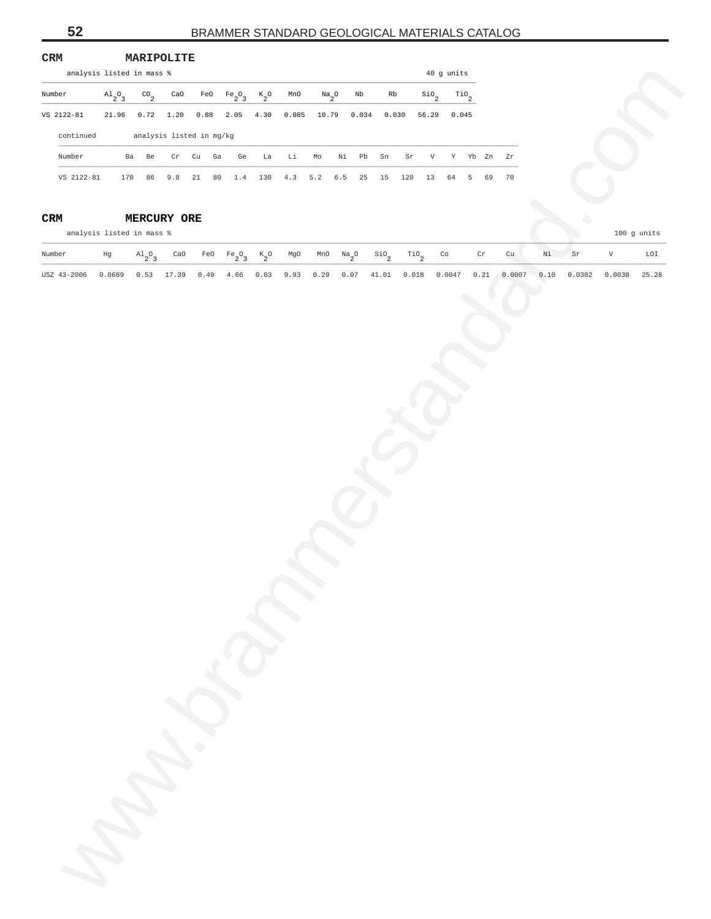| CRM<br>analysis listed in mass %                                                                              |               | MARIPOLITE                |                             |                                           |                                    |    |       |                                                |    |    |                     |                                |                            |                    |                         |    |    |          |   |               |
|---------------------------------------------------------------------------------------------------------------|---------------|---------------------------|-----------------------------|-------------------------------------------|------------------------------------|----|-------|------------------------------------------------|----|----|---------------------|--------------------------------|----------------------------|--------------------|-------------------------|----|----|----------|---|---------------|
|                                                                                                               |               |                           |                             |                                           |                                    |    |       |                                                |    |    |                     |                                |                            | 40 g units         |                         |    |    |          |   |               |
| Number                                                                                                        | $A1_{2}O_{3}$ | $^{CO}$ <sub>2</sub>      | $\mathop{\rm CaO}\nolimits$ |                                           | FeO $Fe_2O_3$ K <sub>2</sub> O MnO |    |       | $Na_{2}O$                                      |    | Nb | Rb                  |                                | $\sin \frac{\theta}{2}$    | $\overline{110}_2$ |                         |    |    |          |   |               |
| VS 2122-81                                                                                                    |               |                           |                             | $21.96$ 0.72 1.20 0.88 2.05 4.30          |                                    |    | 0.085 |                                                |    |    | 10.79  0.034  0.030 |                                |                            | 56.29 0.045        |                         |    |    |          |   |               |
| continued                                                                                                     |               |                           |                             | analysis listed in mg/kg                  |                                    |    |       |                                                |    |    |                     |                                |                            |                    |                         |    |    |          |   |               |
| Number                                                                                                        |               | Ba Be                     |                             | $\mathtt{Cr}$ $\mathtt{Cu}$ $\mathtt{Ga}$ | Ge                                 | La | Li    | Mo                                             | Ni | Pb | Sn                  | $\mathtt{Sr}$                  | V                          |                    | Y Yb Zn Zr              |    |    |          |   |               |
| VS 2122-81  170  86  9.8  21  80  1.4  130  4.3  5.2  6.5  25  15  120  13                                    |               |                           |                             |                                           |                                    |    |       |                                                |    |    |                     |                                |                            |                    | 64 5 69 70              |    |    |          |   |               |
| $\mathtt{CRM}$                                                                                                |               | MERCURY ORE               |                             |                                           |                                    |    |       |                                                |    |    |                     |                                |                            |                    |                         |    |    |          |   |               |
| analysis listed in mass %                                                                                     |               |                           |                             |                                           |                                    |    |       |                                                |    |    |                     |                                |                            |                    |                         |    |    |          |   | $100$ g units |
| Number                                                                                                        | Hg            | $\mathrm{^{Al}_{2}O_{3}}$ | CaO                         |                                           | FeO $Fe_2O_3$ K <sub>2</sub> O     |    |       | MgO MnO $\text{Na}_2\text{O}$ SiO <sub>2</sub> |    |    |                     | $\mathbb{T}^{10}$ <sub>2</sub> | $\mathop{\rm Co}\nolimits$ |                    | $\operatorname{\sf Cr}$ | cu | Νi | $\rm Sr$ | V | LOI           |
| USZ 43-2006 0.0689 0.53 17.39 0.49 4.66 0.03 9.93 0.29 0.07 41.01 0.018 0.0047 0.21 0.0007 0.10 0.0382 0.0038 |               |                           |                             |                                           |                                    |    |       |                                                |    |    |                     |                                |                            |                    |                         |    |    |          |   | 25.28         |
|                                                                                                               |               |                           |                             |                                           |                                    |    |       |                                                |    |    |                     |                                |                            |                    |                         |    |    |          |   |               |
|                                                                                                               |               |                           |                             |                                           |                                    |    |       |                                                |    |    |                     |                                |                            |                    |                         |    |    |          |   |               |
|                                                                                                               |               |                           |                             |                                           |                                    |    |       |                                                |    |    |                     |                                |                            |                    |                         |    |    |          |   |               |
|                                                                                                               |               |                           |                             |                                           |                                    |    |       |                                                |    |    |                     |                                |                            |                    |                         |    |    |          |   |               |
|                                                                                                               |               |                           |                             |                                           |                                    |    |       |                                                |    |    |                     |                                |                            |                    |                         |    |    |          |   |               |
|                                                                                                               |               |                           |                             |                                           |                                    |    |       |                                                |    |    |                     |                                |                            |                    |                         |    |    |          |   |               |
|                                                                                                               |               |                           |                             |                                           |                                    |    |       |                                                |    |    |                     |                                |                            |                    |                         |    |    |          |   |               |
|                                                                                                               |               |                           |                             |                                           |                                    |    |       |                                                |    |    |                     |                                |                            |                    |                         |    |    |          |   |               |
|                                                                                                               |               |                           |                             |                                           |                                    |    |       |                                                |    |    |                     |                                |                            |                    |                         |    |    |          |   |               |
|                                                                                                               |               |                           |                             |                                           |                                    |    |       |                                                |    |    |                     |                                |                            |                    |                         |    |    |          |   |               |
|                                                                                                               |               |                           |                             |                                           |                                    |    |       |                                                |    |    |                     |                                |                            |                    |                         |    |    |          |   |               |
|                                                                                                               |               |                           |                             |                                           |                                    |    |       |                                                |    |    |                     |                                |                            |                    |                         |    |    |          |   |               |
|                                                                                                               |               |                           |                             |                                           |                                    |    |       |                                                |    |    |                     |                                |                            |                    |                         |    |    |          |   |               |
|                                                                                                               |               |                           |                             |                                           |                                    |    |       |                                                |    |    |                     |                                |                            |                    |                         |    |    |          |   |               |
|                                                                                                               |               |                           |                             |                                           |                                    |    |       |                                                |    |    |                     |                                |                            |                    |                         |    |    |          |   |               |
|                                                                                                               |               |                           |                             |                                           |                                    |    |       |                                                |    |    |                     |                                |                            |                    |                         |    |    |          |   |               |
|                                                                                                               |               |                           |                             |                                           |                                    |    |       |                                                |    |    |                     |                                |                            |                    |                         |    |    |          |   |               |
|                                                                                                               |               |                           |                             |                                           |                                    |    |       |                                                |    |    |                     |                                |                            |                    |                         |    |    |          |   |               |
|                                                                                                               |               |                           |                             |                                           |                                    |    |       |                                                |    |    |                     |                                |                            |                    |                         |    |    |          |   |               |
|                                                                                                               |               |                           |                             |                                           |                                    |    |       |                                                |    |    |                     |                                |                            |                    |                         |    |    |          |   |               |
|                                                                                                               |               |                           |                             |                                           |                                    |    |       |                                                |    |    |                     |                                |                            |                    |                         |    |    |          |   |               |
|                                                                                                               |               |                           |                             |                                           |                                    |    |       |                                                |    |    |                     |                                |                            |                    |                         |    |    |          |   |               |
|                                                                                                               |               |                           |                             |                                           |                                    |    |       |                                                |    |    |                     |                                |                            |                    |                         |    |    |          |   |               |
|                                                                                                               |               |                           |                             |                                           |                                    |    |       |                                                |    |    |                     |                                |                            |                    |                         |    |    |          |   |               |
|                                                                                                               |               |                           |                             |                                           |                                    |    |       |                                                |    |    |                     |                                |                            |                    |                         |    |    |          |   |               |
|                                                                                                               |               |                           |                             |                                           |                                    |    |       |                                                |    |    |                     |                                |                            |                    |                         |    |    |          |   |               |
|                                                                                                               | R.            |                           |                             |                                           |                                    |    |       |                                                |    |    |                     |                                |                            |                    |                         |    |    |          |   |               |
|                                                                                                               |               |                           |                             |                                           |                                    |    |       |                                                |    |    |                     |                                |                            |                    |                         |    |    |          |   |               |
|                                                                                                               |               |                           |                             |                                           |                                    |    |       |                                                |    |    |                     |                                |                            |                    |                         |    |    |          |   |               |

# **CRM MERCURY ORE**

| Number                                                                                                              |  |  |  |  |  |  |  |  | Hg Al <sub>2</sub> 9 CaO FeO Fe <sub>2</sub> 9 K <sub>2</sub> 0 MgO MnO Na <sub>2</sub> 0 Si0 <sub>2</sub> Ti0 <sub>2</sub> Co Cr Cu Ni Sr V LOI |  |
|---------------------------------------------------------------------------------------------------------------------|--|--|--|--|--|--|--|--|--------------------------------------------------------------------------------------------------------------------------------------------------|--|
| USZ 43-2006 0.0689 0.53 17.39 0.49 4.66 0.03 9.93 0.29 0.07 41.01 0.018 0.0047 0.21 0.0007 0.10 0.0382 0.0038 25.28 |  |  |  |  |  |  |  |  |                                                                                                                                                  |  |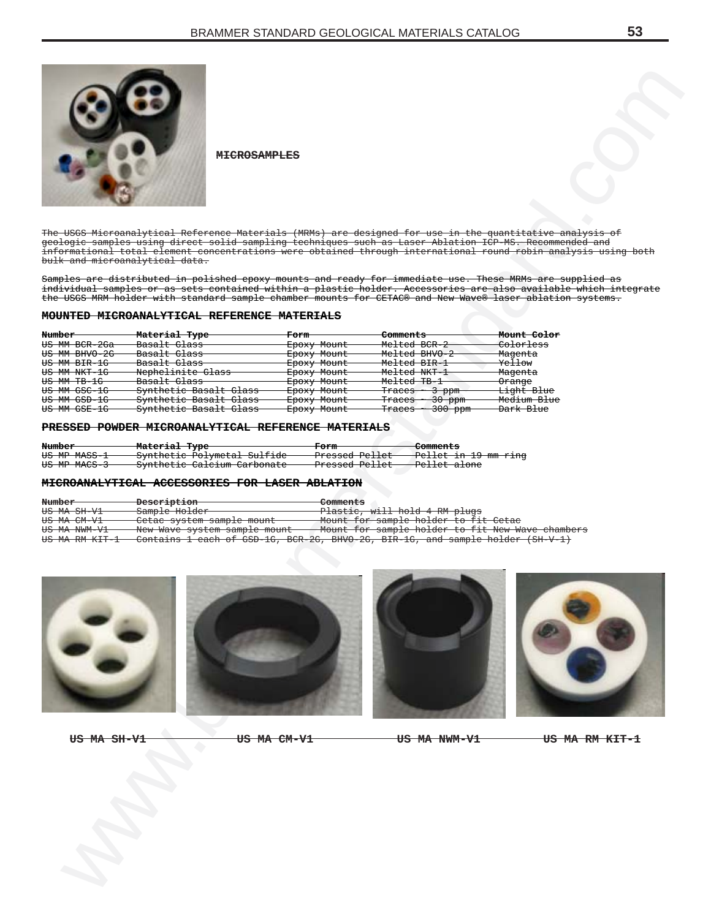

#### **MOUNTED MICROANALYTICAL REFERENCE MATERIALS**

|               | <del>MICROSAMPLES</del>                                                                                        |                            |                                                      |                                                                                                               |
|---------------|----------------------------------------------------------------------------------------------------------------|----------------------------|------------------------------------------------------|---------------------------------------------------------------------------------------------------------------|
|               | The USGS Microanalytical Reference Materials (MRMs) are designed for use in the quantitative analysis of       |                            |                                                      |                                                                                                               |
|               | geologic samples using direct solid sampling techniques such as Laser Ablation ICP-MS. Recommended and         |                            |                                                      |                                                                                                               |
|               | bulk and microanalytical data.                                                                                 |                            |                                                      | informational total element concentrations were obtained through international round robin analysis using bot |
|               |                                                                                                                |                            |                                                      |                                                                                                               |
|               | Samples are distributed in polished epoxy mounts and ready for immediate use. These MRMs are supplied as       |                            |                                                      |                                                                                                               |
|               | the USGS MRM holder with standard sample chamber mounts for CETAC® and New Wave® laser ablation systems.       |                            |                                                      | individual samples or as sets contained within a plastic holder. Accessories are also available which integra |
|               |                                                                                                                |                            |                                                      |                                                                                                               |
|               | <b>MOUNTED MICROANALYTICAL REFERENCE MATERIALS</b>                                                             |                            |                                                      |                                                                                                               |
| Number        |                                                                                                                |                            | Comments                                             | Mount Color                                                                                                   |
| US MM BCR-2Ga | Material Type<br>Basalt Glass                                                                                  | <b>Form</b><br>Epoxy Mount | Melted BCR-2                                         | Colorless                                                                                                     |
| US MM BHVO-2G | Basalt Glass                                                                                                   | Epoxy Mount                | Melted BHVO-2                                        | Magenta                                                                                                       |
| US MM BIR-1G  | Basalt Glass                                                                                                   | Epoxy Mount                | Melted BIR-1                                         | Yellow                                                                                                        |
| US MM NKT-1G  | Nephelinite Glass                                                                                              | Epoxy Mount                | Melted NKT-1                                         | Magenta                                                                                                       |
| US MM TB-1G   | Basalt Glass                                                                                                   | Epoxy Mount                | <del>Melted TB-1</del>                               | Orange                                                                                                        |
| US MM GSC-1G  | Synthetic Basalt Glass                                                                                         | Epoxy Mount                | Traces $\sim$ 3 ppm                                  | <del>Light Blue</del>                                                                                         |
| US MM GSD-1G  | Synthetic Basalt Glass                                                                                         | Epoxy Mount                | Traces ~ 30 ppm                                      | Medium Blue                                                                                                   |
| US MM GSE-1G  | Synthetic Basalt Glass                                                                                         | Epoxy Mount                | $\frac{\text{Traces}}{\text{}} \sim 300 \text{ ppm}$ | <del>Dark Blue</del>                                                                                          |
|               | PRESSED POWDER MICROANALYTICAL REFERENCE MATERIALS                                                             |                            |                                                      |                                                                                                               |
|               |                                                                                                                |                            |                                                      |                                                                                                               |
| Number-       | Material Type                                                                                                  | Form                       | Comments                                             |                                                                                                               |
| US MP MASS-1  | Synthetic Polymetal Sulfide                                                                                    | Pressed Pellet             | Pellet in 19 mm ring                                 |                                                                                                               |
| US MP MACS-3  | Synthetic Calcium Carbonate                                                                                    | <del>Pressed Pellet</del>  | <del>Pellet alone</del>                              |                                                                                                               |
|               | MICROANALYTICAL ACCESSORIES FOR LASER ABLATION                                                                 |                            |                                                      |                                                                                                               |
| Number-       | <b>Description</b>                                                                                             | Comments                   |                                                      |                                                                                                               |
| US MA SH-V1   | Sample Holder                                                                                                  |                            | Plastic, will hold 4 RM plugs                        |                                                                                                               |
| US MA CM-V1   | Cetac system sample mount                                                                                      |                            | Mount for sample holder to fit Cetac                 |                                                                                                               |
| US MA NWM-V1  | New Wave system sample mount<br>Contains 1 each of GSD-1G, BCR-2G, BHVO-2G, BIR-1G, and sample holder (SH-V-1) |                            | Mount for sample holder to fit New Wave chambers     |                                                                                                               |
|               |                                                                                                                |                            |                                                      |                                                                                                               |
| US MA SH-V1   |                                                                                                                | <del>US MA CM-V1</del>     | <del>US MA NWM-V1</del>                              | <del>US MA RM KIT-1</del>                                                                                     |
|               |                                                                                                                |                            |                                                      |                                                                                                               |

#### **PRESSED POWDER MICROANALYTICAL REFERENCE MATERIALS**

| Number –     | - Material Type             | <del>Form</del>             | <del>-Comments</del>            |
|--------------|-----------------------------|-----------------------------|---------------------------------|
|              |                             |                             |                                 |
| US MP MASS-1 | Synthetic Polymetal Sulfide | <del>- Pressed Pellet</del> | <del>Pellet in 19 mm ring</del> |
|              |                             |                             |                                 |
| US MP MACS-3 |                             | -Pressed Pellet             | -Pellet alone                   |
|              | Synthetic Calcium Carbonate |                             |                                 |

#### **MICROANALYTICAL ACCESSORIES FOR LASER ABLATION**

| Number                   | <del>Description</del>       | Comments                                                                         |
|--------------------------|------------------------------|----------------------------------------------------------------------------------|
|                          |                              |                                                                                  |
| US MA SH-V1              | Sample Holder                | Plastic, will hold 4 RM plugs                                                    |
| US MA CM-V1              | Cetac system sample mount    | Mount for sample holder to fit Cetac                                             |
| <del>US MA NWM-V1-</del> | New Wave system sample mount | Mount for sample holder to fit New Wave chambers                                 |
| US MA RM KIT-1           |                              | Contains 1 each of GSD-1G. BCR-2G. BHVO-2G. BIR-1G. and sample holder $(SH-V-1)$ |







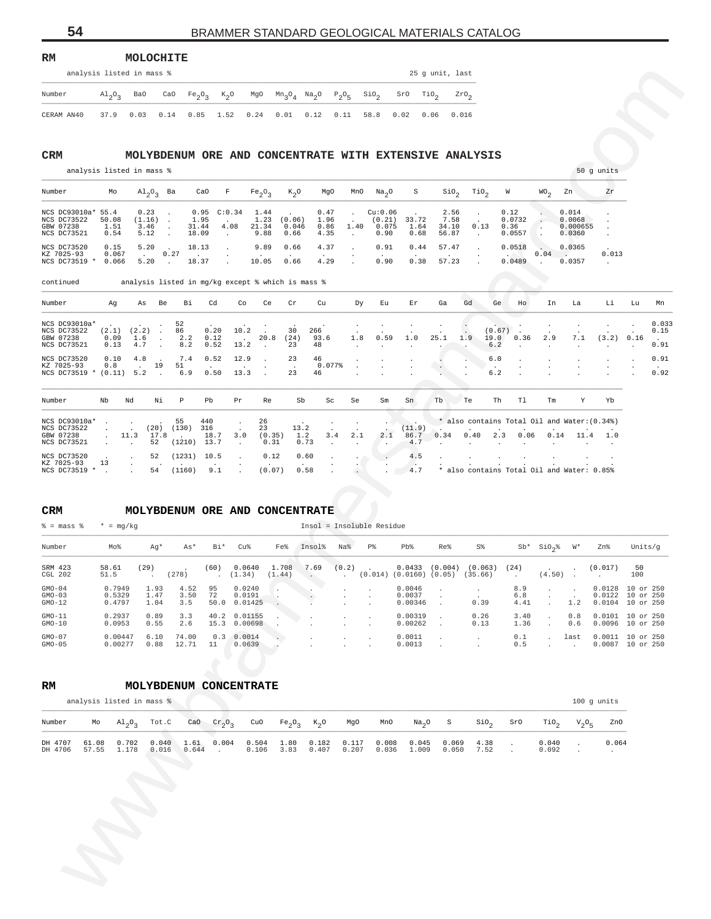#### **RM MOLOCHITE** analysis listed in mass  $\frac{2}{3}$  analysis listed in mass  $\frac{2}{3}$

|            | didiyata ilaced ili mdaa $\delta$ |                                     |  |  |  |  |  | 29 Y WILL, Idst                                                                                                                                                                               |
|------------|-----------------------------------|-------------------------------------|--|--|--|--|--|-----------------------------------------------------------------------------------------------------------------------------------------------------------------------------------------------|
| Number     |                                   | $\mathrm{Al}_{2}\mathrm{O}_{2}$ BaO |  |  |  |  |  | CaO Fe <sub>2</sub> O <sub>3</sub> K <sub>2</sub> O MgO Mn <sub>3</sub> O <sub>4</sub> Na <sub>2</sub> O P <sub>2</sub> O <sub>5</sub> SiO <sub>2</sub> SrO TiO <sub>2</sub> ZrO <sub>2</sub> |
| CERAM AN40 |                                   |                                     |  |  |  |  |  | 37.9  0.03  0.14  0.85  1.52  0.24  0.01  0.12  0.11  58.8  0.02  0.06  0.016                                                                                                                 |

| Number                                                        | Mo                     | $Al_2O_2$ Ba                   |      | CaO                    |                         | $Fe_2O_2$                     | $K_0$ O                 | MgO                          | MnO                      | Na <sub>0</sub>                    | S                     | SiO <sub>2</sub>               | TiO <sub>2</sub> | W                                | WO <sub>o</sub> | Zn                                    | Zr    |
|---------------------------------------------------------------|------------------------|--------------------------------|------|------------------------|-------------------------|-------------------------------|-------------------------|------------------------------|--------------------------|------------------------------------|-----------------------|--------------------------------|------------------|----------------------------------|-----------------|---------------------------------------|-------|
| NCS DC93010a* 55.4<br>NCS DC73522<br>GBW 07238<br>NCS DC73521 | 50.08<br>1.51<br>0.54  | 0.23<br>(1.16)<br>3.46<br>5.12 |      | 1.95<br>31.44<br>18.09 | $0.95$ $C:0.34$<br>4.08 | 1.44<br>1.23<br>21.34<br>9.88 | (0.06)<br>0.046<br>0.66 | 0.47<br>1.96<br>0.86<br>4.35 | $\sim$<br>1.40<br>$\sim$ | Cu:0.06<br>(0.21)<br>0.075<br>0.90 | 33.72<br>1.64<br>0.68 | 2.56<br>7.58<br>34.10<br>56.87 | 0.13             | 0.12<br>0.0732<br>0.36<br>0.0557 |                 | 0.014<br>0.0068<br>0.000655<br>0.0360 |       |
| NCS DC73520<br>KZ 7025-93<br>NCS DC73519 *                    | 0.15<br>0.067<br>0.066 | 5.20<br>5.20                   | 0.27 | 18.13<br>18.37         |                         | 9.89<br>10.05                 | 0.66<br>0.66            | 4.37<br>4.29                 | $\sim$                   | 0.91<br>0.90                       | 0.44<br>0.38          | 57.47<br>57.23                 |                  | 0.0518<br>0.0489                 | 0.04            | 0.0365<br>0.0357                      | 0.013 |

| Number                                                                    |                        |                                |                                                   |                                    |                                      |                                  |                               |                                                   |                                |                            |                                    |                                                                         | 25 g unit, last                |                                            |                                              |                           |                                              |                                                          |           |                       |
|---------------------------------------------------------------------------|------------------------|--------------------------------|---------------------------------------------------|------------------------------------|--------------------------------------|----------------------------------|-------------------------------|---------------------------------------------------|--------------------------------|----------------------------|------------------------------------|-------------------------------------------------------------------------|--------------------------------|--------------------------------------------|----------------------------------------------|---------------------------|----------------------------------------------|----------------------------------------------------------|-----------|-----------------------|
|                                                                           | $A1_{2}O_{3}$          | Ba0                            | CaO                                               | Fe <sub>2</sub> O <sub>3</sub>     |                                      | $K_2$ <sup>O</sup>               | MgO                           | $\text{Mn}_3\text{O}_4$ $\text{Na}_2\text{O}$     |                                | $P_2O_5$                   | $\sin_2$                           | SrO                                                                     | TiO <sub>2</sub>               | $z_{r0}$                                   |                                              |                           |                                              |                                                          |           |                       |
| CERAM AN40                                                                | 37.9                   | 0.03                           | 0.14                                              | 0.85                               | 1.52                                 |                                  | 0.24                          | 0.01                                              | 0.12                           | 0.11                       | 58.8                               | 0.02                                                                    | 0.06<br>0.016                  |                                            |                                              |                           |                                              |                                                          |           |                       |
|                                                                           |                        |                                |                                                   |                                    |                                      |                                  |                               |                                                   |                                |                            |                                    |                                                                         |                                |                                            |                                              |                           |                                              |                                                          |           |                       |
| CRM                                                                       |                        |                                |                                                   |                                    |                                      |                                  |                               |                                                   |                                |                            |                                    | MOLYBDENUM ORE AND CONCENTRATE WITH EXTENSIVE ANALYSIS                  |                                |                                            |                                              |                           |                                              |                                                          |           |                       |
| analysis listed in mass %                                                 |                        |                                |                                                   |                                    |                                      |                                  |                               |                                                   |                                |                            |                                    |                                                                         |                                |                                            |                                              |                           |                                              | 50 g units                                               |           |                       |
| Number                                                                    | Mo                     |                                | $\mathrm{Al}_{2}\mathrm{O}_{3}$ Ba                |                                    | CaO                                  | F                                | $Fe_2O_3$                     | $K_2O$                                            | MgO                            | MnO                        | Na <sub>2</sub> O                  | S                                                                       | $\sin \theta$                  | TiO <sub>2</sub>                           | W                                            | WO <sub>2</sub>           | Zn                                           | Zr                                                       |           |                       |
| NCS DC93010a* 55.4<br>NCS DC73522<br>GBW 07238<br>NCS DC73521             | 50.08<br>1.51<br>0.54  | 0.23<br>(1.16)<br>3.46<br>5.12 | $\cdot$<br>$\cdot$<br>$\ddot{\phantom{a}}$        | 1.95<br>31.44<br>18.09             | 0.95                                 | C:0.34<br>4.08<br>$\cdot$        | 1.44<br>1.23<br>21.34<br>9.88 | (0.06)<br>0.046<br>0.66                           | 0.47<br>1.96<br>0.86<br>4.35   | $\cdot$<br>1.40<br>$\cdot$ | Cu:0.06<br>(0.21)<br>0.075<br>0.90 | 33.72<br>1.64<br>0.68                                                   | 2.56<br>7.58<br>34.10<br>56.87 | 0.13<br>$\cdot$                            | 0.12<br>0.0732<br>0.36<br>0.0557             | $\cdot$<br>×<br>$\cdot$   | 0.014<br>0.0068<br>0.000655<br>0.0360        | $\cdot$                                                  |           |                       |
| NCS DC73520<br>KZ 7025-93<br>NCS DC73519 *                                | 0.15<br>0.067<br>0.066 | 5.20<br>$\sim$<br>5.20         | $\overline{\phantom{a}}$<br>0.27<br>$\sim$ $\sim$ | 18.13<br>18.37                     |                                      |                                  | 9.89<br>10.05                 | 0.66<br>0.66                                      | 4.37<br>4.29                   |                            | 0.91<br>0.90                       | 0.44<br>0.38                                                            | 57.47<br>57.23                 |                                            | 0.0518<br>0.0489                             | 0.04<br>$\cdot$           | 0.0365<br><b>Contract Contract</b><br>0.0357 | 0.013<br>$\cdot$                                         |           |                       |
| continued                                                                 |                        |                                |                                                   |                                    |                                      |                                  |                               | analysis listed in mg/kg except % which is mass % |                                |                            |                                    |                                                                         |                                |                                            |                                              |                           |                                              |                                                          |           |                       |
| Number                                                                    | Αg                     | As                             | Be                                                | Вi                                 | Cd                                   | Co                               | Ce                            | Cr                                                | Cu                             | Dу                         | Εu                                 | Εr                                                                      | Ga                             | Gd                                         | Ge<br>Ho                                     | In                        | La                                           | Li                                                       | Lu        | Mn                    |
| NCS DC93010a*<br>NCS DC73522<br>GBW 07238<br>NCS DC73521                  | (2.1)<br>0.09<br>0.13  | (2.2)<br>1.6<br>4.7            | $\sim$<br>$\blacksquare$                          | 52<br>86<br>2.2<br>8.2             | 0.20<br>0.12<br>0.52                 | 10.2<br>13.2                     | 20.8                          | 30<br>(24)<br>23                                  | 266<br>93.6<br>48              | 1.8                        | 0.59                               | 1.0                                                                     | 25.1                           | 1.9<br>19.0<br>6.2                         | (0.67)<br>0.36                               | 2.9                       | 7.1                                          | (3.2)                                                    | 0.16      | 0.033<br>0.15<br>0.91 |
| NCS DC73520<br>KZ 7025-93<br>NCS DC73519 * (0.11) 5.2                     | 0.10<br>0.8            | 4.8                            | 19<br>$\ddot{\phantom{a}}$                        | 7.4<br>51<br>6.9                   | 0.52<br>0.50                         | 12.9<br>13.3                     |                               | 23<br>23                                          | 46<br>0.077%<br>46             |                            |                                    |                                                                         | $\ddot{\phantom{a}}$           | 6.0<br>6.2                                 |                                              |                           |                                              |                                                          |           | 0.91<br>0.92          |
| Number                                                                    | Nb                     | Nd                             | Νi                                                | Р                                  | Pb                                   | $\Pr$                            | Re                            | Sb                                                | Sc                             | Se                         | Sm                                 | Sn                                                                      | Tb                             | Te                                         | Th<br>T1                                     | Тm                        | Y                                            | Yb                                                       |           |                       |
| NCS DC93010a*                                                             |                        |                                |                                                   | 55                                 | 440                                  |                                  | 26                            |                                                   |                                |                            |                                    |                                                                         |                                |                                            | * also contains Total Oil and Water: (0.34%) |                           |                                              |                                                          |           |                       |
| NCS DC73522<br>GBW 07238                                                  | $\cdot$<br>$\cdot$     | 11.3<br>$\ddot{\phantom{a}}$   | (20)<br>17.8<br>52                                | (130)<br>(1210)                    | 316<br>18.7<br>13.7                  | 3.0<br>$\cdot$                   | 23<br>(0.35)<br>0.31          | 13.2                                              | 1.2<br>3.4<br>0.73             | 2.1                        | 2.1<br>$\cdot$                     | (11.9)<br>86.7<br>4.7                                                   | 0.34                           | 0.40                                       | 0.06<br>2.3                                  | 0.14                      | 11.4                                         | 1.0                                                      |           |                       |
|                                                                           |                        |                                |                                                   |                                    |                                      |                                  | 0.12                          |                                                   | 0.60                           |                            |                                    | 4.5                                                                     |                                |                                            |                                              |                           |                                              |                                                          |           |                       |
| NCS DC73521<br>NCS DC73520<br>KZ 7025-93<br>NCS DC73519 *                 | 13                     |                                | 52<br>54                                          | (1231)<br>(1160)                   | 10.5<br>9.1                          |                                  | (0.07)                        |                                                   | 0.58                           |                            |                                    | 4.7                                                                     |                                |                                            | * also contains Total Oil and Water: 0.85%   |                           |                                              |                                                          |           |                       |
|                                                                           | $* = mg/kg$            |                                |                                                   |                                    |                                      |                                  |                               |                                                   | MOLYBDENUM ORE AND CONCENTRATE |                            | Insol = Insoluble Residue          |                                                                         |                                |                                            |                                              |                           |                                              |                                                          |           |                       |
|                                                                           | Mo%                    |                                | Ag*                                               | As*                                | Bi*                                  | Cu%                              |                               | Fe%                                               | Insol%                         | Na%                        | P%                                 | $Pb$ %                                                                  | Re%                            | S%                                         | Sb*                                          | $\text{SiO}_2$            | W∗                                           | Zn%                                                      | Units/g   |                       |
| CRM<br>$\frac{1}{6}$ = mass $\frac{1}{6}$<br>Number<br>SRM 423<br>CGL 202 | 58.61<br>51.5          | (29)                           |                                                   | (278)                              | (60)                                 | 0.0640<br>(1.34)                 |                               | 1.708<br>(1.44)                                   | 7.69<br>$\cdot$ .              | (0.2)<br>$\sim$ $-$        |                                    | $0.0433$ $(0.004)$ $(0.063)$<br>$(0.014)$ $(0.0160)$ $(0.05)$ $(35.66)$ |                                |                                            | (24)<br>$\sim 100$                           | $(4.50)$ .                |                                              | (0.017)                                                  | 50<br>100 |                       |
| $GMO-04$<br>$GMO-03$<br>$GMO-12$                                          | 0.5329<br>0.4797       |                                | 1.47<br>1.04                                      | 0.7949 1.93 4.52 95<br>3.50<br>3.5 | 72                                   | 0.0240<br>0.0191<br>50.0 0.01425 |                               |                                                   |                                |                            |                                    | 0.0046<br>0.0037<br>0.00346                                             |                                | 0.39                                       | 8.9<br>6.8<br>4.41                           |                           | 1.2                                          | 0.0128 10 or 250<br>0.0122 10 or 250<br>0.0104 10 or 250 |           |                       |
|                                                                           | 0.2937<br>0.0953       |                                | 0.89<br>0.55                                      | 3.3<br>2.6                         |                                      | 40.2 0.01155<br>15.3 0.00698     |                               |                                                   |                                |                            |                                    | 0.00319<br>0.00262                                                      | $\cdot$                        | 0.26<br>0.13                               | 3.40<br>1.36                                 | $\cdot$                   | 0.8<br>0.6                                   | 0.0101 10 or 250<br>0.0096 10 or 250                     |           |                       |
|                                                                           | 0.00447<br>0.00277     |                                | 6.10<br>0.88                                      | 74.00<br>12.71                     | 11                                   | $0.3 \quad 0.0014$<br>0.0639     |                               |                                                   |                                |                            |                                    | 0.0011<br>0.0013                                                        | $\cdot$                        | $\cdot$                                    | 0.1<br>0.5                                   | $\cdot$                   | last<br>$\sim$ $\sim$                        | 0.0011 10 or 250<br>0.0087 10 or 250                     |           |                       |
| analysis listed in mass %                                                 |                        |                                |                                                   |                                    |                                      | MOLYBDENUM CONCENTRATE           |                               |                                                   |                                |                            |                                    |                                                                         |                                |                                            |                                              |                           |                                              |                                                          |           |                       |
| $GMO-11$<br>$GMO-10$<br>$GMO-07$<br>$GMO-05$<br>RM                        |                        |                                |                                                   |                                    |                                      |                                  |                               |                                                   |                                |                            |                                    |                                                                         |                                |                                            |                                              |                           |                                              | 100 g units                                              |           |                       |
| Number<br>Mо<br>DH 4707<br>61.08                                          |                        | $A1_{2}O_{3}$<br>0.702         | Tot.C                                             | CaO<br>$0.040$ 1.61                | $\mathrm{cr}_2\mathrm{O}_3$<br>0.004 |                                  | CuO<br>0.504                  | Fe <sub>2</sub> O <sub>3</sub>                    | $K_2$ O                        | MgO                        | MnO<br>1.80  0.182  0.117  0.008   | Na <sub>2</sub> O<br>0.045                                              | $\rm S$<br>0.069               | $\mathop{\mathsf{Si0}}\nolimits_2$<br>4.38 | SrO<br>$\cdot$                               | TiO <sub>2</sub><br>0.040 | $V_2O_5$<br>$\cdot$                          | ZnO<br>0.064                                             |           |                       |

### **CRM MOLYBDENUM ORE AND CONCENTRATE**

| $\frac{1}{2}$ = mass $\frac{1}{2}$ | $* = ma/ka$                |                      |                     |                  |                              |                 |                    |       | Insol = Insoluble Residue |                                                     |        |                    |                    |                             |                                 |                            |                                     |
|------------------------------------|----------------------------|----------------------|---------------------|------------------|------------------------------|-----------------|--------------------|-------|---------------------------|-----------------------------------------------------|--------|--------------------|--------------------|-----------------------------|---------------------------------|----------------------------|-------------------------------------|
| Number                             | Mo%                        | Aq*                  | As*                 | Bi*              | Cu%                          | Fe%             | Insol <sup>8</sup> | Na%   | P <sup>o</sup>            | Pb%                                                 | Re%    | S <sup>8</sup>     | $Sb*$              | SiO <sub>2</sub> %          | W*                              | Zn%                        | Units/q                             |
| SRM 423<br>CGL 202                 | 58.61<br>51.5              | (29)                 | (278)               | (60)<br>$\sim$   | 0.0640<br>(1.34)             | 1.708<br>(1.44) | 7.69<br>$\sim$     | (0.2) | <b>Contact Contact</b>    | $0.0433$ $(0.004)$<br>$(0.014)$ $(0.0160)$ $(0.05)$ |        | (0.063)<br>(35.66) | (24)<br>$\sim$     | $\sim$ $\sim$<br>$(4.50)$ . | $\overline{a}$                  | (0.017)                    | 50<br>100                           |
| $GMO-04$<br>$GMO-03$<br>$GMO-12$   | 0.7949<br>0.5329<br>0.4797 | 1.93<br>1.47<br>1.04 | 4.52<br>3.50<br>3.5 | 95<br>72<br>50.0 | 0.0240<br>0.0191<br>0.01425  |                 |                    |       | $\sim$<br>$\sim$          | 0.0046<br>0.0037<br>0.00346                         |        | 0.39               | 8.9<br>6.8<br>4.41 |                             | $\sim$<br>$\overline{a}$<br>1.2 | 0.0128<br>0.0122<br>0.0104 | 10 or 250<br>10 or 250<br>10 or 250 |
| $GMO-11$<br>$GMO-10$               | 0.2937<br>0.0953           | 0.89<br>0.55         | 3.3<br>2.6          |                  | 40.2 0.01155<br>15.3 0.00698 | $\mathbf{r}$    |                    |       | $\sim$                    | 0.00319<br>0.00262                                  | $\sim$ | 0.26<br>0.13       | 3.40<br>1.36       | $\sim$                      | 0.8<br>0.6                      | 0.0101<br>0.0096           | 10 or 250<br>10 or 250              |
| $GMO-07$<br>$GMO-05$               | 0.00447<br>0.00277         | 6.10<br>0.88         | 74.00<br>12.71      | 0.3<br>11        | 0.0014<br>0.0639             |                 |                    |       | $\sim$                    | 0.0011<br>0.0013                                    | $\sim$ |                    | 0.1<br>0.5         | $\sim$                      | last<br>$\sim$                  | 0.0011<br>0.0087           | 10 or 250<br>10 or 250              |

#### **RM MOLYBDENUM CONCENTRATE**

|                    |       | analysis listed in mass % |                                      |                     |               |                |                  |                |                |                |                |                |                  |     |                  | $100$ q units |       |
|--------------------|-------|---------------------------|--------------------------------------|---------------------|---------------|----------------|------------------|----------------|----------------|----------------|----------------|----------------|------------------|-----|------------------|---------------|-------|
| Number             | Mo    |                           | Al <sub>2</sub> O <sub>2</sub> Tot.C |                     | CaO $Cr_2O_2$ | CuO            | $Fe_2O_2$ $K_2O$ |                | MgO            | MnO            | $Na2O$ S       |                | SiO <sub>2</sub> | SrO | TiO <sub>2</sub> | $V_2O_E$      | ZnO   |
| DH 4707<br>DH 4706 | 61.08 | 0.702<br>57.55 1.178      | 0.040<br>0.016                       | 1.61 0.004<br>0.644 | $\sim$ $\sim$ | 0.504<br>0.106 | 1.80<br>3.83     | 0.182<br>0.407 | 0.117<br>0.207 | 0.008<br>0.036 | 0.045<br>1.009 | 0.069<br>0.050 | 4.38<br>7.52     |     | 0.040<br>0.092   |               | 0.064 |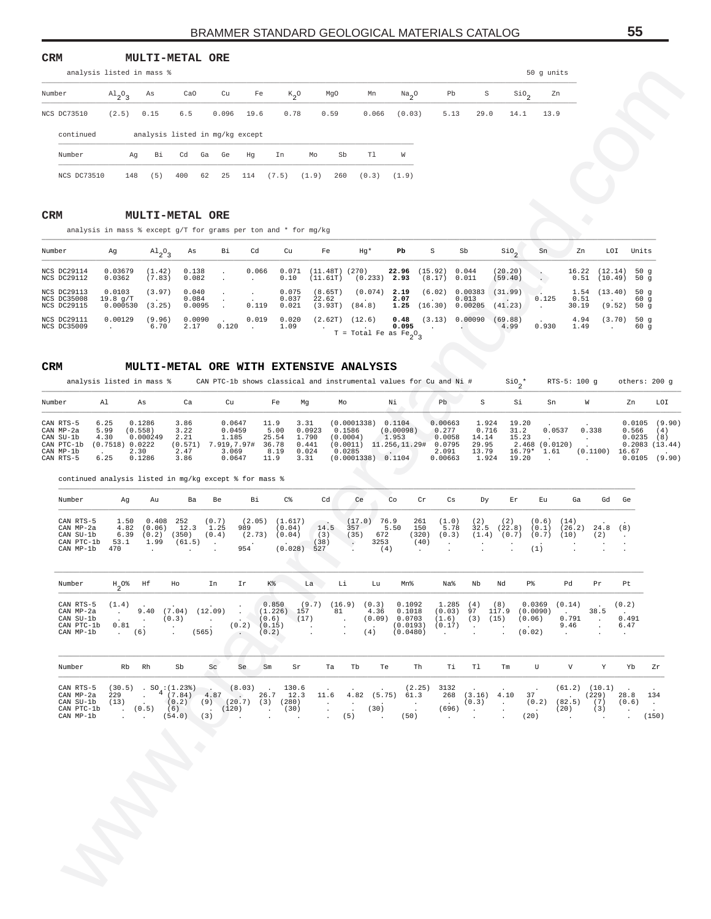## **CRM MULTI-METAL ORE**

|                    | analysis listed in mass %       |          |                                 |    |       |      |       |         |      |       |                       |      |      |                  | 50 q units |  |
|--------------------|---------------------------------|----------|---------------------------------|----|-------|------|-------|---------|------|-------|-----------------------|------|------|------------------|------------|--|
| Number             | $\mathrm{Al}_{2}\mathrm{O}_{2}$ | As       | CaO                             |    | Cu    | Fe   |       | $K_{0}$ | MgO  | Mn    | $Na_{2}$ <sup>O</sup> | Pb   | S    | SiO <sub>c</sub> | Zn         |  |
| <b>NCS DC73510</b> | (2.5)                           | 0.15     | 6.5                             |    | 0.096 | 19.6 | 0.78  |         | 0.59 | 0.066 | (0.03)                | 5.13 | 29.0 | 14.1             | 13.9       |  |
| continued          |                                 |          | analysis listed in mg/kg except |    |       |      |       |         |      |       |                       |      |      |                  |            |  |
| Number             |                                 | Bi<br>Αq | Cd                              | Ga | Ge    | Hq   | In    | Mo      | Sb   | T1    | W                     |      |      |                  |            |  |
| NCS DC73510        | 148                             | (5)      | 400                             | 62 | 25    | 114  | (7.5) | (1.9)   | 260  | (0.3) | (1.9)                 |      |      |                  |            |  |

#### **CRM MULTI-METAL ORE**

| Number                                           | Ag                             | $\mathrm{Al}_{2}\mathrm{O}_{2}$ | As                       | Bi                                | Cd                         | Cu                      | Fe                          | Hg*                               | Pb                   | S                                 | Sb                                             | SiO <sub>a</sub>                              | Sn                                | Zn            | LOI                                           | Units                          |
|--------------------------------------------------|--------------------------------|---------------------------------|--------------------------|-----------------------------------|----------------------------|-------------------------|-----------------------------|-----------------------------------|----------------------|-----------------------------------|------------------------------------------------|-----------------------------------------------|-----------------------------------|---------------|-----------------------------------------------|--------------------------------|
| NCS DC29114<br>NCS DC29112                       | 0.03679<br>0.0362              | (1.42)<br>(7.83)                | 0.138<br>0.082           | <b>Contract Contract</b>          | 0.066                      | 0.071<br>0.10           | (11.48T) (270)<br>(11.61T)  | $(0.233)$ 2.93                    | 22.96                | $(15.92)$ 0.044<br>$(8.17)$ 0.011 |                                                | $(20.20)$ .<br>(59.40)                        |                                   |               | $16.22$ $(12.14)$ 50 q<br>$0.51$ (10.49) 50 q |                                |
| NCS DC29113<br><b>NCS DC35008</b><br>NCS DC29115 | 0.0103<br>19.8 q/T<br>0.000530 | (3.97)<br>(3.25)                | 0.040<br>0.084<br>0.0095 | $\sim$<br>$\sim$ $\sim$<br>$\sim$ | <b>Contractor</b><br>0.119 | 0.075<br>0.037<br>0.021 | (8.65T)<br>22.62<br>(3.93T) | (0.074)<br>$\sim$<br>(84.8)       | 2.19<br>2.07<br>1.25 | <b>Contract Contract Contract</b> | $(6.02)$ 0.00383<br>0.013<br>$(16.30)$ 0.00205 | (31.99)<br>$\sqrt{2}$ . $\sqrt{2}$<br>(41.23) | <b>Contract Contract</b><br>0.125 | 0.51<br>30.19 | 1.54 (13.40)<br>(9.52)                        | 50 a<br>60 <sub>q</sub><br>50q |
| NCS DC29111<br>NCS DC35009                       | 0.00129                        | (9.96)<br>6.70                  | 0.0090<br>2.17           | 0.120                             | 0.019<br><b>Contractor</b> | 0.020<br>1.09           | (2.62T)                     | (12.6)<br>$T = Total Fe as Fe2O2$ | 0.48<br>0.095        |                                   | (3.13) 0.00090                                 | (69.88)<br>4.99                               | 0.930                             | 4.94<br>1.49  | (3.70)                                        | 50q<br>60 <sub>q</sub>         |

|     |                                                                | analysis listed in mass %                                           |                                       |                                              |                                            |                                                       |                                                                                                                                                    |                                                                                                                                        |                                                                                                                                                                                                                                                                               |                                         |                                                                             |                                                                |                                                                          | 50 g units                                               |                                            |                                                                                                                           |                                                |
|-----|----------------------------------------------------------------|---------------------------------------------------------------------|---------------------------------------|----------------------------------------------|--------------------------------------------|-------------------------------------------------------|----------------------------------------------------------------------------------------------------------------------------------------------------|----------------------------------------------------------------------------------------------------------------------------------------|-------------------------------------------------------------------------------------------------------------------------------------------------------------------------------------------------------------------------------------------------------------------------------|-----------------------------------------|-----------------------------------------------------------------------------|----------------------------------------------------------------|--------------------------------------------------------------------------|----------------------------------------------------------|--------------------------------------------|---------------------------------------------------------------------------------------------------------------------------|------------------------------------------------|
|     | Number                                                         | $A1_{2}O_{3}$                                                       | As                                    | CaO                                          | Cu                                         | Fe                                                    | $K_2^o$                                                                                                                                            | MgO                                                                                                                                    | Mn                                                                                                                                                                                                                                                                            | $\frac{Na}{2}$ <sup>O</sup>             | Pb                                                                          | S                                                              | $\frac{\text{SiO}}{2}$                                                   | Zn                                                       |                                            |                                                                                                                           |                                                |
|     | NCS DC73510                                                    | (2.5)                                                               | 0.15                                  | 6.5                                          | 0.096                                      | 19.6                                                  | 0.78                                                                                                                                               | 0.59                                                                                                                                   | 0.066                                                                                                                                                                                                                                                                         | (0.03)                                  | 5.13                                                                        | 29.0                                                           | 14.1                                                                     | 13.9                                                     |                                            |                                                                                                                           |                                                |
|     | continued                                                      |                                                                     |                                       |                                              | analysis listed in mg/kg except            |                                                       |                                                                                                                                                    |                                                                                                                                        |                                                                                                                                                                                                                                                                               |                                         |                                                                             |                                                                |                                                                          |                                                          |                                            |                                                                                                                           |                                                |
|     | Number                                                         | Αg                                                                  | Вi                                    | Cd                                           | Ga<br>Ge                                   | Ηg                                                    | In                                                                                                                                                 | Mo                                                                                                                                     | Tl<br>Sb                                                                                                                                                                                                                                                                      | W                                       |                                                                             |                                                                |                                                                          |                                                          |                                            |                                                                                                                           |                                                |
|     | NCS DC73510                                                    | 148                                                                 | (5)                                   | 400                                          | 62<br>25                                   | 114                                                   | (7.5)                                                                                                                                              | (1.9)<br>260                                                                                                                           | (0.3)                                                                                                                                                                                                                                                                         | (1.9)                                   |                                                                             |                                                                |                                                                          |                                                          |                                            |                                                                                                                           |                                                |
|     |                                                                |                                                                     |                                       |                                              |                                            |                                                       |                                                                                                                                                    |                                                                                                                                        |                                                                                                                                                                                                                                                                               |                                         |                                                                             |                                                                |                                                                          |                                                          |                                            |                                                                                                                           |                                                |
| CRM |                                                                |                                                                     |                                       | <b>MULTI-METAL ORE</b>                       |                                            |                                                       |                                                                                                                                                    |                                                                                                                                        |                                                                                                                                                                                                                                                                               |                                         |                                                                             |                                                                |                                                                          |                                                          |                                            |                                                                                                                           |                                                |
|     |                                                                | analysis in mass $%$ except g/T for grams per ton and $*$ for mg/kg |                                       |                                              |                                            |                                                       |                                                                                                                                                    |                                                                                                                                        |                                                                                                                                                                                                                                                                               |                                         |                                                                             |                                                                |                                                                          |                                                          |                                            |                                                                                                                           |                                                |
|     | Number<br>NCS DC29114                                          | Ag<br>0.03679                                                       | $A1_{2}O_3$                           | As<br>0.138                                  | Вi                                         | Cd<br>0.066                                           | Cu<br>0.071                                                                                                                                        | Fe<br>$(11.48T)$ (270)                                                                                                                 | Hg*                                                                                                                                                                                                                                                                           | Pb<br>22.96                             | S<br>(15.92)                                                                | Sb<br>0.044                                                    | $\sin$<br>(20.20)                                                        | Sn                                                       | Zn                                         | LOI<br>(12.14)                                                                                                            | Units<br>50g                                   |
|     | NCS DC29112<br>NCS DC29113                                     | 0.0362<br>0.0103                                                    | (1.42)<br>(7.83)<br>(3.97)            | 0.082<br>0.040                               | $\cdot$                                    | $\blacksquare$                                        | 0.10<br>0.075                                                                                                                                      | (11.61T)<br>(8.65T)                                                                                                                    | (0.074)                                                                                                                                                                                                                                                                       | $(0.233)$ 2.93<br>2.19                  | (8.17)                                                                      | 0.011<br>(6.02) 0.00383                                        | (59.40)<br>(31.99)                                                       | $\mathbf{L}$                                             | 16.22<br>0.51<br>1.54                      | $(10.49)$ 50 g<br>$(13.40)$ 50 g                                                                                          |                                                |
|     | NCS DC35008<br>NCS DC29115                                     | 19.8 q/T<br>0.000530                                                | (3.25)                                | 0.084<br>0.0095                              | $\cdot$<br>$\cdot$                         | $\cdot$<br>0.119                                      | 0.037<br>0.021                                                                                                                                     | 22.62                                                                                                                                  | $(3.93T)$ $(84.8)$                                                                                                                                                                                                                                                            | 2.07<br>1.25                            |                                                                             | 0.013<br>$(16.30)$ 0.00205                                     | $\sim$<br>(41.23)                                                        | 0.125<br>$\cdot$                                         | 0.51<br>30.19                              | $(9.52)$ 50 g                                                                                                             | 60 g                                           |
|     | NCS DC29111<br>NCS DC35009                                     | 0.00129<br>$\cdot$                                                  | (9.96)<br>6.70                        | 0.0090<br>2.17                               | 0.120                                      | 0.019<br>$\sim$                                       | 0.020<br>1.09                                                                                                                                      | (2.62T)                                                                                                                                | (12.6)<br>T = Total Fe as $Fe_2O_3$                                                                                                                                                                                                                                           | 0.48<br>0.095                           |                                                                             | (3.13) 0.00090                                                 | (69.88)<br>4.99                                                          | 0.930                                                    | 4.94<br>1.49                               | (3.70)<br>$\sim$                                                                                                          | 50 g<br>60 g                                   |
|     |                                                                |                                                                     |                                       |                                              |                                            |                                                       |                                                                                                                                                    |                                                                                                                                        |                                                                                                                                                                                                                                                                               |                                         |                                                                             |                                                                |                                                                          |                                                          |                                            |                                                                                                                           |                                                |
| CRM |                                                                |                                                                     |                                       |                                              |                                            |                                                       |                                                                                                                                                    |                                                                                                                                        | <b>MULTI-METAL ORE WITH EXTENSIVE ANALYSIS</b>                                                                                                                                                                                                                                |                                         |                                                                             |                                                                |                                                                          |                                                          |                                            |                                                                                                                           |                                                |
|     |                                                                | analysis listed in mass %                                           |                                       |                                              |                                            |                                                       |                                                                                                                                                    |                                                                                                                                        | CAN PTC-1b shows classical and instrumental values for Cu and Ni #                                                                                                                                                                                                            |                                         |                                                                             |                                                                | $\sin^*$                                                                 |                                                          | RTS-5: 100 g                               |                                                                                                                           | others: 200 g                                  |
|     | Number                                                         | Al                                                                  | As                                    | Ca                                           | Cu                                         |                                                       | Fe                                                                                                                                                 | Mg                                                                                                                                     | Mo                                                                                                                                                                                                                                                                            | Νi                                      | Pb                                                                          | S                                                              | Si                                                                       | Sn                                                       | W                                          | Zn                                                                                                                        | LOI                                            |
|     | CAN RTS-5<br>CAN MP-2a<br>CAN SU-1b<br>CAN PTC-1b<br>CAN MP-1b | 6.25<br>5.99<br>4.30<br>(0.7518) 0.0222                             | 0.1286<br>(0.558)<br>0.000249<br>2.30 | 3.86<br>3.22<br>2.21<br>(0.571)<br>2.47      | 1.185<br>7.919,7.97#<br>3.069              | 0.0647<br>0.0459                                      | 11.9<br>5.00<br>25.54<br>36.78<br>8.19                                                                                                             | 3.31<br>0.0923<br>1.790<br>0.441<br>0.024                                                                                              | (0.0001338) 0.1104<br>0.1586<br>(0.0004)<br>$(0.0011)$ 11.256,11.29#<br>0.0285                                                                                                                                                                                                | (0.00098)<br>1.953                      | 0.00663<br>0.277<br>0.0058<br>0.0795<br>2.091                               | 1.924<br>0.716<br>14.14<br>29.95<br>13.79                      | 19.20<br>31.2<br>15.23<br>$16.79*$                                       | 0.0537<br>2.468 (0.0120)<br>1.61                         | 0.338                                      | 0.0105<br>0.566<br>$(0.1100)$ 16.67                                                                                       | (9.90)<br>(4)<br>$0.0235$ (8)<br>0.2083(13.44) |
|     | CAN RTS-5                                                      | 6.25                                                                | 0.1286                                | 3.86                                         |                                            | 0.0647                                                | 11.9                                                                                                                                               | 3.31                                                                                                                                   | $(0.0001338)$ 0.1104                                                                                                                                                                                                                                                          |                                         | 0.00663                                                                     | 1.924                                                          | 19.20                                                                    | $\cdot$                                                  |                                            |                                                                                                                           | $0.0105$ (9.90)                                |
|     | continued analysis listed in mg/kg except % for mass %         |                                                                     |                                       |                                              |                                            |                                                       |                                                                                                                                                    |                                                                                                                                        |                                                                                                                                                                                                                                                                               |                                         |                                                                             |                                                                |                                                                          |                                                          |                                            |                                                                                                                           |                                                |
|     | Number                                                         | Αg                                                                  | Au                                    | Ba                                           | Be                                         | Вi                                                    | C%                                                                                                                                                 | Cd                                                                                                                                     | Ce                                                                                                                                                                                                                                                                            | Co                                      | Cr<br>Cs                                                                    | Dy                                                             | Εr                                                                       | Εu                                                       | Ga                                         | Gd<br>Ge                                                                                                                  |                                                |
|     | CAN RTS-5<br>CAN MP-2a<br>CAN SU-1b<br>CAN PTC-1b<br>CAN MP-1b | 1.50<br>4.82<br>6.39<br>53.1<br>470                                 | 0.408<br>(0.06)<br>(0.2)<br>1.99      | 252<br>12.3<br>(350)<br>(61.5)               | (0.7)<br>1.25<br>(0.4)<br>$\blacksquare$ . | (2.05)<br>989<br>(2.73)<br>954                        | (1.617)<br>(0.04)<br>(0.04)<br>(0.028)                                                                                                             | 14.5<br>(3)<br>(38)<br>527                                                                                                             | (17.0)<br>357<br>(35)<br>3253<br>$\cdot$                                                                                                                                                                                                                                      | 76.9<br>5.50<br>672<br>(4)              | 261<br>(1.0)<br>150<br>5.78<br>(320)<br>(0.3)<br>(40)<br>$\cdot$<br>$\cdot$ | (2)<br>32.5                                                    | (2)<br>(22.8)<br>(1.4) (0.7)                                             | (0.6)<br>(0.1)<br>(0.7)<br>(1)                           | (14)<br>(26.2)<br>(10)                     | 24.8<br>(8)<br>(2)<br>$\cdot$                                                                                             |                                                |
|     | Number                                                         | $H_{0}$ 0%                                                          | Нf                                    | Ho                                           | In                                         | Ir                                                    | K%                                                                                                                                                 | La<br>Li                                                                                                                               | Lu                                                                                                                                                                                                                                                                            | Mn%                                     | Na%                                                                         | Nb                                                             | Nd                                                                       | ₽%                                                       | Pd                                         | Ρr<br>Pt                                                                                                                  |                                                |
|     | CAN RTS-5<br>CAN MP-2a<br>CAN SU-1b<br>CAN PTC-1b<br>CAN MP-1b | $(1.4)$ .<br>0.81<br>(6)                                            | $\sim$                                | $\sim 100$ km s $^{-1}$<br><b>Contractor</b> | $\cdot$<br>(565)                           | $\sim$ 10 $\sim$<br>$(0.2)$ $(0.15)$<br>$\sim$ $\sim$ | 0.850<br>(0.2)                                                                                                                                     | $(1.226)$ 157 81<br>$(9.40)$ $(7.04)$ $(12.09)$ $(1.226)$ 157 81<br>$(0.3)$ $(0.6)$ $(17)$<br>$\sim$ 100 $\pm$<br>$\ddot{\phantom{a}}$ | $(9.7)$ $(16.9)$ $(0.3)$ $0.1092$<br>$\sim$<br>$\sim$<br>(4)<br>$\cdot$                                                                                                                                                                                                       | $(0.09)$ 0.0703<br>(0.0193)<br>(0.0480) | <b>Contract</b>                                                             | $1.285(4)$ (8)<br>$(1.6)$ $(3)$ $(15)$<br>$(0.17)$ .<br>$\sim$ | 4.36  0.1018  (0.03)  97  117.9  (0.0090)  .<br>$\sim 100$               | $0.0369$ $(0.14)$<br>(0.06)<br>$\sim 10^{-11}$<br>(0.02) | 0.791<br>9.46<br><b>Contract</b>           | (0.2)<br>38.5<br>$\sim$<br>0.491<br>$\sim 100$ km s $^{-1}$<br>6.47<br>$\sim$ 40 $\sim$<br>$\ddot{\phantom{0}}$<br>$\sim$ |                                                |
|     | Number                                                         | Rb Rh                                                               |                                       | Sb                                           | Sc                                         | Se                                                    | Sm<br>Sr                                                                                                                                           | Ta                                                                                                                                     | Tb                                                                                                                                                                                                                                                                            | Te<br>Th                                | Тi                                                                          | Tl                                                             | Tm                                                                       | U                                                        | V                                          | Y<br>Yb                                                                                                                   | Ζr                                             |
|     | CAN RTS-5<br>CAN MP-2a<br>CAN SU-1b<br>CAN PTC-1b<br>CAN MP-1b | and the company of                                                  |                                       | $(54.0)$ (3)                                 |                                            | and the company of the company                        | $(8.03)$ . 130.6<br>$229$ $229$ $12.3$<br>(13) $12.3$<br>(13) $12.2$<br>(13) $12.3$<br>(20.7) $12.3$<br>(0.5) (6) (120) (30)<br>and the control of | $\sim 100$ km s $^{-1}$<br>$\sim$<br>$\sim$                                                                                            | $\begin{array}{cccccccc} (30.5) & . & {\rm SO}_4:(1.23*) & . & (8.03) & . & 130.6 & . & . & . & . & . & (2.25) \\ 229 & . & 4 & (7.84) & 4.87 & . & 26.7 & 12.3 & 11.6 & 4.82 & (5.75) & 61.3 \end{array}$<br>and a strain of the<br>(30)<br>$\sim$<br>(5)<br><b>Contract</b> | $\sim 100$<br>$\sim 10$<br>(50)         | $(2.25)$ 3132                                                               | (0.3)<br>$(696)$ .<br>and a strategic and                      | 268 (3.16) 4.10 37<br><b>Contract</b><br>$\cdot$<br>$\ddot{\phantom{a}}$ | $\cdot$<br><b>Contract</b><br>(20)                       | (61.2) (10.1)<br>(20)<br><b>Contractor</b> | $(229)$ $28.8$<br>$(0.2)$ $(82.5)$ $(7)$ $(0.6)$ .<br>(3)<br><b>Contractor</b><br>$\sim$<br>$\sim 100$ km s $^{-1}$       | 134<br>(150)                                   |
|     |                                                                |                                                                     |                                       |                                              |                                            |                                                       |                                                                                                                                                    |                                                                                                                                        |                                                                                                                                                                                                                                                                               |                                         |                                                                             |                                                                |                                                                          |                                                          |                                            |                                                                                                                           |                                                |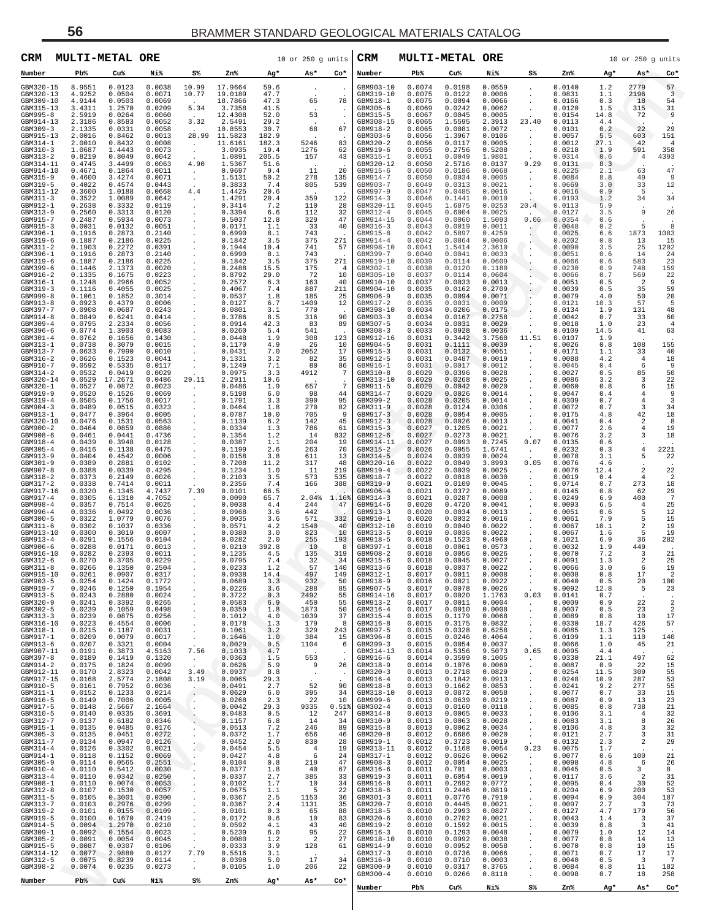| CRM                    | MULTI-METAL ORE  |                   |                  |                    |                          |                | $10$ or $250$ g units |               | CRM                      | <b>MULTI-METAL ORE</b> |                  |                  |                                        |                  |             | 10 or 250 g units     |                      |
|------------------------|------------------|-------------------|------------------|--------------------|--------------------------|----------------|-----------------------|---------------|--------------------------|------------------------|------------------|------------------|----------------------------------------|------------------|-------------|-----------------------|----------------------|
| Number                 | $Pb\%$           | Cu%               | Ni%              | S%                 | Zn%                      | Ag*            | As*                   | Co*           | Number                   | Pb%                    | Cu%              | Ni%              | S%                                     | Zn%              | Ag*         | As*                   | $Co*$                |
| GBM320-15<br>GBM320-13 | 8.9551<br>4.9252 | 0.0123<br>0.0504  | 0.0038<br>0.0071 | 10.99<br>10.77     | 17.9664<br>19.0189       | 59.6<br>47.7   |                       |               | GBM903-10<br>GBM319-10   | 0.0074<br>0.0075       | 0.0198<br>0.0122 | 0.0559<br>0.0006 |                                        | 0.0140<br>0.0831 | 1.2<br>1.1  | 2779<br>2196          | 57<br>3              |
| GBM309-10<br>GBM315-13 | 4.9144<br>3.4311 | 0.0503<br>1.2570  | 0.0069<br>0.0209 | 5.34               | 18.7866<br>3.7358        | 47.3<br>41.5   | 65                    | 78            | GBM918-1<br>GBM305-6     | 0.0075<br>0.0069       | 0.0094<br>0.0242 | 0.0066<br>0.0062 |                                        | 0.0166<br>0.0120 | 0.3<br>1.5  | 18<br>315             | 54<br>31             |
| GBM995-8<br>GBM914-13  | 2.5919<br>2.3186 | 0.0264<br>0.8583  | 0.0060<br>0.0052 | 3.32               | 12.4308<br>2.5491        | 52.0<br>29.2   | 53                    | $\cdot$       | GBM315-5<br>GBM308-15    | 0.0067<br>0.0065       | 0.0045<br>1.5595 | 0.0005<br>2.3913 | 23.40                                  | 0.0154<br>0.0113 | 14.8<br>4.4 | 72                    | $\overline{9}$       |
| GBM309-3               | 2.1335           | 0.0331            | 0.0058           |                    | 10.8553                  | 30.7           | 68                    | 67            | GBM918-2                 | 0.0065                 | 0.0081           | 0.0072           |                                        | 0.0101           | 0.2         | 22                    | 29                   |
| GBM915-13<br>GBM314-1  | 2.0016<br>2.0010 | 0.8462<br>0.8432  | 0.0013<br>0.0008 | $\cdot$            | 28.99 11.5823<br>11.6161 | 182.9<br>182.3 | 5246                  | 83            | GBM303-6<br>GBM320-2     | 0.0056<br>0.0056       | 1.3967<br>0.0117 | 0.0106<br>0.0005 |                                        | 0.0057<br>0.0012 | 5.5<br>27.1 | 603<br>42             | 151<br>4             |
| GBM310-3<br>GBM313-2   | 1.0687<br>0.8219 | 1.4443<br>0.8049  | 0.0073<br>0.0042 |                    | 3.0935<br>1.0891         | 19.4<br>205.5  | 1276<br>157           | 62<br>43      | GBM919-6<br>GBM315-1     | 0.0055<br>0.0051       | 0.2756<br>0.0049 | 0.5208<br>1.9801 |                                        | 0.0218<br>0.0314 | 1.9<br>0.6  | 591<br>4              | 358<br>4393          |
| GBM314-11<br>GBM914-10 | 0.4745<br>0.4671 | 3.4499<br>0.1864  | 0.0063<br>0.0011 | 4.90               | 1.5367<br>0.9697         | 51.6<br>9.4    | -11                   | 20            | GBM320-12<br>GBM915-6    | 0.0050<br>0.0050       | 2.5716<br>0.0186 | 0.0137<br>0.0068 | 9.29<br>$\blacksquare$                 | 0.0131<br>0.0225 | 8.3<br>2.1  | 63                    | 47                   |
| GBM315-9<br>GBM319-5   | 0.4600<br>0.4022 | 3.4274<br>0.4574  | 0.0071<br>0.0443 |                    | 1.5131<br>0.3833         | 50.2<br>7.4    | 278<br>805            | 135<br>539    | GBM914-7<br>GBM903-7     | 0.0050<br>0.0049       | 0.0034<br>0.0313 | 0.0005<br>0.0021 |                                        | 0.0084<br>0.0669 | 8.8<br>3.0  | 49<br>33              | 9<br>12              |
| GBM311-12<br>GBM311-3  | 0.3600<br>0.3522 | 1.0188<br>1.0089  | 0.0668<br>0.0642 | 4.4<br>$\cdot$     | 1.4425<br>1.4291         | 20.6<br>20.4   | 359                   | 122           | GBM997-9<br>GBM914-3     | 0.0047<br>0.0046       | 0.0485<br>0.1441 | 0.0016<br>0.0010 |                                        | 0.0016<br>0.0193 | 0.9<br>1.2  | -5<br>34              | 34                   |
| GBM912-1<br>GBM313-9   | 0.2638<br>0.2560 | 0.3332<br>0.3313  | 0.0119<br>0.0120 |                    | 0.3414<br>0.3394         | 7.2<br>6.6     | 110<br>112            | 28<br>32      | GBM320-11<br>GBM312-4    | 0.0045<br>0.0045       | 1.6875<br>0.6004 | 0.0253<br>0.0025 | 20.4                                   | 0.0113<br>0.0127 | 5.9<br>3.5  | 9                     | 26                   |
| GBM915-7<br>GBM915-3   | 0.2487<br>0.0031 | 0.5934<br>0.0132  | 0.0073<br>0.0051 |                    | 0.5037<br>0.0171         | 12.8<br>1.1    | 329<br>-33            | 47<br>40      | GBM914-15<br>GBM316-3    | 0.0044<br>0.0043       | 0.0060<br>0.0019 | 1.5093<br>0.0011 | 0.06<br>$\cdot/$                       | 0.0354<br>0.0048 | 0.6<br>0.2  | 5                     | 8                    |
| GBM396-1<br>GBM319-6   | 0.1916<br>0.1887 | 0.2873<br>0.2186  | 0.2140<br>0.0225 |                    | 0.6990<br>0.1842         | 8.1<br>3.5     | 743<br>375            | 271           | GBM915-8<br>GBM914-4     | 0.0042<br>0.0042       | 0.5897<br>0.0864 | 0.4259<br>0.0006 |                                        | 0.0025<br>0.0202 | 6.6<br>0.8  | 1873<br>-13           | 1083<br>15           |
| GBM311-2<br>GBM396-1   | 0.1903<br>0.1916 | 0.2272<br>0.2873  | 0.0391<br>0.2140 |                    | 0.1944<br>0.6990         | 10.4<br>8.1    | 741<br>743            | 57            | GBM998-10<br>GBM399-7    | 0.0041<br>0.0040       | 1.5414<br>0.0041 | 2.3610<br>0.0033 | $\cdot$                                | 0.0090<br>0.0051 | 3.5<br>0.6  | 25<br>14              | 1202<br>24           |
| GBM319-6<br>GBM399-6   | 0.1887<br>0.1446 | 0.2186<br>2.1373  | 0.0225<br>0.0020 |                    | 0.1842<br>0.2488         | 3.5<br>15.5    | 375<br>175            | 271<br>4      | GBM919-10<br>GBM302-1    | 0.0039<br>0.0038       | 0.0114<br>0.0120 | 0.0609<br>0.1180 |                                        | 0.0066<br>0.0230 | 0.6<br>0.9  | 583<br>748            | 23<br>159            |
| GBM916-2<br>GBM316-1   | 0.1335<br>0.1248 | 0.1675<br>0.2966  | 0.0223<br>0.0052 |                    | 0.8792<br>0.2572         | 29.0<br>6.3    | -72<br>163            | 10<br>40      | GBM305-10<br>GBM910-10   | 0.0037<br>0.0037       | 0.0114<br>0.0033 | 0.0604<br>0.0013 |                                        | 0.0066<br>0.0051 | 0.7<br>0.5  | 569<br>2              | 22<br>9              |
| GBM319-3<br>GBM999-8   | 0.1116<br>0.1061 | 0.4055<br>0.1852  | 0.0025<br>0.3014 |                    | 0.4067<br>0.0537         | 7.4<br>1.8     | 887<br>185            | 211<br>25     | GBM904-10<br>GBM906-9    | 0.0035<br>0.0035       | 0.0162<br>0.0094 | 0.2709<br>0.0071 |                                        | 0.0039<br>0.0079 | 0.5<br>4.0  | 35<br>50              | 59<br>20             |
| GBM913-8<br>GBM397-7   | 0.0923<br>0.0908 | 0.4379<br>0.0687  | 0.0006<br>0.0243 |                    | 0.0127<br>0.0801         | 6.7<br>3.1     | 1409<br>770           | 12            | GBM917-2<br>GBM398-10    | 0.0035<br>0.0034       | 0.0031<br>0.0206 | 0.0009<br>0.0175 |                                        | 0.0121<br>0.0134 | 10.3<br>1.9 | 57<br>131             | 5<br>48              |
| GBM914-8<br>GBM309-4   | 0.0849<br>0.0795 | 0.6241<br>2.2334  | 0.0414<br>0.0056 |                    | 0.3786<br>0.0914         | 8.5<br>42.3    | 316<br>-83            | 90<br>89      | GBM903-3<br>GBM307-5     | 0.0034<br>0.0034       | 0.0167<br>0.0031 | 0.2758<br>0.0029 |                                        | 0.0042<br>0.0018 | 0.7<br>1.0  | 33<br>23              | 60<br>4              |
| GBM396-6<br>GBM301-4   | 0.0774<br>0.0762 | 1.3903<br>0.1656  | 0.0083<br>0.1430 |                    | 0.0260<br>0.0448         | 5.4<br>1.9     | 541<br>308            | 123           | GBM308-3<br>GBM912-16    | 0.0033<br>0.0031       | 0.0928<br>0.3442 | 0.0036<br>3.7560 | 11.51                                  | 0.0109<br>0.0107 | 14.5<br>1.9 | 41                    | 63                   |
| GBM313-1<br>GBM913-7   | 0.0738<br>0.0633 | 0.3079<br>0.7990  | 0.0015<br>0.0010 |                    | 0.1170<br>0.0431         | 4.9<br>7.0     | 26<br>2052            | 10<br>17      | GBM904-5<br>GBM915-3     | 0.0031<br>0.0031       | 0.1111<br>0.0132 | 0.0039<br>0.0051 |                                        | 0.0026<br>0.0171 | 0.8<br>1.1  | 108<br>33             | 155<br>40            |
| GBM316-2<br>GBM910-7   | 0.0626<br>0.0592 | 0.1523<br>0.5335  | 0.0041<br>0.0117 |                    | 0.1331<br>0.1249         | 3.2<br>7.1     | 82<br>80              | 35<br>86      | GBM912-5<br>GBM916-1     | 0.0031<br>0.0031       | 0.0487<br>0.0017 | 0.0019<br>0.0012 |                                        | 0.0088<br>0.0045 | 4.2<br>0.4  | 4<br>6                | 18<br>9              |
| GBM314-2<br>GBM320-14  | 0.0532<br>0.0529 | 0.0419<br>17.2671 | 0.0029<br>0.0486 | 29.11              | 0.0975<br>2.2911         | 3.3<br>10.6    | 4912                  | 7             | GBM310-8<br>GBM313-10    | 0.0029<br>0.0029       | 0.0396<br>0.0268 | 0.0028<br>0.0025 |                                        | 0.0027<br>0.0086 | 0.5<br>3.2  | 85<br>3               | 50<br>22             |
| GBM320-1<br>GBM919-9   | 0.0527<br>0.0520 | 0.0872<br>0.1526  | 0.0023<br>0.0069 |                    | 0.0486<br>0.5198         | 1.9<br>6.0     | 657<br>98             | 7<br>44       | GBM911-5<br>GBM314-7     | 0.0029<br>0.0029       | 0.0042<br>0.0026 | 0.0020<br>0.0014 |                                        | 0.0060<br>0.0047 | 0.8<br>0.4  | 6<br>4                | 15<br>9              |
| GBM319-4<br>GBM904-3   | 0.0505<br>0.0489 | 0.1756<br>0.0515  | 0.0017<br>0.0323 |                    | 0.1791<br>0.0464         | 3.3<br>1.8     | 390<br>270            | 95<br>82      | GBM399-2<br>GBM311-9     | 0.0028<br>0.0028       | 0.0205<br>0.0124 | 0.0014<br>0.0306 |                                        | 0.0309<br>0.0072 | 0.7<br>0.7  | 4<br>3                | 3<br>34              |
| GBM913-1<br>GBM320-10  | 0.0477<br>0.0476 | 0.3964<br>0.1531  | 0.0005<br>0.0563 |                    | 0.0787<br>0.1139         | 10.0<br>6.2    | 705<br>142            | 9<br>45       | GBM917-3<br>GBM912-3     | 0.0028<br>0.0028       | 0.0054<br>0.0026 | 0.0005<br>0.0013 |                                        | 0.0175<br>0.0041 | 4.8<br>0.4  | 42<br>2               | 18<br>8              |
| GBM900-2<br>GBM908-6   | 0.0464<br>0.0461 | 0.0859<br>0.0441  | 0.0886<br>0.4736 |                    | 0.0334<br>0.1354         | 1.3<br>1.2     | 786<br>14             | 61<br>832     | $GBM315-3$<br>GBM912-6   | 0.0027<br>0.0027       | 0.1205<br>0.0273 | 0.0021<br>0.0021 |                                        | 0.0077<br>0.0076 | 2.6<br>3.2  | 4<br>3                | 19<br>18             |
| GBM918-4<br>GBM305-4   | 0.0439<br>0.0416 | 0.3948<br>0.1138  | 0.0128<br>0.0475 |                    | 0.0387<br>0.1199         | 1.1<br>2.6     | 204<br>263            | 19<br>70      | GBM914-11<br>GBM315-2    | 0.0027<br>0.0026       | 0.0093<br>0.0055 | 0.7245<br>1.6741 | 0.07<br>$\cdot$                        | 0.0135<br>0.0232 | 0.6<br>0.3  | 4                     | 2221                 |
| GBM913-9<br>GBM301-9   | 0.0404<br>0.0389 | 0.4542<br>0.2881  | 0.0006<br>0.0102 |                    | 0.0158<br>0.7208         | 3.8<br>11.2    | 611<br>317            | 13<br>48      | GBM314-5<br>GBM320-16    | 0.0024<br>0.0022       | 0.0039<br>0.0049 | 0.0024<br>3.8993 | 0.05                                   | 0.0078<br>0.0076 | 3.1<br>4.6  | 5                     | 22                   |
| GBM907-8<br>GBM318-2   | 0.0388<br>0.0373 | 0.0339<br>0.2149  | 0.4295<br>0.0026 |                    | 0.1234<br>0.2103         | 1.0<br>3.5     | -11<br>573            | 219<br>535    | GBM919-4<br>GBM918-7     | 0.0022<br>0.0022       | 0.0039<br>0.0018 | 0.0025<br>0.0030 | $\cdot$                                | 0.0076<br>0.0019 | 12.4<br>0.4 | 2<br>4                | 22<br>$\overline{2}$ |
| GBM317-2<br>GBM917-16  | 0.0338<br>0.0320 | 0.7414<br>6.1345  | 0.0011<br>4.7437 | 7.39               | 0.2356<br>0.0101         | 7.4<br>66.5    | 166                   | 388           | GBM319-9<br>GBM906-4     | 0.0021<br>0.0021       | 0.0109<br>0.0372 | 0.0045<br>0.0089 |                                        | 0.0714<br>0.0145 | 0.7<br>0.8  | 273<br>-62            | 18<br>29             |
| GBM917-4<br>GBM998-4   | 0.0305<br>0.0357 | 6.1310<br>0.7514  | 4.7052<br>0.0025 |                    | 0.0090<br>0.0038         | 65.7<br>4.4    | 2.04%<br>244          | 1.16%<br>47   | GBM314-3<br>GBM914-6     | 0.0021<br>0.0020       | 0.0287<br>0.4720 | 0.0008<br>0.0041 |                                        | 0.0249<br>0.0093 | 6.9<br>6.5  | 400<br>4              | 7<br>25              |
| GBM996-4<br>GBM300-5   | 0.0336<br>0.0322 | 0.0492<br>1.0779  | 0.0036<br>0.0076 |                    | 0.0968<br>0.0035         | 3.6<br>3.6     | 442<br>571            | 332           | GBM913-3<br>GBM910-1     | 0.0020<br>0.0020       | 0.0034<br>0.0032 | 0.0013<br>0.0016 |                                        | 0.0051<br>0.0061 | 0.6<br>7.9  | 5<br>5                | 12<br>15             |
| GBM311-6<br>GBM913-10  | 0.0302<br>0.0300 | 0.1037<br>0.3019  | 0.0336<br>0.0007 |                    | 0.0571<br>0.0380         | 4.2<br>3.0     | 1540<br>823           | 40<br>10      | GBM312-10<br>GBM313-5    | 0.0019<br>0.0019       | 0.0040<br>0.0036 | 0.0022<br>0.0022 |                                        | 0.0067<br>0.0067 | 10.1<br>1.6 | 2<br>5                | 19<br>19             |
| GBM913-4<br>GBM906-6   | 0.0291<br>0.0288 | 0.1556<br>0.0171  | 0.0104<br>0.0013 |                    | 0.0282<br>0.0210         | 2.0<br>392.8   | 255<br>10             | 193<br>8      | GBM918-5<br>GBM397-1     | 0.0018<br>0.0018       | 0.1523<br>0.0061 | 0.4960<br>0.0573 |                                        | 0.1021<br>0.0032 | 6.9<br>1.9  | 36<br>449             | 282                  |
| GBM916-10<br>GBM312-6  | 0.0282<br>0.0270 | 0.2393<br>0.3705  | 0.0011<br>0.0229 | $\cdot$            | 0.1235<br>0.0795         | 4.5<br>7.4     | 135<br>-32            | 319<br>34     | GBM908-2<br>GBM315-6     | 0.0018<br>0.0018       | 0.0056<br>0.0045 | 0.0026<br>0.0027 |                                        | 0.0070<br>0.0091 | 7.2<br>1.3  | 3<br>2                | 21<br>25             |
| GBM311-8<br>GBM915-10  | 0.0266<br>0.0261 | 0.1350<br>0.0907  | 0.2504<br>0.0317 |                    | 0.0233<br>0.0938         | 1.2<br>14.4    | 57<br>497             | 140<br>149    | GBM313-6<br>GBM312-1     | 0.0018<br>0.0017       | 0.0037<br>0.0011 | 0.0022<br>0.0008 | $\blacksquare$                         | 0.0066<br>0.0008 | 3.0<br>0.8  | 6<br>17               | 19<br>$\overline{a}$ |
| GBM903-5<br>GBM919-7   | 0.0254<br>0.0246 | 0.1424<br>0.1250  | 0.1772<br>0.1954 |                    | 0.0689<br>0.0226         | 3.3<br>3.6     | 932<br>288            | 50<br>85      | GBM918-9<br>GBM907-5     | 0.0016<br>0.0017       | 0.0021<br>0.0078 | 0.0922<br>0.0026 | $\cdot$                                | 0.0040<br>0.0092 | 0.5<br>12.8 | 20<br>5               | 100<br>23            |
| GBM913-5<br>GBM320-9   | 0.0243<br>0.0241 | 0.2880<br>0.3392  | 0.0024<br>0.0265 |                    | 0.3722<br>0.0583         | 0.3<br>6.9     | 2492<br>450           | 55<br>55      | GBM914-16<br>GBM913-2    | 0.0017<br>0.0017       | 0.0020<br>0.0011 | 1.1763<br>0.0004 | 0.03<br>$\cdot$                        | 0.0141<br>0.0009 | 0.7<br>0.9  | 22                    | $\overline{2}$       |
| GBM302-5<br>GBM313-3   | 0.0239<br>0.0239 | 0.1059<br>0.0875  | 0.0498<br>0.0256 |                    | 0.0359<br>0.1012         | 1.8<br>4.0     | 1873<br>1039          | 50<br>37      | $GBM316-4$<br>$GBM315-4$ | 0.0017<br>0.0015       | 0.0010<br>0.1179 | 0.0008<br>0.0068 | $\cdot$<br>$\blacksquare$              | 0.0007<br>0.0089 | 0.5<br>0.8  | 23<br>10              | $\overline{2}$<br>17 |
| GBM316-10<br>GBM318-1  | 0.0223<br>0.0215 | 0.4554<br>0.1187  | 0.0006<br>0.0031 |                    | 0.0178<br>0.1061         | 1.3<br>3.2     | 179<br>329            | 8<br>243      | $GBM316-8$<br>GBM997-5   | 0.0015<br>0.0015       | 0.3175<br>0.0328 | 0.0832<br>0.6258 | $\blacksquare$<br>$\blacksquare$       | 0.0330<br>0.0085 | 18.7<br>1.3 | 426<br>125            | 57                   |
| GBM917-1<br>GBM913-6   | 0.0209<br>0.0207 | 0.0079<br>0.3321  | 0.0017<br>0.0004 | $\cdot$            | 0.1646<br>0.0029         | 1.0<br>0.5     | 384<br>1104           | 15<br>6       | GBM396-8<br>GBM399-3     | 0.0015<br>0.0015       | 0.0246<br>0.0054 | 0.4064<br>0.0037 | $\cdot$                                | 0.0109<br>0.0066 | 1.1<br>1.0  | 110<br>45             | 140<br>21            |
| GBM907-11<br>GBM397-8  | 0.0191<br>0.0189 | 0.3873<br>0.1419  | 4.5163<br>0.1320 | 7.56<br>$\cdot$    | 0.1033<br>0.0363         | 4.7<br>1.5     | 553                   | $\cdot$       | GBM314-13<br>GBM916-6    | 0.0014<br>0.0014       | 0.5356<br>0.3599 | 9.5073<br>0.1005 | 0.65<br>$\cdot$                        | 0.0095<br>0.0330 | 4.4<br>21.1 | 497                   | 62                   |
| GBM914-2<br>GBM912-11  | 0.0175<br>0.0170 | 0.1824<br>2.8323  | 0.0099<br>0.0042 | 3.49               | 0.0626<br>0.0937         | 5.9<br>8.8     | 9                     | 26<br>$\cdot$ | GBM318-9<br>GBM320-3     | 0.0014<br>0.0013       | 0.1076<br>0.2718 | 0.0069<br>0.0829 | $\blacksquare$<br>$\cdot$              | 0.0087<br>0.0254 | 0.9<br>11.5 | 22<br>309             | 15<br>55             |
| GBM917-15<br>GBM910-5  | 0.0168<br>0.0161 | 2.5774<br>0.7952  | 2.1808<br>0.0036 | 3.19               | 0.0065<br>0.0491         | 29.3<br>2.7    | 52                    | 90            | GBM916-4<br>GBM918-8     | 0.0013<br>0.0013       | 0.1842<br>0.1662 | 0.0913<br>0.0853 | $\cdot$<br>$\cdot$                     | 0.0248<br>0.0241 | 10.9<br>9.2 | 287<br>277            | 53<br>55             |
| GBM311-1<br>GBM916-5   | 0.0152<br>0.0149 | 0.1233<br>0.7006  | 0.0214<br>0.0005 | $\cdot$            | 0.0629<br>0.0268         | 6.0<br>2.3     | 395<br>22             | 34<br>10      | GBM318-10<br>GBM999-6    | 0.0013<br>0.0013       | 0.0872<br>0.0639 | 0.0058<br>0.0219 | $\cdot$<br>$\cdot$                     | 0.0077<br>0.0087 | 0.7<br>0.9  | 33<br>13              | 15<br>23             |
| GBM917-5<br>GBM310-5   | 0.0148<br>0.0140 | 2.5667<br>0.0335  | 2.1664<br>0.3691 | $\cdot$<br>$\cdot$ | 0.0042<br>0.0483         | 29.3<br>0.5    | 9335<br>12            | 0.51%<br>247  | GBM302-4<br>GBM314-8     | 0.0013<br>0.0013       | 0.0160<br>0.0065 | 0.0118<br>0.0033 | $\cdot$<br>$\blacksquare$              | 0.0085<br>0.0106 | 0.8<br>3.1  | 738<br>$\overline{4}$ | 21<br>32             |
| GBM312-7<br>GBM915-1   | 0.0137<br>0.0135 | 0.6182<br>0.0485  | 0.0346<br>0.0176 |                    | 0.1157<br>0.0513         | 6.8<br>7.2     | 14<br>246             | 34<br>89      | GBM310-9<br>$GBM315-8$   | 0.0013<br>0.0013       | 0.0063<br>0.0062 | 0.0028<br>0.0034 | $\blacksquare$<br>$\blacksquare$       | 0.0083<br>0.0106 | 3.1<br>4.8  | 8<br>3                | 26<br>32             |
| GBM305-3<br>GBM311-7   | 0.0135<br>0.0134 | 0.0451<br>0.0947  | 0.0272<br>0.0126 | $\cdot$<br>$\cdot$ | 0.0372<br>0.0452         | 1.7<br>2.0     | 656<br>830            | 46<br>28      | GBM320-8<br>GBM919-1     | 0.0012<br>0.0012       | 0.6686<br>0.3723 | 0.0020<br>0.0019 | $\cdot$                                | 0.0121<br>0.0132 | 2.7<br>2.3  | 3<br>$\sqrt{2}$       | 31<br>29             |
| GBM314-4<br>GBM914-1   | 0.0126<br>0.0118 | 0.3302<br>0.1152  | 0.0021<br>0.0069 | $\cdot$            | 0.0454<br>0.0427         | 5.5<br>4.8     | $\overline{4}$<br>6   | 19<br>24      | GBM313-11<br>GBM317-1    | 0.0012<br>0.0012       | 0.1168<br>0.0626 | 0.0054<br>0.0062 | 0.23<br>$\cdot$                        | 0.0075<br>0.0077 | 1.7<br>0.6  | 100                   | 21                   |
| GBM305-9<br>GBM910-4   | 0.0114<br>0.0110 | 0.0565<br>0.5412  | 0.2551<br>0.0030 |                    | 0.0104<br>0.0377         | 0.8<br>1.8     | 219<br>40             | 47<br>67      | GBM908-3<br>GBM316-6     | 0.0012<br>0.0011       | 0.0054<br>0.701  | 0.0025<br>0.0003 | $\cdot$<br>$\cdot$                     | 0.0098<br>0.0045 | 4.8<br>0.5  | 6<br>3                | 26<br>8              |
| GBM313-4<br>GBM908-1   | 0.0110<br>0.0110 | 0.0342<br>0.0074  | 0.0250<br>0.0053 |                    | 0.0337<br>0.0102         | 2.7<br>1.7     | 385<br>10             | 33<br>34      | GBM919-3<br>GBM916-8     | 0.0011<br>0.0011       | 0.6054<br>0.2692 | 0.0019<br>0.0772 | $\blacksquare$                         | 0.0117<br>0.0095 | 3.6<br>0.4  | $\overline{a}$<br>30  | 31<br>52             |
| GBM312-8<br>GBM311-5   | 0.0107<br>0.0105 | 0.1530<br>0.3001  | 0.0057<br>0.0300 |                    | 0.0675<br>0.0367         | 1.1<br>2.5     | 5<br>1153             | 22<br>36      | $GBM318-6$<br>GBM301-3   | 0.0011<br>0.0011       | 0.2446<br>0.0776 | 0.0819<br>0.7910 | $\blacksquare$<br>$\cdot$              | 0.0204<br>0.0094 | 6.9<br>0.9  | 200<br>304            | 53<br>187            |
| GBM313-7<br>GBM319-2   | 0.0103<br>0.0101 | 0.2976<br>0.0155  | 0.0299<br>0.0109 |                    | 0.0367<br>0.0101         | 2.4<br>0.3     | 1131<br>65            | 35<br>88      | GBM320-7<br>GBM318-5     | 0.0010<br>0.0010       | 0.4445<br>0.2993 | 0.0021<br>0.0827 | $\blacksquare$<br>$\cdot$              | 0.0097<br>0.0127 | 2.7<br>4.7  | 3<br>179              | 73<br>56             |
| GBM919-5<br>GBM914-5   | 0.0100<br>0.0094 | 0.1670<br>1.2970  | 0.2419<br>0.0210 |                    | 0.0172<br>0.0592         | 0.6<br>4.1     | 10<br>43              | 83<br>40      | GBM320-6<br>GBM919-2     | 0.0010<br>0.0010       | 0.2702<br>0.1592 | 0.0021<br>0.0015 | $\cdot$<br>$\blacksquare$              | 0.0043<br>0.0039 | 1.4<br>0.8  | 3<br>3                | 37<br>41             |
| GBM309-1<br>GBM305-2   | 0.0092<br>0.0091 | 0.1554<br>0.0054  | 0.0023<br>0.0045 |                    | 0.5239<br>0.0080         | 6.0<br>1.2     | 95<br>$\overline{c}$  | 22<br>27      | GBM916-3<br>GBM918-10    | 0.0010<br>0.0010       | 0.1293<br>0.0992 | 0.0048<br>0.0038 | $\cdot$<br>$\blacksquare$              | 0.0079<br>0.0077 | 1.0<br>0.8  | 12<br>14              | 14<br>13             |
| GBM915-5<br>GBM314-12  | 0.0087<br>0.0077 | 0.0307<br>2.9880  | 0.0106<br>0.0127 | $\cdot$<br>7.79    | 0.0333<br>0.5516         | 3.9<br>3.1     | 128                   | 61            | GBM914-9<br>GBM317-3     | 0.0010<br>0.0010       | 0.0952<br>0.0736 | 0.0058<br>0.0066 | $\blacksquare$<br>$\ddot{\phantom{0}}$ | 0.0070<br>0.0071 | 0.8<br>0.7  | 10<br>17              | 15<br>17             |
| GBM312-5<br>GBM398-2   | 0.0075<br>0.0074 | 0.8239<br>0.0235  | 0.0114<br>0.0273 |                    | 0.0398<br>0.0105         | 5.0<br>1.0     | 17<br>206             | 34<br>22      | GBM316-9<br>GBM300-9     | 0.0010<br>0.0010       | 0.0710<br>0.0317 | 0.0003<br>0.3765 | $\cdot$                                | 0.0040<br>0.0084 | 0.5<br>0.8  | 3<br>11               | 7<br>182             |
| Number                 | $Pb$ %           | Cu%               | Ni%              | S%                 | Zn%                      | Ag*            | As*                   | Co*           | GBM300-4                 | 0.0010                 | 0.0266           | 0.8118           |                                        | 0.0098           | 0.7         | 18                    | 258                  |
|                        |                  |                   |                  |                    |                          |                |                       |               | Number                   | Pb%                    | Cu%              | Ni%              | S%                                     | Zn%              | Ag*         | As*                   | $Co*$                |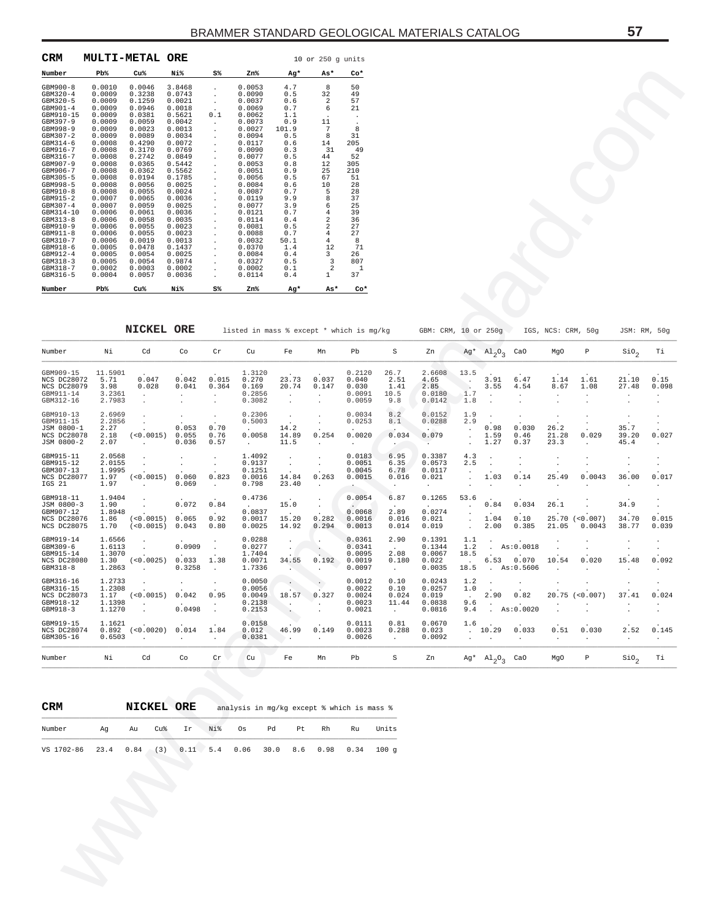| CRM          |        | <b>MULTI-METAL ORE</b> |        |                |        |       | $10$ or $250$ $\sigma$ units |       |
|--------------|--------|------------------------|--------|----------------|--------|-------|------------------------------|-------|
| Number       | Pb%    | Cu <sup>8</sup>        | Ni%    | S <sup>8</sup> | Zn%    | Ag*   | As*                          | $Co*$ |
| $GBM900 - 8$ | 0.0010 | 0.0046                 | 3.8468 |                | 0.0053 | 4.7   | 8                            | 50    |
| $GBM320 - 4$ | 0.0009 | 0.3238                 | 0.0743 |                | 0.0090 | 0.5   | 32                           | 49    |
| $GBM320 - 5$ | 0.0009 | 0.1259                 | 0.0021 |                | 0.0037 | 0.6   | 2                            | 57    |
| GBM901-4     | 0.0009 | 0.0946                 | 0.0018 |                | 0.0069 | 0.7   | 6                            | 21    |
| GBM910-15    | 0.0009 | 0.0381                 | 0.5621 | 0.1            | 0.0062 | 1.1   |                              |       |
| $GBM397-9$   | 0.0009 | 0.0059                 | 0.0042 |                | 0.0073 | 0.9   | 11                           |       |
| $GBM998-9$   | 0.0009 | 0.0023                 | 0.0013 |                | 0.0027 | 101.9 | 7                            | 8     |
| $GBM307 - 2$ | 0.0009 | 0.0089                 | 0.0034 |                | 0.0094 | 0.5   | 8                            | 31    |
| $GBM314-6$   | 0.0008 | 0.4290                 | 0.0072 |                | 0.0117 | 0.6   | 14                           | 205   |
| GBM916-7     | 0.0008 | 0.3170                 | 0.0769 |                | 0.0090 | 0.3   | 31                           | 49    |
| $GBM316 - 7$ | 0.0008 | 0.2742                 | 0.0849 |                | 0.0077 | 0.5   | 44                           | 52    |
| $GBM907-9$   | 0.0008 | 0.0365                 | 0.5442 |                | 0.0053 | 0.8   | 12                           | 305   |
| $GBM906 - 7$ | 0.0008 | 0.0362                 | 0.5562 |                | 0.0051 | 0.9   | 25                           | 210   |
| GBM305-5     | 0.0008 | 0.0194                 | 0.1785 |                | 0.0056 | 0.5   | 67                           | 51    |
| GBM998-5     | 0.0008 | 0.0056                 | 0.0025 |                | 0.0084 | 0.6   | 10                           | 28    |
| GBM910-8     | 0.0008 | 0.0055                 | 0.0024 |                | 0.0087 | 0.7   | 5                            | 28    |
| $GBM915-2$   | 0.0007 | 0.0065                 | 0.0036 |                | 0.0119 | 9.9   | 8                            | 37    |
| $GBM307 - 4$ | 0.0007 | 0.0059                 | 0.0025 |                | 0.0077 | 3.9   | 6                            | 25    |
| GBM314-10    | 0.0006 | 0.0061                 | 0.0036 |                | 0.0121 | 0.7   | 4                            | 39    |
| GBM313-8     | 0.0006 | 0.0058                 | 0.0035 |                | 0.0114 | 0.4   | $\overline{a}$               | 36    |
| $GBM910-9$   | 0.0006 | 0.0055                 | 0.0023 |                | 0.0081 | 0.5   | $\overline{a}$               | 2.7   |
| $GBM911 - 8$ | 0.0006 | 0.0055                 | 0.0023 |                | 0.0088 | 0.7   | 4                            | 2.7   |
| GBM310-7     | 0.0006 | 0.0019                 | 0.0013 |                | 0.0032 | 50.1  | 4                            | 8     |
| GBM918-6     | 0.0005 | 0.0478                 | 0.1437 |                | 0.0370 | 1.4   | 12                           | 71    |
| GBM912-4     | 0.0005 | 0.0054                 | 0.0025 |                | 0.0084 | 0.4   | 3                            | 26    |
| GBM318-3     | 0.0005 | 0.0054                 | 0.9874 |                | 0.0327 | 0.5   | 3                            | 807   |
| $GBM318-7$   | 0.0002 | 0.0003                 | 0.0002 |                | 0.0002 | 0.1   | 2                            | 1     |
| $GBM316 - 5$ | 0.0004 | 0.0057                 | 0.0036 |                | 0.0114 | 0.4   | 1                            | 37    |
| Number       | $Pb$ % | Cu%                    | Ni%    | S <sup>2</sup> | Zn%    | Ag*   | As*                          | $Co*$ |

| Number                                                                                                                                                                                                                                                                                                                                                   | Pb%                                                                                                                                                                                                                                                                                            | Cu%                                                                                                                                                                                                                                                                                         | Ni%                                                                                                                                                                                                                                                                                         | S%                                                  | Zn%                                                                                                                                                                                                                                                                                         | Ag*                                                                                                                                                                                                        | As*                                                                                                                                                  | $Co*$                                                                                                                                                                        |                                                |                                                  |                                                   |                                         |                                   |                              |                                  |                                     |                               |
|----------------------------------------------------------------------------------------------------------------------------------------------------------------------------------------------------------------------------------------------------------------------------------------------------------------------------------------------------------|------------------------------------------------------------------------------------------------------------------------------------------------------------------------------------------------------------------------------------------------------------------------------------------------|---------------------------------------------------------------------------------------------------------------------------------------------------------------------------------------------------------------------------------------------------------------------------------------------|---------------------------------------------------------------------------------------------------------------------------------------------------------------------------------------------------------------------------------------------------------------------------------------------|-----------------------------------------------------|---------------------------------------------------------------------------------------------------------------------------------------------------------------------------------------------------------------------------------------------------------------------------------------------|------------------------------------------------------------------------------------------------------------------------------------------------------------------------------------------------------------|------------------------------------------------------------------------------------------------------------------------------------------------------|------------------------------------------------------------------------------------------------------------------------------------------------------------------------------|------------------------------------------------|--------------------------------------------------|---------------------------------------------------|-----------------------------------------|-----------------------------------|------------------------------|----------------------------------|-------------------------------------|-------------------------------|
| GBM900-8<br>GBM320-4<br>GBM320-5<br>GBM901-4<br>GBM910-15<br>GBM397-9<br>GBM998-9<br>GBM307-2<br>GBM314-6<br>GBM916-7<br>GBM316-7<br>GBM907-9<br>GBM906-7<br>GBM305-5<br>GBM998-5<br>GBM910-8<br>GBM915-2<br>GBM307-4<br>GBM314-10<br>GBM313-8<br>GBM910-9<br>GBM911-8<br>GBM310-7<br>GBM918-6<br>GBM912-4<br>GBM318-3<br>GBM318-7<br>GBM316-5<br>Number | 0.0010<br>0.0009<br>0.0009<br>0.0009<br>0.0009<br>0.0009<br>0.0009<br>0.0009<br>0.0008<br>0.0008<br>0.0008<br>0.0008<br>0.0008<br>0.0008<br>0.0008<br>0.0008<br>0.0007<br>0.0007<br>0.0006<br>0.0006<br>0.0006<br>0.0006<br>0.0006<br>0.0005<br>0.0005<br>0.0005<br>0.0002<br>0.0004<br>$Pb$ % | 0.0046<br>0.3238<br>0.1259<br>0.0946<br>0.0381<br>0.0059<br>0.0023<br>0.0089<br>0.4290<br>0.3170<br>0.2742<br>0.0365<br>0.0362<br>0.0194<br>0.0056<br>0.0055<br>0.0065<br>0.0059<br>0.0061<br>0.0058<br>0.0055<br>0.0055<br>0.0019<br>0.0478<br>0.0054<br>0.0054<br>0.0003<br>0.0057<br>Cu% | 3.8468<br>0.0743<br>0.0021<br>0.0018<br>0.5621<br>0.0042<br>0.0013<br>0.0034<br>0.0072<br>0.0769<br>0.0849<br>0.5442<br>0.5562<br>0.1785<br>0.0025<br>0.0024<br>0.0036<br>0.0025<br>0.0036<br>0.0035<br>0.0023<br>0.0023<br>0.0013<br>0.1437<br>0.0025<br>0.9874<br>0.0002<br>0.0036<br>Ni% | $\cdot$<br>$\cdot$<br>0.1<br>$\cdot$<br>S%          | 0.0053<br>0.0090<br>0.0037<br>0.0069<br>0.0062<br>0.0073<br>0.0027<br>0.0094<br>0.0117<br>0.0090<br>0.0077<br>0.0053<br>0.0051<br>0.0056<br>0.0084<br>0.0087<br>0.0119<br>0.0077<br>0.0121<br>0.0114<br>0.0081<br>0.0088<br>0.0032<br>0.0370<br>0.0084<br>0.0327<br>0.0002<br>0.0114<br>Zn% | 4.7<br>0.5<br>0.6<br>0.7<br>1.1<br>0.9<br>101.9<br>0.5<br>0.6<br>0.3<br>0.5<br>0.8<br>0.9<br>0.5<br>0.6<br>0.7<br>9.9<br>3.9<br>0.7<br>0.4<br>0.5<br>0.7<br>50.1<br>1.4<br>0.4<br>0.5<br>0.1<br>0.4<br>Ag* | 8<br>32<br>2<br>6<br>11<br>7<br>8<br>14<br>31<br>44<br>12<br>25<br>67<br>10<br>5<br>8<br>6<br>4<br>2<br>2<br>4<br>4<br>12<br>3<br>3<br>2<br>1<br>As* | 50<br>49<br>57<br>21<br>$\cdot$<br>8<br>31<br>205<br>49<br>52<br>305<br>210<br>51<br>28<br>28<br>37<br>25<br>39<br>36<br>27<br>27<br>8<br>71<br>26<br>807<br>-1<br>37<br>Co* |                                                |                                                  |                                                   |                                         |                                   |                              |                                  |                                     |                               |
|                                                                                                                                                                                                                                                                                                                                                          |                                                                                                                                                                                                                                                                                                | <b>NICKEL</b>                                                                                                                                                                                                                                                                               | ORE                                                                                                                                                                                                                                                                                         |                                                     |                                                                                                                                                                                                                                                                                             |                                                                                                                                                                                                            |                                                                                                                                                      |                                                                                                                                                                              |                                                |                                                  |                                                   |                                         |                                   |                              |                                  |                                     |                               |
|                                                                                                                                                                                                                                                                                                                                                          |                                                                                                                                                                                                                                                                                                |                                                                                                                                                                                                                                                                                             |                                                                                                                                                                                                                                                                                             |                                                     | listed in mass % except * which is mg/kg                                                                                                                                                                                                                                                    |                                                                                                                                                                                                            |                                                                                                                                                      |                                                                                                                                                                              |                                                | GBM: CRM, 10 or 250g                             |                                                   |                                         |                                   | IGS, NCS: CRM, 50g           |                                  | JSM: RM, 50g                        |                               |
| Number<br>GBM909-15<br>NCS DC28072<br>NCS DC28079<br>GBM911-14<br>GBM312-16                                                                                                                                                                                                                                                                              | Νi<br>11.5901<br>5.71<br>3.98<br>3.2361<br>2.7983                                                                                                                                                                                                                                              | Cd<br>0.047<br>0.028<br>٠                                                                                                                                                                                                                                                                   | Co<br>0.042<br>0.041                                                                                                                                                                                                                                                                        | Cr<br>0.015<br>0.364<br>$\cdot$                     | Cu<br>1.3120<br>0.270<br>0.169<br>0.2856<br>0.3082                                                                                                                                                                                                                                          | Fe<br>23.73<br>20.74<br>$\cdot$                                                                                                                                                                            | Mn<br>0.037<br>0.147<br>$\cdot$                                                                                                                      | Pb<br>0.2120<br>0.040<br>0.030<br>0.0091<br>0.0059                                                                                                                           | $\rm S$<br>26.7<br>2.51<br>1.41<br>10.5<br>9.8 | Zn<br>2.6608<br>4.65<br>2.85<br>0.0180<br>0.0142 | Ag*<br>13.5<br>$\ddot{\phantom{1}}$<br>1.7<br>1.8 | $A1_{2}O_{3}$<br>3.91<br>3.55           | CaO<br>6.47<br>4.54               | MgO<br>1.14<br>8.67          | $\, {\mathbb P}$<br>1.61<br>1.08 | $\mathfrak{so}_2$<br>21.10<br>27.48 | Τi<br>0.15<br>0.098           |
| GBM910-13<br>GBM911-15<br>JSM 0800-1<br>NCS DC28078<br>JSM 0800-2                                                                                                                                                                                                                                                                                        | 2.6969<br>2.2856<br>2.27<br>2.18<br>2.07                                                                                                                                                                                                                                                       | (<0.0015)<br>$\cdot$                                                                                                                                                                                                                                                                        | 0.053<br>0.055<br>0.036                                                                                                                                                                                                                                                                     | 0.70<br>0.76<br>0.57                                | 0.2306<br>0.5003<br>0.0058<br>$\sim$                                                                                                                                                                                                                                                        | 14.2<br>14.89<br>11.5                                                                                                                                                                                      | 0.254<br>$\cdot$                                                                                                                                     | 0.0034<br>0.0253<br>0.0020<br>$\ddot{\phantom{a}}$                                                                                                                           | 8.2<br>8.1<br>0.034                            | 0.0152<br>0.0288<br>0.079<br>$\cdot$             | 1.9<br>2.9                                        | 0.98<br>1.59<br>1.27                    | $\cdot$<br>0.030<br>0.46<br>0.37  | 26.2<br>21.28<br>23.3        | 0.029                            | 35.7<br>39.20<br>45.4               | 0.027                         |
| GBM915-11<br>GBM915-12<br>GBM307-13<br>NCS DC28077<br>IGS 21                                                                                                                                                                                                                                                                                             | 2.0568<br>2.0155<br>1.9995<br>1.97<br>1.97                                                                                                                                                                                                                                                     | (<0.0015)                                                                                                                                                                                                                                                                                   | 0.060<br>0.069                                                                                                                                                                                                                                                                              | $\cdot$<br>$\cdot$<br>0.823<br>$\ddot{\phantom{a}}$ | 1.4092<br>0.9137<br>0.1251<br>0.0016<br>0.798                                                                                                                                                                                                                                               | $\cdot$<br>$\cdot$<br>14.84<br>23.40                                                                                                                                                                       | 0.263<br>$\cdot$                                                                                                                                     | 0.0183<br>0.0051<br>0.0045<br>0.0015                                                                                                                                         | 6.95<br>6.35<br>6.78<br>0.016<br>$\cdot$       | 0.3387<br>0.0573<br>0.0117<br>0.021<br>$\cdot$   | 4.3<br>2.5                                        | $\cdot$<br>1.03<br>$\cdot$              | 0.14                              | 25.49                        | 0.0043                           | 36.00<br>$\cdot$                    | 0.017                         |
| GBM918-11<br>JSM 0800-3<br>GBM907-12<br>NCS DC28076<br>NCS DC28075                                                                                                                                                                                                                                                                                       | 1.9404<br>1.90<br>1.8948<br>1.86<br>1.70                                                                                                                                                                                                                                                       | (<0.0015)<br>(<0.0015)                                                                                                                                                                                                                                                                      | 0.072<br>0.065<br>0.043                                                                                                                                                                                                                                                                     | 0.84<br>0.92<br>0.80                                | 0.4736<br>0.0837<br>0.0017<br>0.0025                                                                                                                                                                                                                                                        | 15.0<br>15.20<br>14.92                                                                                                                                                                                     | $\cdot$<br>$\cdot$<br>0.282<br>0.294                                                                                                                 | 0.0054<br>0.0068<br>0.0016<br>0.0013                                                                                                                                         | 6.87<br>2.89<br>0.016<br>0.014                 | 0.1265<br>0.0274<br>0.021<br>0.019               | 53.6                                              | 0.84<br>1.04<br>2.00                    | 0.034<br>0.10<br>0.385            | 26.1<br>25.70<br>21.05       | (<0.007)<br>0.0043               | 34.9<br>34.70<br>38.77              | 0.015<br>0.039                |
| GBM919-14<br>GBM309-6<br>GBM915-14<br><b>NCS DC28080</b><br>$GBM318-8$                                                                                                                                                                                                                                                                                   | 1.6566<br>1.6113<br>1.3070<br>1.30<br>1.2863                                                                                                                                                                                                                                                   | (<0.0025)                                                                                                                                                                                                                                                                                   | 0.0909<br>0.033<br>0.3258                                                                                                                                                                                                                                                                   | 1.38                                                | 0.0288<br>0.0277<br>1.7404<br>0.0071<br>1.7336                                                                                                                                                                                                                                              | $\cdot$<br>34.55                                                                                                                                                                                           | $\cdot$<br>0.192                                                                                                                                     | 0.0361<br>0.0341<br>0.0095<br>0.0019<br>0.0097                                                                                                                               | 2.90<br>2.08<br>0.180<br>$\ddot{\phantom{a}}$  | 0.1391<br>0.1344<br>0.0067<br>0.022<br>0.0035    | 1.1<br>1.2<br>18.5<br>18.5                        | 6.53<br>$\cdot$                         | As: 0.0018<br>0.070<br>As: 0.5606 | 10.54                        | 0.020                            | 15.48                               | 0.092                         |
| GBM316-16<br>GBM316-15<br>NCS DC28073<br>GBM918-12<br>GBM918-3                                                                                                                                                                                                                                                                                           | 1.2733<br>1.2308<br>1.1398<br>1.1270                                                                                                                                                                                                                                                           | $1.17$ (<0.0015) 0.042 0.95<br>$\sim$                                                                                                                                                                                                                                                       | 0.0498                                                                                                                                                                                                                                                                                      |                                                     | 0.0050<br>0.0056<br>0.0049<br>0.2138<br>0.2153                                                                                                                                                                                                                                              | 18.57<br>$\sim$                                                                                                                                                                                            | $\cdot$<br>0.327<br>$\sim$                                                                                                                           | 0.0012<br>0.0022<br>0.0024<br>0.0023<br>0.0021                                                                                                                               | 0.10<br>0.10<br>0.024<br>11.44<br>$\sim$       | 0.0243<br>0.0257<br>0.019<br>0.0838<br>0.0816    | 1.2<br>1.0<br>9.6<br>9.4                          | $\cdot$<br>. 2.90 0.82                  | . As: 0.0020                      |                              | $20.75$ (<0.007)                 | 37.41<br>$\cdot$                    | 0.024                         |
| GBM919-15<br>NCS DC28074<br>GBM305-16                                                                                                                                                                                                                                                                                                                    | 1.1621<br>0.6503                                                                                                                                                                                                                                                                               | $0.892$ (<0.0020) 0.014<br>$\mathcal{L}^{\pm}$                                                                                                                                                                                                                                              | $\sim$                                                                                                                                                                                                                                                                                      | 1.84<br>$\ddot{\phantom{0}}$                        | 0.0158<br>0.012<br>0.0381                                                                                                                                                                                                                                                                   | 46.99<br>$\rightarrow$ .                                                                                                                                                                                   | 0.149<br>$\sim$                                                                                                                                      | 0.0111<br>0.0023<br>0.0026                                                                                                                                                   | 0.81<br>0.288<br>$\sim$                        | 0.0670<br>0.023<br>0.0092                        | 1.6                                               |                                         | . 10.29 0.033<br>$\cdot$          | 0.51<br>$\ddot{\phantom{a}}$ | 0.030<br>$\ddot{\phantom{a}}$    | 2.52<br>$\cdot$                     | 0.145<br>$\ddot{\phantom{0}}$ |
| Number                                                                                                                                                                                                                                                                                                                                                   | Νi                                                                                                                                                                                                                                                                                             | Cd                                                                                                                                                                                                                                                                                          | Co                                                                                                                                                                                                                                                                                          | Cr                                                  | Cu<br>e d                                                                                                                                                                                                                                                                                   | Fe                                                                                                                                                                                                         | Mn                                                                                                                                                   | Pb                                                                                                                                                                           | S                                              | Zn                                               |                                                   | Ag* $\mathrm{Al}_{2}\mathrm{O}_{3}$ CaO |                                   | MgO                          | $\, {\bf p}$                     | $\sin^2$                            | Тi                            |
| CRM                                                                                                                                                                                                                                                                                                                                                      |                                                                                                                                                                                                                                                                                                | NICKEL ORE                                                                                                                                                                                                                                                                                  |                                                                                                                                                                                                                                                                                             |                                                     | analysis in mg/kg except % which is mass %                                                                                                                                                                                                                                                  |                                                                                                                                                                                                            |                                                                                                                                                      |                                                                                                                                                                              |                                                |                                                  |                                                   |                                         |                                   |                              |                                  |                                     |                               |
| Number                                                                                                                                                                                                                                                                                                                                                   | Αg                                                                                                                                                                                                                                                                                             | Cu <sup>8</sup><br>Au                                                                                                                                                                                                                                                                       | Ir                                                                                                                                                                                                                                                                                          | Ni%                                                 | Os<br>Pd                                                                                                                                                                                                                                                                                    | Pt                                                                                                                                                                                                         | Rh                                                                                                                                                   | Ru                                                                                                                                                                           | Units                                          |                                                  |                                                   |                                         |                                   |                              |                                  |                                     |                               |
| VS 1702-86                                                                                                                                                                                                                                                                                                                                               | 23.4                                                                                                                                                                                                                                                                                           | 0.84                                                                                                                                                                                                                                                                                        | $(3)$ 0.11 5.4                                                                                                                                                                                                                                                                              |                                                     | 0.06<br>30.0                                                                                                                                                                                                                                                                                | 8.6                                                                                                                                                                                                        | 0.98                                                                                                                                                 | 0.34                                                                                                                                                                         | 100g                                           |                                                  |                                                   |                                         |                                   |                              |                                  |                                     |                               |
|                                                                                                                                                                                                                                                                                                                                                          | <b>CR</b>                                                                                                                                                                                                                                                                                      |                                                                                                                                                                                                                                                                                             |                                                                                                                                                                                                                                                                                             |                                                     |                                                                                                                                                                                                                                                                                             |                                                                                                                                                                                                            |                                                                                                                                                      |                                                                                                                                                                              |                                                |                                                  |                                                   |                                         |                                   |                              |                                  |                                     |                               |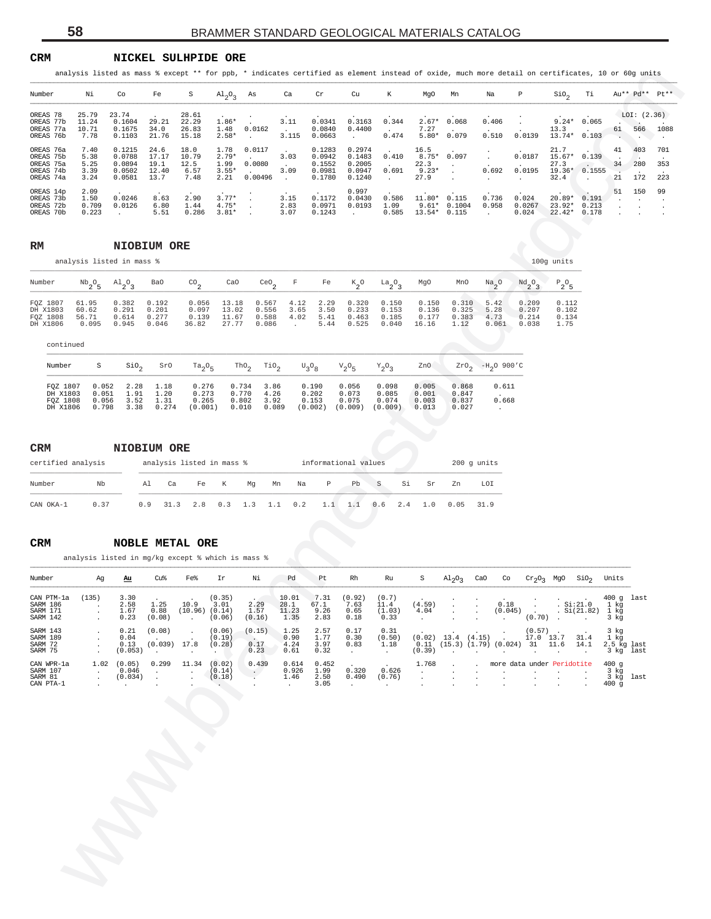#### **CRM NICKEL SULHPIDE ORE**

| Тi<br>Au** Pd** Pt**<br>Νi<br>S<br>$A1_{2}O_{3}$<br>As<br>К<br>Ρ<br>$\rm SiO_{2}$<br>Co<br>Fe<br>Ca<br>Cr<br>Cu<br>MgO<br>Mn<br>Na<br>25.79<br>23.74<br>LOI: (2.36)<br>28.61<br>$1.86*$<br>$2.67*$<br>0.068<br>0.065<br>0.1604<br>29.21<br>22.29<br>3.11<br>0.0341<br>0.3163<br>0.344<br>0.406<br>$9.24*$<br>11.24<br>1.48<br>0.0162<br>7.27<br>10.71<br>0.1675<br>34.0<br>26.83<br>0.0840<br>0.4400<br>13.3<br>61<br>566<br>$5.80*$<br>0.079<br>0.510<br>0.0139<br>13.74*<br>7.78<br>0.1103<br>21.76<br>15.18<br>$2.58*$<br>3.115<br>0.0663<br>0.474<br>0.103<br>$\cdot$<br>$\cdot$<br>7.40<br>0.1215<br>24.6<br>18.0<br>1.78<br>0.0117<br>0.1283<br>0.2974<br>16.5<br>21.7<br>41<br>403<br>17.17<br>$2.79*$<br>$8.75* 0.097$<br>0.0187<br>0.0788<br>10.79<br>15.67* 0.139<br>5.38<br>3.03<br>0.0942<br>0.1483<br>0.410<br>1.99<br>0.0080<br>22.3<br>27.3<br>280<br>5.25<br>0.0894<br>19.1<br>12.5<br>0.1552<br>0.2005<br>34<br>$9.23*$<br>0.692<br>0.0195<br>3.39<br>0.0502<br>12.40<br>6.57<br>$3.55*$<br>3.09<br>0.0981<br>0.0947<br>0.691<br>19.36* 0.1555<br>21<br>2.21<br>27.9<br>172<br>3.24<br>0.0581<br>13.7<br>7.48<br>0.00496<br>0.1780<br>32.4<br>0.1240<br>$\sim$<br>$\cdot$<br>$\cdot$<br>$\bullet$<br>2.09<br>0.997<br>51<br>150<br>2.90<br>$3.77*$<br>$11.80* 0.115$<br>1.50<br>0.0246<br>3.15<br>0.1172<br>0.736<br>0.024<br>8.63<br>0.0430<br>0.586<br>$20.89*$<br>0.191<br>0.709<br>$4.75*$<br>$9.61* 0.1004$<br>0.0126<br>6.80<br>1.44<br>2.83<br>0.0971<br>0.0193<br>1.09<br>0.958<br>0.0267<br>23.92*<br>0.213<br>$3.81*$<br>$13.54* 0.115$<br>0.178<br>0.223<br>5.51<br>3.07<br>0.1243<br>0.585<br>0.024<br>$22.42*$<br>0.286<br>$\cdot$<br>NIOBIUM ORE<br>100g units<br>analysis listed in mass %<br>$\mathbb{P}_2\mathbb{O}_5$<br>$^{\mathrm{Nb}}\mathrm{2^0s}$<br>$A1_{2}O_{3}$<br>$^{\text{CO}}$ <sub>2</sub><br>CaO<br>ceo <sub>2</sub><br>F<br>$K_2^o$<br>MgO<br>$^{Nd}2^0$ 3<br>Ba0<br>Fe<br>$a_2^0a_3$<br>MnO<br>$\frac{Na}{2}$ <sup>O</sup><br>0.382<br>0.192<br>0.056<br>13.18<br>0.567<br>4.12<br>2.29<br>0.320<br>0.150<br>0.150<br>0.310<br>5.42<br>0.209<br>0.112<br>61.95<br>0.291<br>0.201<br>0.097<br>13.02<br>0.556<br>3.65<br>3.50<br>0.233<br>0.153<br>0.136<br>0.325<br>0.207<br>0.102<br>60.62<br>5.28<br>56.71<br>0.277<br>0.139<br>11.67<br>0.588<br>4.02<br>5.41<br>0.463<br>0.185<br>0.177<br>0.383<br>0.214<br>0.134<br>0.614<br>4.73<br>0.046<br>27.77<br>5.44<br>16.16<br>1.12<br>1.75<br>0.095<br>0.945<br>36.82<br>0.086<br>0.525<br>0.040<br>0.061<br>0.038<br>$\sim$<br>continued<br>$-H_2O$ 900'C<br>Number<br>S<br>$\sin \theta_2$<br>SrO<br>$\text{ThO}_2$<br>TiO <sub>2</sub><br>ZnO<br>$Ta_2O_5$<br>$U_3O_8$<br>$V_2O_5$<br>$Y_2O_3$<br>$2x0_2$<br>0.056<br>0.611<br>FQZ 1807<br>0.052<br>2.28<br>1.18<br>0.276<br>0.734<br>3.86<br>0.190<br>0.098<br>0.005<br>0.868<br>0.770<br>0.202<br>DH X1803<br>0.273<br>0.073<br>0.051<br>1.91<br>1.20<br>4.26<br>0.085<br>0.001<br>0.847<br>FQZ 1808<br>0.056<br>3.52<br>0.265<br>0.802<br>0.153<br>0.075<br>0.074<br>0.003<br>0.668<br>1.31<br>3.92<br>0.837<br>DH X1806<br>3.38<br>0.274<br>(0.001)<br>0.010<br>0.089<br>(0.002)<br>(0.009)<br>0.798<br>(0.009)<br>0.013<br>0.027<br>NIOBIUM ORE<br>analysis listed in mass %<br>informational values<br>200 g units<br>$\mathbb P$<br>LOI<br>Nb<br>К<br>Pb<br>S<br>Si<br>Sr<br>Al<br>Ca<br>Fe<br>Mg<br>Mn<br>Na<br>Zn<br>0.37<br>0.9<br>31.3<br>0.2<br>1.1<br>0.6<br>0.05<br>31.9<br>2.8<br>0.3<br>1.3<br>1.1<br>1.1<br>2.4<br>1.0<br><b>NOBLE METAL ORE</b><br>analysis listed in mg/kg except % which is mass %<br>Νi<br>Rh<br>CaO<br>SiO <sub>2</sub><br>Units<br>Cu%<br>Fe%<br>Ir<br>Pd<br>Pt<br>Ru<br>S<br>$\mathrm{Al}_2\mathrm{O}_3$<br>Co<br>$Cr_2O_3$ MgO<br>Αu<br>Ag<br>7.31<br>(135)<br>3.30<br>(0.35)<br>10.01<br>(0.92)<br>(0.7)<br>$400q$ last<br>$\begin{array}{ccccccccc}\n0.18 & . & . & . & . & . & 400 \text{ g} \\ 0.18 & . & . & . & . & . & 1 \text{ kg} \\ 0.045 & . & . & . & . & . & . & . & .\n\end{array}$<br>1.25<br>10.9 3.01<br>2.29<br>(4.59)<br>2.58<br>28.1<br>67.1<br>7.63<br>11.4<br>$\blacksquare$ .<br>$\sim$<br><b>Contract</b><br>1.67<br>0.88<br>$(10.96)$ $(0.14)$<br>1.57<br>11.23<br>9.26<br>0.65<br>(1.03)<br>4.04<br>$\ddot{\phantom{0}}$<br>0.23<br>(0.08)<br>(0.06)<br>1.35<br>2.83<br>0.18<br>0.33<br>$(0.70)$ .<br>(0.16)<br>3 kg<br><b>Contractor</b><br>$\cdot$<br>$\sim$ $-$<br><b>Contractor</b><br>0.21<br>(0.08)<br>(0.06)<br>(0.15)<br>1.25<br>2.57<br>0.17<br>0.31<br>(0.57)<br>3 kg<br>$\ddot{\phantom{a}}$<br>$\cdot$<br>$\cdot$<br>1.77<br>$(0.02)$ 13.4 $(4.15)$ .<br>17.0 13.7 31.4<br>0.90<br>1 kg<br>0.04<br>0.30<br>(0.50)<br>(0.19)<br>$\sim$ $\sim$<br>$\sim$<br>0.17<br>$(0.039)$ 17.8<br>$0.11$ (15.3) (1.79) (0.024) 31 11.6 14.1<br>0.13<br>(0.28)<br>4.24<br>3.97<br>0.83<br>1.18<br>2.5 kg last<br>$\cdot$<br>(0.053)<br>0.23<br>0.61<br>0.32<br>(0.39)<br>3 kg last<br>$\sim 100$ km s $^{-1}$<br><b>Contract</b><br>the company's company's com-<br>$\blacksquare$<br>$\sim 100$<br>$\mathcal{A}=\{0,1\}$<br><b>Contract</b><br><b>Contract</b><br>$\sim$ $\sim$<br><b>Contract</b><br>$\sim$ 100 $\mu$<br>0.299<br>$1.02$ $(0.05)$<br>11.34<br>(0.02)<br>0.439<br>0.614<br>0.452<br>1.768<br>more data under Peridotite<br>400g<br>$\sim$<br><b>Contract Contract</b><br>1.99<br>0.320<br>0.626<br>0.046<br>0.926<br>(0.14)<br>3 kg<br>$\sim$ 10 $\sim$<br>$\mathcal{N}_{\mathrm{c}}$<br>$\cdot$<br>$\cdot$<br><b>Contract</b><br>$\sim$<br>$\sim 100$<br><b>Contract</b><br>$\sim$<br>$\blacksquare$<br>(0.034)<br>(0.18)<br>1.46<br>2.50<br>0.490<br>(0.76)<br>3 kg last<br>$\cdot$<br>$\cdot$<br>3.05<br>400g<br><b>Contract</b><br>$\sim$ $-$<br>$\sim 10^{-10}$ m $^{-1}$<br>$\ddot{\phantom{a}}$<br>$\sim$<br>$\sim 10^{-1}$<br>$\cdot$<br><b>Contractor</b><br>$\cdot$<br>$\cdot$<br>$\ddot{\phantom{a}}$ | OREAS 78<br>OREAS 77b<br>OREAS 77a<br>OREAS 76b<br>OREAS 76a<br>OREAS 75b<br>OREAS 75a<br>OREAS 74b<br>OREAS 74a<br>OREAS 14p<br>OREAS 73b<br>OREAS 72b<br>OREAS 70b<br>RM<br>Number<br>FQZ 1807<br>DH X1803<br>FQZ 1808<br>DH X1806<br>CRM<br>certified analysis<br>Number<br>CAN OKA-1<br>CRM<br>Number<br>CAN PTM-la<br>SARM 186<br>SARM 171<br>SARM 142<br>SARM 143<br>SARM 189<br>SARM 72<br>SARM 75<br>CAN WPR-1a<br>SARM 107<br>SARM 81<br>CAN PTA-1 |  | analysis listed as mass % except ** for ppb, * indicates certified as element instead of oxide, much more detail on certificates, 10 or 60g units |  |  |  |  |  |  |  |  |  |
|-------------------------------------------------------------------------------------------------------------------------------------------------------------------------------------------------------------------------------------------------------------------------------------------------------------------------------------------------------------------------------------------------------------------------------------------------------------------------------------------------------------------------------------------------------------------------------------------------------------------------------------------------------------------------------------------------------------------------------------------------------------------------------------------------------------------------------------------------------------------------------------------------------------------------------------------------------------------------------------------------------------------------------------------------------------------------------------------------------------------------------------------------------------------------------------------------------------------------------------------------------------------------------------------------------------------------------------------------------------------------------------------------------------------------------------------------------------------------------------------------------------------------------------------------------------------------------------------------------------------------------------------------------------------------------------------------------------------------------------------------------------------------------------------------------------------------------------------------------------------------------------------------------------------------------------------------------------------------------------------------------------------------------------------------------------------------------------------------------------------------------------------------------------------------------------------------------------------------------------------------------------------------------------------------------------------------------------------------------------------------------------------------------------------------------------------------------------------------------------------------------------------------------------------------------------------------------------------------------------------------------------------------------------------------------------------------------------------------------------------------------------------------------------------------------------------------------------------------------------------------------------------------------------------------------------------------------------------------------------------------------------------------------------------------------------------------------------------------------------------------------------------------------------------------------------------------------------------------------------------------------------------------------------------------------------------------------------------------------------------------------------------------------------------------------------------------------------------------------------------------------------------------------------------------------------------------------------------------------------------------------------------------------------------------------------------------------------------------------------------------------------------------------------------------------------------------------------------------------------------------------------------------------------------------------------------------------------------------------------------------------------------------------------------------------------------------------------------------------------------------------------------------------------------------------------------------------------------------------------------------------------------------------------------------------------------------------------------------------------------------------------------------------------------------------------------------------------------------------------------------------------------------------------------------------------------------------------------------------------------------------------------------------------------------------------------------------------------------------------------------------------------------------------------------------------------------------------------------------------------------------------------------------------------------------------------------------------------------------------------------------------------------------------------------------------------------------------------------------------------------------------------------------------------------------------------------------------------------------------------------------------------------------------------------------------------------------------------------------------------------------------------------------------------------------------------------------------------------------------------------------------------------------------------------------------------------------------------------------------------------------------------------------------------------------------------------------------------------------------------------------------------------------------------------------------------------------------------------------|-------------------------------------------------------------------------------------------------------------------------------------------------------------------------------------------------------------------------------------------------------------------------------------------------------------------------------------------------------------------------------------------------------------------------------------------------------------|--|---------------------------------------------------------------------------------------------------------------------------------------------------|--|--|--|--|--|--|--|--|--|
|                                                                                                                                                                                                                                                                                                                                                                                                                                                                                                                                                                                                                                                                                                                                                                                                                                                                                                                                                                                                                                                                                                                                                                                                                                                                                                                                                                                                                                                                                                                                                                                                                                                                                                                                                                                                                                                                                                                                                                                                                                                                                                                                                                                                                                                                                                                                                                                                                                                                                                                                                                                                                                                                                                                                                                                                                                                                                                                                                                                                                                                                                                                                                                                                                                                                                                                                                                                                                                                                                                                                                                                                                                                                                                                                                                                                                                                                                                                                                                                                                                                                                                                                                                                                                                                                                                                                                                                                                                                                                                                                                                                                                                                                                                                                                                                                                                                                                                                                                                                                                                                                                                                                                                                                                                                                                                                                                                                                                                                                                                                                                                                                                                                                                                                                                                                                                                                       |                                                                                                                                                                                                                                                                                                                                                                                                                                                             |  | Number                                                                                                                                            |  |  |  |  |  |  |  |  |  |
|                                                                                                                                                                                                                                                                                                                                                                                                                                                                                                                                                                                                                                                                                                                                                                                                                                                                                                                                                                                                                                                                                                                                                                                                                                                                                                                                                                                                                                                                                                                                                                                                                                                                                                                                                                                                                                                                                                                                                                                                                                                                                                                                                                                                                                                                                                                                                                                                                                                                                                                                                                                                                                                                                                                                                                                                                                                                                                                                                                                                                                                                                                                                                                                                                                                                                                                                                                                                                                                                                                                                                                                                                                                                                                                                                                                                                                                                                                                                                                                                                                                                                                                                                                                                                                                                                                                                                                                                                                                                                                                                                                                                                                                                                                                                                                                                                                                                                                                                                                                                                                                                                                                                                                                                                                                                                                                                                                                                                                                                                                                                                                                                                                                                                                                                                                                                                                                       |                                                                                                                                                                                                                                                                                                                                                                                                                                                             |  |                                                                                                                                                   |  |  |  |  |  |  |  |  |  |
|                                                                                                                                                                                                                                                                                                                                                                                                                                                                                                                                                                                                                                                                                                                                                                                                                                                                                                                                                                                                                                                                                                                                                                                                                                                                                                                                                                                                                                                                                                                                                                                                                                                                                                                                                                                                                                                                                                                                                                                                                                                                                                                                                                                                                                                                                                                                                                                                                                                                                                                                                                                                                                                                                                                                                                                                                                                                                                                                                                                                                                                                                                                                                                                                                                                                                                                                                                                                                                                                                                                                                                                                                                                                                                                                                                                                                                                                                                                                                                                                                                                                                                                                                                                                                                                                                                                                                                                                                                                                                                                                                                                                                                                                                                                                                                                                                                                                                                                                                                                                                                                                                                                                                                                                                                                                                                                                                                                                                                                                                                                                                                                                                                                                                                                                                                                                                                                       |                                                                                                                                                                                                                                                                                                                                                                                                                                                             |  |                                                                                                                                                   |  |  |  |  |  |  |  |  |  |
|                                                                                                                                                                                                                                                                                                                                                                                                                                                                                                                                                                                                                                                                                                                                                                                                                                                                                                                                                                                                                                                                                                                                                                                                                                                                                                                                                                                                                                                                                                                                                                                                                                                                                                                                                                                                                                                                                                                                                                                                                                                                                                                                                                                                                                                                                                                                                                                                                                                                                                                                                                                                                                                                                                                                                                                                                                                                                                                                                                                                                                                                                                                                                                                                                                                                                                                                                                                                                                                                                                                                                                                                                                                                                                                                                                                                                                                                                                                                                                                                                                                                                                                                                                                                                                                                                                                                                                                                                                                                                                                                                                                                                                                                                                                                                                                                                                                                                                                                                                                                                                                                                                                                                                                                                                                                                                                                                                                                                                                                                                                                                                                                                                                                                                                                                                                                                                                       |                                                                                                                                                                                                                                                                                                                                                                                                                                                             |  |                                                                                                                                                   |  |  |  |  |  |  |  |  |  |
|                                                                                                                                                                                                                                                                                                                                                                                                                                                                                                                                                                                                                                                                                                                                                                                                                                                                                                                                                                                                                                                                                                                                                                                                                                                                                                                                                                                                                                                                                                                                                                                                                                                                                                                                                                                                                                                                                                                                                                                                                                                                                                                                                                                                                                                                                                                                                                                                                                                                                                                                                                                                                                                                                                                                                                                                                                                                                                                                                                                                                                                                                                                                                                                                                                                                                                                                                                                                                                                                                                                                                                                                                                                                                                                                                                                                                                                                                                                                                                                                                                                                                                                                                                                                                                                                                                                                                                                                                                                                                                                                                                                                                                                                                                                                                                                                                                                                                                                                                                                                                                                                                                                                                                                                                                                                                                                                                                                                                                                                                                                                                                                                                                                                                                                                                                                                                                                       |                                                                                                                                                                                                                                                                                                                                                                                                                                                             |  |                                                                                                                                                   |  |  |  |  |  |  |  |  |  |
|                                                                                                                                                                                                                                                                                                                                                                                                                                                                                                                                                                                                                                                                                                                                                                                                                                                                                                                                                                                                                                                                                                                                                                                                                                                                                                                                                                                                                                                                                                                                                                                                                                                                                                                                                                                                                                                                                                                                                                                                                                                                                                                                                                                                                                                                                                                                                                                                                                                                                                                                                                                                                                                                                                                                                                                                                                                                                                                                                                                                                                                                                                                                                                                                                                                                                                                                                                                                                                                                                                                                                                                                                                                                                                                                                                                                                                                                                                                                                                                                                                                                                                                                                                                                                                                                                                                                                                                                                                                                                                                                                                                                                                                                                                                                                                                                                                                                                                                                                                                                                                                                                                                                                                                                                                                                                                                                                                                                                                                                                                                                                                                                                                                                                                                                                                                                                                                       |                                                                                                                                                                                                                                                                                                                                                                                                                                                             |  |                                                                                                                                                   |  |  |  |  |  |  |  |  |  |
|                                                                                                                                                                                                                                                                                                                                                                                                                                                                                                                                                                                                                                                                                                                                                                                                                                                                                                                                                                                                                                                                                                                                                                                                                                                                                                                                                                                                                                                                                                                                                                                                                                                                                                                                                                                                                                                                                                                                                                                                                                                                                                                                                                                                                                                                                                                                                                                                                                                                                                                                                                                                                                                                                                                                                                                                                                                                                                                                                                                                                                                                                                                                                                                                                                                                                                                                                                                                                                                                                                                                                                                                                                                                                                                                                                                                                                                                                                                                                                                                                                                                                                                                                                                                                                                                                                                                                                                                                                                                                                                                                                                                                                                                                                                                                                                                                                                                                                                                                                                                                                                                                                                                                                                                                                                                                                                                                                                                                                                                                                                                                                                                                                                                                                                                                                                                                                                       |                                                                                                                                                                                                                                                                                                                                                                                                                                                             |  |                                                                                                                                                   |  |  |  |  |  |  |  |  |  |
|                                                                                                                                                                                                                                                                                                                                                                                                                                                                                                                                                                                                                                                                                                                                                                                                                                                                                                                                                                                                                                                                                                                                                                                                                                                                                                                                                                                                                                                                                                                                                                                                                                                                                                                                                                                                                                                                                                                                                                                                                                                                                                                                                                                                                                                                                                                                                                                                                                                                                                                                                                                                                                                                                                                                                                                                                                                                                                                                                                                                                                                                                                                                                                                                                                                                                                                                                                                                                                                                                                                                                                                                                                                                                                                                                                                                                                                                                                                                                                                                                                                                                                                                                                                                                                                                                                                                                                                                                                                                                                                                                                                                                                                                                                                                                                                                                                                                                                                                                                                                                                                                                                                                                                                                                                                                                                                                                                                                                                                                                                                                                                                                                                                                                                                                                                                                                                                       |                                                                                                                                                                                                                                                                                                                                                                                                                                                             |  |                                                                                                                                                   |  |  |  |  |  |  |  |  |  |
|                                                                                                                                                                                                                                                                                                                                                                                                                                                                                                                                                                                                                                                                                                                                                                                                                                                                                                                                                                                                                                                                                                                                                                                                                                                                                                                                                                                                                                                                                                                                                                                                                                                                                                                                                                                                                                                                                                                                                                                                                                                                                                                                                                                                                                                                                                                                                                                                                                                                                                                                                                                                                                                                                                                                                                                                                                                                                                                                                                                                                                                                                                                                                                                                                                                                                                                                                                                                                                                                                                                                                                                                                                                                                                                                                                                                                                                                                                                                                                                                                                                                                                                                                                                                                                                                                                                                                                                                                                                                                                                                                                                                                                                                                                                                                                                                                                                                                                                                                                                                                                                                                                                                                                                                                                                                                                                                                                                                                                                                                                                                                                                                                                                                                                                                                                                                                                                       |                                                                                                                                                                                                                                                                                                                                                                                                                                                             |  |                                                                                                                                                   |  |  |  |  |  |  |  |  |  |
|                                                                                                                                                                                                                                                                                                                                                                                                                                                                                                                                                                                                                                                                                                                                                                                                                                                                                                                                                                                                                                                                                                                                                                                                                                                                                                                                                                                                                                                                                                                                                                                                                                                                                                                                                                                                                                                                                                                                                                                                                                                                                                                                                                                                                                                                                                                                                                                                                                                                                                                                                                                                                                                                                                                                                                                                                                                                                                                                                                                                                                                                                                                                                                                                                                                                                                                                                                                                                                                                                                                                                                                                                                                                                                                                                                                                                                                                                                                                                                                                                                                                                                                                                                                                                                                                                                                                                                                                                                                                                                                                                                                                                                                                                                                                                                                                                                                                                                                                                                                                                                                                                                                                                                                                                                                                                                                                                                                                                                                                                                                                                                                                                                                                                                                                                                                                                                                       |                                                                                                                                                                                                                                                                                                                                                                                                                                                             |  |                                                                                                                                                   |  |  |  |  |  |  |  |  |  |
|                                                                                                                                                                                                                                                                                                                                                                                                                                                                                                                                                                                                                                                                                                                                                                                                                                                                                                                                                                                                                                                                                                                                                                                                                                                                                                                                                                                                                                                                                                                                                                                                                                                                                                                                                                                                                                                                                                                                                                                                                                                                                                                                                                                                                                                                                                                                                                                                                                                                                                                                                                                                                                                                                                                                                                                                                                                                                                                                                                                                                                                                                                                                                                                                                                                                                                                                                                                                                                                                                                                                                                                                                                                                                                                                                                                                                                                                                                                                                                                                                                                                                                                                                                                                                                                                                                                                                                                                                                                                                                                                                                                                                                                                                                                                                                                                                                                                                                                                                                                                                                                                                                                                                                                                                                                                                                                                                                                                                                                                                                                                                                                                                                                                                                                                                                                                                                                       |                                                                                                                                                                                                                                                                                                                                                                                                                                                             |  |                                                                                                                                                   |  |  |  |  |  |  |  |  |  |
|                                                                                                                                                                                                                                                                                                                                                                                                                                                                                                                                                                                                                                                                                                                                                                                                                                                                                                                                                                                                                                                                                                                                                                                                                                                                                                                                                                                                                                                                                                                                                                                                                                                                                                                                                                                                                                                                                                                                                                                                                                                                                                                                                                                                                                                                                                                                                                                                                                                                                                                                                                                                                                                                                                                                                                                                                                                                                                                                                                                                                                                                                                                                                                                                                                                                                                                                                                                                                                                                                                                                                                                                                                                                                                                                                                                                                                                                                                                                                                                                                                                                                                                                                                                                                                                                                                                                                                                                                                                                                                                                                                                                                                                                                                                                                                                                                                                                                                                                                                                                                                                                                                                                                                                                                                                                                                                                                                                                                                                                                                                                                                                                                                                                                                                                                                                                                                                       |                                                                                                                                                                                                                                                                                                                                                                                                                                                             |  |                                                                                                                                                   |  |  |  |  |  |  |  |  |  |
|                                                                                                                                                                                                                                                                                                                                                                                                                                                                                                                                                                                                                                                                                                                                                                                                                                                                                                                                                                                                                                                                                                                                                                                                                                                                                                                                                                                                                                                                                                                                                                                                                                                                                                                                                                                                                                                                                                                                                                                                                                                                                                                                                                                                                                                                                                                                                                                                                                                                                                                                                                                                                                                                                                                                                                                                                                                                                                                                                                                                                                                                                                                                                                                                                                                                                                                                                                                                                                                                                                                                                                                                                                                                                                                                                                                                                                                                                                                                                                                                                                                                                                                                                                                                                                                                                                                                                                                                                                                                                                                                                                                                                                                                                                                                                                                                                                                                                                                                                                                                                                                                                                                                                                                                                                                                                                                                                                                                                                                                                                                                                                                                                                                                                                                                                                                                                                                       |                                                                                                                                                                                                                                                                                                                                                                                                                                                             |  |                                                                                                                                                   |  |  |  |  |  |  |  |  |  |
|                                                                                                                                                                                                                                                                                                                                                                                                                                                                                                                                                                                                                                                                                                                                                                                                                                                                                                                                                                                                                                                                                                                                                                                                                                                                                                                                                                                                                                                                                                                                                                                                                                                                                                                                                                                                                                                                                                                                                                                                                                                                                                                                                                                                                                                                                                                                                                                                                                                                                                                                                                                                                                                                                                                                                                                                                                                                                                                                                                                                                                                                                                                                                                                                                                                                                                                                                                                                                                                                                                                                                                                                                                                                                                                                                                                                                                                                                                                                                                                                                                                                                                                                                                                                                                                                                                                                                                                                                                                                                                                                                                                                                                                                                                                                                                                                                                                                                                                                                                                                                                                                                                                                                                                                                                                                                                                                                                                                                                                                                                                                                                                                                                                                                                                                                                                                                                                       |                                                                                                                                                                                                                                                                                                                                                                                                                                                             |  |                                                                                                                                                   |  |  |  |  |  |  |  |  |  |
|                                                                                                                                                                                                                                                                                                                                                                                                                                                                                                                                                                                                                                                                                                                                                                                                                                                                                                                                                                                                                                                                                                                                                                                                                                                                                                                                                                                                                                                                                                                                                                                                                                                                                                                                                                                                                                                                                                                                                                                                                                                                                                                                                                                                                                                                                                                                                                                                                                                                                                                                                                                                                                                                                                                                                                                                                                                                                                                                                                                                                                                                                                                                                                                                                                                                                                                                                                                                                                                                                                                                                                                                                                                                                                                                                                                                                                                                                                                                                                                                                                                                                                                                                                                                                                                                                                                                                                                                                                                                                                                                                                                                                                                                                                                                                                                                                                                                                                                                                                                                                                                                                                                                                                                                                                                                                                                                                                                                                                                                                                                                                                                                                                                                                                                                                                                                                                                       |                                                                                                                                                                                                                                                                                                                                                                                                                                                             |  |                                                                                                                                                   |  |  |  |  |  |  |  |  |  |
|                                                                                                                                                                                                                                                                                                                                                                                                                                                                                                                                                                                                                                                                                                                                                                                                                                                                                                                                                                                                                                                                                                                                                                                                                                                                                                                                                                                                                                                                                                                                                                                                                                                                                                                                                                                                                                                                                                                                                                                                                                                                                                                                                                                                                                                                                                                                                                                                                                                                                                                                                                                                                                                                                                                                                                                                                                                                                                                                                                                                                                                                                                                                                                                                                                                                                                                                                                                                                                                                                                                                                                                                                                                                                                                                                                                                                                                                                                                                                                                                                                                                                                                                                                                                                                                                                                                                                                                                                                                                                                                                                                                                                                                                                                                                                                                                                                                                                                                                                                                                                                                                                                                                                                                                                                                                                                                                                                                                                                                                                                                                                                                                                                                                                                                                                                                                                                                       |                                                                                                                                                                                                                                                                                                                                                                                                                                                             |  |                                                                                                                                                   |  |  |  |  |  |  |  |  |  |
|                                                                                                                                                                                                                                                                                                                                                                                                                                                                                                                                                                                                                                                                                                                                                                                                                                                                                                                                                                                                                                                                                                                                                                                                                                                                                                                                                                                                                                                                                                                                                                                                                                                                                                                                                                                                                                                                                                                                                                                                                                                                                                                                                                                                                                                                                                                                                                                                                                                                                                                                                                                                                                                                                                                                                                                                                                                                                                                                                                                                                                                                                                                                                                                                                                                                                                                                                                                                                                                                                                                                                                                                                                                                                                                                                                                                                                                                                                                                                                                                                                                                                                                                                                                                                                                                                                                                                                                                                                                                                                                                                                                                                                                                                                                                                                                                                                                                                                                                                                                                                                                                                                                                                                                                                                                                                                                                                                                                                                                                                                                                                                                                                                                                                                                                                                                                                                                       |                                                                                                                                                                                                                                                                                                                                                                                                                                                             |  |                                                                                                                                                   |  |  |  |  |  |  |  |  |  |
|                                                                                                                                                                                                                                                                                                                                                                                                                                                                                                                                                                                                                                                                                                                                                                                                                                                                                                                                                                                                                                                                                                                                                                                                                                                                                                                                                                                                                                                                                                                                                                                                                                                                                                                                                                                                                                                                                                                                                                                                                                                                                                                                                                                                                                                                                                                                                                                                                                                                                                                                                                                                                                                                                                                                                                                                                                                                                                                                                                                                                                                                                                                                                                                                                                                                                                                                                                                                                                                                                                                                                                                                                                                                                                                                                                                                                                                                                                                                                                                                                                                                                                                                                                                                                                                                                                                                                                                                                                                                                                                                                                                                                                                                                                                                                                                                                                                                                                                                                                                                                                                                                                                                                                                                                                                                                                                                                                                                                                                                                                                                                                                                                                                                                                                                                                                                                                                       |                                                                                                                                                                                                                                                                                                                                                                                                                                                             |  |                                                                                                                                                   |  |  |  |  |  |  |  |  |  |

### **RM NIOBIUM ORE**

| Number    |       | $Nb_2O_5$ $Al_2O_3$ | Ba0   | CO.   | CaO   |            |                          |      | CeO <sub>2</sub> F Fe K <sub>2</sub> O | $La_2O_2$ | MgO   | MnO   | $Na_{2}O$ | Nd <sub>2</sub> O <sub>3</sub> | $P_2O_5$ |
|-----------|-------|---------------------|-------|-------|-------|------------|--------------------------|------|----------------------------------------|-----------|-------|-------|-----------|--------------------------------|----------|
|           |       |                     |       |       |       |            |                          |      |                                        |           |       |       |           |                                |          |
| FOZ 1807  | 61.95 | 0.382               | 0.192 | 0.056 | 13.18 | 0.567 4.12 |                          | 2.29 | 0.320                                  | 0.150     | 0.150 | 0.310 | 5.42      | 0.209                          | 0.112    |
| DH X1803  | 60.62 | 0.291               | 0.201 | 0.097 | 13.02 | 0.556      | 3.65                     | 3.50 | 0.233                                  | 0.153     | 0.136 | 0.325 | 5.28      | 0.207                          | 0.102    |
| FOZ 1808  | 56.71 | 0.614               | 0.277 | 0.139 | 11.67 | 0.588      | 4.02                     | 5.41 | 0.463                                  | 0.185     | 0.177 | 0.383 | 4.73      | 0.214                          | 0.134    |
| DH X1806  | 0.095 | 0.945               | 0.046 | 36.82 | 27.77 | 0.086      | <b>Contract Contract</b> | 5.44 | 0.525                                  | 0.040     | 16.16 | 1.12  | 0.061     | 0.038                          | 1.75     |
| continued |       |                     |       |       |       |            |                          |      |                                        |           |       |       |           |                                |          |

| -S    |      |       |                              |       |       |         |         |         |       |                                                                            | $ZrO_2$ -H <sub>2</sub> O 900'C |
|-------|------|-------|------------------------------|-------|-------|---------|---------|---------|-------|----------------------------------------------------------------------------|---------------------------------|
|       |      |       |                              |       |       |         |         |         |       |                                                                            |                                 |
| 0.052 | 2.28 |       | 0.276                        | 0.734 | 3.86  | 0.190   | 0.056   | 0.098   | 0.005 | 0.868                                                                      | 0.611                           |
| 0.051 | 1.91 | 1.20  | 0.273                        | 0.770 | 4.26  | 0.202   | 0.073   | 0.085   | 0.001 | 0.847                                                                      |                                 |
| 0.056 | 3.52 | 1.31  | 0.265                        | 0.802 | 3.92  | 0.153   | 0.075   | 0.074   | 0.003 | 0.837                                                                      | 0.668                           |
| 0.798 | 3.38 | 0.274 | (0.001)                      | 0.010 | 0.089 | (0.002) | (0.009) | (0.009) | 0.013 | 0.027                                                                      |                                 |
|       |      |       | SiO <sub>2</sub> SrO<br>1.18 |       |       |         |         |         |       | $Ta_2O_5$ Tho <sub>2</sub> Tio <sub>2</sub> $U_2O_8$ $V_2O_5$ $Y_2O_3$ Zno |                                 |

| <b>CRM</b>         |      |     | NIOBIUM ORE               |     |     |     |    |     |                      |     |     |     |     |      |               |
|--------------------|------|-----|---------------------------|-----|-----|-----|----|-----|----------------------|-----|-----|-----|-----|------|---------------|
| certified analysis |      |     | analysis listed in mass % |     |     |     |    |     | informational values |     |     |     |     |      | $200$ q units |
| Number             | Nb   | Al  | Ca                        | Fe  | K   | Mq  | Mn | Na  | P                    | Pb  | S   | Si  | Sr  | 7n   | LOI           |
| CAN OKA-1          | 0.37 | 0.9 | 31.3                      | 2.8 | 0.3 | 1.3 |    | 0.2 | 1.1                  | 1.1 | 0.6 | 2.4 | 1.0 | 0.05 | 31.9          |

### **CRM NOBLE METAL ORE**

| Number                                         | Ag                     | Au                              | Cu%                               | Fe%                        | Ir.                        | Νi                               | Pd                                     | Pt.                           | Rh                                               | Ru                                                 | S                                        | Al <sub>2</sub> O <sub>2</sub>      | Ca0              | Co                                   | $Cr_2O_2$ MgO                                    |      | SiO <sub>2</sub>                                               | Units                                 |           |
|------------------------------------------------|------------------------|---------------------------------|-----------------------------------|----------------------------|----------------------------|----------------------------------|----------------------------------------|-------------------------------|--------------------------------------------------|----------------------------------------------------|------------------------------------------|-------------------------------------|------------------|--------------------------------------|--------------------------------------------------|------|----------------------------------------------------------------|---------------------------------------|-----------|
| CAN PTM-1a<br>SARM 186<br>SARM 171<br>SARM 142 | (135)                  | 3.30<br>2.58<br>1.67<br>0.23    | 1.25<br>0.88<br>(0.08)            | 10.9<br>$(10.96)$ $(0.14)$ | (0.35)<br>3.01<br>(0.06)   | $\sim$<br>2.29<br>1.57<br>(0.16) | 10.01<br>28.1<br>11.23<br>1.35         | 7.31<br>67.1<br>9.26<br>2.83  | (0.92)<br>7.63<br>0.65<br>0.18                   | (0.7)<br>11.4<br>(1.03)<br>0.33                    | $\sim$<br>(4.59)<br>4.04<br>$\mathbf{r}$ | $\cdot$                             |                  | $\sim$<br>0.18<br>(0.045)            | $\overline{a}$<br>$\sim$<br>$\sim$<br>$(0.70)$ . |      | the contract of the contract of the<br>. Si:21.0<br>.Si(21.82) | $400$ q last<br>1. ka<br>1 ka<br>3 ka |           |
| SARM 143<br>SARM 189<br>SARM 72<br>SARM 75     |                        | 0.21<br>0.04<br>0.13<br>(0.053) | (0.08)<br>(0.039)<br>$\mathbf{r}$ | $\sim$<br>17.8             | (0.06)<br>(0.19)<br>(0.28) | (0.15)<br>$\sim$<br>0.17<br>0.23 | 1.25<br>0.90<br>4.24<br>0.61           | 2.57<br>1.77<br>3.97<br>0.32  | 0.17<br>0.30<br>0.83                             | 0.31<br>(0.50)<br>1.18<br>$\overline{\phantom{a}}$ | (0.02)<br>0.11<br>(0.39)                 | 13.4<br>$(15.3)$ $(1.79)$<br>$\sim$ | (4.15)<br>$\sim$ | $\overline{a}$<br>(0.024)            | $(0.57)$ .<br>17.0<br>31 11.6                    | 13.7 | 31.4<br>14.1                                                   | 3 kg<br>1 kg<br>2.5 kg last           | 3 kg last |
| CAN WPR-1a<br>SARM 107<br>SARM 81<br>CAN PTA-1 | 1.02<br>$\overline{a}$ | (0.05)<br>0.046<br>(0.034)      | 0.299<br>$\ddot{\phantom{a}}$     | 11.34                      | (0.02)<br>(0.14)<br>(0.18) | 0.439<br>$\sim$<br>$\mathbf{r}$  | 0.614<br>0.926<br>1.46<br>$\mathbf{r}$ | 0.452<br>1.99<br>2.50<br>3.05 | $\sim$<br>0.320<br>0.490<br>$\ddot{\phantom{0}}$ | $\ddot{\phantom{0}}$<br>0.626<br>(0.76)            | 1.768<br>$\sim$<br>$\cdot$               | $\sim$                              | $\sim$           | more data under Peridotite<br>$\sim$ | $\overline{a}$                                   |      | $\overline{a}$                                                 | 400q<br>3 kg<br>3 kg<br>400 q         | last      |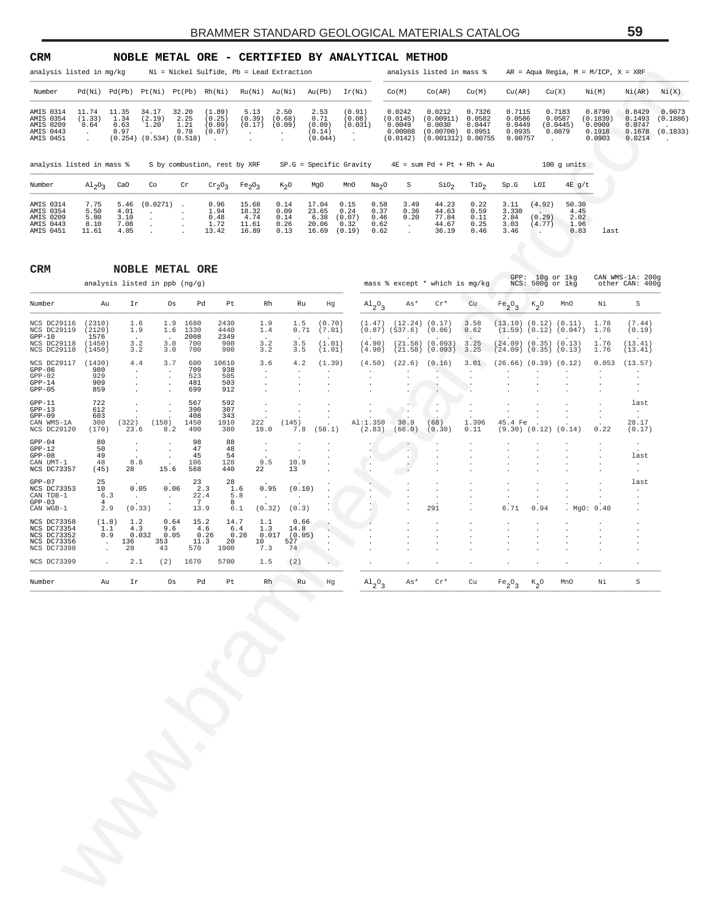| CRM                                                           |                                                                 |                                      |                                                          |                                  |                                                |                                          |                                                     |                                             | NOBLE METAL ORE - CERTIFIED BY ANALYTICAL METHOD              |                                      |                                                     |                                                                    |                                      |                                                 |                                        |                                       |                                                  |                                                |                                |
|---------------------------------------------------------------|-----------------------------------------------------------------|--------------------------------------|----------------------------------------------------------|----------------------------------|------------------------------------------------|------------------------------------------|-----------------------------------------------------|---------------------------------------------|---------------------------------------------------------------|--------------------------------------|-----------------------------------------------------|--------------------------------------------------------------------|--------------------------------------|-------------------------------------------------|----------------------------------------|---------------------------------------|--------------------------------------------------|------------------------------------------------|--------------------------------|
| analysis listed in mq/kq                                      |                                                                 |                                      |                                                          |                                  |                                                |                                          | Ni = Nickel Sulfide, Pb = Lead Extraction           |                                             |                                                               |                                      |                                                     | analysis listed in mass %                                          |                                      |                                                 |                                        |                                       | $AR = Aqua\text{ Regia}, M = M/ICP, X = XRF$     |                                                |                                |
| Number                                                        | Pd(Ni)                                                          | Pd(Pb)                               | Pt(Ni)                                                   | Pt(Pb)                           | Rh(Ni)                                         | Ru(Ni)                                   | Au(Ni)                                              | Au(Pb)                                      | Ir(Ni)                                                        |                                      | Co(M)                                               | Co(AR)                                                             | Cu(M)                                | Cu(AR)                                          | Cu(X)                                  |                                       | Ni(M)                                            | Ni(AR)                                         | Ni(X)                          |
| AMIS 0314<br>AMIS 0354<br>AMIS 0209<br>AMIS 0443<br>AMIS 0451 | 11.74<br>(1.33)<br>0.64<br>$\mathbf{r}$<br>$\ddot{\phantom{0}}$ | 11.35<br>1.34<br>0.63<br>0.97        | 34.17<br>(2.19)<br>1.20<br>$(0.254)$ $(0.534)$ $(0.518)$ | 32.20<br>2.25<br>1.21<br>0.78    | (1.89)<br>(0.25)<br>(0.09)<br>(0.07)<br>$\sim$ | 5.13<br>(0.39)<br>(0.17)                 | 2.50<br>(0.68)<br>(0.09)<br>$\mathbf{r}$<br>$\cdot$ | 2.53<br>0.71<br>(0.09)<br>(0.14)<br>(0.044) | (0.91)<br>(0.08)<br>(0.031)<br>$\sim$<br>$\ddot{\phantom{a}}$ |                                      | 0.0242<br>(0.0145)<br>0.0049<br>0.00988<br>(0.0142) | 0.0212<br>(0.00911)<br>0.0030<br>(0.00700)<br>$(0.001312)$ 0.00755 | 0.7326<br>0.0582<br>0.0447<br>0.0951 | 0.7115<br>0.0586<br>0.0449<br>0.0935<br>0.00757 | 0.7183<br>0.0587<br>(0.0445)<br>0.0879 |                                       | 0.8790<br>(0.1839)<br>0.0909<br>0.1918<br>0.0903 | 0.8429<br>0.1493<br>0.0747<br>0.1678<br>0.0214 | 0.9073<br>(0.1886)<br>(0.1833) |
| analysis listed in mass %                                     |                                                                 |                                      |                                                          |                                  | S by combustion, rest by XRF                   |                                          |                                                     |                                             | $SP.G = Specific Gravity$                                     |                                      |                                                     | $4E = sum Pd + Pt + Rh + Au$                                       |                                      |                                                 |                                        | $100$ q units                         |                                                  |                                                |                                |
| Number                                                        | $\mathrm{Al}_2\mathrm{O}_3$                                     | CaO                                  | Co                                                       | Cr                               | $Cr_2O_3$                                      | Fe <sub>2</sub> O <sub>3</sub>           | $K_2O$                                              | MgO                                         | MnO                                                           | Na <sub>2</sub> O                    | S                                                   | SiO <sub>2</sub>                                                   | TiO <sub>2</sub>                     | Sp.G                                            | LOI                                    | $4E$ g/t                              |                                                  |                                                |                                |
| AMIS 0314<br>AMIS 0354<br>AMIS 0209<br>AMIS 0443<br>AMIS 0451 | 7.75<br>5.50<br>5.80<br>8.10<br>11.61                           | 5.46<br>4.01<br>3.10<br>7.08<br>4.05 | (0.0271)                                                 | $\sim$<br>$\mathbf{r}$<br>$\sim$ | 0.96<br>1.94<br>0.48<br>1.72<br>13.42          | 15.68<br>18.32<br>4.74<br>11.61<br>16.89 | 0.14<br>0.09<br>0.14<br>0.26<br>0.13                | 17.04<br>23.65<br>6.38<br>20.06<br>16.69    | 0.15<br>0.24<br>(0.07)<br>0.32<br>(0.19)                      | 0.58<br>0.37<br>0.46<br>0.62<br>0.62 | 3.49<br>0.36<br>0.20                                | 44.23<br>44.63<br>77.84<br>44.67<br>36.19                          | 0.22<br>0.59<br>0.11<br>0.25<br>0.46 | 3.11<br>3.330<br>2.84<br>3.03<br>3.46           | (4.92)<br>(0.29)<br>(4.77)             | 50.30<br>4.45<br>2.02<br>1.96<br>0.83 | last                                             |                                                |                                |

| analysis listed in mg/kg                                                |                                               |                                                       |                                                     |                                                                                    |                                                              | $Ni = Nickel Sulfide, Pb = Lead Extraction$    |                                                |                                             |                                                   |                                      |                                                            | analysis listed in mass %                                                   |                                      |                                                                                           |                                       | $AR = Aqua Regia, M = M/ICP, X = XRF$             |                                                  |                                                       |                                |
|-------------------------------------------------------------------------|-----------------------------------------------|-------------------------------------------------------|-----------------------------------------------------|------------------------------------------------------------------------------------|--------------------------------------------------------------|------------------------------------------------|------------------------------------------------|---------------------------------------------|---------------------------------------------------|--------------------------------------|------------------------------------------------------------|-----------------------------------------------------------------------------|--------------------------------------|-------------------------------------------------------------------------------------------|---------------------------------------|---------------------------------------------------|--------------------------------------------------|-------------------------------------------------------|--------------------------------|
| Number                                                                  |                                               |                                                       |                                                     | $Pd(Ni)$ $Pd(Pb)$ $Pt(Ni)$ $Pt(Pb)$ $Rh(Ni)$                                       |                                                              | Ru(Ni) Au(Ni)                                  |                                                | Au(Pb)                                      | Ir(Ni)                                            |                                      | Co(M)                                                      | Co(R)                                                                       | Cu(M)                                | Cu (AR)                                                                                   |                                       | Cu(X)                                             | Ni(M)                                            | Ni(AR)                                                | Ni(X)                          |
| AMIS 0314<br>AMIS 0354<br>AMIS 0209<br>AMIS 0443<br>AMIS 0451           | 11.74<br>(1.33)<br>0.64<br>$\cdot$<br>$\cdot$ | 11.35<br>1.34<br>0.63<br>0.97                         | 34.17<br>(2.19)<br>1.20                             | 32.20<br>2.25<br>1.21<br>0.78<br>$(0.254)$ $(0.534)$ $(0.518)$                     | (1.89)<br>(0.25)<br>(0.09)<br>(0.07)<br>$\ddot{\phantom{a}}$ | 5.13<br>(0.39)<br>(0.17)<br>$\cdot$<br>$\cdot$ | 2.50<br>(0.68)<br>(0.09)<br>$\cdot$<br>$\cdot$ | 2.53<br>0.71<br>(0.09)<br>(0.14)<br>(0.044) | (0.91)<br>(0.08)<br>(0.031)<br>$\cdot$<br>$\cdot$ |                                      | 0.0242<br>(0.0145)<br>0.0049<br>0.00988<br>(0.0142)        | 0.0212<br>(0.00911)<br>0.0030<br>$(0.00700)$ 0.0951<br>$(0.001312)$ 0.00755 | 0.7326<br>0.0582<br>0.0447           | 0.7115<br>0.0586<br>0.0449<br>0.0935<br>0.00757                                           |                                       | 0.7183<br>0.0587<br>(0.0445)<br>0.0879<br>$\cdot$ | 0.8790<br>(0.1839)<br>0.0909<br>0.1918<br>0.0903 | 0.8429<br>0.1493<br>0.0747<br>0.1678<br>0.0214        | 0.9073<br>(0.1886)<br>(0.1833) |
| analysis listed in mass %                                               |                                               |                                                       |                                                     |                                                                                    | S by combustion, rest by XRF                                 |                                                |                                                | $SP.G = Specific Gravity$                   |                                                   |                                      |                                                            | $4E = sum Pd + Pt + Rh + Au$                                                |                                      |                                                                                           |                                       | $100$ g units                                     |                                                  |                                                       |                                |
| Number                                                                  | $A1_{2}O_{3}$                                 | CaO                                                   | Co                                                  | Cr                                                                                 | $\mathrm{cr}_2\mathrm{O}_3$                                  | Fe <sub>2</sub> O <sub>3</sub>                 | $K_2O$                                         | MgO                                         | MnO                                               | Na <sub>2</sub> O                    | S                                                          | SiO <sub>2</sub>                                                            | TiO <sub>2</sub>                     | Sp.G                                                                                      | LOI                                   | $4E$ g/t                                          |                                                  |                                                       |                                |
| AMIS 0314<br>AMIS 0354<br>AMIS 0209<br>AMIS 0443<br>AMIS 0451           | 7.75<br>5.50<br>5.80<br>8.10<br>11.61         | 5.46<br>4.01<br>3.10<br>7.08<br>4.05                  | (0.0271)<br>$\cdot$                                 | $\ddot{\phantom{1}}$                                                               | 0.96<br>1.94<br>0.48<br>1.72<br>13.42                        | 15.68<br>18.32<br>4.74<br>11.61<br>16.89       | 0.14<br>0.09<br>0.14<br>0.26<br>0.13           | 17.04<br>23.65<br>6.38<br>20.06<br>16.69    | 0.15<br>0.24<br>(0.07)<br>0.32<br>(0.19)          | 0.58<br>0.37<br>0.46<br>0.62<br>0.62 | 3.49<br>0.36<br>0.20<br>$\cdot$<br>$\cdot$                 | 44.23<br>44.63<br>77.84<br>44.67<br>36.19                                   | 0.22<br>0.59<br>0.11<br>0.25<br>0.46 | 3.11<br>3.330<br>2.84<br>3.03<br>3.46                                                     | (4.92)<br>(0.29)<br>(4.77)<br>$\cdot$ | 50.30<br>4.45<br>2.02<br>1.96<br>0.83             | last                                             |                                                       |                                |
| CRM                                                                     |                                               |                                                       |                                                     | <b>NOBLE METAL ORE</b><br>analysis listed in ppb (ng/g)                            |                                                              |                                                |                                                |                                             |                                                   |                                      |                                                            | mass % except * which is mg/kg                                              |                                      |                                                                                           |                                       | GPP: 10g or 1kg<br>NCS: 500g or 1kg               |                                                  | CAN WMS-1A: 200g<br>other CAN: 400g                   |                                |
| Number                                                                  | Au                                            | Ir                                                    |                                                     | Os                                                                                 | Pd<br>Pt                                                     | Rh                                             | Ru                                             | Hg                                          |                                                   | $A1_{2}O_{3}$                        | As*                                                        | $\operatorname{Cr}^\star$                                                   | Cu                                   | $Fe_2O_3$                                                                                 | $\kappa_{2}$ o                        | MnO                                               | Νi                                               | $\rm S$                                               |                                |
| NCS DC29116<br>NCS DC29119<br>$GPP-10$<br>NCS DC29118<br>NCS DC29118    | (2310)<br>(2120)<br>1576<br>(1450)<br>(1450)  | 1.9                                                   | 1.6<br>3.2<br>3.2                                   | 1.9<br>1680<br>1.6<br>1330<br>2008<br>3.0<br>700<br>700<br>3.0                     | 2430<br>4440<br>2349<br>900<br>900                           | 1.9<br>1.4<br>3.2<br>3.2                       | 1.5<br>0.71<br>3.5<br>3.5                      | (0.70)<br>(7.01)<br>(1.01)<br>(1.01)        |                                                   | (4.90)<br>(4.90)                     | $(1.47)$ $(12.24)$ $(0.17)$<br>$(0.87)$ $(537.6)$ $(0.06)$ | $(21.58)$ $(0.093)$<br>$(21.58)$ $(0.093)$ 3.25                             | 3.58<br>0.62<br>3.25                 | $(13.10)$ $(0.12)$ $(0.11)$<br>$(24.09)$ $(0.35)$ $(0.13)$<br>$(24.09)$ $(0.35)$ $(0.13)$ |                                       | $(1.59)$ $(0.12)$ $(0.047)$                       | 1.78<br>1.76<br>1.76<br>1.76                     | (7.44)<br>(0.19)<br>(13.41)<br>(13.41)                |                                |
| NCS DC29117<br>$GPP-06$<br>$GPP-02$<br>$GPP-14$<br>$GPP-05$             | (1430)<br>980<br>929<br>909<br>859            |                                                       | 4.4<br>$\cdot$<br>$\ddot{\phantom{a}}$              | 3.7<br>600<br>709<br>$\cdot$<br>523<br>$\cdot$<br>481<br>$\cdot$<br>699<br>$\cdot$ | 10610<br>938<br>505<br>503<br>912                            | 3.6<br>$\cdot$                                 | 4.2<br>$\cdot$                                 | (1.39)<br>$\cdot$                           |                                                   | (4.50)                               |                                                            | $(22.6)$ $(0.16)$<br>$\cdot$                                                | 3.01                                 | $(26.66)$ $(0.39)$ $(0.12)$                                                               |                                       |                                                   | 0.053                                            | (13.57)<br>$\cdot$<br>$\bullet$<br>$\cdot$<br>$\cdot$ |                                |
| $GPP-11$<br>$GPP-13$<br>$GPP-09$<br>CAN WMS-1A<br>NCS DC29120           | 722<br>612<br>603<br>300<br>(170)             | (322)<br>23.6                                         | (150)                                               | 567<br>$\cdot$<br>390<br>408<br>1450<br>8.2<br>400                                 | 592<br>307<br>343<br>1910<br>380                             | 222<br>18.0                                    | (145)<br>7.8                                   | (58.1)                                      |                                                   | Al:1.350<br>(2.83)                   | 30.9<br>(66.0)                                             | $\cdot$<br>(68)<br>(0.30)                                                   | 1.396<br>0.11                        | 45.4 Fe<br>$(9.30)$ $(0.12)$                                                              |                                       | (0.14)                                            | 0.22                                             | last<br>$\sim$<br>28.17<br>(0.17)                     |                                |
| $GPP-04$<br>$GPP-12$<br>$GPP-08$<br>CAN UMT-1<br>NCS DC73357            | 80<br>50<br>49<br>48<br>(45)                  | 28                                                    | $\bullet$<br>$\cdot$<br>$\ddot{\phantom{a}}$<br>8.8 | 98<br>47<br>$\cdot$<br>45<br>$\cdot$<br>106<br>15.6<br>568                         | 88<br>48<br>54<br>128<br>440                                 | $\cdot$<br>$\cdot$<br>9.5<br>22                | $\cdot$<br>10.9<br>13                          |                                             |                                                   |                                      | $\cdot$                                                    |                                                                             |                                      |                                                                                           |                                       |                                                   |                                                  | $\bullet$<br>last<br>$\cdot$<br>$\cdot$               |                                |
| $GPP-07$<br>NCS DC73353<br>CAN TDB-1<br>$GPP-03$<br>CAN WGB-1           | 25<br>10<br>4                                 | 6.3<br>2.9                                            | 0.05<br>$\cdot$<br>(0.33)                           | 23<br>0.06<br>$\cdot$<br>7<br>$\cdot$<br>$\cdot$                                   | 28<br>2.3<br>1.6<br>22.4<br>5.8<br>8<br>13.9<br>6.1          | 0.95<br>$\cdot$<br>(0.32)                      | (0.10)<br>$\cdot$<br>(0.3)                     |                                             |                                                   | G.                                   |                                                            | 291                                                                         |                                      | 6.71                                                                                      | 0.94                                  |                                                   | MgO: 9.40                                        | last                                                  |                                |
| NCS DC73358<br>NCS DC73354<br>NCS DC73352<br>NCS DC73356<br>NCS DC73398 |                                               | (1.8)<br>1.1<br>0.9<br>136<br>$\sim$<br>28<br>$\cdot$ | 1.2<br>4.3<br>0.032<br>353<br>43                    | 0.64<br>15.2<br>9.6<br>0.05<br>11.3<br>570                                         | 14.7<br>4.6<br>6.4<br>0.26<br>20<br>1900                     | 1.1<br>1.3<br>0.017<br>0.26<br>10<br>7.3       | 0.66<br>14.8<br>(0.05)<br>527<br>74            |                                             |                                                   |                                      |                                                            |                                                                             |                                      |                                                                                           | $\cdot$<br>$\cdot$                    |                                                   |                                                  |                                                       |                                |
| NCS DC73399                                                             |                                               | $\overline{a}$                                        | 2.1<br>(2)                                          | 1670                                                                               | 5700                                                         | 1.5                                            | (2)                                            |                                             |                                                   |                                      |                                                            |                                                                             |                                      |                                                                                           |                                       |                                                   |                                                  |                                                       |                                |
| Number                                                                  | Au                                            | Ιr                                                    |                                                     | Os                                                                                 | Pd<br>Pt                                                     | Rh                                             | Ru                                             | Hg                                          |                                                   | $A1_{2}$ <sup>o</sup>                | As*                                                        | $Cr*$                                                                       | Cu                                   | $Fe_2O_2$<br>3                                                                            | $K_{2}O$                              | MnO                                               | Νi                                               | $\rm S$                                               |                                |
|                                                                         |                                               |                                                       |                                                     |                                                                                    |                                                              |                                                |                                                |                                             |                                                   |                                      |                                                            |                                                                             |                                      |                                                                                           |                                       |                                                   |                                                  |                                                       |                                |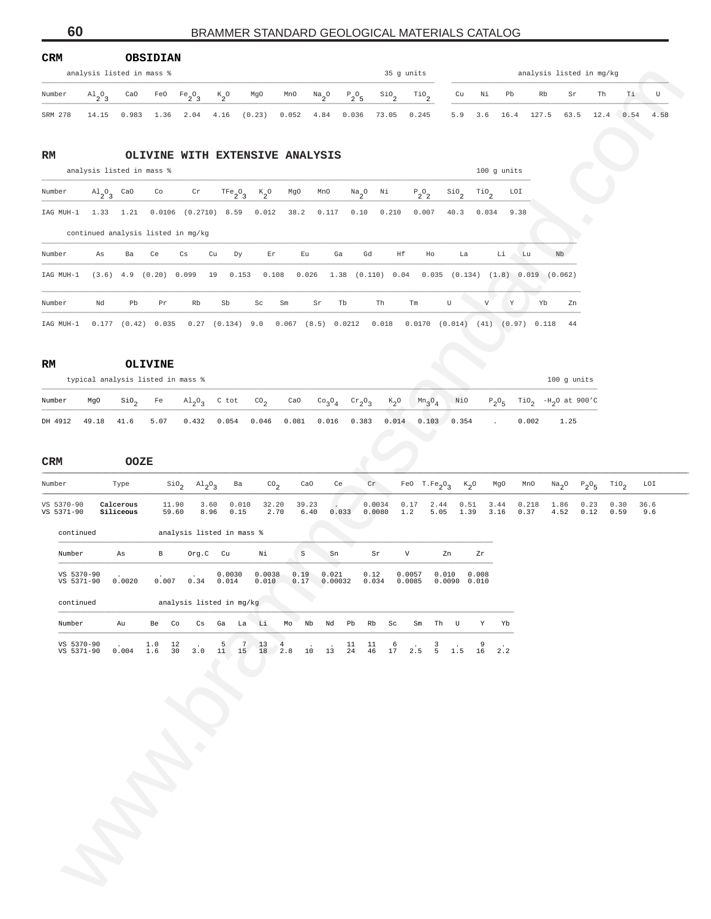| Number                   |                                   | <b>OBSIDIAN</b>        |                            |                                        |                                 |                                 |                |                                |                             |                        |                               |                                                       |                                |               |                                   |               |              |                  |              |
|--------------------------|-----------------------------------|------------------------|----------------------------|----------------------------------------|---------------------------------|---------------------------------|----------------|--------------------------------|-----------------------------|------------------------|-------------------------------|-------------------------------------------------------|--------------------------------|---------------|-----------------------------------|---------------|--------------|------------------|--------------|
|                          | analysis listed in mass %         |                        |                            |                                        |                                 |                                 |                |                                |                             |                        | 35 g units                    |                                                       |                                |               | analysis listed in mg/kg          |               |              |                  | <b>COLOR</b> |
|                          | $A1_{2}O_{3}$                     | CaO                    | FeO                        | $Fe_2O_3$                              | $\kappa_{2}^{\phantom{2}}$ o    | MgO                             | MnO            | $\frac{Na}{2}$ <sup>O</sup>    | $P_2O_5$                    | $\frac{\text{SiO}}{2}$ | $\overline{110}$ <sub>2</sub> | cu                                                    | Νi                             | Pb            | Rb                                | Sr            | Th           | Τi               | $\mathbf U$  |
| SRM 278                  | 14.15                             | 0.983                  | 1.36                       | 2.04                                   | 4.16                            | (0.23)                          | 0.052          | 4.84                           | 0.036                       | 73.05                  | 0.245                         | 5.9                                                   | 3.6                            | 16.4          | 127.5                             | 63.5          | 12.4         | 0.54             | 4.58         |
| RM                       | analysis listed in mass %         |                        |                            |                                        |                                 | OLIVINE WITH EXTENSIVE ANALYSIS |                |                                |                             |                        |                               |                                                       |                                | 100 g units   |                                   |               |              |                  |              |
| Number                   | $A1_2O_3$ CaO                     |                        | Co                         | $\operatorname{\sf Cr}$                | TFe <sub>2</sub> O <sub>3</sub> | $\kappa_{2}^{\phantom{2}}$ o    | MgO            | MnO                            | $\mathrm{Na}_2\mathrm{O}$   | N <sub>i</sub>         | $\mathbb{P}_2\mathbb{O}_2$    | $\mathsf{SiO}_2$                                      | $\mathbb{T}^{10}$ <sub>2</sub> | LOI           |                                   |               |              |                  |              |
| IAG MUH-1                | 1.33 1.21                         |                        |                            | $0.0106$ $(0.2710)$ 8.59               |                                 | 0.012                           | 38.2           | 0.117                          | 0.10                        | 0.210                  | 0.007                         | 40.3                                                  | 0.034                          | 9.38          |                                   |               |              |                  |              |
|                          |                                   |                        |                            | continued analysis listed in mg/kg     |                                 |                                 |                |                                |                             |                        |                               |                                                       |                                |               |                                   |               |              |                  |              |
| Number                   | As                                | Ba                     | Ce                         | Сs                                     | Cu<br>Dy                        | Er                              | Eu             | Ga                             | Gd                          | Ηf                     | Ho                            | La                                                    |                                | Li<br>Lu      |                                   | Nb            |              |                  |              |
| IAG MUH-1                |                                   |                        | $(3.6)$ 4.9 $(0.20)$ 0.099 |                                        | 19                              | 0.153<br>0.108                  | 0.026          |                                |                             |                        |                               | $1.38$ (0.110) 0.04 0.035 (0.134) (1.8) 0.019 (0.062) |                                |               |                                   |               |              |                  |              |
|                          |                                   |                        |                            |                                        |                                 |                                 |                |                                |                             |                        |                               |                                                       |                                |               |                                   |               |              |                  |              |
| Number                   | Nd                                | Pb                     | Pr                         | Rb                                     | Sb                              | $\operatorname{Sc}$             | $\rm Sm$       | Sr                             | Tb                          | Th                     | Tm                            | $\mathbf U$                                           | $\mathbf{V}$                   | $\,$ Y        | Yb                                | Zn            |              |                  |              |
| RM                       | typical analysis listed in mass % |                        | <b>OLIVINE</b>             |                                        |                                 |                                 |                |                                |                             |                        |                               |                                                       |                                |               |                                   | 100 g units   |              |                  |              |
| Number                   | MgO                               | $\sin \theta_2$        | Fe                         | $A1_2O_3$                              | C tot                           | CO <sub>2</sub>                 | CaO            | CO <sub>3</sub> O <sub>4</sub> | $\mathrm{cr}_2\mathrm{O}_3$ | $K_2$ O                | $Mn_3O_4$                     | NiO                                                   | $P_2O_5$                       |               | TiO <sub>2</sub> $-H_2O$ at 900'C |               |              |                  |              |
| DH 4912                  | 49.18                             | 41.6                   | 5.07                       | 0.432                                  | 0.054                           | 0.046                           | 0.081          | 0.016                          | 0.383                       | 0.014                  | 0.103                         | 0.354                                                 |                                |               | 0.002                             | 1.25          |              |                  |              |
|                          |                                   |                        |                            |                                        |                                 |                                 |                |                                |                             |                        |                               |                                                       |                                |               |                                   |               |              |                  |              |
| $_{\tt CRM}$             |                                   | <b>OOZE</b>            |                            |                                        |                                 |                                 |                |                                |                             |                        |                               |                                                       |                                |               |                                   |               |              |                  |              |
| Number                   |                                   | Type                   |                            | $\sin_{2}$ $\text{Al}_{2}\text{O}_{3}$ | Ba                              | $^{CO}$ <sub>2</sub>            | CaO            | Ce                             |                             | $\operatorname{Cr}$    | FeO $T.Fe_2O_3$               | $K_2$ <sup>O</sup>                                    |                                | MgO           | MnO                               | $Na2O$ $P2O5$ |              | TiO <sub>2</sub> | LOI          |
| VS 5370-90<br>VS 5371-90 |                                   | Calcerous<br>Siliceous | 11.90<br>59.60             |                                        | 3.60<br>8.96<br>0.15            | 0.010<br>32.20<br>2.70          | 39.23<br>6.40  |                                | 0.033                       | 0.0034<br>0.0080       | 0.17<br>$1.2\,$               | 2.44<br>0.51<br>5.05<br>1.39                          | 3.44<br>3.16                   | 0.218<br>0.37 |                                   | 1.86<br>4.52  | 0.23<br>0.12 | 0.30<br>0.59     | 36.6<br>9.6  |
| continued                |                                   |                        |                            | analysis listed in mass %              |                                 |                                 |                |                                |                             |                        |                               |                                                       |                                |               |                                   |               |              |                  |              |
| Number                   |                                   | As                     | В                          | Org.C                                  | Cu                              | Νi                              | $\mbox{\bf S}$ | ${\rm Sn}$                     |                             | Sr                     | V                             | Zn                                                    | Zr                             |               |                                   |               |              |                  |              |
| VS 5370-90<br>VS 5371-90 |                                   | 0.0020                 |                            | $0.007$ $0.34$ $0.014$                 | 0.0030                          | 0.0038<br>0.010                 | 0.19<br>0.17   | 0.021                          | $0.00032$ $0.034$           | 0.12                   | 0.0057<br>0.0085              | 0.010<br>0.0090 0.010                                 | 0.008                          |               |                                   |               |              |                  |              |
| continued                |                                   |                        |                            | analysis listed in mg/kg               |                                 |                                 |                |                                |                             |                        |                               |                                                       |                                |               |                                   |               |              |                  |              |
| Number                   |                                   | Au                     | Be                         | Co                                     | Cs Ga                           | Li.<br>La                       | Mo<br>Nb       | Nd                             | Pb                          | Rb<br>Sc               | Sm                            | Th<br>$\mathbf{U}$                                    | Y                              | Yb            |                                   |               |              |                  |              |
| VS 5370-90               |                                   |                        | 1.0                        | 12                                     | 5                               | 7 <sup>7</sup><br>13            | $\overline{4}$ |                                | 11                          | 11<br>6                |                               | 3                                                     | 9                              |               |                                   |               |              |                  |              |
| VS 5371-90               |                                   | 0.004                  | 1.6                        | 30<br>3.0                              |                                 | 11 15 18 2.8                    | 10             | 13                             | 24                          | 46<br>17               | 2.5                           | 5 <sub>5</sub><br>1.5                                 | 16                             | 2.2           |                                   |               |              |                  |              |
|                          |                                   |                        |                            |                                        |                                 |                                 |                |                                |                             |                        |                               |                                                       |                                |               |                                   |               |              |                  |              |
|                          |                                   |                        |                            |                                        |                                 |                                 |                |                                |                             |                        |                               |                                                       |                                |               |                                   |               |              |                  |              |
|                          |                                   |                        |                            |                                        |                                 |                                 |                |                                |                             |                        |                               |                                                       |                                |               |                                   |               |              |                  |              |
|                          |                                   |                        |                            |                                        |                                 |                                 |                |                                |                             |                        |                               |                                                       |                                |               |                                   |               |              |                  |              |
|                          |                                   |                        |                            |                                        |                                 |                                 |                |                                |                             |                        |                               |                                                       |                                |               |                                   |               |              |                  |              |
|                          |                                   |                        |                            |                                        |                                 |                                 |                |                                |                             |                        |                               |                                                       |                                |               |                                   |               |              |                  |              |
|                          |                                   |                        |                            |                                        |                                 |                                 |                |                                |                             |                        |                               |                                                       |                                |               |                                   |               |              |                  |              |
|                          |                                   |                        |                            |                                        |                                 |                                 |                |                                |                             |                        |                               |                                                       |                                |               |                                   |               |              |                  |              |
|                          |                                   |                        |                            |                                        |                                 |                                 |                |                                |                             |                        |                               |                                                       |                                |               |                                   |               |              |                  |              |
|                          |                                   |                        |                            |                                        |                                 |                                 |                |                                |                             |                        |                               |                                                       |                                |               |                                   |               |              |                  |              |
|                          |                                   |                        |                            |                                        |                                 |                                 |                |                                |                             |                        |                               |                                                       |                                |               |                                   |               |              |                  |              |
|                          |                                   |                        |                            |                                        |                                 |                                 |                |                                |                             |                        |                               |                                                       |                                |               |                                   |               |              |                  |              |

| continued                |       |            |          | analysis listed in mg/kg |                      |                      |            |     |    |    |       |    |      |                     |                                            |   |    |    |
|--------------------------|-------|------------|----------|--------------------------|----------------------|----------------------|------------|-----|----|----|-------|----|------|---------------------|--------------------------------------------|---|----|----|
| Number                   | Au    | Be         | Co       | Cs                       | Ga                   | La                   | - Li       | Mo  | Nb |    | Nd Pb | Rb | - Sc | Sm                  | Th                                         | U | Y  | Yb |
| VS 5370-90<br>VS 5371-90 | 0.004 | 1.0<br>1.6 | 12<br>30 | $\sim$ $\sim$<br>3 O     | 5 <sup>7</sup><br>11 | 7 <sup>7</sup><br>15 | 13 4<br>18 | 2.8 | 10 | 13 | -24   | 46 | - 17 | $6 \qquad .$<br>2.5 | $\overline{\phantom{a}}$<br>$\overline{a}$ |   | 16 |    |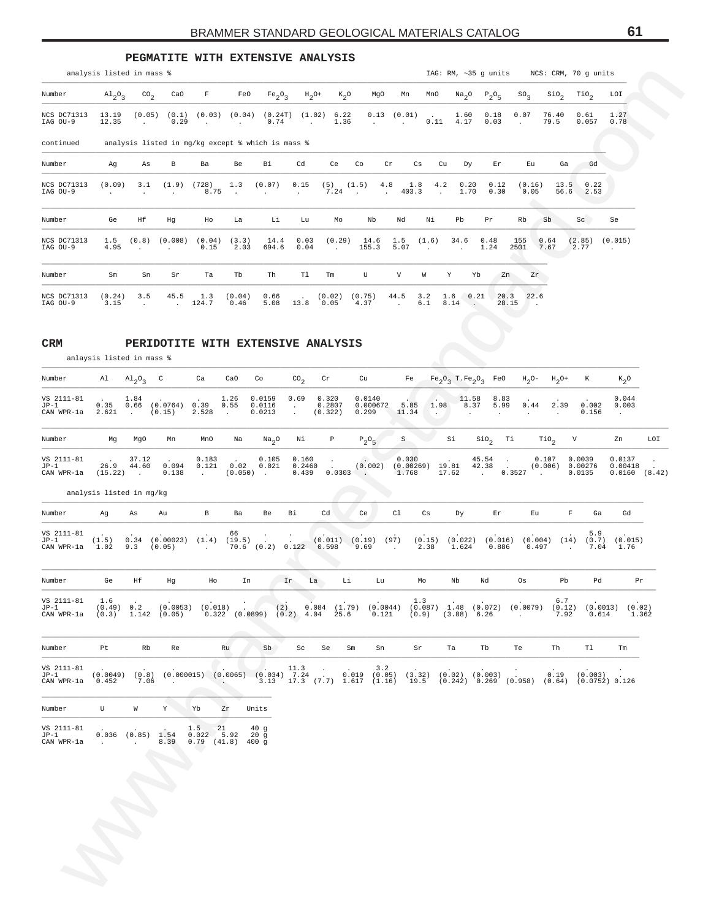|                                |                                       |                          |                                                      |                                    |                                    | PEGMATITE WITH EXTENSIVE ANALYSIS                                                                      |                           |                                    |                |                                   |                                           |                                                  |               |                        |               |                  |                    |
|--------------------------------|---------------------------------------|--------------------------|------------------------------------------------------|------------------------------------|------------------------------------|--------------------------------------------------------------------------------------------------------|---------------------------|------------------------------------|----------------|-----------------------------------|-------------------------------------------|--------------------------------------------------|---------------|------------------------|---------------|------------------|--------------------|
|                                | analysis listed in mass %             |                          |                                                      |                                    |                                    |                                                                                                        |                           |                                    |                |                                   |                                           | IAG: RM, ~35 g units NCS: CRM, 70 g units        |               |                        |               |                  |                    |
| Number                         |                                       |                          |                                                      |                                    |                                    | $\mathrm{Al}_2\mathrm{O}_3$ CO <sub>2</sub> CaO F FeO Fe <sub>2</sub> O <sub>3</sub> H <sub>2</sub> O+ |                           | $K_2O$                             | MgO            | Mn                                |                                           | MnO $\text{Na}_2\text{O}$ $\text{P}_2\text{O}_5$ |               | $SO_3$                 | $\rm SiO_{2}$ | TiO <sub>2</sub> | LOI                |
| <b>NCS DC71313</b><br>IAG OU-9 | 13.19<br>12.35                        | (0.05)<br><b>Service</b> | (0.1)<br>0.29                                        | (0.03)<br><b>Contract Contract</b> | (0.04)<br><b>Contract Contract</b> | (0.24T)<br>0.74                                                                                        | (1.02)<br><b>Contract</b> | 6.22<br>1.36                       | 0.13<br>$\sim$ | <b>Contract Contract Contract</b> | $(0.01)$ .<br>0.11                        | 1.60<br>4.17                                     | 0.18<br>0.03  | 0.07<br>$\sim 10^{-1}$ | 76.40<br>79.5 | 0.61<br>0.057    | 1.27<br>0.78       |
| continued                      |                                       |                          |                                                      |                                    |                                    | analysis listed in mg/kg except % which is mass %                                                      |                           |                                    |                |                                   |                                           |                                                  |               |                        |               |                  |                    |
| Number                         | Aq                                    | As                       | B                                                    | Ba                                 | Be.                                | Вi                                                                                                     | Cd                        | Ce                                 | Co             | Cr                                | Cs                                        | Cu<br>Dy                                         | Er            | Eu                     | Ga            | Gd               |                    |
| <b>NCS DC71313</b><br>IAG OU-9 | (0.09)<br>and the company of the com- | 3.1                      | <b>Contractor</b>                                    | $(1.9)$ $(728)$<br>8.75.           | 1.3                                | (0.07)<br>and the company of the company                                                               | 0.15                      | $(5)$ $(1.5)$                      | 7.24           | $4.8$ 1.8<br>403.3                | 4.2<br>$\sim$ 100 $\mu$                   | 0.20<br>1.70                                     | 0.12<br>0.30  | (0.16)<br>0.05         | 13.5<br>56.6  | 0.22<br>2.53     |                    |
| Number                         | Ge                                    | Hf                       | Ηq                                                   | Ho                                 | La                                 | Li                                                                                                     | Lu                        | Mо                                 | Nb             | Nd                                | Νi                                        | Pb                                               | Pr            | Rb                     | Sb            | Sc               | Se                 |
| NCS DC71313<br>IAG OU-9        | 1.5<br>4.95                           |                          | $(0.8)$ $(0.008)$<br>the contract of the contract of | (0.04)<br>0.15                     | (3.3)<br>2.03                      | 14.4<br>694.6                                                                                          | 0.03<br>0.04              | (0.29)<br><b>Contract Contract</b> | 14.6<br>155.3  | 5.07                              | $1.5$ $(1.6)$<br><b>Contract Contract</b> | 34.6<br><b>Contract</b>                          | 0.48<br>1.24  | 155<br>2501            | 0.64<br>7.67  | (2.85)<br>2.77   | (0.015)<br>$\cdot$ |
| Number                         | Sm                                    | Sn                       | Sr                                                   | Ta                                 | Tb                                 | Th                                                                                                     | T1                        | $\rm{Tm}$                          | U              | V                                 | W                                         | Y<br>Yb                                          | Zn            | Ζr                     |               |                  |                    |
| <b>NCS DC71313</b><br>IAG OU-9 | (0.24)<br>3.15                        | 3.5<br>$\sim$            | 45.5<br><b>Contract Contract</b>                     | 1.3<br>124.7                       | (0.04)<br>0.46                     | 0.66<br>5.08                                                                                           | $\sim$<br>13.8            | (0.02)<br>0.05                     | (0.75)<br>4.37 | 44.5<br><b>Contract</b>           | 3.2<br>6.1                                | 0.21<br>1.6<br>8.14.                             | 20.3<br>28.15 | 22.6<br>$\sim$         |               |                  |                    |

#### **CRM PERIDOTITE WITH EXTENSIVE ANALYSIS**

|                                    | analysis listed in mass % |                                     |                                                  |                                                 |                         |                                                   |                                  |                            |                                                |                                               |                              |                                                |                            | IAG: RM, ~35 g units               |                                                     |                                     | NCS: CRM, 70 g units                |                                                                                  |                   |
|------------------------------------|---------------------------|-------------------------------------|--------------------------------------------------|-------------------------------------------------|-------------------------|---------------------------------------------------|----------------------------------|----------------------------|------------------------------------------------|-----------------------------------------------|------------------------------|------------------------------------------------|----------------------------|------------------------------------|-----------------------------------------------------|-------------------------------------|-------------------------------------|----------------------------------------------------------------------------------|-------------------|
| Number                             | $A1_{2}O_{3}$             | $\text{CO}_2$                       | CaO                                              | F                                               | FeO                     | Fe <sub>2</sub> O <sub>3</sub>                    | $H_2O+$                          | $K_{2}O$                   | MgO                                            | Mn                                            | MnO                          |                                                | Na <sub>2</sub> O          | $P_2O_5$                           | SO <sub>3</sub>                                     | $\sin \theta_2$                     | $\mathrm{rio}_{2}$                  | LOI                                                                              |                   |
| NCS DC71313<br>IAG OU-9            | 13.19<br>12.35            | $\sim$                              | (0.05) (0.1)<br>0.29                             | $\cdot$                                         | $\cdot$                 | $(0.03)$ $(0.04)$ $(0.24T)$ $(1.02)$ 6.22<br>0.74 | $\sim 100$                       | 1.36                       | 0.13<br><b>College</b>                         | (0.01)<br>$\sim$                              | 0.11                         |                                                | 1.60<br>4.17               | 0.18<br>0.03                       | 0.07<br>$\cdot$                                     | 76.40<br>79.5                       | 0.61<br>0.057                       | 1.27<br>0.78                                                                     |                   |
| continued                          |                           |                                     |                                                  |                                                 |                         | analysis listed in mg/kg except % which is mass % |                                  |                            |                                                |                                               |                              |                                                |                            |                                    |                                                     |                                     |                                     |                                                                                  |                   |
| Number                             | Αg                        | As                                  | В                                                | Ba                                              | Be                      | Вi                                                | Cd                               | Ce                         | Co                                             | Cr                                            | Cs                           | Cu                                             | Dу                         | Εr                                 | Εu                                                  | Ga                                  | Gd                                  |                                                                                  |                   |
| NCS DC71313<br>IAG OU-9            | (0.09)                    | 3.1<br>$\cdot$                      | $\blacksquare$                                   | $(1.9)$ $(728)$<br>8.75                         | 1.3<br>$\sim$           | (0.07)<br>$\ddot{\phantom{a}}$                    | 0.15<br>$\cdot$                  | (5)<br>7.24                | (1.5)<br>$\sim$                                | 4.8<br>$\sim$                                 | 1.8<br>403.3                 | 4.2<br>$\sim$                                  | 0.20<br>1.70               | 0.12<br>0.30                       | (0.16)<br>0.05                                      | 13.5<br>56.6                        | 0.22<br>2.53                        |                                                                                  |                   |
| Number                             | Ge                        | Ηf                                  | Hg                                               | Ho                                              | La                      | Li                                                | Lu                               | Mo                         | Nb                                             | Nd                                            | Νi                           | Pb                                             |                            | Pr                                 | Rb                                                  | Sb                                  | Sc                                  | Se                                                                               |                   |
| NCS DC71313<br>IAG OU-9            | 1.5<br>4.95               | $\ddot{\phantom{a}}$                | $(0.8)$ $(0.008)$<br>$\cdot$                     | (0.04)<br>0.15                                  | (3.3)<br>2.03           | 14.4<br>694.6                                     | 0.03<br>0.04                     | (0.29)<br>$\sim$           | 14.6<br>155.3                                  | 1.5<br>5.07                                   | (1.6)<br>$\cdot$             | 34.6                                           | $\sim$                     | 0.48<br>1.24                       | 155<br>2501                                         | 0.64<br>7.67                        | (2.85)<br>2.77                      | (0.015)<br>$\cdot$                                                               |                   |
| Number                             | Sm                        | Sn                                  | Sr                                               | Ta                                              | Tb                      | Th                                                | T1                               | Tm                         | U                                              | V                                             | W                            | Y                                              | Yb                         | Zn                                 | Zr                                                  |                                     |                                     |                                                                                  |                   |
| NCS DC71313<br>IAG OU-9            | (0.24)<br>3.15            | 3.5<br>$\cdot$                      | 45.5<br>$\sim$                                   | 1.3<br>124.7                                    | (0.04)<br>0.46          | 0.66<br>5.08                                      | 13.8                             | (0.02)<br>0.05             | (0.75)<br>4.37                                 | 44.5<br>$\sim$                                | 3.2<br>6.1                   | 1.6<br>8.14                                    | 0.21<br>$\sim$             | 20.3<br>28.15                      | 22.6<br>$\ddot{\phantom{a}}$                        |                                     |                                     |                                                                                  |                   |
| $\mathtt{CRM}$                     | anlaysis listed in mass % |                                     |                                                  |                                                 |                         | PERIDOTITE WITH EXTENSIVE ANALYSIS                |                                  |                            |                                                |                                               |                              |                                                |                            |                                    |                                                     |                                     |                                     |                                                                                  |                   |
| Number                             | Al                        | $\mathrm{Al}_{2}\mathrm{O}_{3}$     | $\mathbb{C}$                                     | Ca                                              | CaO                     | Co                                                | $\text{CO}_2$                    | Cr                         | Cu                                             |                                               | Fe                           | $Fe_2O_2$ T.Fe <sub>2</sub> O <sub>2</sub> FeO |                            |                                    | $H_2O-$                                             | $H_2O+$                             | К                                   | $K_2$ O                                                                          |                   |
| VS 2111-81<br>JP-1<br>CAN WPR-1a   | 2.621                     | 1.84<br><b>Contract</b>             | $0.35$ $0.66$ $(0.0764)$ $0.39$ $0.55$<br>(0.15) | 2.528                                           | 1.26<br>$\sim 10^{-11}$ | 0.0159<br>0.0116<br>0.0213                        | 0.69<br>$\sim 10^{-1}$<br>$\Box$ | 0.320<br>0.2807<br>(0.322) | 0.0140<br>0.000672<br>0.299                    |                                               | 5.85<br>11.34                | 1.98<br>$\mathbf{L}$                           | 11.58<br>8.37              | 8.83<br>5.99<br>$\cdot$            | 0.44                                                | 2.39                                | 0.002<br>0.156                      | 0.044<br>0.003<br>$\sim$                                                         |                   |
| Number                             | Mg                        | MgO                                 | Mn                                               | MnO                                             | Na                      | Na <sub>2</sub> O                                 | Νi                               | P                          | $P_2O_5$                                       | $\rm S$                                       |                              | Si                                             |                            | $\mathop{\mathsf{Si0}}\nolimits_2$ | Тi                                                  | $\text{rio}_2$                      | $\boldsymbol{\mathrm{V}}$           | Zn                                                                               | LOI               |
| VS 2111-81<br>JP-1<br>CAN WPR-1a   | 26.9<br>$(15.22)$ .       | 37.12<br>44.60                      | 0.094<br>0.138                                   | 0.183<br>0.121<br>$\sim 100$ km s $^{-1}$       | 0.02<br>$(0.050)$ .     | 0.105<br>0.021                                    | 0.160<br>0.2460<br>0.439         | $\sim$<br>$\sim$<br>0.0303 |                                                | 0.030<br>$(0.002)$ $(0.00269)$ 19.81<br>1.768 |                              | 17.62                                          | 42.38<br><b>Contractor</b> | 45.54<br>$\sim 10^{-11}$           | $\mathbf{r}$ . The state $\mathbf{r}$<br>$0.3527$ . | 0.107                               | 0.0039<br>(0.006) 0.00276<br>0.0135 | 0.0137<br>0.00418<br>$0.0160$ $(8.42)$                                           | $\cdot$<br>$\sim$ |
|                                    | analysis listed in mg/kg  |                                     |                                                  |                                                 |                         |                                                   |                                  |                            |                                                |                                               |                              |                                                |                            |                                    |                                                     |                                     |                                     |                                                                                  |                   |
| Number                             | Ag                        | As                                  | Au                                               | B                                               | Ba                      | Be                                                | Вi                               | Cd                         | Ce                                             | C1                                            | $\mathbb{C}\mathbf{s}$       | Dу                                             |                            | Εr                                 | Eu                                                  |                                     | $\mathbf F$<br>Ga                   | Gd                                                                               |                   |
| VS 2111-81<br>JP-1<br>CAN WPR-1a   | (1.5)<br>1.02             | 9.3                                 | $0.34$ (0.00023) (1.4) (19.5)<br>(0.05)          | $\sim$ $\sim$                                   | 66                      | $\cdot$<br>70.6 (0.2) 0.122 0.598                 |                                  |                            | $(0.011)$ $(0.19)$ (97)<br>9.69                | $\sim 100$                                    | (0.15)<br>2.38               | (0.022)                                        | 1.624                      | (0.016)<br>0.886                   | 0.497                                               | $(0.004)$ $(14)$<br>$\sim$ 10 $\pm$ | 5.9<br>(0.7)<br>7.04                | (0.015)<br>1.76                                                                  |                   |
| Number                             | Ge                        | Ηf                                  | Hg                                               | Ho                                              | In                      | Ir                                                | La                               | Li                         |                                                | Lu                                            | Mo                           | Nb                                             |                            | Νd                                 | Os                                                  | Pb                                  | Pd                                  | Pr                                                                               |                   |
| VS 2111-81<br>$JP-1$<br>CAN WPR-1a | 1.6                       | (0.49) 0.2                          | $(0.3)$ 1.142 $(0.05)$                           | $(0.0053)$ $(0.018)$ .                          |                         | $0.322$ $(0.0899)$ $(0.2)$ $4.04$ 25.6            |                                  |                            |                                                | 0.121                                         | 1.3<br>$(0.9)$ $(3.88)$ 6.26 |                                                |                            |                                    | <b>Contractor</b>                                   | 6.7<br>7.92                         | 0.614                               | $(2)$ 0.084 (1.79) (0.0044) (0.087) 1.48 (0.072) (0.0079) (0.12) (0.0013) (0.02) | 1.362             |
| Number                             | Pt                        | Rb                                  | Re                                               |                                                 | Ru                      | Sb                                                | Sc                               | Se                         | Sm                                             | Sn                                            | Sr                           | Та                                             |                            | Tb                                 | Te                                                  | Th                                  | Tl                                  | Tm                                                                               |                   |
| VS 2111-81<br>$JP-1$<br>CAN WPR-1a | (0.0049)<br>0.452         | 7.06                                | $\ddot{\phantom{a}}$                             |                                                 | $\sim$                  | $(0.8)$ $(0.000015)$ $(0.0065)$ $(0.034)$ 7.24    | 11.3                             |                            | $0.019$ $(0.05)$ $(3.32)$ $(0.02)$ $(0.003)$ . | 3.2                                           |                              |                                                |                            |                                    |                                                     | 0.19                                | (0.003)                             | 3.13 17.3 (7.7) 1.617 (1.16) 19.5 (0.242) 0.269 (0.958) (0.64) (0.0752) 0.126    |                   |
| Number                             | U                         | W                                   | Υ                                                | Yb                                              | Zr                      | Units                                             |                                  |                            |                                                |                                               |                              |                                                |                            |                                    |                                                     |                                     |                                     |                                                                                  |                   |
| VS 2111-81<br>$JP-1$<br>CAN WPR-1a | $\sim$                    | $0.036$ $(0.85)$ 1.54<br>$\sim 100$ | 8.39                                             | 1.5<br>$0.022$ 5.92 20 g<br>$0.79$ (41.8) 400 g | 21                      | 40 <sub>g</sub>                                   |                                  |                            |                                                |                                               |                              |                                                |                            |                                    |                                                     |                                     |                                     |                                                                                  |                   |
|                                    |                           |                                     |                                                  |                                                 |                         |                                                   |                                  |                            |                                                |                                               |                              |                                                |                            |                                    |                                                     |                                     |                                     |                                                                                  |                   |
|                                    |                           |                                     |                                                  |                                                 |                         |                                                   |                                  |                            |                                                |                                               |                              |                                                |                            |                                    |                                                     |                                     |                                     |                                                                                  |                   |
|                                    |                           |                                     |                                                  |                                                 |                         |                                                   |                                  |                            |                                                |                                               |                              |                                                |                            |                                    |                                                     |                                     |                                     |                                                                                  |                   |
|                                    |                           |                                     |                                                  |                                                 |                         |                                                   |                                  |                            |                                                |                                               |                              |                                                |                            |                                    |                                                     |                                     |                                     |                                                                                  |                   |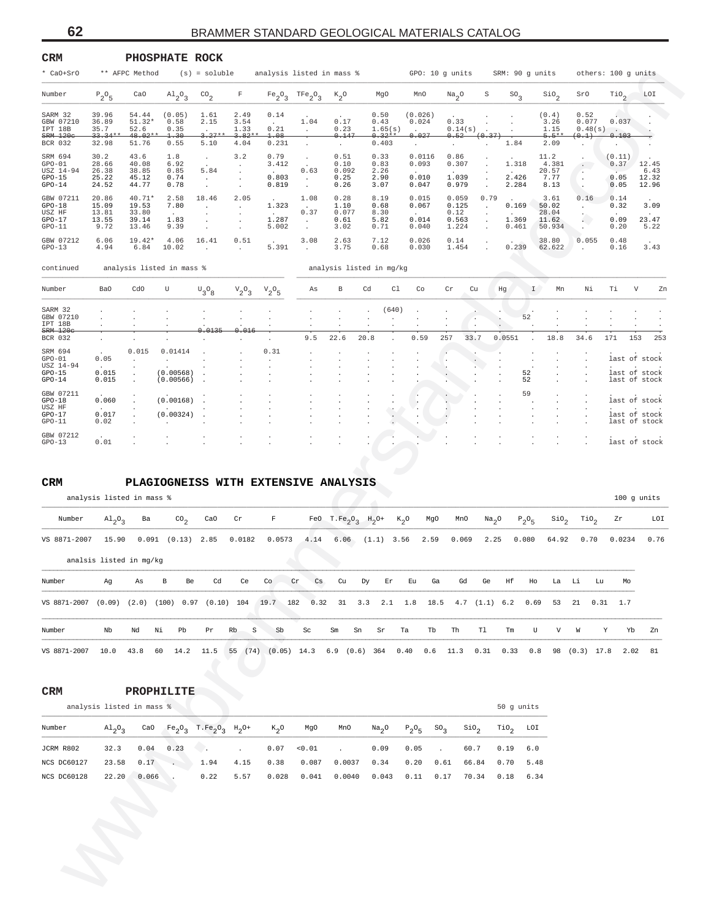| CRM                                                      |                                          |                                            | PHOSPHATE ROCK                         |                                                              |                                      |                                 |                                                    |                                       |                                             |                                      |                                          |                     |                         |                                           |                                       |                                |                                 |
|----------------------------------------------------------|------------------------------------------|--------------------------------------------|----------------------------------------|--------------------------------------------------------------|--------------------------------------|---------------------------------|----------------------------------------------------|---------------------------------------|---------------------------------------------|--------------------------------------|------------------------------------------|---------------------|-------------------------|-------------------------------------------|---------------------------------------|--------------------------------|---------------------------------|
| * CaO+SrO                                                |                                          | ** AFPC Method                             |                                        | $(s) = soluble$                                              |                                      | analysis listed in mass %       |                                                    |                                       |                                             |                                      | GPO: 10 g units                          |                     | SRM: 90 g units         |                                           |                                       | others: 100 g units            |                                 |
| Number                                                   | $P_2O_5$                                 | CaO                                        | A1203                                  | $\text{CO}_2$                                                | $\mathbf F$                          | Fe <sub>2</sub> O <sub>3</sub>  | TFe <sub>2</sub> O <sub>3</sub>                    | $K_2$ <sup>O</sup>                    | MgO                                         | MnO                                  | $Na_{2}$ <sup>O</sup>                    | S                   | $SO_{\mathcal{R}}$      | $\mathop{\mathsf{Si0}}\nolimits_2$        | SrO                                   | $\mathcal{T}io_{2}$            | LOI                             |
| SARM 32<br>GBW 07210<br>IPT 18B<br>$SRM-120c$<br>BCR 032 | 39.96<br>36.89<br>35.7<br>33.34<br>32.98 | 54.44<br>51.32*<br>52.6<br>48.02<br>51.76  | (0.05)<br>0.58<br>0.35<br>1.30<br>0.55 | 1.61<br>2.15<br>$3.27*$<br>5.10                              | 2.49<br>3.54<br>1.33<br>3.82<br>4.04 | 0.14<br>0.21<br>1.08<br>0.231   | 1.04<br>$\cdot$                                    | 0.17<br>0.23<br>0.147<br>$\cdot$      | 0.50<br>0.43<br>1.65(s)<br>$0.32*$<br>0.403 | (0.026)<br>0.024<br>0.027<br>$\cdot$ | 0.33<br>0.14(s)<br>0.52<br>$\cdot$       | (0.37               | 1.84                    | (0.4)<br>3.26<br>1.15<br>$5.5**$<br>2.09  | 0.52<br>0.077<br>$0.48(s)$ .<br>(0.1) | 0.037<br>0.103                 |                                 |
| SRM 694<br>$GPO-01$<br>USZ 14-94<br>$GPO-15$<br>$GPO-14$ | 30.2<br>28.66<br>26.38<br>25.22<br>24.52 | 43.6<br>40.08<br>38.85<br>45.12<br>44.77   | 1.8<br>6.92<br>0.85<br>0.74<br>0.78    | $\cdot$<br>5.84                                              | 3.2<br>$\cdot$                       | 0.79<br>3.412<br>0.803<br>0.819 | $\ddot{\phantom{0}}$<br>0.63<br>$\cdot$<br>$\cdot$ | 0.51<br>0.10<br>0.092<br>0.25<br>0.26 | 0.33<br>0.83<br>2.26<br>2.90<br>3.07        | 0.0116<br>0.093<br>0.010<br>0.047    | 0.86<br>0.307<br>1.039<br>0.979          |                     | 1.318<br>2.426<br>2.284 | 11.2<br>4.381<br>20.57<br>7.77<br>8.13    | $\cdot$<br>$\cdot$<br>$\cdot$         | (0.11)<br>0.37<br>0.05<br>0.05 | 12.45<br>6.43<br>12.32<br>12.96 |
| GBW 07211<br>$GPO-18$<br>USZ HF<br>$GPO-17$<br>$GPO-11$  | 20.86<br>15.09<br>13.81<br>13.55<br>9.72 | 40.71*<br>19.53<br>33.80<br>39.14<br>13.46 | 2.58<br>7.80<br>1.83<br>9.39           | 18.46                                                        | 2.05                                 | 1.323<br>1.287<br>5.002         | 1.08<br>0.37<br>$\cdot$<br>$\ddot{\phantom{0}}$    | 0.28<br>1.10<br>0.077<br>0.61<br>3.02 | 8.19<br>0.68<br>8.30<br>5.82<br>0.71        | 0.015<br>0.067<br>0.014<br>0.040     | 0.059<br>0.125<br>0.12<br>0.563<br>1.224 | 0.79                | 0.169<br>1.369<br>0.461 | 3.61<br>50.02<br>28.04<br>11.62<br>50.934 | 0.16<br>$\blacksquare$                | 0.14<br>0.32<br>0.09<br>0.20   | 3.09<br>23.47<br>5.22           |
| GBW 07212<br>$GPO-13$                                    | 6.06<br>4.94                             | 19.42*<br>6.84                             | 4.06<br>10.02                          | 16.41                                                        | 0.51                                 | 5.391                           | 3.08                                               | 2.63<br>3.75                          | 7.12<br>0.68                                | 0.026<br>0.030                       | 0.14<br>1.454                            |                     | 0.239                   | 38.80<br>62.622                           | 0.055                                 | 0.48<br>0.16                   | 3.43                            |
| continued                                                |                                          |                                            | analysis listed in mass %              |                                                              |                                      |                                 |                                                    |                                       | analysis listed in mg/kg                    |                                      |                                          |                     |                         |                                           |                                       |                                |                                 |
| Number                                                   | Ba0                                      | cdo                                        | U                                      | $\mathrm{^{U}3^{O}8}$                                        | $v_2^o$ <sub>3</sub>                 | $V_2O_5$                        | As                                                 | $_{\rm B}$                            | Cd<br>Cl                                    | Co                                   | $\operatorname{Cr}$<br>Cu                |                     | Hg                      | I<br>Mn                                   | Νi                                    | Τi                             | V<br>Zn                         |
| SARM 32<br>GBW 07210<br>IPT 18B                          |                                          |                                            |                                        |                                                              |                                      |                                 |                                                    |                                       | (640)                                       |                                      | ÷,                                       |                     | 52                      |                                           |                                       |                                |                                 |
| $SRM$ 120 $c$<br>BCR 032                                 |                                          |                                            |                                        | 0.0135                                                       | 0.016                                |                                 | $\cdot$<br>9.5                                     | 22.6                                  | 20.8                                        | 0.59                                 | $\cdot$<br>257<br>33.7                   |                     | 0.0551                  | 18.8                                      | 34.6                                  | 171                            | 153<br>253                      |
| SRM 694<br>$GPO-01$<br>USZ 14-94                         | 0.05                                     | 0.015                                      | 0.01414                                |                                                              |                                      | 0.31                            |                                                    |                                       |                                             |                                      |                                          |                     |                         |                                           |                                       |                                | last of stock                   |
| $GPO-15$<br>$GPO-14$                                     | 0.015<br>0.015                           |                                            | (0.00568)<br>(0.00566)                 |                                                              |                                      |                                 |                                                    |                                       |                                             |                                      |                                          |                     | 52<br>52                |                                           |                                       |                                | last of stock<br>last of stock  |
| GBW 07211<br>$GPO-18$                                    | 0.060                                    |                                            | (0.00168)                              |                                                              |                                      |                                 |                                                    |                                       |                                             |                                      |                                          |                     | 59                      |                                           |                                       |                                | last of stock                   |
| USZ HF<br>$GPO-17$<br>$GPO-11$                           | 0.017<br>0.02                            |                                            | (0.00324)                              |                                                              |                                      |                                 |                                                    |                                       | $\cdot$                                     |                                      |                                          |                     |                         |                                           |                                       |                                | last of stock<br>last of stock  |
| GBW 07212<br>$GPO-13$                                    | 0.01                                     |                                            |                                        |                                                              |                                      |                                 |                                                    |                                       |                                             |                                      |                                          |                     |                         |                                           |                                       |                                | last of stock                   |
| Number                                                   | analysis listed in mass %<br>$A1_2O_3$   | Ba                                         | $\text{CO}_2$                          | CaO                                                          | $\operatorname{\sf Cr}$              | $\mathbf F$                     | FeO                                                | T.Fe <sub>2</sub> O <sub>3</sub>      | $H_2$ <sup>O+</sup>                         | $K_{2}O$<br>MgO                      | MnO                                      | Na <sub>2</sub> O   | $P_2O_5$                | $\mathop{\mathsf{Si0}}\nolimits_2$        | $\text{rio}_2$                        | Zr                             | 100 g units<br>LOI              |
| VS 8871-2007                                             | 15.90                                    | 0.091                                      | (0.13)                                 | 2.85                                                         | 0.0182                               | 0.0573                          | 4.14                                               | 6.06                                  | $(1.1)$ 3.56                                | 2.59                                 | 0.069                                    | 2.25                | 0.080                   | 64.92                                     | 0.70                                  | 0.0234                         | 0.76                            |
|                                                          | analsis listed in mg/kg                  |                                            |                                        |                                                              |                                      |                                 |                                                    |                                       |                                             |                                      |                                          |                     |                         |                                           |                                       |                                |                                 |
| Number                                                   | Ag                                       | As                                         | в<br>Be                                | Cd                                                           | Ce                                   | Co                              | Cr<br>Cs                                           | Cu                                    | Dy<br>Er                                    | Eu<br>Ga                             | Gd                                       | Ge                  | Ηf                      | Ho<br>La                                  | Li<br>Lu                              | Mo                             |                                 |
| VS 8871-2007 (0.09) (2.0) (100) 0.97 (0.10) 104 19.7 182 |                                          |                                            |                                        |                                                              |                                      |                                 |                                                    |                                       | $0.32$ $31$ $3.3$ $2.1$ $1.8$               | 18.5                                 |                                          | $4.7$ $(1.1)$ $6.2$ |                         | 0.69<br>53                                | 21<br>0.31                            | 1.7                            |                                 |
| Number                                                   | Nb                                       | Nd                                         | Νi<br>Pb                               | Pr                                                           | Rb<br>$\rm S$                        | Sb                              | Sc                                                 | $\rm{Sm}$                             | Sn<br>Sr                                    | Ta<br>Tb                             | Th                                       | Tl                  | Tm                      | U<br>V                                    | W                                     | Υ<br>Yb                        | Zn                              |
| VS 8871-2007                                             | 10.0                                     | 43.8                                       | 60<br>14.2                             | 11.5                                                         | 55 (74) (0.05) 14.3                  |                                 |                                                    |                                       | $6.9$ $(0.6)$ 364                           | 0.40<br>0.6                          | 11.3                                     | 0.31                | 0.33                    | 0.8                                       | 98 (0.3) 17.8                         | 2.02                           | 81                              |
| CRM                                                      |                                          |                                            | PROPHILITE                             |                                                              |                                      |                                 |                                                    |                                       |                                             |                                      |                                          |                     |                         |                                           |                                       |                                |                                 |
|                                                          | analysis listed in mass %                |                                            |                                        |                                                              |                                      |                                 |                                                    |                                       |                                             |                                      |                                          |                     | 50 g units              |                                           |                                       |                                |                                 |
|                                                          |                                          | CaO                                        |                                        | $Fe_2O_3$ T.Fe <sub>2</sub> O <sub>3</sub> H <sub>2</sub> O+ |                                      | $K_2O$                          | MgO                                                | MnO                                   | Na <sub>2</sub> O                           | $P_2O_5$                             | $SO_{\mathcal{R}}$<br>SiO <sub>2</sub>   |                     | $\text{rio}_2$          | LOI                                       |                                       |                                |                                 |
|                                                          | $A1_{2}O_{3}$                            |                                            |                                        |                                                              |                                      |                                 |                                                    |                                       |                                             | 0.05                                 |                                          |                     |                         |                                           |                                       |                                |                                 |
|                                                          | 32.3                                     | 0.04                                       | 0.23                                   | - 4                                                          | $\Box$                               | 0.07                            | < 0.01                                             | $\ddot{\phantom{0}}$                  | 0.09                                        |                                      | 60.7<br>$\Box$                           |                     | $6.0$<br>0.19           |                                           |                                       |                                |                                 |
| Number<br>JCRM R802<br>NCS DC60127<br>NCS DC60128        | 23.58<br>22.20                           | 0.17<br>0.066                              |                                        | 1.94<br>0.22                                                 | 4.15<br>5.57                         | 0.38<br>0.028                   | 0.087<br>0.041                                     | 0.0037<br>0.0040                      | 0.34<br>0.043                               | 0.20<br>0.11                         | 0.61<br>66.84<br>0.17<br>70.34           |                     | 0.70<br>0.18            | 5.48<br>6.34                              |                                       |                                |                                 |

#### **CRM PLAGIOGNEISS WITH EXTENSIVE ANALYSIS**

| Number       | $\mathrm{Al}_{2}\mathrm{O}_{3}$ | Ba    |    | CO <sub>2</sub> | CaO                                                                                      | Cr     | F      |           |                |    | FeO T. $Fe_2O_2$ H <sub>2</sub> O+ |       | $K_{\gamma}O$             | MgO | MnO   | Na <sub>2</sub> O |    | $P_2O_E$ |          |     | $\sin \theta_2$ TiO <sub>2</sub> Zr |        | LOI  |
|--------------|---------------------------------|-------|----|-----------------|------------------------------------------------------------------------------------------|--------|--------|-----------|----------------|----|------------------------------------|-------|---------------------------|-----|-------|-------------------|----|----------|----------|-----|-------------------------------------|--------|------|
| VS 8871-2007 | 15.90                           | 0.091 |    | $(0.13)$ 2.85   |                                                                                          | 0.0182 | 0.0573 |           |                |    |                                    |       | 4.14 6.06 (1.1) 3.56 2.59 |     | 0.069 | 2.25              |    | 0.080    | 64.92    |     | 0.70                                | 0.0234 | 0.76 |
|              | analsis listed in mg/kg         |       |    |                 |                                                                                          |        |        |           |                |    |                                    |       |                           |     |       |                   |    |          |          |     |                                     |        |      |
| Number       | Aq                              | As    | B  | Be              | Cd                                                                                       | Ce     | Co     | <b>Cr</b> | $\mathbb{C}$ s | Cu |                                    | Dy Er | Eu                        | Ga  | Gd    | Ge                | Hf | Ho       | La Li Lu |     |                                     | Mo     |      |
| VS 8871-2007 | (0.09)                          |       |    |                 | $(2.0)$ $(100)$ 0.97 $(0.10)$ 104 19.7 182 0.32 31 3.3 2.1 1.8 18.5 4.7 $(1.1)$ 6.2 0.69 |        |        |           |                |    |                                    |       |                           |     |       |                   |    |          | 53       |     | 21 0.31 1.7                         |        |      |
| Number       | $_{\rm Nb}$                     | Ыd    | Ni | Pb              | Pr                                                                                       | Rb S   | Sb     |           | Sc             | Sm | Sn Sr                              |       | Ta                        | Tb  | Th    | T1                | Tm | U        |          | V W | Y                                   | Yb     | Zn   |

| <b>CRM</b> | PROPHILITE |
|------------|------------|
|            |            |

|             | analysis listed in mass % |             |                                                                          |      |               |       |        |                       |          |                   |                  | 50 q units |      |
|-------------|---------------------------|-------------|--------------------------------------------------------------------------|------|---------------|-------|--------|-----------------------|----------|-------------------|------------------|------------|------|
| Number      | $Al_2O_2$                 | CaO         | $Fe_2O_3$ T.Fe <sub>2</sub> O <sub>3</sub> H <sub>2</sub> O <sup>+</sup> |      | $K_{\gamma}O$ | MgO   | MnO    | $\text{Na}_2\text{O}$ | $P_2O_E$ | SO <sub>2</sub>   | SiO <sub>2</sub> | $TiO2$ LOI |      |
| JCRM R802   | 32.3                      | $0.04$ 0.23 | $0.07$ $< 0.01$ .                                                        |      |               |       |        | 0.09                  | 0.05     | <b>Contractor</b> | 60.7             | 0.19       | 6.0  |
| NCS DC60127 | 23.58                     | $0.17$ .    | 1.94                                                                     | 4.15 | 0.38          | 0.087 | 0.0037 | 0.34                  | 0.20     | 0.61              | 66.84            | 0.70       | 5.48 |
| NCS DC60128 | 22.20                     | 0.066       | 0.22                                                                     | 5.57 | 0.028         | 0.041 | 0.0040 | 0.043                 | 0.11     | 0.17              | 70.34            | 0.18       | 6.34 |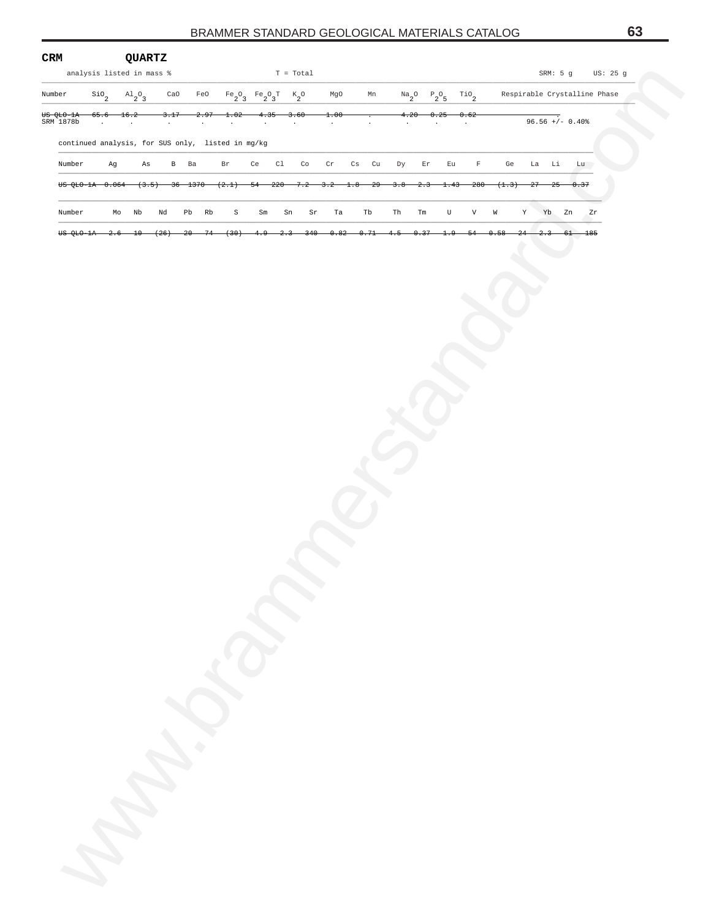| CRM                    |                                   |        | <b>QUARTZ</b>             |           |               |                                                   |                                                                                                            |             |        |         |                 |           |                     |                                                                                                                                                                                                                                                                                                                                                     |                           |                 |     |       |                   |                              |
|------------------------|-----------------------------------|--------|---------------------------|-----------|---------------|---------------------------------------------------|------------------------------------------------------------------------------------------------------------|-------------|--------|---------|-----------------|-----------|---------------------|-----------------------------------------------------------------------------------------------------------------------------------------------------------------------------------------------------------------------------------------------------------------------------------------------------------------------------------------------------|---------------------------|-----------------|-----|-------|-------------------|------------------------------|
|                        | analysis listed in mass %         |        |                           |           |               |                                                   |                                                                                                            | $T = Total$ |        |         |                 |           |                     |                                                                                                                                                                                                                                                                                                                                                     |                           |                 |     |       |                   | SRM: 5 g US: 25 g            |
| Number                 | $\mathop{\mathsf{Si}}\nolimits_2$ |        | $\mathrm{^{Al}_{2}O_{3}}$ | CaO       | FeO           |                                                   | $\begin{matrix}\n\text{Fe}_2\text{O}_3 & \text{Fe}_2\text{O}_3\text{T} & \text{K}_2\text{O}\n\end{matrix}$ |             |        | MgO     | Mn              |           |                     | $\begin{picture}(180,170) \put(0,0){\line(1,0){10}} \put(15,0){\line(1,0){10}} \put(15,0){\line(1,0){10}} \put(15,0){\line(1,0){10}} \put(15,0){\line(1,0){10}} \put(15,0){\line(1,0){10}} \put(15,0){\line(1,0){10}} \put(15,0){\line(1,0){10}} \put(15,0){\line(1,0){10}} \put(15,0){\line(1,0){10}} \put(15,0){\line(1,0){10}} \put(15,0){\line$ |                           |                 |     |       |                   | Respirable Crystalline Phase |
| US QLO-1A<br>SRM 1878b | 65.6<br>$\sim$                    |        | 16.2                      | 3.17      | 2.97          | 1.02                                              | 4.35                                                                                                       | 3.60        |        | 1.00    |                 |           | 4.20                | 0.25                                                                                                                                                                                                                                                                                                                                                | 0.62                      |                 |     |       | $96.56 +/- 0.40%$ |                              |
|                        |                                   |        | $\sim$                    | $\bullet$ | $\sim$        | $\cdot$                                           | $\sim$                                                                                                     | $\cdot$     |        | $\cdot$ | $\cdot$         | $\bullet$ |                     | $\sim$                                                                                                                                                                                                                                                                                                                                              | $\cdot$                   |                 |     |       |                   |                              |
|                        |                                   |        |                           |           |               | continued analysis, for SUS only, listed in mg/kg |                                                                                                            |             |        |         |                 |           |                     |                                                                                                                                                                                                                                                                                                                                                     |                           |                 |     |       |                   |                              |
| Number                 |                                   | Ag     | As                        |           | B Ba          | Br                                                | Ce                                                                                                         | Cl          | Co     | Cr      | Cs Cu           | Dy        | Er                  | Eu                                                                                                                                                                                                                                                                                                                                                  | $\mathbb F$               | Ge              |     | La Li | Lu                |                              |
|                        |                                   |        |                           |           |               | US QLO-1A 0.064 (3.5) 36 1370 (2.1) 54 220 7.2    |                                                                                                            |             |        | $-3.2-$ | $-29$<br>$-1.8$ | $-3.8$    | $-2.3$              | $-1.43$                                                                                                                                                                                                                                                                                                                                             | $-280$                    | (1.3)           | -27 | 25    | 0.37              |                              |
| Number                 |                                   |        | Mo Nb                     | Nd        | Pb Rb         | $\mathbb S$                                       | Sm                                                                                                         | Sn          | Sr     | Ta      | Tb              | Th        | $\operatorname{Tm}$ | U                                                                                                                                                                                                                                                                                                                                                   | $\boldsymbol{\mathrm{V}}$ | W               | Y   | Yb Zn |                   | Zr                           |
|                        | US QLO-1A                         | $-2.6$ | $-10$                     | (26)      | $20 -$<br>-74 | (30)                                              | 4.9                                                                                                        | $-2.3$      | $-340$ | 0.82    | 0.71            | 4.5       | 0.37                |                                                                                                                                                                                                                                                                                                                                                     | 54                        | <del>0.58</del> |     |       |                   | 185                          |
|                        |                                   |        |                           |           |               |                                                   |                                                                                                            |             |        |         |                 |           |                     |                                                                                                                                                                                                                                                                                                                                                     |                           |                 |     |       |                   |                              |
|                        |                                   |        |                           |           |               |                                                   |                                                                                                            |             |        |         |                 |           |                     |                                                                                                                                                                                                                                                                                                                                                     |                           |                 |     |       |                   |                              |
|                        |                                   |        |                           |           |               |                                                   |                                                                                                            |             |        |         |                 |           |                     |                                                                                                                                                                                                                                                                                                                                                     |                           |                 |     |       |                   |                              |
|                        |                                   |        |                           |           |               |                                                   |                                                                                                            |             |        |         |                 |           |                     |                                                                                                                                                                                                                                                                                                                                                     |                           |                 |     |       |                   |                              |
|                        |                                   |        |                           |           |               |                                                   |                                                                                                            |             |        |         |                 |           |                     |                                                                                                                                                                                                                                                                                                                                                     |                           |                 |     |       |                   |                              |
|                        |                                   |        |                           |           |               |                                                   |                                                                                                            |             |        |         |                 |           |                     |                                                                                                                                                                                                                                                                                                                                                     |                           |                 |     |       |                   |                              |
|                        |                                   |        |                           |           |               |                                                   |                                                                                                            |             |        |         |                 |           |                     |                                                                                                                                                                                                                                                                                                                                                     |                           |                 |     |       |                   |                              |
|                        |                                   |        |                           |           |               |                                                   |                                                                                                            |             |        |         |                 |           |                     |                                                                                                                                                                                                                                                                                                                                                     |                           |                 |     |       |                   |                              |
|                        |                                   |        |                           |           |               |                                                   |                                                                                                            |             |        |         |                 |           |                     |                                                                                                                                                                                                                                                                                                                                                     |                           |                 |     |       |                   |                              |
|                        |                                   |        |                           |           |               |                                                   |                                                                                                            |             |        |         |                 |           |                     |                                                                                                                                                                                                                                                                                                                                                     |                           |                 |     |       |                   |                              |
|                        |                                   |        |                           |           |               |                                                   |                                                                                                            |             |        |         |                 |           |                     |                                                                                                                                                                                                                                                                                                                                                     |                           |                 |     |       |                   |                              |
|                        |                                   |        |                           |           |               |                                                   |                                                                                                            |             |        |         |                 |           |                     |                                                                                                                                                                                                                                                                                                                                                     |                           |                 |     |       |                   |                              |
|                        |                                   |        |                           |           |               |                                                   |                                                                                                            |             |        |         |                 |           |                     |                                                                                                                                                                                                                                                                                                                                                     |                           |                 |     |       |                   |                              |
|                        |                                   |        |                           |           |               |                                                   |                                                                                                            |             |        |         |                 |           |                     |                                                                                                                                                                                                                                                                                                                                                     |                           |                 |     |       |                   |                              |
|                        |                                   |        |                           |           |               |                                                   |                                                                                                            |             |        |         |                 |           |                     |                                                                                                                                                                                                                                                                                                                                                     |                           |                 |     |       |                   |                              |
|                        |                                   |        |                           |           |               |                                                   |                                                                                                            |             |        |         |                 |           |                     |                                                                                                                                                                                                                                                                                                                                                     |                           |                 |     |       |                   |                              |
|                        |                                   |        |                           |           |               |                                                   |                                                                                                            |             |        |         |                 |           |                     |                                                                                                                                                                                                                                                                                                                                                     |                           |                 |     |       |                   |                              |
|                        |                                   |        |                           |           |               |                                                   |                                                                                                            |             |        |         |                 |           |                     |                                                                                                                                                                                                                                                                                                                                                     |                           |                 |     |       |                   |                              |
|                        |                                   |        |                           |           |               |                                                   |                                                                                                            |             |        |         |                 |           |                     |                                                                                                                                                                                                                                                                                                                                                     |                           |                 |     |       |                   |                              |
|                        |                                   |        |                           |           |               |                                                   |                                                                                                            |             |        |         |                 |           |                     |                                                                                                                                                                                                                                                                                                                                                     |                           |                 |     |       |                   |                              |
|                        |                                   |        |                           |           |               |                                                   |                                                                                                            |             |        |         |                 |           |                     |                                                                                                                                                                                                                                                                                                                                                     |                           |                 |     |       |                   |                              |
|                        |                                   |        |                           |           |               |                                                   |                                                                                                            |             |        |         |                 |           |                     |                                                                                                                                                                                                                                                                                                                                                     |                           |                 |     |       |                   |                              |
|                        |                                   |        |                           |           |               |                                                   |                                                                                                            |             |        |         |                 |           |                     |                                                                                                                                                                                                                                                                                                                                                     |                           |                 |     |       |                   |                              |
|                        |                                   |        |                           |           |               |                                                   |                                                                                                            |             |        |         |                 |           |                     |                                                                                                                                                                                                                                                                                                                                                     |                           |                 |     |       |                   |                              |
|                        |                                   |        |                           |           |               |                                                   |                                                                                                            |             |        |         |                 |           |                     |                                                                                                                                                                                                                                                                                                                                                     |                           |                 |     |       |                   |                              |
|                        |                                   |        |                           |           |               |                                                   |                                                                                                            |             |        |         |                 |           |                     |                                                                                                                                                                                                                                                                                                                                                     |                           |                 |     |       |                   |                              |
|                        |                                   |        |                           |           |               |                                                   |                                                                                                            |             |        |         |                 |           |                     |                                                                                                                                                                                                                                                                                                                                                     |                           |                 |     |       |                   |                              |
|                        |                                   |        |                           |           |               |                                                   |                                                                                                            |             |        |         |                 |           |                     |                                                                                                                                                                                                                                                                                                                                                     |                           |                 |     |       |                   |                              |
|                        |                                   |        |                           |           |               |                                                   |                                                                                                            |             |        |         |                 |           |                     |                                                                                                                                                                                                                                                                                                                                                     |                           |                 |     |       |                   |                              |
|                        |                                   |        |                           |           |               |                                                   |                                                                                                            |             |        |         |                 |           |                     |                                                                                                                                                                                                                                                                                                                                                     |                           |                 |     |       |                   |                              |
|                        |                                   |        |                           |           |               |                                                   |                                                                                                            |             |        |         |                 |           |                     |                                                                                                                                                                                                                                                                                                                                                     |                           |                 |     |       |                   |                              |
|                        |                                   |        |                           |           |               |                                                   |                                                                                                            |             |        |         |                 |           |                     |                                                                                                                                                                                                                                                                                                                                                     |                           |                 |     |       |                   |                              |
|                        |                                   |        |                           |           |               |                                                   |                                                                                                            |             |        |         |                 |           |                     |                                                                                                                                                                                                                                                                                                                                                     |                           |                 |     |       |                   |                              |
|                        |                                   |        |                           |           |               |                                                   |                                                                                                            |             |        |         |                 |           |                     |                                                                                                                                                                                                                                                                                                                                                     |                           |                 |     |       |                   |                              |
|                        |                                   |        |                           |           |               |                                                   |                                                                                                            |             |        |         |                 |           |                     |                                                                                                                                                                                                                                                                                                                                                     |                           |                 |     |       |                   |                              |
|                        |                                   |        |                           |           |               |                                                   |                                                                                                            |             |        |         |                 |           |                     |                                                                                                                                                                                                                                                                                                                                                     |                           |                 |     |       |                   |                              |
|                        | W.                                |        |                           |           |               |                                                   |                                                                                                            |             |        |         |                 |           |                     |                                                                                                                                                                                                                                                                                                                                                     |                           |                 |     |       |                   |                              |
|                        |                                   |        |                           |           |               |                                                   |                                                                                                            |             |        |         |                 |           |                     |                                                                                                                                                                                                                                                                                                                                                     |                           |                 |     |       |                   |                              |
|                        |                                   |        |                           |           |               |                                                   |                                                                                                            |             |        |         |                 |           |                     |                                                                                                                                                                                                                                                                                                                                                     |                           |                 |     |       |                   |                              |
|                        |                                   |        |                           |           |               |                                                   |                                                                                                            |             |        |         |                 |           |                     |                                                                                                                                                                                                                                                                                                                                                     |                           |                 |     |       |                   |                              |
|                        |                                   |        |                           |           |               |                                                   |                                                                                                            |             |        |         |                 |           |                     |                                                                                                                                                                                                                                                                                                                                                     |                           |                 |     |       |                   |                              |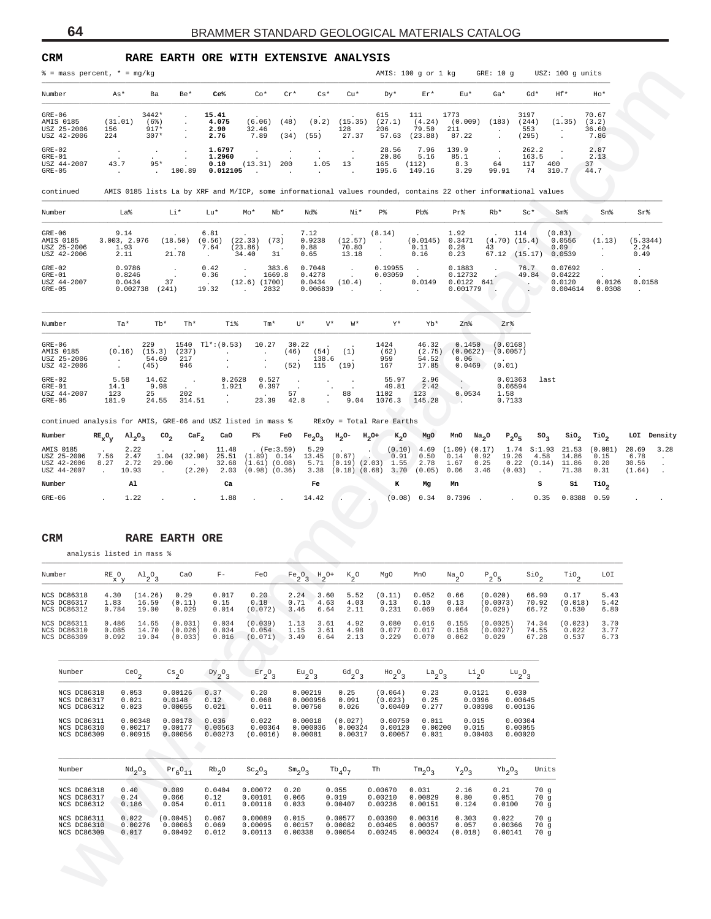| CRM                                                           |                                                                       |                                                                          |                                                        |                                                                                    | RARE EARTH ORE WITH EXTENSIVE ANALYSIS                                                                         |                                                  |                                                       |                                   |                                                           |                                                            |                                            |                                           |                                 |                                                                           |
|---------------------------------------------------------------|-----------------------------------------------------------------------|--------------------------------------------------------------------------|--------------------------------------------------------|------------------------------------------------------------------------------------|----------------------------------------------------------------------------------------------------------------|--------------------------------------------------|-------------------------------------------------------|-----------------------------------|-----------------------------------------------------------|------------------------------------------------------------|--------------------------------------------|-------------------------------------------|---------------------------------|---------------------------------------------------------------------------|
| $\frac{1}{2}$ = mass percent, $*$ = mg/kg                     |                                                                       |                                                                          |                                                        |                                                                                    |                                                                                                                |                                                  |                                                       | AMIS: 100 g or 1 kg               |                                                           | GRE: 10 g                                                  |                                            | USZ: 100 g units                          |                                 |                                                                           |
| Number                                                        | As*                                                                   | Be*<br>Ba                                                                | Ce <sup>8</sup>                                        | $Co*$                                                                              | $Cr*$<br>$Cs*$                                                                                                 | $Cu*$                                            | Dy*                                                   | $Er*$                             | Eu*                                                       | $Ga*$                                                      | Gd*                                        | Hf*                                       | Ho*                             |                                                                           |
| $GRE-06$<br>AMIS 0185<br>USZ 25-2006<br>USZ 42-2006           | (31.01)<br>156<br>224                                                 | 3442*<br>$(6\%)$<br>$917*$<br>$307*$                                     | 15.41<br>4.075<br>2.90<br>2.76                         | (6.06)<br>32.46<br>7.89                                                            | (0.2)<br>(48)<br>(34)<br>(55)                                                                                  | (15.35)<br>128<br>27.37                          | 615<br>(27.1)<br>206<br>57.63                         | 111<br>(4.24)<br>79.50<br>(23.88) | 1773<br>(0.009)<br>211<br>87.22                           | (183)<br>$\cdot$<br>$\cdot$                                | 3197<br>(244)<br>553<br>(295)              | (1.35)<br>$\ddot{\phantom{0}}$<br>$\cdot$ | 70.67<br>(3.2)<br>36.60<br>7.86 |                                                                           |
| $GRE-02$<br>$GRE-01$<br>USZ 44-2007<br>$GRE-05$               | $\cdot$<br>43.7<br>$\overline{\phantom{a}}$                           | $\cdot$<br>$\cdot$<br>$\cdot$<br>$95*$<br>100.89<br>$\ddot{\phantom{a}}$ | 1.6797<br>1,2960<br>0.10<br>0.012105                   | $\blacksquare$<br>(13.31)                                                          | $\cdot$<br>200<br>1.05<br>$\sim$                                                                               | 13                                               | 28.56<br>20.86<br>165<br>195.6                        | 7.96<br>5.16<br>(112)<br>149.16   | 139.9<br>85.1<br>8.3<br>3.29                              | $\blacksquare$<br>$\sim$<br>64<br>99.91                    | 262.2<br>163.5<br>117<br>400<br>74         | 310.7                                     | 2.87<br>2.13<br>37<br>44.7      |                                                                           |
| continued                                                     |                                                                       |                                                                          |                                                        |                                                                                    | AMIS 0185 lists La by XRF and M/ICP, some informational values rounded, contains 22 other informational values |                                                  |                                                       |                                   |                                                           |                                                            |                                            |                                           |                                 |                                                                           |
| Number                                                        | La%                                                                   | Li*                                                                      | Lu*                                                    | Mo*<br>Nb*                                                                         | Nd%                                                                                                            | Ni*                                              | P%                                                    | $Pb$ %                            | Pr%                                                       | $Rb*$                                                      | $Sc*$                                      | Sm <sup>8</sup>                           | Sn%                             | Sr%                                                                       |
| $GRE-06$<br>AMIS 0185<br>USZ 25-2006<br>USZ 42-2006           | 9.14<br>3.003, 2.976<br>1.93<br>2.11                                  | (18.50)<br>21.78                                                         | 6.81<br>(0.56)<br>7.64<br>$\sim$ $-$                   | (22.33)<br>(73)<br>(23.86)<br>34.40<br>31                                          | 7.12<br>0.9238<br>0.88<br>0.65                                                                                 | (12.57)<br>70.80<br>13.18                        | (8.14)<br>$\cdot$<br>$\cdot$<br>$\cdot$               | $(0.0145)$ 0.3471<br>0.11<br>0.16 | 1.92<br>0.28<br>0.23                                      | 114<br>$(4.70)$ $(15.4)$<br>43<br>$67.12$ $(15.17)$ 0.0539 |                                            | (0.83)<br>0.0556<br>0.09                  | (1.13)<br>$\ddot{\phantom{a}}$  | (5.3344)<br>2.24<br>0.49                                                  |
| $GRE-02$<br>$GRE-01$<br>USZ 44-2007<br>$GRE-05$               | 0.9786<br>0.8246<br>0.0434<br>0.002738                                | $\cdot$<br>37<br>(241)                                                   | 0.42<br>0.36<br>$\sim$<br>19.32                        | 383.6<br>$\cdot$<br>1669.8<br>$\sim$<br>$(12.6)$ $(1700)$<br>2832<br>$\sim$ $\sim$ | 0.7048<br>0.4278<br>0.0434<br>0.006839                                                                         | $\cdot$<br>(10.4)<br>$\sim$                      | 0.19955<br>0.03059<br>$\ddot{\phantom{a}}$<br>$\cdot$ | $\cdot$<br>0.0149<br>$\sim$       | 0.1883<br>0.12732<br>$0.0122$ 641<br>0.001779             |                                                            | 76.7<br>49.84<br>$\sim$<br>$\sim$ $ \sim$  | 0.07692<br>0.04222<br>0.0120<br>0.004614  | 0.0126<br>0.0308                | $\cdot$<br>0.0158<br>$\ddot{\phantom{0}}$                                 |
| Number                                                        | Ta*                                                                   | $\text{Th*}$                                                             | Th*<br>Ti%                                             | $Tm*$                                                                              | U*                                                                                                             | $V^*$<br>W*                                      | Y*                                                    | Yb*                               | Zn%                                                       | Zr%                                                        |                                            |                                           |                                 |                                                                           |
| $GRE-06$<br>AMIS 0185<br>USZ 25-2006<br>USZ 42-2006           | (0.16)<br>$\sim$<br>$\cdot$                                           | 229<br>(15.3)<br>(237)<br>54.60<br>217<br>(45)<br>946                    | $1540$ Tl*: (0.53)<br>$\ddot{\phantom{0}}$<br>$\cdot$  | 10.27<br>$\ddot{\phantom{a}}$<br>$\cdot$                                           | 30.22<br>(46)<br>(54)<br>138.6<br>115<br>(52)                                                                  | (1)<br>(19)                                      | 1424<br>(62)<br>959<br>167                            | 46.32<br>(2.75)<br>54.52<br>17.85 | 0.1450<br>(0.0622)<br>0.06<br>0.0469                      | (0.0168)<br>(0.0057)<br>(0.01)                             |                                            |                                           |                                 |                                                                           |
| $GRE-02$<br>$GRE-01$<br>USZ 44-2007<br>$GRE-05$               | 5.58<br>14.1<br>123<br>181.9                                          | 14.62<br>9.98<br>25<br>202<br>24.55                                      | 1.921<br>$\cdot$<br>314.51<br>$\overline{\phantom{a}}$ | 0.527<br>0.2628<br>0.397<br>23.39                                                  | $\ddot{\phantom{1}}$<br>57<br>42.8                                                                             | 88<br>9.04<br>$\ddot{\phantom{a}}$               | 55.97<br>49.81<br>1102<br>1076.3                      | 2.96<br>2.42<br>123<br>145.28     | 0.0534<br>$\sim$ 4.1                                      | 0.01363<br>0.06594<br>1.58<br>0.7133                       | last                                       |                                           |                                 |                                                                           |
| continued analysis for AMIS, GRE-06 and USZ listed in mass %  |                                                                       |                                                                          |                                                        |                                                                                    |                                                                                                                |                                                  | RExOy = Total Rare Earths                             |                                   |                                                           |                                                            |                                            |                                           |                                 |                                                                           |
| Number                                                        | $R E_{\rm X} O_{\rm y}$<br>$A1_{2}O_3$                                | $^{co}$ <sub>2</sub>                                                     | $\mathtt{CaF}_2$<br>CaO                                | $_{\rm F\%}$                                                                       | FeO<br>Fe <sub>2</sub> O <sub>3</sub>                                                                          | $H_2$ <sup>O-</sup>                              | $H_2$ O+<br>$K_{2}O$                                  | MgO                               | MnO<br>Na <sub>2</sub> O                                  | $P_2O_5$                                                   | ${so}_{3}$                                 | sio <sub>2</sub>                          | TiO <sub>2</sub>                | LOI Density                                                               |
| <b>AMIS 0185</b><br>USZ 25-2006<br>USZ 42-2006<br>USZ 44-2007 | 2.22<br>7.56<br>2.47<br>8.27<br>2.72<br>10.93<br>$\ddot{\phantom{a}}$ | 1.04<br>29.00<br>$\ddot{\phantom{a}}$                                    | 11.48<br>(32.90)<br>25.51<br>32.68<br>(2.20)<br>2.03   | . $(Fe:3.59)$<br>$(1.89)$ 0.14<br>$(1.61)$ $(0.08)$<br>$(0.98)$ $(0.36)$           | 5.29<br>13.45<br>5.71<br>3.38                                                                                  | (0.67)<br>$(0.19)$ $(2.03)$<br>$(0.18)$ $(0.68)$ | (0.10)<br>0.91<br>1.55<br>3.70                        | 4.69<br>0.50<br>2.78<br>(0.05)    | $(1.09)$ $(0.17)$<br>0.14<br>0.92<br>1.67<br>0.06<br>3.46 | 1.74<br>19.26<br>0.25<br>0.22<br>(0.03)                    | S:1.93<br>4.58<br>(0.14)<br>$\overline{a}$ | 21.53<br>14.86<br>11.86<br>71.38          | (0.081)<br>0.15<br>0.20<br>0.31 | 20.69<br>3.28<br>6.78<br>$\cdot$<br>30.56<br>$\cdot$<br>(1.64)<br>$\cdot$ |
| Number                                                        | Al                                                                    |                                                                          | Ca                                                     |                                                                                    | Fe                                                                                                             |                                                  | ĸ                                                     | Mg                                | Mn                                                        |                                                            | s                                          | Si                                        | $\text{rio}_2$                  |                                                                           |
| $GRE-06$                                                      | 1.22                                                                  |                                                                          | 1.88                                                   |                                                                                    | 14.42                                                                                                          |                                                  |                                                       | (0.08) 0.34                       | $0.7396$ .                                                | $\ddot{\phantom{a}}$                                       | 0.35                                       | 0.8388                                    | 0.59                            |                                                                           |
| CRM                                                           |                                                                       | RARE EARTH ORE                                                           |                                                        |                                                                                    |                                                                                                                |                                                  |                                                       |                                   |                                                           |                                                            |                                            |                                           |                                 |                                                                           |
|                                                               | analysis listed in mass %                                             |                                                                          |                                                        |                                                                                    |                                                                                                                |                                                  |                                                       |                                   |                                                           |                                                            |                                            |                                           |                                 |                                                                           |
| Number                                                        | RE O<br>x y                                                           | $A1_{2}O_3$<br>CaO                                                       |                                                        | <b>F.GO</b>                                                                        | $F^{\text{e}}$ $2^0$ 3                                                                                         | $n_{2}^{O+}$<br>$k_{2}^{0}$                      | MğO                                                   | MNO                               | $\frac{1}{2}$                                             | $P_2O_5$                                                   | $\frac{\text{SiO}}{2}$                     | $\mathbb{T}^{i}$ <sup>2</sup>             | TO T                            |                                                                           |
| NCS DC86318<br>NCS DC86317                                    | 4.30<br>1.83                                                          | (14.26)<br>0.29<br>16.59<br>(0.11)                                       | 0.017<br>0.15                                          | 0.20<br>0.18                                                                       | $2.24$ 3.60<br>0.71                                                                                            | 5.52<br>4.63<br>4.03                             | (0.11)<br>0.13                                        | 0.052<br>0.10                     | 0.66<br>0.13                                              | (0.020)<br>(0.0073)                                        | 66.90<br>70.92                             | 0.17<br>(0.018)                           | 5.43<br>5.42                    |                                                                           |
| NCS DC86312<br>NCS DC86311                                    | 0.784<br>0.486                                                        | 19.00<br>0.029<br>14.65<br>(0.031)                                       | 0.014<br>0.034                                         | (0.072)<br>(0.039)                                                                 | 3.46<br>1.13                                                                                                   | 6.64<br>2.11<br>4.92<br>3.61                     | 0.231<br>0.080                                        | 0.069<br>0.016                    | 0.064<br>0.155                                            | (0.029)<br>(0.0025)                                        | 66.72<br>74.34                             | 0.530<br>(0.023)                          | 6.80<br>3.70                    |                                                                           |
| NCS DC86310<br>NCS DC86309                                    | 0.085<br>0.092                                                        | 14.70<br>(0.026)<br>19.04<br>(0.033)                                     | 0.034<br>0.016                                         | 0.054<br>$(0.071)$ 3.49                                                            | 1.15                                                                                                           | 3.61<br>4.98<br>6.64<br>2.13                     | 0.077<br>0.229                                        | 0.017<br>0.070                    | 0.158<br>0.062                                            | (0.0027)<br>0.029                                          | 74.55<br>67.28                             | 0.022<br>0.537                            | 3.77<br>6.73                    |                                                                           |
| Number                                                        |                                                                       |                                                                          |                                                        |                                                                                    |                                                                                                                |                                                  |                                                       |                                   |                                                           |                                                            |                                            |                                           |                                 |                                                                           |
| NCS DC86318                                                   | $\text{ceO}_2$<br>0.053                                               | $\frac{Cs}{2}$ <sup>0</sup><br>0.00126                                   | $Dy_2O_3$<br>0.37                                      | $Er_2^0$<br>0.20                                                                   | $\mu_{2}^{\text{u}}$ <sub>2</sub> <sup>o</sup> <sub>3</sub><br>0.00219                                         | $^{Gd}2^{O}$ 3<br>0.25                           | $^{Ho}2^O_3$<br>(0.064)                               | $a_2^0a_3$<br>0.23                | $\frac{Li}{2}$ <sup>O</sup><br>0.0121                     | $\mu_{2}^{\text{u}}$<br>0.030                              |                                            |                                           |                                 |                                                                           |
| NCS DC86317<br>NCS DC86312                                    | 0.021<br>0.023                                                        | 0.0148<br>0.00055                                                        | 0.12<br>0.021                                          | 0.068<br>0.011                                                                     | 0.000956<br>0.00750                                                                                            | 0.091<br>0.026                                   | (0.023)<br>0.00409                                    | 0.25<br>0.277                     | 0.0396<br>0.00398                                         | 0.00645<br>0.00136                                         |                                            |                                           |                                 |                                                                           |
| NCS DC86311<br>NCS DC86310<br>NCS DC86309                     | 0.00348<br>0.00217<br>0.00915                                         | 0.00178<br>0.00177<br>0.00056                                            | 0.036<br>0.00563<br>0.00273                            | 0.022<br>0.00364<br>(0.0016)                                                       | 0.00018<br>0.000036<br>0.00081                                                                                 | (0.027)<br>0.00324<br>0.00317                    | 0.00750<br>0.00120<br>0.00057                         | 0.011<br>0.031                    | 0.015<br>0.00200 0.015                                    | 0.00304<br>0.00055<br>$0.00403$ 0.00020                    |                                            |                                           |                                 |                                                                           |
| Number                                                        | $Nd_2O_3$                                                             | $Pr_6O_{11}$                                                             | $Rb_{2}$ O                                             | $sc_2 0_3$                                                                         | $Sm_2O_3$                                                                                                      | $^{Tb}4^{0}7$                                    | Th                                                    | $Tm_2O_3$                         | $Y_2O_3$                                                  | $Yb_2O_3$                                                  | Units                                      |                                           |                                 |                                                                           |
| NCS DC86318<br>NCS DC86317                                    | 0.40<br>0.24                                                          | 0.089<br>0.066                                                           | 0.0404<br>0.12                                         | 0.00072<br>0.00101                                                                 | 0.20<br>0.066                                                                                                  | 0.055<br>0.019                                   | 0.00670<br>0.00210                                    | 0.031<br>0.00829                  | 2.16<br>0.80                                              | 0.21<br>0.051                                              | 70g<br>70 g                                |                                           |                                 |                                                                           |
| NCS DC86312<br>NCS DC86311                                    | 0.186<br>0.022                                                        | 0.054<br>(0.0045)                                                        | 0.011<br>0.067                                         | 0.00118<br>0.00089                                                                 | 0.033<br>0.015                                                                                                 | 0.00407<br>0.00577                               | 0.00236<br>0.00390                                    | 0.00151<br>0.00316                | 0.124<br>0.303                                            | 0.0100<br>0.022                                            | 70g<br>70g                                 |                                           |                                 |                                                                           |
| NCS DC86310<br>NCS DC86309                                    | 0.00276<br>0.017                                                      | 0.00063<br>0.00492                                                       | 0.069<br>0.012                                         | 0.00095<br>0.00113                                                                 | 0.00157<br>0.00338                                                                                             | 0.00082<br>0.00054                               | 0.00405<br>0.00245                                    | 0.00057<br>0.00024                | 0.057<br>(0.018)                                          | 0.00366<br>0.00141                                         | 70 g<br>70g                                |                                           |                                 |                                                                           |
|                                                               |                                                                       |                                                                          |                                                        |                                                                                    |                                                                                                                |                                                  |                                                       |                                   |                                                           |                                                            |                                            |                                           |                                 |                                                                           |
|                                                               |                                                                       |                                                                          |                                                        |                                                                                    |                                                                                                                |                                                  |                                                       |                                   |                                                           |                                                            |                                            |                                           |                                 |                                                                           |
|                                                               |                                                                       |                                                                          |                                                        |                                                                                    |                                                                                                                |                                                  |                                                       |                                   |                                                           |                                                            |                                            |                                           |                                 |                                                                           |

| <b>CRM</b> | RARE EARTH ORE |  |
|------------|----------------|--|

| analysis listed in mass % |  |  |  |
|---------------------------|--|--|--|

| Number |                                                         | $\overset{\mathsf{RE}}{\xrightarrow{\mathsf{x}}} \overset{\mathsf{O}}{\xrightarrow{\mathsf{y}}}$ | $A1_{2}O_{3}$                 | CaO                                  | $\rm F$ $-$                 | FeO                            | $Fe_2O_3$                      | $H_2$ <sup>O+</sup>  | $K_{2}O$                      | MgO                                                | MnO                         | $\frac{Na}{2}$ <sup>0</sup> | $P_2O_5$                       |                               | $\mathsf{Sio}_2$        | $\overline{110}_2$        | LOI                  |
|--------|---------------------------------------------------------|--------------------------------------------------------------------------------------------------|-------------------------------|--------------------------------------|-----------------------------|--------------------------------|--------------------------------|----------------------|-------------------------------|----------------------------------------------------|-----------------------------|-----------------------------|--------------------------------|-------------------------------|-------------------------|---------------------------|----------------------|
|        | <b>NCS DC86318</b><br><b>NCS DC86317</b><br>NCS DC86312 | 4.30<br>1.83<br>0.784                                                                            | (14.26)<br>16.59<br>19.00     | 0.29<br>(0.11)<br>0.029              | 0.017<br>0.15<br>0.014      | 0.20<br>0.18<br>(0.072)        | 2.24<br>0.71<br>3.46           | 3.60<br>4.63<br>6.64 | 5.52<br>4.03<br>2.11          | (0.11)<br>0.13<br>0.231                            | 0.052<br>0.10<br>0.069      | 0.66<br>0.13<br>0.064       | (0.020)<br>(0.0073)<br>(0.029) |                               | 66.90<br>70.92<br>66.72 | 0.17<br>(0.018)<br>0.530  | 5.43<br>5.42<br>6.80 |
|        | NCS DC86311<br><b>NCS DC86310</b><br><b>NCS DC86309</b> | 0.486<br>0.085<br>0.092                                                                          | 14.65<br>14.70<br>19.04       | (0.031)<br>(0.026)<br>(0.033)        | 0.034<br>0.034<br>0.016     | (0.039)<br>0.054<br>(0.071)    | 1.13<br>1.15<br>3.49           | 3.61<br>3.61<br>6.64 | 4.92<br>4.98<br>2.13          | 0.080<br>0.077<br>0.229                            | 0.016<br>0.017<br>0.070     | 0.155<br>0.158<br>0.062     | (0.0025)<br>(0.0027)<br>0.029  |                               | 74.34<br>74.55<br>67.28 | (0.023)<br>0.022<br>0.537 | 3.70<br>3.77<br>6.73 |
|        | Number                                                  |                                                                                                  | CeO <sub>2</sub>              | $\mathsf{Cs}_2^{\vphantom{\dagger}}$ | $\rm{Dy}_{2}O_{3}$          | $Er_2^0$                       | $Eu_{2}O_{3}$                  |                      | $^{Gd}2^{O}$ <sub>3</sub>     | $^{H\circ}$ <sub>2</sub> <sup>o</sup> <sub>3</sub> | $\mathrm{La_{2}O_{3}}$      |                             | $\frac{Li}{2}$ <sup>0</sup>    | $\mu_{2}^{\text{o}}$          |                         |                           |                      |
|        | NCS DC86318<br>NCS DC86317<br>NCS DC86312               |                                                                                                  | 0.053<br>0.021<br>0.023       | 0.00126<br>0.0148<br>0.00055         | 0.37<br>0.12<br>0.021       | 0.20<br>0.068<br>0.011         | 0.00219<br>0.000956<br>0.00750 |                      | 0.25<br>0.091<br>0.026        | (0.064)<br>(0.023)<br>0.00409                      | 0.23<br>0.25<br>0.277       |                             | 0.0121<br>0.0396<br>0.00398    | 0.030<br>0.00645<br>0.00136   |                         |                           |                      |
|        | NCS DC86311<br>NCS DC86310<br><b>NCS DC86309</b>        |                                                                                                  | 0.00348<br>0.00217<br>0.00915 | 0.00178<br>0.00177<br>0.00056        | 0.036<br>0.00563<br>0.00273 | 0.022<br>0.00364<br>(0.0016)   | 0.00018<br>0.000036<br>0.00081 |                      | (0.027)<br>0.00324<br>0.00317 | 0.00750<br>0.00120<br>0.00057                      | 0.011<br>0.00200<br>0.031   | 0.015<br>0.015              | 0.00403                        | 0.00304<br>0.00055<br>0.00020 |                         |                           |                      |
|        | Number                                                  |                                                                                                  | $Nd_2O_3$                     | $Pr_6O_{11}$                         | $Rb_2$ <sup>O</sup>         | sc <sub>2</sub> o <sub>3</sub> | $Sm_2O_3$                      |                      | $^{Tb}4^{0}7$                 | ${\tt Th}$                                         | $Tm_2O_3$                   | $Y_2O_3$                    |                                | $Yb_2O_3$                     | Units                   |                           |                      |
|        | NCS DC86318<br>NCS DC86317<br>NCS DC86312               | 0.24                                                                                             | 0.40<br>0.186                 | 0.089<br>0.066<br>0.054              | 0.0404<br>0.12<br>0.011     | 0.00072<br>0.00101<br>0.00118  | 0.20<br>0.066<br>0.033         |                      | 0.055<br>0.019<br>0.00407     | 0.00670<br>0.00210<br>0.00236                      | 0.031<br>0.00829<br>0.00151 | 2.16<br>0.80<br>0.124       |                                | 0.21<br>0.051<br>0.0100       | 70g<br>70g<br>70q       |                           |                      |

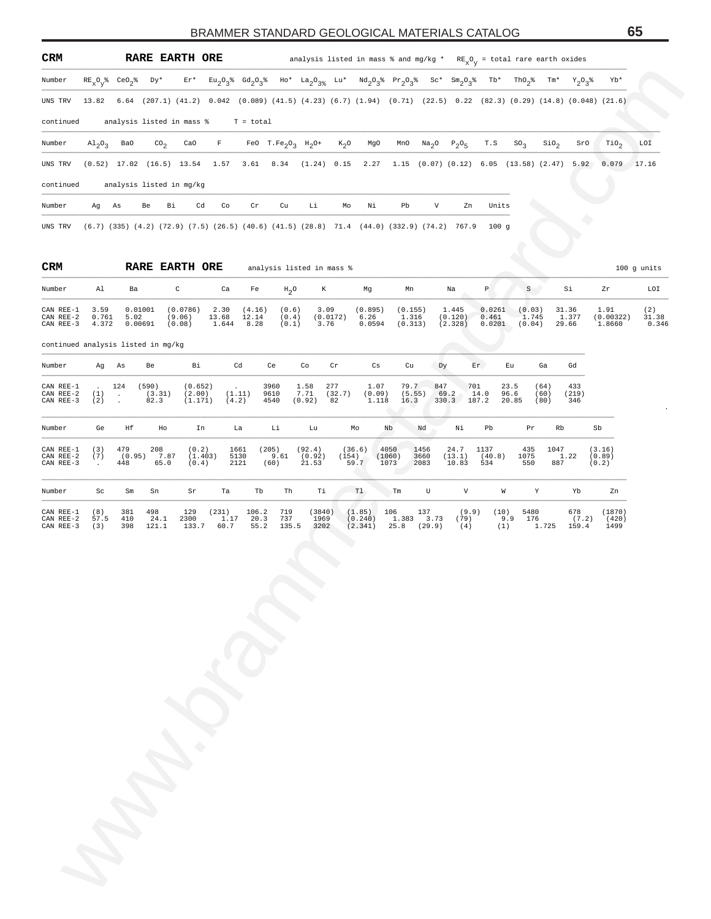| CRM                                 |                        |                             | RARE EARTH ORE                                                                                                                 |                  |                      |                                         |                                                 |                         |                  |                           | analysis listed in mass % and mg/kg * $RE_{X}O_{V}$ = total rare earth oxides                                                     |                             |                   |                             |                                                     |                           |                 |                             |                               |                       |
|-------------------------------------|------------------------|-----------------------------|--------------------------------------------------------------------------------------------------------------------------------|------------------|----------------------|-----------------------------------------|-------------------------------------------------|-------------------------|------------------|---------------------------|-----------------------------------------------------------------------------------------------------------------------------------|-----------------------------|-------------------|-----------------------------|-----------------------------------------------------|---------------------------|-----------------|-----------------------------|-------------------------------|-----------------------|
| Number                              |                        |                             | $\mathtt{RE}_{\mathtt{X}}\mathtt{O}_{\mathtt{Y}}\mathtt{\$}\quad\mathtt{CeO}_{2}\mathtt{\$}\qquad\mathtt{D}\mathtt{Y}^{\star}$ |                  | $Er*$                |                                         |                                                 |                         |                  |                           | $Eu_2O_3^*$ $Gd_2O_3^*$ $Ho^*$ $La_2O_{3^*}$ $Lu^*$ $Nd_2O_3^*$ $Pr_2O_3^*$ $Sc^*$ $Sm_2O_3^*$ $Tb^*$ $ThO_2^*$ $Tm^*$ $Y_2O_3^*$ |                             |                   |                             |                                                     |                           |                 |                             | Yb*                           |                       |
| UNS TRV                             | 13.82                  |                             |                                                                                                                                |                  |                      |                                         |                                                 |                         |                  |                           | 6.64 (207.1) (41.2) 0.042 (0.089) (41.5) (4.23) (6.7) (1.94) (0.71) (22.5) 0.22 (82.3) (0.29) (14.8) (0.048) (21.6)               |                             |                   |                             |                                                     |                           |                 |                             |                               |                       |
| continued                           |                        |                             |                                                                                                                                |                  |                      |                                         | analysis listed in mass $\sqrt[8]{x}$ T = total |                         |                  |                           |                                                                                                                                   |                             |                   |                             |                                                     |                           |                 |                             |                               |                       |
| Number                              | $A1_{2}O_{3}$          | Ba0                         |                                                                                                                                | $\text{co}_2$    | CaO                  | $\mathbf{F}$                            |                                                 | FeO $T.Fe_2O_3H_2O^+$   |                  | $K_2O$                    | MgO                                                                                                                               | MnO                         | Na <sub>2</sub> O | $P_2O_5$                    | T.S                                                 | SO <sub>3</sub>           | $\sin \theta_2$ | SrO                         | $\mathop{\rm TiO}\nolimits_2$ | LOI                   |
| UNS TRV                             |                        |                             |                                                                                                                                |                  |                      | $(0.52)$ 17.02 $(16.5)$ 13.54 1.57 3.61 |                                                 |                         |                  | 8.34 (1.24) 0.15          | 2.27                                                                                                                              |                             |                   |                             | $1.15$ (0.07) (0.12) 6.05 (13.58) (2.47) 5.92 0.079 |                           |                 |                             |                               | 17.16                 |
| continued                           |                        |                             | analysis listed in mg/kg                                                                                                       |                  |                      |                                         |                                                 |                         |                  |                           |                                                                                                                                   |                             |                   |                             |                                                     |                           |                 |                             |                               |                       |
| Number                              |                        | Ag As                       | Be                                                                                                                             | Вi               | Cd                   | Co                                      | Cr                                              | Cu                      | Li               | Mo                        | Νi                                                                                                                                | Pb                          | V                 | Zn                          | Units                                               |                           |                 |                             |                               |                       |
| UNS TRV                             |                        |                             |                                                                                                                                |                  |                      |                                         |                                                 |                         |                  |                           | $(6.7)$ $(335)$ $(4.2)$ $(72.9)$ $(7.5)$ $(26.5)$ $(40.6)$ $(41.5)$ $(28.8)$ $71.4$ $(44.0)$ $(332.9)$ $(74.2)$ $767.9$           |                             |                   |                             | 100g                                                |                           |                 |                             |                               |                       |
|                                     |                        |                             |                                                                                                                                |                  |                      |                                         |                                                 |                         |                  |                           |                                                                                                                                   |                             |                   |                             |                                                     |                           |                 |                             |                               |                       |
| CRM                                 |                        |                             | RARE EARTH ORE                                                                                                                 |                  |                      |                                         |                                                 |                         |                  | analysis listed in mass % |                                                                                                                                   |                             |                   |                             |                                                     |                           |                 |                             |                               | 100 g units           |
| Number                              | Al                     |                             | Ba                                                                                                                             | $\mathtt{C}$     |                      | Ca                                      | Fe                                              | $H_2O$                  |                  | K                         | Mg                                                                                                                                | Mn                          |                   | Na                          | $\, {\bf p}$                                        | S                         |                 | Si                          | Ζr                            | LOI                   |
| CAN REE-1<br>CAN REE-2<br>CAN REE-3 | 3.59<br>0.761<br>4.372 |                             | 0.01001<br>5.02<br>0.00691                                                                                                     | (9.06)<br>(0.08) | (0.0786)             | 2.30<br>13.68<br>1.644                  | (4.16)<br>12.14<br>8.28                         | (0.6)<br>(0.4)<br>(0.1) |                  | 3.09<br>(0.0172)<br>3.76  | (0.895)<br>6.26<br>0.0594                                                                                                         | (0.155)<br>1.316<br>(0.313) |                   | 1.445<br>(0.120)<br>(2.328) | 0.0261<br>0.461<br>0.0201                           | (0.03)<br>1.745<br>(0.04) |                 | 31.36<br>1.377<br>29.66     | 1.91<br>(0.00322)<br>1.8660   | (2)<br>31.38<br>0.346 |
| continued analysis listed in mg/kg  |                        |                             |                                                                                                                                |                  |                      |                                         |                                                 |                         |                  |                           |                                                                                                                                   |                             |                   |                             |                                                     |                           |                 |                             |                               |                       |
| Number                              | Ag                     | As                          | Be                                                                                                                             |                  | Вi                   |                                         | Cd                                              | Ce                      | Co               | Cr                        | $\mathbb{C}\mathbf{s}$                                                                                                            | Cu                          | Dy                |                             | Er                                                  | Εu                        | Ga              | Gd                          |                               |                       |
| CAN REE-1<br>CAN REE-2              | (1)                    | 124<br>$\ddot{\phantom{a}}$ | (590)<br>(3.31)                                                                                                                |                  | (0.652)<br>(2.00)    |                                         | (1.11)                                          | 3960<br>9610            | 1.58<br>7.71     | 277<br>(32.7)             | 1.07<br>(0.09)                                                                                                                    | 79.7<br>(5.55)              | 847               | 701<br>69.2                 | 14.0                                                | 23.5<br>96.6              | (64)<br>(60)    | 433<br>(219)                |                               |                       |
| CAN REE-3                           | (2)                    |                             | 82.3                                                                                                                           |                  | (1.171)              | (4.2)                                   |                                                 | 4540                    | (0.92)           | 82                        | 1.118                                                                                                                             | 16.3                        |                   | 330.3 187.2                 |                                                     | 20.85                     | (80)            | 346                         |                               |                       |
| Number                              | Ge                     | Ηf                          |                                                                                                                                | Ho               | In                   |                                         | La                                              | Li                      | Lu               |                           | Mo                                                                                                                                | Nb                          | Nd                | Νi                          | Pb                                                  | Pr                        | Rb              |                             | Sb                            |                       |
| CAN REE-1<br>CAN REE-2              | (3)<br>(7)             | 479<br>(0.95)               | 208                                                                                                                            | 7.87             | (0.2)<br>(1.403)     |                                         | 1661<br>5130                                    | (205)<br>9.61           | (92.4)<br>(0.92) |                           | (36.6)<br>(154)                                                                                                                   | 4050<br>(1060)              | 1456<br>3660      | 24.7<br>(13.1)              | 1137<br>(40.8)                                      | 435<br>1075               | 1047            | 1.22                        | (3.16)<br>(0.89)              |                       |
| CAN REE-3                           | $\ddot{\phantom{a}}$   | 448                         |                                                                                                                                | 65.0             | (0.4)                |                                         | 2121                                            | (60)                    | 21.53            |                           | 59.7                                                                                                                              | 1073                        | 2083              | 10.83                       | 534                                                 | 550                       | 887             |                             | (0.2)                         |                       |
| Number                              | Sc                     | Sm                          | Sn                                                                                                                             |                  | Sr                   | Ta                                      | Tb                                              | Th                      | Тi               |                           | T1                                                                                                                                | Tm                          | U                 | $\rm{V}$                    | W                                                   | $\,$ Y                    |                 | Yb                          | Zn                            |                       |
| CAN REE-1<br>CAN REE-2<br>CAN REE-3 | (8)<br>57.5<br>(3)     | 381<br>410<br>398           | 498<br>24.1<br>121.1                                                                                                           |                  | 129<br>2300<br>133.7 | (231)<br>1.17<br>60.7                   | 106.2<br>20.3<br>55.2                           | 719<br>737<br>135.5     |                  | (3840)<br>1969<br>3202    | (1.85)<br>(0.240)<br>(2.341)                                                                                                      | 106<br>$25.8$ (29.9)        | 137<br>1.383 3.73 | (9.9)<br>(79)<br>(4)        | (10)<br>9.9                                         | 5480<br>176<br>(1)        |                 | 678<br>(7.2)<br>1.725 159.4 | (1870)<br>(420)<br>1499       |                       |
|                                     |                        |                             |                                                                                                                                |                  |                      |                                         |                                                 |                         |                  |                           |                                                                                                                                   |                             |                   |                             |                                                     |                           |                 |                             |                               |                       |
|                                     |                        |                             |                                                                                                                                |                  |                      |                                         |                                                 |                         |                  |                           |                                                                                                                                   |                             |                   |                             |                                                     |                           |                 |                             |                               |                       |
|                                     |                        |                             |                                                                                                                                |                  |                      |                                         |                                                 |                         |                  |                           |                                                                                                                                   |                             |                   |                             |                                                     |                           |                 |                             |                               |                       |
|                                     |                        |                             |                                                                                                                                |                  |                      |                                         |                                                 |                         |                  |                           |                                                                                                                                   |                             |                   |                             |                                                     |                           |                 |                             |                               |                       |
|                                     |                        |                             |                                                                                                                                |                  |                      |                                         |                                                 |                         |                  |                           |                                                                                                                                   |                             |                   |                             |                                                     |                           |                 |                             |                               |                       |
|                                     |                        |                             |                                                                                                                                |                  |                      |                                         |                                                 |                         |                  |                           |                                                                                                                                   |                             |                   |                             |                                                     |                           |                 |                             |                               |                       |
|                                     |                        |                             |                                                                                                                                |                  |                      |                                         |                                                 |                         |                  |                           |                                                                                                                                   |                             |                   |                             |                                                     |                           |                 |                             |                               |                       |
|                                     |                        |                             |                                                                                                                                |                  |                      |                                         |                                                 |                         |                  |                           |                                                                                                                                   |                             |                   |                             |                                                     |                           |                 |                             |                               |                       |
|                                     |                        |                             |                                                                                                                                |                  |                      |                                         |                                                 |                         |                  |                           |                                                                                                                                   |                             |                   |                             |                                                     |                           |                 |                             |                               |                       |
|                                     |                        |                             |                                                                                                                                |                  |                      |                                         |                                                 |                         |                  |                           |                                                                                                                                   |                             |                   |                             |                                                     |                           |                 |                             |                               |                       |
|                                     |                        |                             |                                                                                                                                |                  |                      |                                         |                                                 |                         |                  |                           |                                                                                                                                   |                             |                   |                             |                                                     |                           |                 |                             |                               |                       |
|                                     |                        |                             |                                                                                                                                |                  |                      |                                         |                                                 |                         |                  |                           |                                                                                                                                   |                             |                   |                             |                                                     |                           |                 |                             |                               |                       |
|                                     |                        |                             |                                                                                                                                |                  |                      |                                         |                                                 |                         |                  |                           |                                                                                                                                   |                             |                   |                             |                                                     |                           |                 |                             |                               |                       |
|                                     |                        |                             |                                                                                                                                |                  |                      |                                         |                                                 |                         |                  |                           |                                                                                                                                   |                             |                   |                             |                                                     |                           |                 |                             |                               |                       |
|                                     |                        |                             |                                                                                                                                |                  |                      |                                         |                                                 |                         |                  |                           |                                                                                                                                   |                             |                   |                             |                                                     |                           |                 |                             |                               |                       |

| Number                              | Ge                 | Ηf                   | Ho                   | In                        | La                    |                       | Li                  | Lu                        | Mo                           | Nb                     | Nd                    | Νi                      | Pb                    | Pr                 | Rb                             | Sb                        |
|-------------------------------------|--------------------|----------------------|----------------------|---------------------------|-----------------------|-----------------------|---------------------|---------------------------|------------------------------|------------------------|-----------------------|-------------------------|-----------------------|--------------------|--------------------------------|---------------------------|
| CAN REE-1<br>CAN REE-2<br>CAN REE-3 | (3)<br>(7)         | 479<br>(0.95)<br>448 | 208<br>7.87<br>65.0  | (0.2)<br>(1.403)<br>(0.4) | 1661<br>5130<br>2121  | (205)                 | 9.61<br>(60)        | (92.4)<br>(0.92)<br>21.53 | (36.6)<br>(154)<br>59.7      | 4050<br>(1060)<br>1073 | 1456<br>3660<br>2083  | 24.7<br>(13.1)<br>10.83 | 1137<br>(40.8)<br>534 | 435<br>1075<br>550 | 1047<br>1.22<br>887            | (3.16)<br>(0.89)<br>(0.2) |
| Number                              | Sc                 | Sm                   | Sn                   | Sr                        | Ta                    | Tb                    | Th                  | Тi                        | T1                           | Tm                     | U                     | V                       | W                     | Υ                  | Yb                             | Zn                        |
| CAN REE-1<br>CAN REE-2<br>CAN REE-3 | (8)<br>57.5<br>(3) | 381<br>410<br>398    | 498<br>24.1<br>121.1 | 129<br>2300<br>133.7      | (231)<br>1.17<br>60.7 | 106.2<br>20.3<br>55.2 | 719<br>737<br>135.5 | (3840)<br>1969<br>3202    | (1.85)<br>(0.240)<br>(2.341) | 106<br>1.383<br>25.8   | 137<br>3.73<br>(29.9) | (9.9)<br>(79)<br>(4)    | (10)<br>9.9<br>(1)    | 5480<br>176        | 678<br>(7.2)<br>1.725<br>159.4 | (1870)<br>(420)<br>1499   |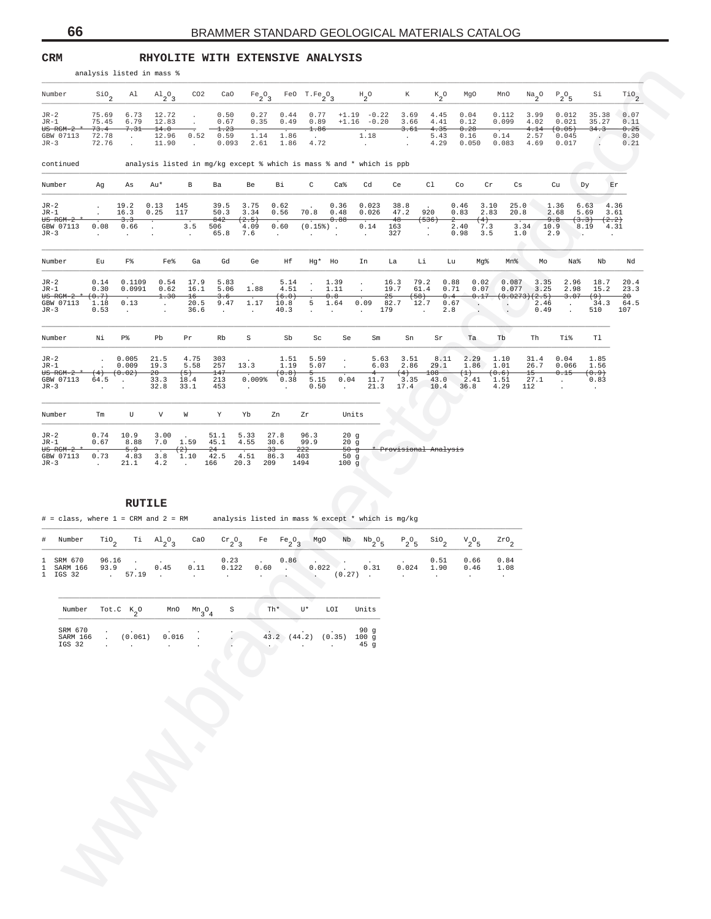### **CRM RHYOLITE WITH EXTENSIVE ANALYSIS**

| analysis listed in mass % |  |  |  |
|---------------------------|--|--|--|
|                           |  |  |  |

| CO <sub>2</sub><br>Number<br>$\mathsf{SiO}_2$<br>Al<br>$A1_{2}O_{3}$<br>CaO<br>$Fe_2O_3$ FeO T.Fe <sub>2</sub> O <sub>3</sub><br>К<br>$K_2^0$<br>MgO<br>$P_2O_5$<br>Si<br>$H_{2}^{\circ}$<br>MnO<br>$\frac{Na}{2}$ <sup>0</sup><br>75.69<br>6.73<br>12.72<br>0.50<br>0.77<br>$+1.19 - 0.22$<br>3.69<br>0.04<br>0.112<br>3.99<br>35.38<br>$JR-2$<br>0.27<br>0.44<br>4.45<br>0.012<br>$\cdot$<br>75.45<br>6.79<br>0.67<br>$+1.16 - 0.20$<br>0.099<br>4.02<br>35.27<br>JR-1<br>12.83<br>0.35<br>0.49<br>0.89<br>3.66<br>4.41<br>0.12<br>0.021<br>$\cdot$<br>73.4<br>7.31<br>14.0<br>1.23<br>1.86<br>3.61<br>4.14<br>(0.05)<br>34.3<br><del>US RGM-2</del><br>4.35<br>0.28<br><u>.</u><br>1.18<br>GBW 07113<br>72.78<br>12.96<br>0.52<br>0.59<br>1.14<br>1.86<br>5.43<br>0.14<br>2.57<br>0.16<br>0.045<br>$\cdot$<br>$\cdot$<br>$\ddot{\phantom{a}}$<br>72.76<br>JR-3<br>11.90<br>0.093<br>2.61<br>1.86<br>4.72<br>4.29<br>0.083<br>4.69<br>0.017<br>$\Box$<br>$\sim$<br>$\sim$<br>0.050<br>$\cdot$<br>analysis listed in mg/kg except % which is mass % and * which is ppb<br>continued<br>C<br>Ca <sup>8</sup><br>Cd<br>C1<br>Number<br>Ag<br>Au*<br>В<br>Ba<br>Be<br>Вi<br>Ce<br>Co<br>Cr<br>Cs<br>Cu<br>Dу<br>Er<br>As<br>25.0<br>39.5<br>3.75<br>0.62<br>0.023<br>38.8<br>0.46<br>4.36<br>$JR-2$<br>19.2<br>0.13<br>145<br>0.36<br>3.10<br>1.36<br>6.63<br>16.3<br>117<br>50.3<br>0.56<br>70.8<br>0.026<br>47.2<br>920<br>0.83<br>JR-1<br>0.25<br>3.34<br>0.48<br>2.83<br>20.8<br>2.68<br>5.69<br>3.61<br><del>US RGM-2</del><br>3.3<br>842<br>(2.5)<br>0.88<br>$48 -$<br><del>(536)</del><br>9.8<br>(3.3)<br>$^{2-}$<br>$^{(4)}$<br>(2.2)<br>3.5<br>0.60<br>$(0.15*)$ .<br>2.40<br>7.3<br>3.34<br>GBW 07113<br>0.08<br>0.66<br>506<br>4.09<br>0.14<br>163<br>10.9<br>8.19<br>4.31<br>$\cdot$<br>7.6<br>327<br>3.5<br>JR-3<br>65.8<br>0.98<br>1.0<br>2.9<br>$\cdot$<br>$\sim$<br>$\cdot$<br>$\sim$<br>$\cdot$<br>$\cdot$<br>$\cdot$<br>$\cdot$<br>$\cdot$<br>F%<br>Ge<br>Number<br>Εu<br>Fe%<br>Ga<br>Gd<br>Ηf<br>Hg* Ho<br>Li<br>Mg%<br>Na%<br>Nb<br>Nd<br>In<br>La<br>Lu<br>Mn%<br>Mo<br>0.1109<br>0.54<br>5.83<br>79.2<br>0.88<br>0.02<br>0.087<br>3.35<br>2.96<br>JR-2<br>0.14<br>17.9<br>5.14<br>1.39<br>16.3<br>18.7<br>$\blacksquare$<br>$\cdot$<br>5.06<br>19.7<br>2.98<br>JR-1<br>0.30<br>0.0991<br>0.62<br>16.1<br>1.88<br>4.51<br>1.11<br>61.4<br>0.71<br>0.07<br>0.077<br>3.25<br>15.2<br>$\ddot{\phantom{a}}$<br>(0.7)<br>1.30<br>(6.0)<br>0.8<br>$25 -$<br>$(+58)$<br>(0.0273)(2.5)<br>3.07<br>(9)<br>-20<br><del>US RGM-2</del><br>$^{16}$<br>3.6<br>0.4<br>0.17<br>0.09<br>82.7<br>34.3<br>GBW 07113<br>0.13<br>20.5<br>9.47<br>1.17<br>5<br>1.64<br>12.7<br>1.18<br>10.8<br>0.67<br>2.46<br>$\sim$<br>$\sim$<br>$\blacksquare$<br>$\cdot$<br>0.49<br>JR-3<br>0.53<br>36.6<br>40.3<br>179<br>2.8<br>510<br>107<br>$\cdot$<br>$\sim$<br>$\Box$<br>$\bullet$<br>$\sim$<br>$\ddot{\phantom{a}}$<br>$\cdot$<br>$\ddot{\phantom{a}}$<br>$\cdot$<br>$\mathtt{T}1$<br>Νi<br>P%<br>$\rm S$<br>Sb<br>Th<br>Ti%<br>Number<br>Pb<br>Pr<br>Rb<br>Sc<br>Se<br>Sm<br>Sn<br>Sr<br>Ta<br>Tb<br>0.005<br>21.5<br>4.75<br>303<br>5.59<br>5.63<br>2.29<br>0.04<br>1.85<br>$JR-2$<br>1.51<br>3.51<br>8.11<br>1.10<br>31.4<br>$\cdot$<br>0.009<br>19.3<br>13.3<br>6.03<br>2.86<br>29.1<br>JR-1<br>5.58<br>257<br>1.19<br>5.07<br>1.86<br>1.01<br>26.7<br>0.066<br>1.56<br>$\cdot$<br>$15 -$<br><del>US RGM-2</del><br>(0.02)<br>$20 -$<br>147<br>(0.8)<br>$108 -$<br>(0.6)<br>0.15<br>(0.9)<br>$^{(4)}$<br>$\left(5\right)$<br>4<br>$^{(4)}$<br>$^{(1)}$<br>0.009%<br>0.04<br>27.1<br>GBW 07113<br>64.5<br>33.3<br>213<br>0.38<br>5.15<br>11.7<br>3.35<br>43.0<br>2.41<br>1.51<br>18.4<br>$\sim$<br>0.83<br>$\blacksquare$<br>17.4<br>36.8<br>JR-3<br>32.8<br>33.1<br>453<br>0.50<br>21.3<br>10.4<br>4.29<br>112<br>$\cdot$<br>$\sim$<br>$\sim$<br>$\cdot$<br>$\cdot$<br>$\sim$<br>V<br>W<br>Y<br>Number<br>Tm<br>U<br>Yb<br>Zn<br>Zr<br>Units<br>0.74<br>10.9<br>3.00<br>51.1<br>5.33<br>27.8<br>96.3<br>20g<br>$JR-2$<br>7.0<br>1.59<br>JR-1<br>0.67<br>8.88<br>45.1<br>4.55<br>30.6<br>99.9<br>20g<br>5.9<br>(2)<br>$\frac{24}{5}$<br>$33 -$<br>222<br>$-50 - g$<br>Provisional Analysis<br><del>US RGM-2</del><br>0.73<br>1.10<br>42.5<br>GBW 07113<br>4.83<br>3.8<br>4.51<br>86.3<br>403<br>50g<br>21.1<br>4.2<br>209<br>JR-3<br>166<br>20.3<br>1494<br>100g<br>$\sim$<br>$\sim$ $\sim$<br><b>RUTILE</b><br>$\#$ = class, where 1 = CRM and 2 = RM<br>analysis listed in mass % except * which is mg/kg<br>CaO<br>Number<br>$\mathop{\rm TiO}\nolimits_2$<br>$\overline{1}$ $\overline{1}$ $\overline{1}$ $\overline{2}$ $\overline{2}$<br>$\mathrm{cr}_{2}$ <sup>O</sup> <sub>3</sub><br>Fe $Fe_2O_3$<br>MgO<br>$Nb$ $Nb$ $_2O$ $_5$<br>$P_2O_5$<br>$\frac{\text{SiO}}{2}$<br>${\rm v}_{2}^{\rm ~o}{}_{5}$<br>$z_{\rm \scriptscriptstyle TO}$ $_{\rm 2}$<br>#<br>96.16<br>0.86<br>SRM 670<br>0.23<br>0.51<br>0.66<br>0.84<br>1<br>0.45<br>0.60<br>0.022<br>0.31<br>0.024<br>93.9<br>0.11<br>0.122<br>1.90<br>SARM 166<br>0.46<br>1.08<br>1.<br><b>Contract</b><br><b>Contract</b><br>. 57.19<br>1 IGS 32<br>$(0.27)$ .<br>$\sim$ $\sim$<br>$\sim$<br>$\sim$<br>$\sim$<br>$\cdot$<br>$\cdot$<br>$\cdot$<br>$\operatorname{Th}{}^{\star}$<br>U*<br>$_{\texttt{Tot.C}}$ $\kappa_{2}$ $\circ$<br>S<br>LOI<br>Units<br>Number<br>MnO<br>$Mn_{3}O_{4}$<br>SRM 670<br>90 g<br>SARM 166<br>43.2 (44.2)<br>(0.061)<br>0.016<br>(0.35)<br>100g<br>IGS 32<br>45 <sub>g</sub> |  | analysis listed in mass % |  |  |  |  |  |  |  |                                      |
|---------------------------------------------------------------------------------------------------------------------------------------------------------------------------------------------------------------------------------------------------------------------------------------------------------------------------------------------------------------------------------------------------------------------------------------------------------------------------------------------------------------------------------------------------------------------------------------------------------------------------------------------------------------------------------------------------------------------------------------------------------------------------------------------------------------------------------------------------------------------------------------------------------------------------------------------------------------------------------------------------------------------------------------------------------------------------------------------------------------------------------------------------------------------------------------------------------------------------------------------------------------------------------------------------------------------------------------------------------------------------------------------------------------------------------------------------------------------------------------------------------------------------------------------------------------------------------------------------------------------------------------------------------------------------------------------------------------------------------------------------------------------------------------------------------------------------------------------------------------------------------------------------------------------------------------------------------------------------------------------------------------------------------------------------------------------------------------------------------------------------------------------------------------------------------------------------------------------------------------------------------------------------------------------------------------------------------------------------------------------------------------------------------------------------------------------------------------------------------------------------------------------------------------------------------------------------------------------------------------------------------------------------------------------------------------------------------------------------------------------------------------------------------------------------------------------------------------------------------------------------------------------------------------------------------------------------------------------------------------------------------------------------------------------------------------------------------------------------------------------------------------------------------------------------------------------------------------------------------------------------------------------------------------------------------------------------------------------------------------------------------------------------------------------------------------------------------------------------------------------------------------------------------------------------------------------------------------------------------------------------------------------------------------------------------------------------------------------------------------------------------------------------------------------------------------------------------------------------------------------------------------------------------------------------------------------------------------------------------------------------------------------------------------------------------------------------------------------------------------------------------------------------------------------------------------------------------------------------------------------------------------------------------------------------------------------------------------------------------------------------------------------------------------------------------------------------------------------------------------------------------------------------------------------------------------------------------------------------------------------------------------------------------------------------------------------------------------------------------------------------------------------------------------------------------------------------------------------------------------------------------------------------------------------------------------------------------------------------------------------------------------------------------------------------------------------------------------------------------------------------------------------------------------------------------------------------------------------------------------------------------------------------------------------------------------------------------------------------------------------------------------------------------------------------------------------------------------------|--|---------------------------|--|--|--|--|--|--|--|--------------------------------------|
|                                                                                                                                                                                                                                                                                                                                                                                                                                                                                                                                                                                                                                                                                                                                                                                                                                                                                                                                                                                                                                                                                                                                                                                                                                                                                                                                                                                                                                                                                                                                                                                                                                                                                                                                                                                                                                                                                                                                                                                                                                                                                                                                                                                                                                                                                                                                                                                                                                                                                                                                                                                                                                                                                                                                                                                                                                                                                                                                                                                                                                                                                                                                                                                                                                                                                                                                                                                                                                                                                                                                                                                                                                                                                                                                                                                                                                                                                                                                                                                                                                                                                                                                                                                                                                                                                                                                                                                                                                                                                                                                                                                                                                                                                                                                                                                                                                                                                                                                                                                                                                                                                                                                                                                                                                                                                                                                                                                                                                                                     |  |                           |  |  |  |  |  |  |  | $\overline{110}$ <sub>2</sub>        |
|                                                                                                                                                                                                                                                                                                                                                                                                                                                                                                                                                                                                                                                                                                                                                                                                                                                                                                                                                                                                                                                                                                                                                                                                                                                                                                                                                                                                                                                                                                                                                                                                                                                                                                                                                                                                                                                                                                                                                                                                                                                                                                                                                                                                                                                                                                                                                                                                                                                                                                                                                                                                                                                                                                                                                                                                                                                                                                                                                                                                                                                                                                                                                                                                                                                                                                                                                                                                                                                                                                                                                                                                                                                                                                                                                                                                                                                                                                                                                                                                                                                                                                                                                                                                                                                                                                                                                                                                                                                                                                                                                                                                                                                                                                                                                                                                                                                                                                                                                                                                                                                                                                                                                                                                                                                                                                                                                                                                                                                                     |  |                           |  |  |  |  |  |  |  | 0.07<br>0.11<br>0.25<br>0.30<br>0.21 |
|                                                                                                                                                                                                                                                                                                                                                                                                                                                                                                                                                                                                                                                                                                                                                                                                                                                                                                                                                                                                                                                                                                                                                                                                                                                                                                                                                                                                                                                                                                                                                                                                                                                                                                                                                                                                                                                                                                                                                                                                                                                                                                                                                                                                                                                                                                                                                                                                                                                                                                                                                                                                                                                                                                                                                                                                                                                                                                                                                                                                                                                                                                                                                                                                                                                                                                                                                                                                                                                                                                                                                                                                                                                                                                                                                                                                                                                                                                                                                                                                                                                                                                                                                                                                                                                                                                                                                                                                                                                                                                                                                                                                                                                                                                                                                                                                                                                                                                                                                                                                                                                                                                                                                                                                                                                                                                                                                                                                                                                                     |  |                           |  |  |  |  |  |  |  |                                      |
|                                                                                                                                                                                                                                                                                                                                                                                                                                                                                                                                                                                                                                                                                                                                                                                                                                                                                                                                                                                                                                                                                                                                                                                                                                                                                                                                                                                                                                                                                                                                                                                                                                                                                                                                                                                                                                                                                                                                                                                                                                                                                                                                                                                                                                                                                                                                                                                                                                                                                                                                                                                                                                                                                                                                                                                                                                                                                                                                                                                                                                                                                                                                                                                                                                                                                                                                                                                                                                                                                                                                                                                                                                                                                                                                                                                                                                                                                                                                                                                                                                                                                                                                                                                                                                                                                                                                                                                                                                                                                                                                                                                                                                                                                                                                                                                                                                                                                                                                                                                                                                                                                                                                                                                                                                                                                                                                                                                                                                                                     |  |                           |  |  |  |  |  |  |  |                                      |
|                                                                                                                                                                                                                                                                                                                                                                                                                                                                                                                                                                                                                                                                                                                                                                                                                                                                                                                                                                                                                                                                                                                                                                                                                                                                                                                                                                                                                                                                                                                                                                                                                                                                                                                                                                                                                                                                                                                                                                                                                                                                                                                                                                                                                                                                                                                                                                                                                                                                                                                                                                                                                                                                                                                                                                                                                                                                                                                                                                                                                                                                                                                                                                                                                                                                                                                                                                                                                                                                                                                                                                                                                                                                                                                                                                                                                                                                                                                                                                                                                                                                                                                                                                                                                                                                                                                                                                                                                                                                                                                                                                                                                                                                                                                                                                                                                                                                                                                                                                                                                                                                                                                                                                                                                                                                                                                                                                                                                                                                     |  |                           |  |  |  |  |  |  |  |                                      |
|                                                                                                                                                                                                                                                                                                                                                                                                                                                                                                                                                                                                                                                                                                                                                                                                                                                                                                                                                                                                                                                                                                                                                                                                                                                                                                                                                                                                                                                                                                                                                                                                                                                                                                                                                                                                                                                                                                                                                                                                                                                                                                                                                                                                                                                                                                                                                                                                                                                                                                                                                                                                                                                                                                                                                                                                                                                                                                                                                                                                                                                                                                                                                                                                                                                                                                                                                                                                                                                                                                                                                                                                                                                                                                                                                                                                                                                                                                                                                                                                                                                                                                                                                                                                                                                                                                                                                                                                                                                                                                                                                                                                                                                                                                                                                                                                                                                                                                                                                                                                                                                                                                                                                                                                                                                                                                                                                                                                                                                                     |  |                           |  |  |  |  |  |  |  |                                      |
|                                                                                                                                                                                                                                                                                                                                                                                                                                                                                                                                                                                                                                                                                                                                                                                                                                                                                                                                                                                                                                                                                                                                                                                                                                                                                                                                                                                                                                                                                                                                                                                                                                                                                                                                                                                                                                                                                                                                                                                                                                                                                                                                                                                                                                                                                                                                                                                                                                                                                                                                                                                                                                                                                                                                                                                                                                                                                                                                                                                                                                                                                                                                                                                                                                                                                                                                                                                                                                                                                                                                                                                                                                                                                                                                                                                                                                                                                                                                                                                                                                                                                                                                                                                                                                                                                                                                                                                                                                                                                                                                                                                                                                                                                                                                                                                                                                                                                                                                                                                                                                                                                                                                                                                                                                                                                                                                                                                                                                                                     |  |                           |  |  |  |  |  |  |  | 20.4<br>23.3<br>64.5                 |
|                                                                                                                                                                                                                                                                                                                                                                                                                                                                                                                                                                                                                                                                                                                                                                                                                                                                                                                                                                                                                                                                                                                                                                                                                                                                                                                                                                                                                                                                                                                                                                                                                                                                                                                                                                                                                                                                                                                                                                                                                                                                                                                                                                                                                                                                                                                                                                                                                                                                                                                                                                                                                                                                                                                                                                                                                                                                                                                                                                                                                                                                                                                                                                                                                                                                                                                                                                                                                                                                                                                                                                                                                                                                                                                                                                                                                                                                                                                                                                                                                                                                                                                                                                                                                                                                                                                                                                                                                                                                                                                                                                                                                                                                                                                                                                                                                                                                                                                                                                                                                                                                                                                                                                                                                                                                                                                                                                                                                                                                     |  |                           |  |  |  |  |  |  |  |                                      |
|                                                                                                                                                                                                                                                                                                                                                                                                                                                                                                                                                                                                                                                                                                                                                                                                                                                                                                                                                                                                                                                                                                                                                                                                                                                                                                                                                                                                                                                                                                                                                                                                                                                                                                                                                                                                                                                                                                                                                                                                                                                                                                                                                                                                                                                                                                                                                                                                                                                                                                                                                                                                                                                                                                                                                                                                                                                                                                                                                                                                                                                                                                                                                                                                                                                                                                                                                                                                                                                                                                                                                                                                                                                                                                                                                                                                                                                                                                                                                                                                                                                                                                                                                                                                                                                                                                                                                                                                                                                                                                                                                                                                                                                                                                                                                                                                                                                                                                                                                                                                                                                                                                                                                                                                                                                                                                                                                                                                                                                                     |  |                           |  |  |  |  |  |  |  |                                      |
|                                                                                                                                                                                                                                                                                                                                                                                                                                                                                                                                                                                                                                                                                                                                                                                                                                                                                                                                                                                                                                                                                                                                                                                                                                                                                                                                                                                                                                                                                                                                                                                                                                                                                                                                                                                                                                                                                                                                                                                                                                                                                                                                                                                                                                                                                                                                                                                                                                                                                                                                                                                                                                                                                                                                                                                                                                                                                                                                                                                                                                                                                                                                                                                                                                                                                                                                                                                                                                                                                                                                                                                                                                                                                                                                                                                                                                                                                                                                                                                                                                                                                                                                                                                                                                                                                                                                                                                                                                                                                                                                                                                                                                                                                                                                                                                                                                                                                                                                                                                                                                                                                                                                                                                                                                                                                                                                                                                                                                                                     |  |                           |  |  |  |  |  |  |  |                                      |
|                                                                                                                                                                                                                                                                                                                                                                                                                                                                                                                                                                                                                                                                                                                                                                                                                                                                                                                                                                                                                                                                                                                                                                                                                                                                                                                                                                                                                                                                                                                                                                                                                                                                                                                                                                                                                                                                                                                                                                                                                                                                                                                                                                                                                                                                                                                                                                                                                                                                                                                                                                                                                                                                                                                                                                                                                                                                                                                                                                                                                                                                                                                                                                                                                                                                                                                                                                                                                                                                                                                                                                                                                                                                                                                                                                                                                                                                                                                                                                                                                                                                                                                                                                                                                                                                                                                                                                                                                                                                                                                                                                                                                                                                                                                                                                                                                                                                                                                                                                                                                                                                                                                                                                                                                                                                                                                                                                                                                                                                     |  |                           |  |  |  |  |  |  |  |                                      |
|                                                                                                                                                                                                                                                                                                                                                                                                                                                                                                                                                                                                                                                                                                                                                                                                                                                                                                                                                                                                                                                                                                                                                                                                                                                                                                                                                                                                                                                                                                                                                                                                                                                                                                                                                                                                                                                                                                                                                                                                                                                                                                                                                                                                                                                                                                                                                                                                                                                                                                                                                                                                                                                                                                                                                                                                                                                                                                                                                                                                                                                                                                                                                                                                                                                                                                                                                                                                                                                                                                                                                                                                                                                                                                                                                                                                                                                                                                                                                                                                                                                                                                                                                                                                                                                                                                                                                                                                                                                                                                                                                                                                                                                                                                                                                                                                                                                                                                                                                                                                                                                                                                                                                                                                                                                                                                                                                                                                                                                                     |  |                           |  |  |  |  |  |  |  |                                      |
|                                                                                                                                                                                                                                                                                                                                                                                                                                                                                                                                                                                                                                                                                                                                                                                                                                                                                                                                                                                                                                                                                                                                                                                                                                                                                                                                                                                                                                                                                                                                                                                                                                                                                                                                                                                                                                                                                                                                                                                                                                                                                                                                                                                                                                                                                                                                                                                                                                                                                                                                                                                                                                                                                                                                                                                                                                                                                                                                                                                                                                                                                                                                                                                                                                                                                                                                                                                                                                                                                                                                                                                                                                                                                                                                                                                                                                                                                                                                                                                                                                                                                                                                                                                                                                                                                                                                                                                                                                                                                                                                                                                                                                                                                                                                                                                                                                                                                                                                                                                                                                                                                                                                                                                                                                                                                                                                                                                                                                                                     |  |                           |  |  |  |  |  |  |  |                                      |
|                                                                                                                                                                                                                                                                                                                                                                                                                                                                                                                                                                                                                                                                                                                                                                                                                                                                                                                                                                                                                                                                                                                                                                                                                                                                                                                                                                                                                                                                                                                                                                                                                                                                                                                                                                                                                                                                                                                                                                                                                                                                                                                                                                                                                                                                                                                                                                                                                                                                                                                                                                                                                                                                                                                                                                                                                                                                                                                                                                                                                                                                                                                                                                                                                                                                                                                                                                                                                                                                                                                                                                                                                                                                                                                                                                                                                                                                                                                                                                                                                                                                                                                                                                                                                                                                                                                                                                                                                                                                                                                                                                                                                                                                                                                                                                                                                                                                                                                                                                                                                                                                                                                                                                                                                                                                                                                                                                                                                                                                     |  |                           |  |  |  |  |  |  |  |                                      |
|                                                                                                                                                                                                                                                                                                                                                                                                                                                                                                                                                                                                                                                                                                                                                                                                                                                                                                                                                                                                                                                                                                                                                                                                                                                                                                                                                                                                                                                                                                                                                                                                                                                                                                                                                                                                                                                                                                                                                                                                                                                                                                                                                                                                                                                                                                                                                                                                                                                                                                                                                                                                                                                                                                                                                                                                                                                                                                                                                                                                                                                                                                                                                                                                                                                                                                                                                                                                                                                                                                                                                                                                                                                                                                                                                                                                                                                                                                                                                                                                                                                                                                                                                                                                                                                                                                                                                                                                                                                                                                                                                                                                                                                                                                                                                                                                                                                                                                                                                                                                                                                                                                                                                                                                                                                                                                                                                                                                                                                                     |  |                           |  |  |  |  |  |  |  |                                      |
|                                                                                                                                                                                                                                                                                                                                                                                                                                                                                                                                                                                                                                                                                                                                                                                                                                                                                                                                                                                                                                                                                                                                                                                                                                                                                                                                                                                                                                                                                                                                                                                                                                                                                                                                                                                                                                                                                                                                                                                                                                                                                                                                                                                                                                                                                                                                                                                                                                                                                                                                                                                                                                                                                                                                                                                                                                                                                                                                                                                                                                                                                                                                                                                                                                                                                                                                                                                                                                                                                                                                                                                                                                                                                                                                                                                                                                                                                                                                                                                                                                                                                                                                                                                                                                                                                                                                                                                                                                                                                                                                                                                                                                                                                                                                                                                                                                                                                                                                                                                                                                                                                                                                                                                                                                                                                                                                                                                                                                                                     |  |                           |  |  |  |  |  |  |  |                                      |
|                                                                                                                                                                                                                                                                                                                                                                                                                                                                                                                                                                                                                                                                                                                                                                                                                                                                                                                                                                                                                                                                                                                                                                                                                                                                                                                                                                                                                                                                                                                                                                                                                                                                                                                                                                                                                                                                                                                                                                                                                                                                                                                                                                                                                                                                                                                                                                                                                                                                                                                                                                                                                                                                                                                                                                                                                                                                                                                                                                                                                                                                                                                                                                                                                                                                                                                                                                                                                                                                                                                                                                                                                                                                                                                                                                                                                                                                                                                                                                                                                                                                                                                                                                                                                                                                                                                                                                                                                                                                                                                                                                                                                                                                                                                                                                                                                                                                                                                                                                                                                                                                                                                                                                                                                                                                                                                                                                                                                                                                     |  |                           |  |  |  |  |  |  |  |                                      |
|                                                                                                                                                                                                                                                                                                                                                                                                                                                                                                                                                                                                                                                                                                                                                                                                                                                                                                                                                                                                                                                                                                                                                                                                                                                                                                                                                                                                                                                                                                                                                                                                                                                                                                                                                                                                                                                                                                                                                                                                                                                                                                                                                                                                                                                                                                                                                                                                                                                                                                                                                                                                                                                                                                                                                                                                                                                                                                                                                                                                                                                                                                                                                                                                                                                                                                                                                                                                                                                                                                                                                                                                                                                                                                                                                                                                                                                                                                                                                                                                                                                                                                                                                                                                                                                                                                                                                                                                                                                                                                                                                                                                                                                                                                                                                                                                                                                                                                                                                                                                                                                                                                                                                                                                                                                                                                                                                                                                                                                                     |  |                           |  |  |  |  |  |  |  |                                      |

#### **RUTILE**

| # Number TiO <sub>2</sub> Ti Al <sub>2</sub> O <sub>3</sub> CaO Cr <sub>2</sub> O <sub>3</sub> Fe Fe <sub>2</sub> O <sub>3</sub> MgO Nb Nb <sub>2</sub> O <sub>5</sub> P <sub>2</sub> O <sub>5</sub> SiO <sub>2</sub> V <sub>2</sub> O <sub>5</sub> ZrO <sub>2</sub> |  |  |  |  |  |  |  |
|----------------------------------------------------------------------------------------------------------------------------------------------------------------------------------------------------------------------------------------------------------------------|--|--|--|--|--|--|--|
| $\begin{array}{cccccccccccccccc} 1 & SRM & 670 & 96.16 & . & . & . & 0.23 & . & 0.86 & . & . & . & . & 0.51 & 0.66 & 0.84 \\ 1 & SRM & 166 & 93.9 & . & 0.45 & 0.11 & 0.122 & 0.60 & . & 0.022 & . & 0.31 & 0.024 & 1.90 & 0.46 & 1.08 \end{array}$                  |  |  |  |  |  |  |  |

| TT* |                        |           |  |  |  |
|-----|------------------------|-----------|--|--|--|
|     | Tot.C K <sub>-</sub> O | MnO<br>Mn |  |  |  |

| SRM 670  |         |       |  |      |                         | 90 a |
|----------|---------|-------|--|------|-------------------------|------|
| SARM 166 | (0.061) | 0.016 |  | 43.2 | $(44.2)$ $(0.35)$ 100 q |      |
| IGS 32   |         |       |  |      |                         | 45 g |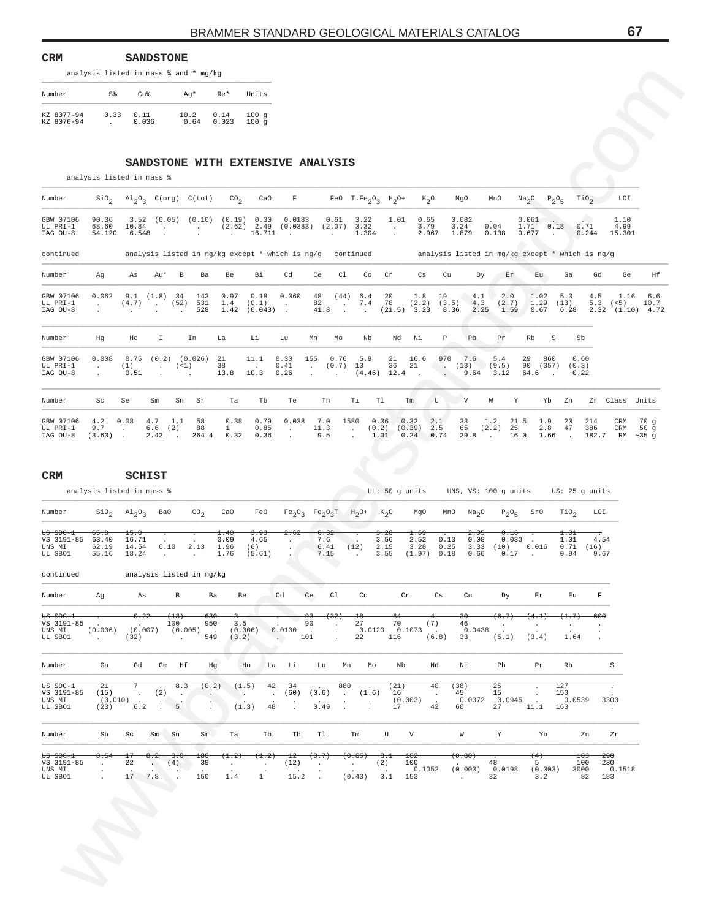| CRM                      |                | <b>SANDSTONE</b> |                                       |               |                         |
|--------------------------|----------------|------------------|---------------------------------------|---------------|-------------------------|
|                          |                |                  | analysis listed in mass % and * mg/kg |               |                         |
| Number                   | S <sup>2</sup> | $C_{11}$         | Aq*                                   | $Re*$         | Units                   |
| KZ 8077-94<br>KZ 8076-94 | 0.33           | 0.11<br>0.036    | 10.2<br>0.64                          | 0.14<br>0.023 | 100q<br>100<br>$\alpha$ |

#### **SANDSTONE WITH EXTENSIVE ANALYSIS**

| Number                            |                          |                        |                                                   |                                  |                                          |                              |                                        |                              |                    |                                              | $\text{SiO}_2$ $\text{Al}_2\text{O}_3$ $\text{C(org)}$ $\text{C(tot)}$ $\text{CO}_2$ $\text{CaO}$ F FeO T.Fe <sub>2</sub> O <sub>3</sub> H <sub>2</sub> O+ K <sub>2</sub> O |                          |                                     |                               | MgO                    | MnO                          |                         |                    | $\text{Na}_2\text{O}$ $\text{P}_2\text{O}_5$ $\text{TiO}_2$                                               | LOI                                     |                                   |
|-----------------------------------|--------------------------|------------------------|---------------------------------------------------|----------------------------------|------------------------------------------|------------------------------|----------------------------------------|------------------------------|--------------------|----------------------------------------------|-----------------------------------------------------------------------------------------------------------------------------------------------------------------------------|--------------------------|-------------------------------------|-------------------------------|------------------------|------------------------------|-------------------------|--------------------|-----------------------------------------------------------------------------------------------------------|-----------------------------------------|-----------------------------------|
| GBW 07106<br>UL PRI-1<br>IAG OU-8 | 90.36<br>68.60<br>54.120 | 3.52<br>10.84<br>6.548 | $\ddot{\phantom{a}}$<br>$\sim$                    | (0.05)                           | (0.10)<br>$\sim$<br><b>Service</b> State | $\sim$                       | (0.19) 0.30<br>$(2.62)$ 2.49<br>16.711 | 0.0183<br>(0.0383)<br>$\sim$ |                    | 0.61<br>(2.07)<br><b>Contract Contract</b>   | 3.22<br>3.32<br>1.304                                                                                                                                                       | 1.01<br>$\sim$<br>$\sim$ | 0.65<br>3.79<br>2.967               |                               | 0.082<br>3.24<br>1.879 | $\sim$<br>0.04<br>0.138      | 0.061<br>1.71<br>0.677  | 0.18<br>$\sim$     | 0.71<br>0.244                                                                                             | 1.10<br>4.99<br>15.301                  |                                   |
| continued                         |                          |                        |                                                   |                                  |                                          |                              |                                        |                              |                    |                                              |                                                                                                                                                                             |                          |                                     |                               |                        |                              |                         |                    | analysis listed in mq/kq except * which is nq/q continued analysis listed in mq/kq except * which is nq/q |                                         |                                   |
| Number                            | Aq                       | As                     | Au*                                               | B                                | Ba                                       | Be                           | Вi                                     | Cd                           | Ce                 | Cl                                           | Co                                                                                                                                                                          | Cr                       | Cs                                  | Cu                            | Dy                     | Er                           | Eu                      |                    | Gd<br>Ga                                                                                                  | Ge                                      | Ηf                                |
| GBW 07106<br>UL PRI-1<br>IAG OU-8 | 0.062<br>$\sim$          | $(4.7)$ (52)           | $9.1$ $(1.8)$ 34<br>the company of the company of |                                  | 143<br>531<br>528                        | 0.97<br>1.4<br>1.42          | 0.18<br>(0.1)<br>$(0.043)$ .           | 0.060<br>$\sim$ 100 $\sim$   | 48<br>82<br>41.8   | (44)<br>$\sim$<br><b>Contract Contract</b>   | 6.4<br>7.4<br>$\sim$                                                                                                                                                        | 20<br>78                 | 1.8<br>$(21.5)$ 3.23                | 19<br>$(2.2)$ $(3.5)$<br>8.36 | 4.1<br>4.3<br>2.25     | 2.0<br>(2.7)<br>1.59         | 1.02<br>1.29<br>0.67    | (13)               | 5.3<br>4.5<br>5.3<br>6.28                                                                                 | 1.16<br>(< 5)<br>$2.32$ $(1.10)$ $4.72$ | 6.6<br>10.7                       |
| Number                            | Hq                       | Ho                     | I.                                                |                                  | In                                       | La                           | Li                                     | Lu                           | Mn                 | Мo                                           | Nb                                                                                                                                                                          | Nd                       | Ni                                  | Р                             | Pb                     | Pr                           | Rb                      | S                  | Sb                                                                                                        |                                         |                                   |
| GBW 07106<br>UL PRI-1<br>IAG OU-8 | 0.008<br>$\sim$          | 0.75<br>(1)<br>0.51    | $\sim$ 100 $\pm$<br>$\sim 10^{-1}$                | (<1)<br><b>Contract Contract</b> | $(0.2)$ $(0.026)$                        | 21<br>38<br>13.8             | 11.1<br><b>Contract</b><br>10.3        | 0.30<br>0.41<br>0.26         | 155<br>$\sim$      | 0.76<br>$(0.7)$ 13<br><b>Service Control</b> | 5.9<br>$(4.46)$ 12.4.                                                                                                                                                       | 21<br>36                 | 16.6<br>21                          | 970<br>$\sim$                 | 7.6<br>(13)<br>9.64    | 5.4<br>(9.5)<br>3.12         | 29<br>90 (357)<br>64.6. | 860                | 0.60<br>(0.3)<br>0.22                                                                                     |                                         |                                   |
| Number                            | Sc                       | Se                     | Sm                                                | Sn                               | - Sr                                     | Ta                           | Tb                                     | Te                           |                    | Th                                           | Ti<br>Tl                                                                                                                                                                    |                          | Tm                                  | U                             | V                      | W                            | Y                       | Yb                 | Zn                                                                                                        | Zr Class Units                          |                                   |
| GBW 07106<br>UL PRI-1<br>IAG OU-8 | 4.2<br>9.7<br>$(3.63)$ . | 0.08<br>$\sim$         | 4.7<br>6.6<br>2.42                                | 1.1<br>(2)<br>$\sim$             | 58<br>88<br>264.4                        | 0.38<br>$\mathbf{1}$<br>0.32 | 0.79<br>0.85<br>0.36                   | 0.038<br>$\sim$              | 7.0<br>11.3<br>9.5 |                                              | 1580<br>(0.2)<br>$\cdot$<br>$\mathbf{r}$                                                                                                                                    | 0.36<br>1.01             | 0.32<br>$(0.39)$ 2.5<br>$0.24$ 0.74 | 2.1                           | 33<br>65<br>29.8       | 1.2<br>(2.2)<br>25<br>$\sim$ | 21.5<br>16.0            | 1.9<br>2.8<br>1.66 | 214<br>20<br>47<br>386<br>182.7                                                                           | CRM<br>CRM<br>RM                        | 70 a<br>50q<br>$\sim$ 35 $\alpha$ |

| Number<br>KZ 8077-94<br>KZ 8076-94                     |                                        |                                                                  |                                            | analysis listed in mass % and * mg/kg |                              |                                           |                                         |                                                                                |                                                                               |                                       |                                                |                                                |                                                          |                                                    |                                               |                                                   |                         |
|--------------------------------------------------------|----------------------------------------|------------------------------------------------------------------|--------------------------------------------|---------------------------------------|------------------------------|-------------------------------------------|-----------------------------------------|--------------------------------------------------------------------------------|-------------------------------------------------------------------------------|---------------------------------------|------------------------------------------------|------------------------------------------------|----------------------------------------------------------|----------------------------------------------------|-----------------------------------------------|---------------------------------------------------|-------------------------|
|                                                        | $S\$                                   | Cu%                                                              | Ag*                                        |                                       | Re*                          | Units                                     |                                         |                                                                                |                                                                               |                                       |                                                |                                                |                                                          |                                                    |                                               |                                                   |                         |
|                                                        | 0.33                                   | 0.11<br>0.036                                                    | 10.2                                       | 0.64                                  | 0.14<br>0.023                | 100g<br>100g                              |                                         |                                                                                |                                                                               |                                       |                                                |                                                |                                                          |                                                    |                                               |                                                   |                         |
|                                                        |                                        |                                                                  |                                            |                                       |                              |                                           |                                         |                                                                                |                                                                               |                                       |                                                |                                                |                                                          |                                                    |                                               |                                                   |                         |
|                                                        |                                        | SANDSTONE WITH EXTENSIVE ANALYSIS                                |                                            |                                       |                              |                                           |                                         |                                                                                |                                                                               |                                       |                                                |                                                |                                                          |                                                    |                                               |                                                   |                         |
|                                                        |                                        | analysis listed in mass %                                        |                                            |                                       |                              |                                           |                                         |                                                                                |                                                                               |                                       |                                                |                                                |                                                          |                                                    |                                               |                                                   |                         |
| Number                                                 | $\rm SiO_{2}$                          | $\mathrm{Al}_2\mathrm{O}_3$ C(org) C(tot)                        |                                            |                                       | CO <sub>2</sub>              | CaO                                       | $\mathbf F$                             |                                                                                | FeO $T.Fe_2O_3$ H <sub>2</sub> O+                                             |                                       | $K_2O$                                         | MgO                                            | MnO                                                      | Na <sub>2</sub> O                                  | $P_2O_5$                                      | $\text{rio}_2$<br>LOI                             |                         |
| GBW 07106<br>UL PRI-1<br>IAG OU-8                      | 90.36<br>68.60<br>54.120               | 3.52<br>10.84<br>6.548                                           | $(0.05)$ $(0.10)$ $(0.19)$ 0.30<br>$\cdot$ | $\sim$                                | $\sim$                       | $(2.62)$ 2.49<br>16.711                   | 0.0183<br>(0.0383)<br>$\blacksquare$    | 0.61                                                                           | 3.22<br>$(2.07)$ 3.32<br>1.304                                                | 1.01<br>$\cdot$<br>$\cdot$            | 0.65<br>3.79<br>2.967                          | 0.082<br>3.24<br>1.879                         | 0.04<br>0.138                                            | 0.061<br>1.71<br>0.677                             | 0.18<br>$\overline{\phantom{a}}$              | 1.10<br>0.71<br>4.99<br>0.244<br>15.301           |                         |
| continued                                              |                                        | analysis listed in mg/kg except * which is ng/g continued        |                                            |                                       |                              |                                           |                                         |                                                                                |                                                                               |                                       |                                                |                                                | analysis listed in mg/kg except * which is ng/g          |                                                    |                                               |                                                   |                         |
| Number                                                 | Ag                                     | As<br>Au*                                                        | В                                          | Ba                                    | Be                           | Вi                                        | Cd                                      | Ce                                                                             | Cl<br>Co                                                                      | Cr                                    | Cs                                             | Cu                                             | Εr<br>Dу                                                 | Eu                                                 | Ga                                            | Gd<br>Ge                                          | Ηf                      |
| GBW 07106<br>UL PRI-1<br>IAG OU-8                      | 0.062<br>$\ddot{\phantom{a}}$          | 9.1<br>(4.7)                                                     | $(1.8)$ 34<br>. (52)                       | 143<br>531<br>528                     | 0.97<br>1.4<br>1.42          | 0.18<br>(0.1)<br>$(0.043)$ .              | 0.060<br>$\cdot$                        | 48<br>82<br>41.8                                                               | (44)<br>6.4<br>7.4<br>$\cdot$<br>$\ddot{\phantom{a}}$<br>$\ddot{\phantom{a}}$ | 20<br>78                              | 1.8<br>(2.2)<br>$(21.5)$ 3.23                  | 19<br>(3.5)<br>8.36                            | 4.1<br>2.0<br>4.3<br>(2.7)<br>2.25<br>1.59               | 1.02<br>1.29<br>0.67                               | 5.3<br>(13)<br>6.28                           | 4.5<br>1.16<br>$5.3$ ( $5)$ )<br>2.32 (1.10) 4.72 | 6.6<br>10.7             |
| Number                                                 | Hg                                     | Ho                                                               | I.                                         | In                                    | La                           | Li                                        | Lu                                      | Mn<br>Mо                                                                       | Nb                                                                            | Nd                                    | Νi                                             | $\mathbb P$<br>Pb                              | Pr                                                       | Rb                                                 | $\rm S$<br>Sb                                 |                                                   |                         |
| GBW 07106<br>UL PRI-1<br>IAG OU-8                      | 0.008<br>$\cdot$                       | 0.75<br>(1)<br>0.51                                              | $(0.2)$ $(0.026)$<br>( <1 )<br>$\sim$      |                                       | 21<br>38<br>13.8             | 11.1<br>10.3                              | 0.30<br>0.41<br>0.26                    | 155<br>0.76<br>(0.7)<br>$\sim$<br>$\ddot{\phantom{a}}$<br>$\ddot{\phantom{a}}$ | 5.9<br>13                                                                     | 21<br>36<br>$(4.46)$ 12.4             | 16.6<br>21<br>$\sim$ $-$                       | 970<br>7.6<br>$\sim$<br>(13)<br>9.64<br>$\sim$ | 5.4<br>(9.5)<br>3.12                                     | 860<br>29<br>90 (357)<br>64.6                      | 0.60<br>(0.3)<br>0.22<br>$\ddot{\phantom{1}}$ |                                                   |                         |
| Number                                                 | Sc                                     | Se<br>Sm                                                         | Sn                                         | Sr                                    | Ta                           | Tb                                        | Te                                      | Th                                                                             | Тi                                                                            | T1                                    | U<br>Tm                                        | V                                              | W                                                        | Y<br>Yb                                            | Zn                                            | Zr Class Units                                    |                         |
| GBW 07106<br>UL PRI-1<br>IAG OU-8                      | 4.2<br>9.7<br>(3.63)                   | 0.08<br>4.7<br>$\cdot$<br>2.42<br>$\ddot{\phantom{0}}$           | 1.1<br>$6.6$ (2)<br>$\ddot{\phantom{1}}$   | 58<br>88<br>264.4                     | 0.38<br>$\mathbf{1}$<br>0.32 | 0.79<br>0.85<br>0.36                      | 0.038<br>$\cdot$                        | 7.0<br>11.3<br>9.5                                                             | 1580<br>$\sim$                                                                | 0.36<br>(0.2)<br>1.01 0.24            | 0.32<br>2.1<br>(0.39)<br>2.5<br>0.74           | 33<br>65<br>29.8                               | 1.2<br>25<br>(2.2)<br>$\sim 100$                         | 21.5<br>1.9<br>2.8<br>16.0<br>1.66                 | 20<br>47                                      | 214<br>CRM<br>386<br>CRM<br>182.7                 | 70 g<br>50g<br>RM ~35 g |
| <b>CRM</b>                                             |                                        | SCHIST<br>analysis listed in mass %                              |                                            |                                       |                              |                                           |                                         |                                                                                |                                                                               | UL: 50 g units                        |                                                |                                                | UNS, VS: 100 g units US: 25 g units                      |                                                    |                                               |                                                   |                         |
| Number                                                 | $\rm SiO_2$                            | $A1_{2}O_{3}$                                                    | Ba0                                        | $\text{CO}_2$                         | CaO                          | FeO                                       |                                         |                                                                                | $Fe_2O_3$ $Fe_2O_3T$ $H_2O^+$ $K_2O$                                          |                                       | MgO                                            | Na <sub>2</sub> O<br>MnO                       | $P_2O_5$                                                 | SrO                                                | TiO <sub>2</sub>                              | LOI                                               |                         |
| <del>US SDC-1</del><br>VS 3191-85<br>UNS MI<br>UL SBO1 | 65.8<br>63.40<br>62.19<br>55.16        | 15.8<br>16.71<br>14.54<br>18.24                                  | 0.10<br>$\sim$                             | 2.13<br>$\sim$                        | 1.40<br>0.09<br>1.96<br>1.76 | <del>3.93</del><br>4.65<br>(6)<br>(5.61)  | 2.62<br>$\cdot$                         | 6.32<br>7.6<br>6.41<br>7.15                                                    | (12)<br>$\ddot{\phantom{a}}$                                                  | 3.28<br>3.56<br>2.15<br>3.55          | <del>1.69</del><br>2.52<br>3.28<br>(1.97) 0.18 | 2.05<br>0.13<br>0.25<br>0.66                   | <del>0.16</del><br>0.08<br>0.030<br>3.33<br>(10)<br>0.17 | 0.016<br>$\sim$ $\sim$                             | $^{1.01}$<br>1.01<br>0.71<br>0.94             | 4.54<br>(16)<br>9.67                              |                         |
| continued                                              |                                        | analysis listed in mg/kg                                         |                                            |                                       |                              |                                           |                                         |                                                                                |                                                                               |                                       |                                                |                                                |                                                          |                                                    |                                               |                                                   |                         |
| Number                                                 | Ag                                     | As                                                               | B                                          | Ba                                    | Be                           |                                           | Cd                                      | C1<br>Ce                                                                       | Co                                                                            |                                       | Cr<br>Cs                                       | Cu                                             | Dу                                                       | Εr                                                 | Eu                                            | $\mathbf F$                                       |                         |
| $0s$ $s$ DC-1<br>VS 3191-85<br>UNS MI<br>UL SBO1       | (0.006)<br><b>Contractor</b>           | 0.22<br><b>Contract</b><br>$(0.007)$ $(0.005)$<br>(32)           | $^{(13)}$<br>100<br><b>Contractor</b>      | -630<br>950<br>$\sim$ 10 $\pm$<br>549 | 3.5<br>(0.006)<br>(3.2)      |                                           | v<br>0.0100<br><b>Contract Contract</b> | <del>93</del><br><del>(32)</del><br>90<br>$\Box$<br>$\sim$<br>$\cdot$<br>101   | $^{18}$<br>27<br>22                                                           | -64<br>70<br>$0.0120$ $0.1073$<br>116 | (7)<br>$\sim$ $\sim$<br>(6.8)                  | 30<br>46<br>0.0438                             | (6.7)<br>$\sim$<br>$\ddot{\phantom{1}}$<br>33 (5.1)      | (4.1)<br>(3.4)                                     | (1.7)<br>$\ddot{\phantom{a}}$<br>1.64         | -600<br>$\ddot{\phantom{a}}$<br>$\cdot$           |                         |
| Number                                                 | Ga                                     | Gd                                                               | Ge Hf                                      | Hg                                    |                              | Ho                                        | La Li                                   | Lu                                                                             | Mn<br>Мo                                                                      | Nb                                    | Nd                                             | Νi                                             | Pb                                                       | Pr                                                 | Rb                                            | $\rm S$                                           |                         |
| <del>US SDC-1</del><br>VS 3191-85<br>UNS MI<br>UL SBO1 | $^{2+}$<br>(15)<br>$(0.010)$ .<br>(23) | (2)<br>$\sim$<br>6.2                                             | 8.3<br>$\cdot$<br>$\sim 10$<br>5<br>$\sim$ | (0.2)                                 | (1.5)<br>۰.                  | 42<br>$\ddot{\phantom{a}}$<br>(1.3)<br>48 | -34<br>(60)<br>$\cdot$                  | (0.6)<br>$\ddot{\phantom{a}}$<br>0.49                                          | 880<br>(1.6)<br>$\bullet$<br>$\sim$<br>$\cdot$                                | $^{(21)}$<br>16<br>17                 | 40<br>(0.003)<br>42                            | <del>(38)</del><br>45<br>0.0372<br>60          | $^{25}$<br>15<br>0.0945<br>27                            | 11.1                                               | 127<br>150<br>0.0539<br>163                   | 3300<br>$\sim$                                    |                         |
| Number                                                 | Sb                                     | Sc                                                               | $Sm$ Sn                                    | Sr                                    | Ta                           | Tb                                        | Th                                      | Tl                                                                             | $\mathop{\hbox{\rm Tm}}$                                                      | U                                     | V                                              | W                                              | Y                                                        | Yb                                                 |                                               | Zr<br>Zn                                          |                         |
| <del>US SDC-1</del>                                    | 0.54                                   | $^{17}$<br>8.2<br>22<br>$\mathcal{L}_{\mathcal{A}}$<br>17<br>7.8 | 3.0<br>(4)                                 | 180<br>39<br>150                      | (1.2)<br>$\sim$<br>1.4       | (1.2)<br>$\cdot$<br>$\mathbf{1}$          | $^{12}$<br>(12)<br>15.2                 | (0.7)<br>$\sim$ 10 $\sim$<br>$\sim$                                            | (0.65)<br>$\sim$ $-$<br>(0.43)                                                | 3.1<br>(2)<br>$\sim$ $\sim$<br>3.1    | <del>102</del><br>100<br>0.1052<br>153         | (0.80)<br>(0.003)<br><b>Contractor</b>         | 48<br>0.0198<br>32                                       | <del>(4)</del><br>5 <sub>1</sub><br>(0.003)<br>3.2 | 103<br>100<br>3000<br>82                      | 290<br>230<br>0.1518<br>183                       |                         |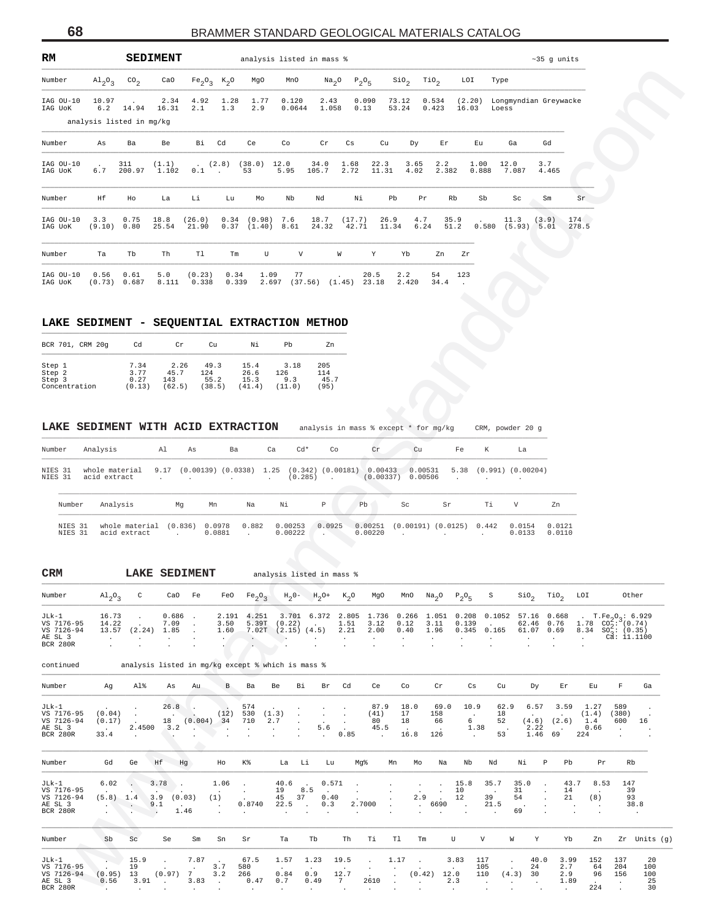| RM                   |                                 |                          | <b>SEDIMENT</b> |                                |                        | analysis listed in mass % |                 |                     |                 |               |                |                     |                 |                                       | $~5$ q units  |              |
|----------------------|---------------------------------|--------------------------|-----------------|--------------------------------|------------------------|---------------------------|-----------------|---------------------|-----------------|---------------|----------------|---------------------|-----------------|---------------------------------------|---------------|--------------|
| Number               | $\mathrm{Al}_{2}\mathrm{O}_{3}$ | $\text{CO}_2$            |                 | CaO $Fe_2O_3$ K <sub>2</sub> O |                        | MgO                       | MnO             | Na <sub>2</sub> O   | $P_2O_5$        |               | $\sin_2$       | TiO <sub>2</sub>    | LOI             | Type                                  |               |              |
| IAG OU-10<br>IAG UOK | 10.97<br>6.2                    | 14.94                    | 2.34<br>16.31   | 4.92<br>2.1                    | 1.28<br>1.3            | 1.77<br>2.9               | 0.120<br>0.0644 | 2.43<br>1.058       | 0.090<br>0.13   |               | 73.12<br>53.24 | 0.534<br>0.423      | 16.03           | (2.20) Longmyndian Greywacke<br>Loess |               |              |
|                      |                                 | analysis listed in mg/kg |                 |                                |                        |                           |                 |                     |                 |               |                |                     |                 |                                       |               |              |
| Number               | As                              | Ba                       | Be              | Вi                             | Cd                     | Ce                        | Co              | $\operatorname{Cr}$ | Cs              | Cu            | Dy             | $\operatorname{Er}$ | Eu              | Ga                                    | Gd            |              |
| IAG OU-10<br>IAG UOK | $\ddot{\phantom{0}}$<br>6.7     | 311<br>200.97            | (1.1)<br>1.102  | 0.1                            | (2.8)<br>$\sim$ $\sim$ | (38.0)<br>53              | 12.0<br>5.95    | 34.0<br>105.7       | 1.68<br>2.72    | 22.3<br>11.31 | 3.65<br>4.02   | 2.2<br>2.382        | 1.00<br>0.888   | 12.0<br>7.087                         | 3.7<br>4.465  |              |
| Number               | Ηf                              | Ho                       | La              | Li                             | Lu                     | Mo                        | Nb              | Nd                  | Νi              | Pb            | Pr             | Rb                  | Sb              | Sc                                    | Sm            | Sr           |
| IAG OU-10<br>IAG UOK | 3.3<br>(9.10)                   | 0.75<br>0.80             | 18.8<br>25.54   | (26.0)<br>21.90                | 0.34                   | (0.98)<br>$0.37$ $(1.40)$ | 7.6<br>8.61     | 18.7<br>24.32       | (17.7)<br>42.71 | 26.9<br>11.34 | 4.7<br>6.24    | 35.9<br>51.2        | $\Box$<br>0.580 | 11.3<br>(5.93)                        | (3.9)<br>5.01 | 174<br>278.5 |
| Number               | Ta                              | Tb                       | Th              | T1                             | Tm                     | U                         | V               |                     | W               | Y             | Yb             | Zn                  | Zr              |                                       |               |              |
| TAG OU-10<br>IAG UOK | 0.56<br>(0.73)                  | 0.61<br>0.687            | 5.0<br>8.111    | (0.23)<br>0.338                | 0.34<br>0.339          | 1.09<br>2.697             | 77<br>(37.56)   |                     | (1.45)          | 20.5<br>23.18 | 2.2<br>2.420   | 54<br>34.4          | 123             |                                       |               |              |

# LAKE SEDIMENT - SEQUENTIAL EXTRACTION METHOD

| BCR 701, CRM 20g | Cd     | Cr     | Cu     | Νi    | Ph     | Zn   |
|------------------|--------|--------|--------|-------|--------|------|
| Step 1           | 7.34   | 2.26   | 49.3   | 15.4  | 3.18   | 205  |
| Step 2           | 3.77   | 45.7   | 124    | 26.6  | 126    | 114  |
| Step 3           | 0.27   | 143    | 55.2   | 15.3  | 9.3    | 45.7 |
| Concentration    | (0.13) | (62.5) | (38.5) | 41.4) | (11.0) | 95)  |

| Number             | Analysis                       | Al<br>As |                        | Ba    | Ca                 | $Cd*$   | Co                    | $\operatorname{Cr}$ | Cu                             | Fe   | K     | La                    |                  |
|--------------------|--------------------------------|----------|------------------------|-------|--------------------|---------|-----------------------|---------------------|--------------------------------|------|-------|-----------------------|------------------|
| NIES 31<br>NIES 31 | whole material<br>acid extract | 9.17     | $(0.00139)$ $(0.0338)$ |       | 1.25<br>$\sim$     | (0.285) | $(0.342)$ $(0.00181)$ | 0.00433             | 0.00531<br>$(0.00337)$ 0.00506 | 5.38 |       | $(0.991)$ $(0.00204)$ |                  |
| Number             | Analysis                       | Mq       | Mn                     | Na    | Νi                 |         | P                     | Ph                  | Sc.                            | Sr   | Τi    | V                     | Zn               |
| NIES 31<br>NIES 31 | whole material<br>acid extract | (0.836)  | 0.0978<br>0.0881       | 0.882 | 0.00253<br>0.00222 |         | 0.0925                | 0.00251<br>0.00220  | $(0.00191)$ $(0.0125)$         |      | 0.442 | 0.0154<br>0.0133      | 0.0121<br>0.0110 |

## **CRM LAKE SEDIMENT** analysis listed in mass %

| Number                                                               | $A1_{2}0_{3}$                                    | $\text{co}_2$                                     | CaO                                                                                            | $Fe_2O_3$ K <sub>2</sub> O                     |                                       | MgO                                                  | MnO                                                                                                | Na <sub>2</sub> O                                                  | $P_2O_5$                                                                                           |                                                | $\sin_2$                                         | TiO <sub>2</sub>                                            | LOI                                                     | Type                                                                   |                                                  |                                                                |                                     |                                                                                                                       |
|----------------------------------------------------------------------|--------------------------------------------------|---------------------------------------------------|------------------------------------------------------------------------------------------------|------------------------------------------------|---------------------------------------|------------------------------------------------------|----------------------------------------------------------------------------------------------------|--------------------------------------------------------------------|----------------------------------------------------------------------------------------------------|------------------------------------------------|--------------------------------------------------|-------------------------------------------------------------|---------------------------------------------------------|------------------------------------------------------------------------|--------------------------------------------------|----------------------------------------------------------------|-------------------------------------|-----------------------------------------------------------------------------------------------------------------------|
| IAG OU-10 10.97<br>IAG UoK                                           |                                                  | 6.2 14.94 16.31<br>analysis listed in mg/kg       | 2.34                                                                                           | 4.92<br>2.1                                    | 1.28<br>1.3                           | 1.77<br>2.9                                          | 0.120<br>0.0644                                                                                    | 2.43<br>1.058                                                      | 0.090<br>0.13                                                                                      |                                                | 73.12<br>53.24                                   | 0.534<br>0.423                                              | 16.03                                                   | Loess                                                                  | (2.20) Longmyndian Greywacke                     |                                                                |                                     |                                                                                                                       |
| Number                                                               | As                                               | Ba                                                | Be                                                                                             | Bi                                             | Cd                                    | Ce                                                   | Co                                                                                                 | $\operatorname{\sf cr}$                                            | Cs                                                                                                 | Cu                                             | Dу                                               | Εr                                                          | Εu                                                      |                                                                        | Ga                                               | Gd                                                             |                                     |                                                                                                                       |
| IAG OU-10<br>IAG UoK                                                 | 6.7                                              | 311<br>200.97 1.102                               | (1.1)                                                                                          | 0.1                                            | $\sim 100$                            | $(2.8)$ $(38.0)$ $12.0$<br>53                        | 5.95                                                                                               | 34.0<br>105.7                                                      | 1.68<br>2.72                                                                                       | 22.3<br>11.31                                  | 3.65<br>4.02                                     | 2.2<br>2.382                                                | 1.00<br>0.888                                           | 12.0                                                                   | 7.087                                            | 3.7<br>4.465                                                   |                                     |                                                                                                                       |
| Number                                                               | Ηf                                               | Ho                                                | La                                                                                             | Li                                             | Lu                                    | Mo                                                   | Nb                                                                                                 | Nd                                                                 | Νi                                                                                                 | Pb                                             | Pr                                               | Rb                                                          | Sb                                                      |                                                                        | Sc                                               | Sm                                                             | Sr                                  |                                                                                                                       |
| IAG OU-10<br>IAG UOK                                                 | 3.3                                              | 0.75<br>(9.10) 0.80                               | 18.8<br>25.54                                                                                  | (26.0)<br>21.90                                |                                       | $0.34$ $(0.98)$ 7.6                                  | $0.37$ $(1.40)$ 8.61                                                                               | 18.7                                                               | (17.7)<br>24.32 42.71                                                                              | 26.9<br>11.34                                  | 4.7<br>6.24                                      | 35.9<br>51.2                                                |                                                         |                                                                        | 11.3<br>$0.580$ $(5.93)$ $5.01$                  | (3.9)                                                          | 174<br>278.5                        |                                                                                                                       |
| Number                                                               | Ta                                               | Tb                                                | Th                                                                                             | Tl                                             | $\rm{Tm}$                             | U                                                    | V                                                                                                  |                                                                    | W                                                                                                  | Υ                                              | Yb                                               | Zn                                                          | Ζr                                                      |                                                                        |                                                  |                                                                |                                     |                                                                                                                       |
| IAG OU-10<br>IAG UoK<br>LAKE SEDIMENT - SEQUENTIAL EXTRACTION METHOD | 0.56                                             | 0.61<br>(0.73) 0.687                              | 5.0                                                                                            | (0.23)<br>8.111 0.338                          | 0.34<br>0.339                         | 1.09                                                 | 77<br>2.697 (37.56) (1.45) 23.18                                                                   |                                                                    |                                                                                                    | 20.5                                           | 2.2<br>2.420                                     | 54<br>34.4                                                  | 123                                                     |                                                                        |                                                  |                                                                |                                     |                                                                                                                       |
| BCR 701, CRM 20g                                                     |                                                  | Cd                                                | Cr                                                                                             | Cu                                             |                                       | Νi                                                   | Pb                                                                                                 | Zn                                                                 |                                                                                                    |                                                |                                                  |                                                             |                                                         |                                                                        |                                                  |                                                                |                                     |                                                                                                                       |
| Step 1<br>Step 2<br>Step 3<br>Concentration                          |                                                  | 7.34<br>3.77<br>0.27<br>(0.13)                    | 2.26<br>45.7<br>143<br>(62.5)                                                                  | 49.3<br>124<br>55.2<br>(38.5)                  |                                       | 15.4<br>26.6<br>15.3<br>(41.4)                       | 3.18<br>126<br>9.3<br>(11.0)                                                                       | 205<br>114<br>45.7<br>(95)                                         |                                                                                                    |                                                |                                                  |                                                             |                                                         |                                                                        |                                                  |                                                                |                                     |                                                                                                                       |
| LAKE SEDIMENT WITH ACID EXTRACTION<br>Number<br>NIES 31<br>NIES 31   | Analysis<br>acid extract                         | whole material                                    | Al<br>$\sim$                                                                                   | As                                             | Ba                                    |                                                      | Ca<br>$Cd*$<br>9.17 (0.00139) (0.0338) 1.25 (0.342) (0.00181) 0.00433 0.00531<br>(0.285)<br>$\sim$ | $\sim$ 10 $\sim$                                                   | analysis in mass % except * for mg/kg<br>Co                                                        | Cr<br>(0.00337) 0.00506                        | ${\rm Cu}$                                       |                                                             | Fe                                                      | К                                                                      | CRM, powder 20 g<br>La<br>5.38 (0.991) (0.00204) |                                                                |                                     |                                                                                                                       |
| Number                                                               |                                                  | Analysis                                          | Mg                                                                                             | Мn                                             |                                       | Na                                                   | Νi                                                                                                 | Р                                                                  | Pb                                                                                                 |                                                | Sc                                               | Sr                                                          |                                                         | Тi                                                                     | V                                                | Zn                                                             |                                     |                                                                                                                       |
| NIES 31                                                              |                                                  | whole material (0.836) 0.0978<br>acid extract     |                                                                                                |                                                |                                       | 0.882                                                | 0.00253                                                                                            |                                                                    | $0.0925$ $0.00251$ $(0.00191)$ $(0.0125)$ $0.442$                                                  |                                                |                                                  |                                                             |                                                         |                                                                        | 0.0154                                           | 0.0121                                                         |                                     |                                                                                                                       |
| NIES 31                                                              |                                                  |                                                   | <b>Contractor</b>                                                                              |                                                | 0.0881                                | $\sim 10^{-11}$                                      | 0.00222                                                                                            | $\ddot{\phantom{a}}$                                               |                                                                                                    | 0.00220                                        | $\ddot{\phantom{0}}$                             | $\sim$                                                      | $\sim 10^{-1}$                                          |                                                                        | 0.0133                                           | 0.0110                                                         |                                     |                                                                                                                       |
| $\mathtt{CRM}$                                                       |                                                  |                                                   | LAKE SEDIMENT                                                                                  |                                                |                                       |                                                      | analysis listed in mass %                                                                          |                                                                    |                                                                                                    |                                                |                                                  |                                                             |                                                         |                                                                        |                                                  |                                                                |                                     |                                                                                                                       |
| Number                                                               | $A1_{2}O_{3}$                                    | $\mathtt{C}$                                      | CaO                                                                                            | Fe                                             | FeO                                   | Fe <sub>2</sub> O <sub>3</sub>                       | $H_{2}$ 0-                                                                                         | $H_2O+$                                                            | $K_2$ O                                                                                            | MgO                                            | MnO                                              | Na <sub>2</sub> O                                           | $P_2O_5$                                                | S                                                                      | $\sin^2$                                         | $\text{rio}_2$                                                 | LOI                                 | Other                                                                                                                 |
| JLk-1<br>VS 7176-95<br>VS 7126-94<br>AE SL 3<br><b>BCR 280R</b>      | 16.73<br>14.22<br>$\sim$<br>$\ddot{\phantom{a}}$ | $13.57$ $(2.24)$ 1.85<br>$\blacksquare$           | 0.686<br>7.09<br>$\ddot{\phantom{a}}$                                                          | $\cdot$<br>$\ddot{\phantom{a}}$<br>$\cdot$     | 2.191<br>3.50<br>1.60<br>$\bullet$    | 4.251<br>5.39T<br>$\cdot$ .<br>$\cdot$               | (0.22)<br>$7.02T$ $(2.15)$ $(4.5)$<br>- 7<br>$\ddot{\phantom{a}}$                                  | <b>Contractor</b><br>$\sim$<br>$\cdot$                             | 3.701 6.372 2.805 1.736 0.266 1.051 0.208 0.1052 57.16 0.668<br>1.51<br>2.21<br>$\cdot$<br>$\cdot$ | 3.12<br>2.00<br>$\sim$<br>$\cdot$              | 0.12<br>0.40<br>$\sim$<br>$\cdot$                | 3.11<br>1.96<br>$\cdot$<br>$\blacksquare$                   | 0.139<br>$0.345$ 0.165<br>$\Box$<br>$\blacksquare$      | <b>Contract Contract</b><br>$\sim 10^{-11}$<br>$\cdot$                 | $\sim 100$ km s $^{-1}$<br>$\cdot$               | $\sim 10^{-10}$<br>$\Box$                                      | <b>Contract</b>                     | $T.Fe_2O_2$ : 6.929<br>62.46 0.76 1.78 $CO_2^{2}: {}^{3} (0.74)$<br>61.07 0.69 8.34 $SO_2^{2}: (0.35)$<br>Ca: 11.1100 |
| continued                                                            |                                                  | analysis listed in mg/kg except % which is mass % |                                                                                                |                                                |                                       |                                                      |                                                                                                    |                                                                    |                                                                                                    |                                                |                                                  |                                                             |                                                         |                                                                        |                                                  |                                                                |                                     |                                                                                                                       |
| Number                                                               | Ag                                               | Al%                                               | As                                                                                             | Au                                             | $\mathbf{B}$                          | Ba                                                   | Be<br>Вi                                                                                           | Br                                                                 | Cd                                                                                                 | Ce                                             | Co                                               | Cr                                                          | Cs                                                      | Cu                                                                     | Dу                                               | Er                                                             | Εu                                  | F<br>Ga                                                                                                               |
| JLk-1<br>VS 7176-95<br>VS 7126-94<br>AE SL 3<br><b>BCR 280R</b>      | (0.04)<br>(0.17)<br><b>Contractor</b><br>33.4    | $\cdot$<br>2.4500<br>$\sim 10^{-1}$               | 26.8<br>$\sim$<br>18<br>3.2<br><b>CONTRACTOR</b>                                               | $\cdot$<br>(0.004)<br><b>Contract Contract</b> | (12)<br>$-34$<br>$\ddot{\phantom{a}}$ | 574<br>530<br>710<br>$\cdot$<br>$\ddot{\phantom{a}}$ | (1.3)<br>$\ddot{\phantom{a}}$<br>2.7<br>$\ddot{\phantom{0}}$<br>$\sim$<br>$\ddot{\phantom{a}}$     | 5.6<br>$\sim$                                                      | $\cdot$<br>$\ddot{\phantom{a}}$<br>0.85                                                            | 87.9<br>(41)<br>80<br>45.5<br>$\sim$ 100 $\pm$ | 18.0<br>17<br>18<br>$\ddot{\phantom{0}}$<br>16.8 | 69.0<br>158<br>66<br>$\sim$<br>126                          | 10.9<br>$\ddot{\phantom{a}}$<br>6<br>1.38<br>$\sim 100$ | 62.9<br>18<br>52<br>$\sim$ $\sim$<br>53                                | 6.57<br>$\sim$<br>(4.6)<br>2.22                  | 3.59<br>$\ddot{\phantom{a}}$<br>(2.6)<br>$\sim 100$<br>1.46 69 | 1.27<br>(1.4)<br>1.4<br>0.66<br>224 | 589<br>(380)<br>600<br>16<br>$\sim$<br>$\sim$                                                                         |
| Number                                                               | Gd                                               | Ge                                                | Hf                                                                                             | Hg                                             | Ho                                    | K%                                                   | La Li                                                                                              | Lu                                                                 | Mg%                                                                                                | Mn                                             | Mo                                               | Na                                                          | Nb                                                      | Nd                                                                     | Νi                                               | $\, {\mathbb P}$<br>Pb                                         |                                     | Rb<br>Pr                                                                                                              |
| JLk-1<br>VS 7176-95<br>VS 7126-94<br>AE SL 3<br><b>BCR 280R</b>      | 6.02<br>(5.8)<br><b>ALC</b><br>$\cdot$           | 1.4<br>$\sim$ $\sim$<br>$\cdot$                   | 3.78<br>$\rightarrow$ $\sim$<br>3.9 (0.03)<br>9.1<br><b>Contractor</b><br>$\ddot{\phantom{1}}$ | 1.46                                           | 1.06<br>(1)<br>$\sim$<br>$\cdot$      | $\sim$<br>0.8740<br>$\sim$                           | 40.6<br>19<br>45 37<br>22.5<br>$\cdot$                                                             | 0.571<br>8.5<br>$\sim 100$<br>0.40<br>0.3<br>$\sim 100$<br>$\cdot$ | $\bullet$<br>$\cdot$<br>2.7000<br>$\cdot$                                                          | $\cdot$<br>$\cdot$                             | $\bullet$<br>2.9<br>$\sim$                       | $\bullet$<br>$\blacksquare$<br>6690<br>$\ddot{\phantom{a}}$ | 15.8<br>10<br>12<br>$\sim$                              | 35.7<br>$\overline{\phantom{a}}$<br>39<br>21.5<br>$\ddot{\phantom{a}}$ | 35.0<br>31<br>54<br>69                           | 14<br>21<br>$\cdot$<br>$\cdot$                                 | 43.7<br>(8)<br>$\sim$<br>$\cdot$    | 8.53<br>147<br>39<br>93<br>38.8<br>$\cdot$                                                                            |
| Number                                                               |                                                  |                                                   |                                                                                                |                                                |                                       |                                                      |                                                                                                    |                                                                    |                                                                                                    |                                                |                                                  |                                                             |                                                         |                                                                        |                                                  |                                                                |                                     |                                                                                                                       |
|                                                                      | Sb                                               | Sc                                                | Se                                                                                             | Sm                                             | Sn                                    | Sr                                                   | Ta                                                                                                 | Tb                                                                 | Th                                                                                                 | Тi                                             | Tl<br>Tm                                         | U                                                           | V                                                       |                                                                        | W<br>Y                                           | Yb                                                             | Zn                                  | Zr Units (g)                                                                                                          |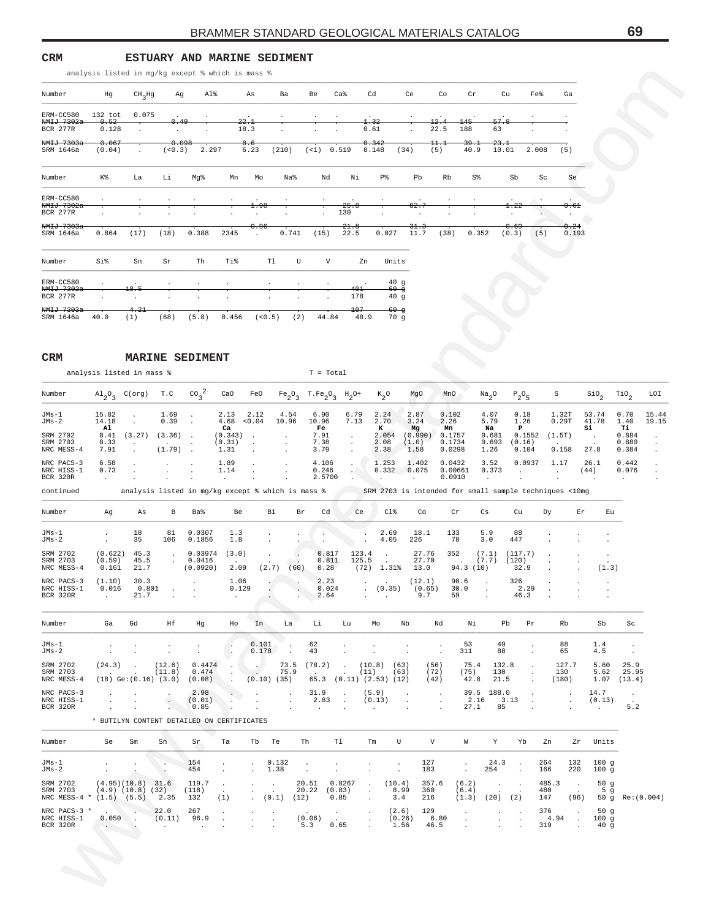**CRM ESTUARY AND MARINE SEDIMENT**

| analysis listed in mg/kg except % which is mass % |  |
|---------------------------------------------------|--|
|---------------------------------------------------|--|

| Number                                     | Hg                      | $CH2$ Hg                   | Ag               | Al%              |       | As                            | Ba                              | Be                   | Ca <sup>8</sup> | Cd                   | Ce                     | Co              | cr           | Cu            | Fe%     | Ga            |
|--------------------------------------------|-------------------------|----------------------------|------------------|------------------|-------|-------------------------------|---------------------------------|----------------------|-----------------|----------------------|------------------------|-----------------|--------------|---------------|---------|---------------|
| ERM-CC580                                  | $132$ tot               | 0.075                      |                  |                  |       | $\ddot{\phantom{a}}$          |                                 |                      |                 | $\ddot{\phantom{0}}$ |                        |                 |              |               | $\cdot$ |               |
| NMIJ 7302a<br><b>BCR 277R</b>              | 0.52<br>0.128           | $\ddot{\phantom{0}}$       | 0.49<br>$\cdot$  | $\cdot$          |       | 22.1<br>18.3                  | $\cdot$                         |                      | $\bullet$       | 1.32<br>0.61         | $\mathbf{r}$           | 12.4<br>22.5    | 145<br>188   | 57.8<br>63    | $\cdot$ |               |
| NMIJ 7303a<br>SRM 1646a                    | 0.067<br>(0.04)         | $\ddot{\phantom{0}}$       | 0.098<br>(< 0.3) | 2.297            |       | 8.6<br>6.23                   | (210)                           | $($ <1) 0.519        |                 | 0.342<br>0.148       | (34)                   | 11.1<br>(5)     | 39.1<br>40.9 | 23.1<br>10.01 | 2.008   | (5)           |
| Number                                     | K%                      | La                         | Li               | Mq%              | Mn    | Mo                            | Na <sup>8</sup>                 | Νd                   | Νi              | P%                   | Pb                     | Rb              | S%           | Sb            | Sc      | Se            |
| ERM-CC580<br>NMIJ 7302a                    | $\mathbf{r}$            |                            |                  |                  |       | 1.98                          |                                 |                      | 25.8            |                      | 82.7                   |                 |              | 1.22          |         | 0.61          |
| <b>BCR 277R</b>                            |                         |                            |                  |                  |       |                               |                                 | $\ddot{\phantom{0}}$ | 130             | $\ddot{\phantom{a}}$ |                        |                 |              |               |         | $\cdot$       |
| $NMIJ$ 7303a<br>SRM 1646a                  | $\cdot$<br>0.864        | $\cdot$<br>(17)            | (18)             | $\cdot$<br>0.388 | 2345  | 0.96<br>$\cdot$               | 0.741                           | $\cdot$<br>(15)      | 21.8<br>22.5    | 0.027                | 31.3<br>11.7           | $\cdot$<br>(38) | 0.352        | 0.69<br>(0.3) | (5)     | 0.24<br>0.193 |
| Number                                     | Si%                     | Sn                         | Sr               | Th               | Ti%   | Tl                            | U                               | V                    |                 | Units<br>Zn          |                        |                 |              |               |         |               |
| ERM-CC580<br>NMIJ 7302a<br><b>BCR 277R</b> | $\mathbf{r}$<br>$\cdot$ | $\cdot$<br>18.5<br>$\cdot$ |                  |                  |       | $\cdot$<br>$\cdot$<br>$\cdot$ | $\ddot{\phantom{0}}$<br>$\cdot$ |                      | 401<br>178      |                      | 40g<br>$60 - g$<br>40g |                 |              |               |         |               |
| NMIJ 7303a<br>SRM 1646a                    | 40.0                    | 4.21<br>(1)                | (68)             | (5.8)            | 0.456 | (< 0.5)                       | (2)                             | 44.84                | 107             | 48.9                 | $-60 - g$<br>70g       |                 |              |               |         |               |

### **CRM MARINE SEDIMENT**

|                                                                                         | analysis listed in mg/kg except % which is mass % |                                   |                                                                                                                                                 |                           |                                    |                                                                                           |                                                       |                                    |                                                                                                                                                                                                                                                                                     |                            |                                      |                                 |                                             |                               |                                |                                                          |                            |                                                 |                                                       |                                 |                |
|-----------------------------------------------------------------------------------------|---------------------------------------------------|-----------------------------------|-------------------------------------------------------------------------------------------------------------------------------------------------|---------------------------|------------------------------------|-------------------------------------------------------------------------------------------|-------------------------------------------------------|------------------------------------|-------------------------------------------------------------------------------------------------------------------------------------------------------------------------------------------------------------------------------------------------------------------------------------|----------------------------|--------------------------------------|---------------------------------|---------------------------------------------|-------------------------------|--------------------------------|----------------------------------------------------------|----------------------------|-------------------------------------------------|-------------------------------------------------------|---------------------------------|----------------|
| Number                                                                                  | Hg                                                | CH <sub>3</sub> Hg                | Ag                                                                                                                                              | Al%                       |                                    | As                                                                                        | Ba                                                    | Be                                 | $Ca\,$                                                                                                                                                                                                                                                                              | Cd                         |                                      | Ce                              | Co                                          | Cr                            | Cu                             |                                                          | Fe%                        | Ga                                              |                                                       |                                 |                |
| ERM-CC580                                                                               | 132 tot                                           | 0.075                             |                                                                                                                                                 |                           |                                    |                                                                                           |                                                       |                                    |                                                                                                                                                                                                                                                                                     |                            |                                      |                                 |                                             |                               |                                |                                                          |                            |                                                 |                                                       |                                 |                |
| <del>NMIJ 7302a</del><br>BCR 277R                                                       | $-0.52$<br>0.128                                  |                                   | 0.49                                                                                                                                            |                           |                                    | 22.1<br>18.3                                                                              |                                                       |                                    |                                                                                                                                                                                                                                                                                     | 1.32<br>0.61               |                                      |                                 | 12.4<br>22.5                                | 145<br>188                    | 57.8<br>63                     |                                                          |                            |                                                 |                                                       |                                 |                |
| <del>NMIJ 7303a</del><br>SRM 1646a                                                      | 0.067<br>(0.04)                                   | $\cdot$ .                         | 0.098<br>(< 0.3)                                                                                                                                | 2.297                     |                                    | 8.6<br>6.23                                                                               | (210)                                                 |                                    | $($ 1) 0.519                                                                                                                                                                                                                                                                        | 0.342<br>0.148             |                                      | (34)                            | $^{111}$<br>(5)                             | 39.1<br>40.9                  | <del>23.1</del><br>10.01       |                                                          | 2.008                      | (5)                                             |                                                       |                                 |                |
| Number                                                                                  | K%                                                | La                                | Li                                                                                                                                              | Mg%                       | Mn                                 | Mo                                                                                        | Na%                                                   |                                    | Νd<br>Νi                                                                                                                                                                                                                                                                            |                            | P%                                   | Pb                              | Rb                                          | S%                            |                                | Sb                                                       | Sc                         | Se                                              |                                                       |                                 |                |
| ERM-CC580<br><del>NMIJ 7302a</del><br>BCR 277R                                          |                                                   |                                   |                                                                                                                                                 |                           |                                    |                                                                                           |                                                       |                                    | 25.8<br>130                                                                                                                                                                                                                                                                         |                            |                                      | 82.5                            |                                             |                               |                                | $^{1.22}$<br>$\cdot$                                     |                            | 0.61<br>$\blacksquare$                          |                                                       |                                 |                |
| <del>NMIJ 7303a</del><br>SRM 1646a                                                      | 0.864                                             | (17)                              | (18)                                                                                                                                            | 0.388                     | 2345                               | 0.96                                                                                      | 0.741                                                 | (15)                               | 21.8<br>22.5                                                                                                                                                                                                                                                                        |                            | 0.027                                | <del>31.3</del><br>11.7         | (38)                                        | 0.352                         |                                | <del>0.69</del><br>(0.3)                                 | (5)                        | 0.24<br>0.193                                   |                                                       |                                 |                |
| Number                                                                                  | Si%                                               | Sn                                | Sr                                                                                                                                              | Th                        | Ti%                                |                                                                                           | Tl                                                    | U                                  | V                                                                                                                                                                                                                                                                                   | Zn                         | Units                                |                                 |                                             |                               |                                |                                                          |                            |                                                 |                                                       |                                 |                |
| ERM-CC580<br>NM <del>IJ 7302a</del><br>BCR 277R                                         |                                                   | 18.5                              |                                                                                                                                                 |                           |                                    |                                                                                           |                                                       |                                    |                                                                                                                                                                                                                                                                                     | 401<br>178                 | 40g<br><del>60 g</del><br>40g        |                                 |                                             |                               |                                |                                                          |                            |                                                 |                                                       |                                 |                |
| <del>NMIJ 7303a</del><br>SRM 1646a                                                      | 40.0                                              | $-4.21$<br>(1)                    | (68)                                                                                                                                            | (5.8)                     | 0.456                              |                                                                                           | (< 0.5)                                               | (2)                                | 44.84                                                                                                                                                                                                                                                                               | 107<br>48.9                | <del>60 g</del><br>70g               |                                 |                                             |                               |                                |                                                          |                            |                                                 |                                                       |                                 |                |
| CRM                                                                                     |                                                   |                                   | <b>MARINE SEDIMENT</b>                                                                                                                          |                           |                                    |                                                                                           |                                                       |                                    |                                                                                                                                                                                                                                                                                     |                            |                                      |                                 |                                             |                               |                                |                                                          |                            |                                                 |                                                       |                                 |                |
|                                                                                         | analysis listed in mass %                         |                                   |                                                                                                                                                 |                           |                                    |                                                                                           |                                                       |                                    | $T = Total$                                                                                                                                                                                                                                                                         |                            |                                      |                                 |                                             |                               |                                |                                                          |                            |                                                 |                                                       |                                 |                |
| Number                                                                                  |                                                   |                                   | $\mathrm{Al}_{2}\mathrm{O}_{3}$ C(org) T.C CO <sub>3</sub> <sup>2</sup> CaO                                                                     |                           |                                    | FeO                                                                                       |                                                       |                                    | $\begin{matrix} \texttt{Fe}\xspace_2\texttt{O}\xspace_3 \end{matrix} \begin{matrix} \texttt{T}.\texttt{Fe}\xspace_2\texttt{O}\xspace_3 \end{matrix} \begin{matrix} \texttt{H}\xspace_2\texttt{O}^+ \end{matrix} \begin{matrix} \texttt{K}\xspace_2\texttt{O}\xspace_3 \end{matrix}$ |                            |                                      | MgO                             | MnO                                         |                               | $Na_{2}O$                      | $P_2O_5$                                                 | S                          |                                                 | $\mathsf{SiO}_2$                                      | $\mathcal{I}^{10}$ <sub>2</sub> | LOI            |
| JMs-1<br>JMs-2                                                                          | 15.82<br>14.18<br>Al                              | $\sim$<br>$\cdot$                 | 1.69<br>0.39                                                                                                                                    | $\cdot$<br>$\cdot$        | $2.13$ $2.12$<br>4.68 < 0.04<br>Ca |                                                                                           | 4.54<br>10.96                                         | 6.90<br>10.96<br>Fe                | 6.79<br>7.13                                                                                                                                                                                                                                                                        |                            | 2.24<br>2.70<br>к                    | 2.87<br>3.24<br>Mg              | 0.102<br>2.26<br>Mn                         |                               | 4.07<br>5.79<br>Na             | 0.18<br>1.26<br>$\mathbf{P}$                             | 1.32T<br>0.29T             |                                                 | 53.74<br>41.78<br>Si                                  | 0.70<br>1.40<br>Ti              | 15.44<br>19.15 |
| SRM 2702<br>SRM 2703<br>NRC MESS-4                                                      | 8.33<br>7.91                                      | 8.41 (3.27) (3.36)<br>$\cdot$     | $(1.79)$ .                                                                                                                                      | $\sim$ $\sim$             | $(0.343)$ .<br>(0.31)<br>1.31      |                                                                                           |                                                       | 7.91<br>7.38<br>3.79               |                                                                                                                                                                                                                                                                                     |                            | 2.054<br>2.08<br>2.38                | (1.0)<br>1.58                   | $(0.990)$ 0.1757<br>0.1734<br>0.0298        |                               | 0.681<br>0.693<br>1.26         | (0.16)<br>0.104                                          | $0.1552$ $(1.5T)$<br>0.158 |                                                 | $\sim$ $\sim$<br>27.8                                 | 0.884<br>0.880<br>0.384         |                |
| NRC PACS-3<br>NRC HISS-1<br>BCR 320R                                                    | 6.58<br>0.73                                      | $\cdot$                           | $\bullet$                                                                                                                                       |                           | 1.89<br>1.14<br>$\sim$             | $\cdot$                                                                                   | $\bullet$                                             | 4.106<br>0.246                     | $\sim$<br>н.,<br>2.5700                                                                                                                                                                                                                                                             |                            | 1.253<br>$0.332$ 0.075               | 1.402                           | 0.0432<br>0.00661<br>0.0910                 |                               | 3.52<br>0.373                  | 0.0937<br>$\sim$                                         | 1.17<br>$\sim$             |                                                 | 26.1<br>(44)                                          | 0.442<br>0.076                  |                |
| continued                                                                               |                                                   |                                   | analysis listed in mg/kg except % which is mass % SRM 2703 is intended for small sample techniques <10mg                                        |                           |                                    |                                                                                           |                                                       |                                    |                                                                                                                                                                                                                                                                                     |                            |                                      |                                 |                                             |                               |                                |                                                          |                            |                                                 |                                                       |                                 |                |
| Number                                                                                  | Ag                                                | As                                | B                                                                                                                                               | Ba%                       | Be                                 |                                                                                           | Bi                                                    | Br                                 | Cd                                                                                                                                                                                                                                                                                  | Ce                         | Cl%                                  | Co                              |                                             | Cr                            | Cs                             | Cu                                                       | Dy.                        | Er                                              | Eu                                                    |                                 |                |
| JMs-1<br>JMs-2                                                                          | $\cdot$<br>$\sim$                                 | 18<br>35                          | 81<br>106                                                                                                                                       | 0.0307<br>0.1856          | 1.3<br>1.8                         |                                                                                           |                                                       |                                    |                                                                                                                                                                                                                                                                                     | $\cdot$                    | 2.69<br>4.05                         | 18.1<br>226                     | 133                                         | 78                            | 5.9<br>3.0                     | 88<br>447                                                |                            |                                                 |                                                       |                                 |                |
| SRM 2702<br>SRM 2703<br>NRC MESS-4                                                      | (0.59)<br>0.161                                   | $(0.622)$ 45.3<br>45.5<br>21.7    | $\sim 100$<br>$\sim 20$                                                                                                                         | 0.0416<br>(0.0920)        | $0.03974$ (3.0)<br>2.09            |                                                                                           | $\sim$<br>$(2.7)$ (60)                                |                                    | 0.817<br>0.811<br>0.28                                                                                                                                                                                                                                                              | 123.4<br>125.5             | $\sim 100$<br>$(72)$ 1.31% 13.0      | 27.76<br>27.70                  | 352                                         | 94.3 (10)                     | (7.1)<br>$(7.7)$ $(120)$       | (117.7)<br>32.9                                          |                            |                                                 | $\cdot$<br>(1.3)                                      |                                 |                |
| NRC PACS-3<br>NRC HISS-1<br>$BCR$ 320 $R$                                               | (1.10)<br>0.016<br>$\sim 10^{-7}$ .               | 30.3<br>$0.801$ .                 | $21.7$ .                                                                                                                                        | <b>Contractor</b>         | 1.06<br>0.129                      | $\mathcal{L} \left( \mathcal{L} \right)$                                                  | $\sim$ $\sim$                                         | 2.64                               | 2.23<br>0.024                                                                                                                                                                                                                                                                       | $\sim 100$ km s $^{-1}$    | $(0.35)$ $(0.65)$ $30.0$ .<br>9.7 59 | (12.1)                          |                                             | 90.6                          | $\sim 100$ km s $^{-1}$        | 326<br>2.29                                              | 46.3                       |                                                 |                                                       |                                 |                |
| Number                                                                                  |                                                   | Ga Gd Hf                          |                                                                                                                                                 | Hg                        | Ho In                              |                                                                                           |                                                       |                                    | La Li Lu Mo                                                                                                                                                                                                                                                                         |                            |                                      | Nb                              | Nd                                          |                               |                                | Ni Pb Pr                                                 |                            | Rb                                              | Sb                                                    | Sc                              |                |
| JMs-1<br>JMs-2                                                                          | $\sim$<br>$\sim 100$                              | $\sim 100$ km s $^{-1}$<br>$\sim$ | $\ddot{\phantom{1}}$<br>$\sim 100$ km s $^{-1}$                                                                                                 | $\sim$<br><b>Contract</b> | $\sim$<br>$\overline{\phantom{a}}$ | 0.101                                                                                     | $\sim$<br>$0.178$ .                                   | 62<br>43                           | $\ddot{\phantom{0}}$<br>$\sim$                                                                                                                                                                                                                                                      | $\sim$                     |                                      | $\cdot$<br>$\sim$ $\sim$        | $\sim$ 100 $\pm$<br>$\sim 100$ km s $^{-1}$ | 53<br>311                     | 49<br>88                       | <b>Contract</b><br>$\cdot$                               |                            | 88<br>65                                        | 1.4<br>4.5                                            | $\sim$<br><b>Contract</b>       |                |
| SRM 2702<br>SRM 2703<br>NRC MESS-4                                                      |                                                   |                                   | $(12.6)$ 0.4474 . $(73.5)$ $(78.2)$ . $(10.8)$ $(63)$<br>$(11.8)$ 0.474 . $(75.9)$ . $(11)$ $(63)$<br>$(18) Ge:(0.16) (3.0) (0.08)$ (0.10) (35) |                           |                                    |                                                                                           |                                                       |                                    | 65.3 (0.11) (2.53) (12)                                                                                                                                                                                                                                                             |                            |                                      |                                 | (56)<br>(72)<br>(42)                        | (75)                          | 75.4 132.8<br>130<br>42.8 21.5 | <b>Contract</b><br>$\sim 100$ km s $^{-1}$<br>$\sim 100$ |                            | 127.7<br>130<br>(180)                           | 5.60 25.9<br>$1.07$ $(13.4)$                          | 5.62 25.95                      |                |
| NRC PACS-3<br>NRC HISS-1<br>BCR 320R                                                    | $\sim 100$                                        | $\sim 100$                        | $\sim$<br><b>Contract</b>                                                                                                                       | $(0.01)$<br>0.85<br>2.98  |                                    |                                                                                           |                                                       | 31.9                               | $2.83$ . $(0.13)$ .<br>and the contract of                                                                                                                                                                                                                                          | (5.9)<br><b>Contractor</b> |                                      | $\sim$ $\sim$<br>$\sim 10^{-1}$ | $\sim 1$<br>$\sim$                          |                               | 39.5 188.0                     | $2.16$ $3.13$ .<br>$27.1$ 85 .                           | $\sim$                     | $\sim$<br>$\sim$ $\sim$<br>$\ddot{\phantom{a}}$ | 14.7<br>(0.13)<br><b>Contractor</b>                   | $\sim$ 100 $\mu$<br>5.2         |                |
|                                                                                         | * BUTILYN CONTENT DETAILED ON CERTIFICATES        |                                   |                                                                                                                                                 |                           |                                    |                                                                                           |                                                       |                                    |                                                                                                                                                                                                                                                                                     |                            |                                      |                                 |                                             |                               |                                |                                                          |                            |                                                 |                                                       |                                 |                |
| Number                                                                                  |                                                   | Se Sm                             | Sn                                                                                                                                              | Sr                        | Та                                 | Tb Te                                                                                     |                                                       |                                    | Th T1                                                                                                                                                                                                                                                                               |                            | Tm<br>U                              |                                 | V                                           |                               |                                | W Y Yb Zn                                                |                            |                                                 | Zr Units                                              |                                 |                |
| JMs-1<br>JMs-2                                                                          | $\sim$<br>$\sim 10^{-11}$                         | $\sim$                            | $\sim$                                                                                                                                          | 154<br>454                | $\sim 100$<br>$\sim 100$           |                                                                                           | 0.132<br>1.38                                         | $\sim$ 100 $\mu$<br>$\sim 10^{-1}$ | $\sim$<br>$\sim$                                                                                                                                                                                                                                                                    | $\ddot{\phantom{0}}$       | $\sim$<br>$\sim$                     |                                 | 127<br>183                                  | $\sim$ $-$<br>$\sim$          | 254                            | 24.3 .<br>$\sim$                                         | 264<br>166                 |                                                 | 132 100 g<br>$220$ 100 g                              |                                 |                |
| SRM 2702<br>SRM 2703 (4.9) (10.8) (32) (118)<br>NRC MESS-4 * (1.5) (5.5) 2.35 132       | $(4.95)(10.8)$ 31.6 119.7 .                       |                                   |                                                                                                                                                 |                           | (1)                                |                                                                                           | $1\times10^5$<br>$\Delta \sim 10^4$<br>$(0.1)$ $(12)$ |                                    | 20.51 0.8267 . (10.4)<br>$20.22$ $(0.83)$ .<br>0.85                                                                                                                                                                                                                                 | $\sim$                     | 8.99<br>3.4                          |                                 | $357.6$ (6.2)<br>360<br>216                 | (6.4)<br>$(1.3)$ $(20)$ $(2)$ | $\sim 1-1$                     |                                                          | 485.3.<br>480              | $\sim$ 100 $\sim$                               | 50 $g$<br>5 <sub>g</sub><br>147 (96) 50 g Re: (0.004) |                                 |                |
| NRC MESS-4<br>NRC PACS-3 * . 22.0 267 .<br>NRC HISS-1 0.050 . (0.11) 96.9 .<br>BCR 320R |                                                   |                                   |                                                                                                                                                 |                           |                                    | $\frac{1}{2} \left( \frac{1}{2} \right) \frac{1}{2} \left( \frac{1}{2} \right)$<br>$\sim$ |                                                       |                                    | $(0.06)$ . $(0.26)$ 129<br>$(5.3)$ 0.65 . 1.56 46.5                                                                                                                                                                                                                                 |                            |                                      | $(2.6)$ 129                     |                                             |                               |                                | $\sim 100$                                               |                            |                                                 | $376$ $376$ $309$<br>$4.94$ $1009$<br>319 . 40 g      |                                 |                |
|                                                                                         |                                                   |                                   |                                                                                                                                                 |                           |                                    |                                                                                           |                                                       |                                    |                                                                                                                                                                                                                                                                                     |                            |                                      |                                 |                                             |                               |                                |                                                          |                            |                                                 |                                                       |                                 |                |
|                                                                                         |                                                   |                                   |                                                                                                                                                 |                           |                                    |                                                                                           |                                                       |                                    |                                                                                                                                                                                                                                                                                     |                            |                                      |                                 |                                             |                               |                                |                                                          |                            |                                                 |                                                       |                                 |                |
|                                                                                         |                                                   |                                   |                                                                                                                                                 |                           |                                    |                                                                                           |                                                       |                                    |                                                                                                                                                                                                                                                                                     |                            |                                      |                                 |                                             |                               |                                |                                                          |                            |                                                 |                                                       |                                 |                |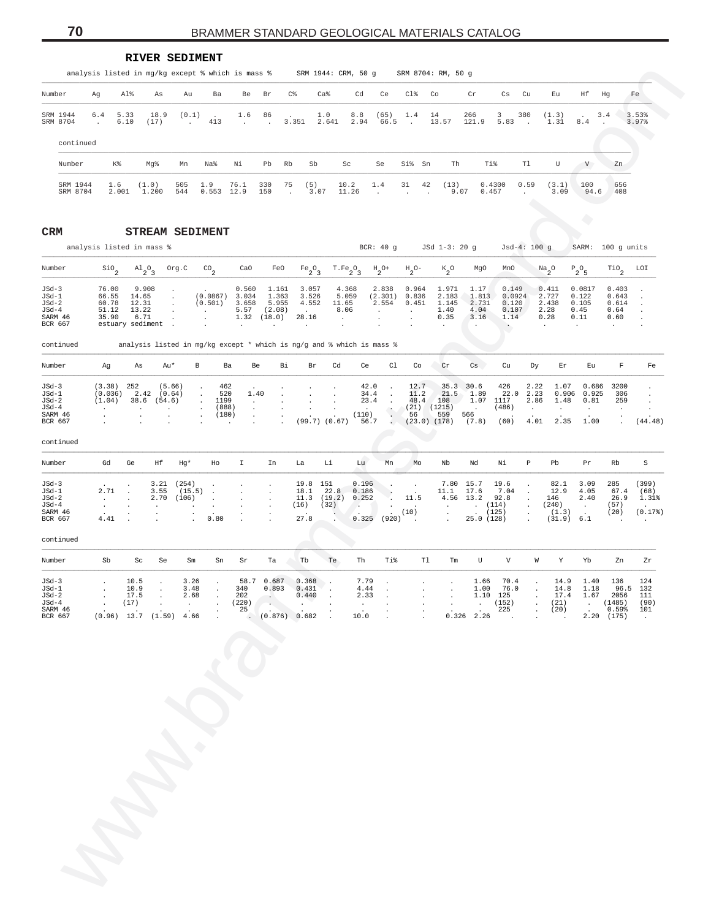|                               |                         |                             |                                                         |                                      |                                              | <b>RIVER SEDIMENT</b>                                       | analysis listed in mg/kg except % which is mass % |                                                                                       |                      |                                        |                                                |                                                   | SRM 1944: CRM, 50 g SRM 8704: RM, 50 g                                |                                             |                                 |                           |                                                  |                        |                                                        |                       |                            |                               |                                 |
|-------------------------------|-------------------------|-----------------------------|---------------------------------------------------------|--------------------------------------|----------------------------------------------|-------------------------------------------------------------|---------------------------------------------------|---------------------------------------------------------------------------------------|----------------------|----------------------------------------|------------------------------------------------|---------------------------------------------------|-----------------------------------------------------------------------|---------------------------------------------|---------------------------------|---------------------------|--------------------------------------------------|------------------------|--------------------------------------------------------|-----------------------|----------------------------|-------------------------------|---------------------------------|
| Number                        | Ag                      | Al%                         |                                                         | As                                   | Au                                           | Ba                                                          | Be                                                | Br                                                                                    | C%                   |                                        | Ca <sup>8</sup>                                | Cd                                                | Ce                                                                    | $C1\$                                       | Co                              | $\operatorname{Cr}$       |                                                  | Cs                     | Cu                                                     | Eu                    | Ηf                         | Hq                            | Fe                              |
| SRM 1944<br>SRM 8704          | 6.4<br>$\sim$           | 5.33<br>6.10                |                                                         | 18.9<br>(17)                         | (0.1)<br>$\sim 100$                          | $\sim$<br>413                                               | 1.6<br>$\sim$                                     | 86<br>$\sim$                                                                          | 3.351                |                                        | 1.0<br>2.641                                   | 8.8<br>2.94                                       | (65)<br>66.5                                                          | 1.4<br>$\sim$                               | 14<br>13.57                     | 266<br>121.9              | 3                                                | 380<br>5.83            | $\sim$                                                 | (1.3)<br>1.31         | $\sim$<br>8.4              | 3.4<br>$\sim$                 | 3.53%<br>3.97%                  |
| continued                     |                         |                             |                                                         |                                      |                                              |                                                             |                                                   |                                                                                       |                      |                                        |                                                |                                                   |                                                                       |                                             |                                 |                           |                                                  |                        |                                                        |                       |                            |                               |                                 |
| Number                        |                         | K%                          |                                                         | Mq%                                  | Mn                                           | Na%                                                         | Νi                                                | Pb                                                                                    | Rb                   | Sb                                     |                                                | Sc                                                | Se                                                                    | Si% Sn                                      |                                 | Th                        | Ti%                                              |                        | Tl                                                     | U                     | V                          | Zn                            |                                 |
| SRM 1944                      |                         | 1.6                         |                                                         | (1.0)                                | 505                                          | 1.9                                                         | 76.1                                              | 330                                                                                   | 75                   | (5)                                    |                                                | 10.2                                              | 1.4                                                                   | 31                                          | 42<br>(13)                      |                           | 0.4300                                           |                        | 0.59                                                   | (3.1)                 | 100                        | 656                           |                                 |
| SRM 8704                      |                         | 2.001                       |                                                         | 1.200                                | 544                                          |                                                             | $0.553$ 12.9                                      | 150                                                                                   | $\sim$               | 3.07                                   |                                                | 11.26                                             | $\sim$                                                                | $\sim$                                      | $\sim$                          | 9.07                      | 0.457                                            |                        | $\sim$                                                 | 3.09                  | 94.6                       | 408                           |                                 |
| CRM                           |                         |                             |                                                         |                                      |                                              | <b>STREAM SEDIMENT</b>                                      |                                                   |                                                                                       |                      |                                        |                                                |                                                   |                                                                       |                                             |                                 |                           |                                                  |                        |                                                        |                       | $\bullet$                  |                               |                                 |
| analysis listed in mass %     |                         |                             |                                                         |                                      |                                              |                                                             |                                                   |                                                                                       |                      |                                        |                                                |                                                   | BCR: 40 g                                                             |                                             | JSd 1-3: 20 g                   |                           |                                                  | $Jsd-4: 100 g$         |                                                        |                       |                            | SARM: 100 g units             |                                 |
| Number                        |                         | $\mathsf{Sio}_2$            | $\mathrm{^{Al}2^O_3}$                                   |                                      | Org.C                                        | $^{CO}$ <sub>2</sub>                                        | CaO                                               |                                                                                       | FeO                  | $Fe_2O_3$                              |                                                | $\texttt{T} \cdot \texttt{Fe}_{2} \texttt{O}_{3}$ | $\mathrm{^{H}2^{O+}}$                                                 | $\mathrm{^{H}2^{O-}}$                       | $K_2^o$                         |                           | MqO                                              | MnO                    |                                                        | $\frac{Na}{2}O$       | $\mathbb{P}_2\mathbb{O}_5$ | $\mathop{\rm TiO}\nolimits_2$ | LOI                             |
| $JSd-3$<br>$JSd-1$            |                         | 76.00<br>66.55              | 9.908<br>14.65                                          |                                      | $\cdot$                                      | (0.0867)                                                    | 0.560<br>3.034                                    |                                                                                       | 1.161<br>1.363       | 3.057<br>3.526                         |                                                | 4.368<br>5.059                                    | 2.838<br>(2.301)                                                      | 0.964<br>0.836                              | 1.971<br>2.183                  | 1.17                      | 1.813                                            | 0.149<br>0.0924        |                                                        | 0.411<br>2.727        | 0.0817<br>0.122            | 0.403<br>0.643                |                                 |
| $JSd-2$<br>$JSd-4$<br>SARM 46 |                         | 60.78<br>51.12<br>35.90     | 12.31<br>13.22<br>6.71                                  |                                      | $\sim$<br>$\sim$<br>$\sim$<br>$\blacksquare$ | (0.501)<br>$\ddot{\phantom{a}}$<br>$\overline{\phantom{a}}$ | 3.658<br>5.57<br>1.32                             | (18.0)                                                                                | 5.955<br>(2.08)      | 4.552<br>$\sim$<br>28.16               | 11.65<br>8.06<br>$\sim$                        |                                                   | 2.554<br>$\sim$<br>$\ddot{\phantom{a}}$                               | 0.451<br>$\sim$<br>$\overline{\phantom{a}}$ | 1.145<br>1.40<br>0.35           | 4.04<br>3.16              | 2.731                                            | 0.120<br>0.107<br>1.14 |                                                        | 2.438<br>2.28<br>0.28 | 0.105<br>0.45<br>0.11      | 0.614<br>0.64<br>0.60         | $\cdot$<br>$\ddot{\phantom{a}}$ |
| BCR 667                       |                         | estuary sediment .          |                                                         |                                      |                                              | $\ddot{\phantom{a}}$                                        | $\sim$                                            |                                                                                       | $\sim$               | $\sim$                                 | $\ddot{\phantom{a}}$                           |                                                   | $\overline{\phantom{a}}$                                              | $\overline{\phantom{a}}$                    | $\sim$                          | $\ddot{\phantom{a}}$      |                                                  | $\cdot$                |                                                        | $\sim$                | $\ddot{\phantom{a}}$       | $\cdot$                       | $\ddot{\phantom{a}}$            |
| continued                     |                         |                             |                                                         |                                      |                                              |                                                             |                                                   |                                                                                       |                      |                                        |                                                |                                                   | analysis listed in mg/kg except * which is ng/g and % which is mass % |                                             |                                 |                           |                                                  |                        |                                                        |                       |                            |                               |                                 |
| Number                        |                         | Ag                          | As                                                      | Au*                                  |                                              | В                                                           | Ba                                                | Be                                                                                    | Вi                   | Br                                     | Cd                                             | Ce                                                | C1                                                                    | Co                                          | Cr                              | $\mathbb{C}\mathbf{s}$    |                                                  | Cu                     | Dy                                                     | Εr                    | Eu                         | F                             | Fe                              |
| $JSd-3$<br>$JSd-1$<br>$JSd-2$ |                         | (3.38)<br>(0.036)<br>(1.04) | 252<br>2.42<br>38.6                                     | (54.6)                               | (5.66)<br>(0.64)                             | $\ddot{\phantom{a}}$<br>$\ddot{\phantom{a}}$<br>$\sim$      | 462<br>520<br>1199                                | 1.40<br>$\cdot$                                                                       | $\ddot{\phantom{a}}$ | $\mathbf{r}$<br>$\mathbf{r}$           |                                                |                                                   | 42.0<br>$\overline{a}$<br>34.4<br>$\sim$<br>23.4<br>$\sim$            | 12.7<br>11.2<br>48.4                        | 21.5<br>108                     | 35.3 30.6<br>1.89<br>1.07 | 426<br>1117                                      | 22.0                   | 2.22<br>2.23<br>2.86                                   | 1.07<br>0.906<br>1.48 | 0.686<br>0.925<br>0.81     | 3200<br>306<br>259            | $\cdot$<br>$\ddot{\phantom{a}}$ |
| $JSd-4$<br>SARM 46<br>BCR 667 | $\cdot$<br>$\mathbf{r}$ |                             | $\ddot{\phantom{a}}$                                    |                                      | $\mathbf{r}$<br>$\mathbf{r}$                 | $\sim$<br>$\ddot{\phantom{a}}$                              | (888)<br>(180)                                    | $\cdot$<br>$\cdot$                                                                    |                      | $\ddot{\phantom{a}}$<br>$\overline{a}$ | $\overline{\phantom{a}}$<br>(99.7) (0.67) 56.7 | $\sim$<br>(110)                                   | $\ddot{\phantom{a}}$<br>G.                                            | 56                                          | $(21)$ $(1215)$<br>559          | $\sim$<br>566<br>(7.8)    | (486)<br>(60)                                    |                        | $\sim$<br>4.01                                         | $\sim$<br>2.35        | $\sim$<br>1.00             | $\sim$<br>$\sim$              | $\cdot$<br>(44.48)              |
| continued                     | $\mathbf{r}$            |                             |                                                         |                                      |                                              |                                                             | $\overline{a}$                                    |                                                                                       |                      |                                        |                                                |                                                   | - 20                                                                  |                                             | $(23.0)$ $(178)$                |                           |                                                  |                        |                                                        |                       |                            |                               |                                 |
| Number                        |                         | Gd                          | Ge                                                      | Ηf                                   | Hg*                                          | Ho                                                          | I                                                 | In                                                                                    |                      | La                                     | Li                                             | Lu                                                | Mn                                                                    | Mo                                          | Nb                              | Nd                        | Νi                                               |                        | P                                                      | Pb                    | Pr                         | Rb                            | S                               |
| $JSd-3$                       |                         |                             |                                                         | 3.21                                 | (254)                                        |                                                             |                                                   |                                                                                       |                      | 19.8 151                               |                                                | 0.196                                             | $\sim$ $\sim$                                                         | $\ddot{\phantom{a}}$                        | 7.80                            | 15.7                      | 19.6                                             |                        | $\cdot$                                                | 82.1                  | 3.09                       | 285                           | (399)                           |
| $JSd-1$<br>$JSd-2$<br>$JSd-4$ | $\cdot$<br>$\cdot$      | 2.71                        | $\ddot{\phantom{a}}$<br>$\cdot$<br>$\ddot{\phantom{a}}$ | 3.55<br>2.70<br>$\ddot{\phantom{a}}$ | (15.5)<br>(106)                              | $\cdot$<br>$\ddot{\phantom{1}}$<br>$\ddot{\phantom{a}}$     |                                                   | $\overline{\phantom{a}}$                                                              |                      | 18.1<br>11.3<br>(16)                   | 22.8<br>(19.2)<br>(32)                         | 0.186<br>0.252<br>$\sim$                          | $\rightarrow$<br>٠.<br>$\cdot$                                        | $\overline{a}$<br>11.5<br>$\sim$            | 11.1<br>4.56<br>$\sim$          | 17.6<br>13.2              | 7.04<br>92.8<br>(114)                            |                        | $\ddot{\phantom{a}}$<br>$\ddot{\phantom{1}}$<br>$\sim$ | 12.9<br>146<br>(240)  | 4.05<br>2.40<br>$\sim$     | 67.4<br>26.9<br>(57)          | (68)<br>1.31%<br>$\sim$         |
| SARM 46<br>BCR 667            | $\sim$                  | 4.41                        |                                                         |                                      |                                              | 0.80                                                        | $\ddot{\phantom{0}}$                              | $\ddot{\phantom{a}}$                                                                  |                      | 27.8                                   | $\ddot{\phantom{a}}$<br>$\ddot{\phantom{a}}$   | .                                                 | $0.325$ (920).                                                        | (10)                                        | $\cdot$<br>$\ddot{\phantom{a}}$ | $\sim$                    | (125)<br>25.0(128)                               |                        | $\blacksquare$<br>$\ddot{\phantom{a}}$                 | (1.3)                 | $\sim$<br>(31.9) 6.1       | (20)<br>$\sim$                | (0.17)<br>$\sim$                |
| continued                     |                         |                             |                                                         |                                      |                                              |                                                             |                                                   |                                                                                       |                      |                                        |                                                |                                                   |                                                                       |                                             |                                 |                           |                                                  |                        |                                                        |                       |                            |                               |                                 |
| Number                        |                         | Sb                          | Sc                                                      | Se                                   | Sm                                           | Sn                                                          | Sr                                                | Ta                                                                                    |                      | Tb                                     | Te                                             | Th                                                | Ti%                                                                   |                                             | Tl                              | Tm                        | U                                                | V                      | W                                                      | Υ                     | Yb                         | Zn                            | Zr                              |
| $JSd-3$<br>$JSd-1$            |                         |                             | 10.5<br>10.9                                            |                                      | 3.26<br>3.48                                 | $\cdot$<br>$\cdot$                                          | 340                                               | 58.7 0.687                                                                            | 0.893                | 0.368<br>0.431                         | $\sim$<br>$\ddot{\phantom{a}}$                 | 7.79<br>4.44                                      | $\cdot$                                                               |                                             |                                 |                           | 1.66<br>1.00                                     | 70.4<br>76.0           | $\overline{a}$<br>$\cdot$                              | 14.9<br>14.8          | 1.40<br>1.18               | 136                           | 124<br>96.5 132                 |
| $JSd-2$<br>$JSd-4$<br>SARM 46 | $\cdot$                 |                             | 17.5<br>(17)                                            | $\cdot$                              | 2.68<br>$\sim$<br>$\ddot{\phantom{a}}$       | $\cdot$<br>$\cdot$                                          | 202<br>(220)<br>25                                | $\sim$ $\sim$<br>$\left\langle \mathcal{L}_{\mathcal{L}_{\mathcal{L}}} \right\rangle$ |                      | 0.440<br>$\sim$ $\sim$<br>$\sim$       | $\cdot$                                        | 2.33<br>$\ddot{\phantom{a}}$                      | $\ddot{\phantom{a}}$                                                  |                                             | $\sim$<br>$\cdot$               |                           | 1.10 125<br>(152)<br>225<br>$\ddot{\phantom{0}}$ |                        | $\cdot$<br>$\cdot$<br>$\cdot$                          | 17.4<br>(21)<br>(20)  | $\sim 10^{-11}$            | 1.67 2056<br>(1485)<br>0.59%  | 111<br>(90)<br>101              |
| BCR 667                       |                         |                             |                                                         |                                      | $(0.96)$ 13.7 $(1.59)$ 4.66                  | $\cdot$                                                     |                                                   | $(0.876)$ 0.682                                                                       |                      |                                        | $\sim$                                         | 10.0                                              |                                                                       |                                             | $\overline{a}$                  | $0.326$ 2.26              |                                                  | $\sim 100$             | $\cdot$                                                | $\sim$                |                            | 2.20(175)                     | $\sim$                          |
|                               |                         |                             |                                                         |                                      |                                              |                                                             |                                                   |                                                                                       |                      |                                        |                                                |                                                   |                                                                       |                                             |                                 |                           |                                                  |                        |                                                        |                       |                            |                               |                                 |
|                               |                         |                             |                                                         |                                      |                                              |                                                             |                                                   |                                                                                       |                      |                                        |                                                |                                                   |                                                                       |                                             |                                 |                           |                                                  |                        |                                                        |                       |                            |                               |                                 |
|                               |                         |                             |                                                         |                                      |                                              |                                                             |                                                   |                                                                                       |                      |                                        |                                                |                                                   |                                                                       |                                             |                                 |                           |                                                  |                        |                                                        |                       |                            |                               |                                 |
|                               |                         |                             |                                                         |                                      |                                              |                                                             |                                                   |                                                                                       |                      |                                        |                                                |                                                   |                                                                       |                                             |                                 |                           |                                                  |                        |                                                        |                       |                            |                               |                                 |
|                               |                         |                             |                                                         |                                      |                                              |                                                             |                                                   |                                                                                       |                      |                                        |                                                |                                                   |                                                                       |                                             |                                 |                           |                                                  |                        |                                                        |                       |                            |                               |                                 |
|                               |                         |                             |                                                         |                                      |                                              |                                                             |                                                   |                                                                                       |                      |                                        |                                                |                                                   |                                                                       |                                             |                                 |                           |                                                  |                        |                                                        |                       |                            |                               |                                 |
|                               |                         |                             |                                                         |                                      |                                              |                                                             |                                                   |                                                                                       |                      |                                        |                                                |                                                   |                                                                       |                                             |                                 |                           |                                                  |                        |                                                        |                       |                            |                               |                                 |
|                               |                         |                             |                                                         |                                      |                                              |                                                             |                                                   |                                                                                       |                      |                                        |                                                |                                                   |                                                                       |                                             |                                 |                           |                                                  |                        |                                                        |                       |                            |                               |                                 |
|                               |                         |                             |                                                         |                                      |                                              |                                                             |                                                   |                                                                                       |                      |                                        |                                                |                                                   |                                                                       |                                             |                                 |                           |                                                  |                        |                                                        |                       |                            |                               |                                 |
|                               |                         |                             |                                                         |                                      |                                              |                                                             |                                                   |                                                                                       |                      |                                        |                                                |                                                   |                                                                       |                                             |                                 |                           |                                                  |                        |                                                        |                       |                            |                               |                                 |
|                               |                         |                             |                                                         |                                      |                                              |                                                             |                                                   |                                                                                       |                      |                                        |                                                |                                                   |                                                                       |                                             |                                 |                           |                                                  |                        |                                                        |                       |                            |                               |                                 |
|                               |                         |                             |                                                         |                                      |                                              |                                                             |                                                   |                                                                                       |                      |                                        |                                                |                                                   |                                                                       |                                             |                                 |                           |                                                  |                        |                                                        |                       |                            |                               |                                 |
|                               |                         |                             |                                                         |                                      |                                              |                                                             |                                                   |                                                                                       |                      |                                        |                                                |                                                   |                                                                       |                                             |                                 |                           |                                                  |                        |                                                        |                       |                            |                               |                                 |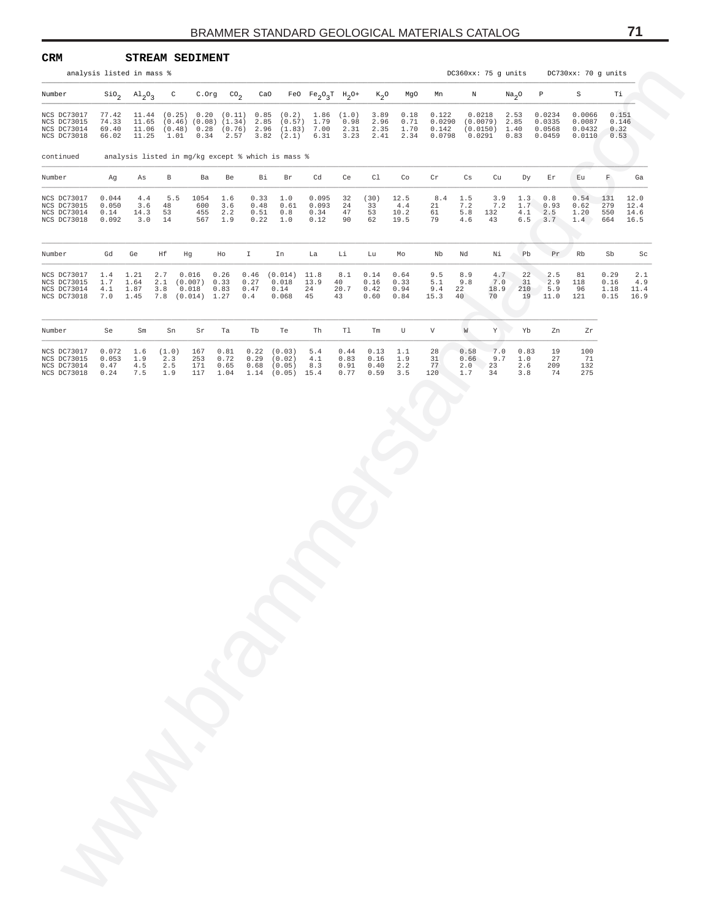| CRM<br>analysis listed in mass %                         |                                               | <b>STREAM SEDIMENT</b>                 |                            |                                                   |                              |                              |                                                                                                                                                                                                                                                                                 |                                |                              |                              |                                   |                                                      |                          |                                                     |                            |                                      | DC360xx: 75 g units DC730xx: 70 g units |                                |                              |
|----------------------------------------------------------|-----------------------------------------------|----------------------------------------|----------------------------|---------------------------------------------------|------------------------------|------------------------------|---------------------------------------------------------------------------------------------------------------------------------------------------------------------------------------------------------------------------------------------------------------------------------|--------------------------------|------------------------------|------------------------------|-----------------------------------|------------------------------------------------------|--------------------------|-----------------------------------------------------|----------------------------|--------------------------------------|-----------------------------------------|--------------------------------|------------------------------|
| Number                                                   |                                               | $\text{SiO}_2$ $\text{Al}_2\text{O}_3$ | $\mathsf{C}$               |                                                   | $C.$ Org $CO2$               |                              | CaO FeO $Fe_2O_3T$ H <sub>2</sub> O+ K <sub>2</sub> O MgO                                                                                                                                                                                                                       |                                |                              |                              |                                   | Mn                                                   | $\,$ N                   |                                                     | Na <sub>2</sub> O          | $\mathbb{P}$                         | S                                       | Тi                             |                              |
| NCS DC73017<br>NCS DC73015<br>NCS DC73014<br>NCS DC73018 | 69.40                                         | 66.02 11.25                            |                            |                                                   |                              |                              | $\begin{array}{cccccccc} 77.42 & 11.44 & (0.25) & 0.20 & (0.11) & 0.85 & (0.2) & 1.86 & (1.0) \\ 74.33 & 11.65 & (0.46) & (0.08) & (1.34) & 2.85 & (0.57) & 1.79 & 0.98 \end{array}$<br>11.06 (0.48) 0.28 (0.76) 2.96 (1.83) 7.00<br>$1.01$ $0.34$ $2.57$ $3.82$ $(2.1)$ $6.31$ |                                | 2.31<br>3.23                 | 3.89<br>2.96<br>2.35         | 0.18<br>0.71<br>1.70<br>2.41 2.34 | 0.122<br>0.0290<br>0.142<br>$0.0798$ $0.0291$ $0.83$ |                          | $0.0218$ 2.53<br>$(0.0079)$ 2.85<br>$(0.0150)$ 1.40 |                            | 0.0234<br>0.0335<br>0.0568<br>0.0459 | 0.0066<br>0.0087<br>0.0432<br>0.0110    | 0.151<br>0.146<br>0.32<br>0.53 |                              |
| continued                                                |                                               |                                        |                            |                                                   |                              |                              | analysis listed in mg/kg except % which is mass %                                                                                                                                                                                                                               |                                |                              |                              |                                   |                                                      |                          |                                                     |                            |                                      |                                         |                                |                              |
| Number                                                   | Ag                                            | As                                     | $\mathbf{B}$               | Ba                                                | Be                           | Bi                           | Br                                                                                                                                                                                                                                                                              | Cd                             | Ce                           | Cl                           | Co                                | Cr                                                   | Cs                       | Cu                                                  | Dy                         | Εr                                   | Eu                                      | $\mathbb{F}$ .                 | Ga                           |
| NCS DC73017<br>NCS DC73015<br>NCS DC73014<br>NCS DC73018 | 0.044<br>0.050<br>0.14<br>0.092               | 4.4<br>3.6<br>14.3<br>3.0              | 5.5<br>48<br>53<br>14      | 1054<br>600<br>455<br>567                         | 1.6<br>3.6<br>2.2<br>1.9     | 0.33<br>0.48<br>0.51<br>0.22 | 1.0<br>0.61<br>0.8<br>1.0                                                                                                                                                                                                                                                       | 0.095<br>0.093<br>0.34<br>0.12 | 32<br>24<br>47<br>90         | (30)<br>33<br>53<br>62       | 12.5<br>4.4<br>10.2<br>19.5       | 8.4<br>21<br>61<br>79                                | 1.5<br>7.2<br>5.8<br>4.6 | 3.9<br>7.2<br>132<br>43                             | 1.3<br>1.7<br>4.1<br>$6.5$ | 0.8<br>0.93<br>2.5<br>3.7            | 0.54<br>0.62<br>1.20<br>1.4             | 131<br>279<br>550<br>664       | 12.0<br>12.4<br>14.6<br>16.5 |
| Number                                                   | Gd                                            | Ge                                     | Ηf                         | Hg                                                | Ho                           | $\mathbb{I}$                 | In                                                                                                                                                                                                                                                                              | La                             | Li                           | Lu                           | Mo                                | Nb                                                   | Nd                       | Νi                                                  | Pb                         | Pr                                   | Rb                                      | Sb                             | Sc                           |
| NCS DC73017<br>NCS DC73015<br>NCS DC73014<br>NCS DC73018 | $1.4$ 1.21<br>1.7<br>4.1 1.87<br>$7.0 \t1.45$ | 1.64                                   | 2.7<br>3.8                 | 0.016<br>2.1 (0.007)<br>0.018<br>7.8 (0.014) 1.27 | 0.26<br>0.33<br>0.83         | 0.27<br>0.47<br>0.4          | $0.46$ $(0.014)$ 11.8<br>$0.018$ 13.9<br>0.14<br>0.068                                                                                                                                                                                                                          | 24<br>45                       | 8.1<br>40<br>20.7<br>43      | 0.14<br>0.16<br>0.42<br>0.60 | 0.64<br>0.33<br>0.94<br>0.84      | 9.5<br>5.1<br>9.4<br>15.3                            | 8.9<br>9.8<br>22<br>40   | 4.7<br>7.0<br>18.9<br>70                            | 22<br>31<br>210<br>19      | 2.5<br>2.9<br>5.9<br>11.0            | 81<br>118<br>96<br>121                  | 0.29<br>0.16<br>1.18<br>0.15   | 2.1<br>4.9<br>11.4<br>16.9   |
| Number                                                   | Se                                            | Sm                                     | Sn                         | Sr                                                | Ta                           | Tb                           | Te                                                                                                                                                                                                                                                                              | Th                             | Tl                           | Tm                           | U                                 | $\mathbf V$                                          | W                        | Y                                                   | Yb                         | Zn                                   | Zr                                      |                                |                              |
| NCS DC73017<br>NCS DC73015<br>NCS DC73014<br>NCS DC73018 | 0.053<br>0.47<br>0.24                         | $0.072$ 1.6<br>1.9<br>4.5<br>7.5       | (1.0)<br>2.3<br>2.5<br>1.9 | 167<br>253<br>171<br>117                          | 0.81<br>0.72<br>0.65<br>1.04 | 0.22<br>0.29<br>0.68         | (0.03)<br>(0.02)<br>(0.05)<br>$1.14$ $(0.05)$ 15.4                                                                                                                                                                                                                              | 5.4<br>4.1<br>8.3              | 0.44<br>0.83<br>0.91<br>0.77 | 0.13<br>0.16<br>0.40<br>0.59 | 1.1<br>1.9<br>2.2<br>3.5          | 28<br>31<br>77<br>120                                | 0.58<br>0.66<br>1.7      | 7.0<br>9.7<br>$2.0$ 23<br>34                        | 0.83<br>1.0<br>2.6<br>3.8  | 19<br>27<br>209<br>74                | 100<br>71<br>132<br>275                 |                                |                              |
|                                                          |                                               |                                        |                            |                                                   |                              |                              |                                                                                                                                                                                                                                                                                 |                                |                              |                              |                                   |                                                      |                          |                                                     |                            |                                      |                                         |                                |                              |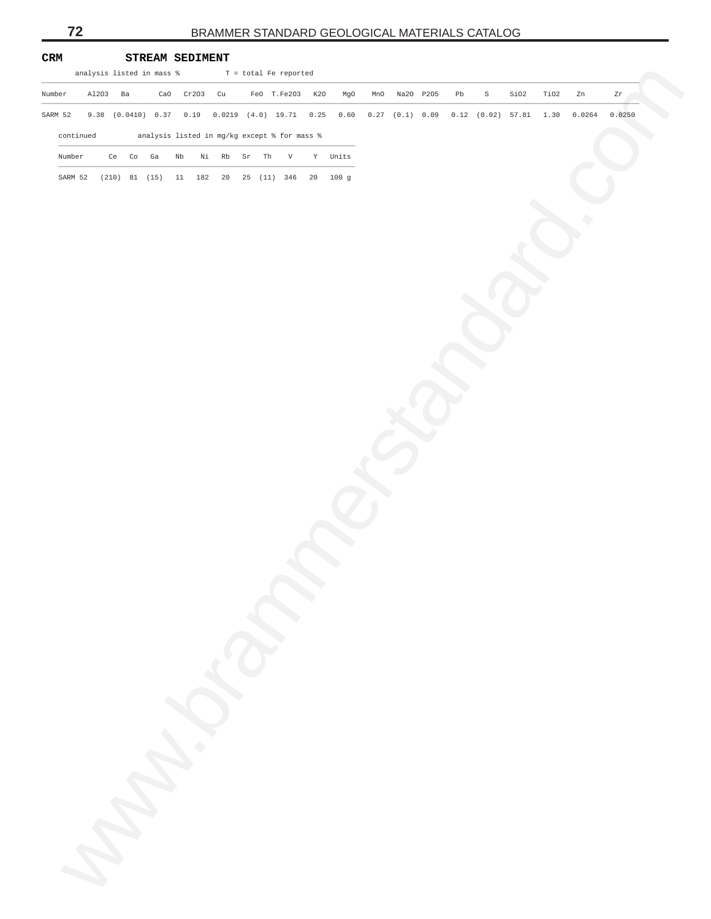| CRM    |           |          |          | STREAM SEDIMENT           |              |               |             |                                              |                                                                                                     |               |    |   |      |      |        |        |
|--------|-----------|----------|----------|---------------------------|--------------|---------------|-------------|----------------------------------------------|-----------------------------------------------------------------------------------------------------|---------------|----|---|------|------|--------|--------|
|        |           |          |          | analysis listed in mass % |              |               |             | T = total Fe reported                        |                                                                                                     |               |    |   |      |      |        |        |
| Number |           | Al203 Ba |          |                           | CaO Cr203 Cu |               |             | FeO T.Fe203 K20                              | MgO                                                                                                 | Mn0 Na20 P205 | Pb | S | SiO2 | TiO2 | Zn     | Zr     |
|        |           |          |          |                           |              |               |             |                                              | SARM 52 9.38 (0.0410) 0.37 0.19 0.0219 (4.0) 19.71 0.25 0.60 0.27 (0.1) 0.09 0.12 (0.02) 57.81 1.30 |               |    |   |      |      | 0.0264 | 0.0250 |
|        | continued |          |          |                           |              |               |             | analysis listed in mg/kg except % for mass % |                                                                                                     |               |    |   |      |      |        |        |
| Number |           |          | Ce Co Ga |                           | Nb           |               | Ni Rb Sr Th | V                                            | Y Units                                                                                             |               |    |   |      |      |        |        |
|        |           |          |          |                           |              |               |             | SARM 52 (210) 81 (15) 11 182 20 25 (11) 346  | 20 100 g                                                                                            |               |    |   |      |      |        |        |
|        |           |          |          |                           |              |               |             |                                              |                                                                                                     |               |    |   |      |      |        |        |
|        |           |          |          |                           |              |               |             |                                              |                                                                                                     |               |    |   |      |      |        |        |
|        |           |          |          |                           |              |               |             |                                              |                                                                                                     |               |    |   |      |      |        |        |
|        |           |          |          |                           |              |               |             |                                              |                                                                                                     |               |    |   |      |      |        |        |
|        |           |          |          |                           |              |               |             |                                              |                                                                                                     |               |    |   |      |      |        |        |
|        |           |          |          |                           |              |               |             |                                              |                                                                                                     |               |    |   |      |      |        |        |
|        |           |          |          |                           |              |               |             |                                              |                                                                                                     |               |    |   |      |      |        |        |
|        |           |          |          |                           |              |               |             |                                              |                                                                                                     |               |    |   |      |      |        |        |
|        |           |          |          |                           |              |               |             |                                              |                                                                                                     |               |    |   |      |      |        |        |
|        |           |          |          |                           |              |               |             |                                              |                                                                                                     |               |    |   |      |      |        |        |
|        |           |          |          |                           |              |               |             |                                              |                                                                                                     |               |    |   |      |      |        |        |
|        |           |          |          |                           |              |               |             |                                              |                                                                                                     |               |    |   |      |      |        |        |
|        |           |          |          |                           |              |               |             |                                              |                                                                                                     |               |    |   |      |      |        |        |
|        |           |          |          |                           |              |               |             |                                              |                                                                                                     |               |    |   |      |      |        |        |
|        |           |          |          |                           |              |               |             |                                              |                                                                                                     |               |    |   |      |      |        |        |
|        |           |          |          |                           |              |               |             |                                              |                                                                                                     |               |    |   |      |      |        |        |
|        |           |          |          |                           |              |               |             |                                              |                                                                                                     |               |    |   |      |      |        |        |
|        |           |          |          |                           |              |               |             |                                              |                                                                                                     |               |    |   |      |      |        |        |
|        |           |          |          |                           |              |               |             |                                              |                                                                                                     |               |    |   |      |      |        |        |
|        |           |          |          |                           |              |               |             |                                              |                                                                                                     |               |    |   |      |      |        |        |
|        |           |          |          |                           |              |               |             |                                              |                                                                                                     |               |    |   |      |      |        |        |
|        |           |          |          |                           |              |               |             |                                              |                                                                                                     |               |    |   |      |      |        |        |
|        |           |          |          |                           |              |               |             |                                              |                                                                                                     |               |    |   |      |      |        |        |
|        |           |          |          |                           |              |               |             |                                              |                                                                                                     |               |    |   |      |      |        |        |
|        |           |          |          |                           |              |               |             |                                              |                                                                                                     |               |    |   |      |      |        |        |
|        |           |          |          |                           |              |               |             |                                              |                                                                                                     |               |    |   |      |      |        |        |
|        |           |          |          |                           |              |               |             |                                              |                                                                                                     |               |    |   |      |      |        |        |
|        |           |          |          |                           |              |               |             |                                              |                                                                                                     |               |    |   |      |      |        |        |
|        |           |          |          |                           |              |               |             |                                              |                                                                                                     |               |    |   |      |      |        |        |
|        |           |          |          |                           |              |               |             |                                              |                                                                                                     |               |    |   |      |      |        |        |
|        |           |          |          |                           |              |               |             |                                              |                                                                                                     |               |    |   |      |      |        |        |
|        |           |          |          |                           |              |               |             |                                              |                                                                                                     |               |    |   |      |      |        |        |
|        |           |          |          |                           |              | <b>Crange</b> |             |                                              |                                                                                                     |               |    |   |      |      |        |        |
|        |           |          |          |                           |              |               |             |                                              |                                                                                                     |               |    |   |      |      |        |        |
|        |           |          |          |                           |              |               |             |                                              |                                                                                                     |               |    |   |      |      |        |        |
|        |           |          |          |                           |              |               |             |                                              |                                                                                                     |               |    |   |      |      |        |        |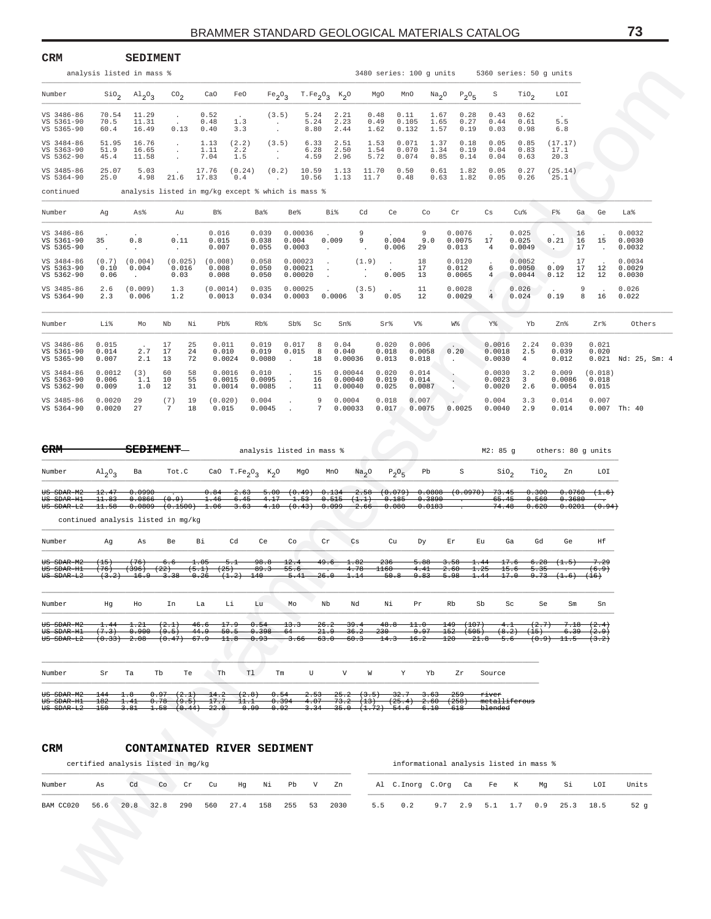| CRM                                                              |                            | <b>SEDIMENT</b>                                                  |                                                          |                           |                                                                             |                                |                                                   |                                             |                                    |                                               |                                 |                      |                                           |                            |                                                  |                                              |                           |                                               |                            |
|------------------------------------------------------------------|----------------------------|------------------------------------------------------------------|----------------------------------------------------------|---------------------------|-----------------------------------------------------------------------------|--------------------------------|---------------------------------------------------|---------------------------------------------|------------------------------------|-----------------------------------------------|---------------------------------|----------------------|-------------------------------------------|----------------------------|--------------------------------------------------|----------------------------------------------|---------------------------|-----------------------------------------------|----------------------------|
|                                                                  |                            | analysis listed in mass %                                        |                                                          |                           |                                                                             |                                |                                                   |                                             |                                    |                                               |                                 |                      |                                           |                            | 3480 series: 100 g units 5360 series: 50 g units |                                              |                           |                                               |                            |
| Number                                                           | $\rm SiO_{2}$              | A1203                                                            | $^{CO}$ <sub>2</sub>                                     | CaO                       | FeO                                                                         | Fe <sub>2</sub> O <sub>3</sub> |                                                   | $T.Fe2O3 K2O$                               |                                    | MgO                                           | MnO                             | Na <sub>2</sub> O    | $P_2O_5$                                  | S                          | TiO <sub>2</sub>                                 | LOI                                          |                           |                                               |                            |
| VS 3486-86<br>VS 5361-90<br>VS 5365-90                           | 70.54<br>70.5<br>60.4      | 11.29<br>11.31<br>16.49                                          | $\ddot{\phantom{a}}$<br>$\sim$<br>0.13                   | 0.52<br>0.48<br>0.40      | $\ddot{\phantom{0}}$<br>1.3<br>3.3                                          | (3.5)<br>$\cdot$<br>$\cdot$    | 5.24<br>5.24<br>8.80                              | 2.21<br>2.23<br>2.44                        |                                    | 0.48<br>0.49<br>1.62                          | 0.11<br>0.105<br>0.132          | 1.67<br>1.65<br>1.57 | 0.28<br>0.27<br>0.19                      | 0.43<br>0.44<br>0.03       | 0.62<br>0.61<br>0.98                             | $\overline{a}$<br>5.5<br>6.8                 |                           |                                               |                            |
| VS 3484-86<br>VS 5363-90<br>VS 5362-90                           | 51.95<br>51.9<br>45.4      | 16.76<br>16.65<br>11.58                                          | $\ddot{\phantom{0}}$<br>$\cdot$<br>$\cdot$               | 1.13<br>1.11<br>7.04      | (2.2)<br>2.2<br>1.5                                                         | (3.5)<br>$\cdot$<br>$\cdot$    | 6.33<br>6.28<br>4.59                              | 2.51<br>2.50<br>2.96                        |                                    | 1.53<br>1.54<br>5.72                          | 0.071<br>0.070<br>0.074         | 1.37<br>1.34<br>0.85 | 0.18<br>0.19<br>0.14                      | 0.05<br>0.04<br>0.04       | 0.85<br>0.83<br>0.63                             | (17.17)<br>17.1<br>20.3                      |                           |                                               |                            |
| VS 3485-86<br>VS 5364-90                                         | 25.07<br>25.0              | 5.03<br>4.98                                                     | $\sim$<br>21.6                                           | 17.76<br>17.83            | (0.24)<br>0.4                                                               | (0.2)<br>$\sim$                | 10.59<br>10.56                                    | 1.13<br>1.13                                | 11.70<br>11.7                      |                                               | 0.50<br>0.48                    | 0.61<br>0.63         | 1.82<br>1.82                              | 0.05<br>0.05               | 0.27<br>0.26                                     | (25.14)<br>25.1                              |                           |                                               |                            |
| continued                                                        |                            | analysis listed in mg/kg except % which is mass %                |                                                          |                           |                                                                             |                                |                                                   |                                             |                                    |                                               |                                 |                      |                                           |                            |                                                  |                                              |                           |                                               |                            |
| Number                                                           | Ag                         | As%                                                              | Au                                                       | B%                        |                                                                             | Ba%                            | Be%                                               | Bi%                                         | Cd                                 | Ce                                            | Co                              |                      | Cr                                        | Сs                         | Cu%                                              | F%                                           | Ga                        | Ge                                            | La%                        |
| VS 3486-86<br>VS 5361-90<br>VS 5365-90                           | 35<br>$\cdot$              | 0.8<br>$\cdot$                                                   | 0.11<br>$\cdot$                                          | 0.016<br>0.015<br>0.007   |                                                                             | 0.039<br>0.038<br>0.055        | 0.00036<br>0.004<br>0.0003                        | 0.009<br>$\cdot$                            | 9<br>9                             | 0.004<br>0.006                                | 9<br>29                         | 9.0                  | 0.0076<br>0.0075<br>0.013                 | 17<br>4                    | 0.025<br>0.025<br>0.0049                         | 0.21<br>$\ddotsc$                            | 16<br>16<br>17            | 15<br>$\overline{\phantom{a}}$                | 0.0032<br>0.0030<br>0.0032 |
| VS 3484-86<br>VS 5363-90<br>VS 5362-90                           | (0.7)<br>0.10<br>0.06      | (0.004)<br>0.004<br>$\ddot{\phantom{a}}$                         | (0.025)<br>0.016<br>0.03                                 | (0.008)<br>0.008<br>0.008 |                                                                             | 0.058<br>0.050<br>0.050        | 0.00023<br>0.00021<br>0.00020                     | $\cdot$<br>$\cdot$                          | (1.9)                              | $\ddot{\phantom{a}}$<br>0.005                 | 18<br>17<br>13                  |                      | 0.0120<br>0.012<br>0.0065                 | $\cdot$<br>6<br>4          | 0.0052<br>0.0050<br>0.0044                       | 0.09<br>0.12                                 | 17<br>17<br>12            | 12<br>12                                      | 0.0034<br>0.0029<br>0.0030 |
| VS 3485-86<br>VS 5364-90                                         | 2.6<br>2.3                 | (0.009)<br>0.006                                                 | 1.3<br>1.2                                               | (0.0014)<br>0.0013        |                                                                             | 0.035<br>0.034                 | 0.00025<br>0.0003                                 | 0.0006                                      | (3.5)<br>3                         | 0.05                                          | 11<br>12                        |                      | 0.0028<br>0.0029                          | $\cdot$<br>$\overline{4}$  | 0.026<br>0.024                                   | 0.19                                         | 9<br>8                    | 16                                            | 0.026<br>0.022             |
| Number                                                           | Li%                        | Mo                                                               | Nb                                                       | Νi                        | Pb%                                                                         | Rb%                            | Sb%                                               | Sc<br>Sn%                                   |                                    | Sr%                                           | V%                              |                      | W%                                        | Y%                         | Yb                                               | Zn%                                          |                           | Zr%                                           | Others                     |
| VS 3486-86<br>VS 5361-90<br>VS 5365-90                           | 0.015<br>0.014<br>0.007    | $\ddot{\phantom{a}}$<br>2.7<br>2.1                               | 17<br>17<br>13                                           | 25<br>24<br>72            | 0.011<br>0.010<br>0.0024                                                    | 0.019<br>0.019<br>0.0080       | 0.017<br>0.015<br>$\blacksquare$                  | 8<br>0.04<br>8<br>0.040<br>18               | 0.00036                            | 0.020<br>0.018<br>0.013                       | 0.006<br>0.0058<br>0.018        |                      | 0.20<br>$\ddot{\phantom{0}}$              | 0.0016<br>0.0018<br>0.0030 | 2.24<br>2.5<br>4                                 | 0.039<br>0.039<br>0.012                      |                           | 0.021<br>0.020                                | $0.021$ Nd: $25$ , Sm: 4   |
| VS 3484-86<br>VS 5363-90<br>VS 5362-90                           | 0.0012<br>0.006<br>0.009   | (3)<br>1.1<br>1.0                                                | 60<br>10<br>12                                           | 58<br>55<br>31            | 0.0016<br>0.0015<br>0.0014                                                  | 0.010<br>0.0095<br>0.0085      | $\ddot{\phantom{0}}$<br>$\cdot$<br>$\blacksquare$ | 15<br>16<br>11                              | 0.00044<br>0.00040<br>0.00040      | 0.020<br>0.019<br>0.025                       | 0.014<br>0.014<br>0.0087        |                      | $\cdot$<br>$\epsilon$<br><b>Alberta</b>   | 0.0030<br>0.0023<br>0.0020 | 3.2<br>$\overline{\mathbf{3}}$<br>2.6            | 0.009<br>0.0086<br>0.0054                    |                           | (0.018)<br>0.018<br>0.015                     |                            |
| VS 3485-86<br>VS 5364-90                                         | 0.0020<br>0.0020           | 29<br>27                                                         | (7)<br>7                                                 | 19<br>18                  | (0.020)<br>0.015                                                            | 0.004<br>0.0045                | $\cdot$<br>$\cdot$                                | 9<br>7                                      | 0.0004<br>0.00033                  | 0.018<br>0.017                                | 0.007<br>0.0075                 |                      | $\sim$<br>0.0025                          | 0.004<br>0.0040            | 3.3<br>2.9                                       | 0.014<br>0.014                               |                           | 0.007                                         | $0.007$ Th: 40             |
| <del>CRM</del>                                                   |                            | <del>SEDIMENT</del> —                                            |                                                          |                           |                                                                             |                                | analysis listed in mass %                         |                                             |                                    |                                               |                                 |                      |                                           | M2: 85 g                   |                                                  | others: 80 g units                           |                           |                                               |                            |
| Number                                                           | $A1_2O_3$                  | Ba                                                               | Tot.C                                                    |                           | CaO T.Fe <sub>2</sub> O <sub>3</sub> K <sub>2</sub> O                       |                                | MgO                                               | MnO                                         | Na <sub>2</sub> O                  | $P_2O_5$                                      | Pb                              |                      | S                                         | Sio <sub>2</sub>           | TiO <sub>2</sub>                                 |                                              | Zn                        | LOI                                           |                            |
| US SDAR-M2<br>US SDAR-H1<br>US SDAR-L2                           | 12.47<br>11.83<br>$-11.58$ | 0.0990<br>$0.0866$ $(0.9)$<br>continued analysis listed in mg/kg |                                                          | 0.84<br>1.46              | $-6.45 - 4.17$<br>$0.0809$ $(0.1500)$ $1.06$ $3.63$ $4.10$ $(0.43)$ $0.099$ |                                | $-2.63$ 5.00 $(0.49)$ 0.134<br>$-1.53$            | $-0.515$ $(1.1)$                            |                                    | $-0.185 - 0.3890$<br>$-2.66 - 0.080 - 0.0183$ |                                 |                      | $-2.58$ $(0.079)$ 0.0808 $(0.0970)$ 73.45 | 65.45<br>74.48             | 0.300<br>0.560<br>0.620                          |                                              | 0.3680                    | 0.0760(1.6)<br>0.0201(0.94)                   |                            |
| Number                                                           | Ag                         | As                                                               | Be                                                       | Вi                        | Cd                                                                          | Ce                             | Co                                                | Cr                                          | Сs                                 | Cu                                            | Dу                              |                      | Εr                                        | Εu                         | Ga                                               | Gd                                           | Ge                        | Ηf                                            |                            |
| <del>US SDAR-M2</del><br>ĦS.<br><del>SDAR-H1</del><br>US SDAR-L2 | (15)<br>76<br>(3.2)        | $(+76)$<br>$-396$<br><del>16.9 3.38</del>                        | 6.6                                                      | 1.05<br>$-0.26$           | <del>5.1</del><br>$(1.2)$ 140                                               | 98.8                           | 12.4<br><del>55.6</del><br>$5.41 - 26.0$          | 49.6                                        | 1.82<br>4.78<br>1.14               | 236<br>-160<br>$-50.8$                        | 5.88<br>4.41<br><del>9.83</del> |                      | 3.58<br><del>5.98</del>                   | 1.44<br>$-1.44$            | 17.6<br>$-17.0$                                  | $6.28$ $(1.5)$<br><del>9.73 (1.6) (16)</del> |                           | 7.29<br>$6.9+$                                |                            |
| Number                                                           | Ηg                         | Ho                                                               | In                                                       | La                        | Li                                                                          | Lu                             | Mo                                                | Nb                                          | Nd                                 | Νi                                            | Pr                              |                      | Rb                                        | Sb                         | Sc                                               | Se                                           | Sm                        | Sn                                            |                            |
| US SDAR-M2<br>US SDAR-H1<br>US SDAR-L2                           | 1.44<br>(7.3)              | 1.21<br>0.900(9.5)<br>(0.33) 2.08                                | (2.1)<br>$(0.47)$ 67.9                                   | 46.6<br>44.9              | $-17.9$<br>50.5<br>11.8                                                     | 0.54<br>0.398<br>0.93          | 13.3<br>$-64$<br>$-3.66$                          | 26.2<br>21.9<br>$-63.0$                     | $-39.4$<br>36.2<br><del>60.3</del> | 48.8<br>230<br>14.3                           | 11.0<br>9.97<br>16.2            |                      | (107)<br>149-<br>152<br>(505)<br>120      | 21.8                       | 4. t<br>(8.2)<br>(15)<br>5.6                     | (2.7)<br>(0.9)                               | <del>6.39 -</del><br>11.5 | 7.18 (2.4)<br>(2.9)<br>$\left(3\cdot2\right)$ |                            |
| Number                                                           | Sr                         | Ta                                                               | Tb<br>Te                                                 | Th                        | Tl                                                                          | Тm                             | U                                                 | V                                           | W                                  | Υ                                             |                                 | Yb                   | Ζr                                        | Source                     |                                                  |                                              |                           |                                               |                            |
| US SDAR-M2<br>US SDAR-H1<br>US SDAR-L2                           | $144 - 1.8$<br>182<br>150  | 1.41<br>$-3.81$                                                  | 0.97 (2.1)<br>$-0.78$ $(9.5)$<br>$-1.58$ $(0.44)$ $22.0$ | $-14.2$<br>17.7           | (2.8)<br>$-11.1$<br>$-0.99$                                                 | $-0.54$<br>$-0.92$             | 0.394<br>$-4.07$<br>$-3.34$                       | $2.53$ $25.2$ $(3.5)$ $32.7$ $3.63$<br>73.2 | (13)                               | <del>35.0 (1.72) 54.6 6.10</del>              | $(25.4)$ $(258)$                |                      | -259<br>-618                              | river<br>blended           | <del>metalliferous</del>                         |                                              |                           |                                               |                            |
| CRM                                                              |                            |                                                                  |                                                          |                           | CONTAMINATED RIVER SEDIMENT                                                 |                                |                                                   |                                             |                                    |                                               |                                 |                      |                                           |                            |                                                  |                                              |                           |                                               |                            |
|                                                                  |                            | certified analysis listed in mg/kg                               |                                                          |                           |                                                                             |                                |                                                   |                                             |                                    |                                               |                                 |                      |                                           |                            | informational analysis listed in mass %          |                                              |                           |                                               |                            |
| Number                                                           | As                         | Cd                                                               | Co<br>Cr                                                 | Cu                        | Ηg                                                                          | Νi                             | Pb                                                | V<br>Zn                                     |                                    | Al C. Inorg C. Org                            |                                 |                      | Ca                                        | Fe                         | K                                                | Mg                                           | Si                        | LOI                                           | Units                      |
| BAM CC020                                                        | 56.6                       | 20.8                                                             | 32.8<br>290                                              | 560                       | 27.4                                                                        | 158                            | 255<br>53                                         | 2030                                        |                                    | 5.5                                           | 0.2                             | 9.7                  | 2.9                                       | 5.1                        | 1.7                                              | 0.9                                          | 25.3                      | 18.5                                          | 52 <sub>g</sub>            |

| $\mathrm{Al}_{2}\mathrm{O}_{3}$ | Ba                       |                          |                                                              |                                                                      |                                               | MgO                                                      | MnO                                                                         |                       | $P_2O_5$                                                  | Pb                             |                         |                            | $\sin_2$                              | TiO <sub>2</sub>           | Zn             | LOI                                                                      |
|---------------------------------|--------------------------|--------------------------|--------------------------------------------------------------|----------------------------------------------------------------------|-----------------------------------------------|----------------------------------------------------------|-----------------------------------------------------------------------------|-----------------------|-----------------------------------------------------------|--------------------------------|-------------------------|----------------------------|---------------------------------------|----------------------------|----------------|--------------------------------------------------------------------------|
| 12.47<br>11.83<br>11.58         |                          | (0.9)                    |                                                              | 2.63<br>6.45<br>3.63                                                 | 4.17                                          | 1.53                                                     |                                                                             | (1.1)<br>2.66         | 0.185<br>0.080                                            |                                |                         |                            | 73.45<br>65.45<br>74.48               | 0.300<br>0.560<br>0.620    |                | (1.6)<br>(0.94)                                                          |
|                                 |                          |                          |                                                              |                                                                      |                                               |                                                          |                                                                             |                       |                                                           |                                |                         |                            |                                       |                            |                |                                                                          |
| Aq                              | As                       | Be                       | Bi                                                           | Cd                                                                   | Ce                                            | Co                                                       | cr                                                                          | Cs                    | Cu                                                        | Dy                             | Er                      | Eu                         | Ga                                    | Gd                         | Ge             | Ηf                                                                       |
| $(+15)$<br>$(+76)$<br>(3.2)     | (76)<br>(396)<br>$-16.9$ | 6.6<br>(22)<br>$-3.38$   | $\textcolor{red}{\textbf{1.05}}$                             | 5.1<br>(1,2)                                                         |                                               | 12.4<br>55.6<br>$-5.41$                                  | 49.6<br>26.0                                                                | 1.82<br>4.78<br>1.14  | 236<br>1160<br>$-50.8$                                    | 5.88<br>4.41<br>9.83           | 3.58<br>2.60<br>$-5.98$ | 1.25<br>1.44               | 17.6<br>15.6<br>17.0                  | 6.28<br>5.35<br>9.73       | (1.5)<br>(1.6) | 7.29<br>(6.9)<br>(16)                                                    |
| Hq                              | Ho                       | In                       | La                                                           | Li                                                                   |                                               | Mo                                                       | Nb                                                                          | Nd                    | Νi                                                        | Pr.                            | Rb                      | Sb                         | Sc                                    | Se                         | Sm             | Sn                                                                       |
| 1.44<br>(7.3)                   | 1.21<br>0.900<br>$-2.08$ | (2.1)<br>(9.5)<br>(0.47) | 46.6<br>44.9                                                 | 17.9<br>50.5<br>11.8                                                 |                                               | 13.3<br>$-64$<br>3.66                                    | 26.2<br>21.9<br>63.0                                                        | 39.4<br>36.2<br>60.3  | 48.8<br>230<br>14.3                                       | 11.0<br>9.97<br>16.2           | 149<br>152<br>120       | 21.8                       | 4.1<br>(8.2)<br>$-5.6$                | (2.7)<br>(15)              | 7.18<br>6.39   | (2.4)<br>(2.9)                                                           |
| Sr                              | Ta                       | Tb                       |                                                              |                                                                      |                                               |                                                          |                                                                             |                       |                                                           | Yb                             |                         |                            |                                       |                            |                |                                                                          |
|                                 |                          | (0.33)                   | <del>SEDIMENT -</del><br>Tot.C<br>0.0990<br>0.0866<br>0.0809 | continued analysis listed in mg/kg<br>(5.1)<br>0.26<br>$-67.9$<br>Te | 0.84<br>1.46<br>$(0.1500)$ 1.06<br>(25)<br>Th | 98.8<br>89.3<br>140<br>Lu<br>0.54<br>0.398<br>0.93<br>Tl | CaO T.Fe <sub>2</sub> O <sub>2</sub> K <sub>2</sub> O<br>5.00<br>4.10<br>Tm | (0.49)<br>(0.43)<br>U | analysis listed in mass %<br>0.134<br>0.515<br>0.099<br>V | Na <sub>2</sub> O<br>2.58<br>W | (0.079)<br>Υ            | 0.0808<br>0.3890<br>0.0183 | S<br>(0.0970)<br>(107)<br>(505)<br>Zr | M2: 85 q<br>1.44<br>Source |                | others: 80 q units<br>0.0760<br>0.3680<br>0.0201<br>$(0.9)$ 11.5 $(3.2)$ |

| <u>US SDAR-M2 144 1.8 0.97 (2.1) 14.2 (2.8) 0.54 2.53 25.2 (3.5) 32.7 3.63 259 river</u>      |  |  |  |  |  |  |                                                                                              |
|-----------------------------------------------------------------------------------------------|--|--|--|--|--|--|----------------------------------------------------------------------------------------------|
|                                                                                               |  |  |  |  |  |  |                                                                                              |
|                                                                                               |  |  |  |  |  |  | 00 025.4) 0.78 0.78 0.78 0.77 17.7 11.1 0.394 4.07 73.2 (13) 0.354 1.66 0.258) metalliferous |
|                                                                                               |  |  |  |  |  |  |                                                                                              |
| <u> US SDAR-L2 150 3.81 1.58 (0.44) 22.0 0.99 0.92 3.34 35.0 (1.72) 54.6 6.10 618 blended</u> |  |  |  |  |  |  |                                                                                              |
|                                                                                               |  |  |  |  |  |  |                                                                                              |

#### **CRM CONTAMINATED RIVER SEDIMENT**

|           | certified analysis listed in mg/kg |    |           |                 |     |          |       |      |    |      |     | informational analysis listed in mass % |  |   |                               |     |       |
|-----------|------------------------------------|----|-----------|-----------------|-----|----------|-------|------|----|------|-----|-----------------------------------------|--|---|-------------------------------|-----|-------|
| Number    | As                                 | Cd | Co        | Cr <sub>c</sub> | Cu  |          | Hg Ni | Pb V |    | Zn   |     | Al C.Inorg C.Org Ca Fe                  |  | K | Mg Si                         | LOI | Units |
| BAM CC020 | 56.6                               |    | 20.8 32.8 | 290             | 560 | 27.4 158 |       | 255  | 53 | 2030 | 5.5 | 0.2                                     |  |   | 9.7 2.9 5.1 1.7 0.9 25.3 18.5 |     | 52q   |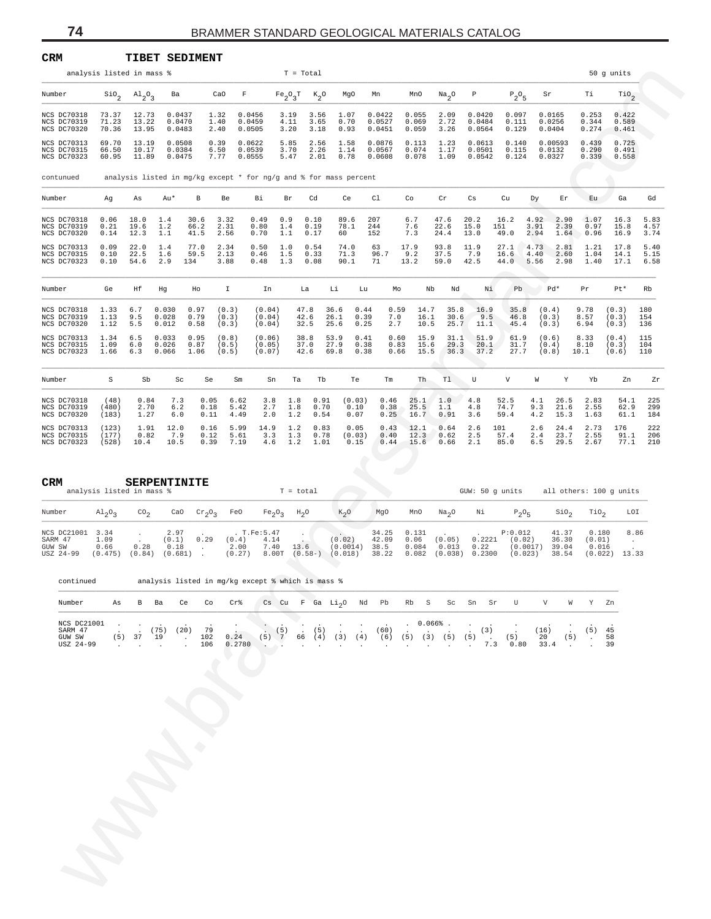| <b>CRM</b>                                               |                                 |                                        |                                            | <b>TIBET SEDIMENT</b>                                                 |                              |                                        |                          |                                         |                            |                                 |                                 |                                    |                                                                 |                              |                              |                                  |                                     |                                         |                              |
|----------------------------------------------------------|---------------------------------|----------------------------------------|--------------------------------------------|-----------------------------------------------------------------------|------------------------------|----------------------------------------|--------------------------|-----------------------------------------|----------------------------|---------------------------------|---------------------------------|------------------------------------|-----------------------------------------------------------------|------------------------------|------------------------------|----------------------------------|-------------------------------------|-----------------------------------------|------------------------------|
|                                                          | analysis listed in mass %       |                                        |                                            |                                                                       |                              |                                        | $T = Total$              |                                         |                            |                                 |                                 |                                    |                                                                 |                              |                              |                                  |                                     | 50 g units                              |                              |
| Number                                                   |                                 | $\sin_{2}$ $\text{Al}_{2}\text{O}_{3}$ | Ba                                         | CaO                                                                   | $\mathbf F$                  |                                        | $Fe_2O_3T$ $K_2O$        |                                         | MgO                        | Mn                              | MnO                             | Na <sub>2</sub> O                  | P                                                               | $P_2O_5$                     | Sr                           |                                  | Тi                                  | $\text{rio}_2$                          |                              |
| <b>NCS DC70318</b><br><b>NCS DC70319</b><br>NCS DC70320  | 73.37<br>71.23<br>70.36         | 12.73<br>13.22<br>13.95                | 0.0437<br>0.0470<br>0.0483                 | 1.32<br>1.40<br>2.40                                                  |                              | 0.0456<br>0.0459<br>0.0505             | 3.19<br>4.11<br>3.20     | 3.56<br>3.65<br>3.18                    | 1.07<br>0.70<br>0.93       | 0.0422<br>0.0527<br>0.0451      | 0.055<br>0.069<br>0.059         | 2.09<br>2.72<br>3.26               | 0.0420<br>0.0484<br>0.0564                                      | 0.097<br>0.111<br>0.129      |                              | 0.0165<br>0.0256<br>0.0404       | 0.253<br>0.344<br>0.274             | 0.422<br>0.589<br>0.461                 |                              |
| NCS DC70313<br>NCS DC70315<br>NCS DC70323                | 69.70<br>66.50<br>60.95         | 13.19<br>10.17<br>11.89                | 0.0508<br>0.0384<br>0.0475                 | 0.39<br>6.50<br>7.77                                                  |                              | 0.0622<br>0.0539<br>0.0555             | 5.85<br>3.70<br>5.47     | 2.56<br>2.26<br>2.01                    | 1.58<br>1.14<br>0.78       | 0.0876<br>0.0567<br>0.0608      | 0.113<br>0.074<br>0.078         | 1.23<br>1.17<br>1.09               | 0.0613<br>0.0501<br>0.0542                                      | 0.140<br>0.115<br>0.124      |                              | 0.00593<br>0.0132<br>0.0327      | 0.439<br>0.290<br>0.339             | 0.725<br>0.491<br>0.558                 |                              |
| contunued                                                |                                 |                                        |                                            | analysis listed in mg/kg except $*$ for ng/g and $*$ for mass percent |                              |                                        |                          |                                         |                            |                                 |                                 |                                    |                                                                 |                              |                              |                                  |                                     |                                         |                              |
| Number                                                   | Ag                              | As                                     | Au*                                        | В                                                                     | Be                           | Вi                                     | Br                       | Cd                                      | Ce                         | Cl                              | Co                              | $\operatorname{Cr}$                | Cs                                                              | Cu                           | Dy                           | Er                               | Eu                                  | Ga                                      | Gd                           |
| NCS DC70318<br>NCS DC70319<br>NCS DC70320<br>NCS DC70313 | 0.06<br>0.21<br>0.14<br>0.09    | 18.0<br>19.6<br>12.3<br>22.0           | 1.4<br>1.2<br>1.1<br>1.4                   | 30.6<br>66.2<br>41.5<br>77.0                                          | 3.32<br>2.31<br>2.56<br>2.34 | 0.49<br>0.80<br>0.70<br>0.50           | 0.9<br>1.4<br>1.1<br>1.0 | 0.10<br>0.19<br>0.17<br>0.54            | 89.6<br>78.1<br>60<br>74.0 | 207<br>244<br>152<br>63         | 6.7<br>7.6<br>7.3<br>17.9       | 47.6<br>22.6<br>24.4<br>93.8       | 20.2<br>15.0<br>13.0<br>11.9                                    | 16.2<br>151<br>49.0<br>27.1  | 4.92<br>3.91<br>2.94<br>4.73 | 2.90<br>2.39<br>1.64<br>2.81     | 1.07<br>0.97<br>0.96<br>1.21        | 16.3<br>15.8<br>16.9<br>17.8            | 5.83<br>4.57<br>3.74<br>5.40 |
| NCS DC70315<br>NCS DC70323                               | 0.10<br>0.10                    | 22.5<br>54.6                           | 1.6<br>2.9                                 | 59.5<br>134                                                           | 2.13<br>3.88                 | 0.46<br>0.48                           | 1.5<br>1.3               | 0.33<br>0.08                            | 71.3<br>90.1               | 96.7<br>71                      | 9.2<br>13.2                     | 37.5<br>59.0                       | 7.9<br>42.5                                                     | 16.6<br>44.0                 | 4.40<br>5.56                 | 2.60<br>2.98                     | 1.04<br>1.40                        | 14.1<br>17.1                            | 5.15<br>6.58                 |
| Number                                                   | Ge                              | Ηf                                     | Hg                                         | Ho                                                                    | Ι.                           | In                                     | La                       | Li                                      | Lu                         | Mo                              | Nb                              | Nd                                 | Νi                                                              | Pb                           |                              | Pd*                              | Pr                                  | Pt*                                     | Rb                           |
| NCS DC70318<br><b>NCS DC70319</b><br>NCS DC70320         | 1.33<br>1.13<br>1.12            | 6.7<br>9.5<br>5.5                      | 0.030<br>0.028<br>0.012                    | 0.97<br>0.79<br>0.58                                                  | (0.3)<br>(0.3)<br>(0.3)      | (0.04)<br>(0.04)<br>(0.04)             | 47.8<br>42.6<br>32.5     | 36.6<br>26.1<br>25.6                    | 0.44<br>0.39<br>0.25       | 0.59<br>7.0<br>2.7              | 14.7<br>16.1<br>10.5            | 35.8<br>30.6<br>25.7               | 16.9<br>9.5<br>11.1                                             | 35.8<br>46.8<br>45.4         | (0.4)<br>(0.3)<br>(0.3)      |                                  | 9.78<br>8.57<br>6.94                | (0.3)<br>(0.3)<br>(0.3)                 | 180<br>154<br>136            |
| NCS DC70313<br>NCS DC70315<br>NCS DC70323                | 1.34<br>1.09<br>1.66            | 6.5<br>6.0<br>6.3                      | 0.033<br>0.026<br>0.066                    | 0.95<br>0.87<br>1.06                                                  | (0.8)<br>(0.5)<br>(0.5)      | (0.06)<br>(0.05)<br>(0.07)             | 38.8<br>37.0<br>42.6     | 53.9<br>27.9<br>69.8                    | 0.41<br>0.38<br>0.38       | 0.60<br>0.83<br>0.66            | 15.9<br>15.6<br>15.5            | 31.1<br>29.3<br>36.3               | 51.9<br>20.1<br>37.2                                            | 61.9<br>31.7<br>27.7         | (0.6)<br>(0.4)<br>(0.8)      |                                  | 8.33<br>8.10<br>10.1                | (0.4)<br>(0.3)<br>(0.6)                 | 115<br>104<br>110            |
| Number                                                   | S                               | Sb                                     | Sc                                         | Se                                                                    | Sm                           | Sn                                     | Ta                       | Tb                                      | Te                         | $\rm{Tm}$                       | Th                              | Tl                                 | U                                                               | V                            | W                            | Υ                                | Yb                                  | Zn                                      | Zr                           |
| NCS DC70318<br>NCS DC70319<br>NCS DC70320                | (48)<br>(480)<br>(183)          | 0.84<br>2.70<br>1.27                   | 7.3<br>$6.2$<br>6.0                        | 0.05<br>0.18<br>0.11                                                  | 6.62<br>5.42<br>4.49         | 3.8<br>2.7<br>2.0                      | 1.8<br>1.8<br>1.2        | 0.91<br>0.70<br>0.54                    | (0.03)<br>0.10<br>0.07     | 0.46<br>0.38<br>0.25            | 25.1<br>25.5<br>16.7            | 1.0<br>1.1<br>0.91                 | 4.8<br>4.8<br>3.6                                               | 52.5<br>74.7<br>59.4         | 4.1<br>9.3<br>4.2            | 26.5<br>21.6<br>15.3             | 2.83<br>2.55<br>1.63                | 54.1<br>62.9<br>61.1                    | 225<br>299<br>184            |
| NCS DC70313<br>NCS DC70315<br>NCS DC70323                | (123)<br>(177)<br>(528)         | 1.91<br>0.82<br>10.4                   | 12.0<br>7.9<br>10.5                        | 0.16<br>0.12<br>0.39                                                  | 5.99<br>5.61<br>7.19         | 14.9<br>3.3<br>4.6                     | 1.2<br>1.3<br>1.2        | 0.83<br>0.78<br>1.01                    | 0.05<br>(0.03)<br>0.15     | 0.43<br>0.40<br>0.44            | 12.1<br>12.3<br>15.6            | 0.64<br>0.62<br>0.66               | 2.6<br>2.5<br>2.1                                               | 101<br>57.4<br>85.0          | 2.6<br>2.4<br>6.5            | 24.4<br>23.7<br>29.5             | 2.73<br>2.55<br>2.67                | 176<br>91.1<br>77.1                     | 222<br>206<br>210            |
| CRM                                                      | analysis listed in mass %       |                                        | <b>SERPENTINITE</b>                        |                                                                       |                              |                                        | $T = total$              |                                         |                            |                                 |                                 |                                    |                                                                 |                              |                              |                                  |                                     | GUW: 50 g units all others: 100 g units |                              |
| Number                                                   | $A1_{2}O_{3}$                   | $\text{co}_2$                          |                                            | CaO $Cr_2O_3$                                                         | FeO                          | Fe <sub>2</sub> O <sub>3</sub>         | $H_2O$                   |                                         | $K_2O$                     | MgO                             | MnO                             | Na <sub>2</sub> O                  | Νi                                                              | $P_2O_5$                     |                              | $\rm SiO_{2}$                    | TiO <sub>2</sub>                    | LOI                                     |                              |
| NCS DC21001<br>SARM 47<br>GUW SW<br>USZ 24-99            | 3.34<br>1.09<br>0.66<br>(0.475) | $\cdot$<br>$\sim$<br>0.28<br>(0.84)    | 2.97<br>(0.1)<br>0.18<br>(0.681)           | 0.29<br>$\sim$<br>$\sim$                                              | (0.4)<br>2.00<br>(0.27)      | . $T.Fe:5.47$<br>4.14<br>7.40<br>8.00T | 13.6                     | $(0.58-)$ $(0.018)$                     | (0.02)<br>(0.0014)         | 34.25<br>42.09<br>38.5<br>38.22 | 0.131<br>0.06<br>0.084<br>0.082 | (0.05)<br>0.013<br>(0.038)         | 0.2221<br>0.22<br>0.2300                                        | P:0.012<br>(0.02)<br>(0.023) | (0.0017)                     | 41.37<br>36.30<br>39.04<br>38.54 | 0.180<br>(0.01)<br>0.016<br>(0.022) | 8.86<br>$\sim$ $-$<br>13.33             |                              |
| continued                                                |                                 |                                        |                                            | analysis listed in mg/kg except % which is mass %                     |                              |                                        |                          |                                         |                            |                                 |                                 |                                    |                                                                 |                              |                              |                                  |                                     |                                         |                              |
| Number                                                   | As                              | B Ba                                   | Ce                                         | Co                                                                    | $Cr$ $%$                     |                                        |                          | Cs Cu F Ga $Li_2O$ Nd Pb                |                            |                                 | Rb S                            | Sc                                 | Sn Sr                                                           | U                            | V                            | W                                | Y Zn                                |                                         |                              |
| NCS DC21001<br>SARM 47<br>GUW SW<br>USZ 24-99            | (5)<br>$\sim$                   | 37                                     | (75)<br>(20)<br>19<br>$\ddot{\phantom{a}}$ | 79<br>102<br>106<br>$\cdot$                                           | 0.24<br>0.2780               | (5)<br>$\sim$                          | $\sim$                   | (5)<br>$\sim$<br>$(5)$ 7 66 (4) (3) (4) |                            | (60)                            | $\ddot{\phantom{0}}$            | $0.066%$ .<br>$\ddot{\phantom{a}}$ | (3)<br>$(6)$ $(5)$ $(3)$ $(5)$ $(5)$ .<br>7.3<br>$\overline{a}$ | (5)<br>0.80                  | (16)<br>20<br>33.4           | (5)<br>$\sim$                    | $(5)$ 45<br>$\sim$<br>$\sim$        | 58<br>39                                |                              |
|                                                          |                                 |                                        |                                            |                                                                       |                              |                                        |                          |                                         |                            |                                 |                                 |                                    |                                                                 |                              |                              |                                  |                                     |                                         |                              |
|                                                          |                                 |                                        |                                            |                                                                       |                              |                                        |                          |                                         |                            |                                 |                                 |                                    |                                                                 |                              |                              |                                  |                                     |                                         |                              |
|                                                          |                                 |                                        |                                            |                                                                       |                              |                                        |                          |                                         |                            |                                 |                                 |                                    |                                                                 |                              |                              |                                  |                                     |                                         |                              |
|                                                          |                                 |                                        |                                            |                                                                       |                              |                                        |                          |                                         |                            |                                 |                                 |                                    |                                                                 |                              |                              |                                  |                                     |                                         |                              |
|                                                          |                                 |                                        |                                            |                                                                       |                              |                                        |                          |                                         |                            |                                 |                                 |                                    |                                                                 |                              |                              |                                  |                                     |                                         |                              |
|                                                          |                                 |                                        |                                            |                                                                       |                              |                                        |                          |                                         |                            |                                 |                                 |                                    |                                                                 |                              |                              |                                  |                                     |                                         |                              |
|                                                          |                                 |                                        |                                            |                                                                       |                              |                                        |                          |                                         |                            |                                 |                                 |                                    |                                                                 |                              |                              |                                  |                                     |                                         |                              |

| <b>CRM</b>                                    | analysis listed in mass %       | <b>SERPENTINITE</b> |                                  |           |                         |                                       | $T = total$         |                               |                                 |                                 |                            | GUW: 50 q units          |                                          |                                  | all others: 100 q units             |               |
|-----------------------------------------------|---------------------------------|---------------------|----------------------------------|-----------|-------------------------|---------------------------------------|---------------------|-------------------------------|---------------------------------|---------------------------------|----------------------------|--------------------------|------------------------------------------|----------------------------------|-------------------------------------|---------------|
| Number                                        | $\mathrm{Al}_{2}\mathrm{O}_{2}$ | CO <sub>2</sub>     | CaO                              | $Cr_0O_2$ | FeO                     | $Fe_2O_2$                             | $H_2O$              | $K_2O$                        | MgO                             | MnO                             | Na <sub>2</sub> O          | Νi                       | $P_0O_E$                                 | SiO <sub>2</sub>                 | TiO,                                | LOI           |
| NCS DC21001<br>SARM 47<br>GUW SW<br>USZ 24-99 | 3.34<br>1.09<br>0.66<br>(0.475) | 0.28<br>(0.84)      | 2.97<br>(0,1)<br>0.18<br>(0.681) | 0.29      | (0.4)<br>2.00<br>(0.27) | . T.Fe: 5.47<br>4.14<br>7.40<br>8.00T | 13.6<br>$(0.58 - )$ | (0.02)<br>(0.0014)<br>(0.018) | 34.25<br>42.09<br>38.5<br>38.22 | 0.131<br>0.06<br>0.084<br>0.082 | (0.05)<br>0.013<br>(0.038) | 0.2221<br>0.22<br>0.2300 | P:0.012<br>(0.02)<br>(0.0017)<br>(0.023) | 41.37<br>36.30<br>39.04<br>38.54 | 0.180<br>(0.01)<br>0.016<br>(0.022) | 8.86<br>13.33 |

| continued          |     |    |     |     |     | analysis listed in mg/kg except % which is mass % |                |       |    |      |      |     |      |     |             |     |     |     |      |      |     |     |    |
|--------------------|-----|----|-----|-----|-----|---------------------------------------------------|----------------|-------|----|------|------|-----|------|-----|-------------|-----|-----|-----|------|------|-----|-----|----|
| Number             | As  | в  | Ba  | Ce  | Co  | $Cr$ $\,$                                         | $\mathbb{C}$ s | Cu    |    | F Ga | Li,0 | Nd  | Pb   |     | Rb S        | Sc  | Sn  | Sr  | U    | v    | W   |     | Zn |
| <b>NCS DC21001</b> |     |    |     |     |     |                                                   |                |       |    |      |      |     |      |     | $0.066\%$ . |     |     |     |      |      |     |     |    |
| SARM 47            |     |    | 75) | 20) | 79  |                                                   |                | (5)   |    | (5)  |      |     | (60) |     |             |     |     | (3) |      | 16)  |     | (5) | 45 |
| GUW SW             | (5) | 37 | 19  |     | 102 | 0.24                                              |                | (5) 7 | 66 | 〔4〕  | (3)  | (4) | (6)  | (5) | 3)          | (5) | (5) |     | (5)  | 20   | (5) |     | 58 |
| USZ 24-99          |     |    |     |     | 106 | 0.2780                                            |                |       |    |      |      |     |      |     |             |     |     |     | 0.80 | 33.4 |     |     | 39 |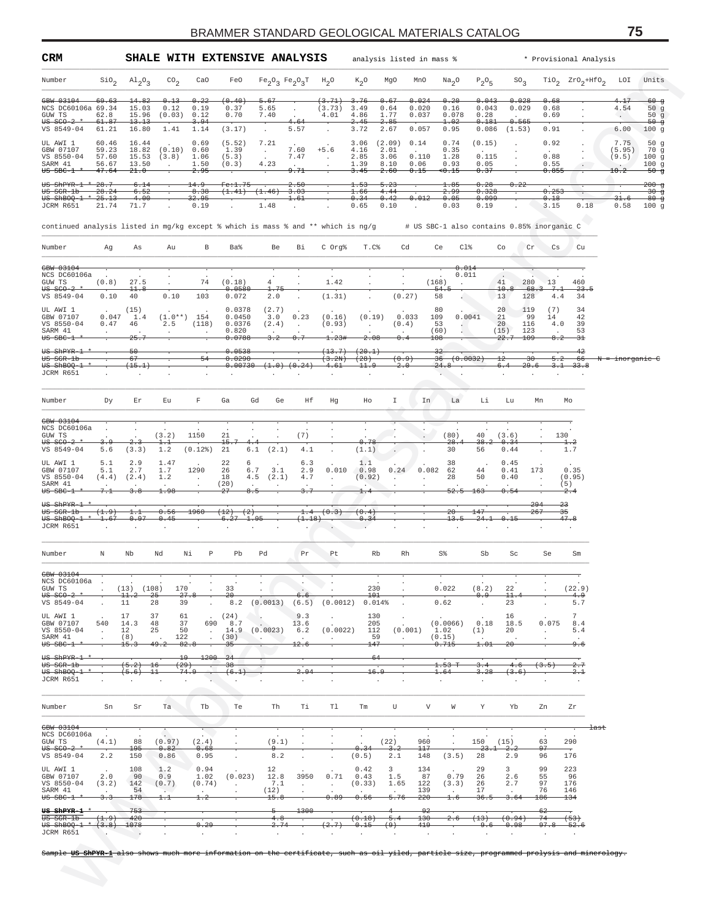| CRM                                                                                                                                                            |                         |                               |                       |                                                        |                           | SHALE WITH EXTENSIVE ANALYSIS |                                           |                         | analysis listed in mass %               |                          |                |                                            |                        |                           |                        |                       | * Provisional Analysis |                            |                           |
|----------------------------------------------------------------------------------------------------------------------------------------------------------------|-------------------------|-------------------------------|-----------------------|--------------------------------------------------------|---------------------------|-------------------------------|-------------------------------------------|-------------------------|-----------------------------------------|--------------------------|----------------|--------------------------------------------|------------------------|---------------------------|------------------------|-----------------------|------------------------|----------------------------|---------------------------|
| Number                                                                                                                                                         | $\sin \theta_2$         | $A1_{2}O_{3}$                 | CO <sub>2</sub>       | CaO                                                    | FeO                       |                               | $Fe_2O_3$ $Fe_2O_3T$ $H_2O$               |                         | $K_2O$                                  | MgO                      | MnO            | Na <sub>2</sub> O                          | $P_2O_5$               | $SO_{2}$                  |                        |                       | $TiO2$ $ZrO2+HfO2$     | LOI                        | Units                     |
| <del>GBW 03104</del><br>NCS DC60106a 69.34                                                                                                                     | <del>69.63</del>        | 14.82<br>15.03                | 0.13<br>0.12          | 0.22<br>0.19                                           | (0.40)<br>0.37            | <del>5.67</del><br>5.65       |                                           | (3.71)<br>(3.73)        | <del>3.76</del><br>3.49                 | 0.67<br>0.64             | 0.024<br>0.020 | 0.20<br>0.16                               | 0.043<br>0.043         | 0.028<br>0.029            |                        | 0.68<br>0.68          |                        | 4.17<br>4.54               | $-60$ g<br>50g            |
| GUW TS<br>$US$ sco-2                                                                                                                                           | 62.8<br>61.87           | 15.96<br>13.13                | (0.03)                | 0.12<br>3.94                                           | 0.70                      | 7.40<br>$\cdot$               | 4.64                                      | 4.01                    | 4.86<br>2.45                            | 1.77<br>2.85             | 0.037          | 0.078<br>1.02                              | 0.28<br>0.181          | <del>0.565</del>          |                        | 0.69                  |                        | $\sim$                     | 50 $g$<br><del>50 g</del> |
| VS 8549-04<br>UL AWI 1                                                                                                                                         | 61.21<br>60.46          | 16.80<br>16.44                | 1.41                  | 1.14<br>0.69                                           | (3.17)<br>(5.52)          | $\cdot$<br>7.21               | 5.57                                      |                         | 3.72<br>3.06                            | 2.67<br>(2.09)           | 0.057<br>0.14  | 0.95<br>0.74                               | 0.086<br>(0.15)        | (1.53)                    |                        | 0.91<br>0.92          |                        | 6.00<br>7.75               | 100g<br>50 $g$            |
| GBW 07107<br>VS 8550-04                                                                                                                                        | 59.23<br>57.60          | 18.82<br>15.53                | (0.10)<br>(3.8)       | 0.60<br>1.06                                           | 1.39<br>(5.3)             | $\sim$                        | 7.60<br>7.47                              | $+5.6$<br>$\cdot$       | 4.16<br>2.85                            | 2.01<br>3.06             | 0.110          | 0.35<br>1.28                               | 0.115                  |                           |                        | 0.88                  |                        | (5.95)<br>(9.5)            | 70 g<br>100g              |
| SARM 41<br><del>US SBC-1</del>                                                                                                                                 | 56.67<br>47.64          | 13.50<br>-21.0                | $\cdot$               | 1.50<br>2.95                                           | (0.3)                     | 4.23                          | $\cdot$<br>9.71                           | $\ddot{\phantom{a}}$    | 1.39<br>3.45                            | 8.10<br>2.60             | 0.06<br>0.15   | 0.93<br><del>&lt;0.15</del>                | 0.05<br>0.37           |                           |                        | 0.55<br>0.855         | $\ddot{\phantom{0}}$   | $\cdot$<br>10.2            | 100g<br>$-50 - g$         |
| <del>US ShPYR-1 *</del>                                                                                                                                        | $-28.7$                 | 6.14                          |                       | 14.9                                                   | <del>Fe:1.75</del>        |                               | 2.50                                      |                         | 1.53                                    | 5.23                     |                | 1.85                                       | 0.28                   | 0.22                      |                        |                       |                        |                            | $200 - g$                 |
| <del>US SGR-1b</del><br>$US$ shBOQ-1<br>JCRM R651                                                                                                              | 28.24<br>25.13<br>21.74 | 6.52<br>4.00<br>71.7          |                       | 8.38<br><del>32.95</del><br>0.19                       | (1.41)                    | (1.46)<br>1.48                | 3.03<br>$^{1.61}$<br>$\ddot{\phantom{a}}$ |                         | 1.66<br>0.34<br>0.65                    | 4.44<br>0.42<br>0.10     | 0.012          | 2.99<br>0.05<br>0.03                       | 0.328<br>0.099<br>0.19 |                           |                        | 0.253<br>0.18<br>3.15 | $\bullet$<br>0.18      | 31.6<br>0.58               | -30 ფ<br>$80 - g$<br>100g |
|                                                                                                                                                                |                         |                               |                       |                                                        |                           |                               |                                           |                         |                                         |                          |                |                                            |                        |                           |                        |                       |                        |                            |                           |
| continued analysis listed in mg/kg except % which is mass % and ** which is ng/g                                                                               |                         |                               |                       |                                                        |                           |                               |                                           |                         |                                         |                          |                | # US SBC-1 also contains 0.85% inorganic C |                        |                           |                        |                       |                        |                            |                           |
| Number                                                                                                                                                         | Ag                      | As                            | Au                    | В                                                      | Ba%                       | Be                            | Вi                                        | C Org%                  | T.C                                     | Cd                       |                | Cl%<br>Ce                                  |                        | Co                        | Cr                     | Cs                    | Cu                     |                            |                           |
| GBW 03104<br>NCS DC60106a                                                                                                                                      |                         |                               |                       |                                                        |                           |                               |                                           |                         |                                         |                          |                | 0.014<br>0.011                             |                        |                           |                        |                       |                        |                            |                           |
| GUW TS<br>$0-2$                                                                                                                                                | (0.8)                   | 27.5<br>11.8                  | $\cdot$               | 74                                                     | (0.18)<br>0.0580          | 4<br>1.75                     |                                           | 1.42                    | $\cdot$                                 | $\cdot$                  |                | (168)<br>$-54.$                            |                        | 41<br>10.8                | 280<br>68.3            | 13<br>7.1             | 460<br>23.5            |                            |                           |
| VS 8549-04                                                                                                                                                     | 0.10                    | 40                            | 0.10                  | 103                                                    | 0.072                     | 2.0                           |                                           | (1.31)                  |                                         | (0.27)                   |                | 58                                         |                        | 13                        | 128                    | 4.4                   | 34                     |                            |                           |
| UL AWI 1<br>GBW 07107                                                                                                                                          | 0.047                   | (15)<br>1.4                   | $(1\, . \, 0$ * * $)$ | 154                                                    | 0.0378<br>0.0450          | (2.7)<br>3.0                  | 0.23                                      | (0.16)                  | (0.19)                                  | 0.033                    |                | 80<br>0.0041<br>109                        |                        | 20<br>21                  | 119<br>99              | (7)<br>14             | 34<br>42               |                            |                           |
| VS 8550-04<br>SARM 41<br>$US$ $SBC-1$                                                                                                                          | $0.47\,$                | 46<br>25. '                   | 2.5<br>$\cdot$        | (118)<br>$\cdot$                                       | 0.0376<br>0.820<br>0.0788 | (2.4)<br>$3-2$                | $\blacksquare$<br>0.7                     | (0.93)<br>1.234         | $\ddot{\phantom{1}}$<br>2.08            | (0.4)<br>0.4             |                | 53<br>(60)<br>108                          |                        | 20<br>(15)<br>22.7        | 116<br>123<br>109      | 4.0<br>8.2            | 39<br>53<br>31         |                            |                           |
| <del>US ShPYR-1</del>                                                                                                                                          |                         | -50                           |                       |                                                        | 0.0538                    |                               |                                           | (13.7)                  | (20.1)                                  |                          |                | 32                                         |                        |                           |                        |                       | -42                    |                            |                           |
| <del>US SGR-1b</del><br>US ShBOQ-1                                                                                                                             |                         | 67<br>(15.1)                  |                       | 54                                                     | 0.0290<br>0.00730         |                               | $(1.0)$ $(0.24)$                          | (3.2N)<br>4.61          | (28)<br><del>11.9</del>                 | (0.9)<br>$2 \cdot 0$     |                | 36<br>(0.0032)<br>24.8                     |                        | $_{12}$<br>6.4            | -30<br><del>29.6</del> | <del>5.2</del>        | - 66<br>$3.1 - 33.8$   | <del>N = inorganic C</del> |                           |
| JCRM R651                                                                                                                                                      |                         |                               |                       |                                                        |                           |                               |                                           |                         |                                         | $\cdot$                  |                | ä.                                         |                        |                           |                        |                       |                        |                            |                           |
| Number                                                                                                                                                         | Dy                      | Εr                            | Εu                    | F                                                      | Ga                        | Gd<br>Ge                      | Нf                                        | Hg                      | Ho                                      | I                        | In             | La                                         | Li                     | Lu                        | Mn                     |                       | Mo                     |                            |                           |
|                                                                                                                                                                |                         |                               |                       |                                                        |                           |                               |                                           |                         |                                         |                          |                |                                            |                        |                           |                        |                       |                        |                            |                           |
| GBW 03104<br>NCS DC60106a                                                                                                                                      |                         |                               |                       |                                                        |                           |                               |                                           |                         |                                         |                          |                |                                            |                        |                           |                        |                       |                        |                            |                           |
| GUW TS<br>$0-2$<br>VS 8549-04                                                                                                                                  | 5.6                     | 2.3<br>(3.3)                  | (3.2)<br>1.1<br>1.2   | 1150<br>(0.12)                                         | 21<br>15.<br>21           | 4.4<br>(2.1)<br>6.1           | (7)<br>4.1                                | $\cdot$                 | 0.78<br>(1.1)                           |                          | $\cdot$        | (80)<br>28.4<br>30                         | 40<br>38.2<br>56       | (3.6)<br>0.34<br>0.44     |                        | 130                   | 1.2<br>1.7             |                            |                           |
| UL AWI 1                                                                                                                                                       | 5.1                     | 2.9                           | 1.47                  |                                                        | 22                        | 6                             | 6.3                                       |                         | 1.1                                     |                          |                | 38                                         |                        | 0.45                      |                        |                       |                        |                            |                           |
| GBW 07107<br>VS 8550-04                                                                                                                                        | 5.1<br>(4.4)            | 2.7<br>(2.4)                  | 1.7<br>1.2            | 1290<br>$\cdot$                                        | 26<br>18                  | 6.7<br>3.1<br>(2.1)<br>4.5    | 2.9<br>4.7                                | 0.010<br>$\blacksquare$ | 0.98<br>(0.92)                          | 0.24                     | 0.082          | 62<br>28                                   | 44<br>50               | 0.41<br>0.40              | 173                    |                       | 0.35<br>(0.95)         |                            |                           |
| SARM 41<br>$00$ $00$ $00$ $00$ $00$ $00$ $00$ $00$ $00$ $00$ $00$ $00$ $00$ $00$                                                                               |                         | 3.8                           | $\cdot$<br>1.98       | $\cdot$                                                | (20)<br>$^{27}$           | 8.5                           |                                           |                         |                                         |                          |                | <del>52.5</del>                            | <del>163</del>         | 0.54                      |                        |                       | (5)<br>2.4             |                            |                           |
| <del>US ShPYR-1</del><br><del>US SGR-1b</del>                                                                                                                  | (1.9)                   | 1.1                           | 0.56                  | 1960                                                   | (2)<br>$^{(12)}$          |                               | 1.4                                       | (0.3)                   | (0.4)                                   |                          |                | 20                                         | 147                    |                           | 294<br>267             | 23<br>35              |                        |                            |                           |
| US ShBOQ-1<br>JCRM R651                                                                                                                                        | 1.67                    | 0.97                          | 0.45                  |                                                        | <del>6.27</del>           | <del>1.9</del> 5              | (1.18)                                    |                         | 0.34                                    |                          |                | 13.5                                       | 24.1                   | 0.15                      |                        |                       | 47.8                   |                            |                           |
|                                                                                                                                                                |                         |                               |                       |                                                        |                           |                               |                                           |                         |                                         |                          |                |                                            |                        |                           |                        |                       |                        |                            |                           |
| Number                                                                                                                                                         | Ν                       | Nb                            | Nd                    | Р<br>Νi                                                | Pb                        | Pd                            | Pr                                        | Pt                      | Rb                                      | Rh                       |                | S%                                         | Sb                     | Sc                        |                        | Se                    | Sm                     |                            |                           |
| GBW 03104                                                                                                                                                      |                         |                               |                       |                                                        |                           |                               |                                           |                         |                                         |                          |                |                                            |                        |                           |                        |                       | ╤                      |                            |                           |
| NCS DC60106a<br>GUW TS                                                                                                                                         |                         | $(13)$ $(108)$                | 170                   |                                                        | 33                        |                               |                                           |                         | 230                                     |                          |                | 0.022                                      | (8.2)                  | 22                        |                        |                       | (22.9)                 |                            |                           |
| $00$ $0-2$<br>VS 8549-04                                                                                                                                       | $\cdot$                 | $^{11.2}$<br>11               | -25<br>28             | 27.8<br>39                                             | -20<br>8.2                | (0.0013)                      | 6.6<br>(6.5)                              | (0.0012)                | $^{101}$<br>0.014%                      |                          |                | 0.62                                       | 0.9<br>$\cdot$         | 11.<br>23                 |                        |                       | 4.9<br>5.7             |                            |                           |
| UL AWI 1<br>GBW 07107                                                                                                                                          | 540                     | 17<br>14.3                    | 37<br>48              | 61<br>37<br>690                                        | (24)<br>8.7               | $\cdot$                       | 9.3<br>13.6                               | $\cdot$                 | 130<br>205                              | $\cdot$                  |                | (0.0066)                                   | 0.18                   | 16<br>18.5                |                        | 0.075                 | 7<br>8.4               |                            |                           |
| VS 8550-04<br>SARM 41                                                                                                                                          | $\ddot{\phantom{a}}$    | 12<br>(8)                     | 25<br>122             | 50<br>$\cdot$                                          | 14.9<br>(30)              | (0.0023)<br>$\sim$            | 6.2                                       | (0.0022)<br>$\sim$      | 112<br>59                               | (0.001)<br>$\cdot$       |                | 1.02<br>(0.15)                             | (1)                    | 20                        |                        | $\ddot{\phantom{a}}$  | 5.4                    |                            |                           |
| $00$ $00$ $00$ $00$ $00$ $00$ $00$ $00$ $00$ $00$ $00$ $00$ $00$ $00$                                                                                          |                         | 15.3                          | <del>49.2</del>       | 82.8                                                   | 35                        |                               | 12.6                                      |                         | 147                                     |                          |                | 0.715                                      | 1.01                   | -20-                      |                        |                       | 9.6                    |                            |                           |
| <del>US ShPYR-1</del><br><del>US SGR-1b</del>                                                                                                                  |                         | $(5.2) - 16$                  |                       | $+9-$<br>1200<br>$^{(29)}$<br>$\overline{\phantom{0}}$ | $^{24}$<br>38             | $\cdot$<br>$\bullet$          | $\cdot$                                   | $\cdot$<br>$\cdot$      | -64                                     | $\cdot$                  |                | <del>1.53</del>                            | 3.4                    | 4.6                       |                        | (3.5)                 | 2.7                    |                            |                           |
| <del>US ShBOQ-1</del><br>JCRM R651                                                                                                                             |                         | (5.6)<br>$\ddot{\phantom{0}}$ | $^{-11}$              | 74.9                                                   | (6.1)<br>$\cdot$          |                               | 2.94<br>$\cdot$                           | $\cdot$                 | <del>16.9</del><br>$\ddot{\phantom{a}}$ |                          |                | 1.64<br>$\ddot{\phantom{a}}$               | 3.28<br>$\cdot$        | (3.6)                     |                        |                       | 2.1<br>$\cdot$         |                            |                           |
|                                                                                                                                                                |                         |                               |                       |                                                        |                           |                               |                                           |                         |                                         |                          |                |                                            |                        |                           |                        |                       |                        |                            |                           |
| Number                                                                                                                                                         | Sn                      | Sr                            | Ta.                   | Tb                                                     | Te                        | Th                            | Тi                                        | Tl                      | Tm                                      | U                        | V              | W                                          | Y                      | Yb                        | Zn                     |                       | Zr                     |                            |                           |
| GBW 03104<br>NCS DC60106a                                                                                                                                      |                         |                               |                       |                                                        |                           |                               |                                           |                         |                                         |                          |                |                                            |                        |                           |                        |                       | <del>last</del><br>- - |                            |                           |
| GUW TS<br>$00$ sco-2                                                                                                                                           | (4.1)                   | 88<br>195                     | (0.97)<br>0.82        | (2.4)<br>0.68                                          | $\cdot$                   | (9.1)<br>-9                   |                                           | $\cdot$                 | <del>0.34</del>                         | (22)<br>$3 \cdot 2$      | 960<br>117     | $\ddot{\phantom{0}}$                       | 150<br>-23             | (15)<br>$-2-2$            | 63<br>97               |                       | 290                    |                            |                           |
| VS 8549-04                                                                                                                                                     | 2.2                     | 150                           | 0.86                  | 0.95                                                   |                           | 8.2                           |                                           | $\cdot$                 | (0.5)                                   | 2.1                      | 148            | (3.5)                                      | 28                     | 2.9                       | 96                     |                       | 176                    |                            |                           |
| UL AWI 1<br>GBW 07107                                                                                                                                          | 2.0                     | 108<br>90                     | 1.2<br>0.9            | 0.94<br>1.02                                           | (0.023)                   | 12<br>12.8                    | 3950                                      | 0.71                    | 0.42<br>0.43                            | 3<br>1.5                 | 134<br>87      | 0.79                                       | 29<br>26               | 3<br>2.6                  | 99<br>55               |                       | 223<br>96              |                            |                           |
| VS 8550-04<br>SARM 41                                                                                                                                          | (3.2)                   | 142<br>54                     | (0.7)                 | (0.74)                                                 | $\cdot$<br>$\cdot$        | 7.1<br>(12)                   | $\cdot$<br>$\cdot$                        | $\cdot$                 | (0.33)                                  | 1.65                     | 122<br>139     | (3.3)                                      | 26<br>17               | 2.7                       | 97<br>76               |                       | 176<br>146             |                            |                           |
| $00$ $00$ $00$ $00$ $00$ $00$ $00$ $00$ $00$ $00$ $00$ $00$ $00$ $00US ShPYR-1$                                                                                | 3.3                     | 178<br>753                    | $^{1.1}$              | 1.2<br>$\cdot$                                         |                           | 15.8<br>5                     | 1300                                      | 0.89<br>$\cdot$         | 0.56                                    | 5.76                     | 220<br>$-92$   | 1.6                                        | <del>36.5</del>        | 3.64                      | <del>186</del><br>62   |                       | 134                    |                            |                           |
| <del>US SGR-1b</del><br><del>US ShBOQ-1</del>                                                                                                                  | (1.9)<br>(3.8)          | -420<br>$-1078$               |                       | 0.29                                                   |                           | 4.8<br>2.74                   |                                           | (2.7)                   | (0.18)<br>$-0.15$                       | $-5.4$<br><del>(9)</del> | 130<br>419     | 2.6                                        | (13)<br>9.6            | (0.94)<br><del>0.98</del> | 74                     | <del>97.8</del>       | $(+53)$<br>-52.6       |                            |                           |
| JCRM R651                                                                                                                                                      | $\ddotsc$               |                               |                       | $\blacksquare$                                         |                           | $\cdot$                       |                                           | $\cdot$                 | $\cdot$                                 |                          |                |                                            | $\cdot$                | $\cdot$                   |                        | $\cdot$               | $\cdot$                |                            |                           |
| <del>Sample <b>US ShPYR-1</b> also shows much more information on the certificate, such as oil yiled, particle size, programmed prolysis and minerology.</del> |                         |                               |                       |                                                        |                           |                               |                                           |                         |                                         |                          |                |                                            |                        |                           |                        |                       |                        |                            |                           |
|                                                                                                                                                                |                         |                               |                       |                                                        |                           |                               |                                           |                         |                                         |                          |                |                                            |                        |                           |                        |                       |                        |                            |                           |
|                                                                                                                                                                |                         |                               |                       |                                                        |                           |                               |                                           |                         |                                         |                          |                |                                            |                        |                           |                        |                       |                        |                            |                           |

Sample **US ShPYR-1** also shows much more information on the certificate, such as oil yiled, particle size, programmed prolysis and minerology.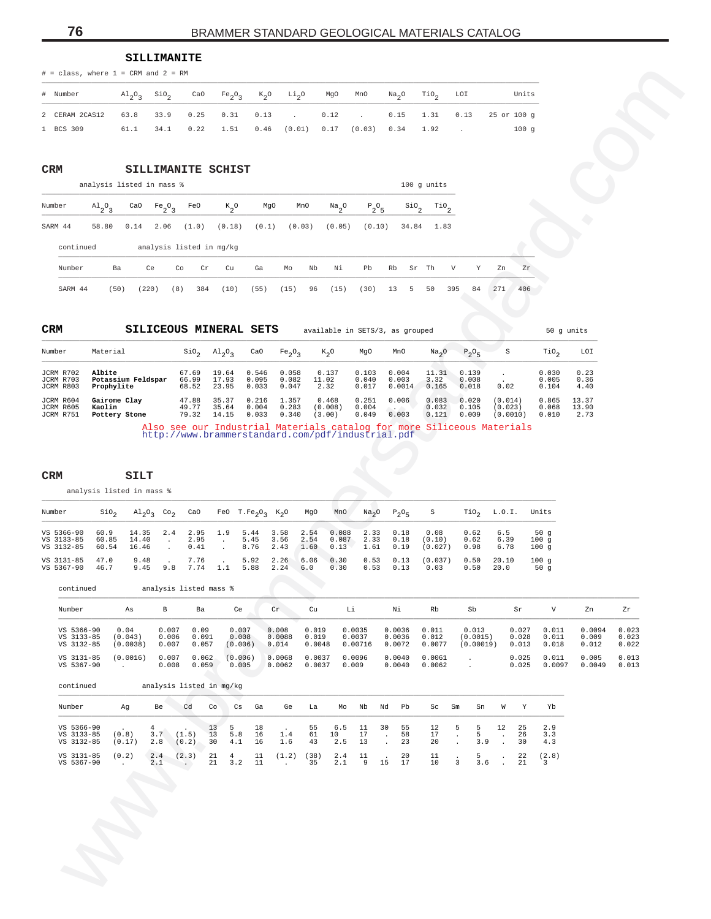#### **SILLIMANITE**

| # Number                                                                    |  |  | $\text{Al}_2\text{O}_3$ SiO <sub>2</sub> CaO Fe <sub>2</sub> O <sub>3</sub> K <sub>2</sub> O Li <sub>2</sub> O MgO MnO Na <sub>2</sub> O TiO <sub>2</sub> LOI |  |  | Units |
|-----------------------------------------------------------------------------|--|--|---------------------------------------------------------------------------------------------------------------------------------------------------------------|--|--|-------|
| 2 CERAM 2CAS12 63.8 33.9 0.25 0.31 0.13 . 0.12 . 0.15 1.31 0.13 25 or 100 g |  |  |                                                                                                                                                               |  |  |       |
| 1 BCS 309                                                                   |  |  | $61.1$ $34.1$ $0.22$ $1.51$ $0.46$ $(0.01)$ $0.17$ $(0.03)$ $0.34$ $1.92$ .                                                                                   |  |  | 100q  |

#### **CRM SILLIMANITE SCHIST**

| Number    | $A1_{2}O_{3}$ | CaO  | $Fe-O-$<br>-2-3 | FeO                      | $K_{0}$ | MgO   |      | MnO    | $\frac{Na}{2}$ <sup>O</sup> | $P_2O_5$ |    | $\sin$ |       | $\mathop{\rm TiO}\nolimits_2$ |    |     |     |
|-----------|---------------|------|-----------------|--------------------------|---------|-------|------|--------|-----------------------------|----------|----|--------|-------|-------------------------------|----|-----|-----|
| SARM 44   | 58.80         | 0.14 | 2.06            | (1.0)                    | (0.18)  | (0.1) |      | (0.03) | (0.05)                      | (0.10)   |    | 34.84  |       | 1.83                          |    |     |     |
| continued |               |      |                 | analysis listed in mg/kg |         |       |      |        |                             |          |    |        |       |                               |    |     |     |
| Number    | Ba            |      | Ce              | Co<br>Cr                 | Cu      | Ga    | Mo   | Nb     | Νi                          | Pb       | Rb |        | Sr Th | V                             | Y  | Zn  | Zr  |
| SARM 44   | 50)           |      | (220)           | [8]<br>384               | (10)    | (55)  | (15) | 96     | [15]                        | 30)      | 13 | 5      | 50    | 395                           | 84 | 271 | 406 |

| Number                              | Material                                   | $SIO_{\alpha}$          | $\mathrm{Al}_{2}\mathrm{O}_{2}$ | CaO                     | Fe <sub>2</sub> O <sub>2</sub> | $K_{\gamma}O$              | MgO                     | MnO                      | Na <sub>2</sub> O       | $P_2O_E$                | S                              | TiO.                    | LOI                    |
|-------------------------------------|--------------------------------------------|-------------------------|---------------------------------|-------------------------|--------------------------------|----------------------------|-------------------------|--------------------------|-------------------------|-------------------------|--------------------------------|-------------------------|------------------------|
| JCRM R702<br>JCRM R703<br>JCRM R803 | Albite<br>Potassium Feldspar<br>Prophylite | 67.69<br>66.99<br>68.52 | 19.64<br>17.93<br>23.95         | 0.546<br>0.095<br>0.033 | 0.058<br>0.082<br>0.047        | 0.137<br>11.02<br>2.32     | 0.103<br>0.040<br>0.017 | 0.004<br>0.003<br>0.0014 | 11.31<br>3.32<br>0.165  | 0.139<br>0.008<br>0.018 | 0.02                           | 0.030<br>0.005<br>0.104 | 0.23<br>0.36<br>4.40   |
| JCRM R604<br>JCRM R605<br>JCRM R751 | Gairome Clay<br>Kaolin<br>Pottery Stone    | 47.88<br>49.77<br>79.32 | 35.37<br>35.64<br>14.15         | 0.216<br>0.004<br>0.033 | 1.357<br>0.283<br>0.340        | 0.468<br>(0.008)<br>(3.00) | 0.251<br>0.004<br>0.049 | 0.006<br>0.003           | 0.083<br>0.032<br>0.121 | 0.020<br>0.105<br>0.009 | (0.014)<br>(0.023)<br>(0.0010) | 0.865<br>0.068<br>0.010 | 13.37<br>13.90<br>2.73 |
|                                     |                                            |                         |                                 |                         |                                |                            |                         |                          |                         |                         | _____                          |                         |                        |

| Number                                 | SiO,          | $\mathrm{Al}_{2}\mathrm{O}_{3}$ Co <sub>2</sub> CaO |               |                              |                          | FeO T.Fe <sub>2</sub> O <sub>2</sub> K <sub>2</sub> O   | MgO         | MnO            | Na <sub>2</sub> O         | $P_2O_F$ S   |                           |                      | TiO <sub>2</sub> L.O.I. Units |                     |
|----------------------------------------|---------------|-----------------------------------------------------|---------------|------------------------------|--------------------------|---------------------------------------------------------|-------------|----------------|---------------------------|--------------|---------------------------|----------------------|-------------------------------|---------------------|
| VS 5366-90<br>VS 3133-85<br>VS 3132-85 | 60.9<br>60.85 | 14.35<br>14.40<br>60.54 16.46 .                     |               | 2.4 2.95<br>2.95<br>$0.41$ . | 1.9                      | 5.44 3.58 2.54<br>5.45 3.56 2.54<br>8.76 2.43 1.60 0.13 |             | 0.088<br>0.087 | 2.33 0.18<br>2.33<br>1.61 | 0.18<br>0.19 | 0.08<br>(0.10)<br>(0.027) | 0.62<br>0.62<br>0.98 | 6.5<br>6.39<br>6.78           | 50q<br>100q<br>100q |
| VS 3131-85<br>VS 5367-90               | 47.0<br>46.7  | 9.48<br>9.45                                        | $\sim$ $\sim$ | 7.76<br>9.8 7.74 1.1         | <b>Contract Contract</b> | $5.92 \quad 2.26$<br>5.88 2.24                          | 6.06<br>6.0 | 0.30<br>0.30   | 0.53<br>0.53              | 0.13<br>0.13 | (0.037)<br>0.03           | 0.50<br>0.50         | 20.10<br>20.0                 | 100q<br>50q         |

| # Number<br>2 CERAM 2CAS12<br>Number<br>SARM 44  | $A1_{2}O_{3}$<br>58.80<br>continued<br>Ba<br>(50)<br>Material | Sio <sub>2</sub><br>$A1_{2}0_{3}$<br>33.9<br>63.8<br>61.1<br>34.1<br>SILLIMANITE SCHIST<br>analysis listed in mass %<br>CaO<br>Fe <sub>2</sub> O <sub>3</sub><br>0.14<br>2.06<br>Ce<br>(220) | CaO<br>0.25<br>0.22<br>FeO<br>(1.0)<br>analysis listed in mg/kg<br>Co<br>Cr<br>(8)<br>384 | Fe <sub>2</sub> O <sub>3</sub><br>0.31<br>0.13<br>1.51<br>0.46<br>$K_2^0$<br>(0.18)<br>Cu<br>Ga<br>(10)<br>(55) | $K_2O$<br>Li <sub>2</sub> O<br>(0.01)<br>MgO<br>MnO<br>(0.1)<br>(0.03)<br>Mo | MgO<br>MnO<br>0.12<br>0.17<br>$\frac{Na}{2}$ <sup>0</sup><br>(0.05)<br>Nb<br>Νi | Na <sub>2</sub> O<br>0.15<br>(0.03)<br>0.34<br>$P_2O_5$<br>$\frac{\text{SiO}}{2}$<br>(0.10)<br>34.84 | TiO <sub>2</sub><br>LOI<br>1.31<br>0.13<br>1.92<br>100 g units<br>$\mathbb{T}^{10}$ <sub>2</sub><br>1.83 | Units<br>25 or 100 g<br>100 <sub>g</sub>                     |                                                 |                |
|--------------------------------------------------|---------------------------------------------------------------|----------------------------------------------------------------------------------------------------------------------------------------------------------------------------------------------|-------------------------------------------------------------------------------------------|-----------------------------------------------------------------------------------------------------------------|------------------------------------------------------------------------------|---------------------------------------------------------------------------------|------------------------------------------------------------------------------------------------------|----------------------------------------------------------------------------------------------------------|--------------------------------------------------------------|-------------------------------------------------|----------------|
|                                                  |                                                               |                                                                                                                                                                                              |                                                                                           |                                                                                                                 |                                                                              |                                                                                 |                                                                                                      |                                                                                                          |                                                              |                                                 |                |
| 1 BCS 309                                        |                                                               |                                                                                                                                                                                              |                                                                                           |                                                                                                                 |                                                                              |                                                                                 |                                                                                                      |                                                                                                          |                                                              |                                                 |                |
| CRM<br>Number<br>SARM 44                         |                                                               |                                                                                                                                                                                              |                                                                                           |                                                                                                                 |                                                                              |                                                                                 |                                                                                                      |                                                                                                          |                                                              |                                                 |                |
|                                                  |                                                               |                                                                                                                                                                                              |                                                                                           |                                                                                                                 |                                                                              |                                                                                 |                                                                                                      |                                                                                                          |                                                              |                                                 |                |
|                                                  |                                                               |                                                                                                                                                                                              |                                                                                           |                                                                                                                 |                                                                              |                                                                                 |                                                                                                      |                                                                                                          |                                                              |                                                 |                |
|                                                  |                                                               |                                                                                                                                                                                              |                                                                                           |                                                                                                                 |                                                                              |                                                                                 |                                                                                                      |                                                                                                          |                                                              |                                                 |                |
|                                                  |                                                               |                                                                                                                                                                                              |                                                                                           |                                                                                                                 |                                                                              |                                                                                 |                                                                                                      |                                                                                                          |                                                              |                                                 |                |
|                                                  |                                                               |                                                                                                                                                                                              |                                                                                           |                                                                                                                 |                                                                              |                                                                                 |                                                                                                      |                                                                                                          |                                                              |                                                 |                |
|                                                  |                                                               |                                                                                                                                                                                              |                                                                                           |                                                                                                                 |                                                                              |                                                                                 | Pb<br>Rb                                                                                             | Sr Th<br>V<br>Y                                                                                          | Zr<br>Zn                                                     |                                                 |                |
| CRM                                              |                                                               |                                                                                                                                                                                              |                                                                                           |                                                                                                                 | (15)                                                                         | 96<br>(15)                                                                      | (30)<br>13<br>5                                                                                      | 50<br>395<br>84                                                                                          | 271<br>406                                                   |                                                 |                |
|                                                  |                                                               |                                                                                                                                                                                              |                                                                                           |                                                                                                                 |                                                                              |                                                                                 |                                                                                                      |                                                                                                          |                                                              |                                                 |                |
| Number                                           |                                                               |                                                                                                                                                                                              |                                                                                           | SILICEOUS MINERAL SETS                                                                                          |                                                                              |                                                                                 | available in SETS/3, as grouped                                                                      |                                                                                                          |                                                              | 50 g units                                      |                |
| JCRM R702<br>JCRM R703<br>JCRM R803<br>JCRM R604 |                                                               |                                                                                                                                                                                              | S10 <sub>2</sub>                                                                          | CaO<br>$A1_{2}0_{3}$                                                                                            | Fe <sub>2</sub> O <sub>3</sub>                                               | $K_2O$                                                                          | MgO<br>MnO                                                                                           | Na <sub>2</sub> O<br>$P_2O_5$                                                                            | S                                                            | LOI<br>TiO <sub>2</sub>                         |                |
|                                                  | Albite<br>Prophylite                                          | Potassium Feldspar                                                                                                                                                                           | 67.69<br>66.99<br>68.52                                                                   | 19.64<br>0.546<br>17.93<br>0.095<br>23.95<br>0.033                                                              | 0.058<br>0.082<br>0.047                                                      | 0.137<br>11.02<br>2.32                                                          | 0.103<br>0.004<br>0.040<br>0.003<br>0.017<br>0.0014                                                  | 11.31<br>0.139<br>3.32<br>0.008<br>0.165<br>0.018                                                        | $\cdot$<br>0.02                                              | 0.23<br>0.030<br>0.005<br>0.36<br>0.104<br>4.40 |                |
| JCRM R605                                        | Gairome Clay                                                  |                                                                                                                                                                                              | 47.88<br>49.77                                                                            | 35.37<br>0.216                                                                                                  | 1.357                                                                        | 0.468                                                                           | 0.251<br>0.006                                                                                       | 0.083<br>0.020<br>0.105                                                                                  | (0.014)<br>(0.023)                                           | 0.865<br>13.37<br>0.068<br>13.90                |                |
| JCRM R751                                        | Kaolin<br>Pottery Stone                                       |                                                                                                                                                                                              | 79.32                                                                                     | 35.64<br>0.004<br>14.15<br>0.033                                                                                | 0.283<br>0.340                                                               | (0.008)<br>(3.00)                                                               | 0.004<br>0.049<br>0.003                                                                              | 0.032<br>0.121<br>0.009<br>Also see our Industrial Materials catalog for more Siliceous Materials        | (0.0010)                                                     | 0.010<br>2.73                                   |                |
| CRM                                              |                                                               | SILT<br>analysis listed in mass %                                                                                                                                                            |                                                                                           |                                                                                                                 |                                                                              |                                                                                 |                                                                                                      |                                                                                                          |                                                              |                                                 |                |
| Number                                           | $\sin \theta_2$                                               | $A1_{2}0_{3}$ Co <sub>2</sub>                                                                                                                                                                | CaO                                                                                       | FeO $T.Fe_2O_3$ K <sub>2</sub> O                                                                                |                                                                              | MgO<br>MnO                                                                      | Na <sub>2</sub> O<br>$P_2O_5$                                                                        | $\text{rio}_2$<br>S                                                                                      | L.0.I.                                                       | Units                                           |                |
| VS 5366-90<br>VS 3133-85<br>VS 3132-85           | 60.9<br>60.85<br>60.54                                        | 14.35<br>2.4<br>14.40<br>$\ddot{\phantom{a}}$<br>16.46<br>$\cdot$                                                                                                                            | 2.95<br>2.95<br>0.41                                                                      | 1.9<br>5.44<br>5.45<br>$\cdot$<br>8.76                                                                          | 3.58<br>2.54<br>3.56<br>2.54<br>2.43<br>1.60                                 | 0.088<br>0.087<br>0.13                                                          | 2.33<br>0.18<br>2.33<br>0.18<br>1.61<br>0.19                                                         | 0.08<br>0.62<br>(0.10)<br>0.62<br>(0.027)<br>0.98                                                        | 6.5<br>6.39<br>6.78                                          | 50g<br>100g<br>100g                             |                |
| VS 3131-85<br>VS 5367-90                         | 47.0<br>46.7                                                  | 9.48<br>9.45<br>9.8                                                                                                                                                                          | 7.76<br>7.74                                                                              | 5.92<br>1.1<br>5.88                                                                                             | 2.26<br>6.06<br>2.24<br>6.0                                                  | 0.30<br>0.30                                                                    | 0.53<br>0.13<br>0.53<br>0.13                                                                         | 0.50<br>(0.037)<br>0.03<br>0.50                                                                          | 20.10<br>20.0                                                | 100g<br>50g                                     |                |
|                                                  | continued                                                     |                                                                                                                                                                                              | analysis listed mass %                                                                    |                                                                                                                 |                                                                              |                                                                                 |                                                                                                      |                                                                                                          |                                                              |                                                 |                |
| Number                                           |                                                               | $\mathbf{B}$<br>As                                                                                                                                                                           | Ba                                                                                        | Ce                                                                                                              | $\operatorname{Cr}$                                                          | Cu<br>Li                                                                        | Νi                                                                                                   | Rb<br>Sb                                                                                                 | Sr                                                           | V<br>Zn                                         | Ζr             |
|                                                  | VS 5366-90                                                    | 0.04<br>0.007                                                                                                                                                                                | 0.09                                                                                      | 0.007                                                                                                           | 0.008                                                                        | 0.019<br>0.0035                                                                 | 0.0036                                                                                               | 0.011<br>0.013                                                                                           | 0.027                                                        | 0.0094<br>0.011                                 | 0.023          |
|                                                  | VS 3133-85<br>VS 3132-85                                      | 0.006<br>(0.043)<br>(0.0038)<br>0.007                                                                                                                                                        | 0.091<br>0.057                                                                            | 0.008<br>(0.006)                                                                                                | 0.0088<br>0.014                                                              | 0.019<br>0.0037<br>0.0048<br>0.00716                                            | 0.0036<br>0.0072                                                                                     | 0.012<br>(0.0015)<br>0.0077<br>(0.00019)                                                                 | 0.028<br>0.013                                               | 0.011<br>0.009<br>0.018<br>0.012                | 0.023<br>0.022 |
|                                                  | VS 3131-85<br>VS 5367-90                                      | (0.0016)<br>0.007<br>0.008<br>$\sim$                                                                                                                                                         | 0.062<br>0.059                                                                            | (0.006)<br>0.005                                                                                                | 0.0068<br>0.0062                                                             | 0.0037<br>0.0096<br>0.009<br>0.0037                                             | 0.0040<br>0.0040                                                                                     | 0.0061<br>$\cdot$<br>0.0062<br>$\cdot$                                                                   | 0.025<br>0.025                                               | 0.005<br>0.011<br>0.0049<br>0.0097              | 0.013<br>0.013 |
|                                                  | continued                                                     |                                                                                                                                                                                              | analysis listed in mg/kg                                                                  |                                                                                                                 |                                                                              |                                                                                 |                                                                                                      |                                                                                                          |                                                              |                                                 |                |
| Number                                           |                                                               | Ag<br>Be                                                                                                                                                                                     | Cd<br>Co                                                                                  | Cs<br>Ga                                                                                                        | Ge                                                                           | La<br>Mо                                                                        | Nb<br>Nd<br>Pb                                                                                       | Sm<br>Sn<br>Sc                                                                                           | W<br>Υ                                                       | Yb                                              |                |
|                                                  | VS 5366-90                                                    | 4                                                                                                                                                                                            | 13<br>(1.5)<br>13                                                                         | 5<br>18<br>5.8<br>16                                                                                            |                                                                              | 55<br>6.5                                                                       | 30<br>11<br>55                                                                                       | 5<br>5<br>12                                                                                             | 12<br>25                                                     | 2.9                                             |                |
|                                                  |                                                               |                                                                                                                                                                                              |                                                                                           |                                                                                                                 |                                                                              |                                                                                 |                                                                                                      |                                                                                                          |                                                              |                                                 |                |
|                                                  | VS 3133-85<br>VS 3132-85<br>VS 3131-85                        | 3.7<br>(0.8)<br>(0.17)<br>2.8<br>(0.2)<br>2.4                                                                                                                                                | (0.2)<br>30<br>(2.3)<br>21                                                                | 4.1<br>16<br>$\overline{4}$<br>11                                                                               | 1.4<br>1.6<br>(1.2)                                                          | 10<br>61<br>2.5<br>43<br>(38)<br>2.4                                            | 17<br>58<br>$\blacksquare$<br>23<br>13<br>$\ddot{\phantom{0}}$<br>20<br>11                           | 17<br>5<br>$\cdot$<br>20<br>3.9<br>$\ddot{\phantom{a}}$<br>5<br>11<br>$\cdot$                            | 26<br>$\cdot$<br>30<br>$\ddot{\phantom{a}}$<br>22<br>$\cdot$ | 3.3<br>4.3<br>(2.8)                             |                |

| Number                                 | Aα              | Be         | Cd                              | Co             | Cs                 | Ga             | Ge                                                       | La         | Mo                  | Nb             | Nd           | Pb             | Sc             | Sm                      | Sn                      | W  | Y.             | Yh                               |
|----------------------------------------|-----------------|------------|---------------------------------|----------------|--------------------|----------------|----------------------------------------------------------|------------|---------------------|----------------|--------------|----------------|----------------|-------------------------|-------------------------|----|----------------|----------------------------------|
| VS 5366-90<br>VS 3133-85<br>VS 3132-85 | (0.8)<br>(0.17) | 3.7<br>2.8 | $\sim$ $\sim$<br>(1.5)<br>(0.2) | 13<br>13<br>30 | $-5$<br>5.8<br>4.1 | 18<br>16<br>16 | <b>Contract Contract Contract Contract</b><br>1.4<br>1.6 | 55<br>61   | 6.5<br>10<br>43 2.5 | 11<br>17<br>13 | 30<br>$\sim$ | 55<br>58<br>23 | 12<br>17<br>20 | - 5                     | $5^{\circ}$<br>5<br>3.9 | 12 | 25<br>26<br>30 | 2.9<br>3.3<br>4.3                |
| VS 3131-85<br>VS 5367-90               | (0.2)           | 2.4<br>2.1 | (2.3)                           | 21<br>21       | 4<br>3.2           | - 11<br>- 11   | (1.2)                                                    | (38)<br>35 | 2.4 11<br>2.1       | - 9            | $\sim$<br>15 | -20<br>17      | 11<br>10       | $\overline{\mathbf{3}}$ | 5.<br>3.6               |    | 22<br>-21      | (2.8)<br>$\overline{\mathbf{3}}$ |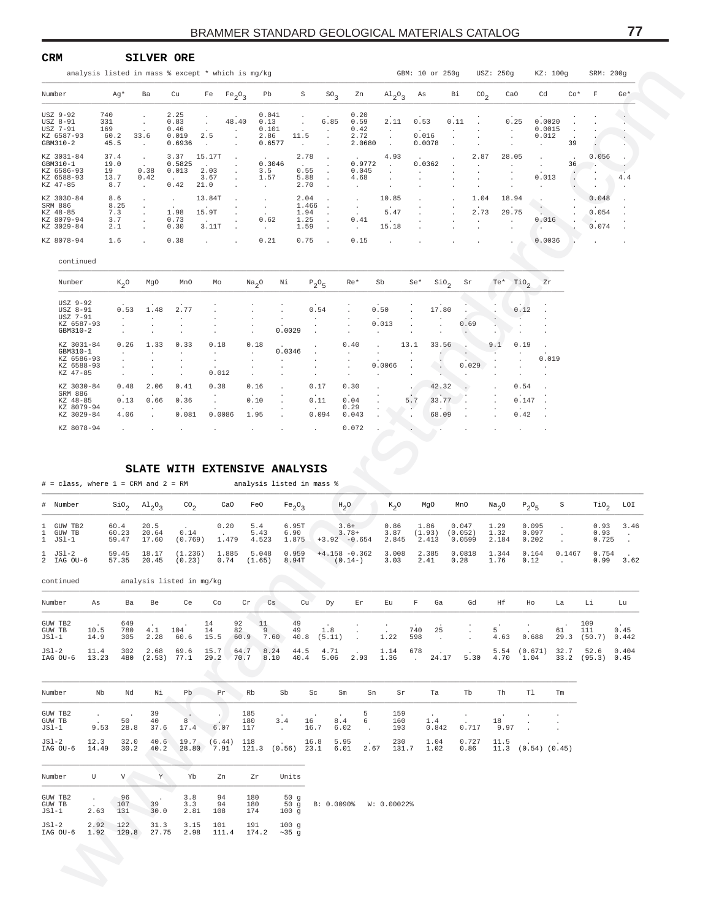| <b>CRM</b>                                                     |                                                   | SILVER ORE                                                                   |                                                         |                                          |                                         |                                                            |                   |                                        |                                                                   |                                                    |                              |                                       |                           |                |                 |                              |                           |               |                                  |       |
|----------------------------------------------------------------|---------------------------------------------------|------------------------------------------------------------------------------|---------------------------------------------------------|------------------------------------------|-----------------------------------------|------------------------------------------------------------|-------------------|----------------------------------------|-------------------------------------------------------------------|----------------------------------------------------|------------------------------|---------------------------------------|---------------------------|----------------|-----------------|------------------------------|---------------------------|---------------|----------------------------------|-------|
|                                                                | analysis listed in mass % except * which is mg/kg |                                                                              |                                                         |                                          |                                         |                                                            |                   |                                        |                                                                   |                                                    |                              | GBM: 10 or 250g                       |                           |                | USZ: 250g       |                              | KZ: 100g                  |               | SRM: 200q                        |       |
| Number                                                         | Ag*                                               | Ba                                                                           | Cu                                                      |                                          | Fe $Fe_2O_3$                            | Pb                                                         |                   | S                                      | $SO_2$                                                            | Zn                                                 |                              | $\mathrm{Al}_{2}\mathrm{O}_{3}$ As    |                           | Bi             | CO <sub>2</sub> | CaO                          | Cd                        | $Co*$         | F                                | $Ge*$ |
| USZ 9-92<br>USZ 8-91<br>USZ 7-91<br>KZ 6587-93<br>GBM310-2     | 740<br>331<br>169<br>60.2<br>45.5                 | $\ddot{\phantom{0}}$<br>$\ddot{\phantom{0}}$<br>33.6<br>$\ddot{\phantom{0}}$ | 2.25<br>0.83<br>0.46<br>0.019<br>0.6936                 | $\sim$<br>2.5                            | 48.40<br>$\blacksquare$<br>$\mathbf{r}$ | 0.041<br>0.13<br>0.101<br>2.86<br>0.6577                   | 11.5              | $\cdot$                                | 6.85<br>$\ddot{\phantom{1}}$                                      | 0.20<br>0.59<br>0.42<br>2.72<br>2.0680             | $\cdot$<br>2.11              | 0.53<br>$\sim$ $-$<br>0.016<br>0.0078 |                           | 0.11           |                 | 0.25<br>$\ddot{\phantom{0}}$ | 0.0020<br>0.0015<br>0.012 | $\cdot$<br>39 |                                  |       |
| KZ 3031-84<br>GBM310-1<br>KZ 6586-93<br>KZ 6588-93<br>KZ 47-85 | 37.4<br>19.0<br>19<br>13.7<br>8.7                 | $\blacksquare$<br>$\sim$<br>0.38<br>0.42<br>$\ddot{\phantom{0}}$             | 3.37<br>0.5825<br>0.013<br>$\ddot{\phantom{a}}$<br>0.42 | 15.17T<br>$\sim$<br>2.03<br>3.67<br>21.0 | $\blacksquare$<br>$\epsilon$            | 0.3046<br>3.5<br>1.57<br>$\ddot{\phantom{a}}$              |                   | 2.78<br>$\sim$<br>0.55<br>5.88<br>2.70 | $\cdot$<br>$\cdot$<br>$\cdot$                                     | $\sim$<br>0.9772<br>0.045<br>4.68                  | 4.93<br>$\ddot{\phantom{a}}$ | 0.0362                                |                           | 2.87           |                 | 28.05<br>$\cdot$             | $\cdot$<br>0.013          | 36            | 0.056                            | 4.4   |
| KZ 3030-84<br>SRM 886<br>KZ 48-85<br>KZ 8079-94<br>KZ 3029-84  | 8.6<br>8.25<br>7.3<br>3.7<br>2.1                  | $\cdot$<br>٠<br>$\ddot{\phantom{0}}$                                         | $\cdot$<br>1.98<br>0.73<br>0.30                         | 13.84T<br>15.9T<br>3.11T                 | $\cdot$                                 | $\sim$<br>$\ddot{\phantom{0}}$<br>$\sim$<br>0.62<br>$\sim$ |                   | 2.04<br>1.466<br>1.94<br>1.25<br>1.59  | $\cdot$<br>$\ddot{\phantom{1}}$<br>$\cdot$<br>$\Delta$<br>$\cdot$ | $\cdot$<br>$\cdot$<br>0.41<br>$\ddot{\phantom{a}}$ | 10.85<br>5.47<br>15.18       |                                       |                           | 1.04<br>2.73   |                 | 18.94<br>29.75               | 0.016                     |               | 0.048<br>0.054<br>24.00<br>0.074 |       |
| KZ 8078-94<br>continued                                        | 1.6                                               | $\ddot{\phantom{a}}$                                                         | 0.38                                                    | $\mathbf{L}$                             |                                         | 0.21                                                       |                   | 0.75                                   | $\sim$                                                            | 0.15                                               |                              |                                       |                           |                |                 |                              | 0.0036                    |               |                                  |       |
| Number                                                         | $K_2O$                                            | MgO                                                                          | MnO                                                     | Mo                                       |                                         | Na <sub>2</sub> O                                          | Νi                | $P_2O_5$                               |                                                                   | $Re*$                                              | Sb                           | Se*                                   | $\operatorname{SiO}_2$ Sr |                |                 | $Te^*$ TiO <sub>2</sub> Zr   |                           |               |                                  |       |
| USZ 9-92<br>USZ 8-91<br>USZ 7-91<br>KZ 6587-93<br>GBM310-2     | 0.53                                              | 1.48<br>$\cdot$                                                              | 2.77                                                    |                                          |                                         |                                                            | $\cdot$<br>0.0029 | 0.54                                   |                                                                   |                                                    | 0.50<br>0.013<br>$\sim$      | $\ddot{\phantom{a}}$                  | 17.80                     | 0.69<br>$\sim$ |                 | 0.12                         |                           |               |                                  |       |

| KZ 6588-93 |      |                | $\overline{a}$ | $\overline{a}$           | $\cdot$        | $\cdot$        | $\cdot$ | $\overline{a}$ | 0.0066 |         | . .    | 0.029                    |        |           |                          |
|------------|------|----------------|----------------|--------------------------|----------------|----------------|---------|----------------|--------|---------|--------|--------------------------|--------|-----------|--------------------------|
| KZ 47-85   |      | $\overline{a}$ | $\sim$         | 0.012                    | $\cdot$        | $\overline{a}$ | $\sim$  | $\overline{a}$ | $\sim$ | $\cdot$ |        |                          |        |           |                          |
| KZ 3030-84 | 0.48 | 2.06           | 0.41           | 0.38                     | 0.16           | $\sim$         | 0.17    | 0.30           |        |         | 42.32  |                          |        | 0.54      | $\overline{\phantom{a}}$ |
| SRM 886    |      | $\sim$         | . .            | $\overline{\phantom{a}}$ | $\overline{a}$ | $\cdot$        | $\sim$  | $\cdot$        |        |         | $\sim$ |                          | $\sim$ |           | $\sim$                   |
| KZ 48-85   | 0.13 | 0.66           | 0.36           |                          | 0.10           |                | 0.11    | 0.04           |        | 5.7     | 33.77  |                          |        | $0.147$ . |                          |
| KZ 8079-94 |      | $\sim$         | $\sim$         |                          |                | $\cdot$        | $\sim$  | 0.29           | $\sim$ | $\sim$  | $\sim$ | $\overline{\phantom{a}}$ |        |           | $\sim$                   |
| KZ 3029-84 | 4.06 |                | 0.081          | 0.0086                   | 1.95           |                | 0.094   | 0.043          |        | $\sim$  | 68.09  | $\sim$                   |        | 0.42      | $\sim$                   |
| KZ 8078-94 |      | $\sim$         | $\sim$         | $\cdot$                  | $\sim$         | $\sim$         | $\sim$  | 0.072          |        |         |        |                          |        |           | $\cdot$                  |
|            |      |                |                |                          |                |                |         |                |        |         |        |                          |        |           |                          |
|            |      |                |                |                          |                |                |         |                |        |         |        |                          |        |           |                          |

#### **SLATE WITH EXTENSIVE ANALYSIS**

| analysis listed in mass % except * which is mg/kg             |                                   |                                                                |                                         |                               |                                |                                             |                                       |                        |                                                          |                                       |                                |                                  |                                      |                                |                                  |                                                   |                   |                                            |                 |
|---------------------------------------------------------------|-----------------------------------|----------------------------------------------------------------|-----------------------------------------|-------------------------------|--------------------------------|---------------------------------------------|---------------------------------------|------------------------|----------------------------------------------------------|---------------------------------------|--------------------------------|----------------------------------|--------------------------------------|--------------------------------|----------------------------------|---------------------------------------------------|-------------------|--------------------------------------------|-----------------|
| Number                                                        | Ag*                               | Ba                                                             | Cu                                      | Fe                            | Fe <sub>2</sub> O <sub>3</sub> | Pb                                          | S                                     |                        | $SO_2$<br>Zn                                             | $A1_{2}O_{3}$                         |                                | As                               | Вi                                   | $\text{CO}_2$                  | CaO                              | Cd                                                | $Co*$             | $\mathbf F$                                | $Ge*$           |
| USZ 9-92<br>USZ 8-91<br>USZ 7-91<br>KZ 6587-93<br>GBM310-2    | 740<br>331<br>169<br>60.2<br>45.5 | $\cdot$<br>$\cdot$<br>33.6<br>$\cdot$                          | 2.25<br>0.83<br>0.46<br>0.019<br>0.6936 | $\cdot$<br>2.5<br>$\cdot$     | 48.40<br>$\cdot$<br>$\cdot$    | 0.041<br>0.13<br>0.101<br>2.86<br>0.6577    | $\cdot$<br>11.5<br>$\cdot$            | $\cdot$<br>$\cdot$     | 0.20<br>6.85<br>0.59<br>0.42<br>2.72<br>2.0680           | 2.11<br>$\cdot$<br>$\cdot$<br>$\cdot$ |                                | 0.53<br>0.016<br>0.0078          | 0.11                                 |                                | 0.25<br>$\cdot$<br>$\cdot$       | 0.0020<br>0.0015<br>0.012<br>$\ddot{\phantom{a}}$ | 39                |                                            |                 |
| KZ 3031-84<br>GBM310-1                                        | 37.4<br>19.0                      | $\cdot$                                                        | 3.37<br>0.5825                          | 15.17T                        |                                | 0.3046                                      | 2.78                                  | $\cdot$                | 0.9772                                                   | 4.93<br>$\cdot$                       |                                | 0.0362                           |                                      | 2.87                           | 28.05<br>$\cdot$                 | $\cdot$<br>$\cdot$                                | 36                | 0.056<br>$\overline{\phantom{a}}$          |                 |
| KZ 6586-93<br>KZ 6588-93<br>KZ 47-85                          | 19<br>13.7<br>8.7                 | 0.38<br>0.42<br>$\cdot$                                        | 0.013<br>0.42                           | 2.03<br>3.67<br>21.0          | $\cdot$                        | 3.5<br>1.57<br>$\bullet$                    | 0.55<br>5.88<br>2.70                  | $\cdot$                | 0.045<br>4.68<br>$\cdot$                                 |                                       |                                |                                  |                                      |                                | $\cdot$                          | 0.013<br>$\cdot$                                  | $\cdot$           | $\blacksquare$                             | 4.4             |
| KZ 3030-84<br>SRM 886<br>KZ 48-85<br>KZ 8079-94<br>KZ 3029-84 | 8.6<br>8.25<br>7.3<br>3.7<br>2.1  | $\cdot$<br>$\cdot$<br>$\cdot$                                  | $\cdot$<br>1.98<br>0.73<br>0.30         | 13.84T<br>15.9T<br>3.11T      |                                | $\cdot$<br>$\blacksquare$<br>0.62<br>$\sim$ | 2.04<br>1.466<br>1.94<br>1.25<br>1.59 |                        | $\cdot$<br>$\cdot$<br>0.41<br>$\sim$                     | 10.85<br>5.47<br>15.18                |                                |                                  | $\cdot$                              | 1.04<br>2.73                   | 18.94<br>29.75<br>$\cdot$        | $\cdot$<br>$\cdot$<br>0.016<br>$\sim$             |                   | 0.048<br>0.054<br>0.074                    |                 |
| KZ 8078-94                                                    | 1.6                               |                                                                | 0.38                                    | $\ddot{\phantom{a}}$          |                                | 0.21                                        | 0.75                                  |                        | 0.15                                                     | $\cdot$                               |                                |                                  |                                      |                                |                                  | 0.0036                                            |                   |                                            |                 |
| continued                                                     |                                   |                                                                |                                         |                               |                                |                                             |                                       |                        |                                                          |                                       |                                |                                  |                                      |                                |                                  |                                                   |                   |                                            |                 |
| Number                                                        | $K_2$ O                           | MgO                                                            | MnO                                     | Mo                            | Na <sub>2</sub> O              | Νi                                          |                                       | $P_2O_5$               | $Re*$                                                    | Sb                                    | Se*                            | $\sin \theta_2$                  | Sr                                   | $Te*$                          | $\mathrm{TiO}_2$                 | Zr                                                |                   |                                            |                 |
| USZ 9-92<br>USZ 8-91<br>USZ 7-91                              | 0.53                              | 1.48                                                           | 2.77                                    |                               |                                |                                             |                                       | 0.54                   |                                                          | 0.50                                  |                                | 17.80                            |                                      |                                | 0.12<br>$\cdot$                  |                                                   |                   |                                            |                 |
| KZ 6587-93<br>GBM310-2                                        | $\cdot$                           |                                                                |                                         | $\ddot{\phantom{0}}$          | $\cdot$                        |                                             | 0.0029                                | $\cdot$                | ٠<br>$\cdot$                                             | 0.013                                 |                                | $\bullet$                        | 0.69                                 |                                |                                  |                                                   |                   |                                            |                 |
| KZ 3031-84<br>GBM310-1                                        | 0.26<br>$\cdot$                   | 1.33<br>$\cdot$                                                | 0.33<br>$\cdot$                         | 0.18<br>$\cdot$               | 0.18<br>$\cdot$                |                                             | 0.0346                                |                        | 0.40<br>$\cdot$                                          |                                       | 13.1                           | 33.56                            |                                      | 9.1                            | 0.19<br>$\cdot$                  |                                                   |                   |                                            |                 |
| KZ 6586-93<br>KZ 6588-93                                      |                                   |                                                                |                                         | $\cdot$                       |                                |                                             |                                       |                        | $\ddot{\phantom{0}}$                                     | 0.0066                                |                                | $\blacksquare$<br>$\sim$         | 0.029                                |                                |                                  | 0.019<br>$\cdot$                                  |                   |                                            |                 |
| KZ 47-85<br>KZ 3030-84                                        | 0.48                              | 2.06                                                           | $\cdot$<br>0.41                         | 0.012<br>0.38                 | $\cdot$<br>0.16                |                                             |                                       | 0.17                   | $\cdot$<br>0.30                                          |                                       |                                | 42.32                            |                                      |                                | 0.54                             |                                                   |                   |                                            |                 |
| SRM 886<br>KZ 48-85                                           | 0.13                              | 0.66                                                           | 0.36                                    | $\cdot$                       | 0.10                           |                                             |                                       | 0.11                   | 0.04                                                     |                                       | 5.7                            | 33.77                            |                                      |                                | 0.147                            |                                                   |                   |                                            |                 |
| KZ 8079-94<br>KZ 3029-84                                      | 4.06                              |                                                                | 0.081                                   | 0.0086                        | 1.95                           |                                             |                                       | 0.094                  | 0.29<br>0.043                                            |                                       | $\cdot$<br>$\cdot$             | 68.09                            |                                      |                                | 0.42                             |                                                   |                   |                                            |                 |
|                                                               |                                   |                                                                |                                         |                               |                                |                                             |                                       |                        | 0.072                                                    |                                       |                                |                                  |                                      |                                |                                  |                                                   |                   |                                            |                 |
| KZ 8078-94                                                    |                                   |                                                                |                                         | SLATE WITH EXTENSIVE ANALYSIS | analysis listed in mass %      |                                             |                                       |                        |                                                          |                                       |                                |                                  |                                      |                                |                                  |                                                   |                   |                                            |                 |
| $#$ = class, where $1$ = CRM and $2$ = RM<br>#<br>Number      | $\sin \theta$                     | $A1_{2}O_{3}$                                                  | $\text{CO}_2$                           | CaO                           | FeO                            |                                             | Fe <sub>2</sub> O <sub>3</sub>        |                        | $H_2O$                                                   | $K_2$ O                               |                                | MgO                              | MnO                                  | Na <sub>2</sub> O              | $P_2O_5$                         |                                                   | S                 | TiO <sub>2</sub>                           | LOI             |
| GUW TB2<br>GUW TB<br>$JS1-1$<br>$JS1-2$                       | 60.4<br>60.23<br>59.47<br>59.45   | 20.5<br>20.64<br>17.60<br>18.17                                | 0.14<br>(0.769)<br>(1.236)              | 0.20<br>1.479<br>1.885        | 5.4                            | 5.43<br>4.523<br>5.048                      | 6.95T<br>6.90<br>1.875<br>0.959       |                        | $3.6+$<br>$3.78+$<br>$+3.92 - 0.654$<br>$+4.158 - 0.362$ | 0.86<br>3.87<br>2.845<br>3.008        |                                | 1.86<br>(1.93)<br>2.413<br>2.385 | 0.047<br>(0.052)<br>0.0599<br>0.0818 | 1.29<br>1.32<br>2.184<br>1.344 | 0.095<br>0.097<br>0.202<br>0.164 |                                                   | $\cdot$<br>0.1467 | 0.93<br>0.93<br>0.725<br>0.754             | 3.46<br>$\cdot$ |
| IAG OU-6                                                      | 57.35                             | 20.45                                                          | (0.23)                                  | 0.74                          |                                | (1.65)                                      | 8.94T                                 |                        | $(0.14-)$                                                | 3.03                                  |                                | 2.41                             | 0.28                                 | 1.76                           | 0.12                             |                                                   |                   | 0.99                                       | 3.62            |
|                                                               |                                   | analysis listed in mg/kg                                       |                                         |                               |                                |                                             |                                       |                        |                                                          |                                       |                                |                                  |                                      |                                |                                  |                                                   |                   |                                            |                 |
| 1<br>1<br>1<br>1<br>2<br>continued<br>Number<br>As<br>GUW TB2 | Ba<br>649                         | Be                                                             | Ce                                      | Co<br>14                      | 92                             | $Cr$ $Cs$<br>11                             | Cu<br>49                              |                        | Dy<br>Εr                                                 | Eu<br>$\cdot$                         | F                              | Ga                               | Gd                                   | Ηf                             | Ho                               |                                                   | La                | Li<br>109                                  | Lu              |
| GUW TB<br>10.5<br>$JS1-1$<br>14.9                             | 780<br>305                        | 2.28                                                           | 4.1 104<br>60.6                         | 14<br>15.5                    | 82<br>60.9 7.60                | 9                                           | 49                                    | 1.8<br>$40.8$ $(5.11)$ | $\star$<br>$\sim 10$                                     | $\sim$<br>1.22                        | 740<br>598                     | 25<br>$\sim$                     | $\cdot$<br>$\ddot{\phantom{0}}$      | $5 -$<br>4.63                  | $\ddot{\phantom{a}}$             | 0.688                                             | 61<br>29.3        | 111<br>(50.7) 0.442                        | 0.45            |
| 11.4<br>13.23                                                 | 302<br>480                        | 2.68<br>$(2.53)$ 77.1                                          | 69.6                                    | 15.7<br>29.2                  | 64.7<br>70.7 8.10              | 8.24                                        | 44.5                                  | 40.4 5.06              | 4.71                                                     | 1.14<br>2.93 1.36                     | 678<br>$\sim 100$ km s $^{-1}$ | 24.17                            | 5.30                                 |                                | 4.70 1.04                        |                                                   |                   | 5.54 (0.671) 32.7 52.6<br>33.2 (95.3) 0.45 | 0.404           |
| $JS1-2$<br>IAG OU-6                                           |                                   |                                                                |                                         |                               |                                |                                             |                                       |                        |                                                          |                                       |                                |                                  |                                      |                                |                                  |                                                   |                   |                                            |                 |
| Number<br>Nb                                                  | Nd                                | Νi                                                             |                                         | Pb Pr Rb                      |                                | Sb                                          |                                       | Sc                     | Sm                                                       | Sn                                    | Sr                             | Ta                               | Tb                                   | Th                             | Tl                               |                                                   | Tm                |                                            |                 |
| GUW TB2<br>$\sim$ $-$<br>GUW TB<br>$\sim$<br>$JS1-1$<br>9.53  | 50<br>28.8                        | 39<br>40<br>37.6                                               | $8 -$<br>17.4                           | $\sim$<br>6.07                | 185<br>180<br>117              | 3.4<br>$\sim$                               |                                       | 16<br>16.7             | 5<br>8.4<br>6<br>6.02                                    | $\cdot$                               | 159<br>160<br>193              | 1.4<br>0.842                     | 0.717                                | 18<br>9.97                     | $\sim$                           |                                                   | $\cdot$           |                                            |                 |
| $JS1-2$<br>12.3<br>IAG OU-6<br>14.49                          | 32.0<br>30.2                      | 40.6<br>40.2                                                   |                                         | $19.7(6.44)$ 118              |                                |                                             |                                       | 16.8                   | 5.95<br>28.80 7.91 121.3 (0.56) 23.1 6.01 2.67 131.7     |                                       | 230                            | 1.04<br>1.02                     | 0.727<br>0.86                        | 11.5                           | $11.3$ $(0.54)$ $(0.45)$         |                                                   |                   |                                            |                 |
| Number<br>U                                                   |                                   | $\mathbf{V} \qquad \qquad \mathbf{Y} \qquad \qquad \mathbf{V}$ | Yb                                      | Zn                            | Zr                             |                                             | Units                                 |                        |                                                          |                                       |                                |                                  |                                      |                                |                                  |                                                   |                   |                                            |                 |
| GUW TB2<br>$\sim$<br>GUW TB                                   | 96<br>107                         | $\ddot{\phantom{1}}$<br>39                                     | 3.8<br>3.3                              | 94<br>94                      | 180<br>180                     |                                             | 50 $g$<br>50 g                        |                        | B: 0.0090% W: 0.00022%                                   |                                       |                                |                                  |                                      |                                |                                  |                                                   |                   |                                            |                 |
| $JS1-1$<br>2.63<br>$JS1-2$                                    | 131<br>2.92 122                   | 30.0<br>31.3                                                   | 2.81<br>3.15                            | 108<br>101                    | 174<br>191                     |                                             | 100g<br>100g                          |                        |                                                          |                                       |                                |                                  |                                      |                                |                                  |                                                   |                   |                                            |                 |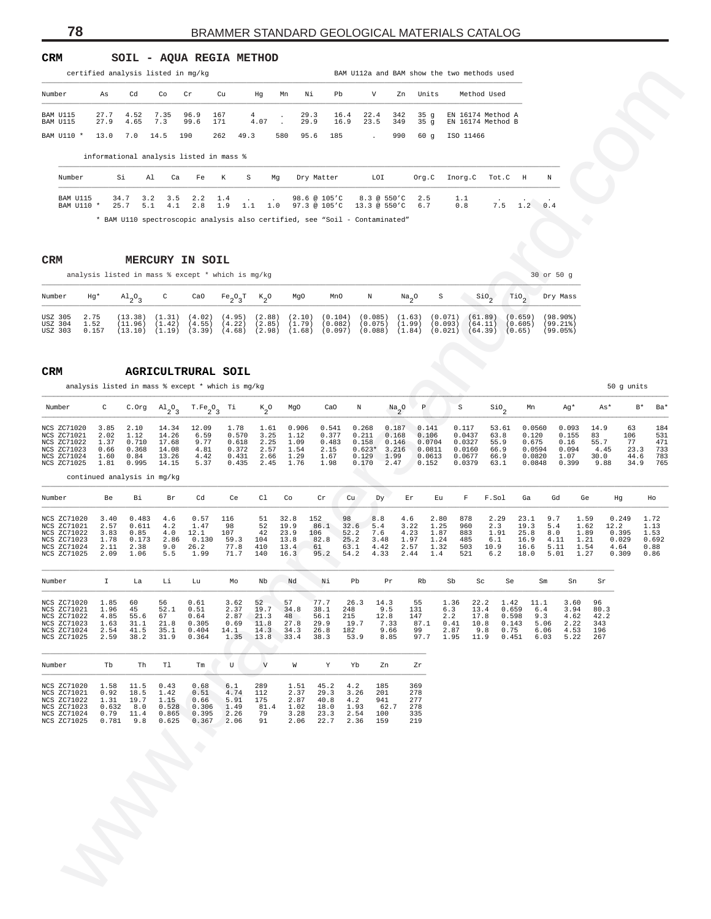#### **CRM SOIL - AQUA REGIA METHOD**

|                              |              |              |             | certified analysis listed in mg/kg      |            |           |                  |              |              |              |            |            | BAM Ull2a and BAM show the two methods used |   |
|------------------------------|--------------|--------------|-------------|-----------------------------------------|------------|-----------|------------------|--------------|--------------|--------------|------------|------------|---------------------------------------------|---|
| Number                       | As           | Cd           | Co          | Cr.                                     | Cu         | Hq        | Mn               | Ni           | Pb           | V            | Zn         | Units      | Method Used                                 |   |
| <b>BAM 11115</b><br>BAM U115 | 27.7<br>27.9 | 4.52<br>4.65 | 7.35<br>7.3 | 96.9<br>99.6                            | 167<br>171 | 4<br>4.07 | $\sim$<br>$\sim$ | 29.3<br>29.9 | 16.4<br>16.9 | 22.4<br>23.5 | 342<br>349 | 35q<br>35q | EN 16174 Method A<br>EN 16174 Method B      |   |
| BAM TJ110 *                  | 13.0         | 7.0          | 14.5        | 190                                     | 262        | 49.3      | 580              | 95.6         | 185          |              | 990        | 60q        | ISO 11466                                   |   |
|                              |              |              |             | informational analysis listed in mass % |            |           |                  |              |              |              |            |            |                                             |   |
| Number                       |              | Si           | Al          | Ca<br>Fe                                | K          | S         | Mq               | Dry Matter   |              | LOI          |            | Org.C      | Inorg.C<br>Tot.C<br>H                       | N |

|                               |                       | analysis listed in mass $%$ except $*$ which is mq/kq                                  |  |  |                                                                                                                                                                                                                                                                                                 |  |       |                     |                              | 30 or 50 g                     |
|-------------------------------|-----------------------|----------------------------------------------------------------------------------------|--|--|-------------------------------------------------------------------------------------------------------------------------------------------------------------------------------------------------------------------------------------------------------------------------------------------------|--|-------|---------------------|------------------------------|--------------------------------|
| Number                        | Hg*                   | Al <sub>o</sub> o <sub>o</sub> c CaO Fe <sub>o</sub> o <sub>o</sub> t K <sub>o</sub> O |  |  | MgO MnO N                                                                                                                                                                                                                                                                                       |  | Na OS | $SiO_2$             | $\text{TiO}_2$               | Dry Mass                       |
| USZ 305<br>USZ 304<br>USZ 303 | 2.75<br>1.52<br>0.157 | (11.96)                                                                                |  |  | $(13.38)$ $(1.31)$ $(4.02)$ $(4.95)$ $(2.88)$ $(2.10)$ $(0.104)$ $(0.085)$ $(1.63)$ $(0.071)$ $(61.89)$<br>$(1.42)$ $(4.55)$ $(4.22)$ $(2.85)$ $(1.79)$ $(0.082)$ $(0.075)$ $(1.99)$<br>$(13.10)$ $(1.19)$ $(3.39)$ $(4.68)$ $(2.98)$ $(1.68)$ $(0.097)$ $(0.088)$ $(1.84)$ $(0.021)$ $(64.39)$ |  |       | $(0.093)$ $(64.11)$ | (0.659)<br>(0.605)<br>(0.65) | (98.90)<br>(99.218)<br>(99.05) |

| Number<br>As<br>Cd<br>Co<br>Cr<br>Cu<br>Ηg<br>Mn<br>Νi<br>Pb<br>v<br>Zn<br>Units<br>Method Used<br>7.35<br>27.7<br>4.52<br>96.9<br>167<br>4<br>29.3<br>16.4<br>22.4<br>342<br>35 <sub>g</sub><br>EN 16174 Method A<br>BAM U115<br>BAM U115<br>27.9<br>4.65<br>7.3<br>99.6<br>171<br>4.07<br>29.9<br>23.5<br>349<br>35 <sub>g</sub><br>EN 16174 Method B<br>16.9<br>BAM U110 *<br>13.0<br>7.0<br>14.5<br>190<br>262<br>49.3<br>580<br>95.6<br>185<br>990<br>60g<br>ISO 11466<br>informational analysis listed in mass %<br>Si<br>К<br>S<br>LOI<br>Org.C<br>Inorg.C<br>Tot.C<br>$_{\rm H}$<br>Ν<br>Number<br>Al<br>Ca<br>Fe<br>Mg<br>Dry Matter<br>BAM U115<br>3.2<br>3.5<br>2.2<br>98.6 @ 105'C<br>$8.3 \circ 550^{\circ}$ C<br>2.5<br>1.1<br>34.7<br>1.4<br>1.2<br>7.5<br>0.4<br>BAM U110 *<br>25.7<br>5.1<br>2.8<br>1.9<br>1.1<br>1.0<br>97.3 @ 105'C<br>$13.3 \circ 550'C$<br>0.8<br>4.1<br>6.7<br>* BAM Ull0 spectroscopic analysis also certified, see "Soil - Contaminated"<br>CRM<br><b>MERCURY IN SOIL</b><br>30 or 50 g<br>analysis listed in mass % except * which is mg/kg<br>C<br>Ν<br>S<br>$\sin$<br>TiO <sub>2</sub><br>Number<br>Hg*<br>$A1_{2}O_{3}$<br>CaO<br>$\mathrm{Fe_{2}O_{3}T}$<br>$K_2^o$<br>MgO<br>MnO<br>$\frac{Na}{2}$ <sup>0</sup><br>Dry Mass<br>USZ 305<br>2.75<br>(1.31)<br>(4.02)<br>(4.95)<br>(2.88)<br>(2.10)<br>(0.104)<br>(0.085)<br>(0.071)<br>(13.38)<br>(1.63)<br>(61.89)<br>(0.659)<br>$(98.90\%)$<br>(1.79)<br>USZ 304<br>1.52<br>(11.96)<br>(4.55)<br>(4.22)<br>(2.85)<br>(0.082)<br>(0.075)<br>(1.99)<br>(0.093)<br>(99.21)<br>(1.42)<br>(64.11)<br>(0.605)<br>USZ 303<br>0.157<br>$(1.19)$ $(3.39)$ $(4.68)$<br>(2.98)<br>(1.68)<br>(0.097)<br>(0.088)<br>(1.84)<br>$(0.021)$ $(64.39)$<br>(13.10)<br>(0.65)<br>(99.05%)<br>CRM<br><b>AGRICULTRURAL SOIL</b><br>analysis listed in mass % except * which is mg/kg<br>50 g units<br>C<br>$T.Fe_2O_3$<br>Ρ<br>S<br>$\mathsf{Sio}_2$<br>Number<br>C.Org<br>$A1_{2}O_{3}$<br>Тi<br>$k_{2}^{\circ}$<br>MgO<br>CaO<br>Ν<br>$\frac{Na}{2}$ <sup>O</sup><br>Mn<br>Ag*<br>As*<br>$B^*$<br>NCS ZC71020<br>12.09<br>1.78<br>0.541<br>0.093<br>14.9<br>63<br>3.85<br>2.10<br>14.34<br>1.61<br>0.906<br>0.268<br>0.187<br>0.141<br>0.117<br>53.61<br>0.0560<br>2.02<br>1.12<br>6.59<br>0.570<br>3.25<br>0.377<br>83<br>NCS ZC71021<br>14.26<br>1.12<br>0.211<br>0.168<br>0.106<br>0.0437<br>63.8<br>0.120<br>0.155<br>106<br>77<br>0.710<br>9.77<br>2.25<br>55.7<br>NCS ZC71022<br>1.37<br>17.68<br>0.618<br>1.09<br>0.483<br>0.158<br>0.146<br>0.0704<br>0.0327<br>55.9<br>0.675<br>0.16<br>2.57<br>0.094<br>23.3<br>NCS ZC71023<br>0.66<br>0.368<br>14.08<br>4.81<br>0.372<br>1.54<br>2.15<br>$0.623*$<br>3.216<br>0.0811<br>0.0160<br>66.9<br>0.0594<br>4.45<br>30.0<br>NCS ZC71024<br>1.60<br>0.84<br>13.26<br>4.42<br>0.431<br>2.66<br>1.29<br>1.67<br>0.129<br>1.99<br>0.0613<br>0.0677<br>66.9<br>0.0820<br>1.07<br>44.6<br>NCS ZC71025<br>0.995<br>5.37<br>0.399<br>1.81<br>14.15<br>0.435<br>2.45<br>1.76<br>1.98<br>0.170<br>2.47<br>0.152<br>0.0379<br>63.1<br>0.0848<br>9.88<br>34.9<br>continued analysis in mg/kg<br>Cd<br>Ce<br>C1<br>Co<br>Cr<br>Cu<br>F.Sol<br>Gd<br>Number<br>Be<br>Bi.<br>Br<br>Dу<br>Εr<br>Εu<br>F<br>Ga<br>Ge<br>Ηg<br>Ho<br>NCS ZC71020<br>3.40<br>0.483<br>0.57<br>116<br>32.8<br>98<br>2.80<br>878<br>2.29<br>23.1<br>9.7<br>1.59<br>0.249<br>1.72<br>4.6<br>51<br>152<br>8.8<br>4.6<br>NCS ZC71021<br>2.57<br>1.47<br>98<br>52<br>19.9<br>3.22<br>1.25<br>19.3<br>5.4<br>0.611<br>4.2<br>86.1<br>32.6<br>5.4<br>960<br>2.3<br>1.62<br>12.2<br>1.13<br>107<br>42<br>23.9<br>7.6<br>1.87<br>1.91<br>25.8<br>NCS ZC71022<br>3.83<br>0.85<br>4.0<br>12.1<br>106<br>52.2<br>4.23<br>883<br>8.0<br>1.89<br>0.395<br>1.53<br>1.78<br>0.173<br>0.130<br>59.3<br>104<br>13.8<br>3.48<br>1.97<br>1.24<br>0.029<br>NCS ZC71023<br>2.86<br>82.8<br>25.2<br>485<br>6.1<br>16.9<br>4.11<br>1.21<br>77.8<br>2.57<br>2.11<br>2.38<br>9.0<br>26.2<br>410<br>13.4<br>10.9<br>5.11<br>NCS ZC71024<br>61<br>63.1<br>4.42<br>1.32<br>503<br>16.6<br>1.54<br>4.64<br>0.88<br>5.01<br>2.09<br>5.5<br>1.99<br>71.7<br>140<br>16.3<br>95.2<br>54.2<br>2.44<br>6.2<br>NCS ZC71025<br>1.06<br>4.33<br>1.4<br>521<br>18.0<br>1.27<br>0.309<br>0.86<br>Nb<br>Nd<br>Νi<br>Pb<br>Number<br>H<br>La<br>Li<br>Lu<br>Мo<br>Pr<br>Rb<br>Sb<br>Sc<br>Se<br>Sm<br>Sn<br>Sr<br>52<br>57<br>77.7<br>55<br>NCS ZC71020<br>1.85<br>60<br>56<br>0.61<br>3.62<br>26.3<br>14.3<br>1.36<br>22.2<br>1.42<br>11.1<br>3.60<br>96<br>45<br>2.37<br>19.7<br>9.5<br>3.94<br>80.3<br>NCS ZC71021<br>1.96<br>52.1<br>0.51<br>34.8<br>38.1<br>248<br>131<br>6.3<br>13.4<br>0.659<br>6.4<br>4.85<br>2.87<br>21.3<br>215<br>12.8<br>147<br>9.3<br>NCS ZC71022<br>55.6<br>67<br>0.64<br>48<br>56.1<br>2.2<br>17.8<br>0.598<br>4.62<br>42.2<br>0.305<br>19.7<br>7.33<br>5.06<br>NCS ZC71023<br>1.63<br>31.1<br>21.8<br>0.69<br>11.8<br>27.8<br>29.9<br>87.1<br>0.41<br>10.8<br>0.143<br>2.22<br>343<br>2.54<br>14.3<br>9.66<br>0.75<br>NCS ZC71024<br>41.5<br>35.1<br>0.404<br>14.1<br>34.3<br>26.8<br>182<br>99<br>2.87<br>9.8<br>6.06<br>4.53<br>196<br>31.9<br>8.85<br>97.7<br>NCS ZC71025<br>2.59<br>38.2<br>0.364<br>1.35<br>13.8<br>33.4<br>38.3<br>53.9<br>1.95<br>0.451<br>6.03<br>5.22<br>267<br>11.9<br>Tb<br>Th<br>Tl<br>U<br>$\mathbf v$<br>Yb<br>Number<br>Tm<br>W<br>Y<br>Zn<br>Zr<br>1.58<br>289<br>185<br>369<br>NCS ZC71020<br>11.5<br>0.43<br>0.68<br>6.1<br>1.51<br>45.2<br>4.2<br>4.74<br>NCS ZC71021<br>0.92<br>18.5<br>1.42<br>0.51<br>112<br>2.37<br>29.3<br>3.26<br>201<br>278<br>NCS ZC71022<br>1.31<br>19.7<br>1.15<br>0.66<br>5.91<br>175<br>2.87<br>40.8<br>4.2<br>941<br>277<br>1.49<br>NCS ZC71023<br>0.632<br>8.0<br>0.528<br>0.306<br>81.4<br>1.02<br>18.0<br>1.93<br>62.7<br>278<br>79<br>NCS ZC71024<br>0.79<br>11.4<br>0.865<br>0.395<br>2.26<br>3.28<br>23.3<br>2.54<br>100<br>335<br>91<br>NCS ZC71025<br>0.781<br>9.8<br>0.625<br>0.367<br>2.06<br>2.06<br>159<br>219<br>22.7<br>2.36 | certified analysis listed in mg/kg |  |  |  |  |  | BAM Ull2a and BAM show the two methods used |  |  |  |                   |
|------------------------------------------------------------------------------------------------------------------------------------------------------------------------------------------------------------------------------------------------------------------------------------------------------------------------------------------------------------------------------------------------------------------------------------------------------------------------------------------------------------------------------------------------------------------------------------------------------------------------------------------------------------------------------------------------------------------------------------------------------------------------------------------------------------------------------------------------------------------------------------------------------------------------------------------------------------------------------------------------------------------------------------------------------------------------------------------------------------------------------------------------------------------------------------------------------------------------------------------------------------------------------------------------------------------------------------------------------------------------------------------------------------------------------------------------------------------------------------------------------------------------------------------------------------------------------------------------------------------------------------------------------------------------------------------------------------------------------------------------------------------------------------------------------------------------------------------------------------------------------------------------------------------------------------------------------------------------------------------------------------------------------------------------------------------------------------------------------------------------------------------------------------------------------------------------------------------------------------------------------------------------------------------------------------------------------------------------------------------------------------------------------------------------------------------------------------------------------------------------------------------------------------------------------------------------------------------------------------------------------------------------------------------------------------------------------------------------------------------------------------------------------------------------------------------------------------------------------------------------------------------------------------------------------------------------------------------------------------------------------------------------------------------------------------------------------------------------------------------------------------------------------------------------------------------------------------------------------------------------------------------------------------------------------------------------------------------------------------------------------------------------------------------------------------------------------------------------------------------------------------------------------------------------------------------------------------------------------------------------------------------------------------------------------------------------------------------------------------------------------------------------------------------------------------------------------------------------------------------------------------------------------------------------------------------------------------------------------------------------------------------------------------------------------------------------------------------------------------------------------------------------------------------------------------------------------------------------------------------------------------------------------------------------------------------------------------------------------------------------------------------------------------------------------------------------------------------------------------------------------------------------------------------------------------------------------------------------------------------------------------------------------------------------------------------------------------------------------------------------------------------------------------------------------------------------------------------------------------------------------------------------------------------------------------------------------------------------------------------------------------------------------------------------------------------------------------------------------------------------------------------------------------------------------------------------------------------------------------------------------------------------------------------------------------------------------------------------------------------------------------------------------------------------------------------------------------------------------------------------------------------------------------------------------------------------------------------------------------------------------------------------------------------------------------------------------------------------------------------------------------------------------------------------------------------------------------------------------------------------------------------------------------------------------------------------------------------------------------------|------------------------------------|--|--|--|--|--|---------------------------------------------|--|--|--|-------------------|
|                                                                                                                                                                                                                                                                                                                                                                                                                                                                                                                                                                                                                                                                                                                                                                                                                                                                                                                                                                                                                                                                                                                                                                                                                                                                                                                                                                                                                                                                                                                                                                                                                                                                                                                                                                                                                                                                                                                                                                                                                                                                                                                                                                                                                                                                                                                                                                                                                                                                                                                                                                                                                                                                                                                                                                                                                                                                                                                                                                                                                                                                                                                                                                                                                                                                                                                                                                                                                                                                                                                                                                                                                                                                                                                                                                                                                                                                                                                                                                                                                                                                                                                                                                                                                                                                                                                                                                                                                                                                                                                                                                                                                                                                                                                                                                                                                                                                                                                                                                                                                                                                                                                                                                                                                                                                                                                                                                                                                                                                                                                                                                                                                                                                                                                                                                                                                                                                                                                                                                                          |                                    |  |  |  |  |  |                                             |  |  |  |                   |
|                                                                                                                                                                                                                                                                                                                                                                                                                                                                                                                                                                                                                                                                                                                                                                                                                                                                                                                                                                                                                                                                                                                                                                                                                                                                                                                                                                                                                                                                                                                                                                                                                                                                                                                                                                                                                                                                                                                                                                                                                                                                                                                                                                                                                                                                                                                                                                                                                                                                                                                                                                                                                                                                                                                                                                                                                                                                                                                                                                                                                                                                                                                                                                                                                                                                                                                                                                                                                                                                                                                                                                                                                                                                                                                                                                                                                                                                                                                                                                                                                                                                                                                                                                                                                                                                                                                                                                                                                                                                                                                                                                                                                                                                                                                                                                                                                                                                                                                                                                                                                                                                                                                                                                                                                                                                                                                                                                                                                                                                                                                                                                                                                                                                                                                                                                                                                                                                                                                                                                                          |                                    |  |  |  |  |  |                                             |  |  |  |                   |
|                                                                                                                                                                                                                                                                                                                                                                                                                                                                                                                                                                                                                                                                                                                                                                                                                                                                                                                                                                                                                                                                                                                                                                                                                                                                                                                                                                                                                                                                                                                                                                                                                                                                                                                                                                                                                                                                                                                                                                                                                                                                                                                                                                                                                                                                                                                                                                                                                                                                                                                                                                                                                                                                                                                                                                                                                                                                                                                                                                                                                                                                                                                                                                                                                                                                                                                                                                                                                                                                                                                                                                                                                                                                                                                                                                                                                                                                                                                                                                                                                                                                                                                                                                                                                                                                                                                                                                                                                                                                                                                                                                                                                                                                                                                                                                                                                                                                                                                                                                                                                                                                                                                                                                                                                                                                                                                                                                                                                                                                                                                                                                                                                                                                                                                                                                                                                                                                                                                                                                                          |                                    |  |  |  |  |  |                                             |  |  |  |                   |
|                                                                                                                                                                                                                                                                                                                                                                                                                                                                                                                                                                                                                                                                                                                                                                                                                                                                                                                                                                                                                                                                                                                                                                                                                                                                                                                                                                                                                                                                                                                                                                                                                                                                                                                                                                                                                                                                                                                                                                                                                                                                                                                                                                                                                                                                                                                                                                                                                                                                                                                                                                                                                                                                                                                                                                                                                                                                                                                                                                                                                                                                                                                                                                                                                                                                                                                                                                                                                                                                                                                                                                                                                                                                                                                                                                                                                                                                                                                                                                                                                                                                                                                                                                                                                                                                                                                                                                                                                                                                                                                                                                                                                                                                                                                                                                                                                                                                                                                                                                                                                                                                                                                                                                                                                                                                                                                                                                                                                                                                                                                                                                                                                                                                                                                                                                                                                                                                                                                                                                                          |                                    |  |  |  |  |  |                                             |  |  |  |                   |
|                                                                                                                                                                                                                                                                                                                                                                                                                                                                                                                                                                                                                                                                                                                                                                                                                                                                                                                                                                                                                                                                                                                                                                                                                                                                                                                                                                                                                                                                                                                                                                                                                                                                                                                                                                                                                                                                                                                                                                                                                                                                                                                                                                                                                                                                                                                                                                                                                                                                                                                                                                                                                                                                                                                                                                                                                                                                                                                                                                                                                                                                                                                                                                                                                                                                                                                                                                                                                                                                                                                                                                                                                                                                                                                                                                                                                                                                                                                                                                                                                                                                                                                                                                                                                                                                                                                                                                                                                                                                                                                                                                                                                                                                                                                                                                                                                                                                                                                                                                                                                                                                                                                                                                                                                                                                                                                                                                                                                                                                                                                                                                                                                                                                                                                                                                                                                                                                                                                                                                                          |                                    |  |  |  |  |  |                                             |  |  |  |                   |
|                                                                                                                                                                                                                                                                                                                                                                                                                                                                                                                                                                                                                                                                                                                                                                                                                                                                                                                                                                                                                                                                                                                                                                                                                                                                                                                                                                                                                                                                                                                                                                                                                                                                                                                                                                                                                                                                                                                                                                                                                                                                                                                                                                                                                                                                                                                                                                                                                                                                                                                                                                                                                                                                                                                                                                                                                                                                                                                                                                                                                                                                                                                                                                                                                                                                                                                                                                                                                                                                                                                                                                                                                                                                                                                                                                                                                                                                                                                                                                                                                                                                                                                                                                                                                                                                                                                                                                                                                                                                                                                                                                                                                                                                                                                                                                                                                                                                                                                                                                                                                                                                                                                                                                                                                                                                                                                                                                                                                                                                                                                                                                                                                                                                                                                                                                                                                                                                                                                                                                                          |                                    |  |  |  |  |  |                                             |  |  |  |                   |
|                                                                                                                                                                                                                                                                                                                                                                                                                                                                                                                                                                                                                                                                                                                                                                                                                                                                                                                                                                                                                                                                                                                                                                                                                                                                                                                                                                                                                                                                                                                                                                                                                                                                                                                                                                                                                                                                                                                                                                                                                                                                                                                                                                                                                                                                                                                                                                                                                                                                                                                                                                                                                                                                                                                                                                                                                                                                                                                                                                                                                                                                                                                                                                                                                                                                                                                                                                                                                                                                                                                                                                                                                                                                                                                                                                                                                                                                                                                                                                                                                                                                                                                                                                                                                                                                                                                                                                                                                                                                                                                                                                                                                                                                                                                                                                                                                                                                                                                                                                                                                                                                                                                                                                                                                                                                                                                                                                                                                                                                                                                                                                                                                                                                                                                                                                                                                                                                                                                                                                                          |                                    |  |  |  |  |  |                                             |  |  |  |                   |
|                                                                                                                                                                                                                                                                                                                                                                                                                                                                                                                                                                                                                                                                                                                                                                                                                                                                                                                                                                                                                                                                                                                                                                                                                                                                                                                                                                                                                                                                                                                                                                                                                                                                                                                                                                                                                                                                                                                                                                                                                                                                                                                                                                                                                                                                                                                                                                                                                                                                                                                                                                                                                                                                                                                                                                                                                                                                                                                                                                                                                                                                                                                                                                                                                                                                                                                                                                                                                                                                                                                                                                                                                                                                                                                                                                                                                                                                                                                                                                                                                                                                                                                                                                                                                                                                                                                                                                                                                                                                                                                                                                                                                                                                                                                                                                                                                                                                                                                                                                                                                                                                                                                                                                                                                                                                                                                                                                                                                                                                                                                                                                                                                                                                                                                                                                                                                                                                                                                                                                                          |                                    |  |  |  |  |  |                                             |  |  |  |                   |
|                                                                                                                                                                                                                                                                                                                                                                                                                                                                                                                                                                                                                                                                                                                                                                                                                                                                                                                                                                                                                                                                                                                                                                                                                                                                                                                                                                                                                                                                                                                                                                                                                                                                                                                                                                                                                                                                                                                                                                                                                                                                                                                                                                                                                                                                                                                                                                                                                                                                                                                                                                                                                                                                                                                                                                                                                                                                                                                                                                                                                                                                                                                                                                                                                                                                                                                                                                                                                                                                                                                                                                                                                                                                                                                                                                                                                                                                                                                                                                                                                                                                                                                                                                                                                                                                                                                                                                                                                                                                                                                                                                                                                                                                                                                                                                                                                                                                                                                                                                                                                                                                                                                                                                                                                                                                                                                                                                                                                                                                                                                                                                                                                                                                                                                                                                                                                                                                                                                                                                                          |                                    |  |  |  |  |  |                                             |  |  |  |                   |
|                                                                                                                                                                                                                                                                                                                                                                                                                                                                                                                                                                                                                                                                                                                                                                                                                                                                                                                                                                                                                                                                                                                                                                                                                                                                                                                                                                                                                                                                                                                                                                                                                                                                                                                                                                                                                                                                                                                                                                                                                                                                                                                                                                                                                                                                                                                                                                                                                                                                                                                                                                                                                                                                                                                                                                                                                                                                                                                                                                                                                                                                                                                                                                                                                                                                                                                                                                                                                                                                                                                                                                                                                                                                                                                                                                                                                                                                                                                                                                                                                                                                                                                                                                                                                                                                                                                                                                                                                                                                                                                                                                                                                                                                                                                                                                                                                                                                                                                                                                                                                                                                                                                                                                                                                                                                                                                                                                                                                                                                                                                                                                                                                                                                                                                                                                                                                                                                                                                                                                                          |                                    |  |  |  |  |  |                                             |  |  |  |                   |
|                                                                                                                                                                                                                                                                                                                                                                                                                                                                                                                                                                                                                                                                                                                                                                                                                                                                                                                                                                                                                                                                                                                                                                                                                                                                                                                                                                                                                                                                                                                                                                                                                                                                                                                                                                                                                                                                                                                                                                                                                                                                                                                                                                                                                                                                                                                                                                                                                                                                                                                                                                                                                                                                                                                                                                                                                                                                                                                                                                                                                                                                                                                                                                                                                                                                                                                                                                                                                                                                                                                                                                                                                                                                                                                                                                                                                                                                                                                                                                                                                                                                                                                                                                                                                                                                                                                                                                                                                                                                                                                                                                                                                                                                                                                                                                                                                                                                                                                                                                                                                                                                                                                                                                                                                                                                                                                                                                                                                                                                                                                                                                                                                                                                                                                                                                                                                                                                                                                                                                                          |                                    |  |  |  |  |  |                                             |  |  |  |                   |
|                                                                                                                                                                                                                                                                                                                                                                                                                                                                                                                                                                                                                                                                                                                                                                                                                                                                                                                                                                                                                                                                                                                                                                                                                                                                                                                                                                                                                                                                                                                                                                                                                                                                                                                                                                                                                                                                                                                                                                                                                                                                                                                                                                                                                                                                                                                                                                                                                                                                                                                                                                                                                                                                                                                                                                                                                                                                                                                                                                                                                                                                                                                                                                                                                                                                                                                                                                                                                                                                                                                                                                                                                                                                                                                                                                                                                                                                                                                                                                                                                                                                                                                                                                                                                                                                                                                                                                                                                                                                                                                                                                                                                                                                                                                                                                                                                                                                                                                                                                                                                                                                                                                                                                                                                                                                                                                                                                                                                                                                                                                                                                                                                                                                                                                                                                                                                                                                                                                                                                                          |                                    |  |  |  |  |  |                                             |  |  |  |                   |
|                                                                                                                                                                                                                                                                                                                                                                                                                                                                                                                                                                                                                                                                                                                                                                                                                                                                                                                                                                                                                                                                                                                                                                                                                                                                                                                                                                                                                                                                                                                                                                                                                                                                                                                                                                                                                                                                                                                                                                                                                                                                                                                                                                                                                                                                                                                                                                                                                                                                                                                                                                                                                                                                                                                                                                                                                                                                                                                                                                                                                                                                                                                                                                                                                                                                                                                                                                                                                                                                                                                                                                                                                                                                                                                                                                                                                                                                                                                                                                                                                                                                                                                                                                                                                                                                                                                                                                                                                                                                                                                                                                                                                                                                                                                                                                                                                                                                                                                                                                                                                                                                                                                                                                                                                                                                                                                                                                                                                                                                                                                                                                                                                                                                                                                                                                                                                                                                                                                                                                                          |                                    |  |  |  |  |  |                                             |  |  |  |                   |
|                                                                                                                                                                                                                                                                                                                                                                                                                                                                                                                                                                                                                                                                                                                                                                                                                                                                                                                                                                                                                                                                                                                                                                                                                                                                                                                                                                                                                                                                                                                                                                                                                                                                                                                                                                                                                                                                                                                                                                                                                                                                                                                                                                                                                                                                                                                                                                                                                                                                                                                                                                                                                                                                                                                                                                                                                                                                                                                                                                                                                                                                                                                                                                                                                                                                                                                                                                                                                                                                                                                                                                                                                                                                                                                                                                                                                                                                                                                                                                                                                                                                                                                                                                                                                                                                                                                                                                                                                                                                                                                                                                                                                                                                                                                                                                                                                                                                                                                                                                                                                                                                                                                                                                                                                                                                                                                                                                                                                                                                                                                                                                                                                                                                                                                                                                                                                                                                                                                                                                                          |                                    |  |  |  |  |  |                                             |  |  |  |                   |
|                                                                                                                                                                                                                                                                                                                                                                                                                                                                                                                                                                                                                                                                                                                                                                                                                                                                                                                                                                                                                                                                                                                                                                                                                                                                                                                                                                                                                                                                                                                                                                                                                                                                                                                                                                                                                                                                                                                                                                                                                                                                                                                                                                                                                                                                                                                                                                                                                                                                                                                                                                                                                                                                                                                                                                                                                                                                                                                                                                                                                                                                                                                                                                                                                                                                                                                                                                                                                                                                                                                                                                                                                                                                                                                                                                                                                                                                                                                                                                                                                                                                                                                                                                                                                                                                                                                                                                                                                                                                                                                                                                                                                                                                                                                                                                                                                                                                                                                                                                                                                                                                                                                                                                                                                                                                                                                                                                                                                                                                                                                                                                                                                                                                                                                                                                                                                                                                                                                                                                                          |                                    |  |  |  |  |  |                                             |  |  |  | Ba*               |
|                                                                                                                                                                                                                                                                                                                                                                                                                                                                                                                                                                                                                                                                                                                                                                                                                                                                                                                                                                                                                                                                                                                                                                                                                                                                                                                                                                                                                                                                                                                                                                                                                                                                                                                                                                                                                                                                                                                                                                                                                                                                                                                                                                                                                                                                                                                                                                                                                                                                                                                                                                                                                                                                                                                                                                                                                                                                                                                                                                                                                                                                                                                                                                                                                                                                                                                                                                                                                                                                                                                                                                                                                                                                                                                                                                                                                                                                                                                                                                                                                                                                                                                                                                                                                                                                                                                                                                                                                                                                                                                                                                                                                                                                                                                                                                                                                                                                                                                                                                                                                                                                                                                                                                                                                                                                                                                                                                                                                                                                                                                                                                                                                                                                                                                                                                                                                                                                                                                                                                                          |                                    |  |  |  |  |  |                                             |  |  |  | 184<br>531        |
|                                                                                                                                                                                                                                                                                                                                                                                                                                                                                                                                                                                                                                                                                                                                                                                                                                                                                                                                                                                                                                                                                                                                                                                                                                                                                                                                                                                                                                                                                                                                                                                                                                                                                                                                                                                                                                                                                                                                                                                                                                                                                                                                                                                                                                                                                                                                                                                                                                                                                                                                                                                                                                                                                                                                                                                                                                                                                                                                                                                                                                                                                                                                                                                                                                                                                                                                                                                                                                                                                                                                                                                                                                                                                                                                                                                                                                                                                                                                                                                                                                                                                                                                                                                                                                                                                                                                                                                                                                                                                                                                                                                                                                                                                                                                                                                                                                                                                                                                                                                                                                                                                                                                                                                                                                                                                                                                                                                                                                                                                                                                                                                                                                                                                                                                                                                                                                                                                                                                                                                          |                                    |  |  |  |  |  |                                             |  |  |  | 471<br>733<br>783 |
|                                                                                                                                                                                                                                                                                                                                                                                                                                                                                                                                                                                                                                                                                                                                                                                                                                                                                                                                                                                                                                                                                                                                                                                                                                                                                                                                                                                                                                                                                                                                                                                                                                                                                                                                                                                                                                                                                                                                                                                                                                                                                                                                                                                                                                                                                                                                                                                                                                                                                                                                                                                                                                                                                                                                                                                                                                                                                                                                                                                                                                                                                                                                                                                                                                                                                                                                                                                                                                                                                                                                                                                                                                                                                                                                                                                                                                                                                                                                                                                                                                                                                                                                                                                                                                                                                                                                                                                                                                                                                                                                                                                                                                                                                                                                                                                                                                                                                                                                                                                                                                                                                                                                                                                                                                                                                                                                                                                                                                                                                                                                                                                                                                                                                                                                                                                                                                                                                                                                                                                          |                                    |  |  |  |  |  |                                             |  |  |  | 765               |
|                                                                                                                                                                                                                                                                                                                                                                                                                                                                                                                                                                                                                                                                                                                                                                                                                                                                                                                                                                                                                                                                                                                                                                                                                                                                                                                                                                                                                                                                                                                                                                                                                                                                                                                                                                                                                                                                                                                                                                                                                                                                                                                                                                                                                                                                                                                                                                                                                                                                                                                                                                                                                                                                                                                                                                                                                                                                                                                                                                                                                                                                                                                                                                                                                                                                                                                                                                                                                                                                                                                                                                                                                                                                                                                                                                                                                                                                                                                                                                                                                                                                                                                                                                                                                                                                                                                                                                                                                                                                                                                                                                                                                                                                                                                                                                                                                                                                                                                                                                                                                                                                                                                                                                                                                                                                                                                                                                                                                                                                                                                                                                                                                                                                                                                                                                                                                                                                                                                                                                                          |                                    |  |  |  |  |  |                                             |  |  |  |                   |
|                                                                                                                                                                                                                                                                                                                                                                                                                                                                                                                                                                                                                                                                                                                                                                                                                                                                                                                                                                                                                                                                                                                                                                                                                                                                                                                                                                                                                                                                                                                                                                                                                                                                                                                                                                                                                                                                                                                                                                                                                                                                                                                                                                                                                                                                                                                                                                                                                                                                                                                                                                                                                                                                                                                                                                                                                                                                                                                                                                                                                                                                                                                                                                                                                                                                                                                                                                                                                                                                                                                                                                                                                                                                                                                                                                                                                                                                                                                                                                                                                                                                                                                                                                                                                                                                                                                                                                                                                                                                                                                                                                                                                                                                                                                                                                                                                                                                                                                                                                                                                                                                                                                                                                                                                                                                                                                                                                                                                                                                                                                                                                                                                                                                                                                                                                                                                                                                                                                                                                                          |                                    |  |  |  |  |  |                                             |  |  |  |                   |
|                                                                                                                                                                                                                                                                                                                                                                                                                                                                                                                                                                                                                                                                                                                                                                                                                                                                                                                                                                                                                                                                                                                                                                                                                                                                                                                                                                                                                                                                                                                                                                                                                                                                                                                                                                                                                                                                                                                                                                                                                                                                                                                                                                                                                                                                                                                                                                                                                                                                                                                                                                                                                                                                                                                                                                                                                                                                                                                                                                                                                                                                                                                                                                                                                                                                                                                                                                                                                                                                                                                                                                                                                                                                                                                                                                                                                                                                                                                                                                                                                                                                                                                                                                                                                                                                                                                                                                                                                                                                                                                                                                                                                                                                                                                                                                                                                                                                                                                                                                                                                                                                                                                                                                                                                                                                                                                                                                                                                                                                                                                                                                                                                                                                                                                                                                                                                                                                                                                                                                                          |                                    |  |  |  |  |  |                                             |  |  |  | 0.692             |
|                                                                                                                                                                                                                                                                                                                                                                                                                                                                                                                                                                                                                                                                                                                                                                                                                                                                                                                                                                                                                                                                                                                                                                                                                                                                                                                                                                                                                                                                                                                                                                                                                                                                                                                                                                                                                                                                                                                                                                                                                                                                                                                                                                                                                                                                                                                                                                                                                                                                                                                                                                                                                                                                                                                                                                                                                                                                                                                                                                                                                                                                                                                                                                                                                                                                                                                                                                                                                                                                                                                                                                                                                                                                                                                                                                                                                                                                                                                                                                                                                                                                                                                                                                                                                                                                                                                                                                                                                                                                                                                                                                                                                                                                                                                                                                                                                                                                                                                                                                                                                                                                                                                                                                                                                                                                                                                                                                                                                                                                                                                                                                                                                                                                                                                                                                                                                                                                                                                                                                                          |                                    |  |  |  |  |  |                                             |  |  |  |                   |
|                                                                                                                                                                                                                                                                                                                                                                                                                                                                                                                                                                                                                                                                                                                                                                                                                                                                                                                                                                                                                                                                                                                                                                                                                                                                                                                                                                                                                                                                                                                                                                                                                                                                                                                                                                                                                                                                                                                                                                                                                                                                                                                                                                                                                                                                                                                                                                                                                                                                                                                                                                                                                                                                                                                                                                                                                                                                                                                                                                                                                                                                                                                                                                                                                                                                                                                                                                                                                                                                                                                                                                                                                                                                                                                                                                                                                                                                                                                                                                                                                                                                                                                                                                                                                                                                                                                                                                                                                                                                                                                                                                                                                                                                                                                                                                                                                                                                                                                                                                                                                                                                                                                                                                                                                                                                                                                                                                                                                                                                                                                                                                                                                                                                                                                                                                                                                                                                                                                                                                                          |                                    |  |  |  |  |  |                                             |  |  |  |                   |
|                                                                                                                                                                                                                                                                                                                                                                                                                                                                                                                                                                                                                                                                                                                                                                                                                                                                                                                                                                                                                                                                                                                                                                                                                                                                                                                                                                                                                                                                                                                                                                                                                                                                                                                                                                                                                                                                                                                                                                                                                                                                                                                                                                                                                                                                                                                                                                                                                                                                                                                                                                                                                                                                                                                                                                                                                                                                                                                                                                                                                                                                                                                                                                                                                                                                                                                                                                                                                                                                                                                                                                                                                                                                                                                                                                                                                                                                                                                                                                                                                                                                                                                                                                                                                                                                                                                                                                                                                                                                                                                                                                                                                                                                                                                                                                                                                                                                                                                                                                                                                                                                                                                                                                                                                                                                                                                                                                                                                                                                                                                                                                                                                                                                                                                                                                                                                                                                                                                                                                                          |                                    |  |  |  |  |  |                                             |  |  |  |                   |
|                                                                                                                                                                                                                                                                                                                                                                                                                                                                                                                                                                                                                                                                                                                                                                                                                                                                                                                                                                                                                                                                                                                                                                                                                                                                                                                                                                                                                                                                                                                                                                                                                                                                                                                                                                                                                                                                                                                                                                                                                                                                                                                                                                                                                                                                                                                                                                                                                                                                                                                                                                                                                                                                                                                                                                                                                                                                                                                                                                                                                                                                                                                                                                                                                                                                                                                                                                                                                                                                                                                                                                                                                                                                                                                                                                                                                                                                                                                                                                                                                                                                                                                                                                                                                                                                                                                                                                                                                                                                                                                                                                                                                                                                                                                                                                                                                                                                                                                                                                                                                                                                                                                                                                                                                                                                                                                                                                                                                                                                                                                                                                                                                                                                                                                                                                                                                                                                                                                                                                                          |                                    |  |  |  |  |  |                                             |  |  |  |                   |
|                                                                                                                                                                                                                                                                                                                                                                                                                                                                                                                                                                                                                                                                                                                                                                                                                                                                                                                                                                                                                                                                                                                                                                                                                                                                                                                                                                                                                                                                                                                                                                                                                                                                                                                                                                                                                                                                                                                                                                                                                                                                                                                                                                                                                                                                                                                                                                                                                                                                                                                                                                                                                                                                                                                                                                                                                                                                                                                                                                                                                                                                                                                                                                                                                                                                                                                                                                                                                                                                                                                                                                                                                                                                                                                                                                                                                                                                                                                                                                                                                                                                                                                                                                                                                                                                                                                                                                                                                                                                                                                                                                                                                                                                                                                                                                                                                                                                                                                                                                                                                                                                                                                                                                                                                                                                                                                                                                                                                                                                                                                                                                                                                                                                                                                                                                                                                                                                                                                                                                                          |                                    |  |  |  |  |  |                                             |  |  |  |                   |
|                                                                                                                                                                                                                                                                                                                                                                                                                                                                                                                                                                                                                                                                                                                                                                                                                                                                                                                                                                                                                                                                                                                                                                                                                                                                                                                                                                                                                                                                                                                                                                                                                                                                                                                                                                                                                                                                                                                                                                                                                                                                                                                                                                                                                                                                                                                                                                                                                                                                                                                                                                                                                                                                                                                                                                                                                                                                                                                                                                                                                                                                                                                                                                                                                                                                                                                                                                                                                                                                                                                                                                                                                                                                                                                                                                                                                                                                                                                                                                                                                                                                                                                                                                                                                                                                                                                                                                                                                                                                                                                                                                                                                                                                                                                                                                                                                                                                                                                                                                                                                                                                                                                                                                                                                                                                                                                                                                                                                                                                                                                                                                                                                                                                                                                                                                                                                                                                                                                                                                                          |                                    |  |  |  |  |  |                                             |  |  |  |                   |
|                                                                                                                                                                                                                                                                                                                                                                                                                                                                                                                                                                                                                                                                                                                                                                                                                                                                                                                                                                                                                                                                                                                                                                                                                                                                                                                                                                                                                                                                                                                                                                                                                                                                                                                                                                                                                                                                                                                                                                                                                                                                                                                                                                                                                                                                                                                                                                                                                                                                                                                                                                                                                                                                                                                                                                                                                                                                                                                                                                                                                                                                                                                                                                                                                                                                                                                                                                                                                                                                                                                                                                                                                                                                                                                                                                                                                                                                                                                                                                                                                                                                                                                                                                                                                                                                                                                                                                                                                                                                                                                                                                                                                                                                                                                                                                                                                                                                                                                                                                                                                                                                                                                                                                                                                                                                                                                                                                                                                                                                                                                                                                                                                                                                                                                                                                                                                                                                                                                                                                                          |                                    |  |  |  |  |  |                                             |  |  |  |                   |
|                                                                                                                                                                                                                                                                                                                                                                                                                                                                                                                                                                                                                                                                                                                                                                                                                                                                                                                                                                                                                                                                                                                                                                                                                                                                                                                                                                                                                                                                                                                                                                                                                                                                                                                                                                                                                                                                                                                                                                                                                                                                                                                                                                                                                                                                                                                                                                                                                                                                                                                                                                                                                                                                                                                                                                                                                                                                                                                                                                                                                                                                                                                                                                                                                                                                                                                                                                                                                                                                                                                                                                                                                                                                                                                                                                                                                                                                                                                                                                                                                                                                                                                                                                                                                                                                                                                                                                                                                                                                                                                                                                                                                                                                                                                                                                                                                                                                                                                                                                                                                                                                                                                                                                                                                                                                                                                                                                                                                                                                                                                                                                                                                                                                                                                                                                                                                                                                                                                                                                                          |                                    |  |  |  |  |  |                                             |  |  |  |                   |
|                                                                                                                                                                                                                                                                                                                                                                                                                                                                                                                                                                                                                                                                                                                                                                                                                                                                                                                                                                                                                                                                                                                                                                                                                                                                                                                                                                                                                                                                                                                                                                                                                                                                                                                                                                                                                                                                                                                                                                                                                                                                                                                                                                                                                                                                                                                                                                                                                                                                                                                                                                                                                                                                                                                                                                                                                                                                                                                                                                                                                                                                                                                                                                                                                                                                                                                                                                                                                                                                                                                                                                                                                                                                                                                                                                                                                                                                                                                                                                                                                                                                                                                                                                                                                                                                                                                                                                                                                                                                                                                                                                                                                                                                                                                                                                                                                                                                                                                                                                                                                                                                                                                                                                                                                                                                                                                                                                                                                                                                                                                                                                                                                                                                                                                                                                                                                                                                                                                                                                                          |                                    |  |  |  |  |  |                                             |  |  |  |                   |
|                                                                                                                                                                                                                                                                                                                                                                                                                                                                                                                                                                                                                                                                                                                                                                                                                                                                                                                                                                                                                                                                                                                                                                                                                                                                                                                                                                                                                                                                                                                                                                                                                                                                                                                                                                                                                                                                                                                                                                                                                                                                                                                                                                                                                                                                                                                                                                                                                                                                                                                                                                                                                                                                                                                                                                                                                                                                                                                                                                                                                                                                                                                                                                                                                                                                                                                                                                                                                                                                                                                                                                                                                                                                                                                                                                                                                                                                                                                                                                                                                                                                                                                                                                                                                                                                                                                                                                                                                                                                                                                                                                                                                                                                                                                                                                                                                                                                                                                                                                                                                                                                                                                                                                                                                                                                                                                                                                                                                                                                                                                                                                                                                                                                                                                                                                                                                                                                                                                                                                                          |                                    |  |  |  |  |  |                                             |  |  |  |                   |
|                                                                                                                                                                                                                                                                                                                                                                                                                                                                                                                                                                                                                                                                                                                                                                                                                                                                                                                                                                                                                                                                                                                                                                                                                                                                                                                                                                                                                                                                                                                                                                                                                                                                                                                                                                                                                                                                                                                                                                                                                                                                                                                                                                                                                                                                                                                                                                                                                                                                                                                                                                                                                                                                                                                                                                                                                                                                                                                                                                                                                                                                                                                                                                                                                                                                                                                                                                                                                                                                                                                                                                                                                                                                                                                                                                                                                                                                                                                                                                                                                                                                                                                                                                                                                                                                                                                                                                                                                                                                                                                                                                                                                                                                                                                                                                                                                                                                                                                                                                                                                                                                                                                                                                                                                                                                                                                                                                                                                                                                                                                                                                                                                                                                                                                                                                                                                                                                                                                                                                                          |                                    |  |  |  |  |  |                                             |  |  |  |                   |
|                                                                                                                                                                                                                                                                                                                                                                                                                                                                                                                                                                                                                                                                                                                                                                                                                                                                                                                                                                                                                                                                                                                                                                                                                                                                                                                                                                                                                                                                                                                                                                                                                                                                                                                                                                                                                                                                                                                                                                                                                                                                                                                                                                                                                                                                                                                                                                                                                                                                                                                                                                                                                                                                                                                                                                                                                                                                                                                                                                                                                                                                                                                                                                                                                                                                                                                                                                                                                                                                                                                                                                                                                                                                                                                                                                                                                                                                                                                                                                                                                                                                                                                                                                                                                                                                                                                                                                                                                                                                                                                                                                                                                                                                                                                                                                                                                                                                                                                                                                                                                                                                                                                                                                                                                                                                                                                                                                                                                                                                                                                                                                                                                                                                                                                                                                                                                                                                                                                                                                                          |                                    |  |  |  |  |  |                                             |  |  |  |                   |
|                                                                                                                                                                                                                                                                                                                                                                                                                                                                                                                                                                                                                                                                                                                                                                                                                                                                                                                                                                                                                                                                                                                                                                                                                                                                                                                                                                                                                                                                                                                                                                                                                                                                                                                                                                                                                                                                                                                                                                                                                                                                                                                                                                                                                                                                                                                                                                                                                                                                                                                                                                                                                                                                                                                                                                                                                                                                                                                                                                                                                                                                                                                                                                                                                                                                                                                                                                                                                                                                                                                                                                                                                                                                                                                                                                                                                                                                                                                                                                                                                                                                                                                                                                                                                                                                                                                                                                                                                                                                                                                                                                                                                                                                                                                                                                                                                                                                                                                                                                                                                                                                                                                                                                                                                                                                                                                                                                                                                                                                                                                                                                                                                                                                                                                                                                                                                                                                                                                                                                                          |                                    |  |  |  |  |  |                                             |  |  |  |                   |
|                                                                                                                                                                                                                                                                                                                                                                                                                                                                                                                                                                                                                                                                                                                                                                                                                                                                                                                                                                                                                                                                                                                                                                                                                                                                                                                                                                                                                                                                                                                                                                                                                                                                                                                                                                                                                                                                                                                                                                                                                                                                                                                                                                                                                                                                                                                                                                                                                                                                                                                                                                                                                                                                                                                                                                                                                                                                                                                                                                                                                                                                                                                                                                                                                                                                                                                                                                                                                                                                                                                                                                                                                                                                                                                                                                                                                                                                                                                                                                                                                                                                                                                                                                                                                                                                                                                                                                                                                                                                                                                                                                                                                                                                                                                                                                                                                                                                                                                                                                                                                                                                                                                                                                                                                                                                                                                                                                                                                                                                                                                                                                                                                                                                                                                                                                                                                                                                                                                                                                                          |                                    |  |  |  |  |  |                                             |  |  |  |                   |
|                                                                                                                                                                                                                                                                                                                                                                                                                                                                                                                                                                                                                                                                                                                                                                                                                                                                                                                                                                                                                                                                                                                                                                                                                                                                                                                                                                                                                                                                                                                                                                                                                                                                                                                                                                                                                                                                                                                                                                                                                                                                                                                                                                                                                                                                                                                                                                                                                                                                                                                                                                                                                                                                                                                                                                                                                                                                                                                                                                                                                                                                                                                                                                                                                                                                                                                                                                                                                                                                                                                                                                                                                                                                                                                                                                                                                                                                                                                                                                                                                                                                                                                                                                                                                                                                                                                                                                                                                                                                                                                                                                                                                                                                                                                                                                                                                                                                                                                                                                                                                                                                                                                                                                                                                                                                                                                                                                                                                                                                                                                                                                                                                                                                                                                                                                                                                                                                                                                                                                                          |                                    |  |  |  |  |  |                                             |  |  |  |                   |
|                                                                                                                                                                                                                                                                                                                                                                                                                                                                                                                                                                                                                                                                                                                                                                                                                                                                                                                                                                                                                                                                                                                                                                                                                                                                                                                                                                                                                                                                                                                                                                                                                                                                                                                                                                                                                                                                                                                                                                                                                                                                                                                                                                                                                                                                                                                                                                                                                                                                                                                                                                                                                                                                                                                                                                                                                                                                                                                                                                                                                                                                                                                                                                                                                                                                                                                                                                                                                                                                                                                                                                                                                                                                                                                                                                                                                                                                                                                                                                                                                                                                                                                                                                                                                                                                                                                                                                                                                                                                                                                                                                                                                                                                                                                                                                                                                                                                                                                                                                                                                                                                                                                                                                                                                                                                                                                                                                                                                                                                                                                                                                                                                                                                                                                                                                                                                                                                                                                                                                                          |                                    |  |  |  |  |  |                                             |  |  |  |                   |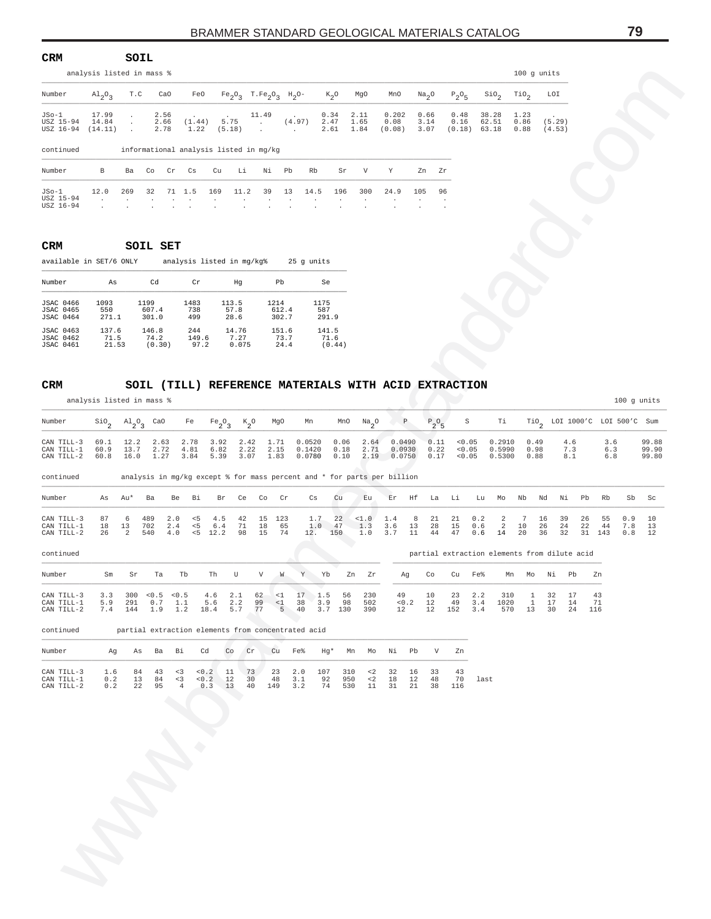| <b>CRM</b>                                     |                                 | SOIL                       |    |                      |                                           |                           |                            |                                                                     |                                   |      |                      |                      |                         |                      |               |                        |                         |                      |                             |
|------------------------------------------------|---------------------------------|----------------------------|----|----------------------|-------------------------------------------|---------------------------|----------------------------|---------------------------------------------------------------------|-----------------------------------|------|----------------------|----------------------|-------------------------|----------------------|---------------|------------------------|-------------------------|----------------------|-----------------------------|
|                                                | analysis listed in mass %       |                            |    |                      |                                           |                           |                            |                                                                     |                                   |      |                      |                      |                         |                      |               |                        |                         |                      | $100$ q units               |
| Number                                         | $\mathrm{Al}_{2}\mathrm{O}_{2}$ | T.C                        |    | CaO                  | FeO                                       |                           |                            | $Fe_2O_3$ T.Fe <sub>2</sub> O <sub>3</sub> H <sub>2</sub> O-        |                                   |      | $K_2O$               | MgO                  | MnO                     | Na <sub>2</sub> O    |               | $P_2O_5$               | SiO <sub>2</sub>        | TiO <sub>2</sub>     | LOI                         |
| $JSo-1$<br>USZ 15-94<br>USZ 16-94<br>continued | 17.99<br>14.84<br>(14.11)       | $\sim$<br>$\sim$<br>$\sim$ |    | 2.56<br>2.66<br>2.78 | <b>Carl Corporation</b><br>(1.44)<br>1.22 | $\sim$<br>5.75<br>(5.18)  |                            | 11.49<br>$\sim$<br>$\sim$<br>informational analysis listed in mg/kg | $\sim 100$ km s $^{-1}$<br>(4.97) |      | 0.34<br>2.47<br>2.61 | 2.11<br>1.65<br>1.84 | 0.202<br>0.08<br>(0.08) | 0.66<br>3.14<br>3.07 |               | 0.48<br>0.16<br>(0.18) | 38.28<br>62.51<br>63.18 | 1.23<br>0.86<br>0.88 | $\cdot$<br>(5.29)<br>(4.53) |
| Number                                         | В                               | Ba                         | Co | Cr                   | Cs                                        | Cu                        | Li                         | Νi                                                                  | Pb                                | Rb   | Sr                   | V                    | Y                       |                      | Zn Zr         |                        |                         |                      |                             |
| $JSo-1$<br>USZ 15-94<br>USZ 16-94              | 12.0<br>$\cdot$                 | 269                        | 32 | $\mathbf{r}$         | 71 1.5<br>$\cdot$                         | 169<br>$\cdot$<br>$\cdot$ | 11.2<br>$\cdot$<br>$\cdot$ | 39<br>$\cdot$                                                       | 13                                | 14.5 | 196<br>$\cdot$       | 300                  | 24.9                    | 105                  | 96<br>$\cdot$ |                        |                         |                      |                             |

#### **CRM SOIL SET**

| Number           | As    | Cd     | Cr    | Hq    | Pb    | Se     |
|------------------|-------|--------|-------|-------|-------|--------|
| <b>JSAC 0466</b> | 1093  | 1199   | 1483  | 113.5 | 1214  | 1175   |
| <b>JSAC 0465</b> | 550   | 607.4  | 738   | 57.8  | 612.4 | 587    |
| <b>JSAC 0464</b> | 271.1 | 301.0  | 499   | 28.6  | 302.7 | 291.9  |
| <b>JSAC 0463</b> | 137.6 | 146.8  | 244   | 14.76 | 151.6 | 141.5  |
| <b>JSAC 0462</b> | 71.5  | 74.2   | 149.6 | 7.27  | 73.7  | 71.6   |
| <b>JSAC 0461</b> | 21.53 | (0.30) | 97.2  | 0.075 | 24.4  | (0.44) |

#### **CRM SOIL (TILL) REFERENCE MATERIALS WITH ACID EXTRACTION**

|                                                          | analysis listed in mass %       |                               |                            |                                                    |                                             |                        |                                                              |                                        |                                      |                         |                                               |                                                                         |                        |                      |                        |                                              |                          | 100 g units          |                                  |                      |                                  |                   |                         |
|----------------------------------------------------------|---------------------------------|-------------------------------|----------------------------|----------------------------------------------------|---------------------------------------------|------------------------|--------------------------------------------------------------|----------------------------------------|--------------------------------------|-------------------------|-----------------------------------------------|-------------------------------------------------------------------------|------------------------|----------------------|------------------------|----------------------------------------------|--------------------------|----------------------|----------------------------------|----------------------|----------------------------------|-------------------|-------------------------|
| Number                                                   | $\mathrm{Al}_{2}\mathrm{O}_{3}$ | T.C                           | CaO                        |                                                    | FeO                                         |                        | $Fe_2O_3$ T.Fe <sub>2</sub> O <sub>3</sub> H <sub>2</sub> O- |                                        |                                      | $K_2O$                  | MgO                                           | MnO                                                                     | Na <sub>2</sub> O      |                      | $P_2O_5$               | SiO <sub>2</sub>                             | TiO <sub>2</sub>         |                      | LOI                              |                      |                                  |                   |                         |
| JSo-1<br>USZ 15-94<br>USZ 16-94                          | 17.99<br>14.84<br>(14.11)       | $\cdot$<br>$\cdot$<br>$\cdot$ | 2.56<br>2.66<br>2.78       |                                                    | (1.44)<br>1.22                              | 5.75<br>(5.18)         | 11.49<br>$\sim$                                              | (4.97)<br>$\sim$                       |                                      | 0.34<br>2.47<br>2.61    | 2.11<br>1.65<br>1.84                          | 0.202<br>0.08<br>(0.08)                                                 | 0.66<br>3.14<br>3.07   |                      | 0.48<br>0.16           | 38.28<br>62.51<br>$(0.18)$ 63.18             | 1.23<br>0.86<br>0.88     |                      | (5.29)<br>(4.53)                 |                      |                                  |                   |                         |
| continued                                                |                                 |                               |                            | informational analysis listed in mg/kg             |                                             |                        |                                                              |                                        |                                      |                         |                                               |                                                                         |                        |                      |                        |                                              |                          |                      |                                  |                      |                                  |                   |                         |
| Number                                                   | В                               | Ba                            | Co                         | Cr<br>Сs                                           | Cu                                          | Li                     | Νi                                                           | Pb                                     | Rb                                   | Sr                      | $\boldsymbol{\mathrm{V}}$                     | Y                                                                       | Zn                     | Zr                   |                        |                                              |                          |                      |                                  |                      |                                  |                   |                         |
| JSo-1<br>USZ 15-94<br>USZ 16-94                          | 12.0                            | 269                           | 32                         | 71<br>1.5                                          | 169                                         | 11.2                   | 39                                                           | 13                                     | 14.5                                 | 196                     | 300                                           | 24.9                                                                    | 105                    | 96                   |                        |                                              |                          |                      |                                  |                      |                                  |                   |                         |
| CRM<br>available in SET/6 ONLY                           |                                 |                               | SOIL SET                   | analysis listed in mg/kg%                          |                                             |                        |                                                              |                                        | 25 g units                           |                         |                                               |                                                                         |                        |                      |                        |                                              |                          |                      |                                  |                      |                                  |                   |                         |
| Number                                                   | As                              |                               | Cd                         |                                                    | Cr                                          | Hg                     |                                                              | Pb                                     | Se                                   |                         |                                               |                                                                         |                        |                      |                        |                                              |                          |                      |                                  |                      |                                  |                   |                         |
| <b>JSAC 0466</b><br><b>JSAC 0465</b><br><b>JSAC 0464</b> | 1093<br>550<br>271.1            |                               | 1199<br>607.4<br>301.0     | 1483<br>738<br>499                                 |                                             | 113.5<br>57.8<br>28.6  |                                                              | 1214<br>612.4<br>302.7                 | 1175<br>587                          | 291.9                   |                                               |                                                                         |                        |                      |                        |                                              |                          |                      |                                  |                      |                                  |                   |                         |
| <b>JSAC 0463</b><br><b>JSAC 0462</b><br><b>JSAC 0461</b> | 137.6<br>71.5<br>21.53          |                               | 146.8<br>74.2<br>(0.30)    | 244                                                | 149.6<br>97.2                               | 14.76<br>7.27<br>0.075 |                                                              | 151.6<br>73.7<br>24.4                  |                                      | 141.5<br>71.6<br>(0.44) |                                               |                                                                         |                        |                      |                        |                                              |                          |                      |                                  |                      |                                  |                   |                         |
| <b>CRM</b>                                               |                                 |                               |                            |                                                    |                                             |                        |                                                              |                                        |                                      |                         |                                               | SOIL (TILL) REFERENCE MATERIALS WITH ACID EXTRACTION                    |                        |                      |                        |                                              |                          |                      |                                  |                      |                                  |                   |                         |
|                                                          | analysis listed in mass %       |                               |                            |                                                    |                                             |                        |                                                              |                                        |                                      |                         |                                               |                                                                         |                        |                      |                        |                                              |                          |                      |                                  |                      |                                  | 100 g units       |                         |
| Number                                                   | $\mathsf{Sio}_{2}$              | $A1_{2}O_{3}$                 | CaO                        | Fe                                                 | $Fe_2O_3$                                   |                        | $K_2^o$                                                      | MgO                                    | Mn                                   | MnO                     | $\frac{Na}{2}$ <sup>O</sup>                   | $\mathbb{P}$                                                            |                        | $P_2O_5$             | S                      | Тi                                           |                          |                      |                                  |                      | $TiO_2$ LOI 1000'C LOI 500'C Sum |                   |                         |
| CAN TILL-3<br>CAN TILL-1<br>CAN TILL-2                   | 69.1<br>60.9<br>60.8            | 12.2<br>13.7<br>16.0          | 2.63<br>2.72<br>1.27       | 2.78<br>4.81<br>3.84                               | 3.92<br>6.82<br>5.39                        |                        | 2.42<br>2.22<br>3.07                                         | 1.71<br>2.15<br>1.83                   | 0.0520<br>0.1420<br>0.0780           | 0.06<br>0.18<br>0.10    | 2.64<br>2.71<br>2.19                          | 0.0490<br>0.0930<br>0.0750                                              |                        | 0.11<br>0.22<br>0.17 | 0.05<br>0.05<br>< 0.05 | 0.2910<br>0.5300                             | 0.5990                   | 0.49<br>0.98<br>0.88 |                                  | 4.6<br>7.3<br>8.1    | 3.6<br>6.3<br>6.8                |                   | 99.88<br>99.90<br>99.80 |
| continued                                                |                                 |                               |                            |                                                    |                                             |                        |                                                              |                                        |                                      |                         |                                               | analysis in mg/kg except % for mass percent and * for parts per billion |                        |                      |                        |                                              |                          |                      |                                  |                      |                                  |                   |                         |
| Number                                                   | As                              | Au*                           | Ba                         | Be                                                 | Bi                                          | Br<br>Ce               | Co                                                           | Cr                                     | Сs                                   | Cu                      | Eu                                            | Εr                                                                      | Ηf                     | La                   | Li                     | Lu<br>Mo                                     | Nb                       | Nd                   | Νi                               | Pb                   | Rb                               | Sb                | Sc                      |
| CAN TILL-3<br>CAN TILL-1<br>CAN TILL-2                   | 87<br>18<br>26                  | 6<br>13<br>2                  | 489<br>702<br>540          | 2.0<br>2.4<br>4.0                                  | $\leq$ 5<br>4.5<br>< 5<br>6.4<br>$< 5$ 12.2 | 42<br>71<br>98         | 15<br>18<br>15                                               | 123<br>65<br>74                        | 1.7<br>1.0<br>12.                    | 22<br>47<br>150         | <1.0<br>1.3<br>1.0                            | 1.4<br>3.6<br>3.7                                                       | 8<br>13<br>11          | 21<br>28<br>44       | 21<br>15<br>47         | 0.2<br>0.6<br>0.6<br>14                      | 2<br>2<br>10<br>20       | 7                    | 16<br>39<br>24<br>26<br>36<br>32 | 26<br>22             | 55<br>44<br>31 143               | 0.9<br>7.8<br>0.8 | 10<br>13<br>12          |
| continued                                                |                                 |                               |                            |                                                    |                                             | U                      | V                                                            |                                        |                                      |                         |                                               |                                                                         |                        |                      |                        | partial extraction elements from dilute acid |                          |                      |                                  |                      |                                  |                   |                         |
| Number<br>CAN TILL-3<br>CAN TILL-1<br>CAN TILL-2         | Sm<br>3.3<br>5.9                | Sr<br>300<br>291<br>7.4 144   | Ta<br>0.5<br>0.7           | Tb<br>< 0.5<br>1.1<br>1.9 1.2                      | Th<br>4.6<br>5.6                            | 2.1<br>2.2<br>18.4 5.7 | 62<br>99<br>77                                               | W<br>$\leq 1$<br>$\leq 1$<br>$5 \t 40$ | Y<br>Yb<br>17<br>1.5<br>38<br>3.9    | 56<br>98<br>3.7 130     | Zn<br>Ζr<br>230<br>502<br>390                 | Αg<br>49<br>$< 0$ . $2\,$<br>12                                         | Co<br>$10$<br>12<br>12 |                      | Cu<br>23<br>49<br>152  | Fe%<br>2.2<br>3.4<br>3.4                     | Mn<br>310<br>1020<br>570 | Mo<br>1<br>1<br>13   | Νi<br>32<br>17<br>30             | Pb<br>17<br>14<br>24 | Zn<br>43<br>71<br>116            |                   |                         |
| continued                                                |                                 |                               |                            | partial extraction elements from concentrated acid |                                             |                        |                                                              |                                        |                                      |                         |                                               |                                                                         |                        |                      |                        |                                              |                          |                      |                                  |                      |                                  |                   |                         |
| Number                                                   | Ag                              | As                            | Ba                         | Bi                                                 | Cd                                          | Co                     | Cr                                                           | Cu<br>Fe%                              |                                      | Hg*                     | Mn<br>Mo                                      | Νi                                                                      | Pb                     | V                    | Zn                     |                                              |                          |                      |                                  |                      |                                  |                   |                         |
| CAN TILL-3<br>CAN TILL-1<br>CAN TILL-2                   | 1.6<br>0.2<br>0.2               | 22                            | 84<br>43<br>13<br>84<br>95 | < 3<br>< 3<br>$\overline{4}$                       | 0.2<br>0.2<br>$0.3$ 13                      | 11<br>12               | 73<br>30<br>40                                               | 23<br>48<br>149                        | 107<br>2.0<br>3.1<br>92<br>3.2<br>74 |                         | 310<br>$\lt2$<br>950<br>$\leq$ 2<br>530<br>11 | 32<br>18<br>31                                                          | 16<br>12<br>21         | 33<br>48<br>38       | 43<br>70<br>116        | last                                         |                          |                      |                                  |                      |                                  |                   |                         |
|                                                          |                                 |                               |                            |                                                    |                                             |                        |                                                              |                                        |                                      |                         |                                               |                                                                         |                        |                      |                        |                                              |                          |                      |                                  |                      |                                  |                   |                         |
|                                                          |                                 |                               |                            |                                                    |                                             |                        |                                                              |                                        |                                      |                         |                                               |                                                                         |                        |                      |                        |                                              |                          |                      |                                  |                      |                                  |                   |                         |
|                                                          |                                 |                               |                            |                                                    |                                             |                        |                                                              |                                        |                                      |                         |                                               |                                                                         |                        |                      |                        |                                              |                          |                      |                                  |                      |                                  |                   |                         |
|                                                          |                                 |                               |                            |                                                    |                                             |                        |                                                              |                                        |                                      |                         |                                               |                                                                         |                        |                      |                        |                                              |                          |                      |                                  |                      |                                  |                   |                         |
|                                                          |                                 |                               |                            |                                                    |                                             |                        |                                                              |                                        |                                      |                         |                                               |                                                                         |                        |                      |                        |                                              |                          |                      |                                  |                      |                                  |                   |                         |
|                                                          |                                 |                               |                            |                                                    |                                             |                        |                                                              |                                        |                                      |                         |                                               |                                                                         |                        |                      |                        |                                              |                          |                      |                                  |                      |                                  |                   |                         |
|                                                          | $\overline{\phantom{a}}$        |                               |                            |                                                    |                                             |                        |                                                              |                                        |                                      |                         |                                               |                                                                         |                        |                      |                        |                                              |                          |                      |                                  |                      |                                  |                   |                         |
|                                                          |                                 |                               |                            |                                                    |                                             |                        |                                                              |                                        |                                      |                         |                                               |                                                                         |                        |                      |                        |                                              |                          |                      |                                  |                      |                                  |                   |                         |
|                                                          |                                 |                               |                            |                                                    |                                             |                        |                                                              |                                        |                                      |                         |                                               |                                                                         |                        |                      |                        |                                              |                          |                      |                                  |                      |                                  |                   |                         |
|                                                          |                                 |                               |                            |                                                    |                                             |                        |                                                              |                                        |                                      |                         |                                               |                                                                         |                        |                      |                        |                                              |                          |                      |                                  |                      |                                  |                   |                         |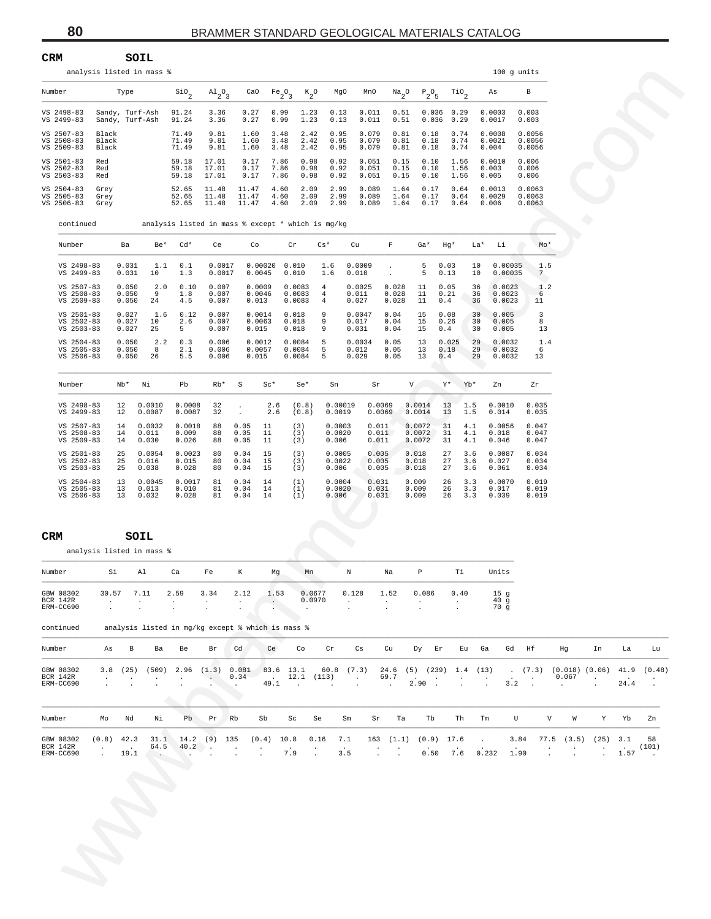| <b>CRM</b> | SOIL                      |               |
|------------|---------------------------|---------------|
|            | analysis listed in mass % | $100$ q units |

| Number     | Type            | SiO <sub>2</sub> | $A1_{2}O_{3}$ | CaO   | $Fe_2O_3$ | $K_{2}O$ | MgO  | MnO   | Na <sub>2</sub> O | $P_2O_5$ | TiO, | As     | B      |
|------------|-----------------|------------------|---------------|-------|-----------|----------|------|-------|-------------------|----------|------|--------|--------|
| VS 2498-83 | Sandy, Turf-Ash | 91.24            | 3.36          | 0.27  | 0.99      | 1.23     | 0.13 | 0.011 | 0.51              | 0.036    | 0.29 | 0.0003 | 0.003  |
| VS 2499-83 | Sandy, Turf-Ash | 91.24            | 3.36          | 0.27  | 0.99      | 1.23     | 0.13 | 0.011 | 0.51              | 0.036    | 0.29 | 0.0017 | 0.003  |
| VS 2507-83 | Black           | 71.49            | 9.81          | 1.60  | 3.48      | 2.42     | 0.95 | 0.079 | 0.81              | 0.18     | 0.74 | 0.0008 | 0.0056 |
| VS 2508-83 | Black           | 71.49            | 9.81          | 1.60  | 3.48      | 2.42     | 0.95 | 0.079 | 0.81              | 0.18     | 0.74 | 0.0021 | 0.0056 |
| VS 2509-83 | Black           | 71.49            | 9.81          | 1.60  | 3.48      | 2.42     | 0.95 | 0.079 | 0.81              | 0.18     | 0.74 | 0.004  | 0.0056 |
| VS 2501-83 | Red             | 59.18            | 17.01         | 0.17  | 7.86      | 0.98     | 0.92 | 0.051 | 0.15              | 0.10     | 1.56 | 0.0010 | 0.006  |
| VS 2502-83 | Red             | 59.18            | 17.01         | 0.17  | 7.86      | 0.98     | 0.92 | 0.051 | 0.15              | 0.10     | 1.56 | 0.003  | 0.006  |
| VS 2503-83 | Red             | 59.18            | 17.01         | 0.17  | 7.86      | 0.98     | 0.92 | 0.051 | 0.15              | 0.10     | 1.56 | 0.005  | 0.006  |
| VS 2504-83 | Grey            | 52.65            | 11.48         | 11.47 | 4.60      | 2.09     | 2.99 | 0.089 | 1.64              | 0.17     | 0.64 | 0.0013 | 0.0063 |
| VS 2505-83 | Grey            | 52.65            | 11.48         | 11.47 | 4.60      | 2.09     | 2.99 | 0.089 | 1.64              | 0.17     | 0.64 | 0.0029 | 0.0063 |
| VS 2506-83 | Grey            | 52.65            | 11.48         | 11.47 | 4.60      | 2.09     | 2.99 | 0.089 | 1.64              | 0.17     | 0.64 | 0.006  | 0.0063 |

|                                        |                      |                                    | analysis listed in mass % |                                                   |                         |                                                                      |                                |                                          |                                  |                          |                         |                                 |                       |                      | 100 g units                                |              |                            |                                                        |            |                |                                 |
|----------------------------------------|----------------------|------------------------------------|---------------------------|---------------------------------------------------|-------------------------|----------------------------------------------------------------------|--------------------------------|------------------------------------------|----------------------------------|--------------------------|-------------------------|---------------------------------|-----------------------|----------------------|--------------------------------------------|--------------|----------------------------|--------------------------------------------------------|------------|----------------|---------------------------------|
| Number                                 |                      | Type                               |                           | $\sin$                                            | $A1_{2}O_{3}$           | CaO                                                                  | Fe <sub>2</sub> O <sub>3</sub> | $K_{2}O$                                 | MgO                              | MnO                      |                         | $\mathrm{Na}_2\mathrm{O}$       | $P_2O_5$              | $\mathrm{rio}_{2}$   | As                                         |              | В                          |                                                        |            |                |                                 |
| VS 2498-83<br>VS 2499-83               |                      | Sandy, Turf-Ash<br>Sandy, Turf-Ash |                           | 91.24<br>91.24                                    | 3.36<br>3.36            | 0.27<br>0.27                                                         | 0.99<br>0.99                   | 1.23<br>1.23                             | 0.13<br>0.13                     | 0.011<br>0.011           |                         | 0.51<br>0.51                    | $0.036$ 0.29<br>0.036 | 0.29                 | 0.0003<br>0.0017                           |              | 0.003<br>0.003             |                                                        |            |                |                                 |
| VS 2507-83<br>VS 2508-83               | Black<br>Black       |                                    |                           | 71.49<br>71.49                                    | 9.81<br>9.81            | 1.60<br>1.60                                                         | 3.48<br>3.48                   | 2.42<br>2.42                             | 0.95<br>0.95                     | 0.079<br>0.079           |                         | 0.81<br>0.81                    | 0.18<br>0.18          | 0.74<br>0.74         | 0.0008<br>0.0021                           |              | 0.0056<br>0.0056           |                                                        |            |                |                                 |
| VS 2509-83<br>VS 2501-83               | Black<br>Red         |                                    |                           | 71.49<br>59.18                                    | 9.81<br>17.01           | 1.60<br>0.17                                                         | 3.48<br>7.86                   | 2.42<br>0.98                             | 0.95<br>0.92                     | 0.079<br>0.051           |                         | 0.81<br>0.15                    | 0.18<br>0.10          | 0.74<br>1.56         | 0.004<br>0.0010                            |              | 0.0056<br>0.006            |                                                        |            |                |                                 |
| VS 2502-83<br>VS 2503-83               | Red<br>Red           |                                    |                           | 59.18<br>59.18                                    | 17.01<br>17.01          | 0.17<br>0.17                                                         | 7.86<br>7.86                   | 0.98<br>0.98                             | 0.92<br>0.92                     | 0.051<br>0.051           |                         | 0.15<br>0.15                    | 0.10<br>0.10          | 1.56<br>1.56         | 0.003<br>0.005                             |              | 0.006<br>0.006             |                                                        |            |                |                                 |
| VS 2504-83<br>VS 2505-83<br>VS 2506-83 | Grey<br>Grey<br>Grey |                                    |                           | 52.65<br>52.65<br>52.65                           | 11.48<br>11.48<br>11.48 | 11.47<br>11.47<br>11.47                                              | 4.60<br>4.60<br>4.60           | 2.09<br>2.09<br>2.09                     | 2.99<br>2.99<br>2.99             | 0.089<br>0.089<br>0.089  |                         | 1.64<br>1.64<br>1.64            | 0.17<br>0.17<br>0.17  | 0.64<br>0.64<br>0.64 | 0.0013<br>0.0029<br>0.006                  |              | 0.0063<br>0.0063<br>0.0063 |                                                        |            |                |                                 |
| continued                              |                      |                                    |                           | analysis listed in mass % except * which is mg/kg |                         |                                                                      |                                |                                          |                                  |                          |                         |                                 |                       |                      |                                            |              |                            |                                                        |            |                |                                 |
| Number                                 |                      | Ba                                 | Be*                       | $Cd*$                                             | Ce                      | Co                                                                   |                                | $\operatorname{Cr}$                      | $Cs*$                            | Cu                       | F                       | Ga*                             | Hg*                   |                      | La*<br>Li                                  |              | Mo*                        |                                                        |            |                |                                 |
| VS 2498-83<br>VS 2499-83               |                      | 0.031<br>0.031                     | 1.1<br>10                 | 0.1<br>1.3                                        | 0.0017<br>0.0017        | 0.0045                                                               | $0.00020$ $0.010$              | 0.010                                    | 1.6<br>1.6                       | 0.0009<br>0.010          | $\cdot$<br>$\cdot$      | 5<br>5                          | 0.03<br>0.13          |                      | 10<br>0.00035<br>10<br>0.00035             |              | 1.5<br>7                   |                                                        |            |                |                                 |
| VS 2507-83<br>VS 2508-83               |                      | 0.050<br>0.050                     | 2.0<br>9                  | 0.10<br>1.8                                       | 0.007<br>0.007          | 0.0009<br>0.0046                                                     |                                | 0.0083<br>0.0083                         | $\overline{4}$<br>$\overline{4}$ | 0.0025<br>0.011          | 0.028<br>0.028          | 11<br>11                        | 0.05<br>0.21          |                      | 36<br>0.0023<br>36<br>0.0023               |              | 1.2<br>-6                  |                                                        |            |                |                                 |
| VS 2509-83<br>VS 2501-83<br>VS 2502-83 |                      | 0.050<br>0.027<br>0.027            | 24<br>1.6<br>10           | 4.5<br>0.12<br>2.6                                | 0.007<br>0.007<br>0.007 | 0.013<br>0.0014<br>0.0063                                            |                                | 0.0083<br>0.018<br>0.018                 | $\overline{4}$<br>9<br>9         | 0.027<br>0.0047<br>0.017 | 0.028<br>0.04<br>0.04   | 11<br>15<br>15                  | 0.4<br>0.08<br>0.26   |                      | 36<br>0.0023<br>30<br>0.005<br>30<br>0.005 |              | 11<br>3<br>8               |                                                        |            |                |                                 |
| VS 2503-83<br>VS 2504-83               |                      | 0.027<br>0.050                     | 25<br>2.2                 | 5<br>0.3                                          | 0.007<br>0.006          | 0.015<br>0.0012                                                      |                                | 0.018<br>0.0084                          | 9<br>5                           | 0.031<br>0.0034          | 0.04<br>0.05            | 15<br>13                        | 0.4<br>0.025          |                      | 30<br>0.005<br>29<br>0.0032                |              | 13<br>1.4                  |                                                        |            |                |                                 |
| VS 2505-83<br>VS 2506-83               |                      | 0.050<br>0.050                     | 8<br>26                   | 2.1<br>5.5                                        | 0.006<br>0.006          | 0.0057<br>0.015                                                      |                                | 0.0084<br>0.0084                         | 5<br>5                           | 0.012<br>0.029           | 0.05<br>0.05            | 13<br>13                        | 0.18<br>0.4           |                      | 29<br>0.0032<br>29<br>0.0032               |              | 6<br>13                    |                                                        |            |                |                                 |
| Number                                 |                      | Nb*                                | Νi                        | Pb                                                | Rb*                     | $\rm S$                                                              | $Sc*$                          | $Se*$                                    | Sn                               |                          | Sr                      | V I                             | Y*                    | Yb*                  | Zn                                         |              | Zr                         |                                                        |            |                |                                 |
| VS 2498-83<br>VS 2499-83               |                      | 12<br>12                           | 0.0010<br>0.0087          | 0.0008<br>0.0087                                  | 32<br>32                | $\blacksquare$                                                       | 2.6<br>2.6                     | (0.8)<br>(0.8)                           | 0.00019<br>0.0019                |                          | 0.0069<br>0.0069        | 0.0014<br>0.0014                | 13<br>13              | 1.5<br>1.5           | 0.0010<br>0.014                            |              | 0.035<br>0.035             |                                                        |            |                |                                 |
| VS 2507-83<br>VS 2508-83<br>VS 2509-83 |                      | 14<br>14<br>14                     | 0.0032<br>0.011<br>0.030  | 0.0018<br>0.009<br>0.026                          | 88<br>88<br>88          | 0.05<br>0.05<br>0.05                                                 | 11<br>11<br>11                 | (3)<br>(3)<br>(3)                        | 0.0003<br>0.0020<br>0.006        |                          | 0.011<br>0.011<br>0.011 | 0.0072<br>0.0072<br>0.0072      | 31<br>31<br>31        | 4.1<br>4.1<br>4.1    | 0.0056<br>0.018<br>0.046                   |              | 0.047<br>0.047<br>0.047    |                                                        |            |                |                                 |
| VS 2501-83<br>VS 2502-83               |                      | 25<br>25                           | 0.0054<br>0.016           | 0.0023<br>0.015                                   | 80<br>80                | 0.04<br>0.04                                                         | 15<br>15                       | (3)<br>(3)                               | 0.0005<br>0.0022                 |                          | 0.005<br>0.005          | 0.018<br>0.018                  | 27<br>27              | 3.6<br>3.6           | 0.0087<br>0.027                            |              | 0.034<br>0.034             |                                                        |            |                |                                 |
| VS 2503-83<br>VS 2504-83<br>VS 2505-83 |                      | 25<br>13<br>13                     | 0.038<br>0.0045<br>0.013  | 0.028<br>0.0017<br>0.010                          | 80<br>81<br>81          | 0.04<br>$\ensuremath{\text{0}}$ . $\ensuremath{\text{0}}\,4$<br>0.04 | 15<br>14<br>14                 | (3)<br>(1)<br>(1)                        | 0.006<br>0.0004<br>0.0020        |                          | 0.005<br>0.031<br>0.031 | 0.018<br>0.009<br>0.009         | 27<br>26<br>26        | 3.6<br>3.3<br>3.3    | 0.061<br>0.0070<br>0.017                   |              | 0.034<br>0.019<br>0.019    |                                                        |            |                |                                 |
| VS 2506-83                             |                      | 13                                 | 0.032                     | 0.028                                             | 81                      | 0.04                                                                 | 14                             | (1)                                      | 0.006                            |                          | 0.031                   | 0.009                           | 26                    | 3.3                  | 0.039                                      |              | 0.019                      |                                                        |            |                |                                 |
| CRM                                    |                      |                                    | SOIL                      |                                                   |                         |                                                                      |                                |                                          |                                  |                          |                         |                                 |                       |                      |                                            |              |                            |                                                        |            |                |                                 |
|                                        |                      |                                    | analysis listed in mass % |                                                   |                         |                                                                      |                                |                                          |                                  |                          |                         |                                 |                       |                      |                                            |              |                            |                                                        |            |                |                                 |
| Number                                 | Si                   |                                    | Al                        | Ca                                                | Fe                      | К                                                                    | Mg                             | Mn                                       |                                  | N                        | Na                      | $\, {\bf p}$                    |                       | Тi                   | Units                                      |              |                            |                                                        |            |                |                                 |
| GBW 08302<br>BCR 142R<br>ERM-CC690     |                      | 30.57 7.11                         |                           | 2.59                                              | 3.34                    | 2.12                                                                 | 1.53<br>$\sim$                 | 0.0677<br>0.0970<br>$\ddot{\phantom{a}}$ |                                  | 0.128<br>$\sim$          | 1.52<br>$\cdot$         | 0.086                           |                       | 0.40<br>$\cdot$      | 15 <sub>g</sub><br>40 <sub>g</sub><br>70g  |              |                            |                                                        |            |                |                                 |
| continued                              |                      |                                    |                           | analysis listed in mg/kg except % which is mass % |                         |                                                                      |                                |                                          |                                  |                          |                         |                                 |                       |                      |                                            |              |                            |                                                        |            |                |                                 |
| Number                                 | As                   | B                                  | Ba                        | Be                                                | Br                      | Cd                                                                   | Ce                             | Co                                       | Cr                               | Cs                       | Cu                      |                                 | Dy Er                 | Eu Ga                |                                            | Gd Hf        |                            | Hg                                                     | In         | La             | Lu                              |
| GBW 08302<br>BCR 142R<br>ERM-CC690     |                      | 3.8(25)                            | (509)                     | 2.96                                              | (1.3)                   | 0.081<br>0.34                                                        | 83.6 13.1<br>49.1              | . 12.1 (113)<br>$\sim$ 100 $\pm$         | $60.8$ $(7.3)$                   | $\sim 100$ km $^{-1}$    | 69.7                    | 24.6 (5) (239) 1.4 (13)<br>2.90 |                       |                      |                                            | 3.2          |                            | $(7.3)$ $(0.018)$ $(0.06)$<br>0.067<br>$\sim 10^{-11}$ | $\cdot$    | 41.9<br>24.4   | (0.48)<br>$\ddot{\phantom{a}}$  |
|                                        |                      |                                    |                           | a.                                                |                         |                                                                      |                                |                                          |                                  |                          |                         |                                 |                       |                      |                                            |              |                            |                                                        |            |                |                                 |
| Number                                 | Mo                   | Nd                                 | Νi                        | Pb                                                | Pr.                     | Rb                                                                   | Sb                             | Sc                                       | Se<br>Sm                         |                          | Sr                      | Ta                              | Tb                    | Th                   | Tm                                         | U            | V                          | W                                                      | Υ          | Yb             | Zn                              |
| GBW 08302<br>BCR 142R<br>ERM-CC690     | (0.8)<br>$\cdot$     | 42.3<br>$\sim$<br>19.1             | 31.1                      | 14.2<br>64.5 40.2<br>$\sim$ $\sim$                | $(9)$ 135<br>$\sim$     | (0.4)                                                                | 10.8                           | 7.9                                      | 0.16<br>7.1<br>3.5               |                          | 163(1.1)                |                                 | $(0.9)$ 17.6<br>0.50  | 7.6                  | 0.232                                      | 3.84<br>1.90 |                            | $77.5$ (3.5)                                           | $(25)$ 3.1 | $\sim$<br>1.57 | 58<br>(101)<br>$\sim$ 100 $\pm$ |
|                                        |                      |                                    |                           |                                                   |                         |                                                                      |                                |                                          |                                  |                          |                         |                                 |                       |                      |                                            |              |                            |                                                        |            |                |                                 |
|                                        |                      |                                    |                           |                                                   |                         |                                                                      |                                |                                          |                                  |                          |                         |                                 |                       |                      |                                            |              |                            |                                                        |            |                |                                 |
|                                        |                      |                                    |                           |                                                   |                         |                                                                      |                                |                                          |                                  |                          |                         |                                 |                       |                      |                                            |              |                            |                                                        |            |                |                                 |
|                                        | <b>SER</b>           |                                    |                           |                                                   |                         |                                                                      |                                |                                          |                                  |                          |                         |                                 |                       |                      |                                            |              |                            |                                                        |            |                |                                 |
|                                        |                      |                                    |                           |                                                   |                         |                                                                      |                                |                                          |                                  |                          |                         |                                 |                       |                      |                                            |              |                            |                                                        |            |                |                                 |
|                                        |                      |                                    |                           |                                                   |                         |                                                                      |                                |                                          |                                  |                          |                         |                                 |                       |                      |                                            |              |                            |                                                        |            |                |                                 |

#### **CRM SOIL**

|                                           | analysis listed in mass o |              |                                                   |                         |                |                |                        |                        |                                 |                            |                             |                               |                                               |                 |                              |                               |                                         |                                          |                              |              |             |
|-------------------------------------------|---------------------------|--------------|---------------------------------------------------|-------------------------|----------------|----------------|------------------------|------------------------|---------------------------------|----------------------------|-----------------------------|-------------------------------|-----------------------------------------------|-----------------|------------------------------|-------------------------------|-----------------------------------------|------------------------------------------|------------------------------|--------------|-------------|
| Number                                    | Si                        |              | A1                                                | Ca                      | Fe             | К              | Mg                     |                        | Mn                              | N                          |                             | Na                            | P                                             | Тi              | Units                        |                               |                                         |                                          |                              |              |             |
| GBW 08302<br>BCR 142R<br>ERM-CC690        | 30.57<br>$\cdot$          |              | 7.11                                              | 2.59                    | 3.34           | 2.12           | 1.53                   |                        | 0.0677<br>0.0970                | 0.128<br>٠                 |                             | 1.52<br>$\cdot$<br>$\cdot$    | 0.086<br>$\cdot$                              | 0.40<br>$\cdot$ |                              | 15 <sub>g</sub><br>40g<br>70g |                                         |                                          |                              |              |             |
| continued                                 |                           |              | analysis listed in mg/kg except % which is mass % |                         |                |                |                        |                        |                                 |                            |                             |                               |                                               |                 |                              |                               |                                         |                                          |                              |              |             |
| Number                                    | As                        | B            | Ba                                                | Be                      | Br             | <sub>cd</sub>  | Ce                     | Co                     | $\operatorname{\sf cr}$         | $\mathbb{C}\mathbf{s}$     |                             | Cu                            | Dy<br>Er                                      | Eu              | Ga                           | Gd                            | Hf                                      | Hg                                       | In                           | La           | Lu          |
| GBW 08302<br><b>BCR 142R</b><br>ERM-CC690 | 3.8<br>$\sim$             | (25)         | (509)                                             | 2.96                    | (1.3)          | 0.081<br>0.34  | 83.6<br>$\sim$<br>49.1 | 13.1<br>12.1<br>$\sim$ | 60.8<br>(113)<br>$\overline{a}$ | (7.3)<br>$\sim$<br>$\cdot$ |                             | 24.6<br>69.7<br>$\mathbf{r}$  | (5)<br>(239)<br>$\sim$<br>$\cdot$<br>$2.90$ . | 1.4             | (13)<br>$\ddot{\phantom{a}}$ | 3.2                           | (7.3)<br>$\ddot{\phantom{a}}$<br>$\sim$ | (0.018)<br>0.067<br>$\ddot{\phantom{a}}$ | (0.06)<br>$\cdot$<br>$\cdot$ | 41.9<br>24.4 | (0.48)      |
| Number                                    | Mo                        | Nd           | Νi                                                | Pb                      | Pr             | Rb             | Sb                     | Sc                     | Se                              | Sm                         | Sr                          | Ta                            | Tb                                            | Th              | Tm                           | U                             | $\boldsymbol{\mathrm{V}}$               | W                                        | Υ                            | Yb           | Zn          |
| GBW 08302<br><b>BCR 142R</b><br>ERM-CC690 | (0.8)<br>$\cdot$          | 42.3<br>19.1 | 31.1<br>64.5<br>$\sim$                            | 14.2<br>40.2<br>$\cdot$ | (9)<br>$\cdot$ | 135<br>$\cdot$ | (0.4)<br>$\cdot$       | 10.8<br>7.9            | 0.16<br>$\Delta$                | 7.1<br>3.5                 | 163<br>$\ddot{\phantom{0}}$ | (1.1)<br>$\ddot{\phantom{a}}$ | (0.9)<br>0.50                                 | 17.6<br>7.6     | $\mathbf{r}$<br>0.232        | 3.84<br>1.90                  | 77.5<br>$\cdot$                         | (3.5)<br>$\cdot$                         | (25)                         | 3.1<br>1.57  | 58<br>(101) |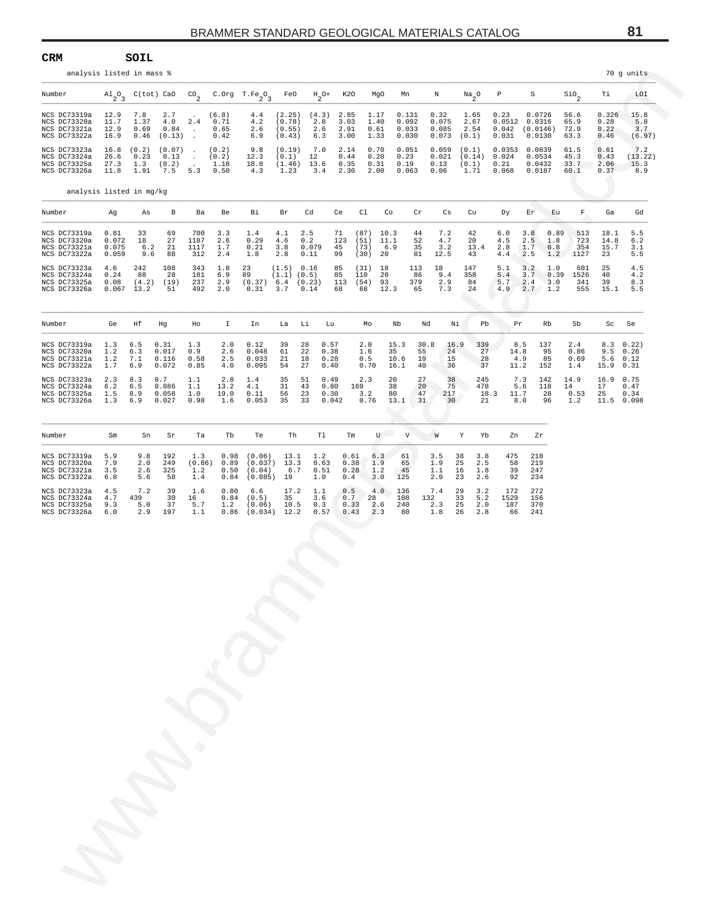| analysis listed in mass %                                    |                                 | SOIL                               |                                                            |                                                 |                                      |                                           |                                      |                             |                               |                              |                            |                                  |                                 |                                     |                                  |                                         |                                      |                              |                               | 70 g units                                         |
|--------------------------------------------------------------|---------------------------------|------------------------------------|------------------------------------------------------------|-------------------------------------------------|--------------------------------------|-------------------------------------------|--------------------------------------|-----------------------------|-------------------------------|------------------------------|----------------------------|----------------------------------|---------------------------------|-------------------------------------|----------------------------------|-----------------------------------------|--------------------------------------|------------------------------|-------------------------------|----------------------------------------------------|
| Number                                                       |                                 |                                    | $\mathrm{Al}_{2}\mathrm{O}_{3}$ C(tot) CaO CO <sub>2</sub> |                                                 |                                      | C. Org $T.Fe_2O_3$                        | FeO                                  | $H_0 +$                     | K20                           |                              | MgO<br>Mn                  |                                  | N                               | $\mathrm{Na}_{2}$ <sup>O</sup>      | $\, {\bf P}$                     | S                                       |                                      | $\mathsf{Sio}_2$             | Тi                            | LOI                                                |
| NCS DC73319a<br>NCS DC73320a<br>NCS DC73321a<br>NCS DC73322a | 12.9<br>11.7<br>12.9<br>16.9    | 7.8<br>1.37<br>0.69<br>0.46        | 2.7<br>4.0<br>0.84<br>(0.13)                               | $\sim$<br>2.4<br>$\sim$<br>$\ddot{\phantom{a}}$ | (6.8)<br>0.71<br>0.65<br>0.42        | 4.4<br>4.2<br>2.6<br>6.9                  | (2.25)<br>(0.78)<br>(0.55)<br>(0.43) | (4.3)<br>2.8<br>2.6<br>6.3  | 2.85<br>3.03<br>2.91<br>3.00  | 1.17<br>1.40<br>0.61<br>1.33 |                            | 0.131<br>0.092<br>0.033<br>0.030 | 0.32<br>0.075<br>0.085<br>0.073 | 1.65<br>2.67<br>2.54<br>(0.1)       | 0.23<br>0.031                    | $0.0512$ $0.0316$<br>$0.042$ $(0.0146)$ | 0.0726<br>0.0130                     | 56.6<br>65.9<br>72.9<br>63.3 | 0.326<br>0.28<br>0.22<br>0.46 | 15.8<br>5.8<br>3.7<br>(6.97)                       |
| NCS DC73323a<br>NCS DC73324a<br>NCS DC73325a<br>NCS DC73326a | 16.8<br>26.6<br>27.3<br>11.8    | (0.2)<br>0.23<br>1.3<br>1.91       | $(0.07)$ .<br>0.13<br>(0.2)<br>7.5                         | $\sim$<br>$\ddot{\phantom{0}}$                  | (0.2)<br>(0.2)<br>1.18<br>$5.3$ 0.50 | 9.8<br>12.3<br>18.0<br>4.3                | (0.19)<br>(0.1)<br>(1.46)<br>1.23    | 7.0<br>12<br>13.6<br>3.4    | 2.14<br>0.44<br>0.35<br>2.30  | 0.70<br>0.20<br>0.31<br>2.00 | 0.23<br>0.19               | 0.051<br>0.063                   | 0.059<br>0.021<br>0.13<br>0.06  | (0.1)<br>(0.14)<br>(0.1)<br>1.71    | 0.0353<br>0.024<br>0.21<br>0.068 |                                         | 0.0839<br>0.0534<br>0.0432<br>0.0187 | 61.5<br>45.3<br>33.7<br>60.1 | 0.61<br>0.43<br>2.06<br>0.37  | 7.2<br>(13.22)<br>15.3<br>8.9                      |
| analysis listed in mg/kg                                     |                                 |                                    |                                                            |                                                 |                                      |                                           |                                      |                             |                               |                              |                            |                                  |                                 |                                     |                                  |                                         |                                      |                              |                               |                                                    |
| Number                                                       | Ag                              | As                                 | В                                                          | Ba                                              | Be                                   | Вi                                        | Br                                   | Cd                          | Ce                            | C1                           | Co                         | Cr                               | Cs                              | Cu                                  | Dy                               | Εr                                      | Εu                                   | F                            | Ga                            | Gd                                                 |
| NCS DC73319a<br>NCS DC73320a<br>NCS DC73321a<br>NCS DC73322a | 0.81<br>0.072<br>0.075<br>0.059 | 33<br>18<br>6.2<br>9.6             | 69<br>27<br>21<br>88                                       | 700<br>1187<br>1117<br>312                      | 3.3<br>2.6<br>1.7<br>2.4             | 1.4<br>0.29<br>0.21<br>1.8                | 4.1<br>4.6<br>3.8<br>2.8             | 2.5<br>0.2<br>0.079<br>0.11 | 71<br>123<br>45<br>99         | (87)<br>(51)<br>(73)<br>(30) | 10.3<br>11.1<br>6.9<br>20  | 44<br>52<br>35<br>81             | 7.2<br>4.7<br>3.2<br>12.5       | 42<br>20<br>13.4<br>43              | 6.0<br>4.5<br>2.8<br>4.4         | 3.8<br>2.5<br>1.7<br>2.5                | 0.89<br>1.8<br>0.8<br>1.2            | 513<br>723<br>354<br>1127    | 18.1<br>14.8<br>15.7<br>23    | 5.5<br>6.2<br>3.1<br>5.5                           |
| NCS DC73323a<br>NCS DC73324a<br>NCS DC73325a<br>NCS DC73326a | 4.6<br>0.24<br>0.08             | 242<br>88<br>(4.2)<br>$0.067$ 13.2 | 108<br>28<br>(19)<br>51                                    | 343<br>181<br>237<br>492                        | 1.8<br>6.9<br>2.9<br>2.0             | 23<br>89<br>$(0.37)$ 6.4 $(0.23)$<br>0.31 | (1.5) 0.16<br>$(1.1)$ $(0.5)$<br>3.7 | 0.14                        | 85<br>85<br>113<br>68         | (31)<br>110<br>(54)<br>68    | 18<br>20<br>93<br>12.3     | 113<br>86<br>379<br>65           | 18<br>9.4<br>2.9<br>7.3         | 147<br>358<br>84<br>24              | 5.1<br>5.4<br>5.7<br>4.9         | 3.2<br>3.7<br>2.4                       | 1.0<br>0.39<br>3.0<br>$2.7 - 1.2$    | 601<br>1526<br>341<br>555    | 25<br>40<br>39<br>15.1        | 4.5<br>4.2<br>8.3<br>5.5                           |
| Number                                                       | Ge                              | Ηf                                 | Hg                                                         | Ho                                              | I.                                   | In                                        | La                                   | Li                          | Lu                            | Mo                           | Nb                         | Νd                               | Νi                              | Pb                                  |                                  | Pr                                      | Rb                                   | Sb                           | Sc                            | Se                                                 |
| NCS DC73319a<br>NCS DC73320a<br>NCS DC73321a<br>NCS DC73322a | 1.3<br>1.2<br>1.2<br>1.7        | 6.5<br>6.3<br>7.1<br>6.9           | 0.31<br>0.017<br>0.116<br>0.072                            | 1.3<br>0.9<br>0.58<br>0.85                      | 2.0<br>2.6<br>2.5<br>4.0             | 0.12<br>0.048<br>0.033<br>0.095           | 39<br>61<br>21<br>54                 | 28<br>22<br>18<br>27        | 0.57<br>0.38<br>0.28<br>0.40  | 2.0<br>1.6<br>0.5<br>0.70    | 15.3<br>35<br>10.6<br>16.1 | 30.8<br>55<br>19<br>40           | 16.9<br>$24 -$<br>15<br>36      | 339<br>27<br>28<br>37               |                                  | 8.5<br>14.8<br>4.9<br>11.2              | 137<br>95<br>85<br>152               | 2.4<br>0.86<br>0.69<br>1.4   | 15.9 0.31                     | $8.3 \quad 0.22$<br>$9.5 \t 0.26$<br>$5.6 \t 0.12$ |
| NCS DC73323a<br>NCS DC73324a<br>NCS DC73325a<br>NCS DC73326a | 2.3<br>6.2<br>1.5<br>1.3        | 8.3<br>6.5<br>8.9<br>6.9           | 0.7<br>0.086<br>0.058<br>0.027                             | 1.1<br>1.1<br>1.0<br>0.98                       | 2.8<br>13.2<br>19.0<br>1.6           | 1.4<br>4.1<br>0.11<br>0.053               | 35<br>31<br>56<br>35                 | 51<br>43<br>23<br>33        | 0.49<br>0.80<br>0.30<br>0.042 | 2.3<br>169<br>3.2<br>0.76    | 20<br>38<br>80<br>13.1     | 27<br>20<br>47<br>31             | 38<br>75<br>217<br>30           | 245<br>478<br>21                    | 18.3                             | 7.3<br>5.6<br>11.7<br>8.0               | 142<br>118<br>28<br>96               | 14.9<br>14<br>0.53<br>1.2    | 16.9 0.75<br>17<br>25         | 0.47<br>0.34<br>11.5 0.098                         |
| Number                                                       | Sm                              | Sn                                 | Sr                                                         | Ta                                              | Tb                                   | Тe                                        | Th                                   | Tl                          |                               | Tm                           | $U$ $V$                    |                                  | W                               | Υ<br>Yb                             |                                  | Zn                                      | Zr                                   |                              |                               |                                                    |
| NCS DC73319a<br>NCS DC73320a                                 | 5.9<br>7.9                      | 9.8<br>2.0                         | 192<br>249                                                 | 1.3<br>(0.86)                                   | 0.98<br>0.89                         | (0.06)<br>$(0.037)$ 13.3                  | 13.1                                 | 1.2<br>0.63                 | 0.61<br>0.38                  |                              | 6.3<br>61<br>1.9<br>65     |                                  | 3.5<br>1.9                      | 38<br>3.8<br>25<br>2.5              | 475<br>58                        | 218<br>219                              |                                      |                              |                               |                                                    |
| NCS DC73321a<br>NCS DC73322a<br>NCS DC73323a                 | 3.5<br>6.8<br>4.5               | 2.6<br>5.6<br>7.2                  | 325<br>58<br>39                                            | 1.2<br>1.4<br>1.6                               | 0.50<br>0.84<br>0.80                 | (0.04)<br>$(0.085)$ 19<br>6.6             | 6.7<br>17.2                          | 0.51<br>1.0<br>1.1          | 0.28<br>0.4<br>0.5            | 1.2<br>3.0<br>4.0            | 45<br>125<br>136           |                                  | 1.1<br>2.9<br>7.4               | 16<br>1.8<br>23<br>2.6<br>29<br>3.2 | 39<br>92<br>172                  | 247<br>234<br>272                       |                                      |                              |                               |                                                    |
| NCS DC73324a<br>NCS DC73325a<br>NCS DC73326a                 | 4.7<br>9.3<br>6.0               | 439<br>5.0<br>2.9                  | 30<br>37<br>197                                            | 16<br>5.7<br>1.1                                | 0.84<br>1.2<br>0.86                  | (0.5)<br>(0.06)<br>$(0.034)$ 12.2         | 35<br>10.5                           | 3.6<br>0.3<br>0.57          | 0.7<br>0.33<br>0.43           | 28<br>2.6                    | 108<br>240<br>2.3<br>80    |                                  | 132<br>2.3<br>1.8               | 33<br>5.2<br>25<br>2.0<br>26<br>2.8 | 1529<br>187<br>66                | 156<br>370<br>241                       |                                      |                              |                               |                                                    |
|                                                              |                                 |                                    |                                                            |                                                 |                                      |                                           |                                      |                             |                               |                              |                            |                                  |                                 |                                     |                                  |                                         |                                      |                              |                               |                                                    |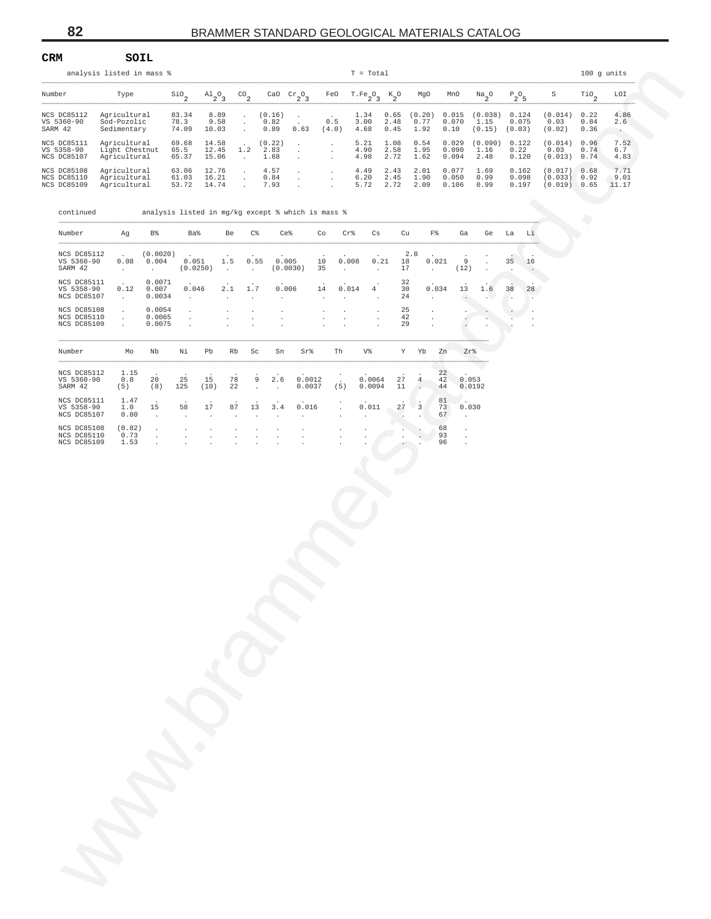|                                                  | analysis listed in mass %                      |                         |                                 |                      |                        |                          |              | $T = Total$                      |                      |                        |                         |                           |                          |                               |                      | $100$ q units         |
|--------------------------------------------------|------------------------------------------------|-------------------------|---------------------------------|----------------------|------------------------|--------------------------|--------------|----------------------------------|----------------------|------------------------|-------------------------|---------------------------|--------------------------|-------------------------------|----------------------|-----------------------|
| Number                                           | Type                                           | $S10_{\alpha}$          | $\mathrm{Al}_{2}\mathrm{O}_{3}$ | $^{CO}$ <sub>2</sub> | CaO                    | $\operatorname{Cr}_2O_3$ | FeO          | T.Fe <sub>2</sub> O <sub>3</sub> | $K_{2}O$             | MgO                    | MnO                     | $Na_{2}O$                 | $P_2O_5$                 | S                             | TiO <sub>o</sub>     | LOI                   |
| NCS DC85112<br>VS 5360-90<br>SARM 42             | Agricultural<br>Sod-Pozolic<br>Sedimentary     | 83.34<br>78.3<br>74.09  | 8.89<br>9.58<br>10.03           |                      | (0.16)<br>0.82<br>0.89 | 0.63                     | 0.5<br>(4.0) | 1.34<br>3.00<br>4.68             | 0.65<br>2.48<br>0.45 | (0.20)<br>0.77<br>1.92 | 0.015<br>0.070<br>0.10  | (0.038)<br>1.15<br>(0.15) | 0.124<br>0.075<br>(0.03) | (0.014)<br>0.03<br>(0.02)     | 0.22<br>0.84<br>0.36 | 4.86<br>2.6           |
| NCS DC85111<br>VS 5358-90<br>NCS DC85107         | Agricultural<br>Light Chestnut<br>Agricultural | 69.68<br>65.5<br>65.37  | 14.58<br>12.45<br>15.06         | 1.2                  | (0.22)<br>2.83<br>1.68 |                          |              | 5.21<br>4.90<br>4.98             | 1.08<br>2.58<br>2.72 | 0.54<br>1.95<br>1.62   | 0.029<br>0.090<br>0.094 | (0.090)<br>1.16<br>2.48   | 0.122<br>0.22<br>0.120   | (0.014)<br>0.03<br>(0.013)    | 0.96<br>0.74<br>0.74 | 7.52<br>6.7<br>4.83   |
| NCS DC85108<br>NCS DC85110<br><b>NCS DC85109</b> | Agricultural<br>Agricultural<br>Agricultural   | 63.06<br>61.03<br>53.72 | 12.76<br>16.21<br>14.74         |                      | 4.57<br>0.84<br>7.93   |                          |              | 4.49<br>6.20<br>5.72             | 2.43<br>2.45<br>2.72 | 2.01<br>1.90<br>2.09   | 0.077<br>0.050<br>0.106 | 1.69<br>0.99<br>0.99      | 0.162<br>0.098<br>0.197  | (0.017)<br>(0.033)<br>(0.019) | 0.68<br>0.92<br>0.65 | 7.71<br>9.01<br>11.17 |

|        |                                           | analysis listed in mass %                      |                             |                         |                                |                      |                                                |                             |                                               |                                                   |                  | $T = Total$                  |                      |                           |                  |                               |                                      |                            |                                  |                               | $100$ g units                 |                              |
|--------|-------------------------------------------|------------------------------------------------|-----------------------------|-------------------------|--------------------------------|----------------------|------------------------------------------------|-----------------------------|-----------------------------------------------|---------------------------------------------------|------------------|------------------------------|----------------------|---------------------------|------------------|-------------------------------|--------------------------------------|----------------------------|----------------------------------|-------------------------------|-------------------------------|------------------------------|
| Number |                                           | Type                                           |                             | $\sin \theta$           | $A1_{2}O_{3}$                  |                      | $^{CO}$ <sub>2</sub>                           |                             | CaO $\operatorname{Cr}_2\!\operatorname{O}_3$ | FeO                                               |                  | $T.Fe_2O_3$ K <sub>2</sub> O |                      | MgO                       |                  | MnO                           | $\frac{Na}{2}$ <sup>O</sup>          | $P_2O_5$                   |                                  | S                             | $\overline{110}$ <sub>2</sub> | LOI                          |
|        | NCS DC85112<br>VS 5360-90<br>SARM 42      | Agricultural<br>Sod-Pozolic<br>Sedimentary     |                             | 83.34<br>78.3<br>74.09  | 10.03                          | 8.89<br>9.58         | $\star$<br>$\cdot$<br>$\cdot$                  | (0.16)<br>0.82<br>0.89      | $\cdot$<br>0.63                               | 0.5<br>(4.0)                                      |                  | 1.34<br>3.00<br>4.68         | 0.65<br>2.48<br>0.45 | (0.20)<br>0.77<br>1.92    |                  | 0.015<br>0.070<br>0.10        | (0.038)<br>1.15<br>$(0.15)$ $(0.03)$ | 0.124<br>0.075             |                                  | (0.014)<br>0.03<br>(0.02)     | 0.22<br>0.84<br>0.36          | 4.86<br>2.6<br>$\sim$ $\sim$ |
|        | NCS DC85111<br>VS 5358-90<br>NCS DC85107  | Agricultural<br>Light Chestnut<br>Agricultural |                             | 69.68<br>65.5<br>65.37  | 14.58<br>12.45<br>15.06        |                      | 1.2<br>$\sim$                                  | (0.22)<br>2.83<br>1.68      | $\cdot$<br>$\cdot$<br>$\cdot$                 | $\cdot$<br>$\cdot$<br>$\cdot$                     |                  | 5.21<br>4.90<br>4.98         | 1.08<br>2.58<br>2.72 | 0.54<br>1.95<br>1.62      |                  | 0.029<br>0.090<br>0.094       | (0.090)<br>1.16<br>2.48              | 0.122<br>0.22<br>0.120     |                                  | (0.014)<br>0.03<br>(0.013)    | 0.96<br>0.74<br>0.74          | 7.52<br>6.7<br>4.83          |
|        | NCS DC85108<br>NCS DC85110<br>NCS DC85109 | Agricultural<br>Agricultural<br>Agricultural   |                             | 63.06<br>61.03<br>53.72 | 12.76<br>16.21<br>14.74        |                      | $\cdot$<br>$\star$<br>$\overline{\phantom{a}}$ | 4.57<br>0.84<br>7.93        | $\cdot$<br>$\cdot$                            | $\cdot$<br>$\cdot$                                |                  | 4.49<br>6.20<br>5.72         | 2.43<br>2.45<br>2.72 | 2.01<br>1.90<br>2.09      |                  | 0.077<br>0.050<br>0.106       | 1.69<br>0.99<br>0.99                 | 0.162<br>0.098<br>0.197    |                                  | (0.017)<br>(0.033)<br>(0.019) | 0.68<br>0.92<br>0.65          | 7.71<br>9.01<br>11.17        |
|        | continued                                 |                                                |                             |                         |                                |                      |                                                |                             |                                               | analysis listed in mg/kg except % which is mass % |                  |                              |                      |                           |                  |                               |                                      |                            |                                  |                               |                               |                              |
|        | Number                                    | Ag                                             | B%                          |                         | Ba%                            | Be                   | $C\,$                                          | Ce%                         |                                               | Co                                                | $Cr$ %           | Cs                           | Cu                   |                           | $_{\rm F\,8}$    | Ga                            | Ge La                                |                            | Li                               |                               |                               |                              |
|        | NCS DC85112<br>VS 5360-90<br>SARM 42      | 0.08<br>$\sim$                                 | (0.0020)<br>0.004<br>$\sim$ |                         | 0.051<br>(0.0250)              | 1.5<br>$\sim$        | 0.55<br>$\sim$                                 | 0.005                       | (0.0030)                                      | 10<br>35                                          | 0.008<br>$\cdot$ | 0.21<br>$\sim$               | 18<br>17             | 2.8                       | 0.021<br>$\sim$  | 9<br>(12)                     |                                      | 35<br>$\ddot{\phantom{a}}$ | 16                               |                               |                               |                              |
|        | NCS DC85111<br>VS 5358-90<br>NCS DC85107  | 0.12<br>$\sim$                                 | 0.0071<br>0.007<br>0.0034   | 0.046<br>$\sim$         |                                | 2.1<br>$\cdot$       | 1.7<br>$\cdot$                                 | 0.006<br>$\cdot$            |                                               | 14<br>$\ddot{\phantom{a}}$                        | 0.014<br>$\cdot$ | 4                            | 32<br>30<br>24       |                           | 0.034<br>$\cdot$ | 13<br>$\sim$                  | 1.6                                  | 38<br>$\sim$               | 28<br>$\overline{\phantom{a}}$ . |                               |                               |                              |
|        | NCS DC85108<br>NCS DC85110<br>NCS DC85109 | $\cdot$<br>$\cdot$<br>$\cdot$                  | 0.0054<br>0.0065<br>0.0075  | $\cdot$<br>$\cdot$      |                                | $\cdot$              | $\cdot$<br>$\cdot$                             |                             |                                               | $\cdot$                                           | $\cdot$          | $\cdot$<br>$\cdot$           | 25<br>42<br>29       |                           | $\cdot$          |                               |                                      |                            |                                  |                               |                               |                              |
|        | Number                                    | Mo                                             | Nb                          | Νi                      | Pb                             | Rb                   | $\operatorname{Sc}$                            | ${\rm Sn}$                  | Sr%                                           | Th                                                |                  | V%                           |                      | Y Yb                      | Zn               | Zr%                           |                                      |                            |                                  |                               |                               |                              |
|        | NCS DC85112<br>VS 5360-90<br>SARM 42      | 1.15<br>0.8<br>(5)                             | 20<br>(8)                   | 25<br>125               | 15<br>(10)                     | 78<br>22             | 9<br>$\cdot$                                   | 2.6<br>$\ddot{\phantom{a}}$ | 0.0012<br>0.0037                              | (5)                                               |                  | 0.0064<br>0.0094             | 27<br>11             | $\overline{4}$<br>$\cdot$ | 22<br>42<br>44   |                               | 0.053<br>0.0192                      |                            |                                  |                               |                               |                              |
|        | NCS DC85111<br>VS 5358-90<br>NCS DC85107  | 1.47<br>1.0<br>0.80                            | 15<br>$\cdot$               | 58<br>$\blacksquare$    | $17\,$<br>$\ddot{\phantom{1}}$ | 87                   | 13                                             | 3.4                         | 0.016                                         | $\cdot$                                           |                  | 0.011                        | 27                   | $\overline{\mathbf{3}}$   | 81<br>73<br>67   | 0.030<br>$\cdot$              |                                      |                            |                                  |                               |                               |                              |
|        | NCS DC85108<br>NCS DC85110<br>NCS DC85109 | (0.82)<br>0.73<br>1.53                         | $\cdot$<br>$\cdot$          | $\cdot$                 | $\cdot$                        | $\ddot{\phantom{0}}$ |                                                |                             |                                               |                                                   |                  |                              |                      |                           | 68<br>93<br>96   | $\cdot$<br>$\cdot$<br>$\cdot$ |                                      |                            |                                  |                               |                               |                              |
|        |                                           |                                                |                             |                         |                                |                      |                                                |                             |                                               |                                                   |                  |                              |                      |                           |                  |                               |                                      |                            |                                  |                               |                               |                              |
|        |                                           |                                                |                             |                         |                                |                      |                                                |                             |                                               |                                                   |                  |                              |                      |                           |                  |                               |                                      |                            |                                  |                               |                               |                              |
|        |                                           |                                                |                             |                         |                                |                      |                                                |                             |                                               |                                                   |                  |                              |                      |                           |                  |                               |                                      |                            |                                  |                               |                               |                              |
|        |                                           |                                                |                             |                         |                                |                      |                                                |                             |                                               |                                                   |                  |                              |                      |                           |                  |                               |                                      |                            |                                  |                               |                               |                              |
|        |                                           |                                                |                             |                         |                                |                      |                                                |                             |                                               |                                                   |                  |                              |                      |                           |                  |                               |                                      |                            |                                  |                               |                               |                              |
|        |                                           |                                                |                             |                         |                                |                      |                                                |                             |                                               |                                                   |                  |                              |                      |                           |                  |                               |                                      |                            |                                  |                               |                               |                              |
|        |                                           |                                                |                             |                         |                                |                      |                                                |                             |                                               |                                                   |                  |                              |                      |                           |                  |                               |                                      |                            |                                  |                               |                               |                              |
|        |                                           |                                                |                             |                         |                                |                      |                                                |                             |                                               |                                                   |                  |                              |                      |                           |                  |                               |                                      |                            |                                  |                               |                               |                              |
|        |                                           |                                                |                             |                         |                                |                      |                                                |                             |                                               |                                                   |                  |                              |                      |                           |                  |                               |                                      |                            |                                  |                               |                               |                              |
|        |                                           |                                                |                             |                         |                                |                      |                                                |                             |                                               |                                                   |                  |                              |                      |                           |                  |                               |                                      |                            |                                  |                               |                               |                              |
|        |                                           |                                                |                             |                         |                                |                      |                                                |                             |                                               |                                                   |                  |                              |                      |                           |                  |                               |                                      |                            |                                  |                               |                               |                              |
|        |                                           |                                                |                             |                         |                                |                      |                                                |                             |                                               |                                                   |                  |                              |                      |                           |                  |                               |                                      |                            |                                  |                               |                               |                              |
|        |                                           |                                                |                             |                         |                                |                      |                                                |                             |                                               |                                                   |                  |                              |                      |                           |                  |                               |                                      |                            |                                  |                               |                               |                              |
|        |                                           |                                                |                             |                         |                                |                      |                                                |                             |                                               |                                                   |                  |                              |                      |                           |                  |                               |                                      |                            |                                  |                               |                               |                              |
|        |                                           |                                                |                             |                         |                                |                      |                                                |                             |                                               |                                                   |                  |                              |                      |                           |                  |                               |                                      |                            |                                  |                               |                               |                              |
|        |                                           |                                                |                             |                         |                                |                      |                                                |                             |                                               |                                                   |                  |                              |                      |                           |                  |                               |                                      |                            |                                  |                               |                               |                              |
|        |                                           |                                                |                             |                         |                                |                      |                                                |                             |                                               |                                                   |                  |                              |                      |                           |                  |                               |                                      |                            |                                  |                               |                               |                              |
|        |                                           |                                                |                             |                         |                                |                      |                                                |                             |                                               |                                                   |                  |                              |                      |                           |                  |                               |                                      |                            |                                  |                               |                               |                              |

**CRM SOIL**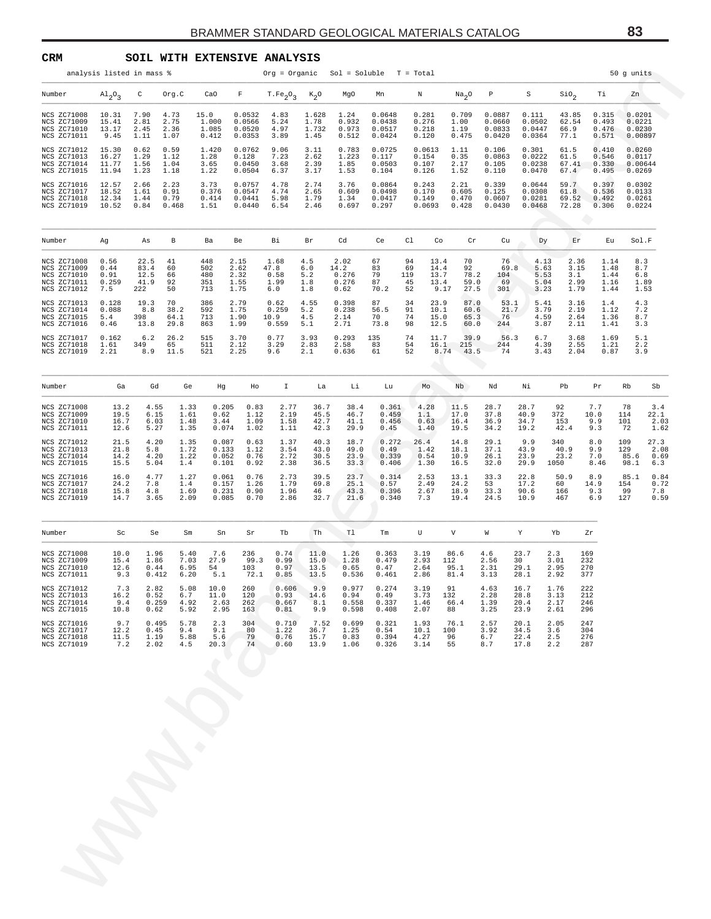| CRM                                                                     |                                      |                                     |                               | SOIL WITH EXTENSIVE ANALYSIS     |                                      |                                             |                                 |                                        |                                      |                                  |                                      |                                  |                                      |                                      |                                                                             |                                      |                                       |                             |
|-------------------------------------------------------------------------|--------------------------------------|-------------------------------------|-------------------------------|----------------------------------|--------------------------------------|---------------------------------------------|---------------------------------|----------------------------------------|--------------------------------------|----------------------------------|--------------------------------------|----------------------------------|--------------------------------------|--------------------------------------|-----------------------------------------------------------------------------|--------------------------------------|---------------------------------------|-----------------------------|
|                                                                         | analysis listed in mass %            |                                     |                               |                                  |                                      | $Org = Organic$ $Sol = Soluble$ $T = Total$ |                                 |                                        |                                      |                                  |                                      |                                  |                                      |                                      |                                                                             |                                      | 50 g units                            |                             |
| Number                                                                  | $Al_2O_3$                            | $\mathtt{C}$                        | Org.C                         | CaO                              | $\mathbf{F}$                         | T.Fe <sub>2</sub> O <sub>3</sub>            | $K_2O$                          | MgO                                    | Mn                                   | Ν                                |                                      | Na <sub>2</sub> O                | $\, {\mathbb P}$                     | S                                    | Sio <sub>2</sub>                                                            | Тi                                   | Zn                                    |                             |
| NCS ZC71008<br>NCS ZC71009<br>NCS ZC71010<br>NCS ZC71011                | 10.31<br>15.41<br>13.17<br>9.45      | 7.90<br>2.81<br>2.45<br>1.11        | 4.73<br>2.75<br>2.36<br>1.07  | 15.0<br>1.000<br>1.085<br>0.412  | 0.0532<br>0.0566<br>0.0520<br>0.0353 | 4.83<br>5.24<br>4.97<br>3.89                | 1.628<br>1.78<br>1.732<br>1.45  | 1.24<br>0.932<br>0.973<br>0.512        | 0.0648<br>0.0438<br>0.0517<br>0.0424 | 0.281<br>0.276<br>0.218<br>0.120 |                                      | 0.709<br>1.00<br>1.19<br>0.475   | 0.0887<br>0.0660<br>0.0833<br>0.0420 | 0.111<br>0.0502<br>0.0447<br>0.0364  | 43.85<br>62.54<br>66.9<br>77.1                                              | 0.315<br>0.493<br>0.476<br>0.571     | 0.0201<br>0.0221<br>0.0230<br>0.00897 |                             |
| NCS ZC71012<br>NCS ZC71013<br>NCS ZC71014<br>NCS ZC71015                | 15.30<br>16.27<br>11.77<br>11.94     | 0.62<br>1.29<br>1.56<br>1.23        | 0.59<br>1.12<br>1.04<br>1.18  | 1.420<br>1.28<br>3.65<br>1.22    | 0.0762<br>0.128<br>0.0450<br>0.0504  | 9.06<br>7.23<br>3.68<br>6.37                | 3.11<br>2.62<br>2.39<br>3.17    | 0.783<br>1.223<br>1.85<br>1.53         | 0.0725<br>0.117<br>0.0503<br>0.104   | 0.154<br>0.107<br>0.126          | 0.0613                               | 1.11<br>0.35<br>2.17<br>1.52     | 0.106<br>0.0863<br>0.105<br>0.110    | 0.301<br>0.0222<br>0.0238<br>0.0470  | 61.5<br>61.5<br>67.41<br>67.4                                               | 0.410<br>0.546<br>0.330<br>0.495     | 0.0260<br>0.0117<br>0.00644<br>0.0269 |                             |
| NCS ZC71016<br>NCS ZC71017<br>NCS ZC71018<br>NCS ZC71019                | 12.57<br>18.52<br>12.34<br>10.52     | 2.66<br>1.61<br>1.44<br>0.84        | 2.23<br>0.91<br>0.79<br>0.468 | 3.73<br>0.376<br>0.414<br>1.51   | 0.0757<br>0.0547<br>0.0441<br>0.0440 | 4.78<br>4.74<br>5.98<br>6.54                | 2.74<br>2.65<br>1.79<br>2.46    | 3.76<br>0.609<br>1.34<br>0.697         | 0.0864<br>0.0498<br>0.0417<br>0.297  | 0.243<br>0.170<br>0.149          | 0.0693                               | 2.21<br>0.605<br>0.470<br>0.428  | 0.339<br>0.125<br>0.0607<br>0.0430   | 0.0644<br>0.0308<br>0.0281<br>0.0468 | 59.7<br>61.8<br>69.52<br>72.28                                              | 0.397<br>0.536<br>0.492<br>0.306     | 0.0302<br>0.0133<br>0.0261<br>0.0224  |                             |
| Number                                                                  | Αg                                   | As                                  | B                             | Ba                               | Be                                   | Вi                                          | Br                              | Cd                                     | Ce                                   | C1                               | Co                                   | Cr                               | Cu                                   |                                      | Dy<br>Εr                                                                    | Eu                                   | Sol.F                                 |                             |
| NCS ZC71008<br>NCS ZC71009<br>NCS ZC71010<br>NCS ZC71011<br>NCS ZC71012 | 0.56<br>0.44<br>0.91<br>0.259<br>7.5 | 22.5<br>83.4<br>12.5<br>41.9<br>222 | 41<br>60<br>66<br>92<br>50    | 448<br>502<br>480<br>351<br>713  | 2.15<br>2.62<br>2.32<br>1.55<br>1.75 | 1.68<br>47.8<br>0.58<br>1.99<br>6.0         | 4.5<br>6.0<br>5.2<br>1.8<br>1.8 | 2.02<br>14.2<br>0.276<br>0.276<br>0.62 | 67<br>83<br>79<br>87<br>70.2         | 94<br>69<br>119<br>45<br>52      | 13.4<br>14.4<br>13.7<br>13.4<br>9.17 | 70<br>92<br>78.2<br>59.0<br>27.5 | 76<br>69.8<br>104<br>69<br>301       |                                      | 2.36<br>4.13<br>3.15<br>5.63<br>5.53<br>3.1<br>5.04<br>2.99<br>3.23<br>1.79 | 1.14<br>1.48<br>1.44<br>1.16<br>1.44 | 8.3<br>8.7<br>6.8<br>1.89<br>1.53     |                             |
| NCS ZC71013<br>NCS ZC71014<br>NCS ZC71015<br>NCS ZC71016                | 0.128<br>0.088<br>5.4<br>0.46        | 19.3<br>8.8<br>398<br>13.8          | 70<br>38.2<br>64.1<br>29.8    | 386<br>592<br>713<br>863         | 2.79<br>1.75<br>1.90<br>1.99         | 0.62<br>0.259<br>10.9<br>0.559              | 4.55<br>5.2<br>4.5<br>5.1       | 0.398<br>0.238<br>2.14<br>2.71         | 87<br>56.5<br>70<br>73.8             | 34<br>91<br>74<br>98             | 23.9<br>10.1<br>15.0<br>12.5         | 87.0<br>60.6<br>65.3<br>60.0     | 53.1<br>21.7<br>76<br>244            |                                      | 5.41<br>3.16<br>3.79<br>2.19<br>4.59<br>2.64<br>3.87<br>2.11                | 1.4<br>1.12<br>1.36<br>1.41          | 4.3<br>7.2<br>8.7<br>3.3              |                             |
| NCS ZC71017<br>NCS ZC71018<br>NCS ZC71019                               | 0.162<br>1.61<br>2.21                | $6.2$<br>349<br>8.9                 | 26.2<br>65<br>11.5            | 515<br>511<br>521                | 3.70<br>2.12<br>2.25                 | 0.77<br>3.29<br>9.6                         | 3.93<br>2.83<br>2.1             | 0.293<br>2.58<br>0.636                 | 135<br>83<br>61                      | 74<br>54<br>52                   | 11.7<br>16.1<br>8.74                 | 39.9<br>215<br>43.5              | 56.3<br>244<br>74                    |                                      | 6.7<br>3.68<br>4.39<br>2.55<br>3.43<br>2.04                                 | 1.69<br>1.21<br>0.87                 | 5.1<br>2.2<br>3.9                     |                             |
| Number                                                                  | Ga                                   | Gd                                  | Ge                            | Ηg                               | Ho                                   | I                                           | La                              | Li                                     | Lu                                   |                                  | Mo                                   | Nb                               | Νd                                   | Νi                                   | Pb                                                                          | Pr                                   | Rb                                    | Sb                          |
| NCS ZC71008<br>NCS ZC71009<br>NCS ZC71010<br>NCS ZC71011                | 13.2<br>19.5<br>16.7<br>12.6         | 4.55<br>6.15<br>6.03<br>5.27        | 1.33<br>1.61<br>1.48<br>1.35  | 0.205<br>0.62<br>3.44<br>0.074   | 0.83<br>1.12<br>1.09<br>1.02         | 2.77<br>2.19<br>1.58<br>1.11                | 36.7<br>45.5<br>42.7<br>42.3    | 38.4<br>46.7<br>41.1<br>29.9           | 0.361<br>0.459<br>0.456<br>0.45      | 1.1                              | 4.28<br>0.63<br>1.40                 | 11.5<br>17.0<br>16.4<br>19.5     | 28.7<br>37.8<br>36.9<br>34.2         | 28.7<br>40.9<br>34.7<br>19.2         | 92<br>372<br>153<br>42.4                                                    | 7.7<br>10.0<br>9.9<br>9.3            | 78<br>114<br>101<br>72                | 3.4<br>22.1<br>2.03<br>1.62 |
| NCS ZC71012<br>NCS ZC71013<br>NCS ZC71014<br>NCS ZC71015                | 21.5<br>21.8<br>14.2<br>15.5         | 4.20<br>5.8<br>4.20<br>5.04         | 1.35<br>1.72<br>1.22<br>1.4   | 0.087<br>0.133<br>0.052<br>0.101 | 0.63<br>1.12<br>0.76<br>0.92         | 1.37<br>3.54<br>2.72<br>2.38                | 40.3<br>43.0<br>30.5<br>36.5    | 18.7<br>49.0<br>23.9<br>33.3           | 0.272<br>0.49<br>0.339<br>0.406      | 26.4                             | 1.42<br>0.54<br>1.30                 | 14.8<br>18.1<br>10.9<br>16.5     | 29.1<br>37.1<br>26.1<br>32.0         | 9.9<br>43.9<br>23.9<br>29.9          | 340<br>40.9<br>23.2<br>1050                                                 | 8.0<br>9.9<br>7.0<br>8.46            | 109<br>129<br>85.6<br>98.1            | 27.3<br>2.08<br>0.69<br>6.3 |
| NCS ZC71016<br>NCS ZC71017<br>NCS ZC71018<br>NCS ZC71019                | 16.0<br>24.2<br>15.8<br>14.7         | 4.77<br>7.8<br>4.8<br>3.65          | 1.27<br>1.4<br>1.69<br>2.09   | 0.061<br>0.157<br>0.231<br>0.085 | 0.76<br>1.26<br>0.90<br>0.70         | 2.73<br>1.79<br>1.96<br>2.86                | 39.5<br>69.8<br>46<br>32.7      | 23.7<br>25.1<br>43.3<br>21.6           | 0.314<br>0.57<br>0.396<br>0.340      | 7.3                              | 2.53<br>2.49<br>2.67                 | 13.1<br>24.2<br>18.9<br>19.4     | 33.3<br>53<br>33.3<br>24.5           | 22.8<br>17.2<br>90.6<br>10.9         | 50.9<br>60<br>166<br>467                                                    | 8.9<br>14.9<br>9.3<br>6.9            | 85.1<br>154<br>99<br>127              | 0.84<br>0.72<br>7.8<br>0.59 |
| Number                                                                  | Sc                                   | Se                                  | Sm                            | Sn                               | Sr                                   | Tb                                          | Th                              | T1                                     | Tm                                   | U                                |                                      | V                                | W                                    | Υ                                    | Yb                                                                          | Zr                                   |                                       |                             |
| NCS ZC71008<br>NCS ZC71009<br>NCS ZC71010<br>NCS ZC71011                | 10.0<br>15.4<br>12.6<br>9.3          | 1.96<br>1.86<br>0.44<br>0.412       | 5.40<br>7.03<br>6.95<br>6.20  | 7.6<br>27.9<br>54<br>5.1         | 236<br>99.3<br>103<br>72.1           | 0.74<br>0.99<br>0.97<br>0.85                | 11.0<br>15.0<br>13.5<br>13.5    | 1.26<br>1.28<br>0.65<br>0.536          | 0.363<br>0.479<br>0.47<br>0.461      | 3.19<br>2.93<br>2.64<br>2.86     |                                      | 86.6<br>112<br>95.1<br>81.4      | 4.6<br>2.56<br>2.31<br>3.13          | 23.7<br>30<br>29.1<br>28.1           | 2.3<br>3.01<br>2.95<br>2.92                                                 | 169<br>232<br>270<br>377             |                                       |                             |
| NCS ZC71012<br>NCS ZC71013<br>NCS ZC71014<br>NCS ZC71015                | 7.3<br>16.2<br>9.4<br>10.8           | 2.82<br>0.52<br>0.259<br>0.62       | 5.08<br>6.7<br>4.92<br>5.92   | 10.0<br>11.0<br>2.63<br>2.95     | 260<br>120<br>262<br>163             | 0.606<br>0.93<br>0.667<br>0.81              | 9.9<br>14.6<br>8.1<br>9.9       | 0.977<br>0.94<br>0.558<br>0.598        | 0.274<br>0.49<br>0.337<br>0.408      | 3.19<br>3.73<br>1.46<br>2.07     |                                      | 91<br>132<br>66.4<br>88          | 4.63<br>2.28<br>1.39<br>3.25         | 16.7<br>28.8<br>20.4<br>23.9         | 1.76<br>3.13<br>2.17<br>2.61                                                | 222<br>212<br>246<br>296             |                                       |                             |
| NCS ZC71016<br>NCS ZC71017<br>NCS ZC71018<br>NCS ZC71019                | 9.7<br>12.2<br>11.5<br>7.2           | 0.495<br>0.45<br>1.19<br>2.02       | 5.78<br>9.4<br>5.88<br>4.5    | 2.3<br>9.1<br>5.6<br>20.3        | 304<br>80<br>79<br>74                | 0.710<br>1.22<br>0.76<br>0.60               | 7.52<br>36.7<br>15.7<br>13.9    | 0.699<br>1.25<br>0.83<br>1.06          | 0.321<br>0.54<br>0.394<br>0.326      | 1.93<br>10.1<br>4.27<br>3.14     |                                      | 76.1<br>100<br>96<br>55          | 2.57<br>3.92<br>$6.7\,$<br>8.7       | 20.1<br>34.5<br>22.4<br>17.8         | 2.05<br>3.6<br>2.5<br>2.2                                                   | 247<br>304<br>276<br>287             |                                       |                             |
|                                                                         |                                      |                                     |                               |                                  |                                      |                                             |                                 |                                        |                                      |                                  |                                      |                                  |                                      |                                      |                                                                             |                                      |                                       |                             |
|                                                                         |                                      |                                     |                               |                                  |                                      |                                             |                                 |                                        |                                      |                                  |                                      |                                  |                                      |                                      |                                                                             |                                      |                                       |                             |
|                                                                         |                                      |                                     |                               |                                  |                                      |                                             |                                 |                                        |                                      |                                  |                                      |                                  |                                      |                                      |                                                                             |                                      |                                       |                             |
|                                                                         |                                      |                                     |                               |                                  |                                      |                                             |                                 |                                        |                                      |                                  |                                      |                                  |                                      |                                      |                                                                             |                                      |                                       |                             |
|                                                                         |                                      |                                     |                               |                                  |                                      |                                             |                                 |                                        |                                      |                                  |                                      |                                  |                                      |                                      |                                                                             |                                      |                                       |                             |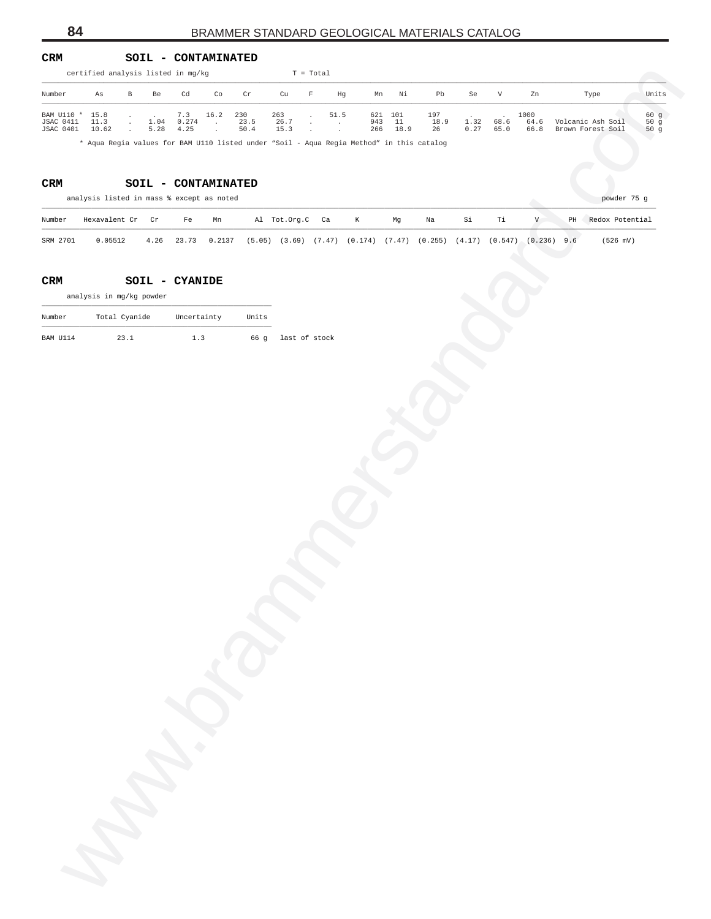#### **CRM SOIL - CONTAMINATED**

|                                | certified analysis listed in mg/kg                                                                |               |      |                |                              |                         |                 | $T = Total$ |                 |            |               |                                                                            |      |      |                           |               |                      |             |
|--------------------------------|---------------------------------------------------------------------------------------------------|---------------|------|----------------|------------------------------|-------------------------|-----------------|-------------|-----------------|------------|---------------|----------------------------------------------------------------------------|------|------|---------------------------|---------------|----------------------|-------------|
| Number                         | As                                                                                                | $\, {\bf B}$  | Be   | Cd             | Co                           | $\operatorname{\sf Cr}$ | cu              | F           | Hg              | Mn         | Νi            | Pb                                                                         | Se   | V    | Zn                        |               | Type                 | Units       |
| BAM U110 *<br><b>JSAC 0411</b> | 15.8<br>11.3                                                                                      | $\cdot$       | 1.04 | 7.3<br>0.274   | 16.2<br>$\ddot{\phantom{0}}$ | 230<br>23.5             | 263<br>26.7     |             | 51.5<br>$\cdot$ | 621<br>943 | 101<br>$11\,$ | 197<br>18.9                                                                | 1.32 | 68.6 | 1000<br>64.6              |               | Volcanic Ash Soil    | 60 g<br>50g |
| JSAC 0401                      | 10.62<br>* Aqua Regia values for BAM Ull0 listed under "Soil - Aqua Regia Method" in this catalog | $\cdot$       | 5.28 | 4.25           | $\ddot{\phantom{0}}$         | 50.4                    | 15.3            |             |                 | 266        | 18.9          | 26                                                                         | 0.27 | 65.0 | 66.8                      |               | Brown Forest Soil    | 50g         |
|                                |                                                                                                   |               |      |                |                              |                         |                 |             |                 |            |               |                                                                            |      |      |                           |               |                      |             |
| CRM                            |                                                                                                   |               |      |                | SOIL - CONTAMINATED          |                         |                 |             |                 |            |               |                                                                            |      |      |                           |               |                      |             |
|                                | analysis listed in mass % except as noted                                                         |               |      |                |                              |                         |                 |             |                 |            |               |                                                                            |      |      |                           |               | powder 75 g          |             |
| Number                         | Hexavalent Cr                                                                                     |               | Cr   | $_{\rm Fe}$    | Mn                           |                         | Al Tot.Org.C Ca |             |                 | K          | Mg            | Na                                                                         | Si   | Тi   | $\boldsymbol{\mathrm{V}}$ |               | PH Redox Potential   |             |
| SRM 2701                       | 0.05512                                                                                           |               | 4.26 | 23.73          | 0.2137                       |                         |                 |             |                 |            |               | $(5.05)$ $(3.69)$ $(7.47)$ $(0.174)$ $(7.47)$ $(0.255)$ $(4.17)$ $(0.547)$ |      |      |                           | $(0.236)$ 9.6 | $(526 \, \text{mV})$ |             |
| CRM                            |                                                                                                   |               |      | SOIL - CYANIDE |                              |                         |                 |             |                 |            |               |                                                                            |      |      |                           |               |                      |             |
|                                | analysis in mg/kg powder                                                                          |               |      |                |                              |                         |                 |             |                 |            |               |                                                                            |      |      |                           |               |                      |             |
| Number                         |                                                                                                   | Total Cyanide |      | Uncertainty    |                              | Units                   |                 |             |                 |            |               |                                                                            |      |      |                           |               |                      |             |
| BAM U114                       |                                                                                                   | 23.1          |      | 1.3            |                              | 66 g                    | last of stock   |             |                 |            |               |                                                                            |      |      |                           |               |                      |             |
|                                |                                                                                                   |               |      |                |                              |                         |                 |             |                 |            |               |                                                                            |      |      |                           |               |                      |             |
|                                |                                                                                                   |               |      |                |                              |                         |                 |             |                 |            |               |                                                                            |      |      |                           |               |                      |             |
|                                |                                                                                                   |               |      |                |                              |                         |                 |             |                 |            |               |                                                                            |      |      |                           |               |                      |             |
|                                |                                                                                                   |               |      |                |                              |                         |                 |             |                 |            |               |                                                                            |      |      |                           |               |                      |             |
|                                |                                                                                                   |               |      |                |                              |                         |                 |             |                 |            |               |                                                                            |      |      |                           |               |                      |             |
|                                |                                                                                                   |               |      |                |                              |                         |                 |             |                 |            |               |                                                                            |      |      |                           |               |                      |             |
|                                |                                                                                                   |               |      |                |                              |                         |                 |             |                 |            |               |                                                                            |      |      |                           |               |                      |             |
|                                |                                                                                                   |               |      |                |                              |                         |                 |             |                 |            |               |                                                                            |      |      |                           |               |                      |             |
|                                |                                                                                                   |               |      |                |                              |                         |                 |             |                 |            |               |                                                                            |      |      |                           |               |                      |             |
|                                |                                                                                                   |               |      |                |                              |                         |                 |             |                 |            |               |                                                                            |      |      |                           |               |                      |             |
|                                |                                                                                                   |               |      |                |                              |                         |                 |             |                 |            |               |                                                                            |      |      |                           |               |                      |             |
|                                |                                                                                                   |               |      |                |                              |                         |                 |             |                 |            |               |                                                                            |      |      |                           |               |                      |             |
|                                |                                                                                                   |               |      |                |                              |                         |                 |             |                 |            |               |                                                                            |      |      |                           |               |                      |             |
|                                |                                                                                                   |               |      |                |                              |                         |                 |             |                 |            |               |                                                                            |      |      |                           |               |                      |             |
|                                |                                                                                                   |               |      |                |                              |                         |                 |             |                 |            |               |                                                                            |      |      |                           |               |                      |             |
|                                |                                                                                                   |               |      |                |                              |                         |                 |             |                 |            |               |                                                                            |      |      |                           |               |                      |             |
|                                |                                                                                                   |               |      |                |                              |                         |                 |             |                 |            |               |                                                                            |      |      |                           |               |                      |             |
|                                |                                                                                                   |               |      |                |                              |                         |                 |             |                 |            |               |                                                                            |      |      |                           |               |                      |             |
|                                |                                                                                                   |               |      |                |                              |                         |                 |             |                 |            |               |                                                                            |      |      |                           |               |                      |             |
|                                |                                                                                                   |               |      |                |                              |                         |                 |             |                 |            |               |                                                                            |      |      |                           |               |                      |             |
|                                |                                                                                                   |               |      |                |                              |                         |                 |             |                 |            |               |                                                                            |      |      |                           |               |                      |             |
|                                |                                                                                                   |               |      |                |                              |                         |                 |             |                 |            |               |                                                                            |      |      |                           |               |                      |             |
|                                |                                                                                                   |               |      |                |                              |                         |                 |             |                 |            |               |                                                                            |      |      |                           |               |                      |             |
|                                |                                                                                                   |               |      |                |                              |                         |                 |             |                 |            |               |                                                                            |      |      |                           |               |                      |             |
|                                |                                                                                                   |               |      |                |                              |                         |                 |             |                 |            |               |                                                                            |      |      |                           |               |                      |             |
|                                |                                                                                                   |               |      |                |                              |                         |                 |             |                 |            |               |                                                                            |      |      |                           |               |                      |             |
|                                |                                                                                                   |               |      |                |                              |                         |                 |             |                 |            |               |                                                                            |      |      |                           |               |                      |             |
|                                | Mar                                                                                               |               |      |                |                              |                         |                 |             |                 |            |               |                                                                            |      |      |                           |               |                      |             |
|                                |                                                                                                   |               |      |                |                              |                         |                 |             |                 |            |               |                                                                            |      |      |                           |               |                      |             |
|                                |                                                                                                   |               |      |                |                              |                         |                 |             |                 |            |               |                                                                            |      |      |                           |               |                      |             |
|                                |                                                                                                   |               |      |                |                              |                         |                 |             |                 |            |               |                                                                            |      |      |                           |               |                      |             |

#### **CRM SOIL - CONTAMINATED**

|          | analysis listed in mass % except as noted |      |    |              |                 |   |    |                                                                                          |    |    |                |    | powder 75 g          |
|----------|-------------------------------------------|------|----|--------------|-----------------|---|----|------------------------------------------------------------------------------------------|----|----|----------------|----|----------------------|
| Number   | Hexavalent Cr – Cr                        |      | Fe | Mn           | Al Tot.Org.C Ca | K | Ma | Na                                                                                       | Si | Ti | $\overline{V}$ | PH | Redox Potential      |
| SRM 2701 | 0.05512                                   | 4.26 |    | 23.73 0.2137 |                 |   |    | $(5.05)$ $(3.69)$ $(7.47)$ $(0.174)$ $(7.47)$ $(0.255)$ $(4.17)$ $(0.547)$ $(0.236)$ 9.6 |    |    |                |    | $(526 \, \text{mV})$ |

#### **CRM SOIL - CYANIDE**

| Number   | Total Cyanide | Uncertainty | Units |                    |
|----------|---------------|-------------|-------|--------------------|
| BAM U114 | 23.1          | 1.3         |       | 66 q last of stock |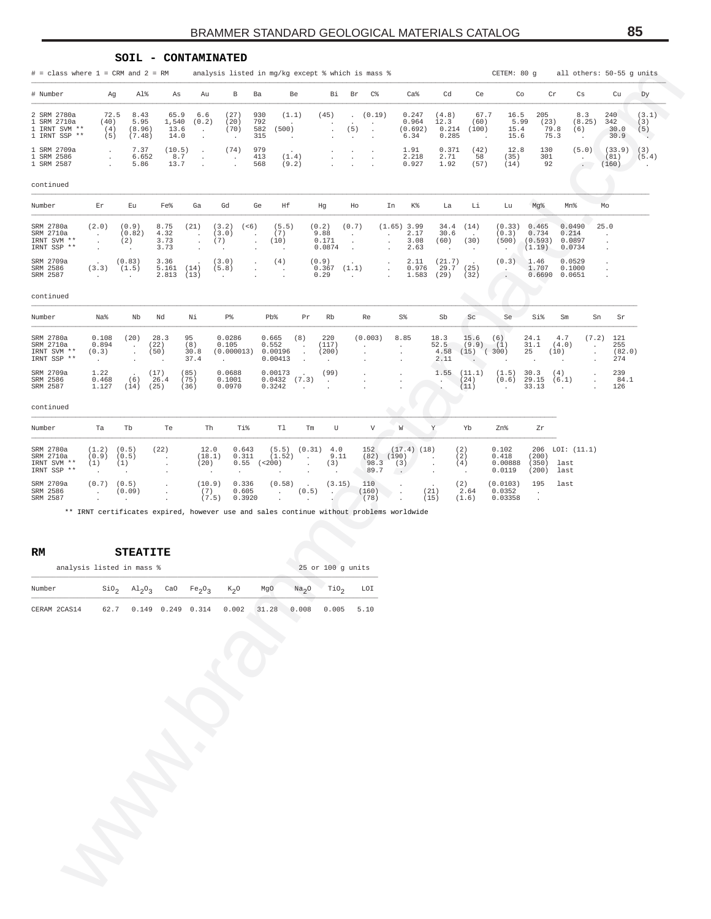#### **SOIL - CONTAMINATED**

# = class where 1 = CRM and 2 = RM analysis listed in mg/kg except % which is mass % CETEM: 80 g all others: 50-55 g units

| ${\tt Dy}$<br># Number<br>Al%<br>Ba<br>Be<br>Br<br>C%<br>Ca <sup>8</sup><br>Cd<br>Ce<br>Cr<br>Ag<br>As<br>Au<br>В<br>Вi<br>Co<br>Cs<br>Cu<br>2 SRM 2780a<br>8.43<br>(27)<br>930<br>67.7<br>205<br>240<br>72.5<br>65.9<br>6.6<br>(1.1)<br>(45)<br>(0.19)<br>0.247<br>(4.8)<br>16.5<br>8.3<br>(3.1)<br>$\sim$<br>792<br>5.95<br>(20)<br>5.99<br>1 SRM 2710a<br>(40)<br>1,540<br>(0.2)<br>0.964<br>12.3<br>(60)<br>(23)<br>(8.25)<br>342<br>(3)<br>(70)<br>1 IRNT SVM **<br>13.6<br>582<br>(500)<br>(5)<br>0.214<br>(100)<br>79.8<br>(4)<br>(8.96)<br>(0.692)<br>15.4<br>30.0<br>(5)<br>(6)<br>$\cdot$<br>$\cdot$<br>$\blacksquare$<br>1 IRNT SSP **<br>75.3<br>(5)<br>(7.48)<br>14.0<br>315<br>0.285<br>15.6<br>30.9<br>6.34<br>$\cdot$<br>чe с<br>$\blacksquare$<br>$\cdot$<br>$\ddot{\phantom{0}}$<br>$\cdot$<br>$\ddot{\phantom{1}}$<br>$\cdot$<br>979<br>(42)<br>(10.5)<br>(74)<br>12.8<br>1 SRM 2709a<br>7.37<br>1.91<br>0.371<br>130<br>(5.0)<br>(33.9)<br>(3)<br>$\cdot$<br>$\cdot$<br>$\cdot$<br>$\cdot$<br>8.7<br>(1.4)<br>2.218<br>2.71<br>301<br>1 SRM 2586<br>6.652<br>413<br>58<br>(35)<br>(81)<br>(5.4)<br>$\blacksquare$<br>$\cdot$<br>$\cdot$<br>$\cdot$<br>$\cdot$<br>$\cdot$<br>٠<br>1 SRM 2587<br>92<br>(160)<br>5.86<br>13.7<br>568<br>(9.2)<br>0.927<br>1.92<br>(57)<br>(14)<br>$\cdot$<br>$\sim$ $-$<br>$\cdot$<br>$\ddot{\phantom{a}}$<br>$\ddot{\phantom{a}}$<br>Number<br>Fe%<br>Ga<br>Gd<br>Ge<br>Hf<br>Hg<br>K%<br>Li<br>Mg%<br>Mn%<br>Mo<br>Er<br>Εu<br>Ho<br>In<br>La<br>Lu<br>(2.0)<br>(0.9)<br>8.75<br>(21)<br>(3.2)<br>(< 6)<br>(5.5)<br>(0.2)<br>(0.7)<br>$(1.65)$ 3.99<br>34.4<br>(14)<br>(0.33)<br>0.465<br>0.0490<br>25.0<br>4.32<br>(3.0)<br>(7)<br>9.88<br>2.17<br>0.734<br>(0.82)<br>30.6<br>(0.3)<br>0.214<br>$\cdot$<br>$\cdot$<br>$\cdot$<br>$\cdot$<br>$\cdot$<br>$\cdot$<br>3.73<br>(7)<br>0.171<br>(2)<br>(10)<br>3.08<br>(60)<br>(30)<br>(500)<br>(0.593)<br>0.0897<br>$\cdot$<br>$\cdot$<br>$\cdot$<br>$\cdot$<br>$\cdot$<br>3.73<br>0.0874<br>2.63<br>(1.19)<br>0.0734<br>$\cdot$<br>$\ddot{\phantom{1}}$<br>$\cdot$<br>$\cdot$<br>$\cdot$<br>$\cdot$<br>$\cdot$<br>$\cdot$<br>$\cdot$<br>$\cdot$<br>$\cdot$<br>$\cdot$<br>(3.0)<br>(4)<br>(21.7)<br>(0.3)<br>0.0529<br>SRM 2709a<br>(0.83)<br>3.36<br>(0.9)<br>2.11<br>1.46<br>$\cdot$<br>$\cdot$<br>$\cdot$<br>(14)<br>0.976<br>29.7<br>(25)<br>1.707<br>0.1000<br>SRM 2586<br>(3.3)<br>(1.5)<br>5.161<br>(5.8)<br>0.367<br>(1.1)<br>$\cdot$<br>$\blacksquare$<br>$\cdot$<br>$\cdot$<br>SRM 2587<br>(32)<br>2.813<br>(13)<br>0.29<br>1.583<br>(29)<br>0.6690<br>0.0651<br>$\cdot$<br>$\cdot$<br>$\ddot{\phantom{a}}$<br>$\cdot$<br>$\ddot{\phantom{0}}$<br>$\sim$<br>$\cdot$<br>$\cdot$<br>Na%<br>Nb<br>Nd<br>Νi<br>₽%<br>Pb%<br>Rb<br>S%<br>Sb<br>Sc<br>Se<br>Si%<br>Sm<br>Sr<br>Pr<br>Re<br>Sn<br>(20)<br>28.3<br>95<br>220<br>18.3<br>121<br>0.108<br>0.0286<br>0.665<br>(8)<br>(0.003)<br>8.85<br>15.6<br>(6)<br>24.1<br>4.7<br>(7.2)<br>0.894<br>(22)<br>(8)<br>0.105<br>0.552<br>(117)<br>52.5<br>(9.9)<br>(1)<br>31.1<br>(4.0)<br>255<br>$\cdot$<br>$\cdot$<br>$\cdot$<br>$\cdot$<br>$\cdot$<br>(50)<br>(0.000013)<br>(200)<br>$(15)$ $(300)$<br>25<br>(82.0)<br>(0.3)<br>30.8<br>0.00196<br>4.58<br>(10)<br>$\cdot$<br>$\cdot$<br>$\cdot$<br>$\cdot$<br>$\cdot$<br>0.00413<br>2.11<br>37.4<br>274<br>$\cdot$<br>$\cdot$<br>$\cdot$<br>$\cdot$<br>$\cdot$<br>$\cdot$<br>$\cdot$<br>$\cdot$<br>$\cdot$<br>1.22<br>(17)<br>(85)<br>0.0688<br>(99)<br>1.55<br>(4)<br>239<br>0.00173<br>(11.1)<br>(1.5)<br>30.3<br>$\cdot$<br>$\cdot$<br>$\cdot$<br>26.4<br>(75)<br>29.15<br>0.468<br>(6)<br>0.1001<br>0.0432<br>(7.3)<br>(24)<br>(0.6)<br>(6.1)<br>84.1<br>$\cdot$<br>$\cdot$<br>$\ddot{\phantom{a}}$<br>$\cdot$<br>33.13<br>1.127<br>(25)<br>(36)<br>0.0970<br>0.3242<br>(11)<br>126<br>(14)<br>$\ddot{\phantom{a}}$<br>$\bullet$<br>$\ddot{\phantom{a}}$<br>$\cdot$<br>$\cdot$<br>$\mathbf Y$<br>Th<br>Ti%<br>T1<br>$\boldsymbol{\mathrm{V}}$<br>W<br>Ta<br>Tb<br>Te<br>Tm<br>U<br>Yb<br>Zn%<br>Zr<br>LOI: (11.1)<br>(1.2)<br>(0.5)<br>(22)<br>12.0<br>0.643<br>(5.5)<br>(0.31)<br>4.0<br>152<br>$(17.4)$ $(18)$<br>(2)<br>0.102<br>206<br>9.11<br>(0.9)<br>(0.5)<br>(18.1)<br>0.311<br>(1.52)<br>$(82)$ $(190)$<br>(2)<br>0.418<br>(200)<br>$\cdot$<br>$\cdot$<br>$\cdot$<br>98.3<br>(1)<br>(20)<br>0.55<br>(< 200)<br>(3)<br>(4)<br>0.00888<br>(350)<br>(1)<br>(3)<br>last<br>$\cdot$<br>$\cdot$<br>$\cdot$<br>89.7<br>0.0119<br>(200)<br>last<br>$\sim$<br>$\blacksquare$<br>$\cdot$<br>$\cdot$<br>$\cdot$<br>$\blacksquare$<br>$\bullet$<br>$\cdot$<br>$\cdot$<br>(0.7)<br>(0.5)<br>(10.9)<br>0.336<br>(0.58)<br>110<br>(2)<br>(3.15)<br>(0.0103)<br>195<br>last<br>$\blacksquare$<br>(7)<br>(21)<br>0.605<br>(0.5)<br>(160)<br>2.64<br>0.0352<br>(0.09)<br>$\cdot$<br>$\cdot$<br>$\cdot$<br>$\cdot$<br>$\cdot$<br>$\cdot$<br>(7.5)<br>0.3920<br>(78)<br>(15)<br>0.03358<br>(1.6)<br>$\cdot$<br>$\cdot$<br>$\cdot$<br>$\cdot$<br>$\cdot$<br>$\cdot$<br>** IRNT certificates expired, however use and sales continue without problems worldwide<br><b>STEATITE</b><br>25 or 100 g units<br>analysis listed in mass %<br>Number<br>$\text{SiO}_2$<br>$Na2O$ TiO <sub>2</sub><br>$A1_2O_3$<br>CaO $Fe_2O_3$<br>$K_2O$<br>MgO<br>LOI<br>62.7 0.149 0.249 0.314 0.002 31.28<br>0.005<br>CERAM 2CAS14<br>0.008<br>5.10 |  | $#$ = class where $1$ = CRM and $2$ = RM             |  |  | analysis listed in mg/kg except % which is mass % |  |  |  |  |  | CETEM: 80 g |  | all others: 50-55 g units |  |
|----------------------------------------------------------------------------------------------------------------------------------------------------------------------------------------------------------------------------------------------------------------------------------------------------------------------------------------------------------------------------------------------------------------------------------------------------------------------------------------------------------------------------------------------------------------------------------------------------------------------------------------------------------------------------------------------------------------------------------------------------------------------------------------------------------------------------------------------------------------------------------------------------------------------------------------------------------------------------------------------------------------------------------------------------------------------------------------------------------------------------------------------------------------------------------------------------------------------------------------------------------------------------------------------------------------------------------------------------------------------------------------------------------------------------------------------------------------------------------------------------------------------------------------------------------------------------------------------------------------------------------------------------------------------------------------------------------------------------------------------------------------------------------------------------------------------------------------------------------------------------------------------------------------------------------------------------------------------------------------------------------------------------------------------------------------------------------------------------------------------------------------------------------------------------------------------------------------------------------------------------------------------------------------------------------------------------------------------------------------------------------------------------------------------------------------------------------------------------------------------------------------------------------------------------------------------------------------------------------------------------------------------------------------------------------------------------------------------------------------------------------------------------------------------------------------------------------------------------------------------------------------------------------------------------------------------------------------------------------------------------------------------------------------------------------------------------------------------------------------------------------------------------------------------------------------------------------------------------------------------------------------------------------------------------------------------------------------------------------------------------------------------------------------------------------------------------------------------------------------------------------------------------------------------------------------------------------------------------------------------------------------------------------------------------------------------------------------------------------------------------------------------------------------------------------------------------------------------------------------------------------------------------------------------------------------------------------------------------------------------------------------------------------------------------------------------------------------------------------------------------------------------------------------------------------------------------------------------------------------------------------------------------------------------------------------------------------------------------------------------------------------------------------------------------------------------------------------------------------------------------------------------------------------------------------------------------------------------------------------------------------------------------------------------------------------------------------------------------------------------------------------------------------------------------------------------------------------------------------------------------------------------------------------------------------------------------------------------------------------------------------------------------------------------------------------------------------------------------------------------------------------------------------------------------------------------------------------------------------------------------------------------------------------------------------------------------|--|------------------------------------------------------|--|--|---------------------------------------------------|--|--|--|--|--|-------------|--|---------------------------|--|
|                                                                                                                                                                                                                                                                                                                                                                                                                                                                                                                                                                                                                                                                                                                                                                                                                                                                                                                                                                                                                                                                                                                                                                                                                                                                                                                                                                                                                                                                                                                                                                                                                                                                                                                                                                                                                                                                                                                                                                                                                                                                                                                                                                                                                                                                                                                                                                                                                                                                                                                                                                                                                                                                                                                                                                                                                                                                                                                                                                                                                                                                                                                                                                                                                                                                                                                                                                                                                                                                                                                                                                                                                                                                                                                                                                                                                                                                                                                                                                                                                                                                                                                                                                                                                                                                                                                                                                                                                                                                                                                                                                                                                                                                                                                                                                                                                                                                                                                                                                                                                                                                                                                                                                                                                                                                                                                            |  |                                                      |  |  |                                                   |  |  |  |  |  |             |  |                           |  |
|                                                                                                                                                                                                                                                                                                                                                                                                                                                                                                                                                                                                                                                                                                                                                                                                                                                                                                                                                                                                                                                                                                                                                                                                                                                                                                                                                                                                                                                                                                                                                                                                                                                                                                                                                                                                                                                                                                                                                                                                                                                                                                                                                                                                                                                                                                                                                                                                                                                                                                                                                                                                                                                                                                                                                                                                                                                                                                                                                                                                                                                                                                                                                                                                                                                                                                                                                                                                                                                                                                                                                                                                                                                                                                                                                                                                                                                                                                                                                                                                                                                                                                                                                                                                                                                                                                                                                                                                                                                                                                                                                                                                                                                                                                                                                                                                                                                                                                                                                                                                                                                                                                                                                                                                                                                                                                                            |  |                                                      |  |  |                                                   |  |  |  |  |  |             |  |                           |  |
|                                                                                                                                                                                                                                                                                                                                                                                                                                                                                                                                                                                                                                                                                                                                                                                                                                                                                                                                                                                                                                                                                                                                                                                                                                                                                                                                                                                                                                                                                                                                                                                                                                                                                                                                                                                                                                                                                                                                                                                                                                                                                                                                                                                                                                                                                                                                                                                                                                                                                                                                                                                                                                                                                                                                                                                                                                                                                                                                                                                                                                                                                                                                                                                                                                                                                                                                                                                                                                                                                                                                                                                                                                                                                                                                                                                                                                                                                                                                                                                                                                                                                                                                                                                                                                                                                                                                                                                                                                                                                                                                                                                                                                                                                                                                                                                                                                                                                                                                                                                                                                                                                                                                                                                                                                                                                                                            |  |                                                      |  |  |                                                   |  |  |  |  |  |             |  |                           |  |
|                                                                                                                                                                                                                                                                                                                                                                                                                                                                                                                                                                                                                                                                                                                                                                                                                                                                                                                                                                                                                                                                                                                                                                                                                                                                                                                                                                                                                                                                                                                                                                                                                                                                                                                                                                                                                                                                                                                                                                                                                                                                                                                                                                                                                                                                                                                                                                                                                                                                                                                                                                                                                                                                                                                                                                                                                                                                                                                                                                                                                                                                                                                                                                                                                                                                                                                                                                                                                                                                                                                                                                                                                                                                                                                                                                                                                                                                                                                                                                                                                                                                                                                                                                                                                                                                                                                                                                                                                                                                                                                                                                                                                                                                                                                                                                                                                                                                                                                                                                                                                                                                                                                                                                                                                                                                                                                            |  | continued                                            |  |  |                                                   |  |  |  |  |  |             |  |                           |  |
|                                                                                                                                                                                                                                                                                                                                                                                                                                                                                                                                                                                                                                                                                                                                                                                                                                                                                                                                                                                                                                                                                                                                                                                                                                                                                                                                                                                                                                                                                                                                                                                                                                                                                                                                                                                                                                                                                                                                                                                                                                                                                                                                                                                                                                                                                                                                                                                                                                                                                                                                                                                                                                                                                                                                                                                                                                                                                                                                                                                                                                                                                                                                                                                                                                                                                                                                                                                                                                                                                                                                                                                                                                                                                                                                                                                                                                                                                                                                                                                                                                                                                                                                                                                                                                                                                                                                                                                                                                                                                                                                                                                                                                                                                                                                                                                                                                                                                                                                                                                                                                                                                                                                                                                                                                                                                                                            |  |                                                      |  |  |                                                   |  |  |  |  |  |             |  |                           |  |
|                                                                                                                                                                                                                                                                                                                                                                                                                                                                                                                                                                                                                                                                                                                                                                                                                                                                                                                                                                                                                                                                                                                                                                                                                                                                                                                                                                                                                                                                                                                                                                                                                                                                                                                                                                                                                                                                                                                                                                                                                                                                                                                                                                                                                                                                                                                                                                                                                                                                                                                                                                                                                                                                                                                                                                                                                                                                                                                                                                                                                                                                                                                                                                                                                                                                                                                                                                                                                                                                                                                                                                                                                                                                                                                                                                                                                                                                                                                                                                                                                                                                                                                                                                                                                                                                                                                                                                                                                                                                                                                                                                                                                                                                                                                                                                                                                                                                                                                                                                                                                                                                                                                                                                                                                                                                                                                            |  | SRM 2780a<br>SRM 2710a<br>IRNT SVM **<br>IRNT SSP ** |  |  |                                                   |  |  |  |  |  |             |  |                           |  |
|                                                                                                                                                                                                                                                                                                                                                                                                                                                                                                                                                                                                                                                                                                                                                                                                                                                                                                                                                                                                                                                                                                                                                                                                                                                                                                                                                                                                                                                                                                                                                                                                                                                                                                                                                                                                                                                                                                                                                                                                                                                                                                                                                                                                                                                                                                                                                                                                                                                                                                                                                                                                                                                                                                                                                                                                                                                                                                                                                                                                                                                                                                                                                                                                                                                                                                                                                                                                                                                                                                                                                                                                                                                                                                                                                                                                                                                                                                                                                                                                                                                                                                                                                                                                                                                                                                                                                                                                                                                                                                                                                                                                                                                                                                                                                                                                                                                                                                                                                                                                                                                                                                                                                                                                                                                                                                                            |  |                                                      |  |  |                                                   |  |  |  |  |  |             |  |                           |  |
|                                                                                                                                                                                                                                                                                                                                                                                                                                                                                                                                                                                                                                                                                                                                                                                                                                                                                                                                                                                                                                                                                                                                                                                                                                                                                                                                                                                                                                                                                                                                                                                                                                                                                                                                                                                                                                                                                                                                                                                                                                                                                                                                                                                                                                                                                                                                                                                                                                                                                                                                                                                                                                                                                                                                                                                                                                                                                                                                                                                                                                                                                                                                                                                                                                                                                                                                                                                                                                                                                                                                                                                                                                                                                                                                                                                                                                                                                                                                                                                                                                                                                                                                                                                                                                                                                                                                                                                                                                                                                                                                                                                                                                                                                                                                                                                                                                                                                                                                                                                                                                                                                                                                                                                                                                                                                                                            |  | continued                                            |  |  |                                                   |  |  |  |  |  |             |  |                           |  |
|                                                                                                                                                                                                                                                                                                                                                                                                                                                                                                                                                                                                                                                                                                                                                                                                                                                                                                                                                                                                                                                                                                                                                                                                                                                                                                                                                                                                                                                                                                                                                                                                                                                                                                                                                                                                                                                                                                                                                                                                                                                                                                                                                                                                                                                                                                                                                                                                                                                                                                                                                                                                                                                                                                                                                                                                                                                                                                                                                                                                                                                                                                                                                                                                                                                                                                                                                                                                                                                                                                                                                                                                                                                                                                                                                                                                                                                                                                                                                                                                                                                                                                                                                                                                                                                                                                                                                                                                                                                                                                                                                                                                                                                                                                                                                                                                                                                                                                                                                                                                                                                                                                                                                                                                                                                                                                                            |  | Number                                               |  |  |                                                   |  |  |  |  |  |             |  |                           |  |
|                                                                                                                                                                                                                                                                                                                                                                                                                                                                                                                                                                                                                                                                                                                                                                                                                                                                                                                                                                                                                                                                                                                                                                                                                                                                                                                                                                                                                                                                                                                                                                                                                                                                                                                                                                                                                                                                                                                                                                                                                                                                                                                                                                                                                                                                                                                                                                                                                                                                                                                                                                                                                                                                                                                                                                                                                                                                                                                                                                                                                                                                                                                                                                                                                                                                                                                                                                                                                                                                                                                                                                                                                                                                                                                                                                                                                                                                                                                                                                                                                                                                                                                                                                                                                                                                                                                                                                                                                                                                                                                                                                                                                                                                                                                                                                                                                                                                                                                                                                                                                                                                                                                                                                                                                                                                                                                            |  | SRM 2780a<br>SRM 2710a<br>IRNT SVM **<br>IRNT SSP ** |  |  |                                                   |  |  |  |  |  |             |  |                           |  |
|                                                                                                                                                                                                                                                                                                                                                                                                                                                                                                                                                                                                                                                                                                                                                                                                                                                                                                                                                                                                                                                                                                                                                                                                                                                                                                                                                                                                                                                                                                                                                                                                                                                                                                                                                                                                                                                                                                                                                                                                                                                                                                                                                                                                                                                                                                                                                                                                                                                                                                                                                                                                                                                                                                                                                                                                                                                                                                                                                                                                                                                                                                                                                                                                                                                                                                                                                                                                                                                                                                                                                                                                                                                                                                                                                                                                                                                                                                                                                                                                                                                                                                                                                                                                                                                                                                                                                                                                                                                                                                                                                                                                                                                                                                                                                                                                                                                                                                                                                                                                                                                                                                                                                                                                                                                                                                                            |  | SRM 2709a<br>SRM 2586<br>SRM 2587                    |  |  |                                                   |  |  |  |  |  |             |  |                           |  |
|                                                                                                                                                                                                                                                                                                                                                                                                                                                                                                                                                                                                                                                                                                                                                                                                                                                                                                                                                                                                                                                                                                                                                                                                                                                                                                                                                                                                                                                                                                                                                                                                                                                                                                                                                                                                                                                                                                                                                                                                                                                                                                                                                                                                                                                                                                                                                                                                                                                                                                                                                                                                                                                                                                                                                                                                                                                                                                                                                                                                                                                                                                                                                                                                                                                                                                                                                                                                                                                                                                                                                                                                                                                                                                                                                                                                                                                                                                                                                                                                                                                                                                                                                                                                                                                                                                                                                                                                                                                                                                                                                                                                                                                                                                                                                                                                                                                                                                                                                                                                                                                                                                                                                                                                                                                                                                                            |  | continued                                            |  |  |                                                   |  |  |  |  |  |             |  |                           |  |
|                                                                                                                                                                                                                                                                                                                                                                                                                                                                                                                                                                                                                                                                                                                                                                                                                                                                                                                                                                                                                                                                                                                                                                                                                                                                                                                                                                                                                                                                                                                                                                                                                                                                                                                                                                                                                                                                                                                                                                                                                                                                                                                                                                                                                                                                                                                                                                                                                                                                                                                                                                                                                                                                                                                                                                                                                                                                                                                                                                                                                                                                                                                                                                                                                                                                                                                                                                                                                                                                                                                                                                                                                                                                                                                                                                                                                                                                                                                                                                                                                                                                                                                                                                                                                                                                                                                                                                                                                                                                                                                                                                                                                                                                                                                                                                                                                                                                                                                                                                                                                                                                                                                                                                                                                                                                                                                            |  | Number                                               |  |  |                                                   |  |  |  |  |  |             |  |                           |  |
|                                                                                                                                                                                                                                                                                                                                                                                                                                                                                                                                                                                                                                                                                                                                                                                                                                                                                                                                                                                                                                                                                                                                                                                                                                                                                                                                                                                                                                                                                                                                                                                                                                                                                                                                                                                                                                                                                                                                                                                                                                                                                                                                                                                                                                                                                                                                                                                                                                                                                                                                                                                                                                                                                                                                                                                                                                                                                                                                                                                                                                                                                                                                                                                                                                                                                                                                                                                                                                                                                                                                                                                                                                                                                                                                                                                                                                                                                                                                                                                                                                                                                                                                                                                                                                                                                                                                                                                                                                                                                                                                                                                                                                                                                                                                                                                                                                                                                                                                                                                                                                                                                                                                                                                                                                                                                                                            |  | SRM 2780a<br>SRM 2710a<br>IRNT SVM **<br>IRNT SSP ** |  |  |                                                   |  |  |  |  |  |             |  |                           |  |
|                                                                                                                                                                                                                                                                                                                                                                                                                                                                                                                                                                                                                                                                                                                                                                                                                                                                                                                                                                                                                                                                                                                                                                                                                                                                                                                                                                                                                                                                                                                                                                                                                                                                                                                                                                                                                                                                                                                                                                                                                                                                                                                                                                                                                                                                                                                                                                                                                                                                                                                                                                                                                                                                                                                                                                                                                                                                                                                                                                                                                                                                                                                                                                                                                                                                                                                                                                                                                                                                                                                                                                                                                                                                                                                                                                                                                                                                                                                                                                                                                                                                                                                                                                                                                                                                                                                                                                                                                                                                                                                                                                                                                                                                                                                                                                                                                                                                                                                                                                                                                                                                                                                                                                                                                                                                                                                            |  | SRM 2709a<br>SRM 2586<br>SRM 2587                    |  |  |                                                   |  |  |  |  |  |             |  |                           |  |
|                                                                                                                                                                                                                                                                                                                                                                                                                                                                                                                                                                                                                                                                                                                                                                                                                                                                                                                                                                                                                                                                                                                                                                                                                                                                                                                                                                                                                                                                                                                                                                                                                                                                                                                                                                                                                                                                                                                                                                                                                                                                                                                                                                                                                                                                                                                                                                                                                                                                                                                                                                                                                                                                                                                                                                                                                                                                                                                                                                                                                                                                                                                                                                                                                                                                                                                                                                                                                                                                                                                                                                                                                                                                                                                                                                                                                                                                                                                                                                                                                                                                                                                                                                                                                                                                                                                                                                                                                                                                                                                                                                                                                                                                                                                                                                                                                                                                                                                                                                                                                                                                                                                                                                                                                                                                                                                            |  | RM                                                   |  |  |                                                   |  |  |  |  |  |             |  |                           |  |
|                                                                                                                                                                                                                                                                                                                                                                                                                                                                                                                                                                                                                                                                                                                                                                                                                                                                                                                                                                                                                                                                                                                                                                                                                                                                                                                                                                                                                                                                                                                                                                                                                                                                                                                                                                                                                                                                                                                                                                                                                                                                                                                                                                                                                                                                                                                                                                                                                                                                                                                                                                                                                                                                                                                                                                                                                                                                                                                                                                                                                                                                                                                                                                                                                                                                                                                                                                                                                                                                                                                                                                                                                                                                                                                                                                                                                                                                                                                                                                                                                                                                                                                                                                                                                                                                                                                                                                                                                                                                                                                                                                                                                                                                                                                                                                                                                                                                                                                                                                                                                                                                                                                                                                                                                                                                                                                            |  |                                                      |  |  |                                                   |  |  |  |  |  |             |  |                           |  |
|                                                                                                                                                                                                                                                                                                                                                                                                                                                                                                                                                                                                                                                                                                                                                                                                                                                                                                                                                                                                                                                                                                                                                                                                                                                                                                                                                                                                                                                                                                                                                                                                                                                                                                                                                                                                                                                                                                                                                                                                                                                                                                                                                                                                                                                                                                                                                                                                                                                                                                                                                                                                                                                                                                                                                                                                                                                                                                                                                                                                                                                                                                                                                                                                                                                                                                                                                                                                                                                                                                                                                                                                                                                                                                                                                                                                                                                                                                                                                                                                                                                                                                                                                                                                                                                                                                                                                                                                                                                                                                                                                                                                                                                                                                                                                                                                                                                                                                                                                                                                                                                                                                                                                                                                                                                                                                                            |  |                                                      |  |  |                                                   |  |  |  |  |  |             |  |                           |  |
|                                                                                                                                                                                                                                                                                                                                                                                                                                                                                                                                                                                                                                                                                                                                                                                                                                                                                                                                                                                                                                                                                                                                                                                                                                                                                                                                                                                                                                                                                                                                                                                                                                                                                                                                                                                                                                                                                                                                                                                                                                                                                                                                                                                                                                                                                                                                                                                                                                                                                                                                                                                                                                                                                                                                                                                                                                                                                                                                                                                                                                                                                                                                                                                                                                                                                                                                                                                                                                                                                                                                                                                                                                                                                                                                                                                                                                                                                                                                                                                                                                                                                                                                                                                                                                                                                                                                                                                                                                                                                                                                                                                                                                                                                                                                                                                                                                                                                                                                                                                                                                                                                                                                                                                                                                                                                                                            |  |                                                      |  |  |                                                   |  |  |  |  |  |             |  |                           |  |
|                                                                                                                                                                                                                                                                                                                                                                                                                                                                                                                                                                                                                                                                                                                                                                                                                                                                                                                                                                                                                                                                                                                                                                                                                                                                                                                                                                                                                                                                                                                                                                                                                                                                                                                                                                                                                                                                                                                                                                                                                                                                                                                                                                                                                                                                                                                                                                                                                                                                                                                                                                                                                                                                                                                                                                                                                                                                                                                                                                                                                                                                                                                                                                                                                                                                                                                                                                                                                                                                                                                                                                                                                                                                                                                                                                                                                                                                                                                                                                                                                                                                                                                                                                                                                                                                                                                                                                                                                                                                                                                                                                                                                                                                                                                                                                                                                                                                                                                                                                                                                                                                                                                                                                                                                                                                                                                            |  |                                                      |  |  |                                                   |  |  |  |  |  |             |  |                           |  |
|                                                                                                                                                                                                                                                                                                                                                                                                                                                                                                                                                                                                                                                                                                                                                                                                                                                                                                                                                                                                                                                                                                                                                                                                                                                                                                                                                                                                                                                                                                                                                                                                                                                                                                                                                                                                                                                                                                                                                                                                                                                                                                                                                                                                                                                                                                                                                                                                                                                                                                                                                                                                                                                                                                                                                                                                                                                                                                                                                                                                                                                                                                                                                                                                                                                                                                                                                                                                                                                                                                                                                                                                                                                                                                                                                                                                                                                                                                                                                                                                                                                                                                                                                                                                                                                                                                                                                                                                                                                                                                                                                                                                                                                                                                                                                                                                                                                                                                                                                                                                                                                                                                                                                                                                                                                                                                                            |  |                                                      |  |  |                                                   |  |  |  |  |  |             |  |                           |  |
|                                                                                                                                                                                                                                                                                                                                                                                                                                                                                                                                                                                                                                                                                                                                                                                                                                                                                                                                                                                                                                                                                                                                                                                                                                                                                                                                                                                                                                                                                                                                                                                                                                                                                                                                                                                                                                                                                                                                                                                                                                                                                                                                                                                                                                                                                                                                                                                                                                                                                                                                                                                                                                                                                                                                                                                                                                                                                                                                                                                                                                                                                                                                                                                                                                                                                                                                                                                                                                                                                                                                                                                                                                                                                                                                                                                                                                                                                                                                                                                                                                                                                                                                                                                                                                                                                                                                                                                                                                                                                                                                                                                                                                                                                                                                                                                                                                                                                                                                                                                                                                                                                                                                                                                                                                                                                                                            |  |                                                      |  |  |                                                   |  |  |  |  |  |             |  |                           |  |

#### **RM STEATITE**

|              | analysis listed in mass % |  |                                                                                                |  | $25$ or $100$ q units       |  |
|--------------|---------------------------|--|------------------------------------------------------------------------------------------------|--|-----------------------------|--|
| Number       |                           |  | $\text{SiO}_2$ $\text{Al}_2\text{O}_2$ CaO Fe <sub>2</sub> O <sub>2</sub> K <sub>2</sub> O MgO |  | $Na2O$ TiO <sub>2</sub> LOI |  |
| CERAM 2CAS14 | 62.7                      |  | $0.149$ $0.249$ $0.314$ $0.002$ $31.28$ $0.008$                                                |  | $0.005$ 5.10                |  |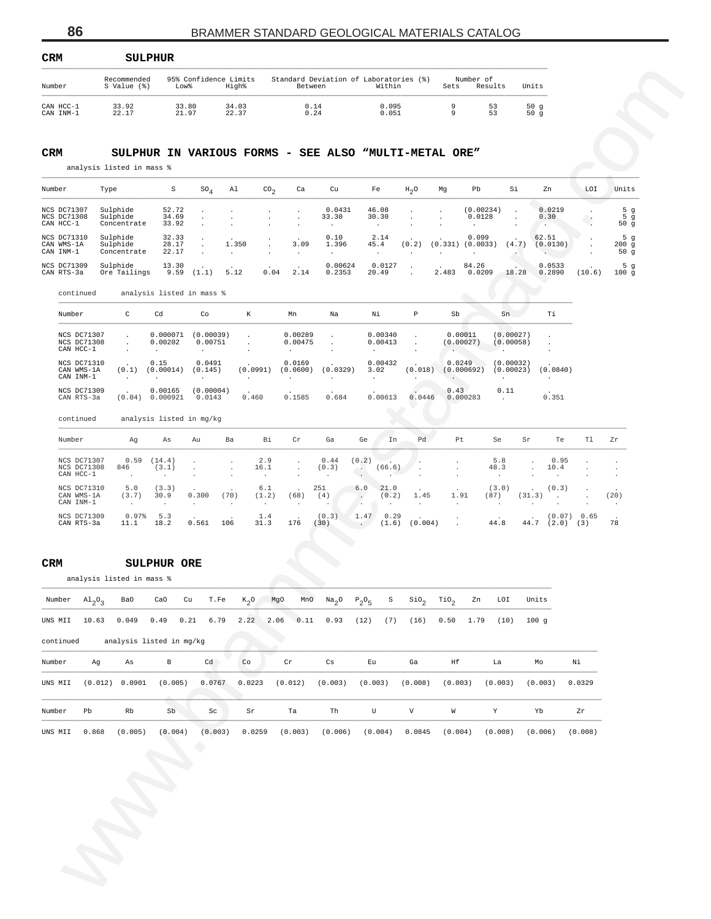| <b>CRM</b>             | SULPHUR                    |                |                                |                                                   |                |      |                      |            |
|------------------------|----------------------------|----------------|--------------------------------|---------------------------------------------------|----------------|------|----------------------|------------|
| Number                 | Recommended<br>S Value (%) | Low%           | 95% Confidence Limits<br>High% | Standard Deviation of Laboratories (%)<br>Between | Within         | Sets | Number of<br>Results | Units      |
| CAN HCC-1<br>CAN INM-1 | 33.92<br>22.17             | 33.80<br>21.97 | 34.03<br>22.37                 | 0.14<br>0.24                                      | 0.095<br>0.051 | a    | 53<br>53             | 50q<br>50g |

#### **CRM SULPHUR IN VARIOUS FORMS - SEE ALSO "MULTI-METAL ORE"**

| Number                                         | Type                                | S                       | SO <sub>A</sub> | Al    | CO <sub>n</sub> | Ca              | Cu                                          | Fe                          | $H_0$ O | Mg    | Pb                            | Si    | Zn                | LOI    | Units                |
|------------------------------------------------|-------------------------------------|-------------------------|-----------------|-------|-----------------|-----------------|---------------------------------------------|-----------------------------|---------|-------|-------------------------------|-------|-------------------|--------|----------------------|
| <b>NCS DC71307</b><br>NCS DC71308<br>CAN HCC-1 | Sulphide<br>Sulphide<br>Concentrate | 52.72<br>34.69<br>33.92 |                 |       |                 | $\cdot$         | 0.0431<br>33.30<br>$\overline{\phantom{a}}$ | 46.08<br>30.30<br>$\bullet$ | $\cdot$ |       | (0.00234)<br>0.0128           |       | 0.0219<br>0.30    |        | 5q<br>5 $g$<br>50 g  |
| NCS DC71310<br>CAN WMS-1A<br>CAN INM-1         | Sulphide<br>Sulphide<br>Concentrate | 32.33<br>28.17<br>22.17 |                 | 1.350 |                 | 3.09<br>$\cdot$ | 0.10<br>1.396<br>$\ddot{\phantom{0}}$       | 2.14<br>45.4                | (0.2)   |       | 0.099<br>$(0.331)$ $(0.0033)$ | (4.7) | 62.51<br>(0.0130) |        | 5 $g$<br>200q<br>50q |
| NCS DC71309<br>CAN RTS-3a                      | Sulphide<br>Ore Tailings            | 13.30<br>9.59           | (1.1)           | 5.12  | 0.04            | 2.14            | 0.00624<br>0.2353                           | 0.0127<br>20.49             |         | 2.483 | 84.26<br>0.0209               | 18.28 | 0.0533<br>0.2890  | (10.6) | 5 $g$<br>100q        |

| 33.92<br>33.80<br>0.14<br>0.095<br>9<br>53<br>50g<br>34.03<br>21.97<br>53<br>22.17<br>22.37<br>$\ensuremath{0}$ . 24<br>0.051<br>9<br>50g<br>S<br>$SO_4$<br>Al<br>$\text{CO}_2$<br>Ca<br>Cu<br>Fe<br>$H_2O$<br>Mg<br>Pb<br>Si<br>Zn<br>LOI<br>Units<br>0.0431<br>46.08<br>0.0219<br>5 <sub>g</sub><br>52.72<br>(0.00234)<br>$\cdot$<br>$\cdot$<br>$\cdot$<br>$\cdot$<br>$\cdot$<br>5 <sub>g</sub><br>34.69<br>33.30<br>30.30<br>0.0128<br>0.30<br>$\cdot$<br>$\cdot$<br>$\cdot$<br>33.92<br>50g<br>$\bullet$<br>$\bullet$<br>$\cdot$<br>0.10<br>2.14<br>0.099<br>5 <sub>g</sub><br>32.33<br>62.51<br>1.350<br>3.09<br>28.17<br>1.396<br>45.4<br>(0.2)<br>$(0.331)$ $(0.0033)$<br>(4.7)<br>(0.0130)<br>200g<br>22.17<br>50g<br>$\cdot$<br>$\sim$<br>$\bullet$<br>$\cdot$<br>$\cdot$<br>$\cdot$<br>$\bullet$<br>$\ddot{\phantom{a}}$<br>13.30<br>0.00624<br>0.0127<br>84.26<br>0.0533<br>5 $g$<br>5.12<br>0.04<br>2.14<br>(10.6)<br>9.59<br>(1.1)<br>0.2353<br>20.49<br>2.483<br>0.0209<br>18.28<br>0.2890<br>100g<br>$\ddot{\phantom{a}}$<br>analysis listed in mass %<br>С<br>Cd<br>Co<br>К<br>Mn<br>Na<br>Νi<br>Ρ<br>Sb<br>Sn<br>Тi<br>(0.00039)<br>0.00011<br>0.000071<br>0.00289<br>0.00340<br>(0.00027)<br>$\cdot$<br>$\cdot$<br>$\cdot$<br>$\cdot$<br>$\cdot$<br>0.00202<br>0.00751<br>0.00475<br>0.00413<br>(0.00027)<br>(0.00058)<br>$\cdot$<br>$\cdot$<br>$\cdot$<br>$\cdot$<br>$\cdot$<br>$\cdot$<br>$\cdot$<br>$\cdot$<br>$\cdot$<br>$\cdot$<br>$\cdot$<br>٠.<br>$\cdot$<br>0.15<br>0.0491<br>0.0169<br>0.00432<br>0.0249<br>(0.00032)<br>(0.1)<br>(0.00014)<br>(0.145)<br>(0.0991)<br>(0.0600)<br>(0.0329)<br>3.02<br>(0.018)<br>(0.000692)<br>(0.00023)<br>(0.0840)<br>$\cdot$<br>$\ddot{\phantom{a}}$<br>$\ddot{\phantom{a}}$<br>$\cdot$<br>$\cdot$<br>$\cdot$<br>$\blacksquare$<br>$\cdot$<br>$\cdot$<br>$\cdot$<br>$\cdot$<br>0.00165<br>(0.00004)<br>0.43<br>0.11<br>0.460<br>0.1585<br>0.684<br>0.351<br>(0.04) 0.000921<br>0.0143<br>0.00613<br>0.0446<br>0.000283<br>$\ddot{\phantom{a}}$<br>analysis listed in mg/kg<br>Αg<br>Αs<br>Ba<br>Вi<br>Cr<br>Ga<br>Ge<br>In<br>Pd<br>Pt<br>Se<br>Sr<br>Te<br>Tl<br>Ζr<br>Au<br>0.59<br>(14.4)<br>2.9<br>0.44<br>(0.2)<br>5.8<br>0.95<br>$\cdot$<br>$\cdot$<br>846<br>(3.1)<br>16.1<br>(0.3)<br>(66.6)<br>48.3<br>10.4<br>$\Delta \mathcal{L}_{\rm{eff}}$<br>$\cdot$<br>$\blacksquare$<br>$\cdot$<br>$\cdot$<br>$\ddot{\phantom{a}}$<br>$\cdot$<br>$\cdot$<br>$\cdot$<br>$\cdot$<br>$\cdot$<br>$\ddot{\phantom{0}}$<br>$\cdot$<br>$\cdot$<br>251<br>21.0<br>5.0<br>(3.3)<br>6.1<br>6.0<br>(3.0)<br>(0.3)<br>$\cdot$<br>(70)<br>(20)<br>(3.7)<br>30.9<br>0.300<br>(1.2)<br>(68)<br>(4)<br>(0.2)<br>1.45<br>1.91<br>(87)<br>(31.3)<br>$\cdot$<br>$\cdot$<br>$\Delta$<br>$\cdot$<br>$\cdot$<br>$\cdot$<br>$\cdot$<br>$\cdot$<br>$\cdot$<br>$\cdot$<br>$\cdot$<br>$\cdot$<br>$\cdot$<br>$\cdot$<br>0.97%<br>5.3<br>1.4<br>(0.3)<br>1.47<br>0.29<br>(0.07) 0.65<br>(0.004)<br>44.8<br>78<br>11.1<br>18.2<br>0.561<br>106<br>31.3<br>176<br>(30)<br>(1.6)<br>44.7<br>$(2.0)$ $(3)$<br>$\ddot{\phantom{0}}$<br>SULPHUR ORE<br>Ba0<br>T.Fe<br>$K_2O$<br>Na <sub>2</sub> O<br>$P_2O_5$<br>$\sin_2$<br>TiO <sub>2</sub><br>Units<br>CaO<br>Cu<br>MgO<br>MnO<br>S<br>Zn<br>LOI<br>2.22<br>0.049<br>$0.49$<br>0.21<br>6.79<br>2.06<br>0.11<br>0.93<br>(12)<br>(7)<br>(16)<br>0.50<br>1.79<br>(10)<br>100g<br>$\, {\bf B}$<br>As<br>Cd<br>Co<br>$\operatorname{\sf Cr}$<br>Cs<br>Eu<br>Ga<br>Ηf<br>La<br>Mo<br>Νi<br>0.0767<br>0.0223<br>(0.005)<br>(0.012)<br>(0.003)<br>(0.003)<br>(0.008)<br>(0.003)<br>(0.003)<br>(0.003)<br>0.0329<br>${\rm Sb}$<br>Th<br>$\mathbf V$<br>W<br>Y<br>Rb<br>$\operatorname{Sc}$<br>Sr<br>Ta<br>U<br>Yb<br>Zr<br>(0.003)<br>(0.005)<br>(0.004)<br>0.0259<br>(0.003)<br>(0.006)<br>(0.004)<br>0.0845<br>(0.004)<br>(0.008)<br>(0.006)<br>(0.008)<br>۰ | CAN HCC-1<br>CAN INM-1<br>CRM<br>SULPHUR IN VARIOUS FORMS - SEE ALSO "MULTI-METAL ORE"<br>analysis listed in mass %<br>Number<br>Type<br>NCS DC71307<br>Sulphide<br>NCS DC71308<br>Sulphide<br>CAN HCC-1<br>Concentrate<br>NCS DC71310<br>Sulphide<br>CAN WMS-1A<br>Sulphide<br>CAN INM-1<br>Concentrate<br>NCS DC71309<br>Sulphide<br>CAN RTS-3a<br>Ore Tailings<br>continued<br>Number<br>NCS DC71307<br>NCS DC71308<br>CAN HCC-1<br>NCS DC71310<br>CAN WMS-1A<br>CAN INM-1<br>NCS DC71309<br>CAN RTS-3a<br>continued<br>Number<br>NCS DC71307<br>NCS DC71308<br>CAN HCC-1<br>NCS DC71310<br>CAN WMS-1A<br>CAN INM-1<br>NCS DC71309<br>CAN RTS-3a<br>CRM<br>analysis listed in mass %<br>Number<br>$\mathrm{Al}_{2}\mathrm{O}_{3}$<br>UNS MII<br>10.63<br>analysis listed in mg/kg<br>continued<br>Number<br>Ag<br>UNS MII<br>(0.012) 0.0901<br>Pb<br>Number<br>UNS MII<br>0.868 | Number | Recommended<br>S Value (%) | Low <sup>8</sup> | 95% Confidence Limits<br>High% | Between | Standard Deviation of Laboratories (%) | Within | Sets | Number of | Results | Units |  |  |
|--------------------------------------------------------------------------------------------------------------------------------------------------------------------------------------------------------------------------------------------------------------------------------------------------------------------------------------------------------------------------------------------------------------------------------------------------------------------------------------------------------------------------------------------------------------------------------------------------------------------------------------------------------------------------------------------------------------------------------------------------------------------------------------------------------------------------------------------------------------------------------------------------------------------------------------------------------------------------------------------------------------------------------------------------------------------------------------------------------------------------------------------------------------------------------------------------------------------------------------------------------------------------------------------------------------------------------------------------------------------------------------------------------------------------------------------------------------------------------------------------------------------------------------------------------------------------------------------------------------------------------------------------------------------------------------------------------------------------------------------------------------------------------------------------------------------------------------------------------------------------------------------------------------------------------------------------------------------------------------------------------------------------------------------------------------------------------------------------------------------------------------------------------------------------------------------------------------------------------------------------------------------------------------------------------------------------------------------------------------------------------------------------------------------------------------------------------------------------------------------------------------------------------------------------------------------------------------------------------------------------------------------------------------------------------------------------------------------------------------------------------------------------------------------------------------------------------------------------------------------------------------------------------------------------------------------------------------------------------------------------------------------------------------------------------------------------------------------------------------------------------------------------------------------------------------------------------------------------------------------------------------------------------------------------------------------------------------------------------------------------------------------------------------------------------------------------------------------------------------------------------------------------------------------------------------------------------------------------------------------------------------------------------------------------------------------------------------------------------------------------------------------------------------------------------------------------------------|------------------------------------------------------------------------------------------------------------------------------------------------------------------------------------------------------------------------------------------------------------------------------------------------------------------------------------------------------------------------------------------------------------------------------------------------------------------------------------------------------------------------------------------------------------------------------------------------------------------------------------------------------------------------------------------------------------------------------------------------------------------------------------------------------------------------------------------------------------------------------------|--------|----------------------------|------------------|--------------------------------|---------|----------------------------------------|--------|------|-----------|---------|-------|--|--|
|                                                                                                                                                                                                                                                                                                                                                                                                                                                                                                                                                                                                                                                                                                                                                                                                                                                                                                                                                                                                                                                                                                                                                                                                                                                                                                                                                                                                                                                                                                                                                                                                                                                                                                                                                                                                                                                                                                                                                                                                                                                                                                                                                                                                                                                                                                                                                                                                                                                                                                                                                                                                                                                                                                                                                                                                                                                                                                                                                                                                                                                                                                                                                                                                                                                                                                                                                                                                                                                                                                                                                                                                                                                                                                                                                                                                                                      |                                                                                                                                                                                                                                                                                                                                                                                                                                                                                                                                                                                                                                                                                                                                                                                                                                                                                    |        |                            |                  |                                |         |                                        |        |      |           |         |       |  |  |
|                                                                                                                                                                                                                                                                                                                                                                                                                                                                                                                                                                                                                                                                                                                                                                                                                                                                                                                                                                                                                                                                                                                                                                                                                                                                                                                                                                                                                                                                                                                                                                                                                                                                                                                                                                                                                                                                                                                                                                                                                                                                                                                                                                                                                                                                                                                                                                                                                                                                                                                                                                                                                                                                                                                                                                                                                                                                                                                                                                                                                                                                                                                                                                                                                                                                                                                                                                                                                                                                                                                                                                                                                                                                                                                                                                                                                                      |                                                                                                                                                                                                                                                                                                                                                                                                                                                                                                                                                                                                                                                                                                                                                                                                                                                                                    |        |                            |                  |                                |         |                                        |        |      |           |         |       |  |  |
|                                                                                                                                                                                                                                                                                                                                                                                                                                                                                                                                                                                                                                                                                                                                                                                                                                                                                                                                                                                                                                                                                                                                                                                                                                                                                                                                                                                                                                                                                                                                                                                                                                                                                                                                                                                                                                                                                                                                                                                                                                                                                                                                                                                                                                                                                                                                                                                                                                                                                                                                                                                                                                                                                                                                                                                                                                                                                                                                                                                                                                                                                                                                                                                                                                                                                                                                                                                                                                                                                                                                                                                                                                                                                                                                                                                                                                      |                                                                                                                                                                                                                                                                                                                                                                                                                                                                                                                                                                                                                                                                                                                                                                                                                                                                                    |        |                            |                  |                                |         |                                        |        |      |           |         |       |  |  |
|                                                                                                                                                                                                                                                                                                                                                                                                                                                                                                                                                                                                                                                                                                                                                                                                                                                                                                                                                                                                                                                                                                                                                                                                                                                                                                                                                                                                                                                                                                                                                                                                                                                                                                                                                                                                                                                                                                                                                                                                                                                                                                                                                                                                                                                                                                                                                                                                                                                                                                                                                                                                                                                                                                                                                                                                                                                                                                                                                                                                                                                                                                                                                                                                                                                                                                                                                                                                                                                                                                                                                                                                                                                                                                                                                                                                                                      |                                                                                                                                                                                                                                                                                                                                                                                                                                                                                                                                                                                                                                                                                                                                                                                                                                                                                    |        |                            |                  |                                |         |                                        |        |      |           |         |       |  |  |
|                                                                                                                                                                                                                                                                                                                                                                                                                                                                                                                                                                                                                                                                                                                                                                                                                                                                                                                                                                                                                                                                                                                                                                                                                                                                                                                                                                                                                                                                                                                                                                                                                                                                                                                                                                                                                                                                                                                                                                                                                                                                                                                                                                                                                                                                                                                                                                                                                                                                                                                                                                                                                                                                                                                                                                                                                                                                                                                                                                                                                                                                                                                                                                                                                                                                                                                                                                                                                                                                                                                                                                                                                                                                                                                                                                                                                                      |                                                                                                                                                                                                                                                                                                                                                                                                                                                                                                                                                                                                                                                                                                                                                                                                                                                                                    |        |                            |                  |                                |         |                                        |        |      |           |         |       |  |  |
|                                                                                                                                                                                                                                                                                                                                                                                                                                                                                                                                                                                                                                                                                                                                                                                                                                                                                                                                                                                                                                                                                                                                                                                                                                                                                                                                                                                                                                                                                                                                                                                                                                                                                                                                                                                                                                                                                                                                                                                                                                                                                                                                                                                                                                                                                                                                                                                                                                                                                                                                                                                                                                                                                                                                                                                                                                                                                                                                                                                                                                                                                                                                                                                                                                                                                                                                                                                                                                                                                                                                                                                                                                                                                                                                                                                                                                      |                                                                                                                                                                                                                                                                                                                                                                                                                                                                                                                                                                                                                                                                                                                                                                                                                                                                                    |        |                            |                  |                                |         |                                        |        |      |           |         |       |  |  |
|                                                                                                                                                                                                                                                                                                                                                                                                                                                                                                                                                                                                                                                                                                                                                                                                                                                                                                                                                                                                                                                                                                                                                                                                                                                                                                                                                                                                                                                                                                                                                                                                                                                                                                                                                                                                                                                                                                                                                                                                                                                                                                                                                                                                                                                                                                                                                                                                                                                                                                                                                                                                                                                                                                                                                                                                                                                                                                                                                                                                                                                                                                                                                                                                                                                                                                                                                                                                                                                                                                                                                                                                                                                                                                                                                                                                                                      |                                                                                                                                                                                                                                                                                                                                                                                                                                                                                                                                                                                                                                                                                                                                                                                                                                                                                    |        |                            |                  |                                |         |                                        |        |      |           |         |       |  |  |
|                                                                                                                                                                                                                                                                                                                                                                                                                                                                                                                                                                                                                                                                                                                                                                                                                                                                                                                                                                                                                                                                                                                                                                                                                                                                                                                                                                                                                                                                                                                                                                                                                                                                                                                                                                                                                                                                                                                                                                                                                                                                                                                                                                                                                                                                                                                                                                                                                                                                                                                                                                                                                                                                                                                                                                                                                                                                                                                                                                                                                                                                                                                                                                                                                                                                                                                                                                                                                                                                                                                                                                                                                                                                                                                                                                                                                                      |                                                                                                                                                                                                                                                                                                                                                                                                                                                                                                                                                                                                                                                                                                                                                                                                                                                                                    |        |                            |                  |                                |         |                                        |        |      |           |         |       |  |  |
|                                                                                                                                                                                                                                                                                                                                                                                                                                                                                                                                                                                                                                                                                                                                                                                                                                                                                                                                                                                                                                                                                                                                                                                                                                                                                                                                                                                                                                                                                                                                                                                                                                                                                                                                                                                                                                                                                                                                                                                                                                                                                                                                                                                                                                                                                                                                                                                                                                                                                                                                                                                                                                                                                                                                                                                                                                                                                                                                                                                                                                                                                                                                                                                                                                                                                                                                                                                                                                                                                                                                                                                                                                                                                                                                                                                                                                      |                                                                                                                                                                                                                                                                                                                                                                                                                                                                                                                                                                                                                                                                                                                                                                                                                                                                                    |        |                            |                  |                                |         |                                        |        |      |           |         |       |  |  |
|                                                                                                                                                                                                                                                                                                                                                                                                                                                                                                                                                                                                                                                                                                                                                                                                                                                                                                                                                                                                                                                                                                                                                                                                                                                                                                                                                                                                                                                                                                                                                                                                                                                                                                                                                                                                                                                                                                                                                                                                                                                                                                                                                                                                                                                                                                                                                                                                                                                                                                                                                                                                                                                                                                                                                                                                                                                                                                                                                                                                                                                                                                                                                                                                                                                                                                                                                                                                                                                                                                                                                                                                                                                                                                                                                                                                                                      |                                                                                                                                                                                                                                                                                                                                                                                                                                                                                                                                                                                                                                                                                                                                                                                                                                                                                    |        |                            |                  |                                |         |                                        |        |      |           |         |       |  |  |
|                                                                                                                                                                                                                                                                                                                                                                                                                                                                                                                                                                                                                                                                                                                                                                                                                                                                                                                                                                                                                                                                                                                                                                                                                                                                                                                                                                                                                                                                                                                                                                                                                                                                                                                                                                                                                                                                                                                                                                                                                                                                                                                                                                                                                                                                                                                                                                                                                                                                                                                                                                                                                                                                                                                                                                                                                                                                                                                                                                                                                                                                                                                                                                                                                                                                                                                                                                                                                                                                                                                                                                                                                                                                                                                                                                                                                                      |                                                                                                                                                                                                                                                                                                                                                                                                                                                                                                                                                                                                                                                                                                                                                                                                                                                                                    |        |                            |                  |                                |         |                                        |        |      |           |         |       |  |  |
|                                                                                                                                                                                                                                                                                                                                                                                                                                                                                                                                                                                                                                                                                                                                                                                                                                                                                                                                                                                                                                                                                                                                                                                                                                                                                                                                                                                                                                                                                                                                                                                                                                                                                                                                                                                                                                                                                                                                                                                                                                                                                                                                                                                                                                                                                                                                                                                                                                                                                                                                                                                                                                                                                                                                                                                                                                                                                                                                                                                                                                                                                                                                                                                                                                                                                                                                                                                                                                                                                                                                                                                                                                                                                                                                                                                                                                      |                                                                                                                                                                                                                                                                                                                                                                                                                                                                                                                                                                                                                                                                                                                                                                                                                                                                                    |        |                            |                  |                                |         |                                        |        |      |           |         |       |  |  |
|                                                                                                                                                                                                                                                                                                                                                                                                                                                                                                                                                                                                                                                                                                                                                                                                                                                                                                                                                                                                                                                                                                                                                                                                                                                                                                                                                                                                                                                                                                                                                                                                                                                                                                                                                                                                                                                                                                                                                                                                                                                                                                                                                                                                                                                                                                                                                                                                                                                                                                                                                                                                                                                                                                                                                                                                                                                                                                                                                                                                                                                                                                                                                                                                                                                                                                                                                                                                                                                                                                                                                                                                                                                                                                                                                                                                                                      |                                                                                                                                                                                                                                                                                                                                                                                                                                                                                                                                                                                                                                                                                                                                                                                                                                                                                    |        |                            |                  |                                |         |                                        |        |      |           |         |       |  |  |
|                                                                                                                                                                                                                                                                                                                                                                                                                                                                                                                                                                                                                                                                                                                                                                                                                                                                                                                                                                                                                                                                                                                                                                                                                                                                                                                                                                                                                                                                                                                                                                                                                                                                                                                                                                                                                                                                                                                                                                                                                                                                                                                                                                                                                                                                                                                                                                                                                                                                                                                                                                                                                                                                                                                                                                                                                                                                                                                                                                                                                                                                                                                                                                                                                                                                                                                                                                                                                                                                                                                                                                                                                                                                                                                                                                                                                                      |                                                                                                                                                                                                                                                                                                                                                                                                                                                                                                                                                                                                                                                                                                                                                                                                                                                                                    |        |                            |                  |                                |         |                                        |        |      |           |         |       |  |  |
|                                                                                                                                                                                                                                                                                                                                                                                                                                                                                                                                                                                                                                                                                                                                                                                                                                                                                                                                                                                                                                                                                                                                                                                                                                                                                                                                                                                                                                                                                                                                                                                                                                                                                                                                                                                                                                                                                                                                                                                                                                                                                                                                                                                                                                                                                                                                                                                                                                                                                                                                                                                                                                                                                                                                                                                                                                                                                                                                                                                                                                                                                                                                                                                                                                                                                                                                                                                                                                                                                                                                                                                                                                                                                                                                                                                                                                      |                                                                                                                                                                                                                                                                                                                                                                                                                                                                                                                                                                                                                                                                                                                                                                                                                                                                                    |        |                            |                  |                                |         |                                        |        |      |           |         |       |  |  |
|                                                                                                                                                                                                                                                                                                                                                                                                                                                                                                                                                                                                                                                                                                                                                                                                                                                                                                                                                                                                                                                                                                                                                                                                                                                                                                                                                                                                                                                                                                                                                                                                                                                                                                                                                                                                                                                                                                                                                                                                                                                                                                                                                                                                                                                                                                                                                                                                                                                                                                                                                                                                                                                                                                                                                                                                                                                                                                                                                                                                                                                                                                                                                                                                                                                                                                                                                                                                                                                                                                                                                                                                                                                                                                                                                                                                                                      |                                                                                                                                                                                                                                                                                                                                                                                                                                                                                                                                                                                                                                                                                                                                                                                                                                                                                    |        |                            |                  |                                |         |                                        |        |      |           |         |       |  |  |
|                                                                                                                                                                                                                                                                                                                                                                                                                                                                                                                                                                                                                                                                                                                                                                                                                                                                                                                                                                                                                                                                                                                                                                                                                                                                                                                                                                                                                                                                                                                                                                                                                                                                                                                                                                                                                                                                                                                                                                                                                                                                                                                                                                                                                                                                                                                                                                                                                                                                                                                                                                                                                                                                                                                                                                                                                                                                                                                                                                                                                                                                                                                                                                                                                                                                                                                                                                                                                                                                                                                                                                                                                                                                                                                                                                                                                                      |                                                                                                                                                                                                                                                                                                                                                                                                                                                                                                                                                                                                                                                                                                                                                                                                                                                                                    |        |                            |                  |                                |         |                                        |        |      |           |         |       |  |  |
|                                                                                                                                                                                                                                                                                                                                                                                                                                                                                                                                                                                                                                                                                                                                                                                                                                                                                                                                                                                                                                                                                                                                                                                                                                                                                                                                                                                                                                                                                                                                                                                                                                                                                                                                                                                                                                                                                                                                                                                                                                                                                                                                                                                                                                                                                                                                                                                                                                                                                                                                                                                                                                                                                                                                                                                                                                                                                                                                                                                                                                                                                                                                                                                                                                                                                                                                                                                                                                                                                                                                                                                                                                                                                                                                                                                                                                      |                                                                                                                                                                                                                                                                                                                                                                                                                                                                                                                                                                                                                                                                                                                                                                                                                                                                                    |        |                            |                  |                                |         |                                        |        |      |           |         |       |  |  |
|                                                                                                                                                                                                                                                                                                                                                                                                                                                                                                                                                                                                                                                                                                                                                                                                                                                                                                                                                                                                                                                                                                                                                                                                                                                                                                                                                                                                                                                                                                                                                                                                                                                                                                                                                                                                                                                                                                                                                                                                                                                                                                                                                                                                                                                                                                                                                                                                                                                                                                                                                                                                                                                                                                                                                                                                                                                                                                                                                                                                                                                                                                                                                                                                                                                                                                                                                                                                                                                                                                                                                                                                                                                                                                                                                                                                                                      |                                                                                                                                                                                                                                                                                                                                                                                                                                                                                                                                                                                                                                                                                                                                                                                                                                                                                    |        |                            |                  |                                |         |                                        |        |      |           |         |       |  |  |
|                                                                                                                                                                                                                                                                                                                                                                                                                                                                                                                                                                                                                                                                                                                                                                                                                                                                                                                                                                                                                                                                                                                                                                                                                                                                                                                                                                                                                                                                                                                                                                                                                                                                                                                                                                                                                                                                                                                                                                                                                                                                                                                                                                                                                                                                                                                                                                                                                                                                                                                                                                                                                                                                                                                                                                                                                                                                                                                                                                                                                                                                                                                                                                                                                                                                                                                                                                                                                                                                                                                                                                                                                                                                                                                                                                                                                                      |                                                                                                                                                                                                                                                                                                                                                                                                                                                                                                                                                                                                                                                                                                                                                                                                                                                                                    |        |                            |                  |                                |         |                                        |        |      |           |         |       |  |  |
|                                                                                                                                                                                                                                                                                                                                                                                                                                                                                                                                                                                                                                                                                                                                                                                                                                                                                                                                                                                                                                                                                                                                                                                                                                                                                                                                                                                                                                                                                                                                                                                                                                                                                                                                                                                                                                                                                                                                                                                                                                                                                                                                                                                                                                                                                                                                                                                                                                                                                                                                                                                                                                                                                                                                                                                                                                                                                                                                                                                                                                                                                                                                                                                                                                                                                                                                                                                                                                                                                                                                                                                                                                                                                                                                                                                                                                      |                                                                                                                                                                                                                                                                                                                                                                                                                                                                                                                                                                                                                                                                                                                                                                                                                                                                                    |        |                            |                  |                                |         |                                        |        |      |           |         |       |  |  |
|                                                                                                                                                                                                                                                                                                                                                                                                                                                                                                                                                                                                                                                                                                                                                                                                                                                                                                                                                                                                                                                                                                                                                                                                                                                                                                                                                                                                                                                                                                                                                                                                                                                                                                                                                                                                                                                                                                                                                                                                                                                                                                                                                                                                                                                                                                                                                                                                                                                                                                                                                                                                                                                                                                                                                                                                                                                                                                                                                                                                                                                                                                                                                                                                                                                                                                                                                                                                                                                                                                                                                                                                                                                                                                                                                                                                                                      |                                                                                                                                                                                                                                                                                                                                                                                                                                                                                                                                                                                                                                                                                                                                                                                                                                                                                    |        |                            |                  |                                |         |                                        |        |      |           |         |       |  |  |
|                                                                                                                                                                                                                                                                                                                                                                                                                                                                                                                                                                                                                                                                                                                                                                                                                                                                                                                                                                                                                                                                                                                                                                                                                                                                                                                                                                                                                                                                                                                                                                                                                                                                                                                                                                                                                                                                                                                                                                                                                                                                                                                                                                                                                                                                                                                                                                                                                                                                                                                                                                                                                                                                                                                                                                                                                                                                                                                                                                                                                                                                                                                                                                                                                                                                                                                                                                                                                                                                                                                                                                                                                                                                                                                                                                                                                                      |                                                                                                                                                                                                                                                                                                                                                                                                                                                                                                                                                                                                                                                                                                                                                                                                                                                                                    |        |                            |                  |                                |         |                                        |        |      |           |         |       |  |  |
|                                                                                                                                                                                                                                                                                                                                                                                                                                                                                                                                                                                                                                                                                                                                                                                                                                                                                                                                                                                                                                                                                                                                                                                                                                                                                                                                                                                                                                                                                                                                                                                                                                                                                                                                                                                                                                                                                                                                                                                                                                                                                                                                                                                                                                                                                                                                                                                                                                                                                                                                                                                                                                                                                                                                                                                                                                                                                                                                                                                                                                                                                                                                                                                                                                                                                                                                                                                                                                                                                                                                                                                                                                                                                                                                                                                                                                      |                                                                                                                                                                                                                                                                                                                                                                                                                                                                                                                                                                                                                                                                                                                                                                                                                                                                                    |        |                            |                  |                                |         |                                        |        |      |           |         |       |  |  |
|                                                                                                                                                                                                                                                                                                                                                                                                                                                                                                                                                                                                                                                                                                                                                                                                                                                                                                                                                                                                                                                                                                                                                                                                                                                                                                                                                                                                                                                                                                                                                                                                                                                                                                                                                                                                                                                                                                                                                                                                                                                                                                                                                                                                                                                                                                                                                                                                                                                                                                                                                                                                                                                                                                                                                                                                                                                                                                                                                                                                                                                                                                                                                                                                                                                                                                                                                                                                                                                                                                                                                                                                                                                                                                                                                                                                                                      |                                                                                                                                                                                                                                                                                                                                                                                                                                                                                                                                                                                                                                                                                                                                                                                                                                                                                    |        |                            |                  |                                |         |                                        |        |      |           |         |       |  |  |
|                                                                                                                                                                                                                                                                                                                                                                                                                                                                                                                                                                                                                                                                                                                                                                                                                                                                                                                                                                                                                                                                                                                                                                                                                                                                                                                                                                                                                                                                                                                                                                                                                                                                                                                                                                                                                                                                                                                                                                                                                                                                                                                                                                                                                                                                                                                                                                                                                                                                                                                                                                                                                                                                                                                                                                                                                                                                                                                                                                                                                                                                                                                                                                                                                                                                                                                                                                                                                                                                                                                                                                                                                                                                                                                                                                                                                                      |                                                                                                                                                                                                                                                                                                                                                                                                                                                                                                                                                                                                                                                                                                                                                                                                                                                                                    |        |                            |                  |                                |         |                                        |        |      |           |         |       |  |  |
|                                                                                                                                                                                                                                                                                                                                                                                                                                                                                                                                                                                                                                                                                                                                                                                                                                                                                                                                                                                                                                                                                                                                                                                                                                                                                                                                                                                                                                                                                                                                                                                                                                                                                                                                                                                                                                                                                                                                                                                                                                                                                                                                                                                                                                                                                                                                                                                                                                                                                                                                                                                                                                                                                                                                                                                                                                                                                                                                                                                                                                                                                                                                                                                                                                                                                                                                                                                                                                                                                                                                                                                                                                                                                                                                                                                                                                      |                                                                                                                                                                                                                                                                                                                                                                                                                                                                                                                                                                                                                                                                                                                                                                                                                                                                                    |        |                            |                  |                                |         |                                        |        |      |           |         |       |  |  |
|                                                                                                                                                                                                                                                                                                                                                                                                                                                                                                                                                                                                                                                                                                                                                                                                                                                                                                                                                                                                                                                                                                                                                                                                                                                                                                                                                                                                                                                                                                                                                                                                                                                                                                                                                                                                                                                                                                                                                                                                                                                                                                                                                                                                                                                                                                                                                                                                                                                                                                                                                                                                                                                                                                                                                                                                                                                                                                                                                                                                                                                                                                                                                                                                                                                                                                                                                                                                                                                                                                                                                                                                                                                                                                                                                                                                                                      |                                                                                                                                                                                                                                                                                                                                                                                                                                                                                                                                                                                                                                                                                                                                                                                                                                                                                    |        |                            |                  |                                |         |                                        |        |      |           |         |       |  |  |

#### **CRM SULPHUR ORE**

| Number    | $Al_2O_2$ | Ba0     | CaO                      | T.Fe<br>Cu | $K_2O$ | MgO                 | MnO<br>$\mathrm{Na}_2\mathrm{O}$ | $P_2O_5$ | S<br>$\rm SiO_{2}$ | TiO <sub>2</sub> | Zn<br>LOI    | Units   |         |
|-----------|-----------|---------|--------------------------|------------|--------|---------------------|----------------------------------|----------|--------------------|------------------|--------------|---------|---------|
| UNS MII   | 10.63     | 0.049   | 0.21<br>0.49             | 6.79       | 2.22   | 2.06<br>0.11        | 0.93                             | (12)     | (16)<br>(7)        | 0.50             | 1.79<br>(10) | 100q    |         |
| continued |           |         | analysis listed in mg/kg |            |        |                     |                                  |          |                    |                  |              |         |         |
| Number    | Ag        | As      | В                        | Cd         | Co     | $\operatorname{Cr}$ | $\mathbb{C}\mathbf{s}$           | Εu       | Ga                 | Ηf               | La           | Mo      | Νi      |
| UNS MII   | (0.012)   | 0.0901  | (0.005)                  | 0.0767     | 0.0223 | (0.012)             | (0.003)                          | (0.003)  | (0.008)            | (0.003)          | (0.003)      | (0.003) | 0.0329  |
| Number    | Pb        | Rb      | Sb                       | Sc         | Sr     | Ta                  | Th                               | U        | V                  | W                | Y            | Yb      | Zr      |
| UNS MII   | 0.868     | (0.005) | (0.004)                  | (0.003)    | 0.0259 | (0.003)             | (0.006)                          | (0.004)  | 0.0845             | (0.004)          | (0.008)      | (0.006) | (0.008) |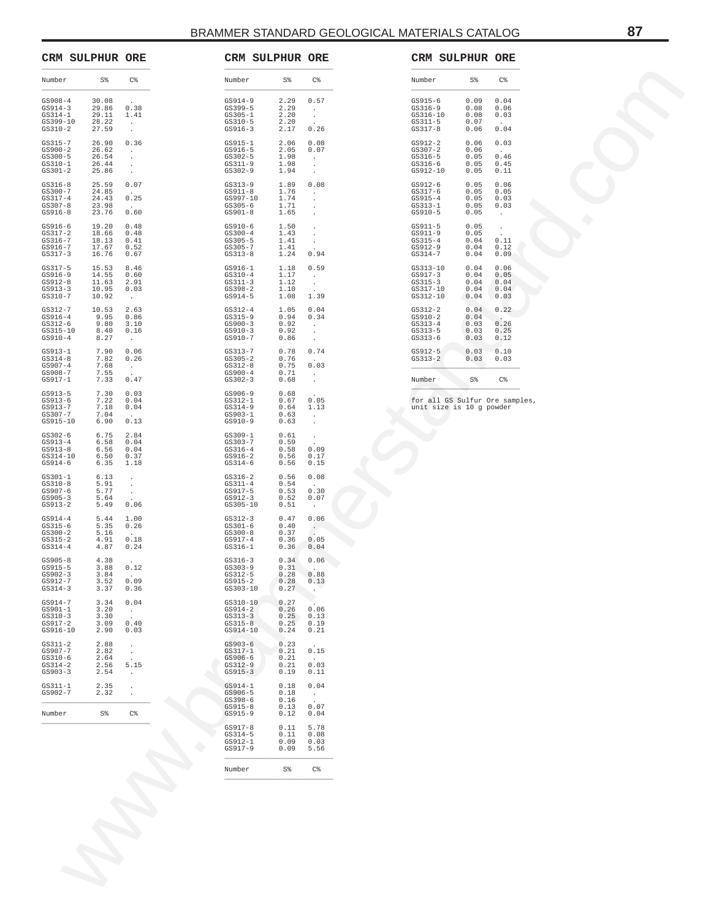|                                                                     | <b>CRM SULPHUR ORE</b>                    |                                                  | <b>CRM SULPHUR ORE</b>                                              |                                      |                                              |                                                                 | CRM SULPHUR ORE                                            |                                      |                                                      |  |
|---------------------------------------------------------------------|-------------------------------------------|--------------------------------------------------|---------------------------------------------------------------------|--------------------------------------|----------------------------------------------|-----------------------------------------------------------------|------------------------------------------------------------|--------------------------------------|------------------------------------------------------|--|
| Number                                                              | S%                                        | C%                                               | Number                                                              | S%                                   | C%                                           | Number                                                          |                                                            | S%                                   | C <sup>8</sup>                                       |  |
| $GSD08-4$<br>$GS914-3$<br>$GS314-1$<br>GS399-10<br>$GS310-2$        | 30.08<br>29.86<br>29.11<br>28.22<br>27.59 | 0.38<br>1.41<br>$\cdot$<br>$\cdot$               | $GSS14-9$<br>$GS399-5$<br>$GS305 - 1$<br>$GS310-5$<br>$GS916-3$     | 2.29<br>2.29<br>2.20<br>2.20<br>2.17 | 0.57<br>$\cdot$<br>$\cdot$<br>0.26           | $GS915-6$<br>$GS316-9$<br>GS316-10<br>$GS311-5$<br>$GS317-8$    |                                                            | 0.09<br>0.08<br>0.08<br>0.07<br>0.06 | 0.04<br>0.06<br>0.03<br>0.04                         |  |
| $GS315 - 7$<br>$GS900-2$<br>$GS300 - 5$<br>$GS310-1$<br>$GS301 - 2$ | 26.90<br>26.62<br>26.54<br>26.44<br>25.86 | 0.36<br>$\cdot$<br>$\cdot$<br>$\cdot$<br>$\cdot$ | $GS915 - 1$<br>$GS916-5$<br>$GS302 - 5$<br>$GS311-9$<br>$GS302 - 9$ | 2.06<br>2.05<br>1.98<br>1.98<br>1.94 | 0.08<br>0.07<br>$\cdot$                      | $GS912-2$<br>$GS307-2$<br>$GS316-5$<br>$GS316-6$<br>GS912-10    |                                                            | 0.06<br>0.06<br>0.05<br>0.05<br>0.05 | 0.03<br>0.46<br>0.45<br>0.11                         |  |
| $GS316-8$<br>$GS300 - 7$<br>$GS317-4$<br>$GS307 - 8$<br>$GSS16-8$   | 25.59<br>24.85<br>24.43<br>23.98<br>23.76 | 0.07<br>0.25<br>0.60                             | $GS313-9$<br>$GS911-8$<br>GS997-10<br>$GS305-6$<br>$GS901 - 8$      | 1.89<br>1.76<br>1.74<br>1.71<br>1.65 | 0.08                                         | GS912-6<br>GS317-6<br>$GS915-4$<br>$GS313 - 1$<br>$GS910-5$     |                                                            | 0.05<br>0.05<br>0.05<br>0.05<br>0.05 | 0.06<br>0.05<br>0.03<br>0.03<br>$\cdot$              |  |
| $GS916-6$<br>$GS317-2$<br>$GS316 - 7$<br>GS916-7<br>$GS317-3$       | 19.20<br>18.66<br>18.13<br>17.67<br>16.76 | 0.48<br>0.48<br>0.41<br>0.52<br>0.67             | $GSS10-6$<br>$GS300 - 4$<br>$GS305 - 5$<br>$GS305 - 7$<br>$GS313-8$ | 1.50<br>1.43<br>1.41<br>1.41<br>1.24 | 0.94                                         | $GS911-5$<br>$GS911-9$<br>$GS315 - 4$<br>GS912-9<br>$GS314-7$   |                                                            | 0.05<br>0.05<br>0.04<br>0.04<br>0.04 | $\cdot$<br>0.11<br>0.12<br>0.09                      |  |
| $GS317-5$<br>$GS916-9$<br>$GS912-8$<br>$GS913-3$<br>$GS310-7$       | 15.53<br>14.55<br>11.63<br>10.95<br>10.92 | 8.46<br>0.60<br>2.91<br>0.03<br>$\cdot$          | $GS916 - 1$<br>$GS310-4$<br>$GS311-3$<br>$GS398-2$<br>$GS914-5$     | 1.18<br>1.17<br>1.12<br>1.10<br>1.08 | 0.59<br>$\cdot$<br>$\cdot$<br>1.39           | GS313-10<br>$GS917-3$<br>$GS315-3$<br>GS317-10<br>GS312-10      |                                                            | 0.04<br>0.04<br>0.04<br>0.04<br>0.04 | 0.06<br>0.05<br>0.04<br>0.04<br>0.03                 |  |
| $GS312-7$<br>$GSS916-4$<br>$GS312-6$<br>$GS315 - 10$<br>$GS910-4$   | 10.53<br>9.95<br>9.80<br>8.40<br>8.27     | 2.63<br>0.86<br>3.10<br>0.16<br>$\cdot$          | $GS312-4$<br>$GS315-9$<br>$GS900-3$<br>$GS910-3$<br>$GS910-7$       | 1.05<br>0.94<br>0.92<br>0.92<br>0.86 | 0.04<br>0.34<br>$\cdot$                      | $GS312-2$<br>$GS910-2$<br>$GS313 - 4$<br>$GS313-5$<br>$GS313-6$ |                                                            | 0.04<br>0.04<br>0.03<br>0.03<br>0.03 | 0.22<br>$\ddot{\phantom{1}}$<br>0.26<br>0.25<br>0.12 |  |
| $GS913-1$<br>$GS314-8$                                              | 7.90<br>7.82                              | 0.06<br>0.26                                     | $GS313 - 7$<br>$GS305 - 2$                                          | 0.78<br>0.76<br>0.75                 | 0.74<br>0.03                                 | GS912-5<br>$GS313-2$                                            |                                                            | 0.03<br>0.03                         | 0.10<br>0.03                                         |  |
| $GS907-4$<br>GS908-7<br>$GS917-1$                                   | 7.68<br>7.55<br>7.33                      | $\cdot$<br>0.47                                  | $GS312-8$<br>$GSS900-4$<br>$GS302-3$                                | 0.71<br>0.68                         | $\cdot$                                      | Number                                                          |                                                            | S%                                   | C <sup>8</sup>                                       |  |
| $GS913-5$<br>$GS913-6$<br>GS913-7<br>$GS307 - 7$<br>$GS915 - 10$    | 7.30<br>7.22<br>7.18<br>7.04<br>6.90      | 0.03<br>0.04<br>0.04<br>0.13                     | GS906-9<br>$GS312 - 1$<br>$GS314-9$<br>$GS903-1$<br>$GS910-9$       | 0.68<br>0.67<br>0.64<br>0.63<br>0.63 | 0.05<br>1.13<br>$\cdot$                      |                                                                 | for all GS Sulfur Ore samples,<br>unit size is 10 g powder |                                      |                                                      |  |
| $GS302-6$<br>$GS913-4$<br>$GS913-8$<br>$GS314 - 10$<br>GS914-6      | 6.75<br>6.58<br>6.56<br>6.50<br>6.35      | 2.84<br>0.04<br>0.04<br>0.37<br>1.18             | $GS309 - 1$<br>$GS303 - 7$<br>$GS316-4$<br>$GSS16-2$<br>$GS314-6$   | 0.61<br>0.59<br>0.58<br>0.56<br>0.56 | 0.09<br>0.17<br>0.15                         |                                                                 |                                                            |                                      |                                                      |  |
| $GS301 - 1$<br>$GS310-8$<br>GS907-6<br>$GS905-3$<br>$GS913-2$       | 6.13<br>5.91<br>5.77<br>5.64<br>5.49      | $\cdot$<br>$\cdot$<br>$\cdot$<br>0.06            | $GS316-2$<br>$GS311 - 4$<br>GS917-5<br>$GS912-3$<br>$GS305 - 10$    | 0.56<br>0.54<br>0.53<br>0.52<br>0.51 | 0.08<br>0.30<br>0.07<br>$\cdot$              |                                                                 |                                                            |                                      |                                                      |  |
| $GS914-4$<br>$GS315-6$<br>$GS300-2$<br>$GS315-2$<br>$GS314-4$       | 5.44<br>5.35<br>5.16<br>4.91<br>4.87      | 1.00<br>0.26<br>0.18<br>0.24                     | $GS312-3$<br>$GS301-6$<br>$GS300-8$<br>$GS917-4$<br>$GS316 - 1$     | 0.47<br>0.40<br>0.37<br>0.36<br>0.36 | 0.06<br>$\ddot{\phantom{a}}$<br>0.05<br>0.04 |                                                                 |                                                            |                                      |                                                      |  |
| $GS905 - 8$<br>$GS915-5$<br>$GS902-3$<br>GS912-7<br>$GS314-3$       | 4.38<br>3.88<br>3.84<br>3.52<br>3.37      | 0.12<br>0.09<br>0.36                             | $GS316-3$<br>$GS303 - 9$<br>$GS312-5$<br>$GS915-2$<br>$GS303 - 10$  | 0.34<br>0.31<br>0.28<br>0.28<br>0.27 | 0.06<br>0.88<br>0.13<br>$\cdot$              |                                                                 |                                                            |                                      |                                                      |  |
| $GS914-7$<br>$GS901-1$<br>$GS310-3$<br>GS917-2<br>$GSS16-10$        | 3.34<br>3.20<br>3.30<br>3.09<br>2.90      | 0.04<br>$\cdot$<br>0.40<br>0.03                  | $GS310 - 10$<br>$GS914-2$<br>$GS313-3$<br>$GS315 - 8$<br>GS914-10   | 0.27<br>0.26<br>0.25<br>0.25<br>0.24 | 0.06<br>0.13<br>0.19<br>0.21                 |                                                                 |                                                            |                                      |                                                      |  |
| $GS311-2$<br>GS907-7<br>$GS310-6$<br>$GS314-2$<br>$GS903-3$         | 2.88<br>2.82<br>2.64<br>2.56<br>2.54      | $\cdot$<br>$\cdot$<br>5.15<br>$\cdot$            | $GS903-6$<br>$GS317 - 1$<br>GS906-6<br>$GS312-9$<br>$GS915-3$       | 0.23<br>0.21<br>0.21<br>0.21<br>0.19 | 0.15<br>0.03<br>0.11                         |                                                                 |                                                            |                                      |                                                      |  |
| $GS311-1$<br>$GS902 - 7$                                            | 2.35<br>2.32                              | $\cdot$<br>$\cdot$                               | $GS914-1$<br>$G.S906-5$                                             | 0.18<br>0.18                         | 0.04<br>$\epsilon$                           |                                                                 |                                                            |                                      |                                                      |  |
| Number                                                              | S <sup>8</sup>                            | C%                                               | $GS398-6$<br>$GS915-8$<br>$GS915-9$                                 | 0.16<br>0.13<br>0.12                 | 0.07<br>0.04                                 |                                                                 |                                                            |                                      |                                                      |  |
|                                                                     |                                           |                                                  | $GS917-8$<br>$GS314-5$<br>$GS912-1$<br>$GS917-9$                    | 0.11<br>0.11<br>0.09<br>0.09         | 5.78<br>0.08<br>0.03<br>5.56                 |                                                                 |                                                            |                                      |                                                      |  |
|                                                                     |                                           |                                                  | Number                                                              | $S\,$                                | C%                                           |                                                                 |                                                            |                                      |                                                      |  |
|                                                                     |                                           |                                                  |                                                                     |                                      |                                              |                                                                 |                                                            |                                      |                                                      |  |
|                                                                     |                                           |                                                  |                                                                     |                                      |                                              |                                                                 |                                                            |                                      |                                                      |  |
|                                                                     |                                           |                                                  |                                                                     |                                      |                                              |                                                                 |                                                            |                                      |                                                      |  |
|                                                                     |                                           |                                                  |                                                                     |                                      |                                              |                                                                 |                                                            |                                      |                                                      |  |
|                                                                     |                                           |                                                  |                                                                     |                                      |                                              |                                                                 |                                                            |                                      |                                                      |  |

| Number                                                            | S%                                   | C <sup>8</sup>                       |
|-------------------------------------------------------------------|--------------------------------------|--------------------------------------|
| $GS915-6$<br>$GS316-9$<br>$GS316 - 10$<br>$GS311-5$<br>$GS317-8$  | 0.09<br>0.08<br>0.08<br>0.07<br>0.06 | 0.04<br>0.06<br>0.03<br>0.04         |
| $GS912-2$<br>$GS307-2$<br>$GS316 - 5$<br>$GS316-6$<br>GS912-10    | 0.06<br>0.06<br>0.05<br>0.05<br>0.05 | 0.03<br>0.46<br>0.45<br>0.11         |
| $GS912-6$<br>$GS317-6$<br>$GS915 - 4$<br>$GS313 - 1$<br>$GS910-5$ | 0.05<br>0.05<br>0.05<br>0.05<br>0.05 | 0.06<br>0.05<br>0.03<br>0.03         |
| $GS911-5$<br>$GS911-9$<br>$GS315-4$<br>$GS912-9$<br>$GS314-7$     | 0.05<br>0.05<br>0.04<br>0.04<br>0.04 | 0.11<br>0.12<br>0.09                 |
| $GS313 - 10$<br>$GS917-3$<br>$GS315-3$<br>GS317-10<br>GS312-10    | 0.04<br>0.04<br>0.04<br>0.04<br>0.04 | 0.06<br>0.05<br>0.04<br>0.04<br>0.03 |
| $GS312-2$<br>$GS910-2$<br>$GS313 - 4$<br>$GS313 - 5$<br>$GS313-6$ | 0.04<br>0.04<br>0.03<br>0.03<br>0.03 | 0.22<br>0.26<br>0.25<br>0.12         |
| $GS912-5$<br>$GS313-2$                                            | 0.03<br>0.03                         | 0.10<br>0.03                         |
| Number                                                            | S%                                   | C <sup>8</sup>                       |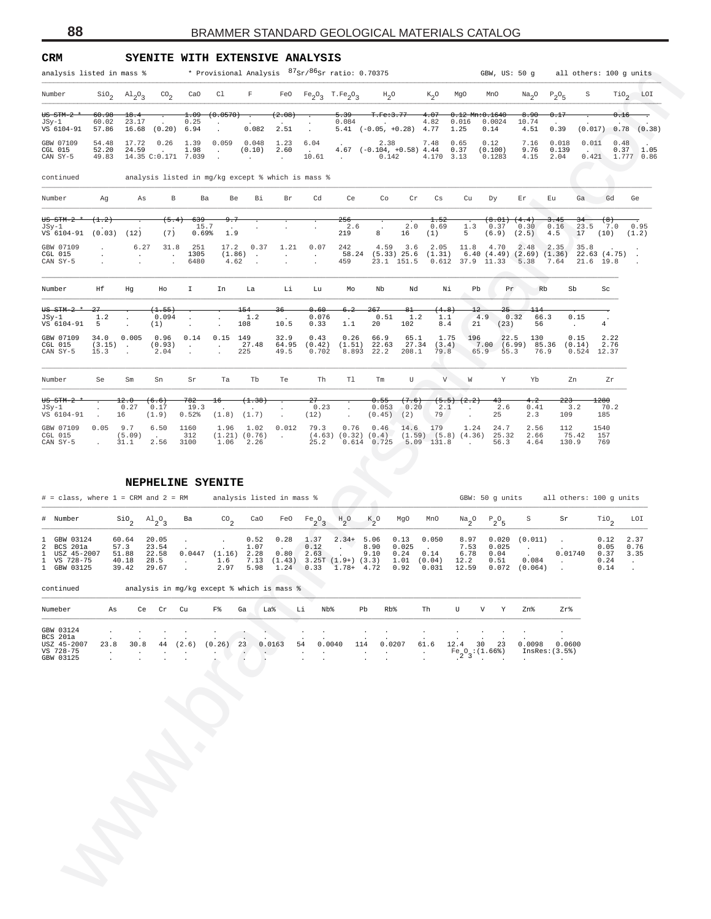| CRM                                                                     | SYENITE WITH EXTENSIVE ANALYSIS                                             |                                                                       |                                                      |                                                                          |                                                                                                                      |                             |                              |                                                                   |                                        |                                        |                                      |                                                  |                                               |                                                                           |                                                |
|-------------------------------------------------------------------------|-----------------------------------------------------------------------------|-----------------------------------------------------------------------|------------------------------------------------------|--------------------------------------------------------------------------|----------------------------------------------------------------------------------------------------------------------|-----------------------------|------------------------------|-------------------------------------------------------------------|----------------------------------------|----------------------------------------|--------------------------------------|--------------------------------------------------|-----------------------------------------------|---------------------------------------------------------------------------|------------------------------------------------|
| analysis listed in mass %                                               |                                                                             |                                                                       |                                                      | * Provisional Analysis <sup>87</sup> Sr/ <sup>86</sup> Sr ratio: 0.70375 |                                                                                                                      |                             |                              |                                                                   |                                        |                                        |                                      |                                                  |                                               | GBW, US: 50 g all others: 100 g units                                     |                                                |
| Number                                                                  | $\sin_2$ $\text{Al}_2\text{O}_3$<br>$\text{CO}_2$                           | CaO                                                                   | C1                                                   | F                                                                        | FeO $Fe_2O_3$ T.Fe <sub>2</sub> O <sub>3</sub>                                                                       |                             |                              | $H_2O$                                                            | $K_2O$                                 | MgO                                    | MnO                                  | Na <sub>2</sub> O                                | $P_2O_5$                                      | S                                                                         | $TiO2$ LOI                                     |
| <del>US STM-2</del><br>60.98<br>60.02<br>JSy-1                          | 18.4<br>23.17<br>$\sim 10^{-11}$                                            | 1.09<br>0.25                                                          | (0.0570)                                             | $\overline{\phantom{a}}$<br>$\sim$                                       | (2.08)<br>$\sim$                                                                                                     | $-5.39$<br>0.084            |                              | T.Fe:3.77<br><b>Contractor</b>                                    | $-4.07$<br>4.82                        | $0.12$ Mn: $0.1640$<br>0.016           | 0.0024                               | 8.90<br>10.74                                    | 0.17<br>$\sim$                                |                                                                           | 0.16                                           |
| VS 6104-91<br>57.86<br>GBW 07109<br>54.48                               | 16.68 (0.20) 6.94<br>17.72<br>0.26                                          | 1.39                                                                  | 0.059                                                | 0.082<br>0.048                                                           | 2.51<br>$\cdot$<br>1.23<br>6.04                                                                                      |                             |                              | $5.41$ (-0.05, +0.28) 4.77<br>2.38                                | 7.48                                   | 1.25<br>0.65                           | 0.14<br>0.12                         | 4.51<br>7.16                                     | 0.39<br>0.018                                 | $(0.017) - 0.78$ $(0.38)$<br>0.011                                        | 0.48                                           |
| 52.20<br>CGL 015<br>49.83<br>CAN SY-5                                   | 24.59<br><b>Contract</b><br>14.35 C:0.171 7.039                             | 1.98                                                                  | $\sim 100$<br>$\cdot$                                | (0.10)<br>$\sim$                                                         | 2.60<br><b>Contract Contract</b><br>10.61<br>$\sim$                                                                  |                             | <b>Contract Contract</b>     | $4.67$ (-0.104, +0.58) $4.44$<br>0.142                            | 4.170 3.13                             | 0.37                                   | (0.100)<br>0.1283                    | 9.76<br>4.15                                     | 0.139<br>2.04                                 | <b>Contract Contract Contract</b><br>$0.421$ 1.777 0.86                   | $0.37$ 1.05                                    |
| continued                                                               | analysis listed in mg/kg except % which is mass %                           |                                                                       |                                                      |                                                                          |                                                                                                                      |                             |                              |                                                                   |                                        |                                        |                                      |                                                  |                                               |                                                                           |                                                |
| Number<br>Ag                                                            | As<br>В                                                                     | Ba                                                                    | Be                                                   | Вi                                                                       | Br                                                                                                                   | Cd                          | Ce                           | Co<br>Cr                                                          | Сs                                     | Cu                                     | Dу                                   | Εr                                               | Eu                                            | Gd<br>Ga                                                                  | Ge                                             |
| $US$ $STM-2$<br>(1.2)                                                   | (5.4)                                                                       | 639                                                                   |                                                      |                                                                          |                                                                                                                      | <del>256</del>              |                              |                                                                   | 1.52                                   |                                        | (8.01)                               | (4.4)                                            | 3.45                                          | 34<br><del>(8)</del>                                                      |                                                |
| JSy-1<br>VS 6104-91<br>$(0.03)$ $(12)$                                  | (7)                                                                         | 15.7<br>0.69%                                                         | $\sim$<br>1.9                                        |                                                                          |                                                                                                                      | 219                         | 2.6<br>8                     | 2.0<br>16                                                         | 0.69<br>(1)                            | 1.3<br>5                               | 0.37<br>(6.9) (2.5)                  | 0.30                                             | 0.16<br>4.5                                   | 23.5<br>7.0<br>17<br>(10)                                                 | 0.95<br>(1.2)                                  |
| GBW 07109<br>CGL 015<br>CAN SY-5                                        | 31.8<br>6.27<br>$\sim$<br>$\ddot{\phantom{a}}$<br>$\cdot$<br>$\cdot$        | 251<br>1305<br>6480                                                   | 17.2<br>(1.86)<br>4.62                               | 0.37<br>$\sim$<br>$\cdot$                                                | 1.21<br>$\cdot$<br>$\sim$<br>$\cdot$<br>$\cdot$                                                                      | 0.07<br>242<br>459          |                              | 4.59 3.6<br>58.24 (5.33) 25.6 (1.31)<br>23.1 151.5                | 2.05                                   | 11.8                                   | 4.70<br>$0.612$ $37.9$ $11.33$       | 2.48<br>5.38                                     | 2.35<br>7.64                                  | 35.8<br>$6.40$ $(4.49)$ $(2.69)$ $(1.36)$ $22.63$ $(4.75)$ .<br>21.6 19.8 |                                                |
| Ηf<br>Number                                                            | Hg<br>Ho                                                                    | Ι.                                                                    | In                                                   | La                                                                       | Li                                                                                                                   | Lu                          | Мo                           | Nb<br>Nd                                                          | Νi                                     | Pb                                     | Pr                                   | Rb                                               | Sb                                            | Sc                                                                        |                                                |
| <del>US STM-2</del><br>1.2<br>JSy-1                                     | $(+.55)$<br>0.094<br>$\cdot$                                                | $\cdot$                                                               |                                                      | 154<br>1.2                                                               | <del>36</del><br>$\sim$                                                                                              | 0.60<br>0.076<br>$\sim$     | 6.2<br>267                   | $_{61}$<br>0.51<br>1.2                                            | (4.8)<br>1.1                           | $^{12}$                                | 25<br>4.9                            | 114<br>0.32<br>66.3                              | 0.15                                          | $\blacksquare$                                                            |                                                |
| VS 6104-91<br>5<br>GBW 07109<br>34.0                                    | (1)<br>$\cdot$<br>0.005<br>0.96                                             | $\cdot$<br>0.14                                                       | $\cdot$<br>0.15<br>149                               | 108                                                                      | 10.5<br>32.9                                                                                                         | 0.33<br>1.1<br>0.43         | 20<br>0.26                   | 102<br>66.9<br>65.1                                               | 8.4<br>1.75                            | 21<br>196                              | (23)<br>22.5                         | 56<br>130                                        | $\sim$<br>0.15                                | 4<br>2.22                                                                 |                                                |
| CGL 015<br>$(3.15)$ .<br>15.3<br>CAN SY-5                               | (0.93)<br>2.04<br>$\cdot$                                                   | $\sim$                                                                | $\sim 10^{-1}$<br>$\cdot$                            | 27.48<br>225                                                             | 64.95<br>49.5                                                                                                        | (0.42)<br>0.702             | $(1.51)$ 22.63<br>8.893 22.2 | 208.1                                                             | 27.34 (3.4)<br>79.8                    |                                        | 65.9<br>55.3                         | 7.00 (6.99) 85.36<br>76.9                        | (0.14)                                        | 2.76<br>$0.524$ 12.37                                                     |                                                |
| Number<br>Se                                                            | Sm<br>Sn                                                                    | Sr                                                                    | Ta                                                   | Tb                                                                       | Te                                                                                                                   | Th                          | Tl                           | U<br>Tm                                                           |                                        | V<br>W                                 | Y                                    | Yb                                               | Zn                                            | Ζr                                                                        |                                                |
| <del>US STM-2</del><br>JSy-1<br>VS 6104-91<br>$\cdot$                   | 12.0<br>(6.6)<br>0.27<br>0.17<br>(1.9)<br>16                                | 782<br>19.3<br>0.52%                                                  | $^{16}$<br>(1.8) (1.7)                               | (1.38)                                                                   | 27<br>(12)                                                                                                           | 0.23                        | $\cdot$                      | 0.55<br>(7.6)<br>0.053<br>0.20<br>$(0.45)$ (2)                    | 2.1<br>79                              | $(5.5)$ $(2.2)$<br>$\sim$              | 43<br>2.6<br>25                      | 4.2<br>0.41<br>2.3                               | 223<br>3.2<br>109                             | 1280<br>70.2<br>185                                                       |                                                |
| GBW 07109<br>0.05<br>CGL 015                                            | 9.7<br>6.50<br>(5.09)<br>$\sim$                                             | 1160<br>312                                                           | 1.96 1.02<br>(1.21) (0.76)                           |                                                                          | $\sim$<br>0.012<br>$\sim 10^{-11}$                                                                                   | 79.3                        | $\cdot$<br>0.76<br>0.46      | 14.6<br>$(4.63)$ $(0.32)$ $(0.4)$ $(1.59)$ $(5.8)$ $(4.36)$ 25.32 | 179                                    | 1.24                                   | 24.7                                 | 2.56<br>2.66                                     | 112<br>75.42                                  | 1540<br>157                                                               |                                                |
| CAN SY-5                                                                | 31.1<br>2.56                                                                | 3100                                                                  | 1.06                                                 | 2.26                                                                     |                                                                                                                      | 25.2                        |                              | $0.614$ $0.725$ $5.09$ $131.8$                                    |                                        | $\sim$                                 | 56.3                                 | 4.64                                             | 130.9                                         | 769                                                                       |                                                |
| $#$ = class, where $1$ = CRM and $2$ = RM<br># Number<br>GBW 03124<br>1 | NEPHELINE SYENITE<br>$\frac{\text{SiO}}{2}$<br>$A1_{2}O_{3}$<br>20.05       | Ba                                                                    | $^{CO}$ <sub>2</sub>                                 | analysis listed in mass %<br>CaO                                         | FeO<br>$Fe_2O_3$<br>0.28                                                                                             | $\mathrm{^{H}2^{O}}$        | $K_{2}^{\circ}$ O            | MgO                                                               | MnO<br>0.050                           | $\mathrm{Na}_2\mathrm{O}$              | GBW: 50 g units<br>$P_2O_5$<br>0.020 | S<br>(0.011)                                     | Sr                                            | all others: 100 g units<br>$\mathbb{T}^{10}$ <sub>2</sub>                 | LOI<br>2.37                                    |
| 2<br>BCS 201a<br>1 USZ 45-2007<br>1 VS 728-75<br>1 GBW 03125            | 60.64<br>57.3<br>23.54<br>22.58<br>51.88<br>40.18<br>28.5<br>29.67<br>39.42 | $\sim$<br>$\mathcal{A}^{\mathcal{A}}$ and $\mathcal{A}^{\mathcal{A}}$ | $\sim$<br>$0.0447$ $(1.16)$ 2.28<br>1.6<br>2.97 5.98 | 0.52<br>1.07                                                             | 1.37<br>0.12<br>$\overline{a}$<br>0.80<br>2.63<br>7.13 $(1.43)$ 3.25T $(1.9+)$ $(3.3)$<br>$1.24$ $0.33$ $1.78+$ 4.72 | $2.34+$<br>$\sim$<br>$\sim$ | 5.06<br>8.90<br>9.10         | 0.13<br>0.025<br>0.24<br>0.92                                     | $\sim$<br>0.14<br>1.01 (0.04)<br>0.031 | 8.97<br>7.53<br>6.78<br>12.2           | 0.025<br>0.04<br>0.51                | $\sim 10^{-1}$<br>0.084<br>12.59  0.072  (0.064) | $\sim$<br>0.01740<br>$\sim$<br>$\sim$         | 0.12<br>0.05<br>0.37<br>0.24<br>0.14                                      | 0.76<br>3.35<br>$\sim$<br>$\ddot{\phantom{1}}$ |
| continued                                                               | analysis in mg/kg except % which is mass %                                  |                                                                       |                                                      |                                                                          |                                                                                                                      |                             |                              |                                                                   |                                        |                                        |                                      |                                                  |                                               |                                                                           |                                                |
| Numeber<br>As                                                           | Ce<br>Cr                                                                    | Cu                                                                    | F%                                                   | Ga<br>La%                                                                | Li                                                                                                                   | Nb%                         | Pb                           | Rb%                                                               | Th                                     | U                                      | V<br>Υ                               | Zn%                                              | Zr%                                           |                                                                           |                                                |
| GBW 03124<br><b>BCS 201a</b><br>23.8<br>$\cdot$                         | 30.8<br>44<br>$\cdot$                                                       | (2.6)                                                                 | (0.26)<br>23                                         | 0.0163<br>$\sim$<br>$\cdot$                                              | 54<br>$\cdot$                                                                                                        | 0.0040                      | 114                          | 0.0207                                                            | $\cdot$<br>61.6<br>$\cdot$<br>$\cdot$  | 12.4<br>$F_{2}^{\circ}O_{3}$ : (1.66%) | 30<br>23                             | 0.0098<br>$\sim$                                 | $\cdot$<br>0.0600<br>InsRes: (3.5)<br>$\cdot$ |                                                                           |                                                |
| USZ 45-2007<br>VS 728-75<br>GBW 03125                                   |                                                                             |                                                                       |                                                      |                                                                          |                                                                                                                      |                             |                              |                                                                   |                                        |                                        |                                      |                                                  |                                               |                                                                           |                                                |

#### **NEPHELINE SYENITE**

| $#$ = class, where $1$ = CRM and $2$ = RM                                |                                          |                                             |        | analysis listed in mass % |      |                                                                                                |              |              |                                                         |                        |                                       | GBW: 50 q units                         |                                 | all others: 100 q units |                                      |                      |
|--------------------------------------------------------------------------|------------------------------------------|---------------------------------------------|--------|---------------------------|------|------------------------------------------------------------------------------------------------|--------------|--------------|---------------------------------------------------------|------------------------|---------------------------------------|-----------------------------------------|---------------------------------|-------------------------|--------------------------------------|----------------------|
| # Number                                                                 |                                          | $\sin$ <sub>2</sub> $\text{Al}_3\text{O}_3$ | Ba     | CO <sub>n</sub>           | CaO  |                                                                                                |              |              |                                                         |                        | FeOPe,O, HO KO MgO MnO Na,OP,O        |                                         | S                               | Sr                      | TiO <sub>c</sub>                     | LOI                  |
| 1 GBW 03124<br>2 BCS 201a<br>1 USZ 45-2007<br>1 VS 728-75<br>1 GBW 03125 | 60.64<br>57.3<br>51.88<br>40.18<br>39.42 | 20.05<br>23.54<br>22.58<br>28.5<br>29.67    | 0.0447 | 0.52<br>$(1.16)$ 2.28     | 1.07 | 0.28<br>$0.80$ 2.63<br>$1.6$ 7.13 (1.43) 3.25T (1.9+) (3.3) 1.01 (0.04)<br>2.97 5.98 1.24 0.33 | 1.37<br>0.12 | 8.90<br>9.10 | $2.34+5.06$ 0.13<br>0.025<br>0.24<br>$1.78 + 4.72 0.92$ | 0.050<br>0.14<br>0.031 | 8.97<br>7.53<br>6.78<br>12.2<br>12.59 | 0.020<br>0.025<br>0.04<br>0.51<br>0.072 | $(0.011)$ .<br>0.084<br>(0.064) | 0.01740                 | 0.12<br>0.05<br>0.37<br>0.24<br>0.14 | 2.37<br>0.76<br>3.35 |

| Numeber         | As   | Ce   | Cr | Cu     | F%      | Ga     | La%     | Li      | Nb <sup>8</sup> | Pb                       | Rb <sup>8</sup> | Th     | U      | $\overline{V}$   |     | Zn%    | Zr%           |
|-----------------|------|------|----|--------|---------|--------|---------|---------|-----------------|--------------------------|-----------------|--------|--------|------------------|-----|--------|---------------|
|                 |      |      |    |        |         |        |         |         |                 |                          |                 |        |        |                  |     |        |               |
| GBW 03124       |      |      |    | $\sim$ | $\cdot$ | $\sim$ |         |         | $\sim$          | $\overline{\phantom{a}}$ | $\sim$          | $\sim$ | $\sim$ |                  |     | $\sim$ |               |
| <b>BCS 201a</b> |      |      |    |        |         | $\sim$ | $\cdot$ | $\cdot$ |                 |                          |                 |        |        |                  |     |        |               |
| USZ 45-2007     | 23.8 | 30.8 | 44 | (2.6)  | (0.26)  | 23     | 0.0163  | 54      | 0.0040          | 114                      | 0.0207          | 61.6   | 12.4   | 30               | -23 | 0.0098 | 0.0600        |
| VS 728-75       |      |      |    |        |         |        | . .     |         |                 |                          |                 |        |        | $Fe_0$ : (1.66%) |     |        | InsRes: (3.5) |
| GBW 03125       |      |      |    |        | $\cdot$ |        |         |         |                 |                          |                 |        |        |                  |     |        |               |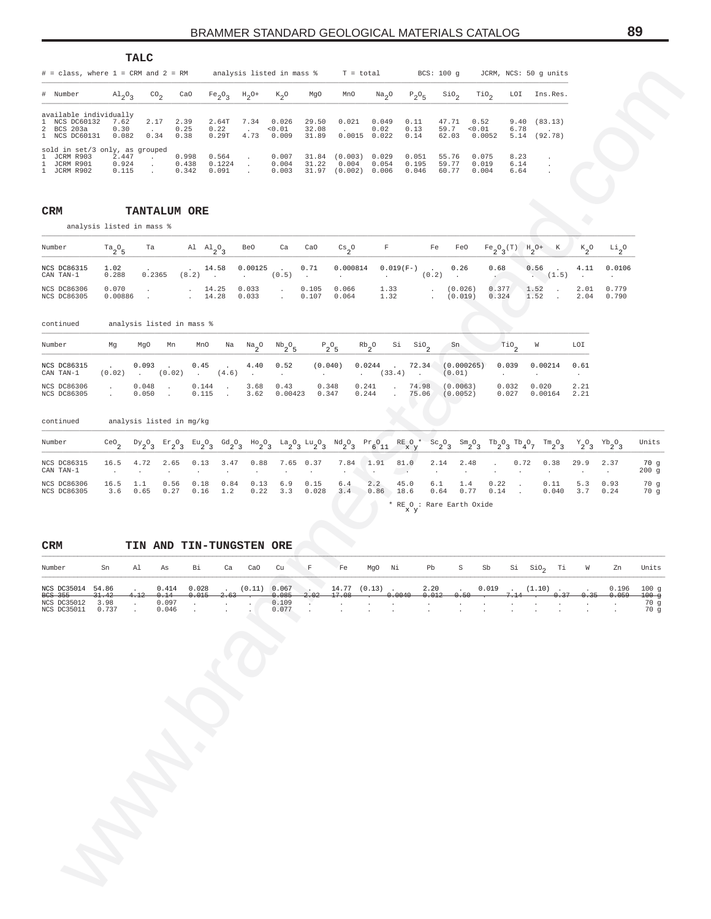|                                                                                   |                           | TALC                            |                                                            |                                                                |                                                |                                 |                                   |                         |                                         |                                    |                                 |                               |                                                                 |                         |                                                 |                                                                                                    |                        |                 |                                         |                                   |
|-----------------------------------------------------------------------------------|---------------------------|---------------------------------|------------------------------------------------------------|----------------------------------------------------------------|------------------------------------------------|---------------------------------|-----------------------------------|-------------------------|-----------------------------------------|------------------------------------|---------------------------------|-------------------------------|-----------------------------------------------------------------|-------------------------|-------------------------------------------------|----------------------------------------------------------------------------------------------------|------------------------|-----------------|-----------------------------------------|-----------------------------------|
| $#$ = class, where 1 = CRM and 2 = RM<br># Number                                 |                           |                                 |                                                            | CaO                                                            |                                                | analysis listed in mass %       |                                   |                         | MnO                                     | $T = total$                        |                                 | BCS: 100 g                    |                                                                 |                         | JCRM, NCS: 50 g units<br>LOI                    |                                                                                                    | Ins.Res.               |                 |                                         |                                   |
| available individually                                                            | $A1_{2}O_{3}$             |                                 | ${\rm co}_2$                                               |                                                                | Fe <sub>2</sub> O <sub>3</sub>                 | $H_2$ <sup>O+</sup>             | $k_2$ o                           | MgO                     |                                         | Na <sub>2</sub> O                  |                                 | $P_2O_5$                      | $\sin \theta_2$                                                 | TiO <sub>2</sub>        |                                                 |                                                                                                    |                        |                 |                                         |                                   |
| NCS DC60132<br>-1.<br>BCS 203a<br>2<br>1 NCS DC60131                              | 7.62<br>0.30<br>0.082     |                                 | 2.17<br>$\sim$<br>0.34                                     | 2.39<br>0.25<br>0.38                                           | 2.64T<br>0.22<br>0.29T                         | 7.34<br>$\sim$<br>4.73          | 0.026<br>0.01<br>0.009            | 29.50<br>32.08<br>31.89 | 0.021<br>$\cdot$                        | 0.049<br>0.02<br>$0.0015$ $0.022$  | 0.11<br>0.13<br>0.14            |                               | 47.71<br>59.7<br>62.03                                          | 0.52<br>0.01<br>0.0052  | 9.40<br>6.78<br>5.14                            |                                                                                                    | (83.13)<br>(92.78)     |                 |                                         |                                   |
| sold in set/3 only, as grouped<br>1<br>JCRM R903<br>JCRM R901<br>1<br>1 JCRM R902 | 2.447<br>0.924<br>0.115   | $\cdot$<br>$\cdot$<br>$\cdot$   |                                                            | 0.998<br>0.438<br>0.342                                        | 0.564<br>0.1224<br>0.091                       | $\cdot$<br>$\sim$<br>$\cdot$    | 0.007<br>0.004<br>0.003           | 31.84<br>31.22          | (0.003)<br>0.004<br>31.97 (0.002) 0.006 | 0.029<br>0.054                     |                                 | 0.051<br>0.195<br>0.046       | 55.76<br>59.77<br>60.77                                         | 0.075<br>0.019<br>0.004 | 8.23<br>6.14<br>6.64                            |                                                                                                    | $\cdot$                |                 |                                         |                                   |
| CRM                                                                               | analysis listed in mass % |                                 | <b>TANTALUM ORE</b>                                        |                                                                |                                                |                                 |                                   |                         |                                         |                                    |                                 |                               |                                                                 |                         |                                                 |                                                                                                    |                        |                 |                                         |                                   |
| Number                                                                            | $ra_2°_5$                 | Ta                              |                                                            |                                                                | Al $\mathrm{Al}_{2}$ <sup>O</sup> <sub>3</sub> | Be0                             | Ca                                | CaO                     | $^{\rm Cs}2^{\rm O}$                    | $\mathbf F$                        |                                 | Fe                            | FeO                                                             |                         | $Fe_2O_3(T)$ $H_2O^+$                           |                                                                                                    | К                      | $k_{2}^{\circ}$ | $\rm ^{Li}$ $\rm _2^O$                  |                                   |
| NCS DC86315<br>CAN TAN-1                                                          | 1.02<br>0.288             |                                 | 0.2365                                                     | (8.2)                                                          | 14.58<br>$\cdot$                               | 0.00125<br>$\ddot{\phantom{0}}$ | $\ddot{\phantom{a}}$<br>(0.5)     | 0.71<br>$\cdot$         | 0.000814                                | $\ddot{\phantom{a}}$               | $0.019(F-)$                     | (0.2)                         | 0.26<br>$\cdot$                                                 |                         | 0.68                                            | 0.56                                                                                               | $\sim$<br>(1.5)        | 4.11<br>$\cdot$ | 0.0106<br>$\cdot$                       |                                   |
| NCS DC86306<br>NCS DC86305                                                        | 0.070<br>0.00886          | $\cdot$                         |                                                            | $\ddot{\phantom{0}}$                                           | 14.25<br>14.28                                 | 0.033<br>0.033                  | $\cdot$<br>$\ddot{\phantom{a}}$   | 0.105<br>0.107          | 0.066<br>0.064                          | 1.33<br>1.32                       |                                 | $\cdot$<br>$\cdot$            | (0.026)<br>(0.019)                                              |                         | 0.377<br>0.324                                  | 1.52<br>1.52                                                                                       | $\ddot{\phantom{a}}$   | 2.01<br>2.04    | 0.779<br>0.790                          |                                   |
| continued                                                                         |                           |                                 | analysis listed in mass %                                  |                                                                |                                                |                                 |                                   |                         |                                         |                                    |                                 |                               |                                                                 |                         |                                                 |                                                                                                    |                        |                 |                                         |                                   |
| Number                                                                            | Mg                        | MgO                             | Mn                                                         | MnO                                                            | Na                                             | $\frac{Na}{2}$ <sup>O</sup>     | $^{\mathrm{Nb}} 2^{\mathrm{O}} 5$ |                         | $P_2O_5$                                | $\mathrm{Rb}_2^{\phantom{\dag}}$ 0 | Si                              | $\frac{\text{SiO}}{2}$        | Sn                                                              |                         | $\overline{10}$                                 | W                                                                                                  |                        | LOI             |                                         |                                   |
| NCS DC86315<br>CAN TAN-1                                                          | (0.02)                    | 0.093<br>$\ddot{\phantom{a}}$   | (0.02)                                                     | 0.45<br>$\cdot$                                                | (4.6)                                          | 4.40<br>$\cdot$                 | 0.52<br>$\cdot$                   | $\sim$                  | (0.040)                                 | 0.0244<br>$\sim$                   | $\ddot{\phantom{a}}$<br>(33.4)  | 72.34<br>$\ddot{\phantom{a}}$ | (0.000265)<br>(0.01)                                            |                         | 0.039<br>$\sim$                                 | $\cdot$                                                                                            | 0.00214                | 0.61<br>$\cdot$ |                                         |                                   |
| NCS DC86306<br>NCS DC86305                                                        | $\cdot$<br>$\cdot$        | 0.048<br>0.050                  | $\cdot$<br>$\ddot{\phantom{a}}$                            | 0.144<br>0.115                                                 | $\cdot$<br>$\ddot{\phantom{a}}$                | 3.68<br>3.62                    | 0.43<br>0.00423                   |                         | 0.348<br>0.347                          | 0.241<br>0.244                     | $\cdot$<br>$\ddot{\phantom{a}}$ | 74.98<br>75.06                | (0.0063)<br>(0.0052)                                            |                         | 0.032<br>0.027                                  |                                                                                                    | 0.020<br>0.00164       | 2.21<br>2.21    |                                         |                                   |
| continued                                                                         |                           |                                 | analysis listed in mg/kg                                   |                                                                |                                                |                                 |                                   |                         |                                         |                                    |                                 |                               |                                                                 |                         |                                                 |                                                                                                    |                        |                 |                                         |                                   |
| Number                                                                            | CeO <sub>2</sub>          | $\rm ^{DY}2^O_3$                | $\mathop{\rm Er}\nolimits_2^{\mathop{\rm {}O}\nolimits}$ 3 | $\text{Eu}_2\text{O}_3$                                        | $^{Gd}2^0$ 3                                   | $^{HO}2^{O}3$                   | $a_2^0a_3$                        | $\mu_{2}^{\text{u}}$    | $\mathrm{^{Nd}o_{2}o_{3}}$              | $Pr_{6}O_{11}$                     | RE O *<br>x y                   |                               | $\mathrm{Sc}_{2} \mathrm{O}_{3}$<br>$\mathrm{Sm}_2\mathrm{O}_3$ |                         | $^{\rm Tb}{}_{2}{}^{\rm O}{}_{3}$               | $\mathrm{^{Tb}q^{0}\gamma}$                                                                        | $\mathrm{Im_{2}O_{3}}$ | $Y_2O_3$        | $\rm{Yb}_{2}$ <sup>O</sup> <sub>3</sub> | Units                             |
| NCS DC86315<br>CAN TAN-1                                                          | 16.5<br>$\cdot$           | 4.72                            | 2.65<br>$\cdot$                                            | 0.13<br>$\cdot$                                                | 3.47<br>$\cdot$                                | 0.88<br>$\cdot$                 | 7.65<br>$\cdot$                   | 0.37<br>$\cdot$         | 7.84<br>$\cdot$                         | 1.91<br>$\cdot$                    | 81.0<br><b>College</b>          | 2.14<br>$\cdot$               | 2.48                                                            |                         |                                                 | 0.72                                                                                               | 0.38                   | 29.9<br>$\cdot$ | 2.37<br>$\sim$                          | 70 g<br>200g                      |
| NCS DC86306<br>NCS DC86305                                                        | 16.5<br>3.6               | 1.1<br>0.65                     | 0.56<br>0.27                                               | 0.18<br>0.16                                                   | 0.84<br>1.2                                    | 0.13<br>0.22                    | 6.9<br>3.3                        | 0.15<br>0.028           | 6.4<br>3.4                              | 2.2<br>0.86                        | 45.0<br>18.6<br>хy              | 6.1<br>0.64                   | 1.4<br>0.77<br>* RE O : Rare Earth Oxide                        |                         | 0.22<br>$\cdot$<br>0.14<br>$\ddot{\phantom{a}}$ |                                                                                                    | 0.11<br>0.040          | 5.3<br>3.7      | 0.93<br>0.24                            | 70g<br>70 g                       |
| <b>CRM</b>                                                                        |                           |                                 |                                                            |                                                                |                                                | TIN AND TIN-TUNGSTEN ORE        |                                   |                         |                                         |                                    |                                 |                               |                                                                 |                         |                                                 |                                                                                                    |                        |                 |                                         |                                   |
| Number                                                                            | Sn                        | Al                              | As                                                         | Вi                                                             | Ca                                             | CaO                             | Cu                                | F                       | Fe                                      | MgO                                | Νi                              | Pb                            | S                                                               | Sb                      | Si                                              | $\rm \scriptstyle \rm \scriptstyle \rm \scriptstyle \rm \scriptstyle \rm \scriptstyle \rm 510_{2}$ | Тi                     | W               | Zn                                      | Units                             |
| NCS DC35014 54.86<br>BCS 355<br>NCS DC35012<br>NCS DC35011                        | 31.42<br>3.98<br>0.737    | 4.12<br>$\sim$<br>$\mathcal{L}$ | 0.414<br>0.14<br>0.097<br>0.046                            | 0.028<br>0.015<br>$\ddot{\phantom{a}}$<br>$\ddot{\phantom{a}}$ | $\sim$<br>2.6.                                 | (0.11)                          | 0.067<br>0.085<br>0.109<br>0.077  | $\cdot$<br>2.02         | 17.08                                   | $14.77$ $(0.13)$ .                 | 0.0040                          | 2.20<br>0.012                 | $\ddot{\phantom{a}}$<br>0.50                                    | 0.019                   | $\sim$                                          |                                                                                                    | $(1.10)$ .<br>0.37     | 0.35            | 0.196<br>0.059                          | 100g<br>$100 - g$<br>70 g<br>70 g |
|                                                                                   |                           |                                 |                                                            |                                                                |                                                |                                 |                                   |                         |                                         |                                    |                                 |                               |                                                                 |                         |                                                 |                                                                                                    |                        |                 |                                         |                                   |
|                                                                                   |                           |                                 |                                                            |                                                                |                                                |                                 |                                   |                         |                                         |                                    |                                 |                               |                                                                 |                         |                                                 |                                                                                                    |                        |                 |                                         |                                   |
|                                                                                   |                           |                                 |                                                            |                                                                |                                                |                                 |                                   |                         |                                         |                                    |                                 |                               |                                                                 |                         |                                                 |                                                                                                    |                        |                 |                                         |                                   |
|                                                                                   |                           |                                 |                                                            |                                                                |                                                |                                 |                                   |                         |                                         |                                    |                                 |                               |                                                                 |                         |                                                 |                                                                                                    |                        |                 |                                         |                                   |
|                                                                                   |                           |                                 |                                                            |                                                                |                                                |                                 |                                   |                         |                                         |                                    |                                 |                               |                                                                 |                         |                                                 |                                                                                                    |                        |                 |                                         |                                   |
|                                                                                   |                           |                                 |                                                            |                                                                |                                                |                                 |                                   |                         |                                         |                                    |                                 |                               |                                                                 |                         |                                                 |                                                                                                    |                        |                 |                                         |                                   |
|                                                                                   |                           |                                 |                                                            |                                                                |                                                |                                 |                                   |                         |                                         |                                    |                                 |                               |                                                                 |                         |                                                 |                                                                                                    |                        |                 |                                         |                                   |
|                                                                                   |                           |                                 |                                                            |                                                                |                                                |                                 |                                   |                         |                                         |                                    |                                 |                               |                                                                 |                         |                                                 |                                                                                                    |                        |                 |                                         |                                   |
|                                                                                   |                           |                                 |                                                            |                                                                |                                                |                                 |                                   |                         |                                         |                                    |                                 |                               |                                                                 |                         |                                                 |                                                                                                    |                        |                 |                                         |                                   |
|                                                                                   |                           |                                 |                                                            |                                                                |                                                |                                 |                                   |                         |                                         |                                    |                                 |                               |                                                                 |                         |                                                 |                                                                                                    |                        |                 |                                         |                                   |
|                                                                                   |                           |                                 |                                                            |                                                                |                                                |                                 |                                   |                         |                                         |                                    |                                 |                               |                                                                 |                         |                                                 |                                                                                                    |                        |                 |                                         |                                   |

| Number                     | $Ta_{0}$ $Ta$    |        |                              |        |                | Al Al <sub>2</sub> O <sub>2</sub> BeO Ca CaO Cs <sub>2</sub> O F Fe FeO Fe <sub>2</sub> O <sub>2</sub> (T) H <sub>2</sub> O+ K K <sub>2</sub> O Li <sub>2</sub> O |              |                    |      |                                                   |  |       |
|----------------------------|------------------|--------|------------------------------|--------|----------------|-------------------------------------------------------------------------------------------------------------------------------------------------------------------|--------------|--------------------|------|---------------------------------------------------|--|-------|
| NCS DC86315<br>CAN TAN-1   | 1.02<br>0.288    | 0.2365 |                              |        |                | . . 14.58 0.00125 . 0.71 0.000814 0.019(F-) . 0.26<br>$(8.2)$ . $(0.5)$ $(0.2)$ $(1.5)$                                                                           |              |                    | 0.68 | $0.56$ . $4.11$ 0.0106                            |  |       |
| NCS DC86306<br>NCS DC86305 | 0.070<br>0.00886 |        | 14.25 0.033<br>$14.28$ 0.033 | $\sim$ | 0.105<br>0.107 | 0.066<br>0.064                                                                                                                                                    | 1.33<br>1.32 | (0.026)<br>(0.019) |      | $0.377$ 1.52 . 2.01 0.779<br>$0.324$ 1.52 $0.324$ |  | 0.790 |

| Number                     | Mq     | Mn<br>MgO       | MnO                                     | Na                                             | Na <sub>2</sub> O | $Nb_{2}O_{E}$   | $P_2O_R$       | $Rb_{0}$             | Si | SiO <sub>o</sub>       | Sn                   | Tio <sub>2</sub> | W                | LOI          |
|----------------------------|--------|-----------------|-----------------------------------------|------------------------------------------------|-------------------|-----------------|----------------|----------------------|----|------------------------|----------------------|------------------|------------------|--------------|
| NCS DC86315<br>CAN TAN-1   | (0.02) | 0.093<br>(0.02) | 0.45<br><b>Contract Contract Street</b> | <b>Contract Contract Contract</b><br>$(4.6)$ . | 4.40              | 0.52            | (0.040)        | $0.0244$ .<br>(33.4) |    | 72.34<br>$\sim$ $\sim$ | (0.000265)<br>(0.01) | 0.039            | 0.00214          | 0.61         |
| NCS DC86306<br>NCS DC86305 |        | 0.048<br>0.050  | 0.144<br>0.115                          |                                                | 3.68<br>3.62      | 0.43<br>0.00423 | 0.348<br>0.347 | 0.241<br>0.244       |    | 74.98<br>75.06         | (0.0063)<br>(0.0052) | 0.032<br>0.027   | 0.020<br>0.00164 | 2.21<br>2.21 |

| Number                     | CeO         | $DY_{0}Q_{1}$ | $Er_2O_2$    | $Eu_{2}O_{2}$ | $Gd_2O_2$   |              |            |                       |            | $^{H_0}2^0$ $^{La}2^0$ $^{Lu}2^0$ $^{Nd}2^0$ $^{Pr}611$ | $R_{X}^{\text{E}}$ 0 $*$         |             |             |              |      | ${}^{5c}2^{0}3$ ${}^{5m}2^{0}3$ ${}^{7b}2^{0}3$ ${}^{7b}4^{0}7$ ${}^{7m}2^{0}3$ |            | $Y_0$ , $Y_0$ , $Y_1$ | Units       |
|----------------------------|-------------|---------------|--------------|---------------|-------------|--------------|------------|-----------------------|------------|---------------------------------------------------------|----------------------------------|-------------|-------------|--------------|------|---------------------------------------------------------------------------------|------------|-----------------------|-------------|
| NCS DC86315<br>CAN TAN-1   | 16.5        | 4.72          | 2.65         | 0.13          | 3.47        | 0.88         | 7.65       | 0.37<br>$\sim$ $\sim$ | 7.84       | 1.91<br>$\sim$ $\sim$                                   | 81.0<br><b>Contract Contract</b> | 2.14        | 2.48        | $\sim$       | 0.72 | 0.38                                                                            | 29.9       | 2.37                  | 70g<br>200q |
| NCS DC86306<br>NCS DC86305 | 16.5<br>3.6 | 0.65          | 0.56<br>0.27 | 0.18<br>0.16  | 0.84<br>1.2 | 0.13<br>0.22 | 6.9<br>3.3 | 0.15<br>0.028         | 6.4<br>3.4 | 2.2<br>0.86                                             | 45.0<br>18.6                     | 6.1<br>0.64 | 1.4<br>0.77 | 0.22<br>0.14 |      | 0.11<br>0.040                                                                   | 5.3<br>3.7 | 0.93<br>0.24          | 70 g<br>70q |
|                            |             |               |              |               |             |              |            |                       |            |                                                         | * RE O : Rare Earth Oxide        |             |             |              |      |                                                                                 |            |                       |             |

#### **CRM TIN AND TIN-TUNGSTEN ORE**

| Number               | Sn | Al | <b>As</b> | Bi      |  | Ca CaO Cu F Fe |  |  | MgO Ni Pb S Sb Si SiO <sub>o</sub> Ti W                                                                         |  |  |  | Zn | Units |
|----------------------|----|----|-----------|---------|--|----------------|--|--|-----------------------------------------------------------------------------------------------------------------|--|--|--|----|-------|
| NCS DC35014 54.86 .  |    |    |           |         |  |                |  |  | $0.414$ $0.028$ . $(0.11)$ $0.067$ . $14.77$ $(0.13)$ . $2.20$ . $0.019$ . $(1.10)$ $0.196$ 100 q               |  |  |  |    |       |
| BCS 355 31.42        |    |    |           |         |  |                |  |  | $4.12$ 0.14 0.015 2.63 . 0.085 2.02 17.08 . 0.0040 0.012 0.50 . 7.14 . 0.37 0.35 0.059 100 q                    |  |  |  |    |       |
| NCS DC35012 3.98     |    |    |           | $0.097$ |  |                |  |  | $0.109$                                                                                                         |  |  |  |    | 70 q  |
| NCS DC35011  0.737 . |    |    |           |         |  | $0.077$ .      |  |  | the contract of the contract of the contract of the contract of the contract of the contract of the contract of |  |  |  |    | 70 q  |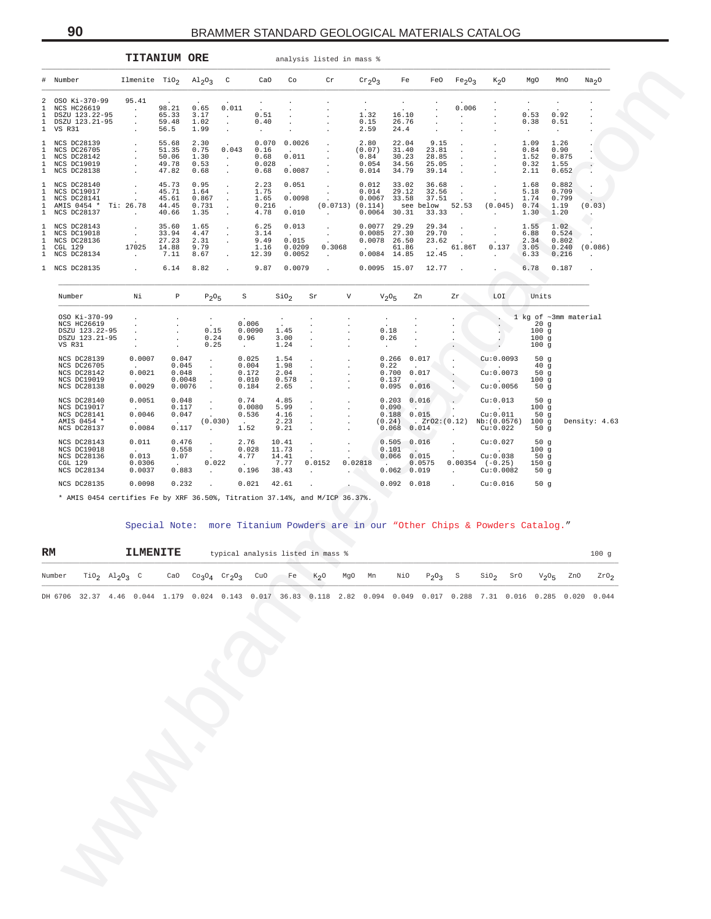| # Number<br>Ilmenite TiO <sub>2</sub><br>$\mathbb{C}$<br>Co<br>$\mathrm{Al}_2\mathrm{O}_3$<br>CaO<br>Cr<br>$\mathrm{cr}_2\mathrm{O}_3$<br>Fe<br>FeO<br>Fe <sub>2</sub> O <sub>3</sub><br>$K_{2}O$<br>MgO<br>MnO<br>Na <sub>2</sub> O<br>OSO Ki-370-99<br>95.41<br>2<br>98.21<br>0.011<br>NCS HC26619<br>0.65<br>0.006<br>1<br>$\cdot$<br>1.32<br>DSZU 123.22-95<br>65.33<br>3.17<br>0.51<br>16.10<br>0.53<br>0.92<br>1<br>$\cdot$<br>$\ddot{\phantom{a}}$<br>$\cdot$<br>$\mathbf{1}$<br>DSZU 123.21-95<br>59.48<br>1.02<br>0.40<br>0.15<br>26.76<br>0.38<br>0.51<br>$\cdot$<br>$\cdot$<br>$\mathbf{1}$<br>56.5<br>1.99<br>2.59<br>VS R31<br>24.4<br>$\cdot$<br>$\sim$<br>$\cdot$<br>$\cdot$<br>$\cdot$<br>$\ddot{\phantom{a}}$<br>1 NCS DC28139<br>55.68<br>2.30<br>0.070<br>0.0026<br>2.80<br>22.04<br>9.15<br>1.09<br>1.26<br>$\cdot$<br>$\ddot{\phantom{a}}$<br>$\cdot$<br>0.75<br>NCS DC26705<br>51.35<br>0.043<br>0.16<br>(0.07)<br>31.40<br>23.81<br>0.84<br>0.90<br>1<br>$\cdot$<br>$\blacksquare$<br>$\blacksquare$<br>$\mathbf{1}$<br>NCS DC28142<br>50.06<br>1.30<br>0.68<br>0.011<br>0.84<br>30.23<br>28.85<br>1.52<br>0.875<br>$\sim$<br>$\cdot$<br>$\blacksquare$<br>$\blacksquare$<br>$\cdot$<br>$\mathbf{1}$<br>NCS DC19019<br>49.78<br>0.53<br>0.028<br>0.054<br>34.56<br>25.05<br>0.32<br>1.55<br>$\cdot$<br>$\cdot$<br>$\cdot$<br>1 NCS DC28138<br>47.82<br>0.68<br>0.68<br>0.0087<br>0.014<br>34.79<br>39.14<br>0.652<br>2.11<br>$\cdot$<br>$\cdot$<br>$\cdot$<br>$\cdot$<br>NCS DC28140<br>45.73<br>0.95<br>2.23<br>0.051<br>0.012<br>33.02<br>36.68<br>1.68<br>0.882<br>$\mathbf{1}$<br>$\cdot$<br>$\cdot$<br>$\cdot$<br>45.71<br>29.12<br>NCS DC19017<br>1.64<br>1.75<br>0.014<br>32.56<br>5.18<br>0.709<br>1<br>$\cdot$<br>$\ddot{\phantom{a}}$<br>$\cdot$<br>$\sim$<br>$\mathbf{1}$<br>NCS DC28141<br>45.61<br>0.867<br>1.65<br>0.0098<br>0.0067<br>33.58<br>37.51<br>1.74<br>0.799<br>AMIS 0454 *<br>Ti: 26.78<br>44.45<br>0.731<br>0.216<br>(0.0713)<br>(0.114)<br>see below<br>52.53<br>(0.045)<br>0.74<br>1.19<br>(0.03)<br>1<br><b>Contract Contract</b><br>$\cdot$<br>1 NCS DC28137<br>40.66<br>1.35<br>4.78<br>0.010<br>0.0064<br>30.31<br>33.33<br>1.20<br>1.30<br>$\sim$<br>$\cdot$<br>$\sim$<br>$\sim$<br>1 NCS DC28143<br>35.60<br>1.65<br>6.25<br>0.013<br>0.0077<br>29.29<br>29.34<br>1.55<br>1.02<br>$\cdot$<br>$\cdot$<br>$\cdot$<br>$\cdot$<br>NCS DC19018<br>33.94<br>4.47<br>3.14<br>0.0085<br>27.30<br>29.70<br>6.88<br>0.524<br>1<br>$\cdot$<br>$\cdot$<br>$\sim$<br>$\sim$<br>$\cdot$<br>$\mathbf{1}$<br>NCS DC28136<br>27.23<br>2.31<br>9.49<br>0.015<br>0.0078<br>26.50<br>23.62<br>2.34<br>0.802<br>$\cdot$<br>17025<br>14.88<br>9.79<br>0.0209<br>0.3068<br>61.86<br>61.86T<br>0.137<br>3.05<br>0.240<br>(0.086)<br>1<br>CGL 129<br>1.16<br>$\sim$ $\sim$<br>$\mathbf{1}$<br>NCS DC28134<br>7.11<br>8.67<br>12.39<br>0.0052<br>0.0084 14.85<br>0.216<br>12.45<br>6.33<br>$\sim$<br>$\sim$<br>$\ddot{\phantom{a}}$<br>$\cdot$<br>1 NCS DC28135<br>6.14<br>8.82<br>9.87<br>0.0079<br>0.0095 15.07<br>12.77<br>6.78<br>0.187<br>$\overline{a}$<br>$\bullet$<br>$\blacksquare$<br>Νi<br>$\, {\mathbb P}$<br>SiO <sub>2</sub><br>V<br>LOI<br>Units<br>Number<br>$P_2O_5$<br>S<br>Sr<br>$V2$ <sup>O</sup> <sub>5</sub><br>Zn<br>Zr.<br>OSO Ki-370-99<br>1 kg of ~3mm material<br>$\cdot$<br>$\cdot$<br><b>NCS HC26619</b><br>0.006<br>20g<br>$\ddot{\phantom{a}}$<br>$\cdot$<br>$\mathbf{r}$<br>DSZU 123.22-95<br>0.15<br>0.0090<br>1.45<br>0.18<br>100g<br>$\cdot$<br>$\ddot{\phantom{a}}$<br>$\cdot$<br>$\cdot$<br>DSZU 123.21-95<br>0.24<br>0.96<br>3.00<br>0.26<br>100g<br>$\cdot$<br>$\cdot$<br>$\cdot$<br>$\blacksquare$<br>0.25<br>1.24<br>100g<br>VS R31<br>$\cdot$<br>$\cdot$<br>$\sim$<br>$\cdot$<br>$\sim$<br>NCS DC28139<br>0.0007<br>0.047<br>0.025<br>1.54<br>0.266<br>0.017<br>Cu:0.0093<br>50g<br>$\cdot$<br>$\cdot$<br>0.004<br>NCS DC26705<br>0.045<br>1.98<br>0.22<br>40g<br>$\cdot$<br>$\cdot$<br>Cu:0.0073<br>NCS DC28142<br>0.0021<br>0.048<br>0.172<br>2.04<br>0.700<br>0.017<br>50g<br>$\cdot$<br>$\blacksquare$<br>NCS DC19019<br>0.0048<br>0.010<br>0.578<br>100g<br>0.137<br>$\cdot$<br>$\cdot$<br>0.0029<br>NCS DC28138<br>0.0076<br>0.184<br>0.095<br>0.016<br>Cu:0.0056<br>50g<br>2.65<br>$\cdot$<br>$\cdot$<br>NCS DC28140<br>0.0051<br>0.048<br>0.74<br>4.85<br>0.203<br>0.016<br>Cu:0.013<br>50g<br>$\ddot{\phantom{a}}$<br>$\ddot{\phantom{a}}$<br>NCS DC19017<br>0.117<br>0.0080<br>5.99<br>0.090<br>100g<br>$\cdot$<br>$\cdot$<br>$\sim$<br>NCS DC28141<br>0.0046<br>0.047<br>0.536<br>4.16<br>0.188<br>0.015<br>Cu:0.011<br>50g<br>$\cdot$<br>AMIS 0454 *<br>(0.030)<br>2.23<br>. Zr02:(0.12)<br>Nb: (0.0576)<br>100g<br>Density: 4.63<br>(0.24)<br>$\sim$<br>$\cdot$<br>0.0084<br>NCS DC28137<br>0.117<br>1.52<br>9.21<br>0.068<br>0.014<br>Cu:0.022<br>50g<br>$\blacksquare$<br>$\cdot$<br>$\mathbf{r}$<br>NCS DC28143<br>0.011<br>0.476<br>2.76<br>10.41<br>0.505<br>0.016<br>Cu:0.027<br>50g<br>$\cdot$<br>$\cdot$<br>11.73<br>NCS DC19018<br>0.558<br>0.028<br>0.101<br>100g<br>$\sim$<br>$\cdot$<br>0.013<br>NCS DC28136<br>1.07<br>4.77<br>14.41<br>0.066<br>0.015<br>Cu:0.038<br>50g<br>CGL 129<br>0.0306<br>0.022<br>7.77<br>0.0152<br>0.02818<br>0.0575<br>$0.00354$ $(-0.25)$<br>150g<br>NCS DC28134<br>0.0037<br>0.883<br>0.196<br>0.062<br>0.019<br>Cu:0.0082<br>38.43<br>50 $g$<br>$\cdot$<br>$\cdot$<br>$\mathbf{r}$<br>$\ddot{\phantom{a}}$<br>NCS DC28135<br>0.0098<br>0.232<br>0.021<br>42.61<br>0.092<br>0.018<br>Cu:0.016<br>50g<br>$\ddot{\phantom{a}}$<br>$\ddot{\phantom{a}}$<br>* AMIS 0454 certifies Fe by XRF 36.50%, Titration 37.14%, and M/ICP 36.37%.<br>Special Note: more Titanium Powders are in our "Other Chips & Powders Catalog."<br>RM<br><b>ILMENITE</b><br>typical analysis listed in mass %<br>100g<br>Number<br>TiO <sub>2</sub><br>$A\perp$ <sub>2</sub> $O_3$<br>CaO<br>CO <sub>3</sub> O <sub>4</sub><br>$\mathrm{cr}_2\mathrm{O}_3$<br>CuO<br>Fe<br>$K_{2}O$<br>MgO<br>Mn<br>NiO<br>S10 <sub>2</sub><br>ZnO<br>2r0 <sub>2</sub><br>DH 6706 32.37 4.46 0.044 1.179 0.024 0.143 0.017 36.83 0.118 2.82 0.094 0.049 0.017 0.288 7.31 0.016 0.285 0.020 0.044 |  |  | <b>TITANIUM ORE</b> |  |  | analysis listed in mass % |  |  |  |  |
|-----------------------------------------------------------------------------------------------------------------------------------------------------------------------------------------------------------------------------------------------------------------------------------------------------------------------------------------------------------------------------------------------------------------------------------------------------------------------------------------------------------------------------------------------------------------------------------------------------------------------------------------------------------------------------------------------------------------------------------------------------------------------------------------------------------------------------------------------------------------------------------------------------------------------------------------------------------------------------------------------------------------------------------------------------------------------------------------------------------------------------------------------------------------------------------------------------------------------------------------------------------------------------------------------------------------------------------------------------------------------------------------------------------------------------------------------------------------------------------------------------------------------------------------------------------------------------------------------------------------------------------------------------------------------------------------------------------------------------------------------------------------------------------------------------------------------------------------------------------------------------------------------------------------------------------------------------------------------------------------------------------------------------------------------------------------------------------------------------------------------------------------------------------------------------------------------------------------------------------------------------------------------------------------------------------------------------------------------------------------------------------------------------------------------------------------------------------------------------------------------------------------------------------------------------------------------------------------------------------------------------------------------------------------------------------------------------------------------------------------------------------------------------------------------------------------------------------------------------------------------------------------------------------------------------------------------------------------------------------------------------------------------------------------------------------------------------------------------------------------------------------------------------------------------------------------------------------------------------------------------------------------------------------------------------------------------------------------------------------------------------------------------------------------------------------------------------------------------------------------------------------------------------------------------------------------------------------------------------------------------------------------------------------------------------------------------------------------------------------------------------------------------------------------------------------------------------------------------------------------------------------------------------------------------------------------------------------------------------------------------------------------------------------------------------------------------------------------------------------------------------------------------------------------------------------------------------------------------------------------------------------------------------------------------------------------------------------------------------------------------------------------------------------------------------------------------------------------------------------------------------------------------------------------------------------------------------------------------------------------------------------------------------------------------------------------------------------------------------------------------------------------------------------------------------------------------------------------------------------------------------------------------------------------------------------------------------------------------------------------------------------------------------------------------------------------------------------------------------------------------------------------------------------------------------------------------------------------------------------------------------------------------------------------------------------------------------------------------------------------------------------------------------------------------------------------------------------------------------------------------------------------------------------------------------------------------------------------------------------------------------------------------------------------------------------------------------------------------------------------------------------------------------------------------------------------------------------------------------------------------------------------------------------------------------------------------------------------------------------------------------------------------------------------------------------------------------------------------------------------------------------------------------------------------------------------|--|--|---------------------|--|--|---------------------------|--|--|--|--|
|                                                                                                                                                                                                                                                                                                                                                                                                                                                                                                                                                                                                                                                                                                                                                                                                                                                                                                                                                                                                                                                                                                                                                                                                                                                                                                                                                                                                                                                                                                                                                                                                                                                                                                                                                                                                                                                                                                                                                                                                                                                                                                                                                                                                                                                                                                                                                                                                                                                                                                                                                                                                                                                                                                                                                                                                                                                                                                                                                                                                                                                                                                                                                                                                                                                                                                                                                                                                                                                                                                                                                                                                                                                                                                                                                                                                                                                                                                                                                                                                                                                                                                                                                                                                                                                                                                                                                                                                                                                                                                                                                                                                                                                                                                                                                                                                                                                                                                                                                                                                                                                                                                                                                                                                                                                                                                                                                                                                                                                                                                                                                                                                                                                                                                                                                                                                                                                                                                                                                                                                                                                                                                                                                                                         |  |  |                     |  |  |                           |  |  |  |  |
|                                                                                                                                                                                                                                                                                                                                                                                                                                                                                                                                                                                                                                                                                                                                                                                                                                                                                                                                                                                                                                                                                                                                                                                                                                                                                                                                                                                                                                                                                                                                                                                                                                                                                                                                                                                                                                                                                                                                                                                                                                                                                                                                                                                                                                                                                                                                                                                                                                                                                                                                                                                                                                                                                                                                                                                                                                                                                                                                                                                                                                                                                                                                                                                                                                                                                                                                                                                                                                                                                                                                                                                                                                                                                                                                                                                                                                                                                                                                                                                                                                                                                                                                                                                                                                                                                                                                                                                                                                                                                                                                                                                                                                                                                                                                                                                                                                                                                                                                                                                                                                                                                                                                                                                                                                                                                                                                                                                                                                                                                                                                                                                                                                                                                                                                                                                                                                                                                                                                                                                                                                                                                                                                                                                         |  |  |                     |  |  |                           |  |  |  |  |
|                                                                                                                                                                                                                                                                                                                                                                                                                                                                                                                                                                                                                                                                                                                                                                                                                                                                                                                                                                                                                                                                                                                                                                                                                                                                                                                                                                                                                                                                                                                                                                                                                                                                                                                                                                                                                                                                                                                                                                                                                                                                                                                                                                                                                                                                                                                                                                                                                                                                                                                                                                                                                                                                                                                                                                                                                                                                                                                                                                                                                                                                                                                                                                                                                                                                                                                                                                                                                                                                                                                                                                                                                                                                                                                                                                                                                                                                                                                                                                                                                                                                                                                                                                                                                                                                                                                                                                                                                                                                                                                                                                                                                                                                                                                                                                                                                                                                                                                                                                                                                                                                                                                                                                                                                                                                                                                                                                                                                                                                                                                                                                                                                                                                                                                                                                                                                                                                                                                                                                                                                                                                                                                                                                                         |  |  |                     |  |  |                           |  |  |  |  |
|                                                                                                                                                                                                                                                                                                                                                                                                                                                                                                                                                                                                                                                                                                                                                                                                                                                                                                                                                                                                                                                                                                                                                                                                                                                                                                                                                                                                                                                                                                                                                                                                                                                                                                                                                                                                                                                                                                                                                                                                                                                                                                                                                                                                                                                                                                                                                                                                                                                                                                                                                                                                                                                                                                                                                                                                                                                                                                                                                                                                                                                                                                                                                                                                                                                                                                                                                                                                                                                                                                                                                                                                                                                                                                                                                                                                                                                                                                                                                                                                                                                                                                                                                                                                                                                                                                                                                                                                                                                                                                                                                                                                                                                                                                                                                                                                                                                                                                                                                                                                                                                                                                                                                                                                                                                                                                                                                                                                                                                                                                                                                                                                                                                                                                                                                                                                                                                                                                                                                                                                                                                                                                                                                                                         |  |  |                     |  |  |                           |  |  |  |  |
|                                                                                                                                                                                                                                                                                                                                                                                                                                                                                                                                                                                                                                                                                                                                                                                                                                                                                                                                                                                                                                                                                                                                                                                                                                                                                                                                                                                                                                                                                                                                                                                                                                                                                                                                                                                                                                                                                                                                                                                                                                                                                                                                                                                                                                                                                                                                                                                                                                                                                                                                                                                                                                                                                                                                                                                                                                                                                                                                                                                                                                                                                                                                                                                                                                                                                                                                                                                                                                                                                                                                                                                                                                                                                                                                                                                                                                                                                                                                                                                                                                                                                                                                                                                                                                                                                                                                                                                                                                                                                                                                                                                                                                                                                                                                                                                                                                                                                                                                                                                                                                                                                                                                                                                                                                                                                                                                                                                                                                                                                                                                                                                                                                                                                                                                                                                                                                                                                                                                                                                                                                                                                                                                                                                         |  |  |                     |  |  |                           |  |  |  |  |
|                                                                                                                                                                                                                                                                                                                                                                                                                                                                                                                                                                                                                                                                                                                                                                                                                                                                                                                                                                                                                                                                                                                                                                                                                                                                                                                                                                                                                                                                                                                                                                                                                                                                                                                                                                                                                                                                                                                                                                                                                                                                                                                                                                                                                                                                                                                                                                                                                                                                                                                                                                                                                                                                                                                                                                                                                                                                                                                                                                                                                                                                                                                                                                                                                                                                                                                                                                                                                                                                                                                                                                                                                                                                                                                                                                                                                                                                                                                                                                                                                                                                                                                                                                                                                                                                                                                                                                                                                                                                                                                                                                                                                                                                                                                                                                                                                                                                                                                                                                                                                                                                                                                                                                                                                                                                                                                                                                                                                                                                                                                                                                                                                                                                                                                                                                                                                                                                                                                                                                                                                                                                                                                                                                                         |  |  |                     |  |  |                           |  |  |  |  |
|                                                                                                                                                                                                                                                                                                                                                                                                                                                                                                                                                                                                                                                                                                                                                                                                                                                                                                                                                                                                                                                                                                                                                                                                                                                                                                                                                                                                                                                                                                                                                                                                                                                                                                                                                                                                                                                                                                                                                                                                                                                                                                                                                                                                                                                                                                                                                                                                                                                                                                                                                                                                                                                                                                                                                                                                                                                                                                                                                                                                                                                                                                                                                                                                                                                                                                                                                                                                                                                                                                                                                                                                                                                                                                                                                                                                                                                                                                                                                                                                                                                                                                                                                                                                                                                                                                                                                                                                                                                                                                                                                                                                                                                                                                                                                                                                                                                                                                                                                                                                                                                                                                                                                                                                                                                                                                                                                                                                                                                                                                                                                                                                                                                                                                                                                                                                                                                                                                                                                                                                                                                                                                                                                                                         |  |  |                     |  |  |                           |  |  |  |  |
|                                                                                                                                                                                                                                                                                                                                                                                                                                                                                                                                                                                                                                                                                                                                                                                                                                                                                                                                                                                                                                                                                                                                                                                                                                                                                                                                                                                                                                                                                                                                                                                                                                                                                                                                                                                                                                                                                                                                                                                                                                                                                                                                                                                                                                                                                                                                                                                                                                                                                                                                                                                                                                                                                                                                                                                                                                                                                                                                                                                                                                                                                                                                                                                                                                                                                                                                                                                                                                                                                                                                                                                                                                                                                                                                                                                                                                                                                                                                                                                                                                                                                                                                                                                                                                                                                                                                                                                                                                                                                                                                                                                                                                                                                                                                                                                                                                                                                                                                                                                                                                                                                                                                                                                                                                                                                                                                                                                                                                                                                                                                                                                                                                                                                                                                                                                                                                                                                                                                                                                                                                                                                                                                                                                         |  |  |                     |  |  |                           |  |  |  |  |
|                                                                                                                                                                                                                                                                                                                                                                                                                                                                                                                                                                                                                                                                                                                                                                                                                                                                                                                                                                                                                                                                                                                                                                                                                                                                                                                                                                                                                                                                                                                                                                                                                                                                                                                                                                                                                                                                                                                                                                                                                                                                                                                                                                                                                                                                                                                                                                                                                                                                                                                                                                                                                                                                                                                                                                                                                                                                                                                                                                                                                                                                                                                                                                                                                                                                                                                                                                                                                                                                                                                                                                                                                                                                                                                                                                                                                                                                                                                                                                                                                                                                                                                                                                                                                                                                                                                                                                                                                                                                                                                                                                                                                                                                                                                                                                                                                                                                                                                                                                                                                                                                                                                                                                                                                                                                                                                                                                                                                                                                                                                                                                                                                                                                                                                                                                                                                                                                                                                                                                                                                                                                                                                                                                                         |  |  |                     |  |  |                           |  |  |  |  |
|                                                                                                                                                                                                                                                                                                                                                                                                                                                                                                                                                                                                                                                                                                                                                                                                                                                                                                                                                                                                                                                                                                                                                                                                                                                                                                                                                                                                                                                                                                                                                                                                                                                                                                                                                                                                                                                                                                                                                                                                                                                                                                                                                                                                                                                                                                                                                                                                                                                                                                                                                                                                                                                                                                                                                                                                                                                                                                                                                                                                                                                                                                                                                                                                                                                                                                                                                                                                                                                                                                                                                                                                                                                                                                                                                                                                                                                                                                                                                                                                                                                                                                                                                                                                                                                                                                                                                                                                                                                                                                                                                                                                                                                                                                                                                                                                                                                                                                                                                                                                                                                                                                                                                                                                                                                                                                                                                                                                                                                                                                                                                                                                                                                                                                                                                                                                                                                                                                                                                                                                                                                                                                                                                                                         |  |  |                     |  |  |                           |  |  |  |  |
|                                                                                                                                                                                                                                                                                                                                                                                                                                                                                                                                                                                                                                                                                                                                                                                                                                                                                                                                                                                                                                                                                                                                                                                                                                                                                                                                                                                                                                                                                                                                                                                                                                                                                                                                                                                                                                                                                                                                                                                                                                                                                                                                                                                                                                                                                                                                                                                                                                                                                                                                                                                                                                                                                                                                                                                                                                                                                                                                                                                                                                                                                                                                                                                                                                                                                                                                                                                                                                                                                                                                                                                                                                                                                                                                                                                                                                                                                                                                                                                                                                                                                                                                                                                                                                                                                                                                                                                                                                                                                                                                                                                                                                                                                                                                                                                                                                                                                                                                                                                                                                                                                                                                                                                                                                                                                                                                                                                                                                                                                                                                                                                                                                                                                                                                                                                                                                                                                                                                                                                                                                                                                                                                                                                         |  |  |                     |  |  |                           |  |  |  |  |
|                                                                                                                                                                                                                                                                                                                                                                                                                                                                                                                                                                                                                                                                                                                                                                                                                                                                                                                                                                                                                                                                                                                                                                                                                                                                                                                                                                                                                                                                                                                                                                                                                                                                                                                                                                                                                                                                                                                                                                                                                                                                                                                                                                                                                                                                                                                                                                                                                                                                                                                                                                                                                                                                                                                                                                                                                                                                                                                                                                                                                                                                                                                                                                                                                                                                                                                                                                                                                                                                                                                                                                                                                                                                                                                                                                                                                                                                                                                                                                                                                                                                                                                                                                                                                                                                                                                                                                                                                                                                                                                                                                                                                                                                                                                                                                                                                                                                                                                                                                                                                                                                                                                                                                                                                                                                                                                                                                                                                                                                                                                                                                                                                                                                                                                                                                                                                                                                                                                                                                                                                                                                                                                                                                                         |  |  |                     |  |  |                           |  |  |  |  |
|                                                                                                                                                                                                                                                                                                                                                                                                                                                                                                                                                                                                                                                                                                                                                                                                                                                                                                                                                                                                                                                                                                                                                                                                                                                                                                                                                                                                                                                                                                                                                                                                                                                                                                                                                                                                                                                                                                                                                                                                                                                                                                                                                                                                                                                                                                                                                                                                                                                                                                                                                                                                                                                                                                                                                                                                                                                                                                                                                                                                                                                                                                                                                                                                                                                                                                                                                                                                                                                                                                                                                                                                                                                                                                                                                                                                                                                                                                                                                                                                                                                                                                                                                                                                                                                                                                                                                                                                                                                                                                                                                                                                                                                                                                                                                                                                                                                                                                                                                                                                                                                                                                                                                                                                                                                                                                                                                                                                                                                                                                                                                                                                                                                                                                                                                                                                                                                                                                                                                                                                                                                                                                                                                                                         |  |  |                     |  |  |                           |  |  |  |  |
|                                                                                                                                                                                                                                                                                                                                                                                                                                                                                                                                                                                                                                                                                                                                                                                                                                                                                                                                                                                                                                                                                                                                                                                                                                                                                                                                                                                                                                                                                                                                                                                                                                                                                                                                                                                                                                                                                                                                                                                                                                                                                                                                                                                                                                                                                                                                                                                                                                                                                                                                                                                                                                                                                                                                                                                                                                                                                                                                                                                                                                                                                                                                                                                                                                                                                                                                                                                                                                                                                                                                                                                                                                                                                                                                                                                                                                                                                                                                                                                                                                                                                                                                                                                                                                                                                                                                                                                                                                                                                                                                                                                                                                                                                                                                                                                                                                                                                                                                                                                                                                                                                                                                                                                                                                                                                                                                                                                                                                                                                                                                                                                                                                                                                                                                                                                                                                                                                                                                                                                                                                                                                                                                                                                         |  |  |                     |  |  |                           |  |  |  |  |
|                                                                                                                                                                                                                                                                                                                                                                                                                                                                                                                                                                                                                                                                                                                                                                                                                                                                                                                                                                                                                                                                                                                                                                                                                                                                                                                                                                                                                                                                                                                                                                                                                                                                                                                                                                                                                                                                                                                                                                                                                                                                                                                                                                                                                                                                                                                                                                                                                                                                                                                                                                                                                                                                                                                                                                                                                                                                                                                                                                                                                                                                                                                                                                                                                                                                                                                                                                                                                                                                                                                                                                                                                                                                                                                                                                                                                                                                                                                                                                                                                                                                                                                                                                                                                                                                                                                                                                                                                                                                                                                                                                                                                                                                                                                                                                                                                                                                                                                                                                                                                                                                                                                                                                                                                                                                                                                                                                                                                                                                                                                                                                                                                                                                                                                                                                                                                                                                                                                                                                                                                                                                                                                                                                                         |  |  |                     |  |  |                           |  |  |  |  |
|                                                                                                                                                                                                                                                                                                                                                                                                                                                                                                                                                                                                                                                                                                                                                                                                                                                                                                                                                                                                                                                                                                                                                                                                                                                                                                                                                                                                                                                                                                                                                                                                                                                                                                                                                                                                                                                                                                                                                                                                                                                                                                                                                                                                                                                                                                                                                                                                                                                                                                                                                                                                                                                                                                                                                                                                                                                                                                                                                                                                                                                                                                                                                                                                                                                                                                                                                                                                                                                                                                                                                                                                                                                                                                                                                                                                                                                                                                                                                                                                                                                                                                                                                                                                                                                                                                                                                                                                                                                                                                                                                                                                                                                                                                                                                                                                                                                                                                                                                                                                                                                                                                                                                                                                                                                                                                                                                                                                                                                                                                                                                                                                                                                                                                                                                                                                                                                                                                                                                                                                                                                                                                                                                                                         |  |  |                     |  |  |                           |  |  |  |  |
|                                                                                                                                                                                                                                                                                                                                                                                                                                                                                                                                                                                                                                                                                                                                                                                                                                                                                                                                                                                                                                                                                                                                                                                                                                                                                                                                                                                                                                                                                                                                                                                                                                                                                                                                                                                                                                                                                                                                                                                                                                                                                                                                                                                                                                                                                                                                                                                                                                                                                                                                                                                                                                                                                                                                                                                                                                                                                                                                                                                                                                                                                                                                                                                                                                                                                                                                                                                                                                                                                                                                                                                                                                                                                                                                                                                                                                                                                                                                                                                                                                                                                                                                                                                                                                                                                                                                                                                                                                                                                                                                                                                                                                                                                                                                                                                                                                                                                                                                                                                                                                                                                                                                                                                                                                                                                                                                                                                                                                                                                                                                                                                                                                                                                                                                                                                                                                                                                                                                                                                                                                                                                                                                                                                         |  |  |                     |  |  |                           |  |  |  |  |
|                                                                                                                                                                                                                                                                                                                                                                                                                                                                                                                                                                                                                                                                                                                                                                                                                                                                                                                                                                                                                                                                                                                                                                                                                                                                                                                                                                                                                                                                                                                                                                                                                                                                                                                                                                                                                                                                                                                                                                                                                                                                                                                                                                                                                                                                                                                                                                                                                                                                                                                                                                                                                                                                                                                                                                                                                                                                                                                                                                                                                                                                                                                                                                                                                                                                                                                                                                                                                                                                                                                                                                                                                                                                                                                                                                                                                                                                                                                                                                                                                                                                                                                                                                                                                                                                                                                                                                                                                                                                                                                                                                                                                                                                                                                                                                                                                                                                                                                                                                                                                                                                                                                                                                                                                                                                                                                                                                                                                                                                                                                                                                                                                                                                                                                                                                                                                                                                                                                                                                                                                                                                                                                                                                                         |  |  |                     |  |  |                           |  |  |  |  |
|                                                                                                                                                                                                                                                                                                                                                                                                                                                                                                                                                                                                                                                                                                                                                                                                                                                                                                                                                                                                                                                                                                                                                                                                                                                                                                                                                                                                                                                                                                                                                                                                                                                                                                                                                                                                                                                                                                                                                                                                                                                                                                                                                                                                                                                                                                                                                                                                                                                                                                                                                                                                                                                                                                                                                                                                                                                                                                                                                                                                                                                                                                                                                                                                                                                                                                                                                                                                                                                                                                                                                                                                                                                                                                                                                                                                                                                                                                                                                                                                                                                                                                                                                                                                                                                                                                                                                                                                                                                                                                                                                                                                                                                                                                                                                                                                                                                                                                                                                                                                                                                                                                                                                                                                                                                                                                                                                                                                                                                                                                                                                                                                                                                                                                                                                                                                                                                                                                                                                                                                                                                                                                                                                                                         |  |  |                     |  |  |                           |  |  |  |  |
|                                                                                                                                                                                                                                                                                                                                                                                                                                                                                                                                                                                                                                                                                                                                                                                                                                                                                                                                                                                                                                                                                                                                                                                                                                                                                                                                                                                                                                                                                                                                                                                                                                                                                                                                                                                                                                                                                                                                                                                                                                                                                                                                                                                                                                                                                                                                                                                                                                                                                                                                                                                                                                                                                                                                                                                                                                                                                                                                                                                                                                                                                                                                                                                                                                                                                                                                                                                                                                                                                                                                                                                                                                                                                                                                                                                                                                                                                                                                                                                                                                                                                                                                                                                                                                                                                                                                                                                                                                                                                                                                                                                                                                                                                                                                                                                                                                                                                                                                                                                                                                                                                                                                                                                                                                                                                                                                                                                                                                                                                                                                                                                                                                                                                                                                                                                                                                                                                                                                                                                                                                                                                                                                                                                         |  |  |                     |  |  |                           |  |  |  |  |

# Special Note: more Titanium Powders are in our "Other Chips & Powders Catalog."

| RM                                                                                                                                                                                                                 |  | <b>ILMENITE</b> |  | typical analysis listed in mass % |  |  |  |  |              | $100 \circ$      |
|--------------------------------------------------------------------------------------------------------------------------------------------------------------------------------------------------------------------|--|-----------------|--|-----------------------------------|--|--|--|--|--------------|------------------|
| Number TiO <sub>2</sub> Al <sub>2</sub> O <sub>3</sub> C CaO Co <sub>3</sub> O <sub>4</sub> Cr <sub>2</sub> O <sub>3</sub> CuO Fe K <sub>2</sub> O MgO Mn NiO P <sub>2</sub> O <sub>3</sub> S SiO <sub>2</sub> SrO |  |                 |  |                                   |  |  |  |  | $V_2O_F$ ZnO | ZrO <sub>2</sub> |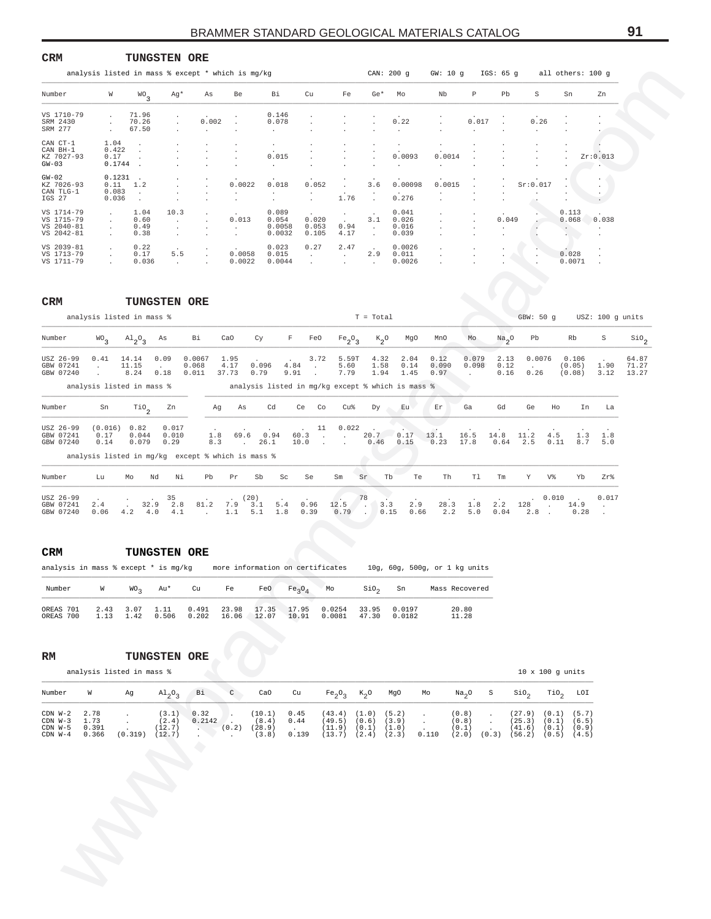| analysis listed in mass % except * which is mg/kg<br>CAN: 200 q<br>GW: 10 g IGS: 65 g all others: 100 g<br>P<br>Number<br>W<br>WO <sub>3</sub><br>Ag*<br>As<br>Be<br>Bi<br>Cu<br>Fe<br>$Ge*$<br>Mo<br>Nb<br>Pb<br>S<br>Sn<br>Zn<br>VS 1710-79<br>71.96<br>0.146<br>$\cdot$<br>70.26<br>0.002<br>0.078<br>0.22<br>0.017<br>0.26<br>SRM 2430<br>$\cdot$<br>SRM 277<br>67.50<br>$\cdot$<br>$\cdot$<br>$\cdot$<br>$\sim$<br>1.04<br>CAN CT-1<br>$\cdot$<br>0.422<br>CAN BH-1<br>$\cdot$<br>KZ 7027-93<br>0.17<br>0.015<br>0.0093<br>0.0014<br>Zr:0.013<br>0.1744<br>$GW-03$<br>$\sim$<br>$\mathbf{r}$<br>$\cdot$<br>$0.1231$ .<br>$GW-02$<br>KZ 7026-93<br>$0.11 \t 1.2$<br>0.0022<br>0.018<br>0.052<br>3.6<br>0.00098<br>0.0015<br>Sr:0.017<br>$\mathbf{r}$<br>0.083<br>CAN TLG-1<br>$\ddot{\phantom{a}}$<br>$\ddot{\phantom{a}}$<br>$\sim$<br>$\cdot$<br>$\ddot{\phantom{a}}$<br>IGS 27<br>0.036<br>1.76<br>0.276<br>$\cdot$ .<br>$\cdot$<br>$\ddot{\phantom{a}}$<br>$\ddot{\phantom{0}}$<br>$\cdot$<br>$\cdot$<br>VS 1714-79<br>10.3<br>0.089<br>0.041<br>0.113<br>1.04<br>$\cdot$<br>$\cdot$<br>VS 1715-79<br>0.60<br>0.013<br>0.054<br>0.020<br>3.1<br>0.026<br>0.049<br>0.068<br>0.038<br>$\sim$<br>$\cdot$<br>$\sim$<br>$\cdot$<br>VS 2040-81<br>0.49<br>0.053<br>0.94<br>0.016<br>0.0058<br>$\sim$<br>$\cdot$<br>$\cdot$<br>$\mathbf{r}$<br>$\ddot{\phantom{a}}$<br>VS 2042-81<br>4.17<br>0.38<br>0.0032<br>0.105<br>0.039<br>$\cdot$<br>$\ddot{\phantom{a}}$<br>$\ddot{\phantom{1}}$<br>VS 2039-81<br>0.22<br>0.023<br>0.27<br>2.47<br>0.0026<br>$\cdot$<br>VS 1713-79<br>0.17<br>0.0058<br>2.9<br>0.028<br>5.5<br>0.015<br>0.011<br>$\sim$<br>$\sim 10^{-11}$<br>$\cdot$<br>$\cdot$<br>VS 1711-79<br>0.036<br>0.0022<br>0.0044<br>0.0026<br>0.0071<br>$\sim$ $\sim$<br>$\ddot{\phantom{a}}$<br>$\cdot$<br>$\cdot$<br>$\cdot$<br>$\sim$<br>$\ddot{\phantom{1}}$<br>CRM<br><b>TUNGSTEN ORE</b><br>analysis listed in mass %<br>$T = Total$<br>GBW: 50 g USZ: 100 g units<br>Number<br>$WO\over 3$<br>$A1_{2}O_{3}$<br>As<br>Bi<br>CaO<br>F<br>FeO<br>$Fe_2O_3$<br>$\kappa_{2}$ o<br>MgO<br>MnO<br>Mo<br>$\mathrm{Na}_2$ <sup>O</sup><br>Pb<br>Rb<br>S<br>$\mathop{\rm {}so}\nolimits_2$<br>Сy<br>14.14<br>0.09<br>0.0067<br>1.95<br>3.72<br>5.59T<br>4.32<br>0.12<br>0.079<br>0.0076<br>0.106<br>USZ 26-99<br>0.41<br>2.04<br>2.13<br>64.87<br>GBW 07241<br>11.15<br>0.068<br>4.17<br>0.096<br>4.84<br>5.60<br>1.58<br>0.14<br>0.090<br>0.098<br>(0.05)<br>0.12<br>1.90<br>71.27<br>$\sim$<br>$\sim$<br>$\sim$<br>$\sim 10^{-11}$<br>GBW 07240<br>0.011<br>37.73<br>0.79<br>9.91<br>7.79<br>1.94<br>1.45<br>8.24<br>0.18<br>0.97<br>0.16<br>0.26<br>(0.08)<br>3.12<br>13.27<br>$\sim$<br>$\sim$<br>analysis listed in mass %<br>analysis listed in mg/kg except % which is mass %<br>Number<br>$\overline{110}$ <sub>2</sub><br>Zn<br>Cd<br>Ce Co<br>Cu%<br>Eu<br>Er<br>Ga<br>Gd<br>Ge<br>Ho<br>In<br>Sn<br>Ag<br>As<br>Dу<br>La<br>(0.016)<br>0.82<br>0.017<br>USZ 26-99<br>11<br>0.022<br>20.7<br>GBW 07241<br>0.17<br>0.044<br>0.010<br>1.8<br>69.6<br>0.94<br>0.17<br>13.1<br>4.5<br>60.3<br>16.5<br>14.8<br>11.2<br>1.3<br>1.8<br>$\overline{\phantom{a}}$<br><b>Contract Contract</b><br>GBW 07240<br>0.079<br>0.29<br>8.3<br>10.0<br>17.8<br>0.64<br>2.5<br>$0.11$ $8.7$<br>0.14<br>26.1<br>0.46<br>0.15<br>0.23<br>5.0<br>$\sim$ $\sim$<br>$\sim$<br><b>Service</b><br>analysis listed in mg/kg except % which is mass %<br>V%<br>Number<br>Lu<br>Nd<br>Νi<br>Pb<br>Pr<br>Sb<br>Sc<br>Se<br>Sm<br>Sr<br>Tb<br>Th<br>Tl<br>Tm<br>Y<br>Yb<br>Zr%<br>Mo<br>Te<br>USZ 26-99<br>78<br>$. \qquad 0 \ . \ 010 \qquad .$<br>0.017<br>35<br>(20)<br>$3.3$<br>$7.9$ $3.1$<br>5.4<br>12.5<br>2.9<br>GBW 07241<br>2.4<br>32.9 2.8 81.2<br>0.96<br>$\begin{array}{cc} 12.5 \\ 0.79 \end{array}$<br>28.3<br>1.8<br>2.2<br>128<br>. 14.9<br>$\sim$<br>0.06<br>$4.2$ $4.0$ $4.1$<br>$1.1 \t 5.1$<br>1.8<br>0.39<br>0.15<br>0.66<br>2.2<br>5.0<br>0.04<br>$2.8$ 0.28<br>GBW 07240<br><b>Contract Contract</b><br>$\ddot{\phantom{a}}$<br>CRM<br><b>TUNGSTEN ORE</b><br>analysis in mass % except * is mg/kg<br>more information on certificates<br>10g, 60g, 500g, or 1 kg units<br>$SIO_{2}$<br>Number<br>W<br>WO <sub>3</sub><br>Au*<br>Cu<br>Fe<br>FeO<br>Fe <sub>3</sub> O <sub>4</sub><br>Mo<br>Sn<br>Mass Recovered<br>OREAS 701<br>2.43<br>3.07<br>1.11<br>0.491<br>23.98<br>17.35<br>17.95<br>0.0254<br>33.95<br>0.0197<br>20.80<br>12.07<br>OREAS 700<br>1.13<br>1.42<br>0.506<br>0.202<br>16.06<br>10.91<br>0.0081<br>47.30<br>0.0182<br>11.28<br>TUNGSTEN ORE<br>RM<br>analysis listed in mass %<br>$10 \times 100$ g units<br>Number<br>$A1_2O_3$<br>Bi<br>C<br>CaO<br>Na <sub>2</sub> O<br>TiO <sub>2</sub><br>LOI<br>W<br>Cu<br>Fe <sub>2</sub> O <sub>3</sub><br>$K_2$ O<br>MgO<br>Mo<br>S<br>$\sin \theta_2$<br>Ag<br>$CDN$ $W-2$<br>2.78<br>0.32<br>(10.1)<br>(43.4) (1.0)<br>(0.1)<br>(3.1)<br>0.45<br>(5.2)<br>(0.8)<br>(27.9)<br>(5.7)<br>$\cdot$<br>$\ddot{\phantom{1}}$<br>$\cdot$<br>$\cdot$<br>1.73<br>$CDN$ $W-3$<br>(2.4)<br>0.2142<br>(8.4)<br>0.44<br>(49.5)<br>(0.6)<br>(3.9)<br>(0.8)<br>(25.3)<br>(0.1)<br>(6.5)<br>$\ddot{\phantom{a}}$<br>$\cdot$<br>$\ddot{\phantom{a}}$<br>$\cdot$<br>$CDN$ $W-5$<br>0.391<br>(12.7)<br>$(0.2)$ $(28.9)$<br>(11.9) (0.1)<br>(1.0)<br>(41.6)<br>(0.1)<br>(0.1)<br>(0.9)<br>ha s<br>$\sim$<br>i.<br>$CDN$ $W-4$<br>0.366<br>$(0.319)$ $(12.7)$<br>0.139<br>$(13.7)$ $(2.4)$ $(2.3)$<br>0.110<br>$(2.0)$ $(0.3)$ $(56.2)$ $(0.5)$ $(4.5)$<br>(3.8)<br>$\sim$<br>$\blacksquare$ | CRM | <b>TUNGSTEN ORE</b> |   |  |  |  |  |  |  |  |
|-------------------------------------------------------------------------------------------------------------------------------------------------------------------------------------------------------------------------------------------------------------------------------------------------------------------------------------------------------------------------------------------------------------------------------------------------------------------------------------------------------------------------------------------------------------------------------------------------------------------------------------------------------------------------------------------------------------------------------------------------------------------------------------------------------------------------------------------------------------------------------------------------------------------------------------------------------------------------------------------------------------------------------------------------------------------------------------------------------------------------------------------------------------------------------------------------------------------------------------------------------------------------------------------------------------------------------------------------------------------------------------------------------------------------------------------------------------------------------------------------------------------------------------------------------------------------------------------------------------------------------------------------------------------------------------------------------------------------------------------------------------------------------------------------------------------------------------------------------------------------------------------------------------------------------------------------------------------------------------------------------------------------------------------------------------------------------------------------------------------------------------------------------------------------------------------------------------------------------------------------------------------------------------------------------------------------------------------------------------------------------------------------------------------------------------------------------------------------------------------------------------------------------------------------------------------------------------------------------------------------------------------------------------------------------------------------------------------------------------------------------------------------------------------------------------------------------------------------------------------------------------------------------------------------------------------------------------------------------------------------------------------------------------------------------------------------------------------------------------------------------------------------------------------------------------------------------------------------------------------------------------------------------------------------------------------------------------------------------------------------------------------------------------------------------------------------------------------------------------------------------------------------------------------------------------------------------------------------------------------------------------------------------------------------------------------------------------------------------------------------------------------------------------------------------------------------------------------------------------------------------------------------------------------------------------------------------------------------------------------------------------------------------------------------------------------------------------------------------------------------------------------------------------------------------------------------------------------------------------------------------------------------------------------------------------------------------------------------------------------------------------------------------------------------------------------------------------------------------------------------------------------------------------------------------------------------------------------------------------------------------------------------------------------------------------------------------------------------------------------------------------------------------------------------------------------------------------------------------------------------------------------------------------------------------------------------------------------------------------------------------------------------------------------------------------------------------------------------------------------------------------------------------------------------------------------------------------------------------------------------------------------------------------------------------------------------------------------------------------------------------------------------------------------------------------------------------------------------------------------------------------------------------------------|-----|---------------------|---|--|--|--|--|--|--|--|
|                                                                                                                                                                                                                                                                                                                                                                                                                                                                                                                                                                                                                                                                                                                                                                                                                                                                                                                                                                                                                                                                                                                                                                                                                                                                                                                                                                                                                                                                                                                                                                                                                                                                                                                                                                                                                                                                                                                                                                                                                                                                                                                                                                                                                                                                                                                                                                                                                                                                                                                                                                                                                                                                                                                                                                                                                                                                                                                                                                                                                                                                                                                                                                                                                                                                                                                                                                                                                                                                                                                                                                                                                                                                                                                                                                                                                                                                                                                                                                                                                                                                                                                                                                                                                                                                                                                                                                                                                                                                                                                                                                                                                                                                                                                                                                                                                                                                                                                                                                                                                                                                                                                                                                                                                                                                                                                                                                                                                                                                                                                                           |     |                     |   |  |  |  |  |  |  |  |
|                                                                                                                                                                                                                                                                                                                                                                                                                                                                                                                                                                                                                                                                                                                                                                                                                                                                                                                                                                                                                                                                                                                                                                                                                                                                                                                                                                                                                                                                                                                                                                                                                                                                                                                                                                                                                                                                                                                                                                                                                                                                                                                                                                                                                                                                                                                                                                                                                                                                                                                                                                                                                                                                                                                                                                                                                                                                                                                                                                                                                                                                                                                                                                                                                                                                                                                                                                                                                                                                                                                                                                                                                                                                                                                                                                                                                                                                                                                                                                                                                                                                                                                                                                                                                                                                                                                                                                                                                                                                                                                                                                                                                                                                                                                                                                                                                                                                                                                                                                                                                                                                                                                                                                                                                                                                                                                                                                                                                                                                                                                                           |     |                     |   |  |  |  |  |  |  |  |
|                                                                                                                                                                                                                                                                                                                                                                                                                                                                                                                                                                                                                                                                                                                                                                                                                                                                                                                                                                                                                                                                                                                                                                                                                                                                                                                                                                                                                                                                                                                                                                                                                                                                                                                                                                                                                                                                                                                                                                                                                                                                                                                                                                                                                                                                                                                                                                                                                                                                                                                                                                                                                                                                                                                                                                                                                                                                                                                                                                                                                                                                                                                                                                                                                                                                                                                                                                                                                                                                                                                                                                                                                                                                                                                                                                                                                                                                                                                                                                                                                                                                                                                                                                                                                                                                                                                                                                                                                                                                                                                                                                                                                                                                                                                                                                                                                                                                                                                                                                                                                                                                                                                                                                                                                                                                                                                                                                                                                                                                                                                                           |     |                     |   |  |  |  |  |  |  |  |
|                                                                                                                                                                                                                                                                                                                                                                                                                                                                                                                                                                                                                                                                                                                                                                                                                                                                                                                                                                                                                                                                                                                                                                                                                                                                                                                                                                                                                                                                                                                                                                                                                                                                                                                                                                                                                                                                                                                                                                                                                                                                                                                                                                                                                                                                                                                                                                                                                                                                                                                                                                                                                                                                                                                                                                                                                                                                                                                                                                                                                                                                                                                                                                                                                                                                                                                                                                                                                                                                                                                                                                                                                                                                                                                                                                                                                                                                                                                                                                                                                                                                                                                                                                                                                                                                                                                                                                                                                                                                                                                                                                                                                                                                                                                                                                                                                                                                                                                                                                                                                                                                                                                                                                                                                                                                                                                                                                                                                                                                                                                                           |     |                     |   |  |  |  |  |  |  |  |
|                                                                                                                                                                                                                                                                                                                                                                                                                                                                                                                                                                                                                                                                                                                                                                                                                                                                                                                                                                                                                                                                                                                                                                                                                                                                                                                                                                                                                                                                                                                                                                                                                                                                                                                                                                                                                                                                                                                                                                                                                                                                                                                                                                                                                                                                                                                                                                                                                                                                                                                                                                                                                                                                                                                                                                                                                                                                                                                                                                                                                                                                                                                                                                                                                                                                                                                                                                                                                                                                                                                                                                                                                                                                                                                                                                                                                                                                                                                                                                                                                                                                                                                                                                                                                                                                                                                                                                                                                                                                                                                                                                                                                                                                                                                                                                                                                                                                                                                                                                                                                                                                                                                                                                                                                                                                                                                                                                                                                                                                                                                                           |     |                     |   |  |  |  |  |  |  |  |
|                                                                                                                                                                                                                                                                                                                                                                                                                                                                                                                                                                                                                                                                                                                                                                                                                                                                                                                                                                                                                                                                                                                                                                                                                                                                                                                                                                                                                                                                                                                                                                                                                                                                                                                                                                                                                                                                                                                                                                                                                                                                                                                                                                                                                                                                                                                                                                                                                                                                                                                                                                                                                                                                                                                                                                                                                                                                                                                                                                                                                                                                                                                                                                                                                                                                                                                                                                                                                                                                                                                                                                                                                                                                                                                                                                                                                                                                                                                                                                                                                                                                                                                                                                                                                                                                                                                                                                                                                                                                                                                                                                                                                                                                                                                                                                                                                                                                                                                                                                                                                                                                                                                                                                                                                                                                                                                                                                                                                                                                                                                                           |     |                     |   |  |  |  |  |  |  |  |
|                                                                                                                                                                                                                                                                                                                                                                                                                                                                                                                                                                                                                                                                                                                                                                                                                                                                                                                                                                                                                                                                                                                                                                                                                                                                                                                                                                                                                                                                                                                                                                                                                                                                                                                                                                                                                                                                                                                                                                                                                                                                                                                                                                                                                                                                                                                                                                                                                                                                                                                                                                                                                                                                                                                                                                                                                                                                                                                                                                                                                                                                                                                                                                                                                                                                                                                                                                                                                                                                                                                                                                                                                                                                                                                                                                                                                                                                                                                                                                                                                                                                                                                                                                                                                                                                                                                                                                                                                                                                                                                                                                                                                                                                                                                                                                                                                                                                                                                                                                                                                                                                                                                                                                                                                                                                                                                                                                                                                                                                                                                                           |     |                     |   |  |  |  |  |  |  |  |
|                                                                                                                                                                                                                                                                                                                                                                                                                                                                                                                                                                                                                                                                                                                                                                                                                                                                                                                                                                                                                                                                                                                                                                                                                                                                                                                                                                                                                                                                                                                                                                                                                                                                                                                                                                                                                                                                                                                                                                                                                                                                                                                                                                                                                                                                                                                                                                                                                                                                                                                                                                                                                                                                                                                                                                                                                                                                                                                                                                                                                                                                                                                                                                                                                                                                                                                                                                                                                                                                                                                                                                                                                                                                                                                                                                                                                                                                                                                                                                                                                                                                                                                                                                                                                                                                                                                                                                                                                                                                                                                                                                                                                                                                                                                                                                                                                                                                                                                                                                                                                                                                                                                                                                                                                                                                                                                                                                                                                                                                                                                                           |     |                     |   |  |  |  |  |  |  |  |
|                                                                                                                                                                                                                                                                                                                                                                                                                                                                                                                                                                                                                                                                                                                                                                                                                                                                                                                                                                                                                                                                                                                                                                                                                                                                                                                                                                                                                                                                                                                                                                                                                                                                                                                                                                                                                                                                                                                                                                                                                                                                                                                                                                                                                                                                                                                                                                                                                                                                                                                                                                                                                                                                                                                                                                                                                                                                                                                                                                                                                                                                                                                                                                                                                                                                                                                                                                                                                                                                                                                                                                                                                                                                                                                                                                                                                                                                                                                                                                                                                                                                                                                                                                                                                                                                                                                                                                                                                                                                                                                                                                                                                                                                                                                                                                                                                                                                                                                                                                                                                                                                                                                                                                                                                                                                                                                                                                                                                                                                                                                                           |     |                     |   |  |  |  |  |  |  |  |
|                                                                                                                                                                                                                                                                                                                                                                                                                                                                                                                                                                                                                                                                                                                                                                                                                                                                                                                                                                                                                                                                                                                                                                                                                                                                                                                                                                                                                                                                                                                                                                                                                                                                                                                                                                                                                                                                                                                                                                                                                                                                                                                                                                                                                                                                                                                                                                                                                                                                                                                                                                                                                                                                                                                                                                                                                                                                                                                                                                                                                                                                                                                                                                                                                                                                                                                                                                                                                                                                                                                                                                                                                                                                                                                                                                                                                                                                                                                                                                                                                                                                                                                                                                                                                                                                                                                                                                                                                                                                                                                                                                                                                                                                                                                                                                                                                                                                                                                                                                                                                                                                                                                                                                                                                                                                                                                                                                                                                                                                                                                                           |     |                     |   |  |  |  |  |  |  |  |
|                                                                                                                                                                                                                                                                                                                                                                                                                                                                                                                                                                                                                                                                                                                                                                                                                                                                                                                                                                                                                                                                                                                                                                                                                                                                                                                                                                                                                                                                                                                                                                                                                                                                                                                                                                                                                                                                                                                                                                                                                                                                                                                                                                                                                                                                                                                                                                                                                                                                                                                                                                                                                                                                                                                                                                                                                                                                                                                                                                                                                                                                                                                                                                                                                                                                                                                                                                                                                                                                                                                                                                                                                                                                                                                                                                                                                                                                                                                                                                                                                                                                                                                                                                                                                                                                                                                                                                                                                                                                                                                                                                                                                                                                                                                                                                                                                                                                                                                                                                                                                                                                                                                                                                                                                                                                                                                                                                                                                                                                                                                                           |     |                     |   |  |  |  |  |  |  |  |
|                                                                                                                                                                                                                                                                                                                                                                                                                                                                                                                                                                                                                                                                                                                                                                                                                                                                                                                                                                                                                                                                                                                                                                                                                                                                                                                                                                                                                                                                                                                                                                                                                                                                                                                                                                                                                                                                                                                                                                                                                                                                                                                                                                                                                                                                                                                                                                                                                                                                                                                                                                                                                                                                                                                                                                                                                                                                                                                                                                                                                                                                                                                                                                                                                                                                                                                                                                                                                                                                                                                                                                                                                                                                                                                                                                                                                                                                                                                                                                                                                                                                                                                                                                                                                                                                                                                                                                                                                                                                                                                                                                                                                                                                                                                                                                                                                                                                                                                                                                                                                                                                                                                                                                                                                                                                                                                                                                                                                                                                                                                                           |     |                     |   |  |  |  |  |  |  |  |
|                                                                                                                                                                                                                                                                                                                                                                                                                                                                                                                                                                                                                                                                                                                                                                                                                                                                                                                                                                                                                                                                                                                                                                                                                                                                                                                                                                                                                                                                                                                                                                                                                                                                                                                                                                                                                                                                                                                                                                                                                                                                                                                                                                                                                                                                                                                                                                                                                                                                                                                                                                                                                                                                                                                                                                                                                                                                                                                                                                                                                                                                                                                                                                                                                                                                                                                                                                                                                                                                                                                                                                                                                                                                                                                                                                                                                                                                                                                                                                                                                                                                                                                                                                                                                                                                                                                                                                                                                                                                                                                                                                                                                                                                                                                                                                                                                                                                                                                                                                                                                                                                                                                                                                                                                                                                                                                                                                                                                                                                                                                                           |     |                     |   |  |  |  |  |  |  |  |
|                                                                                                                                                                                                                                                                                                                                                                                                                                                                                                                                                                                                                                                                                                                                                                                                                                                                                                                                                                                                                                                                                                                                                                                                                                                                                                                                                                                                                                                                                                                                                                                                                                                                                                                                                                                                                                                                                                                                                                                                                                                                                                                                                                                                                                                                                                                                                                                                                                                                                                                                                                                                                                                                                                                                                                                                                                                                                                                                                                                                                                                                                                                                                                                                                                                                                                                                                                                                                                                                                                                                                                                                                                                                                                                                                                                                                                                                                                                                                                                                                                                                                                                                                                                                                                                                                                                                                                                                                                                                                                                                                                                                                                                                                                                                                                                                                                                                                                                                                                                                                                                                                                                                                                                                                                                                                                                                                                                                                                                                                                                                           |     |                     |   |  |  |  |  |  |  |  |
|                                                                                                                                                                                                                                                                                                                                                                                                                                                                                                                                                                                                                                                                                                                                                                                                                                                                                                                                                                                                                                                                                                                                                                                                                                                                                                                                                                                                                                                                                                                                                                                                                                                                                                                                                                                                                                                                                                                                                                                                                                                                                                                                                                                                                                                                                                                                                                                                                                                                                                                                                                                                                                                                                                                                                                                                                                                                                                                                                                                                                                                                                                                                                                                                                                                                                                                                                                                                                                                                                                                                                                                                                                                                                                                                                                                                                                                                                                                                                                                                                                                                                                                                                                                                                                                                                                                                                                                                                                                                                                                                                                                                                                                                                                                                                                                                                                                                                                                                                                                                                                                                                                                                                                                                                                                                                                                                                                                                                                                                                                                                           |     |                     |   |  |  |  |  |  |  |  |
|                                                                                                                                                                                                                                                                                                                                                                                                                                                                                                                                                                                                                                                                                                                                                                                                                                                                                                                                                                                                                                                                                                                                                                                                                                                                                                                                                                                                                                                                                                                                                                                                                                                                                                                                                                                                                                                                                                                                                                                                                                                                                                                                                                                                                                                                                                                                                                                                                                                                                                                                                                                                                                                                                                                                                                                                                                                                                                                                                                                                                                                                                                                                                                                                                                                                                                                                                                                                                                                                                                                                                                                                                                                                                                                                                                                                                                                                                                                                                                                                                                                                                                                                                                                                                                                                                                                                                                                                                                                                                                                                                                                                                                                                                                                                                                                                                                                                                                                                                                                                                                                                                                                                                                                                                                                                                                                                                                                                                                                                                                                                           |     |                     |   |  |  |  |  |  |  |  |
|                                                                                                                                                                                                                                                                                                                                                                                                                                                                                                                                                                                                                                                                                                                                                                                                                                                                                                                                                                                                                                                                                                                                                                                                                                                                                                                                                                                                                                                                                                                                                                                                                                                                                                                                                                                                                                                                                                                                                                                                                                                                                                                                                                                                                                                                                                                                                                                                                                                                                                                                                                                                                                                                                                                                                                                                                                                                                                                                                                                                                                                                                                                                                                                                                                                                                                                                                                                                                                                                                                                                                                                                                                                                                                                                                                                                                                                                                                                                                                                                                                                                                                                                                                                                                                                                                                                                                                                                                                                                                                                                                                                                                                                                                                                                                                                                                                                                                                                                                                                                                                                                                                                                                                                                                                                                                                                                                                                                                                                                                                                                           |     |                     |   |  |  |  |  |  |  |  |
|                                                                                                                                                                                                                                                                                                                                                                                                                                                                                                                                                                                                                                                                                                                                                                                                                                                                                                                                                                                                                                                                                                                                                                                                                                                                                                                                                                                                                                                                                                                                                                                                                                                                                                                                                                                                                                                                                                                                                                                                                                                                                                                                                                                                                                                                                                                                                                                                                                                                                                                                                                                                                                                                                                                                                                                                                                                                                                                                                                                                                                                                                                                                                                                                                                                                                                                                                                                                                                                                                                                                                                                                                                                                                                                                                                                                                                                                                                                                                                                                                                                                                                                                                                                                                                                                                                                                                                                                                                                                                                                                                                                                                                                                                                                                                                                                                                                                                                                                                                                                                                                                                                                                                                                                                                                                                                                                                                                                                                                                                                                                           |     |                     |   |  |  |  |  |  |  |  |
|                                                                                                                                                                                                                                                                                                                                                                                                                                                                                                                                                                                                                                                                                                                                                                                                                                                                                                                                                                                                                                                                                                                                                                                                                                                                                                                                                                                                                                                                                                                                                                                                                                                                                                                                                                                                                                                                                                                                                                                                                                                                                                                                                                                                                                                                                                                                                                                                                                                                                                                                                                                                                                                                                                                                                                                                                                                                                                                                                                                                                                                                                                                                                                                                                                                                                                                                                                                                                                                                                                                                                                                                                                                                                                                                                                                                                                                                                                                                                                                                                                                                                                                                                                                                                                                                                                                                                                                                                                                                                                                                                                                                                                                                                                                                                                                                                                                                                                                                                                                                                                                                                                                                                                                                                                                                                                                                                                                                                                                                                                                                           |     |                     |   |  |  |  |  |  |  |  |
|                                                                                                                                                                                                                                                                                                                                                                                                                                                                                                                                                                                                                                                                                                                                                                                                                                                                                                                                                                                                                                                                                                                                                                                                                                                                                                                                                                                                                                                                                                                                                                                                                                                                                                                                                                                                                                                                                                                                                                                                                                                                                                                                                                                                                                                                                                                                                                                                                                                                                                                                                                                                                                                                                                                                                                                                                                                                                                                                                                                                                                                                                                                                                                                                                                                                                                                                                                                                                                                                                                                                                                                                                                                                                                                                                                                                                                                                                                                                                                                                                                                                                                                                                                                                                                                                                                                                                                                                                                                                                                                                                                                                                                                                                                                                                                                                                                                                                                                                                                                                                                                                                                                                                                                                                                                                                                                                                                                                                                                                                                                                           |     |                     |   |  |  |  |  |  |  |  |
|                                                                                                                                                                                                                                                                                                                                                                                                                                                                                                                                                                                                                                                                                                                                                                                                                                                                                                                                                                                                                                                                                                                                                                                                                                                                                                                                                                                                                                                                                                                                                                                                                                                                                                                                                                                                                                                                                                                                                                                                                                                                                                                                                                                                                                                                                                                                                                                                                                                                                                                                                                                                                                                                                                                                                                                                                                                                                                                                                                                                                                                                                                                                                                                                                                                                                                                                                                                                                                                                                                                                                                                                                                                                                                                                                                                                                                                                                                                                                                                                                                                                                                                                                                                                                                                                                                                                                                                                                                                                                                                                                                                                                                                                                                                                                                                                                                                                                                                                                                                                                                                                                                                                                                                                                                                                                                                                                                                                                                                                                                                                           |     |                     |   |  |  |  |  |  |  |  |
|                                                                                                                                                                                                                                                                                                                                                                                                                                                                                                                                                                                                                                                                                                                                                                                                                                                                                                                                                                                                                                                                                                                                                                                                                                                                                                                                                                                                                                                                                                                                                                                                                                                                                                                                                                                                                                                                                                                                                                                                                                                                                                                                                                                                                                                                                                                                                                                                                                                                                                                                                                                                                                                                                                                                                                                                                                                                                                                                                                                                                                                                                                                                                                                                                                                                                                                                                                                                                                                                                                                                                                                                                                                                                                                                                                                                                                                                                                                                                                                                                                                                                                                                                                                                                                                                                                                                                                                                                                                                                                                                                                                                                                                                                                                                                                                                                                                                                                                                                                                                                                                                                                                                                                                                                                                                                                                                                                                                                                                                                                                                           |     |                     |   |  |  |  |  |  |  |  |
|                                                                                                                                                                                                                                                                                                                                                                                                                                                                                                                                                                                                                                                                                                                                                                                                                                                                                                                                                                                                                                                                                                                                                                                                                                                                                                                                                                                                                                                                                                                                                                                                                                                                                                                                                                                                                                                                                                                                                                                                                                                                                                                                                                                                                                                                                                                                                                                                                                                                                                                                                                                                                                                                                                                                                                                                                                                                                                                                                                                                                                                                                                                                                                                                                                                                                                                                                                                                                                                                                                                                                                                                                                                                                                                                                                                                                                                                                                                                                                                                                                                                                                                                                                                                                                                                                                                                                                                                                                                                                                                                                                                                                                                                                                                                                                                                                                                                                                                                                                                                                                                                                                                                                                                                                                                                                                                                                                                                                                                                                                                                           |     |                     | O |  |  |  |  |  |  |  |
|                                                                                                                                                                                                                                                                                                                                                                                                                                                                                                                                                                                                                                                                                                                                                                                                                                                                                                                                                                                                                                                                                                                                                                                                                                                                                                                                                                                                                                                                                                                                                                                                                                                                                                                                                                                                                                                                                                                                                                                                                                                                                                                                                                                                                                                                                                                                                                                                                                                                                                                                                                                                                                                                                                                                                                                                                                                                                                                                                                                                                                                                                                                                                                                                                                                                                                                                                                                                                                                                                                                                                                                                                                                                                                                                                                                                                                                                                                                                                                                                                                                                                                                                                                                                                                                                                                                                                                                                                                                                                                                                                                                                                                                                                                                                                                                                                                                                                                                                                                                                                                                                                                                                                                                                                                                                                                                                                                                                                                                                                                                                           |     |                     |   |  |  |  |  |  |  |  |
|                                                                                                                                                                                                                                                                                                                                                                                                                                                                                                                                                                                                                                                                                                                                                                                                                                                                                                                                                                                                                                                                                                                                                                                                                                                                                                                                                                                                                                                                                                                                                                                                                                                                                                                                                                                                                                                                                                                                                                                                                                                                                                                                                                                                                                                                                                                                                                                                                                                                                                                                                                                                                                                                                                                                                                                                                                                                                                                                                                                                                                                                                                                                                                                                                                                                                                                                                                                                                                                                                                                                                                                                                                                                                                                                                                                                                                                                                                                                                                                                                                                                                                                                                                                                                                                                                                                                                                                                                                                                                                                                                                                                                                                                                                                                                                                                                                                                                                                                                                                                                                                                                                                                                                                                                                                                                                                                                                                                                                                                                                                                           |     |                     |   |  |  |  |  |  |  |  |
|                                                                                                                                                                                                                                                                                                                                                                                                                                                                                                                                                                                                                                                                                                                                                                                                                                                                                                                                                                                                                                                                                                                                                                                                                                                                                                                                                                                                                                                                                                                                                                                                                                                                                                                                                                                                                                                                                                                                                                                                                                                                                                                                                                                                                                                                                                                                                                                                                                                                                                                                                                                                                                                                                                                                                                                                                                                                                                                                                                                                                                                                                                                                                                                                                                                                                                                                                                                                                                                                                                                                                                                                                                                                                                                                                                                                                                                                                                                                                                                                                                                                                                                                                                                                                                                                                                                                                                                                                                                                                                                                                                                                                                                                                                                                                                                                                                                                                                                                                                                                                                                                                                                                                                                                                                                                                                                                                                                                                                                                                                                                           |     |                     |   |  |  |  |  |  |  |  |

|                                     | analysis listed in mass %                                                    |                           |                                 |                          |                       |                |                                       |                        |                              |                           |      | $T = Total$          |                                                   |                       |                |                      | GBW: 50 q                |             |                           | $USZ: 100$ q units |                         |
|-------------------------------------|------------------------------------------------------------------------------|---------------------------|---------------------------------|--------------------------|-----------------------|----------------|---------------------------------------|------------------------|------------------------------|---------------------------|------|----------------------|---------------------------------------------------|-----------------------|----------------|----------------------|--------------------------|-------------|---------------------------|--------------------|-------------------------|
| Number                              | WO <sub>3</sub>                                                              | $\mathrm{^{Al}_{2}O_{3}}$ | As                              | Bi                       | CaO                   |                | Сy                                    | F                      | FeO                          | $Fe_2O_3$                 |      | $K_{2}O$             | MgO                                               | MnO                   | Mo             | Na <sub>2</sub> O    | Pb                       |             | Rb                        | S                  | $\mathsf{Sio}_2$        |
| USZ 26-99<br>GBW 07241<br>GBW 07240 | 0.41                                                                         | 14.14<br>11.15<br>8.24    | 0.09<br>$\sim$<br>0.18          | 0.0067<br>0.068<br>0.011 | 1.95<br>4.17<br>37.73 |                | $\ddot{\phantom{0}}$<br>0.096<br>0.79 | $\sim$<br>4.84<br>9.91 | 3.72<br>$\sim$               | 5.59T<br>5.60<br>7.79     |      | 4.32<br>1.58<br>1.94 | 2.04<br>0.14<br>1.45                              | 0.12<br>0.090<br>0.97 | 0.079<br>0.098 | 2.13<br>0.12<br>0.16 | 0.0076<br>$\sim$<br>0.26 |             | 0.106<br>(0.05)<br>(0.08) | 1.90<br>3.12       | 64.87<br>71.27<br>13.27 |
|                                     | analysis listed in mass %                                                    |                           |                                 |                          |                       |                |                                       |                        |                              |                           |      |                      | analysis listed in mg/kg except % which is mass % |                       |                |                      |                          |             |                           |                    |                         |
| Number                              | Sn                                                                           | $\mathcal{T}^{\text{LO}}$ | Zn                              |                          | Ag                    | As             | Cd                                    |                        | Ce Co                        | Cu%                       |      | Dy                   | Eu                                                | Er                    | Ga             | Gd                   | Ge                       | Ho          | In                        | La                 |                         |
| USZ 26-99<br>GBW 07241<br>GBW 07240 | (0.016)<br>0.17<br>0.14<br>analysis listed in mg/kg except % which is mass % | 0.82<br>0.044<br>0.079    | 0.017<br>0.010<br>0.29          |                          | 1.8<br>8.3            | 69.6<br>$\sim$ | 0.94<br>26.1                          | 60.3<br>10.0           | 11<br>$\sim$<br>$\mathbf{r}$ | 0.022<br>$\sim$<br>$\sim$ | 20.7 | 0.46                 | 0.17<br>0.15                                      | 13.1<br>0.23          | 16.5<br>17.8   | 14.8<br>0.64         | 11.2<br>2.5              | 4.5<br>0.11 | 1.3<br>8.7                | 1.8<br>5.0         |                         |
| Number                              | Lu                                                                           | Mo                        | Νi<br>Nd                        | Pb                       | Pr.                   |                | Sb                                    | Sc                     | Se                           | Sm                        | Sr   | Tb                   | Te                                                | Th                    | T1             | Tm                   | Y                        | V%          | Yb                        | Zr%                |                         |
| USZ 26-99<br>GBW 07241<br>GBW 07240 | 2.4<br>0.06                                                                  | 4.2                       | 35<br>32.9<br>2.8<br>4.1<br>4.0 | 81.2                     | 7.9<br>1.1            | (20)           | 3.1<br>5.1                            | 5.4<br>1.8             | 0.96<br>0.39                 | 12.5<br>0.79              | 78   | 3.3<br>0.15          | 2.9<br>0.66                                       | 28.3<br>2.2           | 1.8<br>5.0     | 2.2<br>0.04          | 128<br>2.8               | 0.010       | 14.9<br>0.28              | 0.017              |                         |

#### **CRM TUNGSTEN ORE**

| analysis in mass % except * is mq/kq |              |              |               |                | more information on certificates |                |                                |                  |                |                  | 10g, 60g, 500g, or 1 kg units |
|--------------------------------------|--------------|--------------|---------------|----------------|----------------------------------|----------------|--------------------------------|------------------|----------------|------------------|-------------------------------|
| Number                               | W            |              | $WO_2$ Au* Cu |                | <b>Fe</b>                        | FeO            | Fe <sub>2</sub> O <sub>A</sub> | Mo               | $SiO_2$ Sn     |                  | Mass Recovered                |
| OREAS 701<br>OREAS 700               | 2.43<br>1.13 | 3.07<br>1.42 | 1.11<br>0.506 | 0.491<br>0.202 | 23.98<br>16.06                   | 17.35<br>12.07 | 17.95<br>10.91                 | 0.0254<br>0.0081 | 33.95<br>47.30 | 0.0197<br>0.0182 | 20.80<br>11.28                |

# **RM TUNGSTEN ORE**

|                                                          |                                | analysis listed in mass % |                                    |                |              |                                    |                       |                                                        |                          |                          |       |                                  |       |                                      | $10 \times 100$ q units                    |                         |
|----------------------------------------------------------|--------------------------------|---------------------------|------------------------------------|----------------|--------------|------------------------------------|-----------------------|--------------------------------------------------------|--------------------------|--------------------------|-------|----------------------------------|-------|--------------------------------------|--------------------------------------------|-------------------------|
| Number                                                   | W                              | Ag                        | $Al_2O_2$                          | Bi             | $\mathsf{C}$ | CaO                                | Cu                    | Fe <sub>2</sub> O <sub>2</sub>                         | $K_{\gamma}O$            | MgO                      | Mo    | Na <sub>0</sub>                  | S.    | SiO <sub>2</sub>                     | TiO,                                       | LOI                     |
| $CDN$ $W-2$<br>$CDN$ $W-3$<br>$CDN$ $W-5$<br>$CDN$ $W-4$ | 2.78<br>1.73<br>0.391<br>0.366 | (0.319)                   | (3.1)<br>(2.4)<br>(12.7)<br>(12.7) | 0.32<br>0.2142 | (0.2)        | (10.1)<br>(8.4)<br>(28.9)<br>(3.8) | 0.45<br>0.44<br>0.139 | $(43.4)$ $(1.0)$ $(5.2)$<br>(49.5)<br>(11.9)<br>(13.7) | $(0.1)$ $(1.0)$<br>(2.4) | $(0.6)$ $(3.9)$<br>(2.3) | 0.110 | (0.8)<br>(0.8)<br>(0.1)<br>(2.0) | (0.3) | (27.9)<br>(25.3)<br>(41.6)<br>(56.2) | $(0.1)$ $(5.7)$<br>(0.1)<br>(0.1)<br>(0.5) | (6.5)<br>(0.9)<br>(4.5) |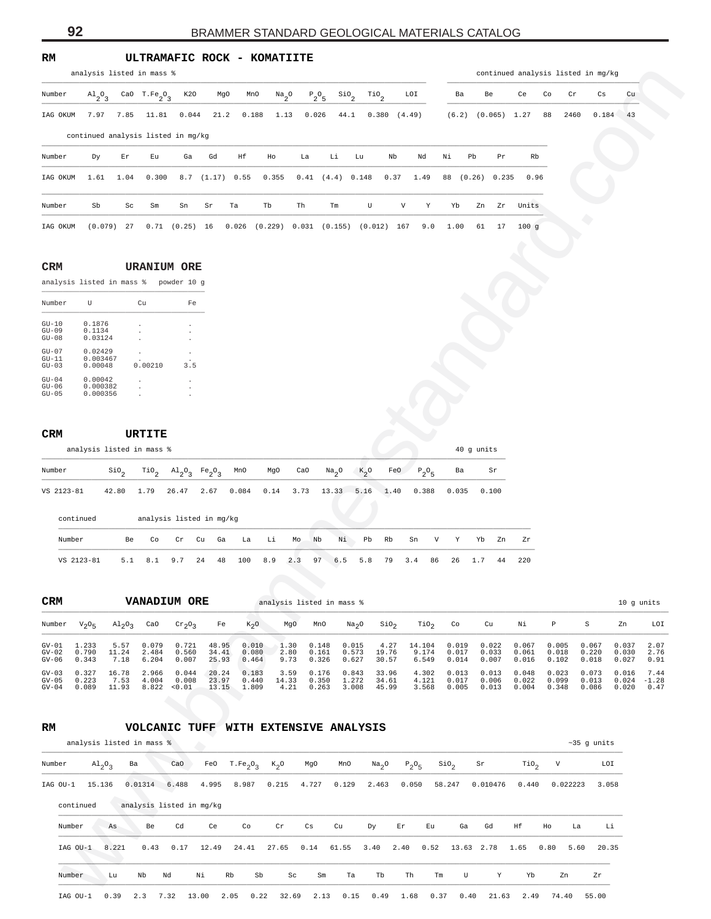**RM ULTRAMAFIC ROCK - KOMATIITE**

| Number                                |                                |                             | analysis listed in mass %           |                             |                          |                |              |                |                                         |                                       |                           |                  |                |                        |                |                | continued analysis listed in mg/kg |                |                     |
|---------------------------------------|--------------------------------|-----------------------------|-------------------------------------|-----------------------------|--------------------------|----------------|--------------|----------------|-----------------------------------------|---------------------------------------|---------------------------|------------------|----------------|------------------------|----------------|----------------|------------------------------------|----------------|---------------------|
|                                       | $A1_{2}O_{3}$                  |                             | CaO $T.Fe_2O_3$                     | K20                         | MgO                      | MnO            | $Na_{2}O$    | $P_2O_5$       | $\frac{\text{SiO}}{2}$                  | $\mathcal{T}^{10}$                    | LOI                       |                  | Ba             | Be                     | Ce             | Co             | Cr<br>Cs                           | Cu             |                     |
| IAG OKUM                              | 7.97                           | 7.85                        | 11.81                               | 0.044                       | 21.2                     | 0.188          | 1.13         | 0.026          | 44.1                                    | 0.380                                 | (4.49)                    |                  |                | $(6.2)$ $(0.065)$ 1.27 |                | 88             | 2460<br>0.184                      | 43             |                     |
|                                       |                                |                             | continued analysis listed in mg/kg  |                             |                          |                |              |                |                                         |                                       |                           |                  |                |                        |                |                |                                    |                |                     |
| Number                                | Dу                             | Er                          | Εu                                  | Ga                          | Gd                       | Ηf             | Ho           | La             | Li                                      | Lu                                    | Nb                        | Νi<br>Nd         |                | Pb<br>Pr               | Rb             |                |                                    |                |                     |
| IAG OKUM                              | 1.61                           | 1.04                        | 0.300                               |                             | 8.7 (1.17) 0.55          |                | 0.355        |                | $0.41$ $(4.4)$ $0.148$                  |                                       | 0.37                      | 1.49             | 88 (0.26)      | 0.235                  | 0.96           |                |                                    |                |                     |
| Number                                | Sb                             | Sc                          |                                     | Sn                          | Sr                       | Ta             | Tb           | Th             | Tm                                      | U                                     | $\boldsymbol{\mathrm{V}}$ | Υ                | Yb             | Zn<br>Zr               | Units          |                |                                    |                |                     |
|                                       |                                |                             | Sm                                  |                             |                          |                |              |                |                                         |                                       |                           |                  |                | 17                     |                |                |                                    |                |                     |
| IAG OKUM                              | (0.079)                        | 27                          | 0.71                                | $(0.25)$ 16                 |                          | 0.026          |              |                | $(0.229)$ 0.031 $(0.155)$ $(0.012)$ 167 |                                       |                           | 9.0              | 1.00           | 61                     | 100g           |                |                                    |                |                     |
| CRM                                   |                                |                             | <b>URANIUM ORE</b>                  |                             |                          |                |              |                |                                         |                                       |                           |                  |                |                        |                |                |                                    |                |                     |
| analysis listed in mass % powder 10 g |                                |                             |                                     |                             |                          |                |              |                |                                         |                                       |                           |                  |                |                        |                |                |                                    |                |                     |
| Number                                | U                              |                             | Cu                                  | Fe                          |                          |                |              |                |                                         |                                       |                           |                  |                |                        |                |                |                                    |                |                     |
| $GU-10$                               | 0.1876                         |                             |                                     |                             |                          |                |              |                |                                         |                                       |                           |                  |                |                        |                |                |                                    |                |                     |
| $GU-09$<br>$GU-08$                    | 0.1134<br>0.03124              |                             |                                     |                             |                          |                |              |                |                                         |                                       |                           |                  |                |                        |                |                |                                    |                |                     |
| $GU-07$<br>$GU-11$<br>$GU-03$         | 0.02429<br>0.003467<br>0.00048 |                             | 0.00210                             | 3.5                         |                          |                |              |                |                                         |                                       |                           |                  |                |                        |                |                |                                    |                |                     |
| $GU-04$<br>$GU-06$                    | 0.00042<br>0.000382            |                             |                                     |                             |                          |                |              |                |                                         |                                       |                           |                  |                |                        |                |                |                                    |                |                     |
| $GU-05$                               | 0.000356                       |                             |                                     |                             |                          |                |              |                |                                         |                                       |                           |                  |                |                        |                |                |                                    |                |                     |
|                                       |                                |                             |                                     |                             |                          |                |              |                |                                         |                                       |                           |                  |                |                        |                |                |                                    |                |                     |
| CRM                                   |                                |                             | URTITE<br>analysis listed in mass % |                             |                          |                |              |                |                                         |                                       |                           |                  |                | 40 g units             |                |                |                                    |                |                     |
| Number                                |                                |                             |                                     |                             |                          | MnO            | MgO          | CaO            |                                         |                                       | FeO                       |                  | Ba             | Sr                     |                |                |                                    |                |                     |
|                                       |                                | $\sin \frac{\pi}{2}$        | $\mathbb{T}^{10}$ <sub>2</sub>      | $A1_{2}O_{3}$               | $Fe_2O_3$                |                |              |                | $Na_{2}O$                               | $k_{2}^{\circ}$                       |                           | $P_2O_5$         |                |                        |                |                |                                    |                |                     |
| VS 2123-81                            |                                | 42.80                       | 1.79                                | 26.47                       | 2.67                     | 0.084          | 0.14         | 3.73           | 13.33                                   | 5.16                                  | 1.40                      | 0.388            | 0.035          | 0.100                  |                |                |                                    |                |                     |
| continued                             |                                |                             |                                     |                             | analysis listed in mg/kg |                |              |                |                                         |                                       |                           |                  |                |                        |                |                |                                    |                |                     |
| Number                                |                                | Be                          | Co                                  | Cr<br>Cu                    | Ga                       | La             | Li           | Nb<br>Mo       | Νi                                      | Pb<br>Rb                              | Sn                        | V                | Υ              | Yb<br>Zn               | Ζr             |                |                                    |                |                     |
| VS 2123-81                            |                                | 5.1                         | 8.1                                 | 9.7<br>24                   | 48                       | 100            | 8.9          | 2.3<br>97      | 6.5                                     | 5.8<br>79                             | 3.4                       | 86               | 26             | 1.7<br>44              | 220            |                |                                    |                |                     |
|                                       |                                |                             |                                     |                             |                          |                |              |                |                                         |                                       |                           |                  |                |                        |                |                |                                    |                |                     |
| CRM                                   |                                |                             | <b>VANADIUM ORE</b>                 |                             |                          |                |              |                | analysis listed in mass %               |                                       |                           |                  |                |                        |                |                |                                    |                |                     |
|                                       |                                |                             |                                     |                             |                          |                |              |                |                                         |                                       |                           |                  |                |                        |                |                |                                    |                | 10 g units          |
|                                       | $V_{2}O_{5}$                   | $\mathrm{Al}_2\mathrm{O}_3$ | CaO                                 | $\mathrm{cr}_2\mathrm{O}_3$ | Fe                       | $K_{2}O$       | MgO          | MnO            |                                         | Na <sub>2</sub> O<br>SiO <sub>2</sub> |                           | TiO <sub>2</sub> | Co             | Cu                     | Νi             | P              | S                                  | Zn             |                     |
| Number<br>$GV-01$<br>$GV-02$          | 1.233<br>0.790                 | 5.57<br>11.24               | 0.079<br>2.484                      | 0.721<br>0.560              | 48.95<br>34.41           | 0.010<br>0.080 | 1.30<br>2.80 | 0.148<br>0.161 | 0.015<br>0.573                          | 4.27<br>19.76                         |                           | 14.104<br>9.174  | 0.019<br>0.017 | 0.022<br>0.033         | 0.067<br>0.061 | 0.005<br>0.018 | 0.067<br>0.220                     | 0.037<br>0.030 | LOI<br>2.07<br>2.76 |
| $GV-06$<br>$GV-03$                    | 0.343<br>0.327                 | 7.18<br>16.78               | 6.204<br>2.966                      | 0.007<br>0.044              | 25.93<br>20.24           | 0.464<br>0.183 | 9.73<br>3.59 | 0.326<br>0.176 | 0.627<br>0.843                          | 30.57<br>33.96                        |                           | 6.549<br>4.302   | 0.014<br>0.013 | 0.007<br>0.013         | 0.016<br>0.048 | 0.102<br>0.023 | 0.018<br>0.073                     | 0.027<br>0.016 | 0.91<br>7.44        |

#### **CRM URANIUM ORE**

|                                       | analysis listed in mass %       |                | powder 10 q    |  |
|---------------------------------------|---------------------------------|----------------|----------------|--|
| Number                                | ŢŢ                              | Cu             | Fe             |  |
| $GU-10$<br>$GU-09$<br>$GII - 0.8$     | 0.1876<br>0.1134<br>0.03124     | $\blacksquare$ | $\blacksquare$ |  |
| $GII - 07$<br>$GII-11$<br>$GII - 0.3$ | 0.02429<br>0.003467<br>0.00048  | 0.00210        | 3.5            |  |
| $GU-04$<br>$GU-06$<br>$GII - 0.5$     | 0.00042<br>0.000382<br>0.000356 |                |                |  |

## **CRM URTITE**

|            | analysis listed in mass % |  |  |  |  |                                                                                                                                                                                     | 40 q units |
|------------|---------------------------|--|--|--|--|-------------------------------------------------------------------------------------------------------------------------------------------------------------------------------------|------------|
| Number     |                           |  |  |  |  | sio <sub>2</sub> Tio <sub>2</sub> Al <sub>2</sub> O <sub>2</sub> Fe <sub>2</sub> O <sub>2</sub> MnO MgO CaO Na <sub>2</sub> O K <sub>2</sub> O FeO P <sub>2</sub> O <sub>5</sub> Ba | sr Sr      |
| VS 2123-81 |                           |  |  |  |  | 42.80 1.79 26.47 2.67 0.084 0.14 3.73 13.33 5.16 1.40 0.388 0.035 0.100                                                                                                             |            |

| continued  |     |           | analysis listed in mg/kg |  |                                                              |    |                |       |           |  |    |     |         |
|------------|-----|-----------|--------------------------|--|--------------------------------------------------------------|----|----------------|-------|-----------|--|----|-----|---------|
| Number     | Be. | <b>Co</b> | Cr Cu                    |  | Ga La Li                                                     | Mo | N <sub>b</sub> | Ni Pb | Rb Sn V Y |  | Yh | 7.n | Zr      |
| VS 2123-81 |     |           |                          |  | 5.1 8.1 9.7 24 48 100 8.9 2.3 97 6.5 5.8 79 3.4 86 26 1.7 44 |    |                |       |           |  |    |     | - 2.2.0 |

| <b>CRM</b> |          |                         |       | <b>VANADIUM ORE</b> |       |        |       | analysis listed in mass % |                   |                  |                  |       |       |       |       |       | 10 q units |         |
|------------|----------|-------------------------|-------|---------------------|-------|--------|-------|---------------------------|-------------------|------------------|------------------|-------|-------|-------|-------|-------|------------|---------|
| Number     | $V_2O_E$ | $\text{Al}_2\text{O}_2$ | CaO   | $Cr_2O_2$           | Fe    | $K_2O$ | MgO   | MnO                       | Na <sub>2</sub> O | SiO <sub>2</sub> | TiO <sub>2</sub> | Co    | Cu    | Νi    | P     |       | Zn         | LOI     |
| $GV - 01$  | 1.233    | 5.57                    | 0.079 | 0.721               | 48.95 | 0.010  | 1.30  | 0.148                     | 0.015             | 4.27             | 14.104           | 0.019 | 0.022 | 0.067 | 0.005 | 0.067 | 0.037      | 2.07    |
| $GV-02$    | 0.790    | 11.24                   | 2.484 | 0.560               | 34.41 | 0.080  | 2.80  | 0.161                     | 0.573             | 19.76            | 9.174            | 0.017 | 0.033 | 0.061 | 0.018 | 0.220 | 0.030      | 2.76    |
| GV-06      | 0.343    | 7.18                    | 6.204 | 0.007               | 25.93 | 0.464  | 9.73  | 0.326                     | 0.627             | 30.57            | 6.549            | 0.014 | 0.007 | 0.016 | 0.102 | 0.018 | 0.027      | 0.91    |
| $GV - 0.3$ | 0.327    | 16.78                   | 2.966 | 0.044               | 20.24 | 0.183  | 3.59  | 0.176                     | 0.843             | 33.96            | 4.302            | 0.013 | 0.013 | 0.048 | 0.023 | 0.073 | 0.016      | 7.44    |
| $GV-05$    | 0.223    | 7.53                    | 4.004 | 0.008               | 23.97 | 0.440  | 14.33 | 0.350                     | 1.272             | 34.61            | 4.121            | 0.017 | 0.006 | 0.022 | 0.099 | 0.013 | 0.024      | $-1.28$ |
| $GV-04$    | 0.089    | 11.93                   | 8.822 | < 0.01              | 13.15 | 1.809  | 4.21  | 0.263                     | 3.008             | 45.99            | 3.568            | 0.005 | 0.013 | 0.004 | 0.348 | 0.086 | 0.020      | 0.47    |

## **RM VOLCANIC TUFF WITH EXTENSIVE ANALYSIS**

|          |           |                                 | analysis listed in mass % |       |                          |                                  |                     |       |       |                   |                            |                  |       |          |                  |      |          | $~10$ $~35$ g units |
|----------|-----------|---------------------------------|---------------------------|-------|--------------------------|----------------------------------|---------------------|-------|-------|-------------------|----------------------------|------------------|-------|----------|------------------|------|----------|---------------------|
| Number   |           | $\mathrm{Al}_{2}\mathrm{O}_{3}$ | Ba                        | CaO   | FeO                      | T.Fe <sub>2</sub> O <sub>3</sub> | $K_2O$              | MgO   | MnO   | Na <sub>2</sub> O | $P_2O_5$                   | SiO <sub>2</sub> |       | Sr       | TiO <sub>2</sub> | V    |          | LOI                 |
| IAG OU-1 | 15.136    |                                 | 0.01314                   | 6.488 | 4.995                    | 8.987                            | 0.215               | 4.727 | 0.129 | 2.463             | 0.050                      | 58.247           |       | 0.010476 | 0.440            |      | 0.022223 | 3.058               |
|          | continued |                                 |                           |       | analysis listed in mg/kg |                                  |                     |       |       |                   |                            |                  |       |          |                  |      |          |                     |
| Number   |           | As                              | Be                        | Cd    | Ce                       | Co                               | $\operatorname{Cr}$ | Cs    | Cu    | Dy                | $\mathop{\rm Er}\nolimits$ | Eu               | Ga    | Gd       | Ηf               | Ho   | La       | Li                  |
| IAG OU-1 |           | 8.221                           | 0.43                      | 0.17  | 12.49                    | 24.41                            | 27.65               | 0.14  | 61.55 | 3.40              | 2.40                       | 0.52             | 13.63 | 2.78     | 1.65             | 0.80 | 5.60     | 20.35               |
| Number   |           | Lu                              | Nb                        | Nd    | Νi                       | Sb<br>Rb                         | Sc                  | Sm    | Ta    | Tb                | Th                         | Tm               | U     | Y        | Yb               |      | Zn       | Zr                  |
| IAG OU-1 |           | 0.39                            | 2.3                       | 7.32  | 13.00                    | 2.05<br>0.22                     | 32.69               | 2.13  | 0.15  | 0.49              | 1.68                       | 0.37             | 0.40  | 21.63    | 2.49             |      | 74.40    | 55.00               |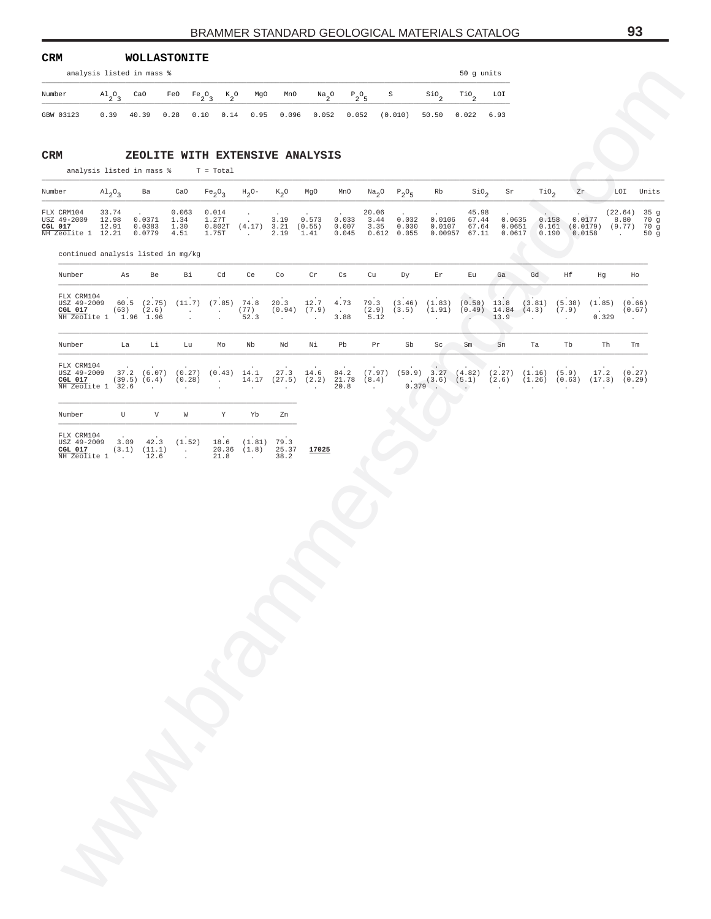| <b>CRM</b> |                                 | <b>WOLLASTONITE</b> |      |           |               |             |       |                 |              |              |                  |                  |      |
|------------|---------------------------------|---------------------|------|-----------|---------------|-------------|-------|-----------------|--------------|--------------|------------------|------------------|------|
|            | analysis listed in mass %       |                     |      |           |               |             |       |                 |              |              |                  | 50 q units       |      |
| Number     | $\mathrm{Al}_{2}\mathrm{O}_{2}$ | CaO                 | FeO  | $Fe_2O_2$ | $K_{\alpha}O$ | MgO         | MnO   | $Na_{2}O$       | $P_{0}O_{E}$ | $\mathbf{S}$ | SiO <sub>o</sub> | TiO <sub>c</sub> | LOI  |
| GBW 03123  | 0.39                            | 40.39               | 0.28 | 0.10      |               | $0.14$ 0.95 | 0.096 | $0.052$ $0.052$ |              | (0.010)      | 50.50            | 0.022            | 6.93 |

| Number                                                                                                                                                                                                                              |  |  |  |  |  | $\text{Al}_2\text{O}_3$ Ba CaO Fe <sub>2</sub> O <sub>3</sub> H <sub>2</sub> O- K <sub>2</sub> O MgO MnO Na <sub>2</sub> O P <sub>2</sub> O <sub>5</sub> Rb SiO <sub>2</sub> Sr TiO <sub>2</sub> Zr LOI Units |  |  |  |
|-------------------------------------------------------------------------------------------------------------------------------------------------------------------------------------------------------------------------------------|--|--|--|--|--|---------------------------------------------------------------------------------------------------------------------------------------------------------------------------------------------------------------|--|--|--|
| FLX CRM104 33.74 . 0.063 0.014 20.06 45.98 (22.64) 35 q                                                                                                                                                                             |  |  |  |  |  |                                                                                                                                                                                                               |  |  |  |
| USZ 49-2009 12.98 0.0371 1.34 1.27T . 3.19 0.573 0.033 3.44 0.032 0.0106 67.44 0.0635 0.158 0.0177 8.80 70 q<br>CGL 017 12.91 0.0383 1.30 0.802T (4.17) 3.21 (0.55) 0.007 3.35 0.030 0.0107 67.64 0.0651 0.161 (0.0179) (9.77) 70 g |  |  |  |  |  |                                                                                                                                                                                                               |  |  |  |
| NH Zeolite 1 12.21 0.0779 4.51 1.75T . 2.19 1.41 0.045 0.612 0.055 0.00957 67.11 0.0617 0.190 0.0158 . 50 g                                                                                                                         |  |  |  |  |  |                                                                                                                                                                                                               |  |  |  |

|        | analysis listed in mass %                                                                                                                |               |              |               |                                   |      |                             |                                                                  |                         |                                                   |       |                                                                |                  |                                                                                                                                                                                                                                   | 50 g units                                   |                            |                |                |                                    |                                                                     |
|--------|------------------------------------------------------------------------------------------------------------------------------------------|---------------|--------------|---------------|-----------------------------------|------|-----------------------------|------------------------------------------------------------------|-------------------------|---------------------------------------------------|-------|----------------------------------------------------------------|------------------|-----------------------------------------------------------------------------------------------------------------------------------------------------------------------------------------------------------------------------------|----------------------------------------------|----------------------------|----------------|----------------|------------------------------------|---------------------------------------------------------------------|
| Number |                                                                                                                                          | $A1_{2}O_{3}$ |              | CaO           | FeO $Fe_2O_3$                     |      | $K_2^0$                     | MgO                                                              | MnO                     | $\frac{Na}{2}$ <sup>O</sup>                       |       | $P_2O_5$                                                       | S                | $\mathop{\rm sio}\nolimits_2$                                                                                                                                                                                                     | $\mathcal{I}^{10}$                           | LOI                        |                |                |                                    |                                                                     |
|        | GBW 03123                                                                                                                                |               | $0.39$ 40.39 |               | 0.28                              | 0.10 | 0.14                        | 0.95                                                             | 0.096                   | 0.052                                             |       | 0.052                                                          | $(0.010)$ 50.50  |                                                                                                                                                                                                                                   | $0.022$ 6.93                                 |                            |                |                |                                    |                                                                     |
|        |                                                                                                                                          |               |              |               |                                   |      |                             |                                                                  |                         |                                                   |       |                                                                |                  |                                                                                                                                                                                                                                   |                                              |                            |                |                |                                    |                                                                     |
| CRM    | analysis listed in mass $\sqrt[8]{x}$ T = Total                                                                                          |               |              |               |                                   |      |                             |                                                                  |                         | ZEOLITE WITH EXTENSIVE ANALYSIS                   |       |                                                                |                  |                                                                                                                                                                                                                                   |                                              |                            |                |                |                                    |                                                                     |
| Number |                                                                                                                                          | $A1_{2}O_{3}$ |              | Ba            | CaO                               |      |                             | $Fe_2O_3$ H <sub>2</sub> O- K <sub>2</sub> O MgO                 |                         |                                                   | MnO   |                                                                | $Na_2O$ $P_2O_5$ | Rb                                                                                                                                                                                                                                | Sio <sub>2</sub>                             | Sr                         | $\text{rio}_2$ | Zr             |                                    | LOI Units                                                           |
|        | FLX CRM104<br>USZ 49-2009 12.98 0.0371 1.34<br>$CGL$ 017<br>NH Zeolite 1 12.21 0.0779 4.51                                               | 33.74         | 12.91        | $0.0383$ 1.30 | 0.063                             |      | 0.014<br>1.27T<br>1.75T     | $\sim$<br>$0.802T$ $(4.17)$ $3.21$ $(0.55)$<br><b>Contractor</b> | 3.19 0.573<br>2.19 1.41 |                                                   | 0.033 | 20.06<br>3.44<br>$0.007$ 3.35 0.030<br>$0.045$ $0.612$ $0.055$ | 0.032            | 0.0106<br>0.0107                                                                                                                                                                                                                  | 45.98<br>67.44<br>67.64<br>$0.00957$ $67.11$ | 0.0635<br>0.0651<br>0.0617 |                | 0.158<br>0.190 | 0.0177<br>0.0158                   | $(22.64)$ 35 g<br>8.80 70 g<br>$0.161$ (0.0179) (9.77) 70 g<br>50 g |
|        | continued analysis listed in mg/kg                                                                                                       |               |              |               |                                   |      |                             |                                                                  |                         |                                                   |       |                                                                |                  |                                                                                                                                                                                                                                   |                                              |                            |                |                |                                    |                                                                     |
|        | Number                                                                                                                                   |               | As           | Be            | Bi                                |      | Cd                          | Ce                                                               | Co                      | Cr                                                | Cs    | Cu                                                             | Dy               | Er                                                                                                                                                                                                                                | Eu                                           | Ga                         | Gd             | Hf             | Hg                                 | Ho                                                                  |
|        | FLX CRM104<br>USZ 49-2009 60.5 (2.75) (11.7) (7.85) 74.8<br>CGL 017 $(63)$ $(2.6)$<br>$\overline{\text{NH} 2\text{eol}}$ ite 1 1.96 1.96 |               |              |               | $\sim 100$ km s $^{-1}$<br>$\sim$ |      | <b>Contractor</b><br>$\sim$ | (77)<br>52.3                                                     | 20.3<br>$\sim$          | 12.7 4.73<br>$(0.94)$ $(7.9)$ .<br>$\sim 10^{-1}$ | 3.88  | 5.12                                                           | $\sim$ 10 $\pm$  | 79.3 (3.46) (1.83) (0.50) 13.8 (3.81) (5.38) (1.85) (0.66)<br>$(2.9)$ $(3.5)$ $(1.91)$ $(0.49)$ $14.84$ $(4.3)$ $(7.9)$<br>$\sim$                                                                                                 | $\sim$                                       | 13.9                       | $\sim$         | $\sim 100$     | $\sim 10^{11}$ km $^{-1}$<br>0.329 | (0.67)<br>$\sim 10^{-11}$                                           |
|        | Number                                                                                                                                   |               |              | La Li         | Lu                                |      | Mo                          | Nb                                                               | Nd                      | Νi                                                | Pb    | Pr                                                             | Sb               | Sc                                                                                                                                                                                                                                | Sm Sn                                        |                            | Ta             | Tb             | Th                                 | Tm                                                                  |
|        | FLX CRM104<br>USZ 49-2009 37.2 (6.07) (0.27) (0.43) 14.1<br>CGL 017 $(39.5) (6.4) (0.28)$ .<br>NH Zeolite 1 32.6                         |               |              | $\sim$ $\sim$ | $\sim$                            |      |                             | $\sim$                                                           | $\sim$                  | 14.17 (27.5) (2.2) 21.78 (8.4)<br>$\sim$          | 20.8  | $\sim 100$                                                     |                  | 27.3 14.6 84.2 (7.97) (50.9) 3.27 (4.82) (2.27) (1.16) (5.9)<br>$(3.6) \begin{array}{cccccc} (3.6) & (5.1) & (4.27) & (1.16) & (5.9) & 17.2 & (0.27) \\ (3.6) & (5.1) & (2.6) & (1.26) & (0.63) & (17.3) & (0.29) \\ \end{array}$ |                                              |                            |                |                |                                    | $17.2$ (0.27)                                                       |
|        | Number                                                                                                                                   |               |              | U $V$         | W                                 |      | Y                           | Yb                                                               | Zn                      |                                                   |       |                                                                |                  |                                                                                                                                                                                                                                   |                                              |                            |                |                |                                    |                                                                     |
|        | FLX CRM104<br>USZ 49-2009 3.09 42.3 (1.52)                                                                                               |               |              |               |                                   |      | 18.6                        | $(1.81)$ 79.3                                                    |                         |                                                   |       |                                                                |                  |                                                                                                                                                                                                                                   |                                              |                            |                |                |                                    |                                                                     |
|        | CGL 017 $(3.1)$ $(11.1)$ .<br>$\overline{\text{NH} 2\text{eolite} 1}$ .                                                                  |               |              | 12.6          | $\sim$ $-$                        |      | 21.8                        | $\sim 100$                                                       | 38.2                    | 20.36 (1.8) 25.37 17025                           |       |                                                                |                  |                                                                                                                                                                                                                                   |                                              |                            |                |                |                                    |                                                                     |
|        |                                                                                                                                          |               |              |               |                                   |      |                             |                                                                  |                         |                                                   |       |                                                                |                  |                                                                                                                                                                                                                                   |                                              |                            |                |                |                                    |                                                                     |
|        |                                                                                                                                          |               |              |               |                                   |      |                             |                                                                  |                         |                                                   |       |                                                                |                  |                                                                                                                                                                                                                                   |                                              |                            |                |                |                                    |                                                                     |

| FLX CRM104   |       |        |        |                 |             |       |       |
|--------------|-------|--------|--------|-----------------|-------------|-------|-------|
| USZ 49-2009  | 3.09  | 42.3   | (1.52) |                 | 18.6 (1.81) | 79.3  |       |
| CGL 017      | (3.1) | (11.1) |        | $20.36$ $(1.8)$ |             | 25.37 | 17025 |
| NH Zeolite 1 |       | 12.6   |        | 21.8            |             | 38.2  |       |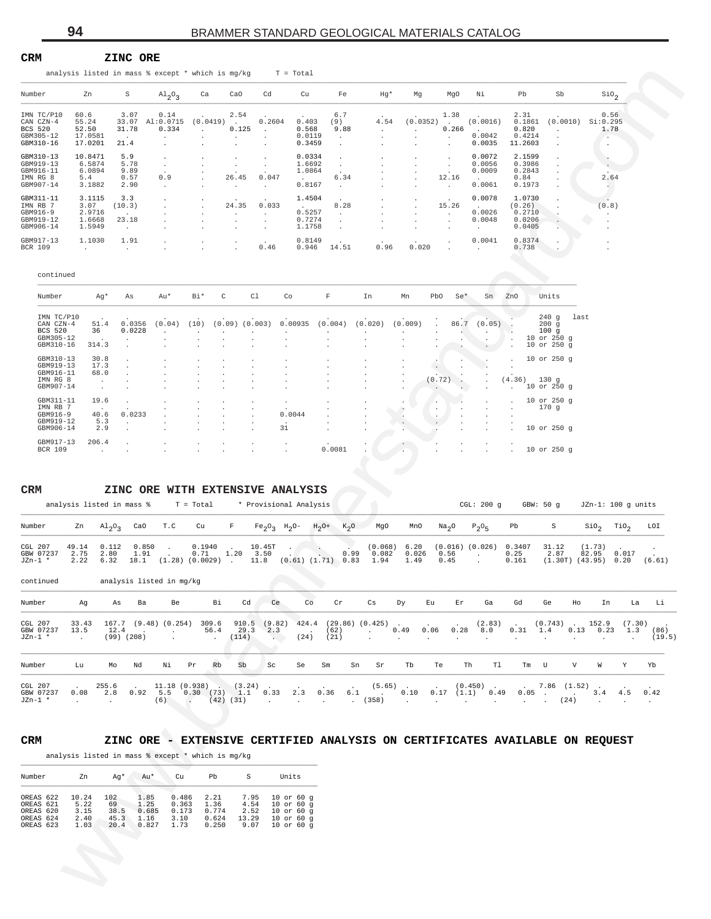#### **CRM ZINC ORE**

| analysis listed in mass $%$ except $*$ which is mg/kg $T = Total$ |  |
|-------------------------------------------------------------------|--|
|                                                                   |  |

| Number         | Zn      | S              | $\mathrm{Al}_{2}\mathrm{O}_{3}$ | Ca                   | CaO            | Cd                   | Cu     | Fe    | $Hq*$  | Mq       | MqO          | Νi           | Pb      | Sb                   | SiO <sub>2</sub> |
|----------------|---------|----------------|---------------------------------|----------------------|----------------|----------------------|--------|-------|--------|----------|--------------|--------------|---------|----------------------|------------------|
| IMN TC/P10     | 60.6    | 3.07           | 0.14                            |                      | 2.54           |                      |        | 6.7   | $\sim$ |          | 1.38         |              | 2.31    |                      | 0.56             |
| CAN CZN-4      | 55.24   | 33.07          | AI:0.0715                       | (0.0419)             |                | 0.2604               | 0.403  | (9)   | 4.54   | (0.0352) |              | (0.0016)     | 0.1861  | (0.0010)             | Si:0.295         |
| <b>BCS 520</b> | 52.50   | 31.78          | 0.334                           |                      | 0.125          | $\mathbf{r}$         | 0.568  | 9.88  | $\sim$ |          | 0.266        | $\mathbf{r}$ | 0.820   |                      | 1.78             |
| GBM305-12      | 17.0581 | $\overline{a}$ |                                 | $\sim$               | $\mathbf{r}$   |                      | 0.0119 |       |        |          | $\mathbf{r}$ | 0.0042       | 0.4214  | $\mathbf{r}$         | $\sim$           |
| GBM310-16      | 17.0201 | 21.4           |                                 |                      | $\mathbf{r}$   |                      | 0.3459 |       |        |          | $\sim$       | 0.0035       | 11.2603 | $\ddot{\phantom{a}}$ | $\cdot$          |
| GBM310-13      | 10.8471 | 5.9            |                                 |                      |                |                      | 0.0334 |       |        |          | $\mathbf{r}$ | 0.0072       | 2.1599  |                      |                  |
| GBM919-13      | 6.5874  | 5.78           |                                 |                      | $\mathbf{r}$   |                      | 1.6692 |       |        |          |              | 0.0056       | 0.3986  |                      | $\sim$           |
| GBM916-11      | 6.0894  | 9.89           |                                 |                      |                |                      | 1.0864 |       |        |          |              | 0.0009       | 0.2843  |                      |                  |
| IMN RG 8       | 5.4     | 0.57           | 0.9                             | $\sim$               | 26.45          | 0.047                |        | 6.34  |        |          | 12.16        |              | 0.84    |                      | 2.64             |
| GBM907-14      | 3.1882  | 2.90           |                                 |                      |                |                      | 0.8167 |       |        |          | $\mathbf{r}$ | 0.0061       | 0.1973  |                      |                  |
| GBM311-11      | 3.1115  | 3.3            |                                 | $\ddot{\phantom{0}}$ |                |                      | 1.4504 |       |        |          | $\cdot$      | 0.0078       | 1.0730  |                      |                  |
| IMN RB 7       | 3.07    | (10.3)         |                                 |                      | 24.35          | 0.033                | $\sim$ | 8.28  |        |          | 15.26        | $\sim$       | (0.26)  |                      | (0.8)            |
| GBM916-9       | 2.9716  | $\mathbf{r}$   |                                 |                      | $\cdot$        |                      | 0.5257 |       |        |          | $\sim$       | 0.0026       | 0.2710  |                      |                  |
| GBM919-12      | 1.6668  | 23.18          |                                 |                      | $\overline{a}$ |                      | 0.7274 |       |        |          | $\mathbf{r}$ | 0.0048       | 0.0206  |                      | $\cdot$          |
| GBM906-14      | 1.5949  |                |                                 |                      |                |                      | 1.1758 |       |        |          |              | $\mathbf{r}$ | 0.0405  |                      |                  |
|                |         |                |                                 |                      |                |                      |        |       |        |          |              |              |         |                      |                  |
| GBM917-13      | 1.1030  | 1.91           |                                 |                      |                | $\ddot{\phantom{1}}$ | 0.8149 |       |        |          |              | 0.0041       | 0.8374  |                      | $\cdot$          |
| <b>BCR 109</b> |         |                |                                 |                      | $\mathbf{r}$   | 0.46                 | 0.946  | 14.51 | 0.96   | 0.020    |              |              | 0.738   |                      | $\cdot$          |

| Number         | Ag*                  | As           | Au*                  | Bi*                  | C              | C1                   | Co                   | $\mathbf F$          | In           | Mn                   | PbO                  | $Se*$        | Sn                   | ZnO                  |                 | Units |      |
|----------------|----------------------|--------------|----------------------|----------------------|----------------|----------------------|----------------------|----------------------|--------------|----------------------|----------------------|--------------|----------------------|----------------------|-----------------|-------|------|
| IMN TC/P10     |                      |              |                      |                      |                |                      |                      |                      |              |                      |                      |              |                      |                      |                 | 240g  | last |
| CAN CZN-4      | 51.4                 | 0.0356       | (0.04)               | (10)                 | (0.09)         | (0.003)              | 0.00935              | (0.004)              | (0.020)      | (0.009)              | $\sim$               | 86.7         | (0.05)               |                      |                 | 200q  |      |
| <b>BCS 520</b> | 36                   | 0.0228       | $\mathbf{r}$         |                      |                |                      | $\mathbf{r}$         |                      | $\cdot$      |                      |                      |              | $\mathbf{r}$         |                      |                 | 100q  |      |
| GBM305-12      | $\ddot{\phantom{a}}$ | $\mathbf{r}$ | $\sim$               | $\overline{a}$       | $\mathbf{r}$   | $\ddot{\phantom{1}}$ | $\ddot{\phantom{0}}$ | $\ddot{\phantom{0}}$ | $\cdot$      | $\cdot$              |                      |              | $\cdot$              | $\cdot$              | 10 or 250 g     |       |      |
| GBM310-16      | 314.3                | $\mathbf{r}$ |                      | $\cdot$              | $\overline{a}$ | $\cdot$              | $\cdot$              | $\ddot{\phantom{0}}$ | $\cdot$      | $\mathbf{r}$         |                      |              |                      | $\sim$               | 10 or 250 g     |       |      |
|                |                      |              |                      |                      |                |                      |                      |                      |              |                      |                      |              |                      |                      |                 |       |      |
| GBM310-13      | 30.8                 | $\mathbf{r}$ | $\ddot{\phantom{0}}$ | $\cdot$              | $\cdot$        | $\cdot$              |                      | $\cdot$              | $\cdot$      |                      |                      |              | . .                  | $\cdot$              | 10 or 250 g     |       |      |
| GBM919-13      | 17.3                 |              | $\sim$               | $\cdot$              | $\mathbf{r}$   | $\cdot$              | $\sim$               | $\mathbf{r}$         | $\mathbf{r}$ | $\mathbf{r}$         |                      | $\mathbf{r}$ | $\sim$               | $\cdot$              |                 |       |      |
| GBM916-11      | 68.0                 |              | $\mathbf{r}$         | $\cdot$              | $\mathbf{r}$   | $\cdot$              | $\mathbf{r}$         | $\overline{a}$       | $\mathbf{r}$ | $\mathbf{r}$         |                      |              | $\mathbf{r}$         | $\cdot$              |                 |       |      |
| IMN RG 8       | $\sim$               |              | $\overline{a}$       | $\cdot$              | $\mathbf{r}$   | $\cdot$              | $\mathbf{r}$         | $\ddot{\phantom{0}}$ | $\cdot$      | $\cdot$              | (0.72)               | $\sim$       | $\ddot{\phantom{0}}$ | (4.36)               |                 | 130q  |      |
| GBM907-14      | $\mathbf{r}$         |              | $\cdot$              | $\cdot$              | $\cdot$        | $\cdot$              | $\cdot$              | $\cdot$              | $\cdot$      | $\cdot$              |                      |              |                      | $\mathbf{r}$         | $10$ or $250$ q |       |      |
|                |                      |              |                      |                      |                |                      |                      |                      |              |                      |                      |              |                      |                      |                 |       |      |
| GBM311-11      | 19.6                 |              | $\cdot$              | $\cdot$              | $\cdot$        | $\cdot$              |                      | $\cdot$              | $\cdot$      | $\ddot{\phantom{a}}$ | $\sim$               |              |                      | $\ddot{\phantom{0}}$ | 10 or 250 g     |       |      |
| IMN RB 7       | $\cdot$              |              | $\mathbf{r}$         | $\cdot$              |                |                      |                      | $\cdot$              | $\cdot$      | $\ddot{\phantom{a}}$ | $\ddot{\phantom{a}}$ |              |                      | $\cdot$              |                 | 170q  |      |
| GBM916-9       | 40.6                 | 0.0233       | $\mathbf{r}$         | $\ddot{\phantom{0}}$ | $\mathbf{r}$   | $\mathbf{r}$         | 0.0044               | $\sim$               | $\mathbf{r}$ |                      | $\cdot$              |              | ٠                    | $\cdot$              |                 |       |      |
| GBM919-12      | 5.3                  | $\mathbf{r}$ |                      | $\ddot{\phantom{0}}$ | $\mathbf{r}$   | $\cdot$              | $\sim$               | $\mathbf{r}$         |              |                      | $\sim$               | $\cdot$      | $\mathbf{r}$         |                      |                 |       |      |
| GBM906-14      | 2.9                  |              |                      | $\cdot$              | $\cdot$        | $\cdot$              | 31                   | $\cdot$              |              |                      |                      |              |                      | $\cdot$              | 10 or 250 g     |       |      |
|                |                      |              |                      |                      |                |                      |                      |                      |              |                      |                      |              |                      |                      |                 |       |      |
| GBM917-13      | 206.4                | ÷.           |                      |                      |                |                      |                      | $\overline{a}$       | $\cdot$      |                      |                      |              |                      |                      |                 |       |      |
| <b>BCR 109</b> | $\ddot{\phantom{a}}$ |              |                      | $\cdot$              | $\cdot$        | $\cdot$              |                      | 0.0081               |              | $\cdot$              |                      |              | $\cdot$              | $\cdot$              | 10 or 250 g     |       |      |
|                |                      |              |                      |                      |                |                      |                      |                      |              | $\ddot{\phantom{a}}$ |                      |              |                      |                      |                 |       |      |

#### **CRM ZINC ORE WITH EXTENSIVE ANALYSIS**

|                                                                     |                                                  |                                     | analysis listed in mass % except * which is mg/kg                                 |                                                                                                                            |                                               |                               | $T = Total$                                                                        |                                                   |                          |                                                                          |                                                  |                                       |                                                                       |                                                            |                                                                              |                                                         |
|---------------------------------------------------------------------|--------------------------------------------------|-------------------------------------|-----------------------------------------------------------------------------------|----------------------------------------------------------------------------------------------------------------------------|-----------------------------------------------|-------------------------------|------------------------------------------------------------------------------------|---------------------------------------------------|--------------------------|--------------------------------------------------------------------------|--------------------------------------------------|---------------------------------------|-----------------------------------------------------------------------|------------------------------------------------------------|------------------------------------------------------------------------------|---------------------------------------------------------|
| Number                                                              | Zn                                               | S                                   | $A1_{2}O_{3}$                                                                     | Ca                                                                                                                         | CaO                                           | Cd                            | Cu                                                                                 | Fe                                                | Hg*                      | Mg                                                                       | MgO                                              | Νi                                    | Pb                                                                    | Sb                                                         | $\text{SiO}_2$                                                               |                                                         |
| IMN TC/P10<br>CAN CZN-4<br><b>BCS 520</b><br>GBM305-12<br>GBM310-16 | 60.6<br>55.24<br>52.50<br>17.0581<br>17.0201     | 3.07<br>33.07<br>31.78<br>21.4      | 0.14<br>Al: 0.0715<br>0.334<br>$\cdot$                                            | (0.0419)                                                                                                                   | 2.54<br>$\sim$<br>0.125<br>$\cdot$<br>$\cdot$ | 0.2604<br>$\cdot$             | 0.403<br>0.568<br>0.0119<br>0.3459                                                 | 6.7<br>(9)<br>9.88<br>$\cdot$<br>$\blacksquare$   | 4.54<br>$\cdot$          | (0.0352)<br>$\ddot{\phantom{a}}$                                         | 1.38<br>$\ddot{\phantom{a}}$<br>0.266<br>$\cdot$ | (0.0016)<br>0.0042<br>0.0035          | 2.31<br>0.1861<br>0.820<br>0.4214<br>11.2603                          | $\cdot$<br>$\cdot$<br>$\cdot$                              | 0.56<br>$(0.0010)$ Si:0.295<br>1.78<br>$\cdot$<br>$\cdot$                    |                                                         |
| GBM310-13<br>GBM919-13<br>GBM916-11<br>IMN RG 8<br>GBM907-14        | 10.8471<br>6.5874<br>6.0894<br>5.4<br>3.1882     | 5.9<br>5.78<br>9.89<br>0.57<br>2.90 | $\ddot{\phantom{a}}$<br>0.9<br>$\ddot{\phantom{a}}$                               |                                                                                                                            | $\cdot$<br>$\cdot$<br>26.45<br>$\cdot$        | $\cdot$<br>0.047<br>$\cdot$   | 0.0334<br>1.6692<br>1.0864<br>0.8167                                               | $\cdot$<br>$\cdot$<br>6.34<br>$\cdot$             |                          |                                                                          | $\cdot$<br>$\cdot$<br>12.16<br>$\sim$            | 0.0072<br>0.0056<br>0.0009<br>0.0061  | 2.1599<br>0.3986<br>0.2843<br>0.84<br>0.1973                          | $\cdot$<br>$\cdot$                                         | $\cdot$<br>$\sim$<br>2.64<br>$\sim$                                          |                                                         |
| GBM311-11<br>IMN RB 7<br>GBM916-9<br>GBM919-12<br>GBM906-14         | 3.1115<br>3.07<br>2.9716<br>1.6668<br>1.5949     | 3.3<br>(10.3)<br>23.18<br>$\cdot$   |                                                                                   |                                                                                                                            | 24.35<br>$\cdot$                              | 0.033<br>$\ddot{\phantom{a}}$ | 1.4504<br>0.5257<br>0.7274<br>1.1758                                               | 8.28<br>$\sim$<br>$\cdot$<br>$\ddot{\phantom{a}}$ |                          |                                                                          | 15.26<br>$\cdot$<br>$\cdot$                      | 0.0078<br>0.0026<br>0.0048<br>$\cdot$ | 1.0730<br>(0.26)<br>0.2710<br>0.0206<br>0.0405                        |                                                            | (0.8)<br>$\cdot$<br>$\cdot$                                                  |                                                         |
| GBM917-13<br>BCR 109                                                | 1.1030                                           | 1.91<br>$\cdot$                     |                                                                                   |                                                                                                                            |                                               | 0.46                          | 0.8149<br>0.946                                                                    | 14.51                                             | 0.96                     | 0.020                                                                    | $\cdot$                                          | 0.0041                                | 0.8374<br>0.738                                                       |                                                            |                                                                              |                                                         |
| continued                                                           |                                                  |                                     |                                                                                   |                                                                                                                            |                                               |                               |                                                                                    |                                                   |                          |                                                                          |                                                  |                                       |                                                                       |                                                            |                                                                              |                                                         |
| Number                                                              | Ag*                                              | As                                  | Au*                                                                               | Bi*                                                                                                                        | C                                             | C1                            | Co                                                                                 | $\mathbf F$                                       | In                       | Mn                                                                       | PbO<br>$Se*$                                     | Sn                                    | ZnO                                                                   | Units                                                      |                                                                              |                                                         |
| IMN TC/P10<br>CAN CZN-4<br><b>BCS 520</b><br>GBM305-12<br>GBM310-16 | 51.4<br>36<br>314.3                              | 0.0356<br>0.0228                    | (0.04)                                                                            | (10)                                                                                                                       | $(0.09)$ $(0.003)$                            |                               | 0.00935                                                                            | (0.004)                                           | (0.020)                  | (0.009)                                                                  | 86.7                                             | (0.05)<br>$\blacksquare$<br>$\cdot$   |                                                                       | 240g<br>last<br>200g<br>100g<br>10 or 250 g<br>10 or 250 g |                                                                              |                                                         |
| GBM310-13<br>GBM919-13<br>GBM916-11<br>IMN RG 8<br>GBM907-14        | 30.8<br>17.3<br>68.0<br>$\cdot$<br>$\cdot$       |                                     |                                                                                   |                                                                                                                            |                                               |                               |                                                                                    |                                                   |                          |                                                                          | $\blacksquare$<br>(0.72)                         |                                       | (4.36)                                                                | 10 or 250 g<br>130g<br>10 or 250 g                         |                                                                              |                                                         |
| GBM311-11<br>IMN RB 7<br>GBM916-9<br>GBM919-12<br>GBM906-14         | 19.6<br>40.6<br>5.3<br>2.9                       | 0.0233                              |                                                                                   |                                                                                                                            |                                               | $\cdot$<br>31                 | 0.0044                                                                             |                                                   |                          |                                                                          | $\blacksquare$                                   |                                       |                                                                       | 10 or 250 g<br>170g<br>$10$ or $250$ g                     |                                                                              |                                                         |
| GBM917-13<br>BCR 109                                                | 206.4                                            |                                     |                                                                                   |                                                                                                                            |                                               |                               |                                                                                    | 0.0081                                            |                          |                                                                          |                                                  |                                       |                                                                       | 10 or 250 g                                                |                                                                              |                                                         |
| Number                                                              | analysis listed in mass %<br>$A1_{2}O_{3}$<br>Zn | CaO                                 | T.C                                                                               | $T = Total$<br>Cu                                                                                                          | F                                             | $Fe_2O_3$ $H_2O^-$            | * Provisional Analysis<br>$H_2O+$                                                  | $K_2O$                                            | MgO                      | MnO                                                                      | Na <sub>2</sub> O                                | CGL: 200 g<br>$P_2O_5$                | GBW: 50 g<br>Pb                                                       | S                                                          | $JZn-1: 100 g units$<br>$\sin_{2}$<br>$\verb"rio"_{2}$                       | LOI                                                     |
| CGL 207<br>GBW 07237<br>$JZn-1$ *                                   | 49.14<br>2.75<br>2.80<br>2.22<br>6.32            | 0.112<br>1.91<br>18.1               | 0.850                                                                             | 0.1940<br>0.71<br>$(1.28)$ $(0.0029)$ .                                                                                    | 1.20                                          | 10.45T<br>3.50                | $11.8$ (0.61) (1.71) 0.83                                                          | 0.99                                              | (0.068)<br>0.082<br>1.94 | 6.20<br>0.026<br>1.49                                                    | 0.56<br>0.45                                     | $(0.016)$ $(0.026)$<br>$\cdot$        | 0.3407<br>0.25<br>0.161                                               | 31.12<br>2.87                                              | (1.73)<br>82.95<br>0.017<br>$(1.30T)$ $(43.95)$ 0.20                         | (6.61)                                                  |
| continued                                                           |                                                  |                                     | analysis listed in mg/kg                                                          |                                                                                                                            |                                               |                               |                                                                                    |                                                   |                          |                                                                          |                                                  |                                       |                                                                       |                                                            |                                                                              |                                                         |
| Number                                                              | Αg                                               | As                                  | Ba<br>Be                                                                          | Вi                                                                                                                         | Cd                                            | Ce                            | Co                                                                                 | Cr                                                | Сs                       | Dу<br>Εu                                                                 | Εr                                               | Ga                                    | Gd                                                                    | Ge<br>Ho                                                   | In                                                                           | Li<br>La                                                |
| CGL 207<br>GBW 07237<br>JZn-1 *                                     | 33.43<br>13.5<br>$\sim$                          | 12.4<br>$(99)$ $(208)$              | 167.7 (9.48) (0.254) 309.6<br>$\sim$<br>$\ddot{\phantom{a}}$                      | 56.4<br>$\sim$ 10 $\pm$                                                                                                    | 910.5<br>29.3<br>(114)                        | (9.82)<br>2.3<br>Service.     | 424.4<br>(24)                                                                      | $(29.86)$ $(0.425)$<br>(62)<br>(21)               | <b>Contractor</b>        | $\overline{\phantom{a}}$<br>0.49<br>0.06<br>$\sim 10^{-1}$<br>$\sim$ $-$ | 0.28<br>$\sim$                                   | (2.83)<br>8.0<br>$\ddot{\phantom{a}}$ | 0.31<br>1.4<br>$\sim$                                                 | $(0.743)$ .<br>0.13<br>$\ddot{\phantom{a}}$<br>$\sim$      | 152.9<br>0.23<br>$\ddot{\phantom{a}}$                                        | (7.30)<br>1.3<br>(86)<br>(19.5)<br>$\ddot{\phantom{a}}$ |
| Number                                                              | Lu                                               | Nd<br>Mo                            | Νi                                                                                | Pr<br>Rb                                                                                                                   | Sb                                            | Sc                            | Se                                                                                 | Sn<br>Sm                                          | Sr                       | Tb                                                                       | Te                                               | T1<br>Th                              | Tm                                                                    | U<br>V                                                     | Υ<br>W                                                                       | Yb                                                      |
| CGL 207<br>GBW 07237<br>JZn-1 *                                     | 255.6<br>0.08<br>$\sim$                          | 2.8<br>0.92<br>$\sim$               | (6)                                                                               | $\begin{array}{cccccc} 11.18 & (0.938) & . & (3.24) & . & . \\ 5.5 & 0.30 & (73) & 1.1 & 0.33 & 2.3 \end{array}$<br>$\sim$ | $(42)$ $(31)$                                 | $\sim 100$ km s $^{-1}$       | $\sim 10^{-1}$                                                                     | 0.36<br>6.1<br><b>Contract</b>                    | $(5.65)$ .<br>(358)      | $\sim 100$ km s $^{-1}$                                                  | $\sim$ $\sim$                                    | $(0.450)$ .<br>$\sim$<br>$\sim$ $-$   | $0.10$ $0.17$ $(1.1)$ $0.49$ $0.05$ $0.13$<br>$\sim 100$ km s $^{-1}$ | 7.86 (1.52)<br>(24)                                        | $\ddot{\phantom{1}}$<br>4.5<br>$\ddot{\phantom{a}}$                          | 0.42<br>$\ddot{\phantom{a}}$                            |
| CRM                                                                 |                                                  |                                     | analysis listed in mass % except * which is mg/kg                                 |                                                                                                                            |                                               |                               |                                                                                    |                                                   |                          |                                                                          |                                                  |                                       |                                                                       |                                                            | ZINC ORE - EXTENSIVE CERTIFIED ANALYSIS ON CERTIFICATES AVAILABLE ON REQUEST |                                                         |
| Number                                                              | Zn                                               | Ag*                                 | Au*<br>Cu                                                                         | Pb                                                                                                                         | S                                             |                               | Units                                                                              |                                                   |                          |                                                                          |                                                  |                                       |                                                                       |                                                            |                                                                              |                                                         |
| OREAS 622<br>OREAS 621<br>OREAS 620<br>OREAS 624<br>OREAS 623       | 10.24<br>5.22<br>3.15<br>2.40<br>1.03            | 102<br>69<br>38.5<br>45.3<br>20.4   | 1.85<br>0.486<br>1.25<br>0.363<br>0.685<br>0.173<br>1.16<br>3.10<br>1.73<br>0.827 | 2.21<br>1.36<br>0.774<br>0.624<br>0.250                                                                                    | 7.95<br>4.54<br>2.52<br>13.29<br>9.07         |                               | $10$ or $60$ g<br>$10$ or $60$ g<br>$10$ or $60$ g<br>10 or 60 g<br>$10$ or $60$ g |                                                   |                          |                                                                          |                                                  |                                       |                                                                       |                                                            |                                                                              |                                                         |
|                                                                     | <b>R</b>                                         |                                     |                                                                                   |                                                                                                                            |                                               |                               |                                                                                    |                                                   |                          |                                                                          |                                                  |                                       |                                                                       |                                                            |                                                                              |                                                         |

### **CRM ZINC ORE - EXTENSIVE CERTIFIED ANALYSIS ON CERTIFICATES AVAILABLE ON REQUEST**

| Number    | Zn    | Aq*  | Au*   | Cu    | Ph    | s     | Units                 |
|-----------|-------|------|-------|-------|-------|-------|-----------------------|
| OREAS 622 | 10.24 | 102  | 1.85  | 0.486 | 2.21  | 7.95  | $10$ or $60$ q        |
| OREAS 621 | 5.22  | 69   | 1.25  | 0.363 | 1.36  | 4.54  | 10 or 60 g            |
| OREAS 620 | 3.15  | 38.5 | 0.685 | 0.173 | 0.774 | 2.52  | $10$ or $60$ q        |
| OREAS 624 | 2.40  | 45.3 | 1.16  | 3.10  | 0.624 | 13.29 | 10 or 60 g            |
| OREAS 623 | 1.03  | 20.4 | 0.827 | 1.73  | 0.250 | 9.07  | $10$ or $60$ $\alpha$ |